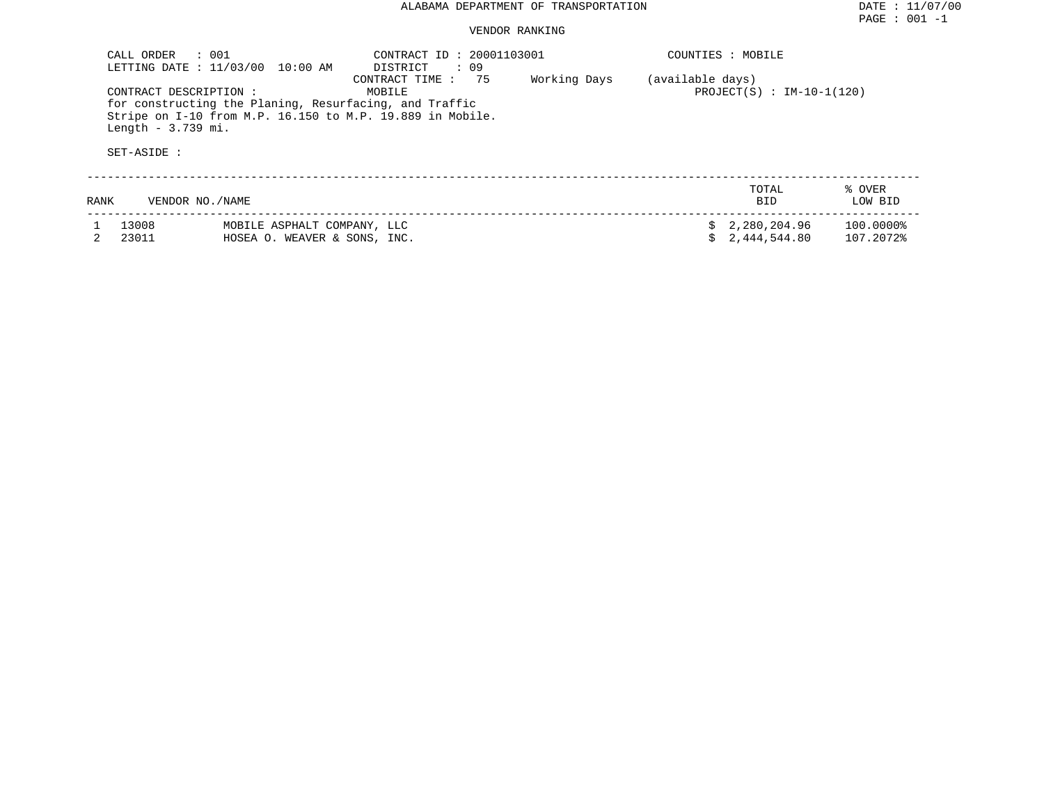| CALL ORDER : 001                                                                                                                                                                                                      | LETTING DATE : 11/03/00 10:00 AM                            | CONTRACT ID: 20001103001<br>DISTRICT : 09 |                                                 |  | COUNTIES : MOBILE            |                        |
|-----------------------------------------------------------------------------------------------------------------------------------------------------------------------------------------------------------------------|-------------------------------------------------------------|-------------------------------------------|-------------------------------------------------|--|------------------------------|------------------------|
| 75<br>CONTRACT TIME :<br>CONTRACT DESCRIPTION:<br>MOBILE<br>for constructing the Planing, Resurfacing, and Traffic<br>Stripe on I-10 from M.P. 16.150 to M.P. 19.889 in Mobile.<br>Length $-3.739$ mi.<br>SET-ASIDE : |                                                             | Working Days                              | (available days)<br>$PROJECT(S) : IM-10-1(120)$ |  |                              |                        |
| RANK                                                                                                                                                                                                                  | VENDOR NO./NAME                                             |                                           |                                                 |  | TOTAL<br><b>BID</b>          | % OVER<br>LOW BID      |
| 13008<br>23011                                                                                                                                                                                                        | MOBILE ASPHALT COMPANY, LLC<br>HOSEA O. WEAVER & SONS, INC. |                                           |                                                 |  | 2,280,204.96<br>2,444,544.80 | 100.0000%<br>107.2072% |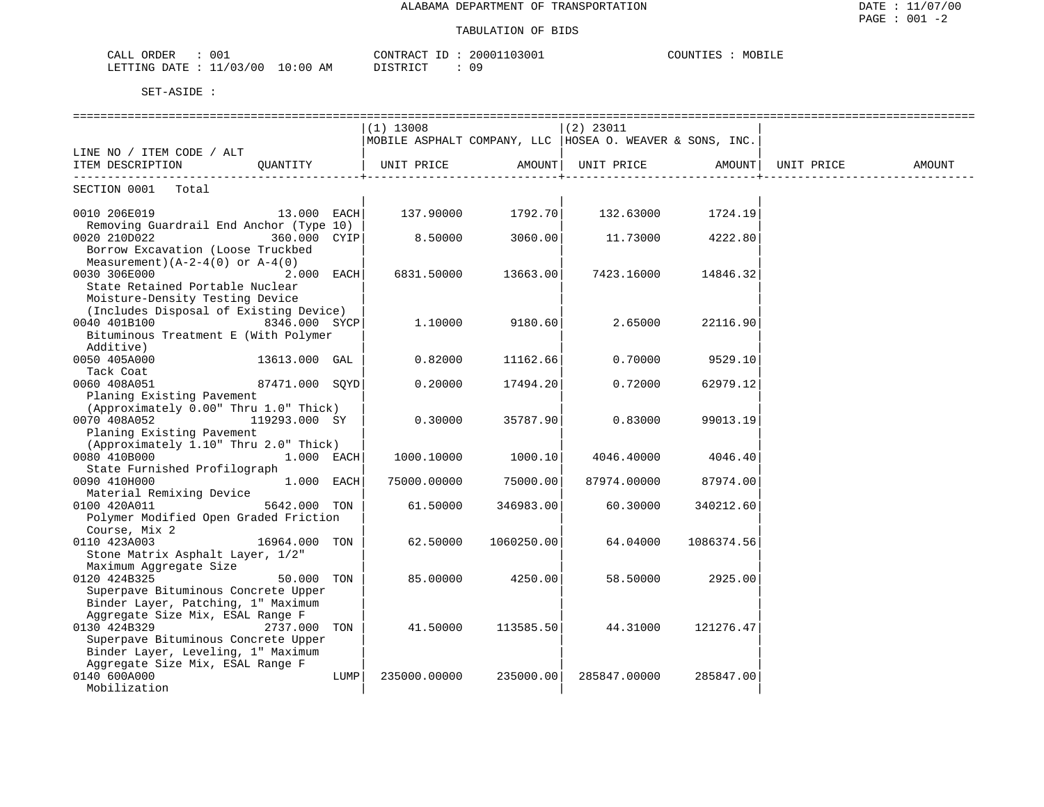#### TABULATION OF BIDS

| 001<br>ORDER<br>CALL       |             | CONTRACT ID        | 20001103001    | COUNTIES<br>MOBILE |
|----------------------------|-------------|--------------------|----------------|--------------------|
| 11/03/00<br>LETTING DATE : | 10:00<br>AM | ידי אידי אידי אידי | $\cap$ $\circ$ |                    |

|                                                                           |                |      | $(1)$ 13008                                                |            | $(2)$ 23011  |            |            |        |
|---------------------------------------------------------------------------|----------------|------|------------------------------------------------------------|------------|--------------|------------|------------|--------|
|                                                                           |                |      | MOBILE ASPHALT COMPANY, LLC   HOSEA O. WEAVER & SONS, INC. |            |              |            |            |        |
| LINE NO / ITEM CODE / ALT                                                 |                |      |                                                            |            |              |            |            |        |
| ITEM DESCRIPTION                                                          | OUANTITY       |      | UNIT PRICE                                                 | AMOUNT     | UNIT PRICE   | AMOUNT     | UNIT PRICE | AMOUNT |
| SECTION 0001<br>Total                                                     |                |      |                                                            |            |              |            |            |        |
| 0010 206E019                                                              | 13.000 EACH    |      | 137.90000                                                  | 1792.70    | 132.63000    | 1724.19    |            |        |
| Removing Guardrail End Anchor (Type 10)                                   |                |      |                                                            |            |              |            |            |        |
| 0020 210D022                                                              | 360.000 CYIP   |      | 8.50000                                                    | 3060.00    | 11.73000     | 4222.80    |            |        |
| Borrow Excavation (Loose Truckbed                                         |                |      |                                                            |            |              |            |            |        |
| Measurement) $(A-2-4(0))$ or $A-4(0)$                                     |                |      |                                                            |            |              |            |            |        |
| 0030 306E000                                                              | $2.000$ EACH   |      | 6831.50000                                                 | 13663.00   | 7423.16000   | 14846.32   |            |        |
| State Retained Portable Nuclear                                           |                |      |                                                            |            |              |            |            |        |
| Moisture-Density Testing Device                                           |                |      |                                                            |            |              |            |            |        |
| (Includes Disposal of Existing Device)                                    |                |      |                                                            |            |              |            |            |        |
| 0040 401B100                                                              | 8346.000 SYCP  |      | 1,10000                                                    | 9180.60    | 2.65000      | 22116.90   |            |        |
| Bituminous Treatment E (With Polymer                                      |                |      |                                                            |            |              |            |            |        |
| Additive)                                                                 |                |      |                                                            |            |              |            |            |        |
| 0050 405A000                                                              | 13613.000 GAL  |      | 0.82000                                                    | 11162.66   | 0.70000      | 9529.10    |            |        |
| Tack Coat                                                                 |                |      |                                                            |            |              |            |            |        |
| 0060 408A051                                                              | 87471.000 SOYD |      | 0.20000                                                    | 17494.20   | 0.72000      | 62979.12   |            |        |
| Planing Existing Pavement                                                 |                |      |                                                            |            |              |            |            |        |
| (Approximately 0.00" Thru 1.0" Thick)                                     |                |      |                                                            |            |              |            |            |        |
| 0070 408A052                                                              | 119293.000 SY  |      | 0.30000                                                    | 35787.90   | 0.83000      | 99013.19   |            |        |
| Planing Existing Pavement                                                 |                |      |                                                            |            |              |            |            |        |
| (Approximately 1.10" Thru 2.0" Thick)                                     |                |      |                                                            |            |              |            |            |        |
| 0080 410B000                                                              | 1.000 EACH     |      | 1000.10000                                                 | 1000.10    | 4046.40000   | 4046.40    |            |        |
| State Furnished Profilograph                                              |                |      |                                                            |            |              |            |            |        |
| 0090 410H000                                                              | 1.000 EACH     |      | 75000.00000                                                | 75000.00   | 87974.00000  | 87974.00   |            |        |
| Material Remixing Device                                                  |                |      |                                                            |            |              |            |            |        |
| 0100 420A011                                                              | 5642.000 TON   |      | 61.50000                                                   | 346983.00  | 60.30000     | 340212.60  |            |        |
| Polymer Modified Open Graded Friction                                     |                |      |                                                            |            |              |            |            |        |
| Course, Mix 2                                                             |                |      |                                                            |            |              |            |            |        |
| 0110 423A003                                                              | 16964.000 TON  |      | 62.50000                                                   | 1060250.00 | 64.04000     | 1086374.56 |            |        |
| Stone Matrix Asphalt Layer, 1/2"                                          |                |      |                                                            |            |              |            |            |        |
| Maximum Aggregate Size                                                    |                |      |                                                            |            |              |            |            |        |
| 0120 424B325                                                              | 50.000         | TON  | 85.00000                                                   | 4250.00    | 58.50000     | 2925.00    |            |        |
| Superpave Bituminous Concrete Upper                                       |                |      |                                                            |            |              |            |            |        |
| Binder Layer, Patching, 1" Maximum                                        |                |      |                                                            |            |              |            |            |        |
| Aggregate Size Mix, ESAL Range F                                          |                |      |                                                            |            |              |            |            |        |
| 0130 424B329                                                              | 2737.000 TON   |      | 41.50000                                                   | 113585.50  | 44.31000     | 121276.47  |            |        |
| Superpave Bituminous Concrete Upper<br>Binder Layer, Leveling, 1" Maximum |                |      |                                                            |            |              |            |            |        |
| Aggregate Size Mix, ESAL Range F                                          |                |      |                                                            |            |              |            |            |        |
| 0140 600A000                                                              |                | LUMP | 235000.00000                                               | 235000.00  | 285847.00000 | 285847.00  |            |        |
| Mobilization                                                              |                |      |                                                            |            |              |            |            |        |
|                                                                           |                |      |                                                            |            |              |            |            |        |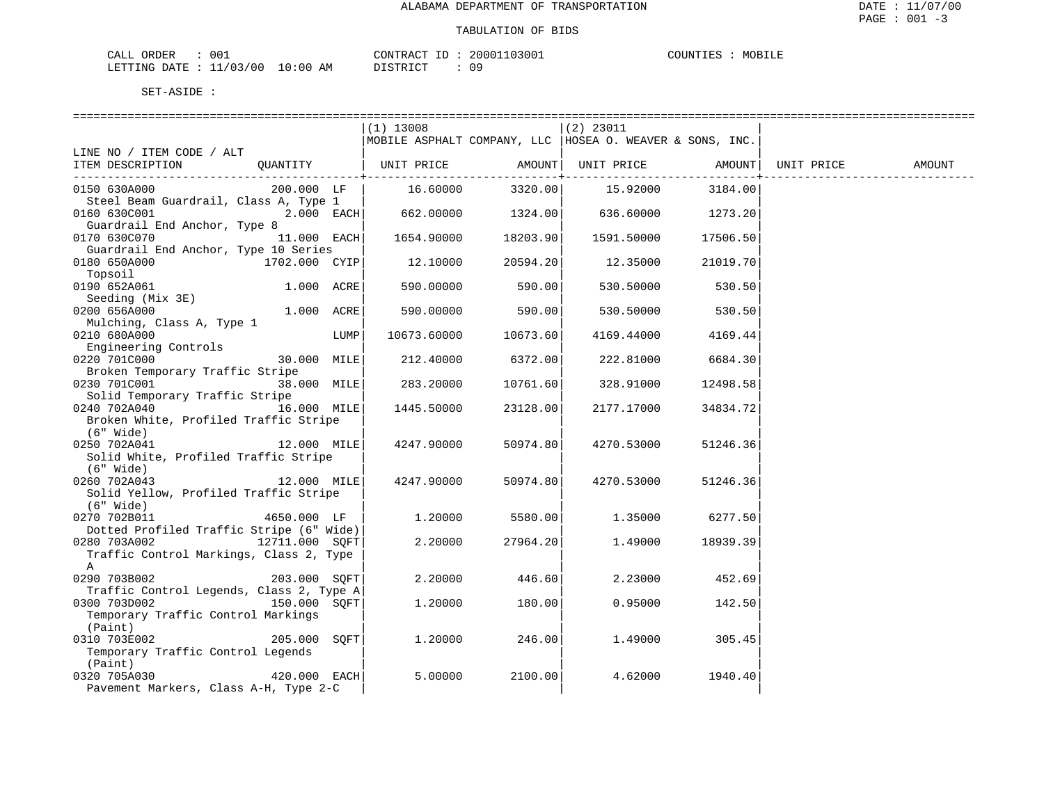| ORDER<br>CALL             | 001 |             | CONTRACT<br>TD. | 20001103001 | COUNTIES | MOBILE |
|---------------------------|-----|-------------|-----------------|-------------|----------|--------|
| LETTING DATE : $11/03/00$ |     | 10:00<br>ΆM | חימים דת        | n r         |          |        |

|                                                          |                |      | $(1)$ 13008           |                      | $(2)$ 23011                                                |          |            |        |
|----------------------------------------------------------|----------------|------|-----------------------|----------------------|------------------------------------------------------------|----------|------------|--------|
|                                                          |                |      |                       |                      | MOBILE ASPHALT COMPANY, LLC   HOSEA O. WEAVER & SONS, INC. |          |            |        |
| LINE NO / ITEM CODE / ALT                                |                |      |                       |                      |                                                            |          |            |        |
| ITEM DESCRIPTION                                         |                |      | QUANTITY   UNIT PRICE |                      | AMOUNT   UNIT PRICE                                        | AMOUNT   | UNIT PRICE | AMOUNT |
| 0150 630A000                                             | 200.000 LF     |      | 16.60000              | ------------+--      | 3320.00   15.92000                                         | 3184.00  |            |        |
| Steel Beam Guardrail, Class A, Type 1                    |                |      |                       |                      |                                                            |          |            |        |
| 0160 630C001                                             | $2.000$ EACH   |      |                       |                      | $662.00000$ $1324.00$ $636.60000$ $1273.20$                |          |            |        |
| Guardrail End Anchor, Type 8                             |                |      |                       |                      |                                                            |          |            |        |
| 0170 630C070                                             | $11.000$ EACH  |      |                       | 1654.90000 18203.90  | 1591.50000                                                 | 17506.50 |            |        |
| Guardrail End Anchor, Type 10 Series                     |                |      |                       |                      |                                                            |          |            |        |
| 0180 650A000                                             | 1702.000 CYIP  |      |                       | $12.10000$ 20594.20  | 12.35000 21019.70                                          |          |            |        |
| Topsoil                                                  |                |      |                       |                      |                                                            |          |            |        |
| 0190 652A061                                             | 1.000 ACRE     |      | 590.00000             | 590.00               | 530.50000                                                  | 530.50   |            |        |
| Seeding (Mix 3E)                                         |                |      |                       |                      |                                                            |          |            |        |
| 0200 656A000                                             | 1.000 ACRE     |      |                       | 590.00000 590.00     | 530.50000                                                  | 530.50   |            |        |
| Mulching, Class A, Type 1                                |                |      |                       |                      |                                                            |          |            |        |
| 0210 680A000                                             |                | LUMP |                       | 10673.60000 10673.60 | 4169.44000                                                 | 4169.44  |            |        |
| Engineering Controls                                     |                |      |                       |                      |                                                            |          |            |        |
| 0220 701C000                                             | 30.000 MILE    |      |                       | 212.40000 6372.00    | 222.81000                                                  | 6684.30  |            |        |
| Broken Temporary Traffic Stripe<br>0230 701C001          | 38.000 MILE    |      |                       |                      |                                                            |          |            |        |
| Solid Temporary Traffic Stripe                           |                |      | 283.20000             | 10761.60             | 328.91000                                                  | 12498.58 |            |        |
| 0240 702A040 16.000 MILE                                 |                |      | 1445.50000            | 23128.00             | 2177.17000                                                 | 34834.72 |            |        |
| Broken White, Profiled Traffic Stripe                    |                |      |                       |                      |                                                            |          |            |        |
| (6" Wide)                                                |                |      |                       |                      |                                                            |          |            |        |
| 0250 702A041 12.000 MILE                                 |                |      | 4247.90000            | 50974.80             | 4270.53000                                                 | 51246.36 |            |        |
| Solid White, Profiled Traffic Stripe                     |                |      |                       |                      |                                                            |          |            |        |
| (6" Wide)                                                |                |      |                       |                      |                                                            |          |            |        |
| 0260 702A043                                             | $12.000$ MILE  |      | 4247.90000            | 50974.80             | 4270.53000                                                 | 51246.36 |            |        |
| Solid Yellow, Profiled Traffic Stripe                    |                |      |                       |                      |                                                            |          |            |        |
| $(6"$ Wide)                                              |                |      |                       |                      |                                                            |          |            |        |
| 0270 702B011                                             | 4650.000 LF    |      | 1.20000               | 5580.00              | 1.35000                                                    | 6277.50  |            |        |
| Dotted Profiled Traffic Stripe (6" Wide)                 |                |      |                       |                      |                                                            |          |            |        |
| 0280 703A002                                             | 12711.000 SOFT |      | 2,20000               | 27964.20             | 1.49000                                                    | 18939.39 |            |        |
| Traffic Control Markings, Class 2, Type                  |                |      |                       |                      |                                                            |          |            |        |
| A                                                        |                |      |                       |                      |                                                            |          |            |        |
| 0290 703B002                                             | 203.000 SOFT   |      | 2.20000               | 446.60               | 2.23000                                                    | 452.69   |            |        |
| Traffic Control Legends, Class 2, Type A<br>0300 703D002 | 150.000 SQFT   |      | 1,20000               | 180.00               | 0.95000                                                    | 142.50   |            |        |
| Temporary Traffic Control Markings                       |                |      |                       |                      |                                                            |          |            |        |
| (Paint)                                                  |                |      |                       |                      |                                                            |          |            |        |
| 0310 703E002                                             | 205.000 SOFT   |      | 1,20000               | 246.00               | 1.49000                                                    | 305.45   |            |        |
| Temporary Traffic Control Legends                        |                |      |                       |                      |                                                            |          |            |        |
| (Paint)                                                  |                |      |                       |                      |                                                            |          |            |        |
| 0320 705A030                                             | $420.000$ EACH |      | 5.00000               | 2100.00              | 4.62000                                                    | 1940.40  |            |        |
| Pavement Markers, Class A-H, Type 2-C                    |                |      |                       |                      |                                                            |          |            |        |
|                                                          |                |      |                       |                      |                                                            |          |            |        |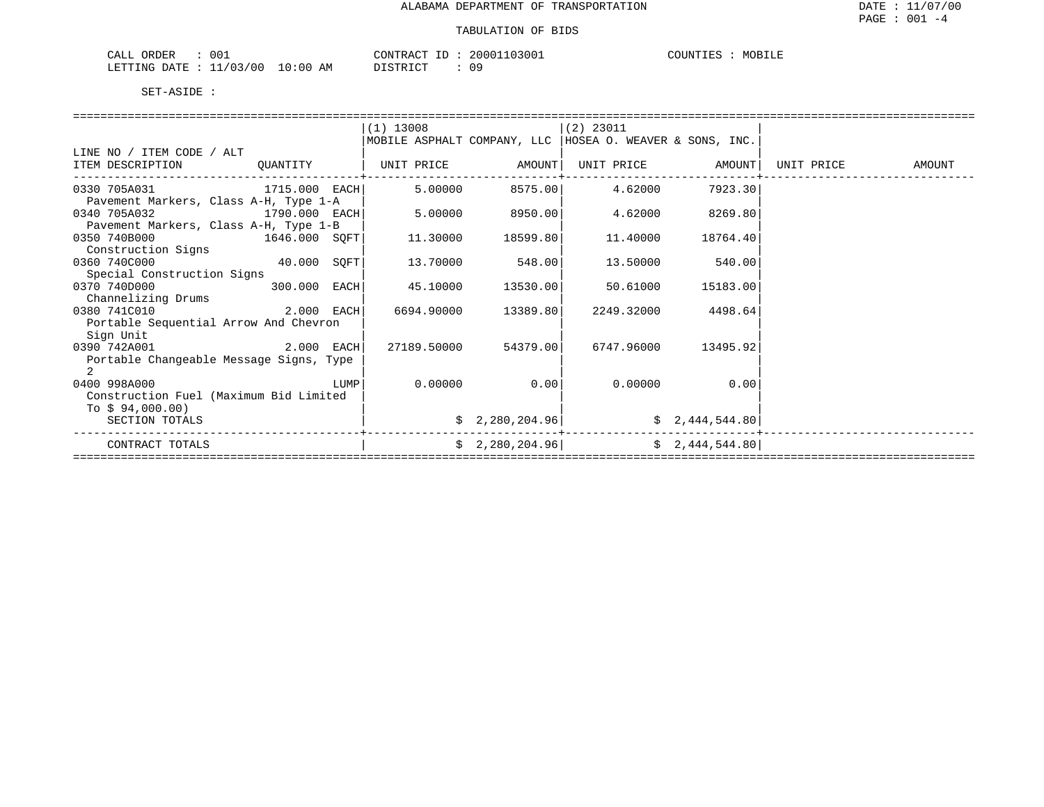| 001<br>CALL ORDER               |          | CONTRACT ID: 20001103001 | COUNTIES :<br>MOBILE |
|---------------------------------|----------|--------------------------|----------------------|
| LETTING DATE: 11/03/00 10:00 AM | DISTRICT | 09                       |                      |

|                                              |          |      | $(1)$ 13008 |                 | $(2)$ 23011                                                |                   |            |        |  |  |
|----------------------------------------------|----------|------|-------------|-----------------|------------------------------------------------------------|-------------------|------------|--------|--|--|
|                                              |          |      |             |                 | MOBILE ASPHALT COMPANY, LLC   HOSEA O. WEAVER & SONS, INC. |                   |            |        |  |  |
| LINE NO / ITEM CODE / ALT                    |          |      |             |                 |                                                            |                   |            |        |  |  |
| ITEM DESCRIPTION                             | QUANTITY |      | UNIT PRICE  | AMOUNT          |                                                            | UNIT PRICE AMOUNT | UNIT PRICE | AMOUNT |  |  |
| 0330 705A031 1715.000 EACH                   |          |      | 5.00000     | 8575.00         | 4.62000                                                    | 7923.30           |            |        |  |  |
| Pavement Markers, Class A-H, Type 1-A        |          |      |             |                 |                                                            |                   |            |        |  |  |
| 0340 705A032<br>1790.000 EACH                |          |      | 5.00000     | 8950.00         | 4.62000                                                    | 8269.80           |            |        |  |  |
| Pavement Markers, Class A-H, Type 1-B        |          |      |             |                 |                                                            |                   |            |        |  |  |
| 0350 740B000<br>1646.000 SOFT                |          |      | 11.30000    | 18599.80        | 11,40000                                                   | 18764.40          |            |        |  |  |
| Construction Signs                           |          |      |             |                 |                                                            |                   |            |        |  |  |
| 40.000 SQFT<br>0360 740C000                  |          |      | 13.70000    | 548.00          | 13.50000                                                   | 540.00            |            |        |  |  |
| Special Construction Signs                   |          |      |             |                 |                                                            |                   |            |        |  |  |
| 0370 740D000<br>300.000 EACH                 |          |      | 45.10000    | 13530.00        | 50.61000                                                   | 15183.00          |            |        |  |  |
| Channelizing Drums                           |          |      |             |                 |                                                            |                   |            |        |  |  |
| 2.000 EACH<br>0380 741C010                   |          |      | 6694.90000  | 13389.80        | 2249.32000                                                 | 4498.64           |            |        |  |  |
| Portable Sequential Arrow And Chevron        |          |      |             |                 |                                                            |                   |            |        |  |  |
| Sign Unit                                    |          |      |             |                 |                                                            |                   |            |        |  |  |
| 0390 742A001<br>2.000 EACH                   |          |      | 27189.50000 | 54379.00        | 6747.96000                                                 | 13495.92          |            |        |  |  |
| Portable Changeable Message Signs, Type<br>2 |          |      |             |                 |                                                            |                   |            |        |  |  |
| 0400 998A000                                 |          | LUMP | 0.00000     | 0.00            | 0.00000                                                    | 0.00              |            |        |  |  |
| Construction Fuel (Maximum Bid Limited       |          |      |             |                 |                                                            |                   |            |        |  |  |
| To $$94,000.00)$                             |          |      |             |                 |                                                            |                   |            |        |  |  |
| SECTION TOTALS                               |          |      |             | \$2,280,204.96] |                                                            | \$2,444,544.80    |            |        |  |  |
| CONTRACT TOTALS                              |          |      |             | \$2,280,204.96] |                                                            | \$2,444,544.80    |            |        |  |  |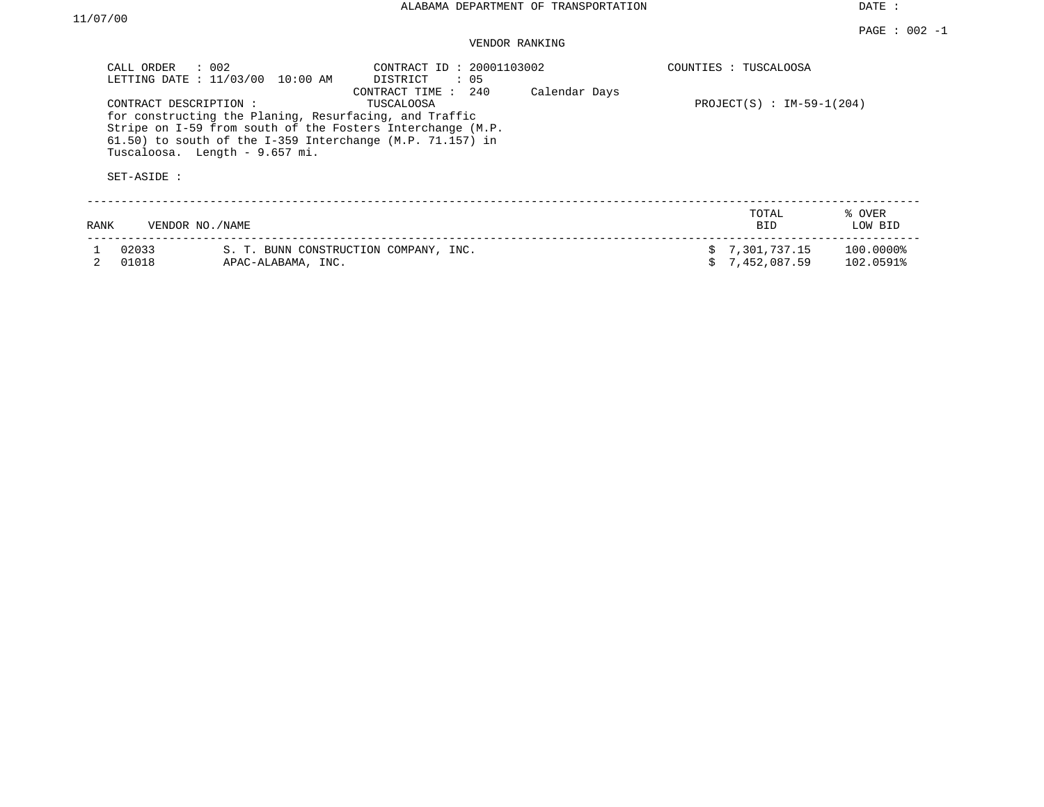| CALL ORDER<br>CONTRACT DESCRIPTION :<br>SET-ASIDE : | $\therefore$ 002<br>LETTING DATE : 11/03/00 10:00 AM<br>for constructing the Planing, Resurfacing, and Traffic<br>$61.50$ ) to south of the I-359 Interchange (M.P. 71.157) in<br>Tuscaloosa. Length - 9.657 mi. | CONTRACT ID: 20001103002<br>DISTRICT<br>: 05<br>CONTRACT TIME : 240<br>TUSCALOOSA<br>Stripe on I-59 from south of the Fosters Interchange (M.P. | Calendar Days | COUNTIES : TUSCALOOSA<br>PROJECT(S) : $IM-59-1(204)$ |                        |
|-----------------------------------------------------|------------------------------------------------------------------------------------------------------------------------------------------------------------------------------------------------------------------|-------------------------------------------------------------------------------------------------------------------------------------------------|---------------|------------------------------------------------------|------------------------|
| RANK                                                | VENDOR NO./NAME                                                                                                                                                                                                  |                                                                                                                                                 |               | TOTAL<br><b>BID</b>                                  | % OVER<br>LOW BID      |
| 02033<br>01018                                      | APAC-ALABAMA, INC.                                                                                                                                                                                               | S. T. BUNN CONSTRUCTION COMPANY, INC.                                                                                                           |               | \$7,301,737.15<br>\$7,452,087.59                     | 100.00008<br>102.0591% |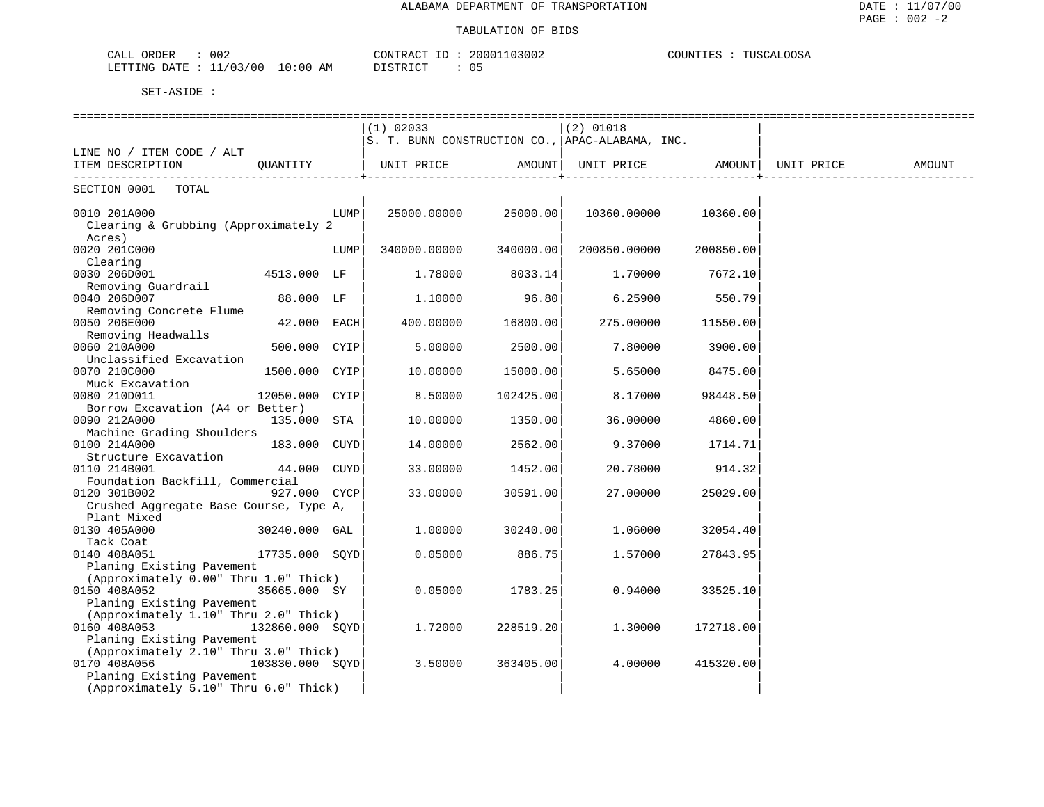#### TABULATION OF BIDS

| 002<br>ORDER<br><b>ART</b><br>CALL                           | 3002<br>CONTRACT<br>ouuu.                                           | 0.007<br>COUNTIES<br>TITCO1<br>JUUSA |
|--------------------------------------------------------------|---------------------------------------------------------------------|--------------------------------------|
| 00 /<br>በ ?<br>LETTING<br>10<br>AΜ<br>חידי בר<br>: 00<br>- - | <sup>n</sup><br>$T$ $T$ $T$ $T$ $T$ $T$ $T$ $T$ $T$<br>- U I -<br>. |                                      |

|                                                        |                |      |                                                           |           | ================               |           |        |
|--------------------------------------------------------|----------------|------|-----------------------------------------------------------|-----------|--------------------------------|-----------|--------|
|                                                        |                |      | $(1)$ 02033                                               |           | $(2)$ 01018                    |           |        |
|                                                        |                |      | $ S. T. BUNN  CONSTRUCTION CO.$ , $APAC-ALABAMA$ , $INC.$ |           |                                |           |        |
| LINE NO / ITEM CODE / ALT                              |                |      |                                                           |           |                                |           |        |
| ITEM DESCRIPTION                                       | QUANTITY       |      | UNIT PRICE AMOUNT                                         |           | UNIT PRICE AMOUNT   UNIT PRICE |           | AMOUNT |
| SECTION 0001 TOTAL                                     |                |      |                                                           |           |                                |           |        |
| 0010 201A000                                           |                | LUMP | 25000.00000                                               | 25000.00  | 10360.00000                    | 10360.00  |        |
| Clearing & Grubbing (Approximately 2                   |                |      |                                                           |           |                                |           |        |
| Acres)                                                 |                |      |                                                           |           |                                |           |        |
| 0020 201C000                                           |                | LUMP | 340000.00000                                              | 340000.00 | 200850.00000                   | 200850.00 |        |
| Clearing                                               |                |      |                                                           |           |                                |           |        |
| 0030 206D001                                           | 4513.000 LF    |      | 1.78000                                                   | 8033.14   | 1,70000                        | 7672.10   |        |
| Removing Guardrail                                     |                |      |                                                           |           |                                |           |        |
| 0040 206D007                                           | 88.000 LF      |      | 1.10000                                                   | 96.80     | 6.25900                        | 550.79    |        |
| Removing Concrete Flume                                |                |      |                                                           |           |                                |           |        |
| 0050 206E000                                           | 42.000 EACH    |      | 400.00000                                                 | 16800.00  | 275.00000                      | 11550.00  |        |
| Removing Headwalls                                     |                |      |                                                           |           |                                |           |        |
| 0060 210A000                                           | 500.000 CYIP   |      | 5.00000                                                   | 2500.00   | 7.80000                        | 3900.00   |        |
| Unclassified Excavation                                |                |      |                                                           |           |                                |           |        |
| 0070 210C000                                           | 1500.000 CYIP  |      | 10.00000                                                  | 15000.00  | 5.65000                        | 8475.00   |        |
| Muck Excavation                                        |                |      |                                                           |           |                                |           |        |
| 0080 210D011                                           | 12050.000 CYIP |      | 8.50000                                                   | 102425.00 | 8.17000                        | 98448.50  |        |
| Borrow Excavation (A4 or Better)                       |                |      |                                                           |           |                                |           |        |
| 0090 212A000                                           | 135.000 STA    |      | 10.00000                                                  | 1350.00   | 36.00000                       | 4860.00   |        |
| Machine Grading Shoulders                              |                |      |                                                           |           |                                |           |        |
| 0100 214A000                                           | 183.000 CUYD   |      | 14.00000                                                  | 2562.00   | 9.37000                        | 1714.71   |        |
| Structure Excavation                                   |                |      |                                                           |           |                                |           |        |
| 0110 214B001                                           | 44.000 CUYD    |      | 33.00000                                                  | 1452.00   | 20.78000                       | 914.32    |        |
| Foundation Backfill, Commercial                        |                |      |                                                           |           |                                |           |        |
| 0120 301B002<br>Crushed Aggregate Base Course, Type A, | 927.000 CYCP   |      | 33.00000                                                  | 30591.00  | 27.00000                       | 25029.00  |        |
| Plant Mixed                                            |                |      |                                                           |           |                                |           |        |
| 0130 405A000                                           | 30240.000 GAL  |      | 1,00000                                                   | 30240.00  | 1,06000                        | 32054.40  |        |
| Tack Coat                                              |                |      |                                                           |           |                                |           |        |
| 0140 408A051                                           | 17735.000 SOYD |      | 0.05000                                                   | 886.75    | 1.57000                        | 27843.95  |        |
| Planing Existing Pavement                              |                |      |                                                           |           |                                |           |        |
| (Approximately 0.00" Thru 1.0" Thick)                  |                |      |                                                           |           |                                |           |        |
| 0150 408A052                                           | 35665.000 SY   |      | 0.05000                                                   | 1783.25   | 0.94000                        | 33525.10  |        |
| Planing Existing Pavement                              |                |      |                                                           |           |                                |           |        |
| (Approximately 1.10" Thru 2.0" Thick)                  |                |      |                                                           |           |                                |           |        |
| 0160 408A053<br>132860.000 SOYD                        |                |      | 1.72000                                                   | 228519.20 | 1,30000                        | 172718.00 |        |
| Planing Existing Pavement                              |                |      |                                                           |           |                                |           |        |
| (Approximately 2.10" Thru 3.0" Thick)                  |                |      |                                                           |           |                                |           |        |
| 0170 408A056<br>103830.000 SQYD                        |                |      | 3.50000                                                   | 363405.00 | 4.00000                        | 415320.00 |        |
| Planing Existing Pavement                              |                |      |                                                           |           |                                |           |        |
| (Approximately 5.10" Thru 6.0" Thick)                  |                |      |                                                           |           |                                |           |        |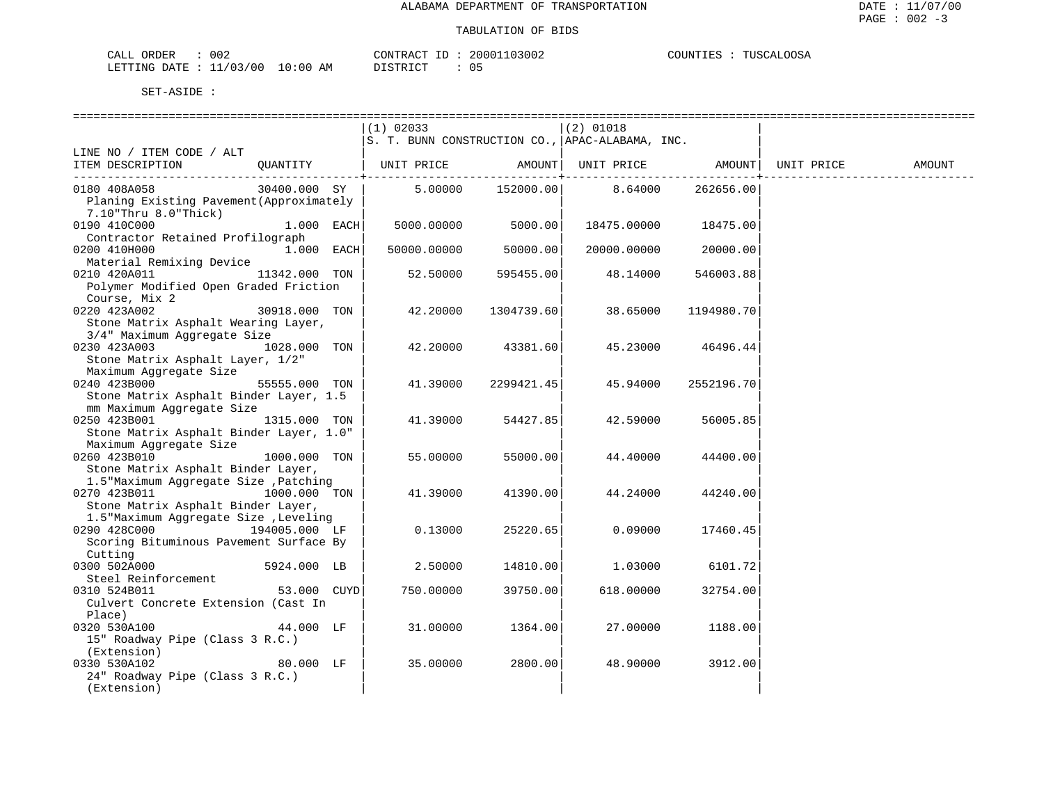| 002<br>CALL<br>ORDER    |             | CONTRAC    | 103002<br>, nn n | TUSCALOOSA<br>COUNTI<br>TTES - |
|-------------------------|-------------|------------|------------------|--------------------------------|
| 1/03/00<br>LETTING DATE | 10:00<br>AΜ | חי חים דרו | ັັ               |                                |

|                                               |               | $(1)$ 02033 |            | $(2)$ 01018                                     |            |            |        |
|-----------------------------------------------|---------------|-------------|------------|-------------------------------------------------|------------|------------|--------|
|                                               |               |             |            | S. T. BUNN CONSTRUCTION CO., APAC-ALABAMA, INC. |            |            |        |
| LINE NO / ITEM CODE / ALT                     |               |             |            |                                                 |            |            |        |
| ITEM DESCRIPTION                              | OUANTITY      | UNIT PRICE  | AMOUNT     | UNIT PRICE                                      | AMOUNT     | UNIT PRICE | AMOUNT |
| 0180 408A058                                  | 30400.000 SY  | 5.00000     | 152000.00  | 8.64000                                         | 262656.00  |            |        |
| Planing Existing Pavement (Approximately      |               |             |            |                                                 |            |            |        |
| $7.10$ "Thru $8.0$ "Thick)                    |               |             |            |                                                 |            |            |        |
| 0190 410C000                                  | $1.000$ EACH  | 5000.00000  | 5000.00    | 18475.00000                                     | 18475.00   |            |        |
| Contractor Retained Profilograph              |               |             |            |                                                 |            |            |        |
| 0200 410H000                                  | $1.000$ EACH  | 50000.00000 | 50000.00   | 20000.00000                                     | 20000.00   |            |        |
| Material Remixing Device                      |               |             |            |                                                 |            |            |        |
| 0210 420A011                                  | 11342.000 TON | 52.50000    | 595455.00  | 48.14000                                        | 546003.88  |            |        |
| Polymer Modified Open Graded Friction         |               |             |            |                                                 |            |            |        |
| Course, Mix 2                                 |               |             |            |                                                 |            |            |        |
| 0220 423A002                                  | 30918.000 TON | 42.20000    | 1304739.60 | 38.65000                                        | 1194980.70 |            |        |
| Stone Matrix Asphalt Wearing Layer,           |               |             |            |                                                 |            |            |        |
| 3/4" Maximum Aggregate Size                   |               |             |            |                                                 |            |            |        |
| 0230 423A003                                  | 1028.000 TON  | 42.20000    | 43381.60   | 45.23000                                        | 46496.44   |            |        |
| Stone Matrix Asphalt Layer, 1/2"              |               |             |            |                                                 |            |            |        |
| Maximum Aggregate Size                        |               |             |            |                                                 |            |            |        |
| 0240 423B000                                  | 55555.000 TON | 41.39000    | 2299421.45 | 45.94000                                        | 2552196.70 |            |        |
| Stone Matrix Asphalt Binder Layer, 1.5        |               |             |            |                                                 |            |            |        |
| mm Maximum Aggregate Size                     |               |             |            |                                                 |            |            |        |
| 0250 423B001                                  | 1315.000 TON  | 41.39000    | 54427.85   | 42.59000                                        | 56005.85   |            |        |
| Stone Matrix Asphalt Binder Layer, 1.0"       |               |             |            |                                                 |            |            |        |
| Maximum Aggregate Size                        |               |             |            |                                                 |            |            |        |
| 0260 423B010                                  | 1000.000 TON  | 55.00000    | 55000.00   | 44.40000                                        | 44400.00   |            |        |
| Stone Matrix Asphalt Binder Layer,            |               |             |            |                                                 |            |            |        |
| 1.5"Maximum Aggregate Size , Patching         |               |             |            |                                                 |            |            |        |
| 0270 423B011                                  | 1000.000 TON  | 41.39000    | 41390.00   | 44.24000                                        | 44240.00   |            |        |
| Stone Matrix Asphalt Binder Layer,            |               |             |            |                                                 |            |            |        |
| 1.5"Maximum Aggregate Size , Leveling         |               |             |            |                                                 |            |            |        |
| 0290 428C000                                  | 194005.000 LF | 0.13000     | 25220.65   | 0.09000                                         | 17460.45   |            |        |
| Scoring Bituminous Pavement Surface By        |               |             |            |                                                 |            |            |        |
| Cutting                                       |               |             |            |                                                 |            |            |        |
| 0300 502A000                                  | 5924.000 LB   | 2.50000     | 14810.00   | 1,03000                                         | 6101.72    |            |        |
| Steel Reinforcement                           |               |             |            |                                                 |            |            |        |
| 0310 524B011                                  | 53.000 CUYD   | 750.00000   | 39750.00   | 618.00000                                       | 32754.00   |            |        |
| Culvert Concrete Extension (Cast In<br>Place) |               |             |            |                                                 |            |            |        |
| 0320 530A100                                  | 44.000 LF     | 31.00000    | 1364.00    | 27.00000                                        | 1188.00    |            |        |
| 15" Roadway Pipe (Class 3 R.C.)               |               |             |            |                                                 |            |            |        |
| (Extension)                                   |               |             |            |                                                 |            |            |        |
| 0330 530A102                                  | 80.000 LF     | 35.00000    | 2800.00    | 48.90000                                        | 3912.00    |            |        |
| 24" Roadway Pipe (Class 3 R.C.)               |               |             |            |                                                 |            |            |        |
| (Extension)                                   |               |             |            |                                                 |            |            |        |
|                                               |               |             |            |                                                 |            |            |        |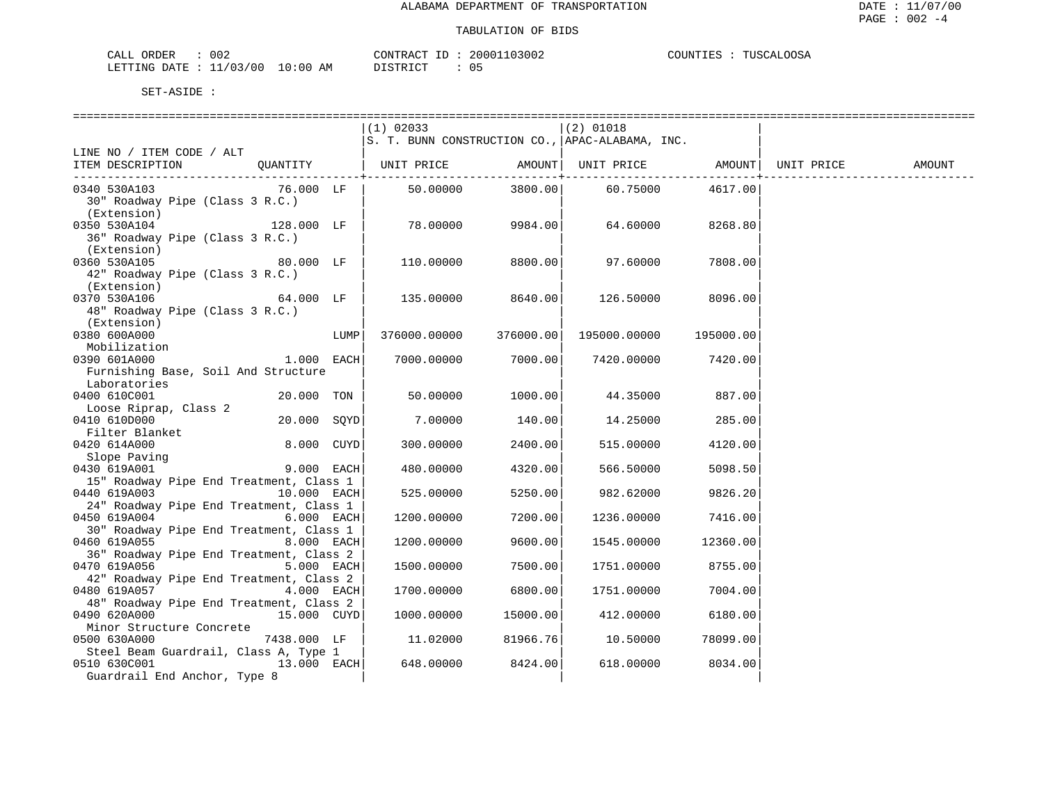| $\sim$ $\sim$ $\sim$<br>$\cdot$ $\wedge$ $\cdot$<br>DH. 1<br>$\overline{\phantom{a}}$<br>∪∪∠ |           | 'ONTF |     | 'INT |
|----------------------------------------------------------------------------------------------|-----------|-------|-----|------|
| ′0C<br>"NQ<br>יידי בו.<br>. سست<br>. <i>.</i><br>____<br>__                                  | AΜ<br>(1) |       | . . |      |

|                                                                                                               | $(1)$ 02033            |                  | $(2)$ 01018<br>S. T. BUNN CONSTRUCTION CO., APAC-ALABAMA, INC. |                   |            |        |
|---------------------------------------------------------------------------------------------------------------|------------------------|------------------|----------------------------------------------------------------|-------------------|------------|--------|
| LINE NO / ITEM CODE / ALT<br>ITEM DESCRIPTION QUANTITY   UNIT PRICE AMOUNT   UNIT PRICE AMOUNT                |                        | ------------+--- |                                                                |                   | UNIT PRICE | AMOUNT |
| 76.000 LF<br>0340 530A103<br>30" Roadway Pipe (Class 3 R.C.)<br>(Extension)                                   | 50.00000               |                  | 3800.00 60.75000                                               | 4617.00           |            |        |
| 0350 530A104<br>128.000 LF<br>36" Roadway Pipe (Class 3 R.C.)<br>(Extension)                                  | 78.00000               | 9984.00          | 64.60000                                                       | 8268.80           |            |        |
| 0360 530A105<br>80.000 LF<br>42" Roadway Pipe (Class 3 R.C.)<br>(Extension)                                   | 110.00000 8800.00      |                  | 97.60000 7808.00                                               |                   |            |        |
| $64.000$ LF<br>0370 530A106<br>48" Roadway Pipe (Class 3 R.C.)<br>(Extension)                                 | $135.00000$ 8640.00    |                  |                                                                | 126.50000 8096.00 |            |        |
| 0380 600A000<br>LUMP<br>Mobilization                                                                          | 376000.00000 376000.00 |                  | 195000.00000 195000.00                                         |                   |            |        |
| $1.000$ EACH<br>0390 601A000<br>Furnishing Base, Soil And Structure<br>Laboratories                           | 7000.00000             | 7000.00          | 7420.00000                                                     | 7420.00           |            |        |
| 0400 610C001<br>$20.000$ TON<br>Loose Riprap, Class 2                                                         |                        | 50.00000 1000.00 |                                                                | 44.35000 887.00   |            |        |
| 0410 610D000<br>20.000 SQYD<br>Filter Blanket                                                                 | 7.00000                | 140.00           | 14.25000                                                       | 285.00            |            |        |
| 8.000 CUYD<br>0420 614A000                                                                                    | 300.00000              | 2400.00          | 515.00000                                                      | 4120.00           |            |        |
| Exercise<br>Slope Paving<br>2000 EACH<br>2000 EACH<br>0430 619A001<br>15" Roadway Pipe End Treatment, Class 1 | 480.00000              | 4320.00          | 566.50000                                                      | 5098.50           |            |        |
| 0440 619A003 10.000 EACH<br>24" Roadway Pipe End Treatment, Class 1                                           | 525.00000              | 5250.00          | 982.62000                                                      | 9826.20           |            |        |
| 0450 619A004<br><b>6.000 EACH</b>                                                                             | 1200.00000             | 7200.00          | 1236.00000                                                     | 7416.00           |            |        |
| 30" Roadway Pipe End Treatment, Class 1<br>0460 619A055 8.000 EACH                                            | 1200.00000             | 9600.00          | 1545.00000                                                     | 12360.00          |            |        |
| 36" Roadway Pipe End Treatment, Class 2<br>0470 619A056<br>5.000 EACH                                         | 1500.00000             | 7500.00          | 1751.00000                                                     | 8755.00           |            |        |
| 42" Roadway Pipe End Treatment, Class 2<br>0480 619A057<br>4.000 EACH                                         | 1700.00000             | 6800.00          | 1751.00000                                                     | 7004.00           |            |        |
| 48" Roadway Pipe End Treatment, Class 2<br>0490 620A000<br>15.000 CUYD                                        | 1000.00000             | 15000.00         | 412.00000                                                      | 6180.00           |            |        |
| Minor Structure Concrete<br>0500 630A000<br>7438.000 LF                                                       | 11.02000               | 81966.76         | 10.50000                                                       | 78099.00          |            |        |
| Steel Beam Guardrail, Class A, Type 1<br>$13.000$ EACH<br>0510 630C001<br>Guardrail End Anchor, Type 8        | 648.00000              | 8424.00          | 618.00000                                                      | 8034.00           |            |        |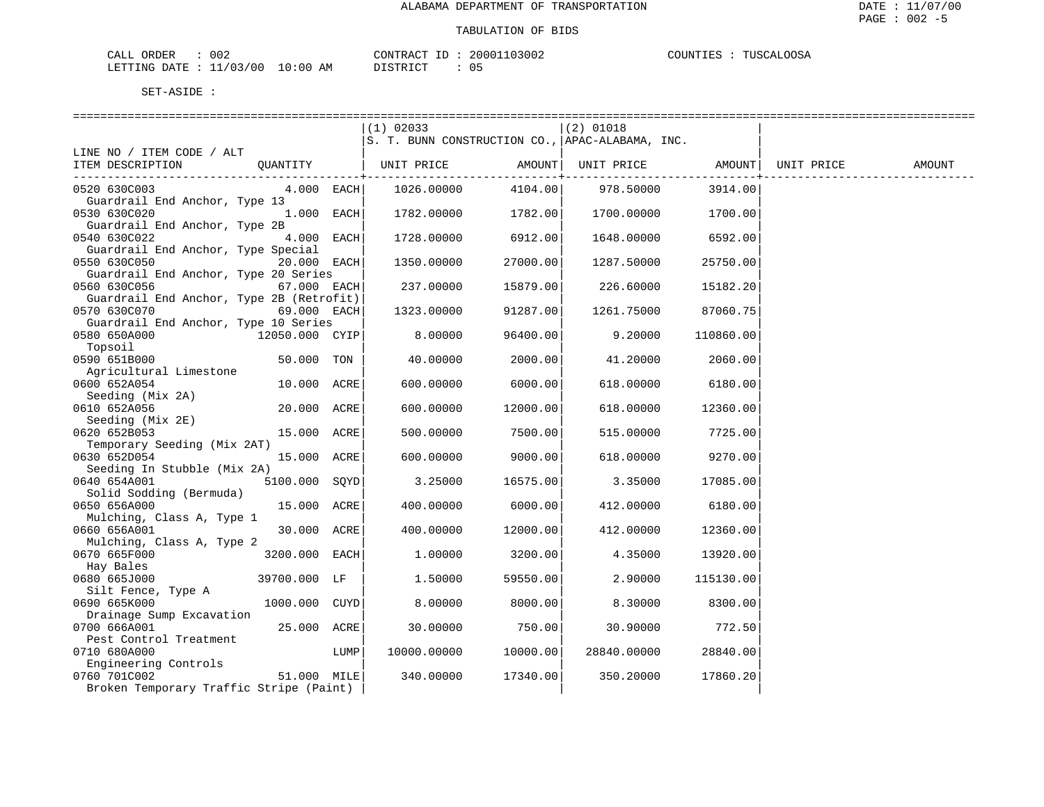| CALL ORDER                       | 002 |          | CONTRACT ID: 20001103002 | <b>TUSCALOOSA</b><br>COUNTIES : |
|----------------------------------|-----|----------|--------------------------|---------------------------------|
| LETTING DATE : 11/03/00 10:00 AM |     | DISTRICT |                          |                                 |

|                                               |                |      | $(1)$ 02033 |                   | $(2)$ 01018                                                         |                 |                   |  |
|-----------------------------------------------|----------------|------|-------------|-------------------|---------------------------------------------------------------------|-----------------|-------------------|--|
|                                               |                |      |             |                   | S. T. BUNN CONSTRUCTION CO., APAC-ALABAMA, INC.                     |                 |                   |  |
| LINE NO / ITEM CODE / ALT                     |                |      |             |                   |                                                                     |                 |                   |  |
| ITEM DESCRIPTION                              |                |      |             |                   | QUANTITY   UNIT PRICE           AMOUNT  UNIT PRICE           AMOUNT |                 | UNIT PRICE AMOUNT |  |
|                                               |                |      |             | ----------------+ |                                                                     | --------------+ |                   |  |
| 0520 630C003<br>Guardrail End Anchor, Type 13 | $4.000$ EACH   |      | 1026.00000  | 4104.00           | 978.50000                                                           | 3914.00         |                   |  |
| 0530 630C020                                  | 1.000 EACH     |      | 1782.00000  | 1782.00           | 1700.00000                                                          | 1700.00         |                   |  |
| Guardrail End Anchor, Type 2B                 |                |      |             |                   |                                                                     |                 |                   |  |
| 0540 630C022                                  | 4.000 EACH     |      | 1728.00000  | 6912.00           | 1648.00000                                                          | 6592.00         |                   |  |
| Guardrail End Anchor, Type Special            |                |      |             |                   |                                                                     |                 |                   |  |
| 0550 630C050                                  | 20.000 EACH    |      | 1350.00000  | 27000.00          | 1287.50000                                                          | 25750.00        |                   |  |
| Guardrail End Anchor, Type 20 Series          |                |      |             |                   |                                                                     |                 |                   |  |
| 0560 630C056                                  | 67.000 EACH    |      | 237.00000   | 15879.00          | 226.60000                                                           | 15182.20        |                   |  |
| Guardrail End Anchor, Type 2B (Retrofit)      |                |      |             |                   |                                                                     |                 |                   |  |
| 0570 630C070                                  | 69.000 EACH    |      | 1323.00000  | 91287.00          | 1261.75000                                                          | 87060.75        |                   |  |
| Guardrail End Anchor, Type 10 Series          |                |      |             |                   |                                                                     |                 |                   |  |
| 0580 650A000                                  | 12050.000 CYIP |      | 8.00000     | 96400.00          | 9.20000                                                             | 110860.00       |                   |  |
| Topsoil                                       |                |      |             |                   |                                                                     |                 |                   |  |
| 0590 651B000                                  | 50.000 TON     |      | 40.00000    | 2000.00           | 41.20000                                                            | 2060.00         |                   |  |
| Agricultural Limestone                        |                |      |             |                   |                                                                     |                 |                   |  |
| 0600 652A054                                  | 10.000 ACRE    |      | 600.00000   | 6000.00           | 618.00000                                                           | 6180.00         |                   |  |
| Seeding (Mix 2A)                              |                |      |             |                   |                                                                     |                 |                   |  |
| 0610 652A056                                  | 20.000 ACRE    |      | 600.00000   | 12000.00          | 618.00000                                                           | 12360.00        |                   |  |
| Seeding (Mix 2E)                              |                |      |             |                   |                                                                     |                 |                   |  |
| 0620 652B053                                  | 15.000 ACRE    |      | 500.00000   | 7500.00           | 515.00000                                                           | 7725.00         |                   |  |
| Temporary Seeding (Mix 2AT)                   |                |      |             |                   |                                                                     |                 |                   |  |
| 0630 652D054                                  | 15.000 ACRE    |      | 600,00000   | 9000.00           | 618.00000                                                           | 9270.00         |                   |  |
| Seeding In Stubble (Mix 2A)                   |                |      |             |                   |                                                                     |                 |                   |  |
| 0640 654A001                                  | 5100.000 SOYD  |      | 3.25000     | 16575.00          | 3.35000                                                             | 17085.00        |                   |  |
| Solid Sodding (Bermuda)                       |                |      |             |                   |                                                                     |                 |                   |  |
| 0650 656A000                                  | 15.000 ACRE    |      | 400.00000   | 6000.00           | 412,00000                                                           | 6180.00         |                   |  |
| Mulching, Class A, Type 1                     | 30.000 ACRE    |      |             |                   |                                                                     |                 |                   |  |
| 0660 656A001<br>Mulching, Class A, Type 2     |                |      | 400.00000   | 12000.00          | 412.00000                                                           | 12360.00        |                   |  |
| 0670 665F000                                  | 3200.000 EACH  |      | 1.00000     | 3200.00           | 4.35000                                                             | 13920.00        |                   |  |
| Hay Bales                                     |                |      |             |                   |                                                                     |                 |                   |  |
| 0680 665J000                                  | 39700.000 LF   |      | 1.50000     | 59550.00          | 2.90000                                                             | 115130.00       |                   |  |
| Silt Fence, Type A                            |                |      |             |                   |                                                                     |                 |                   |  |
| 0690 665K000                                  | 1000.000 CUYD  |      | 8.00000     | 8000.00           | 8.30000                                                             | 8300.00         |                   |  |
| Drainage Sump Excavation                      |                |      |             |                   |                                                                     |                 |                   |  |
| 0700 666A001                                  | 25.000 ACRE    |      | 30.00000    | 750.00            | 30.90000                                                            | 772.50          |                   |  |
| Pest Control Treatment                        |                |      |             |                   |                                                                     |                 |                   |  |
| 0710 680A000                                  |                | LUMP | 10000.00000 | 10000.00          | 28840.00000                                                         | 28840.00        |                   |  |
| Engineering Controls                          |                |      |             |                   |                                                                     |                 |                   |  |
| 0760 701C002                                  | 51.000 MILE    |      | 340.00000   | 17340.00          | 350.20000                                                           | 17860.20        |                   |  |
| Broken Temporary Traffic Stripe (Paint)       |                |      |             |                   |                                                                     |                 |                   |  |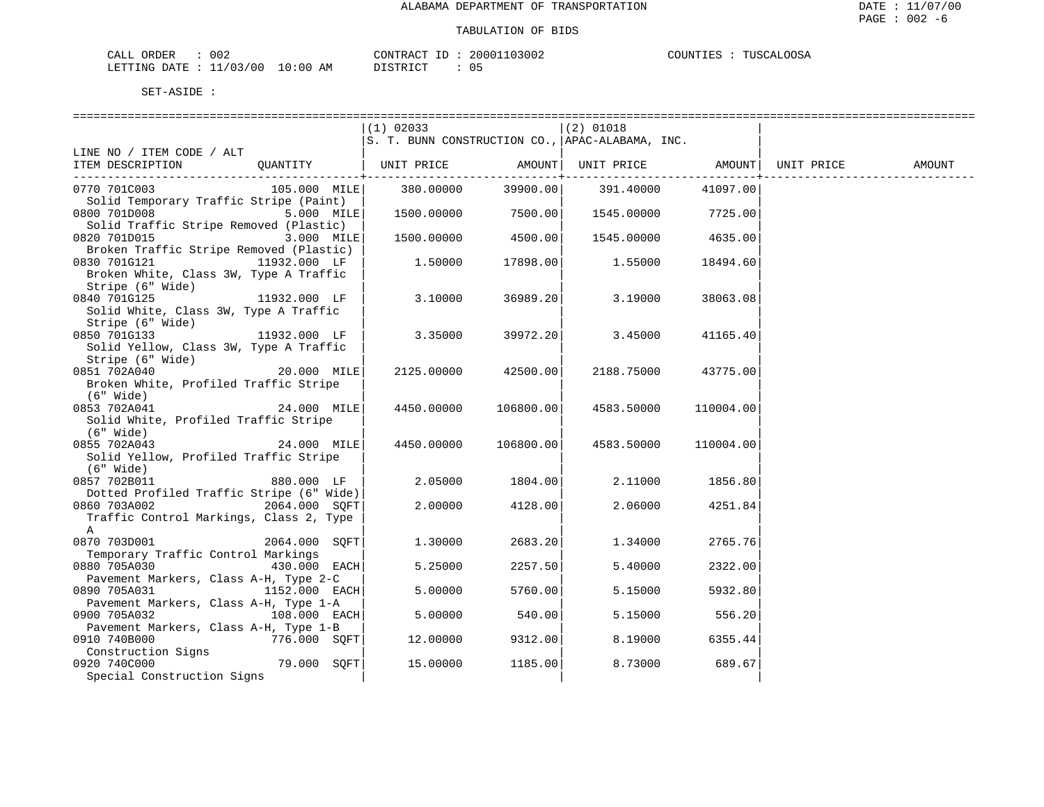| CALL ORDER                       | 002 |          | CONTRACT ID: 20001103002 | COUNTIES : TUSCALOOSA |
|----------------------------------|-----|----------|--------------------------|-----------------------|
| LETTING DATE : 11/03/00 10:00 AM |     | DISTRICT |                          |                       |

|                                                                              |                         | $(1)$ 02033                                     |           | $(2)$ 01018                               |           |        |
|------------------------------------------------------------------------------|-------------------------|-------------------------------------------------|-----------|-------------------------------------------|-----------|--------|
|                                                                              |                         | S. T. BUNN CONSTRUCTION CO., APAC-ALABAMA, INC. |           |                                           |           |        |
| LINE NO / ITEM CODE / ALT                                                    |                         |                                                 |           |                                           |           |        |
| ITEM DESCRIPTION QUANTITY   UNIT PRICE AMOUNT  UNIT PRICE AMOUNT  UNIT PRICE |                         |                                                 |           |                                           |           | AMOUNT |
| 0770 701C003                                                                 |                         | 105.000 MILE 380.00000                          |           | 39900.00 391.40000                        | 41097.00  |        |
| Solid Temporary Traffic Stripe (Paint)                                       |                         |                                                 |           |                                           |           |        |
| 0800 701D008                                                                 | $5.000$ MILE            |                                                 |           | $1500.00000$ 7500.00 $1545.00000$ 7725.00 |           |        |
| Solid Traffic Stripe Removed (Plastic)                                       |                         |                                                 |           |                                           |           |        |
| 0820 701D015                                                                 | $\overline{3.000}$ MILE | 1500.00000 4500.00                              |           | 1545.00000 4635.00                        |           |        |
| Broken Traffic Stripe Removed (Plastic)                                      |                         |                                                 |           |                                           |           |        |
| 0830 701G121                                                                 | 11932.000 LF            | 1.50000                                         | 17898.00  | 1.55000                                   | 18494.60  |        |
| Broken White, Class 3W, Type A Traffic                                       |                         |                                                 |           |                                           |           |        |
| Stripe (6" Wide)                                                             |                         |                                                 |           |                                           |           |        |
| 0840 701G125                                                                 | 11932.000 LF            | 3.10000                                         | 36989.20  | 3.19000                                   | 38063.08  |        |
| Solid White, Class 3W, Type A Traffic                                        |                         |                                                 |           |                                           |           |        |
| Stripe (6" Wide)                                                             |                         |                                                 |           |                                           |           |        |
| 0850 701G133                                                                 | 11932.000 LF            | 3.35000                                         | 39972.20  | 3.45000                                   | 41165.40  |        |
| Solid Yellow, Class 3W, Type A Traffic                                       |                         |                                                 |           |                                           |           |        |
| Stripe (6" Wide)                                                             |                         |                                                 |           |                                           |           |        |
| 0851 702A040 20.000 MILE                                                     |                         | 2125.00000                                      | 42500.00  | 2188.75000                                | 43775.00  |        |
| Broken White, Profiled Traffic Stripe                                        |                         |                                                 |           |                                           |           |        |
| (6" Wide)<br>0853 702A041                                                    | 24.000 MILE             | 4450.00000                                      | 106800.00 | 4583.50000                                | 110004.00 |        |
| Solid White, Profiled Traffic Stripe                                         |                         |                                                 |           |                                           |           |        |
| (6" Wide)                                                                    |                         |                                                 |           |                                           |           |        |
| 0855 702A043                                                                 | $24.000$ MILE           | 4450.00000 106800.00                            |           | 4583.50000                                | 110004.00 |        |
| Solid Yellow, Profiled Traffic Stripe                                        |                         |                                                 |           |                                           |           |        |
| $(6"$ Wide)                                                                  |                         |                                                 |           |                                           |           |        |
| 0857 702B011                                                                 | 880.000 LF              | 2.05000                                         | 1804.00   | 2.11000                                   | 1856.80   |        |
| Dotted Profiled Traffic Stripe (6" Wide)                                     |                         |                                                 |           |                                           |           |        |
| 0860 703A002 2064.000 SOFT                                                   |                         | 2.00000                                         | 4128.00   | 2.06000                                   | 4251.84   |        |
| Traffic Control Markings, Class 2, Type                                      |                         |                                                 |           |                                           |           |        |
| A                                                                            |                         |                                                 |           |                                           |           |        |
| 0870 703D001                                                                 | 2064.000 SOFT           | 1,30000                                         | 2683.20   | 1.34000                                   | 2765.76   |        |
| Temporary Traffic Control Markings                                           |                         |                                                 |           |                                           |           |        |
| 0880 705A030 430.000 EACH                                                    |                         | 5.25000                                         | 2257.50   | 5.40000                                   | 2322.00   |        |
| Pavement Markers, Class A-H, Type 2-C                                        |                         |                                                 |           |                                           |           |        |
| 0890 705A031<br>Pavement Markers, Class A-H, Type 1-A                        | 1152.000 EACH           | 5.00000                                         | 5760.00   | 5.15000                                   | 5932.80   |        |
| 0900 705A032 108.000 EACH                                                    |                         | 5.00000                                         | 540.00    | 5.15000                                   | 556.20    |        |
| Pavement Markers, Class A-H, Type 1-B                                        |                         |                                                 |           |                                           |           |        |
| 0910 740B000                                                                 | 776.000 SQFT            | 12.00000                                        | 9312.00   | 8.19000                                   | 6355.44   |        |
| Construction Signs                                                           |                         |                                                 |           |                                           |           |        |
| 0920 740C000                                                                 | $79.000$ SQFT           | 15.00000                                        | 1185.00   | 8.73000                                   | 689.67    |        |
| Special Construction Signs                                                   |                         |                                                 |           |                                           |           |        |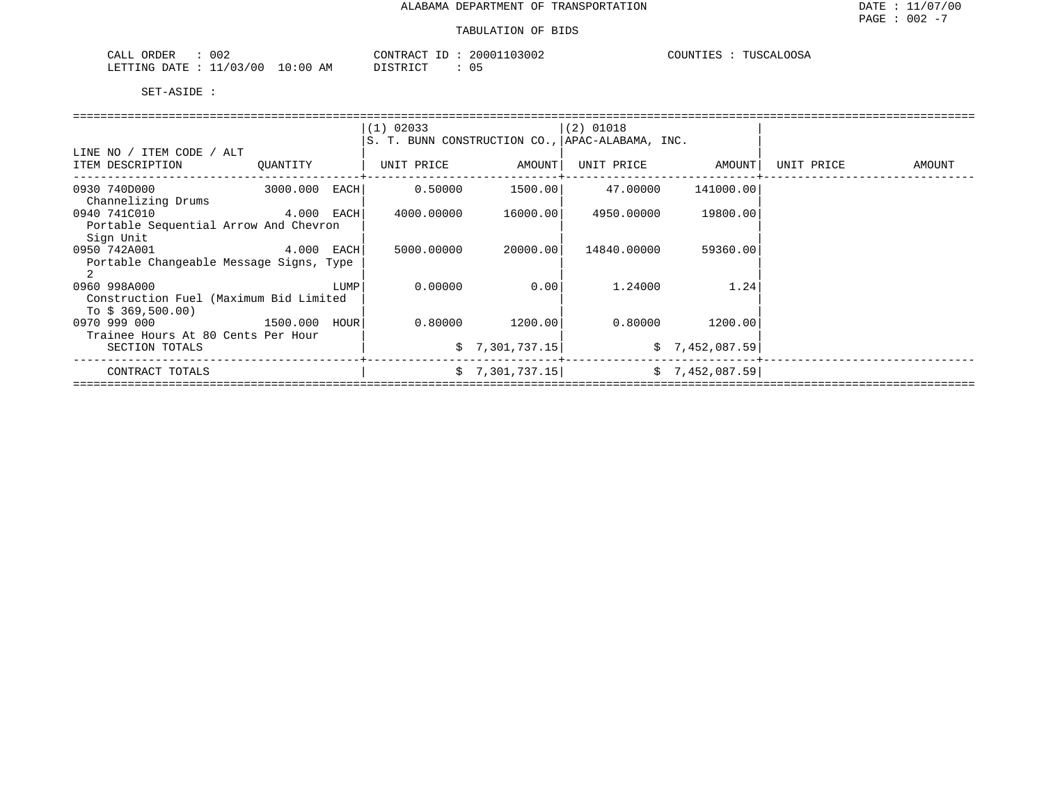| 002<br>ORDER<br>CALL       |            | CONTRACT ID | 20001103002          | TUSCALOOSA<br>COUNTIES |
|----------------------------|------------|-------------|----------------------|------------------------|
| 11/03/00<br>LETTING DATE : | $10:00$ AM | DISTRICT    | $\sim$ $\sim$<br>U 5 |                        |

|                                         |              |      | $(1)$ 02033                                     | (2) 01018       |                     |                   |            |        |
|-----------------------------------------|--------------|------|-------------------------------------------------|-----------------|---------------------|-------------------|------------|--------|
|                                         |              |      | S. T. BUNN CONSTRUCTION CO., APAC-ALABAMA, INC. |                 |                     |                   |            |        |
| LINE NO / ITEM CODE / ALT               |              |      |                                                 |                 |                     |                   |            |        |
| ITEM DESCRIPTION                        | OUANTITY     |      | UNIT PRICE                                      | AMOUNT          |                     | UNIT PRICE AMOUNT | UNIT PRICE | AMOUNT |
|                                         |              |      |                                                 |                 |                     |                   |            |        |
| 0930 740D000                            | 3000.000     | EACH | 0.50000                                         |                 | 1500.00    47.00000 | 141000.00         |            |        |
| Channelizing Drums                      |              |      |                                                 |                 |                     |                   |            |        |
| 0940 741C010                            | $4.000$ EACH |      | 4000.00000                                      | 16000.001       | 4950.00000          | 19800.00          |            |        |
| Portable Sequential Arrow And Chevron   |              |      |                                                 |                 |                     |                   |            |        |
| Sign Unit                               |              |      |                                                 |                 |                     |                   |            |        |
| 0950 742A001                            | $4.000$ EACH |      | 5000.00000                                      | 20000.001       | 14840.00000         | 59360.00          |            |        |
| Portable Changeable Message Signs, Type |              |      |                                                 |                 |                     |                   |            |        |
|                                         |              |      |                                                 |                 |                     |                   |            |        |
| 0960 998A000                            |              | LUMP | 0.00000                                         | 0.001           | 1.24000             | 1.24              |            |        |
| Construction Fuel (Maximum Bid Limited  |              |      |                                                 |                 |                     |                   |            |        |
| To $$369,500.00)$                       |              |      |                                                 |                 |                     |                   |            |        |
| 0970 999 000                            | 1500.000     | HOUR | 0.80000                                         | 1200.00         | 0.80000             | 1200.00           |            |        |
| Trainee Hours At 80 Cents Per Hour      |              |      |                                                 |                 |                     |                   |            |        |
| SECTION TOTALS                          |              |      |                                                 | \$7,301,737.15  |                     | \$7,452,087.59    |            |        |
| CONTRACT TOTALS                         |              |      |                                                 | \$7,301,737.15] |                     | \$7,452,087.59]   |            |        |
|                                         |              |      |                                                 |                 |                     |                   |            |        |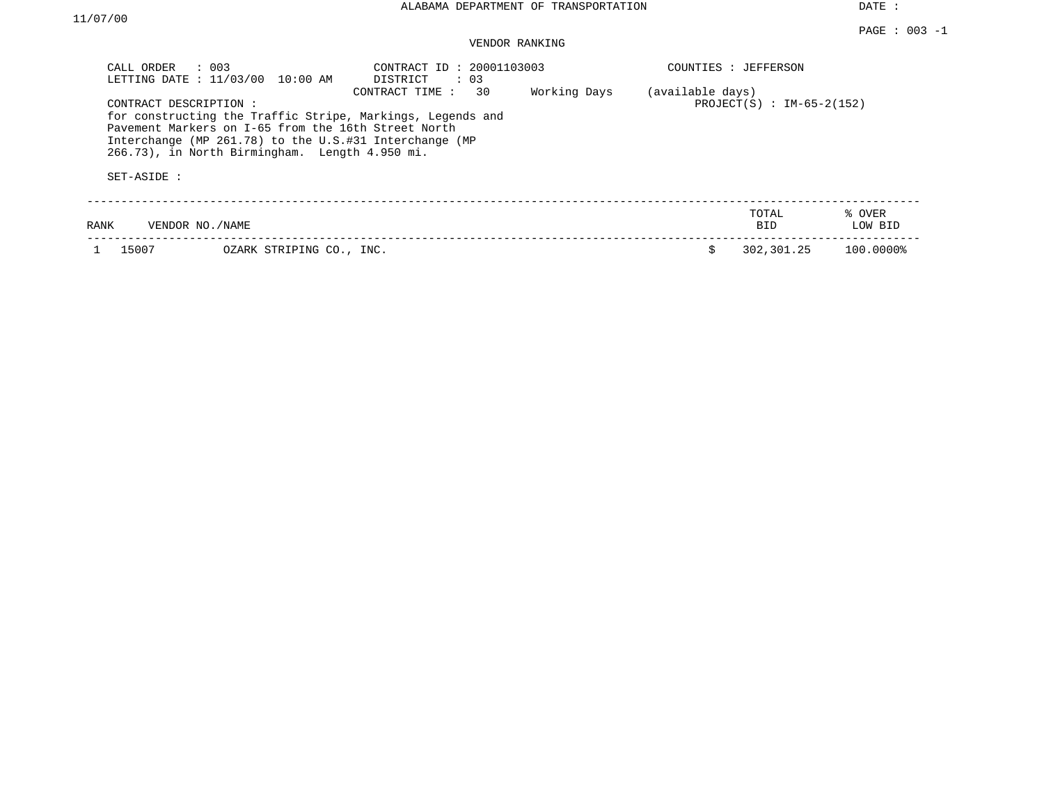DATE :

| CALL ORDER                           | $\therefore$ 003<br>LETTING DATE : 11/03/00 10:00 AM                                                                                                            | CONTRACT ID: 20001103003<br>DISTRICT<br>: 03                                       |              |                  | COUNTIES : JEFFERSON        |                   |
|--------------------------------------|-----------------------------------------------------------------------------------------------------------------------------------------------------------------|------------------------------------------------------------------------------------|--------------|------------------|-----------------------------|-------------------|
| CONTRACT DESCRIPTION:<br>SET-ASIDE : | Pavement Markers on I-65 from the 16th Street North<br>Interchange (MP 261.78) to the U.S.#31 Interchange (MP<br>266.73), in North Birmingham. Length 4.950 mi. | 30<br>CONTRACT TIME:<br>for constructing the Traffic Stripe, Markings, Legends and | Working Days | (available days) | $PROJECT(S) : IM-65-2(152)$ |                   |
| RANK                                 | VENDOR NO./NAME                                                                                                                                                 |                                                                                    |              |                  | TOTAL<br>BID.               | % OVER<br>LOW BID |
| 15007                                | OZARK STRIPING CO., INC.                                                                                                                                        |                                                                                    |              |                  | 302,301.25                  | 100.0000%         |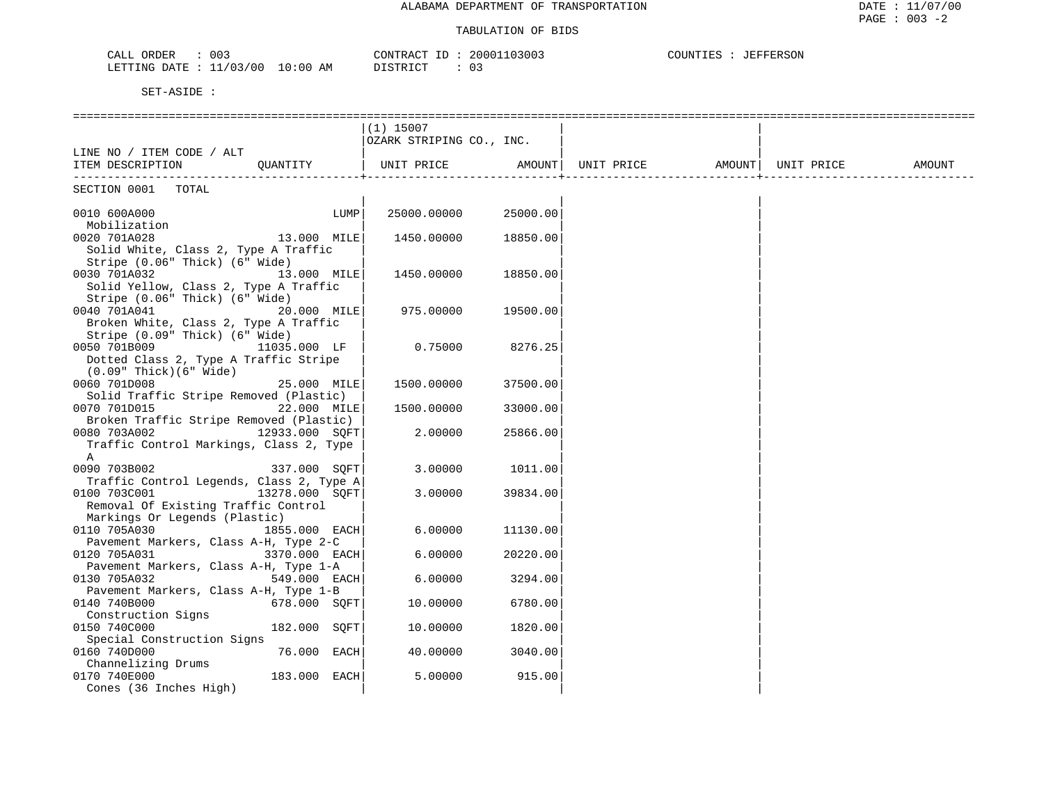| 00.<br>ORDER<br>AT<br>لللطب                                                       | 300<br>CONTRACT<br>2000 | COUNTIES<br><b>JEFFERSON</b> |
|-----------------------------------------------------------------------------------|-------------------------|------------------------------|
| 13/00<br>: 00<br>LETTING<br>10<br>$\sim$ $\sim$<br>AΜ<br>DATE<br>$\cdot$ .<br>+ + | יר דפידי פורי<br>.      |                              |

|                                                       |                | $(1)$ 15007              |               |                                |  |        |
|-------------------------------------------------------|----------------|--------------------------|---------------|--------------------------------|--|--------|
|                                                       |                | OZARK STRIPING CO., INC. |               |                                |  |        |
| LINE NO / ITEM CODE / ALT                             |                |                          |               |                                |  |        |
| ITEM DESCRIPTION                                      | QUANTITY       | UNIT PRICE               | <b>AMOUNT</b> | UNIT PRICE AMOUNT   UNIT PRICE |  | AMOUNT |
|                                                       |                |                          |               |                                |  |        |
| SECTION 0001 TOTAL                                    |                |                          |               |                                |  |        |
| 0010 600A000                                          | LUMP           | 25000.00000              | 25000.00      |                                |  |        |
| Mobilization                                          |                |                          |               |                                |  |        |
| 0020 701A028                                          | 13.000 MILE    | 1450.00000               | 18850.00      |                                |  |        |
| Solid White, Class 2, Type A Traffic                  |                |                          |               |                                |  |        |
| Stripe (0.06" Thick) (6" Wide)                        |                |                          |               |                                |  |        |
| 0030 701A032                                          | 13.000 MILE    | 1450.00000               | 18850.00      |                                |  |        |
| Solid Yellow, Class 2, Type A Traffic                 |                |                          |               |                                |  |        |
| Stripe (0.06" Thick) (6" Wide)                        |                |                          |               |                                |  |        |
| 0040 701A041                                          | 20.000 MILE    | 975.00000                | 19500.00      |                                |  |        |
| Broken White, Class 2, Type A Traffic                 |                |                          |               |                                |  |        |
| Stripe (0.09" Thick) (6" Wide)                        |                |                          |               |                                |  |        |
| 0050 701B009                                          | 11035.000 LF   | 0.75000                  | 8276.25       |                                |  |        |
| Dotted Class 2, Type A Traffic Stripe                 |                |                          |               |                                |  |        |
| $(0.09"$ Thick $)(6"$ Wide $)$                        |                |                          |               |                                |  |        |
| 0060 701D008                                          | 25.000 MILE    | 1500.00000               | 37500.00      |                                |  |        |
| Solid Traffic Stripe Removed (Plastic)                |                |                          |               |                                |  |        |
| 0070 701D015                                          | 22.000 MILE    | 1500.00000               | 33000.00      |                                |  |        |
| Broken Traffic Stripe Removed (Plastic)               |                |                          |               |                                |  |        |
| 0080 703A002                                          | 12933.000 SOFT | 2.00000                  | 25866.00      |                                |  |        |
| Traffic Control Markings, Class 2, Type               |                |                          |               |                                |  |        |
| A                                                     |                |                          |               |                                |  |        |
| 0090 703B002                                          | 337.000 SQFT   | 3.00000                  | 1011.00       |                                |  |        |
| Traffic Control Legends, Class 2, Type A              |                |                          |               |                                |  |        |
| 0100 703C001                                          | 13278.000 SOFT | 3.00000                  | 39834.00      |                                |  |        |
| Removal Of Existing Traffic Control                   |                |                          |               |                                |  |        |
| Markings Or Legends (Plastic)                         |                |                          |               |                                |  |        |
| 0110 705A030                                          | 1855.000 EACH  | 6.00000                  | 11130.00      |                                |  |        |
| Pavement Markers, Class A-H, Type 2-C                 |                |                          |               |                                |  |        |
| 0120 705A031                                          | 3370.000 EACH  | 6.00000                  | 20220.00      |                                |  |        |
| Pavement Markers, Class A-H, Type 1-A<br>0130 705A032 | 549.000 EACH   | 6.00000                  | 3294.00       |                                |  |        |
| Pavement Markers, Class A-H, Type 1-B                 |                |                          |               |                                |  |        |
| 0140 740B000                                          | 678.000 SOFT   | 10.00000                 | 6780.00       |                                |  |        |
| Construction Signs                                    |                |                          |               |                                |  |        |
| 0150 740C000                                          | 182.000 SQFT   | 10.00000                 | 1820.00       |                                |  |        |
| Special Construction Signs                            |                |                          |               |                                |  |        |
| 0160 740D000                                          | 76.000 EACH    | 40.00000                 | 3040.00       |                                |  |        |
| Channelizing Drums                                    |                |                          |               |                                |  |        |
| 0170 740E000                                          | 183.000 EACH   | 5.00000                  | 915.00        |                                |  |        |
| Cones (36 Inches High)                                |                |                          |               |                                |  |        |
|                                                       |                |                          |               |                                |  |        |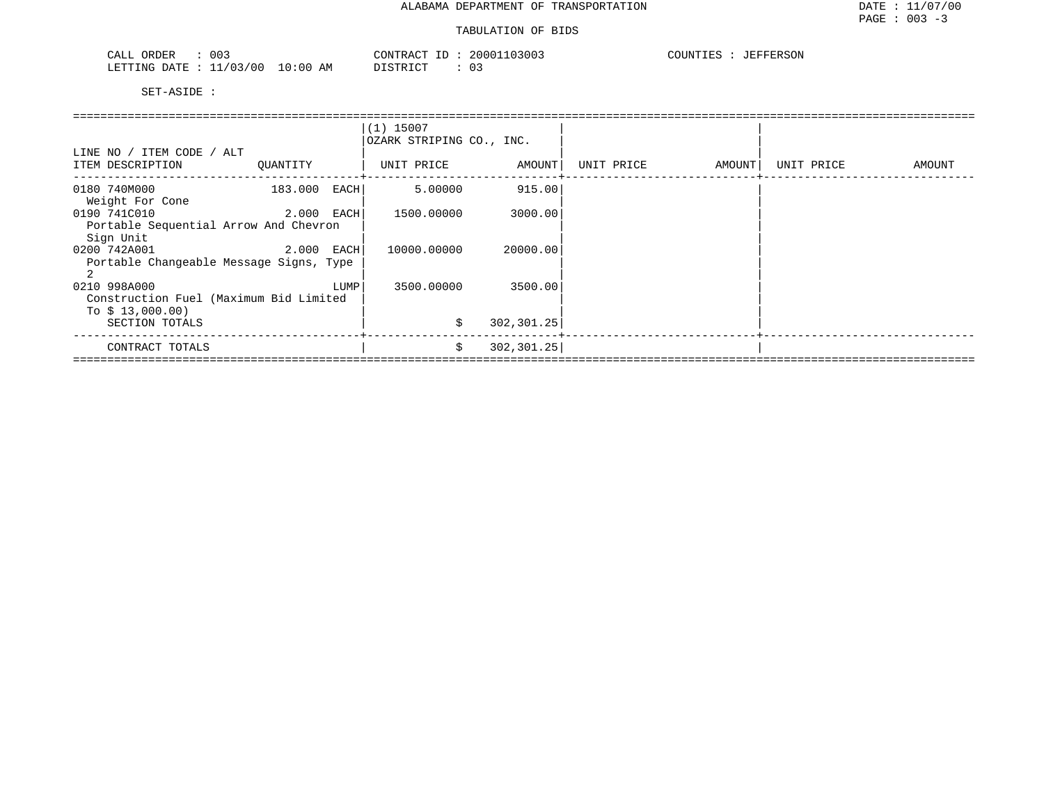| 003<br>ORDER<br>CALL                             | 20001103003<br>CONTRACT<br>$-1$ | COUNTIES<br>JEFFERSON |
|--------------------------------------------------|---------------------------------|-----------------------|
| $1/03/00$ .<br>10:00<br>LETTING<br>DATE.<br>____ | ידי איד אידי את<br>AΜ           |                       |

|                                                         |              |            | $(1)$ 15007<br>OZARK STRIPING CO., INC. |             |            |        |            |        |
|---------------------------------------------------------|--------------|------------|-----------------------------------------|-------------|------------|--------|------------|--------|
| LINE NO / ITEM CODE / ALT<br>ITEM DESCRIPTION           | OUANTITY     |            | UNIT PRICE                              | AMOUNT      | UNIT PRICE | AMOUNT | UNIT PRICE | AMOUNT |
| 0180 740M000<br>Weight For Cone                         | 183.000      | EACH       | 5.00000                                 | 915.00      |            |        |            |        |
| 0190 741C010                                            | 2.000 EACH   |            | 1500.00000                              | 3000.00     |            |        |            |        |
| Portable Sequential Arrow And Chevron<br>Sign Unit      |              |            |                                         |             |            |        |            |        |
| 0200 742A001<br>Portable Changeable Message Signs, Type | $2.000$ EACH |            | 10000.00000                             | 20000.00    |            |        |            |        |
|                                                         |              |            |                                         |             |            |        |            |        |
| 0210 998A000<br>Construction Fuel (Maximum Bid Limited  | LUMP         | 3500.00000 | 3500.00                                 |             |            |        |            |        |
| To $$13,000.00)$<br>SECTION TOTALS                      |              |            | \$                                      | 302,301.25  |            |        |            |        |
| CONTRACT TOTALS                                         |              |            | \$                                      | 302, 301.25 |            |        |            |        |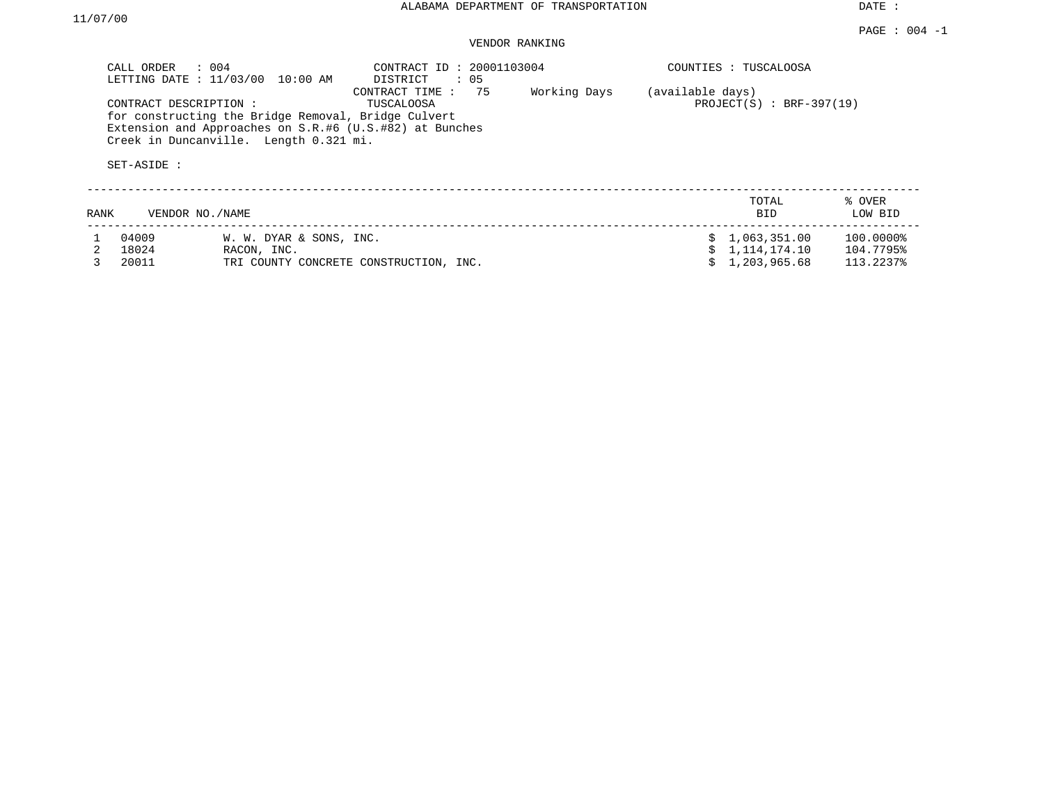PAGE : 004 -1

DATE :

|      | CALL ORDER<br>LETTING DATE : 11/03/00 | $\therefore$ 004<br>10:00 AM                                                                                                                             | CONTRACT ID: 20001103004<br>DISTRICT<br>: 05 |                            |    | COUNTIES : TUSCALOOSA |                   |  |  |
|------|---------------------------------------|----------------------------------------------------------------------------------------------------------------------------------------------------------|----------------------------------------------|----------------------------|----|-----------------------|-------------------|--|--|
|      | CONTRACT DESCRIPTION :<br>SET-ASIDE : | for constructing the Bridge Removal, Bridge Culvert<br>Extension and Approaches on S.R.#6 (U.S.#82) at Bunches<br>Creek in Duncanville. Length 0.321 mi. | (available days)                             | $PROJECT(S) : BRF-397(19)$ |    |                       |                   |  |  |
| RANK |                                       | VENDOR NO./NAME                                                                                                                                          |                                              |                            |    | TOTAL<br><b>BID</b>   | % OVER<br>LOW BID |  |  |
|      | 04009                                 | W. W. DYAR & SONS, INC.                                                                                                                                  |                                              |                            | S. | 1,063,351.00          | 100.0000%         |  |  |
|      | 18024                                 | RACON, INC.                                                                                                                                              |                                              |                            |    | 1,114,174.10          | 104.7795%         |  |  |
|      | 20011                                 |                                                                                                                                                          | TRI COUNTY CONCRETE CONSTRUCTION, INC.       |                            |    | 1,203,965.68          | 113.2237%         |  |  |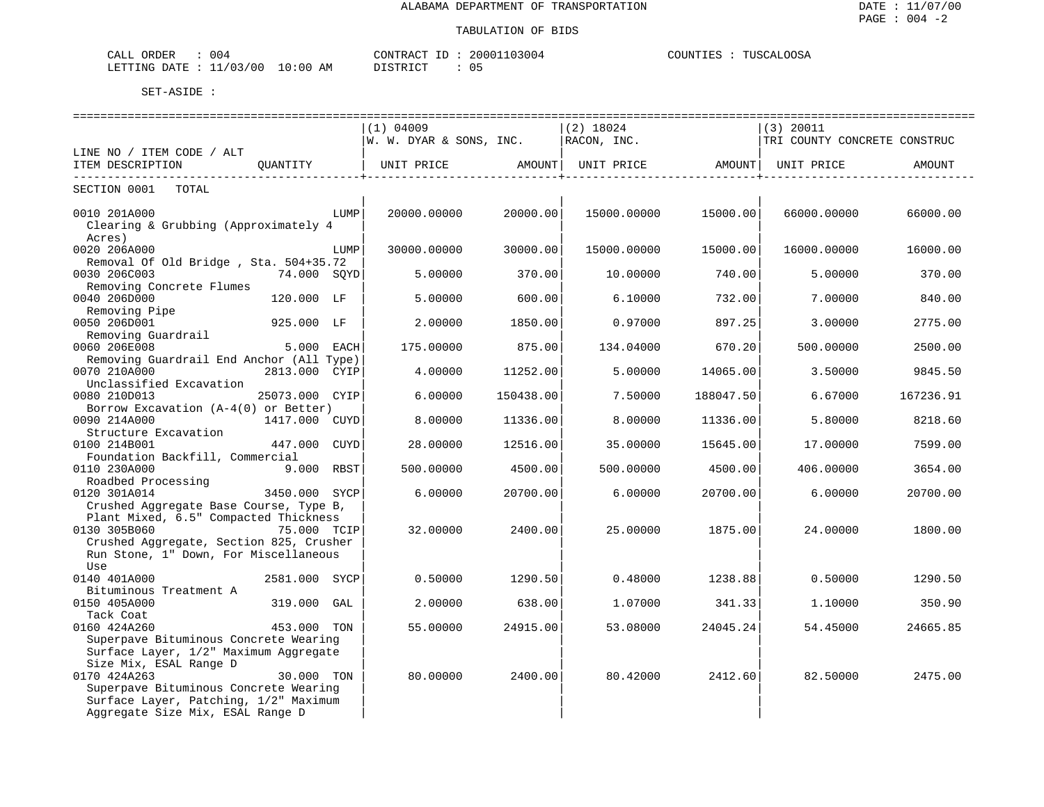| $\sim$ $ -$<br>∩R⊺<br>∩EF<br>$7\Delta$ T | 004    |             | CONTRAC<br>$\sim$ $\sim$ $\sim$ | 03004<br>2000 | COLINT<br>'IES | TITCO1<br>$^{\prime}$ |
|------------------------------------------|--------|-------------|---------------------------------|---------------|----------------|-----------------------|
| LETTING<br><b>DATE</b>                   | /03/00 | 10:00<br>AΜ |                                 | ◡-            |                |                       |

| ===========================              |                |      | ---------------------                      |           |             |                   |                              |           |
|------------------------------------------|----------------|------|--------------------------------------------|-----------|-------------|-------------------|------------------------------|-----------|
|                                          |                |      | (1) 04009                                  |           | $(2)$ 18024 |                   | $(3)$ 20011                  |           |
|                                          |                |      | $ W. W. DYAR \&$ SONS, INC. $ RACON, INC.$ |           |             |                   | TRI COUNTY CONCRETE CONSTRUC |           |
| LINE NO / ITEM CODE / ALT                |                |      |                                            |           |             |                   |                              |           |
| ITEM DESCRIPTION QUANTITY                |                |      | UNIT PRICE                                 | AMOUNT    | UNIT PRICE  | AMOUNT            | UNIT PRICE                   | AMOUNT    |
| SECTION 0001 TOTAL                       |                |      |                                            |           |             | ---------------   |                              |           |
|                                          |                |      |                                            |           |             |                   |                              |           |
| 0010 201A000                             |                | LUMP | 20000.00000                                | 20000.00  | 15000.00000 | 15000.00          | 66000.00000                  | 66000.00  |
| Clearing & Grubbing (Approximately 4     |                |      |                                            |           |             |                   |                              |           |
| Acres)                                   |                |      |                                            |           |             |                   |                              |           |
| 0020 206A000                             |                | LUMP | 30000.00000                                | 30000.00  | 15000.00000 | 15000.00          | 16000.00000                  | 16000.00  |
| Removal Of Old Bridge, Sta. 504+35.72    | 74.000 SOYD    |      |                                            |           |             |                   |                              |           |
| 0030 206C003                             |                |      | 5.00000                                    | 370.00    | 10.00000    | 740.00            | 5.00000                      | 370.00    |
| Removing Concrete Flumes<br>0040 206D000 | 120.000 LF     |      | 5.00000                                    | 600.00    | 6.10000     | 732.00            | 7.00000                      | 840.00    |
| Removing Pipe                            |                |      |                                            |           |             |                   |                              |           |
| 0050 206D001                             | 925.000 LF     |      | 2.00000                                    | 1850.00   | 0.97000     | 897.25            | 3.00000                      | 2775.00   |
| Removing Guardrail                       |                |      |                                            |           |             |                   |                              |           |
| 0060 206E008                             | 5.000 EACH     |      | 175.00000                                  | 875.00    | 134.04000   | 670.20            | 500.00000                    | 2500.00   |
| Removing Guardrail End Anchor (All Type) |                |      |                                            |           |             |                   |                              |           |
| 2813.000 CYIP<br>0070 210A000            |                |      | 4.00000                                    | 11252.00  | 5.00000     | 14065.00          | 3.50000                      | 9845.50   |
| Unclassified Excavation                  |                |      |                                            |           |             |                   |                              |           |
| 0080 210D013                             | 25073.000 CYIP |      | 6.00000                                    | 150438.00 | 7.50000     | 188047.50         | 6.67000                      | 167236.91 |
| Borrow Excavation (A-4(0) or Better)     |                |      |                                            |           |             |                   |                              |           |
| 0090 214A000<br>1417.000 CUYD            |                |      | 8,00000                                    | 11336.00  | 8,00000     | 11336.00          | 5.80000                      | 8218.60   |
| Structure Excavation                     |                |      |                                            |           |             |                   |                              |           |
| 0100 214B001                             | 447.000 CUYD   |      | 28.00000                                   | 12516.00  | 35.00000    | 15645.00          | 17.00000                     | 7599.00   |
| Foundation Backfill, Commercial          |                |      |                                            |           |             |                   |                              |           |
| 9.000 RBST<br>0110 230A000               |                |      | 500.00000                                  | 4500.00   | 500.00000   | 4500.00           | 406.00000                    | 3654.00   |
| Roadbed Processing                       |                |      |                                            |           |             |                   |                              |           |
| 0120 301A014                             | 3450.000 SYCP  |      | 6.00000                                    | 20700.00  | 6.00000     | 20700.00          | 6.00000                      | 20700.00  |
| Crushed Aggregate Base Course, Type B,   |                |      |                                            |           |             |                   |                              |           |
| Plant Mixed, 6.5" Compacted Thickness    |                |      |                                            |           |             |                   |                              |           |
| 0130 305B060                             | 75.000 TCIP    |      | 32.00000                                   | 2400.00   | 25.00000    | 1875.00           | 24.00000                     | 1800.00   |
| Crushed Aggregate, Section 825, Crusher  |                |      |                                            |           |             |                   |                              |           |
| Run Stone, 1" Down, For Miscellaneous    |                |      |                                            |           |             |                   |                              |           |
| Use<br>0140 401A000                      |                |      | 0.50000                                    | 1290.50   |             | $0.48000$ 1238.88 |                              |           |
|                                          | 2581.000 SYCP  |      |                                            |           |             |                   | 0.50000                      | 1290.50   |
| Bituminous Treatment A<br>0150 405A000   | 319.000 GAL    |      | 2,00000                                    | 638.00    | 1.07000     | 341.33            | 1,10000                      | 350.90    |
| Tack Coat                                |                |      |                                            |           |             |                   |                              |           |
| 0160 424A260                             | 453.000 TON    |      | 55.00000                                   | 24915.00  | 53.08000    | 24045.24          | 54.45000                     | 24665.85  |
| Superpave Bituminous Concrete Wearing    |                |      |                                            |           |             |                   |                              |           |
| Surface Layer, 1/2" Maximum Aggregate    |                |      |                                            |           |             |                   |                              |           |
| Size Mix, ESAL Range D                   |                |      |                                            |           |             |                   |                              |           |
| 0170 424A263                             | 30.000 TON     |      | 80.00000                                   | 2400.00   | 80.42000    | 2412.60           | 82.50000                     | 2475.00   |
| Superpave Bituminous Concrete Wearing    |                |      |                                            |           |             |                   |                              |           |
| Surface Layer, Patching, 1/2" Maximum    |                |      |                                            |           |             |                   |                              |           |
| Aggregate Size Mix, ESAL Range D         |                |      |                                            |           |             |                   |                              |           |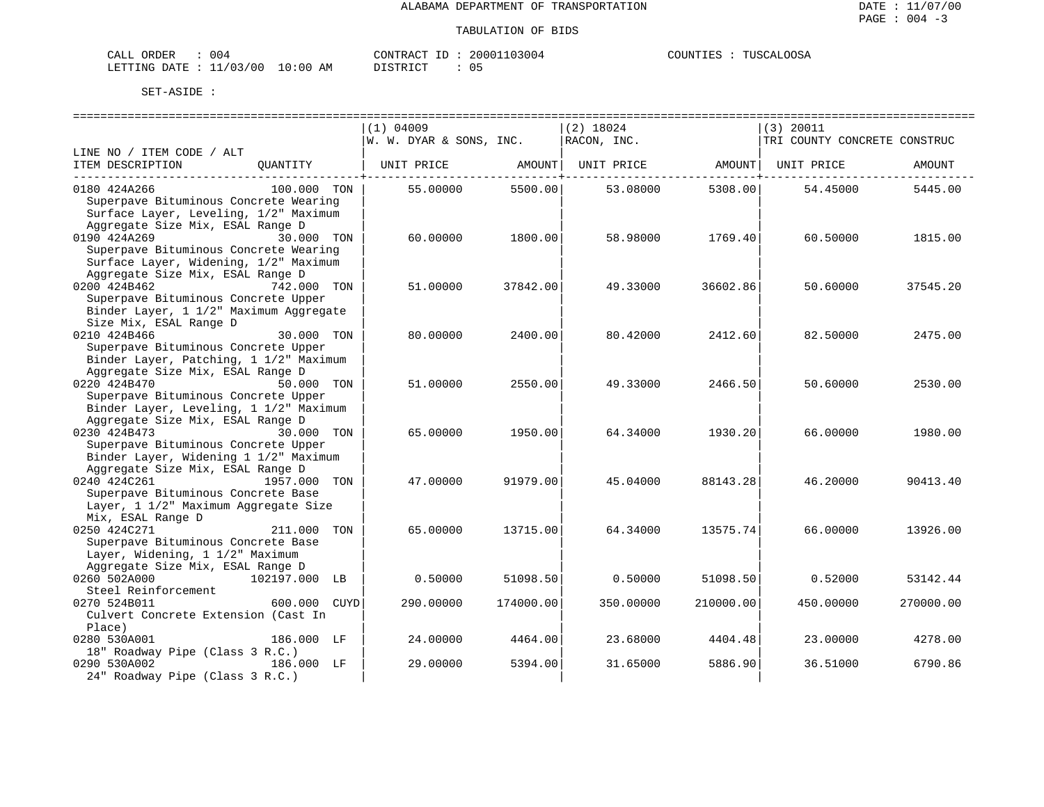| ORDER<br>CALL     | 004                     | CONTRACT<br>TГ. | 103004<br>200011 | TUSCALOOSA<br>COUNTIES |
|-------------------|-------------------------|-----------------|------------------|------------------------|
| , DATE<br>LETTING | 10:00<br>11/03/00<br>AΜ | ידי איד אידי את | $\sim$<br>ັັັ    |                        |

|                                                                                                                                                                                    | $(1)$ 04009             |           | (2) 18024                      |           | $(3)$ 20011                  |           |
|------------------------------------------------------------------------------------------------------------------------------------------------------------------------------------|-------------------------|-----------|--------------------------------|-----------|------------------------------|-----------|
|                                                                                                                                                                                    | W. W. DYAR & SONS, INC. |           | RACON, INC.                    |           | TRI COUNTY CONCRETE CONSTRUC |           |
| LINE NO / ITEM CODE / ALT<br>ITEM DESCRIPTION<br>QUANTITY                                                                                                                          | UNIT PRICE AMOUNT       |           | UNIT PRICE AMOUNT   UNIT PRICE |           |                              | AMOUNT    |
| 0180 424A266<br>100.000 TON<br>Superpave Bituminous Concrete Wearing<br>Surface Layer, Leveling, 1/2" Maximum                                                                      | 55.00000                | 5500.00   | 53.08000                       | 5308.00   | 54.45000                     | 5445.00   |
| Aggregate Size Mix, ESAL Range D<br>0190 424A269<br>30.000 TON<br>Superpave Bituminous Concrete Wearing<br>Surface Layer, Widening, 1/2" Maximum                                   | 60.00000                | 1800.00   | 58.98000                       | 1769.40   | 60.50000                     | 1815.00   |
| Aggregate Size Mix, ESAL Range D<br>0200 424B462<br>742.000 TON<br>Superpave Bituminous Concrete Upper<br>Binder Layer, 1 1/2" Maximum Aggregate                                   | 51,00000                | 37842.00  | 49.33000                       | 36602.86  | 50.60000                     | 37545.20  |
| Size Mix, ESAL Range D<br>0210 424B466<br>30.000 TON<br>Superpave Bituminous Concrete Upper<br>Binder Layer, Patching, 1 1/2" Maximum                                              | 80.00000                | 2400.00   | 80.42000                       | 2412.60   | 82.50000                     | 2475.00   |
| Aggregate Size Mix, ESAL Range D<br>0220 424B470<br>50.000 TON<br>Superpave Bituminous Concrete Upper<br>Binder Layer, Leveling, 1 1/2" Maximum                                    | 51.00000                | 2550.00   | 49.33000                       | 2466.50   | 50.60000                     | 2530.00   |
| Aggregate Size Mix, ESAL Range D<br>0230 424B473<br>30.000 TON<br>Superpave Bituminous Concrete Upper<br>Binder Layer, Widening 1 1/2" Maximum<br>Aggregate Size Mix, ESAL Range D | 65.00000                | 1950.00   | 64.34000                       | 1930.20   | 66.00000                     | 1980.00   |
| 0240 424C261<br>1957.000 TON<br>Superpave Bituminous Concrete Base<br>Layer, 1 1/2" Maximum Aggregate Size<br>Mix, ESAL Range D                                                    | 47.00000                | 91979.00  | 45.04000                       | 88143.28  | 46.20000                     | 90413.40  |
| 0250 424C271<br>211.000 TON<br>Superpave Bituminous Concrete Base<br>Layer, Widening, 1 1/2" Maximum<br>Aggregate Size Mix, ESAL Range D                                           | 65.00000                | 13715.00  | 64.34000                       | 13575.74  | 66.00000                     | 13926.00  |
| 102197.000 LB<br>0260 502A000<br>Steel Reinforcement                                                                                                                               | 0.50000                 | 51098.50  | 0.50000                        | 51098.50  | 0.52000                      | 53142.44  |
| - 200 1000 CUYD<br>0270 524B011<br>Culvert Concrete Extension (Cast In<br>Place)                                                                                                   | 290.00000               | 174000.00 | 350.00000                      | 210000.00 | 450.00000                    | 270000.00 |
| 0280 530A001<br>186.000 LF<br>18" Roadway Pipe (Class 3 R.C.)                                                                                                                      | 24.00000                | 4464.00   | 23.68000                       | 4404.48   | 23.00000                     | 4278.00   |
| 0290 530A002<br>186.000 LF<br>24" Roadway Pipe (Class 3 R.C.)                                                                                                                      | 29.00000                | 5394.00   | 31.65000                       | 5886.90   | 36.51000                     | 6790.86   |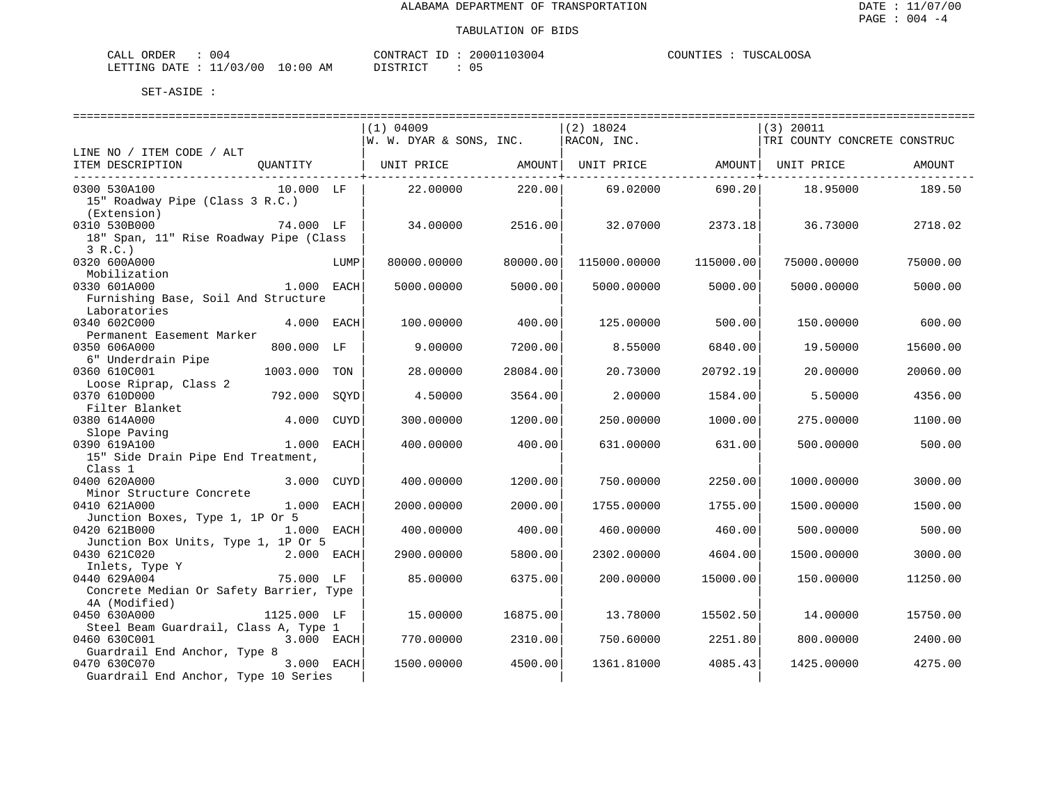| ORDER<br>CALL<br>U U 4 |                                 | "ONTRAL    | നവ<br>13004 | ∩∩S⊉<br><b>THERMAN</b><br>COUNTI<br>$\sim$<br>$\overline{a}$<br>-⊥LN |
|------------------------|---------------------------------|------------|-------------|----------------------------------------------------------------------|
| DATE.<br>LETTING       | :00<br>/03/00<br>$\Omega$<br>AM | דת סידי את | ັັ          |                                                                      |

|                                                                                              | $(1)$ 04009             |          | $(2)$ 18024                  |           | (3) 20011                    |          |
|----------------------------------------------------------------------------------------------|-------------------------|----------|------------------------------|-----------|------------------------------|----------|
|                                                                                              | W. W. DYAR & SONS, INC. |          | RACON, INC.                  |           | TRI COUNTY CONCRETE CONSTRUC |          |
| LINE NO / ITEM CODE / ALT<br>ITEM DESCRIPTION<br>QUANTITY                                    | UNIT PRICE              | AMOUNT   | UNIT PRICE AMOUNT UNIT PRICE |           |                              | AMOUNT   |
| 0300 530A100<br>$10.000$ LF<br>15" Roadway Pipe (Class 3 R.C.)                               | 22.00000                | 220.00   | 69.02000                     | 690.20    | 18.95000                     | 189.50   |
| (Extension)<br>0310 530B000<br>74.000 LF<br>18" Span, 11" Rise Roadway Pipe (Class<br>3 R.C. | 34.00000                | 2516.00  | 32.07000                     | 2373.18   | 36.73000                     | 2718.02  |
| 0320 600A000<br>LUMP<br>Mobilization                                                         | 80000.00000             | 80000.00 | 115000.00000                 | 115000.00 | 75000.00000                  | 75000.00 |
| 0330 601A000<br>1.000 EACH<br>Furnishing Base, Soil And Structure                            | 5000.00000              | 5000.00  | 5000.00000                   | 5000.00   | 5000.00000                   | 5000.00  |
| Laboratories<br>4.000 EACH<br>0340 602C000<br>Permanent Easement Marker                      | 100.00000               | 400.00   | 125.00000                    | 500.00    | 150.00000                    | 600.00   |
| 0350 606A000<br>800.000 LF<br>6" Underdrain Pipe                                             | 9,00000                 | 7200.00  | 8.55000                      | 6840.00   | 19.50000                     | 15600.00 |
| 0360 610C001<br>1003.000 TON<br>Loose Riprap, Class 2                                        | 28,00000                | 28084.00 | 20.73000                     | 20792.19  | 20.00000                     | 20060.00 |
| 0370 610D000<br>792.000<br>SOYD<br>Filter Blanket                                            | 4.50000                 | 3564.00  | 2.00000                      | 1584.00   | 5.50000                      | 4356.00  |
| 0380 614A000<br>4.000 CUYD<br>Slope Paving                                                   | 300.00000               | 1200.00  | 250.00000                    | 1000.00   | 275.00000                    | 1100.00  |
| 0390 619A100<br>1.000 EACH<br>15" Side Drain Pipe End Treatment,                             | 400.00000               | 400.00   | 631.00000                    | 631.00    | 500.00000                    | 500.00   |
| Class 1                                                                                      |                         |          |                              |           |                              |          |
| 0400 620A000<br>3.000 CUYD<br>Minor Structure Concrete                                       | 400.00000               | 1200.00  | 750.00000                    | 2250.00   | 1000.00000                   | 3000.00  |
| 0410 621A000<br>1.000 EACH<br>Junction Boxes, Type 1, 1P Or 5                                | 2000.00000              | 2000.00  | 1755.00000                   | 1755.00   | 1500.00000                   | 1500.00  |
| 0420 621B000<br>1.000 EACH<br>Junction Box Units, Type 1, 1P Or 5                            | 400.00000               | 400.00   | 460.00000                    | 460.00    | 500.00000                    | 500.00   |
| 0430 621C020<br>2.000 EACH<br>Inlets, Type Y                                                 | 2900.00000              | 5800.00  | 2302.00000                   | 4604.00   | 1500.00000                   | 3000.00  |
| 0440 629A004<br>75.000 LF<br>Concrete Median Or Safety Barrier, Type                         | 85.00000                | 6375.00  | 200,00000                    | 15000.00  | 150.00000                    | 11250.00 |
| 4A (Modified)<br>0450 630A000<br>1125.000 LF                                                 | 15.00000                | 16875.00 | 13.78000                     | 15502.50  | 14.00000                     | 15750.00 |
| Steel Beam Guardrail, Class A, Type 1                                                        |                         |          |                              |           |                              |          |
| 3.000 EACH<br>0460 630C001                                                                   | 770.00000               | 2310.00  | 750.60000                    | 2251.80   | 800.00000                    | 2400.00  |
| Guardrail End Anchor, Type 8<br>3.000 EACH                                                   |                         |          |                              |           |                              |          |
| 0470 630C070<br>Guardrail End Anchor, Type 10 Series                                         | 1500.00000              | 4500.00  | 1361.81000                   | 4085.43   | 1425.00000                   | 4275.00  |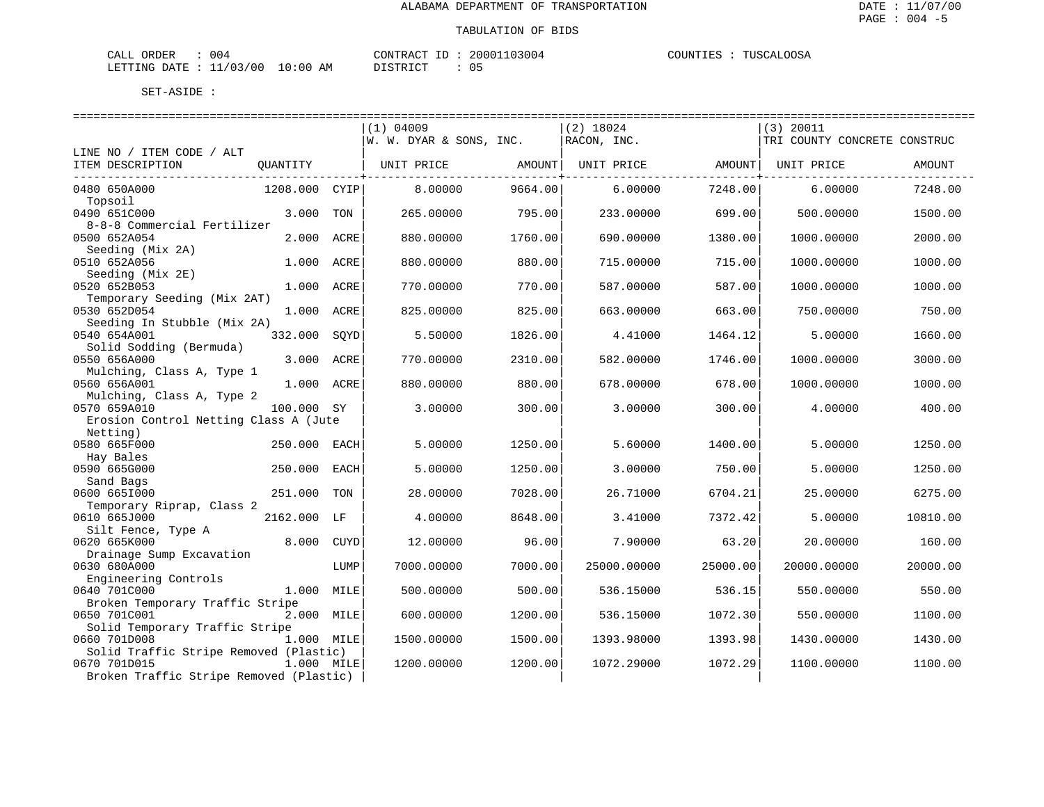| CALL ORDER                       | : 004 |          | CONTRACT ID: 20001103004 | COUNTIES : TUSCALOOSA |
|----------------------------------|-------|----------|--------------------------|-----------------------|
| LETTING DATE : 11/03/00 10:00 AM |       | DISTRICT |                          |                       |

|                                             |               |      | (1) 04009               |         | $(2)$ 18024 |          | (3) 20011                    |          |
|---------------------------------------------|---------------|------|-------------------------|---------|-------------|----------|------------------------------|----------|
|                                             |               |      | W. W. DYAR & SONS, INC. |         | RACON, INC. |          | TRI COUNTY CONCRETE CONSTRUC |          |
| LINE NO / ITEM CODE / ALT                   |               |      |                         |         |             |          |                              |          |
| ITEM DESCRIPTION                            | QUANTITY      |      | UNIT PRICE              | AMOUNT  | UNIT PRICE  | AMOUNT   | UNIT PRICE                   | AMOUNT   |
| 0480 650A000                                | 1208.000 CYIP |      | 8,00000                 | 9664.00 | 6,00000     | 7248.00  | 6.00000                      | 7248.00  |
| Topsoil                                     |               |      |                         |         |             |          |                              |          |
| 0490 651C000                                | 3.000         | TON  | 265.00000               | 795.00  | 233.00000   | 699.00   | 500.00000                    | 1500.00  |
| 8-8-8 Commercial Fertilizer                 |               |      |                         |         |             |          |                              |          |
| 0500 652A054                                | 2.000         | ACRE | 880.00000               | 1760.00 | 690.00000   | 1380.00  | 1000.00000                   | 2000.00  |
| Seeding (Mix 2A)                            |               |      |                         |         |             |          |                              |          |
| 0510 652A056                                | 1.000         | ACRE | 880.00000               | 880.00  | 715.00000   | 715.00   | 1000.00000                   | 1000.00  |
| Seeding (Mix 2E)                            |               |      |                         |         |             |          |                              |          |
| 0520 652B053                                | 1.000 ACRE    |      | 770.00000               | 770.00  | 587.00000   | 587.00   | 1000.00000                   | 1000.00  |
| Temporary Seeding (Mix 2AT)<br>0530 652D054 | 1.000 ACRE    |      | 825.00000               | 825.00  | 663.00000   | 663.00   | 750.00000                    | 750.00   |
| Seeding In Stubble (Mix 2A)                 |               |      |                         |         |             |          |                              |          |
| 0540 654A001                                | 332.000       | SQYD | 5.50000                 | 1826.00 | 4.41000     | 1464.12  | 5.00000                      | 1660.00  |
| Solid Sodding (Bermuda)                     |               |      |                         |         |             |          |                              |          |
| 0550 656A000                                | 3.000         | ACRE | 770.00000               | 2310.00 | 582.00000   | 1746.00  | 1000.00000                   | 3000.00  |
| Mulching, Class A, Type 1                   |               |      |                         |         |             |          |                              |          |
| 0560 656A001                                | 1.000 ACRE    |      | 880.00000               | 880.00  | 678.00000   | 678.00   | 1000.00000                   | 1000.00  |
| Mulching, Class A, Type 2                   |               |      |                         |         |             |          |                              |          |
| 0570 659A010                                | 100.000 SY    |      | 3.00000                 | 300.00  | 3.00000     | 300.00   | 4.00000                      | 400.00   |
| Erosion Control Netting Class A (Jute       |               |      |                         |         |             |          |                              |          |
| Netting)<br>0580 665F000                    | 250.000       | EACH | 5.00000                 | 1250.00 | 5.60000     | 1400.00  | 5.00000                      | 1250.00  |
| Hay Bales                                   |               |      |                         |         |             |          |                              |          |
| 0590 665G000                                | 250.000       | EACH | 5.00000                 | 1250.00 | 3.00000     | 750.00   | 5.00000                      | 1250.00  |
| Sand Bags                                   |               |      |                         |         |             |          |                              |          |
| 0600 6651000                                | 251.000       | TON  | 28.00000                | 7028.00 | 26.71000    | 6704.21  | 25.00000                     | 6275.00  |
| Temporary Riprap, Class 2                   |               |      |                         |         |             |          |                              |          |
| 0610 665J000                                | 2162.000 LF   |      | 4.00000                 | 8648.00 | 3.41000     | 7372.42  | 5.00000                      | 10810.00 |
| Silt Fence, Type A                          |               |      |                         |         |             |          |                              |          |
| 0620 665K000                                | 8,000         | CUYD | 12.00000                | 96.00   | 7.90000     | 63.20    | 20.00000                     | 160.00   |
| Drainage Sump Excavation<br>0630 680A000    |               | LUMP |                         | 7000.00 | 25000.00000 | 25000.00 |                              | 20000.00 |
| Engineering Controls                        |               |      | 7000.00000              |         |             |          | 20000.00000                  |          |
| 0640 701C000                                | 1.000 MILE    |      | 500.00000               | 500.00  | 536.15000   | 536.15   | 550.00000                    | 550.00   |
| Broken Temporary Traffic Stripe             |               |      |                         |         |             |          |                              |          |
| 0650 701C001                                | 2.000 MILE    |      | 600.00000               | 1200.00 | 536.15000   | 1072.30  | 550.00000                    | 1100.00  |
| Solid Temporary Traffic Stripe              |               |      |                         |         |             |          |                              |          |
| 0660 701D008                                | 1.000 MILE    |      | 1500.00000              | 1500.00 | 1393.98000  | 1393.98  | 1430.00000                   | 1430.00  |
| Solid Traffic Stripe Removed (Plastic)      |               |      |                         |         |             |          |                              |          |
| 0670 701D015                                | 1.000 MILE    |      | 1200.00000              | 1200.00 | 1072.29000  | 1072.29  | 1100.00000                   | 1100.00  |
| Broken Traffic Stripe Removed (Plastic)     |               |      |                         |         |             |          |                              |          |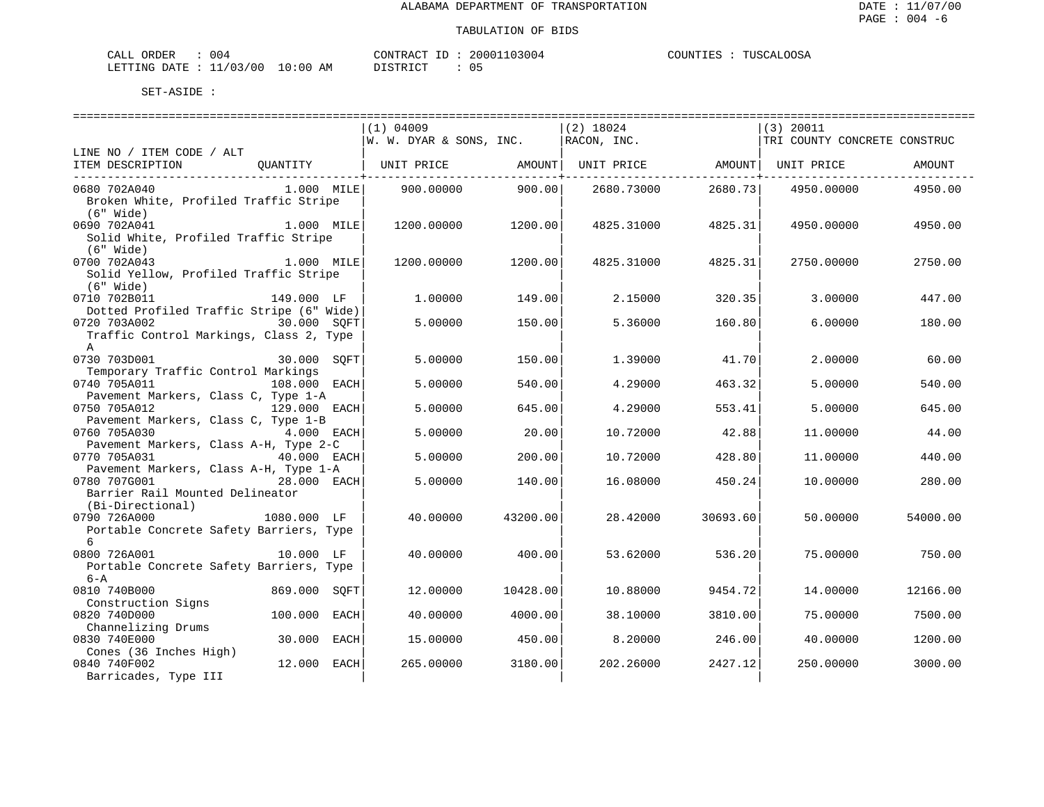TUSCALOOSA

| ORDER<br>CALL           | 004 |            | CONTRACT<br>ID | 20001103004 | COUNTIES | TUSCALOOSA |
|-------------------------|-----|------------|----------------|-------------|----------|------------|
| LETTING DATE : 11/03/00 |     | $10:00$ AM | DI STRICT      |             |          |            |

|                                                                      | $(1)$ 04009             |          | $(2)$ 18024                    |                       | $(3)$ 20011                  |          |
|----------------------------------------------------------------------|-------------------------|----------|--------------------------------|-----------------------|------------------------------|----------|
|                                                                      | W. W. DYAR & SONS, INC. |          | RACON, INC.                    |                       | TRI COUNTY CONCRETE CONSTRUC |          |
| LINE NO / ITEM CODE / ALT                                            |                         |          |                                |                       |                              |          |
| ITEM DESCRIPTION<br>QUANTITY   UNIT PRICE AMOUNT                     |                         | . 4      | UNIT PRICE AMOUNT   UNIT PRICE | ---------------+----- |                              | AMOUNT   |
| 0680 702A040<br>$1.000$ MILE                                         | 900.00000               | 900.00   | 2680.73000                     | 2680.73               | 4950.00000                   | 4950.00  |
| Broken White, Profiled Traffic Stripe<br>(6" Wide)                   |                         |          |                                |                       |                              |          |
| 0690 702A041<br>1.000 MILE                                           | 1200.00000              | 1200.00  | 4825.31000                     | 4825.31               | 4950.00000                   | 4950.00  |
| Solid White, Profiled Traffic Stripe<br>(6" Wide)                    |                         |          |                                |                       |                              |          |
| 0700 702A043<br>$1.000$ MILE                                         | 1200.00000              | 1200.00  | 4825.31000                     | 4825.31               | 2750.00000                   | 2750.00  |
| Solid Yellow, Profiled Traffic Stripe<br>(6" Wide)                   |                         |          |                                |                       |                              |          |
| 149.000 LF<br>0710 702B011                                           | 1,00000                 | 149.00   | 2.15000                        | 320.35                | 3.00000                      | 447.00   |
| Dotted Profiled Traffic Stripe (6" Wide)                             |                         |          |                                |                       |                              |          |
| 0720 703A002<br>30.000 SQFT                                          | 5.00000                 | 150.00   | 5.36000                        | 160.80                | 6.00000                      | 180.00   |
| Traffic Control Markings, Class 2, Type<br>$\mathsf{A}$              |                         |          |                                |                       |                              |          |
| 30.000 SQFT<br>0730 703D001                                          | 5.00000                 | 150.00   | 1.39000                        | 41.70                 | 2,00000                      | 60.00    |
| Temporary Traffic Control Markings                                   |                         |          |                                |                       |                              |          |
| 0740 705A011<br>108.000 EACH                                         | 5.00000                 | 540.00   | 4.29000                        | 463.32                | 5.00000                      | 540.00   |
| Pavement Markers, Class C, Type 1-A<br>0750 705A012<br>129.000 EACH  | 5.00000                 | 645.00   | 4.29000                        | 553.41                | 5.00000                      | 645.00   |
| Pavement Markers, Class C, Type 1-B                                  |                         |          |                                |                       |                              |          |
| 0760 705A030<br>$4.000$ EACH                                         | 5.00000                 | 20.00    | 10.72000                       | 42.88                 | 11,00000                     | 44.00    |
| Pavement Markers, Class A-H, Type 2-C                                |                         |          |                                |                       |                              |          |
| 0770 705A031<br>40.000 EACH                                          | 5.00000                 | 200.00   | 10.72000                       | 428.80                | 11,00000                     | 440.00   |
| Pavement Markers, Class A-H, Type 1-A<br>28.000 EACH<br>0780 707G001 | 5.00000                 | 140.00   | 16.08000                       | 450.24                | 10.00000                     | 280.00   |
| Barrier Rail Mounted Delineator                                      |                         |          |                                |                       |                              |          |
| (Bi-Directional)                                                     |                         |          |                                |                       |                              |          |
| 0790 726A000<br>1080.000 LF                                          | 40.00000                | 43200.00 | 28.42000                       | 30693.60              | 50.00000                     | 54000.00 |
| Portable Concrete Safety Barriers, Type                              |                         |          |                                |                       |                              |          |
| 6                                                                    |                         |          |                                |                       |                              |          |
| 0800 726A001<br>10.000 LF                                            | 40.00000                | 400.00   | 53.62000                       | 536.20                | 75.00000                     | 750.00   |
| Portable Concrete Safety Barriers, Type<br>6-A                       |                         |          |                                |                       |                              |          |
| 869.000 SQFT<br>0810 740B000                                         | 12,00000                | 10428.00 | 10.88000                       | 9454.72               | 14,00000                     | 12166.00 |
| Construction Signs                                                   |                         |          |                                |                       |                              |          |
| 100.000 EACH<br>0820 740D000                                         | 40.00000                | 4000.00  | 38.10000                       | 3810.00               | 75.00000                     | 7500.00  |
| Channelizing Drums                                                   |                         |          |                                |                       |                              |          |
| 0830 740E000<br>30.000 EACH                                          | 15.00000                | 450.00   | 8.20000                        | 246.00                | 40.00000                     | 1200.00  |
| Cones (36 Inches High)                                               |                         |          |                                |                       |                              |          |
| 0840 740F002<br>12.000 EACH                                          | 265.00000               | 3180.00  | 202.26000                      | 2427.12               | 250.00000                    | 3000.00  |
| Barricades, Type III                                                 |                         |          |                                |                       |                              |          |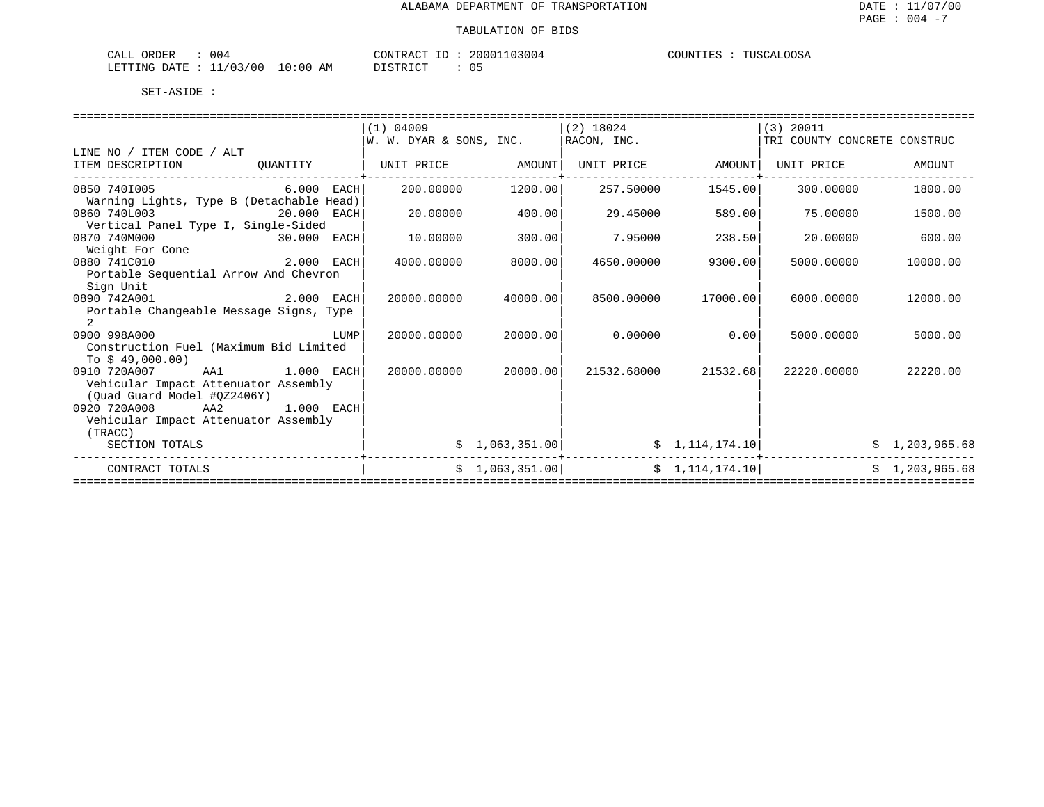| ORDER<br><u>'ΔΙ.</u><br>UU4<br>لللطم           |           | 'ONTR<br>$\cdots$ | : ( ) ( | COUNTIE! |
|------------------------------------------------|-----------|-------------------|---------|----------|
| $\sqrt{2}$<br>ነ∆ ጥټ<br>/ 0 C<br>דידים.<br>NTC. | AΜ<br>:00 |                   |         |          |

|                                                                     |              | (1) 04009               |                | $(2)$ 18024 |                 | $(3)$ 20011                  |                |
|---------------------------------------------------------------------|--------------|-------------------------|----------------|-------------|-----------------|------------------------------|----------------|
|                                                                     |              | W. W. DYAR & SONS, INC. |                | RACON, INC. |                 | TRI COUNTY CONCRETE CONSTRUC |                |
| LINE NO / ITEM CODE / ALT                                           |              |                         |                |             |                 |                              |                |
| ITEM DESCRIPTION                                                    | OUANTITY     | UNIT PRICE              | AMOUNT         | UNIT PRICE  | AMOUNT          | UNIT PRICE                   | AMOUNT         |
| 0850 7401005<br>Warning Lights, Type B (Detachable Head)            | $6.000$ EACH | 200,00000               | 1200.00        | 257.50000   | 1545.00         | 300,00000                    | 1800.00        |
| 0860 740L003<br>Vertical Panel Type I, Single-Sided                 | 20.000 EACH  | 20,00000                | 400.00         | 29.45000    | 589.00          | 75,00000                     | 1500.00        |
| 0870 740M000<br>Weight For Cone                                     | 30.000 EACH  | 10.00000                | 300.00         | 7.95000     | 238.50          | 20,00000                     | 600.00         |
| 2.000 EACH<br>0880 741C010                                          |              | 4000.00000              | 8000.00        | 4650.00000  | 9300.00         | 5000.00000                   | 10000.00       |
| Portable Sequential Arrow And Chevron<br>Sign Unit                  |              |                         |                |             |                 |                              |                |
| 0890 742A001<br>Portable Changeable Message Signs, Type             | 2.000 EACH   | 20000.00000             | 40000.00       | 8500.00000  | 17000.00        | 6000.00000                   | 12000.00       |
| 2                                                                   |              |                         |                |             |                 |                              |                |
| 0900 998A000                                                        | LUMP         | 20000.00000             | 20000.00       | 0.00000     | 0.00            | 5000.00000                   | 5000.00        |
| Construction Fuel (Maximum Bid Limited                              |              |                         |                |             |                 |                              |                |
| To $$49,000.00)$                                                    |              |                         |                |             |                 |                              |                |
| 0910 720A007<br>AA1                                                 | 1.000 EACH   | 20000.00000             | 20000.00       | 21532.68000 | 21532.68        | 22220,00000                  | 22220.00       |
| Vehicular Impact Attenuator Assembly<br>(Ouad Guard Model #0Z2406Y) |              |                         |                |             |                 |                              |                |
| 0920 720A008<br>AA2                                                 | $1.000$ EACH |                         |                |             |                 |                              |                |
| Vehicular Impact Attenuator Assembly                                |              |                         |                |             |                 |                              |                |
| (TRACC)                                                             |              |                         |                |             |                 |                              |                |
| SECTION TOTALS                                                      |              |                         | \$1,063,351.00 |             | \$1,114,174.10] |                              | \$1,203,965.68 |
| CONTRACT TOTALS                                                     |              |                         | \$1,063,351.00 |             | \$1,114,174.10  |                              | \$1,203,965.68 |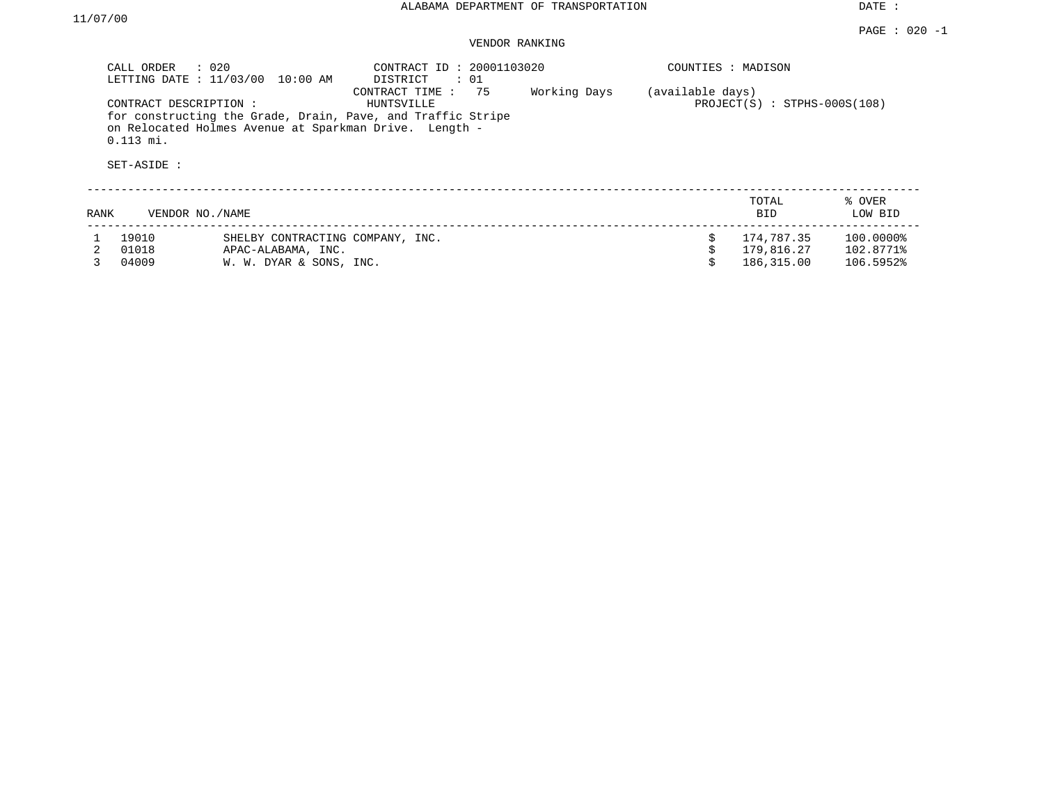DATE :

|      | CALL ORDER                                          | $\therefore$ 020<br>LETTING DATE : 11/03/00 10:00 AM   | CONTRACT ID: 20001103020<br>DISTRICT<br>: 01                                                      |              | COUNTIES : MADISON |                                |                   |
|------|-----------------------------------------------------|--------------------------------------------------------|---------------------------------------------------------------------------------------------------|--------------|--------------------|--------------------------------|-------------------|
|      | CONTRACT DESCRIPTION:<br>$0.113$ mi.<br>SET-ASIDE : | on Relocated Holmes Avenue at Sparkman Drive. Length - | 75<br>CONTRACT TIME:<br>HUNTSVILLE<br>for constructing the Grade, Drain, Pave, and Traffic Stripe | Working Days | (available days)   | $PROJECT(S)$ : STPHS-000S(108) |                   |
| RANK |                                                     | VENDOR NO. / NAME                                      |                                                                                                   |              |                    | TOTAL<br><b>BID</b>            | % OVER<br>LOW BID |
|      | 19010                                               | SHELBY CONTRACTING COMPANY, INC.                       |                                                                                                   |              | Ŝ.                 | 174,787.35                     | 100.0000%         |
|      | 01018                                               | APAC-ALABAMA, INC.                                     |                                                                                                   |              |                    | 179,816.27                     | 102.8771%         |
|      | 04009                                               | W. W. DYAR & SONS, INC.                                |                                                                                                   |              |                    | 186,315.00                     | 106.5952%         |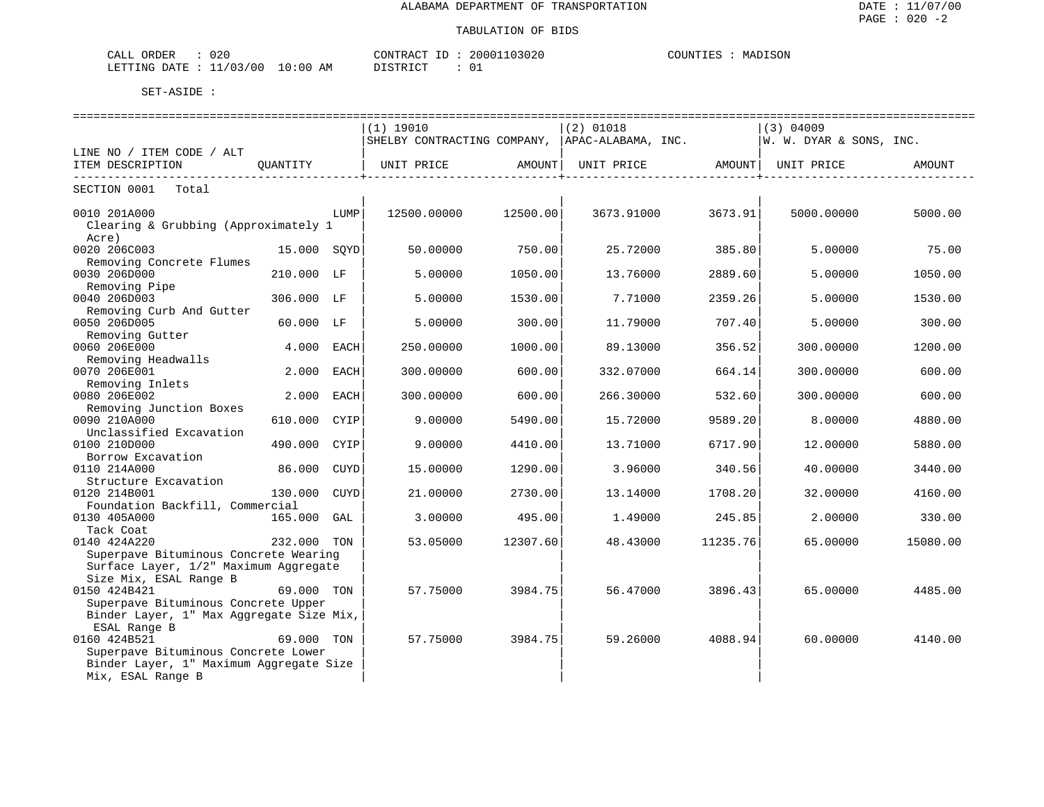| 020<br>CALL<br>ORDER                 | CONTRACT<br>٠.                    | 03020<br>20001 | DISON<br>COUNTIES<br>MAL. |
|--------------------------------------|-----------------------------------|----------------|---------------------------|
| 11/03/00<br>LETTING<br>DATE.<br>புங∴ | 0:00<br><u>היה דפידי</u> בת<br>AΜ | ∩ 1<br>∪⊥      |                           |

|                                                     | ============================ |          | -------------------------------- |                                         | ============================                                                   |          |
|-----------------------------------------------------|------------------------------|----------|----------------------------------|-----------------------------------------|--------------------------------------------------------------------------------|----------|
|                                                     | $(1)$ 19010                  |          | $(2)$ 01018                      |                                         | (3) 04009                                                                      |          |
|                                                     |                              |          |                                  |                                         | SHELBY CONTRACTING COMPANY, $ APAC-ALABAMA$ , INC. $ W. W. DYAR & SONS$ , INC. |          |
| LINE NO / ITEM CODE / ALT                           |                              |          |                                  |                                         |                                                                                |          |
| ITEM DESCRIPTION                                    |                              |          |                                  | . _ _ _ _ _ _ _ _ _ _ _ _ _ _ _ _ _ _ + |                                                                                | AMOUNT   |
| SECTION 0001<br>Total                               |                              |          |                                  |                                         |                                                                                |          |
| 0010 201A000<br>LUMP                                | 12500.00000                  | 12500.00 | 3673.91000                       | 3673.91                                 | 5000.00000                                                                     | 5000.00  |
| Clearing & Grubbing (Approximately 1<br>Acre)       |                              |          |                                  |                                         |                                                                                |          |
| 0020 206C003<br>15.000 SOYD                         | 50.00000                     | 750.001  | 25.72000                         | 385.80                                  | 5.00000                                                                        | 75.00    |
| Removing Concrete Flumes                            |                              |          |                                  |                                         |                                                                                |          |
| 0030 206D000<br>210.000 LF                          | 5.00000                      | 1050.00  | 13.76000                         | 2889.60                                 | 5.00000                                                                        | 1050.00  |
| Removing Pipe                                       |                              |          |                                  |                                         |                                                                                |          |
| 0040 206D003<br>306.000 LF                          | 5.00000                      | 1530.00  | 7.71000                          | 2359.26                                 | 5.00000                                                                        | 1530.00  |
| Removing Curb And Gutter                            |                              |          |                                  |                                         |                                                                                |          |
| 0050 206D005<br>60.000 LF                           | 5.00000                      | 300.00   | 11.79000                         | 707.40                                  | 5.00000                                                                        | 300.00   |
| Removing Gutter<br>0060 206E000<br>4.000 EACH       | 250.00000                    | 1000.00  | 89.13000                         | 356.52                                  | 300.00000                                                                      | 1200.00  |
| Removing Headwalls                                  |                              |          |                                  |                                         |                                                                                |          |
| 0070 206E001<br>2.000<br>EACH                       | 300.00000                    | 600.00   | 332.07000                        | 664.14                                  | 300.00000                                                                      | 600.00   |
| Removing Inlets                                     |                              |          |                                  |                                         |                                                                                |          |
| 0080 206E002<br>2.000 EACH                          | 300.00000                    | 600.00   | 266.30000                        | 532.60                                  | 300.00000                                                                      | 600.00   |
| Removing Junction Boxes                             |                              |          |                                  |                                         |                                                                                |          |
| 0090 210A000<br>610.000 CYIP                        | 9,00000                      | 5490.00  | 15.72000                         | 9589.20                                 | 8,00000                                                                        | 4880.00  |
| Unclassified Excavation                             |                              |          |                                  |                                         |                                                                                |          |
| 0100 210D000<br>490.000<br>CYIP                     | 9,00000                      | 4410.00  | 13.71000                         | 6717.90                                 | 12.00000                                                                       | 5880.00  |
| Borrow Excavation                                   |                              |          |                                  |                                         |                                                                                |          |
| 0110 214A000<br>86.000 CUYD<br>Structure Excavation | 15.00000                     | 1290.00  | 3.96000                          | 340.56                                  | 40.00000                                                                       | 3440.00  |
| 0120 214B001<br>130.000<br>CUYD                     | 21,00000                     | 2730.00  | 13.14000                         | 1708.20                                 | 32.00000                                                                       | 4160.00  |
| Foundation Backfill, Commercial                     |                              |          |                                  |                                         |                                                                                |          |
| 0130 405A000<br>165.000 GAL                         | 3.00000                      | 495.00   | 1.49000                          | 245.85                                  | 2.00000                                                                        | 330.00   |
| Tack Coat                                           |                              |          |                                  |                                         |                                                                                |          |
| 0140 424A220<br>232.000 TON                         | 53.05000                     | 12307.60 | 48.43000                         | 11235.76                                | 65.00000                                                                       | 15080.00 |
| Superpave Bituminous Concrete Wearing               |                              |          |                                  |                                         |                                                                                |          |
| Surface Layer, 1/2" Maximum Aggregate               |                              |          |                                  |                                         |                                                                                |          |
| Size Mix, ESAL Range B                              |                              |          |                                  |                                         |                                                                                |          |
| 0150 424B421<br>69.000 TON                          | 57.75000                     | 3984.75  | 56.47000                         | 3896.43                                 | 65.00000                                                                       | 4485.00  |
| Superpave Bituminous Concrete Upper                 |                              |          |                                  |                                         |                                                                                |          |
| Binder Layer, 1" Max Aggregate Size Mix,            |                              |          |                                  |                                         |                                                                                |          |
| ESAL Range B<br>0160 424B521<br>69.000 TON          | 57.75000                     | 3984.75  | 59.26000                         | 4088.94                                 | 60.00000                                                                       | 4140.00  |
| Superpave Bituminous Concrete Lower                 |                              |          |                                  |                                         |                                                                                |          |
| Binder Layer, 1" Maximum Aggregate Size             |                              |          |                                  |                                         |                                                                                |          |
| Mix, ESAL Range B                                   |                              |          |                                  |                                         |                                                                                |          |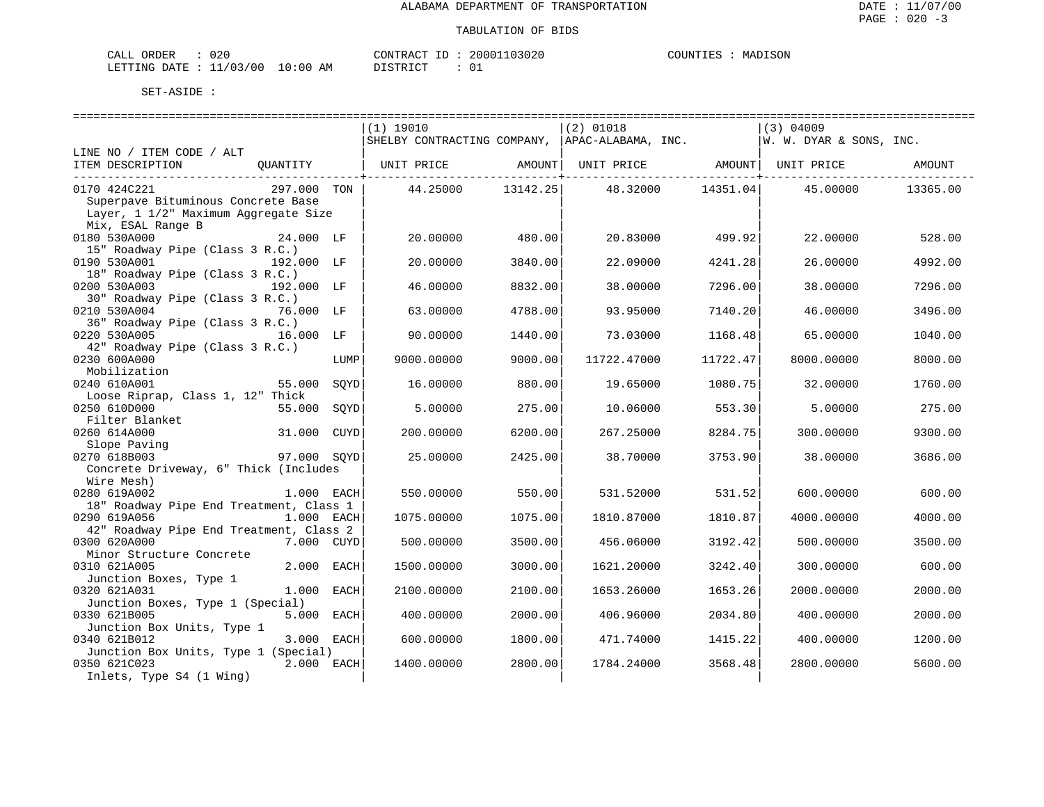| CALL ORDER                       | 020 | CONTRACT              | ' ID | 20001103020 | COUNTIES | MADISON |
|----------------------------------|-----|-----------------------|------|-------------|----------|---------|
| LETTING DATE : 11/03/00 10:00 AM |     | DISTRICT<br>--------- |      |             |          |         |

|                                                    |             | (1) 19010                                                   |                 | $(2)$ 01018                                     |          | $(3)$ 04009                  |          |
|----------------------------------------------------|-------------|-------------------------------------------------------------|-----------------|-------------------------------------------------|----------|------------------------------|----------|
|                                                    |             |                                                             |                 | SHELBY CONTRACTING COMPANY,  APAC-ALABAMA, INC. |          | W. W. DYAR & SONS, INC.      |          |
| LINE NO / ITEM CODE / ALT                          |             |                                                             |                 |                                                 |          |                              |          |
| ITEM DESCRIPTION                                   |             | QUANTITY   UNIT PRICE AMOUNT  UNIT PRICE AMOUNT  UNIT PRICE |                 |                                                 |          |                              | AMOUNT   |
|                                                    |             |                                                             | _______________ |                                                 |          | ----------------+----------- |          |
| 0170 424C221<br>Superpave Bituminous Concrete Base | 297.000 TON | 44.25000 13142.25                                           |                 | 48.32000                                        | 14351.04 | 45.00000                     | 13365.00 |
| Layer, 1 1/2" Maximum Aggregate Size               |             |                                                             |                 |                                                 |          |                              |          |
| Mix, ESAL Range B                                  |             |                                                             |                 |                                                 |          |                              |          |
| 0180 530A000<br>24.000 LF                          |             | 20.00000                                                    | 480.00          | 20.83000                                        | 499.92   | 22.00000                     | 528.00   |
| 15" Roadway Pipe (Class 3 R.C.)                    |             |                                                             |                 |                                                 |          |                              |          |
| 0190 530A001<br>192.000 LF                         |             | 20,00000                                                    | 3840.00         | 22.09000                                        | 4241.28  | 26.00000                     | 4992.00  |
| 18" Roadway Pipe (Class 3 R.C.)                    |             |                                                             |                 |                                                 |          |                              |          |
| 0200 530A003                                       | 192.000 LF  | 46.00000                                                    | 8832.00         | 38.00000                                        | 7296.00  | 38.00000                     | 7296.00  |
| 30" Roadway Pipe (Class 3 R.C.)                    |             |                                                             |                 |                                                 |          |                              |          |
| 0210 530A004                                       | 76.000 LF   | 63.00000                                                    | 4788.00         | 93.95000                                        | 7140.20  | 46.00000                     | 3496.00  |
| 36" Roadway Pipe (Class 3 R.C.)                    |             |                                                             |                 |                                                 |          |                              |          |
| 0220 530A005                                       | 16.000 LF   | 90.00000                                                    | 1440.00         | 73.03000                                        | 1168.48  | 65.00000                     | 1040.00  |
| 42" Roadway Pipe (Class 3 R.C.)                    |             |                                                             |                 |                                                 |          |                              |          |
| 0230 600A000                                       | LUMP        | 9000.00000                                                  | 9000.00         | 11722.47000                                     | 11722.47 | 8000.00000                   | 8000.00  |
| Mobilization                                       |             |                                                             |                 |                                                 |          |                              |          |
| 0240 610A001<br>55.000                             | SOYD        | 16.00000                                                    | 880.00          | 19.65000                                        | 1080.75  | 32.00000                     | 1760.00  |
| Loose Riprap, Class 1, 12" Thick<br>0250 610D000   | SOYD        |                                                             | 275.00          |                                                 |          |                              | 275.00   |
| 55.000<br>Filter Blanket                           |             | 5.00000                                                     |                 | 10.06000                                        | 553.30   | 5.00000                      |          |
| 0260 614A000                                       | 31.000 CUYD | 200.00000                                                   | 6200.00         | 267.25000                                       | 8284.75  | 300.00000                    | 9300.00  |
| Slope Paving                                       |             |                                                             |                 |                                                 |          |                              |          |
| 0270 618B003                                       | 97.000 SOYD | 25.00000                                                    | 2425.00         | 38.70000                                        | 3753.90  | 38.00000                     | 3686.00  |
| Concrete Driveway, 6" Thick (Includes              |             |                                                             |                 |                                                 |          |                              |          |
| Wire Mesh)                                         |             |                                                             |                 |                                                 |          |                              |          |
| 0280 619A002                                       | 1.000 EACH  | 550.00000                                                   | 550.00          | 531.52000                                       | 531.52   | 600.00000                    | 600.00   |
| 18" Roadway Pipe End Treatment, Class 1            |             |                                                             |                 |                                                 |          |                              |          |
| 0290 619A056                                       | 1.000 EACH  | 1075.00000                                                  | 1075.00         | 1810.87000                                      | 1810.87  | 4000.00000                   | 4000.00  |
| 42" Roadway Pipe End Treatment, Class 2            |             |                                                             |                 |                                                 |          |                              |          |
| 0300 620A000                                       | 7.000 CUYD  | 500.00000                                                   | 3500.00         | 456.06000                                       | 3192.42  | 500.00000                    | 3500.00  |
| Minor Structure Concrete                           |             |                                                             |                 |                                                 |          |                              |          |
| 0310 621A005                                       | 2.000 EACH  | 1500.00000                                                  | 3000.00         | 1621.20000                                      | 3242.40  | 300.00000                    | 600.00   |
| Junction Boxes, Type 1<br>0320 621A031             | 1.000 EACH  | 2100.00000                                                  | 2100.00         | 1653.26000                                      | 1653.26  | 2000.00000                   | 2000.00  |
| Junction Boxes, Type 1 (Special)                   |             |                                                             |                 |                                                 |          |                              |          |
| 0330 621B005                                       | 5.000 EACH  | 400.00000                                                   | 2000.00         | 406.96000                                       | 2034.80  | 400.00000                    | 2000.00  |
| Junction Box Units, Type 1                         |             |                                                             |                 |                                                 |          |                              |          |
| 0340 621B012                                       | 3.000 EACH  | 600.00000                                                   | 1800.00         | 471.74000                                       | 1415.22  | 400.00000                    | 1200.00  |
| Junction Box Units, Type 1 (Special)               |             |                                                             |                 |                                                 |          |                              |          |
| 0350 621C023                                       | 2.000 EACH  | 1400.00000                                                  | 2800.00         | 1784.24000                                      | 3568.48  | 2800.00000                   | 5600.00  |
| Inlets, Type S4 (1 Wing)                           |             |                                                             |                 |                                                 |          |                              |          |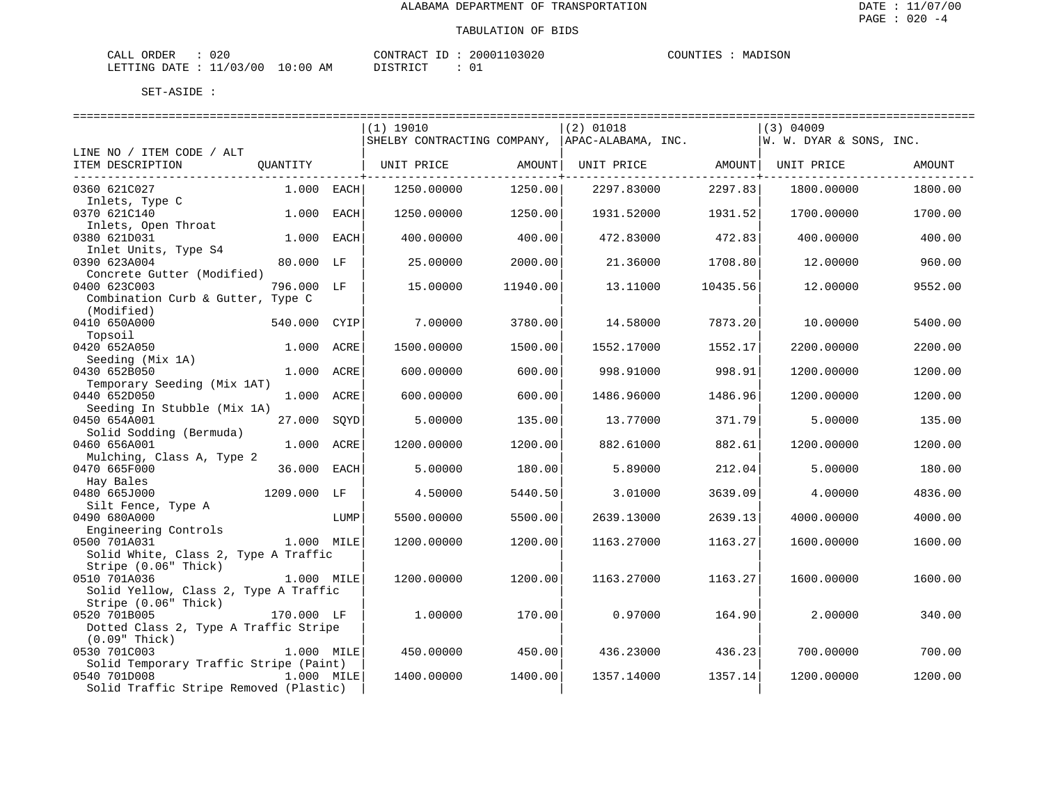| 020<br>CALL ORDER                |          | CONTRACT ID: 20001103020 | COUNTIES :<br>MADISON |
|----------------------------------|----------|--------------------------|-----------------------|
| LETTING DATE : 11/03/00 10:00 AM | DISTRICT |                          |                       |

|                                                          |              |      | (1) 19010                   |                          | $(2)$ 01018        |                      | $(3)$ 04009             |         |
|----------------------------------------------------------|--------------|------|-----------------------------|--------------------------|--------------------|----------------------|-------------------------|---------|
|                                                          |              |      | SHELBY CONTRACTING COMPANY, |                          | APAC-ALABAMA, INC. |                      | W. W. DYAR & SONS, INC. |         |
| LINE NO / ITEM CODE / ALT                                |              |      |                             |                          |                    |                      |                         |         |
| ITEM DESCRIPTION                                         | OUANTITY     |      | UNIT PRICE                  | AMOUNT<br>-------------+ | UNIT PRICE AMOUNT  | --------------+----- | UNIT PRICE              | AMOUNT  |
| 0360 621C027                                             | $1.000$ EACH |      | 1250.00000                  | 1250.00                  | 2297.83000         | 2297.83              | 1800.00000              | 1800.00 |
| Inlets, Type C                                           |              |      |                             |                          |                    |                      |                         |         |
| 0370 621C140                                             | 1.000        | EACH | 1250.00000                  | 1250.00                  | 1931.52000         | 1931.52              | 1700.00000              | 1700.00 |
| Inlets, Open Throat                                      |              |      |                             |                          |                    |                      |                         |         |
| 0380 621D031                                             | 1.000        | EACH | 400.00000                   | 400.00                   | 472.83000          | 472.83               | 400.00000               | 400.00  |
| Inlet Units, Type S4                                     |              |      |                             |                          |                    |                      |                         |         |
| 0390 623A004                                             | 80.000 LF    |      | 25.00000                    | 2000.00                  | 21.36000           | 1708.80              | 12.00000                | 960.00  |
| Concrete Gutter (Modified)<br>0400 623C003               | 796.000 LF   |      | 15,00000                    | 11940.00                 | 13.11000           |                      | 12,00000                |         |
| Combination Curb & Gutter, Type C                        |              |      |                             |                          |                    | 10435.56             |                         | 9552.00 |
| (Modified)                                               |              |      |                             |                          |                    |                      |                         |         |
| 0410 650A000                                             | 540.000 CYIP |      | 7.00000                     | 3780.00                  | 14.58000           | 7873.20              | 10.00000                | 5400.00 |
| Topsoil                                                  |              |      |                             |                          |                    |                      |                         |         |
| 0420 652A050                                             | 1.000 ACRE   |      | 1500.00000                  | 1500.00                  | 1552.17000         | 1552.17              | 2200.00000              | 2200.00 |
| Seeding (Mix 1A)                                         |              |      |                             |                          |                    |                      |                         |         |
| 0430 652B050                                             | 1.000 ACRE   |      | 600,00000                   | 600.00                   | 998.91000          | 998.91               | 1200.00000              | 1200.00 |
| Temporary Seeding (Mix 1AT)                              |              |      |                             |                          |                    |                      |                         |         |
| 0440 652D050                                             | 1.000 ACRE   |      | 600.00000                   | 600.00                   | 1486.96000         | 1486.96              | 1200.00000              | 1200.00 |
| Seeding In Stubble (Mix 1A)                              |              |      |                             |                          |                    |                      |                         |         |
| 0450 654A001                                             | 27.000       | SQYD | 5.00000                     | 135.00                   | 13.77000           | 371.79               | 5.00000                 | 135.00  |
| Solid Sodding (Bermuda)                                  |              |      |                             |                          |                    |                      |                         |         |
| 0460 656A001                                             | 1.000 ACRE   |      | 1200.00000                  | 1200.00                  | 882.61000          | 882.61               | 1200.00000              | 1200.00 |
| Mulching, Class A, Type 2                                |              |      |                             |                          |                    |                      |                         |         |
| 0470 665F000                                             | 36.000 EACH  |      | 5.00000                     | 180.00                   | 5.89000            | 212.04               | 5.00000                 | 180.00  |
| Hay Bales                                                |              |      |                             |                          |                    |                      |                         |         |
| 0480 665J000                                             | 1209.000 LF  |      | 4.50000                     | 5440.50                  | 3.01000            | 3639.09              | 4.00000                 | 4836.00 |
| Silt Fence, Type A                                       |              |      |                             |                          |                    |                      |                         |         |
| 0490 680A000                                             |              | LUMP | 5500.00000                  | 5500.00                  | 2639.13000         | 2639.13              | 4000.00000              | 4000.00 |
| Engineering Controls                                     |              |      |                             |                          |                    |                      |                         |         |
| 0500 701A031                                             | 1.000 MILE   |      | 1200.00000                  | 1200.00                  | 1163.27000         | 1163.27              | 1600.00000              | 1600.00 |
| Solid White, Class 2, Type A Traffic                     |              |      |                             |                          |                    |                      |                         |         |
| Stripe (0.06" Thick)                                     |              |      |                             |                          |                    |                      |                         |         |
| 0510 701A036                                             | 1.000 MILE   |      | 1200.00000                  | 1200.00                  | 1163.27000         | 1163.27              | 1600.00000              | 1600.00 |
| Solid Yellow, Class 2, Type A Traffic                    |              |      |                             |                          |                    |                      |                         |         |
| Stripe (0.06" Thick)                                     |              |      |                             |                          |                    |                      |                         |         |
| 0520 701B005                                             | 170.000 LF   |      | 1,00000                     | 170.00                   | 0.97000            | 164.90               | 2.00000                 | 340.00  |
| Dotted Class 2, Type A Traffic Stripe<br>$(0.09"$ Thick) |              |      |                             |                          |                    |                      |                         |         |
| 0530 701C003                                             | 1.000 MILE   |      | 450.00000                   | 450.00                   | 436.23000          | 436.23               | 700.00000               | 700.00  |
| Solid Temporary Traffic Stripe (Paint)                   |              |      |                             |                          |                    |                      |                         |         |
| 0540 701D008                                             | 1.000 MILE   |      | 1400.00000                  | 1400.00                  | 1357.14000         | 1357.14              | 1200.00000              | 1200.00 |
| Solid Traffic Stripe Removed (Plastic)                   |              |      |                             |                          |                    |                      |                         |         |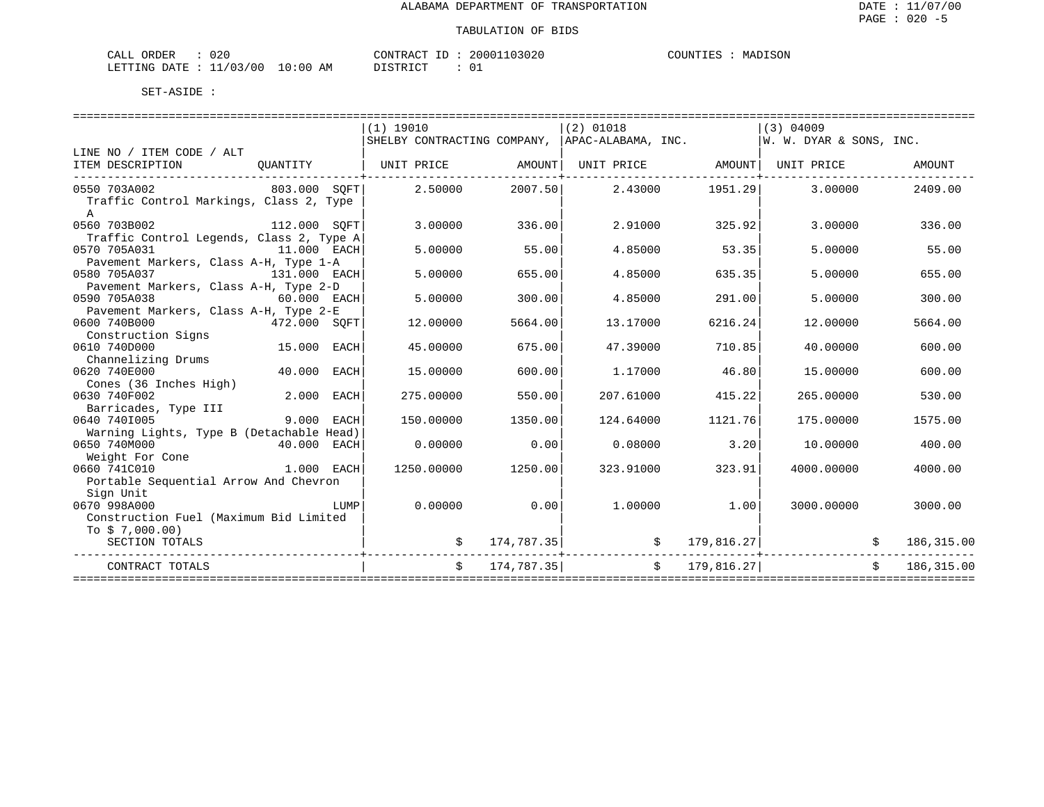| CALL ORDER                       | 020 | CONTRACT | ' ID | 20001103020 | COUNTIES | MADISON |
|----------------------------------|-----|----------|------|-------------|----------|---------|
| LETTING DATE : 11/03/00 10:00 AM |     | DISTRICT |      |             |          |         |

|                                          |              |      | $(1)$ 19010                                                            |            | $(2)$ 01018                    |               | $(3)$ 04009 |            |
|------------------------------------------|--------------|------|------------------------------------------------------------------------|------------|--------------------------------|---------------|-------------|------------|
| LINE NO / ITEM CODE / ALT                |              |      | SHELBY CONTRACTING COMPANY, APAC-ALABAMA, INC. M. W. DYAR & SONS, INC. |            |                                |               |             |            |
| ITEM DESCRIPTION                         | OUANTITY     |      | UNIT PRICE AMOUNT                                                      |            | UNIT PRICE AMOUNT   UNIT PRICE |               |             | AMOUNT     |
|                                          |              |      |                                                                        |            |                                |               |             |            |
| 0550 703A002<br>803.000 SOFT             |              |      | 2.50000                                                                |            | 2007.50 2.43000 1951.29        |               | 3.00000     | 2409.00    |
| Traffic Control Markings, Class 2, Type  |              |      |                                                                        |            |                                |               |             |            |
| $\mathbf{A}$                             |              |      |                                                                        |            |                                |               |             |            |
| 0560 703B002                             | 112.000 SOFT |      | 3.00000                                                                | 336.00     | 2.91000                        | 325.92        | 3.00000     | 336.00     |
| Traffic Control Legends, Class 2, Type A |              |      |                                                                        |            |                                |               |             |            |
| 0570 705A031<br>11.000 EACH              |              |      | 5,00000                                                                | 55.00      | 4.85000                        | 53.35         | 5.00000     | 55.00      |
| Pavement Markers, Class A-H, Type 1-A    |              |      |                                                                        |            |                                |               |             |            |
| 0580 705A037<br>131.000 EACH             |              |      | 5,00000                                                                | 655.00     | 4.85000                        | 635.35        | 5.00000     | 655.00     |
| Pavement Markers, Class A-H, Type 2-D    |              |      |                                                                        |            |                                |               |             |            |
| 0590 705A038                             | 60.000 EACH  |      | 5.00000                                                                | 300.00     | 4.85000                        | 291.00        | 5.00000     | 300.00     |
| Pavement Markers, Class A-H, Type 2-E    |              |      |                                                                        |            |                                |               |             |            |
| 0600 740B000                             | 472.000 SQFT |      | 12.00000                                                               | 5664.00    | 13.17000                       | 6216.24       | 12.00000    | 5664.00    |
| Construction Signs<br>0610 740D000       | 15.000 EACH  |      | 45.00000                                                               | 675.00     | 47.39000                       | 710.85        | 40.00000    | 600.00     |
| Channelizing Drums                       |              |      |                                                                        |            |                                |               |             |            |
| 0620 740E000                             | 40.000 EACH  |      | 15,00000                                                               | 600.00     | 1.17000                        | 46.80         | 15,00000    | 600.00     |
| Cones (36 Inches High)                   |              |      |                                                                        |            |                                |               |             |            |
| 0630 740F002                             | 2.000 EACH   |      | 275.00000                                                              | 550.00     | 207.61000                      | 415.22        | 265.00000   | 530.00     |
| Barricades, Type III                     |              |      |                                                                        |            |                                |               |             |            |
| 0640 7401005                             | 9.000 EACH   |      | 150.00000                                                              | 1350.00    | 124.64000                      | 1121.76       | 175.00000   | 1575.00    |
| Warning Lights, Type B (Detachable Head) |              |      |                                                                        |            |                                |               |             |            |
| 0650 740M000                             | 40.000 EACH  |      | 0.00000                                                                | 0.00       | 0.08000                        | 3.20          | 10.00000    | 400.00     |
| Weight For Cone                          |              |      |                                                                        |            |                                |               |             |            |
| 0660 741C010                             | 1.000 EACH   |      | 1250.00000                                                             | 1250.00    | 323.91000                      | 323.91        | 4000.00000  | 4000.00    |
| Portable Sequential Arrow And Chevron    |              |      |                                                                        |            |                                |               |             |            |
| Sign Unit                                |              |      |                                                                        |            |                                |               |             |            |
| 0670 998A000                             |              | LUMP | 0.00000                                                                | 0.00       | 1.00000                        | 1.00          | 3000.00000  | 3000.00    |
| Construction Fuel (Maximum Bid Limited   |              |      |                                                                        |            |                                |               |             |            |
| To $$7,000.00)$                          |              |      |                                                                        |            |                                |               |             |            |
| SECTION TOTALS                           |              |      |                                                                        | 174,787.35 |                                | \$179,816.27  |             | 186,315.00 |
| CONTRACT TOTALS                          |              |      | \$                                                                     | 174,787.35 |                                | \$ 179,816.27 |             | 186,315.00 |
|                                          |              |      |                                                                        |            |                                |               |             |            |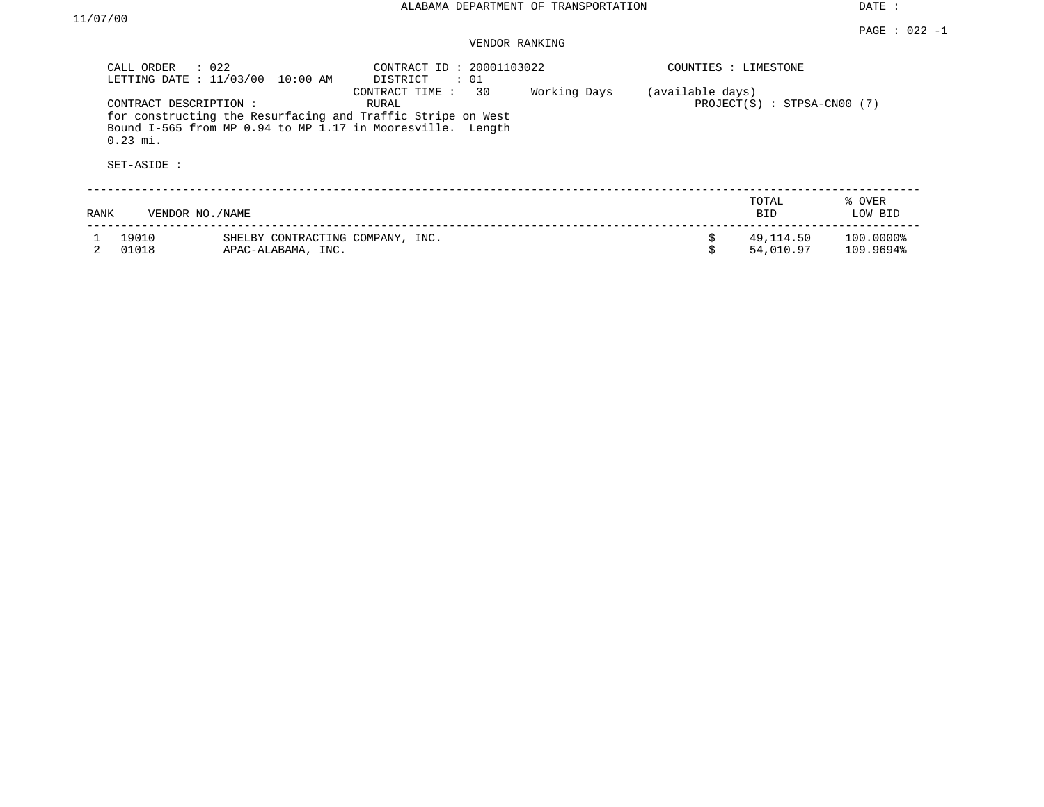DATE :

| $\therefore$ 022<br>CALL ORDER<br>LETTING DATE : 11/03/00 10:00 AM |                                                        | CONTRACT ID: 20001103022<br>DISTRICT<br>$\therefore$ 01                                                                                                    |              | COUNTIES : LIMESTONE |                             |                        |  |
|--------------------------------------------------------------------|--------------------------------------------------------|------------------------------------------------------------------------------------------------------------------------------------------------------------|--------------|----------------------|-----------------------------|------------------------|--|
| CONTRACT DESCRIPTION:<br>$0.23$ mi.<br>SET-ASIDE :                 |                                                        | 30<br>CONTRACT TIME:<br>RURAL<br>for constructing the Resurfacing and Traffic Stripe on West<br>Bound I-565 from MP 0.94 to MP 1.17 in Mooresville. Length | Working Days | (available days)     | PROJECT(S) : STPSA-CN00 (7) |                        |  |
| RANK                                                               | VENDOR NO. / NAME                                      |                                                                                                                                                            |              |                      | TOTAL<br><b>BID</b>         | % OVER<br>LOW BID      |  |
| 19010<br>01018                                                     | SHELBY CONTRACTING COMPANY, INC.<br>APAC-ALABAMA, INC. |                                                                                                                                                            |              | Ŝ.<br>Ś              | 49,114.50<br>54,010.97      | 100.0000%<br>109.9694% |  |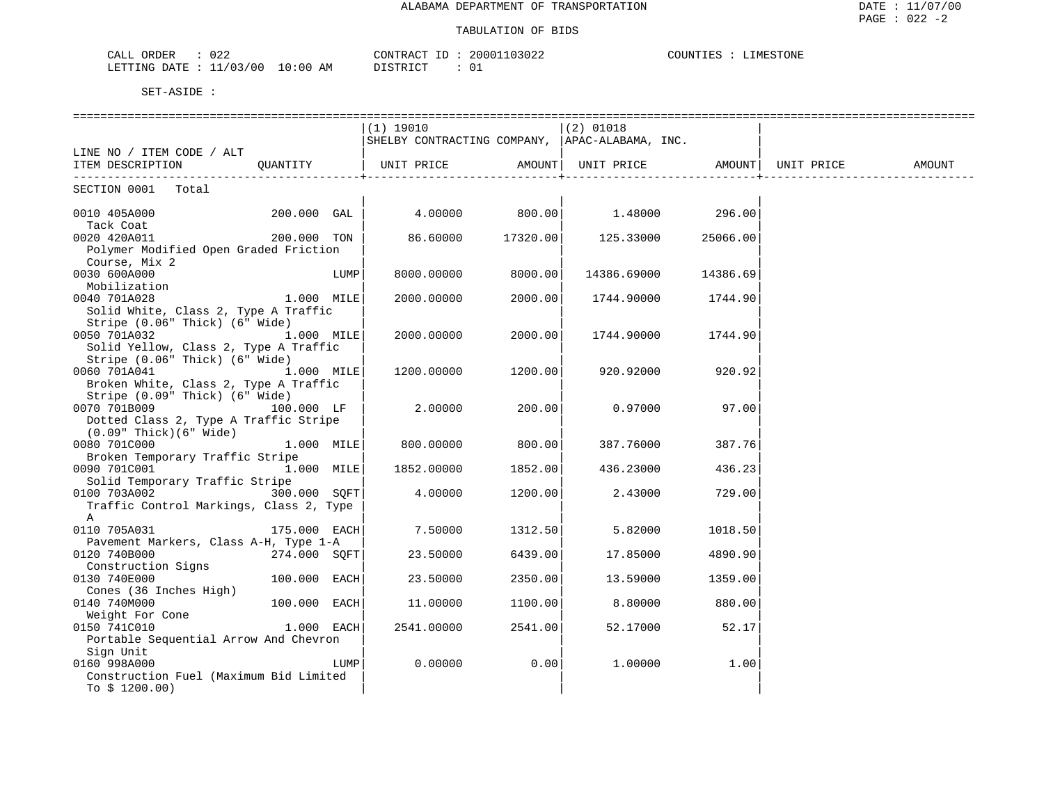| 022<br>CALL<br>ORDER    |            | CONTRACT<br>. D. | 20001103022 | <b>.IMESTONE</b><br>COUNTIES |
|-------------------------|------------|------------------|-------------|------------------------------|
| 1/03/00<br>LETTING DATE | $10:00$ AM | DISTRICT         | ◡-          |                              |

|                                                               |                       |       |                                                 |                   | ===============                       |          |            |        |
|---------------------------------------------------------------|-----------------------|-------|-------------------------------------------------|-------------------|---------------------------------------|----------|------------|--------|
|                                                               |                       |       | (1) 19010                                       |                   | $(2)$ 01018                           |          |            |        |
|                                                               |                       |       | SHELBY CONTRACTING COMPANY,  APAC-ALABAMA, INC. |                   |                                       |          |            |        |
| LINE NO / ITEM CODE / ALT                                     |                       |       |                                                 |                   |                                       |          |            |        |
| ITEM DESCRIPTION                                              | QUANTITY              |       | UNIT PRICE                                      | AMOUNT            | UNIT PRICE AMOUNT                     |          | UNIT PRICE | AMOUNT |
| SECTION 0001 Total                                            |                       |       |                                                 |                   |                                       |          |            |        |
| 0010 405A000                                                  | $200.000$ GAL $\vert$ |       |                                                 |                   | $4.00000$ $800.00$ $1.48000$ $296.00$ |          |            |        |
| Tack Coat                                                     |                       |       |                                                 |                   |                                       |          |            |        |
| 0020 420A011                                                  | 200.000 TON           |       |                                                 | 86.60000 17320.00 | 125.33000                             | 25066.00 |            |        |
| Polymer Modified Open Graded Friction                         |                       |       |                                                 |                   |                                       |          |            |        |
| Course, Mix 2                                                 |                       |       |                                                 |                   |                                       |          |            |        |
| 0030 600A000                                                  |                       | LUMP  | 8000.00000                                      | 8000.00           | 14386.69000                           | 14386.69 |            |        |
| Mobilization                                                  |                       |       |                                                 |                   |                                       |          |            |        |
| 0040 701A028                                                  | 1.000 MILE            |       | 2000.00000                                      | 2000.00           | 1744.90000                            | 1744.90  |            |        |
| Solid White, Class 2, Type A Traffic                          |                       |       |                                                 |                   |                                       |          |            |        |
| Stripe (0.06" Thick) (6" Wide)                                |                       |       |                                                 |                   |                                       |          |            |        |
| 0050 701A032 1.000 MILE                                       |                       |       | 2000.00000                                      | 2000.00           | 1744.90000 1744.90                    |          |            |        |
| Solid Yellow, Class 2, Type A Traffic                         |                       |       |                                                 |                   |                                       |          |            |        |
| Stripe (0.06" Thick) (6" Wide)                                |                       |       |                                                 |                   |                                       |          |            |        |
| 0060 701A041                                                  | 1.000 MILE            |       | 1200.00000                                      | 1200.00           | 920.92000                             | 920.92   |            |        |
| Broken White, Class 2, Type A Traffic                         |                       |       |                                                 |                   |                                       |          |            |        |
| Stripe (0.09" Thick) (6" Wide)                                |                       |       |                                                 |                   |                                       |          |            |        |
| 0070 701B009 100.000 LF                                       |                       |       | 2.00000                                         | 200.00            | 0.97000                               | 97.00    |            |        |
| Dotted Class 2, Type A Traffic Stripe                         |                       |       |                                                 |                   |                                       |          |            |        |
| (0.09" Thick)(6" Wide)                                        |                       |       |                                                 |                   |                                       |          |            |        |
| $1.000$ MILE<br>0080 701C000                                  |                       |       | 800.00000                                       | 800.00            | 387.76000                             | 387.76   |            |        |
| Broken Temporary Traffic Stripe                               |                       |       |                                                 |                   |                                       |          |            |        |
| 0090 701C001 1.000 MILE                                       |                       |       | 1852.00000                                      | 1852.00           | 436.23000                             | 436.23   |            |        |
| Solid Temporary Traffic Stripe                                |                       |       |                                                 |                   |                                       |          |            |        |
| 0100 703A002                                                  | 300.000 SOFT          |       | 4.00000                                         | 1200.00           | 2.43000                               | 729.00   |            |        |
| Traffic Control Markings, Class 2, Type                       |                       |       |                                                 |                   |                                       |          |            |        |
| $\mathbb A$<br>0110 705A031                                   | 175.000 EACH          |       | 7.50000                                         | 1312.50           | 5.82000                               | 1018.50  |            |        |
| Pavement Markers, Class A-H, Type 1-A                         |                       |       |                                                 |                   |                                       |          |            |        |
| 0120 740B000                                                  | 274.000 SOFT          |       | 23.50000                                        | 6439.00           | 17.85000                              | 4890.90  |            |        |
| Construction Signs                                            |                       |       |                                                 |                   |                                       |          |            |        |
| 0130 740E000                                                  | $100.000$ EACH        |       | 23.50000                                        | 2350.00           | 13.59000                              | 1359.00  |            |        |
| Cones (36 Inches High)                                        |                       |       |                                                 |                   |                                       |          |            |        |
| 0140 740M000                                                  | $100.000$ EACH        |       | 11.00000                                        | 1100.00           | 8.80000                               | 880.00   |            |        |
|                                                               |                       |       |                                                 |                   |                                       |          |            |        |
| Weight For Cone<br>0150 741C010<br>1.000 EACH<br>0150 741C010 |                       |       | 2541.00000                                      | 2541.00           | 52.17000                              | 52.17    |            |        |
| Portable Sequential Arrow And Chevron                         |                       |       |                                                 |                   |                                       |          |            |        |
| Sign Unit                                                     |                       |       |                                                 |                   |                                       |          |            |        |
| 0160 998A000                                                  |                       | LUMPI | 0.00000                                         | 0.001             | 1,00000                               | 1.00     |            |        |
| Construction Fuel (Maximum Bid Limited                        |                       |       |                                                 |                   |                                       |          |            |        |
| To $$1200.00)$                                                |                       |       |                                                 |                   |                                       |          |            |        |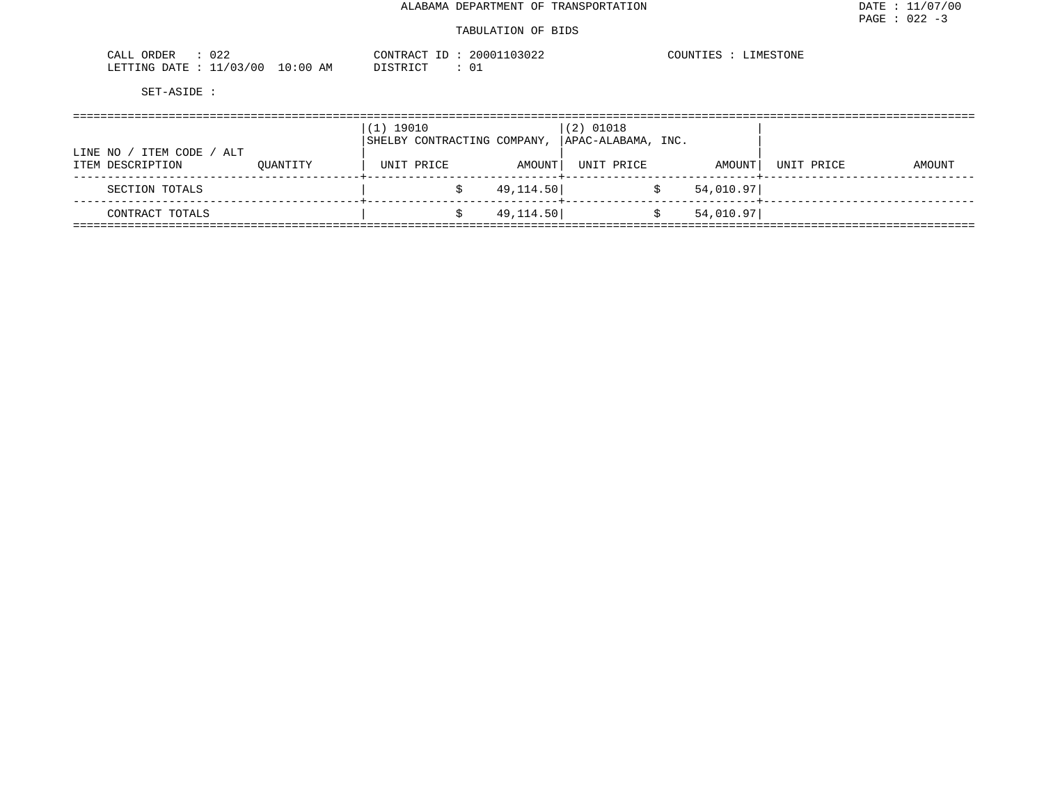#### TABULATION OF BIDS

| $\cap$ $\cap$ $\cap$<br>ORDER<br>CALL<br>∪∠∠ | CONTRACT                           | $- -$ | 20001103022 | COUNTIES | IMESTONE |
|----------------------------------------------|------------------------------------|-------|-------------|----------|----------|
| 11/03/00<br>LETTING DATE                     | 10:00<br>ΑM<br>דים דמידי פרות<br>. |       |             |          |          |

|                                                     | (1) 19010 | SHELBY CONTRACTING COMPANY, | $(2)$ 01018<br>  APAC-ALABAMA, INC. |            |           |            |        |
|-----------------------------------------------------|-----------|-----------------------------|-------------------------------------|------------|-----------|------------|--------|
| ITEM CODE /<br>LINE NO ,<br>ALT<br>ITEM DESCRIPTION | OUANTITY  | UNIT PRICE                  | AMOUNT                              | UNIT PRICE | AMOUNT    | UNIT PRICE | AMOUNT |
| SECTION TOTALS                                      |           |                             | 49,114.50                           |            | 54,010.97 |            |        |
| CONTRACT TOTALS                                     |           |                             | 49,114.50                           |            | 54,010.97 |            |        |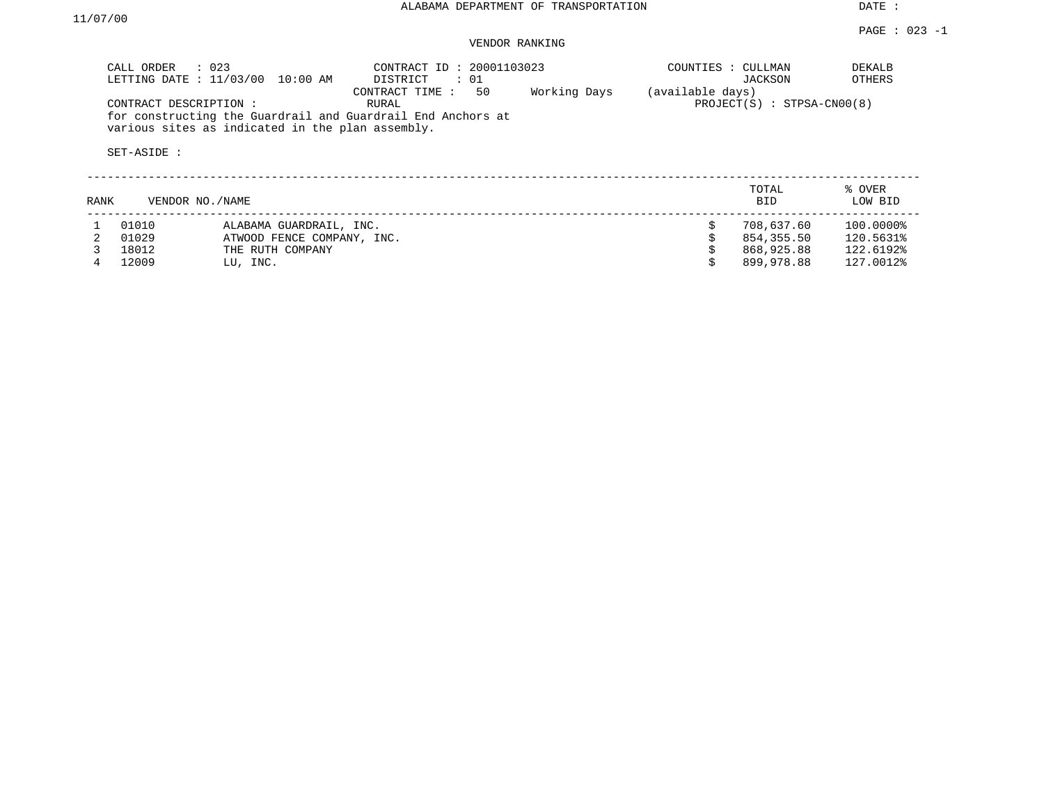|      | $\therefore$ 023<br>CALL ORDER<br>LETTING DATE : 11/03/00                                |                  | 10:00 AM                   | CONTRACT ID: 20001103023<br>DISTRICT<br>CONTRACT TIME:               | $\colon$ 01<br>50 | Working Days | COUNTIES : CULLMAN<br>(available days) | JACKSON                      | DEKALB<br>OTHERS  |
|------|------------------------------------------------------------------------------------------|------------------|----------------------------|----------------------------------------------------------------------|-------------------|--------------|----------------------------------------|------------------------------|-------------------|
|      | CONTRACT DESCRIPTION:<br>various sites as indicated in the plan assembly.<br>SET-ASIDE : |                  |                            | RURAL<br>for constructing the Guardrail and Guardrail End Anchors at |                   |              |                                        | $PROJECT(S) : STPSA-CN00(8)$ |                   |
| RANK | VENDOR NO./NAME                                                                          |                  |                            |                                                                      |                   |              |                                        | TOTAL<br><b>BID</b>          | % OVER<br>LOW BID |
|      | 01010                                                                                    |                  | ALABAMA GUARDRAIL, INC.    |                                                                      |                   |              | Ŝ.                                     | 708,637.60                   | 100.0000%         |
|      | 01029                                                                                    |                  | ATWOOD FENCE COMPANY, INC. |                                                                      |                   |              |                                        | 854,355.50                   | 120.5631%         |
|      | 18012                                                                                    | THE RUTH COMPANY |                            |                                                                      |                   |              |                                        | 868,925.88                   | 122.6192%         |
|      | 12009                                                                                    | LU, INC.         |                            |                                                                      |                   |              |                                        | 899,978.88                   | 127.0012%         |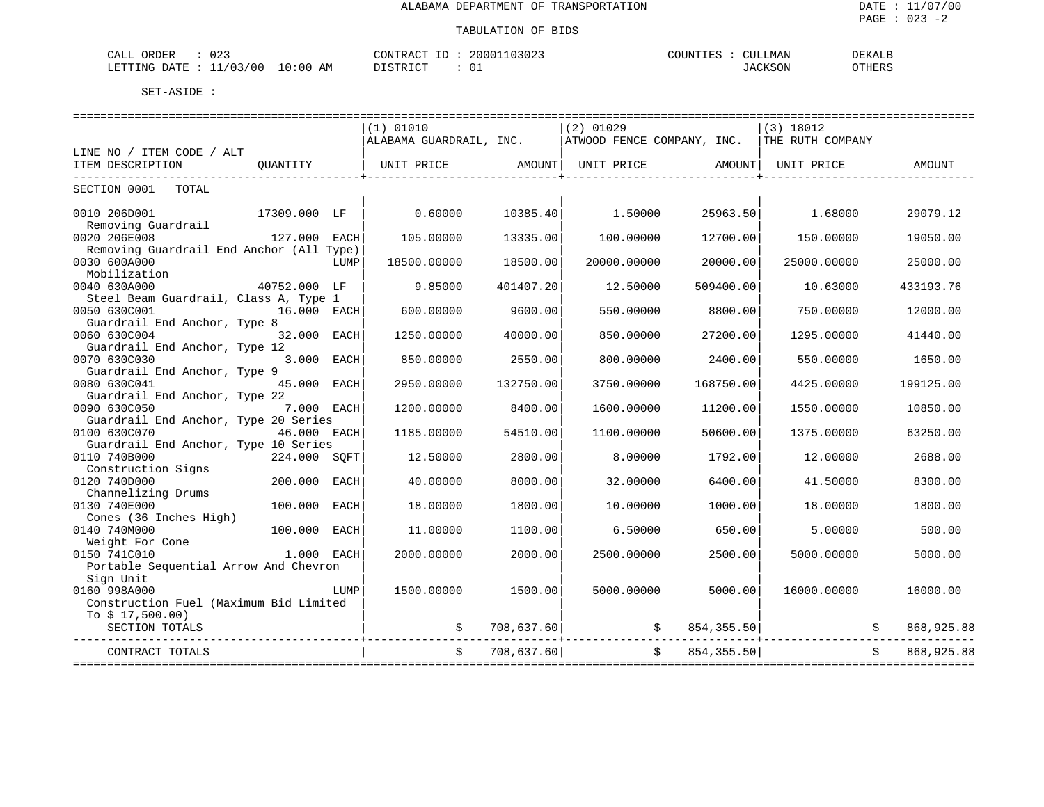#### TABULATION OF BIDS

| ົດ ຕ<br>ORDER<br>CALI<br>J 4.         |    | $\bigcap \bigcap \mathcal{N}$<br>'AO       | 2000<br>$U \Delta$ . | INTTES | ד א א ד<br>$\sim$<br><b>RIAL</b> | DEKALI                            |
|---------------------------------------|----|--------------------------------------------|----------------------|--------|----------------------------------|-----------------------------------|
| 00 ′<br>$\sim$ $\sim$<br>TINC .<br>١Δ | ΆM | $T$ $\cap$ $\cap$ $\cap$ $T$ $\cap$ $\cap$ |                      |        | 3OP                              | $\overline{m}$<br>, , , , , , , , |

|                                                                                              | (1) 01010               |            | $(2)$ 01029 |                   | $(3)$ 18012                                 |             |
|----------------------------------------------------------------------------------------------|-------------------------|------------|-------------|-------------------|---------------------------------------------|-------------|
|                                                                                              | ALABAMA GUARDRAIL, INC. |            |             |                   | ATWOOD FENCE COMPANY, INC. THE RUTH COMPANY |             |
| LINE NO / ITEM CODE / ALT                                                                    |                         |            |             |                   |                                             |             |
| ITEM DESCRIPTION<br>OUANTITY                                                                 |                         |            |             |                   | UNIT PRICE                                  | AMOUNT      |
| SECTION 0001<br>TOTAL                                                                        |                         |            |             |                   |                                             |             |
| 0010 206D001<br>17309.000 LF                                                                 | 0.60000                 | 10385.40   | 1.50000     | 25963.50          | 1.68000                                     | 29079.12    |
| Removing Guardrail<br>0020 206E008<br>127.000 EACH                                           | 105,00000               | 13335.00   | 100,00000   | 12700.00          | 150.00000                                   | 19050.00    |
| Removing Guardrail End Anchor (All Type)<br>0030 600A000<br>LUMP                             | 18500.00000             | 18500.00   | 20000.00000 | 20000.00          | 25000.00000                                 | 25000.00    |
| Mobilization<br>0040 630A000<br>40752.000 LF                                                 | 9.85000                 | 401407.20  | 12.50000    | 509400.00         | 10.63000                                    | 433193.76   |
| Steel Beam Guardrail, Class A, Type 1<br>0050 630C001<br>16.000 EACH                         | 600.00000               | 9600.00    | 550.00000   | 8800.00           | 750.00000                                   | 12000.00    |
| Guardrail End Anchor, Type 8<br>0060 630C004<br>32.000 EACH<br>Guardrail End Anchor, Type 12 | 1250.00000              | 40000.00   | 850.00000   | 27200.00          | 1295.00000                                  | 41440.00    |
| 3.000 EACH<br>0070 630C030<br>Guardrail End Anchor, Type 9                                   | 850.00000               | 2550.00    | 800,00000   | 2400.00           | 550.00000                                   | 1650.00     |
| 0080 630C041<br>45.000 EACH<br>Guardrail End Anchor, Type 22                                 | 2950.00000              | 132750.00  | 3750.00000  | 168750.00         | 4425.00000                                  | 199125.00   |
| 7.000 EACH<br>0090 630C050<br>Guardrail End Anchor, Type 20 Series                           | 1200.00000              | 8400.00    | 1600.00000  | 11200.00          | 1550.00000                                  | 10850.00    |
| 0100 630C070<br>46.000 EACH<br>Guardrail End Anchor, Type 10 Series                          | 1185.00000              | 54510.00   | 1100.00000  | 50600.00          | 1375.00000                                  | 63250.00    |
| 0110 740B000<br>224.000 SOFT<br>Construction Signs                                           | 12.50000                | 2800.00    | 8,00000     | 1792.00           | 12,00000                                    | 2688.00     |
| 200.000<br>0120 740D000<br>EACH<br>Channelizing Drums                                        | 40.00000                | 8000.00    | 32.00000    | 6400.00           | 41.50000                                    | 8300.00     |
| 0130 740E000<br>100.000<br>EACH<br>Cones (36 Inches High)                                    | 18,00000                | 1800.00    | 10.00000    | 1000.00           | 18,00000                                    | 1800.00     |
| 0140 740M000<br>100.000<br>EACH<br>Weight For Cone                                           | 11.00000                | 1100.00    | 6.50000     | 650.00            | 5.00000                                     | 500.00      |
| 0150 741C010<br>1.000 EACH<br>Portable Sequential Arrow And Chevron                          | 2000.00000              | 2000.00    | 2500.00000  | 2500.00           | 5000.00000                                  | 5000.00     |
| Sign Unit<br>0160 998A000<br>LUMP<br>Construction Fuel (Maximum Bid Limited                  | 1500.00000              | 1500.00    | 5000.00000  | 5000.00           | 16000.00000                                 | 16000.00    |
| To $$17,500.00)$<br>SECTION TOTALS                                                           |                         | 708,637.60 |             | 854, 355.50       |                                             | 868,925.88  |
| CONTRACT TOTALS                                                                              |                         | 708,637.60 |             | 854, 355.50<br>Ŝ. |                                             | 868, 925.88 |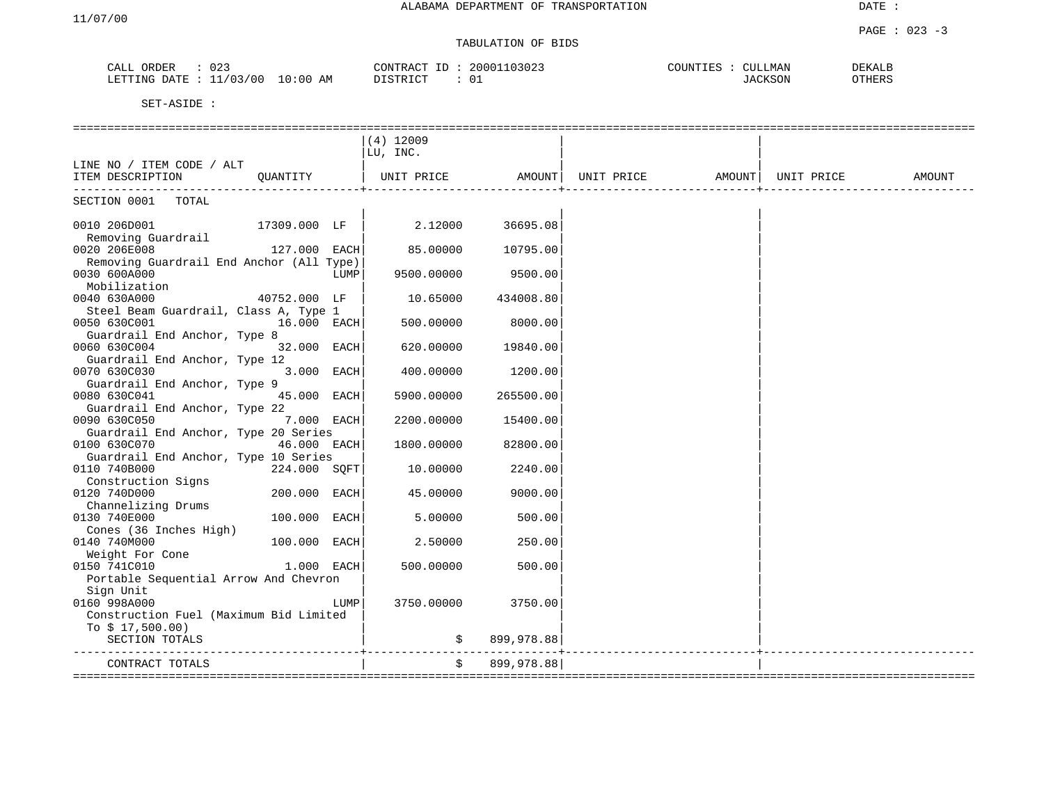# TABULATION OF BIDS

| $\sim$<br>OPDFP<br>CALL<br>UZ.<br>UND LI      | CONTI<br>ገለጣጥ<br>2000           | COUNTER C<br><b>MAN</b> | <b>DEKALE</b>           |
|-----------------------------------------------|---------------------------------|-------------------------|-------------------------|
| 00/<br>ΆM<br>TTING<br>:00<br>חיד∆ר<br>القطاعة | חור ר<br>$T \cap m$<br>്∪ച<br>. |                         | $\cap$ TULD<br>، חבות י |

|                                          | $(4)$ 12009 |            |                    |                     |        |
|------------------------------------------|-------------|------------|--------------------|---------------------|--------|
|                                          | LU, INC.    |            |                    |                     |        |
| LINE NO / ITEM CODE / ALT                |             |            |                    |                     |        |
| ITEM DESCRIPTION<br>OUANTITY             | UNIT PRICE  |            | AMOUNT  UNIT PRICE | AMOUNT   UNIT PRICE | AMOUNT |
|                                          |             |            |                    |                     |        |
| SECTION 0001<br>TOTAL                    |             |            |                    |                     |        |
|                                          |             |            |                    |                     |        |
| 0010 206D001<br>17309.000 LF             | 2.12000     | 36695.08   |                    |                     |        |
| Removing Guardrail                       |             |            |                    |                     |        |
| 0020 206E008<br>127.000 EACH             | 85.00000    | 10795.00   |                    |                     |        |
| Removing Guardrail End Anchor (All Type) |             |            |                    |                     |        |
| 0030 600A000<br>LUMP                     | 9500.00000  | 9500.00    |                    |                     |        |
| Mobilization                             |             |            |                    |                     |        |
| 0040 630A000<br>40752.000 LF             | 10.65000    | 434008.80  |                    |                     |        |
| Steel Beam Guardrail, Class A, Type 1    |             |            |                    |                     |        |
| 0050 630C001<br>16.000 EACH              | 500.00000   | 8000.00    |                    |                     |        |
| Guardrail End Anchor, Type 8             |             |            |                    |                     |        |
| 0060 630C004<br>32.000 EACH              | 620.00000   | 19840.00   |                    |                     |        |
| Guardrail End Anchor, Type 12            |             |            |                    |                     |        |
| 3.000 EACH<br>0070 630C030               | 400.00000   | 1200.00    |                    |                     |        |
| Guardrail End Anchor, Type 9             |             |            |                    |                     |        |
| 0080 630C041<br>45.000 EACH              | 5900.00000  | 265500.00  |                    |                     |        |
| Guardrail End Anchor, Type 22            |             |            |                    |                     |        |
| 0090 630C050<br>7.000 EACH               | 2200.00000  | 15400.00   |                    |                     |        |
| Guardrail End Anchor, Type 20 Series     |             |            |                    |                     |        |
| 0100 630C070<br>46.000 EACH              | 1800.00000  | 82800.00   |                    |                     |        |
| Guardrail End Anchor, Type 10 Series     |             |            |                    |                     |        |
| 0110 740B000<br>224.000 SQFT             | 10.00000    | 2240.00    |                    |                     |        |
| Construction Signs                       |             |            |                    |                     |        |
| 0120 740D000<br>200.000 EACH             | 45.00000    | 9000.00    |                    |                     |        |
| Channelizing Drums                       |             |            |                    |                     |        |
| 0130 740E000<br>100.000 EACH             | 5.00000     | 500.00     |                    |                     |        |
| Cones (36 Inches High)                   |             |            |                    |                     |        |
| 0140 740M000<br>100.000 EACH             | 2.50000     | 250.00     |                    |                     |        |
| Weight For Cone                          |             |            |                    |                     |        |
| 0150 741C010<br>$1.000$ EACH             | 500.00000   | 500.00     |                    |                     |        |
| Portable Sequential Arrow And Chevron    |             |            |                    |                     |        |
| Sign Unit                                |             |            |                    |                     |        |
| 0160 998A000<br>LUMP                     | 3750.00000  | 3750.00    |                    |                     |        |
| Construction Fuel (Maximum Bid Limited   |             |            |                    |                     |        |
| To $$17,500.00)$                         |             |            |                    |                     |        |
| SECTION TOTALS                           |             | 899,978.88 |                    |                     |        |
|                                          |             |            |                    |                     |        |
| CONTRACT TOTALS<br>================      | \$          | 899,978.88 |                    |                     |        |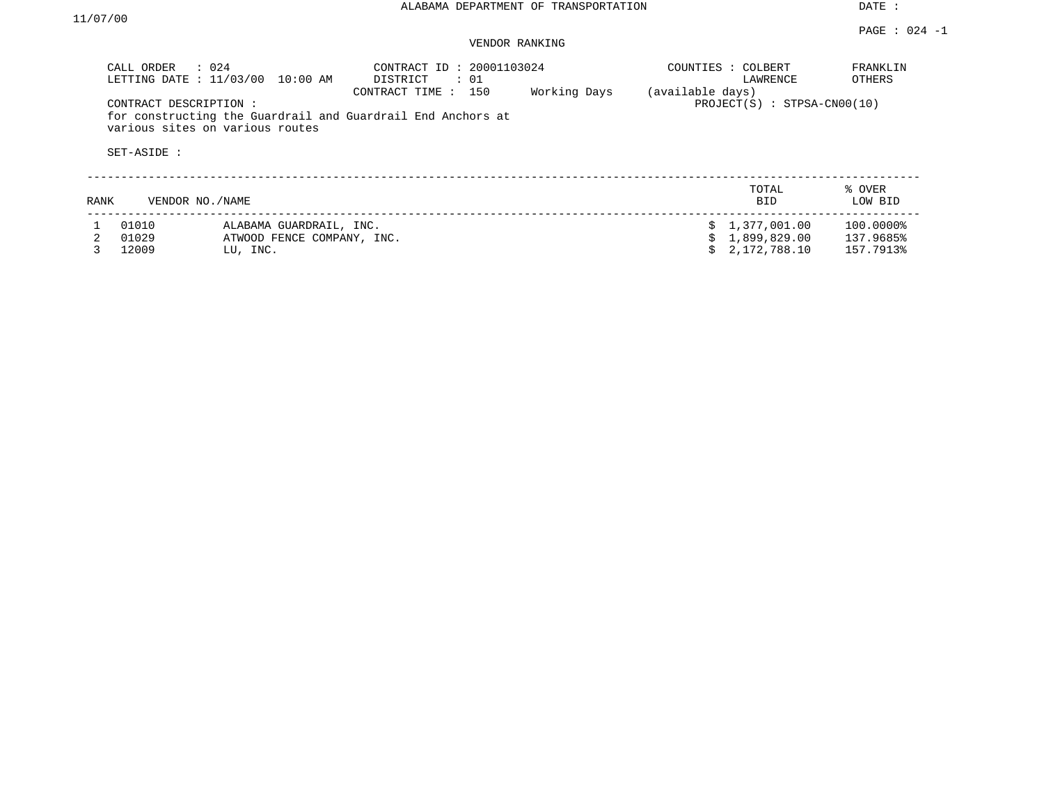DATE :

#### PAGE : 024 -1 VENDOR RANKING

|      | CALL ORDER<br>$\therefore$ 024<br>LETTING DATE : 11/03/00 | 10:00 AM                        | CONTRACT ID: 20001103024<br>DISTRICT<br>: 01<br>CONTRACT TIME : 150 | Working Days | (available days) | COUNTIES : COLBERT<br>LAWRENCE | FRANKLIN<br>OTHERS |
|------|-----------------------------------------------------------|---------------------------------|---------------------------------------------------------------------|--------------|------------------|--------------------------------|--------------------|
|      | CONTRACT DESCRIPTION:<br>SET-ASIDE :                      | various sites on various routes | for constructing the Guardrail and Guardrail End Anchors at         |              |                  | $PROJECT(S) : STPSA-CN00(10)$  |                    |
| RANK | VENDOR NO./NAME                                           |                                 |                                                                     |              |                  | TOTAL<br><b>BID</b>            | % OVER<br>LOW BID  |
|      | 01010                                                     | ALABAMA GUARDRAIL, INC.         |                                                                     |              |                  | 1,377,001.00                   | 100.0000%          |
|      | 01029                                                     | ATWOOD FENCE COMPANY, INC.      |                                                                     |              |                  | 1,899,829.00                   | 137.9685%          |
|      | 12009                                                     | LU, INC.                        |                                                                     |              |                  | 2,172,788.10                   | 157.7913%          |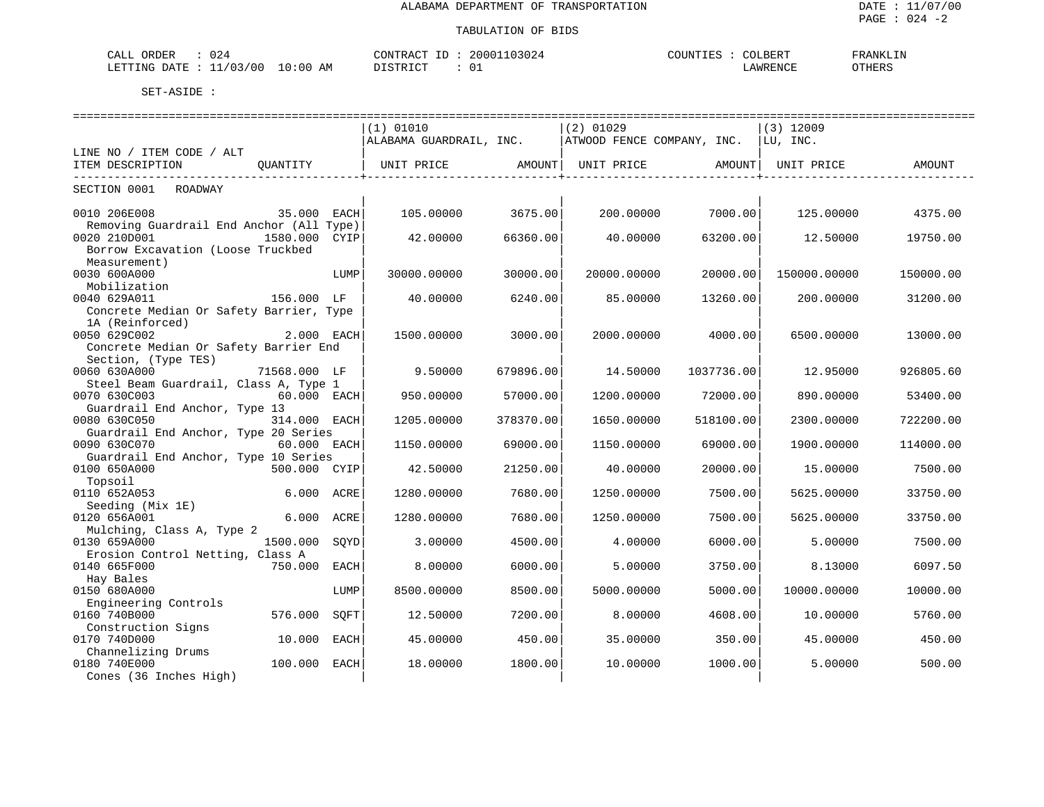| $\cap$<br>$\sim$ $\sim$ $\sim$<br>ORDER<br>-024<br>ـ ىلىلەت |            | $\sim$<br>CONTRAC  | 03024<br>20001 | COUNTIES : | COLBERI | 'RANKLIN |
|-------------------------------------------------------------|------------|--------------------|----------------|------------|---------|----------|
| /03/00<br>LETTING<br>DATE<br>. .                            | 0:00<br>AM | $- \cap$<br>DICTO. | ◡∸             |            | AWRENCF | OTHERS   |

|                                          |               |      | (1) 01010               |           | $(2)$ 01029                |            | $(3)$ 12009  |           |
|------------------------------------------|---------------|------|-------------------------|-----------|----------------------------|------------|--------------|-----------|
|                                          |               |      | ALABAMA GUARDRAIL, INC. |           | ATWOOD FENCE COMPANY, INC. |            | LU, INC.     |           |
| LINE NO / ITEM CODE / ALT                |               |      |                         |           |                            |            |              |           |
| ITEM DESCRIPTION                         | OUANTITY      |      | UNIT PRICE              | AMOUNT    | UNIT PRICE                 | AMOUNT     | UNIT PRICE   | AMOUNT    |
| SECTION 0001<br>ROADWAY                  |               |      |                         |           |                            |            |              |           |
|                                          |               |      |                         |           |                            |            |              |           |
| 0010 206E008                             | 35.000 EACH   |      | 105,00000               | 3675.00   | 200.00000                  | 7000.001   | 125,00000    | 4375.00   |
| Removing Guardrail End Anchor (All Type) |               |      |                         |           |                            |            |              |           |
| 0020 210D001                             | 1580.000 CYIP |      | 42.00000                | 66360.00  | 40.00000                   | 63200.00   | 12.50000     | 19750.00  |
| Borrow Excavation (Loose Truckbed        |               |      |                         |           |                            |            |              |           |
| Measurement)<br>0030 600A000             |               |      |                         |           |                            |            |              |           |
| Mobilization                             |               | LUMP | 30000.00000             | 30000.00  | 20000.00000                | 20000.00   | 150000.00000 | 150000.00 |
| 0040 629A011                             | 156.000 LF    |      | 40.00000                | 6240.00   | 85.00000                   | 13260.00   | 200,00000    | 31200.00  |
| Concrete Median Or Safety Barrier, Type  |               |      |                         |           |                            |            |              |           |
| 1A (Reinforced)                          |               |      |                         |           |                            |            |              |           |
| 0050 629C002                             | 2.000 EACH    |      | 1500.00000              | 3000.00   | 2000.00000                 | 4000.00    | 6500.00000   | 13000.00  |
| Concrete Median Or Safety Barrier End    |               |      |                         |           |                            |            |              |           |
| Section, (Type TES)                      |               |      |                         |           |                            |            |              |           |
| 0060 630A000                             | 71568.000 LF  |      | 9.50000                 | 679896.00 | 14.50000                   | 1037736.00 | 12.95000     | 926805.60 |
| Steel Beam Guardrail, Class A, Type 1    |               |      |                         |           |                            |            |              |           |
| 0070 630C003                             | 60.000 EACH   |      | 950.00000               | 57000.00  | 1200.00000                 | 72000.00   | 890.00000    | 53400.00  |
| Guardrail End Anchor, Type 13            |               |      |                         |           |                            |            |              |           |
| 0080 630C050                             | 314.000 EACH  |      | 1205.00000              | 378370.00 | 1650.00000                 | 518100.00  | 2300.00000   | 722200.00 |
| Guardrail End Anchor, Type 20 Series     |               |      |                         |           |                            |            |              |           |
| 0090 630C070                             | 60.000 EACH   |      | 1150.00000              | 69000.00  | 1150.00000                 | 69000.00   | 1900.00000   | 114000.00 |
| Guardrail End Anchor, Type 10 Series     |               |      |                         |           |                            |            |              |           |
| 0100 650A000                             | 500.000 CYIP  |      | 42.50000                | 21250.00  | 40.00000                   | 20000.00   | 15,00000     | 7500.00   |
| Topsoil                                  |               |      |                         |           |                            |            |              |           |
| 0110 652A053<br>Seeding (Mix 1E)         | 6.000         | ACRE | 1280.00000              | 7680.00   | 1250.00000                 | 7500.00    | 5625.00000   | 33750.00  |
| 0120 656A001                             | 6.000 ACRE    |      | 1280.00000              | 7680.00   | 1250.00000                 | 7500.00    | 5625.00000   | 33750.00  |
| Mulching, Class A, Type 2                |               |      |                         |           |                            |            |              |           |
| 0130 659A000                             | 1500.000      | SOYD | 3.00000                 | 4500.00   | 4.00000                    | 6000.00    | 5,00000      | 7500.00   |
| Erosion Control Netting, Class A         |               |      |                         |           |                            |            |              |           |
| 0140 665F000                             | 750.000       | EACH | 8,00000                 | 6000.00   | 5.00000                    | 3750.00    | 8.13000      | 6097.50   |
| Hay Bales                                |               |      |                         |           |                            |            |              |           |
| 0150 680A000                             |               | LUMP | 8500.00000              | 8500.00   | 5000.00000                 | 5000.00    | 10000.00000  | 10000.00  |
| Engineering Controls                     |               |      |                         |           |                            |            |              |           |
| 0160 740B000                             | 576.000       | SOFT | 12.50000                | 7200.00   | 8,00000                    | 4608.00    | 10.00000     | 5760.00   |
| Construction Signs                       |               |      |                         |           |                            |            |              |           |
| 0170 740D000                             | 10.000        | EACH | 45.00000                | 450.00    | 35.00000                   | 350.00     | 45.00000     | 450.00    |
| Channelizing Drums                       |               |      |                         |           |                            |            |              |           |
| 0180 740E000                             | 100.000       | EACH | 18.00000                | 1800.00   | 10.00000                   | 1000.00    | 5.00000      | 500.00    |
| Cones (36 Inches High)                   |               |      |                         |           |                            |            |              |           |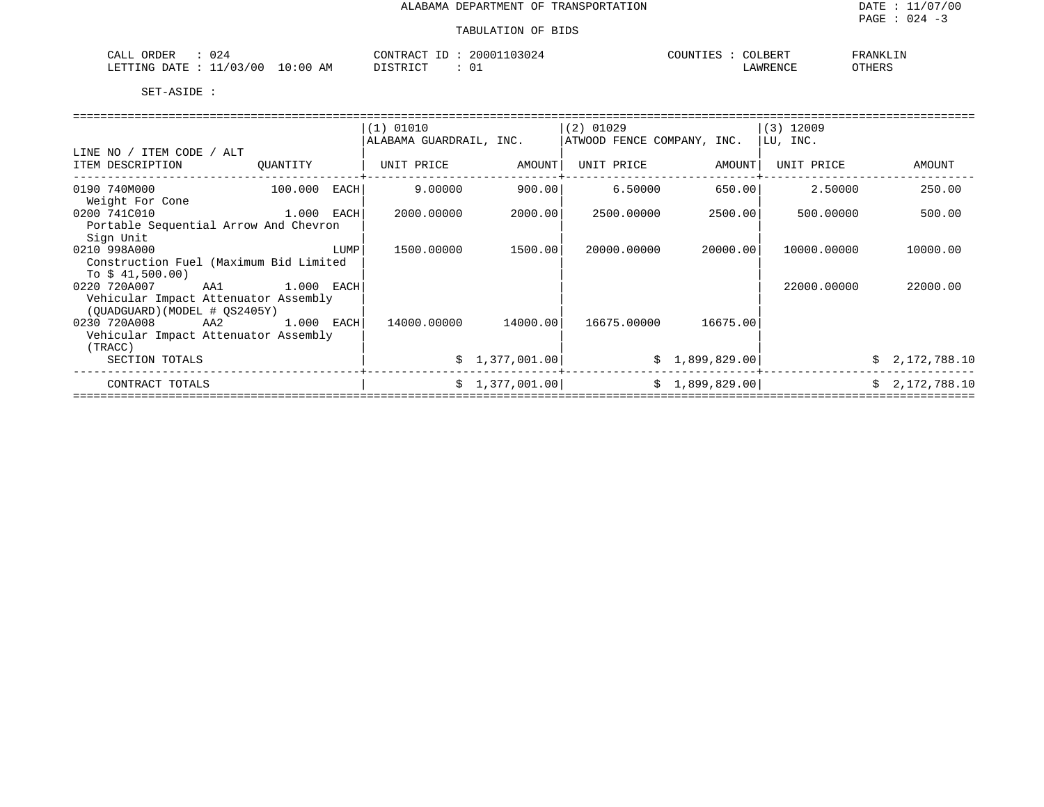# TABULATION OF BIDS

| 024<br>ORDER<br>CALL                                   | 103024<br>. 20001<br>CONTRACT | COLBERT<br>COUNTIES | FRANKLIN      |
|--------------------------------------------------------|-------------------------------|---------------------|---------------|
| 10:00<br>AΜ<br>703700<br>LETTING<br><b>DATE</b><br>___ | דת סידים ד                    | <b>AWRENCF</b>      | <b>OTHERS</b> |

|                                        |            |      | (1) 01010               |                 | $(2)$ 01029                |                | $(3)$ 12009 |                |
|----------------------------------------|------------|------|-------------------------|-----------------|----------------------------|----------------|-------------|----------------|
|                                        |            |      | ALABAMA GUARDRAIL, INC. |                 | ATWOOD FENCE COMPANY, INC. |                | LU, INC.    |                |
| LINE NO / ITEM CODE / ALT              |            |      |                         |                 |                            |                |             |                |
| ITEM DESCRIPTION                       | QUANTITY   |      | UNIT PRICE              | AMOUNT          | UNIT PRICE                 | AMOUNT         | UNIT PRICE  | AMOUNT         |
|                                        |            |      |                         |                 |                            |                |             |                |
| 0190 740M000                           | 100.000    | EACH | 9.00000                 | 900.001         | 6.50000                    | 650.00         | 2.50000     | 250.00         |
| Weight For Cone                        |            |      |                         |                 |                            |                |             |                |
| 0200 741C010                           | 1.000 EACH |      | 2000.00000              | 2000.00         | 2500.00000                 | 2500.00        | 500,00000   | 500.00         |
| Portable Sequential Arrow And Chevron  |            |      |                         |                 |                            |                |             |                |
| Sign Unit                              |            |      |                         |                 |                            |                |             |                |
| 0210 998A000                           |            | LUMP | 1500.00000              | 1500.00         | 20000.00000                | 20000.00       | 10000.00000 | 10000.00       |
| Construction Fuel (Maximum Bid Limited |            |      |                         |                 |                            |                |             |                |
| To $$41,500.00)$                       |            |      |                         |                 |                            |                |             |                |
| 0220 720A007<br>AA1                    | 1.000 EACH |      |                         |                 |                            |                | 22000.00000 | 22000.00       |
| Vehicular Impact Attenuator Assembly   |            |      |                         |                 |                            |                |             |                |
| (OUADGUARD) (MODEL # OS2405Y)          |            |      |                         |                 |                            |                |             |                |
| 0230 720A008<br>AA2                    | 1.000 EACH |      | 14000.00000             | 14000.001       | 16675.00000                | 16675.00       |             |                |
| Vehicular Impact Attenuator Assembly   |            |      |                         |                 |                            |                |             |                |
| (TRACC)                                |            |      |                         |                 |                            |                |             |                |
| SECTION TOTALS                         |            |      |                         | \$1,377,001.00] |                            | \$1,899,829.00 |             | \$2,172,788.10 |
| CONTRACT TOTALS                        |            |      |                         | \$1,377,001.00] |                            | \$1,899,829.00 |             | \$2,172,788.10 |
|                                        |            |      |                         |                 |                            |                |             |                |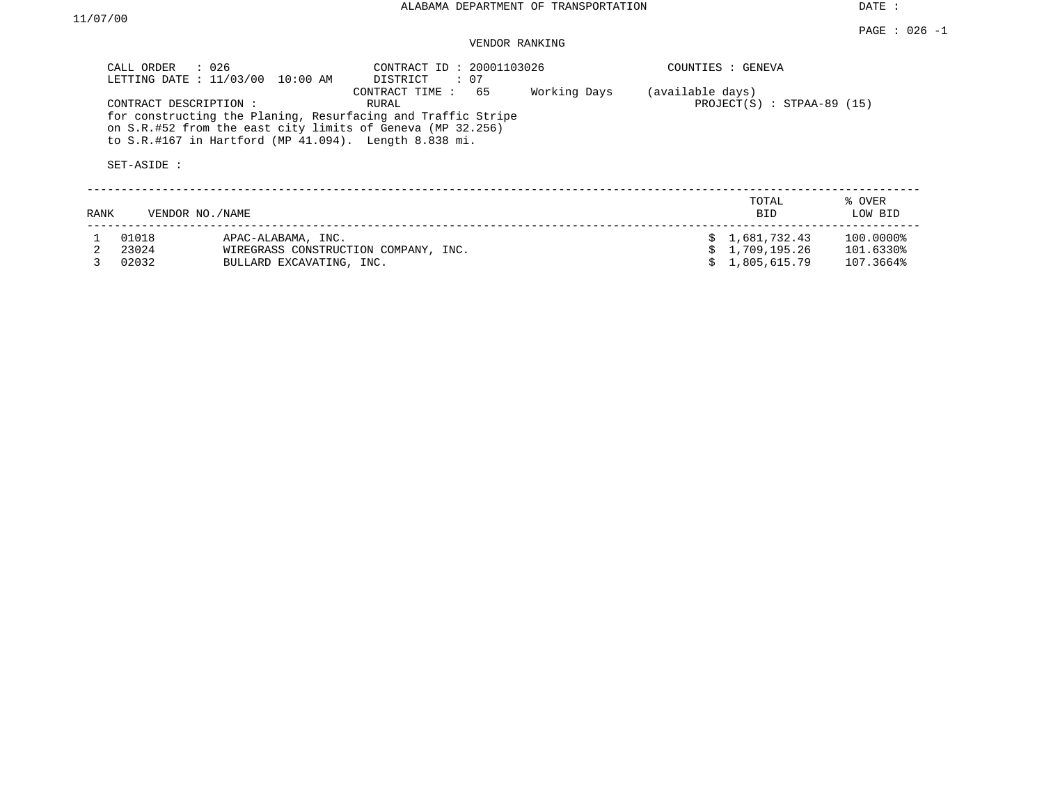DATE :

| CALL ORDER : 026<br>LETTING DATE : 11/03/00 10:00 AM |                                      |                                                               | CONTRACT ID: 20001103026<br>DISTRICT<br>$\cdot$ 07                                                                                                       | COUNTIES : GENEVA |                  |                               |                   |
|------------------------------------------------------|--------------------------------------|---------------------------------------------------------------|----------------------------------------------------------------------------------------------------------------------------------------------------------|-------------------|------------------|-------------------------------|-------------------|
|                                                      | CONTRACT DESCRIPTION:<br>SET-ASIDE : | to $S.R.$ #167 in Hartford (MP $41.094$ ). Length $8.838$ mi. | CONTRACT TIME: 65<br>RURAL<br>for constructing the Planing, Resurfacing and Traffic Stripe<br>on S.R.#52 from the east city limits of Geneva (MP 32.256) | Working Days      | (available days) | PROJECT $(S)$ : STPAA-89 (15) |                   |
| RANK                                                 | VENDOR NO./NAME                      |                                                               |                                                                                                                                                          |                   |                  | TOTAL<br><b>BID</b>           | % OVER<br>LOW BID |
|                                                      | 01018                                | APAC-ALABAMA, INC.                                            |                                                                                                                                                          |                   |                  | 1,681,732.43                  | 100.0000%         |
|                                                      | 23024                                | WIREGRASS CONSTRUCTION COMPANY, INC.                          |                                                                                                                                                          |                   |                  | 1,709,195.26                  | 101.6330%         |
|                                                      | 02032                                | BULLARD EXCAVATING, INC.                                      |                                                                                                                                                          |                   |                  | 1,805,615.79                  | 107.3664%         |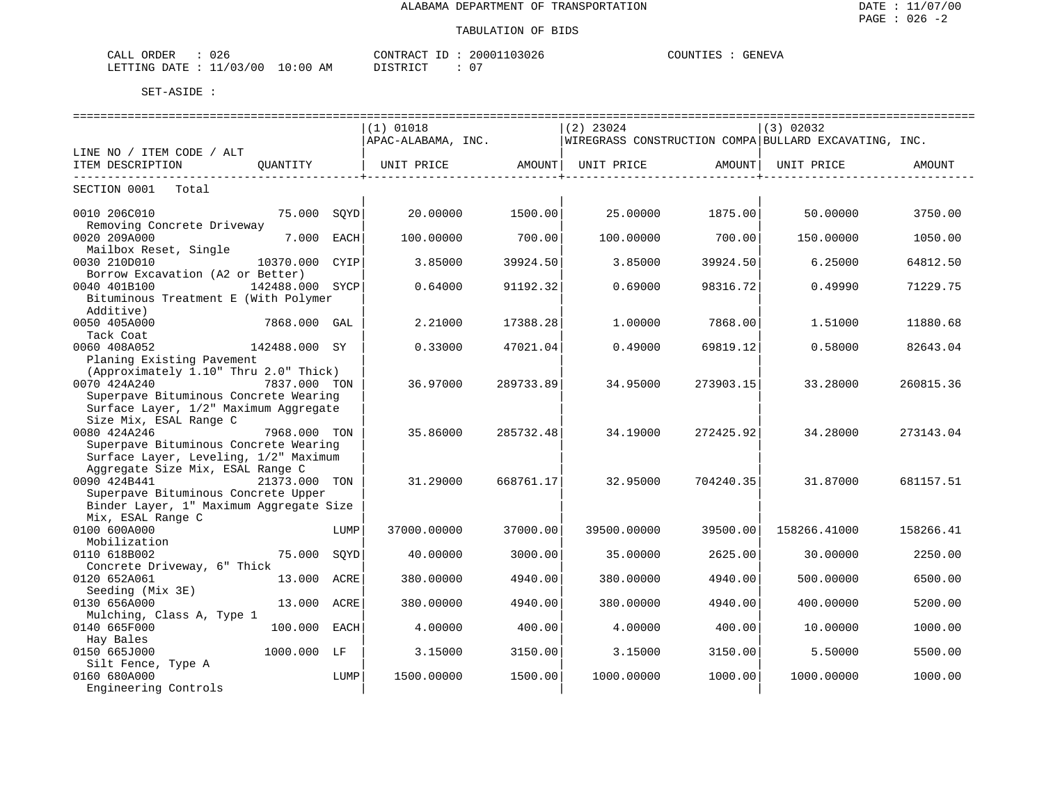| ORDER<br>ົົ<br>$\sim$ $ -$<br>لىلط<br>∪∠c       |                 | TUO!<br>א שי<br>`` H | ٬∩۲<br>じん             | ਮ T ਦਾ <b>I</b> MT T<br>`∺;VA<br>GENE |
|-------------------------------------------------|-----------------|----------------------|-----------------------|---------------------------------------|
| $\sim$<br>/00<br>RTTING.<br><b>DATE</b><br>____ | :00<br>ΑM<br>∸∪ | ≁⊡                   | $\sim$ $-$<br>$\cdot$ |                                       |

|                                                      |                 |      | ============================= |                           | ============================== |                        | ===================================                   |           |
|------------------------------------------------------|-----------------|------|-------------------------------|---------------------------|--------------------------------|------------------------|-------------------------------------------------------|-----------|
|                                                      |                 |      | (1) 01018                     |                           | $(2)$ 23024                    |                        | (3) 02032                                             |           |
|                                                      |                 |      | APAC-ALABAMA, INC.            |                           |                                |                        | WIREGRASS CONSTRUCTION COMPA BULLARD EXCAVATING, INC. |           |
| LINE NO / ITEM CODE / ALT                            |                 |      |                               |                           |                                |                        |                                                       |           |
| ITEM DESCRIPTION<br>-------------------------------- | OUANTITY        |      | UNIT PRICE AMOUNT             | ------------------+------ | UNIT PRICE AMOUNT              | ------------------+--- | UNIT PRICE<br>------------                            | AMOUNT    |
| SECTION 0001 Total                                   |                 |      | ----------+------             |                           |                                |                        |                                                       |           |
| 0010 206C010<br>Removing Concrete Driveway           | 75.000 SQYD     |      | 20.00000                      | 1500.00                   | 25,00000                       | 1875.00                | 50.00000                                              | 3750.00   |
| 0020 209A000                                         | 7.000 EACH      |      | 100.00000                     | 700.00                    | 100.00000                      | 700.00                 | 150.00000                                             | 1050.00   |
| Mailbox Reset, Single                                |                 |      |                               |                           |                                |                        |                                                       |           |
| 0030 210D010                                         | 10370.000 CYIP  |      | 3.85000                       | 39924.50                  | 3.85000                        | 39924.50               | 6.25000                                               | 64812.50  |
| Borrow Excavation (A2 or Better)                     |                 |      |                               |                           |                                |                        |                                                       |           |
| 0040 401B100                                         | 142488.000 SYCP |      | 0.64000                       | 91192.32                  | 0.69000                        | 98316.72               | 0.49990                                               | 71229.75  |
| Bituminous Treatment E (With Polymer                 |                 |      |                               |                           |                                |                        |                                                       |           |
| Additive)                                            |                 |      |                               |                           |                                |                        |                                                       |           |
| 0050 405A000                                         | 7868.000 GAL    |      | 2.21000                       | 17388.28                  | 1,00000                        | 7868.00                | 1.51000                                               | 11880.68  |
| Tack Coat                                            |                 |      |                               |                           |                                |                        |                                                       |           |
| 0060 408A052                                         | 142488.000 SY   |      | 0.33000                       | 47021.04                  | 0.49000                        | 69819.12               | 0.58000                                               | 82643.04  |
| Planing Existing Pavement                            |                 |      |                               |                           |                                |                        |                                                       |           |
| (Approximately 1.10" Thru 2.0" Thick)                |                 |      |                               |                           |                                |                        |                                                       |           |
| 0070 424A240                                         | 7837.000 TON    |      | 36.97000                      | 289733.89                 | 34.95000                       | 273903.15              | 33.28000                                              | 260815.36 |
| Superpave Bituminous Concrete Wearing                |                 |      |                               |                           |                                |                        |                                                       |           |
| Surface Layer, 1/2" Maximum Aggregate                |                 |      |                               |                           |                                |                        |                                                       |           |
| Size Mix, ESAL Range C                               |                 |      |                               |                           |                                |                        |                                                       |           |
| 0080 424A246                                         | 7968.000 TON    |      | 35.86000                      | 285732.48                 | 34.19000                       | 272425.92              | 34.28000                                              | 273143.04 |
| Superpave Bituminous Concrete Wearing                |                 |      |                               |                           |                                |                        |                                                       |           |
| Surface Layer, Leveling, 1/2" Maximum                |                 |      |                               |                           |                                |                        |                                                       |           |
| Aggregate Size Mix, ESAL Range C                     |                 |      |                               |                           |                                |                        |                                                       |           |
| 0090 424B441                                         | 21373.000 TON   |      | 31.29000                      | 668761.17                 | 32.95000                       | 704240.35              | 31.87000                                              | 681157.51 |
| Superpave Bituminous Concrete Upper                  |                 |      |                               |                           |                                |                        |                                                       |           |
| Binder Layer, 1" Maximum Aggregate Size              |                 |      |                               |                           |                                |                        |                                                       |           |
| Mix, ESAL Range C                                    |                 |      |                               |                           |                                |                        |                                                       |           |
| 0100 600A000                                         |                 | LUMP | 37000.00000                   | 37000.00                  | 39500.00000                    | 39500.00               | 158266.41000                                          | 158266.41 |
| Mobilization                                         |                 |      |                               |                           |                                |                        |                                                       |           |
| 0110 618B002                                         | 75.000          | SOYD | 40.00000                      | 3000.00                   | 35,00000                       | 2625.00                | 30.00000                                              | 2250.00   |
| Concrete Driveway, 6" Thick                          |                 |      |                               |                           |                                |                        |                                                       |           |
| 0120 652A061                                         | 13.000          | ACRE | 380.00000                     | 4940.00                   | 380.00000                      | 4940.00                | 500.00000                                             | 6500.00   |
| Seeding (Mix 3E)                                     |                 |      |                               |                           |                                |                        |                                                       |           |
| 0130 656A000                                         | 13.000 ACRE     |      | 380.00000                     | 4940.00                   | 380.00000                      | 4940.00                | 400.00000                                             | 5200.00   |
| Mulching, Class A, Type 1                            |                 |      |                               |                           |                                |                        |                                                       |           |
| 0140 665F000                                         | 100.000 EACH    |      | 4.00000                       | 400.00                    | 4.00000                        | 400.00                 | 10.00000                                              | 1000.00   |
| Hay Bales<br>0150 665J000                            | 1000.000 LF     |      |                               | 3150.00                   |                                | 3150.00                |                                                       |           |
|                                                      |                 |      | 3.15000                       |                           | 3.15000                        |                        | 5.50000                                               | 5500.00   |
| Silt Fence, Type A<br>0160 680A000                   |                 | LUMP | 1500.00000                    | 1500.00                   | 1000.00000                     | 1000.00                | 1000.00000                                            | 1000.00   |
| Engineering Controls                                 |                 |      |                               |                           |                                |                        |                                                       |           |
|                                                      |                 |      |                               |                           |                                |                        |                                                       |           |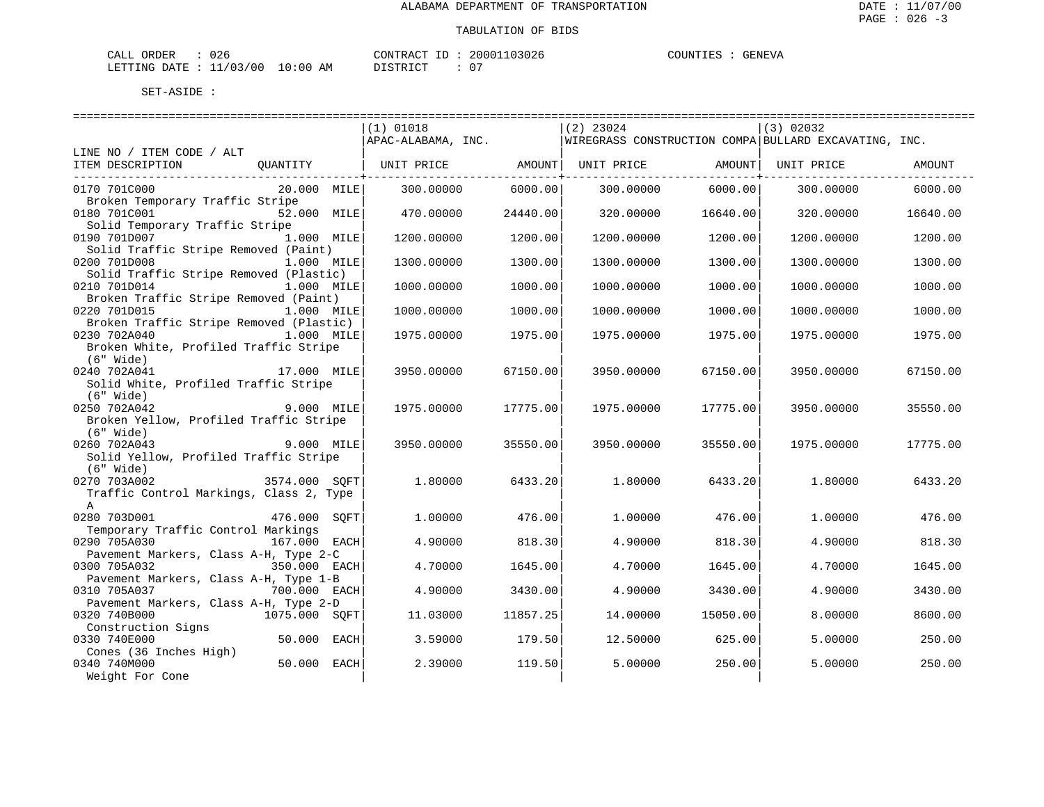| ORDER<br>CALL | 026                       |             | CONTRACT ID : | 20001103026 | GENEVA<br>COUNTIES |
|---------------|---------------------------|-------------|---------------|-------------|--------------------|
|               | LETTING DATE : $11/03/00$ | 10:00<br>ΆM | DISTRICT      | ∩−          |                    |

|                                                      |               | =======================<br>$(1)$ 01018          |           | =============<br>$(2)$ 23024 |          | (3) 02032                                             |          |
|------------------------------------------------------|---------------|-------------------------------------------------|-----------|------------------------------|----------|-------------------------------------------------------|----------|
|                                                      |               | APAC-ALABAMA, INC.                              |           |                              |          | WIREGRASS CONSTRUCTION COMPA BULLARD EXCAVATING, INC. |          |
| LINE NO / ITEM CODE / ALT                            |               |                                                 |           |                              |          |                                                       |          |
| ITEM DESCRIPTION                                     | OUANTITY      | UNIT PRICE                 AMOUNT    UNIT PRICE |           |                              | AMOUNT   | UNIT PRICE                                            | AMOUNT   |
| 0170 701C000                                         | $20.000$ MILE | 300.00000                                       | 6000.00   | 300.00000                    | 6000.00  | 300.00000                                             | 6000.00  |
| Broken Temporary Traffic Stripe                      |               |                                                 |           |                              |          |                                                       |          |
| 0180 701C001<br>Solid Temporary Traffic Stripe       | 52.000 MILE   | 470.00000                                       | 24440.00  | 320.00000                    | 16640.00 | 320.00000                                             | 16640.00 |
| 0190 701D007                                         | $1.000$ MILE  | 1200.00000                                      | 1200.00   | 1200.00000                   | 1200.00  | 1200.00000                                            | 1200.00  |
| Solid Traffic Stripe Removed (Paint)                 |               |                                                 |           |                              |          |                                                       |          |
| 0200 701D008                                         | $1.000$ MILE  | 1300.00000                                      | 1300.00   | 1300.00000                   | 1300.00  | 1300.00000                                            | 1300.00  |
| Solid Traffic Stripe Removed (Plastic)               |               |                                                 |           |                              |          |                                                       |          |
| 0210 701D014                                         | 1.000 MILE    | 1000.00000                                      | 1000.00   | 1000.00000                   | 1000.00  | 1000.00000                                            | 1000.00  |
| Broken Traffic Stripe Removed (Paint)                |               |                                                 |           |                              |          |                                                       |          |
| 0220 701D015                                         | $1.000$ MILE  | 1000.00000                                      | 1000.00   | 1000.00000                   | 1000.00  | 1000.00000                                            | 1000.00  |
| Broken Traffic Stripe Removed (Plastic)              |               |                                                 |           |                              |          |                                                       |          |
| 0230 702A040                                         | 1.000 MILE    | 1975.00000                                      | 1975.00   | 1975.00000                   | 1975.00  | 1975.00000                                            | 1975.00  |
| Broken White, Profiled Traffic Stripe                |               |                                                 |           |                              |          |                                                       |          |
| $(6"$ Wide)                                          |               |                                                 |           |                              |          |                                                       |          |
| 0240 702A041                                         | 17.000 MILE   | 3950.00000                                      | 67150.00  | 3950.00000                   | 67150.00 | 3950.00000                                            | 67150.00 |
| Solid White, Profiled Traffic Stripe                 |               |                                                 |           |                              |          |                                                       |          |
| $(6"$ Wide)                                          |               |                                                 |           |                              |          |                                                       |          |
| 0250 702A042                                         | 9.000 MILE    | 1975.00000                                      | 17775.001 | 1975.00000                   | 17775.00 | 3950.00000                                            | 35550.00 |
| Broken Yellow, Profiled Traffic Stripe               |               |                                                 |           |                              |          |                                                       |          |
| $(6"$ Wide)                                          |               |                                                 |           |                              |          |                                                       |          |
| 0260 702A043                                         | $9.000$ MILE  | 3950.00000                                      | 35550.00  | 3950.00000                   | 35550.00 | 1975.00000                                            | 17775.00 |
| Solid Yellow, Profiled Traffic Stripe<br>$(6"$ Wide) |               |                                                 |           |                              |          |                                                       |          |
| 0270 703A002                                         | 3574.000 SOFT | 1,80000                                         | 6433.20   | 1,80000                      | 6433.201 | 1,80000                                               | 6433.20  |
| Traffic Control Markings, Class 2, Type              |               |                                                 |           |                              |          |                                                       |          |
| $\mathbb{A}$                                         |               |                                                 |           |                              |          |                                                       |          |
| 0280 703D001                                         | 476.000 SOFT  | 1,00000                                         | 476.00    | 1,00000                      | 476.00   | 1,00000                                               | 476.00   |
| Temporary Traffic Control Markings                   |               |                                                 |           |                              |          |                                                       |          |
| 0290 705A030                                         | 167.000 EACH  | 4,90000                                         | 818.30    | 4.90000                      | 818.30   | 4.90000                                               | 818.30   |
| Pavement Markers, Class A-H, Type 2-C                |               |                                                 |           |                              |          |                                                       |          |
| 0300 705A032                                         | 350.000 EACH  | 4.70000                                         | 1645.00   | 4.70000                      | 1645.00  | 4.70000                                               | 1645.00  |
| Pavement Markers, Class A-H, Type 1-B                |               |                                                 |           |                              |          |                                                       |          |
| 0310 705A037                                         | 700.000 EACH  | 4.90000                                         | 3430.00   | 4.90000                      | 3430.00  | 4.90000                                               | 3430.00  |
| Pavement Markers, Class A-H, Type 2-D                |               |                                                 |           |                              |          |                                                       |          |
| 0320 740B000                                         | 1075.000 SQFT | 11.03000                                        | 11857.25  | 14.00000                     | 15050.00 | 8,00000                                               | 8600.00  |
| Construction Signs                                   |               |                                                 |           |                              |          |                                                       |          |
| 0330 740E000                                         | 50.000 EACH   | 3.59000                                         | 179.50    | 12.50000                     | 625.00   | 5.00000                                               | 250.00   |
| Cones (36 Inches High)                               |               |                                                 |           |                              |          |                                                       |          |
| 0340 740M000                                         | 50.000 EACH   | 2.39000                                         | 119.50    | 5.00000                      | 250.00   | 5.00000                                               | 250.00   |
| Weight For Cone                                      |               |                                                 |           |                              |          |                                                       |          |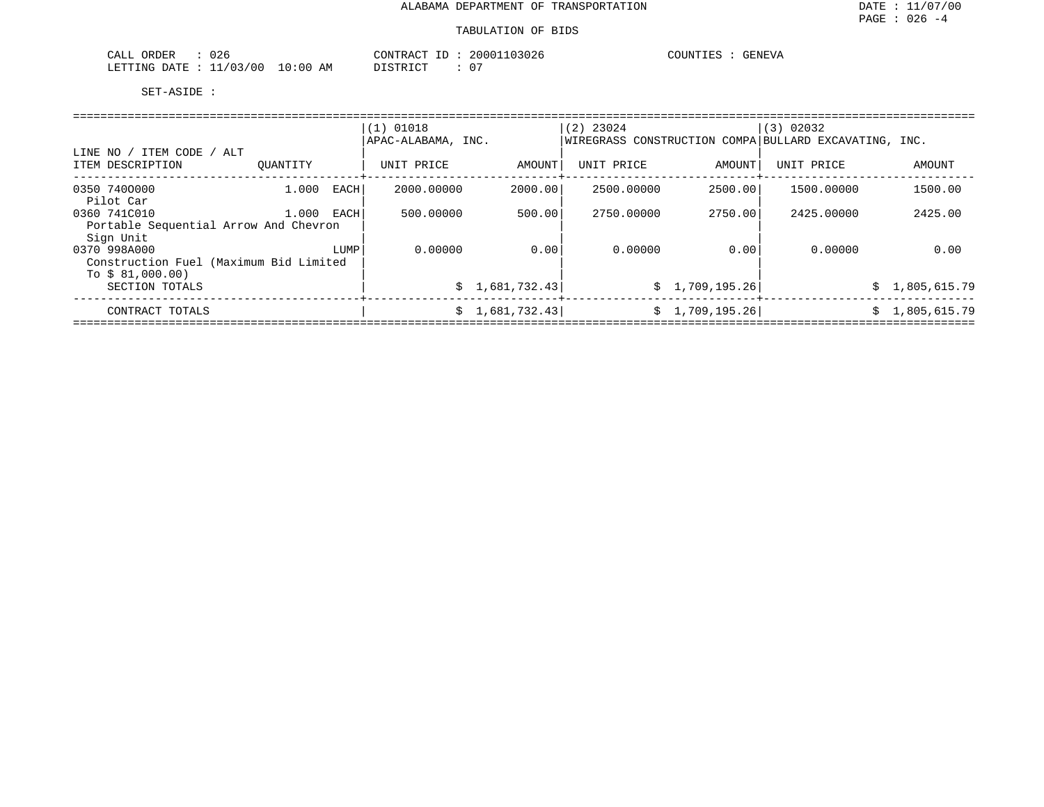| 00c<br>CALL<br>ORDER<br>∪∠o                                                                                                                     |             | CONTRACT | 03026<br>200011 | COUNTIES<br>GENEVA |
|-------------------------------------------------------------------------------------------------------------------------------------------------|-------------|----------|-----------------|--------------------|
| '1/03/00<br>LETTING<br>DATE.<br>the contract of the contract of the contract of the contract of the contract of the contract of the contract of | 10:00<br>AΜ | DISTRICT | $\cap$          |                    |

|                                                    |          |      | $(1)$ 01018        |                 | $(2)$ 23024 |                 | (3) 02032                                             |                |
|----------------------------------------------------|----------|------|--------------------|-----------------|-------------|-----------------|-------------------------------------------------------|----------------|
|                                                    |          |      | APAC-ALABAMA, INC. |                 |             |                 | WIREGRASS CONSTRUCTION COMPA BULLARD EXCAVATING, INC. |                |
| LINE NO / ITEM CODE /<br>ALT<br>ITEM DESCRIPTION   | OUANTITY |      | UNIT PRICE         | AMOUNT          | UNIT PRICE  | AMOUNT          | UNIT PRICE                                            | AMOUNT         |
| 0350 7400000<br>Pilot Car                          | 1,000    | EACH | 2000.00000         | 2000.00         | 2500.00000  | 2500.00         | 1500.00000                                            | 1500.00        |
| 0360 741C010                                       | 1,000    | EACH | 500.00000          | 500.00          | 2750.00000  | 2750.00         | 2425,00000                                            | 2425.00        |
| Portable Sequential Arrow And Chevron<br>Sign Unit |          |      |                    |                 |             |                 |                                                       |                |
| 0370 998A000                                       |          | LUMP | 0.00000            | 0.00            | 0.00000     | 0.00            | 0.00000                                               | 0.00           |
| Construction Fuel (Maximum Bid Limited             |          |      |                    |                 |             |                 |                                                       |                |
| To $$81,000.00)$                                   |          |      |                    |                 |             |                 |                                                       |                |
| SECTION TOTALS                                     |          |      |                    | \$1,681,732.43] |             | \$1,709,195.26] |                                                       | \$1,805,615.79 |
| CONTRACT TOTALS                                    |          |      |                    | 1,681,732.43    |             | \$1,709,195.26] |                                                       | \$1,805,615.79 |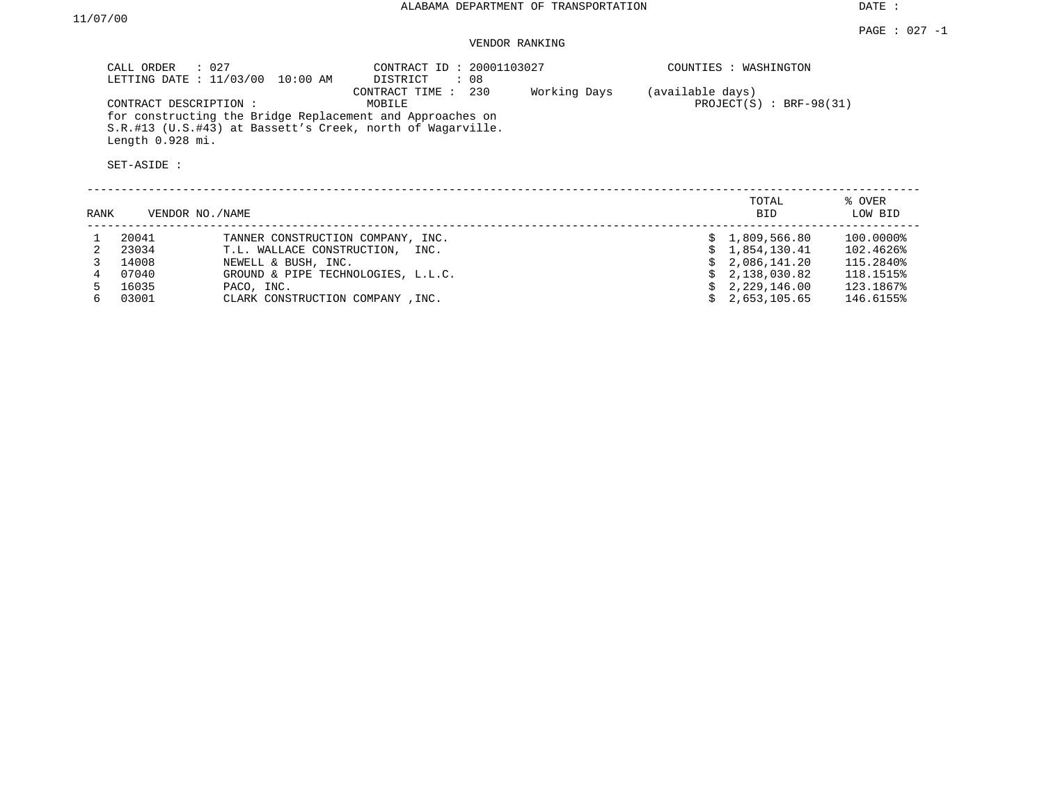### VENDOR RANKING

| CALL ORDER                                                | $\therefore$ 027<br>LETTING DATE : 11/03/00<br>10:00 AM              | CONTRACT ID: 20001103027<br>DISTRICT<br>: 08                                                                                                             |              | COUNTIES : WASHINGTON                          |                        |  |  |
|-----------------------------------------------------------|----------------------------------------------------------------------|----------------------------------------------------------------------------------------------------------------------------------------------------------|--------------|------------------------------------------------|------------------------|--|--|
| CONTRACT DESCRIPTION :<br>Length 0.928 mi.<br>SET-ASIDE : |                                                                      | CONTRACT TIME : 230<br>MOBILE<br>for constructing the Bridge Replacement and Approaches on<br>S.R.#13 (U.S.#43) at Bassett's Creek, north of Wagarville. | Working Days | (available days)<br>PROJECT $(S)$ : BRF-98(31) |                        |  |  |
| RANK                                                      | VENDOR NO. / NAME                                                    |                                                                                                                                                          |              | TOTAL<br><b>BID</b>                            | % OVER<br>LOW BID      |  |  |
| 20041<br>23034                                            | TANNER CONSTRUCTION COMPANY, INC.<br>T.L. WALLACE CONSTRUCTION, INC. |                                                                                                                                                          |              | \$1,809,566.80<br>1,854,130.41                 | 100.0000%<br>102.4626% |  |  |

| 23034   | T.L. WALLACE CONSTRUCTION, INC.    |  | \$1.854.130.41 | 102.4626% |
|---------|------------------------------------|--|----------------|-----------|
| 14008   | NEWELL & BUSH, INC.                |  | \$2.086.141.20 | 115.2840% |
| 07040   | GROUND & PIPE TECHNOLOGIES, L.L.C. |  | \$2,138,030.82 | 118.1515% |
| 5 16035 | PACO, INC.                         |  | \$2,229,146.00 | 123.1867% |
| 03001   | CLARK CONSTRUCTION COMPANY, INC.   |  | \$2,653,105.65 | 146.6155% |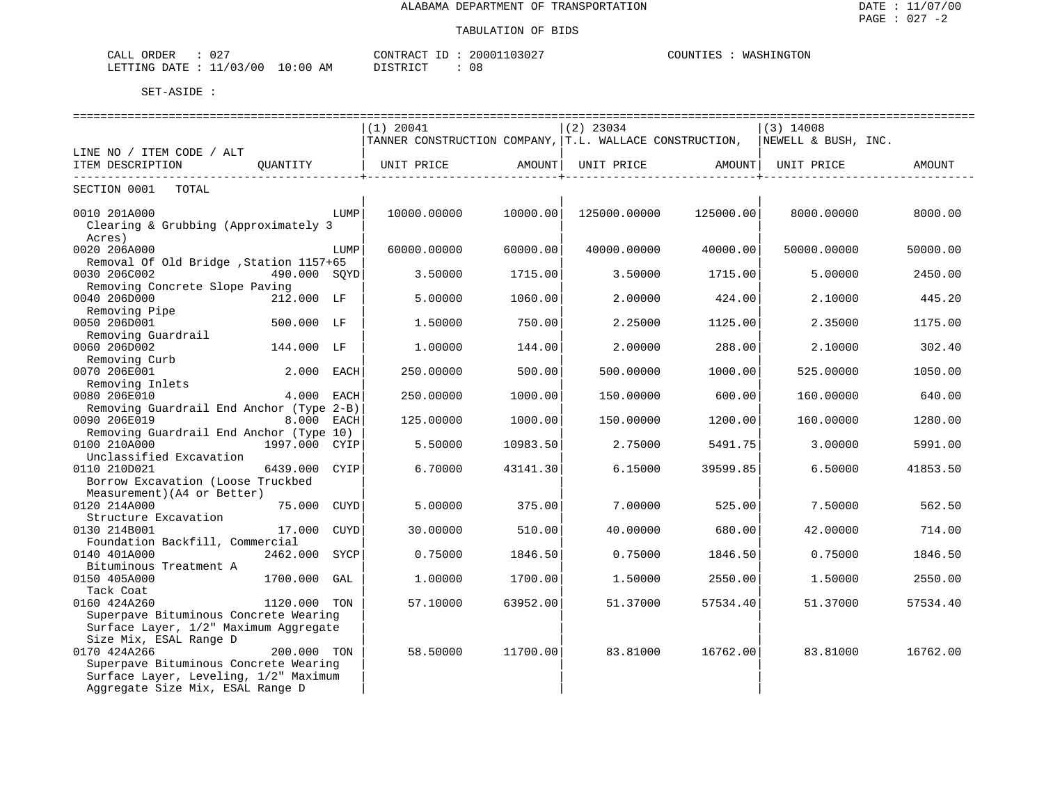| $\cap$ $\cap$ $\cap$<br>ORDER<br>ـىلىمى<br>U 4. |               | <b>CONTRACT</b> | $10302$ <sup>-</sup><br>20001 | WASHINGTON<br>C |
|-------------------------------------------------|---------------|-----------------|-------------------------------|-----------------|
| 1/03/00<br>LETTING DATE<br>ັັ                   | LO : 00<br>ΆM | DI STRICT       | . C<br>ס ע                    |                 |

|                                          |               |      | $(1)$ 20041                                             |          | $(2)$ 23034  |           | $(3)$ 14008         |          |
|------------------------------------------|---------------|------|---------------------------------------------------------|----------|--------------|-----------|---------------------|----------|
|                                          |               |      | TANNER CONSTRUCTION COMPANY, T.L. WALLACE CONSTRUCTION, |          |              |           | NEWELL & BUSH, INC. |          |
| LINE NO / ITEM CODE / ALT                |               |      |                                                         |          |              |           |                     |          |
| ITEM DESCRIPTION                         | OUANTITY      |      | UNIT PRICE                                              | AMOUNT I | UNIT PRICE   | AMOUNT    | UNIT PRICE          | AMOUNT   |
| SECTION 0001<br>TOTAL                    |               |      |                                                         |          |              |           |                     |          |
|                                          |               |      |                                                         |          |              |           |                     |          |
| 0010 201A000                             |               | LUMP | 10000.00000                                             | 10000.00 | 125000.00000 | 125000.00 | 8000.00000          | 8000.00  |
| Clearing & Grubbing (Approximately 3     |               |      |                                                         |          |              |           |                     |          |
| Acres)                                   |               |      |                                                         |          |              |           |                     |          |
| 0020 206A000                             |               | LUMP | 60000.00000                                             | 60000.00 | 40000.00000  | 40000.00  | 50000.00000         | 50000.00 |
| Removal Of Old Bridge , Station 1157+65  |               |      |                                                         |          |              |           |                     |          |
| 0030 206C002                             | 490.000 SOYD  |      | 3.50000                                                 | 1715.00  | 3.50000      | 1715.00   | 5.00000             | 2450.00  |
| Removing Concrete Slope Paving           |               |      |                                                         |          |              |           |                     |          |
| 0040 206D000                             | 212.000 LF    |      | 5.00000                                                 | 1060.00  | 2.00000      | 424.00    | 2.10000             | 445.20   |
| Removing Pipe                            |               |      |                                                         |          |              |           |                     |          |
| 0050 206D001                             | 500.000 LF    |      | 1.50000                                                 | 750.00   | 2.25000      | 1125.00   | 2.35000             | 1175.00  |
| Removing Guardrail                       |               |      |                                                         |          |              |           |                     |          |
| 0060 206D002                             | 144.000 LF    |      | 1,00000                                                 | 144.00   | 2,00000      | 288.00    | 2.10000             | 302.40   |
| Removing Curb                            |               |      |                                                         |          |              |           |                     |          |
| 0070 206E001                             | 2.000 EACH    |      | 250.00000                                               | 500.00   | 500.00000    | 1000.00   | 525.00000           | 1050.00  |
| Removing Inlets                          |               |      |                                                         |          |              |           |                     |          |
| 0080 206E010                             | 4.000 EACH    |      | 250.00000                                               | 1000.00  | 150.00000    | 600.00    | 160.00000           | 640.00   |
| Removing Guardrail End Anchor (Type 2-B) |               |      |                                                         |          |              |           |                     |          |
| 0090 206E019                             | 8.000 EACH    |      | 125.00000                                               | 1000.00  | 150.00000    | 1200.00   | 160.00000           | 1280.00  |
| Removing Guardrail End Anchor (Type 10)  |               |      |                                                         |          |              |           |                     |          |
| 0100 210A000                             | 1997.000 CYIP |      | 5.50000                                                 | 10983.50 | 2.75000      | 5491.75   | 3.00000             | 5991.00  |
| Unclassified Excavation                  |               |      |                                                         |          |              |           |                     |          |
| 0110 210D021                             | 6439.000 CYIP |      | 6.70000                                                 | 43141.30 | 6.15000      | 39599.85  | 6.50000             | 41853.50 |
| Borrow Excavation (Loose Truckbed        |               |      |                                                         |          |              |           |                     |          |
| Measurement) (A4 or Better)              |               |      |                                                         |          |              |           |                     |          |
| 0120 214A000                             | 75.000 CUYD   |      | 5.00000                                                 | 375.00   | 7.00000      | 525.00    | 7.50000             | 562.50   |
| Structure Excavation                     |               |      |                                                         |          |              |           |                     |          |
| 0130 214B001                             | 17.000 CUYD   |      | 30.00000                                                | 510.00   | 40.00000     | 680.00    | 42.00000            | 714.00   |
| Foundation Backfill, Commercial          |               |      |                                                         |          |              |           |                     |          |
| 0140 401A000                             | 2462.000 SYCP |      | 0.75000                                                 | 1846.50  | 0.75000      | 1846.50   | 0.75000             | 1846.50  |
| Bituminous Treatment A                   |               |      |                                                         |          |              |           |                     |          |
| 0150 405A000                             | 1700.000      | GAL  | 1,00000                                                 | 1700.00  | 1.50000      | 2550.00   | 1,50000             | 2550.00  |
| Tack Coat                                |               |      |                                                         |          |              |           |                     |          |
| 0160 424A260                             | 1120.000 TON  |      | 57.10000                                                | 63952.00 | 51.37000     | 57534.40  | 51.37000            | 57534.40 |
| Superpave Bituminous Concrete Wearing    |               |      |                                                         |          |              |           |                     |          |
| Surface Layer, 1/2" Maximum Aggregate    |               |      |                                                         |          |              |           |                     |          |
| Size Mix, ESAL Range D                   |               |      |                                                         |          |              |           |                     |          |
| 0170 424A266                             | 200.000 TON   |      | 58.50000                                                | 11700.00 | 83.81000     | 16762.00  | 83.81000            | 16762.00 |
| Superpave Bituminous Concrete Wearing    |               |      |                                                         |          |              |           |                     |          |
| Surface Layer, Leveling, 1/2" Maximum    |               |      |                                                         |          |              |           |                     |          |
| Aggregate Size Mix, ESAL Range D         |               |      |                                                         |          |              |           |                     |          |
|                                          |               |      |                                                         |          |              |           |                     |          |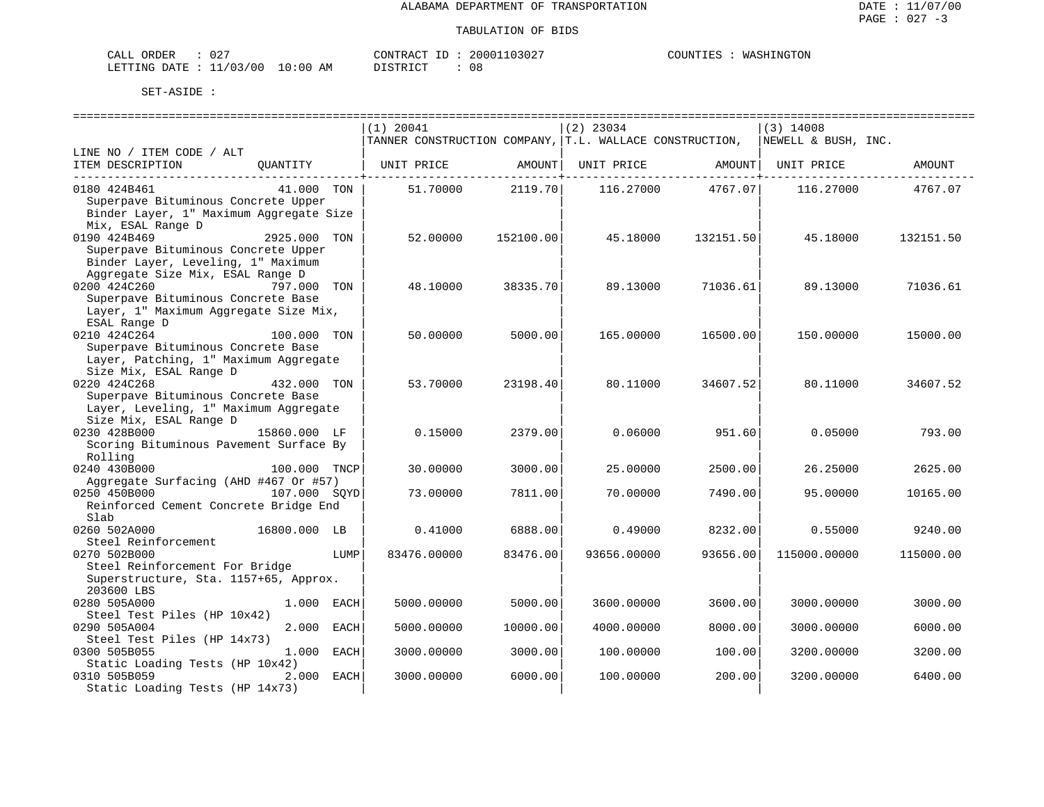| $\sim$ $\sim$ $\sim$<br>ロエト<br>١R<br>ו ב <i>ו</i> י<br>◡▵ |                      | חיי בא אידוארי<br>000 | TNT"<br>ON |
|-----------------------------------------------------------|----------------------|-----------------------|------------|
| $\cap$<br>03/00<br>.ETTTNG<br>חים מר<br>- -               | :00<br>AΜ<br>$\cdot$ | -08<br>TAT            |            |

|                                         |              |      | $(1)$ 20041                                             |           | $(2)$ 23034               |                                                     | $(3)$ 14008                         |           |
|-----------------------------------------|--------------|------|---------------------------------------------------------|-----------|---------------------------|-----------------------------------------------------|-------------------------------------|-----------|
|                                         |              |      | TANNER CONSTRUCTION COMPANY, T.L. WALLACE CONSTRUCTION, |           |                           |                                                     | NEWELL & BUSH, INC.                 |           |
| LINE NO / ITEM CODE / ALT               |              |      |                                                         |           |                           |                                                     |                                     |           |
| ITEM DESCRIPTION                        |              |      |                                                         |           |                           | . _ _ _ _ _ _ _ _ _ _ _ _ _ _ _ + _ _ _ _ _ _ _ _ _ |                                     | AMOUNT    |
| 0180 424B461                            | 41.000 TON   |      | 51.70000 2119.70                                        |           | ------------+------------ |                                                     | 116.27000 4767.07 116.27000 4767.07 |           |
| Superpave Bituminous Concrete Upper     |              |      |                                                         |           |                           |                                                     |                                     |           |
| Binder Layer, 1" Maximum Aggregate Size |              |      |                                                         |           |                           |                                                     |                                     |           |
| Mix, ESAL Range D                       |              |      |                                                         |           |                           |                                                     |                                     |           |
| 0190 424B469                            | 2925.000 TON |      | 52.00000                                                | 152100.00 | 45.18000                  | 132151.50                                           | 45.18000                            | 132151.50 |
| Superpave Bituminous Concrete Upper     |              |      |                                                         |           |                           |                                                     |                                     |           |
| Binder Layer, Leveling, 1" Maximum      |              |      |                                                         |           |                           |                                                     |                                     |           |
| Aggregate Size Mix, ESAL Range D        |              |      |                                                         |           |                           |                                                     |                                     |           |
| 0200 424C260                            | 797.000 TON  |      | 48.10000                                                | 38335.70  | 89.13000                  | 71036.61                                            | 89.13000                            | 71036.61  |
| Superpave Bituminous Concrete Base      |              |      |                                                         |           |                           |                                                     |                                     |           |
| Layer, 1" Maximum Aggregate Size Mix,   |              |      |                                                         |           |                           |                                                     |                                     |           |
| ESAL Range D                            |              |      |                                                         |           |                           |                                                     |                                     |           |
| 0210 424C264                            | 100.000 TON  |      | 50.00000                                                | 5000.00   | 165.00000                 | 16500.00                                            | 150.00000                           | 15000.00  |
| Superpave Bituminous Concrete Base      |              |      |                                                         |           |                           |                                                     |                                     |           |
| Layer, Patching, 1" Maximum Aggregate   |              |      |                                                         |           |                           |                                                     |                                     |           |
| Size Mix, ESAL Range D                  |              |      |                                                         |           |                           |                                                     |                                     |           |
| 0220 424C268                            | 432.000 TON  |      | 53.70000                                                | 23198.40  | 80.11000                  | 34607.52                                            | 80.11000                            | 34607.52  |
| Superpave Bituminous Concrete Base      |              |      |                                                         |           |                           |                                                     |                                     |           |
| Layer, Leveling, 1" Maximum Aggregate   |              |      |                                                         |           |                           |                                                     |                                     |           |
| Size Mix, ESAL Range D                  |              |      |                                                         |           |                           |                                                     |                                     |           |
| 0230 428B000                            | 15860.000 LF |      | 0.15000                                                 | 2379.00   | 0.06000                   | 951.60                                              | 0.05000                             | 793.00    |
| Scoring Bituminous Pavement Surface By  |              |      |                                                         |           |                           |                                                     |                                     |           |
| Rolling                                 |              |      |                                                         |           |                           |                                                     |                                     |           |
| 0240 430B000                            | 100.000 TNCP |      | 30.00000                                                | 3000.00   | 25.00000                  | 2500.00                                             | 26.25000                            | 2625.00   |
| Aggregate Surfacing (AHD #467 Or #57)   |              |      |                                                         |           |                           |                                                     |                                     |           |
| 0250 450B000                            | 107.000 SOYD |      | 73.00000                                                | 7811.00   | 70.00000                  | 7490.00                                             | 95.00000                            | 10165.00  |
| Reinforced Cement Concrete Bridge End   |              |      |                                                         |           |                           |                                                     |                                     |           |
| Slab                                    |              |      |                                                         |           |                           |                                                     |                                     |           |
| 0260 502A000                            | 16800.000 LB |      | 0.41000                                                 | 6888.00   | 0.49000                   | 8232.00                                             | 0.55000                             | 9240.00   |
| Steel Reinforcement                     |              |      |                                                         |           |                           |                                                     |                                     |           |
| 0270 502B000                            |              | LUMP | 83476.00000                                             | 83476.00  | 93656.00000               | 93656.00                                            | 115000.00000                        | 115000.00 |
| Steel Reinforcement For Bridge          |              |      |                                                         |           |                           |                                                     |                                     |           |
| Superstructure, Sta. 1157+65, Approx.   |              |      |                                                         |           |                           |                                                     |                                     |           |
| 203600 LBS                              |              |      |                                                         |           |                           |                                                     |                                     |           |
| 0280 505A000                            | 1.000 EACH   |      | 5000.00000                                              | 5000.00   | 3600.00000                | 3600.00                                             | 3000.00000                          | 3000.00   |
| Steel Test Piles (HP 10x42)             |              |      |                                                         |           |                           |                                                     |                                     |           |
| 0290 505A004                            | 2.000 EACH   |      | 5000.00000                                              | 10000.00  | 4000.00000                | 8000.00                                             | 3000.00000                          | 6000.00   |
| Steel Test Piles (HP 14x73)             |              |      |                                                         |           |                           |                                                     |                                     |           |
| 0300 505B055                            | 1.000 EACH   |      | 3000.00000                                              | 3000.00   | 100.00000                 | 100.00                                              | 3200.00000                          | 3200.00   |
| Static Loading Tests (HP 10x42)         |              |      |                                                         |           |                           |                                                     |                                     |           |
| 0310 505B059                            | 2.000 EACH   |      | 3000.00000                                              | 6000.00   | 100.00000                 | 200.00                                              | 3200.00000                          | 6400.00   |
| Static Loading Tests (HP 14x73)         |              |      |                                                         |           |                           |                                                     |                                     |           |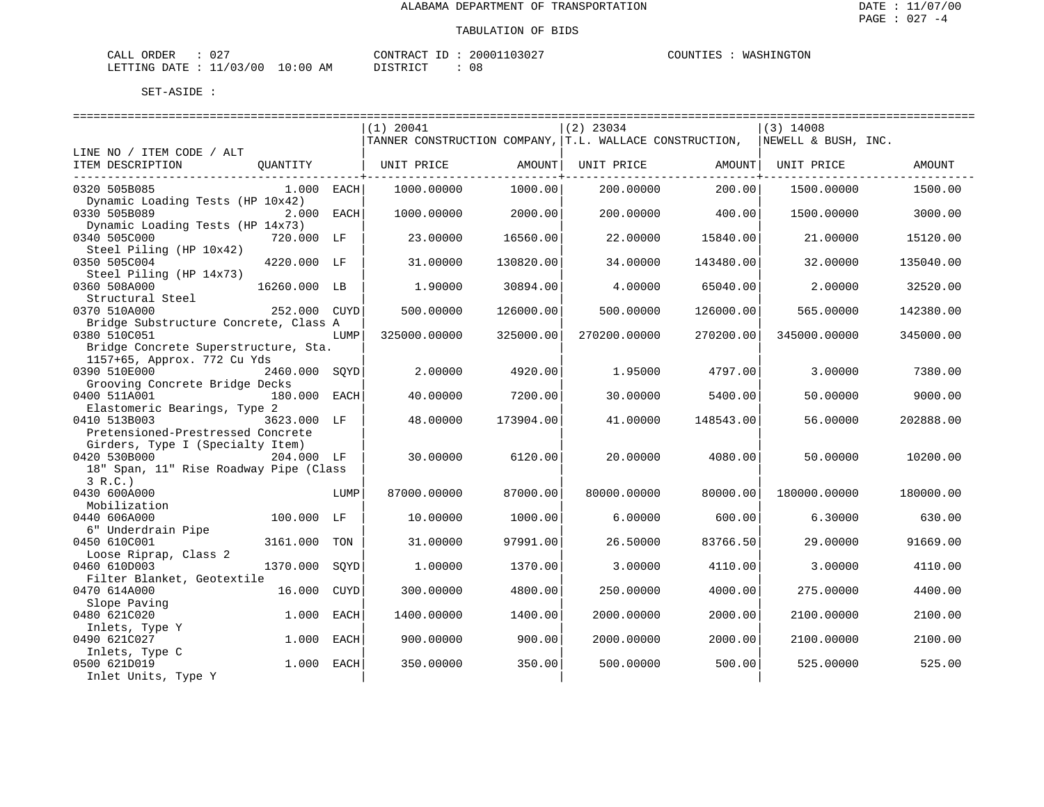| CALL ORDER : 027                 |          | CONTRACT ID: 20001103027 | COUNTIES : WASHINGTON |
|----------------------------------|----------|--------------------------|-----------------------|
| LETTING DATE : 11/03/00 10:00 AM | DISTRICT | : 08                     |                       |

|                                                      |               |             | $(1)$ 20041                                              |           | $(2)$ 23034  |           | $(3)$ 14008         |           |  |
|------------------------------------------------------|---------------|-------------|----------------------------------------------------------|-----------|--------------|-----------|---------------------|-----------|--|
|                                                      |               |             | TANNER CONSTRUCTION COMPANY,  T.L. WALLACE CONSTRUCTION, |           |              |           | NEWELL & BUSH, INC. |           |  |
| LINE NO / ITEM CODE / ALT                            |               |             |                                                          |           |              |           |                     |           |  |
| ITEM DESCRIPTION                                     | OUANTITY      |             | UNIT PRICE                                               | AMOUNT    | UNIT PRICE   | AMOUNT    | UNIT PRICE          | AMOUNT    |  |
| 0320 505B085                                         | $1.000$ EACH  |             | 1000.00000                                               | 1000.00   | 200.00000    | 200.00    | 1500.00000          | 1500.00   |  |
| Dynamic Loading Tests (HP 10x42)                     |               |             |                                                          |           |              |           |                     |           |  |
| 0330 505B089                                         | 2.000 EACH    |             | 1000.00000                                               | 2000.00   | 200.00000    | 400.00    | 1500.00000          | 3000.00   |  |
| Dynamic Loading Tests (HP 14x73)<br>0340 505C000     | 720.000 LF    |             | 23.00000                                                 | 16560.00  | 22.00000     | 15840.00  | 21,00000            | 15120.00  |  |
| Steel Piling (HP 10x42)                              |               |             |                                                          |           |              |           |                     |           |  |
| 0350 505C004<br>Steel Piling (HP 14x73)              | 4220.000 LF   |             | 31.00000                                                 | 130820.00 | 34.00000     | 143480.00 | 32.00000            | 135040.00 |  |
| 0360 508A000                                         | 16260.000 LB  |             | 1,90000                                                  | 30894.00  | 4.00000      | 65040.00  | 2.00000             | 32520.00  |  |
| Structural Steel                                     |               |             |                                                          |           |              |           |                     |           |  |
| 0370 510A000                                         | 252.000       | CUYD        | 500.00000                                                | 126000.00 | 500.00000    | 126000.00 | 565.00000           | 142380.00 |  |
| Bridge Substructure Concrete, Class A                |               |             |                                                          |           |              |           |                     |           |  |
| 0380 510C051<br>Bridge Concrete Superstructure, Sta. |               | LUMP        | 325000.00000                                             | 325000.00 | 270200.00000 | 270200.00 | 345000.00000        | 345000.00 |  |
| 1157+65, Approx. 772 Cu Yds                          |               |             |                                                          |           |              |           |                     |           |  |
| 0390 510E000                                         | 2460.000 SOYD |             | 2.00000                                                  | 4920.00   | 1.95000      | 4797.00   | 3.00000             | 7380.00   |  |
| Grooving Concrete Bridge Decks                       |               |             |                                                          |           |              |           |                     |           |  |
| 0400 511A001                                         | 180.000       | EACH        | 40.00000                                                 | 7200.00   | 30.00000     | 5400.00   | 50.00000            | 9000.00   |  |
| Elastomeric Bearings, Type 2                         |               |             |                                                          |           |              |           |                     |           |  |
| 0410 513B003                                         | 3623.000 LF   |             | 48,00000                                                 | 173904.00 | 41,00000     | 148543.00 | 56.00000            | 202888.00 |  |
| Pretensioned-Prestressed Concrete                    |               |             |                                                          |           |              |           |                     |           |  |
| Girders, Type I (Specialty Item)<br>0420 530B000     | 204.000 LF    |             | 30.00000                                                 | 6120.00   | 20.00000     | 4080.00   | 50.00000            | 10200.00  |  |
| 18" Span, 11" Rise Roadway Pipe (Class               |               |             |                                                          |           |              |           |                     |           |  |
| 3 R.C.                                               |               |             |                                                          |           |              |           |                     |           |  |
| 0430 600A000                                         |               | LUMP        | 87000.00000                                              | 87000.00  | 80000.00000  | 80000.00  | 180000.00000        | 180000.00 |  |
| Mobilization                                         |               |             |                                                          |           |              |           |                     |           |  |
| 0440 606A000                                         | 100.000 LF    |             | 10.00000                                                 | 1000.00   | 6.00000      | 600.00    | 6.30000             | 630.00    |  |
| 6" Underdrain Pipe                                   |               |             |                                                          |           |              |           |                     |           |  |
| 0450 610C001<br>Loose Riprap, Class 2                | 3161.000      | TON         | 31.00000                                                 | 97991.00  | 26.50000     | 83766.50  | 29.00000            | 91669.00  |  |
| 0460 610D003                                         | 1370.000      | SOYD        | 1,00000                                                  | 1370.00   | 3.00000      | 4110.00   | 3.00000             | 4110.00   |  |
| Filter Blanket, Geotextile                           |               |             |                                                          |           |              |           |                     |           |  |
| 0470 614A000                                         | 16.000        | <b>CUYD</b> | 300.00000                                                | 4800.00   | 250.00000    | 4000.00   | 275.00000           | 4400.00   |  |
| Slope Paving                                         |               |             |                                                          |           |              |           |                     |           |  |
| 0480 621C020                                         | 1,000         | EACH        | 1400.00000                                               | 1400.00   | 2000.00000   | 2000.00   | 2100.00000          | 2100.00   |  |
| Inlets, Type Y                                       |               |             |                                                          |           |              |           |                     |           |  |
| 0490 621C027                                         | 1.000         | EACH        | 900.00000                                                | 900.00    | 2000.00000   | 2000.00   | 2100.00000          | 2100.00   |  |
| Inlets, Type C<br>0500 621D019                       | 1.000         | EACH        | 350.00000                                                | 350.00    | 500.00000    | 500.00    | 525.00000           | 525.00    |  |
| Inlet Units, Type Y                                  |               |             |                                                          |           |              |           |                     |           |  |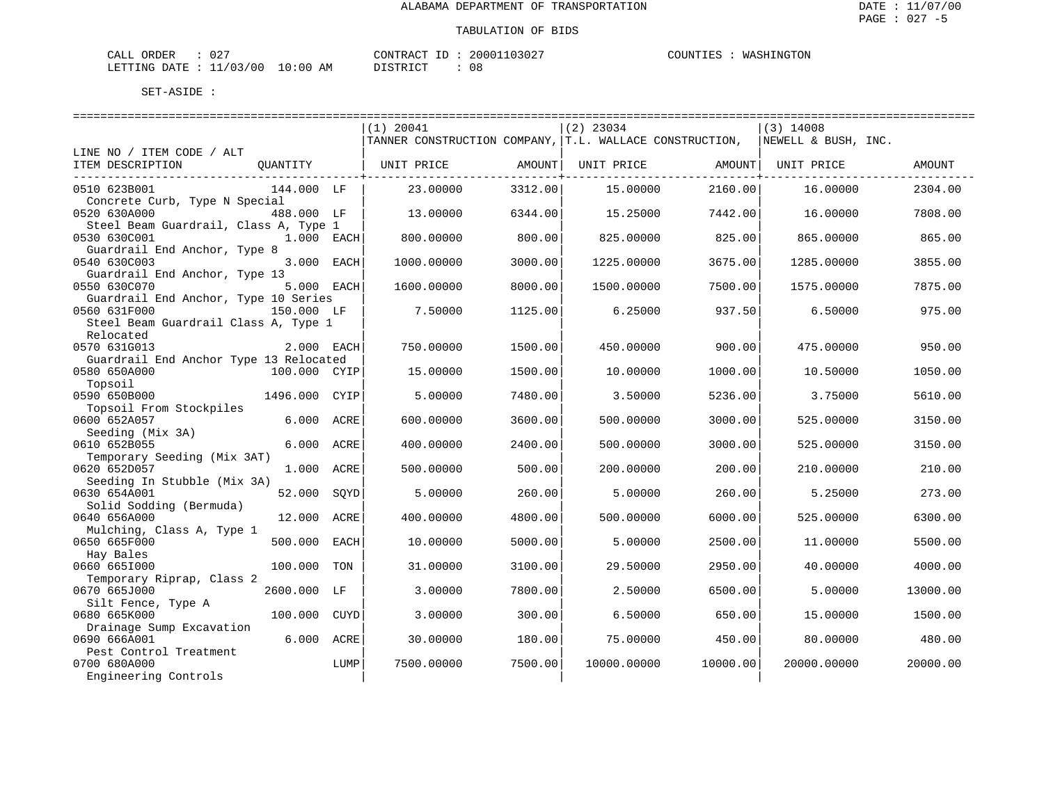| CALL ORDER                       | $\cap$ $\cap$<br>$\cup$ $\angle$ |          | CONTRACT ID: 20001103027 | WASHINGTON<br>COUNTIES : |
|----------------------------------|----------------------------------|----------|--------------------------|--------------------------|
| LETTING DATE : 11/03/00 10:00 AM |                                  | DISTRICT | U C                      |                          |

|                                                           | ===========================                             |         | =================== |          | ============================= |          |
|-----------------------------------------------------------|---------------------------------------------------------|---------|---------------------|----------|-------------------------------|----------|
|                                                           | $(1)$ 20041                                             |         | $(2)$ 23034         |          | $(3)$ 14008                   |          |
|                                                           | TANNER CONSTRUCTION COMPANY, T.L. WALLACE CONSTRUCTION, |         |                     |          | NEWELL & BUSH, INC.           |          |
| LINE NO / ITEM CODE / ALT                                 |                                                         |         |                     |          |                               |          |
| ITEM DESCRIPTION<br>OUANTITY                              | UNIT PRICE                                              | AMOUNT  | UNIT PRICE          | AMOUNT   | UNIT PRICE                    | AMOUNT   |
|                                                           |                                                         |         |                     |          |                               |          |
| 0510 623B001<br>144.000 LF                                | 23.00000                                                | 3312.00 | 15,00000            | 2160.00  | 16.00000                      | 2304.00  |
| Concrete Curb, Type N Special                             |                                                         |         |                     |          |                               |          |
| 0520 630A000<br>488.000 LF                                | 13.00000                                                | 6344.00 | 15.25000            | 7442.00  | 16.00000                      | 7808.00  |
| Steel Beam Guardrail, Class A, Type 1                     |                                                         |         |                     |          |                               |          |
| 0530 630C001<br>$1.000$ EACH                              | 800,00000                                               | 800.00  | 825,00000           | 825.00   | 865,00000                     | 865.00   |
| Guardrail End Anchor, Type 8                              |                                                         |         |                     |          |                               |          |
| 3.000 EACH<br>0540 630C003                                | 1000.00000                                              | 3000.00 | 1225.00000          | 3675.00  | 1285.00000                    | 3855.00  |
| Guardrail End Anchor, Type 13                             |                                                         |         |                     |          |                               |          |
| 5.000 EACH<br>0550 630C070                                | 1600.00000                                              | 8000.00 | 1500.00000          | 7500.00  | 1575.00000                    | 7875.00  |
| Guardrail End Anchor, Type 10 Series                      |                                                         |         |                     |          |                               |          |
| 0560 631F000<br>150.000 LF                                | 7.50000                                                 | 1125.00 | 6.25000             | 937.50   | 6.50000                       | 975.00   |
| Steel Beam Guardrail Class A, Type 1                      |                                                         |         |                     |          |                               |          |
| Relocated                                                 |                                                         |         |                     |          |                               |          |
| 0570 631G013<br>2.000 EACH                                | 750.00000                                               | 1500.00 | 450.00000           | 900.00   | 475.00000                     | 950.00   |
| Guardrail End Anchor Type 13 Relocated                    |                                                         |         |                     |          |                               |          |
| 100.000 CYIP<br>0580 650A000                              | 15,00000                                                | 1500.00 | 10,00000            | 1000.00  | 10.50000                      | 1050.00  |
| Topsoil                                                   |                                                         |         |                     |          |                               |          |
| 0590 650B000<br>1496.000 CYIP                             | 5.00000                                                 | 7480.00 | 3.50000             | 5236.00  | 3.75000                       | 5610.00  |
| Topsoil From Stockpiles                                   |                                                         |         |                     |          |                               |          |
| 0600 652A057<br>6.000 ACRE                                | 600,00000                                               | 3600.00 | 500.00000           | 3000.00  | 525.00000                     | 3150.00  |
| Seeding (Mix 3A)                                          |                                                         |         |                     |          |                               |          |
| 0610 652B055<br>6.000 ACRE                                | 400.00000                                               | 2400.00 | 500.00000           | 3000.00  | 525.00000                     | 3150.00  |
| Temporary Seeding (Mix 3AT)<br>1.000 ACRE<br>0620 652D057 | 500.00000                                               | 500.00  | 200,00000           | 200.00   | 210,00000                     | 210.00   |
| Seeding In Stubble (Mix 3A)                               |                                                         |         |                     |          |                               |          |
| 0630 654A001<br>52.000<br>SOYD                            | 5.00000                                                 | 260.00  | 5.00000             | 260.00   | 5.25000                       | 273.00   |
| Solid Sodding (Bermuda)                                   |                                                         |         |                     |          |                               |          |
| 0640 656A000<br>12.000<br>ACRE                            | 400.00000                                               | 4800.00 | 500.00000           | 6000.00  | 525.00000                     | 6300.00  |
| Mulching, Class A, Type 1                                 |                                                         |         |                     |          |                               |          |
| 0650 665F000<br>500.000<br>EACH                           | 10.00000                                                | 5000.00 | 5.00000             | 2500.00  | 11.00000                      | 5500.00  |
| Hay Bales                                                 |                                                         |         |                     |          |                               |          |
| 0660 6651000<br>100.000<br>TON                            | 31.00000                                                | 3100.00 | 29.50000            | 2950.00  | 40.00000                      | 4000.00  |
| Temporary Riprap, Class 2                                 |                                                         |         |                     |          |                               |          |
| 0670 665J000<br>2600.000 LF                               | 3.00000                                                 | 7800.00 | 2.50000             | 6500.00  | 5.00000                       | 13000.00 |
| Silt Fence, Type A                                        |                                                         |         |                     |          |                               |          |
| 100.000<br>0680 665K000<br>CUYD                           | 3.00000                                                 | 300.00  | 6.50000             | 650.00   | 15.00000                      | 1500.00  |
| Drainage Sump Excavation                                  |                                                         |         |                     |          |                               |          |
| 0690 666A001<br>6.000<br>ACRE                             | 30.00000                                                | 180.00  | 75,00000            | 450.00   | 80.00000                      | 480.00   |
| Pest Control Treatment                                    |                                                         |         |                     |          |                               |          |
| 0700 680A000<br>LUMP                                      | 7500.00000                                              | 7500.00 | 10000.00000         | 10000.00 | 20000.00000                   | 20000.00 |
| Engineering Controls                                      |                                                         |         |                     |          |                               |          |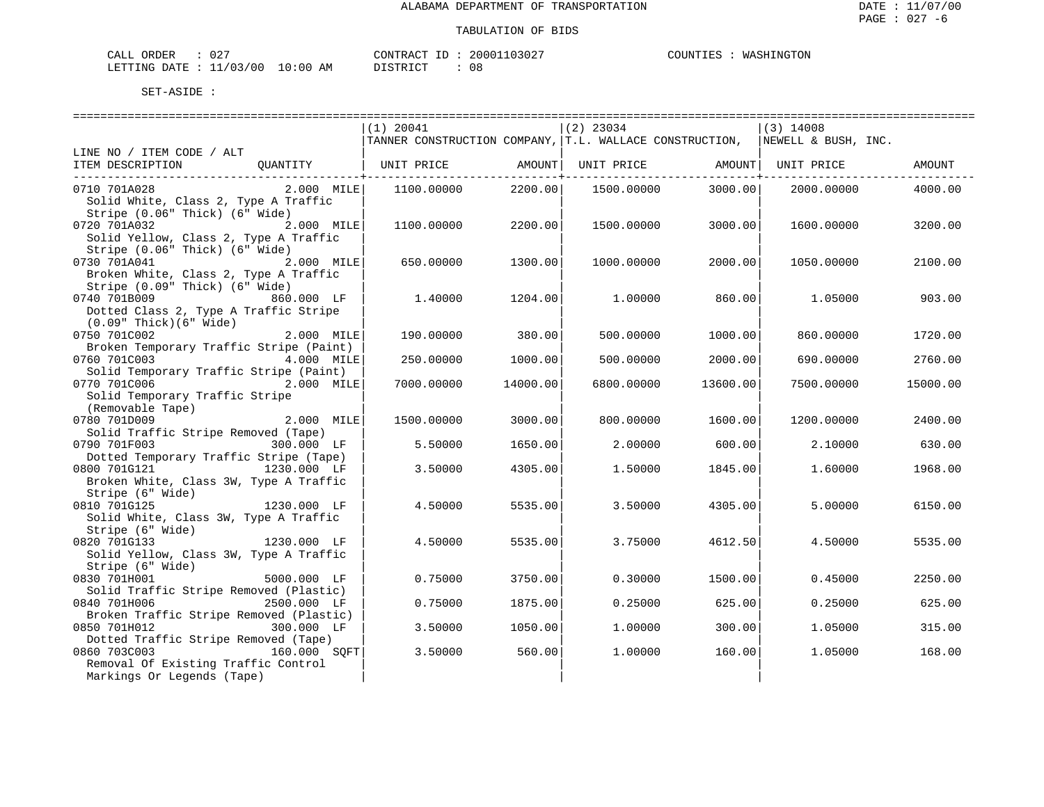| ORDER<br>CALL          | $\cap$ $\cap$<br>υz |            | CONTRACT<br>TD. | 20001103027 | WASHINGTON<br>COUNTIES |
|------------------------|---------------------|------------|-----------------|-------------|------------------------|
| LETTING DATE: 11/03/00 |                     | $10:00$ AM | <b>DISTRICT</b> |             |                        |

|                                                                     | $(1)$ 20041                                              |               | $(2)$ 23034 |                                     | $(3)$ 14008         |          |
|---------------------------------------------------------------------|----------------------------------------------------------|---------------|-------------|-------------------------------------|---------------------|----------|
|                                                                     | TANNER CONSTRUCTION COMPANY,  T.L. WALLACE CONSTRUCTION, |               |             |                                     | NEWELL & BUSH, INC. |          |
| LINE NO / ITEM CODE / ALT                                           |                                                          |               |             |                                     |                     |          |
| ITEM DESCRIPTION<br>OUANTITY                                        | UNIT PRICE AMOUNT                                        |               | UNIT PRICE  |                                     | AMOUNT  UNIT PRICE  | AMOUNT   |
|                                                                     |                                                          | ------------+ |             | . _ _ _ _ _ _ _ _ _ _ _ _ _ _ _ _ + |                     |          |
| 0710 701A028<br>$2.000$ MILE                                        | 1100.00000                                               | 2200.00       | 1500.00000  | 3000.00                             | 2000.00000          | 4000.00  |
| Solid White, Class 2, Type A Traffic                                |                                                          |               |             |                                     |                     |          |
| Stripe (0.06" Thick) (6" Wide)                                      |                                                          |               |             |                                     |                     |          |
| 0720 701A032<br>2.000 MILE                                          | 1100.00000                                               | 2200.00       | 1500.00000  | 3000.00                             | 1600.00000          | 3200.00  |
| Solid Yellow, Class 2, Type A Traffic                               |                                                          |               |             |                                     |                     |          |
| Stripe (0.06" Thick) (6" Wide)                                      |                                                          |               |             |                                     |                     |          |
| 0730 701A041<br>2.000 MILE<br>Broken White, Class 2, Type A Traffic | 650.00000                                                | 1300.00       | 1000.00000  | 2000.00                             | 1050.00000          | 2100.00  |
| Stripe (0.09" Thick) (6" Wide)                                      |                                                          |               |             |                                     |                     |          |
| 0740 701B009<br>860.000 LF                                          | 1,40000                                                  | 1204.00       | 1,00000     | 860.00                              | 1,05000             | 903.00   |
| Dotted Class 2, Type A Traffic Stripe                               |                                                          |               |             |                                     |                     |          |
| $(0.09"$ Thick $)(6"$ Wide $)$                                      |                                                          |               |             |                                     |                     |          |
| 0750 701C002<br>2.000 MILE                                          | 190.00000                                                | 380.00        | 500.00000   | 1000.00                             | 860.00000           | 1720.00  |
| Broken Temporary Traffic Stripe (Paint)                             |                                                          |               |             |                                     |                     |          |
| 0760 701C003<br>4.000 MILE                                          | 250.00000                                                | 1000.00       | 500.00000   | 2000.00                             | 690.00000           | 2760.00  |
| Solid Temporary Traffic Stripe (Paint)                              |                                                          |               |             |                                     |                     |          |
| 0770 701C006<br>$2.000$ MILE                                        | 7000.00000                                               | 14000.00      | 6800.00000  | 13600.00                            | 7500.00000          | 15000.00 |
| Solid Temporary Traffic Stripe                                      |                                                          |               |             |                                     |                     |          |
| (Removable Tape)                                                    |                                                          |               |             |                                     |                     |          |
| 2.000 MILE<br>0780 701D009                                          | 1500.00000                                               | 3000.00       | 800.00000   | 1600.00                             | 1200.00000          | 2400.00  |
| Solid Traffic Stripe Removed (Tape)                                 |                                                          |               |             |                                     |                     |          |
| 0790 701F003<br>300.000 LF                                          | 5.50000                                                  | 1650.00       | 2,00000     | 600.00                              | 2.10000             | 630.00   |
| Dotted Temporary Traffic Stripe (Tape)                              |                                                          |               |             |                                     |                     |          |
| 0800 701G121<br>1230.000 LF                                         | 3.50000                                                  | 4305.00       | 1.50000     | 1845.00                             | 1,60000             | 1968.00  |
| Broken White, Class 3W, Type A Traffic                              |                                                          |               |             |                                     |                     |          |
| Stripe (6" Wide)                                                    |                                                          |               |             |                                     |                     |          |
| 0810 701G125<br>1230.000 LF                                         | 4.50000                                                  | 5535.00       | 3.50000     | 4305.00                             | 5.00000             | 6150.00  |
| Solid White, Class 3W, Type A Traffic                               |                                                          |               |             |                                     |                     |          |
| Stripe (6" Wide)<br>$1230.000$ LF                                   |                                                          |               |             |                                     |                     |          |
| 0820 701G133                                                        | 4.50000                                                  | 5535.00       | 3.75000     | 4612.50                             | 4.50000             | 5535.00  |
| Solid Yellow, Class 3W, Type A Traffic<br>Stripe (6" Wide)          |                                                          |               |             |                                     |                     |          |
| 0830 701H001<br>5000.000 LF                                         | 0.75000                                                  | 3750.00       | 0.30000     | 1500.00                             | 0.45000             | 2250.00  |
| Solid Traffic Stripe Removed (Plastic)                              |                                                          |               |             |                                     |                     |          |
| 0840 701H006<br>2500.000 LF                                         | 0.75000                                                  | 1875.00       | 0.25000     | 625.00                              | 0.25000             | 625.00   |
| Broken Traffic Stripe Removed (Plastic)                             |                                                          |               |             |                                     |                     |          |
| 0850 701H012<br>300.000 LF                                          | 3.50000                                                  | 1050.00       | 1,00000     | 300.00                              | 1.05000             | 315.00   |
| Dotted Traffic Stripe Removed (Tape)                                |                                                          |               |             |                                     |                     |          |
| 0860 703C003<br>160.000 SOFT                                        | 3.50000                                                  | 560.00        | 1,00000     | 160.00                              | 1.05000             | 168.00   |
| Removal Of Existing Traffic Control                                 |                                                          |               |             |                                     |                     |          |
| Markings Or Legends (Tape)                                          |                                                          |               |             |                                     |                     |          |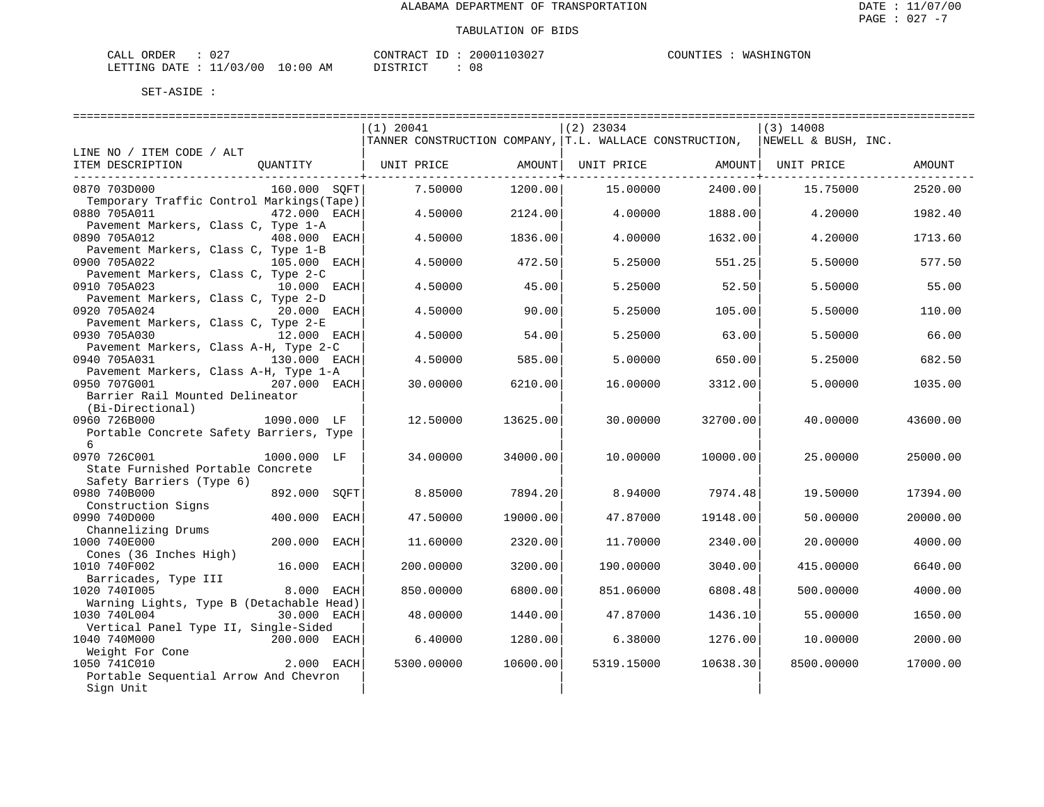| CALL ORDER                       | $\cap$ $\cap$<br>$\cup$ $\angle$ |          | CONTRACT ID: 20001103027 | WASHINGTON<br>COUNTIES : |
|----------------------------------|----------------------------------|----------|--------------------------|--------------------------|
| LETTING DATE : 11/03/00 10:00 AM |                                  | DISTRICT | U C                      |                          |

|                                           |                 | $(1)$ 20041                                                                 |          | $(2)$ 23034 |                  | $(3)$ 14008        |          |
|-------------------------------------------|-----------------|-----------------------------------------------------------------------------|----------|-------------|------------------|--------------------|----------|
|                                           |                 | TANNER CONSTRUCTION COMPANY, T.L. WALLACE CONSTRUCTION, NEWELL & BUSH, INC. |          |             |                  |                    |          |
| LINE NO / ITEM CODE / ALT                 |                 |                                                                             |          |             |                  |                    |          |
| ITEM DESCRIPTION                          | OUANTITY        | UNIT PRICE                                                                  | AMOUNT   | UNIT PRICE  |                  | AMOUNT  UNIT PRICE | AMOUNT   |
|                                           |                 |                                                                             |          |             | ---------------+ |                    |          |
| 0870 703D000                              | 160.000 SOFT    | 7.50000                                                                     | 1200.00  | 15,00000    | 2400.00          | 15.75000           | 2520.00  |
| Temporary Traffic Control Markings (Tape) |                 |                                                                             |          |             |                  |                    |          |
| 0880 705A011                              | 472.000 EACH    | 4.50000                                                                     | 2124.00  | 4.00000     | 1888.00          | 4.20000            | 1982.40  |
| Pavement Markers, Class C, Type 1-A       |                 |                                                                             |          |             |                  |                    |          |
| 0890 705A012                              | 408.000 EACH    | 4.50000                                                                     | 1836.00  | 4.00000     | 1632.00          | 4.20000            | 1713.60  |
| Pavement Markers, Class C, Type 1-B       |                 |                                                                             |          |             |                  |                    |          |
| 0900 705A022                              | 105.000 EACH    | 4.50000                                                                     | 472.50   | 5.25000     | 551.25           | 5.50000            | 577.50   |
| Pavement Markers, Class C, Type 2-C       |                 |                                                                             |          |             |                  |                    |          |
| 0910 705A023                              | 10.000 EACH     | 4.50000                                                                     | 45.00    | 5.25000     | 52.50            | 5.50000            | 55.00    |
| Pavement Markers, Class C, Type 2-D       |                 |                                                                             |          |             |                  |                    |          |
| 0920 705A024                              | 20.000 EACH     | 4.50000                                                                     | 90.00    | 5.25000     | 105.00           | 5.50000            | 110.00   |
| Pavement Markers, Class C, Type 2-E       |                 |                                                                             |          |             |                  |                    |          |
| 0930 705A030                              | 12.000 EACH     | 4.50000                                                                     | 54.00    | 5.25000     | 63.00            | 5.50000            | 66.00    |
| Pavement Markers, Class A-H, Type 2-C     |                 |                                                                             |          |             |                  |                    |          |
| 0940 705A031                              | 130.000 EACH    | 4.50000                                                                     | 585.00   | 5.00000     | 650.00           | 5.25000            | 682.50   |
| Pavement Markers, Class A-H, Type 1-A     |                 |                                                                             |          |             |                  |                    |          |
| 0950 707G001                              | 207.000 EACH    | 30,00000                                                                    | 6210.00  | 16.00000    | 3312.00          | 5.00000            | 1035.00  |
| Barrier Rail Mounted Delineator           |                 |                                                                             |          |             |                  |                    |          |
| (Bi-Directional)                          |                 |                                                                             |          |             |                  |                    |          |
| 0960 726B000                              | 1090.000 LF     | 12.50000                                                                    | 13625.00 | 30.00000    | 32700.00         | 40.00000           | 43600.00 |
| Portable Concrete Safety Barriers, Type   |                 |                                                                             |          |             |                  |                    |          |
| б.                                        |                 |                                                                             |          |             |                  |                    |          |
| 0970 726C001                              | 1000.000 LF     | 34.00000                                                                    | 34000.00 | 10.00000    | 10000.00         | 25.00000           | 25000.00 |
| State Furnished Portable Concrete         |                 |                                                                             |          |             |                  |                    |          |
| Safety Barriers (Type 6)                  |                 |                                                                             |          |             |                  |                    |          |
| 0980 740B000                              | 892.000<br>SOFT | 8.85000                                                                     | 7894.20  | 8.94000     | 7974.48          | 19.50000           | 17394.00 |
| Construction Signs                        |                 |                                                                             |          |             |                  |                    |          |
| 0990 740D000                              | 400.000<br>EACH | 47.50000                                                                    | 19000.00 | 47.87000    | 19148.00         | 50.00000           | 20000.00 |
| Channelizing Drums                        |                 |                                                                             |          |             |                  |                    |          |
| 1000 740E000                              | 200.000<br>EACH | 11.60000                                                                    | 2320.00  | 11.70000    | 2340.00          | 20.00000           | 4000.00  |
| Cones (36 Inches High)                    |                 |                                                                             |          |             |                  |                    |          |
| 1010 740F002                              | 16.000 EACH     | 200.00000                                                                   | 3200.00  | 190.00000   | 3040.00          | 415.00000          | 6640.00  |
| Barricades, Type III                      |                 |                                                                             |          |             |                  |                    |          |
| 1020 7401005                              | 8.000<br>EACH   | 850.00000                                                                   | 6800.00  | 851.06000   | 6808.48          | 500.00000          | 4000.00  |
| Warning Lights, Type B (Detachable Head)  |                 |                                                                             |          |             |                  |                    |          |
| 1030 740L004                              | 30.000 EACH     | 48.00000                                                                    | 1440.00  | 47.87000    | 1436.10          | 55.00000           | 1650.00  |
| Vertical Panel Type II, Single-Sided      |                 |                                                                             |          |             |                  |                    |          |
| 1040 740M000                              | 200.000 EACH    | 6.40000                                                                     | 1280.00  | 6.38000     | 1276.00          | 10.00000           | 2000.00  |
| Weight For Cone                           |                 |                                                                             |          |             |                  |                    |          |
| 1050 741C010                              | 2.000 EACH      | 5300.00000                                                                  | 10600.00 | 5319.15000  | 10638.30         | 8500.00000         | 17000.00 |
| Portable Sequential Arrow And Chevron     |                 |                                                                             |          |             |                  |                    |          |
| Sign Unit                                 |                 |                                                                             |          |             |                  |                    |          |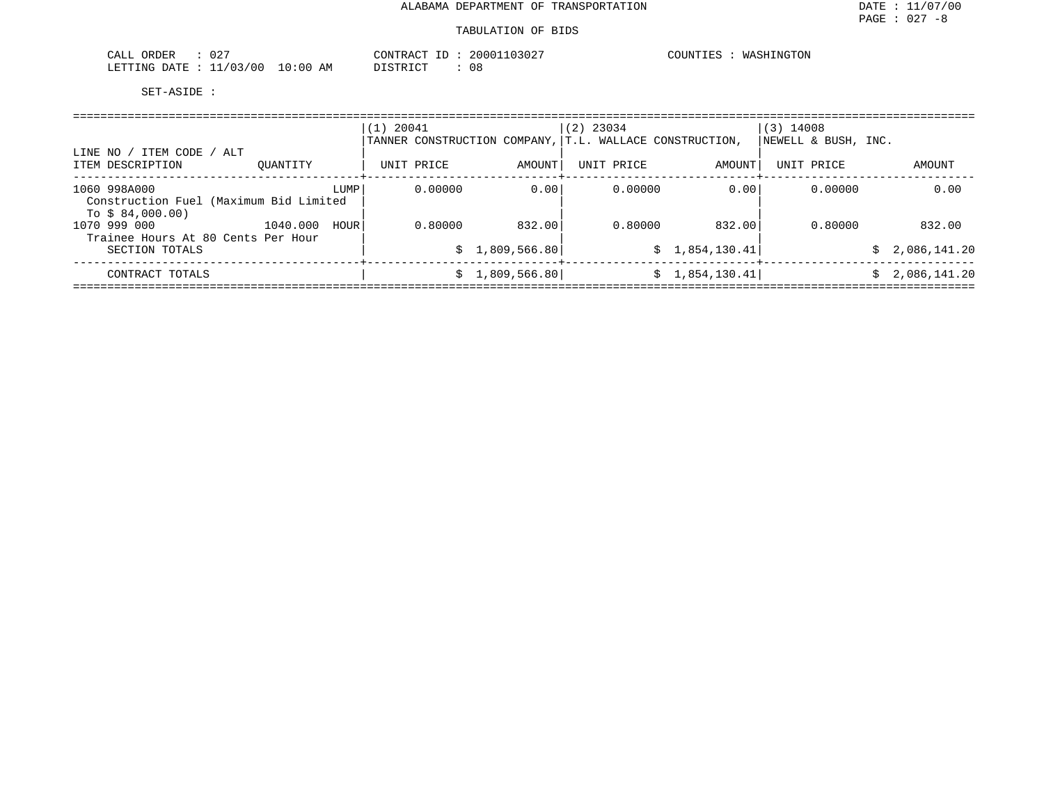#### TABULATION OF BIDS

| $\cap$ $\cap$<br>ORDER<br>CALL<br>U 4.                                                  |            | CONTRAC<br>. | $10302$ <sup>-</sup><br>20001 | COUNTIES<br><i><b>\SHINGTON</b></i><br>WASH |
|-----------------------------------------------------------------------------------------|------------|--------------|-------------------------------|---------------------------------------------|
| 11/03/00<br>LETTING<br>DA <del>mp</del><br>JA'I.<br>and the contract of the contract of | 0:00<br>ΑM | DISTRICT     | 08                            |                                             |

| LINE NO / ITEM CODE / ALT<br>ITEM DESCRIPTION                              | OUANTITY |      | $(1)$ 20041 | UNIT PRICE | TANNER CONSTRUCTION COMPANY,<br>AMOUNT | $(2)$ 23034<br>UNIT PRICE |         | T.L. WALLACE CONSTRUCTION,<br>AMOUNT | $(3)$ 14008<br>NEWELL & BUSH, INC.<br>UNIT PRICE |        | AMOUNT                       |
|----------------------------------------------------------------------------|----------|------|-------------|------------|----------------------------------------|---------------------------|---------|--------------------------------------|--------------------------------------------------|--------|------------------------------|
| 1060 998A000<br>Construction Fuel (Maximum Bid Limited<br>To $$84,000.00)$ |          | LUMP |             | 0.00000    | 0.00                                   |                           | 0.00000 | 0.00                                 | 0.00000                                          |        | 0.00                         |
| 1070 999 000<br>Trainee Hours At 80 Cents Per Hour                         | 1040.000 | HOUR |             | 0.80000    | 832.00                                 |                           | 0.80000 | 832.00                               | 0.80000                                          |        | 832.00                       |
| SECTION TOTALS<br>CONTRACT TOTALS                                          |          |      |             | S.<br>S    | 1,809,566.80<br>1,809,566.80           |                           |         | \$1,854,130.41<br>\$1,854,130.41]    |                                                  | S<br>S | 2,086,141.20<br>2,086,141.20 |
|                                                                            |          |      |             |            |                                        |                           |         |                                      |                                                  |        |                              |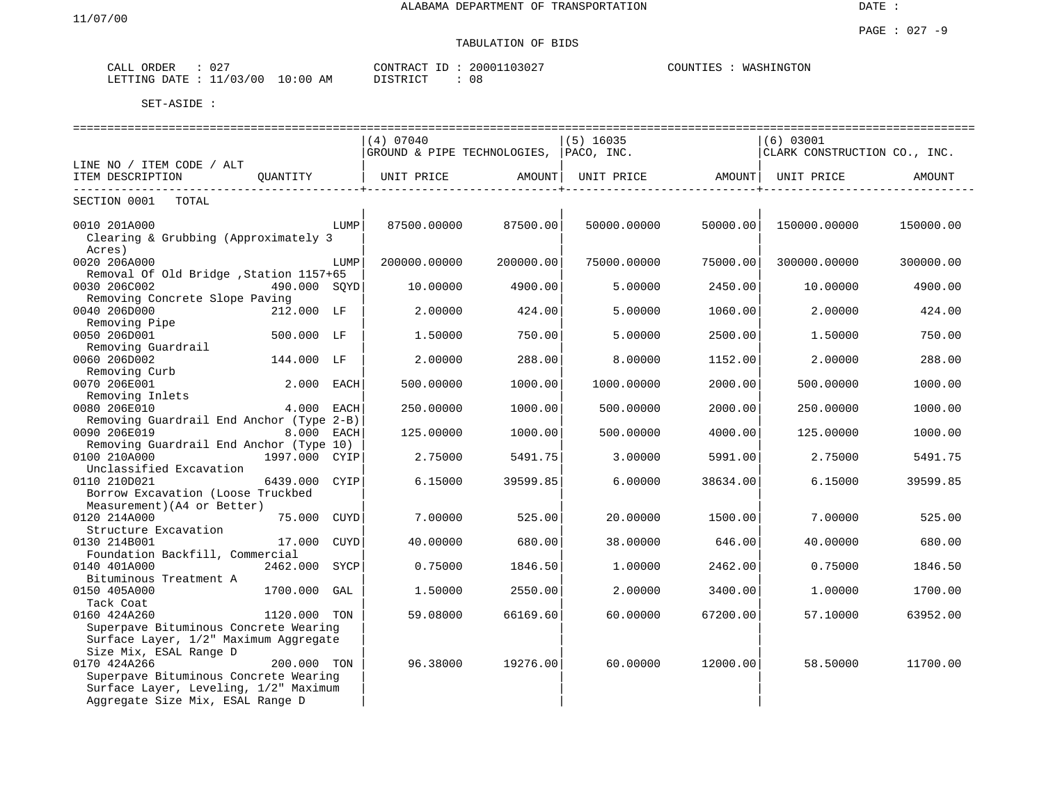TABULATION OF BIDS

# PAGE : 027 -9

| $\sim$ $\sim$ $\sim$ $\sim$<br>ORDER<br>ىلىلى | $\sim$ $\sim$ $\sim$<br>◡∠         | 03027<br>20001<br><b>AONTRACL</b><br>$-1$ | COUNTIES<br>WASHINGTON |
|-----------------------------------------------|------------------------------------|-------------------------------------------|------------------------|
| LETTING<br><b>DATR</b>                        | 11/03/00<br>$\pm 0$<br>ΆM<br>: 0 C | DICTDICT<br>-08<br>---------              |                        |

|                                                      |               |      | ______________________________         |           | ============================= |                   |                              | ;================================= |
|------------------------------------------------------|---------------|------|----------------------------------------|-----------|-------------------------------|-------------------|------------------------------|------------------------------------|
|                                                      |               |      | (4) 07040                              |           | $(5)$ 16035                   |                   | $(6)$ 03001                  |                                    |
|                                                      |               |      | GROUND & PIPE TECHNOLOGIES, PACO, INC. |           |                               |                   | CLARK CONSTRUCTION CO., INC. |                                    |
| LINE NO / ITEM CODE / ALT                            |               |      |                                        |           |                               |                   |                              |                                    |
| ITEM DESCRIPTION<br>---------------------------      | QUANTITY      |      | UNIT PRICE                             | AMOUNT    | UNIT PRICE AMOUNT             | ----------------+ | UNIT PRICE                   | AMOUNT                             |
| SECTION 0001<br>TOTAL                                |               |      |                                        |           |                               |                   |                              |                                    |
| 0010 201A000<br>Clearing & Grubbing (Approximately 3 |               | LUMP | 87500.00000                            | 87500.00  | 50000.00000                   | 50000.00          | 150000.00000                 | 150000.00                          |
| Acres)                                               |               |      |                                        |           |                               |                   |                              |                                    |
| 0020 206A000                                         |               | LUMP | 200000.00000                           | 200000.00 | 75000.00000                   | 75000.00          | 300000.00000                 | 300000.00                          |
| Removal Of Old Bridge , Station 1157+65              |               |      |                                        |           |                               |                   |                              |                                    |
| 0030 206C002                                         | 490.000 SOYD  |      | 10.00000                               | 4900.00   | 5.00000                       | 2450.00           | 10.00000                     | 4900.00                            |
| Removing Concrete Slope Paving                       |               |      |                                        |           |                               |                   |                              |                                    |
| 0040 206D000                                         | 212.000 LF    |      | 2.00000                                | 424.00    | 5.00000                       | 1060.00           | 2.00000                      | 424.00                             |
| Removing Pipe                                        |               |      |                                        |           |                               |                   |                              |                                    |
| 0050 206D001                                         | 500.000 LF    |      | 1.50000                                | 750.00    | 5.00000                       | 2500.00           | 1.50000                      | 750.00                             |
| Removing Guardrail                                   |               |      |                                        |           |                               |                   |                              |                                    |
| 0060 206D002                                         | 144.000       | LF   | 2.00000                                | 288.00    | 8.00000                       | 1152.00           | 2.00000                      | 288.00                             |
| Removing Curb                                        |               |      |                                        |           |                               |                   |                              |                                    |
| 0070 206E001                                         | 2.000 EACH    |      | 500.00000                              | 1000.00   | 1000.00000                    | 2000.00           | 500.00000                    | 1000.00                            |
| Removing Inlets                                      |               |      |                                        |           |                               |                   |                              |                                    |
| 0080 206E010                                         | 4.000 EACH    |      | 250.00000                              | 1000.00   | 500.00000                     | 2000.00           | 250.00000                    | 1000.00                            |
| Removing Guardrail End Anchor (Type 2-B)             |               |      |                                        |           |                               |                   |                              |                                    |
| 0090 206E019                                         | 8.000 EACH    |      | 125.00000                              | 1000.00   | 500.00000                     | 4000.00           | 125,00000                    | 1000.00                            |
| Removing Guardrail End Anchor (Type 10)              |               |      |                                        |           |                               |                   |                              |                                    |
| 0100 210A000                                         | 1997.000 CYIP |      | 2.75000                                | 5491.75   | 3.00000                       | 5991.00           | 2.75000                      | 5491.75                            |
| Unclassified Excavation                              |               |      |                                        |           |                               |                   |                              |                                    |
| 0110 210D021                                         | 6439.000 CYIP |      | 6.15000                                | 39599.85  | 6.00000                       | 38634.00          | 6.15000                      | 39599.85                           |
| Borrow Excavation (Loose Truckbed                    |               |      |                                        |           |                               |                   |                              |                                    |
| Measurement) (A4 or Better)                          |               |      |                                        |           |                               |                   |                              |                                    |
| 0120 214A000                                         | 75.000 CUYD   |      | 7.00000                                | 525.00    | 20,00000                      | 1500.00           | 7.00000                      | 525.00                             |
| Structure Excavation                                 |               |      |                                        |           |                               |                   |                              |                                    |
| 0130 214B001                                         | 17.000 CUYD   |      | 40.00000                               | 680.00    | 38.00000                      | 646.00            | 40.00000                     | 680.00                             |
| Foundation Backfill, Commercial<br>0140 401A000      | 2462.000 SYCP |      | 0.75000                                | 1846.50   | 1,00000                       | 2462.00           | 0.75000                      | 1846.50                            |
| Bituminous Treatment A                               |               |      |                                        |           |                               |                   |                              |                                    |
| 0150 405A000                                         | 1700.000 GAL  |      | 1.50000                                | 2550.00   | 2.00000                       | 3400.00           | 1,00000                      | 1700.00                            |
| Tack Coat                                            |               |      |                                        |           |                               |                   |                              |                                    |
| 0160 424A260                                         | 1120.000 TON  |      | 59.08000                               | 66169.60  | 60.00000                      | 67200.00          | 57.10000                     | 63952.00                           |
| Superpave Bituminous Concrete Wearing                |               |      |                                        |           |                               |                   |                              |                                    |
| Surface Layer, 1/2" Maximum Aggregate                |               |      |                                        |           |                               |                   |                              |                                    |
| Size Mix, ESAL Range D                               |               |      |                                        |           |                               |                   |                              |                                    |
| 0170 424A266                                         | 200.000 TON   |      | 96.38000                               | 19276.00  | 60.00000                      | 12000.00          | 58.50000                     | 11700.00                           |
| Superpave Bituminous Concrete Wearing                |               |      |                                        |           |                               |                   |                              |                                    |
| Surface Layer, Leveling, 1/2" Maximum                |               |      |                                        |           |                               |                   |                              |                                    |
| Aggregate Size Mix, ESAL Range D                     |               |      |                                        |           |                               |                   |                              |                                    |
|                                                      |               |      |                                        |           |                               |                   |                              |                                    |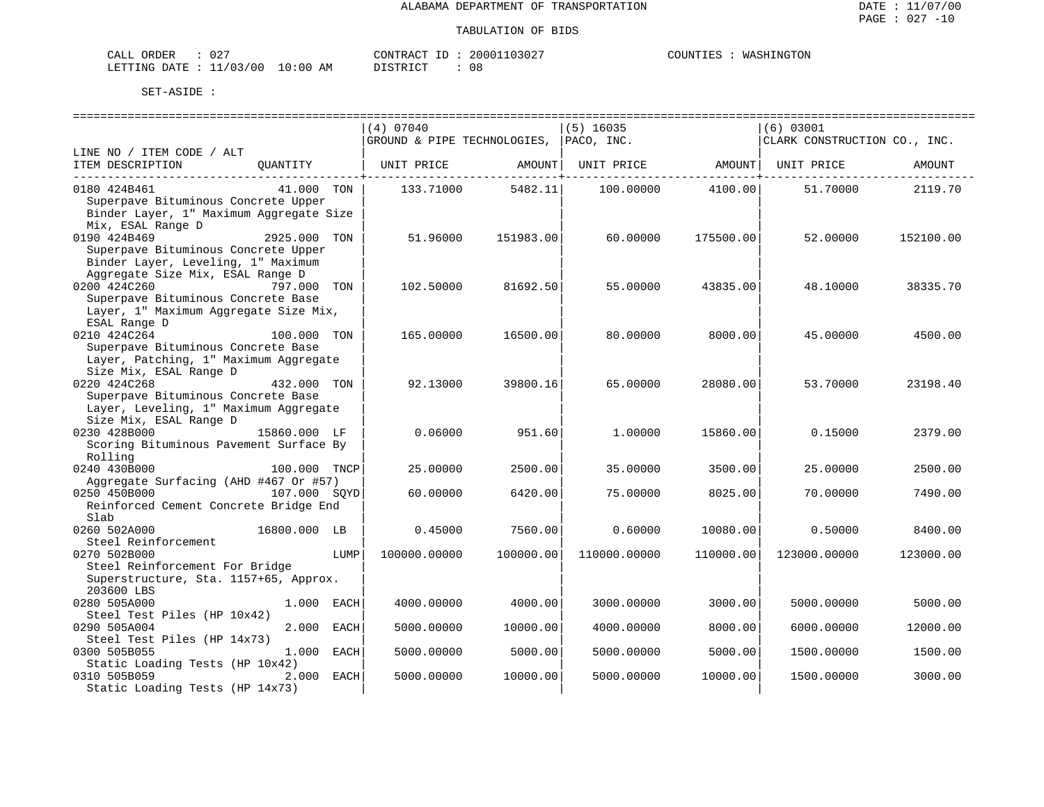| ORDER<br>CALL          | $\cap$ $\cap$<br>υz |            | CONTRACT<br>TD. | 20001103027 | WASHINGTON<br>COUNTIES |
|------------------------|---------------------|------------|-----------------|-------------|------------------------|
| LETTING DATE: 11/03/00 |                     | $10:00$ AM | <b>DISTRICT</b> |             |                        |

|                                         |              |      | (4) 07040    |                                        | $(5)$ 16035                  |           | (6) 03001                    |           |  |  |
|-----------------------------------------|--------------|------|--------------|----------------------------------------|------------------------------|-----------|------------------------------|-----------|--|--|
|                                         |              |      |              | GROUND & PIPE TECHNOLOGIES, PACO, INC. |                              |           | CLARK CONSTRUCTION CO., INC. |           |  |  |
| LINE NO / ITEM CODE / ALT               |              |      |              |                                        |                              |           |                              |           |  |  |
| ITEM DESCRIPTION                        | QUANTITY     |      | UNIT PRICE   | AMOUNT                                 | UNIT PRICE AMOUNT UNIT PRICE |           |                              | AMOUNT    |  |  |
|                                         |              |      |              | ------------+                          |                              |           |                              |           |  |  |
| 0180 424B461                            | 41.000 TON   |      | 133.71000    | 5482.11                                | 100.00000                    | 4100.00   | 51.70000                     | 2119.70   |  |  |
| Superpave Bituminous Concrete Upper     |              |      |              |                                        |                              |           |                              |           |  |  |
| Binder Layer, 1" Maximum Aggregate Size |              |      |              |                                        |                              |           |                              |           |  |  |
| Mix, ESAL Range D                       |              |      |              |                                        |                              |           |                              |           |  |  |
| 0190 424B469                            | 2925.000 TON |      | 51.96000     | 151983.00                              | 60.00000                     | 175500.00 | 52.00000                     | 152100.00 |  |  |
| Superpave Bituminous Concrete Upper     |              |      |              |                                        |                              |           |                              |           |  |  |
| Binder Layer, Leveling, 1" Maximum      |              |      |              |                                        |                              |           |                              |           |  |  |
| Aggregate Size Mix, ESAL Range D        |              |      |              |                                        |                              |           |                              |           |  |  |
| 0200 424C260                            | 797.000      | TON  | 102.50000    | 81692.50                               | 55.00000                     | 43835.00  | 48.10000                     | 38335.70  |  |  |
| Superpave Bituminous Concrete Base      |              |      |              |                                        |                              |           |                              |           |  |  |
| Layer, 1" Maximum Aggregate Size Mix,   |              |      |              |                                        |                              |           |                              |           |  |  |
| ESAL Range D                            |              |      |              |                                        |                              |           |                              |           |  |  |
| 0210 424C264                            | 100.000 TON  |      | 165.00000    | 16500.00                               | 80,00000                     | 8000.00   | 45.00000                     | 4500.00   |  |  |
| Superpave Bituminous Concrete Base      |              |      |              |                                        |                              |           |                              |           |  |  |
| Layer, Patching, 1" Maximum Aggregate   |              |      |              |                                        |                              |           |                              |           |  |  |
| Size Mix, ESAL Range D                  |              |      |              |                                        |                              |           |                              |           |  |  |
| 0220 424C268                            | 432.000 TON  |      | 92.13000     | 39800.16                               | 65.00000                     | 28080.00  | 53.70000                     | 23198.40  |  |  |
| Superpave Bituminous Concrete Base      |              |      |              |                                        |                              |           |                              |           |  |  |
| Layer, Leveling, 1" Maximum Aggregate   |              |      |              |                                        |                              |           |                              |           |  |  |
| Size Mix, ESAL Range D                  |              |      |              |                                        |                              |           |                              |           |  |  |
| 0230 428B000                            | 15860.000 LF |      | 0.06000      | 951.60                                 | 1,00000                      | 15860.00  | 0.15000                      | 2379.00   |  |  |
| Scoring Bituminous Pavement Surface By  |              |      |              |                                        |                              |           |                              |           |  |  |
| Rolling                                 |              |      |              |                                        |                              |           |                              |           |  |  |
| 0240 430B000                            | 100.000 TNCP |      | 25.00000     | 2500.00                                | 35.00000                     | 3500.00   | 25.00000                     | 2500.00   |  |  |
| Aggregate Surfacing (AHD #467 Or #57)   |              |      |              |                                        |                              |           |                              |           |  |  |
| 0250 450B000                            | 107.000 SOYD |      | 60.00000     | 6420.00                                | 75.00000                     | 8025.00   | 70.00000                     | 7490.00   |  |  |
| Reinforced Cement Concrete Bridge End   |              |      |              |                                        |                              |           |                              |           |  |  |
| Slab                                    |              |      |              |                                        |                              |           |                              |           |  |  |
| 0260 502A000                            | 16800.000 LB |      | 0.45000      | 7560.00                                | 0.60000                      | 10080.00  | 0.50000                      | 8400.00   |  |  |
| Steel Reinforcement                     |              |      |              |                                        |                              |           |                              |           |  |  |
| 0270 502B000                            |              | LUMP | 100000.00000 | 100000.00                              | 110000.00000                 | 110000.00 | 123000.00000                 | 123000.00 |  |  |
| Steel Reinforcement For Bridge          |              |      |              |                                        |                              |           |                              |           |  |  |
| Superstructure, Sta. 1157+65, Approx.   |              |      |              |                                        |                              |           |                              |           |  |  |
| 203600 LBS                              |              |      |              |                                        |                              |           |                              |           |  |  |
| 0280 505A000                            | 1.000 EACH   |      | 4000.00000   | 4000.00                                | 3000.00000                   | 3000.00   | 5000.00000                   | 5000.00   |  |  |
| Steel Test Piles (HP 10x42)             |              |      |              |                                        |                              |           |                              |           |  |  |
| 0290 505A004                            | 2.000        | EACH | 5000.00000   | 10000.00                               | 4000.00000                   | 8000.00   | 6000.00000                   | 12000.00  |  |  |
| Steel Test Piles (HP 14x73)             |              |      |              |                                        |                              |           |                              |           |  |  |
| 0300 505B055                            | 1.000        | EACH | 5000.00000   | 5000.00                                | 5000.00000                   | 5000.00   | 1500.00000                   | 1500.00   |  |  |
| Static Loading Tests (HP 10x42)         |              |      |              |                                        |                              |           |                              |           |  |  |
| 0310 505B059                            | 2.000 EACH   |      | 5000.00000   | 10000.00                               | 5000.00000                   | 10000.00  | 1500.00000                   | 3000.00   |  |  |
| Static Loading Tests (HP 14x73)         |              |      |              |                                        |                              |           |                              |           |  |  |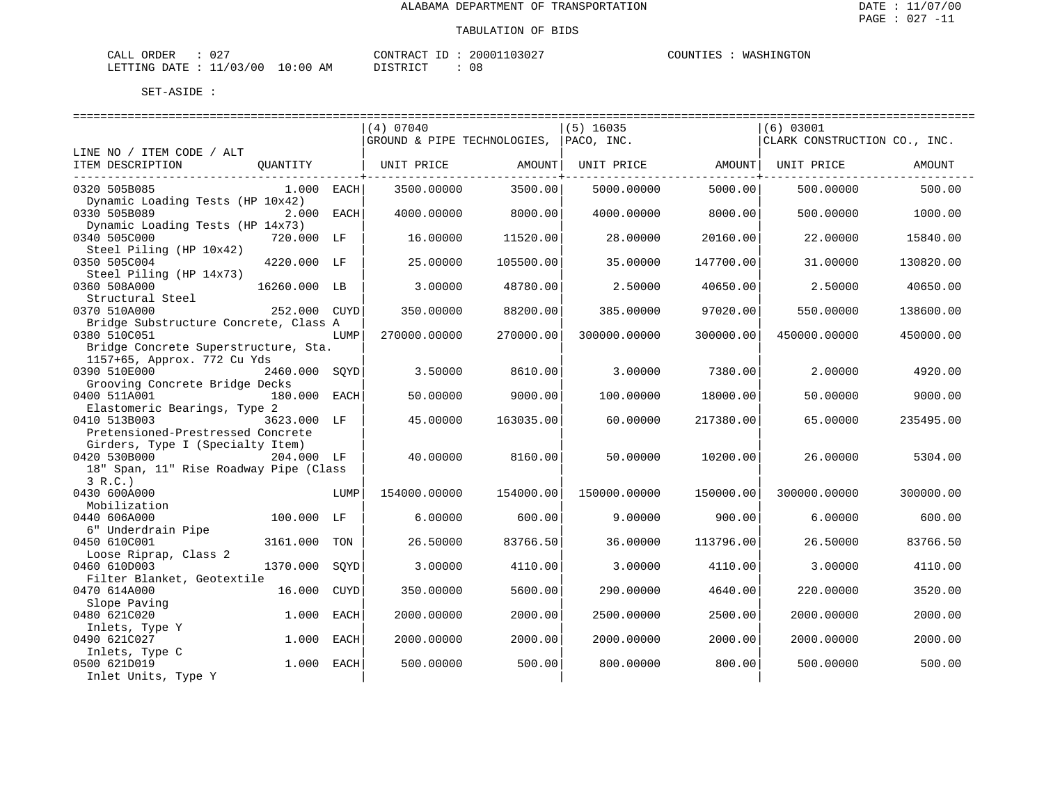| ORDER<br>CALL | $\sim$ $\sim$ $\sim$<br>◡▵ |             | CONTRACT      | 2000110302 | COUNTIES | WASHINGTON |
|---------------|----------------------------|-------------|---------------|------------|----------|------------|
| LETTING DATE  | 11/03/00                   | 10:00<br>AΜ | חים קידים דרו | 08         |          |            |

|                                                                     |               |             | (4) 07040                   |           | $(5)$ 16035  |           | (6) 03001                    |           |  |  |
|---------------------------------------------------------------------|---------------|-------------|-----------------------------|-----------|--------------|-----------|------------------------------|-----------|--|--|
|                                                                     |               |             | GROUND & PIPE TECHNOLOGIES, |           | PACO, INC.   |           | CLARK CONSTRUCTION CO., INC. |           |  |  |
| LINE NO / ITEM CODE / ALT                                           |               |             |                             |           |              |           |                              |           |  |  |
| ITEM DESCRIPTION                                                    | OUANTITY      |             | UNIT PRICE                  | AMOUNT    | UNIT PRICE   | AMOUNT    | UNIT PRICE                   | AMOUNT    |  |  |
| 0320 505B085                                                        | 1.000 EACH    |             | 3500.00000                  | 3500.00   | 5000.00000   | 5000.00   | 500,00000                    | 500.00    |  |  |
| Dynamic Loading Tests (HP 10x42)<br>0330 505B089                    | 2.000 EACH    |             | 4000.00000                  | 8000.00   | 4000.00000   | 8000.00   | 500.00000                    | 1000.00   |  |  |
| Dynamic Loading Tests (HP 14x73)<br>0340 505C000                    | 720.000 LF    |             | 16,00000                    | 11520.00  | 28,00000     | 20160.00  | 22,00000                     | 15840.00  |  |  |
| Steel Piling (HP 10x42)<br>0350 505C004                             | 4220.000 LF   |             | 25.00000                    | 105500.00 | 35.00000     | 147700.00 | 31.00000                     | 130820.00 |  |  |
| Steel Piling (HP 14x73)                                             |               |             |                             |           |              |           |                              |           |  |  |
| 0360 508A000<br>Structural Steel                                    | 16260.000 LB  |             | 3.00000                     | 48780.00  | 2.50000      | 40650.00  | 2.50000                      | 40650.00  |  |  |
| 0370 510A000                                                        | 252.000 CUYD  |             | 350.00000                   | 88200.00  | 385.00000    | 97020.00  | 550.00000                    | 138600.00 |  |  |
| Bridge Substructure Concrete, Class A<br>0380 510C051               |               | LUMP        | 270000.00000                | 270000.00 | 300000.00000 | 300000.00 | 450000.00000                 | 450000.00 |  |  |
| Bridge Concrete Superstructure, Sta.<br>1157+65, Approx. 772 Cu Yds |               |             |                             |           |              |           |                              |           |  |  |
| 0390 510E000<br>Grooving Concrete Bridge Decks                      | 2460.000 SOYD |             | 3.50000                     | 8610.00   | 3.00000      | 7380.00   | 2.00000                      | 4920.00   |  |  |
| 0400 511A001                                                        | 180.000 EACH  |             | 50.00000                    | 9000.00   | 100.00000    | 18000.00  | 50.00000                     | 9000.00   |  |  |
| Elastomeric Bearings, Type 2<br>0410 513B003                        | 3623.000 LF   |             | 45.00000                    | 163035.00 | 60.00000     | 217380.00 | 65.00000                     | 235495.00 |  |  |
| Pretensioned-Prestressed Concrete                                   |               |             |                             |           |              |           |                              |           |  |  |
| Girders, Type I (Specialty Item)                                    |               |             |                             |           |              |           |                              |           |  |  |
| 0420 530B000                                                        | 204.000 LF    |             | 40.00000                    | 8160.00   | 50.00000     | 10200.00  | 26.00000                     | 5304.00   |  |  |
| 18" Span, 11" Rise Roadway Pipe (Class                              |               |             |                             |           |              |           |                              |           |  |  |
| 3 R.C.<br>0430 600A000                                              |               | LUMP        | 154000.00000                | 154000.00 | 150000.00000 | 150000.00 | 300000.00000                 | 300000.00 |  |  |
| Mobilization                                                        |               |             |                             |           |              |           |                              |           |  |  |
| 0440 606A000                                                        | 100.000 LF    |             | 6,00000                     | 600.00    | 9.00000      | 900.00    | 6,00000                      | 600.00    |  |  |
| 6" Underdrain Pipe                                                  |               |             |                             |           |              |           |                              |           |  |  |
| 0450 610C001                                                        | 3161.000      | TON         | 26.50000                    | 83766.50  | 36.00000     | 113796.00 | 26.50000                     | 83766.50  |  |  |
| Loose Riprap, Class 2<br>0460 610D003                               | 1370.000      | SOYD        | 3.00000                     | 4110.00   | 3.00000      | 4110.00   | 3.00000                      | 4110.00   |  |  |
| Filter Blanket, Geotextile                                          |               |             |                             |           |              |           |                              |           |  |  |
| 0470 614A000                                                        | 16.000        | <b>CUYD</b> | 350.00000                   | 5600.00   | 290.00000    | 4640.00   | 220.00000                    | 3520.00   |  |  |
| Slope Paving<br>0480 621C020                                        | 1,000         | EACH        | 2000.00000                  | 2000.00   | 2500.00000   | 2500.00   | 2000.00000                   | 2000.00   |  |  |
| Inlets, Type Y                                                      |               |             |                             |           |              |           |                              |           |  |  |
| 0490 621C027                                                        | 1.000         | EACH        | 2000.00000                  | 2000.00   | 2000.00000   | 2000.00   | 2000.00000                   | 2000.00   |  |  |
| Inlets, Type C                                                      |               |             |                             |           |              |           |                              |           |  |  |
| 0500 621D019                                                        | 1.000         | EACH        | 500.00000                   | 500.00    | 800,00000    | 800.00    | 500.00000                    | 500.00    |  |  |
| Inlet Units, Type Y                                                 |               |             |                             |           |              |           |                              |           |  |  |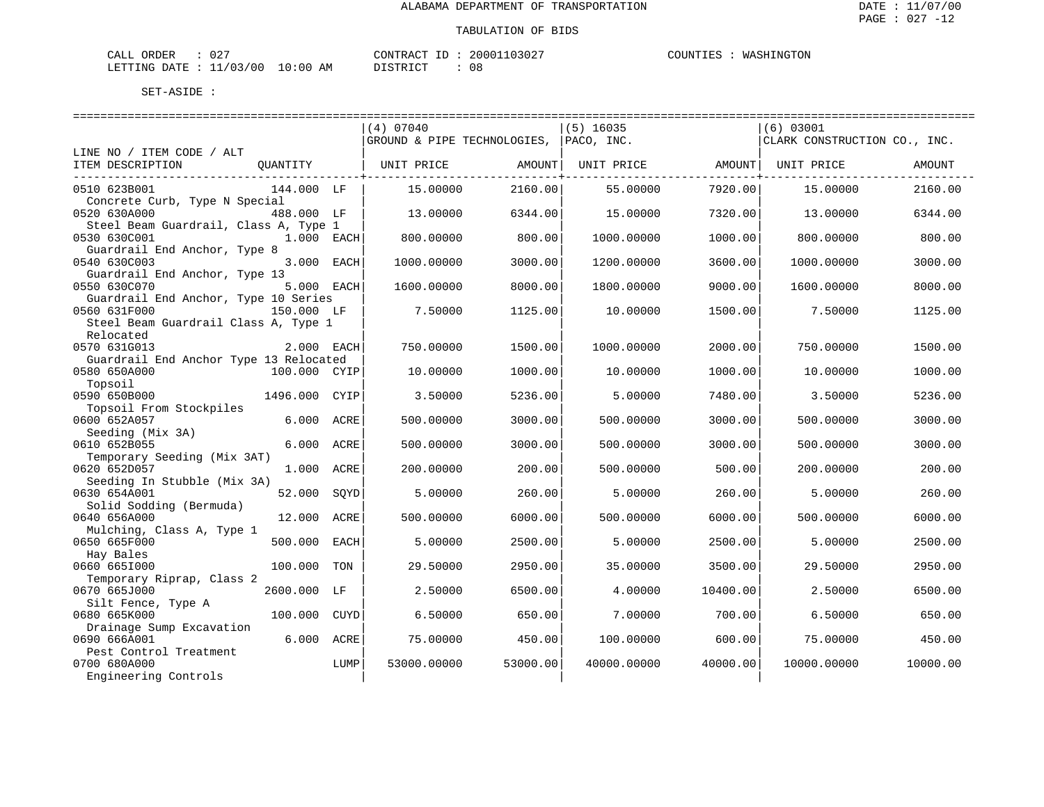| CALL ORDER                       | 027 |          | CONTRACT ID: 20001103027 | COUNTIES : WASHINGTON |
|----------------------------------|-----|----------|--------------------------|-----------------------|
| LETTING DATE : 11/03/00 10:00 AM |     | DISTRICT |                          |                       |

| -----------------------                |                                        |             |          |                   |                              |             |          |
|----------------------------------------|----------------------------------------|-------------|----------|-------------------|------------------------------|-------------|----------|
|                                        |                                        | (4) 07040   |          | $(5)$ 16035       |                              | $(6)$ 03001 |          |
|                                        | GROUND & PIPE TECHNOLOGIES, PACO, INC. |             |          |                   | CLARK CONSTRUCTION CO., INC. |             |          |
| LINE NO / ITEM CODE / ALT              |                                        |             |          |                   |                              |             |          |
| ITEM DESCRIPTION<br>QUANTITY           |                                        | UNIT PRICE  | AMOUNT   | UNIT PRICE AMOUNT |                              | UNIT PRICE  | AMOUNT   |
|                                        |                                        |             |          |                   |                              |             |          |
| 0510 623B001<br>144.000 LF             |                                        | 15,00000    | 2160.00  | 55.00000          | 7920.00                      | 15,00000    | 2160.00  |
| Concrete Curb, Type N Special          |                                        |             |          |                   |                              |             |          |
| 0520 630A000<br>488.000 LF             |                                        | 13.00000    | 6344.00  | 15.00000          | 7320.00                      | 13.00000    | 6344.00  |
| Steel Beam Guardrail, Class A, Type 1  |                                        |             |          |                   |                              |             |          |
| 0530 630C001<br>1.000 EACH             |                                        | 800.00000   | 800.00   | 1000.00000        | 1000.00                      | 800.00000   | 800.00   |
| Guardrail End Anchor, Type 8           |                                        |             |          |                   |                              |             |          |
| 3.000 EACH<br>0540 630C003             |                                        | 1000.00000  | 3000.00  | 1200.00000        | 3600.00                      | 1000.00000  | 3000.00  |
| Guardrail End Anchor, Type 13          |                                        |             |          |                   |                              |             |          |
| 5.000 EACH<br>0550 630C070             |                                        | 1600.00000  | 8000.00  | 1800.00000        | 9000.00                      | 1600.00000  | 8000.00  |
| Guardrail End Anchor, Type 10 Series   |                                        |             |          |                   |                              |             |          |
| 0560 631F000<br>150.000 LF             |                                        | 7.50000     | 1125.00  | 10.00000          | 1500.00                      | 7.50000     | 1125.00  |
| Steel Beam Guardrail Class A, Type 1   |                                        |             |          |                   |                              |             |          |
| Relocated                              |                                        |             |          |                   |                              |             |          |
| 0570 631G013<br>2.000 EACH             |                                        | 750.00000   | 1500.00  | 1000.00000        | 2000.00                      | 750.00000   | 1500.00  |
| Guardrail End Anchor Type 13 Relocated |                                        |             |          |                   |                              |             |          |
| 0580 650A000<br>100.000 CYIP           |                                        | 10,00000    | 1000.00  | 10,00000          | 1000.00                      | 10,00000    | 1000.00  |
| Topsoil                                |                                        |             |          |                   |                              |             |          |
| 0590 650B000<br>1496.000 CYIP          |                                        | 3.50000     | 5236.00  | 5.00000           | 7480.00                      | 3.50000     | 5236.00  |
| Topsoil From Stockpiles                |                                        |             |          |                   |                              |             |          |
| 0600 652A057<br>6.000 ACRE             |                                        | 500.00000   | 3000.00  | 500.00000         | 3000.00                      | 500.00000   | 3000.00  |
| Seeding (Mix 3A)                       |                                        |             |          |                   |                              |             |          |
| 0610 652B055<br>6.000 ACRE             |                                        | 500.00000   | 3000.00  | 500.00000         | 3000.00                      | 500.00000   | 3000.00  |
| Temporary Seeding (Mix 3AT)            |                                        |             |          |                   |                              |             |          |
| 0620 652D057<br>1.000 ACRE             |                                        | 200.00000   | 200.00   | 500.00000         | 500.00                       | 200.00000   | 200.00   |
| Seeding In Stubble (Mix 3A)            |                                        |             |          |                   |                              |             |          |
| 0630 654A001<br>52.000                 | SQYD                                   | 5.00000     | 260.00   | 5.00000           | 260.00                       | 5.00000     | 260.00   |
| Solid Sodding (Bermuda)                |                                        |             |          |                   |                              |             |          |
| 0640 656A000<br>12.000 ACRE            |                                        | 500.00000   | 6000.00  | 500.00000         | 6000.00                      | 500.00000   | 6000.00  |
| Mulching, Class A, Type 1              |                                        |             |          |                   |                              |             |          |
| 0650 665F000<br>500.000                | EACH                                   | 5.00000     | 2500.00  | 5.00000           | 2500.00                      | 5.00000     | 2500.00  |
| Hay Bales                              |                                        |             |          |                   |                              |             |          |
| 0660 6651000<br>100.000                | TON                                    | 29.50000    | 2950.00  | 35.00000          | 3500.00                      | 29.50000    | 2950.00  |
| Temporary Riprap, Class 2              |                                        |             |          |                   |                              |             |          |
| 0670 665J000<br>2600.000 LF            |                                        | 2.50000     | 6500.00  | 4.00000           | 10400.00                     | 2.50000     | 6500.00  |
| Silt Fence, Type A                     |                                        |             |          |                   |                              |             |          |
| 0680 665K000<br>100.000                | CUYD                                   | 6.50000     | 650.00   | 7.00000           | 700.00                       | 6.50000     | 650.00   |
| Drainage Sump Excavation               |                                        |             |          |                   |                              |             |          |
| 0690 666A001<br>6.000                  | ACRE                                   | 75.00000    | 450.00   | 100.00000         | 600.00                       | 75.00000    | 450.00   |
| Pest Control Treatment                 |                                        |             |          |                   |                              |             |          |
| 0700 680A000                           | LUMP                                   | 53000.00000 | 53000.00 | 40000.00000       | 40000.00                     | 10000.00000 | 10000.00 |
| Engineering Controls                   |                                        |             |          |                   |                              |             |          |
|                                        |                                        |             |          |                   |                              |             |          |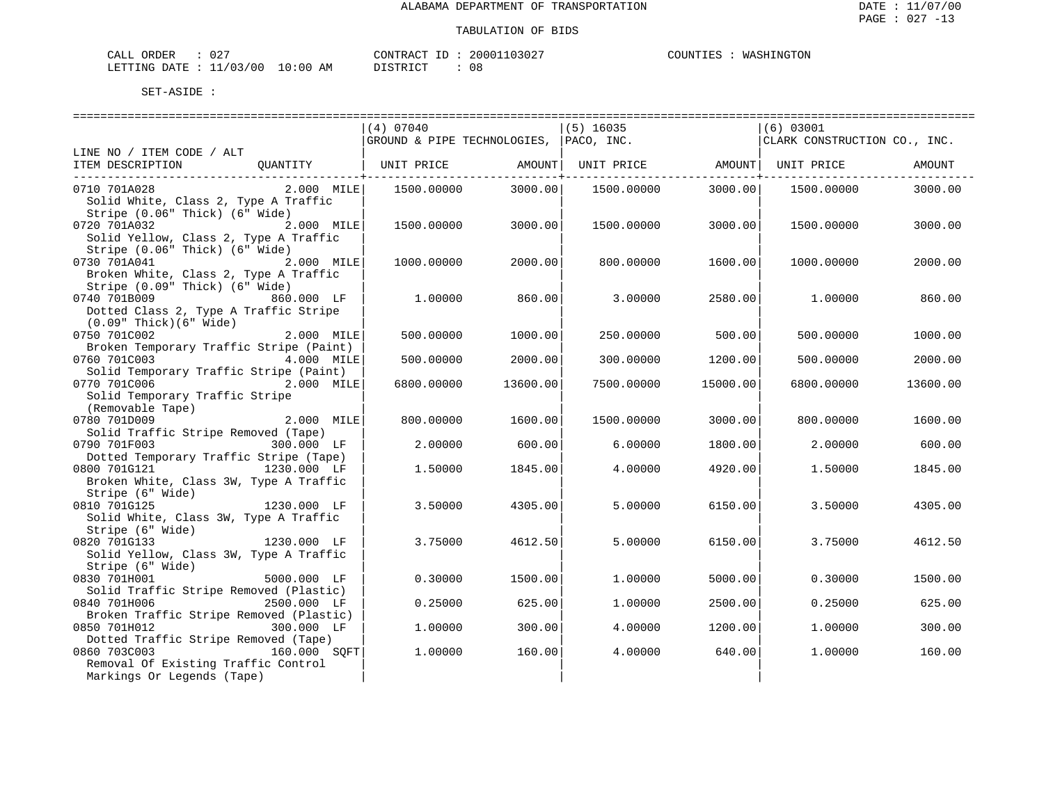| ORDER<br>.<br>-'ALL<br>◡▵ | $\sqrt{2}$                      | <b>CONTRAL</b> | $\cdots$<br>1302 | יתוזרי<br>ن ما با . | <b>MA</b><br>NG. |
|---------------------------|---------------------------------|----------------|------------------|---------------------|------------------|
| DATE.<br>LETTING          | :00<br>/03/00<br>$\Omega$<br>AM | דת סידי את     | UC               |                     |                  |

|                                                                                                                  | (4) 07040                   |          | $(5)$ 16035 |          | (6) 03001                    |          |
|------------------------------------------------------------------------------------------------------------------|-----------------------------|----------|-------------|----------|------------------------------|----------|
|                                                                                                                  | GROUND & PIPE TECHNOLOGIES, |          | PACO, INC.  |          | CLARK CONSTRUCTION CO., INC. |          |
| LINE NO / ITEM CODE / ALT                                                                                        |                             |          |             |          |                              |          |
| ITEM DESCRIPTION<br>OUANTITY                                                                                     | UNIT PRICE                  | AMOUNT   | UNIT PRICE  |          | AMOUNT  UNIT PRICE           | AMOUNT   |
|                                                                                                                  |                             |          |             |          |                              |          |
| 0710 701A028<br>$2.000$ MILE<br>Solid White, Class 2, Type A Traffic<br>Stripe (0.06" Thick) (6" Wide)           | 1500.00000                  | 3000.00  | 1500.00000  | 3000.00  | 1500.00000                   | 3000.00  |
| 0720 701A032<br>2.000 MILE<br>Solid Yellow, Class 2, Type A Traffic                                              | 1500.00000                  | 3000.00  | 1500.00000  | 3000.00  | 1500.00000                   | 3000.00  |
| Stripe (0.06" Thick) (6" Wide)<br>0730 701A041<br>2.000 MILE<br>Broken White, Class 2, Type A Traffic            | 1000.00000                  | 2000.00  | 800.00000   | 1600.00  | 1000.00000                   | 2000.00  |
| Stripe (0.09" Thick) (6" Wide)<br>0740 701B009<br>860.000 LF<br>Dotted Class 2, Type A Traffic Stripe            | 1,00000                     | 860.00   | 3.00000     | 2580.00  | 1,00000                      | 860.00   |
| $(0.09"$ Thick $)(6"$ Wide $)$<br>0750 701C002<br>2.000 MILE<br>Broken Temporary Traffic Stripe (Paint)          | 500.00000                   | 1000.00  | 250.00000   | 500.00   | 500.00000                    | 1000.00  |
| 0760 701C003<br>4.000 MILE<br>Solid Temporary Traffic Stripe (Paint)                                             | 500.00000                   | 2000.00  | 300,00000   | 1200.00  | 500.00000                    | 2000.00  |
| 0770 701C006<br>2.000 MILE<br>Solid Temporary Traffic Stripe<br>(Removable Tape)                                 | 6800.00000                  | 13600.00 | 7500.00000  | 15000.00 | 6800.00000                   | 13600.00 |
| 0780 701D009<br>2.000 MILE<br>Solid Traffic Stripe Removed (Tape)                                                | 800.00000                   | 1600.00  | 1500.00000  | 3000.00  | 800.00000                    | 1600.00  |
| 0790 701F003<br>300.000 LF                                                                                       | 2.00000                     | 600.00   | 6.00000     | 1800.00  | 2.00000                      | 600.00   |
| Dotted Temporary Traffic Stripe (Tape)<br>0800 701G121<br>1230.000 LF<br>Broken White, Class 3W, Type A Traffic  | 1.50000                     | 1845.00  | 4.00000     | 4920.00  | 1,50000                      | 1845.00  |
| Stripe (6" Wide)<br>0810 701G125<br>1230.000 LF<br>Solid White, Class 3W, Type A Traffic                         | 3.50000                     | 4305.00  | 5.00000     | 6150.00  | 3.50000                      | 4305.00  |
| Stripe (6" Wide)<br>0820 701G133<br>1230.000 LF<br>Solid Yellow, Class 3W, Type A Traffic<br>Stripe (6" Wide)    | 3.75000                     | 4612.50  | 5.00000     | 6150.00  | 3.75000                      | 4612.50  |
| 0830 701H001<br>5000.000 LF                                                                                      | 0.30000                     | 1500.00  | 1,00000     | 5000.00  | 0.30000                      | 1500.00  |
| Solid Traffic Stripe Removed (Plastic)<br>0840 701H006<br>2500.000 LF<br>Broken Traffic Stripe Removed (Plastic) | 0.25000                     | 625.00   | 1,00000     | 2500.00  | 0.25000                      | 625.00   |
| 0850 701H012<br>300.000 LF<br>Dotted Traffic Stripe Removed (Tape)                                               | 1.00000                     | 300.00   | 4.00000     | 1200.00  | 1.00000                      | 300.00   |
| 0860 703C003<br>160.000 SOFT<br>Removal Of Existing Traffic Control<br>Markings Or Legends (Tape)                | 1.00000                     | 160.00   | 4.00000     | 640.00   | 1.00000                      | 160.00   |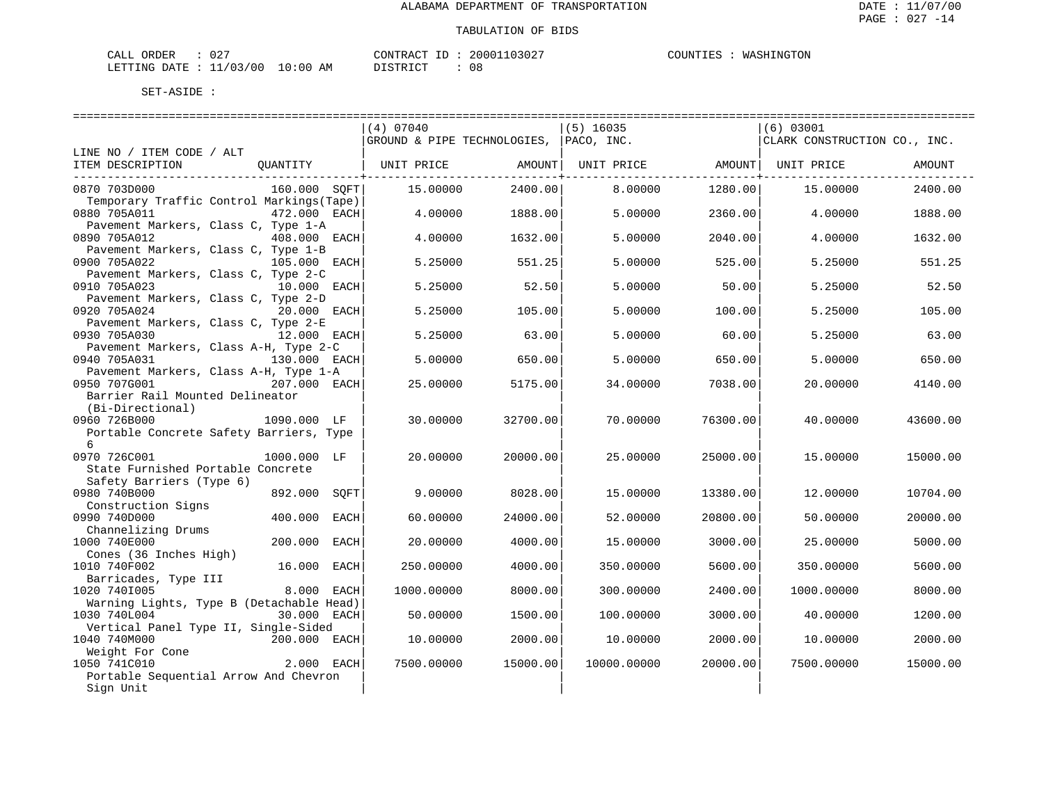| CALL ORDER                       | $\cap$ $\cap$<br>$\cup$ $\angle$ |          | CONTRACT ID: 20001103027 | WASHINGTON<br>COUNTIES : |
|----------------------------------|----------------------------------|----------|--------------------------|--------------------------|
| LETTING DATE : 11/03/00 10:00 AM |                                  | DISTRICT | U C                      |                          |

RICT : 08

| (4) 07040<br>$(5)$ 16035<br>$(6)$ 03001<br>CLARK CONSTRUCTION CO., INC.<br>GROUND & PIPE TECHNOLOGIES, PACO, INC.<br>LINE NO / ITEM CODE / ALT<br>ITEM DESCRIPTION<br>OUANTITY<br>UNIT PRICE AMOUNT<br>UNIT PRICE AMOUNT UNIT PRICE<br>AMOUNT |  |
|-----------------------------------------------------------------------------------------------------------------------------------------------------------------------------------------------------------------------------------------------|--|
|                                                                                                                                                                                                                                               |  |
|                                                                                                                                                                                                                                               |  |
| -----------------------------                                                                                                                                                                                                                 |  |
| 160.000 SQFT<br>2400.00<br>8.00000<br>1280.00<br>2400.00<br>0870 703D000<br>15.00000<br>15.00000                                                                                                                                              |  |
| Temporary Traffic Control Markings (Tape)<br>0880 705A011<br>472.000 EACH<br>4.00000<br>1888.00<br>5.00000<br>2360.00<br>4,00000<br>1888.00                                                                                                   |  |
| Pavement Markers, Class C, Type 1-A<br>0890 705A012<br>408.000 EACH<br>4.00000<br>1632.00<br>5.00000<br>2040.00<br>4.00000<br>1632.00                                                                                                         |  |
| Pavement Markers, Class C, Type 1-B<br>0900 705A022<br>105.000 EACH<br>5.25000<br>551.25<br>5.00000<br>525.00<br>5.25000<br>551.25                                                                                                            |  |
| Pavement Markers, Class C, Type 2-C                                                                                                                                                                                                           |  |
| 52.50<br>0910 705A023<br>5.25000<br>52.50<br>5.00000<br>50.00<br>5.25000<br>10.000 EACH                                                                                                                                                       |  |
| Pavement Markers, Class C, Type 2-D                                                                                                                                                                                                           |  |
| 0920 705A024<br>20.000 EACH<br>5.25000<br>105.00<br>5,00000<br>100.00<br>5.25000<br>105.00                                                                                                                                                    |  |
| Pavement Markers, Class C, Type 2-E<br>0930 705A030<br>5.25000<br>63.00<br>60.00<br>63.00<br>12.000 EACH<br>5.00000<br>5.25000                                                                                                                |  |
| Pavement Markers, Class A-H, Type 2-C                                                                                                                                                                                                         |  |
| 0940 705A031<br>130.000 EACH<br>5.00000<br>650.00<br>5.00000<br>650.00<br>5,00000<br>650.00                                                                                                                                                   |  |
| Pavement Markers, Class A-H, Type 1-A<br>0950 707G001<br>207.000 EACH<br>5175.00<br>34.00000<br>7038.00<br>20,00000<br>25,00000<br>4140.00                                                                                                    |  |
| Barrier Rail Mounted Delineator                                                                                                                                                                                                               |  |
| (Bi-Directional)                                                                                                                                                                                                                              |  |
| 0960 726B000<br>1090.000 LF<br>30.00000<br>32700.00<br>70.00000<br>76300.00<br>40.00000<br>43600.00                                                                                                                                           |  |
| Portable Concrete Safety Barriers, Type<br>6                                                                                                                                                                                                  |  |
| 0970 726C001<br>1000.000 LF<br>20.00000<br>20000.00<br>25.00000<br>25000.00<br>15.00000<br>15000.00                                                                                                                                           |  |
| State Furnished Portable Concrete                                                                                                                                                                                                             |  |
| Safety Barriers (Type 6)                                                                                                                                                                                                                      |  |
| 0980 740B000<br>892.000<br>SOFT<br>9.00000<br>8028.00<br>15.00000<br>13380.00<br>12.00000<br>10704.00                                                                                                                                         |  |
| Construction Signs                                                                                                                                                                                                                            |  |
| 0990 740D000<br>400.000<br>24000.00<br>52.00000<br>20800.00<br>EACH<br>60.00000<br>50.00000<br>20000.00                                                                                                                                       |  |
| Channelizing Drums                                                                                                                                                                                                                            |  |
| 1000 740E000<br>200.000<br>EACH<br>20.00000<br>4000.00<br>15.00000<br>3000.00<br>25.00000<br>5000.00                                                                                                                                          |  |
| Cones (36 Inches High)                                                                                                                                                                                                                        |  |
| 16.000 EACH<br>250.00000<br>4000.00<br>350.00000<br>5600.00<br>350.00000<br>1010 740F002<br>5600.00                                                                                                                                           |  |
| Barricades, Type III                                                                                                                                                                                                                          |  |
| 1020 7401005<br>8.000 EACH<br>1000.00000<br>8000.00<br>300.00000<br>2400.00<br>1000.00000<br>8000.00                                                                                                                                          |  |
| Warning Lights, Type B (Detachable Head)                                                                                                                                                                                                      |  |
| 1030 740L004<br>30.000 EACH<br>50.00000<br>1500.00<br>100.00000<br>3000.00<br>40.00000<br>1200.00                                                                                                                                             |  |
| Vertical Panel Type II, Single-Sided<br>200.000 EACH<br>2000.00                                                                                                                                                                               |  |
| 1040 740M000<br>10.00000<br>10.00000<br>2000.00<br>10.00000<br>2000.00<br>Weight For Cone                                                                                                                                                     |  |
| 1050 741C010<br>2.000 EACH<br>7500.00000<br>15000.00<br>10000.00000<br>20000.00<br>7500.00000<br>15000.00                                                                                                                                     |  |
| Portable Sequential Arrow And Chevron                                                                                                                                                                                                         |  |
| Sign Unit                                                                                                                                                                                                                                     |  |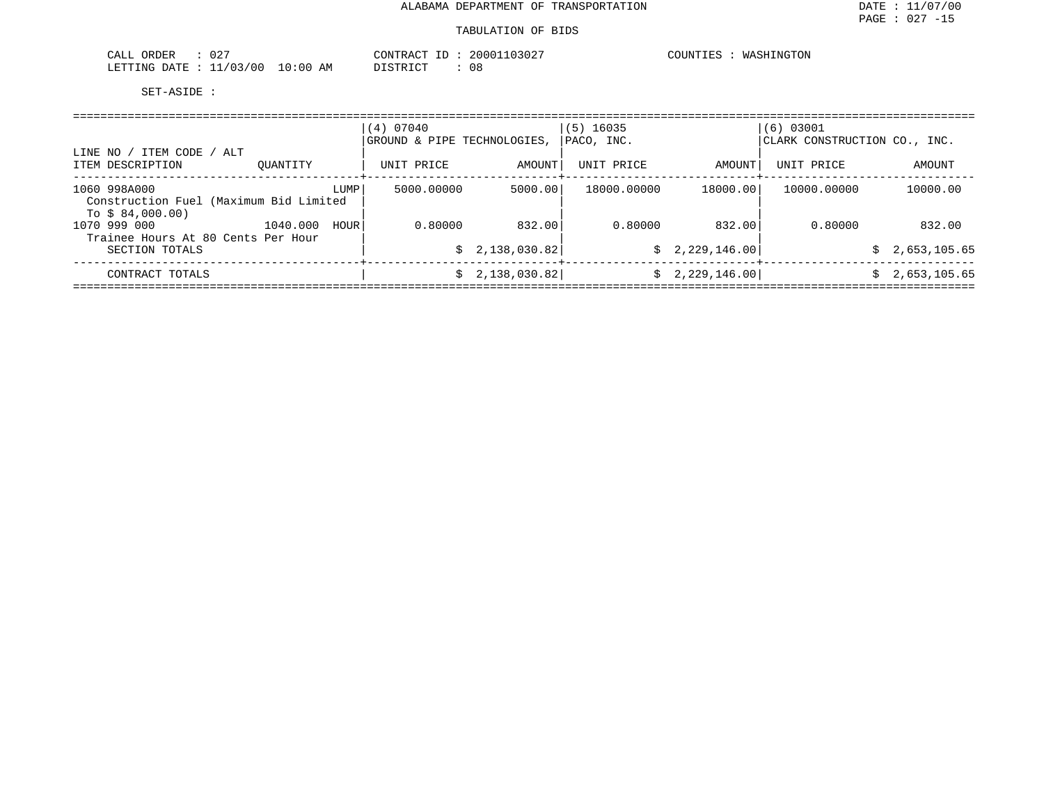| 027<br>ORDER<br>CALL     |             | CONTRACT<br>ID | 20001103027 | COUNTIES<br>WASHINGTON |
|--------------------------|-------------|----------------|-------------|------------------------|
| 11/03/00<br>LETTING DATE | 10:00<br>ΑM | DISTRICT       | U O         |                        |

|                                                                            |                  | (4) 07040<br>GROUND & PIPE TECHNOLOGIES. |              | $(5)$ 16035<br>PACO, INC. |                 | $(6)$ 03001<br>CLARK CONSTRUCTION CO., INC. |                    |
|----------------------------------------------------------------------------|------------------|------------------------------------------|--------------|---------------------------|-----------------|---------------------------------------------|--------------------|
| ' ITEM CODE / ALT<br>LINE NO<br>ITEM DESCRIPTION                           | OUANTITY         | UNIT PRICE                               | AMOUNT       | UNIT PRICE                | AMOUNT          | UNIT PRICE                                  | AMOUNT             |
| 1060 998A000<br>Construction Fuel (Maximum Bid Limited<br>To $$84,000.00)$ | LUMP             | 5000.00000                               | 5000.00      | 18000.00000               | 18000.00        | 10000.00000                                 | 10000.00           |
| 1070 999 000<br>Trainee Hours At 80 Cents Per Hour                         | 1040.000<br>HOUR | 0.80000                                  | 832.00       | 0.80000                   | 832.00          | 0.80000                                     | 832.00             |
| SECTION TOTALS                                                             |                  | S.                                       | 2,138,030.82 |                           | \$2,229,146.00  |                                             | 2,653,105.65<br>Ŝ. |
| CONTRACT TOTALS                                                            |                  | Ŝ.                                       | 2,138,030.82 |                           | \$2,229,146.00] |                                             | 2,653,105.65<br>Ŝ. |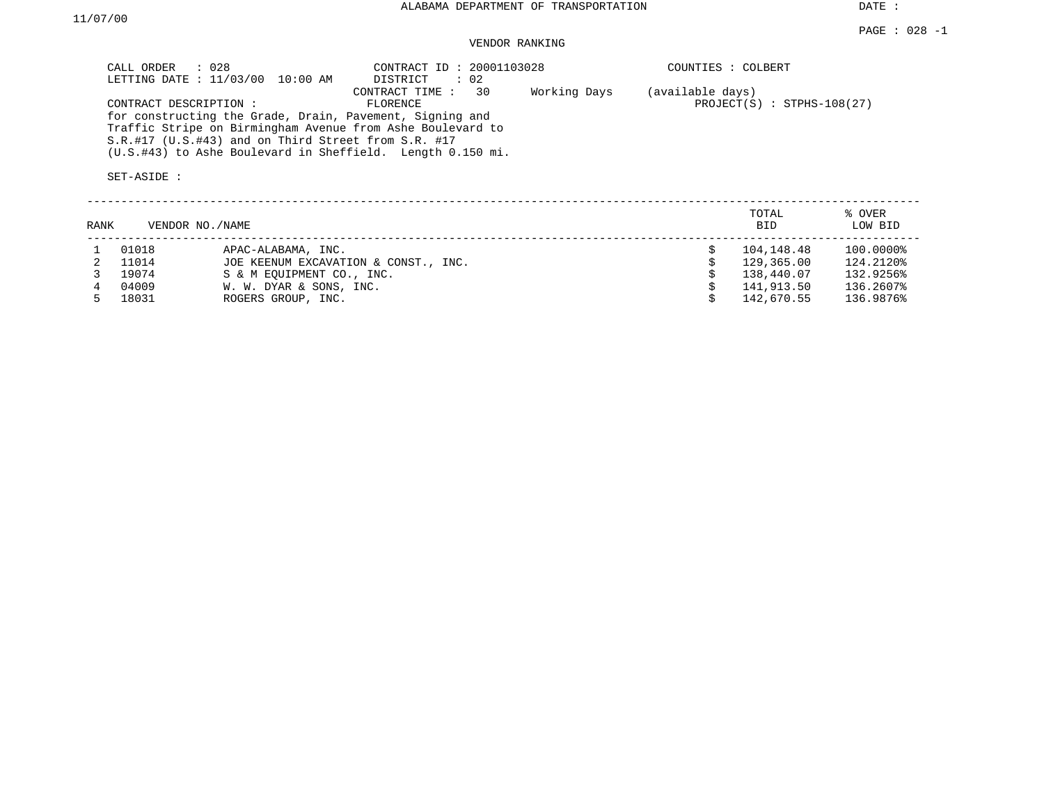DATE :

### VENDOR RANKING

| CALL ORDER : 028<br>LETTING DATE : 11/03/00 10:00 AM                                                                                                                               | CONTRACT ID: 20001103028<br>DISTRICT<br>: 02   | COUNTIES : COLBERT                               |
|------------------------------------------------------------------------------------------------------------------------------------------------------------------------------------|------------------------------------------------|--------------------------------------------------|
| CONTRACT DESCRIPTION :                                                                                                                                                             | Working Days<br>CONTRACT TIME : 30<br>FLORENCE | (available days)<br>$PROJECT(S)$ : STPHS-108(27) |
| for constructing the Grade, Drain, Pavement, Signing and<br>Traffic Stripe on Birmingham Avenue from Ashe Boulevard to<br>$S.R.$ #17 (U.S.#43) and on Third Street from $S.R.$ #17 |                                                |                                                  |
| (U.S.#43) to Ashe Boulevard in Sheffield. Length 0.150 mi.                                                                                                                         |                                                |                                                  |

| RANK |       | VENDOR NO./NAME                      | TOTAL<br><b>BID</b> | % OVER<br>LOW BID |
|------|-------|--------------------------------------|---------------------|-------------------|
|      | 01018 | APAC-ALABAMA, INC.                   | 104,148.48          | 100.0000%         |
|      | 11014 | JOE KEENUM EXCAVATION & CONST., INC. | 129,365.00          | 124.2120%         |
|      | 19074 | S & M EOUIPMENT CO., INC.            | 138,440.07          | 132.9256%         |
|      | 04009 | W. W. DYAR & SONS, INC.              | 141,913.50          | 136.2607%         |
|      | 18031 | ROGERS GROUP, INC.                   | 142,670.55          | 136.9876%         |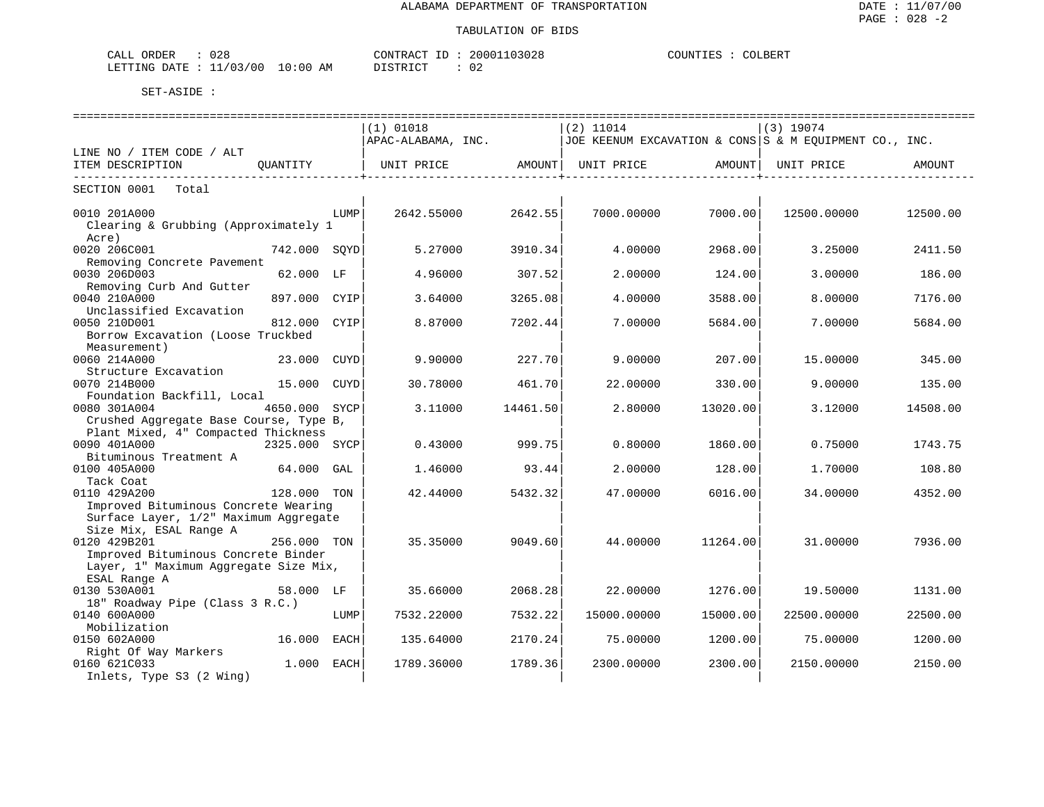| 028<br>ORDER<br>CALL         |            | CONTRACT ID | 20001103028  | COUNTIES<br>COLBERT |
|------------------------------|------------|-------------|--------------|---------------------|
| . : 11/03/00<br>LETTING DATE | $10:00$ AM | DISTRICT    | $\sim$<br>◡∠ |                     |

|                                                 |               |      | $(1)$ 01018        |          | $(2)$ 11014                                            |          | $(3)$ 19074 |          |
|-------------------------------------------------|---------------|------|--------------------|----------|--------------------------------------------------------|----------|-------------|----------|
|                                                 |               |      | APAC-ALABAMA, INC. |          | JOE KEENUM EXCAVATION & CONS S & M EQUIPMENT CO., INC. |          |             |          |
| LINE NO / ITEM CODE / ALT                       |               |      |                    |          |                                                        |          |             |          |
| ITEM DESCRIPTION                                | OUANTITY      |      | UNIT PRICE         | AMOUNT   | UNIT PRICE                                             | AMOUNT   | UNIT PRICE  | AMOUNT   |
| SECTION 0001<br>Total                           |               |      |                    |          |                                                        |          |             |          |
| 0010 201A000                                    |               | LUMP | 2642.55000         | 2642.55  | 7000.00000                                             | 7000.00  | 12500.00000 | 12500.00 |
| Clearing & Grubbing (Approximately 1<br>Acre)   |               |      |                    |          |                                                        |          |             |          |
| 0020 206C001                                    | 742.000 SOYD  |      | 5.27000            | 3910.34  | 4.00000                                                | 2968.00  | 3.25000     | 2411.50  |
| Removing Concrete Pavement                      |               |      |                    |          |                                                        |          |             |          |
| 0030 206D003                                    | 62.000 LF     |      | 4.96000            | 307.52   | 2.00000                                                | 124.00   | 3,00000     | 186.00   |
| Removing Curb And Gutter                        |               |      |                    |          |                                                        |          |             |          |
| 0040 210A000                                    | 897.000 CYIP  |      | 3.64000            | 3265.08  | 4.00000                                                | 3588.00  | 8.00000     | 7176.00  |
| Unclassified Excavation                         |               |      |                    |          |                                                        |          |             |          |
| 0050 210D001                                    | 812,000       | CYIP | 8.87000            | 7202.44  | 7.00000                                                | 5684.00  | 7.00000     | 5684.00  |
| Borrow Excavation (Loose Truckbed               |               |      |                    |          |                                                        |          |             |          |
| Measurement)                                    |               |      |                    |          |                                                        |          |             |          |
| 0060 214A000                                    | 23.000        | CUYD | 9.90000            | 227.70   | 9.00000                                                | 207.00   | 15.00000    | 345.00   |
| Structure Excavation                            |               |      |                    |          |                                                        |          |             |          |
| 0070 214B000                                    | 15.000 CUYD   |      | 30.78000           | 461.70   | 22.00000                                               | 330.00   | 9.00000     | 135.00   |
| Foundation Backfill, Local                      |               |      |                    |          |                                                        |          |             |          |
| 0080 301A004                                    | 4650.000 SYCP |      | 3.11000            | 14461.50 | 2.80000                                                | 13020.00 | 3.12000     | 14508.00 |
| Crushed Aggregate Base Course, Type B,          |               |      |                    |          |                                                        |          |             |          |
| Plant Mixed, 4" Compacted Thickness             |               |      |                    |          |                                                        |          |             |          |
| 0090 401A000                                    | 2325.000 SYCP |      | 0.43000            | 999.75   | 0.80000                                                | 1860.00  | 0.75000     | 1743.75  |
| Bituminous Treatment A                          |               |      |                    |          |                                                        |          |             |          |
| 0100 405A000                                    | 64.000        | GAL  | 1.46000            | 93.44    | 2.00000                                                | 128.00   | 1.70000     | 108.80   |
| Tack Coat                                       |               |      |                    |          |                                                        |          |             |          |
| 0110 429A200                                    | 128.000 TON   |      | 42.44000           | 5432.32  | 47.00000                                               | 6016.00  | 34,00000    | 4352.00  |
| Improved Bituminous Concrete Wearing            |               |      |                    |          |                                                        |          |             |          |
| Surface Layer, 1/2" Maximum Aggregate           |               |      |                    |          |                                                        |          |             |          |
| Size Mix, ESAL Range A                          |               |      |                    |          |                                                        |          |             |          |
| 0120 429B201                                    | 256.000 TON   |      | 35.35000           | 9049.60  | 44.00000                                               | 11264.00 | 31.00000    | 7936.00  |
| Improved Bituminous Concrete Binder             |               |      |                    |          |                                                        |          |             |          |
| Layer, 1" Maximum Aggregate Size Mix,           |               |      |                    |          |                                                        |          |             |          |
| ESAL Range A                                    |               |      |                    |          |                                                        |          |             |          |
| 0130 530A001                                    |               |      | 35.66000           | 2068.28  | 22.00000                                               |          |             |          |
|                                                 | 58.000 LF     |      |                    |          |                                                        | 1276.00  | 19.50000    | 1131.00  |
| 18" Roadway Pipe (Class 3 R.C.)<br>0140 600A000 |               |      |                    | 7532.22  |                                                        | 15000.00 |             |          |
|                                                 |               | LUMP | 7532.22000         |          | 15000.00000                                            |          | 22500.00000 | 22500.00 |
| Mobilization                                    |               |      |                    |          |                                                        |          |             |          |
| 0150 602A000                                    | 16.000        | EACH | 135.64000          | 2170.24  | 75.00000                                               | 1200.00  | 75.00000    | 1200.00  |
| Right Of Way Markers                            |               |      |                    |          |                                                        |          |             |          |
| 0160 621C033                                    | 1.000         | EACH | 1789.36000         | 1789.36  | 2300.00000                                             | 2300.00  | 2150.00000  | 2150.00  |
| Inlets, Type S3 (2 Wing)                        |               |      |                    |          |                                                        |          |             |          |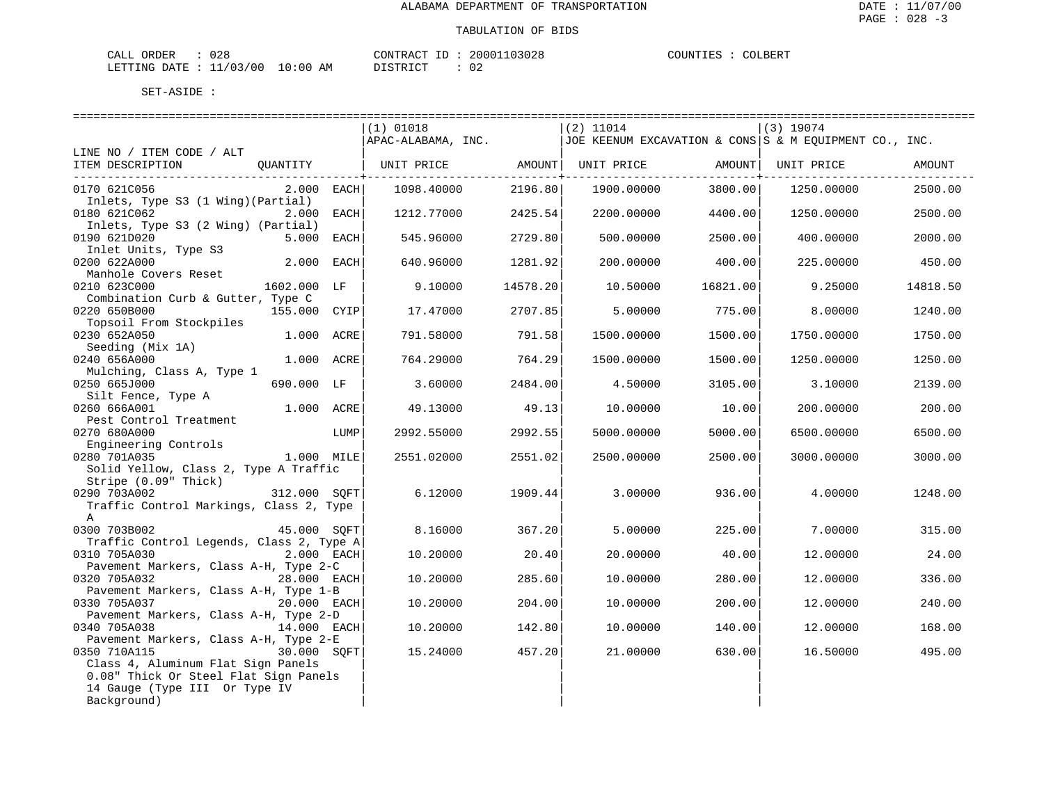| ORDER<br>CALI | $\cap$<br>∪∠≀ |                       | CONTRACT<br>TD.       | 20001103028         | COUNTIES | COLBERT |
|---------------|---------------|-----------------------|-----------------------|---------------------|----------|---------|
| LETTING DATE  | : 11/03/00    | 10:00<br>AМ<br>$\sim$ | ירי תידוף ד<br>-- - - | 02<br>$\sim$ $\sim$ |          |         |

|                                                       |              |      | $(1)$ 01018                                                                      |                           | $(2)$ 11014 |                               | (3) 19074  |          |
|-------------------------------------------------------|--------------|------|----------------------------------------------------------------------------------|---------------------------|-------------|-------------------------------|------------|----------|
|                                                       |              |      | $ APAC-ALABAMA$ , INC. $ JOE$ KEENUM EXCAVATION & CONS S & M EQUIPMENT CO., INC. |                           |             |                               |            |          |
| LINE NO / ITEM CODE / ALT                             |              |      |                                                                                  |                           |             |                               |            |          |
| ITEM DESCRIPTION                                      |              |      | QUANTITY   UNIT PRICE AMOUNT  UNIT PRICE AMOUNT  UNIT PRICE                      |                           |             |                               |            | AMOUNT   |
| 0170 621C056                                          | $2.000$ EACH |      | 1098.40000                                                                       | -------------+<br>2196.80 | 1900.00000  | ---------------+--<br>3800.00 | 1250.00000 | 2500.00  |
| Inlets, Type S3 (1 Wing) (Partial)                    |              |      |                                                                                  |                           |             |                               |            |          |
| 0180 621C062                                          | 2.000 EACH   |      | 1212.77000                                                                       | 2425.54                   |             | 2200.00000 4400.00            | 1250.00000 | 2500.00  |
| Inlets, Type S3 (2 Wing) (Partial)                    |              |      |                                                                                  |                           |             |                               |            |          |
| 0190 621D020                                          | 5.000 EACH   |      | 545.96000                                                                        | 2729.80                   | 500.00000   | 2500.00                       | 400.00000  | 2000.00  |
| Inlet Units, Type S3<br>0200 622A000                  | 2.000 EACH   |      | 640.96000                                                                        | 1281.92                   | 200.00000   | 400.00                        | 225,00000  | 450.00   |
| Manhole Covers Reset                                  |              |      |                                                                                  |                           |             |                               |            |          |
| 0210 623C000                                          | 1602.000 LF  |      | 9.10000                                                                          | 14578.20                  | 10.50000    | 16821.00                      | 9.25000    | 14818.50 |
| Combination Curb & Gutter, Type C                     |              |      |                                                                                  |                           |             |                               |            |          |
| 0220 650B000                                          | 155.000 CYIP |      | 17.47000                                                                         | 2707.85                   | 5.00000     | 775.00                        | 8,00000    | 1240.00  |
| Topsoil From Stockpiles                               |              |      |                                                                                  |                           |             |                               |            |          |
| 0230 652A050                                          | 1.000 ACRE   |      | 791.58000                                                                        | 791.58                    | 1500.00000  | 1500.00                       | 1750.00000 | 1750.00  |
| Seeding (Mix 1A)                                      |              |      |                                                                                  |                           |             |                               |            |          |
| 0240 656A000                                          | 1.000 ACRE   |      | 764.29000                                                                        | 764.29                    | 1500.00000  | 1500.00                       | 1250.00000 | 1250.00  |
| Mulching, Class A, Type 1<br>0250 665J000             | 690.000 LF   |      | 3.60000                                                                          | 2484.00                   | 4.50000     | 3105.00                       | 3.10000    | 2139.00  |
| Silt Fence, Type A                                    |              |      |                                                                                  |                           |             |                               |            |          |
| 0260 666A001                                          | 1.000 ACRE   |      | 49.13000                                                                         | 49.13                     | 10.00000    | 10.00                         | 200.00000  | 200.00   |
| Pest Control Treatment                                |              |      |                                                                                  |                           |             |                               |            |          |
| 0270 680A000                                          |              | LUMP | 2992.55000                                                                       | 2992.55                   | 5000.00000  | 5000.00                       | 6500.00000 | 6500.00  |
| Engineering Controls                                  |              |      |                                                                                  |                           |             |                               |            |          |
| 0280 701A035                                          | $1.000$ MILE |      | 2551.02000                                                                       | 2551.02                   | 2500.00000  | 2500.00                       | 3000.00000 | 3000.00  |
| Solid Yellow, Class 2, Type A Traffic                 |              |      |                                                                                  |                           |             |                               |            |          |
| Stripe (0.09" Thick)<br>0290 703A002                  | 312.000 SOFT |      | 6.12000                                                                          | 1909.44                   | 3.00000     | 936.00                        | 4.00000    | 1248.00  |
| Traffic Control Markings, Class 2, Type               |              |      |                                                                                  |                           |             |                               |            |          |
| $\mathsf{A}$                                          |              |      |                                                                                  |                           |             |                               |            |          |
| 45.000 SQFT<br>0300 703B002                           |              |      | 8.16000                                                                          | 367.20                    | 5.00000     | 225.00                        | 7.00000    | 315.00   |
| Traffic Control Legends, Class 2, Type A              |              |      |                                                                                  |                           |             |                               |            |          |
| 0310 705A030                                          | 2.000 EACH   |      | 10.20000                                                                         | 20.40                     | 20.00000    | 40.00                         | 12.00000   | 24.00    |
| Pavement Markers, Class A-H, Type 2-C                 |              |      |                                                                                  |                           |             |                               |            |          |
| 0320 705A032                                          | 28.000 EACH  |      | 10.20000                                                                         | 285.60                    | 10.00000    | 280.00                        | 12.00000   | 336.00   |
| Pavement Markers, Class A-H, Type 1-B<br>0330 705A037 | 20.000 EACH  |      | 10.20000                                                                         | 204.00                    | 10.00000    | 200.00                        | 12.00000   | 240.00   |
| Pavement Markers, Class A-H, Type 2-D                 |              |      |                                                                                  |                           |             |                               |            |          |
| 0340 705A038                                          | 14.000 EACH  |      | 10.20000                                                                         | 142.80                    | 10.00000    | 140.00                        | 12.00000   | 168.00   |
| Pavement Markers, Class A-H, Type 2-E                 |              |      |                                                                                  |                           |             |                               |            |          |
| 0350 710A115                                          | 30.000 SOFT  |      | 15.24000                                                                         | 457.20                    | 21.00000    | 630.00                        | 16.50000   | 495.00   |
| Class 4, Aluminum Flat Sign Panels                    |              |      |                                                                                  |                           |             |                               |            |          |
| 0.08" Thick Or Steel Flat Sign Panels                 |              |      |                                                                                  |                           |             |                               |            |          |
| 14 Gauge (Type III Or Type IV                         |              |      |                                                                                  |                           |             |                               |            |          |
| Background)                                           |              |      |                                                                                  |                           |             |                               |            |          |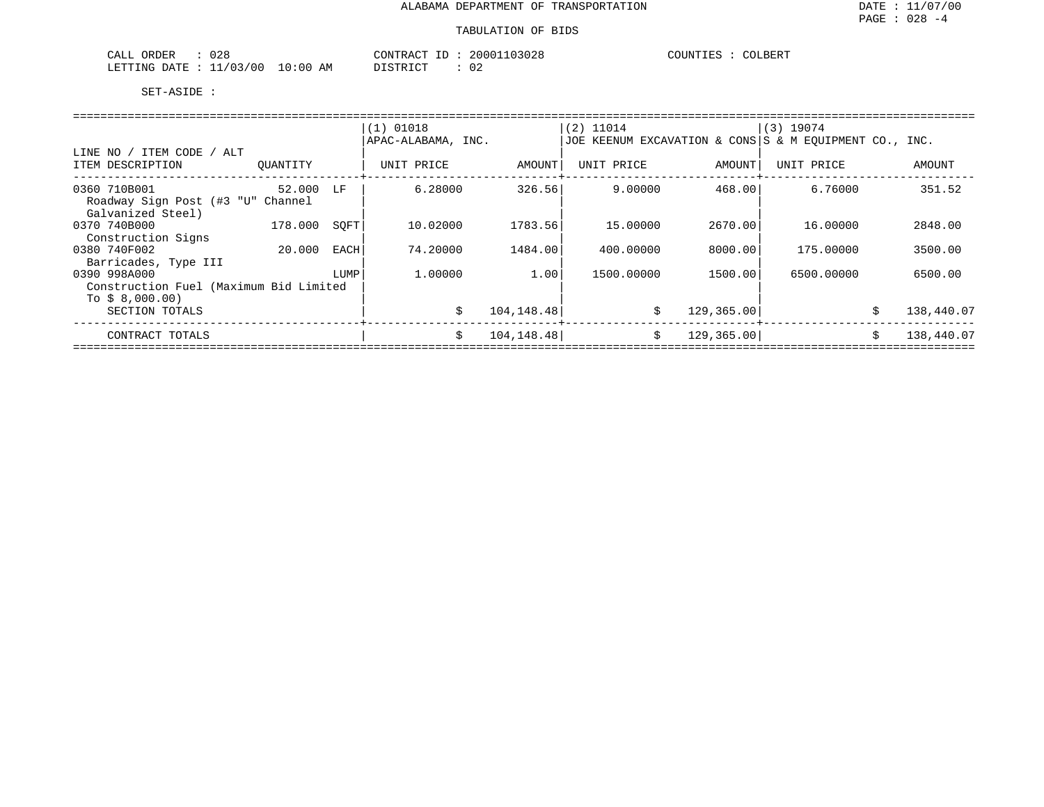| 028<br>ORDER<br>CALL     |             | CONTRACT ID               | 20001103028  | COLBERT<br>COUNTIES |
|--------------------------|-------------|---------------------------|--------------|---------------------|
| 11/03/00<br>LETTING DATE | 10:00<br>AM | DISTRICT<br>, + 1 \ + 1 \ | $\sim$<br>◡▵ |                     |

|                                        |           |      | $(1)$ 01018        |             | $(2)$ 11014                                            |             | (3) 19074  |    |            |  |  |  |  |
|----------------------------------------|-----------|------|--------------------|-------------|--------------------------------------------------------|-------------|------------|----|------------|--|--|--|--|
|                                        |           |      | APAC-ALABAMA, INC. |             | JOE KEENUM EXCAVATION & CONS S & M EOUIPMENT CO., INC. |             |            |    |            |  |  |  |  |
| LINE NO / ITEM CODE / ALT              |           |      |                    |             |                                                        |             |            |    |            |  |  |  |  |
| ITEM DESCRIPTION                       | OUANTITY  |      | UNIT PRICE         | AMOUNT      | UNIT PRICE                                             | AMOUNT      | UNIT PRICE |    | AMOUNT     |  |  |  |  |
|                                        |           |      |                    |             |                                                        |             |            |    |            |  |  |  |  |
| 0360 710B001                           | 52.000 LF |      | 6.28000            | 326.56      | 9.00000                                                | 468.00      | 6.76000    |    | 351.52     |  |  |  |  |
| Roadway Sign Post (#3 "U" Channel      |           |      |                    |             |                                                        |             |            |    |            |  |  |  |  |
| Galvanized Steel)                      |           |      |                    |             |                                                        |             |            |    |            |  |  |  |  |
| 0370 740B000                           | 178.000   | SOFT | 10.02000           | 1783.56     | 15,00000                                               | 2670.00     | 16.00000   |    | 2848.00    |  |  |  |  |
| Construction Signs                     |           |      |                    |             |                                                        |             |            |    |            |  |  |  |  |
| 0380 740F002                           | 20.000    | EACH | 74.20000           | 1484.00     | 400.00000                                              | 8000.001    | 175.00000  |    | 3500.00    |  |  |  |  |
| Barricades, Type III                   |           |      |                    |             |                                                        |             |            |    |            |  |  |  |  |
| 0390 998A000                           |           | LUMP | 1,00000            | 1.00        | 1500.00000                                             | 1500.00     | 6500.00000 |    | 6500.00    |  |  |  |  |
| Construction Fuel (Maximum Bid Limited |           |      |                    |             |                                                        |             |            |    |            |  |  |  |  |
| To $$8,000.00)$                        |           |      |                    |             |                                                        |             |            |    |            |  |  |  |  |
| SECTION TOTALS                         |           |      | \$                 | 104, 148.48 | S.                                                     | 129,365.00  |            | Ŝ. | 138,440.07 |  |  |  |  |
|                                        |           |      |                    |             |                                                        |             |            |    |            |  |  |  |  |
| CONTRACT TOTALS                        |           |      | \$                 | 104, 148.48 | \$                                                     | 129, 365.00 |            | Ŝ. | 138,440.07 |  |  |  |  |
|                                        |           |      |                    |             |                                                        |             |            |    |            |  |  |  |  |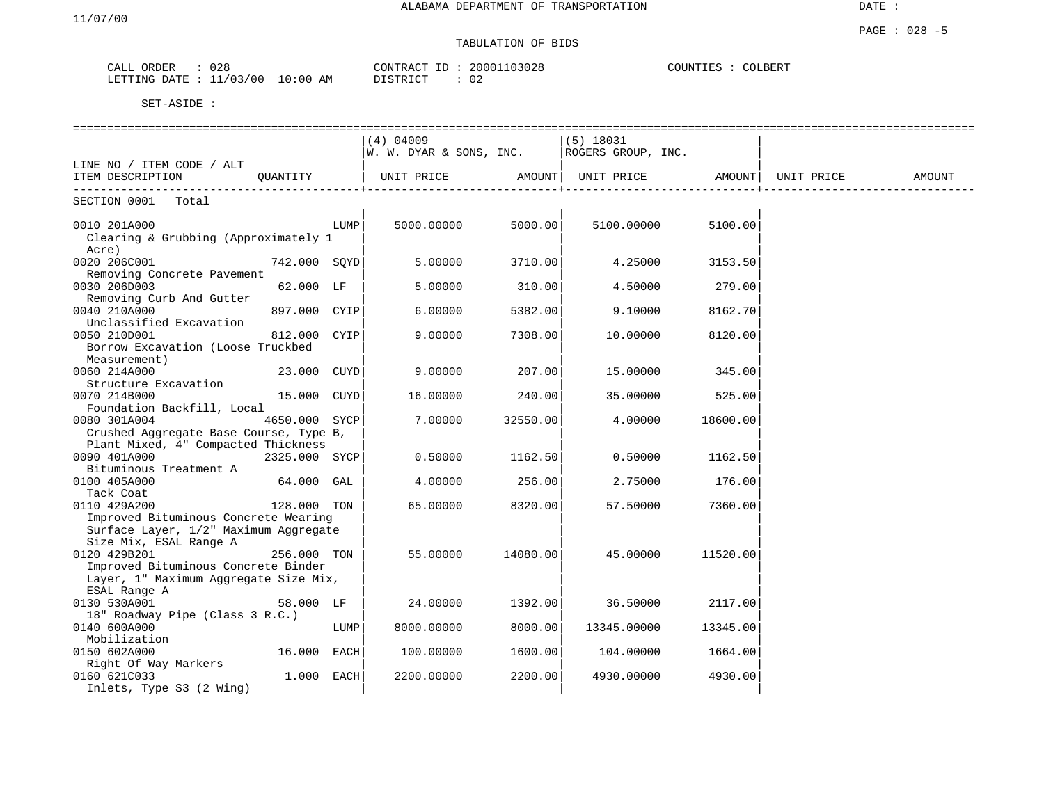## TABULATION OF BIDS

| 028                              | 20001103028     | COUNTIES : |
|----------------------------------|-----------------|------------|
| CALL ORDER                       | CONTRACT ID : . | . COLBERT  |
| LETTING DATE : 11/03/00 10:00 AM | 02<br>DISTRICT  |            |

|                                                                                                                                                                 |               |      |                         |          | ==================== |          |            |        |
|-----------------------------------------------------------------------------------------------------------------------------------------------------------------|---------------|------|-------------------------|----------|----------------------|----------|------------|--------|
|                                                                                                                                                                 |               |      | $(4)$ 04009             |          | $(5)$ 18031          |          |            |        |
|                                                                                                                                                                 |               |      | W. W. DYAR & SONS, INC. |          | ROGERS GROUP, INC.   |          |            |        |
| LINE NO / ITEM CODE / ALT                                                                                                                                       |               |      |                         |          |                      |          |            |        |
| ITEM DESCRIPTION                                                                                                                                                | QUANTITY      |      | UNIT PRICE              | AMOUNT   | UNIT PRICE           | AMOUNT   | UNIT PRICE | AMOUNT |
| SECTION 0001<br>Total                                                                                                                                           |               |      |                         |          |                      |          |            |        |
| 0010 201A000<br>Clearing & Grubbing (Approximately 1<br>Acre)                                                                                                   |               | LUMP | 5000.00000              | 5000.00  | 5100.00000           | 5100.00  |            |        |
| 0020 206C001<br>Removing Concrete Pavement                                                                                                                      | 742.000 SOYD  |      | 5.00000                 | 3710.00  | 4.25000              | 3153.50  |            |        |
| 0030 206D003<br>Removing Curb And Gutter                                                                                                                        | 62.000 LF     |      | 5.00000                 | 310.00   | 4.50000              | 279.00   |            |        |
| 0040 210A000<br>Unclassified Excavation                                                                                                                         | 897.000 CYIP  |      | 6.00000                 | 5382.00  | 9.10000              | 8162.70  |            |        |
| 0050 210D001<br>Borrow Excavation (Loose Truckbed                                                                                                               | 812.000 CYIP  |      | 9.00000                 | 7308.00  | 10.00000             | 8120.00  |            |        |
| Measurement)<br>0060 214A000<br>Structure Excavation                                                                                                            | 23.000 CUYD   |      | 9.00000                 | 207.00   | 15.00000             | 345.00   |            |        |
| 0070 214B000<br>Foundation Backfill, Local                                                                                                                      | 15.000 CUYD   |      | 16.00000                | 240.00   | 35.00000             | 525.00   |            |        |
| 0080 301A004<br>Crushed Aggregate Base Course, Type B,                                                                                                          | 4650.000 SYCP |      | 7.00000                 | 32550.00 | 4.00000              | 18600.00 |            |        |
| Plant Mixed, 4" Compacted Thickness<br>0090 401A000<br>Bituminous Treatment A                                                                                   | 2325.000 SYCP |      | 0.50000                 | 1162.50  | 0.50000              | 1162.50  |            |        |
| 0100 405A000<br>Tack Coat                                                                                                                                       | $64.000$ GAL  |      | 4.00000                 | 256.00   | 2.75000              | 176.00   |            |        |
| 0110 429A200<br>Improved Bituminous Concrete Wearing                                                                                                            | 128.000 TON   |      | 65.00000                | 8320.00  | 57.50000             | 7360.00  |            |        |
| Surface Layer, 1/2" Maximum Aggregate<br>Size Mix, ESAL Range A<br>0120 429B201<br>Improved Bituminous Concrete Binder<br>Layer, 1" Maximum Aggregate Size Mix, | 256.000 TON   |      | 55.00000                | 14080.00 | 45.00000             | 11520.00 |            |        |
| ESAL Range A<br>0130 530A001<br>18" Roadway Pipe (Class 3 R.C.)                                                                                                 | 58.000 LF     |      | 24.00000                | 1392.00  | 36.50000             | 2117.00  |            |        |
| 0140 600A000<br>Mobilization                                                                                                                                    |               | LUMP | 8000.00000              | 8000.00  | 13345.00000          | 13345.00 |            |        |
| 0150 602A000<br>Right Of Way Markers                                                                                                                            | 16.000 EACH   |      | 100.00000               | 1600.00  | 104.00000            | 1664.00  |            |        |
| 0160 621C033<br>Inlets, Type S3 (2 Wing)                                                                                                                        | 1.000 EACH    |      | 2200.00000              | 2200.00  | 4930.00000           | 4930.00  |            |        |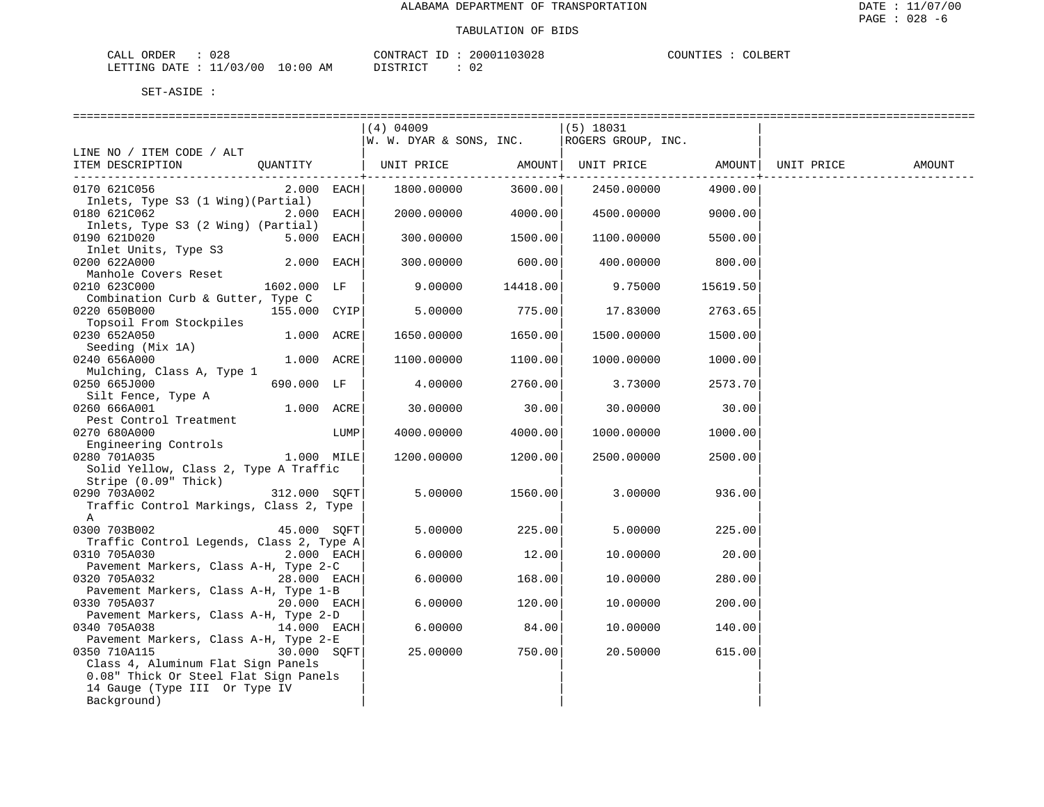| CALL ORDER                       | 028 |          |  | CONTRACT ID: 20001103028 | COUNTIES | COLBERT |
|----------------------------------|-----|----------|--|--------------------------|----------|---------|
| LETTING DATE : 11/03/00 10:00 AM |     | DISTRICT |  | 02                       |          |         |

|                                                      | (4) 04009<br>W. W. DYAR & SONS, INC. |                        | $(5)$ 18031<br>ROGERS GROUP, INC. |              |            |        |
|------------------------------------------------------|--------------------------------------|------------------------|-----------------------------------|--------------|------------|--------|
| LINE NO / ITEM CODE / ALT                            |                                      |                        |                                   |              |            |        |
| ITEM DESCRIPTION<br>OUANTITY                         | UNIT PRICE                           |                        | AMOUNT   UNIT PRICE   AMOUNT      |              | UNIT PRICE | AMOUNT |
| 0170 621C056<br>$2.000$ EACH                         | 1800.00000                           | ----------+<br>3600.00 | 2450.00000                        | .<br>4900.00 |            |        |
| Inlets, Type S3 (1 Wing) (Partial)                   |                                      |                        |                                   |              |            |        |
| 0180 621C062<br>$2.000$ EACH                         | 2000.00000                           | 4000.00                | 4500.00000                        | 9000.00      |            |        |
| Inlets, Type S3 (2 Wing) (Partial)                   |                                      |                        |                                   |              |            |        |
| 0190 621D020<br>$5.000$ EACH<br>Inlet Units, Type S3 | 300.00000                            | 1500.00                | 1100.00000                        | 5500.00      |            |        |
| 0200 622A000<br>$2.000$ EACH                         | 300.00000                            | 600.00                 | 400.00000                         | 800.00       |            |        |
| Manhole Covers Reset                                 |                                      |                        |                                   |              |            |        |
| 0210 623C000<br>1602.000 LF                          | 9.00000                              | 14418.00               | 9.75000                           | 15619.50     |            |        |
| Combination Curb & Gutter, Type C                    |                                      |                        |                                   |              |            |        |
| 0220 650B000<br>155.000 CYIP                         | 5.00000                              | 775.00                 | 17.83000                          | 2763.65      |            |        |
| Topsoil From Stockpiles                              |                                      |                        |                                   |              |            |        |
| 0230 652A050<br>$1.000$ ACRE                         | 1650.00000                           | 1650.00                | 1500.00000                        | 1500.00      |            |        |
| Seeding (Mix 1A)                                     |                                      |                        |                                   |              |            |        |
| 0240 656A000<br>1.000 ACRE                           | 1100.00000                           | 1100.00                | 1000.00000                        | 1000.00      |            |        |
| Mulching, Class A, Type 1                            |                                      |                        |                                   |              |            |        |
| 0250 665J000<br>690.000 LF                           | 4.00000                              | 2760.00                | 3.73000                           | 2573.70      |            |        |
| Silt Fence, Type A                                   |                                      |                        |                                   |              |            |        |
| $1.000$ $ACRE$<br>0260 666A001                       | 30.00000                             | 30.00                  | 30.00000                          | 30.00        |            |        |
| Pest Control Treatment                               |                                      |                        |                                   |              |            |        |
| 0270 680A000<br>LUMP                                 | 4000.00000                           | 4000.00                | 1000.00000                        | 1000.00      |            |        |
| Engineering Controls                                 |                                      |                        |                                   |              |            |        |
| 0280 701A035<br>$1.000$ MILE                         | 1200.00000                           | 1200.00                | 2500.00000                        | 2500.00      |            |        |
| Solid Yellow, Class 2, Type A Traffic                |                                      |                        |                                   |              |            |        |
| Stripe (0.09" Thick)                                 |                                      |                        |                                   |              |            |        |
| 0290 703A002<br>312.000 SOFT                         | 5.00000                              | 1560.00                | 3.00000                           | 936.00       |            |        |
| Traffic Control Markings, Class 2, Type              |                                      |                        |                                   |              |            |        |
| A                                                    |                                      |                        |                                   |              |            |        |
| 0300 703B002<br>45.000 SOFT                          | 5.00000                              | 225.00                 | 5.00000                           | 225.00       |            |        |
| Traffic Control Legends, Class 2, Type A             |                                      |                        |                                   |              |            |        |
| 0310 705A030<br>$2.000$ EACH                         | 6.00000                              | 12.00                  | 10.00000                          | 20.00        |            |        |
| Pavement Markers, Class A-H, Type 2-C                |                                      |                        |                                   |              |            |        |
| 0320 705A032<br>28.000 EACH                          | 6.00000                              | 168.00                 | 10.00000                          | 280.00       |            |        |
| Pavement Markers, Class A-H, Type 1-B                |                                      |                        |                                   |              |            |        |
| 0330 705A037<br>$20.000$ EACH                        | 6.00000                              | 120.00                 | 10.00000                          | 200.00       |            |        |
| Pavement Markers, Class A-H, Type 2-D                |                                      |                        |                                   |              |            |        |
| 0340 705A038<br>$14.000$ EACH                        | 6.00000                              | 84.00                  | 10,00000                          | 140.00       |            |        |
| Pavement Markers, Class A-H, Type 2-E                |                                      |                        |                                   |              |            |        |
| 30.000 SOFT<br>0350 710A115                          | 25.00000                             | 750.00                 | 20.50000                          | 615.00       |            |        |
| Class 4, Aluminum Flat Sign Panels                   |                                      |                        |                                   |              |            |        |
| 0.08" Thick Or Steel Flat Sign Panels                |                                      |                        |                                   |              |            |        |
| 14 Gauge (Type III Or Type IV                        |                                      |                        |                                   |              |            |        |
| Background)                                          |                                      |                        |                                   |              |            |        |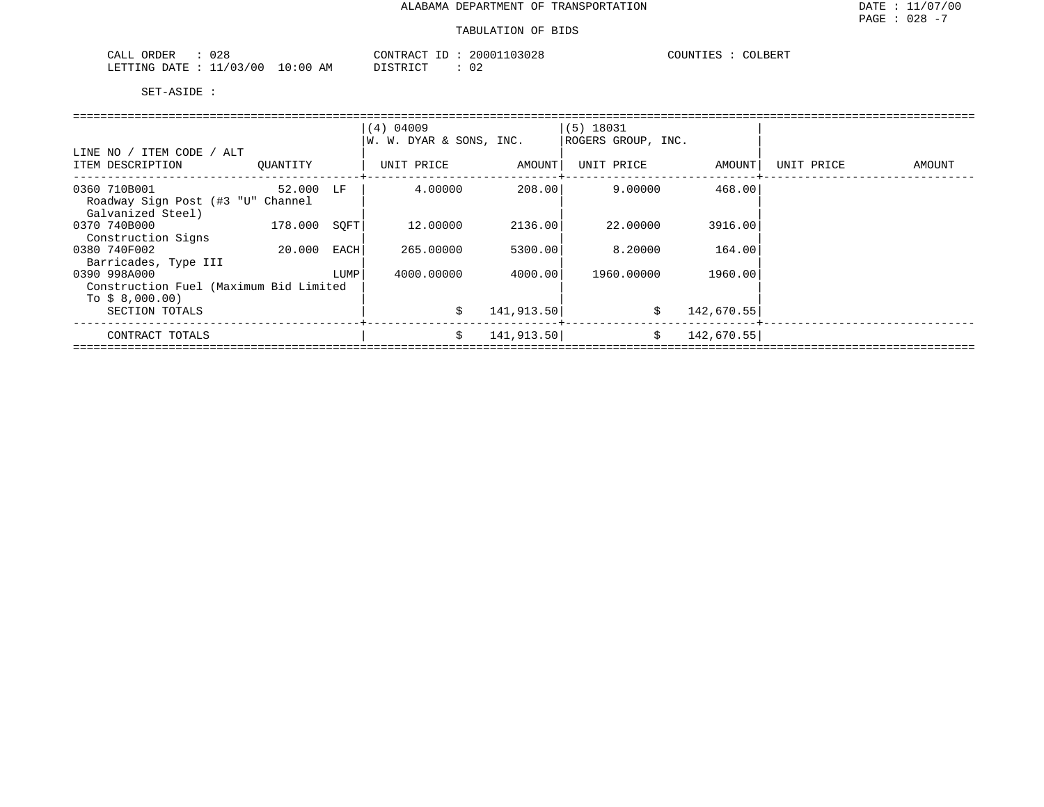| $\cap$ $\cap$ $\cap$<br>ORDER<br>ىلىلى <i>ك</i><br>∪∠o |             | CONTRACT  | 103028<br>20001 | $AAT$ DED <sub>m</sub><br>COUNTIES<br>COLBER I |
|--------------------------------------------------------|-------------|-----------|-----------------|------------------------------------------------|
| /03/00<br>LETTING<br>DATE.                             | 10:00<br>ΆM | ᠁<br>---- | ◡▵              |                                                |

|                                        |           |      | (4) 04009               |            | $(5)$ 18031        |            |            |        |  |  |  |  |  |
|----------------------------------------|-----------|------|-------------------------|------------|--------------------|------------|------------|--------|--|--|--|--|--|
|                                        |           |      | W. W. DYAR & SONS, INC. |            | ROGERS GROUP, INC. |            |            |        |  |  |  |  |  |
| LINE NO / ITEM CODE / ALT              |           |      |                         |            |                    |            |            |        |  |  |  |  |  |
| ITEM DESCRIPTION                       | OUANTITY  |      | UNIT PRICE              | AMOUNT     | UNIT PRICE         | AMOUNT     | UNIT PRICE | AMOUNT |  |  |  |  |  |
| 0360 710B001                           | 52.000 LF |      | 4.00000                 | 208.001    | 9.00000            | 468.00     |            |        |  |  |  |  |  |
| Roadway Sign Post (#3 "U" Channel      |           |      |                         |            |                    |            |            |        |  |  |  |  |  |
| Galvanized Steel)                      |           |      |                         |            |                    |            |            |        |  |  |  |  |  |
| 0370 740B000                           | 178.000   | SOFT | 12.00000                | 2136.00    | 22,00000           | 3916.00    |            |        |  |  |  |  |  |
| Construction Signs                     |           |      |                         |            |                    |            |            |        |  |  |  |  |  |
| 0380 740F002                           | 20.000    | EACH | 265,00000               | 5300.00    | 8.20000            | 164.00     |            |        |  |  |  |  |  |
| Barricades, Type III                   |           |      |                         |            |                    |            |            |        |  |  |  |  |  |
| 0390 998A000                           |           | LUMP | 4000.00000              | 4000.00    | 1960.00000         | 1960.00    |            |        |  |  |  |  |  |
| Construction Fuel (Maximum Bid Limited |           |      |                         |            |                    |            |            |        |  |  |  |  |  |
| To $$8,000.00)$                        |           |      |                         |            |                    |            |            |        |  |  |  |  |  |
| SECTION TOTALS                         |           |      | \$                      | 141,913.50 | \$                 | 142,670.55 |            |        |  |  |  |  |  |
| CONTRACT TOTALS                        |           |      | \$                      | 141,913.50 | \$                 | 142,670.55 |            |        |  |  |  |  |  |
|                                        |           |      |                         |            |                    |            |            |        |  |  |  |  |  |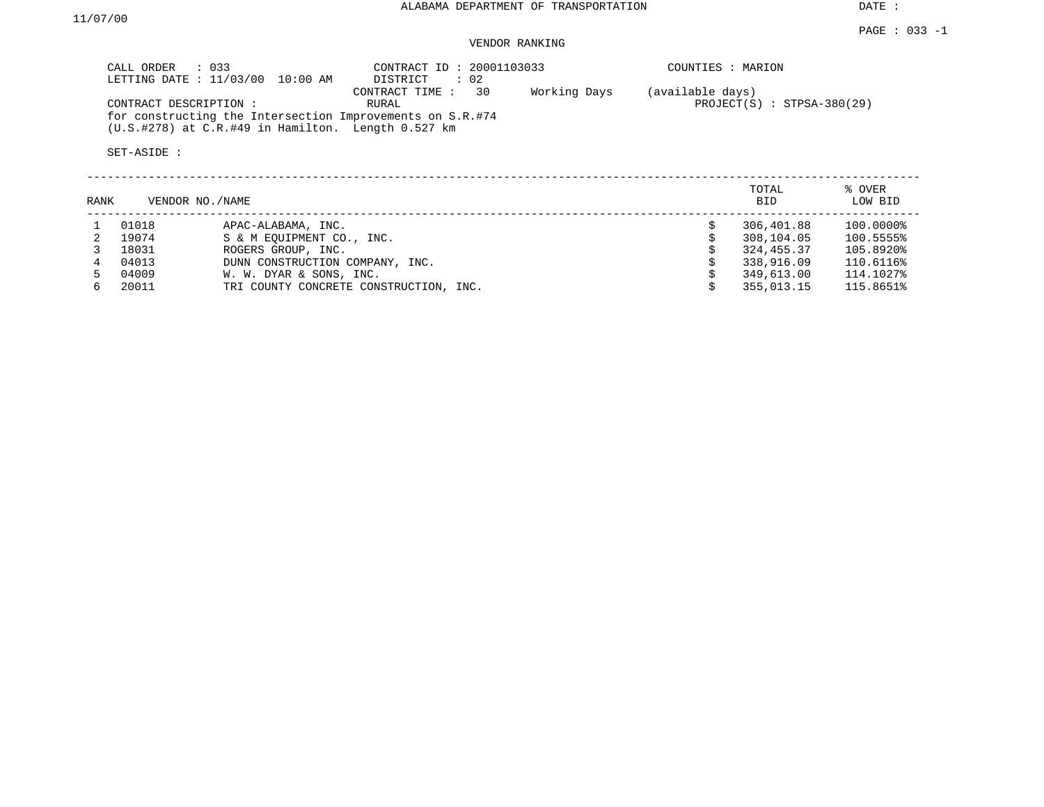## VENDOR RANKING

| CALL ORDER : 033<br>LETTING DATE : 11/03/00 10:00 AM | DISTRICT : 02                                                                                                                                          | CONTRACT ID: 20001103033 | COUNTIES : MARION                                |
|------------------------------------------------------|--------------------------------------------------------------------------------------------------------------------------------------------------------|--------------------------|--------------------------------------------------|
| CONTRACT DESCRIPTION :                               | CONTRACT TIME : 30<br>RURAL<br>for constructing the Intersection Improvements on S.R.#74<br>$(U.S. #278)$ at $C.R. #49$ in Hamilton. Length $0.527$ km | Working Days             | (available days)<br>$PROJECT(S) : STPSA-380(29)$ |

| RANK |       | VENDOR NO. / NAME                      | TOTAL<br><b>BID</b> | % OVER<br>LOW BID |
|------|-------|----------------------------------------|---------------------|-------------------|
|      | 01018 | APAC-ALABAMA, INC.                     | 306,401.88          | 100.0000%         |
|      | 19074 | S & M EOUIPMENT CO., INC.              | 308,104.05          | 100.5555%         |
|      | 18031 | ROGERS GROUP, INC.                     | 324, 455.37         | 105.8920%         |
|      | 04013 | DUNN CONSTRUCTION COMPANY, INC.        | 338,916.09          | 110.6116%         |
|      | 04009 | W. W. DYAR & SONS, INC.                | 349,613.00          | 114.1027%         |
|      | 20011 | TRI COUNTY CONCRETE CONSTRUCTION, INC. | 355,013.15          | 115.8651%         |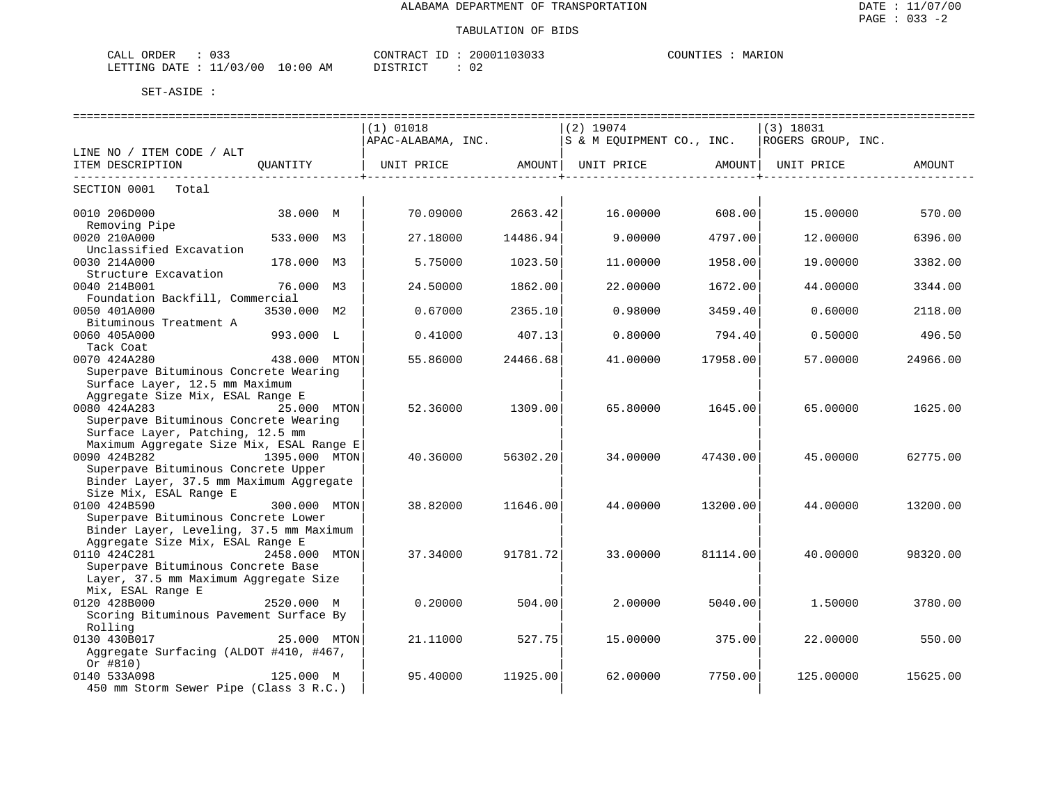| $\sim$ $\sim$<br>ORDER<br>CALL<br><u>v J J</u> |             | CONTRACT<br>ID                                        | 20001103033 | COUNTIES<br>MARION |
|------------------------------------------------|-------------|-------------------------------------------------------|-------------|--------------------|
| ./03/00<br>LETTING DATE<br>--                  | 10:00<br>ΆM | $T \cap T$<br>∵ा प्राप्त <b>ः</b><br><i>ມ</i> ⊥ມ⊥⊥⊾ພ⊥ | ∩∩<br>∪∠    |                    |

|                                          |               | $(1)$ 01018                                                               |                     | $(2)$ 19074 |                      | $(3)$ 18031        |          |
|------------------------------------------|---------------|---------------------------------------------------------------------------|---------------------|-------------|----------------------|--------------------|----------|
|                                          |               | $APAC-ALABAMA$ , INC. $ S \& M EQUIPMENT CO$ ., INC.                      |                     |             |                      | ROGERS GROUP, INC. |          |
| LINE NO / ITEM CODE / ALT                |               |                                                                           |                     |             |                      |                    |          |
| ITEM DESCRIPTION                         | QUANTITY      | UNIT PRICE                 AMOUNT     UNIT PRICE                   AMOUNT |                     |             |                      | UNIT PRICE         | AMOUNT   |
| ---------------------------              |               |                                                                           | ___________________ |             | ------------------+- |                    |          |
| SECTION 0001 Total                       |               |                                                                           |                     |             |                      |                    |          |
| 0010 206D000                             | 38.000 M      | 70.09000                                                                  | 2663.42             | 16.00000    | 608.00               | 15.00000           | 570.00   |
| Removing Pipe                            |               |                                                                           |                     |             |                      |                    |          |
| 0020 210A000                             | 533.000 M3    | 27.18000                                                                  | 14486.94            | 9.00000     | 4797.00              | 12.00000           | 6396.00  |
| Unclassified Excavation                  |               |                                                                           |                     |             |                      |                    |          |
| 0030 214A000                             | 178.000 M3    | 5.75000                                                                   | 1023.50             | 11,00000    | 1958.00              | 19.00000           | 3382.00  |
| Structure Excavation                     |               |                                                                           |                     |             |                      |                    |          |
| 0040 214B001                             | 76.000 M3     | 24.50000                                                                  | 1862.00             | 22.00000    | 1672.00              | 44.00000           | 3344.00  |
| Foundation Backfill, Commercial          |               |                                                                           |                     |             |                      |                    |          |
| 0050 401A000                             | 3530.000 M2   | 0.67000                                                                   | 2365.10             | 0.98000     | 3459.40              | 0.60000            | 2118.00  |
| Bituminous Treatment A                   |               |                                                                           |                     |             |                      |                    |          |
| 0060 405A000                             | 993.000 L     | 0.41000                                                                   | 407.13              | 0.80000     | 794.40               | 0.50000            | 496.50   |
| Tack Coat                                |               |                                                                           |                     |             |                      |                    |          |
| 0070 424A280                             | 438.000 MTON  |                                                                           | 24466.68            | 41,00000    | 17958.00             | 57.00000           | 24966.00 |
| Superpave Bituminous Concrete Wearing    |               | 55.86000                                                                  |                     |             |                      |                    |          |
| Surface Layer, 12.5 mm Maximum           |               |                                                                           |                     |             |                      |                    |          |
| Aggregate Size Mix, ESAL Range E         |               |                                                                           |                     |             |                      |                    |          |
| 0080 424A283                             |               |                                                                           |                     |             |                      |                    |          |
| 25.000 MTON                              |               | 52.36000                                                                  | 1309.00             | 65.80000    | 1645.00              | 65.00000           | 1625.00  |
| Superpave Bituminous Concrete Wearing    |               |                                                                           |                     |             |                      |                    |          |
| Surface Layer, Patching, 12.5 mm         |               |                                                                           |                     |             |                      |                    |          |
| Maximum Aggregate Size Mix, ESAL Range E |               |                                                                           |                     |             |                      |                    |          |
| 0090 424B282<br>1395.000 MTON            |               | 40.36000                                                                  | 56302.20            | 34,00000    | 47430.00             | 45.00000           | 62775.00 |
| Superpave Bituminous Concrete Upper      |               |                                                                           |                     |             |                      |                    |          |
| Binder Layer, 37.5 mm Maximum Aggregate  |               |                                                                           |                     |             |                      |                    |          |
| Size Mix, ESAL Range E                   |               |                                                                           |                     |             |                      |                    |          |
| 0100 424B590                             | 300.000 MTON  | 38.82000                                                                  | 11646.00            | 44.00000    | 13200.00             | 44.00000           | 13200.00 |
| Superpave Bituminous Concrete Lower      |               |                                                                           |                     |             |                      |                    |          |
| Binder Layer, Leveling, 37.5 mm Maximum  |               |                                                                           |                     |             |                      |                    |          |
| Aggregate Size Mix, ESAL Range E         |               |                                                                           |                     |             |                      |                    |          |
| 0110 424C281                             | 2458.000 MTON | 37.34000                                                                  | 91781.72            | 33,00000    | 81114.00             | 40.00000           | 98320.00 |
| Superpave Bituminous Concrete Base       |               |                                                                           |                     |             |                      |                    |          |
| Layer, 37.5 mm Maximum Aggregate Size    |               |                                                                           |                     |             |                      |                    |          |
| Mix, ESAL Range E                        |               |                                                                           |                     |             |                      |                    |          |
| 0120 428B000                             | 2520.000 M    | 0.20000                                                                   | 504.00              | 2,00000     | 5040.00              | 1.50000            | 3780.00  |
| Scoring Bituminous Pavement Surface By   |               |                                                                           |                     |             |                      |                    |          |
| Rolling                                  |               |                                                                           |                     |             |                      |                    |          |
| 0130 430B017                             | 25.000 MTON   | 21.11000                                                                  | 527.75              | 15,00000    | 375.00               | 22.00000           | 550.00   |
| Aggregate Surfacing (ALDOT #410, #467,   |               |                                                                           |                     |             |                      |                    |          |
| Or $#810)$                               |               |                                                                           |                     |             |                      |                    |          |
| 0140 533A098                             | 125.000 M     | 95.40000                                                                  | 11925.00            | 62.00000    | 7750.00              | 125.00000          | 15625.00 |
| 450 mm Storm Sewer Pipe (Class 3 R.C.)   |               |                                                                           |                     |             |                      |                    |          |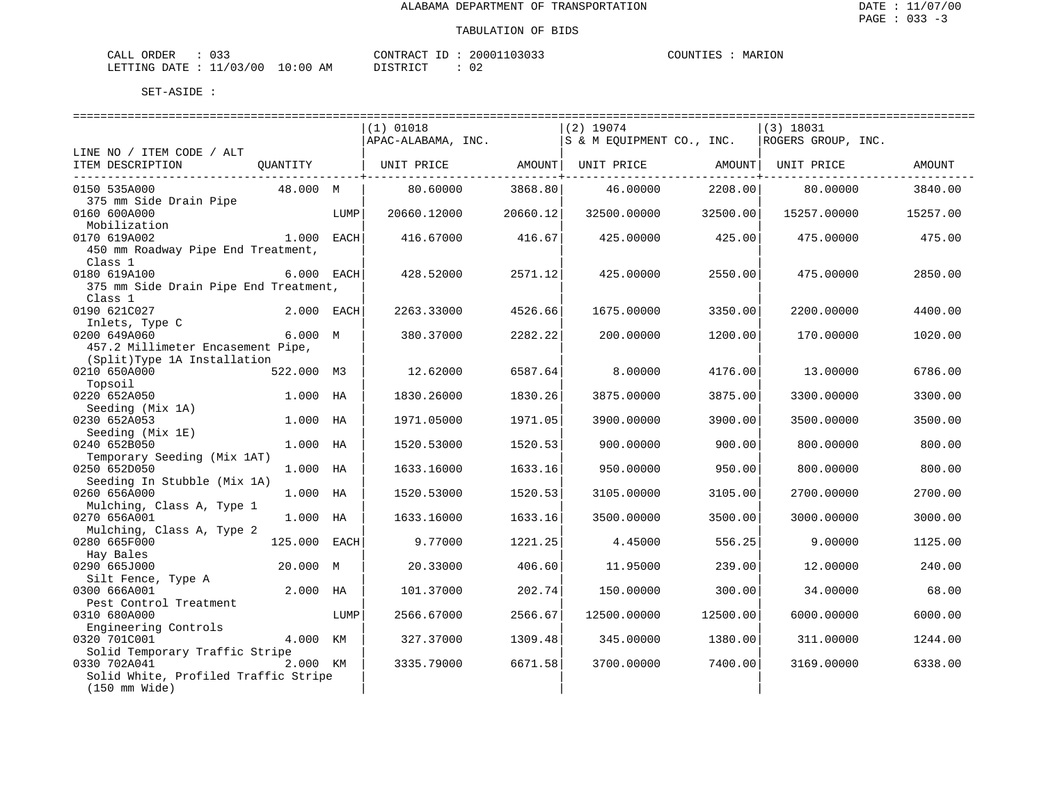| ORDER<br>CALL | $\sim$ $\sim$ $\sim$<br>U33 |             | CONTRACT<br>$-1$ | 20001103033 | COUNTIES | MARION |
|---------------|-----------------------------|-------------|------------------|-------------|----------|--------|
| LETTING DATE  | : 11/03/00                  | 10:00<br>ΑM | ידי איר אידי פרי |             |          |        |

| (1) 01018<br>$(2)$ 19074<br>$(3)$ 18031<br>APAC-ALABAMA, INC.<br>S & M EQUIPMENT CO., INC.<br>ROGERS GROUP, INC.<br>LINE NO / ITEM CODE / ALT<br>ITEM DESCRIPTION<br>UNIT PRICE AMOUNT<br>OUANTITY<br>UNIT PRICE AMOUNT<br>UNIT PRICE<br>AMOUNT<br>--------------------------------<br>----------+-<br>3868.80<br>0150 535A000<br>48.000 M<br>80.60000<br>46.00000<br>2208.00<br>80.00000<br>3840.00<br>375 mm Side Drain Pipe<br>0160 600A000<br>LUMP<br>20660.12000<br>20660.12<br>32500.00000<br>32500.00<br>15257.00000<br>15257.00<br>Mobilization<br>1.000 EACH<br>416.67000<br>416.67<br>425.00000<br>425.00<br>475.00<br>0170 619A002<br>475.00000<br>450 mm Roadway Pipe End Treatment,<br>Class 1<br>0180 619A100<br>6.000 EACH<br>428.52000<br>2571.12<br>425.00000<br>2550.00<br>475.00000<br>2850.00<br>375 mm Side Drain Pipe End Treatment,<br>Class 1<br>0190 621C027<br>2.000 EACH<br>4526.66<br>2263.33000<br>1675.00000<br>3350.00<br>2200.00000<br>4400.00<br>Inlets, Type C |  |  |  |  |  |
|--------------------------------------------------------------------------------------------------------------------------------------------------------------------------------------------------------------------------------------------------------------------------------------------------------------------------------------------------------------------------------------------------------------------------------------------------------------------------------------------------------------------------------------------------------------------------------------------------------------------------------------------------------------------------------------------------------------------------------------------------------------------------------------------------------------------------------------------------------------------------------------------------------------------------------------------------------------------------------------------------|--|--|--|--|--|
|                                                                                                                                                                                                                                                                                                                                                                                                                                                                                                                                                                                                                                                                                                                                                                                                                                                                                                                                                                                                  |  |  |  |  |  |
|                                                                                                                                                                                                                                                                                                                                                                                                                                                                                                                                                                                                                                                                                                                                                                                                                                                                                                                                                                                                  |  |  |  |  |  |
|                                                                                                                                                                                                                                                                                                                                                                                                                                                                                                                                                                                                                                                                                                                                                                                                                                                                                                                                                                                                  |  |  |  |  |  |
|                                                                                                                                                                                                                                                                                                                                                                                                                                                                                                                                                                                                                                                                                                                                                                                                                                                                                                                                                                                                  |  |  |  |  |  |
|                                                                                                                                                                                                                                                                                                                                                                                                                                                                                                                                                                                                                                                                                                                                                                                                                                                                                                                                                                                                  |  |  |  |  |  |
|                                                                                                                                                                                                                                                                                                                                                                                                                                                                                                                                                                                                                                                                                                                                                                                                                                                                                                                                                                                                  |  |  |  |  |  |
|                                                                                                                                                                                                                                                                                                                                                                                                                                                                                                                                                                                                                                                                                                                                                                                                                                                                                                                                                                                                  |  |  |  |  |  |
|                                                                                                                                                                                                                                                                                                                                                                                                                                                                                                                                                                                                                                                                                                                                                                                                                                                                                                                                                                                                  |  |  |  |  |  |
|                                                                                                                                                                                                                                                                                                                                                                                                                                                                                                                                                                                                                                                                                                                                                                                                                                                                                                                                                                                                  |  |  |  |  |  |
|                                                                                                                                                                                                                                                                                                                                                                                                                                                                                                                                                                                                                                                                                                                                                                                                                                                                                                                                                                                                  |  |  |  |  |  |
|                                                                                                                                                                                                                                                                                                                                                                                                                                                                                                                                                                                                                                                                                                                                                                                                                                                                                                                                                                                                  |  |  |  |  |  |
|                                                                                                                                                                                                                                                                                                                                                                                                                                                                                                                                                                                                                                                                                                                                                                                                                                                                                                                                                                                                  |  |  |  |  |  |
|                                                                                                                                                                                                                                                                                                                                                                                                                                                                                                                                                                                                                                                                                                                                                                                                                                                                                                                                                                                                  |  |  |  |  |  |
|                                                                                                                                                                                                                                                                                                                                                                                                                                                                                                                                                                                                                                                                                                                                                                                                                                                                                                                                                                                                  |  |  |  |  |  |
|                                                                                                                                                                                                                                                                                                                                                                                                                                                                                                                                                                                                                                                                                                                                                                                                                                                                                                                                                                                                  |  |  |  |  |  |
| 6.000 M<br>0200 649A060<br>380.37000<br>2282.22<br>200.00000<br>1200.00<br>170.00000<br>1020.00                                                                                                                                                                                                                                                                                                                                                                                                                                                                                                                                                                                                                                                                                                                                                                                                                                                                                                  |  |  |  |  |  |
| 457.2 Millimeter Encasement Pipe,                                                                                                                                                                                                                                                                                                                                                                                                                                                                                                                                                                                                                                                                                                                                                                                                                                                                                                                                                                |  |  |  |  |  |
| (Split)Type 1A Installation                                                                                                                                                                                                                                                                                                                                                                                                                                                                                                                                                                                                                                                                                                                                                                                                                                                                                                                                                                      |  |  |  |  |  |
| 522.000 M3<br>12.62000<br>6587.64<br>8,00000<br>4176.00<br>13.00000<br>6786.00<br>0210 650A000                                                                                                                                                                                                                                                                                                                                                                                                                                                                                                                                                                                                                                                                                                                                                                                                                                                                                                   |  |  |  |  |  |
| Topsoil                                                                                                                                                                                                                                                                                                                                                                                                                                                                                                                                                                                                                                                                                                                                                                                                                                                                                                                                                                                          |  |  |  |  |  |
| 0220 652A050<br>1830.26<br>1.000 HA<br>1830.26000<br>3875.00000<br>3875.00<br>3300.00000<br>3300.00                                                                                                                                                                                                                                                                                                                                                                                                                                                                                                                                                                                                                                                                                                                                                                                                                                                                                              |  |  |  |  |  |
| Seeding (Mix 1A)                                                                                                                                                                                                                                                                                                                                                                                                                                                                                                                                                                                                                                                                                                                                                                                                                                                                                                                                                                                 |  |  |  |  |  |
| 0230 652A053<br>1.000 HA<br>1971.05000<br>1971.05<br>3900.00<br>3500.00000<br>3500.00<br>3900.00000                                                                                                                                                                                                                                                                                                                                                                                                                                                                                                                                                                                                                                                                                                                                                                                                                                                                                              |  |  |  |  |  |
| Seeding (Mix 1E)<br>0240 652B050<br>1520.53                                                                                                                                                                                                                                                                                                                                                                                                                                                                                                                                                                                                                                                                                                                                                                                                                                                                                                                                                      |  |  |  |  |  |
| 1.000 HA<br>1520.53000<br>900.00000<br>900.00<br>800.00000<br>800.00<br>Temporary Seeding (Mix 1AT)                                                                                                                                                                                                                                                                                                                                                                                                                                                                                                                                                                                                                                                                                                                                                                                                                                                                                              |  |  |  |  |  |
| 0250 652D050<br>1633.16<br>1.000 HA<br>1633.16000<br>950.00000<br>950.00<br>800.00000<br>800.00                                                                                                                                                                                                                                                                                                                                                                                                                                                                                                                                                                                                                                                                                                                                                                                                                                                                                                  |  |  |  |  |  |
| Seeding In Stubble (Mix 1A)                                                                                                                                                                                                                                                                                                                                                                                                                                                                                                                                                                                                                                                                                                                                                                                                                                                                                                                                                                      |  |  |  |  |  |
| 0260 656A000<br>1520.53<br>1.000 HA<br>1520.53000<br>3105.00000<br>3105.00<br>2700.00000<br>2700.00                                                                                                                                                                                                                                                                                                                                                                                                                                                                                                                                                                                                                                                                                                                                                                                                                                                                                              |  |  |  |  |  |
| Mulching, Class A, Type 1                                                                                                                                                                                                                                                                                                                                                                                                                                                                                                                                                                                                                                                                                                                                                                                                                                                                                                                                                                        |  |  |  |  |  |
| 0270 656A001<br>1.000 HA<br>1633.16<br>1633.16000<br>3500.00000<br>3500.00<br>3000.00000<br>3000.00                                                                                                                                                                                                                                                                                                                                                                                                                                                                                                                                                                                                                                                                                                                                                                                                                                                                                              |  |  |  |  |  |
| Mulching, Class A, Type 2                                                                                                                                                                                                                                                                                                                                                                                                                                                                                                                                                                                                                                                                                                                                                                                                                                                                                                                                                                        |  |  |  |  |  |
| 0280 665F000<br>125.000 EACH<br>9.77000<br>1221.25<br>556.25<br>9.00000<br>1125.00<br>4.45000                                                                                                                                                                                                                                                                                                                                                                                                                                                                                                                                                                                                                                                                                                                                                                                                                                                                                                    |  |  |  |  |  |
| Hay Bales                                                                                                                                                                                                                                                                                                                                                                                                                                                                                                                                                                                                                                                                                                                                                                                                                                                                                                                                                                                        |  |  |  |  |  |
| 240.00<br>0290 665J000<br>20.000 M<br>20.33000<br>406.60<br>11.95000<br>239.00<br>12.00000                                                                                                                                                                                                                                                                                                                                                                                                                                                                                                                                                                                                                                                                                                                                                                                                                                                                                                       |  |  |  |  |  |
| Silt Fence, Type A                                                                                                                                                                                                                                                                                                                                                                                                                                                                                                                                                                                                                                                                                                                                                                                                                                                                                                                                                                               |  |  |  |  |  |
| 2.000 HA<br>0300 666A001<br>101.37000<br>202.74<br>150.00000<br>300.00<br>34.00000<br>68.00                                                                                                                                                                                                                                                                                                                                                                                                                                                                                                                                                                                                                                                                                                                                                                                                                                                                                                      |  |  |  |  |  |
| Pest Control Treatment                                                                                                                                                                                                                                                                                                                                                                                                                                                                                                                                                                                                                                                                                                                                                                                                                                                                                                                                                                           |  |  |  |  |  |
| 0310 680A000<br>LUMP<br>2566.67000<br>2566.67<br>12500.00000<br>12500.00<br>6000.00000<br>6000.00                                                                                                                                                                                                                                                                                                                                                                                                                                                                                                                                                                                                                                                                                                                                                                                                                                                                                                |  |  |  |  |  |
| Engineering Controls                                                                                                                                                                                                                                                                                                                                                                                                                                                                                                                                                                                                                                                                                                                                                                                                                                                                                                                                                                             |  |  |  |  |  |
| 4.000 KM<br>0320 701C001<br>327.37000<br>1309.48<br>345.00000<br>1380.00<br>311,00000<br>1244.00<br>Solid Temporary Traffic Stripe                                                                                                                                                                                                                                                                                                                                                                                                                                                                                                                                                                                                                                                                                                                                                                                                                                                               |  |  |  |  |  |
| 0330 702A041<br>7400.00<br>2.000 KM<br>3335.79000<br>6671.58<br>3700.00000<br>3169.00000<br>6338.00                                                                                                                                                                                                                                                                                                                                                                                                                                                                                                                                                                                                                                                                                                                                                                                                                                                                                              |  |  |  |  |  |
| Solid White, Profiled Traffic Stripe                                                                                                                                                                                                                                                                                                                                                                                                                                                                                                                                                                                                                                                                                                                                                                                                                                                                                                                                                             |  |  |  |  |  |
| $(150$ mm Wide)                                                                                                                                                                                                                                                                                                                                                                                                                                                                                                                                                                                                                                                                                                                                                                                                                                                                                                                                                                                  |  |  |  |  |  |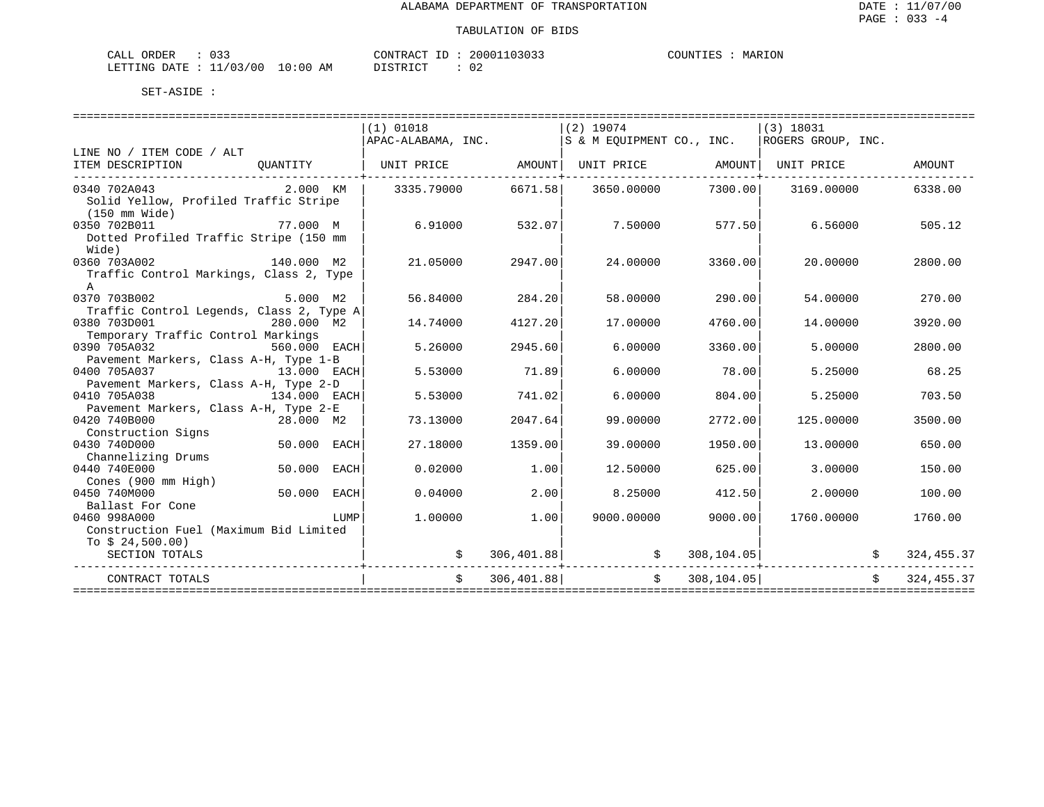| CALL ORDER              | いっっ |          | CONTRACT I<br>ID : | 20001103033 | COUNTIES | MARION |
|-------------------------|-----|----------|--------------------|-------------|----------|--------|
| LETTING DATE : 11/03/00 |     | 10:00 AM | DISTRICT           | 02          |          |        |

|                                                            |                | $(1)$ 01018                                                                |               | $(2)$ 19074                  |                | (3) 18031        |            |
|------------------------------------------------------------|----------------|----------------------------------------------------------------------------|---------------|------------------------------|----------------|------------------|------------|
|                                                            |                | $ $ APAC-ALABAMA, INC. $ S \& M$ EQUIPMENT CO., INC. $ ROGERS$ GROUP, INC. |               |                              |                |                  |            |
| LINE NO / ITEM CODE / ALT                                  |                |                                                                            |               |                              |                |                  |            |
| ITEM DESCRIPTION                                           | OUANTITY       | UNIT PRICE                                                                 | AMOUNT        | UNIT PRICE                   | AMOUNT         | UNIT PRICE       | AMOUNT     |
| 0340 702A043                                               | 2.000 KM       | 3335.79000                                                                 | 6671.58       | 3650.00000                   | 7300.00        | 3169.00000       | 6338.00    |
| Solid Yellow, Profiled Traffic Stripe<br>(150 mm Wide)     |                |                                                                            |               |                              |                |                  |            |
| 0350 702B011                                               | 77.000 M       | 6.91000                                                                    | 532.07        | 7.50000                      | 577.50         | 6.56000          | 505.12     |
| Dotted Profiled Traffic Stripe (150 mm                     |                |                                                                            |               |                              |                |                  |            |
| Wide)                                                      |                |                                                                            |               |                              |                |                  |            |
| 0360 703A002                                               | 140.000 M2     | 21.05000                                                                   | 2947.00       | 24.00000                     | 3360.00        | 20.00000         | 2800.00    |
| Traffic Control Markings, Class 2, Type                    |                |                                                                            |               |                              |                |                  |            |
| $\mathbf{A}$                                               |                |                                                                            |               |                              |                |                  |            |
| 0370 703B002                                               | 5.000 M2       | 56.84000                                                                   | 284.20        | 58.00000                     | 290.00         | 54.00000         | 270.00     |
| Traffic Control Legends, Class 2, Type A                   |                |                                                                            |               |                              |                |                  |            |
| 0380 703D001                                               | 280.000 M2     | 14.74000                                                                   | 4127.20       | 17,00000                     | 4760.00        | 14,00000         | 3920.00    |
| Temporary Traffic Control Markings                         |                |                                                                            |               |                              |                |                  |            |
| 0390 705A032                                               | 560.000 EACH   | 5.26000                                                                    | 2945.60       | 6,00000                      | 3360.00        | 5.00000          | 2800.00    |
| Pavement Markers, Class A-H, Type 1-B                      |                |                                                                            |               |                              |                |                  |            |
| 0400 705A037                                               | 13.000 EACH    | 5.53000                                                                    | 71.89         | 6,00000                      | 78.00          | 5.25000          | 68.25      |
| Pavement Markers, Class A-H, Type 2-D                      |                |                                                                            |               |                              |                |                  |            |
| 0410 705A038                                               | 134.000 EACH   | 5.53000                                                                    | 741.02        | 6.00000                      | 804.00         | 5.25000          | 703.50     |
| Pavement Markers, Class A-H, Type 2-E                      |                |                                                                            |               |                              |                |                  |            |
| 0420 740B000                                               | $28.000$ M2    | 73.13000                                                                   | 2047.64       | 99,00000                     | 2772.00        | 125,00000        | 3500.00    |
| Construction Signs                                         |                |                                                                            |               |                              |                |                  |            |
| 0430 740D000                                               | 50.000 EACH    | 27.18000                                                                   | 1359.00       | 39,00000                     | 1950.00        | 13.00000         | 650.00     |
| Channelizing Drums                                         |                |                                                                            |               |                              |                |                  |            |
| 0440 740E000                                               | 50.000<br>EACH | 0.02000                                                                    | 1.00          | 12.50000                     | 625.00         | 3.00000          | 150.00     |
| Cones (900 mm High)                                        |                |                                                                            |               |                              |                |                  |            |
| 0450 740M000<br>Ballast For Cone                           | 50.000 EACH    | 0.04000                                                                    | 2.00          | 8.25000                      | 412.50         | 2.00000          | 100.00     |
| 0460 998A000                                               |                | 1,00000                                                                    | 1.00          | 9000.00000                   | 9000.00        | 1760.00000       | 1760.00    |
|                                                            | LUMP           |                                                                            |               |                              |                |                  |            |
| Construction Fuel (Maximum Bid Limited<br>To $$24,500.00)$ |                |                                                                            |               |                              |                |                  |            |
| SECTION TOTALS                                             |                |                                                                            |               |                              |                | $308, 104.05$ \$ | 324,455.37 |
|                                                            |                |                                                                            |               | $\sharp$ 306,401.88 $\sharp$ |                |                  |            |
| CONTRACT TOTALS                                            |                |                                                                            | \$306,401.88] |                              | \$308, 104.05] | $\mathcal{S}$    | 324,455.37 |
|                                                            |                |                                                                            |               |                              |                |                  |            |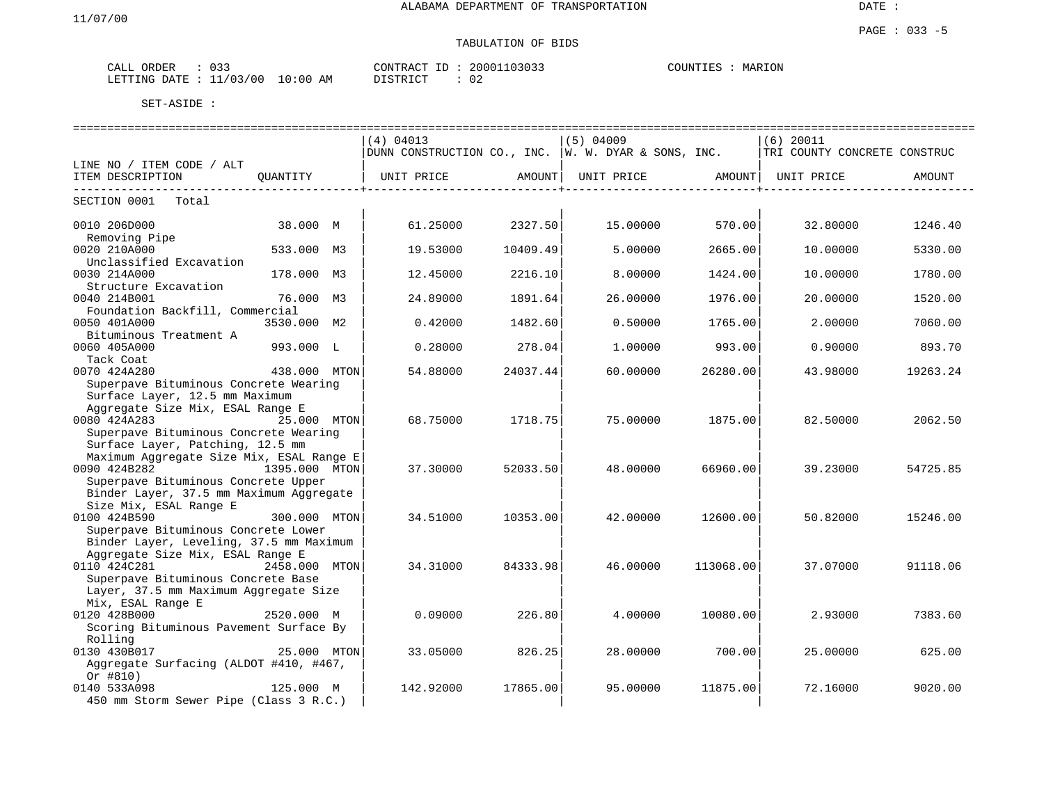DATE :

#### PAGE : 033 -5 TABULATION OF BIDS

| $\sim$ $\sim$ $\sim$<br>ORDER<br>ـىلىمى<br>◡ ◡ ◡ |               | CONTRACT | 20001103033 | MARION<br>COUNTIES |
|--------------------------------------------------|---------------|----------|-------------|--------------------|
| 11/03/00<br>LETTING DATE                         | LO : 00<br>ΆM | romDT    | ◡∠          |                    |

|                                                                                                               |               |            |          | :===============================                       |                    | ---------------------------------- |          |
|---------------------------------------------------------------------------------------------------------------|---------------|------------|----------|--------------------------------------------------------|--------------------|------------------------------------|----------|
|                                                                                                               |               | (4) 04013  |          | $(5)$ 04009                                            |                    | $(6)$ 20011                        |          |
|                                                                                                               |               |            |          | DUNN CONSTRUCTION CO., INC. $ w.$ W. DYAR & SONS, INC. |                    | TRI COUNTY CONCRETE CONSTRUC       |          |
| LINE NO / ITEM CODE / ALT                                                                                     |               |            |          |                                                        |                    |                                    |          |
| ITEM DESCRIPTION                                                                                              | QUANTITY      | UNIT PRICE | AMOUNT   | UNIT PRICE AMOUNT                                      | ----------------+- | UNIT PRICE                         | AMOUNT   |
| ----------------------------<br>SECTION 0001 Total                                                            |               |            |          |                                                        |                    |                                    |          |
| 0010 206D000<br>Removing Pipe                                                                                 | 38.000 M      | 61.25000   | 2327.50  | 15,00000                                               | 570.00             | 32.80000                           | 1246.40  |
| 0020 210A000<br>Unclassified Excavation                                                                       | 533.000 M3    | 19.53000   | 10409.49 | 5.00000                                                | 2665.00            | 10.00000                           | 5330.00  |
| 0030 214A000                                                                                                  | 178.000 M3    | 12.45000   | 2216.10  | 8.00000                                                | 1424.00            | 10.00000                           | 1780.00  |
| Structure Excavation<br>0040 214B001                                                                          | 76.000 M3     | 24.89000   | 1891.64  | 26.00000                                               | 1976.00            | 20.00000                           | 1520.00  |
| Foundation Backfill, Commercial                                                                               |               |            |          |                                                        |                    |                                    |          |
| 0050 401A000<br>Bituminous Treatment A                                                                        | 3530.000 M2   | 0.42000    | 1482.60  | 0.50000                                                | 1765.00            | 2.00000                            | 7060.00  |
| 0060 405A000                                                                                                  | 993.000 L     | 0.28000    | 278.04   | 1,00000                                                | 993.00             | 0.90000                            | 893.70   |
| Tack Coat<br>0070 424A280                                                                                     | 438.000 MTON  | 54.88000   | 24037.44 | 60,00000                                               | 26280.00           | 43.98000                           | 19263.24 |
| Superpave Bituminous Concrete Wearing<br>Surface Layer, 12.5 mm Maximum<br>Aggregate Size Mix, ESAL Range E   |               |            |          |                                                        |                    |                                    |          |
| 0080 424A283<br>Superpave Bituminous Concrete Wearing                                                         | 25.000 MTON   | 68.75000   | 1718.75  | 75.00000                                               | 1875.00            | 82.50000                           | 2062.50  |
| Surface Layer, Patching, 12.5 mm<br>Maximum Aggregate Size Mix, ESAL Range E<br>0090 424B282<br>1395.000 MTON |               | 37.30000   | 52033.50 | 48.00000                                               | 66960.00           | 39.23000                           | 54725.85 |
| Superpave Bituminous Concrete Upper<br>Binder Layer, 37.5 mm Maximum Aggregate<br>Size Mix, ESAL Range E      |               |            |          |                                                        |                    |                                    |          |
| 0100 424B590<br>Superpave Bituminous Concrete Lower                                                           | 300.000 MTON  | 34.51000   | 10353.00 | 42.00000                                               | 12600.00           | 50.82000                           | 15246.00 |
| Binder Layer, Leveling, 37.5 mm Maximum<br>Aggregate Size Mix, ESAL Range E<br>0110 424C281                   | 2458.000 MTON | 34.31000   | 84333.98 | 46.00000                                               | 113068.00          | 37.07000                           | 91118.06 |
| Superpave Bituminous Concrete Base<br>Layer, 37.5 mm Maximum Aggregate Size<br>Mix, ESAL Range E              |               |            |          |                                                        |                    |                                    |          |
| 0120 428B000<br>Scoring Bituminous Pavement Surface By<br>Rolling                                             | 2520.000 M    | 0.09000    | 226.80   | 4.00000                                                | 10080.00           | 2.93000                            | 7383.60  |
| 0130 430B017<br>Aggregate Surfacing (ALDOT #410, #467,                                                        | 25.000 MTON   | 33.05000   | 826.25   | 28,00000                                               | 700.00             | 25.00000                           | 625.00   |
| Or #810)<br>0140 533A098<br>450 mm Storm Sewer Pipe (Class 3 R.C.)                                            | 125.000 M     | 142.92000  | 17865.00 | 95.00000                                               | 11875.00           | 72.16000                           | 9020.00  |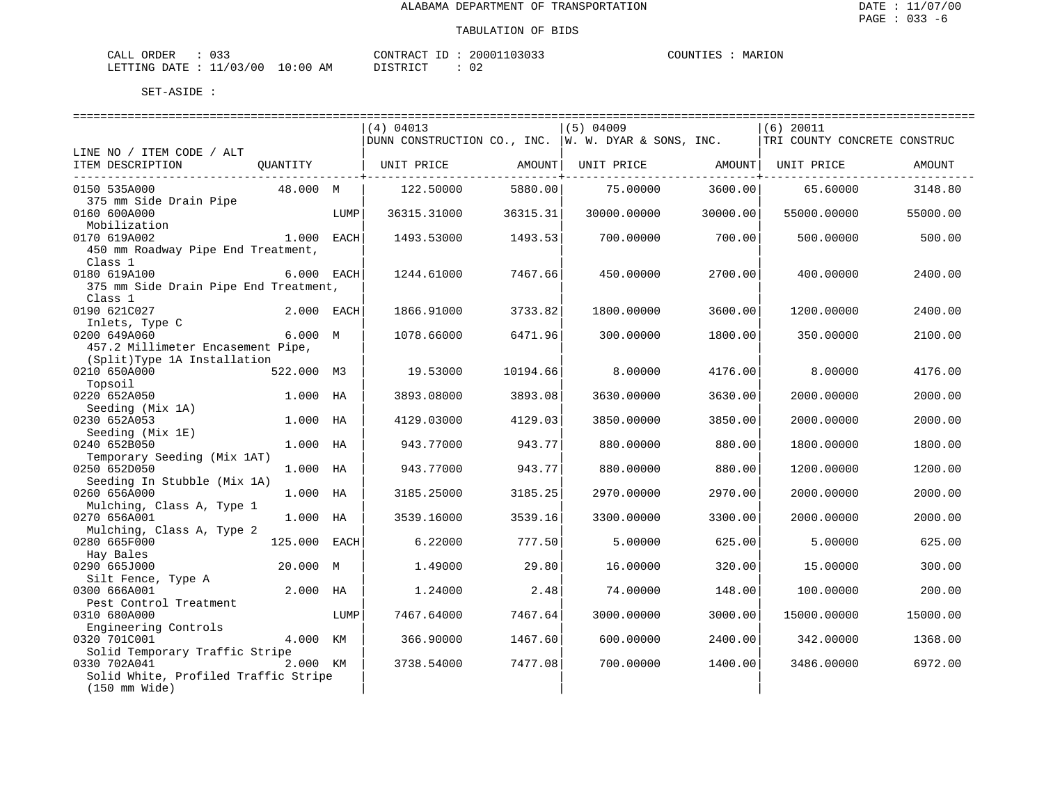MARION

| ORDER<br>CALL             | $\sim$ $\sim$ $\sim$<br><u>UJJ</u> |             | CONTRACT      | $\tau$ | 20001103033 | COUNTIES | MARION |
|---------------------------|------------------------------------|-------------|---------------|--------|-------------|----------|--------|
| LETTING DATE : $11/03/00$ |                                    | 10:00<br>AΜ | חימת דפידי את |        |             |          |        |

|                                                         |              |      | (4) 04013   |                        | $(5)$ 04009                                                 |          | $(6)$ 20011                  |          |
|---------------------------------------------------------|--------------|------|-------------|------------------------|-------------------------------------------------------------|----------|------------------------------|----------|
|                                                         |              |      |             |                        | $ $ DUNN CONSTRUCTION CO., INC. $ $ W. W. DYAR & SONS, INC. |          | TRI COUNTY CONCRETE CONSTRUC |          |
| LINE NO / ITEM CODE / ALT                               |              |      |             |                        |                                                             |          |                              |          |
| ITEM DESCRIPTION                                        | OUANTITY     |      | UNIT PRICE  | AMOUNT                 | UNIT PRICE AMOUNT                                           |          | UNIT PRICE                   | AMOUNT   |
| --------------------------------<br>0150 535A000        | 48.000 M     |      | 122.50000   | ----------+<br>5880.00 | 75.00000                                                    | 3600.00  | 65.60000                     | 3148.80  |
| 375 mm Side Drain Pipe                                  |              |      |             |                        |                                                             |          |                              |          |
| 0160 600A000                                            |              | LUMP | 36315.31000 | 36315.31               | 30000.00000                                                 | 30000.00 | 55000.00000                  | 55000.00 |
| Mobilization                                            |              |      |             |                        |                                                             |          |                              |          |
| 0170 619A002                                            | 1.000 EACH   |      | 1493.53000  | 1493.53                | 700.00000                                                   | 700.00   | 500.00000                    | 500.00   |
| 450 mm Roadway Pipe End Treatment,<br>Class 1           |              |      |             |                        |                                                             |          |                              |          |
| 0180 619A100                                            | 6.000 EACH   |      | 1244.61000  | 7467.66                | 450.00000                                                   | 2700.00  | 400.00000                    | 2400.00  |
| 375 mm Side Drain Pipe End Treatment,                   |              |      |             |                        |                                                             |          |                              |          |
| Class 1                                                 |              |      |             |                        |                                                             |          |                              |          |
| 0190 621C027                                            | 2.000 EACH   |      | 1866.91000  | 3733.82                | 1800.00000                                                  | 3600.00  | 1200.00000                   | 2400.00  |
| Inlets, Type C                                          |              |      |             |                        |                                                             |          |                              |          |
| 0200 649A060                                            | 6.000 M      |      | 1078.66000  | 6471.96                | 300.00000                                                   | 1800.00  | 350.00000                    | 2100.00  |
| 457.2 Millimeter Encasement Pipe,                       |              |      |             |                        |                                                             |          |                              |          |
| (Split)Type 1A Installation                             |              |      |             |                        |                                                             |          |                              |          |
| 0210 650A000                                            | 522.000 M3   |      | 19.53000    | 10194.66               | 8,00000                                                     | 4176.00  | 8.00000                      | 4176.00  |
| Topsoil                                                 |              |      |             |                        |                                                             |          |                              |          |
| 0220 652A050                                            | 1.000 HA     |      | 3893.08000  | 3893.08                | 3630.00000                                                  | 3630.00  | 2000.00000                   | 2000.00  |
| Seeding (Mix 1A)                                        |              |      |             |                        |                                                             |          |                              |          |
| 0230 652A053                                            | 1.000 HA     |      | 4129.03000  | 4129.03                | 3850.00000                                                  | 3850.00  | 2000.00000                   | 2000.00  |
| Seeding (Mix 1E)<br>0240 652B050                        |              |      |             | 943.77                 |                                                             |          |                              |          |
| Temporary Seeding (Mix 1AT)                             | 1.000 HA     |      | 943.77000   |                        | 880.00000                                                   | 880.00   | 1800.00000                   | 1800.00  |
| 0250 652D050                                            | 1.000 HA     |      | 943.77000   | 943.77                 | 880.00000                                                   | 880.00   | 1200.00000                   | 1200.00  |
| Seeding In Stubble (Mix 1A)                             |              |      |             |                        |                                                             |          |                              |          |
| 0260 656A000                                            | 1.000 HA     |      | 3185.25000  | 3185.25                | 2970.00000                                                  | 2970.00  | 2000.00000                   | 2000.00  |
| Mulching, Class A, Type 1                               |              |      |             |                        |                                                             |          |                              |          |
| 0270 656A001                                            | 1.000 HA     |      | 3539.16000  | 3539.16                | 3300.00000                                                  | 3300.00  | 2000.00000                   | 2000.00  |
| Mulching, Class A, Type 2                               |              |      |             |                        |                                                             |          |                              |          |
| 0280 665F000                                            | 125.000 EACH |      | 6.22000     | 777.50                 | 5.00000                                                     | 625.00   | 5.00000                      | 625.00   |
| Hay Bales                                               |              |      |             |                        |                                                             |          |                              |          |
| 0290 665J000                                            | 20.000 M     |      | 1.49000     | 29.80                  | 16.00000                                                    | 320.00   | 15.00000                     | 300.00   |
| Silt Fence, Type A                                      |              |      |             |                        |                                                             |          |                              |          |
| 0300 666A001                                            | 2.000 HA     |      | 1.24000     | 2.48                   | 74.00000                                                    | 148.00   | 100.00000                    | 200.00   |
| Pest Control Treatment                                  |              |      |             |                        |                                                             |          |                              |          |
| 0310 680A000                                            |              | LUMP | 7467.64000  | 7467.64                | 3000.00000                                                  | 3000.00  | 15000.00000                  | 15000.00 |
| Engineering Controls                                    |              |      |             |                        |                                                             |          |                              |          |
| 0320 701C001                                            | 4.000 KM     |      | 366.90000   | 1467.60                | 600.00000                                                   | 2400.00  | 342.00000                    | 1368.00  |
| Solid Temporary Traffic Stripe<br>0330 702A041          |              |      |             |                        |                                                             |          |                              |          |
|                                                         | 2.000 KM     |      | 3738.54000  | 7477.08                | 700.00000                                                   | 1400.00  | 3486.00000                   | 6972.00  |
|                                                         |              |      |             |                        |                                                             |          |                              |          |
| Solid White, Profiled Traffic Stripe<br>$(150$ mm Wide) |              |      |             |                        |                                                             |          |                              |          |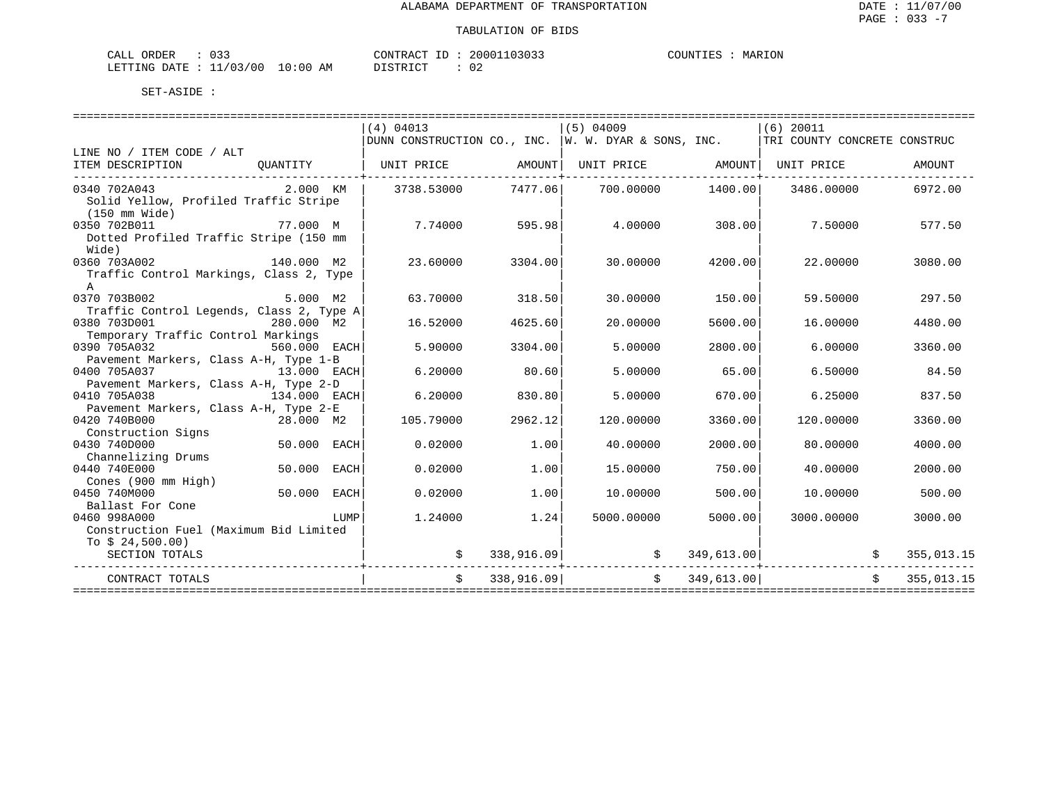| <b>ORDER</b><br>™AT.T | $\sim$ $\sim$ $\sim$<br>◡ ◡ ◡           |                                                                                                                                | CONTRACT<br>$ -$ | 103033<br>20001 | COLINT. | <b>ION</b><br>МAF |
|-----------------------|-----------------------------------------|--------------------------------------------------------------------------------------------------------------------------------|------------------|-----------------|---------|-------------------|
| LETTING DATE          | 1/03/<br>◡<br>$\cdots$<br>$\sim$ $\sim$ | 10:00<br>ΑM<br>the contract of the contract of the contract of the contract of the contract of the contract of the contract of | $ \sim$ $\sim$   |                 |         |                   |

|                                                      |                     | (4) 04013      |                | $(5)$ 04009                                                                      |                   | (6) 20011                       |            |
|------------------------------------------------------|---------------------|----------------|----------------|----------------------------------------------------------------------------------|-------------------|---------------------------------|------------|
|                                                      |                     |                |                | DUNN CONSTRUCTION CO., INC. W. W. DYAR & SONS, INC. THE COUNTY CONCRETE CONSTRUC |                   |                                 |            |
| LINE NO / ITEM CODE / ALT                            |                     |                |                |                                                                                  |                   |                                 |            |
| ITEM DESCRIPTION<br>-------------------------------- |                     |                |                |                                                                                  |                   |                                 | AMOUNT     |
| 0340 702A043                                         | 2.000 KM 3738.53000 |                | 7477.061       |                                                                                  | 700.00000 1400.00 | 3486.00000                      | 6972.00    |
| Solid Yellow, Profiled Traffic Stripe                |                     |                |                |                                                                                  |                   |                                 |            |
| (150 mm Wide)                                        |                     |                |                |                                                                                  |                   |                                 |            |
| 0350 702B011                                         | 77.000 M            |                | 7.74000 595.98 | 4.00000                                                                          | 308.00            | 7.50000                         | 577.50     |
| Dotted Profiled Traffic Stripe (150 mm               |                     |                |                |                                                                                  |                   |                                 |            |
| Wide)                                                |                     |                |                |                                                                                  |                   |                                 |            |
| 0360 703A002                                         | 140.000 M2          | 23.60000       | 3304.00        | 30.00000                                                                         | 4200.00           | 22.00000                        | 3080.00    |
| Traffic Control Markings, Class 2, Type              |                     |                |                |                                                                                  |                   |                                 |            |
| $\mathsf{A}$                                         |                     |                |                |                                                                                  |                   |                                 |            |
| 0370 703B002                                         | 5.000 M2            | 63.70000       | 318.50         | 30.00000                                                                         | 150.00            | 59.50000                        | 297.50     |
| Traffic Control Legends, Class 2, Type A             |                     |                |                |                                                                                  |                   |                                 |            |
| 0380 703D001                                         | 280.000 M2          | 16.52000       | 4625.60        | 20,00000                                                                         | 5600.00           | 16.00000                        | 4480.00    |
| Temporary Traffic Control Markings                   |                     |                |                |                                                                                  |                   |                                 |            |
| 0390 705A032                                         | 560.000 EACH        | 5.90000        | 3304.00        | 5.00000                                                                          | 2800.00           | 6.00000                         | 3360.00    |
| Pavement Markers, Class A-H, Type 1-B                |                     |                |                |                                                                                  |                   |                                 |            |
| 0400 705A037                                         | 13.000 EACH         | 6.20000        | 80.60          | 5.00000                                                                          | 65.00             | 6.50000                         | 84.50      |
| Pavement Markers, Class A-H, Type 2-D                |                     |                |                |                                                                                  |                   |                                 |            |
| 0410 705A038                                         | $134.000$ EACH      | 6.20000        | 830.80         | 5.00000                                                                          | 670.00            | 6.25000                         | 837.50     |
| Pavement Markers, Class A-H, Type 2-E                |                     |                |                |                                                                                  |                   |                                 |            |
| 0420 740B000                                         | 28.000 M2           | 105.79000      | 2962.12        | 120.00000                                                                        | 3360.00           | 120.00000                       | 3360.00    |
| Construction Signs                                   |                     |                |                |                                                                                  |                   |                                 |            |
| 0430 740D000                                         | 50.000 EACH         | 0.02000        | 1.00           | 40.00000                                                                         | 2000.00           | 80.00000                        | 4000.00    |
| Channelizing Drums<br>0440 740E000                   | 50.000 EACH         | 0.02000        | 1.00           | 15,00000                                                                         | 750.00            | 40.00000                        | 2000.00    |
| Cones (900 mm High)                                  |                     |                |                |                                                                                  |                   |                                 |            |
| 0450 740M000                                         | $50.000$ EACH       | 0.02000        | 1.00           | 10.00000                                                                         | 500.00            | 10.00000                        | 500.00     |
| Ballast For Cone                                     |                     |                |                |                                                                                  |                   |                                 |            |
| 0460 998A000                                         | LUMP                | 1.24000        | 1.24           | 5000.00000                                                                       | 5000.00           | 3000.00000                      | 3000.00    |
| Construction Fuel (Maximum Bid Limited               |                     |                |                |                                                                                  |                   |                                 |            |
| To $$24,500.00)$                                     |                     |                |                |                                                                                  |                   |                                 |            |
| SECTION TOTALS                                       |                     |                |                | $338,916.09$ \$                                                                  |                   | $349,613.00$ \$                 | 355,013.15 |
|                                                      |                     |                |                |                                                                                  |                   | . _ _ _ _ _ _ _ _ _ _ _ _ _ _ _ |            |
| CONTRACT TOTALS                                      |                     | $\mathsf{S}^-$ | 338,916.09     |                                                                                  | \$349,613.00      |                                 | 355,013.15 |
|                                                      |                     |                |                |                                                                                  |                   |                                 |            |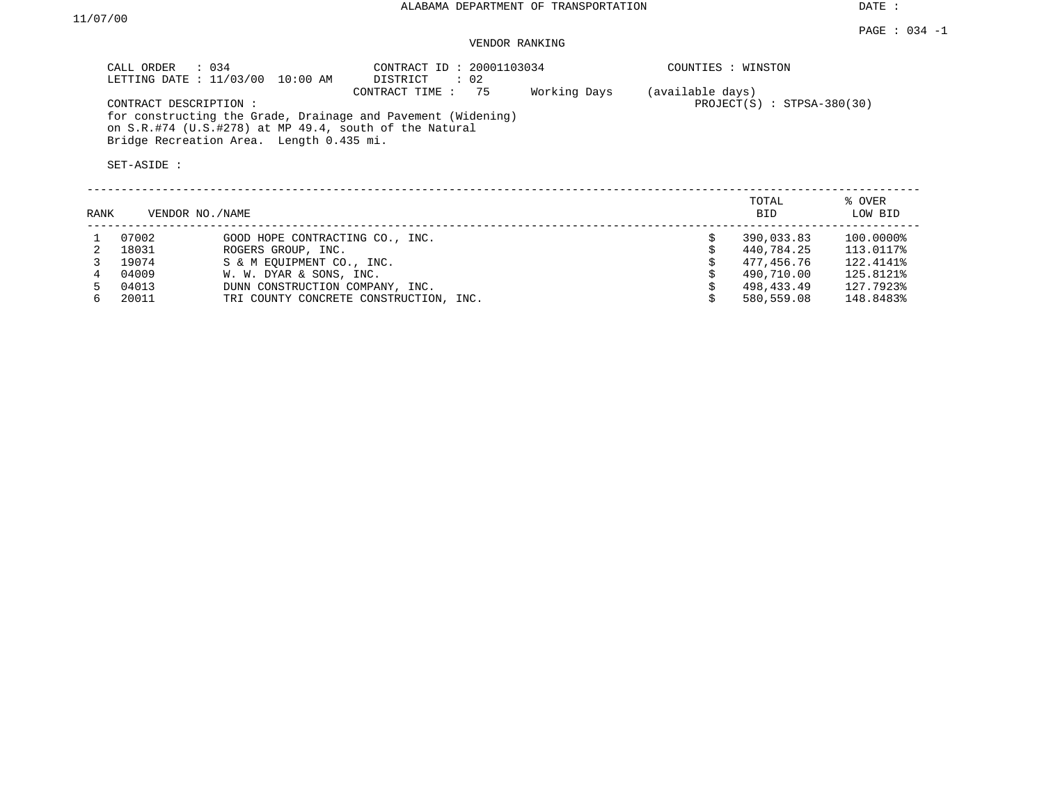DATE :

### VENDOR RANKING

| CALL ORDER : 034<br>LETTING DATE : 11/03/00 10:00 AM                                                                                            | CONTRACT ID: 20001103034<br>: 02<br>DISTRICT |              | COUNTIES : WINSTON                               |                   |
|-------------------------------------------------------------------------------------------------------------------------------------------------|----------------------------------------------|--------------|--------------------------------------------------|-------------------|
| CONTRACT DESCRIPTION:<br>for constructing the Grade, Drainage and Pavement (Widening)<br>on S.R.#74 (U.S.#278) at MP 49.4, south of the Natural | CONTRACT TIME: 75                            | Working Days | (available days)<br>$PROJECT(S)$ : STPSA-380(30) |                   |
| Bridge Recreation Area. Length 0.435 mi.<br>SET-ASIDE:                                                                                          |                                              |              |                                                  |                   |
| RANK<br>VENDOR NO./NAME                                                                                                                         |                                              |              | TOTAL<br>BID                                     | % OVER<br>LOW BID |

| 07002 | GOOD HOPE CONTRACTING CO., INC.        | 390,033.83 | 100.0000% |
|-------|----------------------------------------|------------|-----------|
| 18031 | ROGERS GROUP, INC.                     | 440,784.25 | 113.0117% |
| 19074 | S & M EOUIPMENT CO., INC.              | 477.456.76 | 122.4141% |
| 04009 | W. W. DYAR & SONS, INC.                | 490,710.00 | 125.8121% |
| 04013 | DUNN CONSTRUCTION COMPANY, INC.        | 498,433.49 | 127.7923% |
| 20011 | TRI COUNTY CONCRETE CONSTRUCTION, INC. | 580,559.08 | 148.8483% |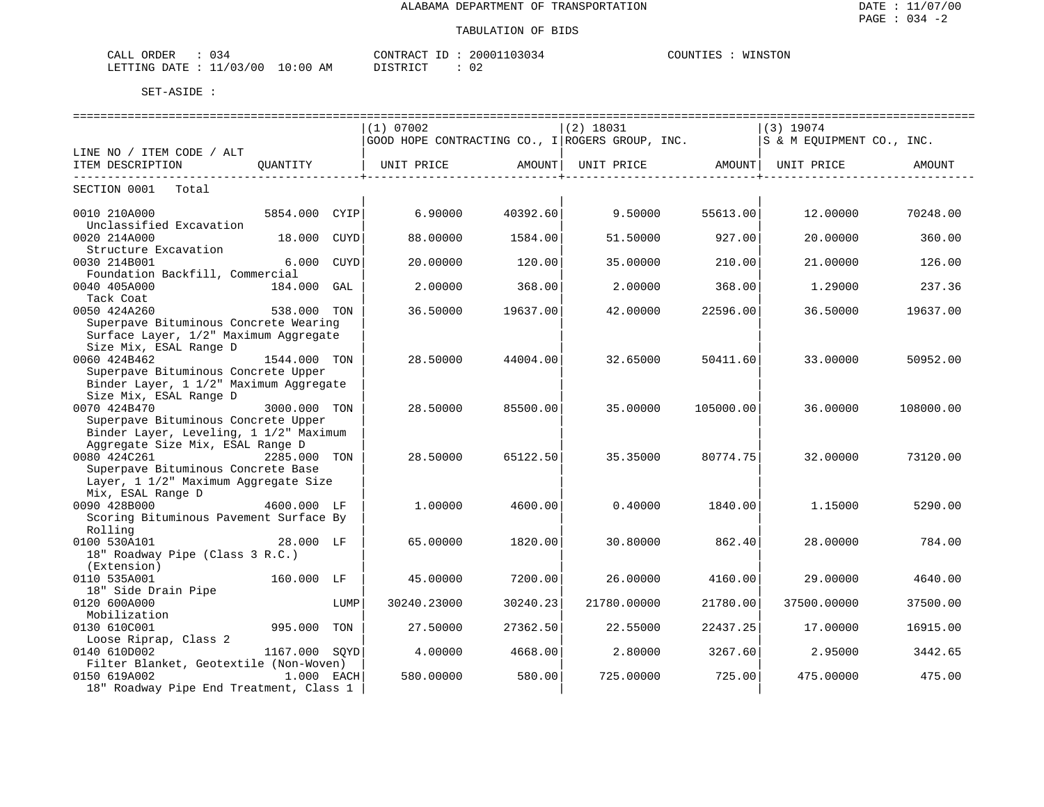| ORDER<br>CALL<br>U34                                                                                                                        | CONTRACT                    | 20001103034 | COUNTIES<br>WINSTON |
|---------------------------------------------------------------------------------------------------------------------------------------------|-----------------------------|-------------|---------------------|
| 11/03/00<br>LETTING DATE<br>the contract of the contract of the contract of the contract of the contract of the contract of the contract of | 10:00<br>AΜ<br>די היה די הי | ◡∠          |                     |

|                                                        |               |      | (1) 07002                                                                     |          | $(2)$ 18031 |           | $(3)$ 19074                           |               |
|--------------------------------------------------------|---------------|------|-------------------------------------------------------------------------------|----------|-------------|-----------|---------------------------------------|---------------|
|                                                        |               |      | GOOD HOPE CONTRACTING CO., I ROGERS GROUP, INC. $ S \& M$ EQUIPMENT CO., INC. |          |             |           |                                       |               |
| LINE NO / ITEM CODE / ALT                              |               |      |                                                                               |          |             |           |                                       |               |
| ITEM DESCRIPTION<br>---------------------------------- | OUANTITY      |      | UNIT PRICE AMOUNT                                                             |          |             |           | UNIT PRICE AMOUNT   UNIT PRICE AMOUNT | _____________ |
| SECTION 0001 Total                                     |               |      |                                                                               |          |             |           |                                       |               |
| 0010 210A000                                           | 5854.000 CYIP |      | 6.90000                                                                       | 40392.60 | 9.50000     | 55613.00  | 12.00000                              | 70248.00      |
| Unclassified Excavation                                |               |      |                                                                               |          |             |           |                                       |               |
| 0020 214A000                                           | 18.000 CUYD   |      | 88,00000                                                                      | 1584.00  | 51.50000    | 927.00    | 20,00000                              | 360.00        |
| Structure Excavation<br>0030 214B001                   | 6.000 CUYD    |      |                                                                               |          |             |           |                                       |               |
|                                                        |               |      | 20.00000                                                                      | 120.00   | 35.00000    | 210.00    | 21.00000                              | 126.00        |
| Foundation Backfill, Commercial                        |               |      |                                                                               |          |             |           |                                       |               |
| 0040 405A000                                           | 184.000 GAL   |      | 2.00000                                                                       | 368.00   | 2,00000     | 368.00    | 1,29000                               | 237.36        |
| Tack Coat                                              |               |      |                                                                               |          |             |           |                                       |               |
| 0050 424A260                                           | 538.000 TON   |      | 36.50000                                                                      | 19637.00 | 42.00000    | 22596.00  | 36.50000                              | 19637.00      |
| Superpave Bituminous Concrete Wearing                  |               |      |                                                                               |          |             |           |                                       |               |
| Surface Layer, 1/2" Maximum Aggregate                  |               |      |                                                                               |          |             |           |                                       |               |
| Size Mix, ESAL Range D                                 |               |      |                                                                               |          |             |           |                                       |               |
| 0060 424B462                                           | 1544.000 TON  |      | 28.50000                                                                      | 44004.00 | 32.65000    | 50411.60  | 33,00000                              | 50952.00      |
| Superpave Bituminous Concrete Upper                    |               |      |                                                                               |          |             |           |                                       |               |
| Binder Layer, 1 1/2" Maximum Aggregate                 |               |      |                                                                               |          |             |           |                                       |               |
| Size Mix, ESAL Range D                                 |               |      |                                                                               |          |             |           |                                       |               |
| 0070 424B470                                           | 3000.000 TON  |      | 28.50000                                                                      | 85500.00 | 35,00000    | 105000.00 | 36.00000                              | 108000.00     |
| Superpave Bituminous Concrete Upper                    |               |      |                                                                               |          |             |           |                                       |               |
| Binder Layer, Leveling, 1 1/2" Maximum                 |               |      |                                                                               |          |             |           |                                       |               |
| Aggregate Size Mix, ESAL Range D                       |               |      |                                                                               |          |             |           |                                       |               |
| 0080 424C261<br>2285.000 TON                           |               |      | 28.50000                                                                      | 65122.50 | 35.35000    | 80774.75  | 32.00000                              | 73120.00      |
| Superpave Bituminous Concrete Base                     |               |      |                                                                               |          |             |           |                                       |               |
| Layer, 1 1/2" Maximum Aggregate Size                   |               |      |                                                                               |          |             |           |                                       |               |
| Mix, ESAL Range D                                      |               |      |                                                                               |          |             |           |                                       |               |
| 0090 428B000                                           | 4600.000 LF   |      | 1,00000                                                                       | 4600.00  | 0.40000     | 1840.00   | 1.15000                               | 5290.00       |
| Scoring Bituminous Pavement Surface By                 |               |      |                                                                               |          |             |           |                                       |               |
| Rolling                                                |               |      |                                                                               |          |             |           |                                       |               |
| 0100 530A101                                           | 28.000 LF     |      | 65.00000                                                                      | 1820.00  | 30.80000    | 862.40    | 28,00000                              | 784.00        |
| 18" Roadway Pipe (Class 3 R.C.)                        |               |      |                                                                               |          |             |           |                                       |               |
| (Extension)                                            |               |      |                                                                               |          |             |           |                                       |               |
| 0110 535A001                                           | 160.000 LF    |      | 45.00000                                                                      | 7200.00  | 26,00000    | 4160.00   | 29,00000                              | 4640.00       |
| 18" Side Drain Pipe                                    |               |      |                                                                               |          |             |           |                                       |               |
| 0120 600A000                                           |               | LUMP | 30240.23000                                                                   | 30240.23 | 21780.00000 | 21780.00  | 37500.00000                           | 37500.00      |
| Mobilization                                           |               |      |                                                                               |          |             |           |                                       |               |
| 0130 610C001                                           | 995.000 TON   |      | 27.50000                                                                      | 27362.50 | 22.55000    | 22437.25  | 17.00000                              | 16915.00      |
| Loose Riprap, Class 2                                  |               |      |                                                                               |          |             |           |                                       |               |
| 0140 610D002                                           | 1167.000 SOYD |      | 4.00000                                                                       | 4668.00  | 2.80000     | 3267.60   | 2.95000                               | 3442.65       |
| Filter Blanket, Geotextile (Non-Woven)                 |               |      |                                                                               |          |             |           |                                       |               |
| 0150 619A002                                           | 1.000 EACH    |      | 580.00000                                                                     | 580.00   | 725,00000   | 725.00    | 475,00000                             | 475.00        |
| 18" Roadway Pipe End Treatment, Class 1                |               |      |                                                                               |          |             |           |                                       |               |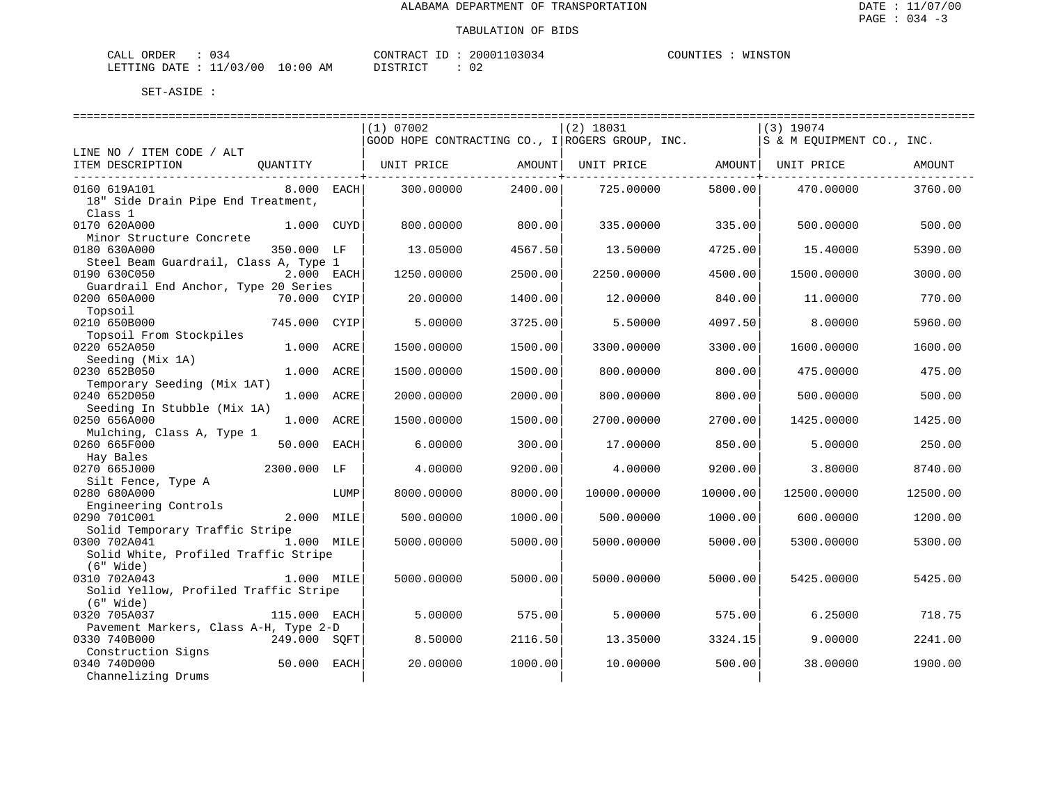| ORDER<br>CALI    | 1 < 0<br>ັ |               | "ONTRACT      |  | 20001103034         | COUNTIES | WINSTON<br>TAT- |
|------------------|------------|---------------|---------------|--|---------------------|----------|-----------------|
| DATE.<br>LETTING | 1/03/00    | LO : 00<br>ΑM | <b>TOMBIO</b> |  | $\sim$ $\sim$<br>∪∠ |          |                 |

|                                       |              |      | (1) 07002                                       |         | $(2)$ 18031 |          | $(3)$ 19074               |          |
|---------------------------------------|--------------|------|-------------------------------------------------|---------|-------------|----------|---------------------------|----------|
|                                       |              |      | GOOD HOPE CONTRACTING CO., I ROGERS GROUP, INC. |         |             |          | S & M EQUIPMENT CO., INC. |          |
| LINE NO / ITEM CODE / ALT             |              |      |                                                 |         |             |          |                           |          |
| ITEM DESCRIPTION                      | QUANTITY     |      | UNIT PRICE                                      | AMOUNT  | UNIT PRICE  |          | AMOUNT  UNIT PRICE        | AMOUNT   |
|                                       |              |      |                                                 |         |             |          |                           |          |
| 0160 619A101                          | $8.000$ EACH |      | 300.00000                                       | 2400.00 | 725.00000   | 5800.00  | 470.00000                 | 3760.00  |
| 18" Side Drain Pipe End Treatment,    |              |      |                                                 |         |             |          |                           |          |
| Class 1                               |              |      |                                                 |         |             |          |                           |          |
| 0170 620A000                          | 1.000 CUYD   |      | 800,00000                                       | 800.00  | 335.00000   | 335.00   | 500.00000                 | 500.00   |
| Minor Structure Concrete              |              |      |                                                 |         |             |          |                           |          |
| 0180 630A000                          | 350.000 LF   |      | 13.05000                                        | 4567.50 | 13.50000    | 4725.00  | 15.40000                  | 5390.00  |
| Steel Beam Guardrail, Class A, Type 1 |              |      |                                                 |         |             |          |                           |          |
| 0190 630C050                          | 2.000 EACH   |      | 1250.00000                                      | 2500.00 | 2250.00000  | 4500.00  | 1500.00000                | 3000.00  |
| Guardrail End Anchor, Type 20 Series  |              |      |                                                 |         |             |          |                           |          |
| 0200 650A000                          | 70.000 CYIP  |      | 20.00000                                        | 1400.00 | 12.00000    | 840.00   | 11.00000                  | 770.00   |
| Topsoil                               |              |      |                                                 |         |             |          |                           |          |
| 0210 650B000                          | 745.000      | CYIP | 5.00000                                         | 3725.00 | 5.50000     | 4097.50  | 8.00000                   | 5960.00  |
| Topsoil From Stockpiles               |              |      |                                                 |         |             |          |                           |          |
| 0220 652A050                          | 1.000 ACRE   |      | 1500.00000                                      | 1500.00 | 3300.00000  | 3300.00  | 1600.00000                | 1600.00  |
| Seeding (Mix 1A)                      |              |      |                                                 |         |             |          |                           |          |
| 0230 652B050                          | 1.000 ACRE   |      | 1500.00000                                      | 1500.00 | 800.00000   | 800.00   | 475.00000                 | 475.00   |
| Temporary Seeding (Mix 1AT)           |              |      |                                                 |         |             |          |                           |          |
| 0240 652D050                          | 1.000 ACRE   |      | 2000.00000                                      | 2000.00 | 800.00000   | 800.00   | 500.00000                 | 500.00   |
| Seeding In Stubble (Mix 1A)           |              |      |                                                 |         |             |          |                           |          |
| 0250 656A000                          | 1.000 ACRE   |      | 1500.00000                                      | 1500.00 | 2700.00000  | 2700.00  | 1425.00000                | 1425.00  |
| Mulching, Class A, Type 1             |              |      |                                                 |         |             |          |                           |          |
| 0260 665F000                          | 50.000       | EACH | 6.00000                                         | 300.00  | 17.00000    | 850.00   | 5.00000                   | 250.00   |
| Hay Bales                             |              |      |                                                 |         |             |          |                           |          |
| 0270 665J000                          | 2300.000 LF  |      | 4.00000                                         | 9200.00 | 4.00000     | 9200.00  | 3.80000                   | 8740.00  |
| Silt Fence, Type A                    |              |      |                                                 |         |             |          |                           |          |
| 0280 680A000                          |              | LUMP | 8000.00000                                      | 8000.00 | 10000.00000 | 10000.00 | 12500.00000               | 12500.00 |
| Engineering Controls                  |              |      |                                                 |         |             |          |                           |          |
| 0290 701C001                          | 2.000 MILE   |      | 500.00000                                       | 1000.00 | 500.00000   | 1000.00  | 600.00000                 | 1200.00  |
| Solid Temporary Traffic Stripe        |              |      |                                                 |         |             |          |                           |          |
| 0300 702A041                          | 1.000 MILE   |      | 5000.00000                                      | 5000.00 | 5000.00000  | 5000.00  | 5300.00000                | 5300.00  |
| Solid White, Profiled Traffic Stripe  |              |      |                                                 |         |             |          |                           |          |
| $(6"$ Wide)                           |              |      |                                                 |         |             |          |                           |          |
| 0310 702A043                          | 1.000 MILE   |      | 5000.00000                                      | 5000.00 | 5000.00000  | 5000.00  | 5425.00000                | 5425.00  |
| Solid Yellow, Profiled Traffic Stripe |              |      |                                                 |         |             |          |                           |          |
| $(6"$ Wide)                           |              |      |                                                 |         |             |          |                           |          |
| 0320 705A037                          | 115.000 EACH |      | 5.00000                                         | 575.00  | 5.00000     | 575.00   | 6.25000                   | 718.75   |
| Pavement Markers, Class A-H, Type 2-D |              |      |                                                 |         |             |          |                           |          |
| 0330 740B000                          | 249.000 SOFT |      | 8.50000                                         | 2116.50 | 13.35000    | 3324.15  | 9.00000                   | 2241.00  |
| Construction Signs                    |              |      |                                                 |         |             |          |                           |          |
| 0340 740D000                          | 50.000 EACH  |      | 20.00000                                        | 1000.00 | 10.00000    | 500.00   | 38,00000                  | 1900.00  |
| Channelizing Drums                    |              |      |                                                 |         |             |          |                           |          |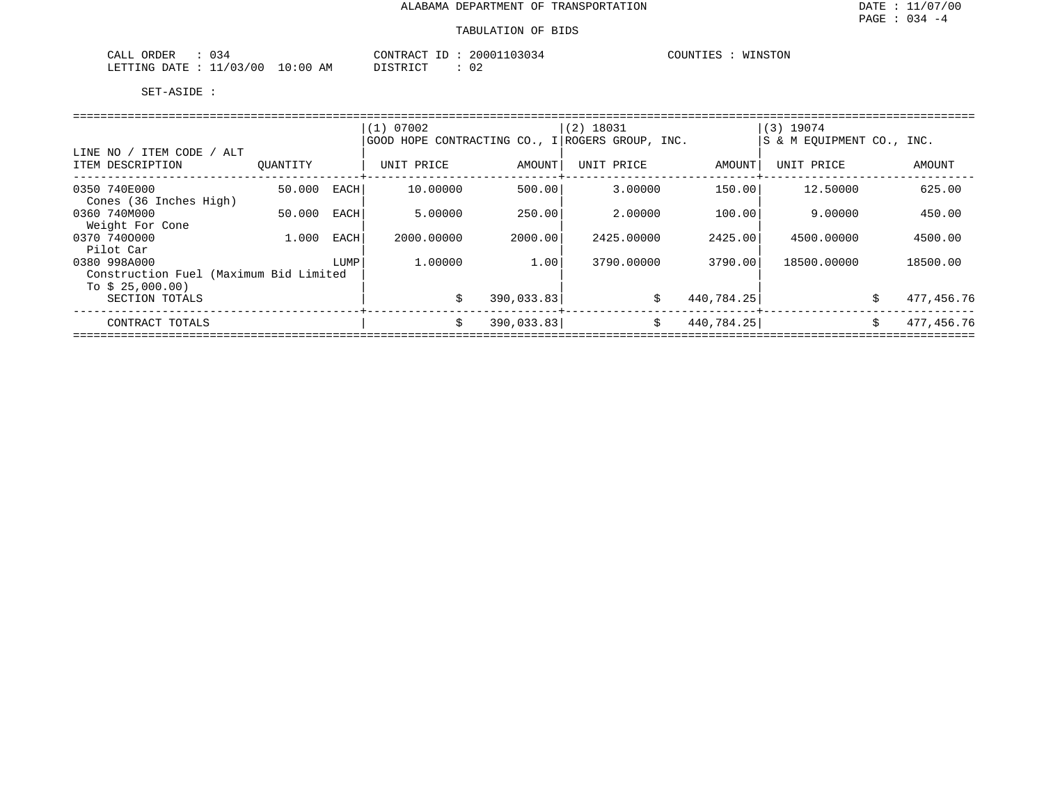| $\sim$ $\sim$<br>ORDER<br>CALL<br>- 34 | CONTRACT                                    | 20001103034<br>ID | COUNTIES<br>WINSTON |
|----------------------------------------|---------------------------------------------|-------------------|---------------------|
| 11/03/00<br>LETTING<br>DATE            | 10:00<br>חי הדפידי פות<br>ΑM<br>. - - - - - | $\sim$<br>∪∠      |                     |

|                                                                     |          |       | (1) 07002<br>GOOD HOPE CONTRACTING CO., I ROGERS GROUP, INC. |            | $(2)$ 18031 |            | $(3)$ 19074<br>S & M EOUIPMENT CO., INC. |    |            |  |  |  |
|---------------------------------------------------------------------|----------|-------|--------------------------------------------------------------|------------|-------------|------------|------------------------------------------|----|------------|--|--|--|
| LINE NO / ITEM CODE / ALT<br>ITEM DESCRIPTION                       | OUANTITY |       | UNIT PRICE                                                   | AMOUNT     | UNIT PRICE  | AMOUNT     | UNIT PRICE                               |    | AMOUNT     |  |  |  |
| 0350 740E000                                                        | 50.000   | EACHI | 10.00000                                                     | 500.00     | 3.00000     | 150.001    | 12.50000                                 |    | 625.00     |  |  |  |
| Cones (36 Inches High)<br>0360 740M000<br>Weight For Cone           | 50.000   | EACH  | 5.00000                                                      | 250.00     | 2,00000     | 100.00     | 9.00000                                  |    | 450.00     |  |  |  |
| 0370 7400000                                                        | 1,000    | EACH  | 2000.00000                                                   | 2000.00    | 2425.00000  | 2425.00    | 4500.00000                               |    | 4500.00    |  |  |  |
| Pilot Car<br>0380 998A000<br>Construction Fuel (Maximum Bid Limited |          | LUMP  | 1,00000                                                      | 1.00       | 3790.00000  | 3790.00    | 18500.00000                              |    | 18500.00   |  |  |  |
| To $$25,000.00)$<br>SECTION TOTALS                                  |          |       | Ŝ.                                                           | 390,033.83 | Ŝ.          | 440,784.25 |                                          | Ŝ. | 477,456.76 |  |  |  |
| CONTRACT TOTALS                                                     |          |       | Ŝ.                                                           | 390,033.83 | \$          | 440,784.25 |                                          | Ŝ. | 477,456.76 |  |  |  |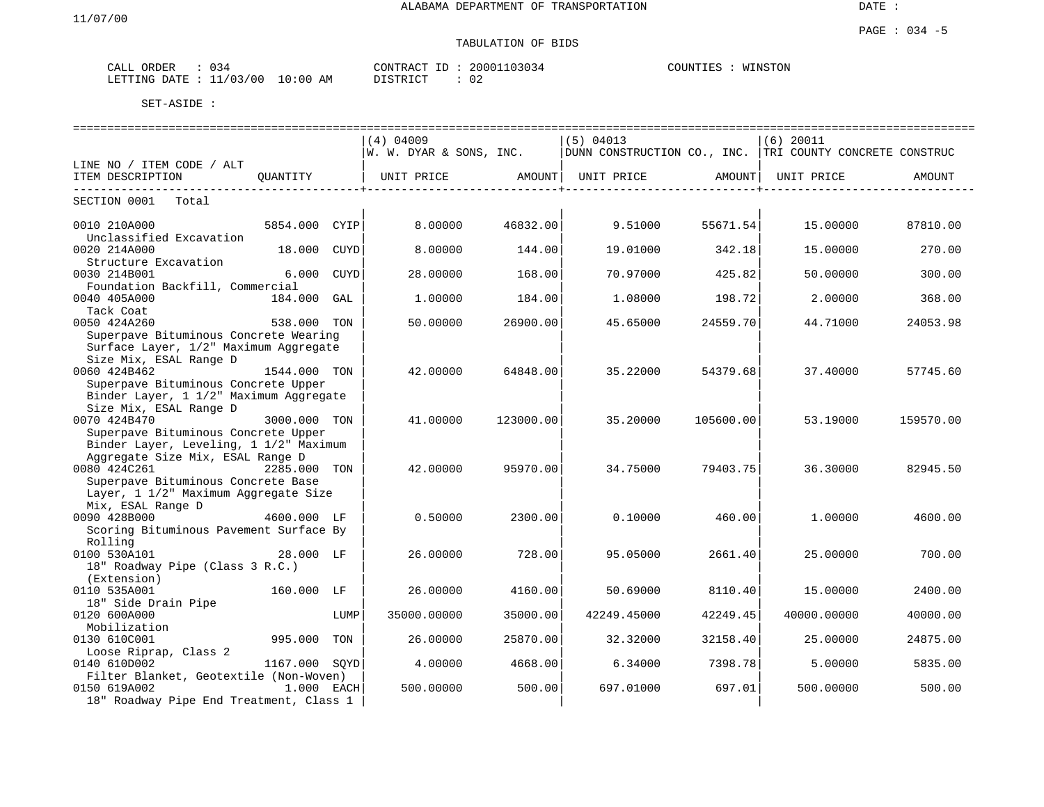DATE :

#### PAGE : 034 -5 TABULATION OF BIDS

| ORDER<br>ىلىل                  | $\sim$ 4<br>. |            | $ -$<br>חידא∩י<br>$\sim$ $\sim$<br>KAL. | $\circ$ $\circ$ $\circ$<br>2000<br>؛ د ∪ د. | COUNTIES<br>WINSTON<br>. <del>. .</del> |
|--------------------------------|---------------|------------|-----------------------------------------|---------------------------------------------|-----------------------------------------|
| ARTTING.<br>$\Lambda$ $\Gamma$ | 'nr           | AΜ<br>: 00 | r amp <del>r</del> am                   | ◡▵                                          |                                         |

|                                         |               |             | $(4)$ 04009                          |           | (5) 04013                                                |           | $(6)$ 20011 |           |
|-----------------------------------------|---------------|-------------|--------------------------------------|-----------|----------------------------------------------------------|-----------|-------------|-----------|
|                                         |               |             | W. W. DYAR & SONS, INC.              |           | DUNN CONSTRUCTION CO., INC. TRI COUNTY CONCRETE CONSTRUC |           |             |           |
| LINE NO / ITEM CODE / ALT               |               |             |                                      |           |                                                          |           |             |           |
| ITEM DESCRIPTION                        | OUANTITY      |             | UNIT PRICE AMOUNT  UNIT PRICE AMOUNT |           |                                                          |           | UNIT PRICE  | AMOUNT    |
| SECTION 0001<br>Total                   |               |             |                                      |           |                                                          |           |             |           |
| 0010 210A000                            | 5854.000 CYIP |             | 8.00000                              | 46832.00  | 9.51000                                                  | 55671.54  | 15.00000    | 87810.00  |
| Unclassified Excavation                 |               |             |                                      |           |                                                          |           |             |           |
| 0020 214A000<br>Structure Excavation    | 18.000 CUYD   |             | 8,00000                              | 144.00    | 19.01000                                                 | 342.18    | 15.00000    | 270.00    |
| 0030 214B001                            | 6.000         | <b>CUYD</b> | 28.00000                             | 168.00    | 70.97000                                                 | 425.82    | 50.00000    | 300.00    |
| Foundation Backfill, Commercial         |               |             |                                      |           |                                                          |           |             |           |
| 0040 405A000                            | 184.000 GAL   |             | 1,00000                              | 184.00    | 1,08000                                                  | 198.72    | 2.00000     | 368.00    |
| Tack Coat                               |               |             |                                      |           |                                                          |           |             |           |
| 0050 424A260                            | 538.000 TON   |             | 50.00000                             | 26900.00  | 45.65000                                                 | 24559.70  | 44.71000    | 24053.98  |
| Superpave Bituminous Concrete Wearing   |               |             |                                      |           |                                                          |           |             |           |
| Surface Layer, 1/2" Maximum Aggregate   |               |             |                                      |           |                                                          |           |             |           |
| Size Mix, ESAL Range D                  |               |             |                                      |           |                                                          |           |             |           |
| 0060 424B462                            | 1544.000 TON  |             | 42.00000                             | 64848.00  | 35.22000                                                 | 54379.68  | 37.40000    | 57745.60  |
| Superpave Bituminous Concrete Upper     |               |             |                                      |           |                                                          |           |             |           |
| Binder Layer, 1 1/2" Maximum Aggregate  |               |             |                                      |           |                                                          |           |             |           |
| Size Mix, ESAL Range D                  |               |             |                                      |           |                                                          |           |             |           |
| 0070 424B470                            | 3000.000 TON  |             | 41,00000                             | 123000.00 | 35.20000                                                 | 105600.00 | 53.19000    | 159570.00 |
| Superpave Bituminous Concrete Upper     |               |             |                                      |           |                                                          |           |             |           |
| Binder Layer, Leveling, 1 1/2" Maximum  |               |             |                                      |           |                                                          |           |             |           |
| Aggregate Size Mix, ESAL Range D        |               |             |                                      |           |                                                          |           |             |           |
| 0080 424C261<br>2285.000 TON            |               |             | 42.00000                             | 95970.00  | 34.75000                                                 | 79403.75  | 36.30000    | 82945.50  |
| Superpave Bituminous Concrete Base      |               |             |                                      |           |                                                          |           |             |           |
| Layer, 1 1/2" Maximum Aggregate Size    |               |             |                                      |           |                                                          |           |             |           |
| Mix, ESAL Range D                       |               |             |                                      |           |                                                          |           |             |           |
| 0090 428B000                            | 4600.000 LF   |             | 0.50000                              | 2300.00   | 0.10000                                                  | 460.00    | 1,00000     | 4600.00   |
| Scoring Bituminous Pavement Surface By  |               |             |                                      |           |                                                          |           |             |           |
| Rolling                                 |               |             |                                      |           |                                                          |           |             |           |
| 0100 530A101                            | 28.000 LF     |             | 26.00000                             | 728.00    | 95.05000                                                 | 2661.40   | 25.00000    | 700.00    |
| 18" Roadway Pipe (Class 3 R.C.)         |               |             |                                      |           |                                                          |           |             |           |
| (Extension)                             |               |             |                                      |           |                                                          |           |             |           |
| 0110 535A001                            | 160.000 LF    |             | 26.00000                             | 4160.00   | 50.69000                                                 | 8110.40   | 15,00000    | 2400.00   |
| 18" Side Drain Pipe                     |               |             |                                      |           |                                                          |           |             |           |
| 0120 600A000                            |               | LUMP        | 35000.00000                          | 35000.00  | 42249.45000                                              | 42249.45  | 40000.00000 | 40000.00  |
| Mobilization                            |               |             |                                      |           |                                                          |           |             |           |
| 0130 610C001                            | 995.000 TON   |             | 26.00000                             | 25870.00  | 32.32000                                                 | 32158.40  | 25.00000    | 24875.00  |
| Loose Riprap, Class 2                   |               |             |                                      |           |                                                          |           |             |           |
| 0140 610D002                            | 1167.000 SOYD |             | 4.00000                              | 4668.00   | 6.34000                                                  | 7398.781  | 5.00000     | 5835.00   |
| Filter Blanket, Geotextile (Non-Woven)  |               |             |                                      |           |                                                          |           |             |           |
| 0150 619A002                            | 1.000 EACH    |             | 500.00000                            | 500.00    | 697.01000                                                | 697.01    | 500.00000   | 500.00    |
| 18" Roadway Pipe End Treatment, Class 1 |               |             |                                      |           |                                                          |           |             |           |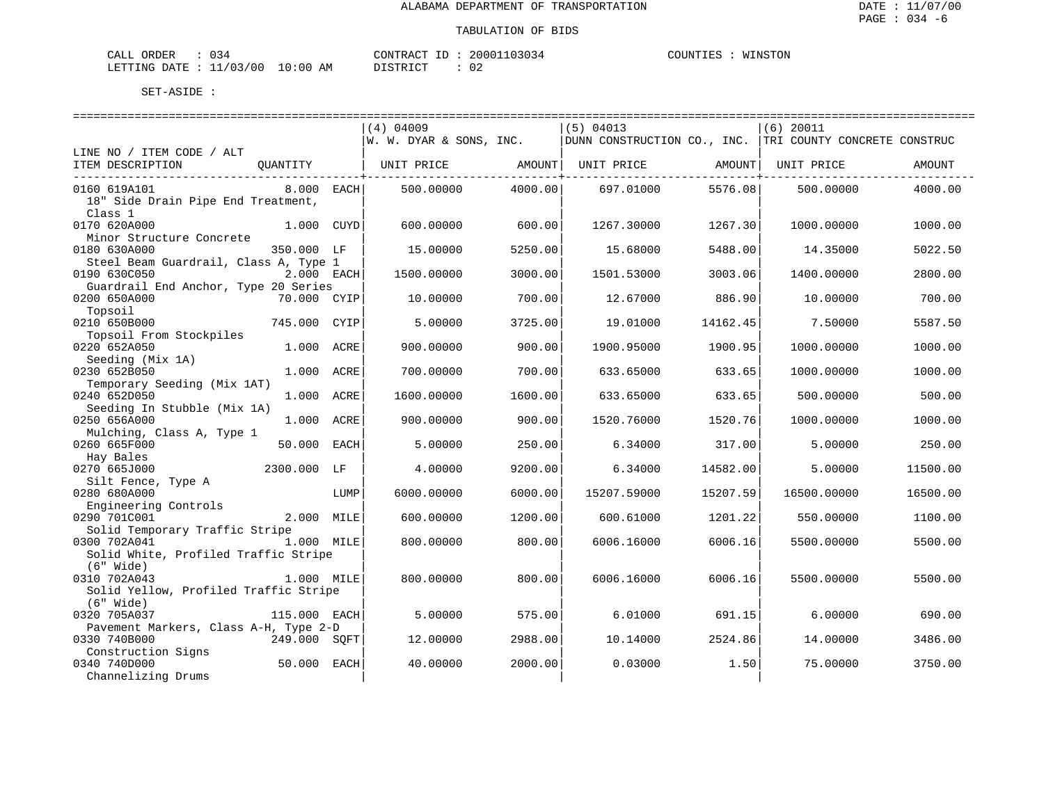| ORDER<br>CALI    | 1 < 0<br>ັ |               | "ONTRACT      |  | 20001103034         | COUNTIES | WINSTON<br>TAT- |
|------------------|------------|---------------|---------------|--|---------------------|----------|-----------------|
| DATE.<br>LETTING | 1/03/00    | LO : 00<br>ΑM | <b>TOMBIO</b> |  | $\sim$ $\sim$<br>∪∠ |          |                 |

|                                           | ============================== |                          | ================================      |                           | =========================                                |          |
|-------------------------------------------|--------------------------------|--------------------------|---------------------------------------|---------------------------|----------------------------------------------------------|----------|
|                                           | $(4)$ 04009                    |                          | $(5)$ 04013                           |                           | $(6)$ 20011                                              |          |
|                                           | W. W. DYAR & SONS, INC.        |                          |                                       |                           | DUNN CONSTRUCTION CO., INC. TRI COUNTY CONCRETE CONSTRUC |          |
| LINE NO / ITEM CODE / ALT                 |                                |                          |                                       |                           |                                                          |          |
| ITEM DESCRIPTION<br>QUANTITY   UNIT PRICE |                                |                          | AMOUNT  UNIT PRICE AMOUNT  UNIT PRICE |                           |                                                          | AMOUNT   |
| 0160 619A101<br>8.000 EACH                | 500.00000                      | -----------+-<br>4000.00 | 697.01000                             | ------------+-<br>5576.08 | 500.00000                                                | 4000.00  |
| 18" Side Drain Pipe End Treatment,        |                                |                          |                                       |                           |                                                          |          |
| Class 1                                   |                                |                          |                                       |                           |                                                          |          |
| 0170 620A000<br>1.000 CUYD                | 600.00000                      | 600.00                   | 1267.30000                            | 1267.30                   | 1000.00000                                               | 1000.00  |
| Minor Structure Concrete                  |                                |                          |                                       |                           |                                                          |          |
| 0180 630A000<br>350.000 LF                | 15.00000                       | 5250.00                  | 15.68000                              | 5488.00                   | 14.35000                                                 | 5022.50  |
| Steel Beam Guardrail, Class A, Type 1     |                                |                          |                                       |                           |                                                          |          |
| 0190 630C050<br>2.000 EACH                |                                |                          |                                       |                           |                                                          |          |
|                                           | 1500.00000                     | 3000.00                  | 1501.53000                            | 3003.06                   | 1400.00000                                               | 2800.00  |
| Guardrail End Anchor, Type 20 Series      |                                |                          |                                       |                           |                                                          |          |
| 0200 650A000<br>70.000 CYIP               | 10.00000                       | 700.00                   | 12.67000                              | 886.90                    | 10.00000                                                 | 700.00   |
| Topsoil                                   |                                |                          |                                       |                           |                                                          |          |
| 0210 650B000<br>745.000 CYIP              | 5.00000                        | 3725.00                  | 19.01000                              | 14162.45                  | 7.50000                                                  | 5587.50  |
| Topsoil From Stockpiles                   |                                |                          |                                       |                           |                                                          |          |
| 0220 652A050<br>1.000 ACRE                | 900.00000                      | 900.00                   | 1900.95000                            | 1900.95                   | 1000.00000                                               | 1000.00  |
| Seeding (Mix 1A)                          |                                |                          |                                       |                           |                                                          |          |
| 0230 652B050<br>1.000 ACRE                | 700.00000                      | 700.001                  | 633.65000                             | 633.65                    | 1000.00000                                               | 1000.00  |
| Temporary Seeding (Mix 1AT)               |                                |                          |                                       |                           |                                                          |          |
| 0240 652D050<br>1.000 ACRE                | 1600.00000                     | 1600.00                  | 633.65000                             | 633.65                    | 500.00000                                                | 500.00   |
| Seeding In Stubble (Mix 1A)               |                                |                          |                                       |                           |                                                          |          |
| 0250 656A000<br>1.000 ACRE                | 900.00000                      | 900.00                   | 1520.76000                            | 1520.76                   | 1000.00000                                               | 1000.00  |
| Mulching, Class A, Type 1                 |                                |                          |                                       |                           |                                                          |          |
| 0260 665F000<br>50.000 EACH               | 5.00000                        | 250.00                   | 6.34000                               | 317.00                    | 5.00000                                                  | 250.00   |
| Hay Bales                                 |                                |                          |                                       |                           |                                                          |          |
| 0270 665J000<br>2300.000 LF               | 4.00000                        | 9200.00                  | 6.34000                               | 14582.00                  | 5.00000                                                  | 11500.00 |
| Silt Fence, Type A                        |                                |                          |                                       |                           |                                                          |          |
| 0280 680A000<br>LUMP                      | 6000.00000                     | 6000.00                  | 15207.59000                           | 15207.59                  | 16500.00000                                              | 16500.00 |
| Engineering Controls                      |                                |                          |                                       |                           |                                                          |          |
| 0290 701C001<br>2.000 MILE                | 600.00000                      | 1200.00                  | 600.61000                             | 1201.22                   | 550.00000                                                | 1100.00  |
| Solid Temporary Traffic Stripe            |                                |                          |                                       |                           |                                                          |          |
| $1.000$ MILE<br>0300 702A041              | 800,00000                      | 800.00                   | 6006.16000                            | 6006.16                   | 5500.00000                                               | 5500.00  |
| Solid White, Profiled Traffic Stripe      |                                |                          |                                       |                           |                                                          |          |
| $(6"$ Wide)                               |                                |                          |                                       |                           |                                                          |          |
| 0310 702A043<br>1.000 MILE                | 800,00000                      | 800.00                   | 6006.16000                            | 6006.16                   | 5500.00000                                               | 5500.00  |
| Solid Yellow, Profiled Traffic Stripe     |                                |                          |                                       |                           |                                                          |          |
| $(6"$ Wide)                               |                                |                          |                                       |                           |                                                          |          |
| 0320 705A037<br>115.000 EACH              | 5,00000                        | 575.00                   | 6.01000                               | 691.15                    | 6,00000                                                  | 690.00   |
| Pavement Markers, Class A-H, Type 2-D     |                                |                          |                                       |                           |                                                          |          |
| 0330 740B000<br>249.000 SOFT              |                                | 2988.00                  |                                       | 2524.86                   | 14.00000                                                 |          |
|                                           | 12.00000                       |                          | 10.14000                              |                           |                                                          | 3486.00  |
| Construction Signs                        |                                |                          |                                       |                           |                                                          |          |
| 0340 740D000<br>50.000 EACH               | 40.00000                       | 2000.00                  | 0.03000                               | 1.50                      | 75.00000                                                 | 3750.00  |
| Channelizing Drums                        |                                |                          |                                       |                           |                                                          |          |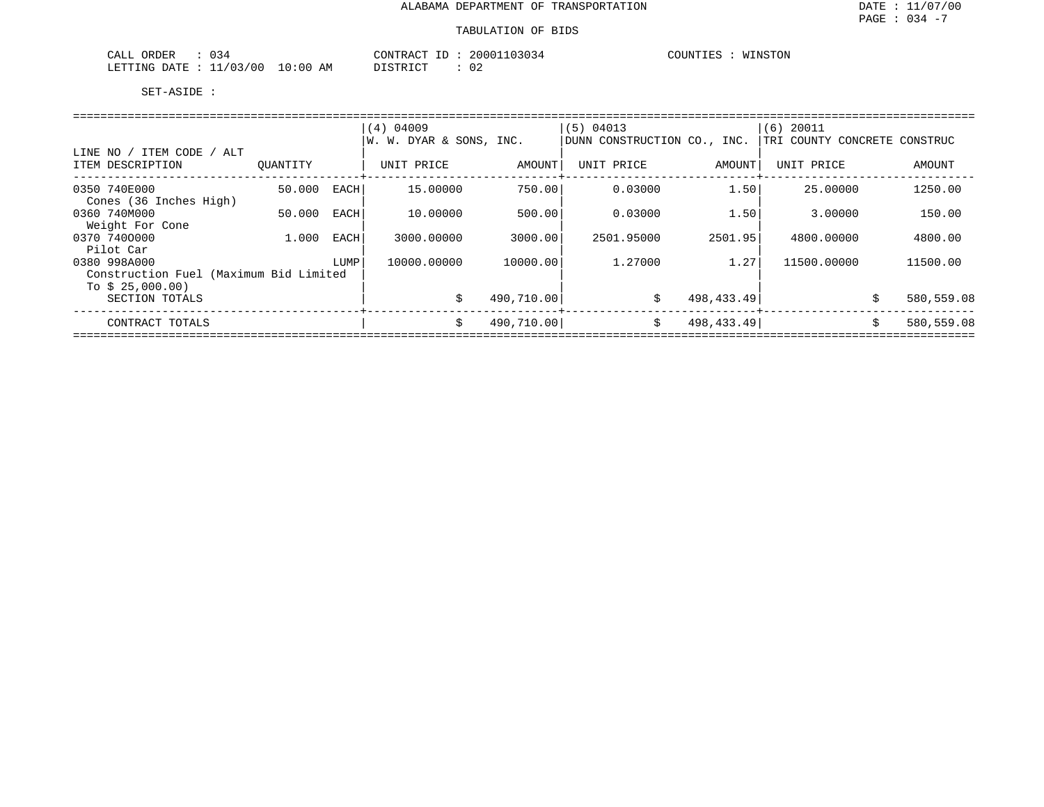#### TABULATION OF BIDS

| ORDER<br>CALL<br>034    |             | CONTRACT ID | 20001103034 | COUNTIES<br>WINSTON<br>T OTA |
|-------------------------|-------------|-------------|-------------|------------------------------|
| LETTING DATE : 11/03/00 | 10:00<br>AM | DISTRICT    |             |                              |

|                                               |          |      | $(4)$ 04009             |            | (5) 04013                   |            | 20011<br>(6)                 |            |  |  |  |  |
|-----------------------------------------------|----------|------|-------------------------|------------|-----------------------------|------------|------------------------------|------------|--|--|--|--|
|                                               |          |      | W. W. DYAR & SONS, INC. |            | DUNN CONSTRUCTION CO., INC. |            | TRI COUNTY CONCRETE CONSTRUC |            |  |  |  |  |
| LINE NO / ITEM CODE / ALT<br>ITEM DESCRIPTION | OUANTITY |      | UNIT PRICE              | AMOUNT     | UNIT PRICE                  | AMOUNT     | UNIT PRICE                   | AMOUNT     |  |  |  |  |
|                                               |          |      |                         |            |                             |            |                              |            |  |  |  |  |
| 0350 740E000                                  | 50.000   | EACH | 15,00000                | 750.00     | 0.03000                     | 1.50       | 25.00000                     | 1250.00    |  |  |  |  |
| Cones (36 Inches High)                        |          |      |                         |            |                             |            |                              |            |  |  |  |  |
| 0360 740M000                                  | 50.000   | EACH | 10.00000                | 500.00     | 0.03000                     | 1.50       | 3.00000                      | 150.00     |  |  |  |  |
| Weight For Cone                               |          |      |                         |            |                             |            |                              |            |  |  |  |  |
| 0370 7400000                                  | 1,000    | EACH | 3000.00000              | 3000.00    | 2501.95000                  | 2501.95    | 4800,00000                   | 4800.00    |  |  |  |  |
| Pilot Car                                     |          |      |                         |            |                             |            |                              |            |  |  |  |  |
| 0380 998A000                                  |          | LUMP | 10000.00000             | 10000.00   | 1,27000                     | 1.27       | 11500.00000                  | 11500.00   |  |  |  |  |
| Construction Fuel (Maximum Bid Limited        |          |      |                         |            |                             |            |                              |            |  |  |  |  |
| To $$25,000.00)$                              |          |      |                         |            |                             |            |                              |            |  |  |  |  |
| SECTION TOTALS                                |          |      | Ŝ.                      | 490,710.00 | \$                          | 498,433.49 | \$                           | 580,559.08 |  |  |  |  |
|                                               |          |      |                         |            |                             |            |                              |            |  |  |  |  |
| CONTRACT TOTALS                               |          |      | \$                      | 490,710.00 | \$                          | 498,433.49 | Ŝ.                           | 580,559.08 |  |  |  |  |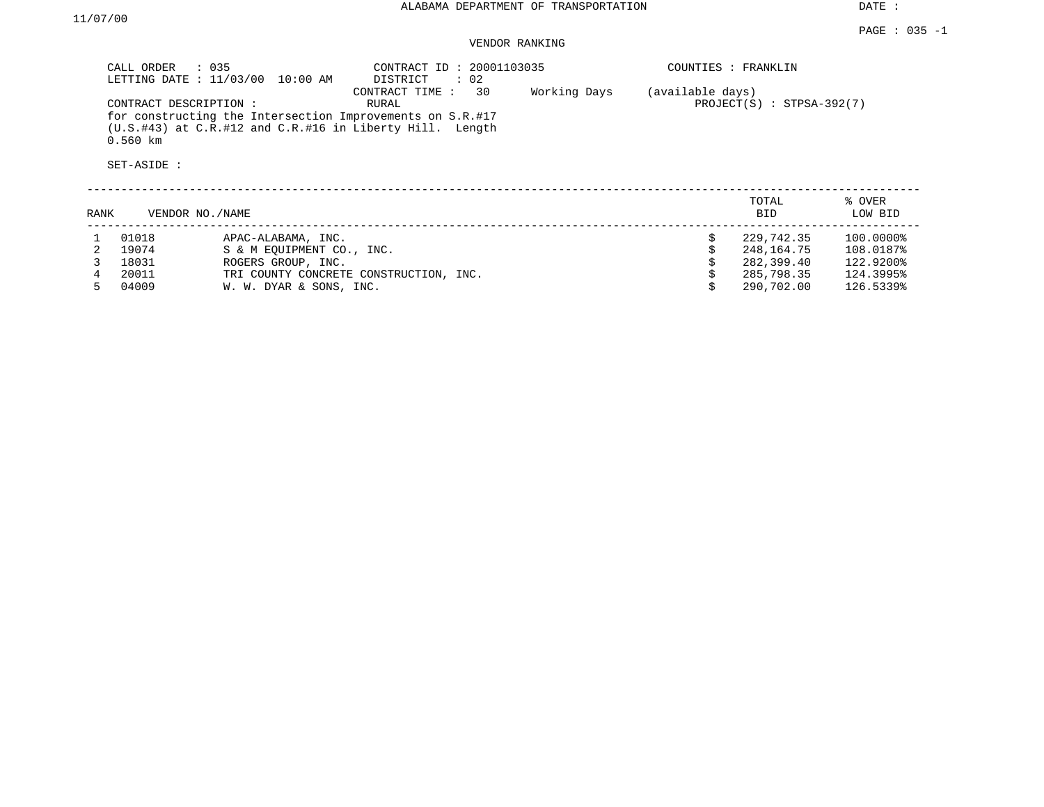DATE :

## VENDOR RANKING

| $\therefore$ 035<br>CALL ORDER<br>LETTING DATE : $11/03/00$<br>10:00 AM                                                                                               | CONTRACT ID: 20001103035<br>$\therefore$ 02<br>DISTRICT |              | COUNTIES : FRANKLIN |                             |
|-----------------------------------------------------------------------------------------------------------------------------------------------------------------------|---------------------------------------------------------|--------------|---------------------|-----------------------------|
| CONTRACT DESCRIPTION:<br>for constructing the Intersection Improvements on S.R.#17<br>$(U.S. #43)$ at $C.R. #12$ and $C.R. #16$ in Liberty Hill. Length<br>$0.560$ km | 30<br>CONTRACT TIME:<br>RURAL                           | Working Days | (available days)    | $PROJECT(S)$ : STPSA-392(7) |
| SET-ASIDE :                                                                                                                                                           |                                                         |              |                     |                             |
|                                                                                                                                                                       |                                                         |              | TOTAL               | % OVER                      |

| RANK | VENDOR NO./NAME |                                        | <b>BID</b> | LOW BID   |
|------|-----------------|----------------------------------------|------------|-----------|
|      | 01018           | APAC-ALABAMA, INC.                     | 229,742.35 | 100.0000% |
|      | 19074           | S & M EOUIPMENT CO., INC.              | 248,164.75 | 108.0187% |
|      | 18031           | ROGERS GROUP, INC.                     | 282,399.40 | 122.9200% |
|      | 20011           | TRI COUNTY CONCRETE CONSTRUCTION, INC. | 285,798.35 | 124.3995% |
|      | 04009           | W. W. DYAR & SONS, INC.                | 290,702.00 | 126.5339% |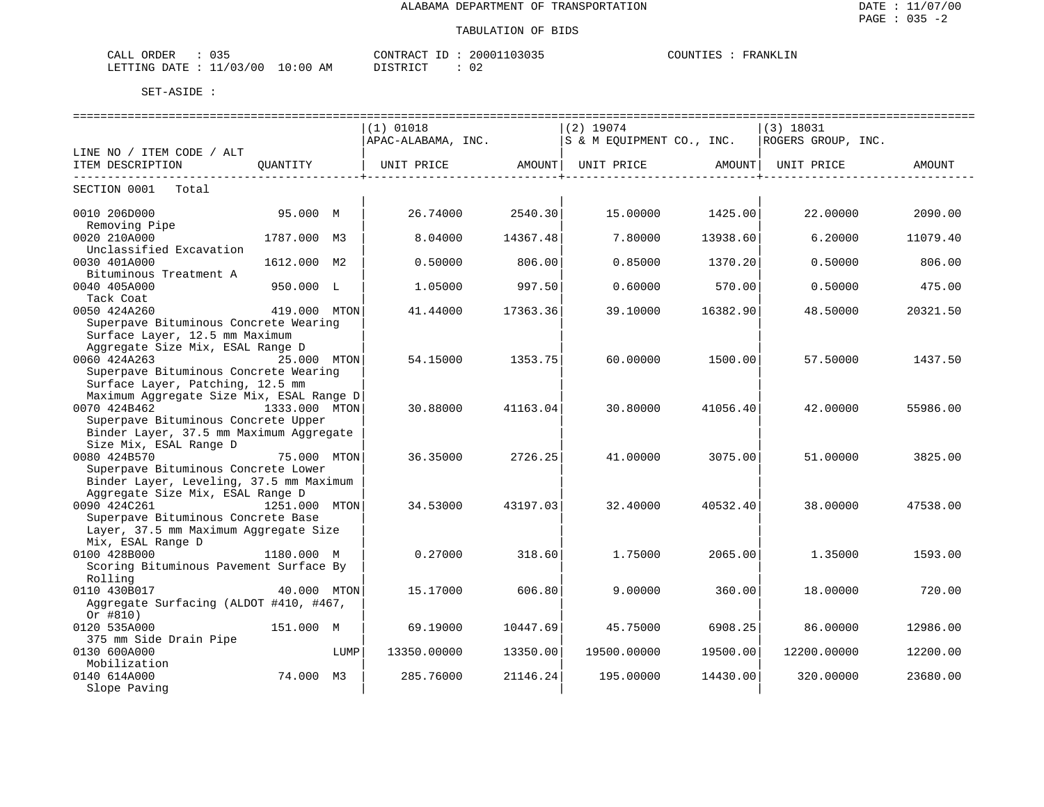| ORDER<br>$\sqrt{ }$<br>ىىسى<br><u>- - -</u>                            |                       | $- -$<br>חידונר | 2000<br>. | COLINT.<br><b> </b><br>′ △ |
|------------------------------------------------------------------------|-----------------------|-----------------|-----------|----------------------------|
| ٬ ∩ ا<br>$\sim$ $\sim$<br><b>DEED TNO</b><br>Δר<br>NIC.<br>. н<br>____ | AM<br>(10)<br>$\cdot$ | $-$             | ◡▵        |                            |

|                                                    |               |      | $(1)$ 01018        |          | $(2)$ 19074               |          | $(3)$ 18031        |          |
|----------------------------------------------------|---------------|------|--------------------|----------|---------------------------|----------|--------------------|----------|
|                                                    |               |      | APAC-ALABAMA, INC. |          | S & M EQUIPMENT CO., INC. |          | ROGERS GROUP, INC. |          |
| LINE NO / ITEM CODE / ALT                          |               |      |                    |          |                           |          |                    |          |
| ITEM DESCRIPTION                                   | OUANTITY      |      | UNIT PRICE         | AMOUNT   | UNIT PRICE                | AMOUNT   | UNIT PRICE         | AMOUNT   |
| SECTION 0001 Total                                 |               |      |                    |          |                           |          |                    |          |
| 0010 206D000                                       | 95.000 M      |      | 26.74000           | 2540.30  | 15.00000                  | 1425.00  | 22.00000           | 2090.00  |
| Removing Pipe                                      |               |      |                    |          |                           |          |                    |          |
| 0020 210A000                                       | 1787.000 M3   |      | 8.04000            | 14367.48 | 7.80000                   | 13938.60 | 6.20000            | 11079.40 |
| Unclassified Excavation<br>0030 401A000            | 1612.000 M2   |      | 0.50000            | 806.00   | 0.85000                   | 1370.20  | 0.50000            | 806.00   |
| Bituminous Treatment A                             |               |      |                    |          |                           |          |                    |          |
| 0040 405A000                                       | 950.000 L     |      | 1.05000            | 997.50   | 0.60000                   | 570.00   | 0.50000            | 475.00   |
| Tack Coat                                          |               |      |                    |          |                           |          |                    |          |
| 0050 424A260                                       | 419.000 MTON  |      | 41.44000           | 17363.36 | 39.10000                  | 16382.90 | 48.50000           | 20321.50 |
| Superpave Bituminous Concrete Wearing              |               |      |                    |          |                           |          |                    |          |
| Surface Layer, 12.5 mm Maximum                     |               |      |                    |          |                           |          |                    |          |
| Aggregate Size Mix, ESAL Range D                   |               |      |                    |          |                           |          |                    |          |
| 0060 424A263                                       | 25.000 MTON   |      | 54.15000           | 1353.75  | 60.00000                  | 1500.00  | 57.50000           | 1437.50  |
| Superpave Bituminous Concrete Wearing              |               |      |                    |          |                           |          |                    |          |
| Surface Layer, Patching, 12.5 mm                   |               |      |                    |          |                           |          |                    |          |
| Maximum Aggregate Size Mix, ESAL Range D           |               |      |                    |          |                           |          |                    |          |
| 0070 424B462<br>1333.000 MTON                      |               |      | 30.88000           | 41163.04 | 30.80000                  | 41056.40 | 42.00000           | 55986.00 |
| Superpave Bituminous Concrete Upper                |               |      |                    |          |                           |          |                    |          |
| Binder Layer, 37.5 mm Maximum Aggregate            |               |      |                    |          |                           |          |                    |          |
| Size Mix, ESAL Range D                             |               |      |                    |          |                           |          |                    |          |
| 0080 424B570                                       | 75.000 MTON   |      | 36.35000           | 2726.25  | 41,00000                  | 3075.00  | 51,00000           | 3825.00  |
| Superpave Bituminous Concrete Lower                |               |      |                    |          |                           |          |                    |          |
| Binder Layer, Leveling, 37.5 mm Maximum            |               |      |                    |          |                           |          |                    |          |
| Aggregate Size Mix, ESAL Range D                   |               |      |                    |          |                           |          |                    |          |
| 0090 424C261                                       | 1251.000 MTON |      | 34.53000           | 43197.03 | 32.40000                  | 40532.40 | 38.00000           | 47538.00 |
| Superpave Bituminous Concrete Base                 |               |      |                    |          |                           |          |                    |          |
| Layer, 37.5 mm Maximum Aggregate Size              |               |      |                    |          |                           |          |                    |          |
| Mix, ESAL Range D                                  |               |      |                    |          |                           |          |                    |          |
| 0100 428B000                                       | 1180.000 M    |      | 0.27000            | 318.60   | 1.75000                   | 2065.00  | 1.35000            | 1593.00  |
| Scoring Bituminous Pavement Surface By             |               |      |                    |          |                           |          |                    |          |
| Rolling                                            |               |      |                    |          |                           |          |                    |          |
| 0110 430B017                                       | 40.000 MTON   |      | 15.17000           | 606.80   | 9,00000                   | 360.00   | 18,00000           | 720.00   |
| Aggregate Surfacing (ALDOT #410, #467,<br>Or #810) |               |      |                    |          |                           |          |                    |          |
| 0120 535A000                                       | 151.000 M     |      | 69.19000           | 10447.69 | 45.75000                  | 6908.25  | 86,00000           | 12986.00 |
| 375 mm Side Drain Pipe                             |               |      |                    |          |                           |          |                    |          |
| 0130 600A000                                       |               | LUMP | 13350.00000        | 13350.00 | 19500.00000               | 19500.00 | 12200.00000        | 12200.00 |
| Mobilization                                       |               |      |                    |          |                           |          |                    |          |
| 0140 614A000                                       | 74.000 M3     |      | 285.76000          | 21146.24 | 195.00000                 | 14430.00 | 320.00000          | 23680.00 |
| Slope Paving                                       |               |      |                    |          |                           |          |                    |          |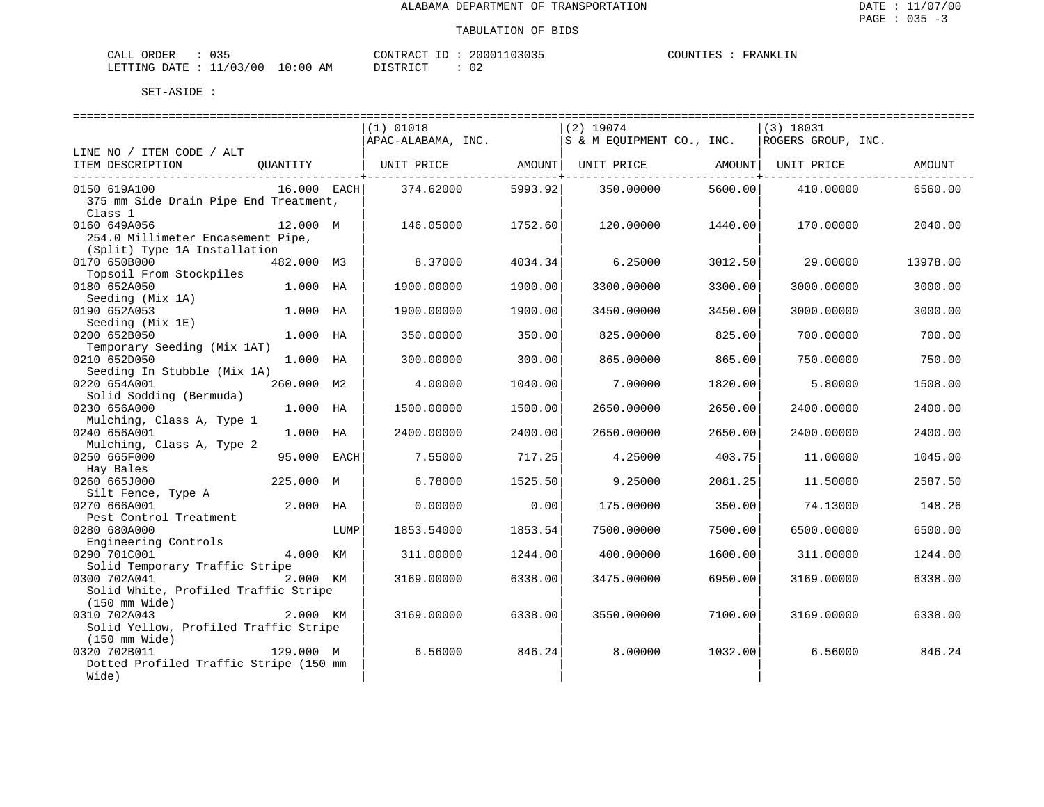| CALL ORDER                      |  |          | CONTRACT ID: 20001103035 | COUNTIES | FRANKLIN |
|---------------------------------|--|----------|--------------------------|----------|----------|
| LETTING DATE: 11/03/00 10:00 AM |  | DISTRICT | 02                       |          |          |

|                                                  |             |      | ============================== |                |                                                  |                     |                    |          |
|--------------------------------------------------|-------------|------|--------------------------------|----------------|--------------------------------------------------|---------------------|--------------------|----------|
|                                                  |             |      | $(1)$ 01018                    |                | $(2)$ 19074                                      |                     | $(3)$ 18031        |          |
|                                                  |             |      | APAC-ALABAMA, INC.             |                | S & M EQUIPMENT CO., INC.                        |                     | ROGERS GROUP, INC. |          |
| LINE NO / ITEM CODE / ALT                        |             |      |                                |                |                                                  |                     |                    |          |
| ITEM DESCRIPTION                                 | OUANTITY    |      |                                | ------------+- | UNIT PRICE AMOUNT  UNIT PRICE AMOUNT  UNIT PRICE | --------------+---- |                    | AMOUNT   |
| 0150 619A100                                     | 16.000 EACH |      | 374.62000                      | 5993.92        | 350.00000                                        | 5600.00             | 410.00000          | 6560.00  |
| 375 mm Side Drain Pipe End Treatment,<br>Class 1 |             |      |                                |                |                                                  |                     |                    |          |
| 0160 649A056                                     | 12.000 M    |      | 146.05000                      | 1752.60        | 120.00000                                        | 1440.00             | 170.00000          | 2040.00  |
| 254.0 Millimeter Encasement Pipe,                |             |      |                                |                |                                                  |                     |                    |          |
| (Split) Type 1A Installation                     |             |      |                                |                |                                                  |                     |                    |          |
| 0170 650B000                                     | 482.000 M3  |      | 8.37000                        | 4034.34        | 6.25000                                          | 3012.50             | 29.00000           | 13978.00 |
| Topsoil From Stockpiles                          |             |      |                                |                |                                                  |                     |                    |          |
| 0180 652A050                                     | 1.000 HA    |      | 1900.00000                     | 1900.00        | 3300.00000                                       | 3300.00             | 3000.00000         | 3000.00  |
| Seeding (Mix 1A)                                 |             |      |                                |                |                                                  |                     |                    |          |
| 0190 652A053                                     | 1.000 HA    |      | 1900.00000                     | 1900.00        | 3450.00000                                       | 3450.00             | 3000.00000         | 3000.00  |
| Seeding (Mix 1E)                                 |             |      |                                |                |                                                  |                     |                    |          |
| 0200 652B050                                     | 1.000 HA    |      | 350.00000                      | 350.00         | 825.00000                                        | 825.00              | 700.00000          | 700.00   |
| Temporary Seeding (Mix 1AT)                      |             |      |                                |                |                                                  |                     |                    |          |
| 0210 652D050                                     | 1.000 HA    |      | 300,00000                      | 300.00         | 865,00000                                        | 865.00              | 750.00000          | 750.00   |
| Seeding In Stubble (Mix 1A)                      |             |      |                                |                |                                                  |                     |                    |          |
| 0220 654A001                                     | 260.000 M2  |      | 4.00000                        | 1040.00        | 7.00000                                          | 1820.00             | 5.80000            | 1508.00  |
| Solid Sodding (Bermuda)<br>0230 656A000          | 1.000 HA    |      | 1500.00000                     | 1500.00        | 2650.00000                                       | 2650.00             | 2400.00000         | 2400.00  |
| Mulching, Class A, Type 1                        |             |      |                                |                |                                                  |                     |                    |          |
| 0240 656A001                                     | 1.000 HA    |      | 2400.00000                     | 2400.00        | 2650.00000                                       | 2650.00             | 2400.00000         | 2400.00  |
| Mulching, Class A, Type 2                        |             |      |                                |                |                                                  |                     |                    |          |
| 0250 665F000                                     | 95.000 EACH |      | 7.55000                        | 717.25         | 4.25000                                          | 403.75              | 11.00000           | 1045.00  |
| Hay Bales                                        |             |      |                                |                |                                                  |                     |                    |          |
| 0260 665J000                                     | 225.000 M   |      | 6.78000                        | 1525.50        | 9.25000                                          | 2081.25             | 11.50000           | 2587.50  |
| Silt Fence, Type A                               |             |      |                                |                |                                                  |                     |                    |          |
| 0270 666A001                                     | 2.000 HA    |      | 0.00000                        | 0.00           | 175.00000                                        | 350.00              | 74.13000           | 148.26   |
| Pest Control Treatment                           |             |      |                                |                |                                                  |                     |                    |          |
| 0280 680A000                                     |             | LUMP | 1853.54000                     | 1853.54        | 7500.00000                                       | 7500.00             | 6500.00000         | 6500.00  |
| Engineering Controls                             |             |      |                                |                |                                                  |                     |                    |          |
| 0290 701C001                                     | 4.000 KM    |      | 311,00000                      | 1244.00        | 400.00000                                        | 1600.00             | 311,00000          | 1244.00  |
| Solid Temporary Traffic Stripe<br>0300 702A041   |             |      |                                |                |                                                  |                     |                    |          |
| Solid White, Profiled Traffic Stripe             | 2.000 KM    |      | 3169.00000                     | 6338.00        | 3475.00000                                       | 6950.00             | 3169.00000         | 6338.00  |
| (150 mm Wide)                                    |             |      |                                |                |                                                  |                     |                    |          |
| 0310 702A043                                     | 2.000 KM    |      | 3169.00000                     | 6338.00        | 3550.00000                                       | 7100.00             | 3169.00000         | 6338.00  |
| Solid Yellow, Profiled Traffic Stripe            |             |      |                                |                |                                                  |                     |                    |          |
| (150 mm Wide)                                    |             |      |                                |                |                                                  |                     |                    |          |
| 0320 702B011                                     | 129.000 M   |      | 6.56000                        | 846.24         | 8,00000                                          | 1032.00             | 6.56000            | 846.24   |
| Dotted Profiled Traffic Stripe (150 mm           |             |      |                                |                |                                                  |                     |                    |          |
| Wide)                                            |             |      |                                |                |                                                  |                     |                    |          |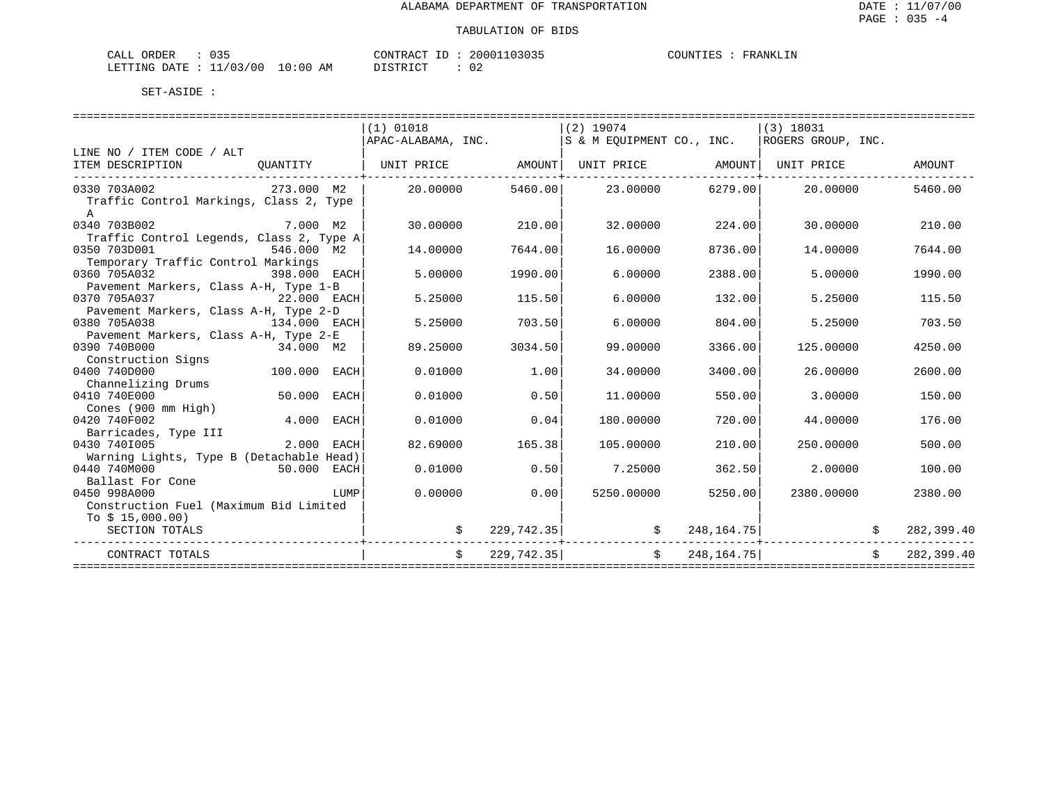| ORDER<br>CALI   | ັບມ                        |       |    | CONTRACT         |  | 20001103035 | COUNTIES | YRANK. |
|-----------------|----------------------------|-------|----|------------------|--|-------------|----------|--------|
| LETTING<br>DATE | /03/00<br>- -<br><b>__</b> | 10:00 | AМ | DISTRICT<br>ັ∸ – |  | ∩∩<br>U Z   |          |        |

|                                                                    |                         |      | $(1)$ 01018                                          |            | $(2)$ 19074                       |                | $(3)$ 18031        |                    |            |
|--------------------------------------------------------------------|-------------------------|------|------------------------------------------------------|------------|-----------------------------------|----------------|--------------------|--------------------|------------|
|                                                                    |                         |      | $ $ APAC-ALABAMA, INC. $ S \& M$ EOUIPMENT CO., INC. |            |                                   |                | ROGERS GROUP, INC. |                    |            |
| LINE NO / ITEM CODE / ALT                                          |                         |      |                                                      |            |                                   |                |                    |                    |            |
| ITEM DESCRIPTION                                                   | QUANTITY                |      |                                                      |            |                                   |                | UNIT PRICE         |                    | AMOUNT     |
|                                                                    |                         |      |                                                      |            |                                   |                |                    |                    |            |
| 0330 703A002<br>273.000 M2                                         |                         |      | 20.00000                                             |            | 5460.00 23.00000 6279.00 20.00000 |                |                    |                    | 5460.00    |
| Traffic Control Markings, Class 2, Type                            |                         |      |                                                      |            |                                   |                |                    |                    |            |
| $\mathsf{A}$                                                       |                         |      |                                                      |            |                                   |                |                    |                    |            |
| 0340 703B002                                                       | — <b>7.000 м2</b>       |      | 30,00000                                             | 210.00     | 32,00000                          | 224.00         | 30.00000           |                    | 210.00     |
| Traffic Control Legends, Class 2, Type A                           |                         |      |                                                      |            |                                   |                |                    |                    |            |
| 0350 703D001                                                       | $546.000$ M2            |      | 14,00000                                             | 7644.00    | 16,00000                          | 8736.00        | 14,00000           |                    | 7644.00    |
| Temporary Traffic Control Markings                                 |                         |      |                                                      |            |                                   |                |                    |                    |            |
| 0360 705A032<br>398.000 EACH                                       |                         |      | 5.00000                                              | 1990.00    | 6.00000                           | 2388.00        | 5.00000            |                    | 1990.00    |
| Pavement Markers, Class A-H, Type 1-B                              |                         |      |                                                      |            |                                   |                |                    |                    |            |
| 22.000 EACH<br>0370 705A037                                        |                         |      | 5.25000                                              | 115.50     | 6.00000                           | 132.00         | 5.25000            |                    | 115.50     |
| Pavement Markers, Class A-H, Type 2-D                              |                         |      |                                                      |            |                                   |                |                    |                    |            |
| 0380 705A038<br>134.000 EACH                                       |                         |      | 5.25000                                              | 703.50     | 6.00000                           | 804.00         | 5.25000            |                    | 703.50     |
| Pavement Markers, Class A-H, Type 2-E<br>0390 740B000<br>34.000 M2 |                         |      | 89.25000                                             | 3034.50    | 99.00000                          | 3366.00        | 125,00000          |                    | 4250.00    |
| Construction Signs                                                 |                         |      |                                                      |            |                                   |                |                    |                    |            |
| 100.000 EACH<br>0400 740D000                                       |                         |      | 0.01000                                              | 1.00       | 34.00000                          | 3400.00        | 26,00000           |                    | 2600.00    |
| Channelizing Drums                                                 |                         |      |                                                      |            |                                   |                |                    |                    |            |
| 0410 740E000                                                       | 50.000 EACH             |      | 0.01000                                              | 0.50       | 11,00000                          | 550.00         | 3.00000            |                    | 150.00     |
| Cones (900 mm High)                                                |                         |      |                                                      |            |                                   |                |                    |                    |            |
| 0420 740F002                                                       | $4.000$ EACH            |      | 0.01000                                              | 0.04       | 180.00000                         | 720.00         | 44.00000           |                    | 176.00     |
| Barricades, Type III                                               |                         |      |                                                      |            |                                   |                |                    |                    |            |
| 0430 7401005                                                       | 2.000 EACH              |      | 82.69000                                             | 165.38     | 105.00000                         | 210.00         | 250.00000          |                    | 500.00     |
| Warning Lights, Type B (Detachable Head)                           |                         |      |                                                      |            |                                   |                |                    |                    |            |
| 50.000 EACH<br>0440 740M000                                        |                         |      | 0.01000                                              | 0.50       | 7.25000                           | 362.50         | 2,00000            |                    | 100.00     |
| Ballast For Cone                                                   |                         |      |                                                      |            |                                   |                |                    |                    |            |
| 0450 998A000                                                       |                         | LUMP | 0.00000                                              | 0.001      | 5250.00000                        | 5250.00        | 2380.00000         |                    | 2380.00    |
| Construction Fuel (Maximum Bid Limited                             |                         |      |                                                      |            |                                   |                |                    |                    |            |
| To $$15,000.00)$                                                   |                         |      |                                                      |            |                                   |                |                    |                    |            |
| SECTION TOTALS                                                     |                         |      |                                                      | 229,742.35 | $\mathcal{S}$                     | 248,164.75     |                    |                    | 282,399.40 |
| CONTRACT TOTALS                                                    | ----------------------- |      | Ŝ.                                                   | 229,742.35 |                                   | \$248, 164.75] |                    | $\dot{\mathbf{S}}$ | 282,399.40 |
|                                                                    |                         |      |                                                      |            |                                   |                |                    |                    |            |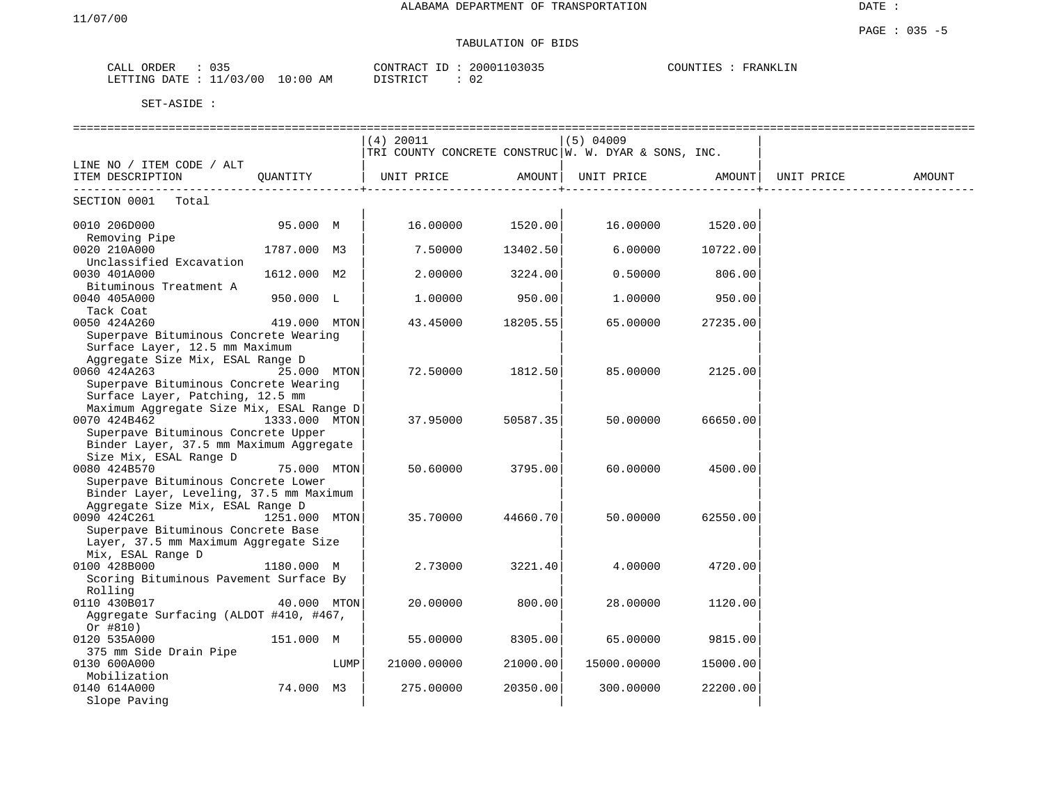## TABULATION OF BIDS

| ORDER<br>CALL | ひろう                   | CONTRACT<br>T <sub>D</sub> | 20001103035  | COUNTIES<br>FRANKLIN |
|---------------|-----------------------|----------------------------|--------------|----------------------|
| LETTING DATE  | $10:00$ AM<br>1/03/00 | T T C T T T C T            | $\sim$<br>∪∠ |                      |

|                                          |               |      | (4) 20011                                              |          | $(5)$ 04009 |          |            |        |
|------------------------------------------|---------------|------|--------------------------------------------------------|----------|-------------|----------|------------|--------|
|                                          |               |      | TRI COUNTY CONCRETE CONSTRUC   W. W. DYAR & SONS, INC. |          |             |          |            |        |
| LINE NO / ITEM CODE / ALT                |               |      |                                                        |          |             |          |            |        |
| ITEM DESCRIPTION                         | OUANTITY      |      | UNIT PRICE                                             | AMOUNT   | UNIT PRICE  | AMOUNT   | UNIT PRICE | AMOUNT |
|                                          |               |      |                                                        |          |             |          |            |        |
| SECTION 0001<br>Total                    |               |      |                                                        |          |             |          |            |        |
| 0010 206D000                             | 95.000 M      |      | 16.00000                                               | 1520.00  | 16.00000    | 1520.00  |            |        |
| Removing Pipe                            |               |      |                                                        |          |             |          |            |        |
| 0020 210A000                             | 1787.000 M3   |      | 7.50000                                                | 13402.50 | 6.00000     | 10722.00 |            |        |
| Unclassified Excavation                  |               |      |                                                        |          |             |          |            |        |
| 0030 401A000                             | 1612.000 M2   |      | 2.00000                                                | 3224.00  | 0.50000     | 806.00   |            |        |
| Bituminous Treatment A                   |               |      |                                                        |          |             |          |            |        |
| 0040 405A000                             | 950.000 L     |      | 1,00000                                                | 950.00   | 1,00000     | 950.00   |            |        |
| Tack Coat                                |               |      |                                                        |          |             |          |            |        |
| 0050 424A260                             | 419.000 MTON  |      | 43.45000                                               | 18205.55 | 65.00000    | 27235.00 |            |        |
| Superpave Bituminous Concrete Wearing    |               |      |                                                        |          |             |          |            |        |
| Surface Layer, 12.5 mm Maximum           |               |      |                                                        |          |             |          |            |        |
| Aggregate Size Mix, ESAL Range D         |               |      |                                                        |          |             |          |            |        |
| 0060 424A263                             | 25.000 MTON   |      | 72.50000                                               | 1812.50  | 85.00000    | 2125.00  |            |        |
| Superpave Bituminous Concrete Wearing    |               |      |                                                        |          |             |          |            |        |
| Surface Layer, Patching, 12.5 mm         |               |      |                                                        |          |             |          |            |        |
| Maximum Aggregate Size Mix, ESAL Range D |               |      |                                                        |          |             |          |            |        |
| 0070 424B462                             | 1333.000 MTON |      | 37.95000                                               | 50587.35 | 50.00000    | 66650.00 |            |        |
| Superpave Bituminous Concrete Upper      |               |      |                                                        |          |             |          |            |        |
| Binder Layer, 37.5 mm Maximum Aggregate  |               |      |                                                        |          |             |          |            |        |
| Size Mix, ESAL Range D                   |               |      |                                                        |          |             |          |            |        |
| 0080 424B570                             | 75.000 MTON   |      | 50.60000                                               | 3795.00  | 60.00000    | 4500.00  |            |        |
| Superpave Bituminous Concrete Lower      |               |      |                                                        |          |             |          |            |        |
| Binder Layer, Leveling, 37.5 mm Maximum  |               |      |                                                        |          |             |          |            |        |
| Aggregate Size Mix, ESAL Range D         |               |      |                                                        |          |             |          |            |        |
| 0090 424C261                             | 1251.000 MTON |      | 35.70000                                               | 44660.70 | 50.00000    | 62550.00 |            |        |
| Superpave Bituminous Concrete Base       |               |      |                                                        |          |             |          |            |        |
| Layer, 37.5 mm Maximum Aggregate Size    |               |      |                                                        |          |             |          |            |        |
| Mix, ESAL Range D                        |               |      |                                                        |          |             |          |            |        |
| 0100 428B000                             | 1180.000 M    |      | 2.73000                                                | 3221.40  | 4.00000     | 4720.00  |            |        |
| Scoring Bituminous Pavement Surface By   |               |      |                                                        |          |             |          |            |        |
| Rolling                                  |               |      |                                                        |          |             |          |            |        |
| 0110 430B017                             | 40.000 MTON   |      | 20.00000                                               | 800.00   | 28.00000    | 1120.00  |            |        |
| Aggregate Surfacing (ALDOT #410, #467,   |               |      |                                                        |          |             |          |            |        |
| Or $#810)$                               |               |      |                                                        |          |             |          |            |        |
| 0120 535A000                             | 151.000 M     |      | 55.00000                                               | 8305.00  | 65.00000    | 9815.00  |            |        |
| 375 mm Side Drain Pipe                   |               |      |                                                        |          |             |          |            |        |
| 0130 600A000                             |               | LUMP | 21000.00000                                            | 21000.00 | 15000.00000 | 15000.00 |            |        |
| Mobilization                             |               |      |                                                        |          |             |          |            |        |
| 0140 614A000                             | 74.000 M3     |      | 275.00000                                              | 20350.00 | 300.00000   | 22200.00 |            |        |
| Slope Paving                             |               |      |                                                        |          |             |          |            |        |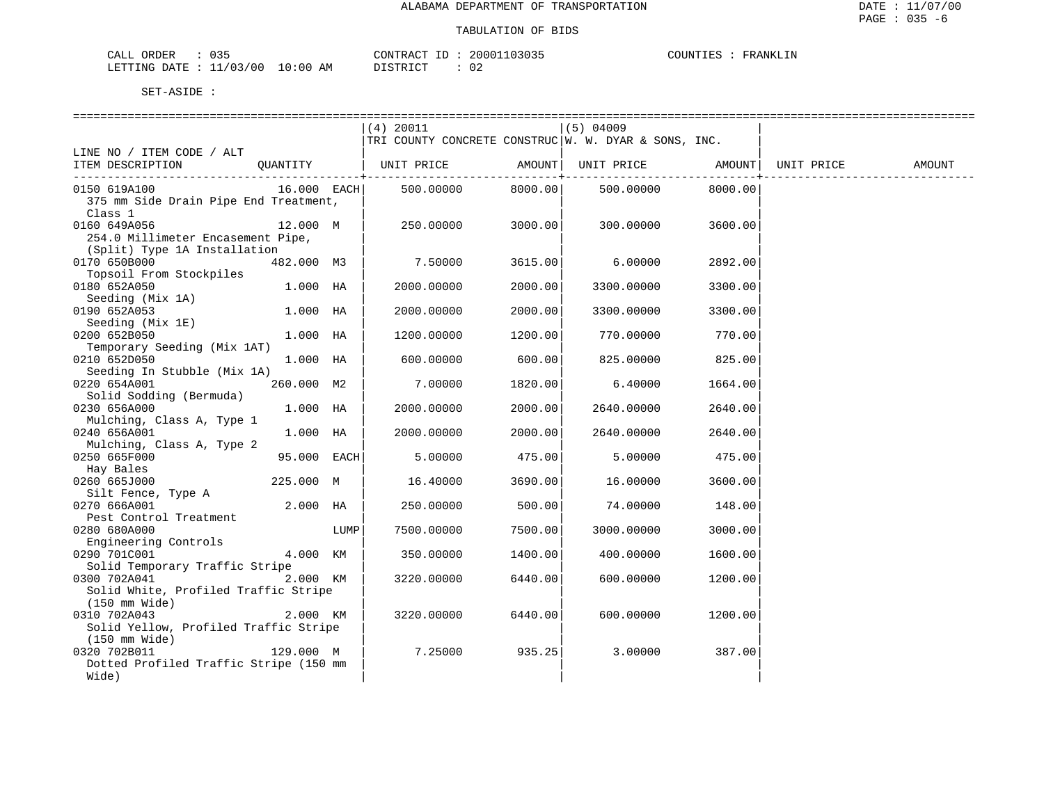| 035<br>CALL ORDER                |          | CONTRACT ID: 20001103035 | COUNTIES : FRANKLIN |
|----------------------------------|----------|--------------------------|---------------------|
| LETTING DATE : 11/03/00 10:00 AM | DISTRICT |                          |                     |

|                                               |               |      | (4) 20011                                            |              | (5) 04009         |         |            |        |
|-----------------------------------------------|---------------|------|------------------------------------------------------|--------------|-------------------|---------|------------|--------|
|                                               |               |      | TRI COUNTY CONCRETE CONSTRUC W. W. DYAR & SONS, INC. |              |                   |         |            |        |
| LINE NO / ITEM CODE / ALT<br>ITEM DESCRIPTION | OUANTITY      |      | UNIT PRICE                                           | AMOUNT       | UNIT PRICE AMOUNT |         | UNIT PRICE | AMOUNT |
|                                               |               |      |                                                      | $------++--$ |                   |         |            |        |
| 0150 619A100                                  | 16.000 EACH   |      | 500.00000                                            | 8000.00      | 500.00000         | 8000.00 |            |        |
| 375 mm Side Drain Pipe End Treatment,         |               |      |                                                      |              |                   |         |            |        |
| Class 1                                       |               |      |                                                      |              |                   |         |            |        |
| 0160 649A056                                  | 12.000 M      |      | 250.00000                                            | 3000.00      | 300.00000         | 3600.00 |            |        |
| 254.0 Millimeter Encasement Pipe,             |               |      |                                                      |              |                   |         |            |        |
| (Split) Type 1A Installation                  |               |      |                                                      |              |                   |         |            |        |
| 0170 650B000                                  | 482.000 M3    |      | 7.50000                                              | 3615.00      | 6.00000           | 2892.00 |            |        |
| Topsoil From Stockpiles                       |               |      |                                                      |              |                   |         |            |        |
| 0180 652A050<br>Seeding (Mix 1A)              | 1.000 HA      |      | 2000.00000                                           | 2000.00      | 3300.00000        | 3300.00 |            |        |
| 0190 652A053                                  | $1.000$ HA    |      | 2000.00000                                           | 2000.00      | 3300.00000        | 3300.00 |            |        |
| Seeding (Mix 1E)                              |               |      |                                                      |              |                   |         |            |        |
| 0200 652B050                                  | 1.000 HA      |      | 1200.00000                                           | 1200.00      | 770.00000         | 770.00  |            |        |
| Temporary Seeding (Mix 1AT)                   |               |      |                                                      |              |                   |         |            |        |
| 0210 652D050                                  | 1.000 HA      |      | 600,00000                                            | 600.00       | 825.00000         | 825.00  |            |        |
| Seeding In Stubble (Mix 1A)                   |               |      |                                                      |              |                   |         |            |        |
| 0220 654A001                                  | 260.000 M2    |      | 7.00000                                              | 1820.00      | 6.40000           | 1664.00 |            |        |
| Solid Sodding (Bermuda)                       |               |      |                                                      |              |                   |         |            |        |
| 0230 656A000                                  | 1.000 HA      |      | 2000.00000                                           | 2000.00      | 2640.00000        | 2640.00 |            |        |
| Mulching, Class A, Type 1                     |               |      |                                                      |              |                   |         |            |        |
| 0240 656A001                                  | $1.000$ HA    |      | 2000.00000                                           | 2000.00      | 2640.00000        | 2640.00 |            |        |
| Mulching, Class A, Type 2<br>0250 665F000     |               |      |                                                      |              |                   |         |            |        |
| Hay Bales                                     | $95.000$ EACH |      | 5.00000                                              | 475.00       | 5.00000           | 475.00  |            |        |
| 0260 665J000                                  | 225.000 M     |      | 16.40000                                             | 3690.00      | 16.00000          | 3600.00 |            |        |
| Silt Fence, Type A                            |               |      |                                                      |              |                   |         |            |        |
| 0270 666A001                                  | 2.000 HA      |      | 250.00000                                            | 500.00       | 74.00000          | 148.00  |            |        |
| Pest Control Treatment                        |               |      |                                                      |              |                   |         |            |        |
| 0280 680A000                                  |               | LUMP | 7500.00000                                           | 7500.00      | 3000.00000        | 3000.00 |            |        |
| Engineering Controls                          |               |      |                                                      |              |                   |         |            |        |
| 0290 701C001                                  | 4.000 KM      |      | 350.00000                                            | 1400.00      | 400.00000         | 1600.00 |            |        |
| Solid Temporary Traffic Stripe                |               |      |                                                      |              |                   |         |            |        |
| 0300 702A041                                  | 2.000 KM      |      | 3220.00000                                           | 6440.00      | 600.00000         | 1200.00 |            |        |
| Solid White, Profiled Traffic Stripe          |               |      |                                                      |              |                   |         |            |        |
| $(150 \text{ mm Wide})$<br>0310 702A043       | 2.000 KM      |      | 3220.00000                                           | 6440.00      | 600.00000         | 1200.00 |            |        |
| Solid Yellow, Profiled Traffic Stripe         |               |      |                                                      |              |                   |         |            |        |
| $(150 \text{ mm Wide})$                       |               |      |                                                      |              |                   |         |            |        |
| 0320 702B011                                  | 129.000 M     |      | 7.25000                                              | 935.25       | 3.00000           | 387.00  |            |        |
| Dotted Profiled Traffic Stripe (150 mm)       |               |      |                                                      |              |                   |         |            |        |
| Wide)                                         |               |      |                                                      |              |                   |         |            |        |
|                                               |               |      |                                                      |              |                   |         |            |        |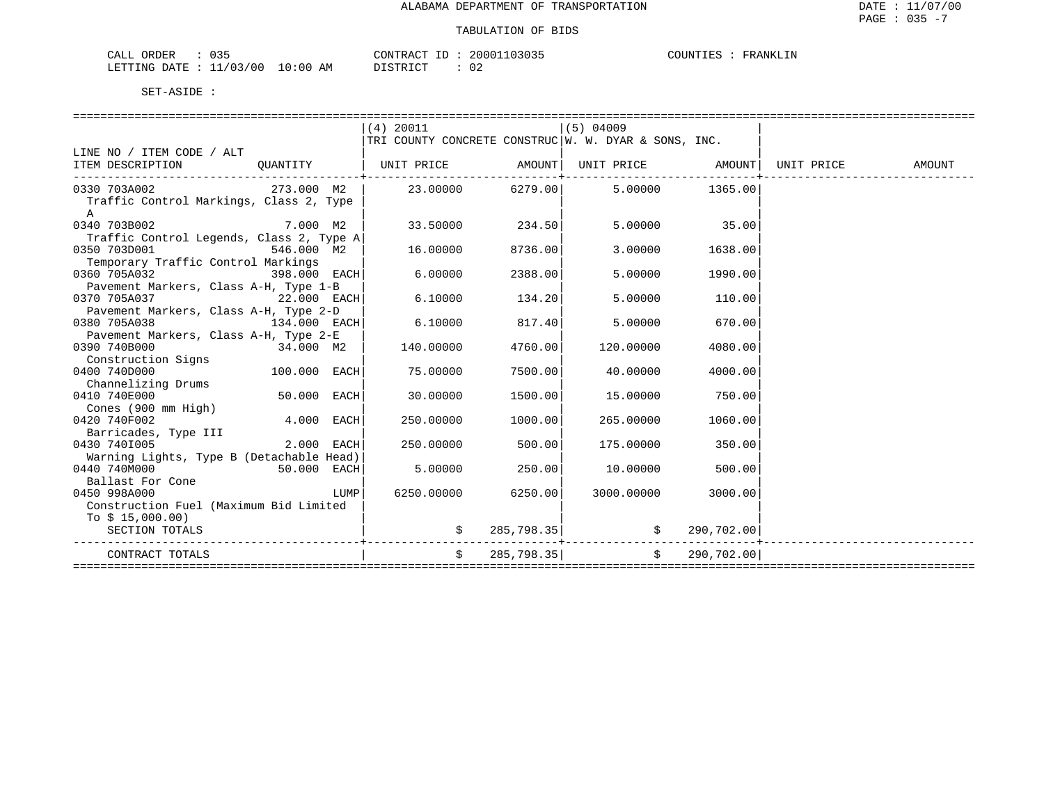| $\cap$ $\cap$ $\Gamma$<br>CALL<br>ORDER<br>ـ د ∪ |             | CONTRACT | 03035<br>20001 | PLINT LES<br>FRANKLIN<br>, UIN 1 1 1 1 1 1 |
|--------------------------------------------------|-------------|----------|----------------|--------------------------------------------|
| ./03/00<br>LETTING DATE<br>-- -                  | 10:00<br>AΜ | סיד ס ד  | ∪∠             |                                            |

|                                                                                     |              | $(4)$ 20011                                             |                         | $(5)$ 04009                                      |         |  |
|-------------------------------------------------------------------------------------|--------------|---------------------------------------------------------|-------------------------|--------------------------------------------------|---------|--|
|                                                                                     |              | TRI COUNTY CONCRETE CONSTRUC $W$ . W. DYAR & SONS, INC. |                         |                                                  |         |  |
| LINE NO / ITEM CODE / ALT                                                           |              |                                                         |                         |                                                  |         |  |
| ITEM DESCRIPTION QUANTITY   UNIT PRICE AMOUNT  UNIT PRICE AMOUNT  UNIT PRICE AMOUNT |              |                                                         |                         |                                                  |         |  |
| 0330 703A002                                                                        | 273.000 M2   | $23.00000$ 6279.00 5.00000 1365.00                      | ---------------+------- |                                                  |         |  |
| Traffic Control Markings, Class 2, Type                                             |              |                                                         |                         |                                                  |         |  |
| $\mathbb{A}$                                                                        |              |                                                         |                         |                                                  |         |  |
| 0340 703B002                                                                        | 7.000 M2     |                                                         | 33.50000 234.50         | 5.00000                                          | 35.00   |  |
| Traffic Control Legends, Class 2, Type A                                            |              |                                                         |                         |                                                  |         |  |
| 0350 703D001                                                                        | 546.000 M2   | 16.00000                                                | 8736.00                 | 3.00000                                          | 1638.00 |  |
| Temporary Traffic Control Markings                                                  |              |                                                         |                         |                                                  |         |  |
| 0360 705A032                                                                        | 398.000 EACH | 6,00000                                                 | 2388.00                 | 5,00000                                          | 1990.00 |  |
| Pavement Markers, Class A-H, Type 1-B                                               |              |                                                         |                         |                                                  |         |  |
| 0370 705A037                                                                        | 22.000 EACH  | 6.10000                                                 | 134.20                  | 5.00000                                          | 110.00  |  |
| Pavement Markers, Class A-H, Type 2-D                                               |              |                                                         |                         |                                                  |         |  |
| 0380 705A038                                                                        | 134.000 EACH | 6.10000                                                 | 817.40                  | 5.00000                                          | 670.00  |  |
| Pavement Markers, Class A-H, Type 2-E                                               |              |                                                         |                         |                                                  |         |  |
| 0390 740B000                                                                        | 34.000 M2    | 140.00000                                               | 4760.00                 | 120,00000                                        | 4080.00 |  |
| Construction Signs                                                                  |              |                                                         |                         |                                                  |         |  |
| 0400 740D000                                                                        | 100.000 EACH | 75.00000                                                | 7500.00                 | 40.00000                                         | 4000.00 |  |
|                                                                                     |              |                                                         |                         |                                                  |         |  |
| Channelizing Drums<br>0410 740E000                                                  | 50.000 EACH  | 30.00000                                                |                         | 15.00000                                         | 750.00  |  |
| Cones (900 mm High)                                                                 |              |                                                         | 1500.00                 |                                                  |         |  |
| 0420 740F002                                                                        | 4.000 EACH   | 250.00000                                               | 1000.00                 | 265,00000                                        | 1060.00 |  |
| Barricades, Type III                                                                |              |                                                         |                         |                                                  |         |  |
| 0430 7401005                                                                        | 2.000 EACH   | 250.00000                                               | 500.00                  | 175,00000                                        | 350.00  |  |
| Warning Lights, Type B (Detachable Head)                                            |              |                                                         |                         |                                                  |         |  |
| 0440 740M000                                                                        | 50.000 EACH  | 5.00000                                                 | 250.00                  | 10.00000                                         | 500.00  |  |
| Ballast For Cone                                                                    |              |                                                         |                         |                                                  |         |  |
| 0450 998A000                                                                        | LUMP         | 6250.00000                                              | 6250.001                | 3000.00000                                       | 3000.00 |  |
| Construction Fuel (Maximum Bid Limited                                              |              |                                                         |                         |                                                  |         |  |
| To $$15,000.00)$                                                                    |              |                                                         |                         |                                                  |         |  |
|                                                                                     |              |                                                         |                         |                                                  |         |  |
| SECTION TOTALS                                                                      |              |                                                         |                         | $\sharp$ 285,798.35 $\sharp$ $\sharp$ 290,702.00 |         |  |
| CONTRACT TOTALS                                                                     |              |                                                         |                         | $\sin 285.798.35$ $\sin 35/290.702.00$           |         |  |
| ==================                                                                  |              |                                                         |                         |                                                  |         |  |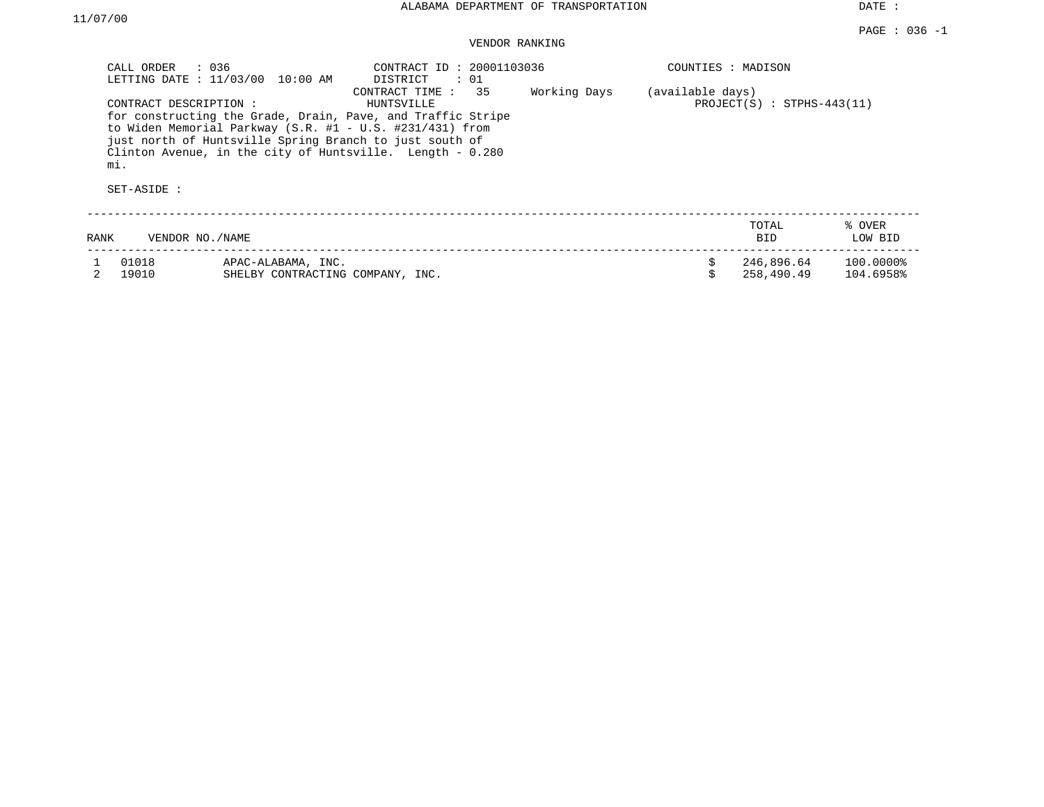# VENDOR RANKING

| CALL ORDER                                   | $\therefore$ 036<br>LETTING DATE : 11/03/00 10:00 AM    | CONTRACT ID: 20001103036<br>DISTRICT<br>: 01                                                                                                                                                                                 |              | COUNTIES : MADISON |                              |                        |
|----------------------------------------------|---------------------------------------------------------|------------------------------------------------------------------------------------------------------------------------------------------------------------------------------------------------------------------------------|--------------|--------------------|------------------------------|------------------------|
| CONTRACT DESCRIPTION :<br>mi.<br>SET-ASIDE : | just north of Huntsville Spring Branch to just south of | 35<br>CONTRACT TIME:<br>HUNTSVILLE<br>for constructing the Grade, Drain, Pave, and Traffic Stripe<br>to Widen Memorial Parkway (S.R. $#1 - U.S.$ #231/431) from<br>Clinton Avenue, in the city of Huntsville. Length - 0.280 | Working Days | (available days)   | $PROJECT(S)$ : STPHS-443(11) |                        |
| RANK                                         | VENDOR NO./NAME                                         |                                                                                                                                                                                                                              |              |                    | TOTAL<br><b>BID</b>          | % OVER<br>LOW BID      |
| 01018<br>19010                               | APAC-ALABAMA, INC.<br>SHELBY CONTRACTING COMPANY, INC.  |                                                                                                                                                                                                                              |              |                    | 246,896.64<br>258,490.49     | 100.0000%<br>104.6958% |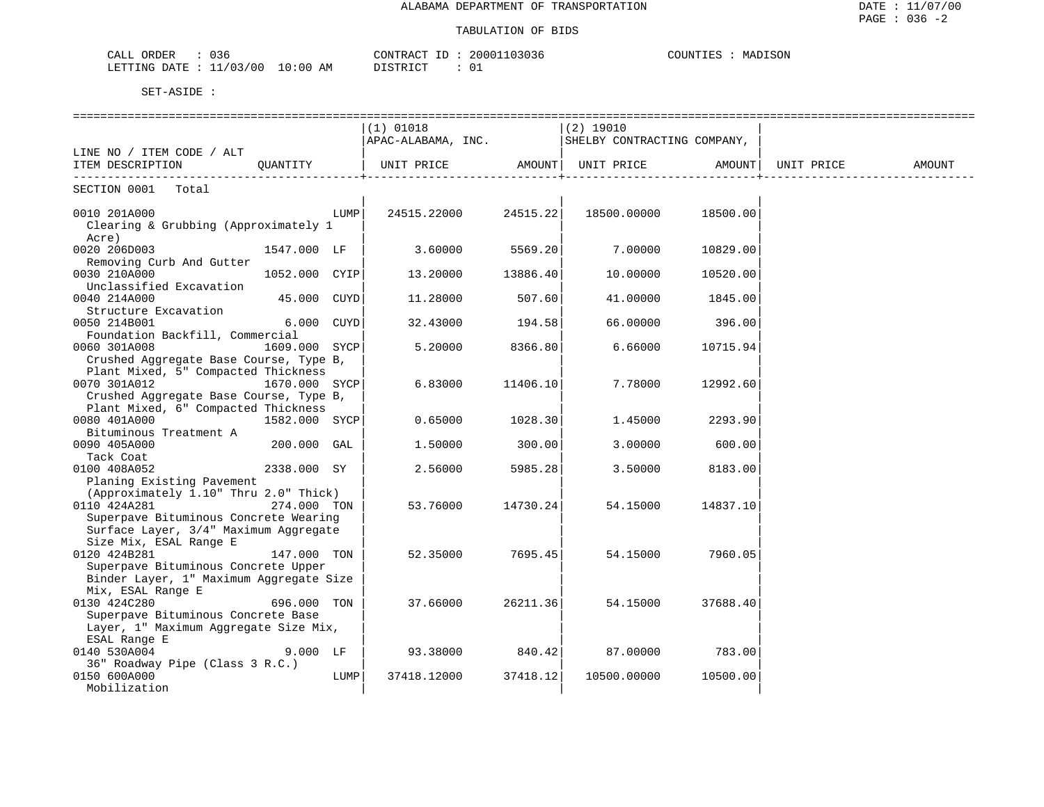| 036<br>CALL<br>ORDER     |             | 20001103036<br>CONTRACT TT | `I SON<br>COUNTIE<br><b>M7</b><br>IVI A I<br>. <del>.</del> |
|--------------------------|-------------|----------------------------|-------------------------------------------------------------|
| 11/03/00<br>LETTING DATE | 10:00<br>ΆM | DISTRICT                   |                                                             |

|                                                                 |               |      | ========================<br>$(1)$ 01018                                            |          | ===============<br>$(2)$ 19010 |          |        |
|-----------------------------------------------------------------|---------------|------|------------------------------------------------------------------------------------|----------|--------------------------------|----------|--------|
|                                                                 |               |      | APAC-ALABAMA, INC.   SHELBY CONTRACTING COMPANY,                                   |          |                                |          |        |
| LINE NO / ITEM CODE / ALT                                       |               |      |                                                                                    |          |                                |          |        |
| ITEM DESCRIPTION                                                | OUANTITY      |      | UNIT PRICE                 AMOUNT   UNIT PRICE                 AMOUNT   UNIT PRICE |          |                                |          | AMOUNT |
| SECTION 0001 Total                                              |               |      |                                                                                    |          |                                |          |        |
| 0010 201A000                                                    |               | LUMP | 24515.22000 24515.22                                                               |          | 18500.00000                    | 18500.00 |        |
| Clearing & Grubbing (Approximately 1<br>Acre)                   |               |      |                                                                                    |          |                                |          |        |
| 0020 206D003                                                    | 1547.000 LF   |      | $3.60000$ 5569.20                                                                  |          | 7.00000                        | 10829.00 |        |
| Removing Curb And Gutter<br>0030 210A000                        | 1052.000 CYIP |      | 13.20000                                                                           | 13886.40 | 10.00000                       | 10520.00 |        |
| Unclassified Excavation                                         |               |      |                                                                                    |          |                                |          |        |
| 0040 214A000                                                    | 45.000 CUYD   |      | 11.28000                                                                           | 507.60   | 41.00000                       | 1845.00  |        |
| Structure Excavation                                            |               |      |                                                                                    |          |                                |          |        |
| 0050 214B001                                                    | 6.000 CUYD    |      | 32.43000                                                                           | 194.58   | 66.00000                       | 396.00   |        |
| Foundation Backfill, Commercial<br>0060 301A008                 | 1609.000 SYCP |      | 5.20000                                                                            | 8366.80  | 6.66000                        | 10715.94 |        |
| Crushed Aggregate Base Course, Type B,                          |               |      |                                                                                    |          |                                |          |        |
| Plant Mixed, 5" Compacted Thickness                             |               |      |                                                                                    |          |                                |          |        |
| 0070 301A012                                                    | 1670.000 SYCP |      | 6.83000                                                                            | 11406.10 | 7.78000                        | 12992.60 |        |
| Crushed Aggregate Base Course, Type B,                          |               |      |                                                                                    |          |                                |          |        |
| Plant Mixed, 6" Compacted Thickness                             |               |      |                                                                                    |          |                                |          |        |
| 0080 401A000                                                    | 1582.000 SYCP |      | 0.65000                                                                            | 1028.30  | 1.45000                        | 2293.90  |        |
| Bituminous Treatment A<br>0090 405A000                          | $200.000$ GAL |      | 1,50000                                                                            | 300.00   | 3.00000                        | 600.00   |        |
| Tack Coat                                                       |               |      |                                                                                    |          |                                |          |        |
| 0100 408A052                                                    | 2338.000 SY   |      | 2.56000                                                                            | 5985.28  | 3.50000                        | 8183.00  |        |
| Planing Existing Pavement                                       |               |      |                                                                                    |          |                                |          |        |
| (Approximately 1.10" Thru 2.0" Thick)                           |               |      |                                                                                    |          |                                |          |        |
| 0110 424A281                                                    | 274.000 TON   |      | 53.76000                                                                           | 14730.24 | 54.15000                       | 14837.10 |        |
| Superpave Bituminous Concrete Wearing                           |               |      |                                                                                    |          |                                |          |        |
| Surface Layer, 3/4" Maximum Aggregate<br>Size Mix, ESAL Range E |               |      |                                                                                    |          |                                |          |        |
| 0120 424B281                                                    | 147.000 TON   |      | 52.35000                                                                           | 7695.45  | 54.15000                       | 7960.05  |        |
| Superpave Bituminous Concrete Upper                             |               |      |                                                                                    |          |                                |          |        |
| Binder Layer, 1" Maximum Aggregate Size                         |               |      |                                                                                    |          |                                |          |        |
| Mix, ESAL Range E                                               |               |      |                                                                                    |          |                                |          |        |
| 0130 424C280                                                    | 696.000 TON   |      | 37.66000                                                                           | 26211.36 | 54.15000                       | 37688.40 |        |
| Superpave Bituminous Concrete Base                              |               |      |                                                                                    |          |                                |          |        |
| Layer, 1" Maximum Aggregate Size Mix,<br>ESAL Range E           |               |      |                                                                                    |          |                                |          |        |
| 0140 530A004                                                    | $9.000$ LF    |      | 93.38000                                                                           | 840.42   | 87.00000                       | 783.00   |        |
| 36" Roadway Pipe (Class 3 R.C.)                                 |               |      |                                                                                    |          |                                |          |        |
| 0150 600A000                                                    |               | LUMP | 37418.12000                                                                        | 37418.12 | 10500.00000                    | 10500.00 |        |
| Mobilization                                                    |               |      |                                                                                    |          |                                |          |        |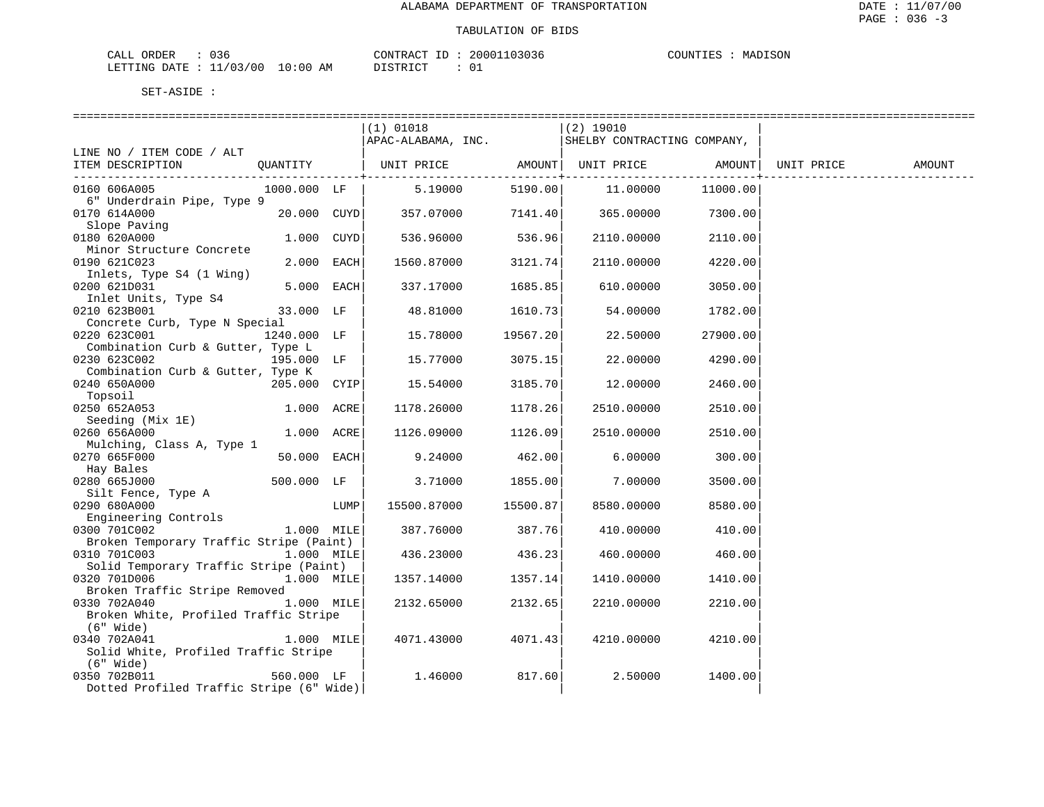| CALL ORDER<br>J36.              |          | CONTRACT ID: 20001103036 | COUNTIES | MADISON |
|---------------------------------|----------|--------------------------|----------|---------|
| LETTING DATE: 11/03/00 10:00 AM | DISTRICT | ັບ                       |          |         |

|                                                         |                 |      | $(1)$ 01018                                 |                         | (2) 19010                   |                              |            |        |
|---------------------------------------------------------|-----------------|------|---------------------------------------------|-------------------------|-----------------------------|------------------------------|------------|--------|
|                                                         |                 |      | APAC-ALABAMA, INC.                          |                         | SHELBY CONTRACTING COMPANY, |                              |            |        |
| LINE NO / ITEM CODE / ALT                               |                 |      |                                             |                         |                             |                              |            |        |
| ITEM DESCRIPTION                                        |                 |      |                                             |                         |                             |                              | UNIT PRICE | AMOUNT |
| 0160 606A005                                            | 1000.000 LF     |      | $5.19000$ $5190.00$ $11.00000$              | ---------------+------- |                             | ----------------<br>11000.00 |            |        |
| 6" Underdrain Pipe, Type 9                              |                 |      |                                             |                         |                             |                              |            |        |
| 0170 614A000                                            | $20.000$ $CUYD$ |      | $357.07000$ $7141.40$ $365.00000$ $7300.00$ |                         |                             |                              |            |        |
| Slope Paving<br>Slope Paving                            |                 |      |                                             |                         |                             |                              |            |        |
| 0180 620A000                                            | $1.000$ $CUYD$  |      | 536.96000                                   | 536.96                  | 2110.00000                  | 2110.00                      |            |        |
| Minor Structure Concrete                                |                 |      |                                             |                         |                             |                              |            |        |
| 0190 621C023                                            | 2.000 EACH      |      | 1560.87000                                  | 3121.74                 | 2110.00000                  | 4220.00                      |            |        |
| Inlets, Type S4 (1 Wing)                                |                 |      |                                             |                         |                             |                              |            |        |
| 0200 621D031                                            | 5.000 EACH      |      | 337.17000                                   | 1685.85                 | 610.00000                   | 3050.00                      |            |        |
| Inlet Units, Type S4                                    | 33.000 LF       |      | 48.81000                                    |                         |                             |                              |            |        |
| 0210 623B001<br>Concrete Curb, Type N Special           |                 |      |                                             | 1610.73                 | 54.00000                    | 1782.00                      |            |        |
| 0220 623C001                                            | 1240.000 LF     |      | 15.78000                                    | 19567.20                | 22.50000                    | 27900.00                     |            |        |
| Combination Curb & Gutter, Type L                       |                 |      |                                             |                         |                             |                              |            |        |
| 195.000 LF<br>0230 623C002                              |                 |      | 15.77000                                    | 3075.15                 | 22.00000                    | 4290.00                      |            |        |
| Combination Curb & Gutter, Type K                       |                 |      |                                             |                         |                             |                              |            |        |
| 0240 650A000                                            | $205.000$ CYIP  |      | 15.54000                                    | 3185.70                 | 12.00000                    | 2460.00                      |            |        |
| Topsoil                                                 |                 |      |                                             |                         |                             |                              |            |        |
| 0250 652A053                                            | 1.000 ACRE      |      | 1178.26000                                  | 1178.26                 | 2510.00000                  | 2510.00                      |            |        |
| Seeding (Mix 1E)                                        |                 |      |                                             |                         |                             |                              |            |        |
| 0260 656A000                                            | 1.000 ACRE      |      | 1126.09000                                  | 1126.09                 | 2510.00000                  | 2510.00                      |            |        |
| Mulching, Class A, Type 1                               |                 |      |                                             |                         |                             |                              |            |        |
| 0270 665F000                                            | 50.000 EACH     |      | 9.24000                                     | 462.00                  | 6.00000                     | 300.00                       |            |        |
| Hay Bales                                               |                 |      |                                             |                         |                             |                              |            |        |
| 0280 665J000                                            | 500.000 LF      |      | $3.71000$ 1855.00                           |                         | $7\ldotp00000$              | 3500.00                      |            |        |
| Silt Fence, Type A                                      |                 |      |                                             |                         |                             |                              |            |        |
| 0290 680A000                                            |                 | LUMP | 15500.87000 15500.87                        |                         | 8580.00000                  | 8580.00                      |            |        |
| Engineering Controls                                    |                 |      | 387.76000 387.76                            |                         |                             |                              |            |        |
| 0300 701C002<br>Broken Temporary Traffic Stripe (Paint) | $1.000$ MILE    |      |                                             |                         | 410.00000                   | 410.00                       |            |        |
| 0310 701C003<br>1.000 MILE                              |                 |      | 436.23000 436.23                            |                         | 460.00000                   | 460.00                       |            |        |
| Solid Temporary Traffic Stripe (Paint)                  |                 |      |                                             |                         |                             |                              |            |        |
| 0320 701D006 1.000 MILE                                 |                 |      | 1357.14000                                  | 1357.14                 | 1410.00000                  | 1410.00                      |            |        |
| Broken Traffic Stripe Removed                           |                 |      |                                             |                         |                             |                              |            |        |
| 0330 702A040                                            | 1.000 MILE      |      | 2132.65000                                  | 2132.65                 | 2210.00000                  | 2210.00                      |            |        |
| Broken White, Profiled Traffic Stripe                   |                 |      |                                             |                         |                             |                              |            |        |
| $(6"$ Wide)                                             |                 |      |                                             |                         |                             |                              |            |        |
| 0340 702A041                                            | $1.000$ MILE    |      | 4071.43000                                  | 4071.43                 | 4210.00000                  | 4210.00                      |            |        |
| Solid White, Profiled Traffic Stripe                    |                 |      |                                             |                         |                             |                              |            |        |
| (6" Wide)                                               |                 |      |                                             |                         |                             |                              |            |        |
| 0350 702B011                                            | 560.000 LF      |      | 1.46000                                     | 817.60                  | 2.50000                     | 1400.00                      |            |        |
| Dotted Profiled Traffic Stripe (6" Wide)                |                 |      |                                             |                         |                             |                              |            |        |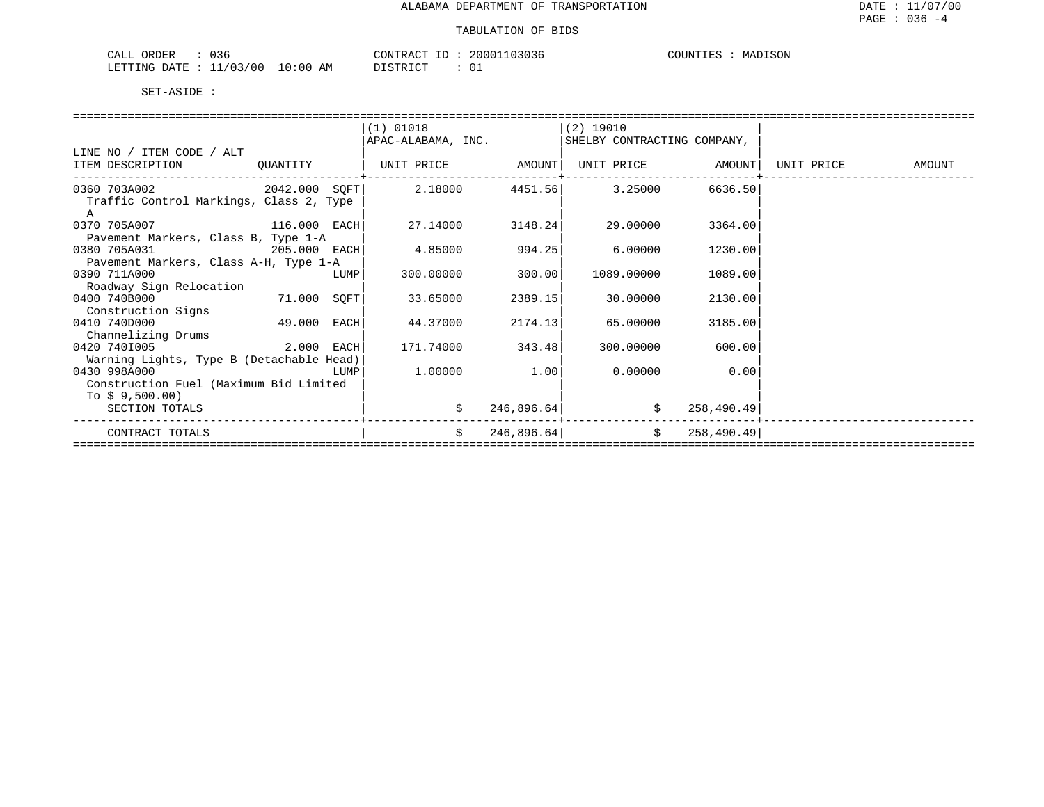| $\sim$ $\sim$<br>CALL<br>ORDER<br>0 ک ل                                                                                                                      |             | CONTRACT<br>$-1$ | 20001103036 | MADISON<br>COUNTIF <sup>-</sup> |
|--------------------------------------------------------------------------------------------------------------------------------------------------------------|-------------|------------------|-------------|---------------------------------|
| / 03/00<br>LETTING<br>חים מח<br><b>__</b><br>the contract of the contract of the contract of the contract of the contract of the contract of the contract of | 10:00<br>AΜ | חים דפידי פידים  |             |                                 |

|                                                                    |                                            | $(1)$ 01018                                                      |            | (2) 19010                   |               |               |
|--------------------------------------------------------------------|--------------------------------------------|------------------------------------------------------------------|------------|-----------------------------|---------------|---------------|
|                                                                    |                                            | APAC-ALABAMA, INC.                                               |            | SHELBY CONTRACTING COMPANY, |               |               |
| LINE NO / ITEM CODE / ALT                                          |                                            |                                                                  |            |                             |               |               |
| ITEM DESCRIPTION                                                   | QUANTITY                                   | UNIT PRICE         AMOUNT  UNIT PRICE         AMOUNT  UNIT PRICE |            |                             |               | <b>AMOUNT</b> |
| $0360$ 703A002 $2042.000$ SQFT $2.18000$ $4451.56$ 3.25000 6636.50 |                                            |                                                                  |            |                             |               |               |
| Traffic Control Markings, Class 2, Type                            |                                            |                                                                  |            |                             |               |               |
| A                                                                  |                                            |                                                                  |            |                             |               |               |
| 0370 705A007 116.000 EACH                                          |                                            | 27.14000                                                         | 3148.24    | 29.00000                    | 3364.00       |               |
| Pavement Markers, Class B, Type 1-A                                |                                            |                                                                  |            |                             |               |               |
| 0380 705A031<br>205.000 EACH                                       |                                            | 4.85000                                                          | 994.25     | 6.00000                     | 1230.00       |               |
| Pavement Markers, Class A-H, Type 1-A                              |                                            |                                                                  |            |                             |               |               |
| 0390 711A000                                                       | $\begin{array}{c} \text{LUMP} \end{array}$ | 300.00000                                                        | 300.00     | 1089.00000                  | 1089.00       |               |
| Roadway Sign Relocation                                            |                                            |                                                                  |            |                             |               |               |
| 0400 740B000                                                       | 71.000 SOFT                                | 33.65000                                                         | 2389.15    | 30.00000                    | 2130.00       |               |
| Construction Signs                                                 |                                            |                                                                  |            |                             |               |               |
| 0410 740D000                                                       | 49.000 EACH                                | 44.37000                                                         | 2174.13    | 65.00000                    | 3185.00       |               |
| Channelizing Drums                                                 |                                            |                                                                  |            |                             |               |               |
| $2.000$ EACH<br>0420 7401005                                       |                                            | 171.74000                                                        | 343.48     | 300.00000                   | 600.00        |               |
| Warning Lights, Type B (Detachable Head)                           |                                            |                                                                  |            |                             |               |               |
| 0430 998A000<br><u>LUMP</u>                                        |                                            | 1.00000                                                          | 1.00       | 0.00000                     | 0.00          |               |
| Construction Fuel (Maximum Bid Limited                             |                                            |                                                                  |            |                             |               |               |
| To $$9,500.00)$                                                    |                                            |                                                                  |            |                             |               |               |
| SECTION TOTALS                                                     |                                            | \$                                                               | 246,896.64 | \$                          | 258,490.49    |               |
|                                                                    |                                            |                                                                  |            |                             |               |               |
| CONTRACT TOTALS                                                    |                                            | \$                                                               | 246,896.64 |                             | \$258,490.49] |               |
|                                                                    |                                            |                                                                  |            |                             |               |               |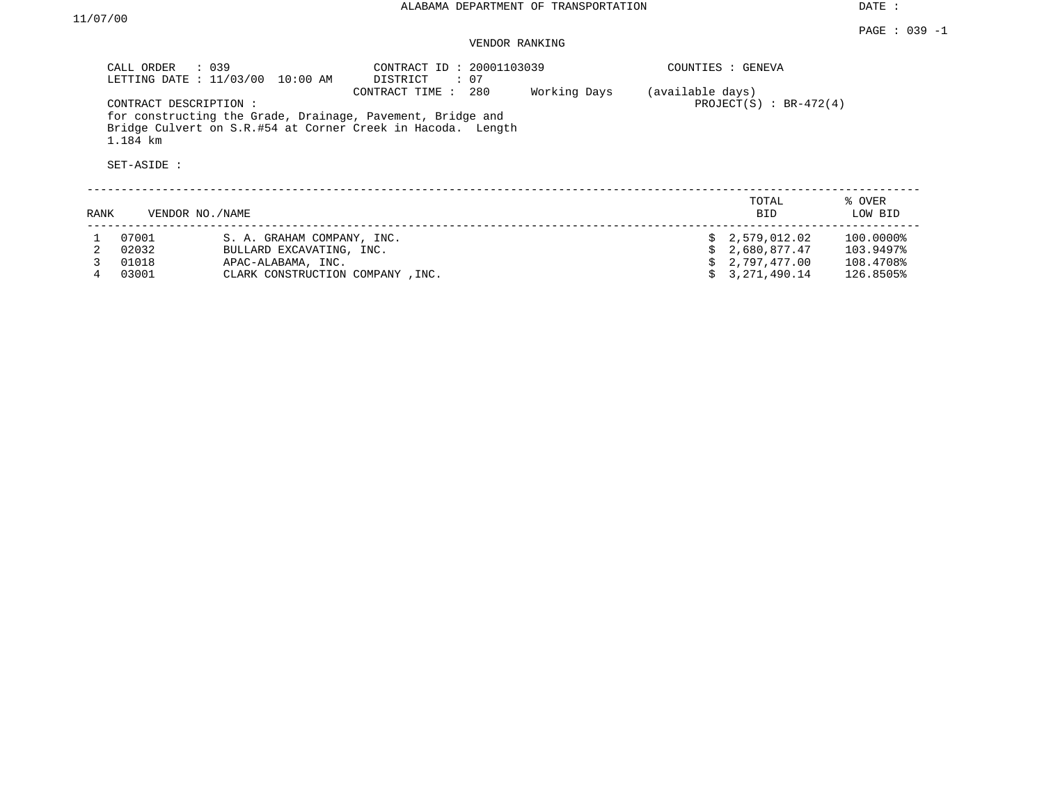DATE :

## VENDOR RANKING

|      | CALL ORDER<br>LETTING DATE : 11/03/00 | : 039<br>10:00 AM                | CONTRACT ID: 20001103039<br>: 07<br>DISTRICT                                                                                                       |              |                  | COUNTIES : GENEVA         |                   |
|------|---------------------------------------|----------------------------------|----------------------------------------------------------------------------------------------------------------------------------------------------|--------------|------------------|---------------------------|-------------------|
|      | CONTRACT DESCRIPTION:<br>1.184 km     |                                  | CONTRACT TIME:<br>280<br>for constructing the Grade, Drainage, Pavement, Bridge and<br>Bridge Culvert on S.R.#54 at Corner Creek in Hacoda. Length | Working Days | (available days) | PROJECT $(S)$ : BR-472(4) |                   |
|      | SET-ASIDE :                           |                                  |                                                                                                                                                    |              |                  |                           |                   |
| RANK | VENDOR NO./NAME                       |                                  |                                                                                                                                                    |              |                  | TOTAL<br>BID.             | % OVER<br>LOW BID |
|      | 07001                                 | S. A. GRAHAM COMPANY, INC.       |                                                                                                                                                    |              |                  | 2,579,012.02              | 100.0000%         |
|      | 02032                                 | BULLARD EXCAVATING, INC.         |                                                                                                                                                    |              |                  | 2,680,877.47              | 103.9497%         |
|      | 01018                                 | APAC-ALABAMA, INC.               |                                                                                                                                                    |              |                  | 2,797,477.00              | 108.4708%         |
|      | 03001                                 | CLARK CONSTRUCTION COMPANY, INC. |                                                                                                                                                    |              |                  | 3,271,490.14              | 126.8505%         |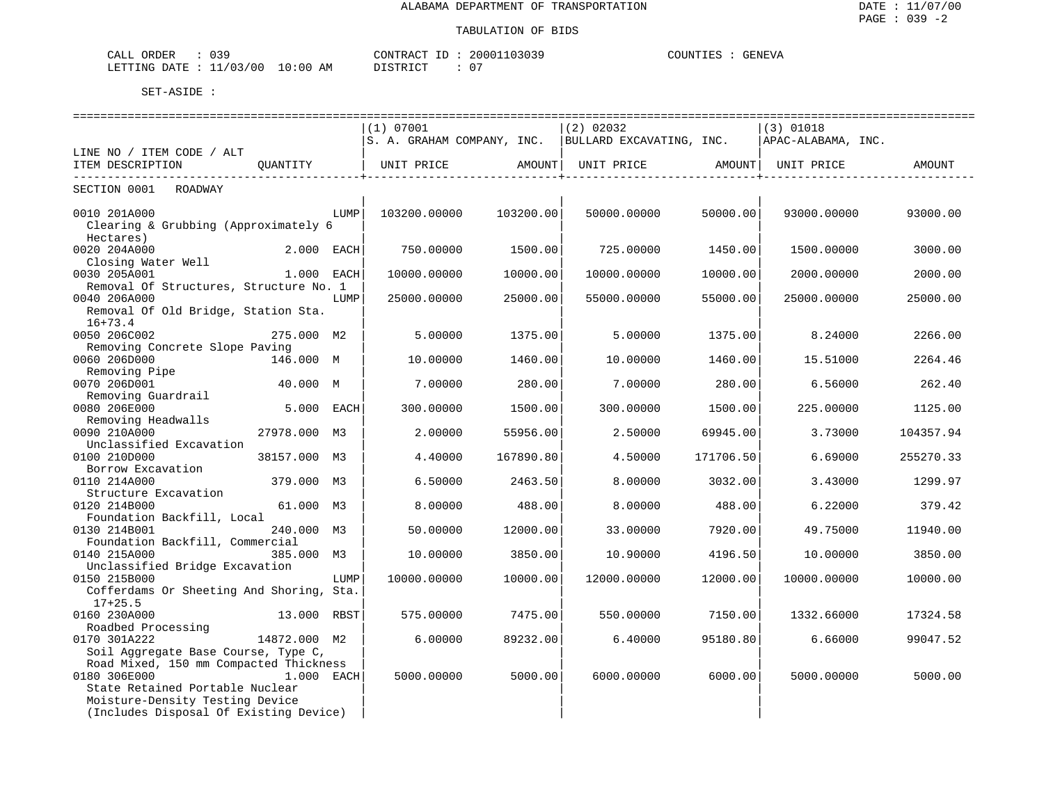| nnr.<br>ORDER<br>$\sim$ $ -$<br>. תי<br>- ⊶<br>للطلاب<br><u> UU - </u> |                  | $\gamma$ NTRA $\ldots$ | ouuu.              | <b>GENEVA</b><br>$\mathsf{A}\cap$<br>$\overline{\phantom{a}}$<br>… ™ ™ ™ |
|------------------------------------------------------------------------|------------------|------------------------|--------------------|--------------------------------------------------------------------------|
| ∼ ∩ /<br>.RTTTNG<br>' O C<br>ם יחד תו<br>____<br>___                   | ΑM<br>TO:0.<br>. | DI STR TOT             | $\sim$ $\sim$<br>◡ |                                                                          |

|                                                       |              |      |              | =========================== | ============================                                                                |           | ========================= |           |
|-------------------------------------------------------|--------------|------|--------------|-----------------------------|---------------------------------------------------------------------------------------------|-----------|---------------------------|-----------|
|                                                       |              |      | (1) 07001    |                             | $(2)$ 02032                                                                                 |           | $(3)$ 01018               |           |
|                                                       |              |      |              |                             | S. A. GRAHAM COMPANY, INC.   BULLARD EXCAVATING, INC.                                       |           | APAC-ALABAMA, INC.        |           |
| LINE NO / ITEM CODE / ALT<br>ITEM DESCRIPTION         | OUANTITY     |      |              |                             | UNIT PRICE                   AMOUNT     UNIT PRICE                    AMOUNT     UNIT PRICE |           |                           | AMOUNT    |
|                                                       |              |      |              |                             |                                                                                             |           |                           |           |
| SECTION 0001 ROADWAY                                  |              |      |              |                             |                                                                                             |           |                           |           |
| 0010 201A000                                          |              | LUMP | 103200.00000 | 103200.00                   | 50000.00000                                                                                 | 50000.00  | 93000.00000               | 93000.00  |
| Clearing & Grubbing (Approximately 6                  |              |      |              |                             |                                                                                             |           |                           |           |
| Hectares)                                             |              |      |              |                             |                                                                                             |           |                           |           |
| 0020 204A000                                          | 2.000 EACH   |      | 750.00000    | 1500.00                     | 725.00000                                                                                   | 1450.00   | 1500.00000                | 3000.00   |
| Closing Water Well                                    |              |      |              |                             |                                                                                             |           |                           |           |
| 0030 205A001                                          | 1.000 EACH   |      | 10000.00000  | 10000.00                    | 10000.00000                                                                                 | 10000.00  | 2000.00000                | 2000.00   |
| Removal Of Structures, Structure No. 1                |              |      |              |                             |                                                                                             |           |                           |           |
| 0040 206A000                                          |              | LUMP | 25000.00000  | 25000.00                    | 55000.00000                                                                                 | 55000.00  | 25000.00000               | 25000.00  |
| Removal Of Old Bridge, Station Sta.                   |              |      |              |                             |                                                                                             |           |                           |           |
| $16 + 73.4$                                           |              |      |              |                             |                                                                                             |           |                           |           |
| 0050 206C002                                          | 275.000 M2   |      | 5.00000      | 1375.00                     | 5.00000                                                                                     | 1375.00   | 8.24000                   | 2266.00   |
| Removing Concrete Slope Paving<br>0060 206D000        | 146.000 M    |      | 10.00000     | 1460.00                     | 10.00000                                                                                    | 1460.00   |                           | 2264.46   |
| Removing Pipe                                         |              |      |              |                             |                                                                                             |           | 15.51000                  |           |
| 0070 206D001                                          | 40.000 M     |      | 7.00000      | 280.00                      | 7.00000                                                                                     | 280.00    | 6.56000                   | 262.40    |
| Removing Guardrail                                    |              |      |              |                             |                                                                                             |           |                           |           |
| 0080 206E000                                          | 5.000 EACH   |      | 300.00000    | 1500.00                     | 300.00000                                                                                   | 1500.00   | 225.00000                 | 1125.00   |
| Removing Headwalls                                    |              |      |              |                             |                                                                                             |           |                           |           |
| 0090 210A000                                          | 27978.000 M3 |      | 2,00000      | 55956.00                    | 2.50000                                                                                     | 69945.00  | 3.73000                   | 104357.94 |
| Unclassified Excavation                               |              |      |              |                             |                                                                                             |           |                           |           |
| 0100 210D000                                          | 38157.000 M3 |      | 4.40000      | 167890.80                   | 4.50000                                                                                     | 171706.50 | 6.69000                   | 255270.33 |
| Borrow Excavation                                     |              |      |              |                             |                                                                                             |           |                           |           |
| 0110 214A000                                          | 379.000 M3   |      | 6.50000      | 2463.50                     | 8.00000                                                                                     | 3032.00   | 3.43000                   | 1299.97   |
| Structure Excavation                                  |              |      |              |                             |                                                                                             |           |                           |           |
| 0120 214B000                                          | 61.000 M3    |      | 8,00000      | 488.00                      | 8.00000                                                                                     | 488.00    | 6.22000                   | 379.42    |
| Foundation Backfill, Local                            |              |      |              |                             |                                                                                             |           |                           |           |
| 0130 214B001<br>Foundation Backfill, Commercial       | 240.000 M3   |      | 50.00000     | 12000.00                    | 33,00000                                                                                    | 7920.00   | 49.75000                  | 11940.00  |
| 0140 215A000                                          | 385.000 M3   |      | 10.00000     | 3850.00                     | 10.90000                                                                                    | 4196.50   | 10.00000                  | 3850.00   |
| Unclassified Bridge Excavation                        |              |      |              |                             |                                                                                             |           |                           |           |
| 0150 215B000                                          |              | LUMP | 10000.00000  | 10000.00                    | 12000.00000                                                                                 | 12000.00  | 10000.00000               | 10000.00  |
| Cofferdams Or Sheeting And Shoring, Sta.<br>$17+25.5$ |              |      |              |                             |                                                                                             |           |                           |           |
| 0160 230A000                                          | 13.000 RBST  |      | 575.00000    | 7475.00                     | 550.00000                                                                                   | 7150.00   | 1332.66000                | 17324.58  |
| Roadbed Processing                                    |              |      |              |                             |                                                                                             |           |                           |           |
| 0170 301A222                                          | 14872.000 M2 |      | 6.00000      | 89232.00                    | 6.40000                                                                                     | 95180.80  | 6.66000                   | 99047.52  |
| Soil Aggregate Base Course, Type C,                   |              |      |              |                             |                                                                                             |           |                           |           |
| Road Mixed, 150 mm Compacted Thickness                |              |      |              |                             |                                                                                             |           |                           |           |
| 0180 306E000                                          | 1.000 EACH   |      | 5000.00000   | 5000.00                     | 6000.00000                                                                                  | 6000.00   | 5000.00000                | 5000.00   |
| State Retained Portable Nuclear                       |              |      |              |                             |                                                                                             |           |                           |           |
| Moisture-Density Testing Device                       |              |      |              |                             |                                                                                             |           |                           |           |
| (Includes Disposal Of Existing Device)                |              |      |              |                             |                                                                                             |           |                           |           |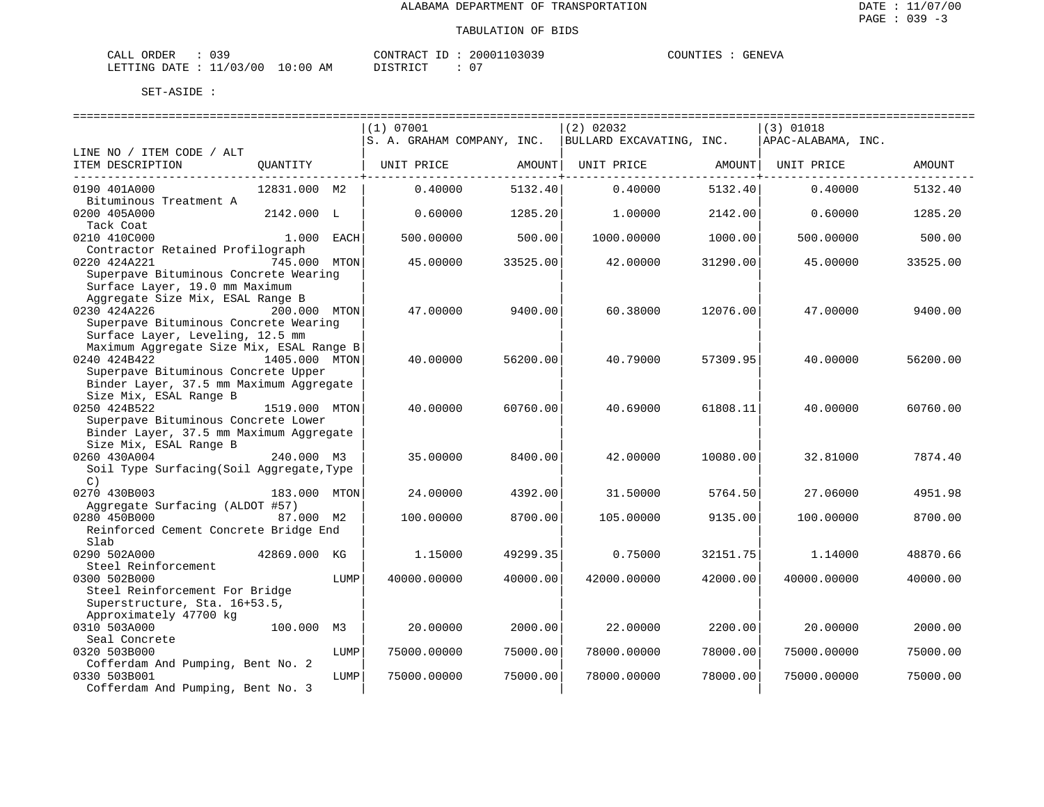| ORDER<br>CALL             | $\sim$ $\sim$ $\sim$ |             | CONTRACT<br>$\tau$ | 20001103039 | COUNTIES | GENEVA |
|---------------------------|----------------------|-------------|--------------------|-------------|----------|--------|
| LETTING DATE : $11/03/00$ |                      | 10:00<br>ΑM | חי הדי אידי את     | _ດ –        |          |        |

|                                           |               |             | (1) 07001                  |             | $(2)$ 02032              |             | (3) 01018          |          |
|-------------------------------------------|---------------|-------------|----------------------------|-------------|--------------------------|-------------|--------------------|----------|
|                                           |               |             | S. A. GRAHAM COMPANY, INC. |             | BULLARD EXCAVATING, INC. |             | APAC-ALABAMA, INC. |          |
| LINE NO / ITEM CODE / ALT                 |               |             |                            |             |                          |             |                    |          |
| ITEM DESCRIPTION                          | QUANTITY      |             | UNIT PRICE                 | AMOUNT      | UNIT PRICE AMOUNT        |             | UNIT PRICE         | AMOUNT   |
| 0190 401A000                              | 12831.000 M2  |             | 0.40000                    | 5132.40     | 0.40000                  | 5132.40     | 0.40000            | 5132.40  |
| Bituminous Treatment A                    |               |             |                            |             |                          |             |                    |          |
| 0200 405A000                              | 2142.000 L    |             | 0.60000                    | 1285.20     | 1,00000                  | 2142.00     | 0.60000            | 1285.20  |
| Tack Coat                                 |               |             |                            |             |                          |             |                    |          |
| 0210 410C000                              |               | 1.000 EACH  | 500.00000                  | 500.00      | 1000.00000               | 1000.00     | 500.00000          | 500.00   |
| Contractor Retained Profilograph          |               |             |                            |             |                          |             |                    |          |
| 0220 424A221                              | 745.000 MTON  |             | 45.00000                   | 33525.00    | 42.00000                 | 31290.00    | 45.00000           | 33525.00 |
| Superpave Bituminous Concrete Wearing     |               |             |                            |             |                          |             |                    |          |
| Surface Layer, 19.0 mm Maximum            |               |             |                            |             |                          |             |                    |          |
| Aggregate Size Mix, ESAL Range B          |               |             |                            |             |                          |             |                    |          |
| 0230 424A226                              | 200.000 MTON  |             | 47.00000                   | 9400.00     | 60.38000                 | 12076.00    | 47.00000           | 9400.00  |
| Superpave Bituminous Concrete Wearing     |               |             |                            |             |                          |             |                    |          |
| Surface Layer, Leveling, 12.5 mm          |               |             |                            |             |                          |             |                    |          |
| Maximum Aggregate Size Mix, ESAL Range B  |               |             |                            |             |                          |             |                    |          |
| 0240 424B422                              | 1405.000 MTON |             | 40.00000                   | 56200.00    | 40.79000                 | 57309.95    | 40.00000           | 56200.00 |
| Superpave Bituminous Concrete Upper       |               |             |                            |             |                          |             |                    |          |
| Binder Layer, 37.5 mm Maximum Aggregate   |               |             |                            |             |                          |             |                    |          |
| Size Mix, ESAL Range B                    |               |             |                            |             |                          |             |                    |          |
| 0250 424B522                              | 1519.000 MTON |             | 40.00000                   | 60760.00    | 40.69000                 | 61808.11    | 40.00000           | 60760.00 |
| Superpave Bituminous Concrete Lower       |               |             |                            |             |                          |             |                    |          |
| Binder Layer, 37.5 mm Maximum Aggregate   |               |             |                            |             |                          |             |                    |          |
| Size Mix, ESAL Range B                    |               |             |                            |             |                          |             |                    |          |
| 0260 430A004                              | 240.000 M3    |             | 35.00000                   | 8400.00     | 42.00000                 | 10080.00    | 32.81000           | 7874.40  |
| Soil Type Surfacing (Soil Aggregate, Type |               |             |                            |             |                          |             |                    |          |
| C)                                        |               |             |                            |             |                          |             |                    |          |
| 0270 430B003                              | 183.000 MTON  |             | 24.00000                   | 4392.00     | 31.50000                 | 5764.50     | 27.06000           | 4951.98  |
| Aggregate Surfacing (ALDOT #57)           |               |             |                            |             |                          |             |                    |          |
| 0280 450B000                              | 87.000 M2     |             | 100.00000                  | 8700.00     | 105.00000                | 9135.00     | 100.00000          | 8700.00  |
| Reinforced Cement Concrete Bridge End     |               |             |                            |             |                          |             |                    |          |
| Slab                                      |               |             |                            |             |                          |             |                    |          |
| 0290 502A000                              | 42869.000 KG  |             | 1.15000                    | 49299.35    | 0.75000                  | 32151.75    | 1.14000            | 48870.66 |
| Steel Reinforcement                       |               |             |                            |             |                          |             |                    |          |
| 0300 502B000                              |               | LUMP        | 40000.00000                | 40000.00    | 42000.00000              | 42000.00    | 40000.00000        | 40000.00 |
| Steel Reinforcement For Bridge            |               |             |                            |             |                          |             |                    |          |
| Superstructure, Sta. 16+53.5,             |               |             |                            |             |                          |             |                    |          |
| Approximately 47700 kg                    |               |             |                            |             |                          |             |                    |          |
| 0310 503A000                              | 100.000 M3    |             | 20.00000                   | 2000.00     | 22.00000                 | 2200.00     | 20,00000           | 2000.00  |
| Seal Concrete                             |               |             |                            |             |                          |             |                    |          |
| 0320 503B000<br>LUMP                      |               | 75000.00000 | 75000.00                   | 78000.00000 | 78000.00                 | 75000.00000 | 75000.00           |          |
| Cofferdam And Pumping, Bent No. 2         |               |             |                            |             |                          |             |                    |          |
| 0330 503B001<br>LUMP                      |               | 75000.00000 | 75000.00                   | 78000.00000 | 78000.00                 | 75000.00000 | 75000.00           |          |
| Cofferdam And Pumping, Bent No. 3         |               |             |                            |             |                          |             |                    |          |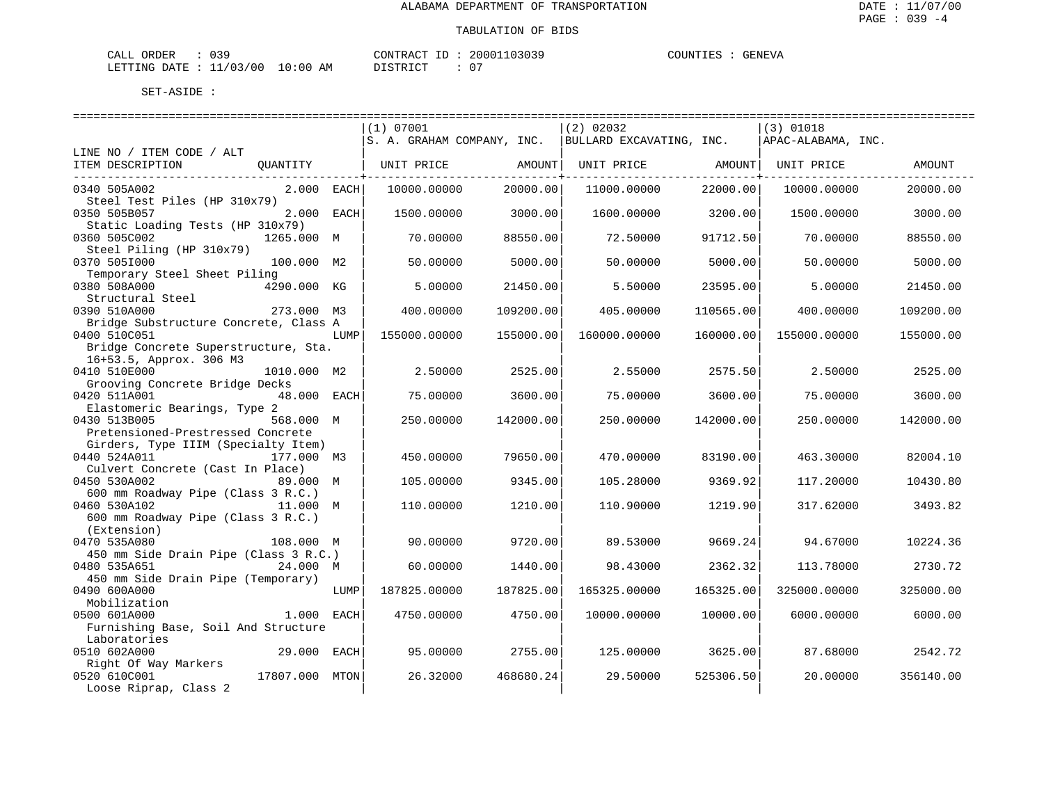| CALL ORDER | 039                              | CONTRACT ID: | 20001103039 | COUNTIES |  | GENEVA |
|------------|----------------------------------|--------------|-------------|----------|--|--------|
|            | LETTING DATE : 11/03/00 10:00 AM | DISTRICT     | _ດ –        |          |  |        |

|                                       |                                  |      | (1) 07001                  |           | (2) 02032                |           | (3) 01018          |           |
|---------------------------------------|----------------------------------|------|----------------------------|-----------|--------------------------|-----------|--------------------|-----------|
|                                       |                                  |      | S. A. GRAHAM COMPANY, INC. |           | BULLARD EXCAVATING, INC. |           | APAC-ALABAMA, INC. |           |
| LINE NO / ITEM CODE / ALT             |                                  |      |                            |           |                          |           |                    |           |
| ITEM DESCRIPTION                      | OUANTITY                         |      | UNIT PRICE                 | AMOUNT    | UNIT PRICE AMOUNT        |           | UNIT PRICE         | AMOUNT    |
|                                       |                                  |      |                            |           |                          | --------+ |                    |           |
| 0340 505A002                          | 2.000 EACH                       |      | 10000.00000                | 20000.00  | 11000.00000              | 22000.00  | 10000.00000        | 20000.00  |
| Steel Test Piles (HP 310x79)          |                                  |      |                            |           |                          |           |                    |           |
| 0350 505B057                          | 2.000 EACH                       |      | 1500.00000                 | 3000.00   | 1600.00000               | 3200.00   | 1500.00000         | 3000.00   |
|                                       | Static Loading Tests (HP 310x79) |      |                            |           |                          |           |                    |           |
| 0360 505C002                          | 1265.000 M                       |      | 70.00000                   | 88550.00  | 72.50000                 | 91712.50  | 70.00000           | 88550.00  |
| Steel Piling (HP 310x79)              |                                  |      |                            |           |                          |           |                    |           |
| 0370 5051000                          | 100.000 M2                       |      | 50.00000                   | 5000.00   | 50.00000                 | 5000.00   | 50.00000           | 5000.00   |
| Temporary Steel Sheet Piling          |                                  |      |                            |           |                          |           |                    |           |
| 0380 508A000                          | 4290.000 KG                      |      | 5.00000                    | 21450.00  | 5.50000                  | 23595.00  | 5.00000            | 21450.00  |
| Structural Steel                      |                                  |      |                            |           |                          |           |                    |           |
| 0390 510A000                          | 273.000 M3                       |      | 400.00000                  | 109200.00 | 405.00000                | 110565.00 | 400.00000          | 109200.00 |
| Bridge Substructure Concrete, Class A |                                  |      |                            |           |                          |           |                    |           |
| 0400 510C051                          |                                  | LUMP | 155000.00000               | 155000.00 | 160000.00000             | 160000.00 | 155000.00000       | 155000.00 |
| Bridge Concrete Superstructure, Sta.  |                                  |      |                            |           |                          |           |                    |           |
| 16+53.5, Approx. 306 M3               |                                  |      |                            |           |                          |           |                    |           |
| 0410 510E000                          | 1010.000 M2                      |      | 2.50000                    | 2525.00   | 2.55000                  | 2575.50   | 2.50000            | 2525.00   |
| Grooving Concrete Bridge Decks        |                                  |      |                            |           |                          |           |                    |           |
| 0420 511A001                          | 48.000 EACH                      |      | 75.00000                   | 3600.00   | 75.00000                 | 3600.00   | 75.00000           | 3600.00   |
| Elastomeric Bearings, Type 2          |                                  |      |                            |           |                          |           |                    |           |
| 0430 513B005                          | 568.000 M                        |      | 250.00000                  | 142000.00 | 250.00000                | 142000.00 | 250.00000          | 142000.00 |
| Pretensioned-Prestressed Concrete     |                                  |      |                            |           |                          |           |                    |           |
| Girders, Type IIIM (Specialty Item)   |                                  |      |                            |           |                          |           |                    |           |
| 0440 524A011                          | 177.000 M3                       |      | 450.00000                  | 79650.00  | 470.00000                | 83190.00  | 463.30000          | 82004.10  |
| Culvert Concrete (Cast In Place)      |                                  |      |                            |           |                          |           |                    |           |
| 0450 530A002                          | 89.000 M                         |      | 105.00000                  | 9345.00   | 105.28000                | 9369.92   | 117.20000          | 10430.80  |
| 600 mm Roadway Pipe (Class 3 R.C.)    |                                  |      |                            |           |                          |           |                    |           |
| 0460 530A102                          | 11.000 M                         |      | 110.00000                  | 1210.00   | 110.90000                | 1219.90   | 317.62000          | 3493.82   |
| 600 mm Roadway Pipe (Class 3 R.C.)    |                                  |      |                            |           |                          |           |                    |           |
| (Extension)                           |                                  |      |                            |           |                          |           |                    |           |
| 0470 535A080                          | 108.000 M                        |      | 90.00000                   | 9720.00   | 89.53000                 | 9669.24   | 94.67000           | 10224.36  |
| 450 mm Side Drain Pipe (Class 3 R.C.) |                                  |      |                            |           |                          |           |                    |           |
| 0480 535A651                          | 24.000 M                         |      | 60.00000                   | 1440.00   | 98.43000                 | 2362.32   | 113.78000          | 2730.72   |
| 450 mm Side Drain Pipe (Temporary)    |                                  |      |                            |           |                          |           |                    |           |
| 0490 600A000                          |                                  | LUMP | 187825.00000               | 187825.00 | 165325.00000             | 165325.00 | 325000.00000       | 325000.00 |
| Mobilization                          |                                  |      |                            |           |                          |           |                    |           |
| 0500 601A000                          | 1.000 EACH                       |      | 4750.00000                 | 4750.00   | 10000.00000              | 10000.00  | 6000.00000         | 6000.00   |
| Furnishing Base, Soil And Structure   |                                  |      |                            |           |                          |           |                    |           |
| Laboratories                          |                                  |      |                            |           |                          |           |                    |           |
| 0510 602A000                          | 29.000 EACH                      |      | 95.00000                   | 2755.00   | 125.00000                | 3625.00   | 87.68000           | 2542.72   |
| Right Of Way Markers<br>0520 610C001  | 17807.000 MTON                   |      | 26.32000                   | 468680.24 | 29.50000                 | 525306.50 | 20.00000           | 356140.00 |
| Loose Riprap, Class 2                 |                                  |      |                            |           |                          |           |                    |           |
|                                       |                                  |      |                            |           |                          |           |                    |           |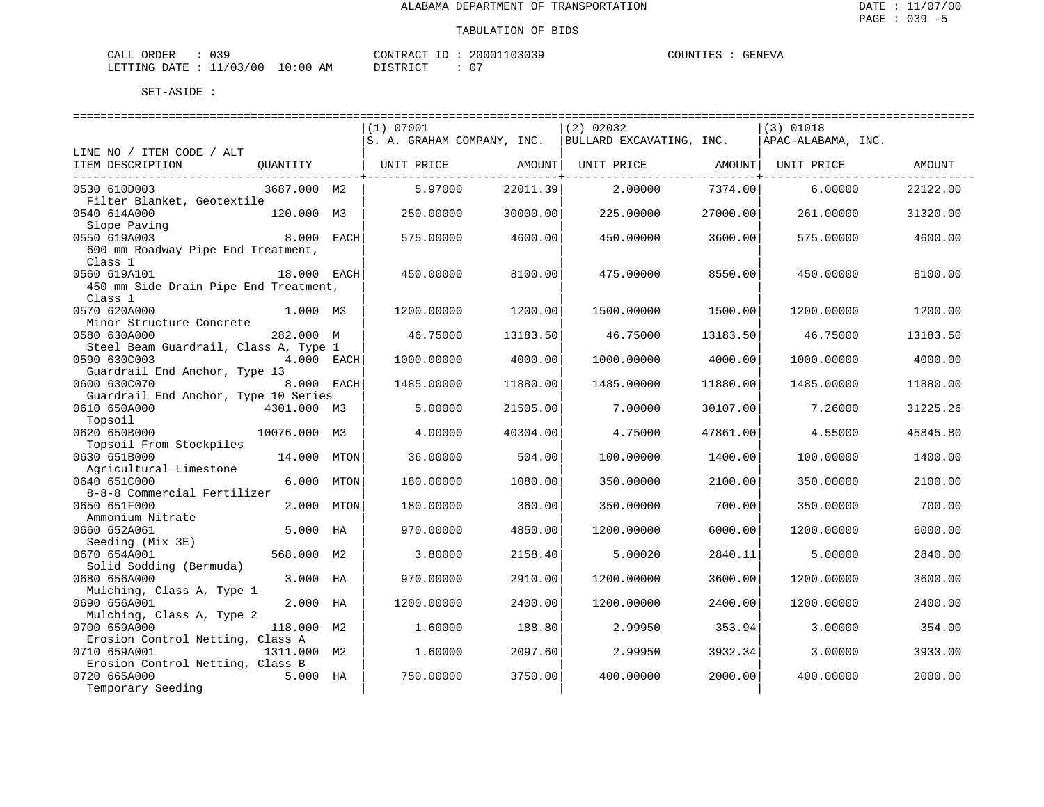| CALL<br>ORDER             | ົ່<br>و د ن |             | CONTRACT ID               | 20001103039 | COUNTIES | <b>GENEVA</b> |
|---------------------------|-------------|-------------|---------------------------|-------------|----------|---------------|
| LETTING DATE : $11/03/00$ |             | 10:00<br>ΑM | DI STR TAT<br>. - - - - - | ∩ "         |          |               |

|                                       |              |         | (1) 07001                  |          | (2) 02032                |          | (3) 01018          |          |
|---------------------------------------|--------------|---------|----------------------------|----------|--------------------------|----------|--------------------|----------|
|                                       |              |         | S. A. GRAHAM COMPANY, INC. |          | BULLARD EXCAVATING, INC. |          | APAC-ALABAMA, INC. |          |
| LINE NO / ITEM CODE / ALT             |              |         |                            |          |                          |          |                    |          |
| ITEM DESCRIPTION                      | OUANTITY     |         | UNIT PRICE                 | AMOUNT   | UNIT PRICE               | AMOUNT   | UNIT PRICE         | AMOUNT   |
|                                       |              |         |                            |          |                          |          |                    |          |
| 0530 610D003                          | 3687.000 M2  |         | 5.97000                    | 22011.39 | 2,00000                  | 7374.00  | 6,00000            | 22122.00 |
| Filter Blanket, Geotextile            |              |         |                            |          |                          |          |                    |          |
| 0540 614A000                          | 120.000 M3   |         | 250.00000                  | 30000.00 | 225,00000                | 27000.00 | 261,00000          | 31320.00 |
| Slope Paving                          |              |         |                            |          |                          |          |                    |          |
| 0550 619A003                          | 8.000 EACH   |         | 575.00000                  | 4600.00  | 450.00000                | 3600.00  | 575.00000          | 4600.00  |
| 600 mm Roadway Pipe End Treatment,    |              |         |                            |          |                          |          |                    |          |
| Class 1                               |              |         |                            |          |                          |          |                    |          |
| 0560 619A101                          | 18.000 EACH  |         | 450.00000                  | 8100.00  | 475.00000                | 8550.00  | 450.00000          | 8100.00  |
| 450 mm Side Drain Pipe End Treatment, |              |         |                            |          |                          |          |                    |          |
| Class 1                               |              |         |                            |          |                          |          |                    |          |
| 0570 620A000                          | 1.000 M3     |         | 1200.00000                 | 1200.00  | 1500.00000               | 1500.00  | 1200.00000         | 1200.00  |
| Minor Structure Concrete              |              |         |                            |          |                          |          |                    |          |
| 0580 630A000                          | 282.000 M    |         | 46.75000                   | 13183.50 | 46.75000                 | 13183.50 | 46.75000           | 13183.50 |
| Steel Beam Guardrail, Class A, Type 1 |              |         |                            |          |                          |          |                    |          |
| 0590 630C003                          | 4.000 EACH   |         | 1000.00000                 | 4000.00  | 1000.00000               | 4000.00  | 1000.00000         | 4000.00  |
|                                       |              |         |                            |          |                          |          |                    |          |
| Guardrail End Anchor, Type 13         |              |         |                            |          |                          |          |                    |          |
| 0600 630C070                          | 8.000 EACH   |         | 1485.00000                 | 11880.00 | 1485.00000               | 11880.00 | 1485.00000         | 11880.00 |
| Guardrail End Anchor, Type 10 Series  |              |         |                            |          |                          |          |                    |          |
| 0610 650A000                          | 4301.000 M3  |         | 5.00000                    | 21505.00 | 7.00000                  | 30107.00 | 7.26000            | 31225.26 |
| Topsoil                               |              |         |                            |          |                          |          |                    |          |
| 0620 650B000                          | 10076.000 M3 |         | 4.00000                    | 40304.00 | 4.75000                  | 47861.00 | 4.55000            | 45845.80 |
| Topsoil From Stockpiles               |              |         |                            |          |                          |          |                    |          |
| 0630 651B000                          | 14.000       | MTON    | 36.00000                   | 504.00   | 100.00000                | 1400.00  | 100,00000          | 1400.00  |
| Agricultural Limestone                |              |         |                            |          |                          |          |                    |          |
| 0640 651C000                          | 6.000        | MTON    | 180.00000                  | 1080.00  | 350.00000                | 2100.00  | 350.00000          | 2100.00  |
| 8-8-8 Commercial Fertilizer           |              |         |                            |          |                          |          |                    |          |
| 0650 651F000                          | 2.000        | MTON    | 180.00000                  | 360.00   | 350.00000                | 700.00   | 350.00000          | 700.00   |
| Ammonium Nitrate                      |              |         |                            |          |                          |          |                    |          |
| 0660 652A061                          | 5.000 HA     |         | 970.00000                  | 4850.00  | 1200.00000               | 6000.00  | 1200.00000         | 6000.00  |
| Seeding (Mix 3E)                      |              |         |                            |          |                          |          |                    |          |
| 0670 654A001                          | 568.000 M2   |         | 3.80000                    | 2158.40  | 5.00020                  | 2840.11  | 5.00000            | 2840.00  |
| Solid Sodding (Bermuda)               |              |         |                            |          |                          |          |                    |          |
| 0680 656A000                          | 3.000 HA     |         | 970.00000                  | 2910.00  | 1200.00000               | 3600.00  | 1200.00000         | 3600.00  |
| Mulching, Class A, Type 1             |              |         |                            |          |                          |          |                    |          |
| 0690 656A001                          | 2.000 HA     |         | 1200.00000                 | 2400.00  | 1200.00000               | 2400.00  | 1200.00000         | 2400.00  |
| Mulching, Class A, Type 2             |              |         |                            |          |                          |          |                    |          |
| 0700 659A000                          | 118.000 M2   |         | 1.60000                    | 188.80   | 2.99950                  | 353.94   | 3.00000            | 354.00   |
| Erosion Control Netting, Class A      |              |         |                            |          |                          |          |                    |          |
| 0710 659A001                          | 1311.000 M2  | 1,60000 | 2097.60                    | 2.99950  | 3932.34                  | 3,00000  | 3933.00            |          |
| Erosion Control Netting, Class B      |              |         |                            |          |                          |          |                    |          |
| 0720 665A000                          | 5.000 HA     |         | 750.00000                  | 3750.00  | 400.00000                | 2000.00  | 400.00000          | 2000.00  |
| Temporary Seeding                     |              |         |                            |          |                          |          |                    |          |
|                                       |              |         |                            |          |                          |          |                    |          |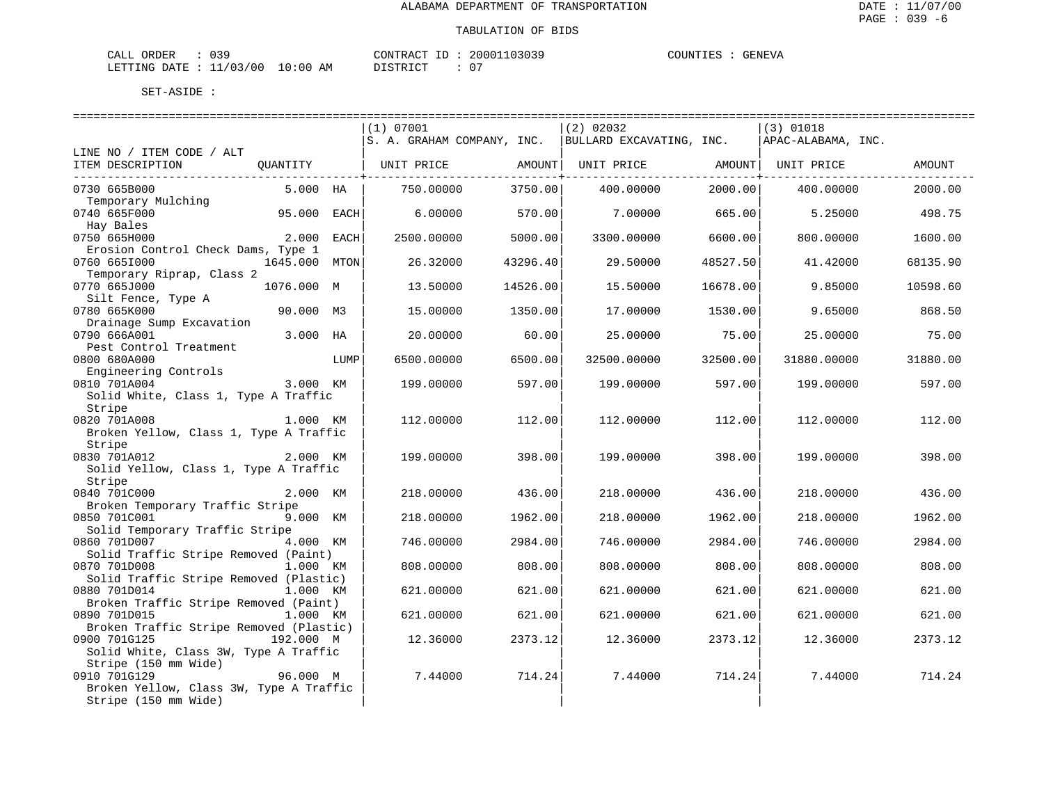| ORDER<br>CALL             | $\sim$ $\sim$ $\sim$ |             | CONTRACT<br>$\tau$ | 20001103039 | COUNTIES | GENEVA |
|---------------------------|----------------------|-------------|--------------------|-------------|----------|--------|
| LETTING DATE : $11/03/00$ |                      | 10:00<br>ΑM | חי הדי אידי את     | _ດ –        |          |        |

|                                                                              |               |      | (1) 07001  |          | (2) 02032                                                                     |          | $(3)$ 01018 |          |
|------------------------------------------------------------------------------|---------------|------|------------|----------|-------------------------------------------------------------------------------|----------|-------------|----------|
|                                                                              |               |      |            |          | $ S. A. GRAHAM COMPANY, INC.   BULLARD EXCAVATING, INC.   APAC-ALABAMA, INC.$ |          |             |          |
| LINE NO / ITEM CODE / ALT                                                    |               |      |            |          |                                                                               |          |             |          |
| ITEM DESCRIPTION QUANTITY   UNIT PRICE AMOUNT  UNIT PRICE AMOUNT  UNIT PRICE |               |      |            |          |                                                                               |          |             | AMOUNT   |
| --------------------------------                                             |               |      |            |          |                                                                               |          |             |          |
| 0730 665B000                                                                 | 5.000 HA      |      | 750.00000  | 3750.00  | 400.00000                                                                     | 2000.00  | 400.00000   | 2000.00  |
| Temporary Mulching                                                           |               |      |            |          |                                                                               |          |             |          |
| 0740 665F000                                                                 | $95.000$ EACH |      | 6.00000    | 570.00   | 7.00000 665.00                                                                |          | 5.25000     | 498.75   |
| Hay Bales                                                                    |               |      |            |          |                                                                               |          |             |          |
| 0750 665H000                                                                 | 2.000         | EACH | 2500.00000 | 5000.00  | 3300.00000                                                                    | 6600.00  | 800.00000   | 1600.00  |
| Erosion Control Check Dams, Type 1                                           |               |      |            |          |                                                                               |          |             |          |
| 0760 6651000                                                                 | 1645.000      | MTON | 26.32000   | 43296.40 | 29.50000                                                                      | 48527.50 | 41.42000    | 68135.90 |
| Temporary Riprap, Class 2                                                    |               |      |            |          |                                                                               |          |             |          |
| 0770 665J000                                                                 | 1076.000 M    |      | 13.50000   | 14526.00 | 15.50000                                                                      | 16678.00 | 9.85000     | 10598.60 |
| Silt Fence, Type A                                                           |               |      |            |          |                                                                               |          |             |          |
| 0780 665K000                                                                 | 90.000 M3     |      | 15,00000   | 1350.00  | 17.00000                                                                      | 1530.00  | 9.65000     | 868.50   |
| Drainage Sump Excavation                                                     |               |      |            |          |                                                                               |          |             |          |
| 0790 666A001                                                                 | 3.000 HA      |      | 20.00000   | 60.00    | 25,00000                                                                      | 75.00    | 25.00000    | 75.00    |
| Pest Control Treatment                                                       |               |      |            |          |                                                                               |          |             |          |
| 0800 680A000                                                                 |               | LUMP | 6500.00000 | 6500.00  | 32500.00000                                                                   | 32500.00 | 31880.00000 | 31880.00 |
| Engineering Controls                                                         |               |      |            |          |                                                                               |          |             |          |
| 3.000 KM<br>0810 701A004                                                     |               |      | 199.00000  | 597.00   | 199.00000                                                                     | 597.00   | 199.00000   | 597.00   |
| Solid White, Class 1, Type A Traffic                                         |               |      |            |          |                                                                               |          |             |          |
| Stripe                                                                       |               |      |            |          |                                                                               |          |             |          |
| 0820 701A008 1.000 KM                                                        |               |      | 112,00000  | 112.00   | 112,00000                                                                     | 112.00   | 112,00000   | 112.00   |
| Broken Yellow, Class 1, Type A Traffic                                       |               |      |            |          |                                                                               |          |             |          |
| Stripe                                                                       |               |      |            |          |                                                                               |          |             |          |
| 0830 701A012                                                                 | 2.000 KM      |      | 199.00000  | 398.00   | 199.00000                                                                     | 398.00   | 199.00000   | 398.00   |
| Solid Yellow, Class 1, Type A Traffic                                        |               |      |            |          |                                                                               |          |             |          |
| Stripe                                                                       |               |      |            |          |                                                                               |          |             |          |
| 0840 701C000                                                                 | 2.000 KM      |      | 218.00000  | 436.00   | 218.00000                                                                     | 436.00   | 218.00000   | 436.00   |
| Broken Temporary Traffic Stripe                                              |               |      |            |          |                                                                               |          |             |          |
| 0850 701C001                                                                 | 9.000 KM      |      | 218,00000  | 1962.00  | 218,00000                                                                     | 1962.00  | 218,00000   | 1962.00  |
| Solid Temporary Traffic Stripe                                               |               |      |            |          |                                                                               |          |             |          |
|                                                                              | 4.000 KM      |      | 746.00000  | 2984.00  | 746.00000                                                                     | 2984.00  | 746.00000   | 2984.00  |
| Solid Traffic Stripe Removed (Paint)                                         |               |      |            |          |                                                                               |          |             |          |
| 0870 701D008                                                                 | 1.000 KM      |      | 808,00000  | 808.00   | 808,00000                                                                     | 808.00   | 808,00000   | 808.00   |
| Solid Traffic Stripe Removed (Plastic)                                       |               |      |            |          |                                                                               |          |             |          |
| 0880 701D014                                                                 | 1.000 KM      |      | 621.00000  | 621.00   | 621.00000                                                                     | 621.00   | 621.00000   | 621.00   |
| Broken Traffic Stripe Removed (Paint)                                        |               |      |            |          |                                                                               |          |             |          |
| 0890 701D015                                                                 | 1.000 KM      |      | 621,00000  | 621.00   | 621.00000                                                                     | 621.00   | 621,00000   | 621.00   |
| Broken Traffic Stripe Removed (Plastic)                                      |               |      |            |          |                                                                               |          |             |          |
| 0900 701G125                                                                 | 192.000 M     |      | 12.36000   | 2373.12  | 12.36000                                                                      | 2373.12  | 12.36000    | 2373.12  |
| Solid White, Class 3W, Type A Traffic                                        |               |      |            |          |                                                                               |          |             |          |
| Stripe (150 mm Wide)                                                         |               |      |            |          |                                                                               |          |             |          |
| 0910 701G129                                                                 | 96.000 M      |      | 7.44000    | 714.24   | 7.44000                                                                       | 714.24   | 7.44000     | 714.24   |
| Broken Yellow, Class 3W, Type A Traffic                                      |               |      |            |          |                                                                               |          |             |          |
| Stripe (150 mm Wide)                                                         |               |      |            |          |                                                                               |          |             |          |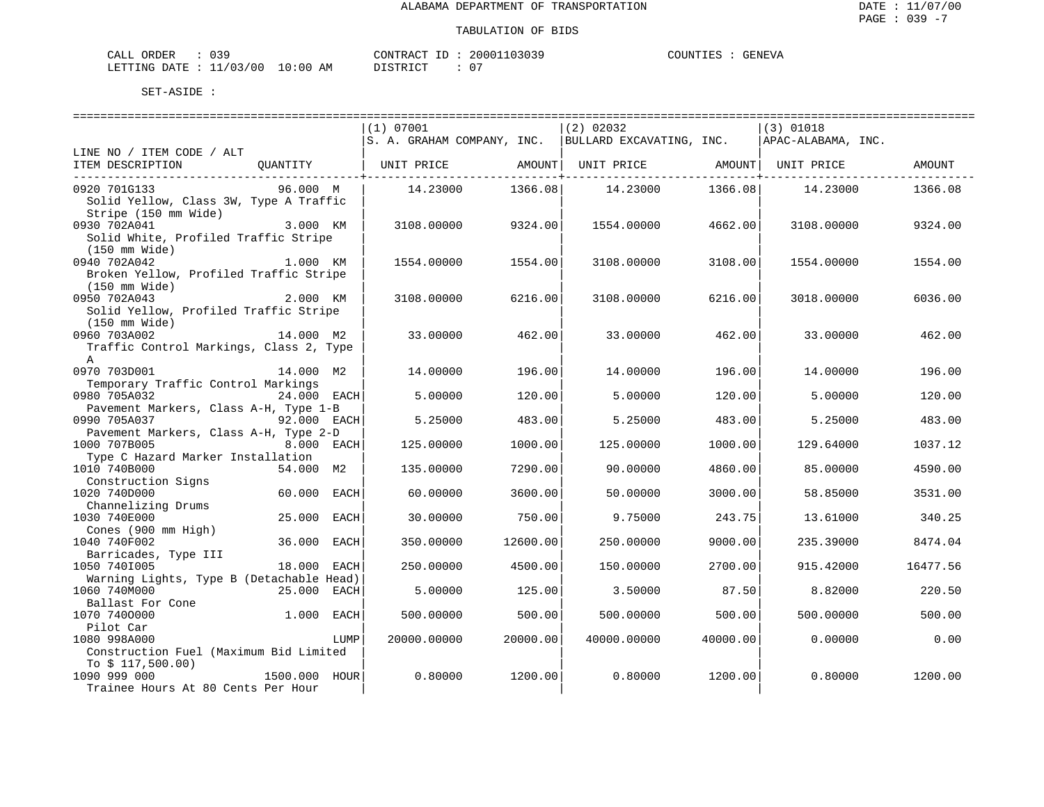| NR DER<br>™AT.T<br>للتلتاب | - 999                              |                                                                                                                                | TONTR ACT   | $ -$ | 10303c<br>20001 | COUNTIES | GENEV <sup>"</sup> |
|----------------------------|------------------------------------|--------------------------------------------------------------------------------------------------------------------------------|-------------|------|-----------------|----------|--------------------|
| LETTING DATE               | 1/03/<br>◡<br>. <i>.</i><br>$\sim$ | 10:00<br>ΑM<br>the contract of the contract of the contract of the contract of the contract of the contract of the contract of | - <b>An</b> |      | $\cap$          |          |                    |

|                                          |               |      | ==============================                                     |          | ====================== |          | ============================= |          |
|------------------------------------------|---------------|------|--------------------------------------------------------------------|----------|------------------------|----------|-------------------------------|----------|
|                                          |               |      | (1) 07001                                                          |          | (2) 02032              |          | (3) 01018                     |          |
|                                          |               |      | S. A. GRAHAM COMPANY, INC. BULLARD EXCAVATING, INC.                |          |                        |          | APAC-ALABAMA, INC.            |          |
| LINE NO / ITEM CODE / ALT                |               |      |                                                                    |          |                        |          |                               |          |
| ITEM DESCRIPTION                         | QUANTITY      |      | UNIT PRICE         AMOUNT   UNIT PRICE         AMOUNT   UNIT PRICE |          |                        |          |                               | AMOUNT   |
| 0920 701G133                             | 96.000 M      |      | 14.23000                                                           | 1366.08  | 14.23000               | 1366.08  | 14.23000                      | 1366.08  |
| Solid Yellow, Class 3W, Type A Traffic   |               |      |                                                                    |          |                        |          |                               |          |
| Stripe (150 mm Wide)                     |               |      |                                                                    |          |                        |          |                               |          |
| 0930 702A041                             | 3.000 KM      |      | 3108,00000                                                         | 9324.00  | 1554.00000             | 4662.00  | 3108,00000                    | 9324.00  |
| Solid White, Profiled Traffic Stripe     |               |      |                                                                    |          |                        |          |                               |          |
| (150 mm Wide)                            |               |      |                                                                    |          |                        |          |                               |          |
| 0940 702A042                             | 1.000 KM      |      | 1554.00000                                                         | 1554.00  | 3108.00000             | 3108.00  | 1554.00000                    | 1554.00  |
| Broken Yellow, Profiled Traffic Stripe   |               |      |                                                                    |          |                        |          |                               |          |
| (150 mm Wide)                            |               |      |                                                                    |          |                        |          |                               |          |
| 0950 702A043                             | 2.000 KM      |      | 3108,00000                                                         | 6216.00  | 3108.00000             | 6216.00  | 3018.00000                    | 6036.00  |
| Solid Yellow, Profiled Traffic Stripe    |               |      |                                                                    |          |                        |          |                               |          |
| (150 mm Wide)                            |               |      |                                                                    |          |                        |          |                               |          |
| 0960 703A002                             | 14.000 M2     |      | 33,00000                                                           | 462.00   | 33.00000               | 462.00   | 33.00000                      | 462.00   |
| Traffic Control Markings, Class 2, Type  |               |      |                                                                    |          |                        |          |                               |          |
| A                                        |               |      |                                                                    |          |                        |          |                               |          |
| 0970 703D001                             | 14.000 M2     |      | 14,00000                                                           | 196.00   | 14.00000               | 196.00   | 14,00000                      | 196.00   |
| Temporary Traffic Control Markings       |               |      |                                                                    |          |                        |          |                               |          |
| 0980 705A032                             | 24.000 EACH   |      | 5.00000                                                            | 120.00   | 5.00000                | 120.00   | 5.00000                       | 120.00   |
| Pavement Markers, Class A-H, Type 1-B    |               |      |                                                                    |          |                        |          |                               |          |
| 0990 705A037                             | 92.000 EACH   |      | 5.25000                                                            | 483.00   | 5.25000                | 483.00   | 5.25000                       | 483.00   |
| Pavement Markers, Class A-H, Type 2-D    |               |      |                                                                    |          |                        |          |                               |          |
| 1000 707B005                             | 8.000 EACH    |      | 125.00000                                                          | 1000.00  | 125,00000              | 1000.00  | 129.64000                     | 1037.12  |
| Type C Hazard Marker Installation        |               |      |                                                                    |          |                        |          |                               |          |
| 1010 740B000                             | 54.000 M2     |      | 135.00000                                                          | 7290.00  | 90.00000               | 4860.00  | 85.00000                      | 4590.00  |
| Construction Signs                       |               |      |                                                                    |          |                        |          |                               |          |
| 1020 740D000                             | 60.000 EACH   |      | 60,00000                                                           | 3600.00  | 50.00000               | 3000.00  | 58.85000                      | 3531.00  |
| Channelizing Drums                       |               |      |                                                                    |          |                        |          |                               |          |
| 1030 740E000                             | 25.000        | EACH | 30.00000                                                           | 750.00   | 9.75000                | 243.75   | 13.61000                      | 340.25   |
| Cones (900 mm High)                      |               |      |                                                                    |          |                        |          |                               |          |
| 1040 740F002                             | 36.000 EACH   |      | 350.00000                                                          | 12600.00 | 250.00000              | 9000.00  | 235.39000                     | 8474.04  |
| Barricades, Type III                     |               |      |                                                                    |          |                        |          |                               |          |
| 1050 7401005                             | 18.000 EACH   |      | 250.00000                                                          | 4500.00  | 150.00000              | 2700.00  | 915.42000                     | 16477.56 |
| Warning Lights, Type B (Detachable Head) |               |      |                                                                    |          |                        |          |                               |          |
| 1060 740M000                             | 25.000 EACH   |      | 5.00000                                                            | 125.00   | 3.50000                | 87.50    | 8.82000                       | 220.50   |
| Ballast For Cone                         |               |      |                                                                    |          |                        |          |                               |          |
| 1070 7400000                             | 1.000 EACH    |      | 500.00000                                                          | 500.00   | 500.00000              | 500.00   | 500.00000                     | 500.00   |
| Pilot Car                                |               |      |                                                                    |          |                        |          |                               |          |
| 1080 998A000                             |               | LUMP | 20000.00000                                                        | 20000.00 | 40000.00000            | 40000.00 | 0.00000                       | 0.00     |
| Construction Fuel (Maximum Bid Limited   |               |      |                                                                    |          |                        |          |                               |          |
| To $$117,500.00)$                        |               |      |                                                                    |          |                        |          |                               |          |
| 1090 999 000                             | 1500.000 HOUR |      | 0.80000                                                            | 1200.00  | 0.80000                | 1200.00  | 0.80000                       | 1200.00  |
| Trainee Hours At 80 Cents Per Hour       |               |      |                                                                    |          |                        |          |                               |          |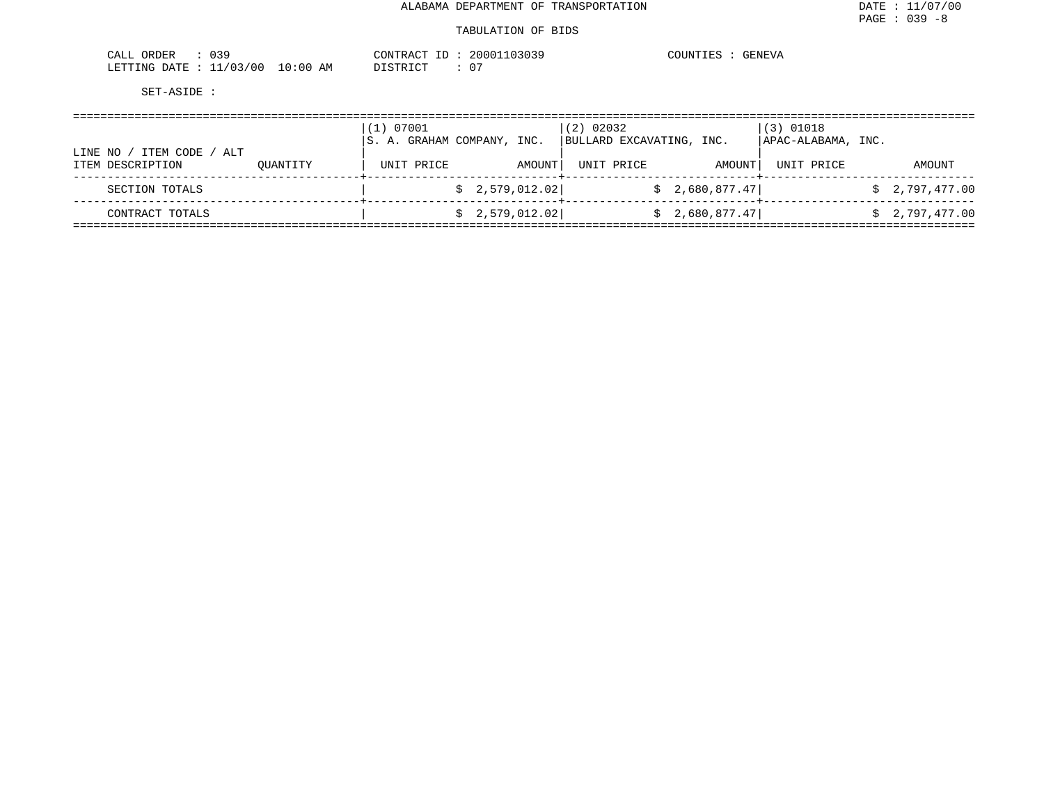#### TABULATION OF BIDS

| 739<br>ORDER<br>- JALL<br><b>UJ-</b> |             | CONTRAC<br>$ -$<br>$\pi \cap m$ | 103039<br>20001<br>. | COUNTIES<br>GENEVA |
|--------------------------------------|-------------|---------------------------------|----------------------|--------------------|
| 703700<br>LETTING DATE               | 10:00<br>ΑM | $T \cap T$<br>TCTD              |                      |                    |

|                                                   |          | (1) 07001<br>S. A. GRAHAM COMPANY, INC. |                 |        | (2) 02032<br>BULLARD EXCAVATING, INC. |                | $(3)$ 01018<br>APAC-ALABAMA, INC. |                |
|---------------------------------------------------|----------|-----------------------------------------|-----------------|--------|---------------------------------------|----------------|-----------------------------------|----------------|
| ITEM CODE<br>/ ALT<br>LINE NO<br>ITEM DESCRIPTION | OUANTITY | UNIT PRICE                              |                 | AMOUNT | UNIT PRICE                            | AMOUNT         | UNIT PRICE                        | AMOUNT         |
| SECTION TOTALS                                    |          |                                         | \$2,579,012.02] |        |                                       | \$2,680,877.47 |                                   | \$2,797,477.00 |
| CONTRACT TOTALS                                   |          |                                         | \$2,579,012.02] |        |                                       | \$2,680,877.47 |                                   | \$2,797,477.00 |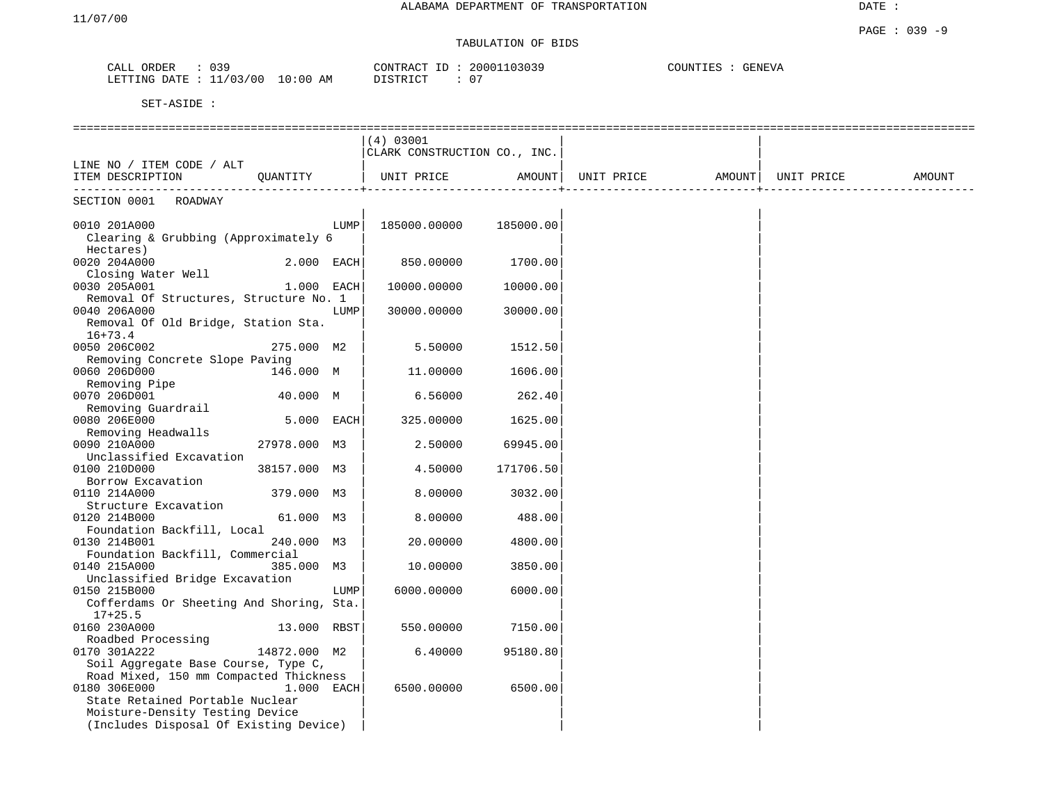## TABULATION OF BIDS

| ORDER<br>CALL             | 039 |             | CONTRACT ID | 20001103039 | COUNTIES<br>GENEVA |
|---------------------------|-----|-------------|-------------|-------------|--------------------|
| LETTING DATE : $11/03/00$ |     | 10:00<br>AM | DISTRICT    | $0^{\circ}$ |                    |

|                                          |              |      | (4) 03001                    |           |                                |                     |        |
|------------------------------------------|--------------|------|------------------------------|-----------|--------------------------------|---------------------|--------|
|                                          |              |      | CLARK CONSTRUCTION CO., INC. |           |                                |                     |        |
| LINE NO / ITEM CODE / ALT                |              |      |                              |           |                                |                     |        |
| ITEM DESCRIPTION                         | QUANTITY     |      | UNIT PRICE                   | AMOUNT    | UNIT PRICE AMOUNT   UNIT PRICE |                     | AMOUNT |
| SECTION 0001 ROADWAY                     | -----------  |      |                              |           |                                | -----------------+. |        |
|                                          |              |      |                              |           |                                |                     |        |
| 0010 201A000                             |              | LUMP | 185000.00000                 | 185000.00 |                                |                     |        |
| Clearing & Grubbing (Approximately 6     |              |      |                              |           |                                |                     |        |
| Hectares)                                |              |      |                              |           |                                |                     |        |
| 0020 204A000                             | $2.000$ EACH |      | 850.00000                    | 1700.00   |                                |                     |        |
| Closing Water Well                       |              |      |                              |           |                                |                     |        |
| 0030 205A001                             | 1.000 EACH   |      | 10000.00000                  | 10000.00  |                                |                     |        |
| Removal Of Structures, Structure No. 1   |              |      |                              |           |                                |                     |        |
| 0040 206A000                             |              | LUMP | 30000.00000                  | 30000.00  |                                |                     |        |
| Removal Of Old Bridge, Station Sta.      |              |      |                              |           |                                |                     |        |
| $16 + 73.4$                              |              |      |                              |           |                                |                     |        |
| 0050 206C002                             | 275.000 M2   |      | 5.50000                      | 1512.50   |                                |                     |        |
| Removing Concrete Slope Paving           |              |      |                              |           |                                |                     |        |
| 0060 206D000                             | 146.000 M    |      | 11,00000                     | 1606.00   |                                |                     |        |
| Removing Pipe                            |              |      |                              |           |                                |                     |        |
| 0070 206D001                             | 40.000 M     |      | 6.56000                      | 262.40    |                                |                     |        |
| Removing Guardrail                       |              |      |                              |           |                                |                     |        |
| 0080 206E000                             | 5.000 EACH   |      | 325.00000                    | 1625.00   |                                |                     |        |
| Removing Headwalls<br>0090 210A000       | 27978.000 M3 |      | 2.50000                      | 69945.00  |                                |                     |        |
| Unclassified Excavation                  |              |      |                              |           |                                |                     |        |
| 0100 210D000                             | 38157.000 M3 |      | 4.50000                      | 171706.50 |                                |                     |        |
| Borrow Excavation                        |              |      |                              |           |                                |                     |        |
| 0110 214A000                             | 379.000 M3   |      | 8,00000                      | 3032.00   |                                |                     |        |
| Structure Excavation                     |              |      |                              |           |                                |                     |        |
| 0120 214B000                             | 61.000 M3    |      | 8.00000                      | 488.00    |                                |                     |        |
| Foundation Backfill, Local               |              |      |                              |           |                                |                     |        |
| 0130 214B001                             | 240.000 M3   |      | 20,00000                     | 4800.00   |                                |                     |        |
| Foundation Backfill, Commercial          |              |      |                              |           |                                |                     |        |
| 0140 215A000                             | 385.000 M3   |      | 10.00000                     | 3850.00   |                                |                     |        |
| Unclassified Bridge Excavation           |              |      |                              |           |                                |                     |        |
| 0150 215B000                             |              | LUMP | 6000.00000                   | 6000.00   |                                |                     |        |
| Cofferdams Or Sheeting And Shoring, Sta. |              |      |                              |           |                                |                     |        |
| $17+25.5$                                |              |      |                              |           |                                |                     |        |
| 0160 230A000                             | 13.000 RBST  |      | 550.00000                    | 7150.00   |                                |                     |        |
| Roadbed Processing                       |              |      |                              |           |                                |                     |        |
| 0170 301A222                             | 14872.000 M2 |      | 6.40000                      | 95180.80  |                                |                     |        |
| Soil Aggregate Base Course, Type C,      |              |      |                              |           |                                |                     |        |
| Road Mixed, 150 mm Compacted Thickness   |              |      |                              |           |                                |                     |        |
| 0180 306E000                             | $1.000$ EACH |      | 6500.00000                   | 6500.00   |                                |                     |        |
| State Retained Portable Nuclear          |              |      |                              |           |                                |                     |        |
| Moisture-Density Testing Device          |              |      |                              |           |                                |                     |        |
| (Includes Disposal Of Existing Device)   |              |      |                              |           |                                |                     |        |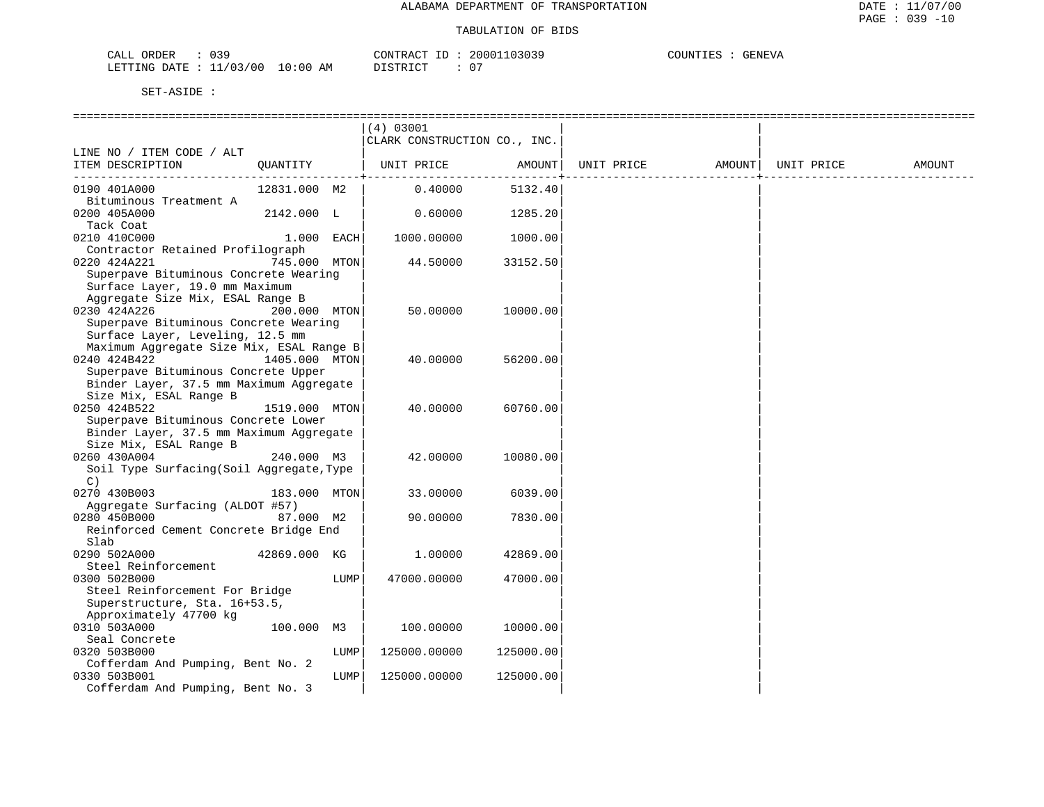| CALL ORDER              | 039 |          | CONTRACT I | ID : | 20001103039 | COUNTIES | <b>GENEVA</b> |
|-------------------------|-----|----------|------------|------|-------------|----------|---------------|
| LETTING DATE : 11/03/00 |     | 10:00 AM | DISTRICT   |      | 07          |          |               |

|                                                           |               |      | (4) 03001                    |           |            |        |            |        |
|-----------------------------------------------------------|---------------|------|------------------------------|-----------|------------|--------|------------|--------|
|                                                           |               |      | CLARK CONSTRUCTION CO., INC. |           |            |        |            |        |
| LINE NO / ITEM CODE / ALT                                 |               |      |                              |           |            |        |            |        |
| ITEM DESCRIPTION                                          | OUANTITY      |      | UNIT PRICE                   | AMOUNT    | UNIT PRICE | AMOUNT | UNIT PRICE | AMOUNT |
| 0190 401A000                                              | 12831.000 M2  |      | 0.40000                      | 5132.40   |            |        |            |        |
| Bituminous Treatment A                                    |               |      |                              |           |            |        |            |        |
| 0200 405A000                                              | 2142.000 L    |      | 0.60000                      | 1285.20   |            |        |            |        |
| Tack Coat                                                 |               |      |                              |           |            |        |            |        |
| 0210 410C000                                              | 1.000 EACH    |      | 1000.00000                   | 1000.00   |            |        |            |        |
| Contractor Retained Profilograph                          |               |      |                              |           |            |        |            |        |
| 0220 424A221                                              | 745.000 MTON  |      | 44.50000                     | 33152.50  |            |        |            |        |
| Superpave Bituminous Concrete Wearing                     |               |      |                              |           |            |        |            |        |
| Surface Layer, 19.0 mm Maximum                            |               |      |                              |           |            |        |            |        |
| Aggregate Size Mix, ESAL Range B                          |               |      |                              |           |            |        |            |        |
| 0230 424A226                                              | 200.000 MTON  |      | 50.00000                     | 10000.00  |            |        |            |        |
| Superpave Bituminous Concrete Wearing                     |               |      |                              |           |            |        |            |        |
| Surface Layer, Leveling, 12.5 mm                          |               |      |                              |           |            |        |            |        |
| Maximum Aggregate Size Mix, ESAL Range B                  |               |      |                              |           |            |        |            |        |
| 0240 424B422                                              | 1405.000 MTON |      | 40.00000                     | 56200.00  |            |        |            |        |
| Superpave Bituminous Concrete Upper                       |               |      |                              |           |            |        |            |        |
| Binder Layer, 37.5 mm Maximum Aggregate                   |               |      |                              |           |            |        |            |        |
| Size Mix, ESAL Range B                                    |               |      |                              |           |            |        |            |        |
| 0250 424B522                                              | 1519.000 MTON |      | 40.00000                     | 60760.00  |            |        |            |        |
| Superpave Bituminous Concrete Lower                       |               |      |                              |           |            |        |            |        |
| Binder Layer, 37.5 mm Maximum Aggregate                   |               |      |                              |           |            |        |            |        |
| Size Mix, ESAL Range B                                    |               |      |                              |           |            |        |            |        |
| 0260 430A004<br>Soil Type Surfacing (Soil Aggregate, Type | 240.000 M3    |      | 42.00000                     | 10080.00  |            |        |            |        |
| $\mathcal{C}$ )                                           |               |      |                              |           |            |        |            |        |
| 0270 430B003                                              | 183.000 MTON  |      | 33.00000                     | 6039.00   |            |        |            |        |
| Aggregate Surfacing (ALDOT #57)                           |               |      |                              |           |            |        |            |        |
| 0280 450B000                                              | 87.000 M2     |      | 90.00000                     | 7830.00   |            |        |            |        |
| Reinforced Cement Concrete Bridge End                     |               |      |                              |           |            |        |            |        |
| Slab                                                      |               |      |                              |           |            |        |            |        |
| 0290 502A000                                              | 42869.000 KG  |      | 1.00000                      | 42869.00  |            |        |            |        |
| Steel Reinforcement                                       |               |      |                              |           |            |        |            |        |
| 0300 502B000                                              |               | LUMP | 47000.00000                  | 47000.00  |            |        |            |        |
| Steel Reinforcement For Bridge                            |               |      |                              |           |            |        |            |        |
| Superstructure, Sta. 16+53.5,                             |               |      |                              |           |            |        |            |        |
| Approximately 47700 kg                                    |               |      |                              |           |            |        |            |        |
| 0310 503A000                                              | 100.000 M3    |      | 100.00000                    | 10000.00  |            |        |            |        |
| Seal Concrete                                             |               |      |                              |           |            |        |            |        |
| 0320 503B000                                              |               | LUMP | 125000.00000                 | 125000.00 |            |        |            |        |
| Cofferdam And Pumping, Bent No. 2                         |               |      |                              |           |            |        |            |        |
| 0330 503B001                                              |               | LUMP | 125000.00000                 | 125000.00 |            |        |            |        |
| Cofferdam And Pumping, Bent No. 3                         |               |      |                              |           |            |        |            |        |
|                                                           |               |      |                              |           |            |        |            |        |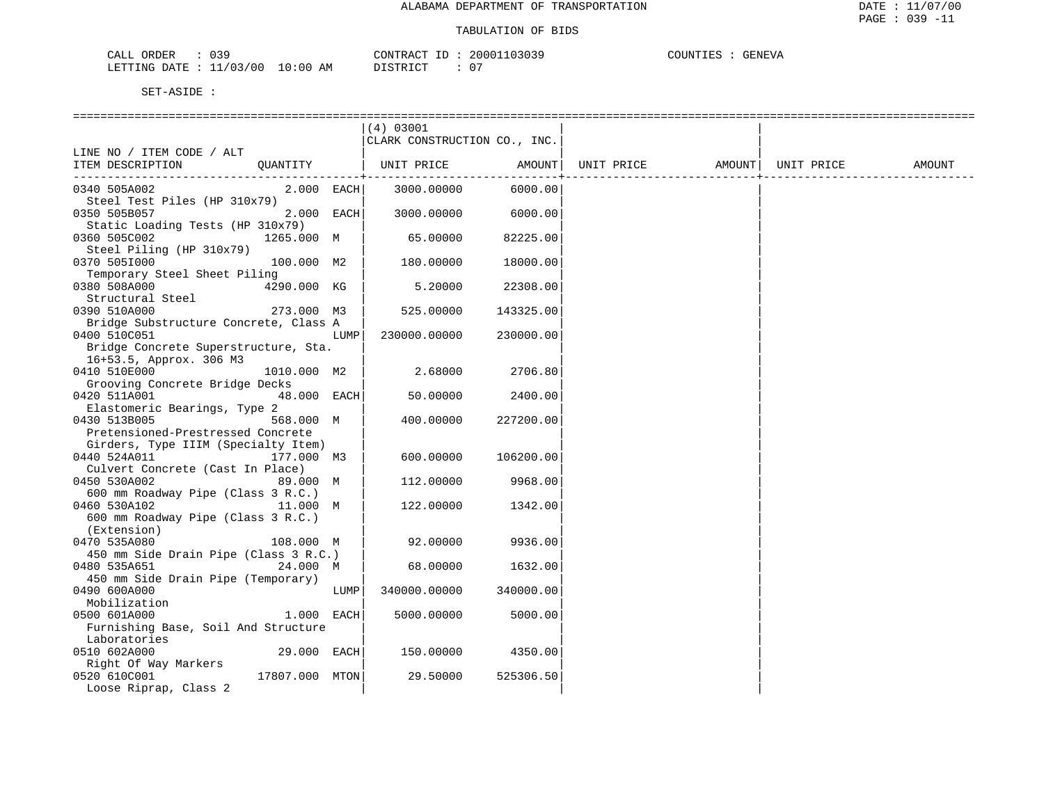| CALL ORDER              | 039 |          | CONTRACT I | ID : | 20001103039 | COUNTIES | <b>GENEVA</b> |
|-------------------------|-----|----------|------------|------|-------------|----------|---------------|
| LETTING DATE : 11/03/00 |     | 10:00 AM | DISTRICT   |      | 07          |          |               |

|                                                   |                |      | (4) 03001                    |           |            |        |            |        |
|---------------------------------------------------|----------------|------|------------------------------|-----------|------------|--------|------------|--------|
|                                                   |                |      | CLARK CONSTRUCTION CO., INC. |           |            |        |            |        |
| LINE NO / ITEM CODE / ALT                         |                |      |                              |           |            |        |            |        |
| ITEM DESCRIPTION                                  | OUANTITY       |      | UNIT PRICE                   | AMOUNT    | UNIT PRICE | AMOUNT | UNIT PRICE | AMOUNT |
|                                                   |                |      |                              |           |            |        |            |        |
| 0340 505A002                                      | 2.000 EACH     |      | 3000.00000                   | 6000.00   |            |        |            |        |
| Steel Test Piles (HP 310x79)                      |                |      |                              |           |            |        |            |        |
| 0350 505B057                                      | 2.000 EACH     |      | 3000.00000                   | 6000.00   |            |        |            |        |
| Static Loading Tests (HP 310x79)                  |                |      |                              |           |            |        |            |        |
| 0360 505C002                                      | 1265.000 M     |      | 65.00000                     | 82225.00  |            |        |            |        |
| Steel Piling (HP 310x79)                          |                |      |                              |           |            |        |            |        |
| 0370 505I000                                      | 100.000 M2     |      | 180.00000                    | 18000.00  |            |        |            |        |
| Temporary Steel Sheet Piling                      |                |      |                              |           |            |        |            |        |
| 0380 508A000                                      | 4290.000 KG    |      | 5.20000                      | 22308.00  |            |        |            |        |
| Structural Steel                                  |                |      |                              |           |            |        |            |        |
| 0390 510A000                                      | 273.000 M3     |      | 525.00000                    | 143325.00 |            |        |            |        |
| Bridge Substructure Concrete, Class A             |                |      |                              |           |            |        |            |        |
| 0400 510C051                                      |                | LUMP | 230000.00000                 | 230000.00 |            |        |            |        |
| Bridge Concrete Superstructure, Sta.              |                |      |                              |           |            |        |            |        |
| 16+53.5, Approx. 306 M3                           |                |      |                              |           |            |        |            |        |
| 0410 510E000                                      | 1010.000 M2    |      | 2.68000                      | 2706.80   |            |        |            |        |
| Grooving Concrete Bridge Decks                    |                |      |                              |           |            |        |            |        |
| 0420 511A001                                      | 48.000 EACH    |      | 50.00000                     | 2400.00   |            |        |            |        |
| Elastomeric Bearings, Type 2                      |                |      |                              |           |            |        |            |        |
| 0430 513B005<br>Pretensioned-Prestressed Concrete | 568.000 M      |      | 400.00000                    | 227200.00 |            |        |            |        |
| Girders, Type IIIM (Specialty Item)               |                |      |                              |           |            |        |            |        |
| 0440 524A011                                      | 177.000 M3     |      | 600.00000                    | 106200.00 |            |        |            |        |
| Culvert Concrete (Cast In Place)                  |                |      |                              |           |            |        |            |        |
| 0450 530A002                                      | 89.000 M       |      | 112.00000                    | 9968.00   |            |        |            |        |
| 600 mm Roadway Pipe (Class 3 R.C.)                |                |      |                              |           |            |        |            |        |
| 0460 530A102                                      | 11.000 M       |      | 122.00000                    | 1342.00   |            |        |            |        |
| 600 mm Roadway Pipe (Class 3 R.C.)                |                |      |                              |           |            |        |            |        |
| (Extension)                                       |                |      |                              |           |            |        |            |        |
| 0470 535A080                                      | 108.000 M      |      | 92.00000                     | 9936.00   |            |        |            |        |
| 450 mm Side Drain Pipe (Class 3 R.C.)             |                |      |                              |           |            |        |            |        |
| 0480 535A651                                      | 24.000 M       |      | 68.00000                     | 1632.00   |            |        |            |        |
| 450 mm Side Drain Pipe (Temporary)                |                |      |                              |           |            |        |            |        |
| 0490 600A000                                      |                | LUMP | 340000.00000                 | 340000.00 |            |        |            |        |
| Mobilization                                      |                |      |                              |           |            |        |            |        |
| 0500 601A000                                      | 1.000 EACH     |      | 5000.00000                   | 5000.00   |            |        |            |        |
| Furnishing Base, Soil And Structure               |                |      |                              |           |            |        |            |        |
| Laboratories                                      |                |      |                              |           |            |        |            |        |
| 0510 602A000                                      | 29.000 EACH    |      | 150.00000                    | 4350.00   |            |        |            |        |
| Right Of Way Markers                              |                |      |                              |           |            |        |            |        |
| 0520 610C001                                      | 17807.000 MTON |      | 29.50000                     | 525306.50 |            |        |            |        |
| Loose Riprap, Class 2                             |                |      |                              |           |            |        |            |        |
|                                                   |                |      |                              |           |            |        |            |        |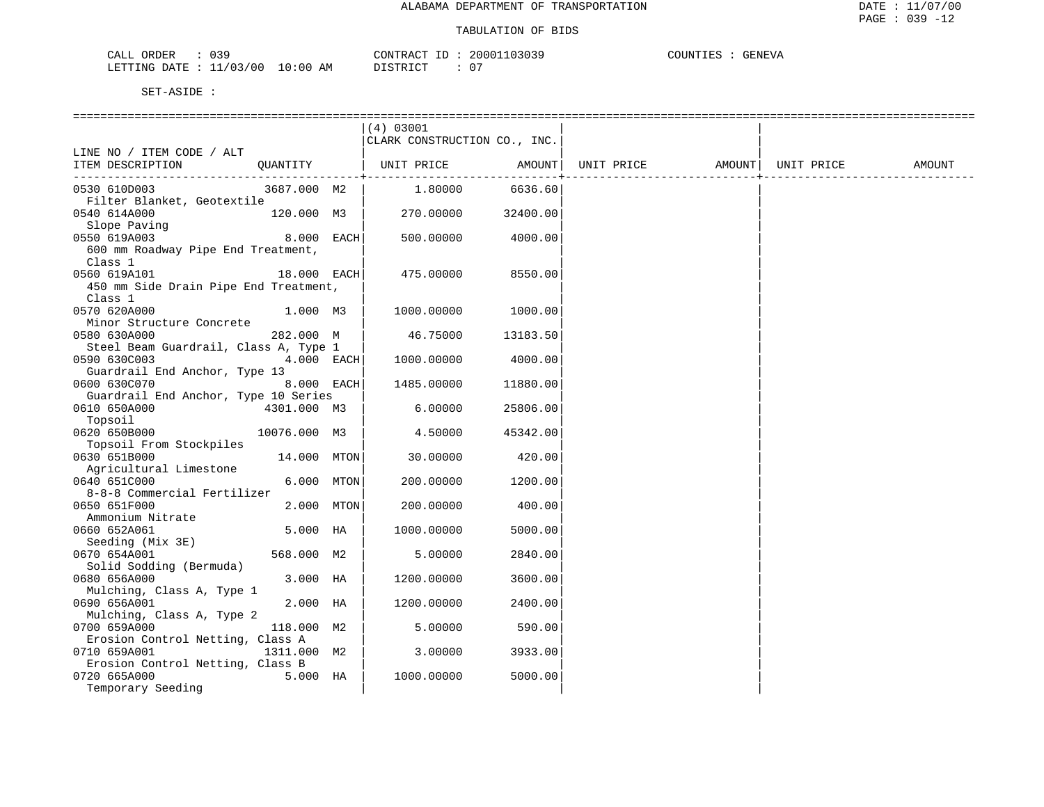| CALL ORDER   |            |          | CONTRACT | ID | 20001103039 | COUNTIES | GENEVA |
|--------------|------------|----------|----------|----|-------------|----------|--------|
| LETTING DATE | : 11/03/00 | 10:00 AM | DISTRICT |    | $0^-$       |          |        |

| (4) 03001<br>CLARK CONSTRUCTION CO., INC.<br>LINE NO / ITEM CODE / ALT<br>ITEM DESCRIPTION<br>QUANTITY<br>  UNIT PRICE<br>AMOUNT<br>UNIT PRICE<br>AMOUNT  <br>UNIT PRICE<br>1,80000<br>6636.60<br>0530 610D003<br>3687.000 M2<br>Filter Blanket, Geotextile | AMOUNT |
|-------------------------------------------------------------------------------------------------------------------------------------------------------------------------------------------------------------------------------------------------------------|--------|
|                                                                                                                                                                                                                                                             |        |
|                                                                                                                                                                                                                                                             |        |
|                                                                                                                                                                                                                                                             |        |
|                                                                                                                                                                                                                                                             |        |
|                                                                                                                                                                                                                                                             |        |
|                                                                                                                                                                                                                                                             |        |
|                                                                                                                                                                                                                                                             |        |
| 0540 614A000<br>120.000 M3  <br>270.00000<br>32400.00                                                                                                                                                                                                       |        |
| Slope Paving                                                                                                                                                                                                                                                |        |
| 8.000 EACH<br>0550 619A003<br>500.00000<br>4000.00                                                                                                                                                                                                          |        |
| 600 mm Roadway Pipe End Treatment,                                                                                                                                                                                                                          |        |
| Class 1                                                                                                                                                                                                                                                     |        |
| 0560 619A101<br>$18.000$ EACH<br>475.00000<br>8550.00                                                                                                                                                                                                       |        |
| 450 mm Side Drain Pipe End Treatment,                                                                                                                                                                                                                       |        |
| Class 1                                                                                                                                                                                                                                                     |        |
| 0570 620A000<br>1.000 M3<br>1000.00000<br>1000.00                                                                                                                                                                                                           |        |
| Minor Structure Concrete                                                                                                                                                                                                                                    |        |
| 0580 630A000<br>282.000 M<br>46.75000<br>13183.50                                                                                                                                                                                                           |        |
| Steel Beam Guardrail, Class A, Type 1                                                                                                                                                                                                                       |        |
| 0590 630C003<br>4.000 EACH<br>1000.00000<br>4000.00                                                                                                                                                                                                         |        |
| Guardrail End Anchor, Type 13                                                                                                                                                                                                                               |        |
| 8.000 EACH<br>0600 630C070<br>1485.00000<br>11880.00                                                                                                                                                                                                        |        |
| Guardrail End Anchor, Type 10 Series                                                                                                                                                                                                                        |        |
| 0610 650A000<br>4301.000 M3<br>6.00000<br>25806.00                                                                                                                                                                                                          |        |
| Topsoil                                                                                                                                                                                                                                                     |        |
| 0620 650B000<br>10076.000 M3<br>4.50000<br>45342.00                                                                                                                                                                                                         |        |
| Topsoil From Stockpiles                                                                                                                                                                                                                                     |        |
| 0630 651B000<br>14.000 MTON<br>30.00000<br>420.00                                                                                                                                                                                                           |        |
| Agricultural Limestone                                                                                                                                                                                                                                      |        |
| 0640 651C000<br>6.000 MTON<br>200.00000<br>1200.00                                                                                                                                                                                                          |        |
| 8-8-8 Commercial Fertilizer                                                                                                                                                                                                                                 |        |
| 0650 651F000<br>2.000 MTON<br>400.00<br>200.00000                                                                                                                                                                                                           |        |
| Ammonium Nitrate                                                                                                                                                                                                                                            |        |
| 0660 652A061<br>5.000 HA<br>1000.00000<br>5000.00                                                                                                                                                                                                           |        |
| Seeding (Mix 3E)                                                                                                                                                                                                                                            |        |
| 0670 654A001<br>568.000 M2<br>2840.00<br>5.00000                                                                                                                                                                                                            |        |
| Solid Sodding (Bermuda)                                                                                                                                                                                                                                     |        |
| 0680 656A000<br>3.000 HA<br>1200.00000<br>3600.00                                                                                                                                                                                                           |        |
| Mulching, Class A, Type 1                                                                                                                                                                                                                                   |        |
| 2.000 HA<br>0690 656A001<br>2400.00<br>1200.00000                                                                                                                                                                                                           |        |
| Mulching, Class A, Type 2                                                                                                                                                                                                                                   |        |
| 0700 659A000<br>118.000 M2<br>590.00<br>5.00000                                                                                                                                                                                                             |        |
| Erosion Control Netting, Class A                                                                                                                                                                                                                            |        |
| 0710 659A001<br>1311.000 M2<br>3933.00<br>3.00000                                                                                                                                                                                                           |        |
| Erosion Control Netting, Class B                                                                                                                                                                                                                            |        |
| 5000.00<br>0720 665A000<br>5.000 HA<br>1000.00000                                                                                                                                                                                                           |        |
| Temporary Seeding                                                                                                                                                                                                                                           |        |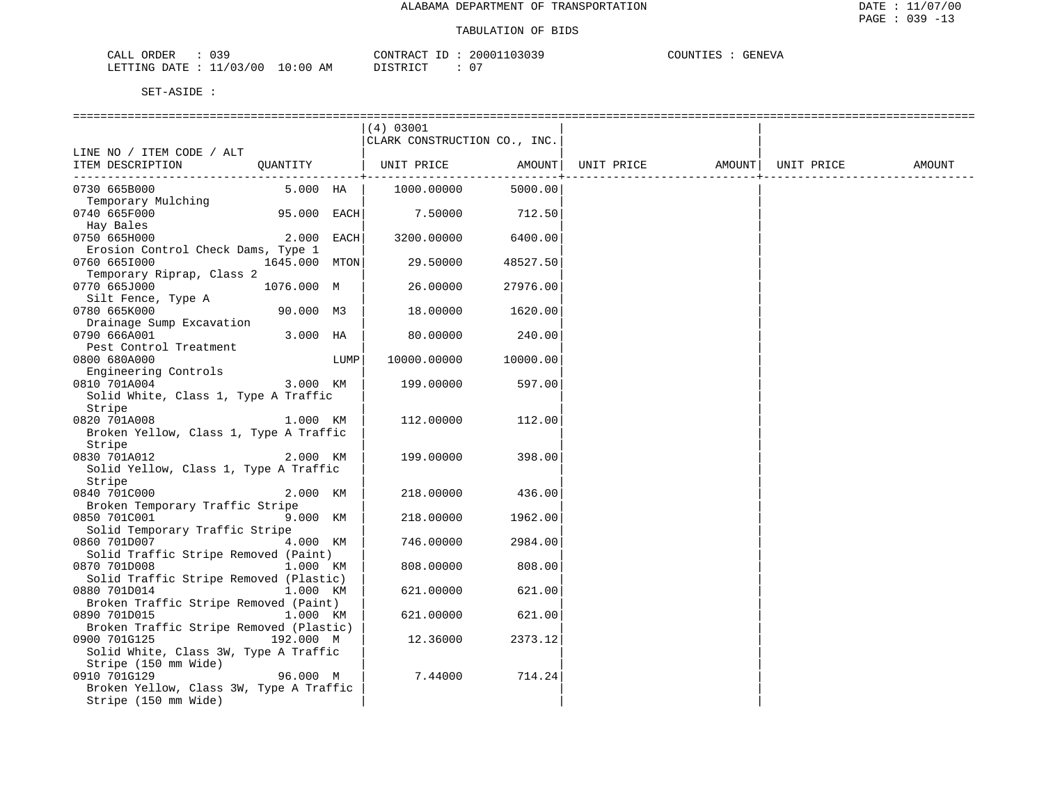| $\sim$<br>ORDER<br>$\sim$ $ -$<br>لىلط<br><u> U J J</u> |         | <b>ANTE</b><br>$-1$<br>$\sim$<br>א שי |              | $\Lambda$ , $\Lambda$ , $\Lambda$ , $\Lambda$<br>تعتلانا | 777 הדתי<br>. н<br>V.H |
|---------------------------------------------------------|---------|---------------------------------------|--------------|----------------------------------------------------------|------------------------|
| ח ה'<br><b>DEETAM</b><br>DATF<br>.NG<br>.<br>____       | .<br>AM | $\cap$<br>תחים:                       | $\mathbf{u}$ |                                                          |                        |

|                                         |                    |      | (4) 03001                    |          |                                |  |        |
|-----------------------------------------|--------------------|------|------------------------------|----------|--------------------------------|--|--------|
|                                         |                    |      | CLARK CONSTRUCTION CO., INC. |          |                                |  |        |
| LINE NO / ITEM CODE / ALT               |                    |      |                              |          |                                |  |        |
| ITEM DESCRIPTION                        |                    |      | QUANTITY   UNIT PRICE AMOUNT |          | UNIT PRICE AMOUNT   UNIT PRICE |  | AMOUNT |
| 0730 665B000                            | $5.000$ HA $\vert$ |      | 1000.00000                   | 5000.00  | __________.                    |  |        |
| Temporary Mulching                      |                    |      |                              |          |                                |  |        |
| 0740 665F000                            | 95.000 EACH        |      | 7.50000                      | 712.50   |                                |  |        |
| Hay Bales                               |                    |      |                              |          |                                |  |        |
| 0750 665H000                            | $2.000$ EACH       |      | 3200.00000                   | 6400.00  |                                |  |        |
| Erosion Control Check Dams, Type 1      |                    |      |                              |          |                                |  |        |
| 0760 6651000                            | 1645.000 MTON      |      | 29.50000                     | 48527.50 |                                |  |        |
| Temporary Riprap, Class 2               |                    |      |                              |          |                                |  |        |
| 0770 665J000                            | 1076.000 M         |      | 26.00000                     | 27976.00 |                                |  |        |
| Silt Fence, Type A                      |                    |      |                              |          |                                |  |        |
| 0780 665K000                            | 90.000 M3          |      | 18.00000                     | 1620.00  |                                |  |        |
| Drainage Sump Excavation                |                    |      |                              |          |                                |  |        |
| 0790 666A001                            | 3.000 HA           |      | 80.00000                     | 240.00   |                                |  |        |
| Pest Control Treatment                  |                    |      |                              |          |                                |  |        |
| 0800 680A000                            |                    | LUMP | 10000.00000                  | 10000.00 |                                |  |        |
| Engineering Controls                    |                    |      |                              |          |                                |  |        |
| 0810 701A004                            | 3.000 KM           |      | 199.00000                    | 597.00   |                                |  |        |
| Solid White, Class 1, Type A Traffic    |                    |      |                              |          |                                |  |        |
| Stripe                                  |                    |      |                              |          |                                |  |        |
| 0820 701A008                            | 1.000 KM           |      | 112,00000                    | 112.00   |                                |  |        |
| Broken Yellow, Class 1, Type A Traffic  |                    |      |                              |          |                                |  |        |
| Stripe                                  |                    |      |                              |          |                                |  |        |
| 0830 701A012                            | 2.000 KM           |      | 199.00000                    | 398.00   |                                |  |        |
| Solid Yellow, Class 1, Type A Traffic   |                    |      |                              |          |                                |  |        |
| Stripe                                  |                    |      |                              |          |                                |  |        |
| 0840 701C000                            | 2.000 KM           |      | 218.00000                    | 436.00   |                                |  |        |
| Broken Temporary Traffic Stripe         |                    |      |                              |          |                                |  |        |
| 0850 701C001                            | 9.000 KM           |      | 218.00000                    | 1962.00  |                                |  |        |
| Solid Temporary Traffic Stripe          |                    |      |                              |          |                                |  |        |
| 0860 701D007                            | 4.000 KM           |      | 746.00000                    | 2984.00  |                                |  |        |
| Solid Traffic Stripe Removed (Paint)    |                    |      |                              |          |                                |  |        |
| 0870 701D008                            | 1.000 KM           |      | 808,00000                    | 808.00   |                                |  |        |
| Solid Traffic Stripe Removed (Plastic)  |                    |      |                              |          |                                |  |        |
| 0880 701D014                            | 1.000 KM           |      | 621.00000                    | 621.00   |                                |  |        |
| Broken Traffic Stripe Removed (Paint)   |                    |      |                              |          |                                |  |        |
| 0890 701D015                            | 1.000 KM           |      | 621.00000                    | 621.00   |                                |  |        |
| Broken Traffic Stripe Removed (Plastic) |                    |      |                              |          |                                |  |        |
| 0900 701G125                            | 192.000 M          |      | 12.36000                     | 2373.12  |                                |  |        |
| Solid White, Class 3W, Type A Traffic   |                    |      |                              |          |                                |  |        |
| Stripe (150 mm Wide)                    |                    |      |                              |          |                                |  |        |
| 0910 701G129                            | 96.000 M           |      | 7.44000                      | 714.24   |                                |  |        |
| Broken Yellow, Class 3W, Type A Traffic |                    |      |                              |          |                                |  |        |
| Stripe (150 mm Wide)                    |                    |      |                              |          |                                |  |        |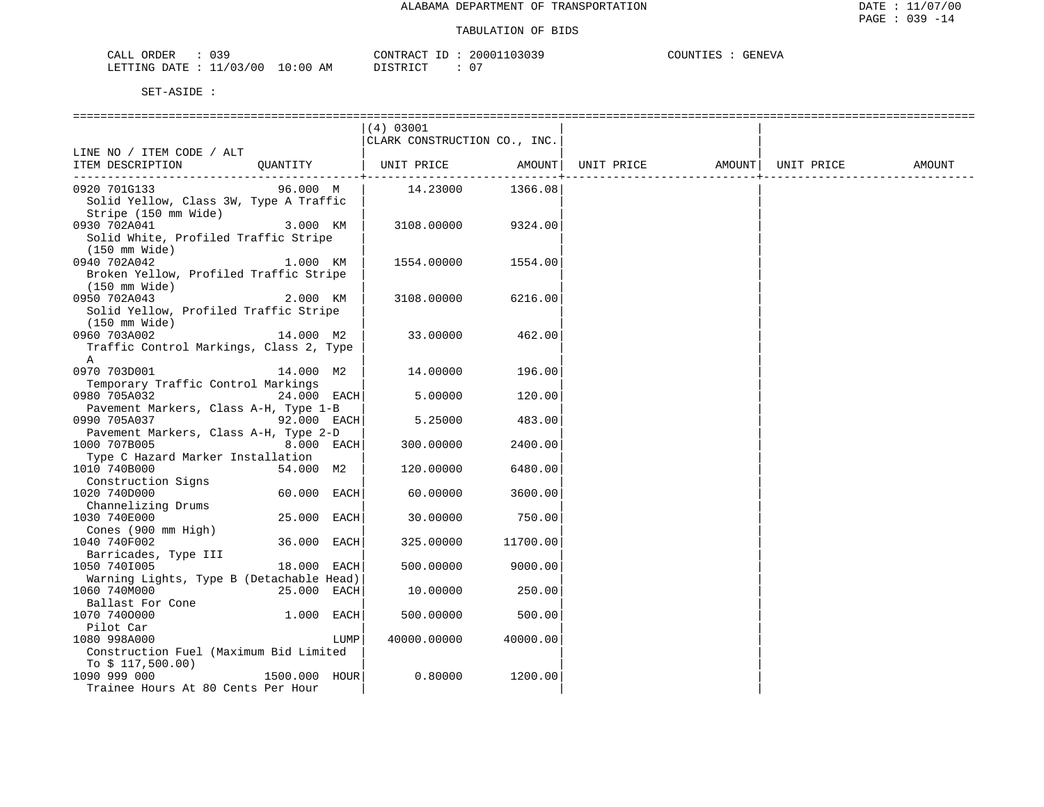| CALL<br>ORDER             | ົ່<br>و د ن |             | CONTRACT ID               | 20001103039 | COUNTIES | <b>GENEVA</b> |
|---------------------------|-------------|-------------|---------------------------|-------------|----------|---------------|
| LETTING DATE : $11/03/00$ |             | 10:00<br>ΑM | DI STR TAT<br>. - - - - - | ∩ "         |          |               |

|                                          |                | (4) 03001                    |                            |            |        |            |        |
|------------------------------------------|----------------|------------------------------|----------------------------|------------|--------|------------|--------|
|                                          |                | CLARK CONSTRUCTION CO., INC. |                            |            |        |            |        |
| LINE NO / ITEM CODE / ALT                |                |                              |                            |            |        |            |        |
| ITEM DESCRIPTION                         | OUANTITY       | UNIT PRICE                   | AMOUNT                     | UNIT PRICE | AMOUNT | UNIT PRICE | AMOUNT |
| ------------------------------           |                |                              | - - - - - - - - - <b>-</b> |            |        |            |        |
| 0920 701G133                             | 96.000 M       | 14.23000                     | 1366.08                    |            |        |            |        |
| Solid Yellow, Class 3W, Type A Traffic   |                |                              |                            |            |        |            |        |
| Stripe (150 mm Wide)                     |                |                              |                            |            |        |            |        |
| 0930 702A041                             | 3.000 KM       | 3108.00000                   | 9324.00                    |            |        |            |        |
| Solid White, Profiled Traffic Stripe     |                |                              |                            |            |        |            |        |
| $(150 \text{ mm Wide})$                  |                |                              |                            |            |        |            |        |
| 0940 702A042                             | 1.000 KM       | 1554.00000                   | 1554.00                    |            |        |            |        |
| Broken Yellow, Profiled Traffic Stripe   |                |                              |                            |            |        |            |        |
| $(150 \text{ mm Wide})$                  |                |                              |                            |            |        |            |        |
| 0950 702A043                             | 2.000 KM       | 3108.00000                   | 6216.00                    |            |        |            |        |
| Solid Yellow, Profiled Traffic Stripe    |                |                              |                            |            |        |            |        |
| $(150 \text{ mm Wide})$                  |                |                              |                            |            |        |            |        |
| 0960 703A002                             | 14.000 M2      | 33.00000                     | 462.00                     |            |        |            |        |
| Traffic Control Markings, Class 2, Type  |                |                              |                            |            |        |            |        |
| A                                        |                |                              |                            |            |        |            |        |
| 0970 703D001                             | 14.000 M2      | 14.00000                     | 196.00                     |            |        |            |        |
| Temporary Traffic Control Markings       |                |                              |                            |            |        |            |        |
| 0980 705A032                             | 24.000 EACH    | 5.00000                      | 120.00                     |            |        |            |        |
| Pavement Markers, Class A-H, Type 1-B    |                |                              |                            |            |        |            |        |
| 0990 705A037                             | 92.000 EACH    | 5.25000                      | 483.00                     |            |        |            |        |
| Pavement Markers, Class A-H, Type 2-D    |                |                              |                            |            |        |            |        |
| 1000 707B005                             | 8.000 EACH     | 300.00000                    | 2400.00                    |            |        |            |        |
| Type C Hazard Marker Installation        |                |                              |                            |            |        |            |        |
| 1010 740B000                             | 54.000 M2      | 120.00000                    | 6480.00                    |            |        |            |        |
| Construction Signs                       |                |                              |                            |            |        |            |        |
| 1020 740D000                             | 60.000 EACH    | 60.00000                     | 3600.00                    |            |        |            |        |
| Channelizing Drums                       |                |                              |                            |            |        |            |        |
| 1030 740E000                             | 25.000<br>EACH | 30.00000                     | 750.00                     |            |        |            |        |
| Cones (900 mm High)<br>1040 740F002      | 36.000 EACH    | 325.00000                    | 11700.00                   |            |        |            |        |
|                                          |                |                              |                            |            |        |            |        |
| Barricades, Type III<br>1050 7401005     | 18.000 EACH    | 500.00000                    | 9000.00                    |            |        |            |        |
| Warning Lights, Type B (Detachable Head) |                |                              |                            |            |        |            |        |
| 1060 740M000                             | 25.000 EACH    | 10.00000                     | 250.00                     |            |        |            |        |
| Ballast For Cone                         |                |                              |                            |            |        |            |        |
| 1070 7400000                             | $1.000$ EACH   | 500.00000                    | 500.00                     |            |        |            |        |
| Pilot Car                                |                |                              |                            |            |        |            |        |
| 1080 998A000                             | LUMP           | 40000.00000                  | 40000.00                   |            |        |            |        |
| Construction Fuel (Maximum Bid Limited   |                |                              |                            |            |        |            |        |
| To $$117,500.00)$                        |                |                              |                            |            |        |            |        |
| 1090 999 000                             | 1500.000 HOUR  | 0.80000                      | 1200.00                    |            |        |            |        |
| Trainee Hours At 80 Cents Per Hour       |                |                              |                            |            |        |            |        |
|                                          |                |                              |                            |            |        |            |        |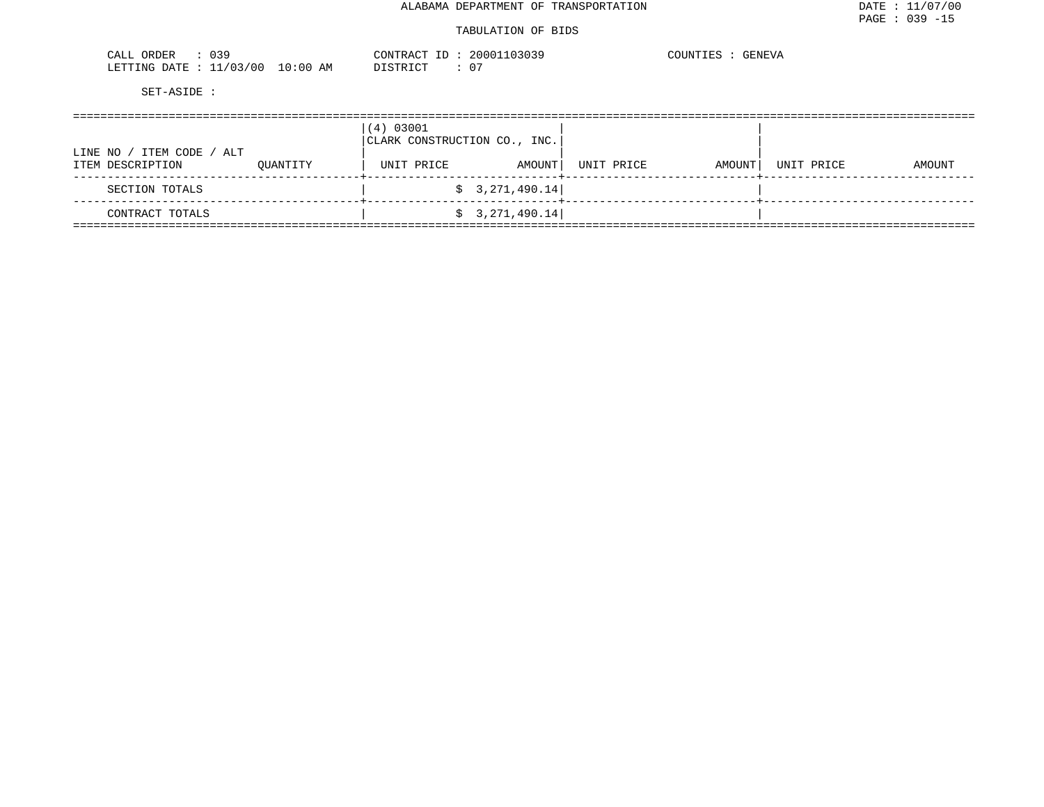| つつひ<br>ORDER<br>ו בי<br>، اللہ ب<br><u>ບປ</u> . |                              | $\cap$ ת מידיזג $\cap$<br>$\cdots$<br>┚ | 2000 | COUNTIES<br><b>GENEVA</b> |
|-------------------------------------------------|------------------------------|-----------------------------------------|------|---------------------------|
| /00<br>ノハマ<br>LETTING<br>DATE.                  | :00<br>AΜ<br>$\cdot$ $\cdot$ | י ריי חיד הידי פידי                     | 07   |                           |

| ITEM CODE<br>ALT<br>LINE NO ,<br>ITEM DESCRIPTION | OUANTITY | (4) 03001<br>CLARK CONSTRUCTION CO., INC.<br>UNIT PRICE | AMOUNT          | UNIT PRICE | AMOUNT | UNIT PRICE | AMOUNT |
|---------------------------------------------------|----------|---------------------------------------------------------|-----------------|------------|--------|------------|--------|
| SECTION TOTALS                                    |          |                                                         | \$3,271,490.14] |            |        |            |        |
| CONTRACT TOTALS                                   |          |                                                         | \$3,271,490.14] |            |        |            |        |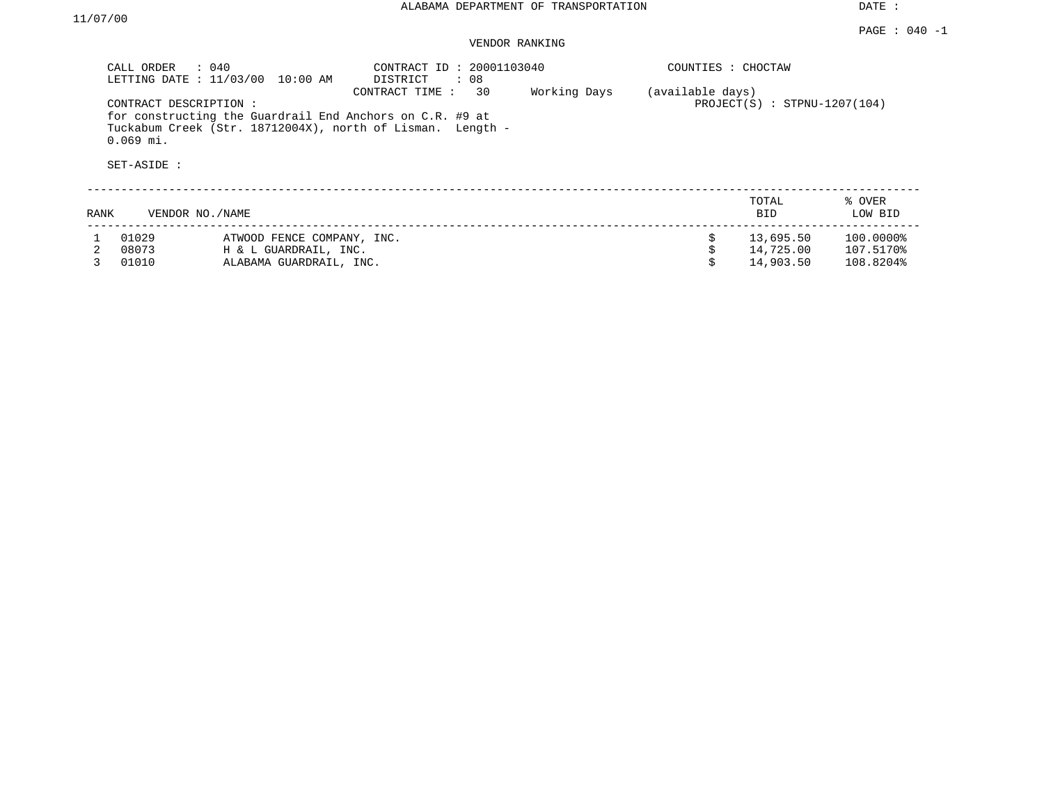DATE :

## VENDOR RANKING

|      | CALL ORDER<br>$\therefore$ 040<br>LETTING DATE : 11/03/00 | 10:00 AM                                                 | CONTRACT ID: 20001103040<br>DISTRICT<br>: 08                                       |              | COUNTIES : CHOCTAW |                                |                   |  |
|------|-----------------------------------------------------------|----------------------------------------------------------|------------------------------------------------------------------------------------|--------------|--------------------|--------------------------------|-------------------|--|
|      | CONTRACT DESCRIPTION:<br>$0.069$ mi.<br>SET-ASIDE :       | for constructing the Guardrail End Anchors on C.R. #9 at | 30<br>CONTRACT TIME:<br>Tuckabum Creek (Str. 18712004X), north of Lisman. Length - | Working Days | (available days)   | $PROJECT(S)$ : STPNU-1207(104) |                   |  |
| RANK | VENDOR NO./NAME                                           |                                                          |                                                                                    |              |                    | TOTAL<br><b>BID</b>            | % OVER<br>LOW BID |  |
|      | 01029                                                     | ATWOOD FENCE COMPANY, INC.                               |                                                                                    |              | Ŝ.                 | 13,695.50                      | 100.0000%         |  |
|      | 08073                                                     | H & L GUARDRAIL, INC.                                    |                                                                                    |              |                    | 14,725.00                      | 107.5170%         |  |
|      | 01010                                                     | ALABAMA GUARDRAIL, INC.                                  |                                                                                    |              |                    | 14,903.50                      | 108.8204%         |  |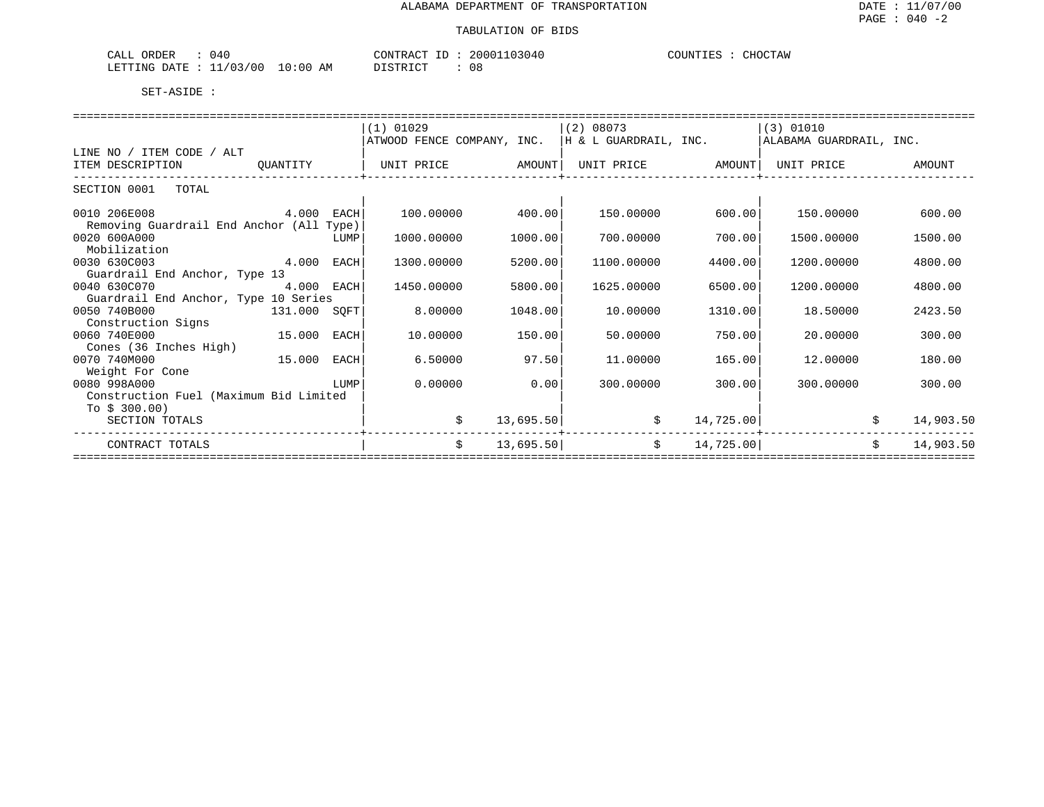| ORDER<br>) 4 C<br>$\sim$ $\sim$ $\sim$ $\sim$<br>ـىلىلىك |             | CONTRACT                      | 20001103040 | COUNTIES<br>CHOCTAW |
|----------------------------------------------------------|-------------|-------------------------------|-------------|---------------------|
| ./03/00<br>LETTING<br>DATE<br>-- -                       | 10:00<br>ΑM | די קידי איז ו<br><i>┙</i> ∸┘∸ | 08          |                     |

|                                          |              |      | $(1)$ 01029                |           | (2) 08073                 |           | (3) 01010               |               |
|------------------------------------------|--------------|------|----------------------------|-----------|---------------------------|-----------|-------------------------|---------------|
|                                          |              |      | ATWOOD FENCE COMPANY, INC. |           | H & L GUARDRAIL, INC.     |           | ALABAMA GUARDRAIL, INC. |               |
| LINE NO / ITEM CODE / ALT                |              |      |                            |           |                           |           |                         |               |
| ITEM DESCRIPTION                         | OUANTITY     |      | UNIT PRICE                 | AMOUNT    | UNIT PRICE AMOUNT         |           | UNIT PRICE              | <b>AMOUNT</b> |
|                                          |              |      |                            |           | ------------------------- |           |                         |               |
| SECTION 0001<br>TOTAL                    |              |      |                            |           |                           |           |                         |               |
|                                          |              |      |                            |           |                           |           |                         |               |
| 0010 206E008                             | 4.000 EACH   |      | 100.00000                  | 400.00    | 150.00000                 | 600.00    | 150.00000               | 600.00        |
| Removing Guardrail End Anchor (All Type) |              |      |                            |           |                           |           |                         |               |
| 0020 600A000                             |              | LUMP | 1000.00000                 | 1000.00   | 700.00000                 | 700.00    | 1500.00000              | 1500.00       |
| Mobilization                             |              |      |                            |           |                           |           |                         |               |
| 4.000<br>0030 630C003                    |              | EACH | 1300.00000                 | 5200.00   | 1100.00000                | 4400.00   | 1200.00000              | 4800.00       |
| Guardrail End Anchor, Type 13            |              |      |                            |           |                           |           |                         |               |
| 0040 630C070                             | 4.000 EACH   |      | 1450.00000                 | 5800.00   | 1625.00000                | 6500.00   | 1200.00000              | 4800.00       |
| Guardrail End Anchor, Type 10 Series     |              |      |                            |           |                           |           |                         |               |
| 0050 740B000                             | 131.000 SQFT |      | 8.00000                    | 1048.00   | 10.00000                  | 1310.00   | 18.50000                | 2423.50       |
| Construction Signs                       |              |      |                            |           |                           |           |                         |               |
| 15.000<br>0060 740E000                   |              | EACH | 10,00000                   | 150.00    | 50.00000                  | 750.00    | 20,00000                | 300.00        |
| Cones (36 Inches High)                   |              |      |                            |           |                           |           |                         |               |
| 0070 740M000                             | 15.000       | EACH | 6.50000                    | 97.50     | 11,00000                  | 165.00    | 12,00000                | 180.00        |
| Weight For Cone                          |              |      |                            |           |                           |           |                         |               |
| 0080 998A000                             |              | LUMP | 0.00000                    | 0.00      | 300.00000                 | 300.00    | 300,00000               | 300.00        |
| Construction Fuel (Maximum Bid Limited   |              |      |                            |           |                           |           |                         |               |
| To $$300.00$ )                           |              |      |                            |           |                           |           |                         |               |
| SECTION TOTALS                           |              |      | \$                         | 13,695.50 | \$                        | 14,725.00 | \$                      | 14,903.50     |
|                                          |              |      |                            |           |                           |           |                         |               |
| CONTRACT TOTALS                          |              |      | \$                         | 13,695.50 | \$                        | 14,725.00 | Ŝ.                      | 14,903.50     |
|                                          |              |      |                            |           |                           |           |                         |               |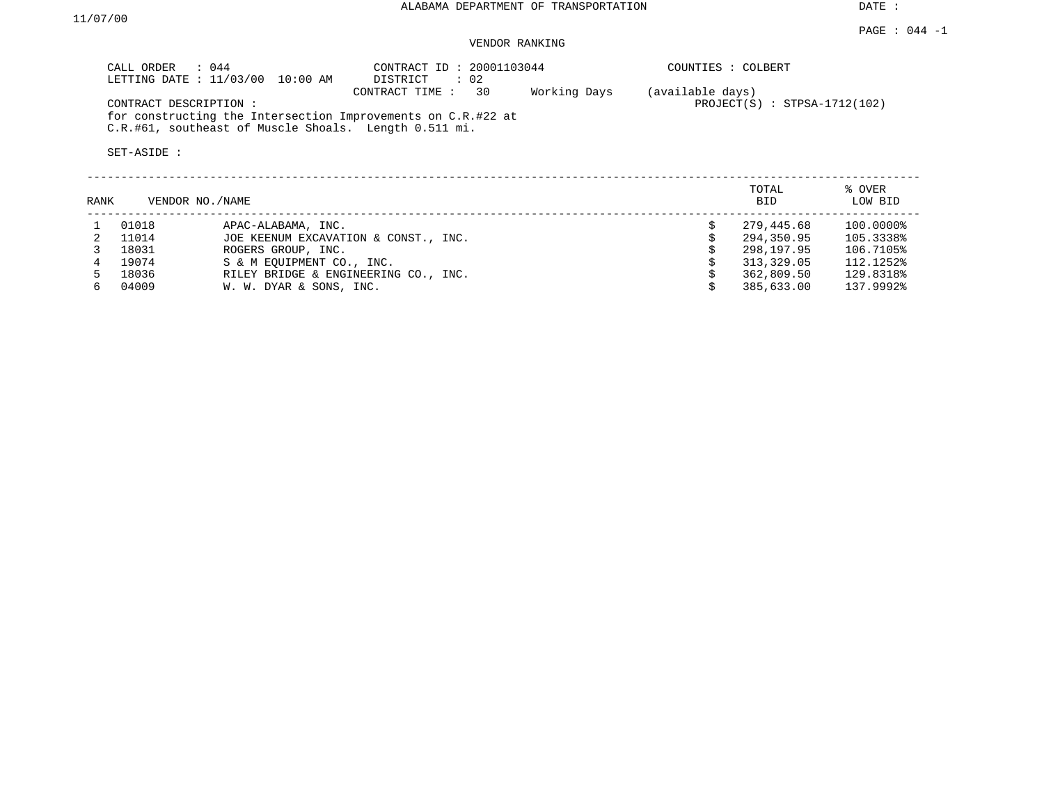DATE :

#### $PAGE$  : 044 -1 VENDOR RANKING

| $\therefore$ 044<br>CALL ORDER<br>LETTING DATE : 11/03/00 10:00 AM                                                                             | CONTRACT ID: 20001103044<br>$\therefore$ 02<br>DISTRICT |              | COUNTIES : COLBERT                                 |        |
|------------------------------------------------------------------------------------------------------------------------------------------------|---------------------------------------------------------|--------------|----------------------------------------------------|--------|
| CONTRACT DESCRIPTION:<br>for constructing the Intersection Improvements on C.R.#22 at<br>C.R.#61, southeast of Muscle Shoals. Length 0.511 mi. | CONTRACT TIME : 30                                      | Working Days | (available days)<br>$PROJECT(S)$ : STPSA-1712(102) |        |
| SET-ASIDE :                                                                                                                                    |                                                         |              |                                                    |        |
|                                                                                                                                                |                                                         |              | TOTAL                                              | % OVER |

| RANK | VENDOR NO./NAME |                                      | -----<br><b>BID</b> | .<br>LOW BID |
|------|-----------------|--------------------------------------|---------------------|--------------|
|      | 01018           | APAC-ALABAMA, INC.                   | 279,445.68          | 100.0000%    |
|      | 11014           | JOE KEENUM EXCAVATION & CONST., INC. | 294,350.95          | 105.3338%    |
|      | 18031           | ROGERS GROUP, INC.                   | 298,197.95          | 106.7105%    |
|      | 19074           | S & M EOUIPMENT CO., INC.            | 313,329.05          | 112.1252%    |
| 5.   | 18036           | RILEY BRIDGE & ENGINEERING CO., INC. | 362,809.50          | 129.8318%    |
| რ —  | 04009           | W. W. DYAR & SONS, INC.              | 385,633.00          | 137.9992%    |
|      |                 |                                      |                     |              |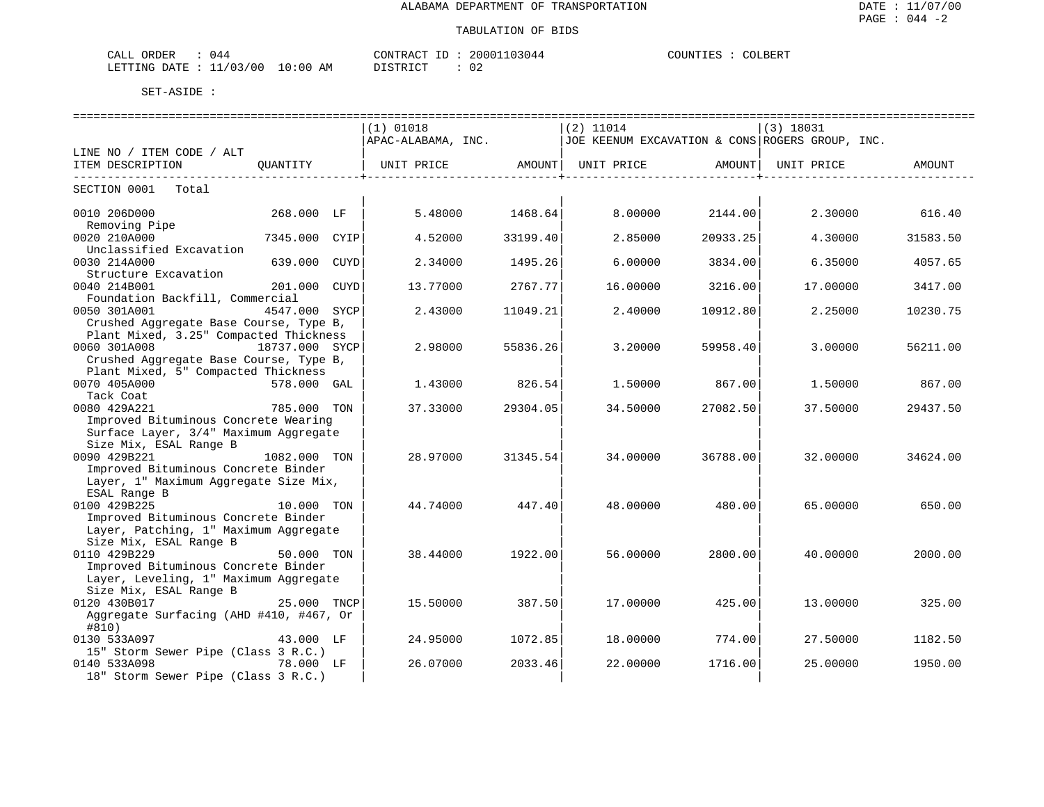### TABULATION OF BIDS

| CALL ORDER                       | 044 | CONTRACT ID: 20001103044 |          |  | COUNTIES : | COLBERT |  |
|----------------------------------|-----|--------------------------|----------|--|------------|---------|--|
| LETTING DATE : 11/03/00 10:00 AM |     |                          | DISTRICT |  | 02         |         |  |

|                                                                          |               | $(1)$ 01018<br>APAC-ALABAMA, INC. |                   | $(2)$ 11014<br>JOE KEENUM EXCAVATION & CONS ROGERS GROUP, INC. |             | $(3)$ 18031 |                |
|--------------------------------------------------------------------------|---------------|-----------------------------------|-------------------|----------------------------------------------------------------|-------------|-------------|----------------|
| LINE NO / ITEM CODE / ALT                                                |               |                                   |                   |                                                                |             |             |                |
| ITEM DESCRIPTION                                                         | QUANTITY      | UNIT PRICE AMOUNT                 | ---------------+- | UNIT PRICE                                                     | AMOUNT<br>. | UNIT PRICE  | AMOUNT         |
| SECTION 0001 Total                                                       |               |                                   |                   |                                                                |             |             |                |
| 0010 206D000<br>Removing Pipe                                            | 268.000 LF    | 5.48000                           | 1468.64           | 8,00000                                                        | 2144.00     |             | 2.30000 616.40 |
| 0020 210A000                                                             | 7345.000 CYIP | 4.52000                           | 33199.40          | 2.85000                                                        | 20933.25    | 4.30000     | 31583.50       |
| Unclassified Excavation<br>0030 214A000                                  | 639.000 CUYD  | 2.34000                           | 1495.26           | 6.00000                                                        | 3834.00     | 6.35000     | 4057.65        |
| Structure Excavation<br>0040 214B001                                     | 201.000 CUYD  | 13.77000                          | 2767.771          | 16,00000                                                       | 3216.00     | 17.00000    | 3417.00        |
| Foundation Backfill, Commercial                                          |               |                                   |                   |                                                                |             |             |                |
| 0050 301A001<br>Crushed Aggregate Base Course, Type B,                   | 4547.000 SYCP | 2.43000                           | 11049.21          | 2.40000                                                        | 10912.80    | 2.25000     | 10230.75       |
| Plant Mixed, 3.25" Compacted Thickness<br>0060 301A008<br>18737.000 SYCP |               | 2.98000                           | 55836.26          | 3,20000                                                        | 59958.40    | 3,00000     |                |
| Crushed Aggregate Base Course, Type B,                                   |               |                                   |                   |                                                                |             |             | 56211.00       |
| Plant Mixed, 5" Compacted Thickness<br>0070 405A000                      | 578.000 GAL   | 1.43000                           | 826.54            | 1.50000                                                        | 867.001     | 1.50000     | 867.00         |
| Tack Coat                                                                |               |                                   |                   |                                                                |             |             |                |
| 0080 429A221<br>Improved Bituminous Concrete Wearing                     | 785.000 TON   | 37.33000                          | 29304.05          | 34.50000                                                       | 27082.50    | 37.50000    | 29437.50       |
| Surface Layer, 3/4" Maximum Aggregate                                    |               |                                   |                   |                                                                |             |             |                |
| Size Mix, ESAL Range B<br>0090 429B221                                   | 1082.000 TON  | 28.97000                          | 31345.54          | 34.00000                                                       | 36788.00    | 32.00000    | 34624.00       |
| Improved Bituminous Concrete Binder                                      |               |                                   |                   |                                                                |             |             |                |
| Layer, 1" Maximum Aggregate Size Mix,<br>ESAL Range B                    |               |                                   |                   |                                                                |             |             |                |
| 0100 429B225<br>Improved Bituminous Concrete Binder                      | 10.000 TON    | 44.74000                          | 447.40            | 48.00000                                                       | 480.00      | 65.00000    | 650.00         |
| Layer, Patching, 1" Maximum Aggregate                                    |               |                                   |                   |                                                                |             |             |                |
| Size Mix, ESAL Range B<br>0110 429B229                                   | 50.000 TON    | 38.44000                          | 1922.00           | 56.00000                                                       | 2800.00     | 40.00000    | 2000.00        |
| Improved Bituminous Concrete Binder                                      |               |                                   |                   |                                                                |             |             |                |
| Layer, Leveling, 1" Maximum Aggregate<br>Size Mix, ESAL Range B          |               |                                   |                   |                                                                |             |             |                |
| 0120 430B017 25.000 TNCP                                                 |               | 15.50000                          | 387.50            | 17.00000                                                       | 425.00      | 13.00000    | 325.00         |
| Aggregate Surfacing (AHD #410, #467, Or<br>#810)                         |               |                                   |                   |                                                                |             |             |                |
| 0130 533A097<br>15" Storm Sewer Pipe (Class 3 R.C.)                      | 43.000 LF     | 24.95000                          | 1072.85           | 18,00000                                                       | 774.00      | 27.50000    | 1182.50        |
| 0140 533A098                                                             |               | 26.07000                          | 2033.46           | 22.00000                                                       | 1716.00     | 25.00000    | 1950.00        |
| 18" Storm Sewer Pipe (Class 3 R.C.)                                      |               |                                   |                   |                                                                |             |             |                |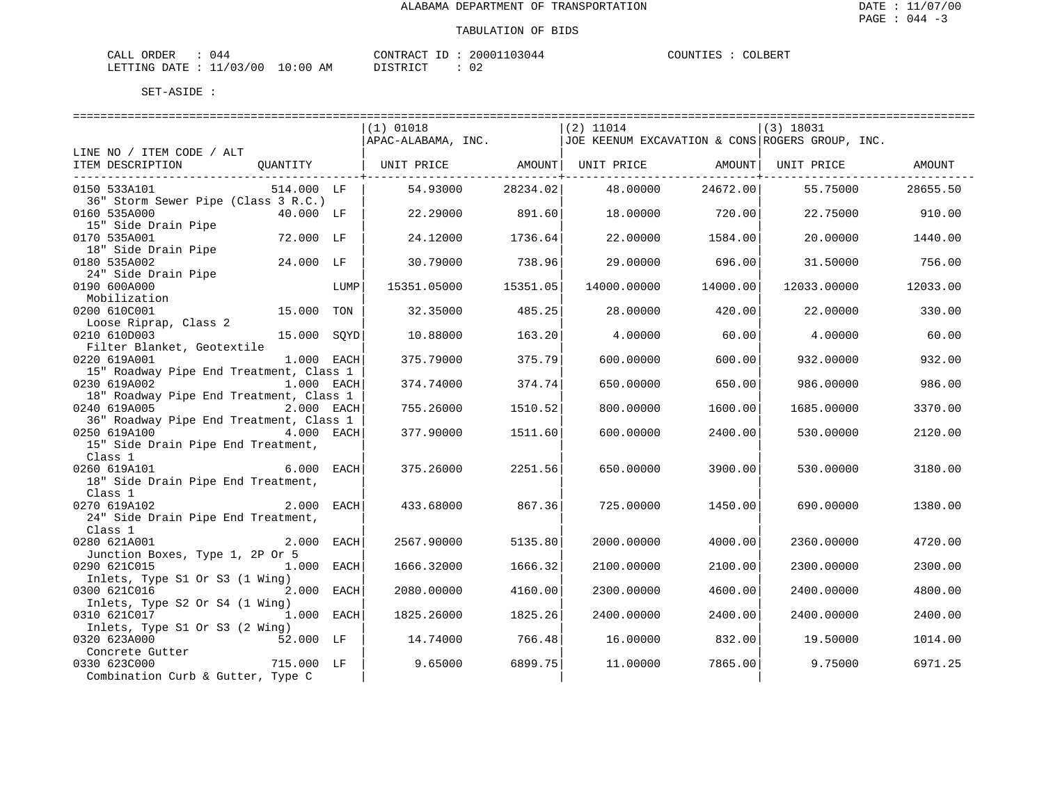| CALL ORDER                      | ባ44 | CONTRACT ID : | 20001103044 | COUNTIES : | COLBERT |
|---------------------------------|-----|---------------|-------------|------------|---------|
| LETTING DATE: 11/03/00 10:00 AM |     | DISTRICT      | ◡∠          |            |         |

|                                                                       |      | $(1)$ 01018                          |          | $(2)$ 11014 |          | $(3)$ 18031                                     |          |
|-----------------------------------------------------------------------|------|--------------------------------------|----------|-------------|----------|-------------------------------------------------|----------|
|                                                                       |      | APAC-ALABAMA, INC.                   |          |             |          | JOE KEENUM EXCAVATION & CONS ROGERS GROUP, INC. |          |
| LINE NO / ITEM CODE / ALT                                             |      |                                      |          |             |          |                                                 |          |
| ITEM DESCRIPTION<br>QUANTITY                                          |      | UNIT PRICE AMOUNT  UNIT PRICE AMOUNT |          |             |          | UNIT PRICE                                      | AMOUNT   |
| 0150 533A101<br>514.000 LF                                            |      | 54.93000                             | 28234.02 | 48.00000    | 24672.00 | 55.75000                                        | 28655.50 |
| 36" Storm Sewer Pipe (Class 3 R.C.)                                   |      |                                      |          |             |          |                                                 |          |
| 0160 535A000<br>40.000 LF                                             |      | 22.29000                             | 891.60   | 18.00000    | 720.00   | 22.75000                                        | 910.00   |
| 15" Side Drain Pipe                                                   |      |                                      |          |             |          |                                                 |          |
| 0170 535A001<br>72.000 LF                                             |      | 24.12000                             | 1736.64  | 22,00000    | 1584.00  | 20,00000                                        | 1440.00  |
| 18" Side Drain Pipe                                                   |      |                                      |          |             |          |                                                 |          |
| 24.000 LF<br>0180 535A002                                             |      | 30.79000                             | 738.96   | 29.00000    | 696.00   | 31.50000                                        | 756.00   |
| 24" Side Drain Pipe<br>0190 600A000                                   | LUMP | 15351.05000                          | 15351.05 | 14000.00000 | 14000.00 | 12033.00000                                     | 12033.00 |
| Mobilization                                                          |      |                                      |          |             |          |                                                 |          |
| 0200 610C001<br>15.000                                                | TON  | 32.35000                             | 485.25   | 28.00000    | 420.00   | 22.00000                                        | 330.00   |
| Loose Riprap, Class 2                                                 |      |                                      |          |             |          |                                                 |          |
| 0210 610D003<br>15.000 SOYD                                           |      | 10.88000                             | 163.20   | 4.00000     | 60.00    | 4.00000                                         | 60.00    |
| Filter Blanket, Geotextile                                            |      |                                      |          |             |          |                                                 |          |
| 0220 619A001<br>1.000 EACH                                            |      | 375.79000                            | 375.79   | 600,00000   | 600.00   | 932.00000                                       | 932.00   |
| 15" Roadway Pipe End Treatment, Class 1                               |      |                                      |          |             |          |                                                 |          |
| 0230 619A002<br>1.000 EACH                                            |      | 374.74000                            | 374.74   | 650.00000   | 650.00   | 986.00000                                       | 986.00   |
| 18" Roadway Pipe End Treatment, Class 1<br>2.000 EACH<br>0240 619A005 |      | 755.26000                            | 1510.52  | 800.00000   | 1600.00  | 1685.00000                                      | 3370.00  |
| 36" Roadway Pipe End Treatment, Class 1                               |      |                                      |          |             |          |                                                 |          |
| 4.000 EACH<br>0250 619A100                                            |      | 377.90000                            | 1511.60  | 600.00000   | 2400.00  | 530.00000                                       | 2120.00  |
| 15" Side Drain Pipe End Treatment,                                    |      |                                      |          |             |          |                                                 |          |
| Class 1                                                               |      |                                      |          |             |          |                                                 |          |
| 6.000 EACH<br>0260 619A101                                            |      | 375.26000                            | 2251.56  | 650.00000   | 3900.00  | 530.00000                                       | 3180.00  |
| 18" Side Drain Pipe End Treatment,                                    |      |                                      |          |             |          |                                                 |          |
| Class 1                                                               |      |                                      |          |             |          |                                                 |          |
| 0270 619A102<br>2.000 EACH                                            |      | 433.68000                            | 867.36   | 725,00000   | 1450.00  | 690.00000                                       | 1380.00  |
| 24" Side Drain Pipe End Treatment,<br>Class 1                         |      |                                      |          |             |          |                                                 |          |
| 0280 621A001<br>2.000 EACH                                            |      | 2567.90000                           | 5135.80  | 2000.00000  | 4000.00  | 2360.00000                                      | 4720.00  |
| Junction Boxes, Type 1, 2P Or 5                                       |      |                                      |          |             |          |                                                 |          |
| 0290 621C015<br>1.000 EACH                                            |      | 1666.32000                           | 1666.32  | 2100.00000  | 2100.00  | 2300.00000                                      | 2300.00  |
| Inlets, Type S1 Or S3 (1 Wing)                                        |      |                                      |          |             |          |                                                 |          |
| 0300 621C016<br>2.000 EACH                                            |      | 2080.00000                           | 4160.00  | 2300.00000  | 4600.00  | 2400.00000                                      | 4800.00  |
| Inlets, Type S2 Or S4 (1 Wing)                                        |      |                                      |          |             |          |                                                 |          |
| 1.000 EACH<br>0310 621C017                                            |      | 1825.26000                           | 1825.26  | 2400.00000  | 2400.00  | 2400.00000                                      | 2400.00  |
| Inlets, Type S1 Or S3 (2 Wing)<br>52.000 LF<br>0320 623A000           |      | 14.74000                             | 766.48   | 16.00000    | 832.00   | 19.50000                                        | 1014.00  |
| Concrete Gutter                                                       |      |                                      |          |             |          |                                                 |          |
| 715.000 LF<br>0330 623C000                                            |      | 9.65000                              | 6899.75  | 11,00000    | 7865.00  | 9.75000                                         | 6971.25  |
| Combination Curb & Gutter, Type C                                     |      |                                      |          |             |          |                                                 |          |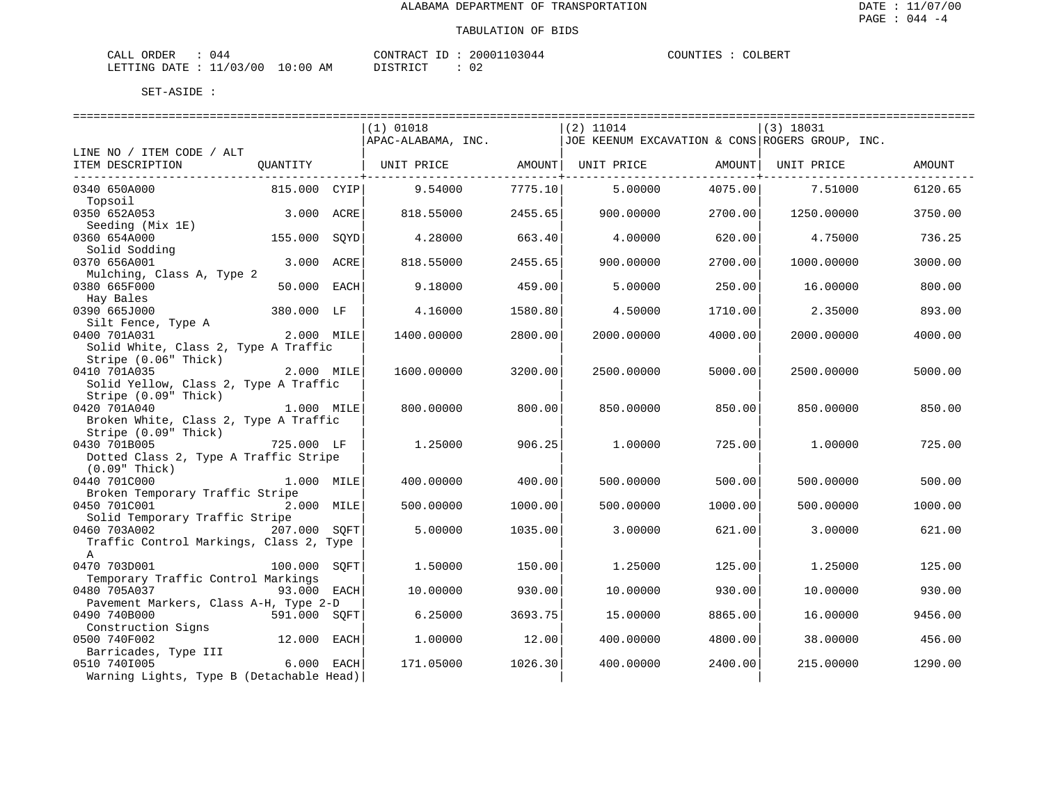| CALL ORDER<br>1144               | CONTRACT ID: 20001103044 | .  | COLBERT<br>COUNTIES :<br>$\begin{array}{ccc} \multicolumn{3}{c}{} & \multicolumn{3}{c}{} & \multicolumn{3}{c}{} & \multicolumn{3}{c}{} & \multicolumn{3}{c}{} & \multicolumn{3}{c}{} & \multicolumn{3}{c}{} & \multicolumn{3}{c}{} & \multicolumn{3}{c}{} & \multicolumn{3}{c}{} & \multicolumn{3}{c}{} & \multicolumn{3}{c}{} & \multicolumn{3}{c}{} & \multicolumn{3}{c}{} & \multicolumn{3}{c}{} & \multicolumn{3}{c}{} & \multicolumn{3}{c}{} & \multicolumn{3}{c}{} & \multicolumn{3}{c}{} & \multicolumn$ |
|----------------------------------|--------------------------|----|-----------------------------------------------------------------------------------------------------------------------------------------------------------------------------------------------------------------------------------------------------------------------------------------------------------------------------------------------------------------------------------------------------------------------------------------------------------------------------------------------------------------|
| LETTING DATE : 11/03/00 10:00 AM | DISTRICT                 | 02 |                                                                                                                                                                                                                                                                                                                                                                                                                                                                                                                 |

|                                                    |              |      | (1) 01018          |         | $(2)$ 11014 |         | (3) 18031                                       |         |
|----------------------------------------------------|--------------|------|--------------------|---------|-------------|---------|-------------------------------------------------|---------|
|                                                    |              |      | APAC-ALABAMA, INC. |         |             |         | JOE KEENUM EXCAVATION & CONS ROGERS GROUP, INC. |         |
| LINE NO / ITEM CODE / ALT                          |              |      |                    |         |             |         |                                                 |         |
| ITEM DESCRIPTION                                   | QUANTITY     |      | UNIT PRICE         | AMOUNT  | UNIT PRICE  | AMOUNT  | UNIT PRICE                                      | AMOUNT  |
| 0340 650A000                                       | 815.000 CYIP |      | 9.54000            | 7775.10 | 5.00000     | 4075.00 | 7.51000                                         | 6120.65 |
| Topsoil                                            |              |      |                    |         |             |         |                                                 |         |
| 0350 652A053                                       | 3.000        | ACRE | 818.55000          | 2455.65 | 900.00000   | 2700.00 | 1250.00000                                      | 3750.00 |
| Seeding (Mix 1E)                                   |              |      |                    |         |             |         |                                                 |         |
| 0360 654A000                                       | 155.000      | SOYD | 4.28000            | 663.40  | 4.00000     | 620.00  | 4.75000                                         | 736.25  |
| Solid Sodding                                      |              |      |                    |         |             |         |                                                 |         |
| 0370 656A001<br>Mulching, Class A, Type 2          | 3.000        | ACRE | 818.55000          | 2455.65 | 900.00000   | 2700.00 | 1000.00000                                      | 3000.00 |
| 0380 665F000                                       | 50.000 EACH  |      | 9.18000            | 459.00  | 5.00000     | 250.00  | 16.00000                                        | 800.00  |
| Hay Bales                                          |              |      |                    |         |             |         |                                                 |         |
| 0390 665J000                                       | 380.000 LF   |      | 4.16000            | 1580.80 | 4.50000     | 1710.00 | 2.35000                                         | 893.00  |
| Silt Fence, Type A                                 |              |      |                    |         |             |         |                                                 |         |
| 0400 701A031                                       | 2.000 MILE   |      | 1400.00000         | 2800.00 | 2000.00000  | 4000.00 | 2000.00000                                      | 4000.00 |
| Solid White, Class 2, Type A Traffic               |              |      |                    |         |             |         |                                                 |         |
| Stripe (0.06" Thick)<br>0410 701A035               | 2.000 MILE   |      | 1600.00000         | 3200.00 | 2500.00000  | 5000.00 | 2500.00000                                      | 5000.00 |
| Solid Yellow, Class 2, Type A Traffic              |              |      |                    |         |             |         |                                                 |         |
| Stripe (0.09" Thick)                               |              |      |                    |         |             |         |                                                 |         |
| 0420 701A040                                       | 1.000 MILE   |      | 800,00000          | 800.00  | 850.00000   | 850.00  | 850,00000                                       | 850.00  |
| Broken White, Class 2, Type A Traffic              |              |      |                    |         |             |         |                                                 |         |
| Stripe (0.09" Thick)                               |              |      |                    |         |             |         |                                                 |         |
| 0430 701B005                                       | 725.000 LF   |      | 1,25000            | 906.25  | 1,00000     | 725.00  | 1,00000                                         | 725.00  |
| Dotted Class 2, Type A Traffic Stripe              |              |      |                    |         |             |         |                                                 |         |
| $(0.09"$ Thick)<br>0440 701C000                    | 1.000 MILE   |      | 400.00000          | 400.00  | 500.00000   | 500.00  | 500.00000                                       | 500.00  |
| Broken Temporary Traffic Stripe                    |              |      |                    |         |             |         |                                                 |         |
| 0450 701C001                                       | 2.000 MILE   |      | 500.00000          | 1000.00 | 500.00000   | 1000.00 | 500.00000                                       | 1000.00 |
| Solid Temporary Traffic Stripe                     |              |      |                    |         |             |         |                                                 |         |
| 0460 703A002                                       | 207.000 SOFT |      | 5.00000            | 1035.00 | 3.00000     | 621.00  | 3.00000                                         | 621.00  |
| Traffic Control Markings, Class 2, Type            |              |      |                    |         |             |         |                                                 |         |
| A                                                  |              |      |                    |         |             |         |                                                 |         |
| 0470 703D001<br>Temporary Traffic Control Markings | 100.000      | SOFT | 1.50000            | 150.00  | 1.25000     | 125.00  | 1,25000                                         | 125.00  |
| 0480 705A037                                       | 93.000 EACH  |      | 10.00000           | 930.00  | 10.00000    | 930.00  | 10.00000                                        | 930.00  |
| Pavement Markers, Class A-H, Type 2-D              |              |      |                    |         |             |         |                                                 |         |
| 0490 740B000                                       | 591.000 SOFT |      | 6.25000            | 3693.75 | 15.00000    | 8865.00 | 16,00000                                        | 9456.00 |
| Construction Signs                                 |              |      |                    |         |             |         |                                                 |         |
| 0500 740F002                                       | 12.000 EACH  |      | 1,00000            | 12.00   | 400.00000   | 4800.00 | 38.00000                                        | 456.00  |
| Barricades, Type III                               |              |      |                    |         |             |         |                                                 |         |
| 0510 7401005                                       | 6.000 EACH   |      | 171.05000          | 1026.30 | 400.00000   | 2400.00 | 215,00000                                       | 1290.00 |
| Warning Lights, Type B (Detachable Head)           |              |      |                    |         |             |         |                                                 |         |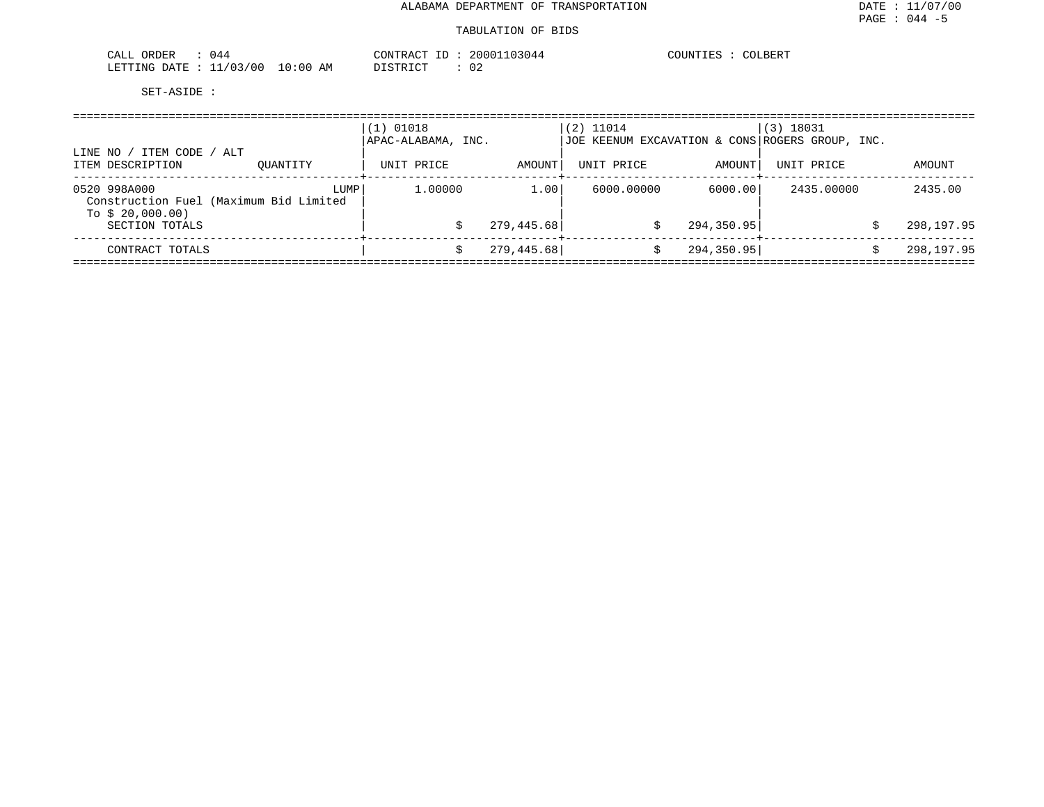### TABULATION OF BIDS

| $\overline{a}$<br><b>ORDER</b><br>CALL<br>U44 |             | $ -$<br>יחיד הראיר.<br>$\cdots$ $\lambda$ $\cap$ $\cdots$ | 03044<br>iuuu. | JLBERT<br>HM. |
|-----------------------------------------------|-------------|-----------------------------------------------------------|----------------|---------------|
| 1/00<br>/ 0.3<br>LETTING<br>חת מח<br>— —      | 10:00<br>AM | T T T T<br>n <del>r</del> amr<br>---                      | ◡▵             |               |

| ITEM CODE / ALT<br>LINE NO                                                 |          | $(1)$ 01018<br>APAC-ALABAMA, INC. |             | $(2)$ 11014<br>JOE KEENUM EXCAVATION & CONS ROGERS GROUP, INC. |             | (3) 18031  |                 |
|----------------------------------------------------------------------------|----------|-----------------------------------|-------------|----------------------------------------------------------------|-------------|------------|-----------------|
| ITEM DESCRIPTION                                                           | OUANTITY | UNIT PRICE                        | AMOUNT      | UNIT PRICE                                                     | AMOUNT      | UNIT PRICE | AMOUNT          |
| 0520 998A000<br>Construction Fuel (Maximum Bid Limited<br>To $$20,000.00)$ | LUMP     | 1,00000                           | 1.00        | 6000.00000                                                     | 6000.00     | 2435,00000 | 2435.00         |
| SECTION TOTALS                                                             |          |                                   | 279, 445.68 | S                                                              | 294, 350.95 |            | 298,197.95      |
| CONTRACT TOTALS                                                            |          |                                   | 279, 445.68 |                                                                | 294, 350.95 |            | 298,197.95<br>Ŝ |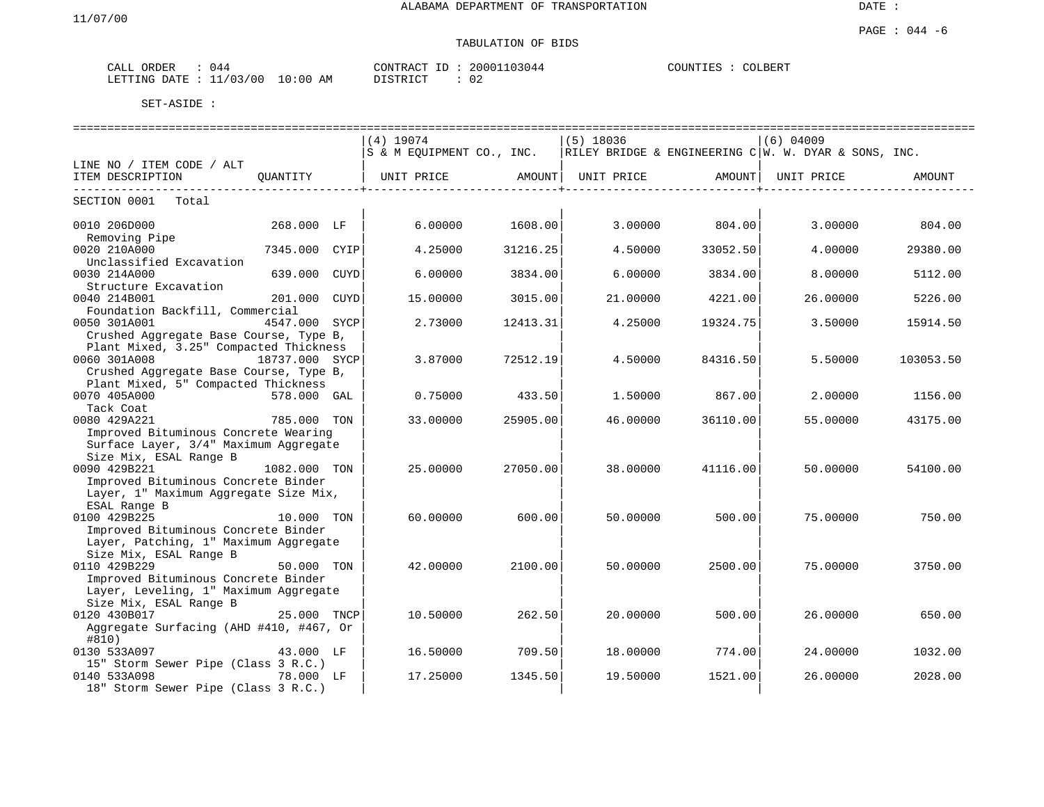# TABULATION OF BIDS

| ORDER<br>CALL | -044                                     | CONTRAC'<br>$\pi$ $\sim$<br>$- -$<br>⊥ | 103044<br>20001 | COUNTIES<br>COLBERT |
|---------------|------------------------------------------|----------------------------------------|-----------------|---------------------|
| LETTING DATE  | 10:00<br>/03<br>'00<br>AΜ<br><u>، ، </u> | TAT<br><b>DICTE</b>                    | $\sim$          |                     |

|                                                                                                                                                  |               |      | $(4)$ 19074                              |          | (5) 18036 |                | $(6)$ 04009                                                                        |           |
|--------------------------------------------------------------------------------------------------------------------------------------------------|---------------|------|------------------------------------------|----------|-----------|----------------|------------------------------------------------------------------------------------|-----------|
|                                                                                                                                                  |               |      |                                          |          |           |                | S & M EQUIPMENT CO., INC.   RILEY BRIDGE & ENGINEERING C   W. W. DYAR & SONS, INC. |           |
| LINE NO / ITEM CODE / ALT                                                                                                                        |               |      |                                          |          |           |                |                                                                                    |           |
| ITEM DESCRIPTION                                                                                                                                 |               |      | QUANTITY   UNIT PRICE AMOUNT  UNIT PRICE |          |           |                | AMOUNT  UNIT PRICE                                                                 | AMOUNT    |
| SECTION 0001 Total                                                                                                                               |               |      |                                          |          |           |                |                                                                                    |           |
| 0010 206D000<br>Removing Pipe                                                                                                                    | 268.000 LF    |      | 6.00000                                  | 1608.00  |           | 3.00000 804.00 | 3.00000                                                                            | 804.00    |
| 0020 210A000<br>Unclassified Excavation                                                                                                          | 7345.000      | CYIP | 4.25000                                  | 31216.25 | 4.50000   | 33052.50       | 4.00000                                                                            | 29380.00  |
| 0030 214A000<br>Structure Excavation                                                                                                             | 639.000       | CUYD | 6,00000                                  | 3834.00  | 6.00000   | 3834.00        | 8.00000                                                                            | 5112.00   |
| 0040 214B001<br>Foundation Backfill, Commercial                                                                                                  | 201.000       | CUYD | 15.00000                                 | 3015.00  | 21.00000  | 4221.00        | 26.00000                                                                           | 5226.00   |
| 0050 301A001<br>Crushed Aggregate Base Course, Type B,                                                                                           | 4547.000 SYCP |      | 2.73000                                  | 12413.31 | 4.25000   | 19324.75       | 3.50000                                                                            | 15914.50  |
| Plant Mixed, 3.25" Compacted Thickness<br>0060 301A008<br>18737.000 SYCP<br>Crushed Aggregate Base Course, Type B,                               |               |      | 3.87000                                  | 72512.19 | 4.50000   | 84316.50       | 5.50000                                                                            | 103053.50 |
| Plant Mixed, 5" Compacted Thickness<br>0070 405A000<br>Tack Coat                                                                                 | 578.000 GAL   |      | 0.75000                                  | 433.50   | 1.50000   | 867.00         | 2.00000                                                                            | 1156.00   |
| 0080 429A221<br>Improved Bituminous Concrete Wearing<br>Surface Layer, 3/4" Maximum Aggregate                                                    | 785.000 TON   |      | 33,00000                                 | 25905.00 | 46.00000  | 36110.00       | 55.00000                                                                           | 43175.00  |
| Size Mix, ESAL Range B<br>0090 429B221<br>Improved Bituminous Concrete Binder<br>Layer, 1" Maximum Aggregate Size Mix,                           | 1082.000 TON  |      | 25,00000                                 | 27050.00 | 38,00000  | 41116.00       | 50.00000                                                                           | 54100.00  |
| ESAL Range B<br>0100 429B225<br>Improved Bituminous Concrete Binder<br>Layer, Patching, 1" Maximum Aggregate                                     | 10.000 TON    |      | 60.00000                                 | 600.00   | 50.00000  | 500.00         | 75.00000                                                                           | 750.00    |
| Size Mix, ESAL Range B<br>0110 429B229<br>Improved Bituminous Concrete Binder<br>Layer, Leveling, 1" Maximum Aggregate<br>Size Mix, ESAL Range B | 50.000 TON    |      | 42.00000                                 | 2100.00  | 50.00000  | 2500.00        | 75.00000                                                                           | 3750.00   |
| 25.000 TNCP<br>0120 430B017<br>Aggregate Surfacing (AHD #410, #467, Or<br>#810)                                                                  |               |      | 10.50000                                 | 262.50   | 20,00000  | 500.00         | 26.00000                                                                           | 650.00    |
| 0130 533A097<br>15" Storm Sewer Pipe (Class 3 R.C.)                                                                                              | 43.000 LF     |      | 16.50000                                 | 709.50   | 18.00000  | 774.00         | 24.00000                                                                           | 1032.00   |
| 0140 533A098<br>18" Storm Sewer Pipe (Class 3 R.C.)                                                                                              | 78.000 LF     |      | 17.25000                                 | 1345.50  | 19.50000  | 1521.00        | 26.00000                                                                           | 2028.00   |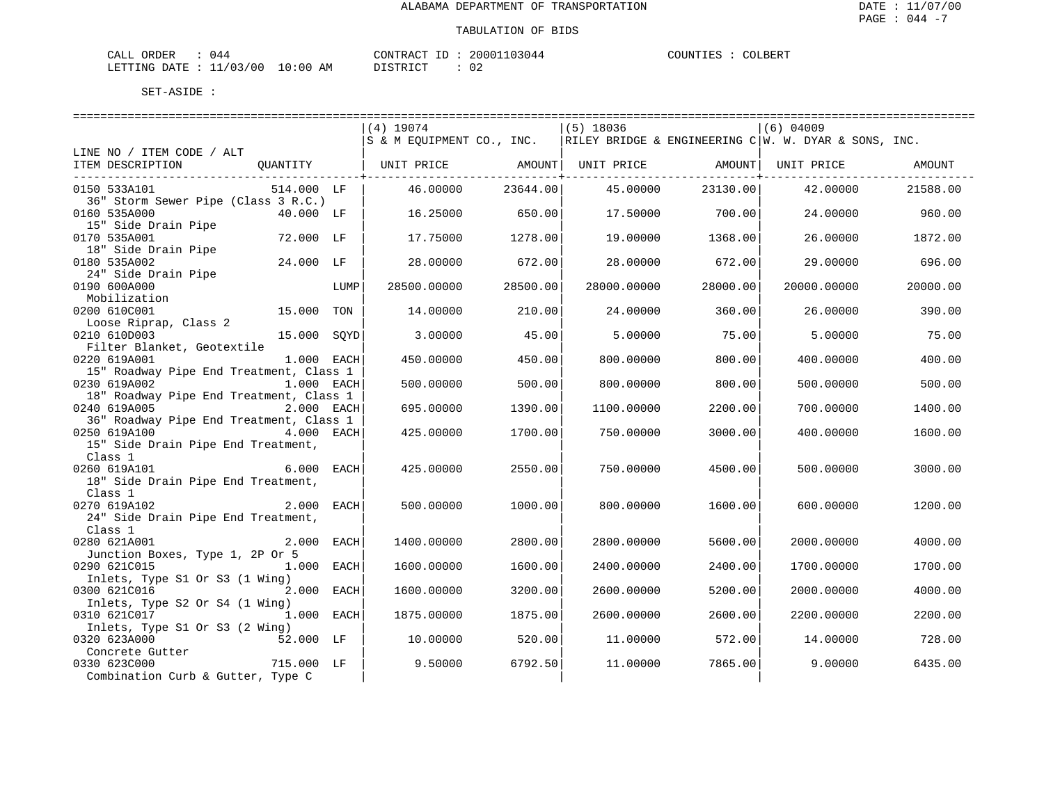| CALL ORDER                       | ባ44 | CONTRACT ID : | 20001103044 | COUNTIES : | COLBERT |
|----------------------------------|-----|---------------|-------------|------------|---------|
| LETTING DATE : 11/03/00 10:00 AM |     | DISTRICT      | ∪∠          |            |         |

| S & M EQUIPMENT CO., INC.   RILEY BRIDGE & ENGINEERING C   W. W. DYAR & SONS, INC.<br>LINE NO / ITEM CODE / ALT<br>ITEM DESCRIPTION<br>QUANTITY   UNIT PRICE AMOUNT   UNIT PRICE AMOUNT  <br>AMOUNT<br>UNIT PRICE<br>46.00000<br>23644.00<br>23130.00<br>42.00000<br>21588.00<br>0150 533A101<br>514.000 LF<br>45.00000<br>36" Storm Sewer Pipe (Class 3 R.C.)<br>0160 535A000<br>40.000 LF<br>16.25000<br>650.00<br>17.50000<br>700.00<br>24.00000<br>960.00<br>15" Side Drain Pipe<br>0170 535A001<br>72.000 LF<br>17.75000<br>1278.00<br>19.00000<br>1368.00<br>26.00000<br>1872.00<br>18" Side Drain Pipe<br>0180 535A002<br>24.000 LF<br>28.00000<br>672.00<br>28.00000<br>672.00<br>29.00000<br>696.00<br>24" Side Drain Pipe<br>0190 600A000<br>28500.00<br>28000.00<br>LUMP<br>28500.00000<br>28000.00000<br>20000.00000<br>20000.00 | ============================= | ----------------------------- | ----------------------------- |  |
|----------------------------------------------------------------------------------------------------------------------------------------------------------------------------------------------------------------------------------------------------------------------------------------------------------------------------------------------------------------------------------------------------------------------------------------------------------------------------------------------------------------------------------------------------------------------------------------------------------------------------------------------------------------------------------------------------------------------------------------------------------------------------------------------------------------------------------------------|-------------------------------|-------------------------------|-------------------------------|--|
|                                                                                                                                                                                                                                                                                                                                                                                                                                                                                                                                                                                                                                                                                                                                                                                                                                              | $(4)$ 19074                   | $(5)$ 18036                   | $(6)$ 04009                   |  |
|                                                                                                                                                                                                                                                                                                                                                                                                                                                                                                                                                                                                                                                                                                                                                                                                                                              |                               |                               |                               |  |
|                                                                                                                                                                                                                                                                                                                                                                                                                                                                                                                                                                                                                                                                                                                                                                                                                                              |                               |                               |                               |  |
|                                                                                                                                                                                                                                                                                                                                                                                                                                                                                                                                                                                                                                                                                                                                                                                                                                              |                               |                               |                               |  |
|                                                                                                                                                                                                                                                                                                                                                                                                                                                                                                                                                                                                                                                                                                                                                                                                                                              |                               |                               |                               |  |
|                                                                                                                                                                                                                                                                                                                                                                                                                                                                                                                                                                                                                                                                                                                                                                                                                                              |                               |                               |                               |  |
|                                                                                                                                                                                                                                                                                                                                                                                                                                                                                                                                                                                                                                                                                                                                                                                                                                              |                               |                               |                               |  |
|                                                                                                                                                                                                                                                                                                                                                                                                                                                                                                                                                                                                                                                                                                                                                                                                                                              |                               |                               |                               |  |
|                                                                                                                                                                                                                                                                                                                                                                                                                                                                                                                                                                                                                                                                                                                                                                                                                                              |                               |                               |                               |  |
|                                                                                                                                                                                                                                                                                                                                                                                                                                                                                                                                                                                                                                                                                                                                                                                                                                              |                               |                               |                               |  |
|                                                                                                                                                                                                                                                                                                                                                                                                                                                                                                                                                                                                                                                                                                                                                                                                                                              |                               |                               |                               |  |
| Mobilization                                                                                                                                                                                                                                                                                                                                                                                                                                                                                                                                                                                                                                                                                                                                                                                                                                 |                               |                               |                               |  |
| 0200 610C001<br>15.000<br>TON<br>14.00000<br>210.00<br>24.00000<br>360.00<br>26.00000<br>390.00                                                                                                                                                                                                                                                                                                                                                                                                                                                                                                                                                                                                                                                                                                                                              |                               |                               |                               |  |
| Loose Riprap, Class 2                                                                                                                                                                                                                                                                                                                                                                                                                                                                                                                                                                                                                                                                                                                                                                                                                        |                               |                               |                               |  |
| 0210 610D003<br>15.000 SOYD<br>75.00<br>3.00000<br>45.00<br>5.00000<br>75.00<br>5.00000                                                                                                                                                                                                                                                                                                                                                                                                                                                                                                                                                                                                                                                                                                                                                      |                               |                               |                               |  |
| Filter Blanket, Geotextile                                                                                                                                                                                                                                                                                                                                                                                                                                                                                                                                                                                                                                                                                                                                                                                                                   |                               |                               |                               |  |
| 0220 619A001<br>1.000 EACH<br>450.00000<br>450.00<br>800.00<br>400.00000<br>400.00<br>800.00000<br>15" Roadway Pipe End Treatment, Class 1                                                                                                                                                                                                                                                                                                                                                                                                                                                                                                                                                                                                                                                                                                   |                               |                               |                               |  |
| 0230 619A002<br>1.000 EACH<br>500.00000<br>500.00<br>800.00000<br>800.00<br>500.00000<br>500.00                                                                                                                                                                                                                                                                                                                                                                                                                                                                                                                                                                                                                                                                                                                                              |                               |                               |                               |  |
| 18" Roadway Pipe End Treatment, Class 1                                                                                                                                                                                                                                                                                                                                                                                                                                                                                                                                                                                                                                                                                                                                                                                                      |                               |                               |                               |  |
| 0240 619A005<br>2.000 EACH<br>695.00000<br>1390.00<br>1100.00000<br>2200.00<br>700.00000<br>1400.00                                                                                                                                                                                                                                                                                                                                                                                                                                                                                                                                                                                                                                                                                                                                          |                               |                               |                               |  |
| 36" Roadway Pipe End Treatment, Class 1<br>4.000 EACH<br>1700.00                                                                                                                                                                                                                                                                                                                                                                                                                                                                                                                                                                                                                                                                                                                                                                             |                               |                               |                               |  |
| 0250 619A100<br>3000.00<br>425.00000<br>750.00000<br>400.00000<br>1600.00<br>15" Side Drain Pipe End Treatment,                                                                                                                                                                                                                                                                                                                                                                                                                                                                                                                                                                                                                                                                                                                              |                               |                               |                               |  |
| Class 1                                                                                                                                                                                                                                                                                                                                                                                                                                                                                                                                                                                                                                                                                                                                                                                                                                      |                               |                               |                               |  |
| $6.000$ EACH<br>0260 619A101<br>425.00000<br>2550.00<br>750.00000<br>4500.00<br>500.00000<br>3000.00                                                                                                                                                                                                                                                                                                                                                                                                                                                                                                                                                                                                                                                                                                                                         |                               |                               |                               |  |
| 18" Side Drain Pipe End Treatment,                                                                                                                                                                                                                                                                                                                                                                                                                                                                                                                                                                                                                                                                                                                                                                                                           |                               |                               |                               |  |
| Class 1                                                                                                                                                                                                                                                                                                                                                                                                                                                                                                                                                                                                                                                                                                                                                                                                                                      |                               |                               |                               |  |
| 0270 619A102<br>2.000 EACH<br>500.00000<br>1000.00<br>800,00000<br>1600.00<br>600.00000<br>1200.00<br>24" Side Drain Pipe End Treatment,                                                                                                                                                                                                                                                                                                                                                                                                                                                                                                                                                                                                                                                                                                     |                               |                               |                               |  |
| Class 1                                                                                                                                                                                                                                                                                                                                                                                                                                                                                                                                                                                                                                                                                                                                                                                                                                      |                               |                               |                               |  |
| 2.000 EACH<br>0280 621A001<br>1400.00000<br>2800.00<br>2800.00000<br>2000.00000<br>4000.00<br>5600.00                                                                                                                                                                                                                                                                                                                                                                                                                                                                                                                                                                                                                                                                                                                                        |                               |                               |                               |  |
| Junction Boxes, Type 1, 2P Or 5                                                                                                                                                                                                                                                                                                                                                                                                                                                                                                                                                                                                                                                                                                                                                                                                              |                               |                               |                               |  |
| 1.000 EACH<br>1600.00<br>2400.00<br>0290 621C015<br>1600.00000<br>2400.00000<br>1700.00000<br>1700.00                                                                                                                                                                                                                                                                                                                                                                                                                                                                                                                                                                                                                                                                                                                                        |                               |                               |                               |  |
| Inlets, Type S1 Or S3 (1 Wing)<br>0300 621C016<br>2.000 EACH<br>3200.00<br>1600.00000<br>2600.00000<br>5200.00<br>2000.00000<br>4000.00                                                                                                                                                                                                                                                                                                                                                                                                                                                                                                                                                                                                                                                                                                      |                               |                               |                               |  |
| Inlets, Type S2 Or S4 (1 Wing)                                                                                                                                                                                                                                                                                                                                                                                                                                                                                                                                                                                                                                                                                                                                                                                                               |                               |                               |                               |  |
| 0310 621C017 1.000 EACH<br>1875.00<br>2600.00<br>1875.00000<br>2600.00000<br>2200.00000<br>2200.00                                                                                                                                                                                                                                                                                                                                                                                                                                                                                                                                                                                                                                                                                                                                           |                               |                               |                               |  |
| Inlets, Type S1 Or S3 (2 Wing)                                                                                                                                                                                                                                                                                                                                                                                                                                                                                                                                                                                                                                                                                                                                                                                                               |                               |                               |                               |  |
| 52.000 LF<br>520.00<br>0320 623A000<br>10.00000<br>11,00000<br>572.00<br>14.00000<br>728.00                                                                                                                                                                                                                                                                                                                                                                                                                                                                                                                                                                                                                                                                                                                                                  |                               |                               |                               |  |
| Concrete Gutter<br>715.000 LF<br>0330 623C000<br>6792.50<br>11,00000<br>7865.00<br>9,00000<br>6435.00<br>9.50000                                                                                                                                                                                                                                                                                                                                                                                                                                                                                                                                                                                                                                                                                                                             |                               |                               |                               |  |
| Combination Curb & Gutter, Type C                                                                                                                                                                                                                                                                                                                                                                                                                                                                                                                                                                                                                                                                                                                                                                                                            |                               |                               |                               |  |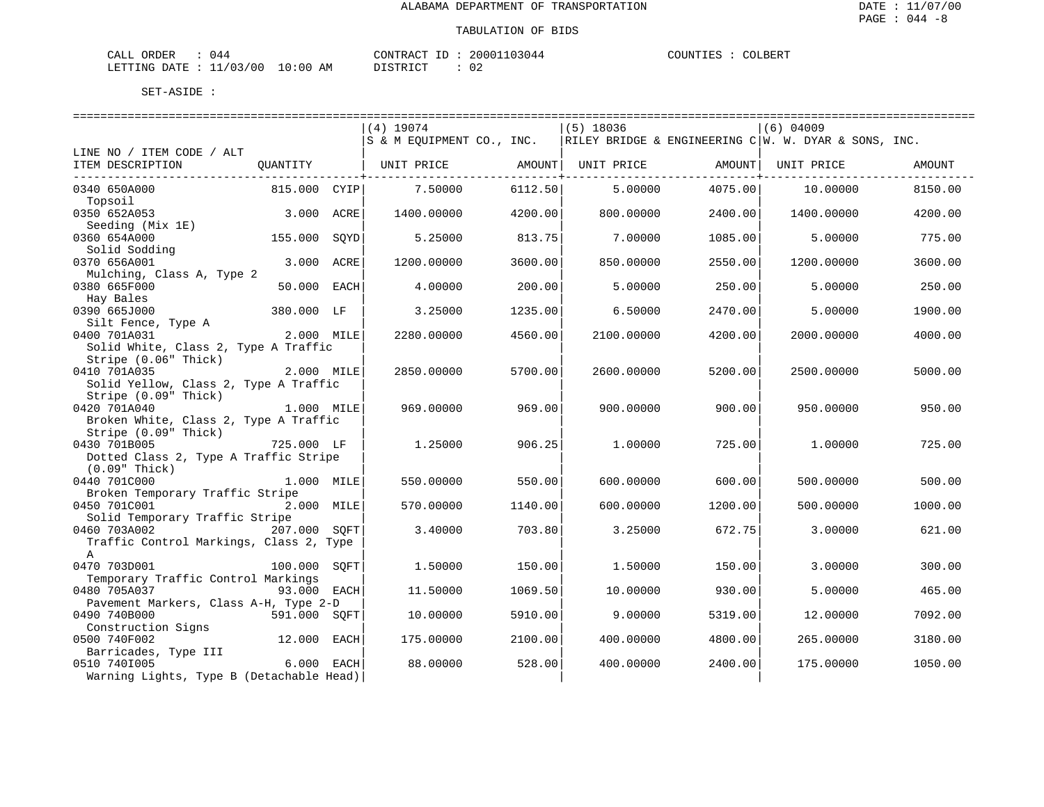| CALL ORDER | 044                              | CONTRACT ID: | 20001103044 | COUNTIES : 0 | COLBERT |
|------------|----------------------------------|--------------|-------------|--------------|---------|
|            | LETTING DATE : 11/03/00 10:00 AM | DISTRICT     |             |              |         |

|                                          |              |      | $(4)$ 19074               |         | $(5)$ 18036 |         | $(6)$ 04009                                            |         |
|------------------------------------------|--------------|------|---------------------------|---------|-------------|---------|--------------------------------------------------------|---------|
|                                          |              |      | S & M EOUIPMENT CO., INC. |         |             |         | RILEY BRIDGE & ENGINEERING $C W.$ W. DYAR & SONS, INC. |         |
| LINE NO / ITEM CODE / ALT                |              |      |                           |         |             |         |                                                        |         |
| ITEM DESCRIPTION                         | OUANTITY     |      | UNIT PRICE                | AMOUNT  | UNIT PRICE  | AMOUNT  | UNIT PRICE                                             | AMOUNT  |
|                                          |              |      |                           |         |             |         |                                                        |         |
| 0340 650A000<br>Topsoil                  | 815.000 CYIP |      | 7.50000                   | 6112.50 | 5,00000     | 4075.00 | 10.00000                                               | 8150.00 |
| 0350 652A053                             | 3.000 ACRE   |      | 1400.00000                | 4200.00 | 800.00000   | 2400.00 | 1400.00000                                             | 4200.00 |
| Seeding (Mix 1E)                         |              |      |                           |         |             |         |                                                        |         |
| 0360 654A000                             | 155.000      | SOYD | 5.25000                   | 813.75  | 7.00000     | 1085.00 | 5.00000                                                | 775.00  |
| Solid Sodding                            |              |      |                           |         |             |         |                                                        |         |
| 0370 656A001                             | 3.000        | ACRE | 1200.00000                | 3600.00 | 850.00000   | 2550.00 | 1200.00000                                             | 3600.00 |
| Mulching, Class A, Type 2                |              |      |                           |         |             |         |                                                        |         |
| 0380 665F000                             | 50.000 EACH  |      | 4.00000                   | 200.00  | 5.00000     | 250.00  | 5.00000                                                | 250.00  |
| Hay Bales                                |              |      |                           |         |             |         |                                                        |         |
| 0390 665J000                             | 380.000 LF   |      | 3.25000                   | 1235.00 | 6.50000     | 2470.00 | 5.00000                                                | 1900.00 |
| Silt Fence, Type A                       |              |      |                           |         |             |         |                                                        |         |
| 0400 701A031                             | 2.000 MILE   |      | 2280.00000                | 4560.00 | 2100.00000  | 4200.00 | 2000.00000                                             | 4000.00 |
| Solid White, Class 2, Type A Traffic     |              |      |                           |         |             |         |                                                        |         |
| Stripe (0.06" Thick)                     |              |      |                           |         |             |         |                                                        |         |
| 0410 701A035                             | 2.000 MILE   |      | 2850.00000                | 5700.00 | 2600.00000  | 5200.00 | 2500.00000                                             | 5000.00 |
| Solid Yellow, Class 2, Type A Traffic    |              |      |                           |         |             |         |                                                        |         |
| Stripe (0.09" Thick)<br>0420 701A040     | 1.000 MILE   |      | 969,00000                 | 969.00  | 900.00000   | 900.00  | 950.00000                                              | 950.00  |
| Broken White, Class 2, Type A Traffic    |              |      |                           |         |             |         |                                                        |         |
| Stripe (0.09" Thick)                     |              |      |                           |         |             |         |                                                        |         |
| 0430 701B005                             | 725.000 LF   |      | 1.25000                   | 906.25  | 1,00000     | 725.00  | 1,00000                                                | 725.00  |
| Dotted Class 2, Type A Traffic Stripe    |              |      |                           |         |             |         |                                                        |         |
| (0.09" Thick)                            |              |      |                           |         |             |         |                                                        |         |
| 0440 701C000                             | 1.000 MILE   |      | 550.00000                 | 550.00  | 600.00000   | 600.00  | 500.00000                                              | 500.00  |
| Broken Temporary Traffic Stripe          |              |      |                           |         |             |         |                                                        |         |
| 0450 701C001                             | 2.000 MILE   |      | 570.00000                 | 1140.00 | 600.00000   | 1200.00 | 500.00000                                              | 1000.00 |
| Solid Temporary Traffic Stripe           |              |      |                           |         |             |         |                                                        |         |
| 0460 703A002                             | 207.000 SOFT |      | 3.40000                   | 703.80  | 3.25000     | 672.75  | 3.00000                                                | 621.00  |
| Traffic Control Markings, Class 2, Type  |              |      |                           |         |             |         |                                                        |         |
| $\mathbb A$                              |              |      |                           |         |             |         |                                                        |         |
| 0470 703D001                             | 100.000      | SOFT | 1.50000                   | 150.00  | 1.50000     | 150.00  | 3.00000                                                | 300.00  |
| Temporary Traffic Control Markings       |              |      |                           |         |             |         |                                                        |         |
| 0480 705A037                             | 93.000 EACH  |      | 11.50000                  | 1069.50 | 10.00000    | 930.00  | 5.00000                                                | 465.00  |
| Pavement Markers, Class A-H, Type 2-D    |              |      |                           |         |             |         |                                                        |         |
| 0490 740B000                             | 591.000 SOFT |      | 10.00000                  | 5910.00 | 9,00000     | 5319.00 | 12.00000                                               | 7092.00 |
| Construction Signs<br>0500 740F002       | 12.000 EACH  |      | 175.00000                 | 2100.00 | 400.00000   | 4800.00 | 265.00000                                              | 3180.00 |
| Barricades, Type III                     |              |      |                           |         |             |         |                                                        |         |
| 0510 7401005                             | 6.000 EACH   |      | 88,00000                  | 528.00  | 400.00000   | 2400.00 | 175.00000                                              | 1050.00 |
| Warning Lights, Type B (Detachable Head) |              |      |                           |         |             |         |                                                        |         |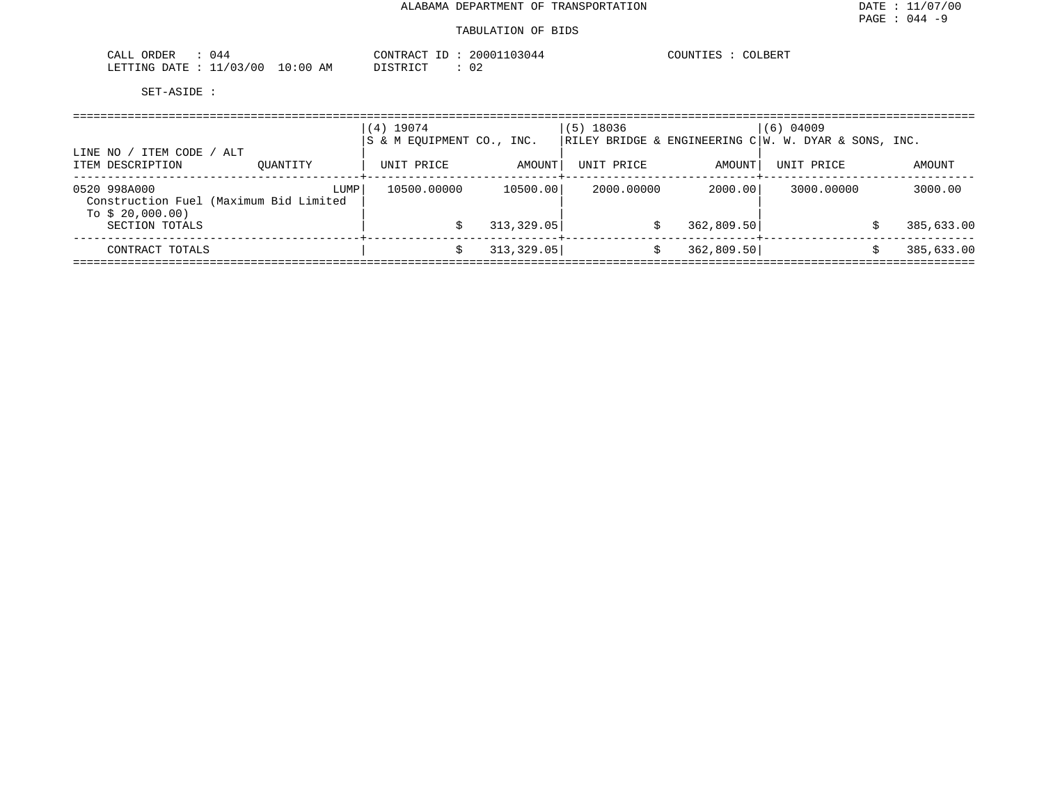| ORDER<br>044                                         | ົ^3044<br>CONTRAC<br>nnn <sup>-</sup><br>$\sim$ | LBER.<br>$. \text{J}$ $\text{I} \text{N}$ <sup>T</sup><br>ن ڪابا |
|------------------------------------------------------|-------------------------------------------------|------------------------------------------------------------------|
| 103<br>10:00<br>100<br>LETTING<br>. ገд ጥፑ<br>ΆM<br>. | $\cap$<br>$T \cap T$<br>םידים י<br>∪∠<br>TUTC.  |                                                                  |

| ITEM CODE / ALT<br>LINE NO                                                 |          | $(4)$ 19074<br>S & M EOUIPMENT CO., INC. |             | $(5)$ 18036 |            | $(6)$ 04009<br>$\overline{\text{RILEY}}$ BRIDGE & ENGINEERING C $\overline{\text{W}}$ . W. DYAR & SONS, INC. |            |
|----------------------------------------------------------------------------|----------|------------------------------------------|-------------|-------------|------------|--------------------------------------------------------------------------------------------------------------|------------|
| ITEM DESCRIPTION                                                           | OUANTITY | UNIT PRICE                               | AMOUNT      | UNIT PRICE  | AMOUNT     | UNIT PRICE                                                                                                   | AMOUNT     |
| 0520 998A000<br>Construction Fuel (Maximum Bid Limited<br>To $$20,000.00)$ | LUMP     | 10500.00000                              | 10500.00    | 2000.00000  | 2000.00    | 3000.00000                                                                                                   | 3000.00    |
| SECTION TOTALS                                                             |          |                                          | 313, 329.05 |             | 362,809.50 |                                                                                                              | 385,633.00 |
| CONTRACT TOTALS                                                            |          |                                          | 313,329.05  |             | 362,809.50 |                                                                                                              | 385,633.00 |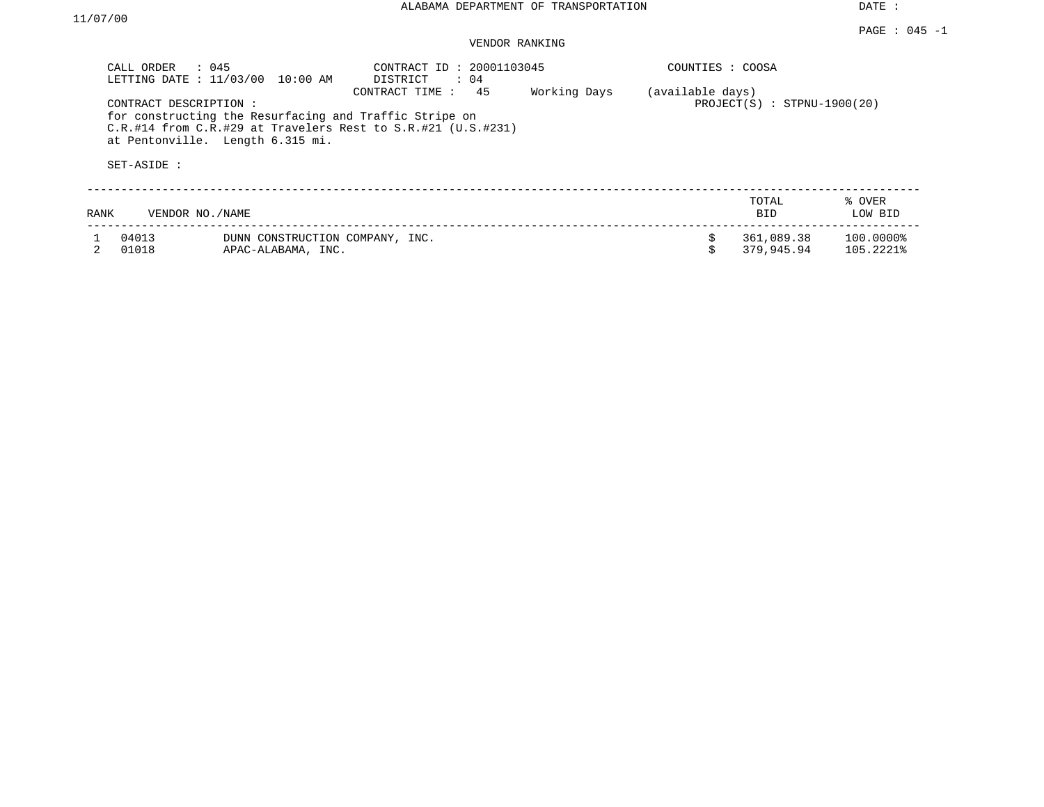DATE :

## VENDOR RANKING

|      | CALL ORDER<br>$\therefore$ 045<br>LETTING DATE : 11/03/00 | 10:00 AM                                              | CONTRACT ID: 20001103045<br>DISTRICT<br>: 04                                                                                                            |              | COUNTIES : COOSA |                               |                        |
|------|-----------------------------------------------------------|-------------------------------------------------------|---------------------------------------------------------------------------------------------------------------------------------------------------------|--------------|------------------|-------------------------------|------------------------|
|      | CONTRACT DESCRIPTION:<br>at Pentonville. Length 6.315 mi. |                                                       | 45<br>CONTRACT TIME:<br>for constructing the Resurfacing and Traffic Stripe on<br>$C.R.$ #14 from $C.R.$ #29 at Travelers Rest to $S.R.$ #21 (U.S.#231) | Working Days | (available days) | $PROJECT(S)$ : STPNU-1900(20) |                        |
|      | SET-ASIDE :                                               |                                                       |                                                                                                                                                         |              |                  |                               |                        |
| RANK | VENDOR NO./NAME                                           |                                                       |                                                                                                                                                         |              |                  | TOTAL<br>BID                  | % OVER<br>LOW BID      |
|      | 04013<br>01018                                            | DUNN CONSTRUCTION COMPANY, INC.<br>APAC-ALABAMA, INC. |                                                                                                                                                         |              |                  | 361,089.38<br>379,945.94      | 100.0000%<br>105.2221% |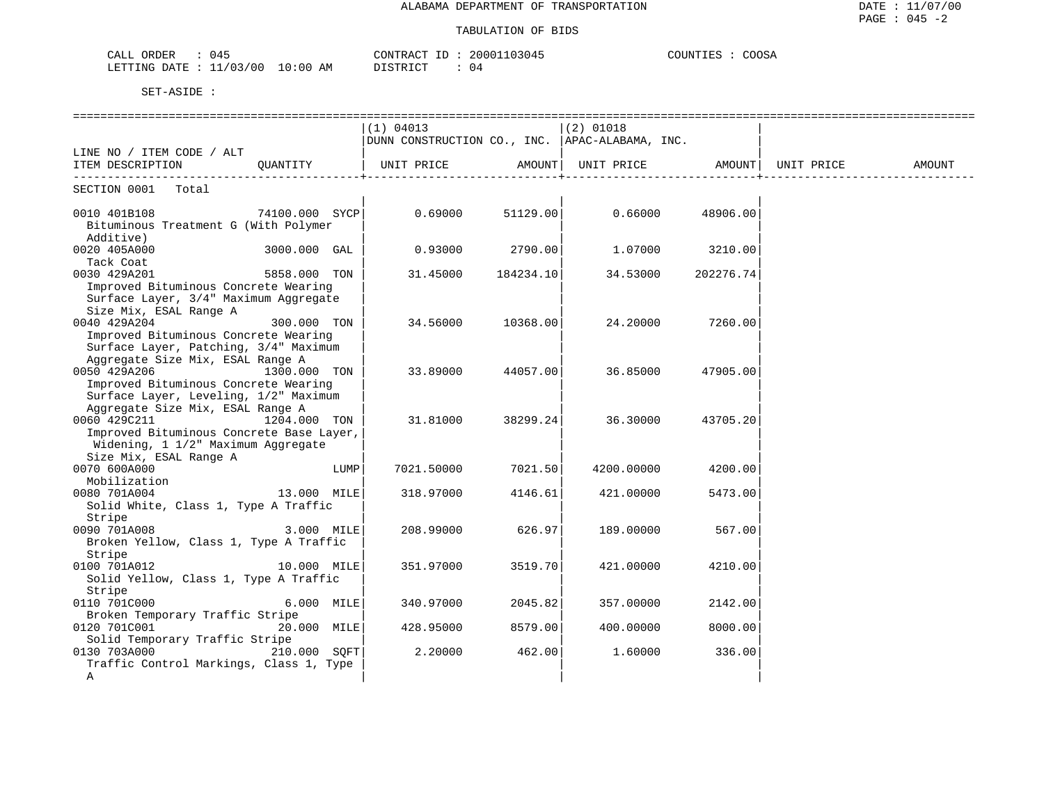| CALL ORDER<br>045                | CONTRACT ID: 20001103045 | COUNTIES : COOSA |
|----------------------------------|--------------------------|------------------|
| LETTING DATE : 11/03/00 10:00 AM | DISTRICT<br>04           |                  |

|                                                        |                |      | (1) 04013          |           | $(2)$ 01018                                      |           |            |        |
|--------------------------------------------------------|----------------|------|--------------------|-----------|--------------------------------------------------|-----------|------------|--------|
|                                                        |                |      |                    |           | DUNN CONSTRUCTION CO., INC.   APAC-ALABAMA, INC. |           |            |        |
| LINE NO / ITEM CODE / ALT                              |                |      |                    |           |                                                  |           |            |        |
| ITEM DESCRIPTION                                       | QUANTITY       |      | UNIT PRICE AMOUNT  |           | UNIT PRICE AMOUNT                                |           | UNIT PRICE | AMOUNT |
| SECTION 0001 Total                                     |                |      |                    |           |                                                  |           |            |        |
|                                                        |                |      |                    |           |                                                  |           |            |        |
| 0010 401B108                                           | 74100.000 SYCP |      | $0.69000$ 51129.00 |           | 0.66000                                          | 48906.00  |            |        |
| Bituminous Treatment G (With Polymer                   |                |      |                    |           |                                                  |           |            |        |
| Additive)                                              |                |      |                    |           |                                                  |           |            |        |
| 0020 405A000                                           | 3000.000 GAL   |      | 0.93000            | 2790.00   | 1.07000                                          | 3210.00   |            |        |
| Tack Coat                                              |                |      |                    |           |                                                  |           |            |        |
| 0030 429A201                                           | 5858.000 TON   |      | 31.45000           | 184234.10 | 34.53000                                         | 202276.74 |            |        |
| Improved Bituminous Concrete Wearing                   |                |      |                    |           |                                                  |           |            |        |
| Surface Layer, 3/4" Maximum Aggregate                  |                |      |                    |           |                                                  |           |            |        |
| Size Mix, ESAL Range A                                 |                |      |                    |           |                                                  |           |            |        |
| 0040 429A204                                           | 300.000 TON    |      | 34.56000           | 10368.00  | 24.20000                                         | 7260.00   |            |        |
| Improved Bituminous Concrete Wearing                   |                |      |                    |           |                                                  |           |            |        |
| Surface Layer, Patching, 3/4" Maximum                  |                |      |                    |           |                                                  |           |            |        |
| Aggregate Size Mix, ESAL Range A                       |                |      |                    |           |                                                  |           |            |        |
| 0050 429A206                                           | 1300.000 TON   |      | 33.89000           | 44057.00  | 36.85000                                         | 47905.00  |            |        |
| Improved Bituminous Concrete Wearing                   |                |      |                    |           |                                                  |           |            |        |
| Surface Layer, Leveling, 1/2" Maximum                  |                |      |                    |           |                                                  |           |            |        |
| Aggregate Size Mix, ESAL Range A                       |                |      |                    |           |                                                  |           |            |        |
| 0060 429C211<br>1204.000 TON                           |                |      | 31.81000           | 38299.24  | 36.30000                                         | 43705.20  |            |        |
| Improved Bituminous Concrete Base Layer,               |                |      |                    |           |                                                  |           |            |        |
| Widening, 1 1/2" Maximum Aggregate                     |                |      |                    |           |                                                  |           |            |        |
| Size Mix, ESAL Range A                                 |                |      |                    |           |                                                  |           |            |        |
| 0070 600A000                                           |                | LUMP | 7021.50000         | 7021.50   | 4200.00000                                       | 4200.00   |            |        |
| Mobilization                                           |                |      |                    |           |                                                  |           |            |        |
| 0080 701A004                                           | 13.000 MILE    |      | 318.97000          | 4146.61   | 421.00000                                        | 5473.00   |            |        |
| Solid White, Class 1, Type A Traffic                   |                |      |                    |           |                                                  |           |            |        |
| Stripe                                                 |                |      |                    |           |                                                  |           |            |        |
| 0090 701A008<br>Broken Yellow, Class 1, Type A Traffic | 3.000 MILE     |      | 208,99000          | 626.97    | 189.00000                                        | 567.00    |            |        |
|                                                        |                |      |                    |           |                                                  |           |            |        |
| Stripe<br>0100 701A012                                 | 10.000 MILE    |      | 351.97000          | 3519.70   | 421,00000                                        | 4210.00   |            |        |
| Solid Yellow, Class 1, Type A Traffic                  |                |      |                    |           |                                                  |           |            |        |
| Stripe                                                 |                |      |                    |           |                                                  |           |            |        |
| 0110 701C000                                           | 6.000 MILE     |      | 340.97000          | 2045.82   | 357.00000                                        | 2142.00   |            |        |
| Broken Temporary Traffic Stripe                        |                |      |                    |           |                                                  |           |            |        |
| 0120 701C001                                           | 20.000 MILE    |      | 428.95000          | 8579.00   | 400.00000                                        | 8000.00   |            |        |
| Solid Temporary Traffic Stripe                         |                |      |                    |           |                                                  |           |            |        |
| 0130 703A000                                           | 210.000 SOFT   |      | 2,20000            | 462.00    | 1,60000                                          | 336.00    |            |        |
| Traffic Control Markings, Class 1, Type                |                |      |                    |           |                                                  |           |            |        |
| $\mathbb A$                                            |                |      |                    |           |                                                  |           |            |        |
|                                                        |                |      |                    |           |                                                  |           |            |        |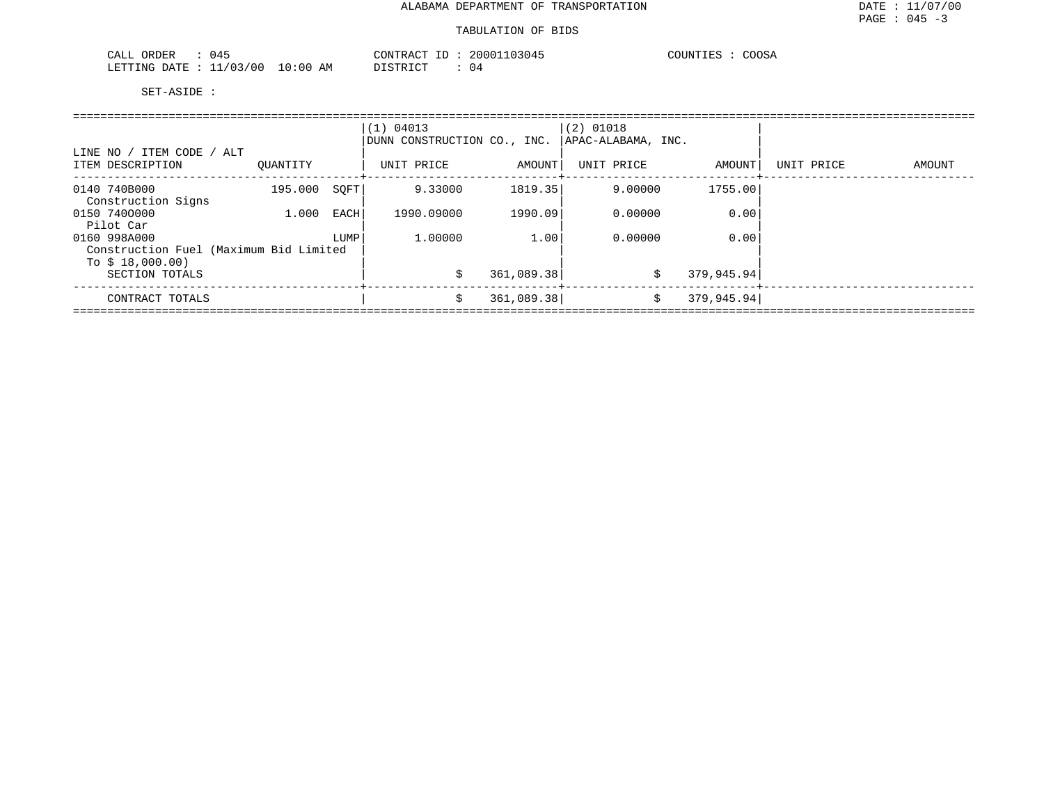| . .<br><b>CRDER</b><br>14.<br>--<br>---- |                          | $\cap$ $\cap$<br><b>←∧∩⊥</b> | nnn<br>304. | $\sim$ $\sim$ $\sim$ $\sim$<br>TNT<br>OSA<br>. <del>.</del> |
|------------------------------------------|--------------------------|------------------------------|-------------|-------------------------------------------------------------|
| . ATF<br>LETTING<br>$\sqrt{2}$<br>. O C  | ΆM<br>n : n r<br>$\cdot$ | TAT                          |             |                                                             |

|                                                            |          |      | (1) 04013<br>DUNN CONSTRUCTION CO., INC. |            | $(2)$ 01018<br>APAC-ALABAMA, INC. |             |            |        |
|------------------------------------------------------------|----------|------|------------------------------------------|------------|-----------------------------------|-------------|------------|--------|
| LINE NO / ITEM CODE / ALT<br>ITEM DESCRIPTION              | OUANTITY |      | UNIT PRICE                               | AMOUNT     | UNIT PRICE                        | AMOUNT      | UNIT PRICE | AMOUNT |
| 0140 740B000<br>Construction Signs                         | 195.000  | SOFT | 9.33000                                  | 1819.35    | 9,00000                           | 1755.00     |            |        |
| 0150 7400000<br>Pilot Car                                  | 1,000    | EACH | 1990.09000                               | 1990.09    | 0.00000                           | 0.00        |            |        |
| 0160 998A000                                               |          | LUMP | 1,00000                                  | 1.00       | 0.00000                           | 0.00        |            |        |
| Construction Fuel (Maximum Bid Limited<br>To $$18,000.00)$ |          |      |                                          |            |                                   |             |            |        |
| SECTION TOTALS                                             |          |      | Ŝ.                                       | 361,089.38 | \$                                | 379,945.94  |            |        |
| CONTRACT TOTALS                                            |          |      | \$                                       | 361,089.38 | \$                                | 379, 945.94 |            |        |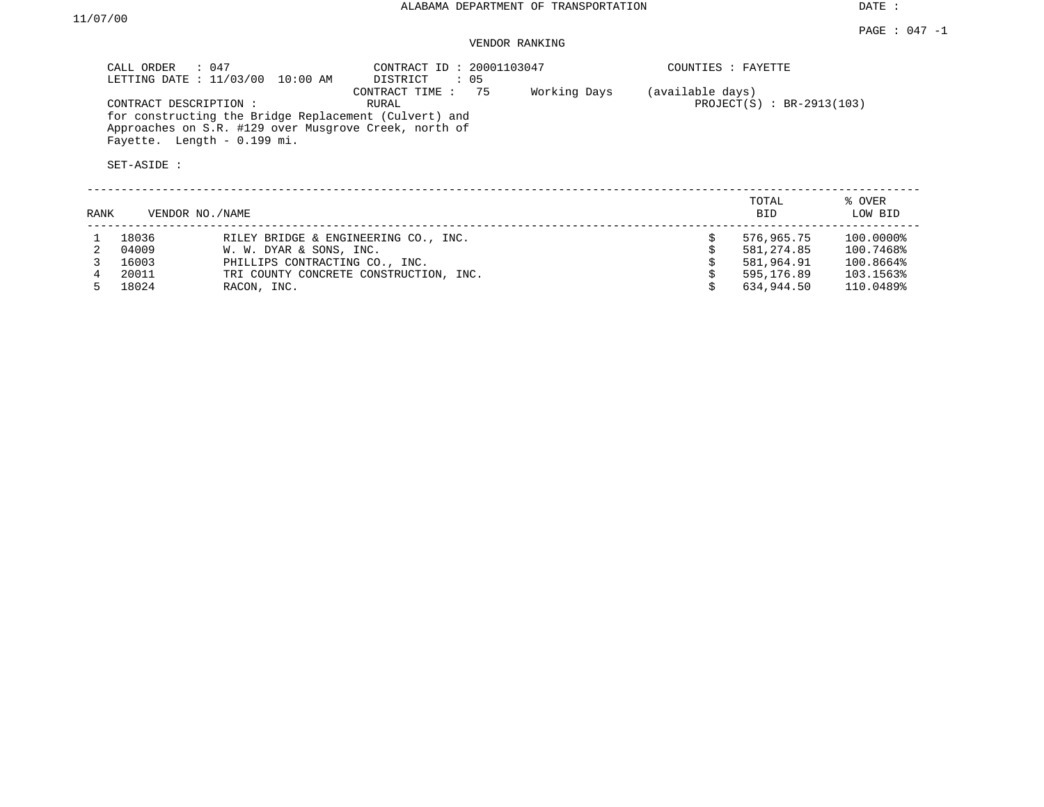# VENDOR RANKING

| CALL ORDER<br>$\therefore$ 047<br>LETTING DATE : 11/03/00<br>10:00 AM                                                                                                  | CONTRACT ID: 20001103047<br>$\therefore$ 05<br>DISTRICT | COUNTIES : FAYETTE                              |
|------------------------------------------------------------------------------------------------------------------------------------------------------------------------|---------------------------------------------------------|-------------------------------------------------|
| CONTRACT DESCRIPTION:<br>for constructing the Bridge Replacement (Culvert) and<br>Approaches on S.R. #129 over Musgrove Creek, north of<br>Fayette. Length - 0.199 mi. | 75<br>Working Days<br>CONTRACT TIME:<br>RURAL           | (available days)<br>$PROJECT(S) : BR-2913(103)$ |
| SET-ASIDE :                                                                                                                                                            |                                                         |                                                 |
| RANK<br>VENDOR NO. / NAME                                                                                                                                              |                                                         | TOTAL<br>% OVER<br><b>BID</b><br>LOW BID        |

|    | 18036 | RILEY BRIDGE & ENGINEERING CO., INC.   | 576,965.75 | 100.0000% |
|----|-------|----------------------------------------|------------|-----------|
|    | 04009 | W. W. DYAR & SONS, INC.                | 581,274.85 | 100.7468% |
|    | 16003 | PHILLIPS CONTRACTING CO., INC.         | 581,964.91 | 100.8664% |
|    | 20011 | TRI COUNTY CONCRETE CONSTRUCTION, INC. | 595,176.89 | 103.1563% |
| Б. | 18024 | RACON, INC.                            | 634.944.50 | 110.0489% |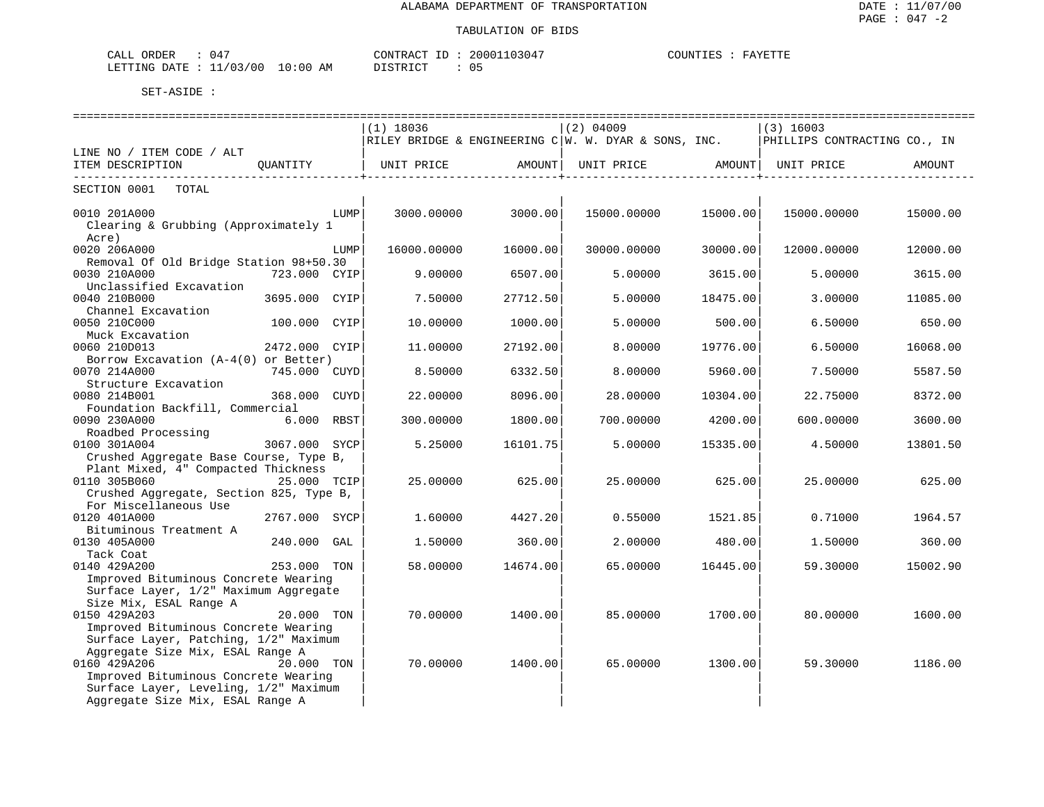| CALL ORDER                      | 047 |          |  | CONTRACT ID: 20001103047 | COUNTIES | FAYETTE |
|---------------------------------|-----|----------|--|--------------------------|----------|---------|
| LETTING DATE: 11/03/00 10:00 AM |     | DISTRICT |  |                          |          |         |

|                                                                               |               |      | $(1)$ 18036 |                                         | $(2)$ 04009                                                                           |                      | $(3)$ 16003                  |          |
|-------------------------------------------------------------------------------|---------------|------|-------------|-----------------------------------------|---------------------------------------------------------------------------------------|----------------------|------------------------------|----------|
|                                                                               |               |      |             |                                         | RILEY BRIDGE & ENGINEERING $C/W$ . W. DYAR & SONS, INC.                               |                      | PHILLIPS CONTRACTING CO., IN |          |
| LINE NO / ITEM CODE / ALT                                                     |               |      |             |                                         |                                                                                       |                      |                              |          |
| ITEM DESCRIPTION                                                              | QUANTITY      |      |             | . _ _ _ _ _ _ _ _ _ _ _ _ _ _ _ _ _ _ + | UNIT PRICE                 AMOUNT    UNIT PRICE                  AMOUNT    UNIT PRICE | ____________________ |                              | AMOUNT   |
| SECTION 0001 TOTAL                                                            |               |      |             |                                         |                                                                                       |                      |                              |          |
| 0010 201A000                                                                  |               | LUMP | 3000.00000  | 3000.00                                 | 15000.00000                                                                           | 15000.00             | 15000.00000                  | 15000.00 |
| Clearing & Grubbing (Approximately 1<br>Acre)                                 |               |      |             |                                         |                                                                                       |                      |                              |          |
| 0020 206A000                                                                  |               | LUMP | 16000.00000 | 16000.00                                | 30000.00000                                                                           | 30000.00             | 12000.00000                  | 12000.00 |
| Removal Of Old Bridge Station 98+50.30                                        |               |      |             |                                         |                                                                                       |                      |                              |          |
| 0030 210A000                                                                  | 723.000 CYIP  |      | 9.00000     | 6507.00                                 | 5,00000                                                                               | 3615.00              | 5,00000                      | 3615.00  |
| Unclassified Excavation<br>0040 210B000                                       | 3695.000 CYIP |      | 7.50000     | 27712.50                                | 5.00000                                                                               | 18475.00             | 3,00000                      | 11085.00 |
| Channel Excavation                                                            |               |      |             |                                         |                                                                                       |                      |                              |          |
| 0050 210C000                                                                  | 100.000 CYIP  |      | 10,00000    | 1000.00                                 | 5.00000                                                                               | 500.00               | 6.50000                      | 650.00   |
| Muck Excavation                                                               |               |      |             |                                         |                                                                                       |                      |                              |          |
| 0060 210D013                                                                  | 2472.000 CYIP |      | 11.00000    | 27192.00                                | 8,00000                                                                               | 19776.00             | 6.50000                      | 16068.00 |
| Borrow Excavation (A-4(0) or Better)                                          |               |      |             |                                         |                                                                                       |                      |                              |          |
| 0070 214A000                                                                  | 745.000 CUYD  |      | 8.50000     | 6332.50                                 | 8.00000                                                                               | 5960.00              | 7.50000                      | 5587.50  |
| Structure Excavation                                                          |               |      |             |                                         |                                                                                       |                      |                              |          |
| 0080 214B001                                                                  | 368.000 CUYD  |      | 22.00000    | 8096.00                                 | 28.00000                                                                              | 10304.00             | 22.75000                     | 8372.00  |
| Foundation Backfill, Commercial                                               |               |      |             |                                         |                                                                                       |                      |                              |          |
| 0090 230A000                                                                  | 6.000 RBST    |      | 300.00000   | 1800.00                                 | 700.00000                                                                             | 4200.00              | 600.00000                    | 3600.00  |
| Roadbed Processing<br>0100 301A004                                            | 3067.000 SYCP |      | 5.25000     | 16101.75                                | 5,00000                                                                               | 15335.00             | 4.50000                      | 13801.50 |
| Crushed Aggregate Base Course, Type B,                                        |               |      |             |                                         |                                                                                       |                      |                              |          |
| Plant Mixed, 4" Compacted Thickness                                           |               |      |             |                                         |                                                                                       |                      |                              |          |
| 0110 305B060                                                                  | 25.000 TCIP   |      | 25.00000    | 625.00                                  | 25.00000                                                                              | 625.00               | 25.00000                     | 625.00   |
| Crushed Aggregate, Section 825, Type B,                                       |               |      |             |                                         |                                                                                       |                      |                              |          |
| For Miscellaneous Use                                                         |               |      |             |                                         |                                                                                       |                      |                              |          |
| 0120 401A000                                                                  | 2767.000 SYCP |      | 1.60000     | 4427.20                                 | 0.55000                                                                               | 1521.85              | 0.71000                      | 1964.57  |
| Bituminous Treatment A                                                        |               |      |             |                                         |                                                                                       |                      |                              |          |
| 0130 405A000                                                                  | 240.000       | GAL  | 1.50000     | 360.00                                  | 2.00000                                                                               | 480.00               | 1.50000                      | 360.00   |
| Tack Coat                                                                     |               |      |             |                                         |                                                                                       |                      |                              |          |
| 0140 429A200                                                                  | 253.000 TON   |      | 58.00000    | 14674.00                                | 65.00000                                                                              | 16445.00             | 59.30000                     | 15002.90 |
| Improved Bituminous Concrete Wearing<br>Surface Layer, 1/2" Maximum Aggregate |               |      |             |                                         |                                                                                       |                      |                              |          |
| Size Mix, ESAL Range A                                                        |               |      |             |                                         |                                                                                       |                      |                              |          |
| 0150 429A203                                                                  | 20.000 TON    |      | 70,00000    | 1400.001                                | 85,00000                                                                              | 1700.00              | 80,00000                     | 1600.00  |
| Improved Bituminous Concrete Wearing                                          |               |      |             |                                         |                                                                                       |                      |                              |          |
| Surface Layer, Patching, 1/2" Maximum                                         |               |      |             |                                         |                                                                                       |                      |                              |          |
| Aggregate Size Mix, ESAL Range A                                              |               |      |             |                                         |                                                                                       |                      |                              |          |
| 0160 429A206                                                                  | 20.000 TON    |      | 70.00000    | 1400.00                                 | 65.00000                                                                              | 1300.00              | 59.30000                     | 1186.00  |
| Improved Bituminous Concrete Wearing                                          |               |      |             |                                         |                                                                                       |                      |                              |          |
| Surface Layer, Leveling, 1/2" Maximum                                         |               |      |             |                                         |                                                                                       |                      |                              |          |
| Aggregate Size Mix, ESAL Range A                                              |               |      |             |                                         |                                                                                       |                      |                              |          |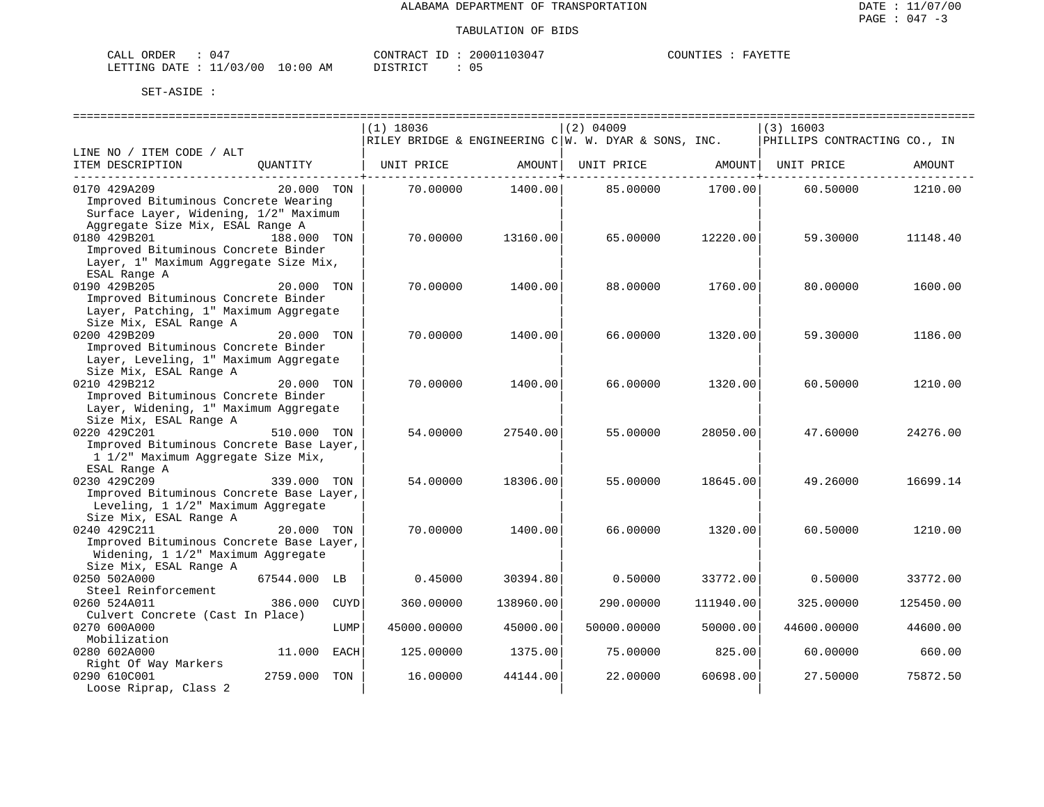| CALL ORDER                      |  | CONTRACT ID: | 20001103047 | COUNTIES : | FAYETTF |
|---------------------------------|--|--------------|-------------|------------|---------|
| LETTING DATE: 11/03/00 10:00 AM |  | DISTRICT     |             |            |         |

| $(1)$ 18036<br>$(2)$ 04009<br>$(3)$ 16003<br>RILEY BRIDGE & ENGINEERING $C W.$ W. DYAR & SONS, INC.<br>PHILLIPS CONTRACTING CO., IN<br>LINE NO / ITEM CODE / ALT<br>ITEM DESCRIPTION<br>QUANTITY<br>UNIT PRICE<br>AMOUNT  <br>UNIT PRICE AMOUNT   UNIT PRICE<br>AMOUNT<br>1400.00<br>85.00000 1700.00<br>0170 429A209<br>20.000 TON<br>70.00000<br>1210.00<br>60.50000<br>Improved Bituminous Concrete Wearing<br>Surface Layer, Widening, 1/2" Maximum<br>Aggregate Size Mix, ESAL Range A<br>188.000 TON<br>0180 429B201<br>70.00000<br>13160.00<br>65.00000<br>12220.00<br>59.30000<br>11148.40<br>Improved Bituminous Concrete Binder<br>Layer, 1" Maximum Aggregate Size Mix,<br>ESAL Range A<br>0190 429B205<br>20.000 TON<br>70.00000<br>1400.00<br>88.00000<br>80.00000<br>1760.00<br>1600.00<br>Improved Bituminous Concrete Binder<br>Layer, Patching, 1" Maximum Aggregate<br>Size Mix, ESAL Range A<br>0200 429B209<br>66.00000<br>20.000 TON<br>70.00000<br>1400.00<br>1320.00<br>59.30000<br>1186.00<br>Improved Bituminous Concrete Binder<br>Layer, Leveling, 1" Maximum Aggregate<br>Size Mix, ESAL Range A<br>0210 429B212<br>20.000 TON<br>70.00000<br>1400.00<br>66.00000<br>1320.00<br>1210.00<br>60.50000<br>Improved Bituminous Concrete Binder<br>Layer, Widening, 1" Maximum Aggregate |
|-----------------------------------------------------------------------------------------------------------------------------------------------------------------------------------------------------------------------------------------------------------------------------------------------------------------------------------------------------------------------------------------------------------------------------------------------------------------------------------------------------------------------------------------------------------------------------------------------------------------------------------------------------------------------------------------------------------------------------------------------------------------------------------------------------------------------------------------------------------------------------------------------------------------------------------------------------------------------------------------------------------------------------------------------------------------------------------------------------------------------------------------------------------------------------------------------------------------------------------------------------------------------------------------------------------------|
|                                                                                                                                                                                                                                                                                                                                                                                                                                                                                                                                                                                                                                                                                                                                                                                                                                                                                                                                                                                                                                                                                                                                                                                                                                                                                                                 |
|                                                                                                                                                                                                                                                                                                                                                                                                                                                                                                                                                                                                                                                                                                                                                                                                                                                                                                                                                                                                                                                                                                                                                                                                                                                                                                                 |
|                                                                                                                                                                                                                                                                                                                                                                                                                                                                                                                                                                                                                                                                                                                                                                                                                                                                                                                                                                                                                                                                                                                                                                                                                                                                                                                 |
|                                                                                                                                                                                                                                                                                                                                                                                                                                                                                                                                                                                                                                                                                                                                                                                                                                                                                                                                                                                                                                                                                                                                                                                                                                                                                                                 |
|                                                                                                                                                                                                                                                                                                                                                                                                                                                                                                                                                                                                                                                                                                                                                                                                                                                                                                                                                                                                                                                                                                                                                                                                                                                                                                                 |
|                                                                                                                                                                                                                                                                                                                                                                                                                                                                                                                                                                                                                                                                                                                                                                                                                                                                                                                                                                                                                                                                                                                                                                                                                                                                                                                 |
|                                                                                                                                                                                                                                                                                                                                                                                                                                                                                                                                                                                                                                                                                                                                                                                                                                                                                                                                                                                                                                                                                                                                                                                                                                                                                                                 |
|                                                                                                                                                                                                                                                                                                                                                                                                                                                                                                                                                                                                                                                                                                                                                                                                                                                                                                                                                                                                                                                                                                                                                                                                                                                                                                                 |
|                                                                                                                                                                                                                                                                                                                                                                                                                                                                                                                                                                                                                                                                                                                                                                                                                                                                                                                                                                                                                                                                                                                                                                                                                                                                                                                 |
|                                                                                                                                                                                                                                                                                                                                                                                                                                                                                                                                                                                                                                                                                                                                                                                                                                                                                                                                                                                                                                                                                                                                                                                                                                                                                                                 |
|                                                                                                                                                                                                                                                                                                                                                                                                                                                                                                                                                                                                                                                                                                                                                                                                                                                                                                                                                                                                                                                                                                                                                                                                                                                                                                                 |
|                                                                                                                                                                                                                                                                                                                                                                                                                                                                                                                                                                                                                                                                                                                                                                                                                                                                                                                                                                                                                                                                                                                                                                                                                                                                                                                 |
|                                                                                                                                                                                                                                                                                                                                                                                                                                                                                                                                                                                                                                                                                                                                                                                                                                                                                                                                                                                                                                                                                                                                                                                                                                                                                                                 |
|                                                                                                                                                                                                                                                                                                                                                                                                                                                                                                                                                                                                                                                                                                                                                                                                                                                                                                                                                                                                                                                                                                                                                                                                                                                                                                                 |
|                                                                                                                                                                                                                                                                                                                                                                                                                                                                                                                                                                                                                                                                                                                                                                                                                                                                                                                                                                                                                                                                                                                                                                                                                                                                                                                 |
|                                                                                                                                                                                                                                                                                                                                                                                                                                                                                                                                                                                                                                                                                                                                                                                                                                                                                                                                                                                                                                                                                                                                                                                                                                                                                                                 |
|                                                                                                                                                                                                                                                                                                                                                                                                                                                                                                                                                                                                                                                                                                                                                                                                                                                                                                                                                                                                                                                                                                                                                                                                                                                                                                                 |
|                                                                                                                                                                                                                                                                                                                                                                                                                                                                                                                                                                                                                                                                                                                                                                                                                                                                                                                                                                                                                                                                                                                                                                                                                                                                                                                 |
|                                                                                                                                                                                                                                                                                                                                                                                                                                                                                                                                                                                                                                                                                                                                                                                                                                                                                                                                                                                                                                                                                                                                                                                                                                                                                                                 |
|                                                                                                                                                                                                                                                                                                                                                                                                                                                                                                                                                                                                                                                                                                                                                                                                                                                                                                                                                                                                                                                                                                                                                                                                                                                                                                                 |
|                                                                                                                                                                                                                                                                                                                                                                                                                                                                                                                                                                                                                                                                                                                                                                                                                                                                                                                                                                                                                                                                                                                                                                                                                                                                                                                 |
|                                                                                                                                                                                                                                                                                                                                                                                                                                                                                                                                                                                                                                                                                                                                                                                                                                                                                                                                                                                                                                                                                                                                                                                                                                                                                                                 |
|                                                                                                                                                                                                                                                                                                                                                                                                                                                                                                                                                                                                                                                                                                                                                                                                                                                                                                                                                                                                                                                                                                                                                                                                                                                                                                                 |
|                                                                                                                                                                                                                                                                                                                                                                                                                                                                                                                                                                                                                                                                                                                                                                                                                                                                                                                                                                                                                                                                                                                                                                                                                                                                                                                 |
|                                                                                                                                                                                                                                                                                                                                                                                                                                                                                                                                                                                                                                                                                                                                                                                                                                                                                                                                                                                                                                                                                                                                                                                                                                                                                                                 |
| Size Mix, ESAL Range A                                                                                                                                                                                                                                                                                                                                                                                                                                                                                                                                                                                                                                                                                                                                                                                                                                                                                                                                                                                                                                                                                                                                                                                                                                                                                          |
| 0220 429C201<br>27540.00<br>510.000 TON<br>54.00000<br>55.00000<br>28050.00<br>47.60000<br>24276.00                                                                                                                                                                                                                                                                                                                                                                                                                                                                                                                                                                                                                                                                                                                                                                                                                                                                                                                                                                                                                                                                                                                                                                                                             |
| Improved Bituminous Concrete Base Layer,                                                                                                                                                                                                                                                                                                                                                                                                                                                                                                                                                                                                                                                                                                                                                                                                                                                                                                                                                                                                                                                                                                                                                                                                                                                                        |
| 1 1/2" Maximum Aggregate Size Mix,                                                                                                                                                                                                                                                                                                                                                                                                                                                                                                                                                                                                                                                                                                                                                                                                                                                                                                                                                                                                                                                                                                                                                                                                                                                                              |
| ESAL Range A                                                                                                                                                                                                                                                                                                                                                                                                                                                                                                                                                                                                                                                                                                                                                                                                                                                                                                                                                                                                                                                                                                                                                                                                                                                                                                    |
| 0230 429C209<br>54.00000<br>339.000 TON<br>18306.00<br>55.00000<br>18645.00<br>49.26000<br>16699.14                                                                                                                                                                                                                                                                                                                                                                                                                                                                                                                                                                                                                                                                                                                                                                                                                                                                                                                                                                                                                                                                                                                                                                                                             |
| Improved Bituminous Concrete Base Layer,                                                                                                                                                                                                                                                                                                                                                                                                                                                                                                                                                                                                                                                                                                                                                                                                                                                                                                                                                                                                                                                                                                                                                                                                                                                                        |
| Leveling, 1 1/2" Maximum Aggregate                                                                                                                                                                                                                                                                                                                                                                                                                                                                                                                                                                                                                                                                                                                                                                                                                                                                                                                                                                                                                                                                                                                                                                                                                                                                              |
| Size Mix, ESAL Range A                                                                                                                                                                                                                                                                                                                                                                                                                                                                                                                                                                                                                                                                                                                                                                                                                                                                                                                                                                                                                                                                                                                                                                                                                                                                                          |
| 0240 429C211<br>20.000 TON<br>70.00000<br>66.00000<br>1400.00<br>1320.00<br>60.50000<br>1210.00                                                                                                                                                                                                                                                                                                                                                                                                                                                                                                                                                                                                                                                                                                                                                                                                                                                                                                                                                                                                                                                                                                                                                                                                                 |
| Improved Bituminous Concrete Base Layer,                                                                                                                                                                                                                                                                                                                                                                                                                                                                                                                                                                                                                                                                                                                                                                                                                                                                                                                                                                                                                                                                                                                                                                                                                                                                        |
| Widening, 1 1/2" Maximum Aggregate                                                                                                                                                                                                                                                                                                                                                                                                                                                                                                                                                                                                                                                                                                                                                                                                                                                                                                                                                                                                                                                                                                                                                                                                                                                                              |
| Size Mix, ESAL Range A                                                                                                                                                                                                                                                                                                                                                                                                                                                                                                                                                                                                                                                                                                                                                                                                                                                                                                                                                                                                                                                                                                                                                                                                                                                                                          |
| 67544.000 LB<br>0250 502A000<br>0.45000<br>30394.80<br>0.50000<br>33772.00<br>0.50000<br>33772.00                                                                                                                                                                                                                                                                                                                                                                                                                                                                                                                                                                                                                                                                                                                                                                                                                                                                                                                                                                                                                                                                                                                                                                                                               |
| Steel Reinforcement                                                                                                                                                                                                                                                                                                                                                                                                                                                                                                                                                                                                                                                                                                                                                                                                                                                                                                                                                                                                                                                                                                                                                                                                                                                                                             |
| 0260 524A011<br>386.000<br>CUYD<br>360.00000<br>138960.00<br>290.00000<br>111940.00<br>325.00000<br>125450.00                                                                                                                                                                                                                                                                                                                                                                                                                                                                                                                                                                                                                                                                                                                                                                                                                                                                                                                                                                                                                                                                                                                                                                                                   |
| Culvert Concrete (Cast In Place)                                                                                                                                                                                                                                                                                                                                                                                                                                                                                                                                                                                                                                                                                                                                                                                                                                                                                                                                                                                                                                                                                                                                                                                                                                                                                |
| 0270 600A000<br>LUMP<br>45000.00000<br>45000.00<br>50000.00000<br>50000.00<br>44600.00000<br>44600.00                                                                                                                                                                                                                                                                                                                                                                                                                                                                                                                                                                                                                                                                                                                                                                                                                                                                                                                                                                                                                                                                                                                                                                                                           |
| Mobilization                                                                                                                                                                                                                                                                                                                                                                                                                                                                                                                                                                                                                                                                                                                                                                                                                                                                                                                                                                                                                                                                                                                                                                                                                                                                                                    |
| 0280 602A000<br>11.000 EACH<br>125.00000<br>1375.00<br>75.00000<br>825.00<br>60.00000<br>660.00                                                                                                                                                                                                                                                                                                                                                                                                                                                                                                                                                                                                                                                                                                                                                                                                                                                                                                                                                                                                                                                                                                                                                                                                                 |
| Right Of Way Markers                                                                                                                                                                                                                                                                                                                                                                                                                                                                                                                                                                                                                                                                                                                                                                                                                                                                                                                                                                                                                                                                                                                                                                                                                                                                                            |
| 2759.000 TON<br>0290 610C001<br>16.00000<br>22.00000<br>60698.00<br>27.50000<br>75872.50<br>44144.00                                                                                                                                                                                                                                                                                                                                                                                                                                                                                                                                                                                                                                                                                                                                                                                                                                                                                                                                                                                                                                                                                                                                                                                                            |
| Loose Riprap, Class 2                                                                                                                                                                                                                                                                                                                                                                                                                                                                                                                                                                                                                                                                                                                                                                                                                                                                                                                                                                                                                                                                                                                                                                                                                                                                                           |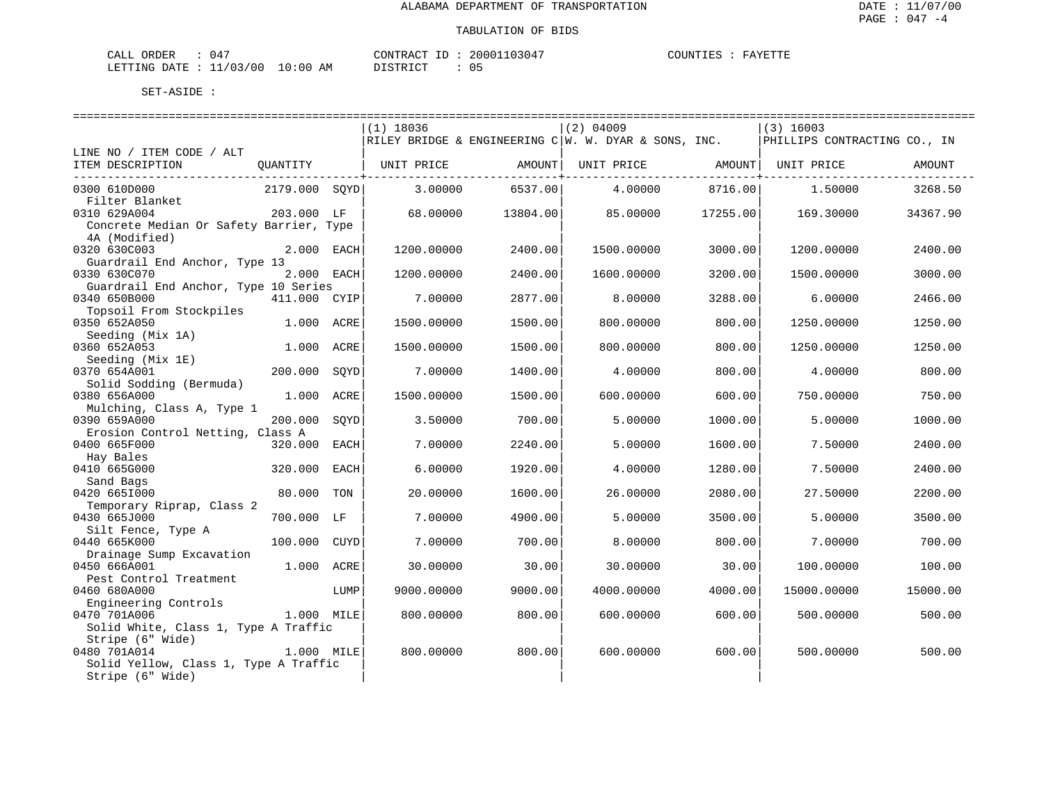| ORDER<br>CALI    |         |             | CONTRACT           | $10304^{\circ}$<br>$.20001$ <sup>*</sup> | COUNTIES |  |
|------------------|---------|-------------|--------------------|------------------------------------------|----------|--|
| DATE.<br>LETTING | 1/03/00 | 10:00<br>ΑM | חימ דפידי פור<br>. | υ.                                       |          |  |

|                                                      |               |             | $(1)$ 18036 |          | $(2)$ 04009                                                  |          | $(3)$ 16003                  |          |
|------------------------------------------------------|---------------|-------------|-------------|----------|--------------------------------------------------------------|----------|------------------------------|----------|
|                                                      |               |             |             |          | $\verb RILEY BRIDGE & ENGINEERING C W. W. DYAR & SONS, INC.$ |          | PHILLIPS CONTRACTING CO., IN |          |
| LINE NO / ITEM CODE / ALT<br>ITEM DESCRIPTION        |               |             |             |          |                                                              |          |                              |          |
|                                                      | QUANTITY      |             | UNIT PRICE  | AMOUNT   | UNIT PRICE                                                   |          | AMOUNT  UNIT PRICE           | AMOUNT   |
| 0300 610D000                                         | 2179.000 SOYD |             | 3.00000     | 6537.00  | 4.00000                                                      | 8716.00  | 1.50000                      | 3268.50  |
| Filter Blanket                                       |               |             |             |          |                                                              |          |                              |          |
| 0310 629A004                                         | 203.000 LF    |             | 68,00000    | 13804.00 | 85,00000                                                     | 17255.00 | 169.30000                    | 34367.90 |
| Concrete Median Or Safety Barrier, Type              |               |             |             |          |                                                              |          |                              |          |
| 4A (Modified)                                        |               |             |             |          |                                                              |          |                              |          |
| 0320 630C003                                         | 2.000 EACH    |             | 1200.00000  | 2400.00  | 1500.00000                                                   | 3000.00  | 1200.00000                   | 2400.00  |
| Guardrail End Anchor, Type 13                        |               |             |             |          |                                                              |          |                              |          |
| 0330 630C070<br>Guardrail End Anchor, Type 10 Series | 2.000 EACH    |             | 1200.00000  | 2400.00  | 1600.00000                                                   | 3200.00  | 1500.00000                   | 3000.00  |
| 0340 650B000                                         | 411.000 CYIP  |             | 7.00000     | 2877.00  | 8.00000                                                      | 3288.00  | 6.00000                      | 2466.00  |
| Topsoil From Stockpiles                              |               |             |             |          |                                                              |          |                              |          |
| 0350 652A050                                         | 1.000 ACRE    |             | 1500.00000  | 1500.00  | 800.00000                                                    | 800.00   | 1250.00000                   | 1250.00  |
| Seeding (Mix 1A)                                     |               |             |             |          |                                                              |          |                              |          |
| 0360 652A053                                         | 1.000 ACRE    |             | 1500.00000  | 1500.00  | 800.00000                                                    | 800.00   | 1250.00000                   | 1250.00  |
| Seeding (Mix 1E)                                     |               |             |             |          |                                                              |          |                              |          |
| 0370 654A001                                         | 200,000       | SOYD        | 7.00000     | 1400.00  | 4.00000                                                      | 800.00   | 4.00000                      | 800.00   |
| Solid Sodding (Bermuda)                              |               |             |             |          |                                                              |          |                              |          |
| 0380 656A000                                         | 1.000 ACRE    |             | 1500.00000  | 1500.00  | 600.00000                                                    | 600.00   | 750.00000                    | 750.00   |
| Mulching, Class A, Type 1<br>0390 659A000            | 200,000       | SOYD        | 3.50000     | 700.00   | 5.00000                                                      | 1000.00  | 5.00000                      | 1000.00  |
| Erosion Control Netting, Class A                     |               |             |             |          |                                                              |          |                              |          |
| 0400 665F000                                         | 320.000       | EACH        | 7.00000     | 2240.00  | 5.00000                                                      | 1600.00  | 7.50000                      | 2400.00  |
| Hay Bales                                            |               |             |             |          |                                                              |          |                              |          |
| 0410 665G000                                         | 320.000       | EACH        | 6.00000     | 1920.00  | 4.00000                                                      | 1280.00  | 7.50000                      | 2400.00  |
| Sand Bags                                            |               |             |             |          |                                                              |          |                              |          |
| 0420 6651000                                         | 80.000        | TON         | 20.00000    | 1600.00  | 26.00000                                                     | 2080.00  | 27.50000                     | 2200.00  |
| Temporary Riprap, Class 2                            |               |             |             |          |                                                              |          |                              |          |
| 0430 665J000                                         | 700.000 LF    |             | 7.00000     | 4900.00  | 5.00000                                                      | 3500.00  | 5.00000                      | 3500.00  |
| Silt Fence, Type A                                   |               |             |             |          |                                                              |          |                              |          |
| 0440 665K000                                         | 100.000       | <b>CUYD</b> | 7.00000     | 700.00   | 8.00000                                                      | 800.00   | 7.00000                      | 700.00   |
| Drainage Sump Excavation<br>0450 666A001             | 1.000 ACRE    |             | 30.00000    | 30.00    | 30.00000                                                     | 30.00    | 100.00000                    | 100.00   |
| Pest Control Treatment                               |               |             |             |          |                                                              |          |                              |          |
| 0460 680A000                                         |               | LUMP        | 9000.00000  | 9000.00  | 4000.00000                                                   | 4000.00  | 15000.00000                  | 15000.00 |
| Engineering Controls                                 |               |             |             |          |                                                              |          |                              |          |
| 0470 701A006                                         | 1.000 MILE    |             | 800,00000   | 800.00   | 600,00000                                                    | 600.00   | 500.00000                    | 500.00   |
| Solid White, Class 1, Type A Traffic                 |               |             |             |          |                                                              |          |                              |          |
| Stripe (6" Wide)                                     |               |             |             |          |                                                              |          |                              |          |
| 0480 701A014                                         | 1.000 MILE    |             | 800.00000   | 800.00   | 600.00000                                                    | 600.00   | 500.00000                    | 500.00   |
| Solid Yellow, Class 1, Type A Traffic                |               |             |             |          |                                                              |          |                              |          |
| Stripe (6" Wide)                                     |               |             |             |          |                                                              |          |                              |          |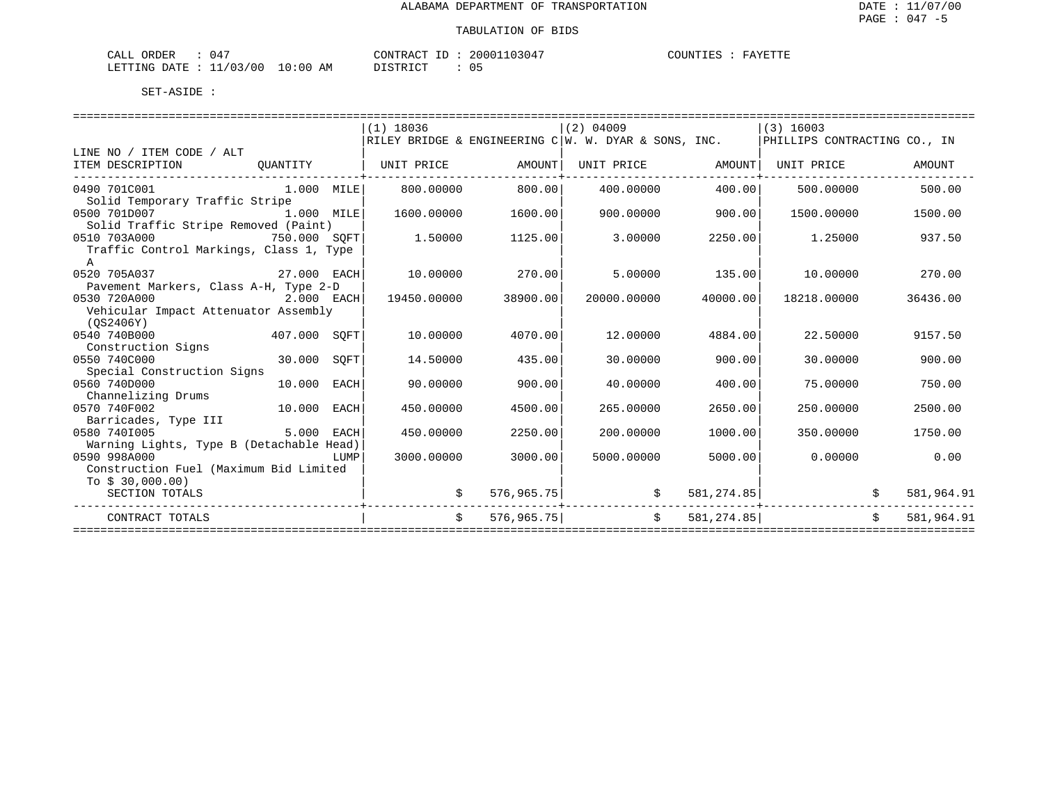| CALL ORDER                       | 047 |          | CONTRACT ID: 20001103047 | COUNTIES : | FAYETTE |  |
|----------------------------------|-----|----------|--------------------------|------------|---------|--|
| LETTING DATE : 11/03/00 10:00 AM |     | DISTRICT |                          |            |         |  |

|                                                           |            |      | $(1)$ 18036 |          | $(2)$ 04009                                                                 |                | (3) 16003                      |                    |            |
|-----------------------------------------------------------|------------|------|-------------|----------|-----------------------------------------------------------------------------|----------------|--------------------------------|--------------------|------------|
|                                                           |            |      |             |          | $\verb RILEY BRIDGE & ENGINEERING C W. W. DYAR & SONS, INC.$                |                | PHILLIPS CONTRACTING CO., IN   |                    |            |
| LINE NO / ITEM CODE / ALT                                 |            |      |             |          |                                                                             |                |                                |                    |            |
| ITEM DESCRIPTION<br>--------------------------            |            |      |             |          | QUANTITY   UNIT PRICE         AMOUNT  UNIT PRICE         AMOUNT  UNIT PRICE |                |                                |                    | AMOUNT     |
| 0490 701C001 1.000 MILE                                   |            |      | 800.00000   | 800.00   | 400.00000                                                                   | 400.00         | 500.00000                      |                    | 500.00     |
| Solid Temporary Traffic Stripe                            |            |      |             |          |                                                                             |                |                                |                    |            |
| 0500 701D007<br>1.000 MILE                                |            |      | 1600.00000  | 1600.00  | 900.00000                                                                   | 900.00         | 1500.00000                     |                    | 1500.00    |
| Solid Traffic Stripe Removed (Paint)                      |            |      |             |          |                                                                             |                |                                |                    |            |
| 0510 703A000<br>750.000 SOFT                              |            |      | 1.50000     | 1125.00  | 3.00000                                                                     | 2250.00        | 1.25000                        |                    | 937.50     |
| Traffic Control Markings, Class 1, Type                   |            |      |             |          |                                                                             |                |                                |                    |            |
| $\mathsf{A}$                                              |            |      |             |          |                                                                             |                |                                |                    |            |
| 27.000 EACH<br>0520 705A037                               |            |      | 10.00000    | 270.00   |                                                                             | 5.00000 135.00 | 10.00000                       |                    | 270.00     |
| Pavement Markers, Class A-H, Type 2-D                     |            |      |             |          |                                                                             |                |                                |                    |            |
| 0530 720A000                                              | 2.000 EACH |      | 19450.00000 | 38900.00 | 20000.00000                                                                 | 40000.00       | 18218.00000                    |                    | 36436.00   |
| Vehicular Impact Attenuator Assembly                      |            |      |             |          |                                                                             |                |                                |                    |            |
| (OS2406Y)                                                 |            |      |             |          |                                                                             |                |                                |                    |            |
| $407.000$ SQFT<br>0540 740B000                            |            |      | 10.00000    | 4070.00  | 12,00000                                                                    | 4884.00        | 22.50000                       |                    | 9157.50    |
| Construction Signs                                        |            |      |             |          |                                                                             |                |                                |                    |            |
| 0550 740C000<br>30.000 SOFT                               |            |      | 14.50000    | 435.00   | 30.00000                                                                    | 900.00         | 30,00000                       |                    | 900.00     |
| Special Construction Signs<br>10.000 EACH<br>0560 740D000 |            |      |             |          | 40.00000                                                                    |                | 75,00000                       |                    | 750.00     |
|                                                           |            |      | 90.00000    | 900.00   |                                                                             | 400.00         |                                |                    |            |
| Channelizing Drums<br>10.000 EACH<br>0570 740F002         |            |      | 450.00000   | 4500.00  | 265.00000                                                                   | 2650.00        | 250.00000                      |                    | 2500.00    |
| Barricades, Type III                                      |            |      |             |          |                                                                             |                |                                |                    |            |
| 0580 7401005                                              | 5.000 EACH |      | 450.00000   | 2250.00  | 200,00000                                                                   | 1000.00        | 350.00000                      |                    | 1750.00    |
| Warning Lights, Type B (Detachable Head)                  |            |      |             |          |                                                                             |                |                                |                    |            |
| 0590 998A000                                              |            | LUMP | 3000.00000  | 3000.00  | 5000.00000                                                                  | 5000.00        | 0.00000                        |                    | 0.00       |
| Construction Fuel (Maximum Bid Limited                    |            |      |             |          |                                                                             |                |                                |                    |            |
| To $$30,000.00)$                                          |            |      |             |          |                                                                             |                |                                |                    |            |
| SECTION TOTALS                                            |            |      |             |          | $576,965.75$ \$<br>. + - - - - - - - - - - - - - - - - - -                  |                | 581, 274.85                    |                    | 581,964.91 |
| CONTRACT TOTALS                                           |            |      | $\ddot{s}$  |          | $576,965.75$ $\uparrow$ $581,274.85$                                        |                |                                | $\dot{\mathbf{S}}$ | 581,964.91 |
|                                                           |            |      |             |          |                                                                             |                | ------------------------------ |                    |            |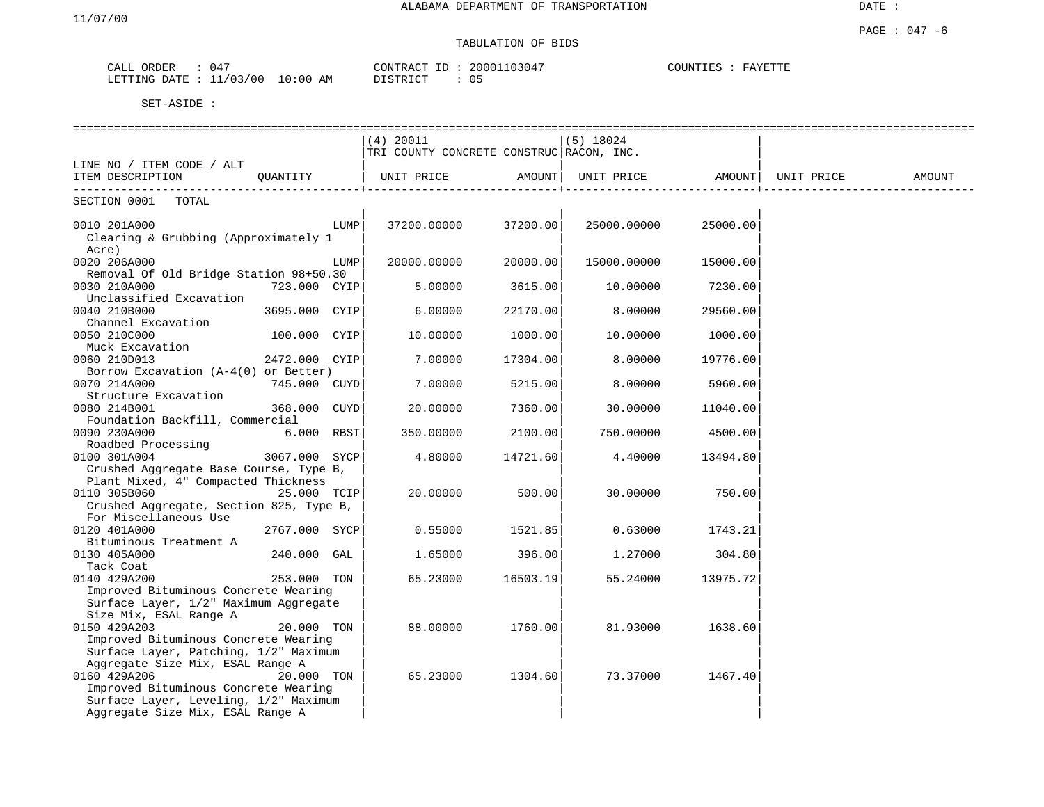# TABULATION OF BIDS

| ORDER<br>CALL             | 047 |            | CONTRACT ID: | 20001103047 | COUNTIES<br>FAYETTE |
|---------------------------|-----|------------|--------------|-------------|---------------------|
| LETTING DATE : $11/03/00$ |     | $10:00$ AM | DISTRICT     | 05          |                     |

| (4) 20011<br>$(5)$ 18024<br>TRI COUNTY CONCRETE CONSTRUC RACON, INC.<br>LINE NO / ITEM CODE / ALT<br>ITEM DESCRIPTION QUANTITY<br>AMOUNT<br>UNIT PRICE AMOUNT<br>UNIT PRICE<br>UNIT PRICE<br>AMOUNT<br>SECTION 0001 TOTAL<br>25000.00000<br>0010 201A000<br>LUMP<br>37200.00000<br>37200.00<br>25000.00<br>Clearing & Grubbing (Approximately 1<br>Acre)<br>0020 206A000<br>20000.00000<br>20000.00<br>15000.00000<br>15000.00<br>LUMP<br>Removal Of Old Bridge Station 98+50.30<br>0030 210A000<br>723.000 CYIP<br>5.00000<br>3615.00<br>10.00000<br>7230.00<br>Unclassified Excavation<br>0040 210B000<br>3695.000 CYIP<br>6.00000<br>8.00000<br>22170.00<br>29560.00<br>Channel Excavation<br>0050 210C000<br>100.000 CYIP<br>10.00000<br>1000.00<br>10.00000<br>1000.00<br>Muck Excavation<br>0060 210D013<br>2472.000 CYIP<br>7.00000<br>17304.00<br>8.00000<br>19776.00<br>Borrow Excavation $(A-4(0))$ or Better)<br>0070 214A000<br>745.000 CUYD<br>7.00000<br>5215.00<br>8.00000<br>5960.00<br>Structure Excavation<br>368.000 CUYD<br>20.00000<br>7360.00<br>30.00000<br>0080 214B001<br>11040.00<br>Foundation Backfill, Commercial<br>0090 230A000<br>6.000 RBST<br>2100.00<br>750.00000<br>350.00000<br>4500.00<br>Roadbed Processing<br>0100 301A004<br>3067.000 SYCP<br>4.80000<br>14721.60<br>4.40000<br>13494.80<br>Crushed Aggregate Base Course, Type B,<br>Plant Mixed, 4" Compacted Thickness<br>0110 305B060<br>25.000 TCIP<br>20,00000<br>500.00<br>30.00000<br>750.00<br>Crushed Aggregate, Section 825, Type B,<br>For Miscellaneous Use<br>0120 401A000<br>2767.000 SYCP<br>0.55000<br>1521.85<br>0.63000<br>1743.21<br>Bituminous Treatment A<br>396.00<br>0130 405A000<br>240.000 GAL<br>1.65000<br>1,27000<br>304.80<br>Tack Coat<br>0140 429A200<br>253.000 TON<br>65.23000<br>16503.19<br>55.24000<br>13975.721<br>Improved Bituminous Concrete Wearing<br>Surface Layer, 1/2" Maximum Aggregate<br>Size Mix, ESAL Range A<br>0150 429A203<br>88.00000<br>1760.00<br>81.93000<br>1638.60<br>20.000 TON<br>Improved Bituminous Concrete Wearing<br>Surface Layer, Patching, 1/2" Maximum<br>Aggregate Size Mix, ESAL Range A<br>0160 429A206<br>20.000 TON<br>65.23000<br>1304.60<br>73.37000<br>1467.40<br>Improved Bituminous Concrete Wearing<br>Surface Layer, Leveling, 1/2" Maximum<br>Aggregate Size Mix, ESAL Range A |  |  |  |  |  |
|-------------------------------------------------------------------------------------------------------------------------------------------------------------------------------------------------------------------------------------------------------------------------------------------------------------------------------------------------------------------------------------------------------------------------------------------------------------------------------------------------------------------------------------------------------------------------------------------------------------------------------------------------------------------------------------------------------------------------------------------------------------------------------------------------------------------------------------------------------------------------------------------------------------------------------------------------------------------------------------------------------------------------------------------------------------------------------------------------------------------------------------------------------------------------------------------------------------------------------------------------------------------------------------------------------------------------------------------------------------------------------------------------------------------------------------------------------------------------------------------------------------------------------------------------------------------------------------------------------------------------------------------------------------------------------------------------------------------------------------------------------------------------------------------------------------------------------------------------------------------------------------------------------------------------------------------------------------------------------------------------------------------------------------------------------------------------------------------------------------------------------------------------------------------------------------------------------------------------------------------------------------------------------------------------------------------------------------------------------------|--|--|--|--|--|
|                                                                                                                                                                                                                                                                                                                                                                                                                                                                                                                                                                                                                                                                                                                                                                                                                                                                                                                                                                                                                                                                                                                                                                                                                                                                                                                                                                                                                                                                                                                                                                                                                                                                                                                                                                                                                                                                                                                                                                                                                                                                                                                                                                                                                                                                                                                                                             |  |  |  |  |  |
|                                                                                                                                                                                                                                                                                                                                                                                                                                                                                                                                                                                                                                                                                                                                                                                                                                                                                                                                                                                                                                                                                                                                                                                                                                                                                                                                                                                                                                                                                                                                                                                                                                                                                                                                                                                                                                                                                                                                                                                                                                                                                                                                                                                                                                                                                                                                                             |  |  |  |  |  |
|                                                                                                                                                                                                                                                                                                                                                                                                                                                                                                                                                                                                                                                                                                                                                                                                                                                                                                                                                                                                                                                                                                                                                                                                                                                                                                                                                                                                                                                                                                                                                                                                                                                                                                                                                                                                                                                                                                                                                                                                                                                                                                                                                                                                                                                                                                                                                             |  |  |  |  |  |
|                                                                                                                                                                                                                                                                                                                                                                                                                                                                                                                                                                                                                                                                                                                                                                                                                                                                                                                                                                                                                                                                                                                                                                                                                                                                                                                                                                                                                                                                                                                                                                                                                                                                                                                                                                                                                                                                                                                                                                                                                                                                                                                                                                                                                                                                                                                                                             |  |  |  |  |  |
|                                                                                                                                                                                                                                                                                                                                                                                                                                                                                                                                                                                                                                                                                                                                                                                                                                                                                                                                                                                                                                                                                                                                                                                                                                                                                                                                                                                                                                                                                                                                                                                                                                                                                                                                                                                                                                                                                                                                                                                                                                                                                                                                                                                                                                                                                                                                                             |  |  |  |  |  |
|                                                                                                                                                                                                                                                                                                                                                                                                                                                                                                                                                                                                                                                                                                                                                                                                                                                                                                                                                                                                                                                                                                                                                                                                                                                                                                                                                                                                                                                                                                                                                                                                                                                                                                                                                                                                                                                                                                                                                                                                                                                                                                                                                                                                                                                                                                                                                             |  |  |  |  |  |
|                                                                                                                                                                                                                                                                                                                                                                                                                                                                                                                                                                                                                                                                                                                                                                                                                                                                                                                                                                                                                                                                                                                                                                                                                                                                                                                                                                                                                                                                                                                                                                                                                                                                                                                                                                                                                                                                                                                                                                                                                                                                                                                                                                                                                                                                                                                                                             |  |  |  |  |  |
|                                                                                                                                                                                                                                                                                                                                                                                                                                                                                                                                                                                                                                                                                                                                                                                                                                                                                                                                                                                                                                                                                                                                                                                                                                                                                                                                                                                                                                                                                                                                                                                                                                                                                                                                                                                                                                                                                                                                                                                                                                                                                                                                                                                                                                                                                                                                                             |  |  |  |  |  |
|                                                                                                                                                                                                                                                                                                                                                                                                                                                                                                                                                                                                                                                                                                                                                                                                                                                                                                                                                                                                                                                                                                                                                                                                                                                                                                                                                                                                                                                                                                                                                                                                                                                                                                                                                                                                                                                                                                                                                                                                                                                                                                                                                                                                                                                                                                                                                             |  |  |  |  |  |
|                                                                                                                                                                                                                                                                                                                                                                                                                                                                                                                                                                                                                                                                                                                                                                                                                                                                                                                                                                                                                                                                                                                                                                                                                                                                                                                                                                                                                                                                                                                                                                                                                                                                                                                                                                                                                                                                                                                                                                                                                                                                                                                                                                                                                                                                                                                                                             |  |  |  |  |  |
|                                                                                                                                                                                                                                                                                                                                                                                                                                                                                                                                                                                                                                                                                                                                                                                                                                                                                                                                                                                                                                                                                                                                                                                                                                                                                                                                                                                                                                                                                                                                                                                                                                                                                                                                                                                                                                                                                                                                                                                                                                                                                                                                                                                                                                                                                                                                                             |  |  |  |  |  |
|                                                                                                                                                                                                                                                                                                                                                                                                                                                                                                                                                                                                                                                                                                                                                                                                                                                                                                                                                                                                                                                                                                                                                                                                                                                                                                                                                                                                                                                                                                                                                                                                                                                                                                                                                                                                                                                                                                                                                                                                                                                                                                                                                                                                                                                                                                                                                             |  |  |  |  |  |
|                                                                                                                                                                                                                                                                                                                                                                                                                                                                                                                                                                                                                                                                                                                                                                                                                                                                                                                                                                                                                                                                                                                                                                                                                                                                                                                                                                                                                                                                                                                                                                                                                                                                                                                                                                                                                                                                                                                                                                                                                                                                                                                                                                                                                                                                                                                                                             |  |  |  |  |  |
|                                                                                                                                                                                                                                                                                                                                                                                                                                                                                                                                                                                                                                                                                                                                                                                                                                                                                                                                                                                                                                                                                                                                                                                                                                                                                                                                                                                                                                                                                                                                                                                                                                                                                                                                                                                                                                                                                                                                                                                                                                                                                                                                                                                                                                                                                                                                                             |  |  |  |  |  |
|                                                                                                                                                                                                                                                                                                                                                                                                                                                                                                                                                                                                                                                                                                                                                                                                                                                                                                                                                                                                                                                                                                                                                                                                                                                                                                                                                                                                                                                                                                                                                                                                                                                                                                                                                                                                                                                                                                                                                                                                                                                                                                                                                                                                                                                                                                                                                             |  |  |  |  |  |
|                                                                                                                                                                                                                                                                                                                                                                                                                                                                                                                                                                                                                                                                                                                                                                                                                                                                                                                                                                                                                                                                                                                                                                                                                                                                                                                                                                                                                                                                                                                                                                                                                                                                                                                                                                                                                                                                                                                                                                                                                                                                                                                                                                                                                                                                                                                                                             |  |  |  |  |  |
|                                                                                                                                                                                                                                                                                                                                                                                                                                                                                                                                                                                                                                                                                                                                                                                                                                                                                                                                                                                                                                                                                                                                                                                                                                                                                                                                                                                                                                                                                                                                                                                                                                                                                                                                                                                                                                                                                                                                                                                                                                                                                                                                                                                                                                                                                                                                                             |  |  |  |  |  |
|                                                                                                                                                                                                                                                                                                                                                                                                                                                                                                                                                                                                                                                                                                                                                                                                                                                                                                                                                                                                                                                                                                                                                                                                                                                                                                                                                                                                                                                                                                                                                                                                                                                                                                                                                                                                                                                                                                                                                                                                                                                                                                                                                                                                                                                                                                                                                             |  |  |  |  |  |
|                                                                                                                                                                                                                                                                                                                                                                                                                                                                                                                                                                                                                                                                                                                                                                                                                                                                                                                                                                                                                                                                                                                                                                                                                                                                                                                                                                                                                                                                                                                                                                                                                                                                                                                                                                                                                                                                                                                                                                                                                                                                                                                                                                                                                                                                                                                                                             |  |  |  |  |  |
|                                                                                                                                                                                                                                                                                                                                                                                                                                                                                                                                                                                                                                                                                                                                                                                                                                                                                                                                                                                                                                                                                                                                                                                                                                                                                                                                                                                                                                                                                                                                                                                                                                                                                                                                                                                                                                                                                                                                                                                                                                                                                                                                                                                                                                                                                                                                                             |  |  |  |  |  |
|                                                                                                                                                                                                                                                                                                                                                                                                                                                                                                                                                                                                                                                                                                                                                                                                                                                                                                                                                                                                                                                                                                                                                                                                                                                                                                                                                                                                                                                                                                                                                                                                                                                                                                                                                                                                                                                                                                                                                                                                                                                                                                                                                                                                                                                                                                                                                             |  |  |  |  |  |
|                                                                                                                                                                                                                                                                                                                                                                                                                                                                                                                                                                                                                                                                                                                                                                                                                                                                                                                                                                                                                                                                                                                                                                                                                                                                                                                                                                                                                                                                                                                                                                                                                                                                                                                                                                                                                                                                                                                                                                                                                                                                                                                                                                                                                                                                                                                                                             |  |  |  |  |  |
|                                                                                                                                                                                                                                                                                                                                                                                                                                                                                                                                                                                                                                                                                                                                                                                                                                                                                                                                                                                                                                                                                                                                                                                                                                                                                                                                                                                                                                                                                                                                                                                                                                                                                                                                                                                                                                                                                                                                                                                                                                                                                                                                                                                                                                                                                                                                                             |  |  |  |  |  |
|                                                                                                                                                                                                                                                                                                                                                                                                                                                                                                                                                                                                                                                                                                                                                                                                                                                                                                                                                                                                                                                                                                                                                                                                                                                                                                                                                                                                                                                                                                                                                                                                                                                                                                                                                                                                                                                                                                                                                                                                                                                                                                                                                                                                                                                                                                                                                             |  |  |  |  |  |
|                                                                                                                                                                                                                                                                                                                                                                                                                                                                                                                                                                                                                                                                                                                                                                                                                                                                                                                                                                                                                                                                                                                                                                                                                                                                                                                                                                                                                                                                                                                                                                                                                                                                                                                                                                                                                                                                                                                                                                                                                                                                                                                                                                                                                                                                                                                                                             |  |  |  |  |  |
|                                                                                                                                                                                                                                                                                                                                                                                                                                                                                                                                                                                                                                                                                                                                                                                                                                                                                                                                                                                                                                                                                                                                                                                                                                                                                                                                                                                                                                                                                                                                                                                                                                                                                                                                                                                                                                                                                                                                                                                                                                                                                                                                                                                                                                                                                                                                                             |  |  |  |  |  |
|                                                                                                                                                                                                                                                                                                                                                                                                                                                                                                                                                                                                                                                                                                                                                                                                                                                                                                                                                                                                                                                                                                                                                                                                                                                                                                                                                                                                                                                                                                                                                                                                                                                                                                                                                                                                                                                                                                                                                                                                                                                                                                                                                                                                                                                                                                                                                             |  |  |  |  |  |
|                                                                                                                                                                                                                                                                                                                                                                                                                                                                                                                                                                                                                                                                                                                                                                                                                                                                                                                                                                                                                                                                                                                                                                                                                                                                                                                                                                                                                                                                                                                                                                                                                                                                                                                                                                                                                                                                                                                                                                                                                                                                                                                                                                                                                                                                                                                                                             |  |  |  |  |  |
|                                                                                                                                                                                                                                                                                                                                                                                                                                                                                                                                                                                                                                                                                                                                                                                                                                                                                                                                                                                                                                                                                                                                                                                                                                                                                                                                                                                                                                                                                                                                                                                                                                                                                                                                                                                                                                                                                                                                                                                                                                                                                                                                                                                                                                                                                                                                                             |  |  |  |  |  |
|                                                                                                                                                                                                                                                                                                                                                                                                                                                                                                                                                                                                                                                                                                                                                                                                                                                                                                                                                                                                                                                                                                                                                                                                                                                                                                                                                                                                                                                                                                                                                                                                                                                                                                                                                                                                                                                                                                                                                                                                                                                                                                                                                                                                                                                                                                                                                             |  |  |  |  |  |
|                                                                                                                                                                                                                                                                                                                                                                                                                                                                                                                                                                                                                                                                                                                                                                                                                                                                                                                                                                                                                                                                                                                                                                                                                                                                                                                                                                                                                                                                                                                                                                                                                                                                                                                                                                                                                                                                                                                                                                                                                                                                                                                                                                                                                                                                                                                                                             |  |  |  |  |  |
|                                                                                                                                                                                                                                                                                                                                                                                                                                                                                                                                                                                                                                                                                                                                                                                                                                                                                                                                                                                                                                                                                                                                                                                                                                                                                                                                                                                                                                                                                                                                                                                                                                                                                                                                                                                                                                                                                                                                                                                                                                                                                                                                                                                                                                                                                                                                                             |  |  |  |  |  |
|                                                                                                                                                                                                                                                                                                                                                                                                                                                                                                                                                                                                                                                                                                                                                                                                                                                                                                                                                                                                                                                                                                                                                                                                                                                                                                                                                                                                                                                                                                                                                                                                                                                                                                                                                                                                                                                                                                                                                                                                                                                                                                                                                                                                                                                                                                                                                             |  |  |  |  |  |
|                                                                                                                                                                                                                                                                                                                                                                                                                                                                                                                                                                                                                                                                                                                                                                                                                                                                                                                                                                                                                                                                                                                                                                                                                                                                                                                                                                                                                                                                                                                                                                                                                                                                                                                                                                                                                                                                                                                                                                                                                                                                                                                                                                                                                                                                                                                                                             |  |  |  |  |  |
|                                                                                                                                                                                                                                                                                                                                                                                                                                                                                                                                                                                                                                                                                                                                                                                                                                                                                                                                                                                                                                                                                                                                                                                                                                                                                                                                                                                                                                                                                                                                                                                                                                                                                                                                                                                                                                                                                                                                                                                                                                                                                                                                                                                                                                                                                                                                                             |  |  |  |  |  |
|                                                                                                                                                                                                                                                                                                                                                                                                                                                                                                                                                                                                                                                                                                                                                                                                                                                                                                                                                                                                                                                                                                                                                                                                                                                                                                                                                                                                                                                                                                                                                                                                                                                                                                                                                                                                                                                                                                                                                                                                                                                                                                                                                                                                                                                                                                                                                             |  |  |  |  |  |
|                                                                                                                                                                                                                                                                                                                                                                                                                                                                                                                                                                                                                                                                                                                                                                                                                                                                                                                                                                                                                                                                                                                                                                                                                                                                                                                                                                                                                                                                                                                                                                                                                                                                                                                                                                                                                                                                                                                                                                                                                                                                                                                                                                                                                                                                                                                                                             |  |  |  |  |  |
|                                                                                                                                                                                                                                                                                                                                                                                                                                                                                                                                                                                                                                                                                                                                                                                                                                                                                                                                                                                                                                                                                                                                                                                                                                                                                                                                                                                                                                                                                                                                                                                                                                                                                                                                                                                                                                                                                                                                                                                                                                                                                                                                                                                                                                                                                                                                                             |  |  |  |  |  |
|                                                                                                                                                                                                                                                                                                                                                                                                                                                                                                                                                                                                                                                                                                                                                                                                                                                                                                                                                                                                                                                                                                                                                                                                                                                                                                                                                                                                                                                                                                                                                                                                                                                                                                                                                                                                                                                                                                                                                                                                                                                                                                                                                                                                                                                                                                                                                             |  |  |  |  |  |
|                                                                                                                                                                                                                                                                                                                                                                                                                                                                                                                                                                                                                                                                                                                                                                                                                                                                                                                                                                                                                                                                                                                                                                                                                                                                                                                                                                                                                                                                                                                                                                                                                                                                                                                                                                                                                                                                                                                                                                                                                                                                                                                                                                                                                                                                                                                                                             |  |  |  |  |  |
|                                                                                                                                                                                                                                                                                                                                                                                                                                                                                                                                                                                                                                                                                                                                                                                                                                                                                                                                                                                                                                                                                                                                                                                                                                                                                                                                                                                                                                                                                                                                                                                                                                                                                                                                                                                                                                                                                                                                                                                                                                                                                                                                                                                                                                                                                                                                                             |  |  |  |  |  |
|                                                                                                                                                                                                                                                                                                                                                                                                                                                                                                                                                                                                                                                                                                                                                                                                                                                                                                                                                                                                                                                                                                                                                                                                                                                                                                                                                                                                                                                                                                                                                                                                                                                                                                                                                                                                                                                                                                                                                                                                                                                                                                                                                                                                                                                                                                                                                             |  |  |  |  |  |
|                                                                                                                                                                                                                                                                                                                                                                                                                                                                                                                                                                                                                                                                                                                                                                                                                                                                                                                                                                                                                                                                                                                                                                                                                                                                                                                                                                                                                                                                                                                                                                                                                                                                                                                                                                                                                                                                                                                                                                                                                                                                                                                                                                                                                                                                                                                                                             |  |  |  |  |  |
|                                                                                                                                                                                                                                                                                                                                                                                                                                                                                                                                                                                                                                                                                                                                                                                                                                                                                                                                                                                                                                                                                                                                                                                                                                                                                                                                                                                                                                                                                                                                                                                                                                                                                                                                                                                                                                                                                                                                                                                                                                                                                                                                                                                                                                                                                                                                                             |  |  |  |  |  |
|                                                                                                                                                                                                                                                                                                                                                                                                                                                                                                                                                                                                                                                                                                                                                                                                                                                                                                                                                                                                                                                                                                                                                                                                                                                                                                                                                                                                                                                                                                                                                                                                                                                                                                                                                                                                                                                                                                                                                                                                                                                                                                                                                                                                                                                                                                                                                             |  |  |  |  |  |
|                                                                                                                                                                                                                                                                                                                                                                                                                                                                                                                                                                                                                                                                                                                                                                                                                                                                                                                                                                                                                                                                                                                                                                                                                                                                                                                                                                                                                                                                                                                                                                                                                                                                                                                                                                                                                                                                                                                                                                                                                                                                                                                                                                                                                                                                                                                                                             |  |  |  |  |  |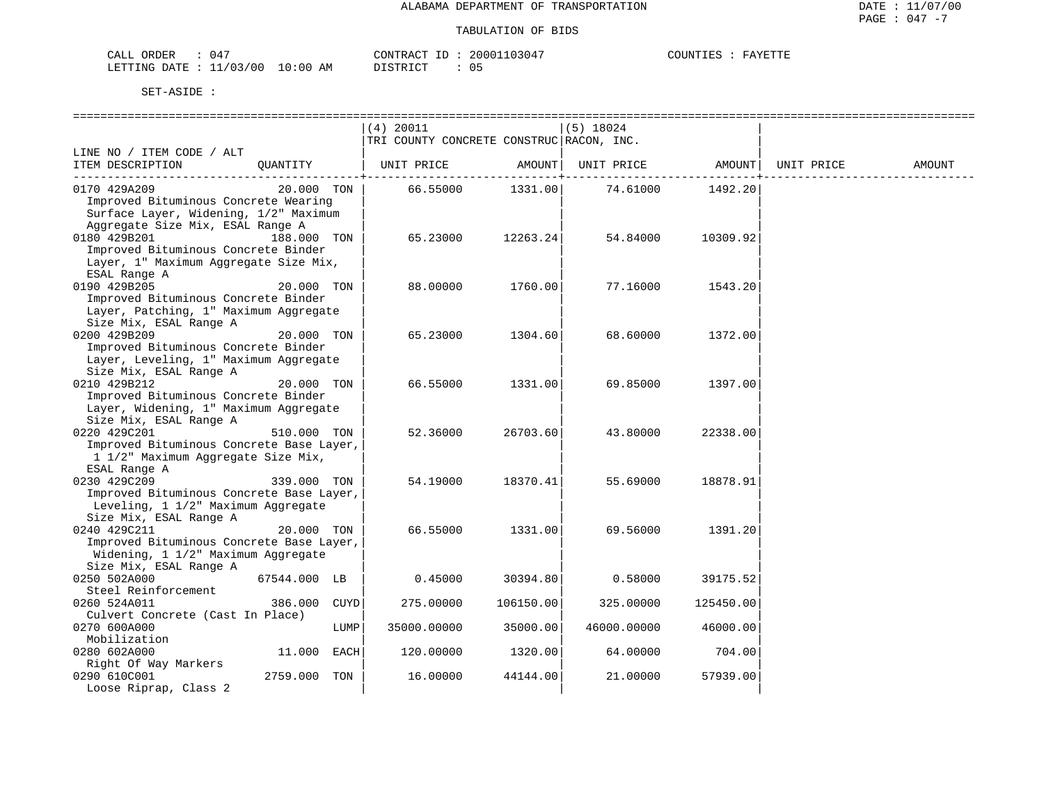| CALL ORDER                       |  |  | CONTRACT ID: | 20001103047 | COUNTIES | FAYETTF |
|----------------------------------|--|--|--------------|-------------|----------|---------|
| LETTING DATE : 11/03/00 10:00 AM |  |  | DISTRICT     |             |          |         |

|                                          |      | $(4)$ 20011                              |                   | $(5)$ 18024 |           |            |        |
|------------------------------------------|------|------------------------------------------|-------------------|-------------|-----------|------------|--------|
|                                          |      | TRI COUNTY CONCRETE CONSTRUC RACON, INC. |                   |             |           |            |        |
| LINE NO / ITEM CODE / ALT                |      |                                          |                   |             |           |            |        |
| ITEM DESCRIPTION<br>QUANTITY             |      | UNIT PRICE                               | AMOUNT            | UNIT PRICE  | AMOUNT    | UNIT PRICE | AMOUNT |
|                                          |      |                                          | $- - - - - - - +$ |             | --------- |            |        |
| 0170 429A209<br>20.000 TON               |      | 66.55000                                 | 1331.00           | 74.61000    | 1492.20   |            |        |
| Improved Bituminous Concrete Wearing     |      |                                          |                   |             |           |            |        |
| Surface Layer, Widening, 1/2" Maximum    |      |                                          |                   |             |           |            |        |
| Aggregate Size Mix, ESAL Range A         |      |                                          |                   |             |           |            |        |
| 0180 429B201<br>188.000 TON              |      | 65.23000                                 | 12263.24          | 54.84000    | 10309.92  |            |        |
| Improved Bituminous Concrete Binder      |      |                                          |                   |             |           |            |        |
| Layer, 1" Maximum Aggregate Size Mix,    |      |                                          |                   |             |           |            |        |
| ESAL Range A                             |      |                                          |                   |             |           |            |        |
| 0190 429B205<br>20.000 TON               |      | 88.00000                                 | 1760.00           | 77.16000    | 1543.20   |            |        |
| Improved Bituminous Concrete Binder      |      |                                          |                   |             |           |            |        |
| Layer, Patching, 1" Maximum Aggregate    |      |                                          |                   |             |           |            |        |
| Size Mix, ESAL Range A                   |      |                                          |                   |             |           |            |        |
| 0200 429B209<br>20.000 TON               |      | 65.23000                                 | 1304.60           | 68.60000    | 1372.00   |            |        |
| Improved Bituminous Concrete Binder      |      |                                          |                   |             |           |            |        |
| Layer, Leveling, 1" Maximum Aggregate    |      |                                          |                   |             |           |            |        |
| Size Mix, ESAL Range A                   |      |                                          |                   |             |           |            |        |
| 0210 429B212<br>20.000 TON               |      | 66.55000                                 | 1331.00           | 69.85000    | 1397.00   |            |        |
| Improved Bituminous Concrete Binder      |      |                                          |                   |             |           |            |        |
| Layer, Widening, 1" Maximum Aggregate    |      |                                          |                   |             |           |            |        |
| Size Mix, ESAL Range A                   |      |                                          |                   |             |           |            |        |
| 0220 429C201<br>510.000 TON              |      | 52.36000                                 | 26703.60          | 43.80000    | 22338.00  |            |        |
| Improved Bituminous Concrete Base Layer, |      |                                          |                   |             |           |            |        |
| 1 1/2" Maximum Aggregate Size Mix,       |      |                                          |                   |             |           |            |        |
| ESAL Range A                             |      |                                          |                   |             |           |            |        |
| 0230 429C209<br>339.000 TON              |      | 54.19000                                 | 18370.41          | 55.69000    | 18878.91  |            |        |
| Improved Bituminous Concrete Base Layer, |      |                                          |                   |             |           |            |        |
| Leveling, 1 1/2" Maximum Aggregate       |      |                                          |                   |             |           |            |        |
| Size Mix, ESAL Range A                   |      |                                          |                   |             |           |            |        |
| 0240 429C211<br>20.000 TON               |      | 66.55000                                 | 1331.00           | 69.56000    | 1391.20   |            |        |
| Improved Bituminous Concrete Base Layer, |      |                                          |                   |             |           |            |        |
| Widening, 1 1/2" Maximum Aggregate       |      |                                          |                   |             |           |            |        |
| Size Mix, ESAL Range A                   |      |                                          |                   |             |           |            |        |
| 67544.000 LB<br>0250 502A000             |      | 0.45000                                  | 30394.80          | 0.58000     | 39175.52  |            |        |
| Steel Reinforcement                      |      |                                          |                   |             |           |            |        |
| 0260 524A011<br>386.000                  | CUYD | 275.00000                                | 106150.00         | 325.00000   | 125450.00 |            |        |
| Culvert Concrete (Cast In Place)         |      |                                          |                   |             |           |            |        |
| 0270 600A000                             | LUMP | 35000.00000                              | 35000.00          | 46000.00000 | 46000.00  |            |        |
| Mobilization                             |      |                                          |                   |             |           |            |        |
| 0280 602A000<br>11.000 EACH              |      | 120.00000                                | 1320.00           | 64.00000    | 704.00    |            |        |
| Right Of Way Markers                     |      |                                          |                   |             |           |            |        |
| 0290 610C001<br>2759.000 TON             |      | 16.00000                                 | 44144.00          | 21.00000    | 57939.00  |            |        |
| Loose Riprap, Class 2                    |      |                                          |                   |             |           |            |        |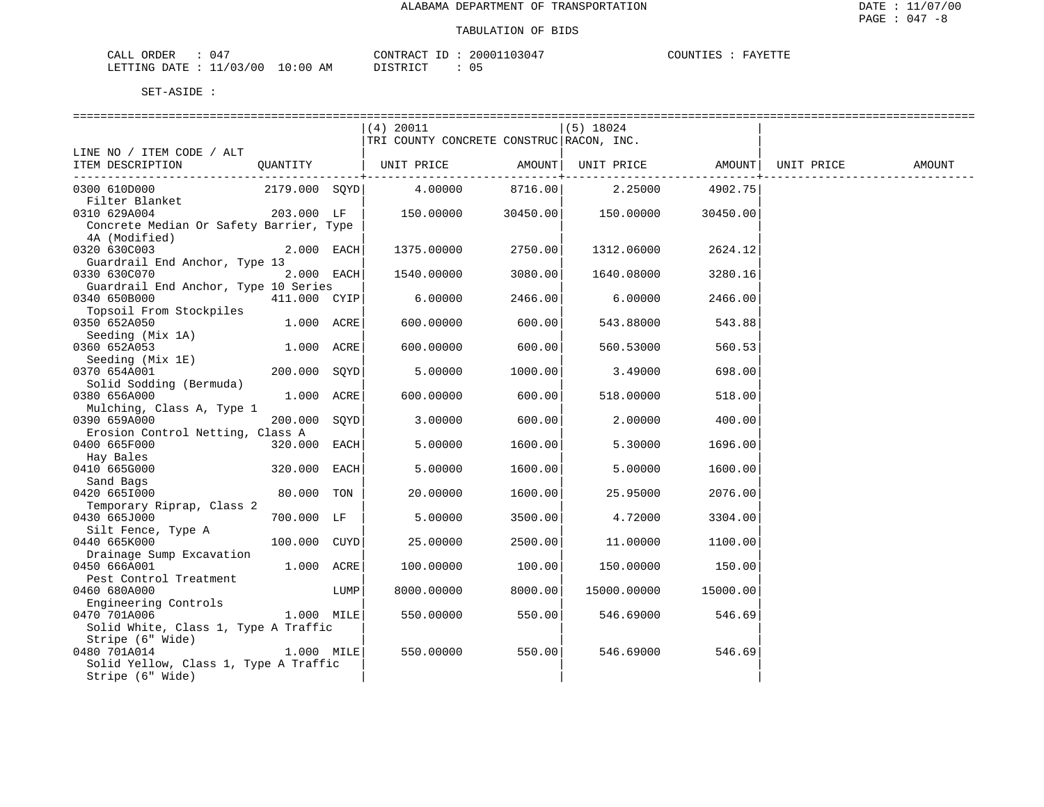| CALL ORDER                       | 047 |          | CONTRACT ID: 20001103047 | COUNTIES : | FAYETTE |  |
|----------------------------------|-----|----------|--------------------------|------------|---------|--|
| LETTING DATE : 11/03/00 10:00 AM |     | DISTRICT |                          |            |         |  |

|                                         |               |            | $(4)$ 20011                              |                     | (5) 18024   |                   |            |        |
|-----------------------------------------|---------------|------------|------------------------------------------|---------------------|-------------|-------------------|------------|--------|
|                                         |               |            | TRI COUNTY CONCRETE CONSTRUC RACON, INC. |                     |             |                   |            |        |
| LINE NO / ITEM CODE / ALT               |               |            |                                          |                     |             |                   |            |        |
| ITEM DESCRIPTION                        | OUANTITY      |            | UNIT PRICE AMOUNT                        |                     |             | UNIT PRICE AMOUNT | UNIT PRICE | AMOUNT |
| 0300 610D000                            |               |            | 4.00000                                  | --------<br>8716.00 |             | ------------      |            |        |
| Filter Blanket                          | 2179.000 SOYD |            |                                          |                     | 2.25000     | 4902.75           |            |        |
| 0310 629A004                            | 203.000 LF    |            | 150.00000                                | 30450.00            | 150.00000   | 30450.00          |            |        |
| Concrete Median Or Safety Barrier, Type |               |            |                                          |                     |             |                   |            |        |
| 4A (Modified)                           |               |            |                                          |                     |             |                   |            |        |
| 0320 630C003                            |               | 2.000 EACH | 1375.00000                               | 2750.00             | 1312.06000  | 2624.12           |            |        |
| Guardrail End Anchor, Type 13           |               |            |                                          |                     |             |                   |            |        |
| 0330 630C070                            |               | 2.000 EACH | 1540.00000                               | 3080.00             | 1640.08000  | 3280.16           |            |        |
| Guardrail End Anchor, Type 10 Series    |               |            |                                          |                     |             |                   |            |        |
| 0340 650B000                            | 411.000 CYIP  |            | 6.00000                                  | 2466.00             | 6.00000     | 2466.00           |            |        |
| Topsoil From Stockpiles                 |               |            |                                          |                     |             |                   |            |        |
| 0350 652A050                            | 1.000 ACRE    |            | 600.00000                                | 600.00              | 543.88000   | 543.88            |            |        |
| Seeding (Mix 1A)                        |               |            |                                          |                     |             |                   |            |        |
| 0360 652A053                            | 1.000 ACRE    |            | 600.00000                                | 600.00              | 560.53000   | 560.53            |            |        |
| Seeding (Mix 1E)<br>0370 654A001        | 200.000 SQYD  |            | 5.00000                                  | 1000.00             | 3.49000     | 698.00            |            |        |
| Solid Sodding (Bermuda)                 |               |            |                                          |                     |             |                   |            |        |
| 0380 656A000                            | 1.000 ACRE    |            | 600.00000                                | 600.00              | 518.00000   | 518.00            |            |        |
| Mulching, Class A, Type 1               |               |            |                                          |                     |             |                   |            |        |
| 0390 659A000                            | 200.000       | SQYD       | 3.00000                                  | 600.00              | 2,00000     | 400.00            |            |        |
| Erosion Control Netting, Class A        |               |            |                                          |                     |             |                   |            |        |
| 0400 665F000                            | 320.000 EACH  |            | 5.00000                                  | 1600.00             | 5.30000     | 1696.00           |            |        |
| Hay Bales                               |               |            |                                          |                     |             |                   |            |        |
| 0410 665G000                            | 320.000 EACH  |            | 5.00000                                  | 1600.00             | 5.00000     | 1600.00           |            |        |
| Sand Bags                               |               |            |                                          |                     |             |                   |            |        |
| 0420 6651000                            | 80.000 TON    |            | 20.00000                                 | 1600.00             | 25.95000    | 2076.00           |            |        |
| Temporary Riprap, Class 2               |               |            |                                          |                     |             |                   |            |        |
| 0430 665J000                            | 700.000 LF    |            | 5.00000                                  | 3500.00             | 4.72000     | 3304.00           |            |        |
| Silt Fence, Type A<br>0440 665K000      | 100.000 CUYD  |            | 25.00000                                 | 2500.00             | 11,00000    | 1100.00           |            |        |
| Drainage Sump Excavation                |               |            |                                          |                     |             |                   |            |        |
| 0450 666A001                            | 1.000 ACRE    |            | 100.00000                                | 100.00              | 150.00000   | 150.00            |            |        |
| Pest Control Treatment                  |               |            |                                          |                     |             |                   |            |        |
| 0460 680A000                            |               | LUMP       | 8000.00000                               | 8000.00             | 15000.00000 | 15000.00          |            |        |
| Engineering Controls                    |               |            |                                          |                     |             |                   |            |        |
| 0470 701A006                            | 1.000 MILE    |            | 550.00000                                | 550.00              | 546.69000   | 546.69            |            |        |
| Solid White, Class 1, Type A Traffic    |               |            |                                          |                     |             |                   |            |        |
| Stripe (6" Wide)                        |               |            |                                          |                     |             |                   |            |        |
| 0480 701A014                            | 1.000 MILE    |            | 550.00000                                | 550.00              | 546.69000   | 546.69            |            |        |
| Solid Yellow, Class 1, Type A Traffic   |               |            |                                          |                     |             |                   |            |        |
| Stripe (6" Wide)                        |               |            |                                          |                     |             |                   |            |        |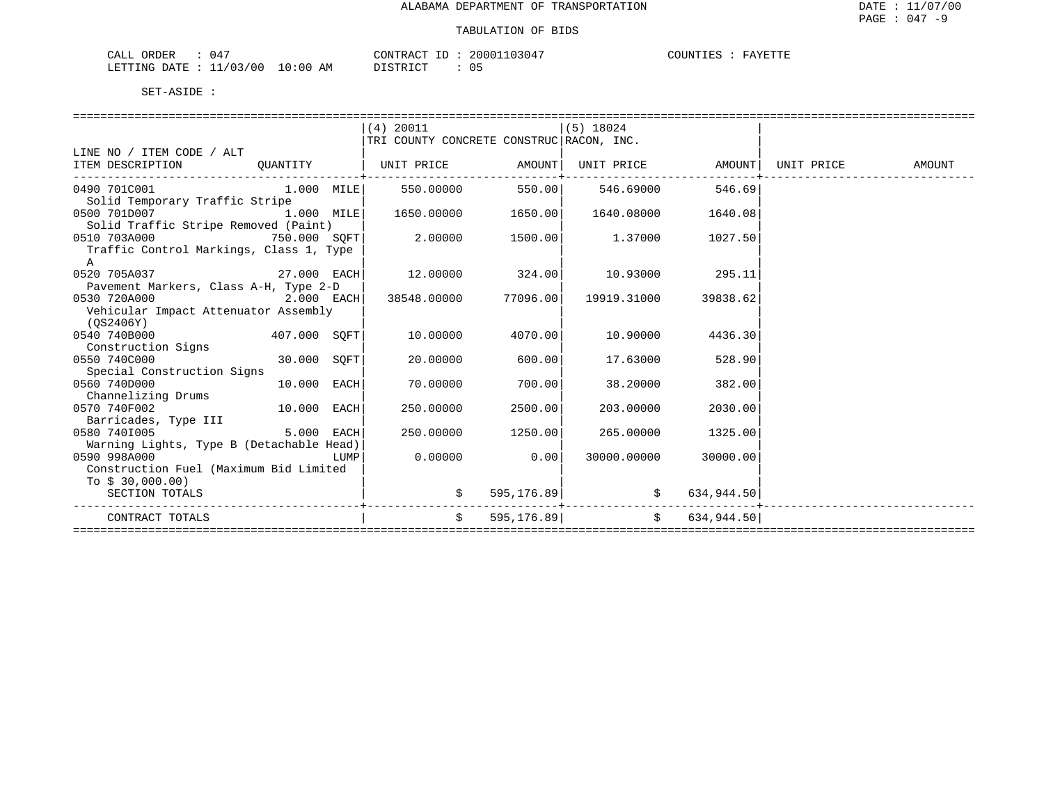| 04 <sup>7</sup><br>ORDER<br>CALL  | CONTRACT<br>ID          | 103047<br>20001 | COUNTIES<br>FAYETTE<br>-ES<br>. |
|-----------------------------------|-------------------------|-----------------|---------------------------------|
| 11/03/<br>, / 0.0<br>LETTING DATE | 10:00<br>DISTRICT<br>ΑM | U ځ             |                                 |

|                                                                                                                              |              |      | $(4)$ 20011                                   |         | $(5)$ 18024                             |                  |                                    |  |
|------------------------------------------------------------------------------------------------------------------------------|--------------|------|-----------------------------------------------|---------|-----------------------------------------|------------------|------------------------------------|--|
|                                                                                                                              |              |      | TRI COUNTY CONCRETE CONSTRUC RACON, INC.      |         |                                         |                  |                                    |  |
| LINE NO / ITEM CODE / ALT                                                                                                    |              |      |                                               |         |                                         |                  |                                    |  |
| ITEM DESCRIPTION CUANTITY   UNIT PRICE AMOUNT  UNIT PRICE AMOUNT  UNIT PRICE AMOUNT                                          |              |      |                                               |         |                                         |                  |                                    |  |
| _________________________________<br>0490 701C001           1.000 NILE      550.00000      550.00      546.69000      546.69 |              |      |                                               |         |                                         |                  |                                    |  |
| Solid Temporary Traffic Stripe                                                                                               |              |      |                                               |         |                                         |                  |                                    |  |
| 0500 701D007<br>$1.000$ MILE                                                                                                 |              |      | $1650.00000$ $1650.00$ $1640.08000$ $1640.08$ |         |                                         |                  |                                    |  |
| Solid Traffic Stripe Removed (Paint)                                                                                         |              |      |                                               |         |                                         |                  |                                    |  |
| 0510 703A000<br>750.000 SOFT                                                                                                 |              |      | $2.00000$ $1500.00$ $1.37000$ $1027.50$       |         |                                         |                  |                                    |  |
| Traffic Control Markings, Class 1, Type                                                                                      |              |      |                                               |         |                                         |                  |                                    |  |
| $\mathbb{A}$                                                                                                                 |              |      |                                               |         |                                         |                  |                                    |  |
| $27.000$ EACH<br>0520 705A037                                                                                                |              |      |                                               |         | $12.00000$ $324.00$ $10.93000$ $295.11$ |                  |                                    |  |
| Pavement Markers, Class A-H, Type 2-D                                                                                        |              |      |                                               |         |                                         |                  |                                    |  |
| 0530 720A000                                                                                                                 | $2.000$ EACH |      | 38548.00000 77096.00                          |         | 19919.31000                             | 39838.62         |                                    |  |
| Vehicular Impact Attenuator Assembly                                                                                         |              |      |                                               |         |                                         |                  |                                    |  |
| (OS2406Y)                                                                                                                    |              |      |                                               |         |                                         |                  |                                    |  |
| 0540 740B000 407.000 SQFT                                                                                                    |              |      | 10.00000                                      | 4070.00 |                                         | 10.90000 4436.30 |                                    |  |
| Construction Signs                                                                                                           |              |      |                                               |         |                                         |                  |                                    |  |
| 0550 740C000                                                                                                                 | 30.000 SQFT  |      | 20.00000                                      | 600.00  | 17.63000                                | 528.90           |                                    |  |
| Special Construction Signs                                                                                                   |              |      |                                               |         |                                         |                  |                                    |  |
| 0560 740D000                                                                                                                 | 10.000 EACH  |      | 70,00000                                      | 700.00  | 38.20000                                | 382.00           |                                    |  |
| Channelizing Drums                                                                                                           |              |      |                                               |         |                                         |                  |                                    |  |
| 0570 740F002                                                                                                                 |              |      | 250.00000                                     | 2500.00 | 203.00000                               | 2030.00          |                                    |  |
| Barricades, Type III                                                                                                         |              |      |                                               |         |                                         |                  |                                    |  |
| 0580 7401005                                                                                                                 | 5.000 EACH   |      | 250.00000                                     | 1250.00 | 265.00000                               | 1325.00          |                                    |  |
| Warning Lights, Type B (Detachable Head)                                                                                     |              |      |                                               |         |                                         |                  |                                    |  |
| 0590 998A000                                                                                                                 |              | LUMP | 0.00000                                       | 0.00    | 30000.00000                             | 30000.00         |                                    |  |
| Construction Fuel (Maximum Bid Limited                                                                                       |              |      |                                               |         |                                         |                  |                                    |  |
| To $$30,000.00)$                                                                                                             |              |      |                                               |         |                                         |                  |                                    |  |
| SECTION TOTALS                                                                                                               |              |      |                                               |         | $\zeta$ 595,176.89 $\zeta$ 634,944.50   |                  |                                    |  |
| CONTRACT TOTALS                                                                                                              |              |      |                                               |         | $$595,176.89$ $$634,944.50$             |                  |                                    |  |
|                                                                                                                              |              |      |                                               |         |                                         |                  | ================================== |  |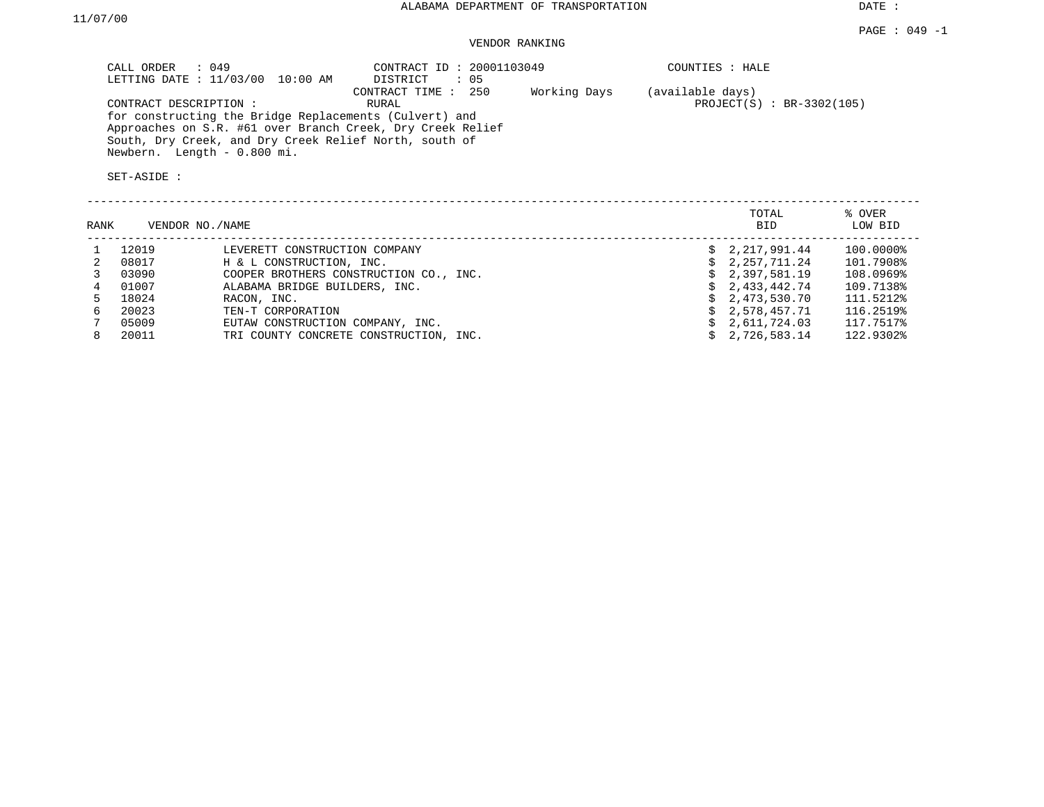DATE :

## VENDOR RANKING

| CALL ORDER : 049<br>LETTING DATE : 11/03/00 10:00 AM                                                                                                                                                    | CONTRACT ID: 20001103049<br>DISTRICT<br>: 05 | COUNTIES : HALE                                 |
|---------------------------------------------------------------------------------------------------------------------------------------------------------------------------------------------------------|----------------------------------------------|-------------------------------------------------|
| CONTRACT DESCRIPTION:<br>for constructing the Bridge Replacements (Culvert) and<br>Approaches on S.R. #61 over Branch Creek, Dry Creek Relief<br>South, Dry Creek, and Dry Creek Relief North, south of | Working Days<br>CONTRACT TIME : 250<br>RURAL | (available days)<br>$PROJECT(S) : BR-3302(105)$ |
| Newbern. Length - 0.800 mi.                                                                                                                                                                             |                                              |                                                 |

| RANK |       | VENDOR NO./NAME                        | TOTAL<br><b>BID</b> | % OVER<br>LOW BID |
|------|-------|----------------------------------------|---------------------|-------------------|
|      | 12019 | LEVERETT CONSTRUCTION COMPANY          | 2,217,991.44        | 100.0000%         |
|      | 08017 | H & L CONSTRUCTION, INC.               | 2,257,711.24        | 101.7908%         |
|      | 03090 | COOPER BROTHERS CONSTRUCTION CO., INC. | \$2,397,581.19      | 108.0969%         |
|      | 01007 | ALABAMA BRIDGE BUILDERS, INC.          | 2,433,442.74        | 109.7138%         |
|      | 18024 | RACON, INC.                            | \$2,473,530.70      | 111.5212%         |
| 6.   | 20023 | TEN-T CORPORATION                      | 2,578,457.71        | 116.2519%         |
|      | 05009 | EUTAW CONSTRUCTION COMPANY, INC.       | 2,611,724.03        | 117.7517%         |
| 8.   | 20011 | TRI COUNTY CONCRETE CONSTRUCTION, INC. | 2,726,583.14        | 122.9302%         |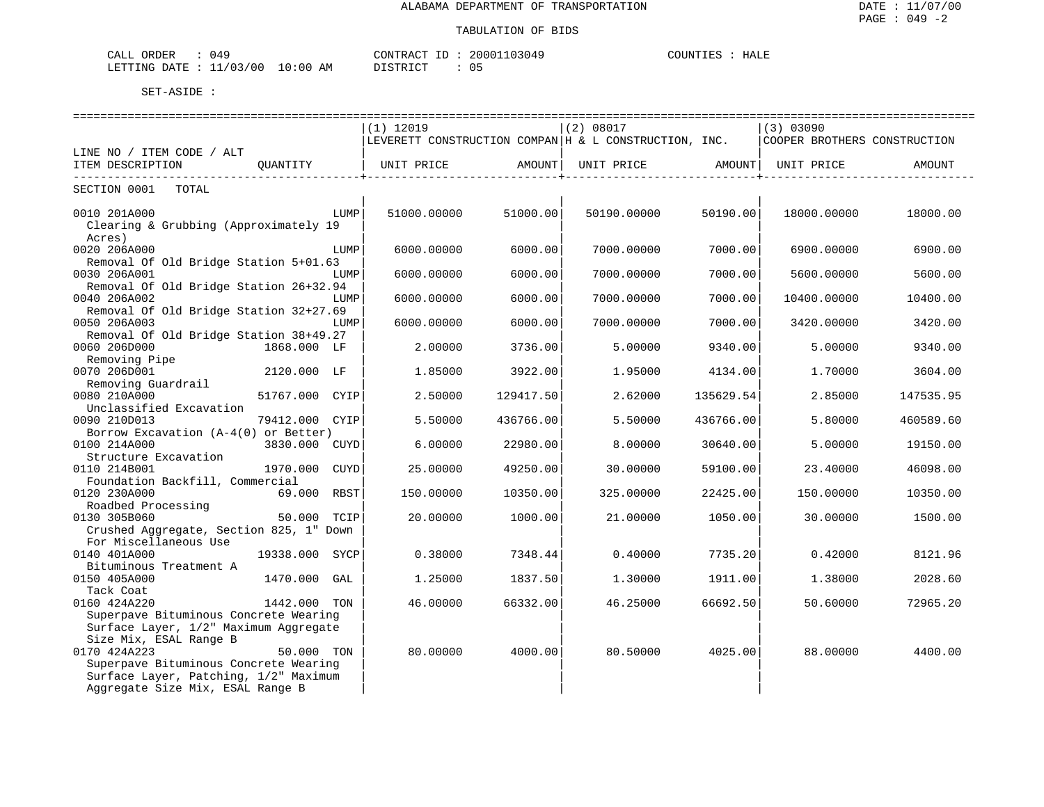| ORDER<br>CALL | 049        |             | $ -$<br>CONTRACT         | 20001103049 | COUNTIES | HALE |
|---------------|------------|-------------|--------------------------|-------------|----------|------|
| LETTING DATE  | : 11/03/00 | 10:00<br>AM | דת לידי את ה<br>ມ⊥ມ⊥ນ⊥∪⊥ | כ ט         |          |      |

|                                         |                  | $(1)$ 12019 |           | (2) 08017                                                    |                     | (3) 03090                    |           |
|-----------------------------------------|------------------|-------------|-----------|--------------------------------------------------------------|---------------------|------------------------------|-----------|
|                                         |                  |             |           | $ LEVERETT$ CONSTRUCTION COMPAN $ H \& L$ CONSTRUCTION, INC. |                     | COOPER BROTHERS CONSTRUCTION |           |
| LINE NO / ITEM CODE / ALT               |                  |             |           |                                                              |                     |                              |           |
| ITEM DESCRIPTION                        |                  |             |           | QUANTITY   UNIT PRICE AMOUNT  UNIT PRICE AMOUNT  UNIT PRICE  |                     |                              | AMOUNT    |
| ----------------------------            | ---------------- |             |           |                                                              | -----------------+- |                              |           |
| SECTION 0001 TOTAL                      |                  |             |           |                                                              |                     |                              |           |
|                                         |                  |             |           |                                                              |                     |                              |           |
| 0010 201A000                            | LUMP             | 51000.00000 | 51000.00  | 50190.00000                                                  | 50190.00            | 18000.00000                  | 18000.00  |
| Clearing & Grubbing (Approximately 19   |                  |             |           |                                                              |                     |                              |           |
| Acres)                                  |                  |             |           |                                                              |                     |                              |           |
| 0020 206A000                            | LUMP             | 6000.00000  | 6000.00   | 7000.00000                                                   | 7000.00             | 6900.00000                   | 6900.00   |
| Removal Of Old Bridge Station 5+01.63   |                  |             |           |                                                              |                     |                              |           |
| 0030 206A001                            | LUMP             | 6000.00000  | 6000.00   | 7000.00000                                                   | 7000.00             | 5600.00000                   | 5600.00   |
| Removal Of Old Bridge Station 26+32.94  |                  |             |           |                                                              |                     |                              |           |
| 0040 206A002                            | LUMP             | 6000.00000  | 6000.00   | 7000.00000                                                   | 7000.00             | 10400.00000                  | 10400.00  |
| Removal Of Old Bridge Station 32+27.69  |                  |             |           |                                                              |                     |                              |           |
| 0050 206A003                            | LUMP             | 6000.00000  | 6000.00   | 7000.00000                                                   | 7000.00             | 3420.00000                   | 3420.00   |
| Removal Of Old Bridge Station 38+49.27  |                  |             |           |                                                              |                     |                              |           |
| 0060 206D000                            | 1868.000 LF      | 2.00000     | 3736.00   | 5.00000                                                      | 9340.00             | 5.00000                      | 9340.00   |
| Removing Pipe                           |                  |             |           |                                                              |                     |                              |           |
| 0070 206D001                            | 2120.000 LF      | 1.85000     | 3922.00   | 1.95000                                                      | 4134.00             | 1,70000                      | 3604.00   |
| Removing Guardrail                      |                  |             |           |                                                              |                     |                              |           |
| 0080 210A000                            | 51767.000 CYIP   | 2.50000     | 129417.50 | 2.62000                                                      | 135629.54           | 2.85000                      | 147535.95 |
| Unclassified Excavation                 |                  |             |           |                                                              |                     |                              |           |
| 0090 210D013                            | 79412.000 CYIP   | 5.50000     | 436766.00 | 5.50000                                                      | 436766.00           | 5.80000                      | 460589.60 |
| Borrow Excavation (A-4(0) or Better)    |                  |             |           |                                                              |                     |                              |           |
| 0100 214A000                            | 3830.000 CUYD    | 6.00000     | 22980.00  | 8,00000                                                      | 30640.00            | 5.00000                      | 19150.00  |
| Structure Excavation                    |                  |             |           |                                                              |                     |                              |           |
| 0110 214B001                            | 1970.000<br>CUYD | 25.00000    | 49250.00  | 30.00000                                                     | 59100.00            | 23.40000                     | 46098.00  |
| Foundation Backfill, Commercial         |                  |             |           |                                                              |                     |                              |           |
| 0120 230A000                            | 69.000 RBST      | 150.00000   | 10350.00  | 325.00000                                                    | 22425.00            | 150.00000                    | 10350.00  |
| Roadbed Processing                      |                  |             |           |                                                              |                     |                              |           |
| 0130 305B060                            | 50.000 TCIP      | 20.00000    | 1000.00   | 21.00000                                                     | 1050.00             | 30.00000                     | 1500.00   |
| Crushed Aggregate, Section 825, 1" Down |                  |             |           |                                                              |                     |                              |           |
| For Miscellaneous Use                   |                  |             |           |                                                              |                     |                              |           |
| 0140 401A000                            | 19338.000 SYCP   | 0.38000     | 7348.44   | 0.40000                                                      | 7735.20             | 0.42000                      | 8121.96   |
| Bituminous Treatment A                  |                  |             |           |                                                              |                     |                              |           |
| 0150 405A000                            | 1470.000<br>GAL  | 1.25000     | 1837.50   | 1,30000                                                      | 1911.00             | 1.38000                      | 2028.60   |
| Tack Coat                               |                  |             |           |                                                              |                     |                              |           |
| 0160 424A220                            | 1442.000 TON     | 46.00000    | 66332.00  | 46.25000                                                     | 66692.50            | 50.60000                     | 72965.20  |
| Superpave Bituminous Concrete Wearing   |                  |             |           |                                                              |                     |                              |           |
| Surface Layer, 1/2" Maximum Aggregate   |                  |             |           |                                                              |                     |                              |           |
| Size Mix, ESAL Range B                  |                  |             |           |                                                              |                     |                              |           |
| 0170 424A223                            | 50.000 TON       | 80.00000    | 4000.00   | 80.50000                                                     | 4025.00             | 88.00000                     | 4400.00   |
| Superpave Bituminous Concrete Wearing   |                  |             |           |                                                              |                     |                              |           |
| Surface Layer, Patching, 1/2" Maximum   |                  |             |           |                                                              |                     |                              |           |
|                                         |                  |             |           |                                                              |                     |                              |           |
| Aggregate Size Mix, ESAL Range B        |                  |             |           |                                                              |                     |                              |           |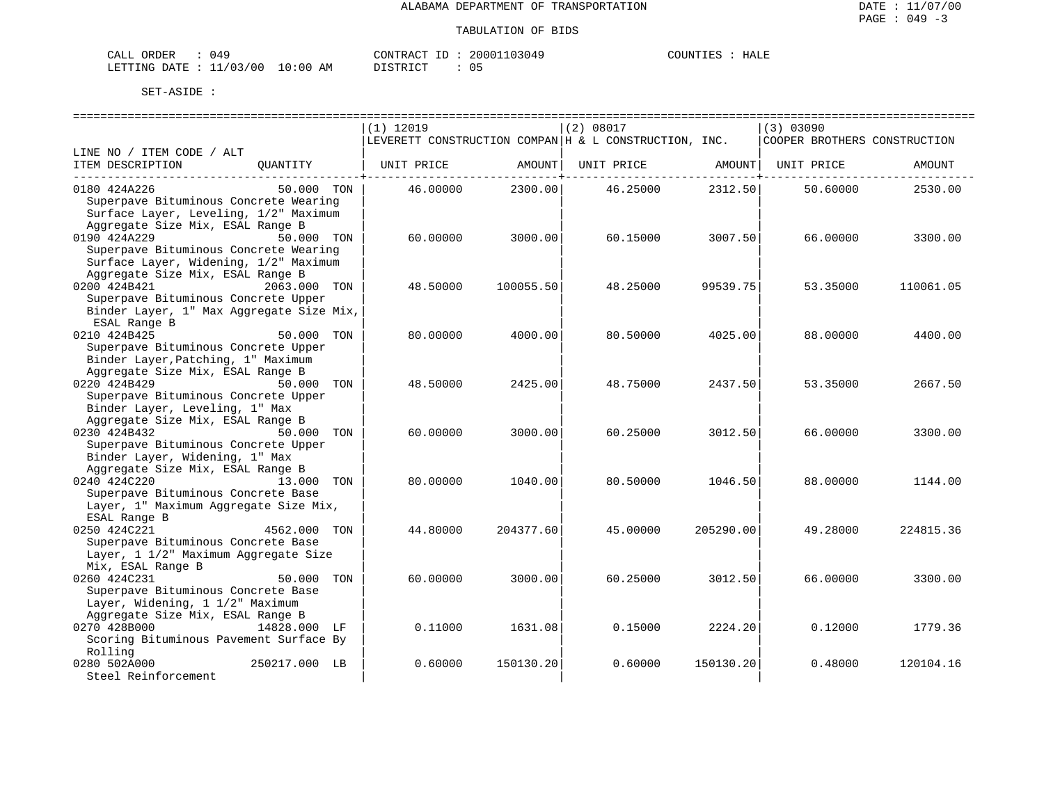| CALL ORDER                       | : 049 |  |  |
|----------------------------------|-------|--|--|
| LETTING DATE : 11/03/00 10:00 AM |       |  |  |

CONTRACT ID : 20001103049 DISTRICT : 05

COUNTIES : HALE

|                                                                       | $(1)$ 12019                                                   | (2) 08017              | (3) 03090                    |
|-----------------------------------------------------------------------|---------------------------------------------------------------|------------------------|------------------------------|
|                                                                       | $ $ LEVERETT CONSTRUCTION COMPAN $ $ H & L CONSTRUCTION, INC. |                        | COOPER BROTHERS CONSTRUCTION |
| LINE NO / ITEM CODE / ALT                                             |                                                               |                        |                              |
| ITEM DESCRIPTION<br>OUANTITY                                          | UNIT PRICE<br>AMOUNT                                          | AMOUNT  <br>UNIT PRICE | UNIT PRICE<br>AMOUNT         |
| 0180 424A226<br>50.000 TON                                            | 2300.00<br>46.00000                                           | 2312.50<br>46.25000    | 50.60000<br>2530.00          |
| Superpave Bituminous Concrete Wearing                                 |                                                               |                        |                              |
| Surface Layer, Leveling, 1/2" Maximum                                 |                                                               |                        |                              |
| Aggregate Size Mix, ESAL Range B                                      |                                                               |                        |                              |
| 0190 424A229<br>50.000 TON                                            | 60,00000<br>3000.00                                           | 60.15000<br>3007.50    | 66.00000<br>3300.00          |
| Superpave Bituminous Concrete Wearing                                 |                                                               |                        |                              |
| Surface Layer, Widening, 1/2" Maximum                                 |                                                               |                        |                              |
| Aggregate Size Mix, ESAL Range B                                      |                                                               |                        |                              |
| 0200 424B421<br>2063.000 TON                                          | 48.50000<br>100055.50                                         | 48.25000<br>99539.75   | 53.35000<br>110061.05        |
| Superpave Bituminous Concrete Upper                                   |                                                               |                        |                              |
| Binder Layer, 1" Max Aggregate Size Mix,                              |                                                               |                        |                              |
| ESAL Range B                                                          |                                                               |                        |                              |
| 0210 424B425<br>50.000 TON                                            | 80.00000<br>4000.00                                           | 80.50000<br>4025.00    | 88,00000<br>4400.00          |
| Superpave Bituminous Concrete Upper                                   |                                                               |                        |                              |
| Binder Layer, Patching, 1" Maximum                                    |                                                               |                        |                              |
| Aggregate Size Mix, ESAL Range B                                      |                                                               |                        |                              |
| 0220 424B429<br>50.000 TON                                            | 48.50000<br>2425.00                                           | 48.75000<br>2437.50    | 53.35000<br>2667.50          |
| Superpave Bituminous Concrete Upper<br>Binder Layer, Leveling, 1" Max |                                                               |                        |                              |
| Aggregate Size Mix, ESAL Range B                                      |                                                               |                        |                              |
| 0230 424B432<br>50.000 TON                                            | 60,00000<br>3000.00                                           | 60.25000<br>3012.50    | 66.00000<br>3300.00          |
| Superpave Bituminous Concrete Upper                                   |                                                               |                        |                              |
| Binder Layer, Widening, 1" Max                                        |                                                               |                        |                              |
| Aggregate Size Mix, ESAL Range B                                      |                                                               |                        |                              |
| 0240 424C220<br>13.000 TON                                            | 80,00000<br>1040.00                                           | 80.50000<br>1046.50    | 88,00000<br>1144.00          |
| Superpave Bituminous Concrete Base                                    |                                                               |                        |                              |
| Layer, 1" Maximum Aggregate Size Mix,                                 |                                                               |                        |                              |
| ESAL Range B                                                          |                                                               |                        |                              |
| 0250 424C221<br>4562.000<br>TON                                       | 44.80000<br>204377.60                                         | 45.00000<br>205290.00  | 49.28000<br>224815.36        |
| Superpave Bituminous Concrete Base                                    |                                                               |                        |                              |
| Layer, 1 1/2" Maximum Aggregate Size                                  |                                                               |                        |                              |
| Mix, ESAL Range B                                                     |                                                               |                        |                              |
| 0260 424C231<br>50.000<br>TON                                         | 60.00000<br>3000.00                                           | 60.25000<br>3012.50    | 66.00000<br>3300.00          |
| Superpave Bituminous Concrete Base                                    |                                                               |                        |                              |
| Layer, Widening, 1 1/2" Maximum                                       |                                                               |                        |                              |
| Aggregate Size Mix, ESAL Range B                                      |                                                               |                        |                              |
| 0270 428B000<br>14828.000 LF                                          | 0.11000<br>1631.08                                            | 2224.20<br>0.15000     | 0.12000<br>1779.36           |
| Scoring Bituminous Pavement Surface By                                |                                                               |                        |                              |
| Rolling                                                               |                                                               |                        |                              |
| 0280 502A000<br>250217.000 LB                                         | 0.60000<br>150130.20                                          | 150130.20<br>0.60000   | 120104.16<br>0.48000         |
| Steel Reinforcement                                                   |                                                               |                        |                              |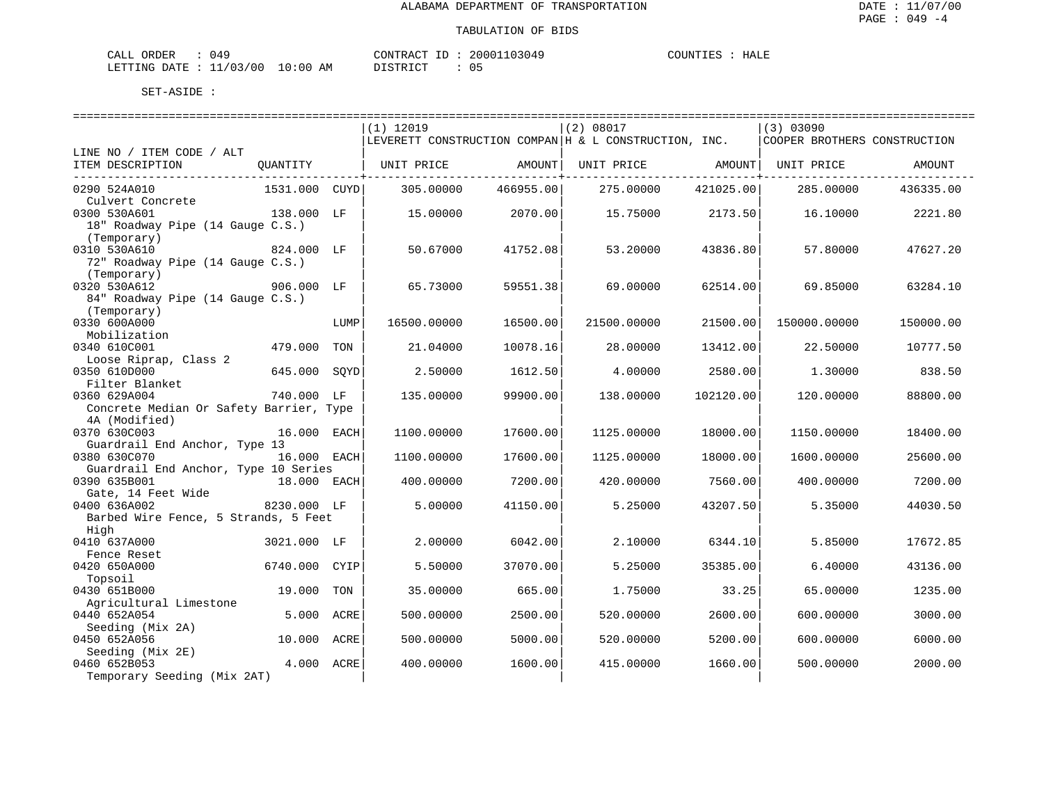| 049<br>CALL ORDER               |          | CONTRACT ID: 20001103049 | HALE<br>COUNTIES |
|---------------------------------|----------|--------------------------|------------------|
| LETTING DATE: 11/03/00 10:00 AM | DISTRICT |                          |                  |

|                                               |               |      | $(1)$ 12019 |           | (2) 08017                                             |           | (3) 03090                    |           |
|-----------------------------------------------|---------------|------|-------------|-----------|-------------------------------------------------------|-----------|------------------------------|-----------|
|                                               |               |      |             |           | LEVERETT CONSTRUCTION COMPAN H & L CONSTRUCTION, INC. |           | COOPER BROTHERS CONSTRUCTION |           |
| LINE NO / ITEM CODE / ALT                     |               |      |             |           |                                                       |           |                              |           |
| ITEM DESCRIPTION                              | OUANTITY      |      | UNIT PRICE  | AMOUNT    | UNIT PRICE                                            | AMOUNT    | UNIT PRICE                   | AMOUNT    |
| 0290 524A010                                  | 1531.000 CUYD |      | 305.00000   | 466955.00 | 275.00000                                             | 421025.00 | 285.00000                    | 436335.00 |
| Culvert Concrete                              |               |      |             |           |                                                       |           |                              |           |
| 0300 530A601                                  | 138.000 LF    |      | 15,00000    | 2070.00   | 15.75000                                              | 2173.50   | 16.10000                     | 2221.80   |
| 18" Roadway Pipe (14 Gauge C.S.)              |               |      |             |           |                                                       |           |                              |           |
| (Temporary)<br>0310 530A610                   | 824.000 LF    |      | 50.67000    | 41752.08  | 53.20000                                              | 43836.80  | 57.80000                     | 47627.20  |
| 72" Roadway Pipe (14 Gauge C.S.)              |               |      |             |           |                                                       |           |                              |           |
| (Temporary)                                   |               |      |             |           |                                                       |           |                              |           |
| 0320 530A612                                  | 906.000 LF    |      | 65.73000    | 59551.38  | 69.00000                                              | 62514.00  | 69.85000                     | 63284.10  |
| 84" Roadway Pipe (14 Gauge C.S.)              |               |      |             |           |                                                       |           |                              |           |
| (Temporary)                                   |               |      |             |           |                                                       |           |                              |           |
| 0330 600A000                                  |               | LUMP | 16500.00000 | 16500.00  | 21500.00000                                           | 21500.00  | 150000.00000                 | 150000.00 |
| Mobilization<br>0340 610C001                  | 479.000       | TON  | 21.04000    | 10078.16  | 28,00000                                              | 13412.00  | 22.50000                     | 10777.50  |
| Loose Riprap, Class 2                         |               |      |             |           |                                                       |           |                              |           |
| 0350 610D000                                  | 645.000       | SQYD | 2.50000     | 1612.50   | 4.00000                                               | 2580.00   | 1.30000                      | 838.50    |
| Filter Blanket                                |               |      |             |           |                                                       |           |                              |           |
| 0360 629A004                                  | 740.000 LF    |      | 135.00000   | 99900.00  | 138.00000                                             | 102120.00 | 120.00000                    | 88800.00  |
| Concrete Median Or Safety Barrier, Type       |               |      |             |           |                                                       |           |                              |           |
| 4A (Modified)                                 |               |      |             | 17600.00  |                                                       |           |                              |           |
| 0370 630C003<br>Guardrail End Anchor, Type 13 | 16.000        | EACH | 1100.00000  |           | 1125.00000                                            | 18000.00  | 1150.00000                   | 18400.00  |
| 0380 630C070                                  | 16.000 EACH   |      | 1100.00000  | 17600.00  | 1125.00000                                            | 18000.00  | 1600.00000                   | 25600.00  |
| Guardrail End Anchor, Type 10 Series          |               |      |             |           |                                                       |           |                              |           |
| 0390 635B001                                  | 18.000 EACH   |      | 400.00000   | 7200.00   | 420.00000                                             | 7560.00   | 400.00000                    | 7200.00   |
| Gate, 14 Feet Wide                            |               |      |             |           |                                                       |           |                              |           |
| 0400 636A002                                  | 8230.000 LF   |      | 5.00000     | 41150.00  | 5.25000                                               | 43207.50  | 5.35000                      | 44030.50  |
| Barbed Wire Fence, 5 Strands, 5 Feet<br>High  |               |      |             |           |                                                       |           |                              |           |
| 0410 637A000                                  | 3021.000 LF   |      | 2.00000     | 6042.00   | 2.10000                                               | 6344.10   | 5.85000                      | 17672.85  |
| Fence Reset                                   |               |      |             |           |                                                       |           |                              |           |
| 0420 650A000                                  | 6740.000      | CYIP | 5.50000     | 37070.00  | 5.25000                                               | 35385.00  | 6.40000                      | 43136.00  |
| Topsoil                                       |               |      |             |           |                                                       |           |                              |           |
| 0430 651B000                                  | 19,000        | TON  | 35.00000    | 665.00    | 1.75000                                               | 33.25     | 65.00000                     | 1235.00   |
| Agricultural Limestone<br>0440 652A054        | 5.000         |      |             |           |                                                       |           |                              |           |
| Seeding (Mix 2A)                              |               | ACRE | 500.00000   | 2500.00   | 520.00000                                             | 2600.00   | 600.00000                    | 3000.00   |
| 0450 652A056                                  | 10.000        | ACRE | 500.00000   | 5000.00   | 520.00000                                             | 5200.00   | 600,00000                    | 6000.00   |
| Seeding (Mix 2E)                              |               |      |             |           |                                                       |           |                              |           |
| 0460 652B053                                  | 4.000         | ACRE | 400.00000   | 1600.00   | 415.00000                                             | 1660.00   | 500.00000                    | 2000.00   |
| Temporary Seeding (Mix 2AT)                   |               |      |             |           |                                                       |           |                              |           |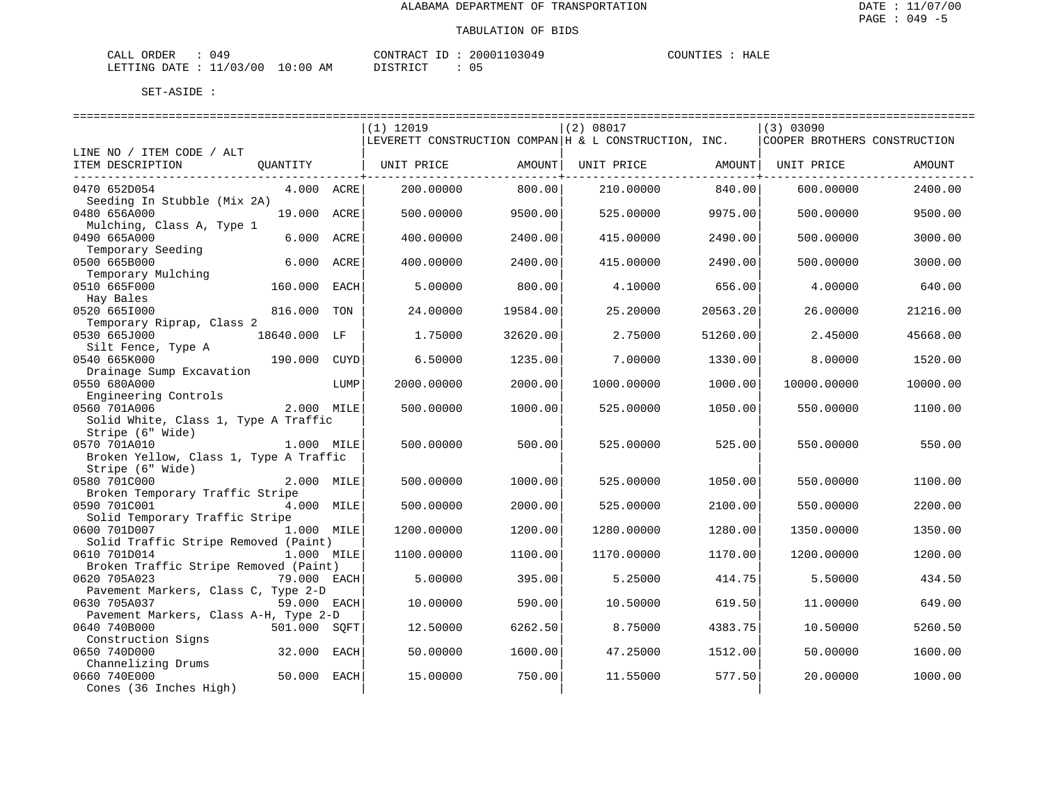| <b>ORDER</b><br>CALI | 049                   |             | CONTRACT<br>$\tau_D$ | 20001103049 | COUNT.<br>.TE2 | HALE |
|----------------------|-----------------------|-------------|----------------------|-------------|----------------|------|
| LETTING DATE :       | 11/03/00<br><b>__</b> | 10:00<br>ΆM | TSTRICT              |             |                |      |

| $(1)$ 12019<br>(2) 08017<br>(3) 03090<br>LEVERETT CONSTRUCTION COMPAN   H & L CONSTRUCTION, INC.<br>COOPER BROTHERS CONSTRUCTION<br>LINE NO / ITEM CODE / ALT<br>ITEM DESCRIPTION<br>QUANTITY<br>UNIT PRICE<br>AMOUNT<br>UNIT PRICE<br>AMOUNT<br>UNIT PRICE<br>AMOUNT<br>0470 652D054<br>800.00<br>2400.00<br>4.000 ACRE<br>200.00000<br>210.00000<br>840.00<br>600.00000<br>Seeding In Stubble (Mix 2A)<br>0480 656A000<br>19.000 ACRE<br>500.00000<br>9500.00<br>525.00000<br>9975.00<br>500.00000<br>9500.00<br>Mulching, Class A, Type 1<br>0490 665A000<br>6.000<br>3000.00<br>ACRE<br>400.00000<br>2400.00<br>415.00000<br>2490.00<br>500.00000<br>Temporary Seeding<br>6.000<br>0500 665B000<br>2400.00<br>415.00000<br>2490.00<br>3000.00<br>ACRE<br>400.00000<br>500.00000<br>Temporary Mulching<br>0510 665F000<br>160.000<br>5.00000<br>800.00<br>656.00<br>4.00000<br>640.00<br>EACH<br>4.10000<br>Hay Bales<br>0520 6651000<br>816.000<br>24.00000<br>TON<br>19584.00<br>25.20000<br>20563.20<br>26.00000<br>21216.00<br>Temporary Riprap, Class 2<br>0530 665J000<br>18640.000 LF<br>1.75000<br>32620.00<br>2.75000<br>51260.00<br>2.45000<br>45668.00<br>Silt Fence, Type A<br>0540 665K000<br>190.000<br><b>CUYD</b><br>6.50000<br>1235.00<br>7.00000<br>1330.00<br>8,00000<br>1520.00<br>Drainage Sump Excavation<br>0550 680A000<br>2000.00000<br>2000.00<br>1000.00<br>10000.00000<br>10000.00<br>LUMP<br>1000.00000<br>Engineering Controls<br>0560 701A006<br>2.000 MILE<br>500.00000<br>1000.00<br>525.00000<br>1050.00<br>550.00000<br>1100.00<br>Solid White, Class 1, Type A Traffic<br>Stripe (6" Wide)<br>0570 701A010<br>1.000 MILE<br>500.00000<br>500.00<br>525.00<br>550.00000<br>550.00<br>525.00000<br>Broken Yellow, Class 1, Type A Traffic<br>Stripe (6" Wide)<br>0580 701C000<br>2.000 MILE<br>500.00000<br>1000.00<br>525.00000<br>1050.00<br>550.00000<br>1100.00<br>Broken Temporary Traffic Stripe<br>0590 701C001<br>4.000 MILE<br>2200.00<br>500.00000<br>2000.00<br>525.00000<br>2100.00<br>550.00000<br>Solid Temporary Traffic Stripe<br>0600 701D007<br>1.000 MILE<br>1200.00000<br>1200.00<br>1280.00000<br>1280.00<br>1350.00000<br>1350.00<br>Solid Traffic Stripe Removed (Paint)<br>0610 701D014<br>1.000 MILE<br>1100.00<br>1200.00000<br>1200.00<br>1100.00000<br>1170.00000<br>1170.00<br>Broken Traffic Stripe Removed (Paint)<br>0620 705A023<br>395.00<br>434.50<br>79.000 EACH<br>5.00000<br>5.25000<br>414.75<br>5.50000<br>Pavement Markers, Class C, Type 2-D<br>0630 705A037<br>59.000 EACH<br>10.00000<br>590.00<br>10.50000<br>619.50<br>11,00000<br>649.00<br>Pavement Markers, Class A-H, Type 2-D<br>0640 740B000<br>501.000 SOFT<br>12.50000<br>6262.50<br>8.75000<br>4383.75<br>10.50000<br>5260.50<br>Construction Signs<br>0650 740D000<br>1600.00<br>32.000<br>EACH<br>50.00000<br>47.25000<br>1512.00<br>50.00000<br>1600.00<br>Channelizing Drums |              |  |          |        |          |        |          |         |
|------------------------------------------------------------------------------------------------------------------------------------------------------------------------------------------------------------------------------------------------------------------------------------------------------------------------------------------------------------------------------------------------------------------------------------------------------------------------------------------------------------------------------------------------------------------------------------------------------------------------------------------------------------------------------------------------------------------------------------------------------------------------------------------------------------------------------------------------------------------------------------------------------------------------------------------------------------------------------------------------------------------------------------------------------------------------------------------------------------------------------------------------------------------------------------------------------------------------------------------------------------------------------------------------------------------------------------------------------------------------------------------------------------------------------------------------------------------------------------------------------------------------------------------------------------------------------------------------------------------------------------------------------------------------------------------------------------------------------------------------------------------------------------------------------------------------------------------------------------------------------------------------------------------------------------------------------------------------------------------------------------------------------------------------------------------------------------------------------------------------------------------------------------------------------------------------------------------------------------------------------------------------------------------------------------------------------------------------------------------------------------------------------------------------------------------------------------------------------------------------------------------------------------------------------------------------------------------------------------------------------------------------------------------------------------------------------------------------------------------------------------------------------------------------------------------------------------------------------------------------------------------------------------------------------|--------------|--|----------|--------|----------|--------|----------|---------|
|                                                                                                                                                                                                                                                                                                                                                                                                                                                                                                                                                                                                                                                                                                                                                                                                                                                                                                                                                                                                                                                                                                                                                                                                                                                                                                                                                                                                                                                                                                                                                                                                                                                                                                                                                                                                                                                                                                                                                                                                                                                                                                                                                                                                                                                                                                                                                                                                                                                                                                                                                                                                                                                                                                                                                                                                                                                                                                                              |              |  |          |        |          |        |          |         |
|                                                                                                                                                                                                                                                                                                                                                                                                                                                                                                                                                                                                                                                                                                                                                                                                                                                                                                                                                                                                                                                                                                                                                                                                                                                                                                                                                                                                                                                                                                                                                                                                                                                                                                                                                                                                                                                                                                                                                                                                                                                                                                                                                                                                                                                                                                                                                                                                                                                                                                                                                                                                                                                                                                                                                                                                                                                                                                                              |              |  |          |        |          |        |          |         |
|                                                                                                                                                                                                                                                                                                                                                                                                                                                                                                                                                                                                                                                                                                                                                                                                                                                                                                                                                                                                                                                                                                                                                                                                                                                                                                                                                                                                                                                                                                                                                                                                                                                                                                                                                                                                                                                                                                                                                                                                                                                                                                                                                                                                                                                                                                                                                                                                                                                                                                                                                                                                                                                                                                                                                                                                                                                                                                                              |              |  |          |        |          |        |          |         |
|                                                                                                                                                                                                                                                                                                                                                                                                                                                                                                                                                                                                                                                                                                                                                                                                                                                                                                                                                                                                                                                                                                                                                                                                                                                                                                                                                                                                                                                                                                                                                                                                                                                                                                                                                                                                                                                                                                                                                                                                                                                                                                                                                                                                                                                                                                                                                                                                                                                                                                                                                                                                                                                                                                                                                                                                                                                                                                                              |              |  |          |        |          |        |          |         |
|                                                                                                                                                                                                                                                                                                                                                                                                                                                                                                                                                                                                                                                                                                                                                                                                                                                                                                                                                                                                                                                                                                                                                                                                                                                                                                                                                                                                                                                                                                                                                                                                                                                                                                                                                                                                                                                                                                                                                                                                                                                                                                                                                                                                                                                                                                                                                                                                                                                                                                                                                                                                                                                                                                                                                                                                                                                                                                                              |              |  |          |        |          |        |          |         |
|                                                                                                                                                                                                                                                                                                                                                                                                                                                                                                                                                                                                                                                                                                                                                                                                                                                                                                                                                                                                                                                                                                                                                                                                                                                                                                                                                                                                                                                                                                                                                                                                                                                                                                                                                                                                                                                                                                                                                                                                                                                                                                                                                                                                                                                                                                                                                                                                                                                                                                                                                                                                                                                                                                                                                                                                                                                                                                                              |              |  |          |        |          |        |          |         |
|                                                                                                                                                                                                                                                                                                                                                                                                                                                                                                                                                                                                                                                                                                                                                                                                                                                                                                                                                                                                                                                                                                                                                                                                                                                                                                                                                                                                                                                                                                                                                                                                                                                                                                                                                                                                                                                                                                                                                                                                                                                                                                                                                                                                                                                                                                                                                                                                                                                                                                                                                                                                                                                                                                                                                                                                                                                                                                                              |              |  |          |        |          |        |          |         |
|                                                                                                                                                                                                                                                                                                                                                                                                                                                                                                                                                                                                                                                                                                                                                                                                                                                                                                                                                                                                                                                                                                                                                                                                                                                                                                                                                                                                                                                                                                                                                                                                                                                                                                                                                                                                                                                                                                                                                                                                                                                                                                                                                                                                                                                                                                                                                                                                                                                                                                                                                                                                                                                                                                                                                                                                                                                                                                                              |              |  |          |        |          |        |          |         |
|                                                                                                                                                                                                                                                                                                                                                                                                                                                                                                                                                                                                                                                                                                                                                                                                                                                                                                                                                                                                                                                                                                                                                                                                                                                                                                                                                                                                                                                                                                                                                                                                                                                                                                                                                                                                                                                                                                                                                                                                                                                                                                                                                                                                                                                                                                                                                                                                                                                                                                                                                                                                                                                                                                                                                                                                                                                                                                                              |              |  |          |        |          |        |          |         |
|                                                                                                                                                                                                                                                                                                                                                                                                                                                                                                                                                                                                                                                                                                                                                                                                                                                                                                                                                                                                                                                                                                                                                                                                                                                                                                                                                                                                                                                                                                                                                                                                                                                                                                                                                                                                                                                                                                                                                                                                                                                                                                                                                                                                                                                                                                                                                                                                                                                                                                                                                                                                                                                                                                                                                                                                                                                                                                                              |              |  |          |        |          |        |          |         |
|                                                                                                                                                                                                                                                                                                                                                                                                                                                                                                                                                                                                                                                                                                                                                                                                                                                                                                                                                                                                                                                                                                                                                                                                                                                                                                                                                                                                                                                                                                                                                                                                                                                                                                                                                                                                                                                                                                                                                                                                                                                                                                                                                                                                                                                                                                                                                                                                                                                                                                                                                                                                                                                                                                                                                                                                                                                                                                                              |              |  |          |        |          |        |          |         |
|                                                                                                                                                                                                                                                                                                                                                                                                                                                                                                                                                                                                                                                                                                                                                                                                                                                                                                                                                                                                                                                                                                                                                                                                                                                                                                                                                                                                                                                                                                                                                                                                                                                                                                                                                                                                                                                                                                                                                                                                                                                                                                                                                                                                                                                                                                                                                                                                                                                                                                                                                                                                                                                                                                                                                                                                                                                                                                                              |              |  |          |        |          |        |          |         |
|                                                                                                                                                                                                                                                                                                                                                                                                                                                                                                                                                                                                                                                                                                                                                                                                                                                                                                                                                                                                                                                                                                                                                                                                                                                                                                                                                                                                                                                                                                                                                                                                                                                                                                                                                                                                                                                                                                                                                                                                                                                                                                                                                                                                                                                                                                                                                                                                                                                                                                                                                                                                                                                                                                                                                                                                                                                                                                                              |              |  |          |        |          |        |          |         |
|                                                                                                                                                                                                                                                                                                                                                                                                                                                                                                                                                                                                                                                                                                                                                                                                                                                                                                                                                                                                                                                                                                                                                                                                                                                                                                                                                                                                                                                                                                                                                                                                                                                                                                                                                                                                                                                                                                                                                                                                                                                                                                                                                                                                                                                                                                                                                                                                                                                                                                                                                                                                                                                                                                                                                                                                                                                                                                                              |              |  |          |        |          |        |          |         |
|                                                                                                                                                                                                                                                                                                                                                                                                                                                                                                                                                                                                                                                                                                                                                                                                                                                                                                                                                                                                                                                                                                                                                                                                                                                                                                                                                                                                                                                                                                                                                                                                                                                                                                                                                                                                                                                                                                                                                                                                                                                                                                                                                                                                                                                                                                                                                                                                                                                                                                                                                                                                                                                                                                                                                                                                                                                                                                                              |              |  |          |        |          |        |          |         |
|                                                                                                                                                                                                                                                                                                                                                                                                                                                                                                                                                                                                                                                                                                                                                                                                                                                                                                                                                                                                                                                                                                                                                                                                                                                                                                                                                                                                                                                                                                                                                                                                                                                                                                                                                                                                                                                                                                                                                                                                                                                                                                                                                                                                                                                                                                                                                                                                                                                                                                                                                                                                                                                                                                                                                                                                                                                                                                                              |              |  |          |        |          |        |          |         |
|                                                                                                                                                                                                                                                                                                                                                                                                                                                                                                                                                                                                                                                                                                                                                                                                                                                                                                                                                                                                                                                                                                                                                                                                                                                                                                                                                                                                                                                                                                                                                                                                                                                                                                                                                                                                                                                                                                                                                                                                                                                                                                                                                                                                                                                                                                                                                                                                                                                                                                                                                                                                                                                                                                                                                                                                                                                                                                                              |              |  |          |        |          |        |          |         |
|                                                                                                                                                                                                                                                                                                                                                                                                                                                                                                                                                                                                                                                                                                                                                                                                                                                                                                                                                                                                                                                                                                                                                                                                                                                                                                                                                                                                                                                                                                                                                                                                                                                                                                                                                                                                                                                                                                                                                                                                                                                                                                                                                                                                                                                                                                                                                                                                                                                                                                                                                                                                                                                                                                                                                                                                                                                                                                                              |              |  |          |        |          |        |          |         |
|                                                                                                                                                                                                                                                                                                                                                                                                                                                                                                                                                                                                                                                                                                                                                                                                                                                                                                                                                                                                                                                                                                                                                                                                                                                                                                                                                                                                                                                                                                                                                                                                                                                                                                                                                                                                                                                                                                                                                                                                                                                                                                                                                                                                                                                                                                                                                                                                                                                                                                                                                                                                                                                                                                                                                                                                                                                                                                                              |              |  |          |        |          |        |          |         |
|                                                                                                                                                                                                                                                                                                                                                                                                                                                                                                                                                                                                                                                                                                                                                                                                                                                                                                                                                                                                                                                                                                                                                                                                                                                                                                                                                                                                                                                                                                                                                                                                                                                                                                                                                                                                                                                                                                                                                                                                                                                                                                                                                                                                                                                                                                                                                                                                                                                                                                                                                                                                                                                                                                                                                                                                                                                                                                                              |              |  |          |        |          |        |          |         |
|                                                                                                                                                                                                                                                                                                                                                                                                                                                                                                                                                                                                                                                                                                                                                                                                                                                                                                                                                                                                                                                                                                                                                                                                                                                                                                                                                                                                                                                                                                                                                                                                                                                                                                                                                                                                                                                                                                                                                                                                                                                                                                                                                                                                                                                                                                                                                                                                                                                                                                                                                                                                                                                                                                                                                                                                                                                                                                                              |              |  |          |        |          |        |          |         |
|                                                                                                                                                                                                                                                                                                                                                                                                                                                                                                                                                                                                                                                                                                                                                                                                                                                                                                                                                                                                                                                                                                                                                                                                                                                                                                                                                                                                                                                                                                                                                                                                                                                                                                                                                                                                                                                                                                                                                                                                                                                                                                                                                                                                                                                                                                                                                                                                                                                                                                                                                                                                                                                                                                                                                                                                                                                                                                                              |              |  |          |        |          |        |          |         |
|                                                                                                                                                                                                                                                                                                                                                                                                                                                                                                                                                                                                                                                                                                                                                                                                                                                                                                                                                                                                                                                                                                                                                                                                                                                                                                                                                                                                                                                                                                                                                                                                                                                                                                                                                                                                                                                                                                                                                                                                                                                                                                                                                                                                                                                                                                                                                                                                                                                                                                                                                                                                                                                                                                                                                                                                                                                                                                                              |              |  |          |        |          |        |          |         |
|                                                                                                                                                                                                                                                                                                                                                                                                                                                                                                                                                                                                                                                                                                                                                                                                                                                                                                                                                                                                                                                                                                                                                                                                                                                                                                                                                                                                                                                                                                                                                                                                                                                                                                                                                                                                                                                                                                                                                                                                                                                                                                                                                                                                                                                                                                                                                                                                                                                                                                                                                                                                                                                                                                                                                                                                                                                                                                                              |              |  |          |        |          |        |          |         |
|                                                                                                                                                                                                                                                                                                                                                                                                                                                                                                                                                                                                                                                                                                                                                                                                                                                                                                                                                                                                                                                                                                                                                                                                                                                                                                                                                                                                                                                                                                                                                                                                                                                                                                                                                                                                                                                                                                                                                                                                                                                                                                                                                                                                                                                                                                                                                                                                                                                                                                                                                                                                                                                                                                                                                                                                                                                                                                                              |              |  |          |        |          |        |          |         |
|                                                                                                                                                                                                                                                                                                                                                                                                                                                                                                                                                                                                                                                                                                                                                                                                                                                                                                                                                                                                                                                                                                                                                                                                                                                                                                                                                                                                                                                                                                                                                                                                                                                                                                                                                                                                                                                                                                                                                                                                                                                                                                                                                                                                                                                                                                                                                                                                                                                                                                                                                                                                                                                                                                                                                                                                                                                                                                                              |              |  |          |        |          |        |          |         |
|                                                                                                                                                                                                                                                                                                                                                                                                                                                                                                                                                                                                                                                                                                                                                                                                                                                                                                                                                                                                                                                                                                                                                                                                                                                                                                                                                                                                                                                                                                                                                                                                                                                                                                                                                                                                                                                                                                                                                                                                                                                                                                                                                                                                                                                                                                                                                                                                                                                                                                                                                                                                                                                                                                                                                                                                                                                                                                                              |              |  |          |        |          |        |          |         |
|                                                                                                                                                                                                                                                                                                                                                                                                                                                                                                                                                                                                                                                                                                                                                                                                                                                                                                                                                                                                                                                                                                                                                                                                                                                                                                                                                                                                                                                                                                                                                                                                                                                                                                                                                                                                                                                                                                                                                                                                                                                                                                                                                                                                                                                                                                                                                                                                                                                                                                                                                                                                                                                                                                                                                                                                                                                                                                                              |              |  |          |        |          |        |          |         |
|                                                                                                                                                                                                                                                                                                                                                                                                                                                                                                                                                                                                                                                                                                                                                                                                                                                                                                                                                                                                                                                                                                                                                                                                                                                                                                                                                                                                                                                                                                                                                                                                                                                                                                                                                                                                                                                                                                                                                                                                                                                                                                                                                                                                                                                                                                                                                                                                                                                                                                                                                                                                                                                                                                                                                                                                                                                                                                                              |              |  |          |        |          |        |          |         |
|                                                                                                                                                                                                                                                                                                                                                                                                                                                                                                                                                                                                                                                                                                                                                                                                                                                                                                                                                                                                                                                                                                                                                                                                                                                                                                                                                                                                                                                                                                                                                                                                                                                                                                                                                                                                                                                                                                                                                                                                                                                                                                                                                                                                                                                                                                                                                                                                                                                                                                                                                                                                                                                                                                                                                                                                                                                                                                                              |              |  |          |        |          |        |          |         |
|                                                                                                                                                                                                                                                                                                                                                                                                                                                                                                                                                                                                                                                                                                                                                                                                                                                                                                                                                                                                                                                                                                                                                                                                                                                                                                                                                                                                                                                                                                                                                                                                                                                                                                                                                                                                                                                                                                                                                                                                                                                                                                                                                                                                                                                                                                                                                                                                                                                                                                                                                                                                                                                                                                                                                                                                                                                                                                                              | 0660 740E000 |  | 15.00000 | 750.00 | 11.55000 | 577.50 | 20.00000 | 1000.00 |
| 50.000 EACH<br>Cones (36 Inches High)                                                                                                                                                                                                                                                                                                                                                                                                                                                                                                                                                                                                                                                                                                                                                                                                                                                                                                                                                                                                                                                                                                                                                                                                                                                                                                                                                                                                                                                                                                                                                                                                                                                                                                                                                                                                                                                                                                                                                                                                                                                                                                                                                                                                                                                                                                                                                                                                                                                                                                                                                                                                                                                                                                                                                                                                                                                                                        |              |  |          |        |          |        |          |         |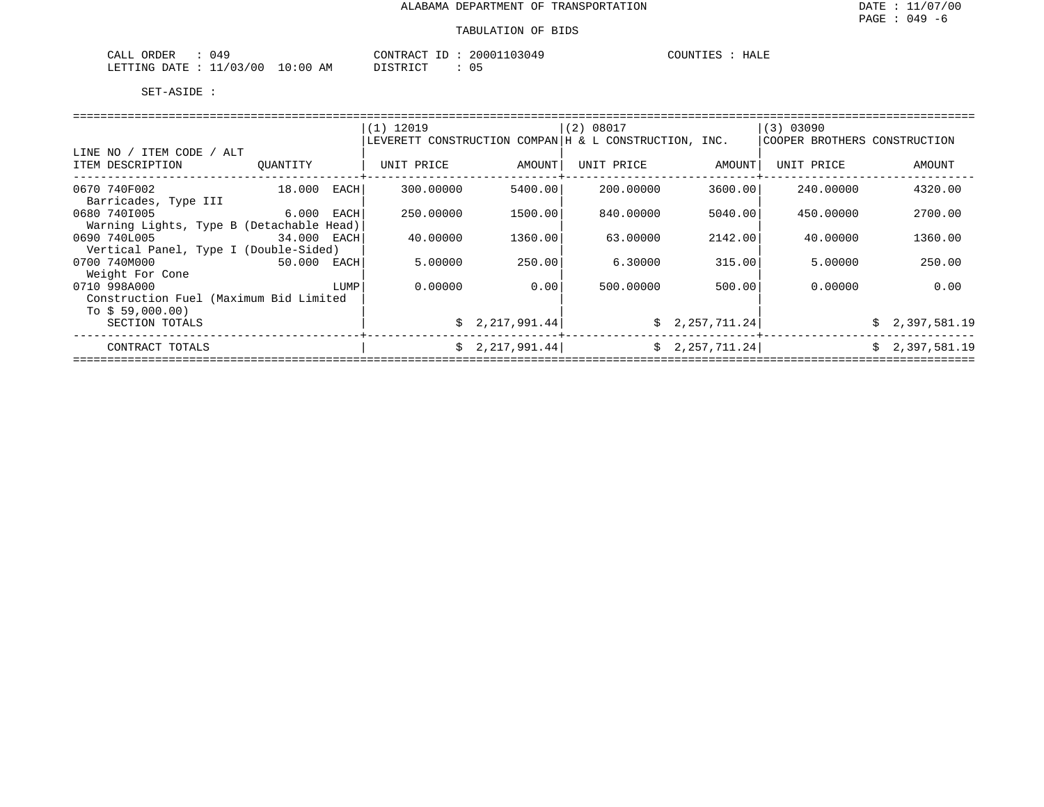| 049<br>ORDER<br>CALL                 | 20001103049<br>CONTRACT<br>- TD | COUNTIES<br>HALE |
|--------------------------------------|---------------------------------|------------------|
| 1/03/00<br>10:00<br>LETTING<br>DATE. | ידי קידף דרי<br>AΜ<br>◡ ◡       |                  |

|                                          |              |      | $(1)$ 12019 |                 | (2) 08017                                               |                 | (3) 03090                    |                |
|------------------------------------------|--------------|------|-------------|-----------------|---------------------------------------------------------|-----------------|------------------------------|----------------|
|                                          |              |      |             |                 | LEVERETT CONSTRUCTION COMPAN   H & L CONSTRUCTION, INC. |                 | COOPER BROTHERS CONSTRUCTION |                |
| LINE NO / ITEM CODE / ALT                |              |      |             |                 |                                                         |                 |                              |                |
| ITEM DESCRIPTION                         | OUANTITY     |      | UNIT PRICE  | AMOUNT          | UNIT PRICE                                              | AMOUNT          | UNIT PRICE                   | AMOUNT         |
|                                          |              |      |             |                 |                                                         |                 |                              |                |
| 0670 740F002                             | 18.000       | EACH | 300,00000   | 5400.00         | 200,00000                                               | 3600.00         | 240.00000                    | 4320.00        |
| Barricades, Type III                     |              |      |             |                 |                                                         |                 |                              |                |
| 0680 7401005                             | $6.000$ EACH |      | 250.00000   | 1500.00         | 840,00000                                               | 5040.00         | 450.00000                    | 2700.00        |
| Warning Lights, Type B (Detachable Head) |              |      |             |                 |                                                         |                 |                              |                |
| 0690 740L005                             | 34.000 EACH  |      | 40.00000    | 1360.00         | 63,00000                                                | 2142.00         | 40.00000                     | 1360.00        |
| Vertical Panel, Type I (Double-Sided)    |              |      |             |                 |                                                         |                 |                              |                |
| 0700 740M000                             | 50.000 EACH  |      | 5.00000     | 250.00          | 6.30000                                                 | 315.00          | 5.00000                      | 250.00         |
| Weight For Cone                          |              |      |             |                 |                                                         |                 |                              |                |
| 0710 998A000                             |              | LUMP | 0.00000     | 0.00            | 500.00000                                               | 500.00          | 0.00000                      | 0.00           |
| Construction Fuel (Maximum Bid Limited   |              |      |             |                 |                                                         |                 |                              |                |
| To $$59,000.00)$                         |              |      |             |                 |                                                         |                 |                              |                |
| SECTION TOTALS                           |              |      |             | \$2,217,991.44] |                                                         | \$2,257,711.24] |                              | \$2,397,581.19 |
| CONTRACT TOTALS                          |              |      |             | \$2,217,991.44] |                                                         | \$2,257,711.24] |                              | \$2,397,581.19 |
|                                          |              |      |             |                 |                                                         |                 |                              |                |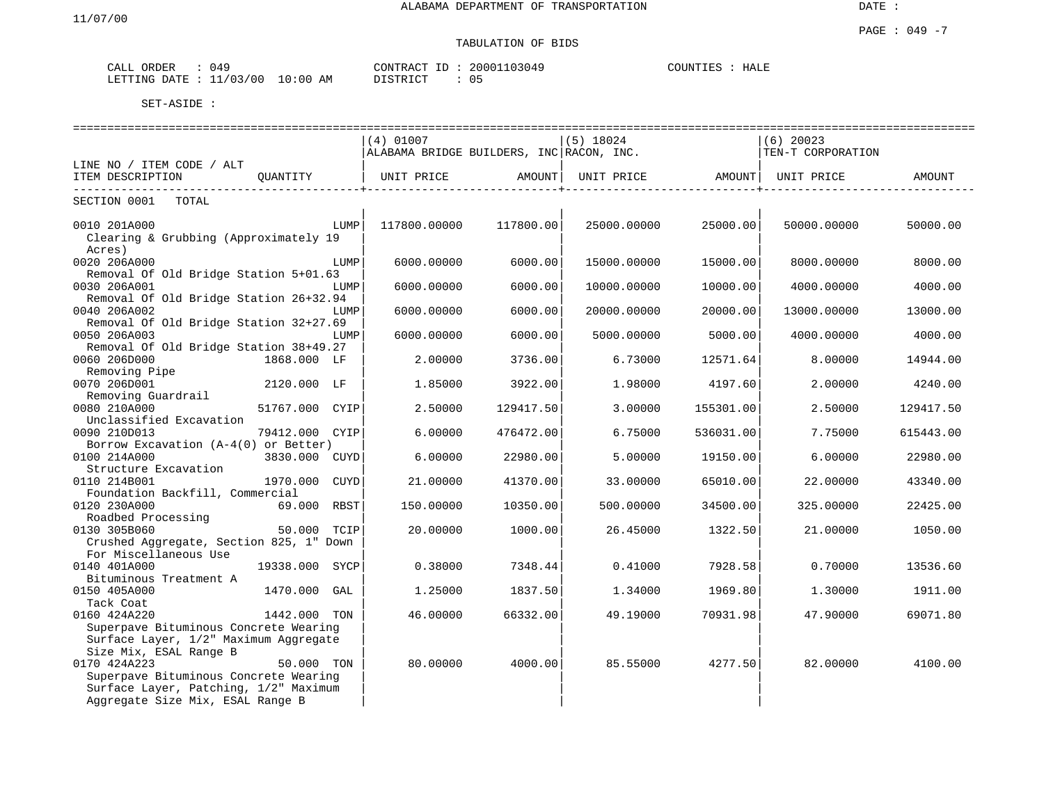# TABULATION OF BIDS

| ORDER<br>CALL | 049               |          | CONTRACT ID     | 20001103049       | COUNTIES | HALE |  |
|---------------|-------------------|----------|-----------------|-------------------|----------|------|--|
| LETTING DATE  | : 11/03/00<br>+ + | 10:00 AM | חימים לחיים דרי | $\sim$ $-$<br>כ ט |          |      |  |

|                                         |                |      | $(4)$ 01007                              |           | $(5)$ 18024 |           | $(6)$ 20023                    |           |
|-----------------------------------------|----------------|------|------------------------------------------|-----------|-------------|-----------|--------------------------------|-----------|
|                                         |                |      | ALABAMA BRIDGE BUILDERS, INC RACON, INC. |           |             |           | TEN-T CORPORATION              |           |
| LINE NO / ITEM CODE / ALT               |                |      |                                          |           |             |           |                                |           |
| ITEM DESCRIPTION                        | QUANTITY       |      | UNIT PRICE AMOUNT                        |           |             |           | UNIT PRICE AMOUNT   UNIT PRICE | AMOUNT    |
| SECTION 0001 TOTAL                      |                |      |                                          |           |             |           |                                |           |
| 0010 201A000                            |                | LUMP | 117800.00000                             | 117800.00 | 25000.00000 | 25000.00  | 50000.00000                    | 50000.00  |
| Clearing & Grubbing (Approximately 19   |                |      |                                          |           |             |           |                                |           |
| Acres)                                  |                |      |                                          |           |             |           |                                |           |
| 0020 206A000                            |                | LUMP | 6000.00000                               | 6000.00   | 15000.00000 | 15000.00  | 8000.00000                     | 8000.00   |
| Removal Of Old Bridge Station 5+01.63   |                |      |                                          |           |             |           |                                |           |
| 0030 206A001                            |                | LUMP | 6000.00000                               | 6000.00   | 10000.00000 | 10000.00  | 4000.00000                     | 4000.00   |
| Removal Of Old Bridge Station 26+32.94  |                |      |                                          |           |             |           |                                |           |
| 0040 206A002                            |                | LUMP | 6000.00000                               | 6000.00   | 20000.00000 | 20000.00  | 13000.00000                    | 13000.00  |
| Removal Of Old Bridge Station 32+27.69  |                |      |                                          |           |             |           |                                |           |
| 0050 206A003                            |                | LUMP | 6000.00000                               | 6000.00   | 5000.00000  | 5000.00   | 4000.00000                     | 4000.00   |
| Removal Of Old Bridge Station 38+49.27  |                |      |                                          |           |             |           |                                |           |
| 0060 206D000                            | 1868.000 LF    |      | 2,00000                                  | 3736.00   | 6.73000     | 12571.64  | 8.00000                        | 14944.00  |
| Removing Pipe<br>0070 206D001           |                |      |                                          |           |             |           |                                |           |
|                                         | 2120.000 LF    |      | 1.85000                                  | 3922.00   | 1.98000     | 4197.60   | 2.00000                        | 4240.00   |
| Removing Guardrail<br>0080 210A000      | 51767.000 CYIP |      | 2.50000                                  | 129417.50 | 3.00000     | 155301.00 | 2.50000                        | 129417.50 |
| Unclassified Excavation                 |                |      |                                          |           |             |           |                                |           |
| 0090 210D013                            | 79412.000 CYIP |      | 6.00000                                  | 476472.00 | 6.75000     | 536031.00 | 7.75000                        | 615443.00 |
| Borrow Excavation $(A-4(0))$ or Better) |                |      |                                          |           |             |           |                                |           |
| 0100 214A000                            | 3830.000 CUYD  |      | 6.00000                                  | 22980.00  | 5.00000     | 19150.00  | 6.00000                        | 22980.00  |
| Structure Excavation                    |                |      |                                          |           |             |           |                                |           |
| 0110 214B001                            | 1970.000 CUYD  |      | 21,00000                                 | 41370.00  | 33.00000    | 65010.00  | 22.00000                       | 43340.00  |
| Foundation Backfill, Commercial         |                |      |                                          |           |             |           |                                |           |
| 0120 230A000                            | 69.000 RBST    |      | 150.00000                                | 10350.00  | 500.00000   | 34500.00  | 325.00000                      | 22425.00  |
| Roadbed Processing                      |                |      |                                          |           |             |           |                                |           |
| 0130 305B060                            | 50.000 TCIP    |      | 20.00000                                 | 1000.00   | 26.45000    | 1322.50   | 21.00000                       | 1050.00   |
| Crushed Aggregate, Section 825, 1" Down |                |      |                                          |           |             |           |                                |           |
| For Miscellaneous Use                   |                |      |                                          |           |             |           |                                |           |
| 0140 401A000                            | 19338.000 SYCP |      | 0.38000                                  | 7348.44   | 0.41000     | 7928.58   | 0.70000                        | 13536.60  |
| Bituminous Treatment A                  |                |      |                                          |           |             |           |                                |           |
| 0150 405A000                            | 1470.000 GAL   |      | 1.25000                                  | 1837.50   | 1.34000     | 1969.80   | 1,30000                        | 1911.00   |
| Tack Coat                               |                |      |                                          |           |             |           |                                |           |
| 0160 424A220                            | 1442.000 TON   |      | 46.00000                                 | 66332.00  | 49.19000    | 70931.98  | 47.90000                       | 69071.80  |
| Superpave Bituminous Concrete Wearing   |                |      |                                          |           |             |           |                                |           |
| Surface Layer, 1/2" Maximum Aggregate   |                |      |                                          |           |             |           |                                |           |
| Size Mix, ESAL Range B                  |                |      |                                          |           |             |           |                                |           |
| 0170 424A223                            | 50.000 TON     |      | 80.00000                                 | 4000.00   | 85.55000    | 4277.50   | 82.00000                       | 4100.00   |
| Superpave Bituminous Concrete Wearing   |                |      |                                          |           |             |           |                                |           |
| Surface Layer, Patching, 1/2" Maximum   |                |      |                                          |           |             |           |                                |           |
| Aggregate Size Mix, ESAL Range B        |                |      |                                          |           |             |           |                                |           |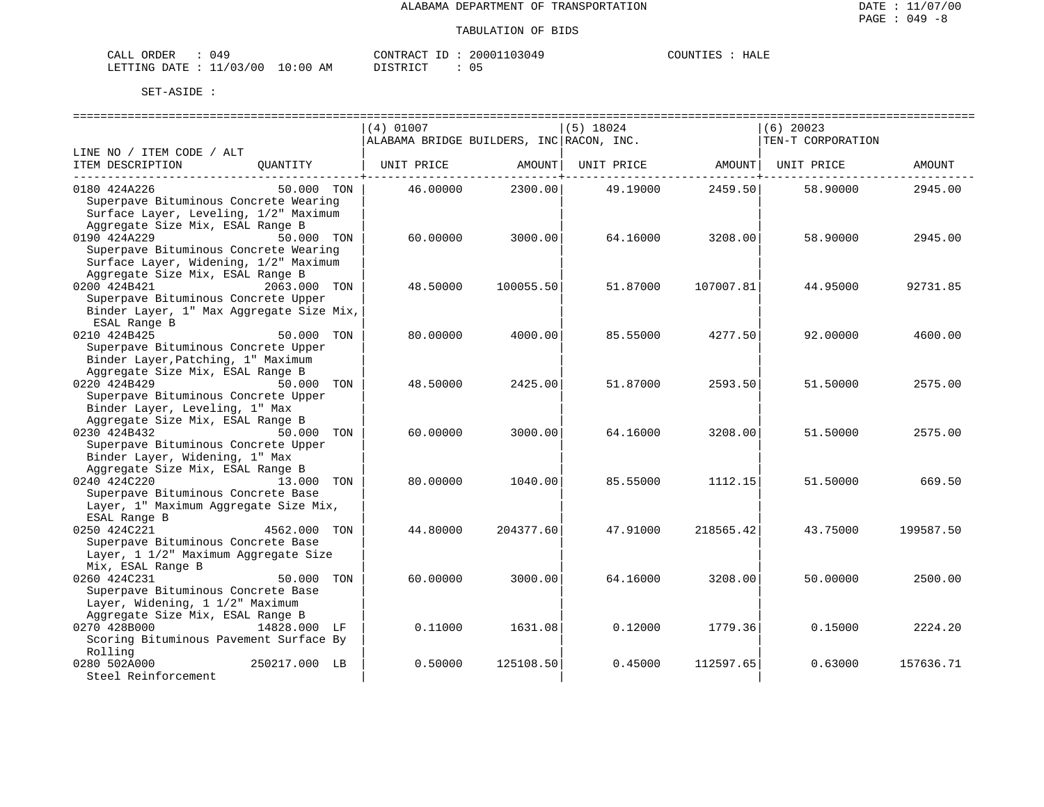| ORDER<br>CALL             | 049 |            | CONTRACT<br>ID :     | 20001103049 | COUNTIES | HALE |
|---------------------------|-----|------------|----------------------|-------------|----------|------|
| LETTING DATE : $11/03/00$ |     | $10:00$ AM | DISTRICT<br>ມ⊥ມ⊥ນ⊥ພ⊥ | 05          |          |      |

|                                                                                                                                         |               | $(4)$ 01007     |           | $(5)$ 18024                              |                                   | $(6)$ 20023       |           |
|-----------------------------------------------------------------------------------------------------------------------------------------|---------------|-----------------|-----------|------------------------------------------|-----------------------------------|-------------------|-----------|
|                                                                                                                                         |               |                 |           | ALABAMA BRIDGE BUILDERS, INC RACON, INC. |                                   | TEN-T CORPORATION |           |
| LINE NO / ITEM CODE / ALT                                                                                                               |               |                 |           |                                          |                                   |                   |           |
| ITEM DESCRIPTION                                                                                                                        | OUANTITY      | UNIT PRICE      | AMOUNT    |                                          | UNIT PRICE AMOUNT<br>----------+- | UNIT PRICE        | AMOUNT    |
| 0180 424A226<br>Superpave Bituminous Concrete Wearing<br>Surface Layer, Leveling, 1/2" Maximum<br>Aggregate Size Mix, ESAL Range B      | 50.000 TON    | 46.00000        | 2300.00   | 49.19000                                 | 2459.50                           | 58.90000          | 2945.00   |
| 0190 424A229<br>Superpave Bituminous Concrete Wearing<br>Surface Layer, Widening, 1/2" Maximum<br>Aggregate Size Mix, ESAL Range B      | 50.000 TON    | 60.00000        | 3000.00   | 64.16000                                 | 3208.00                           | 58.90000          | 2945.00   |
| 0200 424B421<br>Superpave Bituminous Concrete Upper<br>Binder Layer, 1" Max Aggregate Size Mix,<br>ESAL Range B                         | 2063.000 TON  | 48.50000        | 100055.50 | 51.87000                                 | 107007.81                         | 44.95000          | 92731.85  |
| 0210 424B425<br>Superpave Bituminous Concrete Upper<br>Binder Layer, Patching, 1" Maximum<br>Aggregate Size Mix, ESAL Range B           | 50.000 TON    | 80.00000        | 4000.00   | 85.55000                                 | 4277.50                           | 92.00000          | 4600.00   |
| 0220 424B429<br>Superpave Bituminous Concrete Upper<br>Binder Layer, Leveling, 1" Max<br>Aggregate Size Mix, ESAL Range B               | 50.000 TON    | 48.50000        | 2425.00   | 51.87000                                 | 2593.50                           | 51.50000          | 2575.00   |
| 0230 424B432<br>50.000 TON<br>Superpave Bituminous Concrete Upper<br>Binder Layer, Widening, 1" Max<br>Aggregate Size Mix, ESAL Range B |               | 60.00000        | 3000.00   | 64.16000                                 | 3208.00                           | 51.50000          | 2575.00   |
| 0240 424C220<br>Superpave Bituminous Concrete Base<br>Layer, 1" Maximum Aggregate Size Mix,<br>ESAL Range B                             | 13.000 TON    | 80.00000        | 1040.00   | 85.55000                                 | 1112.15                           | 51.50000          | 669.50    |
| 0250 424C221<br>Superpave Bituminous Concrete Base<br>Layer, 1 1/2" Maximum Aggregate Size<br>Mix, ESAL Range B                         | 4562.000 TON  | 44.80000        | 204377.60 | 47.91000                                 | 218565.42                         | 43.75000          | 199587.50 |
| 0260 424C231<br>Superpave Bituminous Concrete Base<br>Layer, Widening, 1 1/2" Maximum<br>Aggregate Size Mix, ESAL Range B               | 50.000        | TON<br>60.00000 | 3000.00   | 64.16000                                 | 3208.00                           | 50.00000          | 2500.00   |
| 0270 428B000<br>Scoring Bituminous Pavement Surface By<br>Rolling                                                                       | 14828.000 LF  | 0.11000         | 1631.08   | 0.12000                                  | 1779.36                           | 0.15000           | 2224.20   |
| 0280 502A000<br>Steel Reinforcement                                                                                                     | 250217.000 LB | 0.50000         | 125108.50 | 0.45000                                  | 112597.65                         | 0.63000           | 157636.71 |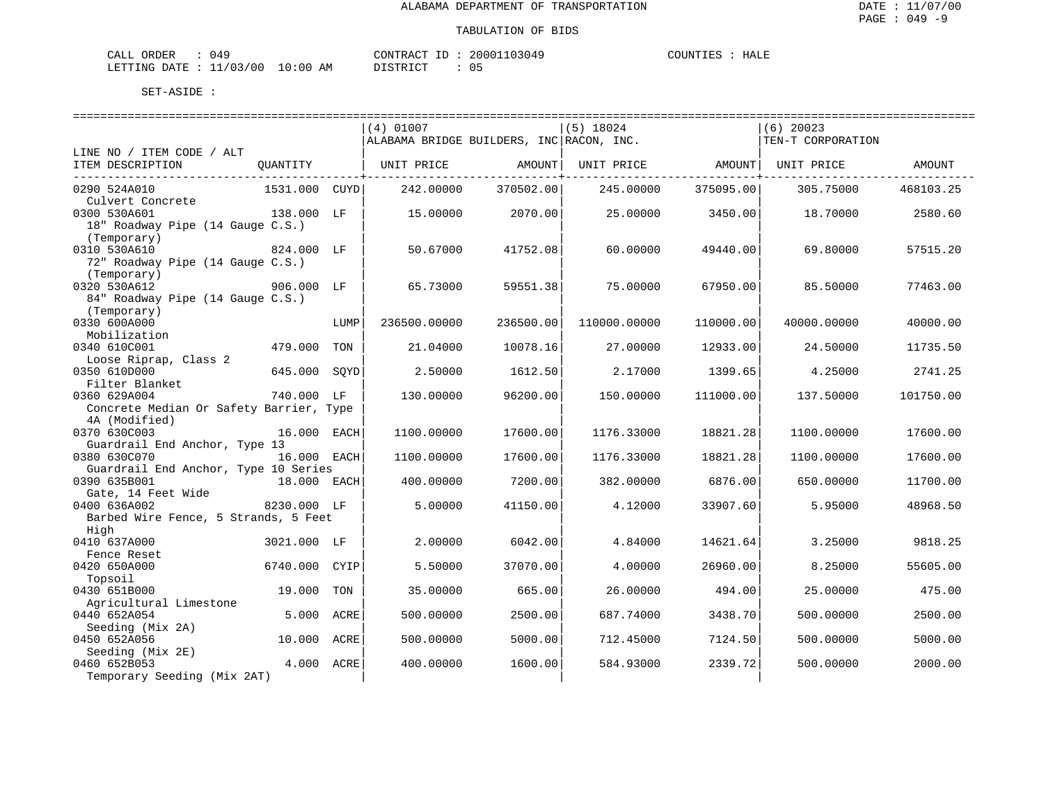| ) 4 C<br>ORDER<br>CALL        |             | CONTRACT<br>ΙD | 20001103049 | HALE<br><b>POUNTIES</b> |
|-------------------------------|-------------|----------------|-------------|-------------------------|
| ./03/00<br>LETTING DATE<br>-- | 10:00<br>ΆM | ידי קידף דר    | U 5         |                         |

|                                                      |               |            | (4) 01007                                |           | $(5)$ 18024  |           | $(6)$ 20023       |           |
|------------------------------------------------------|---------------|------------|------------------------------------------|-----------|--------------|-----------|-------------------|-----------|
|                                                      |               |            | ALABAMA BRIDGE BUILDERS, INC RACON, INC. |           |              |           | TEN-T CORPORATION |           |
| LINE NO / ITEM CODE / ALT                            |               |            |                                          |           |              |           |                   |           |
| ITEM DESCRIPTION                                     | OUANTITY      |            | UNIT PRICE                               | AMOUNT    | UNIT PRICE   | AMOUNT    | UNIT PRICE        | AMOUNT    |
| 0290 524A010                                         | 1531.000 CUYD |            | 242.00000                                | 370502.00 | 245.00000    | 375095.00 | 305.75000         | 468103.25 |
| Culvert Concrete                                     |               |            |                                          |           |              |           |                   |           |
| 0300 530A601                                         | 138.000 LF    |            | 15.00000                                 | 2070.00   | 25.00000     | 3450.00   | 18.70000          | 2580.60   |
| 18" Roadway Pipe (14 Gauge C.S.)                     |               |            |                                          |           |              |           |                   |           |
| (Temporary)                                          |               |            |                                          |           |              |           |                   |           |
| 0310 530A610                                         | 824.000 LF    |            | 50.67000                                 | 41752.08  | 60.00000     | 49440.00  | 69.80000          | 57515.20  |
| 72" Roadway Pipe (14 Gauge C.S.)                     |               |            |                                          |           |              |           |                   |           |
| (Temporary)                                          |               |            |                                          |           |              |           |                   |           |
| 0320 530A612                                         | 906.000 LF    |            | 65.73000                                 | 59551.38  | 75.00000     | 67950.00  | 85.50000          | 77463.00  |
| 84" Roadway Pipe (14 Gauge C.S.)                     |               |            |                                          |           |              |           |                   |           |
| (Temporary)<br>0330 600A000                          |               |            |                                          | 236500.00 |              | 110000.00 |                   |           |
| Mobilization                                         |               | LUMP       | 236500.00000                             |           | 110000.00000 |           | 40000.00000       | 40000.00  |
| 0340 610C001                                         | 479.000       | TON        | 21.04000                                 | 10078.16  | 27.00000     | 12933.00  | 24.50000          | 11735.50  |
| Loose Riprap, Class 2                                |               |            |                                          |           |              |           |                   |           |
| 0350 610D000                                         | 645.000       | SOYD       | 2.50000                                  | 1612.50   | 2.17000      | 1399.65   | 4.25000           | 2741.25   |
| Filter Blanket                                       |               |            |                                          |           |              |           |                   |           |
| 0360 629A004                                         | 740.000 LF    |            | 130.00000                                | 96200.00  | 150.00000    | 111000.00 | 137.50000         | 101750.00 |
| Concrete Median Or Safety Barrier, Type              |               |            |                                          |           |              |           |                   |           |
| 4A (Modified)                                        |               |            |                                          |           |              |           |                   |           |
| 0370 630C003                                         | 16.000 EACH   |            | 1100.00000                               | 17600.00  | 1176.33000   | 18821.28  | 1100.00000        | 17600.00  |
| Guardrail End Anchor, Type 13                        |               |            |                                          |           |              |           |                   |           |
| 0380 630C070                                         | 16.000 EACH   |            | 1100.00000                               | 17600.00  | 1176.33000   | 18821.28  | 1100.00000        | 17600.00  |
| Guardrail End Anchor, Type 10 Series<br>0390 635B001 | 18.000 EACH   |            | 400.00000                                | 7200.00   | 382.00000    | 6876.00   | 650.00000         | 11700.00  |
| Gate, 14 Feet Wide                                   |               |            |                                          |           |              |           |                   |           |
| 0400 636A002                                         | 8230.000 LF   |            | 5.00000                                  | 41150.00  | 4.12000      | 33907.60  | 5.95000           | 48968.50  |
| Barbed Wire Fence, 5 Strands, 5 Feet                 |               |            |                                          |           |              |           |                   |           |
| High                                                 |               |            |                                          |           |              |           |                   |           |
| 0410 637A000                                         | 3021.000 LF   |            | 2.00000                                  | 6042.00   | 4.84000      | 14621.64  | 3.25000           | 9818.25   |
| Fence Reset                                          |               |            |                                          |           |              |           |                   |           |
| 0420 650A000                                         | 6740.000      | CYIP       | 5.50000                                  | 37070.00  | 4.00000      | 26960.00  | 8.25000           | 55605.00  |
| Topsoil                                              |               |            |                                          |           |              |           |                   |           |
| 0430 651B000                                         | 19.000        | TON        | 35.00000                                 | 665.00    | 26.00000     | 494.00    | 25.00000          | 475.00    |
| Agricultural Limestone                               |               |            |                                          |           |              |           |                   |           |
| 0440 652A054                                         | 5.000         | ACRE       | 500.00000                                | 2500.00   | 687.74000    | 3438.70   | 500.00000         | 2500.00   |
| Seeding (Mix 2A)<br>0450 652A056                     | 10.000 ACRE   |            | 500.00000                                | 5000.00   | 712.45000    | 7124.50   | 500.00000         | 5000.00   |
| Seeding (Mix 2E)                                     |               |            |                                          |           |              |           |                   |           |
| 0460 652B053                                         |               | 4.000 ACRE | 400.00000                                | 1600.00   | 584.93000    | 2339.72   | 500.00000         | 2000.00   |
| Temporary Seeding (Mix 2AT)                          |               |            |                                          |           |              |           |                   |           |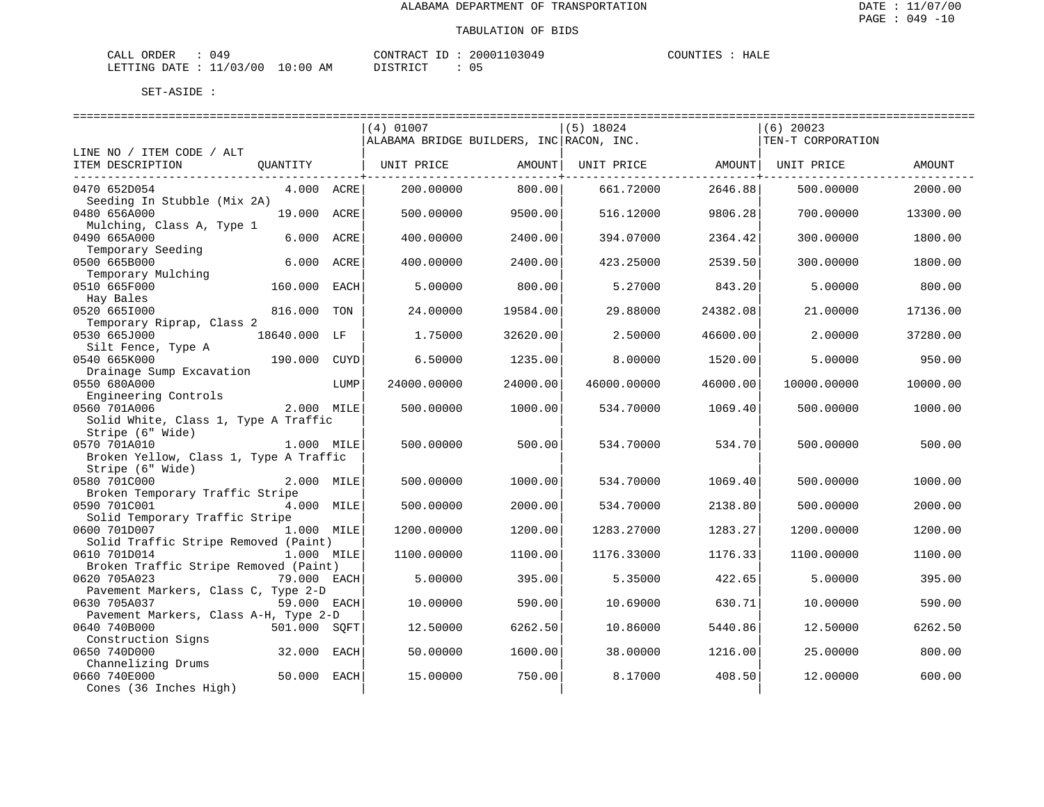HALE

| CALL ORDER                       | 049 |          |  | CONTRACT ID: 20001103049 | COUNTIES : HALE |  |  |
|----------------------------------|-----|----------|--|--------------------------|-----------------|--|--|
| LETTING DATE : 11/03/00 10:00 AM |     | DISTRICT |  |                          |                 |  |  |

|                                                          |              |      | $(4)$ 01007<br>ALABAMA BRIDGE BUILDERS, INC RACON, INC. |          | $(5)$ 18024 |          | $(6)$ 20023<br>TEN-T CORPORATION |          |
|----------------------------------------------------------|--------------|------|---------------------------------------------------------|----------|-------------|----------|----------------------------------|----------|
| LINE NO / ITEM CODE / ALT                                |              |      |                                                         |          |             |          |                                  |          |
| ITEM DESCRIPTION<br>_____________________________        | OUANTITY     |      | UNIT PRICE                                              | AMOUNT   | UNIT PRICE  | AMOUNT   | UNIT PRICE                       | AMOUNT   |
| 0470 652D054<br>Seeding In Stubble (Mix 2A)              | 4.000 ACRE   |      | 200.00000                                               | 800.00   | 661.72000   | 2646.88  | 500.00000                        | 2000.00  |
| 0480 656A000                                             | 19.000       | ACRE | 500.00000                                               | 9500.00  | 516.12000   | 9806.28  | 700.00000                        | 13300.00 |
| Mulching, Class A, Type 1<br>0490 665A000                | 6.000        | ACRE | 400.00000                                               | 2400.00  | 394.07000   | 2364.42  | 300.00000                        | 1800.00  |
| Temporary Seeding<br>0500 665B000                        | 6.000        | ACRE | 400.00000                                               | 2400.00  | 423.25000   | 2539.50  | 300.00000                        | 1800.00  |
| Temporary Mulching<br>0510 665F000                       | 160.000      | EACH | 5.00000                                                 | 800.00   | 5.27000     | 843.20   | 5.00000                          | 800.00   |
| Hay Bales<br>0520 6651000                                | 816.000      | TON  | 24.00000                                                | 19584.00 | 29.88000    | 24382.08 | 21.00000                         | 17136.00 |
| Temporary Riprap, Class 2<br>0530 665J000                | 18640.000 LF |      | 1.75000                                                 | 32620.00 | 2.50000     | 46600.00 | 2.00000                          | 37280.00 |
| Silt Fence, Type A<br>0540 665K000                       | 190.000      | CUYD | 6.50000                                                 | 1235.00  | 8.00000     | 1520.00  | 5.00000                          | 950.00   |
| Drainage Sump Excavation<br>0550 680A000                 |              | LUMP | 24000.00000                                             | 24000.00 | 46000.00000 | 46000.00 | 10000.00000                      | 10000.00 |
| Engineering Controls<br>0560 701A006                     | 2.000 MILE   |      | 500.00000                                               | 1000.00  | 534.70000   | 1069.40  | 500.00000                        | 1000.00  |
| Solid White, Class 1, Type A Traffic<br>Stripe (6" Wide) |              |      |                                                         |          |             |          |                                  |          |
| 0570 701A010<br>Broken Yellow, Class 1, Type A Traffic   | 1.000 MILE   |      | 500.00000                                               | 500.00   | 534.70000   | 534.70   | 500.00000                        | 500.00   |
| Stripe (6" Wide)                                         |              |      |                                                         |          |             |          |                                  |          |
| 0580 701C000                                             | 2.000 MILE   |      | 500.00000                                               | 1000.00  | 534.70000   | 1069.40  | 500.00000                        | 1000.00  |
| Broken Temporary Traffic Stripe<br>0590 701C001          | 4.000 MILE   |      | 500.00000                                               | 2000.00  | 534.70000   | 2138.80  | 500.00000                        | 2000.00  |
| Solid Temporary Traffic Stripe                           |              |      |                                                         |          |             |          |                                  |          |
| 0600 701D007<br>Solid Traffic Stripe Removed (Paint)     | 1.000 MILE   |      | 1200.00000                                              | 1200.00  | 1283.27000  | 1283.27  | 1200.00000                       | 1200.00  |
| 0610 701D014<br>Broken Traffic Stripe Removed (Paint)    | 1.000 MILE   |      | 1100.00000                                              | 1100.00  | 1176.33000  | 1176.33  | 1100.00000                       | 1100.00  |
| 0620 705A023                                             | 79.000 EACH  |      | 5.00000                                                 | 395.00   | 5.35000     | 422.65   | 5.00000                          | 395.00   |
| Pavement Markers, Class C, Type 2-D<br>0630 705A037      | 59.000 EACH  |      | 10.00000                                                | 590.00   | 10.69000    | 630.71   | 10.00000                         | 590.00   |
| Pavement Markers, Class A-H, Type 2-D                    |              |      |                                                         |          |             |          |                                  |          |
| 0640 740B000                                             | 501.000 SOFT |      | 12.50000                                                | 6262.50  | 10.86000    | 5440.86  | 12.50000                         | 6262.50  |
| Construction Signs<br>0650 740D000                       | 32.000       | EACH | 50.00000                                                | 1600.00  | 38.00000    | 1216.00  | 25.00000                         | 800.00   |
| Channelizing Drums                                       |              |      |                                                         |          |             |          |                                  |          |
| 0660 740E000                                             | 50.000       | EACH | 15.00000                                                | 750.00   | 8.17000     | 408.50   | 12,00000                         | 600.00   |
| Cones (36 Inches High)                                   |              |      |                                                         |          |             |          |                                  |          |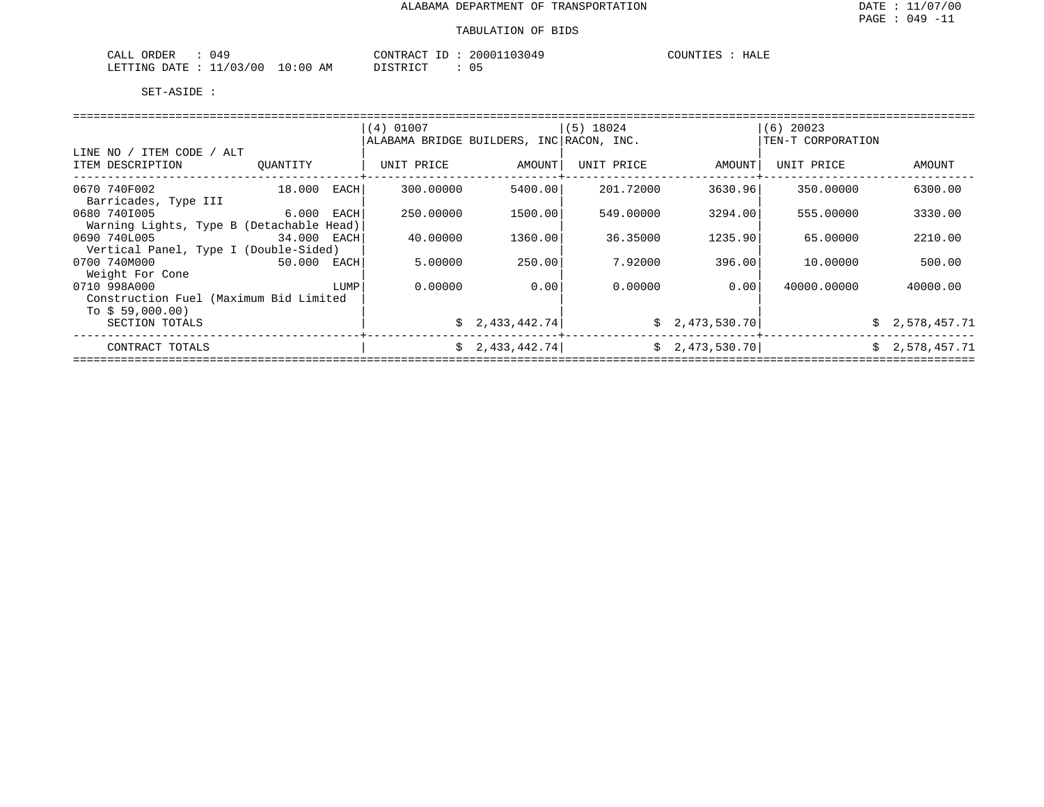| 049<br>ORDER<br>CALL                    | 20001103049<br>CONTRACT ID | HALE<br>COUNTIES |
|-----------------------------------------|----------------------------|------------------|
| 10:00<br>11/03/00<br>LETTING DATE<br>ΑM | DISTRICT<br>ັບມ            |                  |

|                                          |             |       | $(4)$ 01007                              |                 | (5) 18024  |                 | $(6)$ 20023       |                |  |
|------------------------------------------|-------------|-------|------------------------------------------|-----------------|------------|-----------------|-------------------|----------------|--|
|                                          |             |       | ALABAMA BRIDGE BUILDERS, INC RACON, INC. |                 |            |                 | TEN-T CORPORATION |                |  |
| LINE NO / ITEM CODE / ALT                |             |       |                                          |                 |            |                 |                   |                |  |
| ITEM DESCRIPTION                         | OUANTITY    |       | UNIT PRICE                               | AMOUNT          | UNIT PRICE | AMOUNT          | UNIT PRICE        | AMOUNT         |  |
|                                          |             |       |                                          |                 |            |                 |                   |                |  |
| 0670 740F002                             | 18.000      | EACHI | 300.00000                                | 5400.00         | 201.72000  | 3630.96         | 350.00000         | 6300.00        |  |
| Barricades, Type III                     |             |       |                                          |                 |            |                 |                   |                |  |
| 0680 7401005<br>$6.000$ EACH             |             |       | 250.00000                                | 1500.00         | 549.00000  | 3294.00         | 555.00000         | 3330.00        |  |
| Warning Lights, Type B (Detachable Head) |             |       |                                          |                 |            |                 |                   |                |  |
| 0690 740L005                             | 34.000 EACH |       | 40.00000                                 | 1360.00         | 36.35000   | 1235.90         | 65.00000          | 2210.00        |  |
| Vertical Panel, Type I (Double-Sided)    |             |       |                                          |                 |            |                 |                   |                |  |
| 0700 740M000                             | 50.000 EACH |       | 5.00000                                  | 250.00          | 7.92000    | 396.00          | 10.00000          | 500.00         |  |
| Weight For Cone                          |             |       |                                          |                 |            |                 |                   |                |  |
| 0710 998A000                             |             | LUMP  | 0.00000                                  | 0.001           | 0.00000    | 0.001           | 40000.00000       | 40000.00       |  |
| Construction Fuel (Maximum Bid Limited   |             |       |                                          |                 |            |                 |                   |                |  |
| To $$59,000.00)$                         |             |       |                                          |                 |            |                 |                   |                |  |
| SECTION TOTALS                           |             |       |                                          | \$2,433,442.74] |            | \$2,473,530.70] |                   | \$2,578,457.71 |  |
|                                          |             |       |                                          |                 |            |                 |                   |                |  |
| CONTRACT TOTALS                          |             |       |                                          | \$2,433,442.74] |            | \$2,473,530.70] |                   | \$2,578,457.71 |  |
|                                          |             |       |                                          |                 |            |                 |                   |                |  |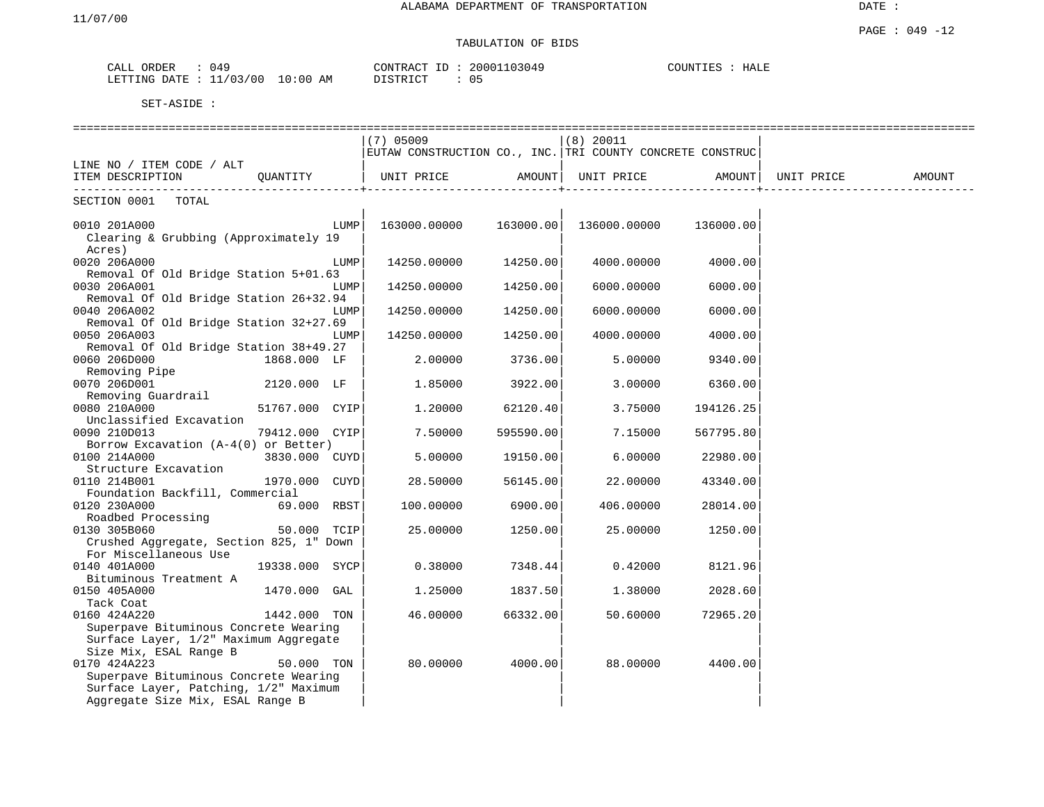## TABULATION OF BIDS

| ORDER<br>CALL | 049        |          | CONTRACT | ID | 20001103049 | HALE<br>COUNTIES |
|---------------|------------|----------|----------|----|-------------|------------------|
| LETTING DATE  | : 11/03/00 | 10:00 AM | DISTRICT |    | 05          |                  |

|                                                  |                |      | $(7)$ 05009                                               |           | $(8)$ 20011       |                   |            |        |
|--------------------------------------------------|----------------|------|-----------------------------------------------------------|-----------|-------------------|-------------------|------------|--------|
|                                                  |                |      | EUTAW CONSTRUCTION CO., INC. TRI COUNTY CONCRETE CONSTRUC |           |                   |                   |            |        |
| LINE NO / ITEM CODE / ALT                        |                |      |                                                           |           |                   |                   |            |        |
| ITEM DESCRIPTION QUANTITY                        |                |      | UNIT PRICE AMOUNT                                         |           | UNIT PRICE AMOUNT |                   | UNIT PRICE | AMOUNT |
| --------------------------<br>SECTION 0001 TOTAL |                |      |                                                           |           |                   | _________________ |            |        |
|                                                  |                |      |                                                           |           |                   |                   |            |        |
| 0010 201A000                                     |                | LUMP | 163000.00000 163000.00                                    |           | 136000.00000      | 136000.00         |            |        |
| Clearing & Grubbing (Approximately 19            |                |      |                                                           |           |                   |                   |            |        |
| Acres)                                           |                |      |                                                           |           |                   |                   |            |        |
| 0020 206A000                                     |                | LUMP | 14250.00000                                               | 14250.00  | 4000.00000        | 4000.00           |            |        |
| Removal Of Old Bridge Station 5+01.63            |                |      |                                                           |           |                   |                   |            |        |
| 0030 206A001                                     |                | LUMP | 14250.00000                                               | 14250.00  | 6000.00000        | 6000.00           |            |        |
| Removal Of Old Bridge Station 26+32.94           |                |      |                                                           |           |                   |                   |            |        |
| 0040 206A002                                     |                | LUMP | 14250.00000                                               | 14250.00  | 6000.00000        | 6000.00           |            |        |
| Removal Of Old Bridge Station 32+27.69           |                |      |                                                           |           |                   |                   |            |        |
| 0050 206A003                                     |                | LUMP | 14250.00000                                               | 14250.00  | 4000.00000        | 4000.00           |            |        |
|                                                  |                |      |                                                           |           |                   |                   |            |        |
| Removal Of Old Bridge Station 38+49.27           |                |      |                                                           |           |                   |                   |            |        |
| 0060 206D000                                     | 1868.000 LF    |      | 2.00000                                                   | 3736.00   | 5.00000           | 9340.00           |            |        |
| Removing Pipe                                    |                |      |                                                           |           |                   |                   |            |        |
| 0070 206D001                                     | 2120.000 LF    |      | 1.85000                                                   | 3922.00   | 3.00000           | 6360.00           |            |        |
| Removing Guardrail                               |                |      |                                                           |           |                   |                   |            |        |
| 0080 210A000                                     | 51767.000 CYIP |      | 1,20000                                                   | 62120.40  | 3.75000           | 194126.25         |            |        |
| Unclassified Excavation                          |                |      |                                                           |           |                   |                   |            |        |
| 0090 210D013                                     | 79412.000 CYIP |      | 7.50000                                                   | 595590.00 | 7.15000           | 567795.80         |            |        |
| Borrow Excavation (A-4(0) or Better)             |                |      |                                                           |           |                   |                   |            |        |
| 0100 214A000                                     | 3830.000 CUYD  |      | 5.00000                                                   | 19150.00  | 6.00000           | 22980.00          |            |        |
| Structure Excavation                             |                |      |                                                           |           |                   |                   |            |        |
| 0110 214B001                                     | 1970.000 CUYD  |      | 28.50000                                                  | 56145.00  | 22.00000          | 43340.00          |            |        |
| Foundation Backfill, Commercial                  |                |      |                                                           |           |                   |                   |            |        |
| 0120 230A000                                     | 69.000 RBST    |      | 100.00000                                                 | 6900.00   | 406.00000         | 28014.00          |            |        |
| Roadbed Processing                               |                |      |                                                           |           |                   |                   |            |        |
| 0130 305B060                                     | 50.000 TCIP    |      | 25.00000                                                  | 1250.00   | 25.00000          | 1250.00           |            |        |
| Crushed Aggregate, Section 825, 1" Down          |                |      |                                                           |           |                   |                   |            |        |
| For Miscellaneous Use                            |                |      |                                                           |           |                   |                   |            |        |
| 0140 401A000                                     | 19338.000 SYCP |      | 0.38000                                                   | 7348.44   | 0.42000           | 8121.96           |            |        |
| Bituminous Treatment A                           |                |      |                                                           |           |                   |                   |            |        |
| 0150 405A000                                     | 1470.000 GAL   |      | 1.25000                                                   | 1837.50   | 1.38000           | 2028.60           |            |        |
| Tack Coat                                        |                |      |                                                           |           |                   |                   |            |        |
| 0160 424A220                                     | 1442.000 TON   |      | 46.00000                                                  | 66332.00  | 50.60000          | 72965.20          |            |        |
| Superpave Bituminous Concrete Wearing            |                |      |                                                           |           |                   |                   |            |        |
| Surface Layer, 1/2" Maximum Aggregate            |                |      |                                                           |           |                   |                   |            |        |
| Size Mix, ESAL Range B                           |                |      |                                                           |           |                   |                   |            |        |
| 0170 424A223                                     | 50.000 TON     |      | 80,00000                                                  | 4000.00   | 88.00000          | 4400.00           |            |        |
| Superpave Bituminous Concrete Wearing            |                |      |                                                           |           |                   |                   |            |        |
| Surface Layer, Patching, 1/2" Maximum            |                |      |                                                           |           |                   |                   |            |        |
| Aggregate Size Mix, ESAL Range B                 |                |      |                                                           |           |                   |                   |            |        |
|                                                  |                |      |                                                           |           |                   |                   |            |        |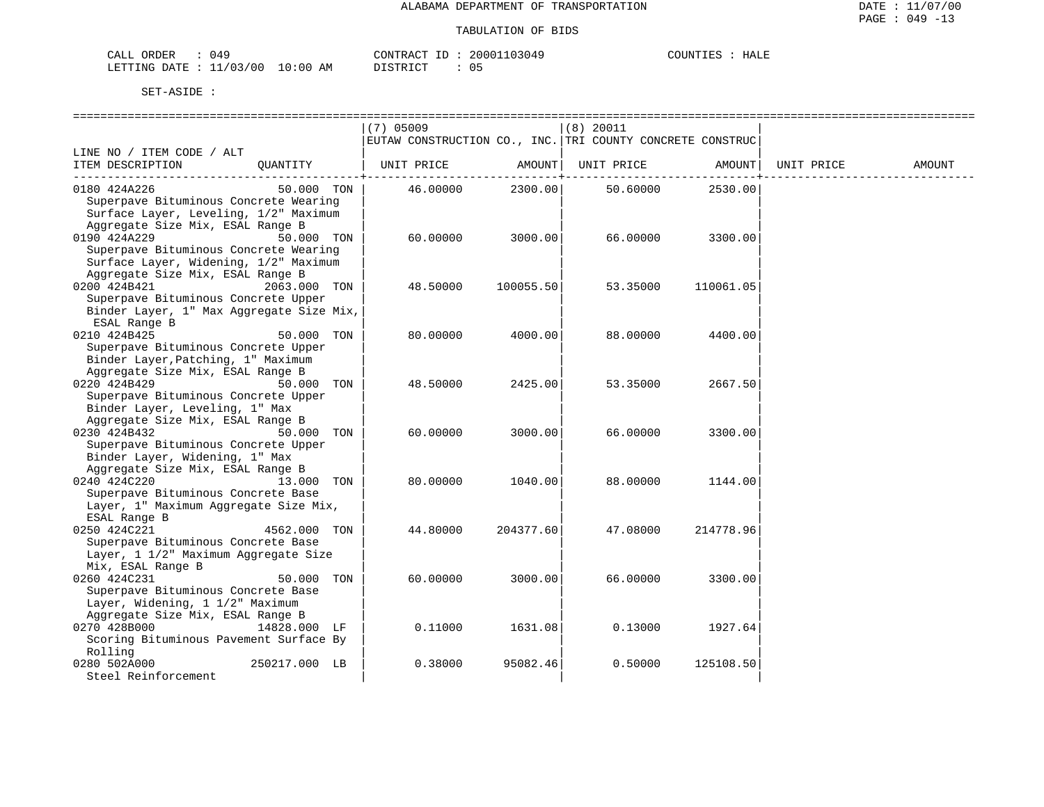| ORDER<br>CALL<br>049               |             | ACT היה א     | 03049<br>200011 | ידותדורי<br>HALE |
|------------------------------------|-------------|---------------|-----------------|------------------|
| /03/00<br>LETTING<br>DATE.<br>____ | 10:00<br>AM | די איד פידי פ | $\cap$<br>υs    |                  |

|                                          | $(7)$ 05009           | (8) 20011                                                 |                      |
|------------------------------------------|-----------------------|-----------------------------------------------------------|----------------------|
|                                          |                       | EUTAW CONSTRUCTION CO., INC. TRI COUNTY CONCRETE CONSTRUC |                      |
| LINE NO / ITEM CODE / ALT                |                       |                                                           |                      |
| ITEM DESCRIPTION<br>OUANTITY             | UNIT PRICE<br>AMOUNT  | UNIT PRICE AMOUNT                                         | UNIT PRICE<br>AMOUNT |
| 50.000 TON<br>0180 424A226               | 2300.00<br>46.00000   | ---------<br>2530.00<br>50.60000                          |                      |
| Superpave Bituminous Concrete Wearing    |                       |                                                           |                      |
| Surface Layer, Leveling, 1/2" Maximum    |                       |                                                           |                      |
| Aggregate Size Mix, ESAL Range B         |                       |                                                           |                      |
| 0190 424A229<br>50.000 TON               | 3000.00<br>60.00000   | 66.00000<br>3300.00                                       |                      |
| Superpave Bituminous Concrete Wearing    |                       |                                                           |                      |
| Surface Layer, Widening, 1/2" Maximum    |                       |                                                           |                      |
| Aggregate Size Mix, ESAL Range B         |                       |                                                           |                      |
| 0200 424B421<br>2063.000 TON             | 48.50000<br>100055.50 | 53.35000<br>110061.05                                     |                      |
| Superpave Bituminous Concrete Upper      |                       |                                                           |                      |
| Binder Layer, 1" Max Aggregate Size Mix, |                       |                                                           |                      |
| ESAL Range B                             |                       |                                                           |                      |
| 0210 424B425<br>50.000 TON               | 80,00000<br>4000.00   | 88.00000<br>4400.00                                       |                      |
| Superpave Bituminous Concrete Upper      |                       |                                                           |                      |
| Binder Layer, Patching, 1" Maximum       |                       |                                                           |                      |
| Aggregate Size Mix, ESAL Range B         |                       |                                                           |                      |
| 0220 424B429<br>50.000 TON               | 48.50000<br>2425.00   | 53.35000<br>2667.50                                       |                      |
| Superpave Bituminous Concrete Upper      |                       |                                                           |                      |
| Binder Layer, Leveling, 1" Max           |                       |                                                           |                      |
| Aggregate Size Mix, ESAL Range B         |                       |                                                           |                      |
| 0230 424B432<br>50.000 TON               | 60.00000<br>3000.00   | 66.00000<br>3300.00                                       |                      |
| Superpave Bituminous Concrete Upper      |                       |                                                           |                      |
| Binder Layer, Widening, 1" Max           |                       |                                                           |                      |
| Aggregate Size Mix, ESAL Range B         |                       |                                                           |                      |
| 0240 424C220<br>13.000 TON               | 80.00000<br>1040.00   | 88.00000<br>1144.00                                       |                      |
| Superpave Bituminous Concrete Base       |                       |                                                           |                      |
| Layer, 1" Maximum Aggregate Size Mix,    |                       |                                                           |                      |
| ESAL Range B                             |                       |                                                           |                      |
| 0250 424C221<br>4562.000 TON             | 44.80000<br>204377.60 | 47.08000<br>214778.96                                     |                      |
| Superpave Bituminous Concrete Base       |                       |                                                           |                      |
| Layer, 1 1/2" Maximum Aggregate Size     |                       |                                                           |                      |
| Mix, ESAL Range B                        |                       |                                                           |                      |
| 0260 424C231<br>50.000<br>TON            | 3000.00<br>60,00000   | 66.00000<br>3300.00                                       |                      |
| Superpave Bituminous Concrete Base       |                       |                                                           |                      |
| Layer, Widening, 1 1/2" Maximum          |                       |                                                           |                      |
| Aggregate Size Mix, ESAL Range B         |                       |                                                           |                      |
| 0270 428B000<br>14828.000 LF             | 0.11000<br>1631.08    | 0.13000<br>1927.64                                        |                      |
| Scoring Bituminous Pavement Surface By   |                       |                                                           |                      |
| Rolling                                  |                       |                                                           |                      |
| 0280 502A000<br>250217.000 LB            | 0.38000<br>95082.46   | 0.50000<br>125108.50                                      |                      |
| Steel Reinforcement                      |                       |                                                           |                      |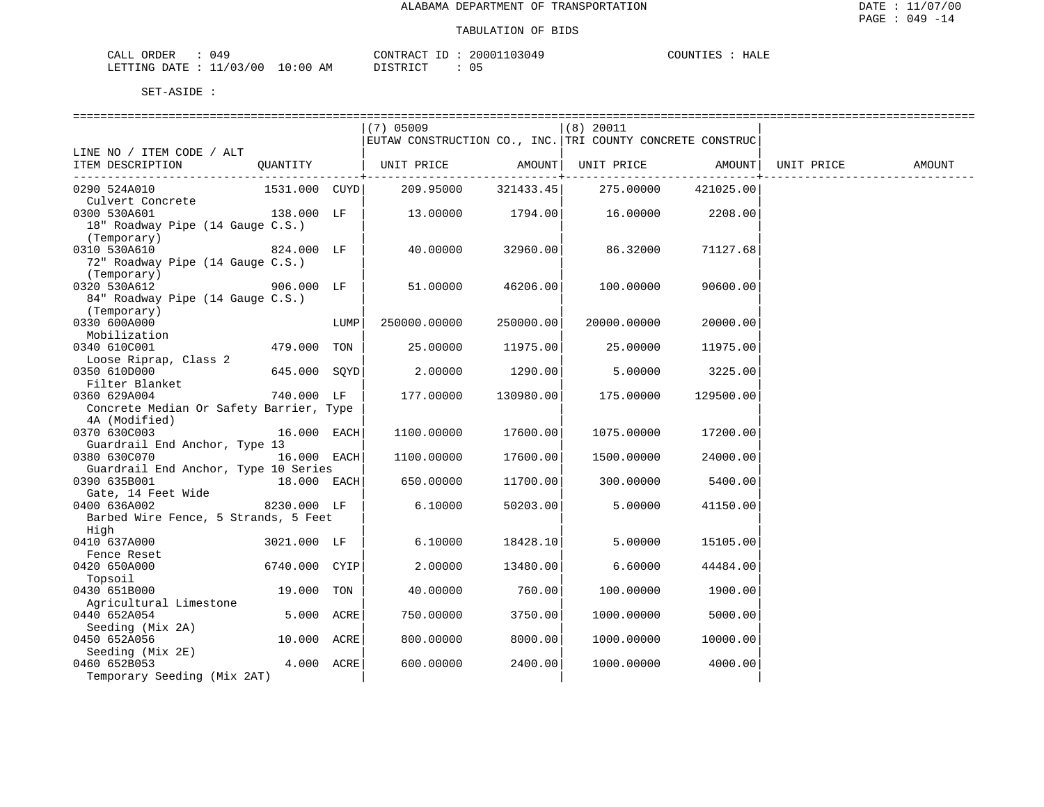| 049<br>ORDER<br>CALL     | CONTRACT ID             | 20001103049 | COUNTIES<br>HALL |
|--------------------------|-------------------------|-------------|------------------|
| 11/03/00<br>LETTING DATE | 10:00<br>DISTRICT<br>ΑM | 0 5         |                  |

|                                         |               |      | ===============================                           |                     |                   |             |            |        |
|-----------------------------------------|---------------|------|-----------------------------------------------------------|---------------------|-------------------|-------------|------------|--------|
|                                         |               |      | (7) 05009                                                 |                     | $(8)$ 20011       |             |            |        |
|                                         |               |      | EUTAW CONSTRUCTION CO., INC. TRI COUNTY CONCRETE CONSTRUC |                     |                   |             |            |        |
| LINE NO / ITEM CODE / ALT               |               |      |                                                           |                     |                   |             |            |        |
| ITEM DESCRIPTION                        | QUANTITY      |      | UNIT PRICE                                                | AMOUNT              | UNIT PRICE AMOUNT |             | UNIT PRICE | AMOUNT |
|                                         |               |      |                                                           | ----------+-------- |                   | ----------+ |            |        |
| 0290 524A010                            | 1531.000 CUYD |      | 209.95000                                                 | 321433.45           | 275.00000         | 421025.00   |            |        |
| Culvert Concrete                        |               |      |                                                           |                     |                   |             |            |        |
| 0300 530A601                            | 138.000 LF    |      | 13.00000                                                  | 1794.00             | 16.00000          | 2208.00     |            |        |
| 18" Roadway Pipe (14 Gauge C.S.)        |               |      |                                                           |                     |                   |             |            |        |
| (Temporary)                             |               |      |                                                           |                     |                   |             |            |        |
| 0310 530A610                            | $824.000$ LF  |      | 40.00000                                                  | 32960.00            | 86.32000          | 71127.68    |            |        |
| 72" Roadway Pipe (14 Gauge C.S.)        |               |      |                                                           |                     |                   |             |            |        |
| (Temporary)                             |               |      |                                                           |                     |                   |             |            |        |
| 0320 530A612                            | 906.000 LF    |      | 51.00000                                                  | 46206.00            | 100.00000         | 90600.00    |            |        |
| 84" Roadway Pipe (14 Gauge C.S.)        |               |      |                                                           |                     |                   |             |            |        |
| (Temporary)                             |               |      |                                                           |                     |                   |             |            |        |
| 0330 600A000                            |               | LUMP | 250000.00000                                              | 250000.00           | 20000.00000       | 20000.00    |            |        |
| Mobilization                            |               |      |                                                           |                     |                   |             |            |        |
| 0340 610C001                            | 479.000 TON   |      | 25.00000                                                  | 11975.00            | 25.00000          | 11975.00    |            |        |
| Loose Riprap, Class 2                   |               |      |                                                           |                     |                   |             |            |        |
| 0350 610D000                            | 645.000 SQYD  |      | 2.00000                                                   | 1290.00             | 5.00000           | 3225.00     |            |        |
| Filter Blanket                          |               |      |                                                           |                     |                   |             |            |        |
| 0360 629A004                            | 740.000 LF    |      | 177.00000                                                 | 130980.00           | 175.00000         | 129500.00   |            |        |
| Concrete Median Or Safety Barrier, Type |               |      |                                                           |                     |                   |             |            |        |
| 4A (Modified)                           |               |      |                                                           |                     |                   |             |            |        |
| 0370 630C003                            | 16.000 EACH   |      | 1100.00000                                                | 17600.00            | 1075.00000        | 17200.00    |            |        |
| Guardrail End Anchor, Type 13           |               |      |                                                           |                     |                   |             |            |        |
| 0380 630C070                            | 16.000 EACH   |      | 1100.00000                                                | 17600.00            | 1500.00000        | 24000.00    |            |        |
| Guardrail End Anchor, Type 10 Series    |               |      |                                                           |                     |                   |             |            |        |
| 0390 635B001                            | 18.000 EACH   |      | 650.00000                                                 | 11700.00            | 300.00000         | 5400.00     |            |        |
| Gate, 14 Feet Wide                      |               |      |                                                           |                     |                   |             |            |        |
| 0400 636A002                            | 8230.000 LF   |      | 6.10000                                                   | 50203.00            | 5.00000           | 41150.00    |            |        |
| Barbed Wire Fence, 5 Strands, 5 Feet    |               |      |                                                           |                     |                   |             |            |        |
| High                                    |               |      |                                                           |                     |                   |             |            |        |
| 0410 637A000                            | 3021.000 LF   |      | 6.10000                                                   | 18428.10            | 5.00000           | 15105.00    |            |        |
| Fence Reset                             |               |      |                                                           |                     |                   |             |            |        |
| 0420 650A000                            | 6740.000 CYIP |      | 2,00000                                                   | 13480.00            | 6.60000           | 44484.00    |            |        |
| Topsoil                                 |               |      |                                                           |                     |                   |             |            |        |
| 0430 651B000                            | 19.000 TON    |      | 40.00000                                                  | 760.00              | 100.00000         | 1900.00     |            |        |
| Agricultural Limestone                  |               |      |                                                           |                     |                   |             |            |        |
| 0440 652A054                            | 5.000 ACRE    |      | 750.00000                                                 | 3750.00             | 1000.00000        | 5000.00     |            |        |
| Seeding (Mix 2A)                        |               |      |                                                           |                     |                   |             |            |        |
| 0450 652A056                            | 10.000 ACRE   |      | 800,00000                                                 | 8000.00             | 1000.00000        | 10000.00    |            |        |
| Seeding (Mix 2E)                        |               |      |                                                           |                     |                   |             |            |        |
| 0460 652B053                            | 4.000 ACRE    |      | 600.00000                                                 | 2400.00             | 1000.00000        | 4000.00     |            |        |
| Temporary Seeding (Mix 2AT)             |               |      |                                                           |                     |                   |             |            |        |
|                                         |               |      |                                                           |                     |                   |             |            |        |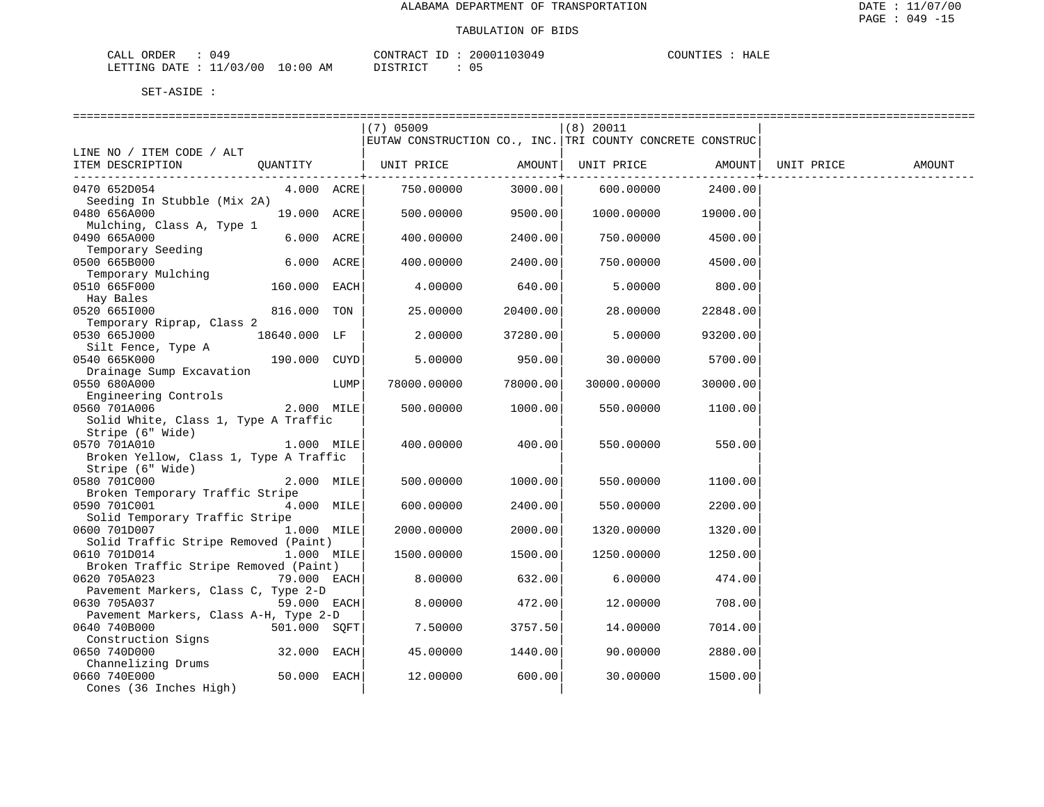| 94 ل<br>ORDER<br>CAT.T<br>⊬⊔ىك  |             | CONTRACT<br>$-1$            | 03049<br>20001 | COUNTIES<br>HALE |
|---------------------------------|-------------|-----------------------------|----------------|------------------|
| (00)<br>LETTING<br>1/0<br>DATE. | 10:00<br>ΆM | $T$ $C$ $T$ $D$ $T$ $C$ $T$ | ۰.             |                  |

|                                          |               |      | $(7)$ 05009                                               |          | $(8)$ 20011 |                                 |            |        |
|------------------------------------------|---------------|------|-----------------------------------------------------------|----------|-------------|---------------------------------|------------|--------|
|                                          |               |      | EUTAW CONSTRUCTION CO., INC. TRI COUNTY CONCRETE CONSTRUC |          |             |                                 |            |        |
| LINE NO / ITEM CODE / ALT                |               |      |                                                           |          |             |                                 |            |        |
| ITEM DESCRIPTION                         |               |      | QUANTITY   UNIT PRICE AMOUNT  UNIT PRICE AMOUNT           |          |             |                                 | UNIT PRICE | AMOUNT |
|                                          |               |      |                                                           |          |             | . _ _ _ _ _ _ _ _ _ _ _ _ _ _ _ |            |        |
| 0470 652D054                             | 4.000 ACRE    |      | 750.00000                                                 | 3000.00  | 600.00000   | 2400.00                         |            |        |
| Seeding In Stubble (Mix 2A)              |               |      |                                                           |          |             |                                 |            |        |
| 0480 656A000                             | 19.000 ACRE   |      | 500.00000                                                 | 9500.00  | 1000.00000  | 19000.00                        |            |        |
| Mulching, Class A, Type 1                |               |      |                                                           |          |             |                                 |            |        |
| 0490 665A000                             | 6.000 ACRE    |      | 400.00000                                                 | 2400.00  | 750.00000   | 4500.00                         |            |        |
| Temporary Seeding                        |               |      |                                                           |          |             |                                 |            |        |
| 0500 665B000                             | 6.000 ACRE    |      | 400.00000                                                 | 2400.00  | 750.00000   | 4500.00                         |            |        |
| Temporary Mulching                       |               |      |                                                           |          |             |                                 |            |        |
| 0510 665F000                             | 160.000 EACH  |      | 4.00000                                                   | 640.00   | 5.00000     | 800.00                          |            |        |
| Hay Bales                                |               |      |                                                           |          |             |                                 |            |        |
| 0520 6651000                             | 816.000 TON   |      | 25.00000                                                  | 20400.00 | 28.00000    | 22848.00                        |            |        |
| Temporary Riprap, Class 2                |               |      |                                                           |          |             |                                 |            |        |
| 0530 665J000                             | 18640.000 LF  |      | 2.00000                                                   | 37280.00 | 5.00000     | 93200.00                        |            |        |
| Silt Fence, Type A                       |               |      |                                                           |          |             |                                 |            |        |
| 0540 665K000                             | 190.000 CUYD  |      | 5.00000                                                   | 950.00   | 30.00000    | 5700.00                         |            |        |
| Drainage Sump Excavation<br>0550 680A000 |               | LUMP | 78000.00000                                               | 78000.00 | 30000.00000 | 30000.00                        |            |        |
| Engineering Controls                     |               |      |                                                           |          |             |                                 |            |        |
| 0560 701A006                             | 2.000 MILE    |      | 500.00000                                                 | 1000.00  | 550.00000   | 1100.00                         |            |        |
| Solid White, Class 1, Type A Traffic     |               |      |                                                           |          |             |                                 |            |        |
| Stripe (6" Wide)                         |               |      |                                                           |          |             |                                 |            |        |
| 0570 701A010                             | $1.000$ MILE  |      | 400.00000                                                 | 400.00   | 550.00000   | 550.00                          |            |        |
| Broken Yellow, Class 1, Type A Traffic   |               |      |                                                           |          |             |                                 |            |        |
| Stripe (6" Wide)                         |               |      |                                                           |          |             |                                 |            |        |
| 0580 701C000                             | 2.000 MILE    |      | 500.00000                                                 | 1000.00  | 550.00000   | 1100.00                         |            |        |
| Broken Temporary Traffic Stripe          |               |      |                                                           |          |             |                                 |            |        |
| 0590 701C001                             | 4.000 MILE    |      | 600.00000                                                 | 2400.00  | 550.00000   | 2200.00                         |            |        |
| Solid Temporary Traffic Stripe           |               |      |                                                           |          |             |                                 |            |        |
| 0600 701D007                             | 1.000 MILE    |      | 2000.00000                                                | 2000.00  | 1320.00000  | 1320.00                         |            |        |
| Solid Traffic Stripe Removed (Paint)     |               |      |                                                           |          |             |                                 |            |        |
| 0610 701D014                             | $1.000$ MILE  |      | 1500.00000                                                | 1500.00  | 1250.00000  | 1250.00                         |            |        |
| Broken Traffic Stripe Removed (Paint)    |               |      |                                                           |          |             |                                 |            |        |
| 0620 705A023                             | 79.000 EACH   |      | 8.00000                                                   | 632.00   | 6.00000     | 474.00                          |            |        |
| Pavement Markers, Class C, Type 2-D      |               |      |                                                           |          |             |                                 |            |        |
| 0630 705A037                             | $59.000$ EACH |      | 8.00000                                                   | 472.00   | 12.00000    | 708.00                          |            |        |
| Pavement Markers, Class A-H, Type 2-D    |               |      |                                                           |          |             |                                 |            |        |
| 0640 740B000                             | 501.000 SOFT  |      | 7.50000                                                   | 3757.50  | 14.00000    | 7014.00                         |            |        |
| Construction Signs                       |               |      |                                                           |          |             |                                 |            |        |
| 0650 740D000                             | 32.000 EACH   |      | 45.00000                                                  | 1440.00  | 90.00000    | 2880.00                         |            |        |
| Channelizing Drums                       |               |      |                                                           |          |             |                                 |            |        |
| 0660 740E000                             | 50.000 EACH   |      | 12.00000                                                  | 600.00   | 30.00000    | 1500.00                         |            |        |
| Cones (36 Inches High)                   |               |      |                                                           |          |             |                                 |            |        |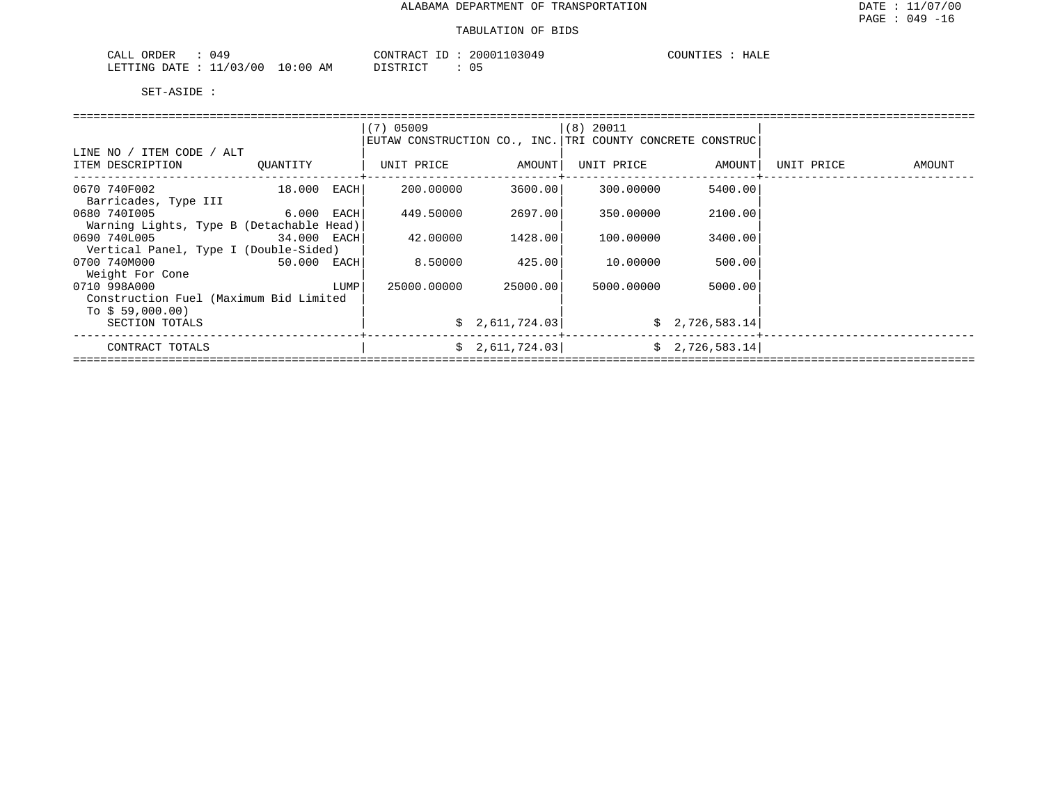| 049<br>ORDER<br>CALL                         | 20001103049<br>CONTRACT ID<br>⊥D. | COUNTIE:<br>HALE |
|----------------------------------------------|-----------------------------------|------------------|
| 11/03/00<br>10:00<br>LETTING<br>DATE.<br>~~~ | DISTRICT<br>AΜ                    |                  |

|                                          |               |      | $(7)$ 05009 |                 | (8) 20011                                                 |                 |            |        |  |  |
|------------------------------------------|---------------|------|-------------|-----------------|-----------------------------------------------------------|-----------------|------------|--------|--|--|
|                                          |               |      |             |                 | EUTAW CONSTRUCTION CO., INC. TRI COUNTY CONCRETE CONSTRUC |                 |            |        |  |  |
| LINE NO / ITEM CODE / ALT                |               |      |             |                 |                                                           |                 |            |        |  |  |
| ITEM DESCRIPTION                         | OUANTITY      |      | UNIT PRICE  | AMOUNT          | UNIT PRICE                                                | AMOUNT          | UNIT PRICE | AMOUNT |  |  |
|                                          |               |      |             |                 |                                                           |                 |            |        |  |  |
| 0670 740F002                             | $18.000$ EACH |      | 200.00000   | 3600.00         | 300.00000                                                 | 5400.00         |            |        |  |  |
| Barricades, Type III                     |               |      |             |                 |                                                           |                 |            |        |  |  |
| 0680 7401005<br><b>6.000 EACH</b>        |               |      | 449.50000   | 2697.00         | 350.00000                                                 | 2100.00         |            |        |  |  |
| Warning Lights, Type B (Detachable Head) |               |      |             |                 |                                                           |                 |            |        |  |  |
| 0690 740L005<br>34.000 EACH              |               |      | 42.00000    | 1428.001        | 100.00000                                                 | 3400.00         |            |        |  |  |
| Vertical Panel, Type I (Double-Sided)    |               |      |             |                 |                                                           |                 |            |        |  |  |
| 0700 740M000                             | 50.000 EACH   |      | 8.50000     | 425.00          | 10.00000                                                  | 500.00          |            |        |  |  |
| Weight For Cone                          |               |      |             |                 |                                                           |                 |            |        |  |  |
| 0710 998A000                             |               | LUMP | 25000.00000 | 25000.00        | 5000.00000                                                | 5000.00         |            |        |  |  |
| Construction Fuel (Maximum Bid Limited   |               |      |             |                 |                                                           |                 |            |        |  |  |
| To $$59,000.00)$                         |               |      |             |                 |                                                           |                 |            |        |  |  |
| SECTION TOTALS                           |               |      |             | \$2,611,724.03] |                                                           | \$2,726,583.14] |            |        |  |  |
|                                          |               |      |             |                 |                                                           |                 |            |        |  |  |
| CONTRACT TOTALS                          |               |      |             | \$2,611,724.03] |                                                           | \$2,726,583.14] |            |        |  |  |
|                                          |               |      |             |                 |                                                           |                 |            |        |  |  |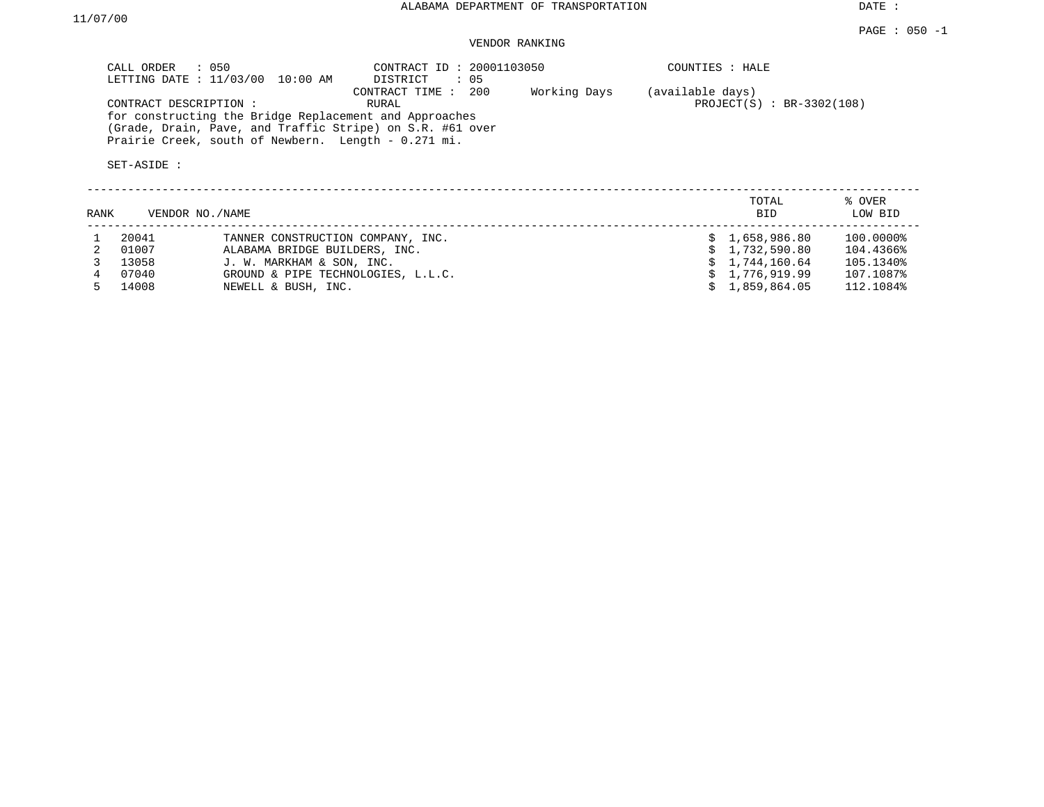DATE :

#### VENDOR RANKING

| CALL ORDER : 050<br>LETTING DATE : $11/03/00$<br>10:00 AM                                                                                                                                           | CONTRACT ID: 20001103050<br>$\therefore$ 05<br>DISTRICT |              | COUNTIES : HALE                                 |                   |
|-----------------------------------------------------------------------------------------------------------------------------------------------------------------------------------------------------|---------------------------------------------------------|--------------|-------------------------------------------------|-------------------|
| CONTRACT DESCRIPTION:<br>for constructing the Bridge Replacement and Approaches<br>(Grade, Drain, Pave, and Traffic Stripe) on S.R. #61 over<br>Prairie Creek, south of Newbern. Length - 0.271 mi. | 200<br>CONTRACT TIME :<br>RURAL                         | Working Days | (available days)<br>$PROJECT(S) : BR-3302(108)$ |                   |
| SET-ASIDE:                                                                                                                                                                                          |                                                         |              |                                                 |                   |
| RANK<br>VENDOR NO./NAME                                                                                                                                                                             |                                                         |              | TOTAL<br><b>BID</b>                             | % OVER<br>LOW BID |

| 20041   | TANNER CONSTRUCTION COMPANY, INC.  | \$1.658.986.80 | 100.0000% |
|---------|------------------------------------|----------------|-----------|
| 01007   | ALABAMA BRIDGE BUILDERS, INC.      | \$1.732.590.80 | 104.4366% |
| 13058   | J. W. MARKHAM & SON, INC.          | \$1.744.160.64 | 105.1340% |
| 07040   | GROUND & PIPE TECHNOLOGIES, L.L.C. | \$1.776.919.99 | 107.1087% |
| 5 14008 | NEWELL & BUSH, INC.                | \$1.859.864.05 | 112.1084% |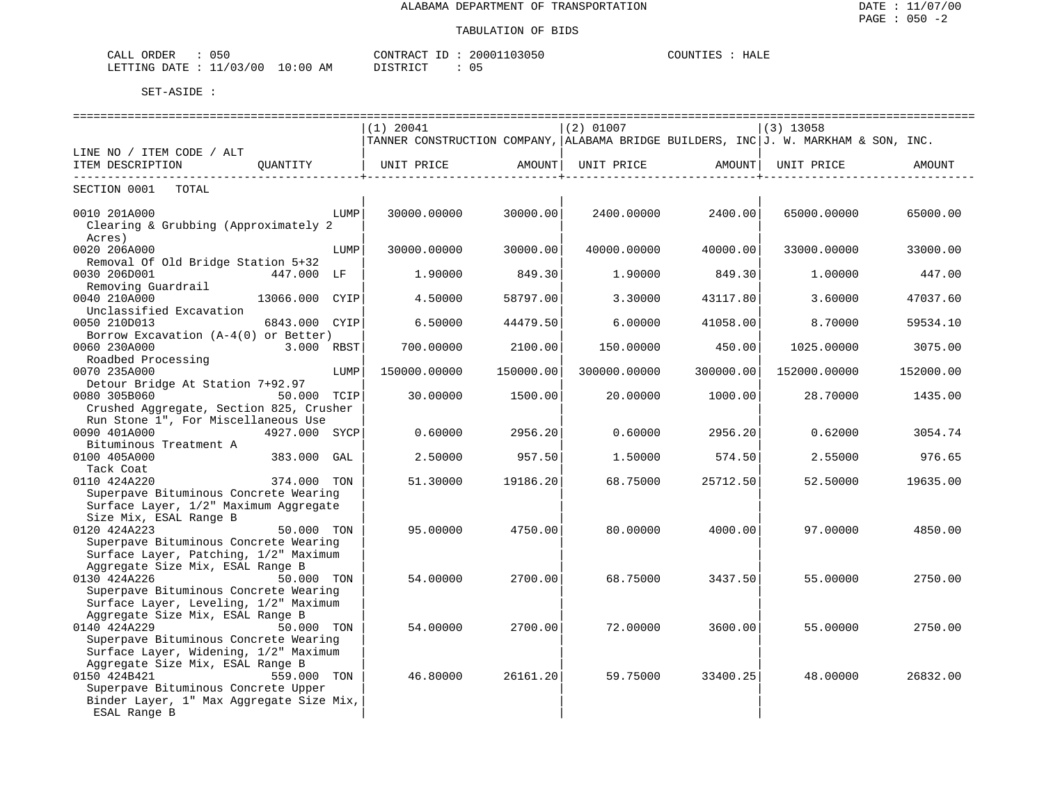| 050<br>ORDER<br>CALL                                                                                                                           | CONTRACT                                | 20001103050<br>ID | COUNTIES<br>HALE |
|------------------------------------------------------------------------------------------------------------------------------------------------|-----------------------------------------|-------------------|------------------|
| 11/03/00<br>LETTING<br>DATE<br>the contract of the contract of the contract of the contract of the contract of the contract of the contract of | 10:00<br>חי חי הרופידי בת<br>AΜ<br>---- |                   |                  |

|                                                                      |      | =============================                                                       |                     | _____________________________ |                                                   | ==================             |           |
|----------------------------------------------------------------------|------|-------------------------------------------------------------------------------------|---------------------|-------------------------------|---------------------------------------------------|--------------------------------|-----------|
|                                                                      |      | (1) 20041                                                                           |                     | $(2)$ 01007                   |                                                   | $(3)$ 13058                    |           |
|                                                                      |      | TANNER CONSTRUCTION COMPANY, ALABAMA BRIDGE BUILDERS, INC J. W. MARKHAM & SON, INC. |                     |                               |                                                   |                                |           |
| LINE NO / ITEM CODE / ALT                                            |      |                                                                                     |                     |                               |                                                   |                                |           |
| ITEM DESCRIPTION QUANTITY                                            |      | UNIT PRICE AMOUNT                                                                   | -----------------+- | UNIT PRICE                    | AMOUNT  <br>. _ _ _ _ _ _ _ _ _ _ _ _ _ _ _ _ _ _ | UNIT PRICE                     | AMOUNT    |
| SECTION 0001 TOTAL                                                   |      |                                                                                     |                     |                               |                                                   |                                |           |
| 0010 201A000                                                         | LUMP | 30000.00000                                                                         | 30000.00            |                               |                                                   | 2400.00000 2400.00 65000.00000 | 65000.00  |
| Clearing & Grubbing (Approximately 2                                 |      |                                                                                     |                     |                               |                                                   |                                |           |
| Acres)                                                               |      |                                                                                     |                     |                               |                                                   |                                |           |
| 0020 206A000                                                         | LUMP | 30000.00000                                                                         | 30000.00            | 40000.00000                   | 40000.00                                          | 33000.00000                    | 33000.00  |
| Removal Of Old Bridge Station 5+32                                   |      |                                                                                     |                     |                               |                                                   |                                |           |
| 0030 206D001<br>447.000 LF                                           |      | 1,90000                                                                             | 849.30              | 1.90000                       | 849.301                                           | 1,00000                        | 447.00    |
| Removing Guardrail                                                   |      |                                                                                     |                     |                               |                                                   |                                |           |
| 0040 210A000<br>13066.000 CYIP                                       |      | 4.50000                                                                             | 58797.00            | 3.30000                       | 43117.80                                          | 3.60000                        | 47037.60  |
| Unclassified Excavation                                              |      |                                                                                     |                     |                               |                                                   |                                |           |
| 0050 210D013<br>6843.000 CYIP                                        |      | 6.50000                                                                             | 44479.50            | 6.00000                       | 41058.00                                          | 8.70000                        | 59534.10  |
| Borrow Excavation $(A-4(0))$ or Better)                              |      |                                                                                     |                     |                               |                                                   |                                |           |
| 0060 230A000<br>3.000 RBST                                           |      | 700.00000                                                                           | 2100.00             | 150.00000                     | 450.00                                            | 1025.00000                     | 3075.00   |
| Roadbed Processing                                                   |      |                                                                                     |                     |                               |                                                   |                                |           |
| 0070 235A000                                                         | LUMP | 150000.00000                                                                        | 150000.00           | 300000.00000                  | 300000.00                                         | 152000.00000                   | 152000.00 |
| Detour Bridge At Station 7+92.97                                     |      |                                                                                     |                     |                               |                                                   |                                |           |
| 0080 305B060<br>50.000 TCIP                                          |      | 30.00000                                                                            | 1500.00             | 20.00000                      | 1000.00                                           | 28.70000                       | 1435.00   |
| Crushed Aggregate, Section 825, Crusher                              |      |                                                                                     |                     |                               |                                                   |                                |           |
| Run Stone 1", For Miscellaneous Use                                  |      |                                                                                     |                     |                               |                                                   |                                |           |
| 4927.000 SYCP<br>0090 401A000                                        |      | 0.60000                                                                             | 2956.20             | 0.60000                       | 2956.20                                           | 0.62000                        | 3054.74   |
| Bituminous Treatment A                                               |      |                                                                                     |                     |                               |                                                   |                                |           |
| 0100 405A000<br>383.000 GAL                                          |      | 2.50000                                                                             | 957.50              | 1.50000                       | 574.50                                            | 2.55000                        | 976.65    |
| Tack Coat                                                            |      |                                                                                     |                     |                               |                                                   |                                |           |
| 0110 424A220<br>374.000 TON<br>Superpave Bituminous Concrete Wearing |      | 51.30000                                                                            | 19186.20            | 68.75000                      | 25712.50                                          | 52.50000                       | 19635.00  |
| Surface Layer, 1/2" Maximum Aggregate                                |      |                                                                                     |                     |                               |                                                   |                                |           |
| Size Mix, ESAL Range B                                               |      |                                                                                     |                     |                               |                                                   |                                |           |
| 0120 424A223<br>50.000 TON                                           |      | 95.00000                                                                            | 4750.00             | 80.00000                      | 4000.00                                           | 97.00000                       | 4850.00   |
| Superpave Bituminous Concrete Wearing                                |      |                                                                                     |                     |                               |                                                   |                                |           |
| Surface Layer, Patching, 1/2" Maximum                                |      |                                                                                     |                     |                               |                                                   |                                |           |
| Aggregate Size Mix, ESAL Range B                                     |      |                                                                                     |                     |                               |                                                   |                                |           |
| 0130 424A226<br>50.000 TON                                           |      | 54.00000                                                                            | 2700.00             | 68.75000                      | 3437.50                                           | 55.00000                       | 2750.00   |
| Superpave Bituminous Concrete Wearing                                |      |                                                                                     |                     |                               |                                                   |                                |           |
| Surface Layer, Leveling, 1/2" Maximum                                |      |                                                                                     |                     |                               |                                                   |                                |           |
| Aggregate Size Mix, ESAL Range B                                     |      |                                                                                     |                     |                               |                                                   |                                |           |
| 0140 424A229<br>50.000 TON                                           |      | 54.00000                                                                            | 2700.00             | 72.00000                      | 3600.00                                           | 55.00000                       | 2750.00   |
| Superpave Bituminous Concrete Wearing                                |      |                                                                                     |                     |                               |                                                   |                                |           |
| Surface Layer, Widening, 1/2" Maximum                                |      |                                                                                     |                     |                               |                                                   |                                |           |
| Aggregate Size Mix, ESAL Range B                                     |      |                                                                                     |                     |                               |                                                   |                                |           |
| 0150 424B421<br>559.000 TON                                          |      | 46.80000                                                                            | 26161.20            | 59.75000                      | 33400.25                                          | 48.00000                       | 26832.00  |
| Superpave Bituminous Concrete Upper                                  |      |                                                                                     |                     |                               |                                                   |                                |           |
| Binder Layer, 1" Max Aggregate Size Mix,                             |      |                                                                                     |                     |                               |                                                   |                                |           |
| ESAL Range B                                                         |      |                                                                                     |                     |                               |                                                   |                                |           |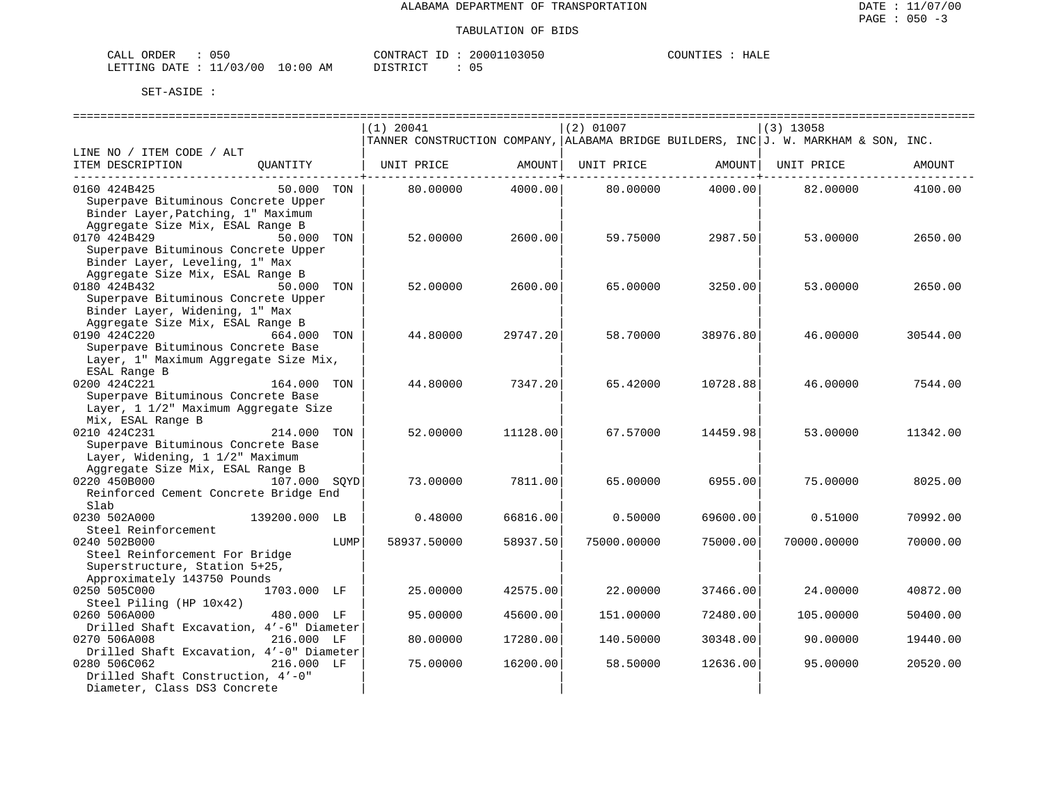| ORDER<br>CALL           | 050 |            | CONTRACT ID:          | 20001103050 | COUNTIES | HALE |
|-------------------------|-----|------------|-----------------------|-------------|----------|------|
| LETTING DATE : 11/03/00 |     | $10:00$ AM | DISTRICT<br>--------- | 05          |          |      |

|                                          |               |      | $(1)$ 20041 |          | $(2)$ 01007 |          | $(3)$ 13058                                                                         |          |
|------------------------------------------|---------------|------|-------------|----------|-------------|----------|-------------------------------------------------------------------------------------|----------|
|                                          |               |      |             |          |             |          | TANNER CONSTRUCTION COMPANY, ALABAMA BRIDGE BUILDERS, INC J. W. MARKHAM & SON, INC. |          |
| LINE NO / ITEM CODE / ALT                |               |      |             |          |             |          |                                                                                     |          |
| ITEM DESCRIPTION                         | QUANTITY      |      | UNIT PRICE  | AMOUNT   | UNIT PRICE  | AMOUNT   | UNIT PRICE                                                                          | AMOUNT   |
|                                          |               |      |             |          |             |          |                                                                                     |          |
| 0160 424B425                             | 50.000 TON    |      | 80,00000    | 4000.00  | 80.00000    | 4000.00  | 82.00000                                                                            | 4100.00  |
| Superpave Bituminous Concrete Upper      |               |      |             |          |             |          |                                                                                     |          |
| Binder Layer, Patching, 1" Maximum       |               |      |             |          |             |          |                                                                                     |          |
| Aggregate Size Mix, ESAL Range B         |               |      |             |          |             |          |                                                                                     |          |
| 0170 424B429                             | 50.000        | TON  | 52.00000    | 2600.00  | 59.75000    | 2987.50  | 53.00000                                                                            | 2650.00  |
| Superpave Bituminous Concrete Upper      |               |      |             |          |             |          |                                                                                     |          |
| Binder Layer, Leveling, 1" Max           |               |      |             |          |             |          |                                                                                     |          |
| Aggregate Size Mix, ESAL Range B         |               |      |             |          |             |          |                                                                                     |          |
| 0180 424B432                             | 50.000 TON    |      |             |          | 65,00000    |          |                                                                                     | 2650.00  |
|                                          |               |      | 52.00000    | 2600.00  |             | 3250.00  | 53.00000                                                                            |          |
| Superpave Bituminous Concrete Upper      |               |      |             |          |             |          |                                                                                     |          |
| Binder Layer, Widening, 1" Max           |               |      |             |          |             |          |                                                                                     |          |
| Aggregate Size Mix, ESAL Range B         |               |      |             |          |             |          |                                                                                     |          |
| 0190 424C220                             | 664,000       | TON  | 44.80000    | 29747.20 | 58.70000    | 38976.80 | 46.00000                                                                            | 30544.00 |
| Superpave Bituminous Concrete Base       |               |      |             |          |             |          |                                                                                     |          |
| Layer, 1" Maximum Aggregate Size Mix,    |               |      |             |          |             |          |                                                                                     |          |
| ESAL Range B                             |               |      |             |          |             |          |                                                                                     |          |
| 0200 424C221                             | 164.000 TON   |      | 44.80000    | 7347.20  | 65.42000    | 10728.88 | 46.00000                                                                            | 7544.00  |
| Superpave Bituminous Concrete Base       |               |      |             |          |             |          |                                                                                     |          |
| Layer, 1 1/2" Maximum Aggregate Size     |               |      |             |          |             |          |                                                                                     |          |
| Mix, ESAL Range B                        |               |      |             |          |             |          |                                                                                     |          |
| 0210 424C231                             | 214.000       | TON  | 52.00000    | 11128.00 | 67.57000    | 14459.98 | 53.00000                                                                            | 11342.00 |
| Superpave Bituminous Concrete Base       |               |      |             |          |             |          |                                                                                     |          |
| Layer, Widening, 1 1/2" Maximum          |               |      |             |          |             |          |                                                                                     |          |
| Aggregate Size Mix, ESAL Range B         |               |      |             |          |             |          |                                                                                     |          |
| 0220 450B000                             | 107.000 SOYD  |      | 73.00000    | 7811.00  | 65.00000    | 6955.00  | 75.00000                                                                            | 8025.00  |
| Reinforced Cement Concrete Bridge End    |               |      |             |          |             |          |                                                                                     |          |
| Slab                                     |               |      |             |          |             |          |                                                                                     |          |
| 0230 502A000                             | 139200.000 LB |      | 0.48000     | 66816.00 | 0.50000     | 69600.00 | 0.51000                                                                             | 70992.00 |
| Steel Reinforcement                      |               |      |             |          |             |          |                                                                                     |          |
| 0240 502B000                             |               | LUMP | 58937.50000 | 58937.50 | 75000.00000 | 75000.00 | 70000.00000                                                                         | 70000.00 |
| Steel Reinforcement For Bridge           |               |      |             |          |             |          |                                                                                     |          |
| Superstructure, Station 5+25,            |               |      |             |          |             |          |                                                                                     |          |
| Approximately 143750 Pounds              |               |      |             |          |             |          |                                                                                     |          |
| 0250 505C000                             | 1703.000 LF   |      | 25.00000    | 42575.00 | 22.00000    | 37466.00 | 24.00000                                                                            | 40872.00 |
| Steel Piling (HP 10x42)                  |               |      |             |          |             |          |                                                                                     |          |
| 0260 506A000                             | 480.000 LF    |      | 95.00000    | 45600.00 | 151.00000   | 72480.00 | 105.00000                                                                           | 50400.00 |
| Drilled Shaft Excavation, 4'-6" Diameter |               |      |             |          |             |          |                                                                                     |          |
|                                          |               |      |             |          |             |          |                                                                                     |          |
| 0270 506A008                             | 216.000 LF    |      | 80.00000    | 17280.00 | 140.50000   | 30348.00 | 90.00000                                                                            | 19440.00 |
| Drilled Shaft Excavation, 4'-0" Diameter |               |      |             |          |             |          |                                                                                     |          |
| 0280 506C062                             | 216.000 LF    |      | 75.00000    | 16200.00 | 58.50000    | 12636.00 | 95.00000                                                                            | 20520.00 |
| Drilled Shaft Construction, 4'-0"        |               |      |             |          |             |          |                                                                                     |          |
| Diameter, Class DS3 Concrete             |               |      |             |          |             |          |                                                                                     |          |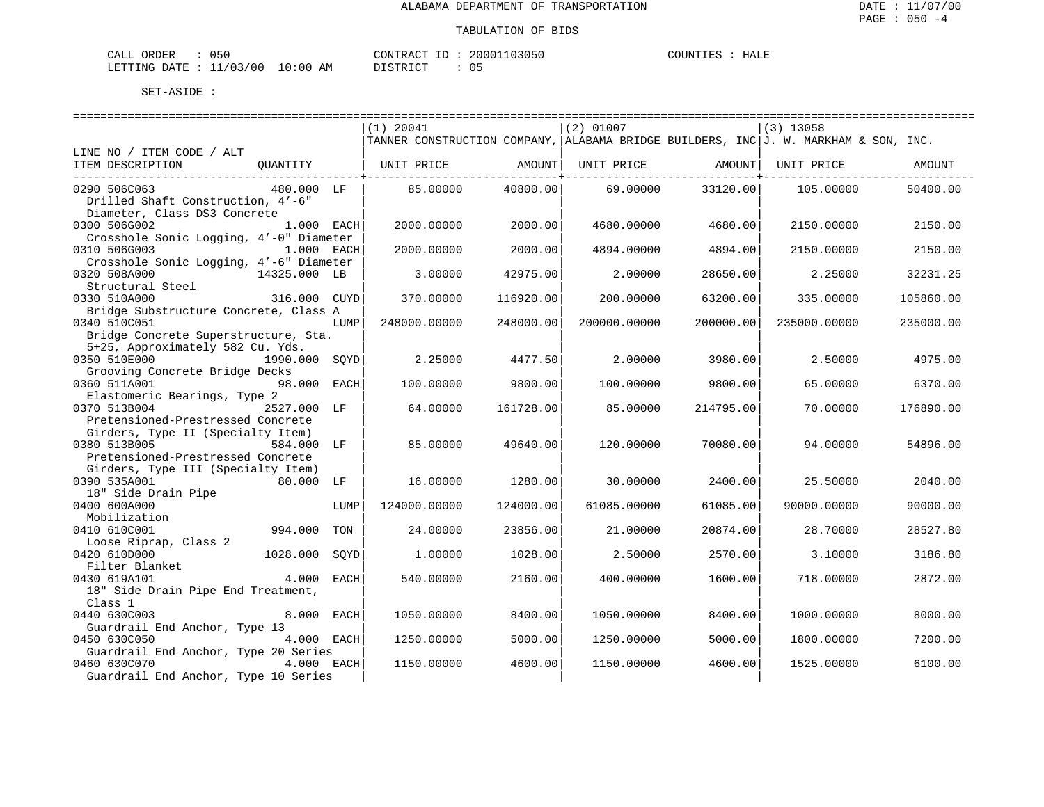| ORDER<br>CALL           | 050 |            | CONTRACT ID:          | 20001103050 | COUNTIES | HALE |
|-------------------------|-----|------------|-----------------------|-------------|----------|------|
| LETTING DATE : 11/03/00 |     | $10:00$ AM | DISTRICT<br>--------- | 05          |          |      |

|                                                  |               |      | $(1)$ 20041  |           | $(2)$ 01007  |           | $(3)$ 13058                                                                         |           |
|--------------------------------------------------|---------------|------|--------------|-----------|--------------|-----------|-------------------------------------------------------------------------------------|-----------|
|                                                  |               |      |              |           |              |           | TANNER CONSTRUCTION COMPANY, ALABAMA BRIDGE BUILDERS, INC J. W. MARKHAM & SON, INC. |           |
| LINE NO / ITEM CODE / ALT                        |               |      |              |           |              |           |                                                                                     |           |
| ITEM DESCRIPTION                                 | OUANTITY      |      | UNIT PRICE   | AMOUNT    | UNIT PRICE   | AMOUNT    | UNIT PRICE                                                                          | AMOUNT    |
| 0290 506C063                                     | 480.000 LF    |      | 85.00000     | 40800.00  | 69.00000     | 33120.00  | 105.00000                                                                           | 50400.00  |
| Drilled Shaft Construction, 4'-6"                |               |      |              |           |              |           |                                                                                     |           |
| Diameter, Class DS3 Concrete                     |               |      |              |           |              |           |                                                                                     |           |
| 0300 506G002                                     | 1.000 EACH    |      | 2000.00000   | 2000.00   | 4680.00000   | 4680.00   | 2150.00000                                                                          | 2150.00   |
| Crosshole Sonic Logging, 4'-0" Diameter          |               |      |              |           |              |           |                                                                                     |           |
| 0310 506G003                                     | 1.000 EACH    |      | 2000.00000   | 2000.00   | 4894.00000   | 4894.00   | 2150.00000                                                                          | 2150.00   |
| Crosshole Sonic Logging, 4'-6" Diameter          |               |      |              |           |              |           |                                                                                     |           |
| 0320 508A000                                     | 14325.000 LB  |      | 3.00000      | 42975.00  | 2.00000      | 28650.00  | 2.25000                                                                             | 32231.25  |
| Structural Steel                                 |               |      |              |           |              |           |                                                                                     |           |
| 0330 510A000                                     | 316.000 CUYD  |      | 370.00000    | 116920.00 | 200,00000    | 63200.00  | 335.00000                                                                           | 105860.00 |
| Bridge Substructure Concrete, Class A            |               |      |              |           |              |           |                                                                                     |           |
| 0340 510C051                                     |               | LUMP | 248000.00000 | 248000.00 | 200000.00000 | 200000.00 | 235000.00000                                                                        | 235000.00 |
| Bridge Concrete Superstructure, Sta.             |               |      |              |           |              |           |                                                                                     |           |
| 5+25, Approximately 582 Cu. Yds.<br>0350 510E000 | 1990.000 SOYD |      | 2.25000      |           | 2,00000      |           |                                                                                     |           |
| Grooving Concrete Bridge Decks                   |               |      |              | 4477.50   |              | 3980.00   | 2.50000                                                                             | 4975.00   |
| 0360 511A001                                     | 98.000 EACH   |      | 100.00000    | 9800.00   | 100.00000    | 9800.00   | 65.00000                                                                            | 6370.00   |
| Elastomeric Bearings, Type 2                     |               |      |              |           |              |           |                                                                                     |           |
| 0370 513B004                                     | 2527.000 LF   |      | 64.00000     | 161728.00 | 85,00000     | 214795.00 | 70.00000                                                                            | 176890.00 |
| Pretensioned-Prestressed Concrete                |               |      |              |           |              |           |                                                                                     |           |
| Girders, Type II (Specialty Item)                |               |      |              |           |              |           |                                                                                     |           |
| 0380 513B005                                     | 584.000 LF    |      | 85,00000     | 49640.00  | 120,00000    | 70080.00  | 94.00000                                                                            | 54896.00  |
| Pretensioned-Prestressed Concrete                |               |      |              |           |              |           |                                                                                     |           |
| Girders, Type III (Specialty Item)               |               |      |              |           |              |           |                                                                                     |           |
| 0390 535A001                                     | $80.000$ LF   |      | 16.00000     | 1280.00   | 30.00000     | 2400.00   | 25.50000                                                                            | 2040.00   |
| 18" Side Drain Pipe                              |               |      |              |           |              |           |                                                                                     |           |
| 0400 600A000                                     |               | LUMP | 124000.00000 | 124000.00 | 61085.00000  | 61085.00  | 90000.00000                                                                         | 90000.00  |
| Mobilization                                     |               |      |              |           |              |           |                                                                                     |           |
| 0410 610C001                                     | 994.000       | TON  | 24.00000     | 23856.00  | 21.00000     | 20874.00  | 28.70000                                                                            | 28527.80  |
| Loose Riprap, Class 2<br>0420 610D000            | 1028.000      |      | 1.00000      | 1028.00   | 2.50000      | 2570.00   |                                                                                     | 3186.80   |
| Filter Blanket                                   |               | SOYD |              |           |              |           | 3.10000                                                                             |           |
| 0430 619A101                                     | 4.000 EACH    |      | 540.00000    | 2160.00   | 400.00000    | 1600.00   | 718.00000                                                                           | 2872.00   |
| 18" Side Drain Pipe End Treatment,               |               |      |              |           |              |           |                                                                                     |           |
| Class 1                                          |               |      |              |           |              |           |                                                                                     |           |
| 0440 630C003                                     | 8.000 EACH    |      | 1050.00000   | 8400.00   | 1050.00000   | 8400.00   | 1000.00000                                                                          | 8000.00   |
| Guardrail End Anchor, Type 13                    |               |      |              |           |              |           |                                                                                     |           |
| 0450 630C050                                     | 4.000 EACH    |      | 1250.00000   | 5000.00   | 1250.00000   | 5000.00   | 1800.00000                                                                          | 7200.00   |
| Guardrail End Anchor, Type 20 Series             |               |      |              |           |              |           |                                                                                     |           |
| 0460 630C070                                     | 4.000 EACH    |      | 1150.00000   | 4600.00   | 1150.00000   | 4600.00   | 1525.00000                                                                          | 6100.00   |
| Guardrail End Anchor, Type 10 Series             |               |      |              |           |              |           |                                                                                     |           |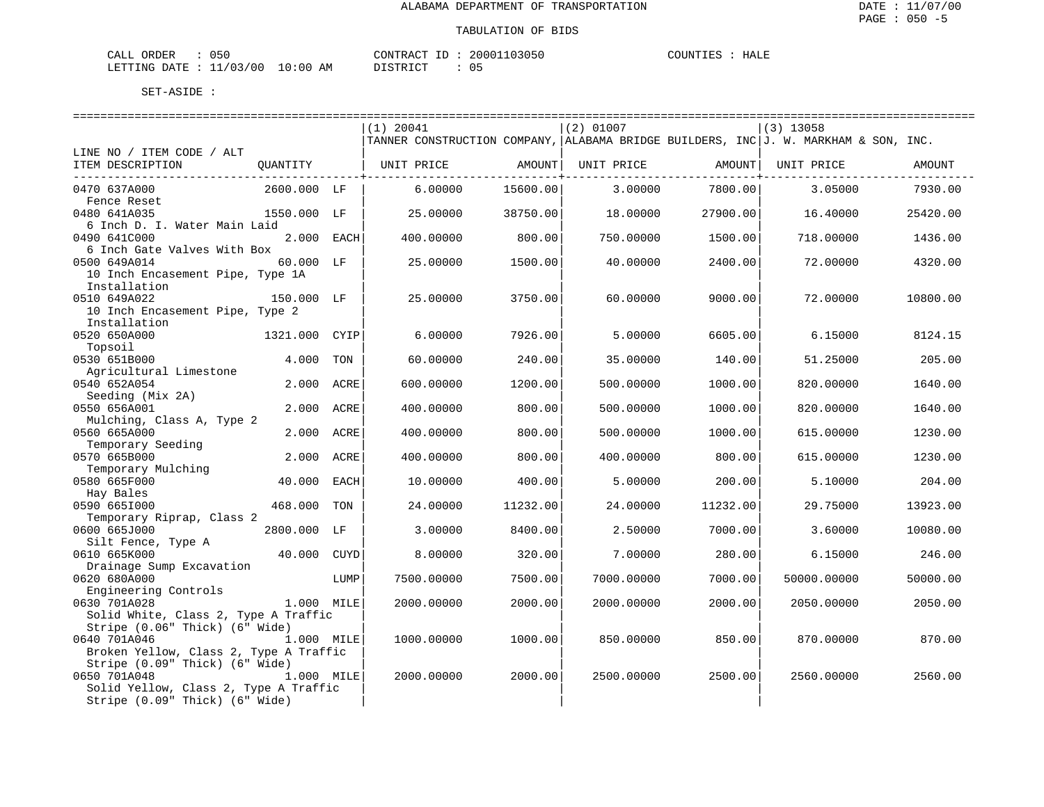| TALL<br><b>ORDER</b> | J5U     |                     | TONTRACT<br>D.   | 20001103050 | TOUNTIES | HALE |
|----------------------|---------|---------------------|------------------|-------------|----------|------|
| LETTING DATE : 11    | L/03/00 | 10:00<br>ΑM<br>____ | ז קידף דת<br>חר- | __          |          |      |

|                                        |                | $(1)$ 20041                                                                         |          | $(2)$ 01007 |                              | $(3)$ 13058 |          |
|----------------------------------------|----------------|-------------------------------------------------------------------------------------|----------|-------------|------------------------------|-------------|----------|
|                                        |                | TANNER CONSTRUCTION COMPANY, ALABAMA BRIDGE BUILDERS, INC J. W. MARKHAM & SON, INC. |          |             |                              |             |          |
| LINE NO / ITEM CODE / ALT              |                |                                                                                     |          |             |                              |             |          |
| ITEM DESCRIPTION                       |                | QUANTITY   UNIT PRICE AMOUNT                                                        |          |             | UNIT PRICE AMOUNT UNIT PRICE |             | AMOUNT   |
|                                        |                |                                                                                     |          |             | ---------------+-            |             |          |
| 0470 637A000                           | 2600.000 LF    | 6.00000                                                                             | 15600.00 | 3,00000     | 7800.00                      | 3.05000     | 7930.00  |
| Fence Reset                            |                |                                                                                     |          |             |                              |             |          |
| 0480 641A035                           | 1550.000 LF    | 25,00000                                                                            | 38750.00 | 18,00000    | 27900.00                     | 16.40000    | 25420.00 |
| 6 Inch D. I. Water Main Laid           |                |                                                                                     |          |             |                              |             |          |
| 0490 641C000                           | 2.000 EACH     | 400.00000                                                                           | 800.00   | 750.00000   | 1500.00                      | 718,00000   | 1436.00  |
| 6 Inch Gate Valves With Box            |                |                                                                                     |          |             |                              |             |          |
| 0500 649A014                           | 60.000 LF      | 25.00000                                                                            | 1500.00  | 40.00000    | 2400.00                      | 72.00000    | 4320.00  |
| 10 Inch Encasement Pipe, Type 1A       |                |                                                                                     |          |             |                              |             |          |
| Installation                           |                |                                                                                     |          |             |                              |             |          |
| 0510 649A022                           | 150.000 LF     | 25.00000                                                                            | 3750.00  | 60.00000    | 9000.00                      | 72.00000    | 10800.00 |
| 10 Inch Encasement Pipe, Type 2        |                |                                                                                     |          |             |                              |             |          |
| Installation                           |                |                                                                                     |          |             |                              |             |          |
| 0520 650A000                           | 1321.000 CYIP  | 6.00000                                                                             | 7926.00  | 5.00000     | 6605.00                      | 6.15000     | 8124.15  |
| Topsoil                                |                |                                                                                     |          |             |                              |             |          |
| 0530 651B000                           | 4.000<br>TON   | 60.00000                                                                            | 240.00   | 35.00000    | 140.00                       | 51.25000    | 205.00   |
| Agricultural Limestone                 |                |                                                                                     |          |             |                              |             |          |
| 0540 652A054                           | 2.000<br>ACRE  | 600,00000                                                                           | 1200.00  | 500.00000   | 1000.00                      | 820,00000   | 1640.00  |
| Seeding (Mix 2A)                       |                |                                                                                     |          |             |                              |             |          |
| 0550 656A001                           | 2.000<br>ACRE  | 400.00000                                                                           | 800.00   | 500.00000   | 1000.00                      | 820.00000   | 1640.00  |
| Mulching, Class A, Type 2              |                |                                                                                     |          |             |                              |             |          |
| 0560 665A000                           | 2.000 ACRE     | 400.00000                                                                           | 800.00   | 500.00000   | 1000.00                      | 615,00000   | 1230.00  |
| Temporary Seeding                      |                |                                                                                     |          |             |                              |             |          |
| 0570 665B000                           | 2.000 ACRE     | 400.00000                                                                           | 800.00   | 400.00000   | 800.00                       | 615.00000   | 1230.00  |
| Temporary Mulching                     |                |                                                                                     |          |             |                              |             |          |
| 0580 665F000                           | 40.000 EACH    | 10.00000                                                                            | 400.00   | 5.00000     | 200.00                       | 5.10000     | 204.00   |
| Hay Bales                              |                |                                                                                     |          |             |                              |             |          |
| 0590 6651000                           | 468.000<br>TON | 24.00000                                                                            | 11232.00 | 24.00000    | 11232.00                     | 29.75000    | 13923.00 |
| Temporary Riprap, Class 2              |                |                                                                                     |          |             |                              |             |          |
| 0600 665J000                           | 2800.000 LF    | 3.00000                                                                             | 8400.00  | 2.50000     | 7000.00                      | 3.60000     | 10080.00 |
| Silt Fence, Type A                     |                |                                                                                     |          |             |                              |             |          |
| 0610 665K000                           | 40.000 CUYD    | 8.00000                                                                             | 320.00   | 7.00000     | 280.00                       | 6.15000     | 246.00   |
| Drainage Sump Excavation               |                |                                                                                     |          |             |                              |             |          |
| 0620 680A000                           | LUMP           | 7500.00000                                                                          | 7500.00  | 7000.00000  | 7000.00                      | 50000.00000 | 50000.00 |
| Engineering Controls                   |                |                                                                                     |          |             |                              |             |          |
| 0630 701A028                           | 1.000 MILE     | 2000.00000                                                                          | 2000.00  | 2000.00000  | 2000.00                      | 2050.00000  | 2050.00  |
| Solid White, Class 2, Type A Traffic   |                |                                                                                     |          |             |                              |             |          |
| Stripe (0.06" Thick) (6" Wide)         |                |                                                                                     |          |             |                              |             |          |
| 0640 701A046                           | 1.000 MILE     | 1000.00000                                                                          | 1000.00  | 850.00000   | 850.00                       | 870.00000   | 870.00   |
| Broken Yellow, Class 2, Type A Traffic |                |                                                                                     |          |             |                              |             |          |
| Stripe (0.09" Thick) (6" Wide)         |                |                                                                                     |          |             |                              |             |          |
| 0650 701A048                           | 1.000 MILE     | 2000.00000                                                                          | 2000.00  | 2500.00000  | 2500.00                      | 2560.00000  | 2560.00  |
| Solid Yellow, Class 2, Type A Traffic  |                |                                                                                     |          |             |                              |             |          |
| Stripe (0.09" Thick) (6" Wide)         |                |                                                                                     |          |             |                              |             |          |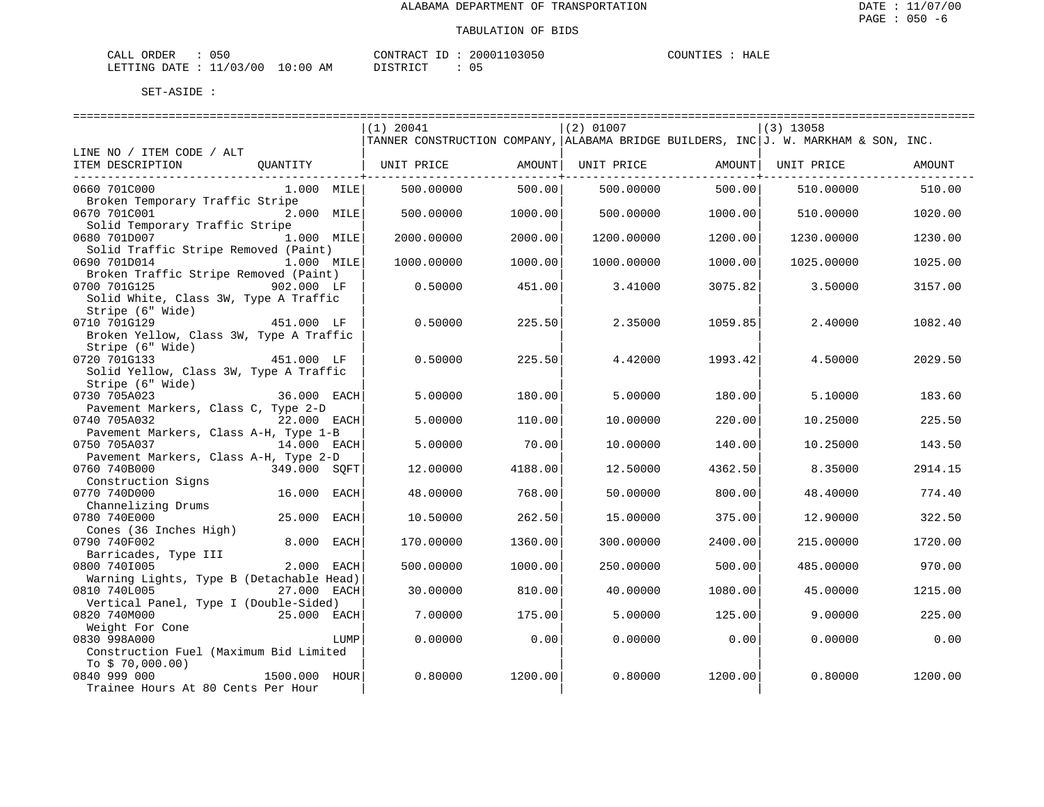| CALL ORDER                       | 050 |          | CONTRACT ID: 20001103050 | COUNTIES | HALE |
|----------------------------------|-----|----------|--------------------------|----------|------|
| LETTING DATE : 11/03/00 10:00 AM |     | DISTRICT |                          |          |      |

|                                                           |               |      | ===============================                                                       |         |            |         |             |         |
|-----------------------------------------------------------|---------------|------|---------------------------------------------------------------------------------------|---------|------------|---------|-------------|---------|
|                                                           |               |      | $(1)$ 20041                                                                           |         | (2) 01007  |         | $(3)$ 13058 |         |
|                                                           |               |      | TANNER CONSTRUCTION COMPANY, ALABAMA BRIDGE BUILDERS, INC $J.$ W. MARKHAM & SON, INC. |         |            |         |             |         |
| LINE NO / ITEM CODE / ALT<br>ITEM DESCRIPTION             | OUANTITY      |      | UNIT PRICE                                                                            | AMOUNT  | UNIT PRICE | AMOUNT  | UNIT PRICE  | AMOUNT  |
|                                                           |               |      |                                                                                       |         |            |         |             |         |
| 0660 701C000                                              | 1.000 MILE    |      | 500.00000                                                                             | 500.00  | 500.00000  | 500.00  | 510.00000   | 510.00  |
| Broken Temporary Traffic Stripe                           |               |      |                                                                                       |         |            |         |             |         |
| 0670 701C001                                              | 2.000 MILE    |      | 500.00000                                                                             | 1000.00 | 500.00000  | 1000.00 | 510.00000   | 1020.00 |
| Solid Temporary Traffic Stripe                            |               |      |                                                                                       |         |            |         |             |         |
| 0680 701D007                                              | 1.000 MILE    |      | 2000.00000                                                                            | 2000.00 | 1200.00000 | 1200.00 | 1230.00000  | 1230.00 |
| Solid Traffic Stripe Removed (Paint)                      |               |      |                                                                                       |         |            |         |             |         |
| 0690 701D014                                              | 1.000 MILE    |      | 1000.00000                                                                            | 1000.00 | 1000.00000 | 1000.00 | 1025.00000  | 1025.00 |
| Broken Traffic Stripe Removed (Paint)                     |               |      |                                                                                       |         |            |         |             |         |
| 0700 701G125                                              | 902.000 LF    |      | 0.50000                                                                               | 451.00  | 3.41000    | 3075.82 | 3.50000     | 3157.00 |
| Solid White, Class 3W, Type A Traffic<br>Stripe (6" Wide) |               |      |                                                                                       |         |            |         |             |         |
| 0710 701G129                                              | 451.000 LF    |      | 0.50000                                                                               | 225.50  | 2.35000    | 1059.85 | 2.40000     | 1082.40 |
| Broken Yellow, Class 3W, Type A Traffic                   |               |      |                                                                                       |         |            |         |             |         |
| Stripe (6" Wide)                                          |               |      |                                                                                       |         |            |         |             |         |
| 0720 701G133                                              | 451.000 LF    |      | 0.50000                                                                               | 225.50  | 4.42000    | 1993.42 | 4.50000     | 2029.50 |
| Solid Yellow, Class 3W, Type A Traffic                    |               |      |                                                                                       |         |            |         |             |         |
| Stripe (6" Wide)                                          |               |      |                                                                                       |         |            |         |             |         |
| 0730 705A023                                              | 36.000 EACH   |      | 5.00000                                                                               | 180.00  | 5.00000    | 180.00  | 5.10000     | 183.60  |
| Pavement Markers, Class C, Type 2-D                       |               |      |                                                                                       |         |            |         |             |         |
| 0740 705A032                                              | 22.000 EACH   |      | 5.00000                                                                               | 110.00  | 10.00000   | 220.00  | 10.25000    | 225.50  |
| Pavement Markers, Class A-H, Type 1-B                     |               |      |                                                                                       |         |            |         |             |         |
| 0750 705A037                                              | 14.000 EACH   |      | 5.00000                                                                               | 70.00   | 10.00000   | 140.00  | 10.25000    | 143.50  |
| Pavement Markers, Class A-H, Type 2-D                     |               |      |                                                                                       |         |            |         |             |         |
| 0760 740B000                                              | 349.000 SOFT  |      | 12.00000                                                                              | 4188.00 | 12.50000   | 4362.50 | 8.35000     | 2914.15 |
| Construction Signs                                        |               |      |                                                                                       |         |            |         |             |         |
| 0770 740D000                                              | 16.000 EACH   |      | 48.00000                                                                              | 768.00  | 50.00000   | 800.00  | 48.40000    | 774.40  |
| Channelizing Drums                                        |               |      |                                                                                       |         |            |         |             |         |
| 0780 740E000                                              | 25.000        | EACH | 10.50000                                                                              | 262.50  | 15.00000   | 375.00  | 12.90000    | 322.50  |
| Cones (36 Inches High)                                    |               |      |                                                                                       |         |            |         |             |         |
| 0790 740F002                                              | 8.000 EACH    |      | 170.00000                                                                             | 1360.00 | 300.00000  | 2400.00 | 215.00000   | 1720.00 |
| Barricades, Type III                                      |               |      |                                                                                       |         |            |         |             |         |
| 0800 7401005                                              | 2.000 EACH    |      | 500.00000                                                                             | 1000.00 | 250.00000  | 500.00  | 485.00000   | 970.00  |
| Warning Lights, Type B (Detachable Head)                  |               |      |                                                                                       |         |            |         |             |         |
| 0810 740L005                                              | 27.000 EACH   |      | 30.00000                                                                              | 810.00  | 40.00000   | 1080.00 | 45.00000    | 1215.00 |
| Vertical Panel, Type I (Double-Sided)                     |               |      |                                                                                       |         |            |         |             |         |
| 0820 740M000                                              | 25.000 EACH   |      | 7.00000                                                                               | 175.00  | 5,00000    | 125.00  | 9,00000     | 225.00  |
| Weight For Cone                                           |               |      |                                                                                       |         |            |         |             |         |
| 0830 998A000                                              |               | LUMP | 0.00000                                                                               | 0.00    | 0.00000    | 0.00    | 0.00000     | 0.00    |
| Construction Fuel (Maximum Bid Limited                    |               |      |                                                                                       |         |            |         |             |         |
| To $$70,000.00)$<br>0840 999 000                          | 1500.000 HOUR |      | 0.80000                                                                               | 1200.00 | 0.80000    | 1200.00 | 0.80000     | 1200.00 |
| Trainee Hours At 80 Cents Per Hour                        |               |      |                                                                                       |         |            |         |             |         |
|                                                           |               |      |                                                                                       |         |            |         |             |         |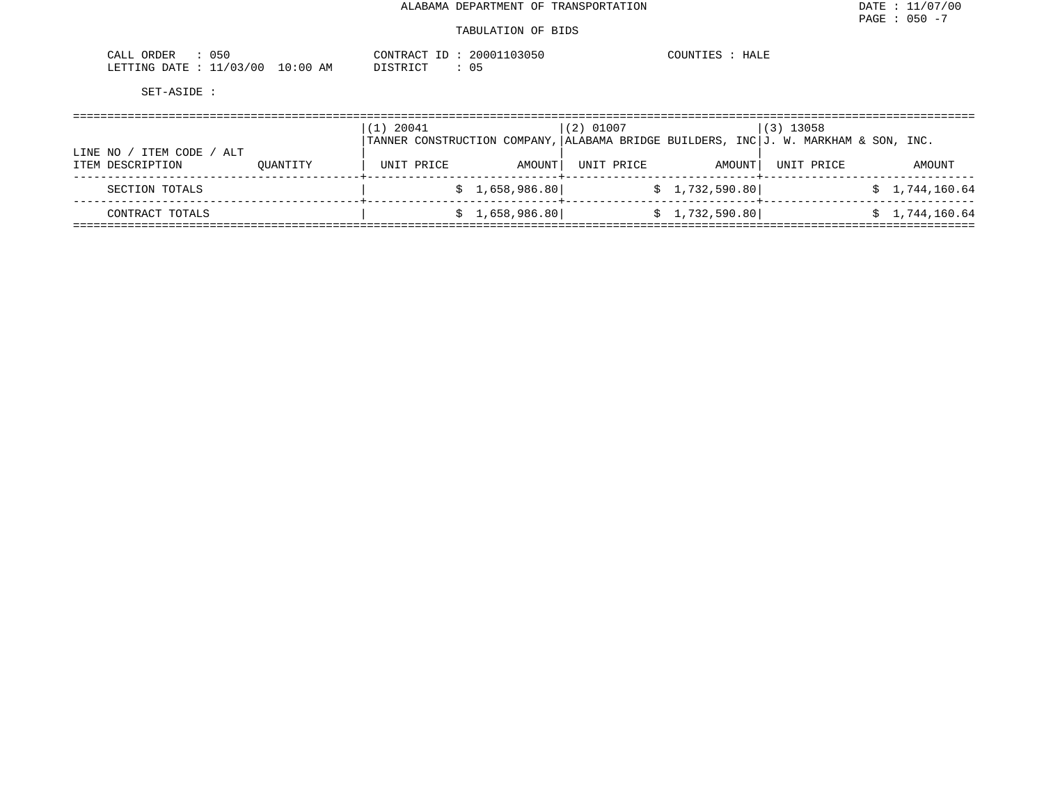| 050<br>ORDER<br>CALL       |             | CONTRACT ID<br>⊥∟           | 20001103050 | $- - - - - -$<br>COUNTIES<br>HALE |
|----------------------------|-------------|-----------------------------|-------------|-----------------------------------|
| 11/03/00<br>LETTING DATE : | 10:00<br>ΆM | חי היה דמיים דמ<br>ມ⊥ມ⊥ນ⊥∪⊥ |             |                                   |

|                                                  |          | 20041<br>$\perp$ ) |  |                | $(2)$ 01007 |                |        | $(3)$ 13058<br>TANNER CONSTRUCTION COMPANY, ALABAMA BRIDGE BUILDERS, INC $J.$ W. MARKHAM & SON, INC. |                |  |
|--------------------------------------------------|----------|--------------------|--|----------------|-------------|----------------|--------|------------------------------------------------------------------------------------------------------|----------------|--|
| ITEM CODE / ALT<br>LINE NO /<br>ITEM DESCRIPTION | OUANTITY | UNIT PRICE         |  | AMOUNT         | UNIT PRICE  |                | AMOUNT | UNIT PRICE                                                                                           | AMOUNT         |  |
| SECTION TOTALS                                   |          |                    |  | \$1,658,986.80 |             | \$1,732,590.80 |        |                                                                                                      | \$1,744,160.64 |  |
| CONTRACT TOTALS                                  |          |                    |  | \$1,658,986.80 |             | \$1,732,590.80 |        |                                                                                                      | \$1,744,160.64 |  |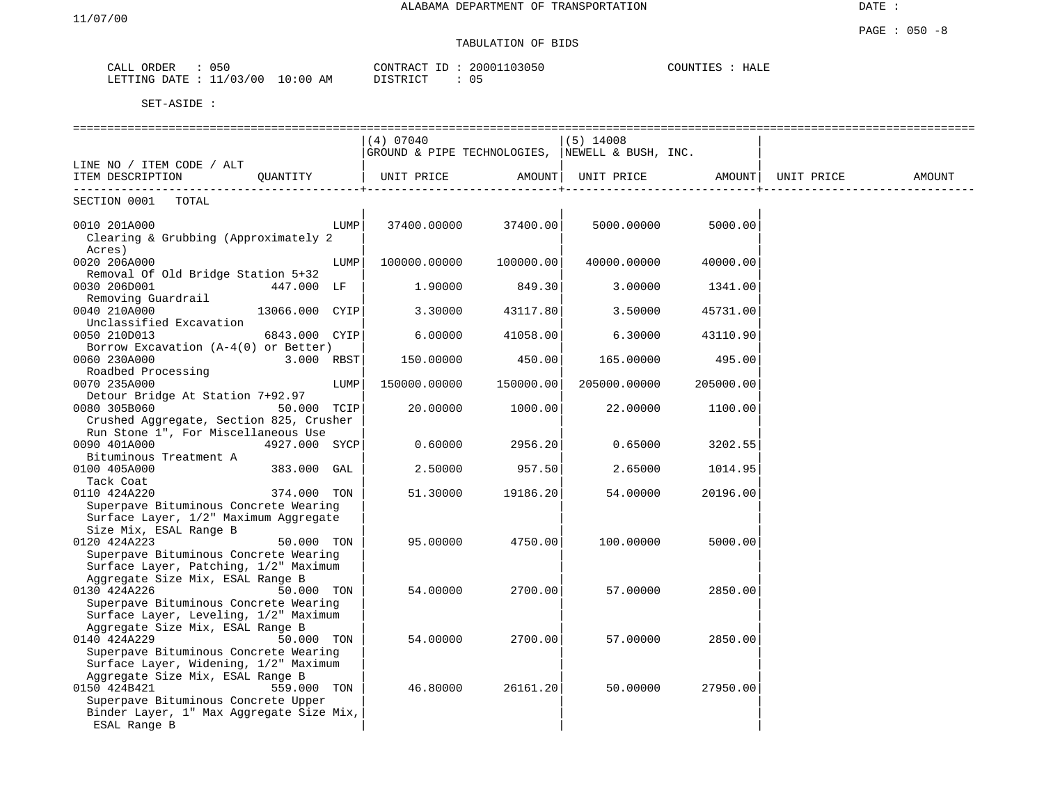# TABULATION OF BIDS

| ORDER<br>CALL | 050      |            | CONTRACT<br>T <sub>0</sub><br>. LJ | 20001103050 | COUNTIES | HALE |
|---------------|----------|------------|------------------------------------|-------------|----------|------|
| LETTING DATE  | 11/03/00 | $10:00$ AM | די היה די הי                       |             |          |      |

|                                                                                                                                    |                |      | (4) 07040                                               |           | $(5)$ 14008  |                   |            |        |
|------------------------------------------------------------------------------------------------------------------------------------|----------------|------|---------------------------------------------------------|-----------|--------------|-------------------|------------|--------|
|                                                                                                                                    |                |      | $ $ GROUND & PIPE TECHNOLOGIES, $ $ NEWELL & BUSH, INC. |           |              |                   |            |        |
| LINE NO / ITEM CODE / ALT                                                                                                          |                |      |                                                         |           |              |                   |            |        |
| ITEM DESCRIPTION                                                                                                                   | OUANTITY       |      | UNIT PRICE AMOUNT                                       |           |              | UNIT PRICE AMOUNT | UNIT PRICE | AMOUNT |
| TOTAL<br>SECTION 0001                                                                                                              |                |      |                                                         |           |              |                   |            |        |
| 0010 201A000<br>Clearing & Grubbing (Approximately 2<br>Acres)                                                                     |                | LUMP | 37400.00000                                             | 37400.00  | 5000.00000   | 5000.00           |            |        |
| 0020 206A000                                                                                                                       |                | LUMP | 100000.00000                                            | 100000.00 | 40000.00000  | 40000.00          |            |        |
| Removal Of Old Bridge Station 5+32<br>0030 206D001<br>447.000 LF<br>Removing Guardrail                                             |                |      | 1.90000                                                 | 849.30    | 3.00000      | 1341.00           |            |        |
| 0040 210A000<br>Unclassified Excavation                                                                                            | 13066.000 CYIP |      | 3.30000                                                 | 43117.80  | 3.50000      | 45731.00          |            |        |
| 0050 210D013<br>Borrow Excavation $(A-4(0))$ or Better)                                                                            | 6843.000 CYIP  |      | 6.00000                                                 | 41058.00  | 6.30000      | 43110.90          |            |        |
| 0060 230A000<br>Roadbed Processing                                                                                                 | $3.000$ RBST   |      | 150.00000                                               | 450.00    | 165.00000    | 495.00            |            |        |
| 0070 235A000                                                                                                                       |                | LUMP | 150000.00000                                            | 150000.00 | 205000.00000 | 205000.00         |            |        |
| Detour Bridge At Station 7+92.97<br>0080 305B060<br>Crushed Aggregate, Section 825, Crusher                                        | 50.000 TCIP    |      | 20.00000                                                | 1000.00   | 22.00000     | 1100.00           |            |        |
| Run Stone 1", For Miscellaneous Use<br>0090 401A000                                                                                | 4927.000 SYCP  |      | 0.60000                                                 | 2956.20   | 0.65000      | 3202.55           |            |        |
| Bituminous Treatment A<br>0100 405A000                                                                                             | 383.000 GAL    |      | 2.50000                                                 | 957.50    | 2.65000      | 1014.95           |            |        |
| Tack Coat<br>0110 424A220<br>Superpave Bituminous Concrete Wearing                                                                 | 374.000 TON    |      | 51.30000                                                | 19186.20  | 54.00000     | 20196.00          |            |        |
| Surface Layer, 1/2" Maximum Aggregate<br>Size Mix, ESAL Range B                                                                    |                |      |                                                         |           |              |                   |            |        |
| 0120 424A223<br>Superpave Bituminous Concrete Wearing                                                                              | 50.000 TON     |      | 95.00000                                                | 4750.00   | 100.00000    | 5000.00           |            |        |
| Surface Layer, Patching, 1/2" Maximum<br>Aggregate Size Mix, ESAL Range B                                                          |                |      |                                                         |           |              |                   |            |        |
| 0130 424A226<br>Superpave Bituminous Concrete Wearing                                                                              | 50.000 TON     |      | 54.00000                                                | 2700.00   | 57.00000     | 2850.00           |            |        |
| Surface Layer, Leveling, 1/2" Maximum<br>Aggregate Size Mix, ESAL Range B                                                          |                |      |                                                         |           |              |                   |            |        |
| 0140 424A229<br>Superpave Bituminous Concrete Wearing<br>Surface Layer, Widening, 1/2" Maximum<br>Aggregate Size Mix, ESAL Range B | 50.000 TON     |      | 54.00000                                                | 2700.00   | 57.00000     | 2850.00           |            |        |
| 0150 424B421<br>Superpave Bituminous Concrete Upper<br>Binder Layer, 1" Max Aggregate Size Mix,<br>ESAL Range B                    | 559.000 TON    |      | 46.80000                                                | 26161.20  | 50.00000     | 27950.00          |            |        |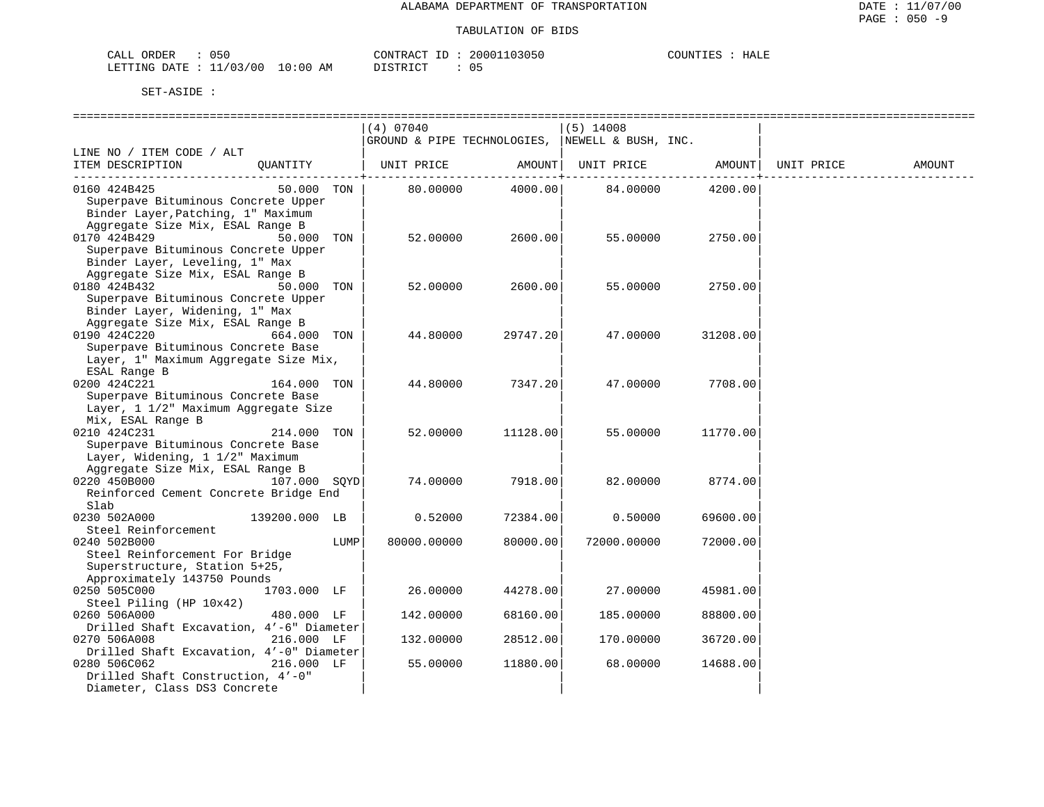| 050<br>CALL<br>ORDER        |             | CONTRACT<br>ĹD  | 20001103050 | COUNTIES<br>HALE |
|-----------------------------|-------------|-----------------|-------------|------------------|
| 1/03/00<br>LETTING DATE : 1 | 10:00<br>AΜ | יחי הדפידי את ה | ັບ          |                  |

|                                                                  |      | (4) 07040                                       |                    | $(5)$ 14008       |          |            |        |
|------------------------------------------------------------------|------|-------------------------------------------------|--------------------|-------------------|----------|------------|--------|
|                                                                  |      | GROUND & PIPE TECHNOLOGIES, NEWELL & BUSH, INC. |                    |                   |          |            |        |
| LINE NO / ITEM CODE / ALT                                        |      |                                                 |                    |                   |          |            |        |
| ITEM DESCRIPTION<br>OUANTITY                                     |      | UNIT PRICE                                      | AMOUNT             | UNIT PRICE AMOUNT |          | UNIT PRICE | AMOUNT |
| 0160 424B425<br>50.000 TON                                       |      | 80.00000                                        | -------<br>4000.00 | 84.00000          | 4200.00  |            |        |
| Superpave Bituminous Concrete Upper                              |      |                                                 |                    |                   |          |            |        |
| Binder Layer, Patching, 1" Maximum                               |      |                                                 |                    |                   |          |            |        |
| Aggregate Size Mix, ESAL Range B                                 |      |                                                 |                    |                   |          |            |        |
| 0170 424B429<br>50.000 TON                                       |      | 52.00000                                        | 2600.00            | 55.00000          | 2750.00  |            |        |
| Superpave Bituminous Concrete Upper                              |      |                                                 |                    |                   |          |            |        |
| Binder Layer, Leveling, 1" Max                                   |      |                                                 |                    |                   |          |            |        |
| Aggregate Size Mix, ESAL Range B                                 |      |                                                 |                    |                   |          |            |        |
| 0180 424B432<br>50.000 TON                                       |      | 52.00000                                        | 2600.00            | 55.00000          | 2750.00  |            |        |
| Superpave Bituminous Concrete Upper                              |      |                                                 |                    |                   |          |            |        |
| Binder Layer, Widening, 1" Max                                   |      |                                                 |                    |                   |          |            |        |
| Aggregate Size Mix, ESAL Range B                                 |      |                                                 |                    |                   |          |            |        |
| 0190 424C220<br>664.000 TON                                      |      | 44.80000                                        | 29747.20           | 47.00000          | 31208.00 |            |        |
| Superpave Bituminous Concrete Base                               |      |                                                 |                    |                   |          |            |        |
| Layer, 1" Maximum Aggregate Size Mix,                            |      |                                                 |                    |                   |          |            |        |
| ESAL Range B                                                     |      |                                                 |                    |                   |          |            |        |
| 0200 424C221<br>164.000 TON                                      |      | 44.80000                                        | 7347.20            | 47.00000          | 7708.00  |            |        |
| Superpave Bituminous Concrete Base                               |      |                                                 |                    |                   |          |            |        |
| Layer, 1 1/2" Maximum Aggregate Size                             |      |                                                 |                    |                   |          |            |        |
| Mix, ESAL Range B                                                |      |                                                 |                    |                   |          |            |        |
| 0210 424C231<br>214.000 TON                                      |      | 52.00000                                        | 11128.00           | 55.00000          | 11770.00 |            |        |
| Superpave Bituminous Concrete Base                               |      |                                                 |                    |                   |          |            |        |
| Layer, Widening, 1 1/2" Maximum                                  |      |                                                 |                    |                   |          |            |        |
| Aggregate Size Mix, ESAL Range B<br>107.000 SQYD<br>0220 450B000 |      | 74.00000                                        | 7918.00            | 82.00000          | 8774.00  |            |        |
| Reinforced Cement Concrete Bridge End                            |      |                                                 |                    |                   |          |            |        |
| Slab                                                             |      |                                                 |                    |                   |          |            |        |
| 0230 502A000<br>139200.000 LB                                    |      | 0.52000                                         | 72384.00           | 0.50000           | 69600.00 |            |        |
| Steel Reinforcement                                              |      |                                                 |                    |                   |          |            |        |
| 0240 502B000                                                     | LUMP | 80000.00000                                     | 80000.00           | 72000.00000       | 72000.00 |            |        |
| Steel Reinforcement For Bridge                                   |      |                                                 |                    |                   |          |            |        |
| Superstructure, Station 5+25,                                    |      |                                                 |                    |                   |          |            |        |
| Approximately 143750 Pounds                                      |      |                                                 |                    |                   |          |            |        |
| 0250 505C000<br>1703.000 LF                                      |      | 26.00000                                        | 44278.00           | 27.00000          | 45981.00 |            |        |
| Steel Piling (HP 10x42)                                          |      |                                                 |                    |                   |          |            |        |
| 0260 506A000<br>480.000 LF                                       |      | 142.00000                                       | 68160.00           | 185.00000         | 88800.00 |            |        |
| Drilled Shaft Excavation, 4'-6" Diameter                         |      |                                                 |                    |                   |          |            |        |
| 0270 506A008<br>216.000 LF                                       |      | 132.00000                                       | 28512.00           | 170.00000         | 36720.00 |            |        |
| Drilled Shaft Excavation, 4'-0" Diameter                         |      |                                                 |                    |                   |          |            |        |
| 0280 506C062<br>216.000 LF                                       |      | 55.00000                                        | 11880.00           | 68.00000          | 14688.00 |            |        |
| Drilled Shaft Construction, 4'-0"                                |      |                                                 |                    |                   |          |            |        |
| Diameter, Class DS3 Concrete                                     |      |                                                 |                    |                   |          |            |        |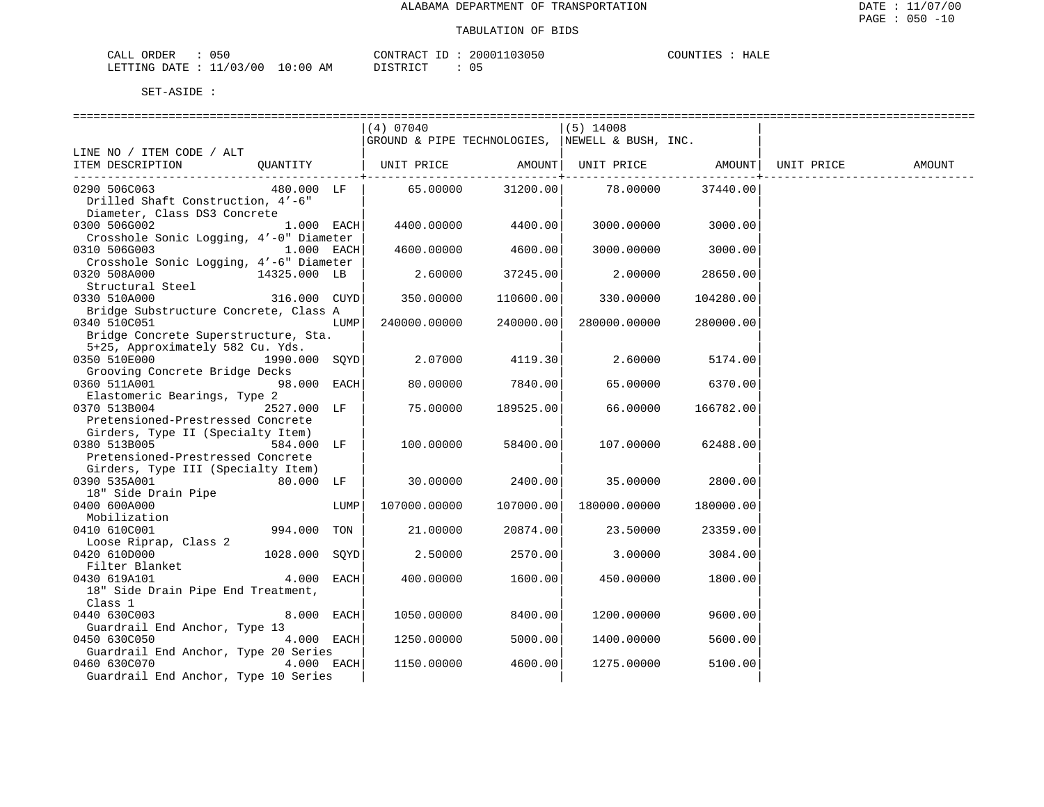| ORDER<br>CALL           | 050 |            | CONTRACT ID:          | 20001103050 | COUNTIES | HALE |
|-------------------------|-----|------------|-----------------------|-------------|----------|------|
| LETTING DATE : 11/03/00 |     | $10:00$ AM | DISTRICT<br>--------- | 05          |          |      |

|                                                         |               |      | (4) 07040<br>GROUND & PIPE TECHNOLOGIES, NEWELL & BUSH, INC. |           | $(5)$ 14008       |           |                                                      |        |
|---------------------------------------------------------|---------------|------|--------------------------------------------------------------|-----------|-------------------|-----------|------------------------------------------------------|--------|
| LINE NO / ITEM CODE / ALT                               |               |      |                                                              |           |                   |           |                                                      |        |
| ITEM DESCRIPTION                                        |               |      | OUANTITY   UNIT PRICE                                        |           |                   |           | AMOUNT  UNIT PRICE               AMOUNT   UNIT PRICE | AMOUNT |
| 0290 506C063<br>Drilled Shaft Construction, 4'-6"       | 480.000 LF    |      | 65.00000                                                     |           | 31200.00 78.00000 | 37440.00  |                                                      |        |
| Diameter, Class DS3 Concrete                            |               |      |                                                              |           |                   |           |                                                      |        |
| 0300 506G002                                            | $1.000$ EACH  |      | 4400.00000                                                   | 4400.00   | 3000.00000        | 3000.00   |                                                      |        |
| Crosshole Sonic Logging, 4'-0" Diameter<br>0310 506G003 |               |      |                                                              | 4600.00   |                   |           |                                                      |        |
| $1.000$ EACH<br>Crosshole Sonic Logging, 4'-6" Diameter |               |      | 4600.00000                                                   |           | 3000.00000        | 3000.00   |                                                      |        |
| 0320 508A000                                            | 14325.000 LB  |      | 2.60000                                                      | 37245.00  | 2.00000           | 28650.00  |                                                      |        |
| Structural Steel                                        |               |      |                                                              |           |                   |           |                                                      |        |
| 0330 510A000                                            | 316.000 CUYD  |      | 350.00000                                                    | 110600.00 | 330.00000         | 104280.00 |                                                      |        |
| Bridge Substructure Concrete, Class A                   |               |      |                                                              |           |                   |           |                                                      |        |
| 0340 510C051                                            |               | LUMP | 240000.00000                                                 | 240000.00 | 280000.00000      | 280000.00 |                                                      |        |
| Bridge Concrete Superstructure, Sta.                    |               |      |                                                              |           |                   |           |                                                      |        |
| 5+25, Approximately 582 Cu. Yds.                        |               |      |                                                              |           |                   |           |                                                      |        |
| 0350 510E000                                            | 1990.000 SQYD |      | 2.07000                                                      | 4119.30   | 2.60000           | 5174.00   |                                                      |        |
| Grooving Concrete Bridge Decks                          |               |      |                                                              |           |                   |           |                                                      |        |
| 0360 511A001                                            | $98.000$ EACH |      | 80.00000                                                     | 7840.00   | 65.00000          | 6370.00   |                                                      |        |
| Elastomeric Bearings, Type 2                            |               |      |                                                              |           |                   |           |                                                      |        |
| 0370 513B004                                            | 2527.000 LF   |      | 75.00000                                                     | 189525.00 | 66.00000          | 166782.00 |                                                      |        |
| Pretensioned-Prestressed Concrete                       |               |      |                                                              |           |                   |           |                                                      |        |
| Girders, Type II (Specialty Item)                       |               |      |                                                              |           |                   |           |                                                      |        |
| 0380 513B005                                            | 584.000 LF    |      | 100.00000                                                    | 58400.00  | 107.00000         | 62488.00  |                                                      |        |
| Pretensioned-Prestressed Concrete                       |               |      |                                                              |           |                   |           |                                                      |        |
| Girders, Type III (Specialty Item)                      |               |      |                                                              |           |                   |           |                                                      |        |
| 0390 535A001<br>18" Side Drain Pipe                     |               |      | 30.00000                                                     | 2400.00   | 35.00000          | 2800.00   |                                                      |        |
| 0400 600A000                                            |               | LUMP | 107000.00000                                                 | 107000.00 | 180000.00000      | 180000.00 |                                                      |        |
| Mobilization                                            |               |      |                                                              |           |                   |           |                                                      |        |
| 0410 610C001                                            | 994.000 TON   |      | 21,00000                                                     | 20874.00  | 23.50000          | 23359.00  |                                                      |        |
| Loose Riprap, Class 2                                   |               |      |                                                              |           |                   |           |                                                      |        |
| 0420 610D000                                            | 1028.000 SOYD |      | 2.50000                                                      | 2570.00   | 3.00000           | 3084.00   |                                                      |        |
| Filter Blanket<br>Filter Blanket                        |               |      |                                                              |           |                   |           |                                                      |        |
| 0430 619A101                                            | $4.000$ EACH  |      | 400.00000                                                    | 1600.00   | 450.00000         | 1800.00   |                                                      |        |
| 18" Side Drain Pipe End Treatment,                      |               |      |                                                              |           |                   |           |                                                      |        |
| Class 1                                                 |               |      |                                                              |           |                   |           |                                                      |        |
| 0440 630C003                                            | $8.000$ EACH  |      | 1050.00000                                                   | 8400.00   | 1200.00000        | 9600.00   |                                                      |        |
| Guardrail End Anchor, Type 13                           |               |      |                                                              |           |                   |           |                                                      |        |
| 0450 630C050                                            | $4.000$ EACH  |      | 1250.00000                                                   | 5000.00   | 1400.00000        | 5600.00   |                                                      |        |
| Guardrail End Anchor, Type 20 Series                    |               |      |                                                              |           |                   |           |                                                      |        |
| 0460 630C070                                            | $4.000$ EACH  |      | 1150.00000                                                   | 4600.00   | 1275.00000        | 5100.00   |                                                      |        |
| Guardrail End Anchor, Type 10 Series                    |               |      |                                                              |           |                   |           |                                                      |        |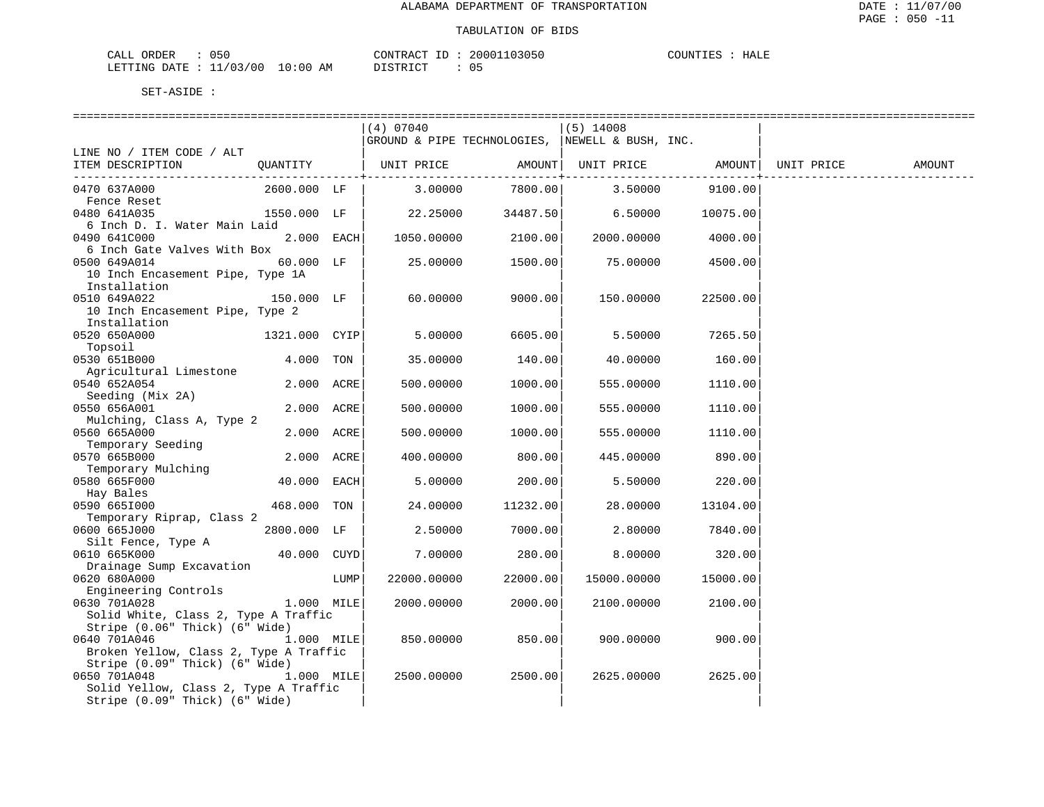| 050<br>ORDER<br>CALL (        |                        | ID<br>CONTRACT     | 20001103050 | COUNTIES<br>HALE |
|-------------------------------|------------------------|--------------------|-------------|------------------|
| 11<br>LETTING DATE: '<br>-- - | ⊥/03/00<br>10:00<br>ΆM | DI STR TAT<br>---- | 05          |                  |

|                                        |               |      | (4) 07040                                       |               | $(5)$ 14008 |                   |            |        |
|----------------------------------------|---------------|------|-------------------------------------------------|---------------|-------------|-------------------|------------|--------|
|                                        |               |      | GROUND & PIPE TECHNOLOGIES, NEWELL & BUSH, INC. |               |             |                   |            |        |
| LINE NO / ITEM CODE / ALT              |               |      |                                                 |               |             |                   |            |        |
| ITEM DESCRIPTION                       | QUANTITY      |      | UNIT PRICE                                      | AMOUNT        |             | UNIT PRICE AMOUNT | UNIT PRICE | AMOUNT |
|                                        |               |      |                                                 | ------------+ |             | ---------------   |            |        |
| 0470 637A000                           | 2600.000 LF   |      | 3.00000                                         | 7800.00       | 3.50000     | 9100.00           |            |        |
| Fence Reset                            |               |      |                                                 |               |             |                   |            |        |
| 0480 641A035                           | 1550.000 LF   |      | 22.25000                                        | 34487.50      | 6.50000     | 10075.00          |            |        |
| 6 Inch D. I. Water Main Laid           |               |      |                                                 |               |             |                   |            |        |
| 0490 641C000                           | $2.000$ EACH  |      | 1050.00000                                      | 2100.00       | 2000.00000  | 4000.00           |            |        |
| 6 Inch Gate Valves With Box            |               |      |                                                 |               |             |                   |            |        |
| 0500 649A014                           | 60.000 LF     |      | 25.00000                                        | 1500.00       | 75.00000    | 4500.00           |            |        |
| 10 Inch Encasement Pipe, Type 1A       |               |      |                                                 |               |             |                   |            |        |
| Installation                           |               |      |                                                 |               |             |                   |            |        |
| 0510 649A022                           | 150.000 LF    |      | 60.00000                                        | 9000.00       | 150.00000   | 22500.00          |            |        |
| 10 Inch Encasement Pipe, Type 2        |               |      |                                                 |               |             |                   |            |        |
| Installation                           |               |      |                                                 |               |             |                   |            |        |
| 0520 650A000                           | 1321.000 CYIP |      | 5.00000                                         | 6605.00       | 5.50000     | 7265.50           |            |        |
| Topsoil                                |               |      |                                                 |               |             |                   |            |        |
| 0530 651B000                           | 4.000 TON     |      | 35.00000                                        | 140.00        | 40.00000    | 160.00            |            |        |
| Agricultural Limestone                 |               |      |                                                 |               |             |                   |            |        |
| 0540 652A054                           | 2.000 ACRE    |      | 500.00000                                       | 1000.00       | 555.00000   | 1110.00           |            |        |
| Seeding (Mix 2A)                       |               |      |                                                 |               |             |                   |            |        |
| 0550 656A001                           | 2.000 ACRE    |      | 500.00000                                       | 1000.00       | 555.00000   | 1110.00           |            |        |
| Mulching, Class A, Type 2              |               |      |                                                 |               |             |                   |            |        |
| 0560 665A000                           | 2.000 ACRE    |      | 500.00000                                       | 1000.00       | 555.00000   | 1110.00           |            |        |
| Temporary Seeding                      |               |      |                                                 |               |             |                   |            |        |
| 0570 665B000                           | 2.000 ACRE    |      | 400.00000                                       | 800.00        | 445.00000   | 890.00            |            |        |
| Temporary Mulching                     |               |      |                                                 |               |             |                   |            |        |
| 0580 665F000                           | 40.000        | EACH | 5.00000                                         | 200.00        | 5.50000     | 220.00            |            |        |
| Hay Bales                              |               |      |                                                 |               |             |                   |            |        |
| 0590 6651000                           | 468.000 TON   |      | 24.00000                                        | 11232.00      | 28.00000    | 13104.00          |            |        |
| Temporary Riprap, Class 2              |               |      |                                                 |               |             |                   |            |        |
| 0600 665J000                           | 2800.000 LF   |      | 2.50000                                         | 7000.00       | 2.80000     | 7840.00           |            |        |
| Silt Fence, Type A                     |               |      |                                                 |               |             |                   |            |        |
| 0610 665K000                           | 40.000 CUYD   |      | 7.00000                                         | 280.00        | 8.00000     | 320.00            |            |        |
| Drainage Sump Excavation               |               |      |                                                 |               |             |                   |            |        |
| 0620 680A000                           |               | LUMP | 22000.00000                                     | 22000.00      | 15000.00000 | 15000.00          |            |        |
| Engineering Controls                   |               |      |                                                 |               |             |                   |            |        |
| 0630 701A028                           | 1.000 MILE    |      | 2000.00000                                      | 2000.00       | 2100.00000  | 2100.00           |            |        |
| Solid White, Class 2, Type A Traffic   |               |      |                                                 |               |             |                   |            |        |
| Stripe (0.06" Thick) (6" Wide)         |               |      |                                                 |               |             |                   |            |        |
| 1.000 MILE<br>0640 701A046             |               |      | 850.00000                                       | 850.00        | 900.00000   | 900.00            |            |        |
| Broken Yellow, Class 2, Type A Traffic |               |      |                                                 |               |             |                   |            |        |
| Stripe (0.09" Thick) (6" Wide)         |               |      |                                                 |               |             |                   |            |        |
| 0650 701A048                           | 1.000 MILE    |      | 2500.00000                                      | 2500.00       | 2625.00000  | 2625.00           |            |        |
| Solid Yellow, Class 2, Type A Traffic  |               |      |                                                 |               |             |                   |            |        |
| Stripe (0.09" Thick) (6" Wide)         |               |      |                                                 |               |             |                   |            |        |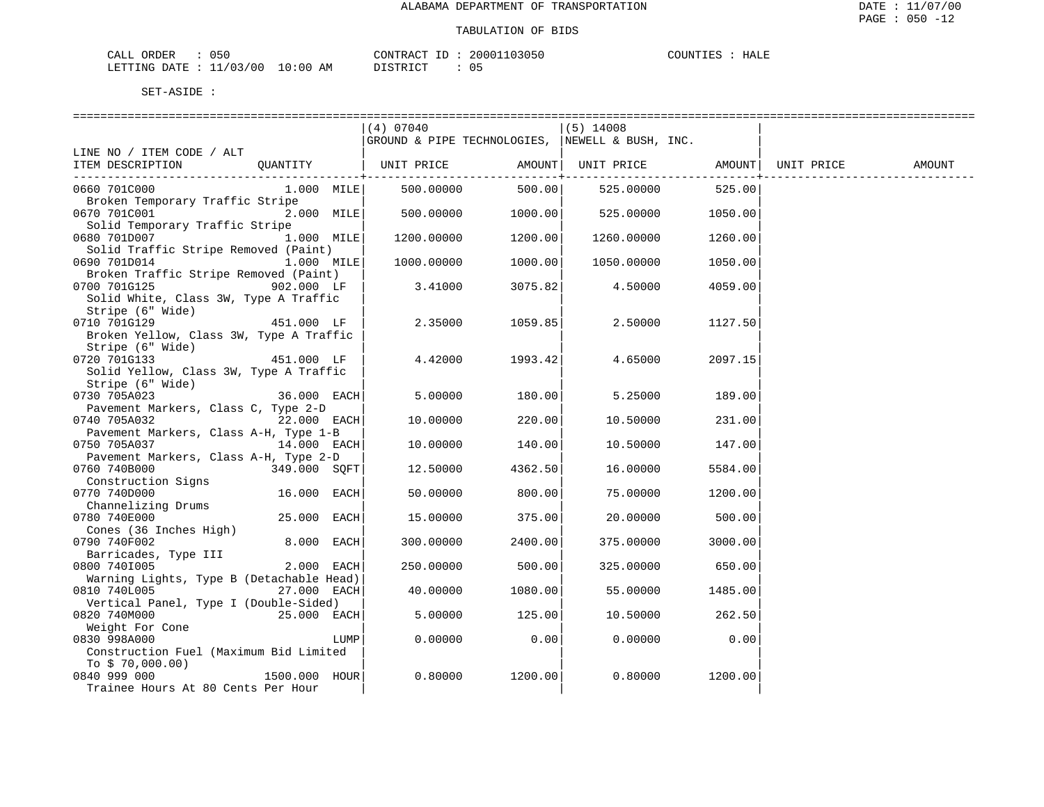| CALL ORDER                      | 050 | CONTRACT<br>TD : | 20001103050 | COUNTIES | HALE |
|---------------------------------|-----|------------------|-------------|----------|------|
| LETTING DATE: 11/03/00 10:00 AM |     | <b>DISTRICT</b>  |             |          |      |

|                                          |               |      | (4) 07040                                       |               | $(5)$ 14008        |               |            |        |
|------------------------------------------|---------------|------|-------------------------------------------------|---------------|--------------------|---------------|------------|--------|
|                                          |               |      | GROUND & PIPE TECHNOLOGIES, NEWELL & BUSH, INC. |               |                    |               |            |        |
| LINE NO / ITEM CODE / ALT                |               |      |                                                 |               |                    |               |            |        |
| ITEM DESCRIPTION                         | OUANTITY      |      | UNIT PRICE                                      |               | AMOUNT  UNIT PRICE | AMOUNT        | UNIT PRICE | AMOUNT |
|                                          |               |      |                                                 | -----------+- |                    | ------------+ |            |        |
| 0660 701C000                             | $1.000$ MILE  |      | 500.00000                                       | 500.00        | 525.00000          | 525.00        |            |        |
| Broken Temporary Traffic Stripe          |               |      |                                                 |               |                    |               |            |        |
| 0670 701C001                             | 2.000 MILE    |      | 500.00000                                       | 1000.00       | 525.00000          | 1050.00       |            |        |
| Solid Temporary Traffic Stripe           |               |      |                                                 |               |                    |               |            |        |
| 0680 701D007                             | 1.000 MILE    |      | 1200.00000                                      | 1200.00       | 1260.00000         | 1260.00       |            |        |
| Solid Traffic Stripe Removed (Paint)     |               |      |                                                 |               |                    |               |            |        |
| 0690 701D014                             | 1.000 MILE    |      | 1000.00000                                      | 1000.00       | 1050.00000         | 1050.00       |            |        |
| Broken Traffic Stripe Removed (Paint)    |               |      |                                                 |               |                    |               |            |        |
| 0700 701G125                             | $902.000$ LF  |      | 3.41000                                         | 3075.82       | 4.50000            | 4059.00       |            |        |
| Solid White, Class 3W, Type A Traffic    |               |      |                                                 |               |                    |               |            |        |
| Stripe (6" Wide)                         |               |      |                                                 |               |                    |               |            |        |
| 0710 701G129                             | 451.000 LF    |      | 2.35000                                         | 1059.85       | 2.50000            | 1127.50       |            |        |
| Broken Yellow, Class 3W, Type A Traffic  |               |      |                                                 |               |                    |               |            |        |
| Stripe (6" Wide)                         |               |      |                                                 |               |                    |               |            |        |
| 0720 701G133                             | 451.000 LF    |      | 4.42000                                         | 1993.42       | 4.65000            | 2097.15       |            |        |
| Solid Yellow, Class 3W, Type A Traffic   |               |      |                                                 |               |                    |               |            |        |
| Stripe (6" Wide)                         |               |      |                                                 |               |                    |               |            |        |
| 0730 705A023                             | 36.000 EACH   |      | 5.00000                                         | 180.00        | 5.25000            | 189.00        |            |        |
| Pavement Markers, Class C, Type 2-D      |               |      |                                                 |               |                    |               |            |        |
| 0740 705A032                             | $22.000$ EACH |      | 10.00000                                        | 220.00        | 10.50000           | 231.00        |            |        |
| Pavement Markers, Class A-H, Type 1-B    |               |      |                                                 |               |                    |               |            |        |
| 0750 705A037                             | 14.000 EACH   |      | 10.00000                                        | 140.00        | 10.50000           | 147.00        |            |        |
| Pavement Markers, Class A-H, Type 2-D    |               |      |                                                 |               |                    |               |            |        |
| 0760 740B000                             | 349.000 SOFT  |      | 12.50000                                        | 4362.50       | 16.00000           | 5584.00       |            |        |
| Construction Signs                       |               |      |                                                 |               |                    |               |            |        |
| 0770 740D000                             | 16.000 EACH   |      | 50.00000                                        | 800.001       | 75.00000           | 1200.00       |            |        |
| Channelizing Drums                       |               |      |                                                 |               |                    |               |            |        |
| 0780 740E000                             | 25.000 EACH   |      | 15.00000                                        | 375.00        | 20.00000           | 500.00        |            |        |
| Cones (36 Inches High)                   |               |      |                                                 |               |                    |               |            |        |
| 0790 740F002                             | 8.000 EACH    |      | 300.00000                                       | 2400.00       | 375.00000          | 3000.00       |            |        |
| Barricades, Type III                     |               |      |                                                 |               |                    |               |            |        |
| 0800 7401005                             | 2.000 EACH    |      | 250.00000                                       | 500.00        | 325.00000          | 650.00        |            |        |
| Warning Lights, Type B (Detachable Head) |               |      |                                                 |               |                    |               |            |        |
| 0810 740L005                             | 27.000 EACH   |      | 40.00000                                        | 1080.00       | 55.00000           | 1485.00       |            |        |
| Vertical Panel, Type I (Double-Sided)    |               |      |                                                 |               |                    |               |            |        |
| 0820 740M000                             | 25.000 EACH   |      | 5.00000                                         | 125.00        | 10.50000           | 262.50        |            |        |
| Weight For Cone                          |               |      |                                                 |               |                    |               |            |        |
| 0830 998A000                             |               | LUMP | 0.00000                                         | 0.00          | 0.00000            | 0.00          |            |        |
| Construction Fuel (Maximum Bid Limited   |               |      |                                                 |               |                    |               |            |        |
| To $$70,000.00)$                         |               |      |                                                 |               |                    |               |            |        |
| 0840 999 000                             | 1500.000 HOUR |      | 0.80000                                         | 1200.00       | 0.80000            | 1200.00       |            |        |
| Trainee Hours At 80 Cents Per Hour       |               |      |                                                 |               |                    |               |            |        |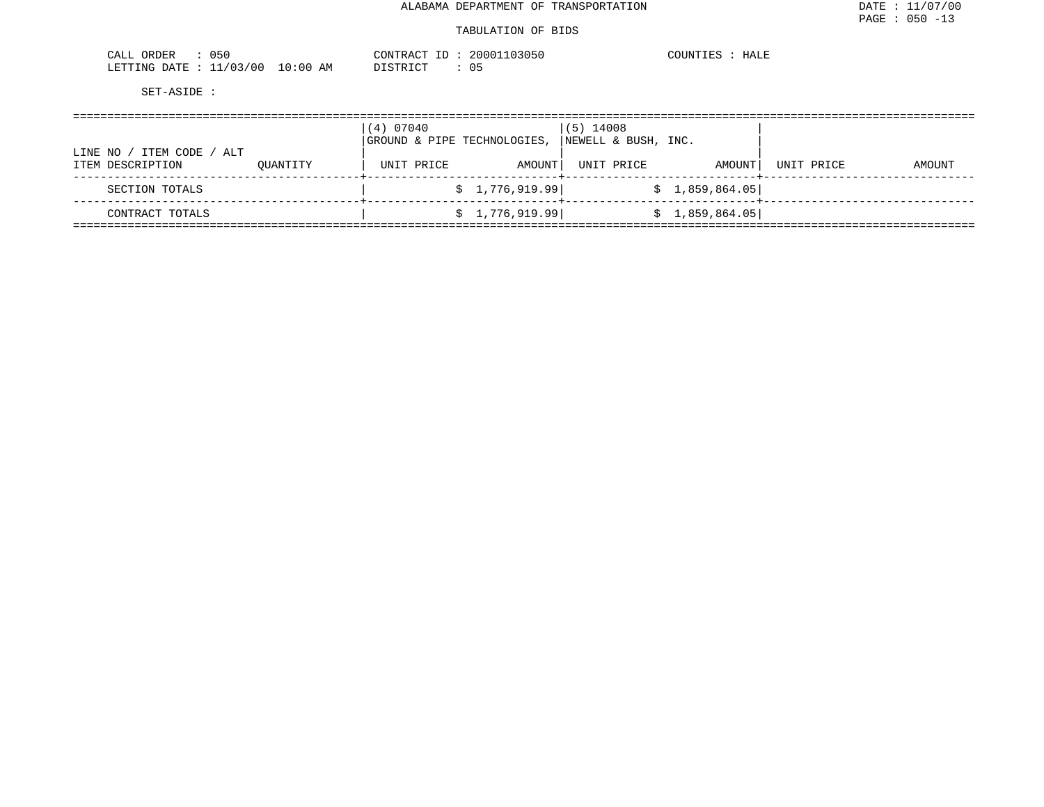| 050<br>ORDER<br>$\sim$ $ -$<br>CALL           |                 | $\gamma$ $\gamma$ $\gamma$ $\Gamma$<br>$\rightarrow$ $\rightarrow$ $\Delta$ $\sim$ $\sim$ | ، ۱۵ ۵<br>. 43050 | TNET.<br>чытк |
|-----------------------------------------------|-----------------|-------------------------------------------------------------------------------------------|-------------------|---------------|
| $\sqrt{2}$<br>LETTING<br>.)ATF<br>70٢<br>____ | AΜ<br>$\div 00$ | - 200<br>. ∟ .                                                                            | ັັ                |               |

|                             |          | (4) 07040  |                             | $(5)$ 14008         |                 |            |        |
|-----------------------------|----------|------------|-----------------------------|---------------------|-----------------|------------|--------|
| ITEM CODE<br>ALT<br>LINE NO |          |            | GROUND & PIPE TECHNOLOGIES, | NEWELL & BUSH, INC. |                 |            |        |
| ITEM DESCRIPTION            | OUANTITY | UNIT PRICE | AMOUNT                      | UNIT PRICE          | AMOUNT          | UNIT PRICE | AMOUNT |
| SECTION TOTALS              |          |            | \$1,776,919.99]             |                     | \$1,859,864.05] |            |        |
| CONTRACT TOTALS             |          |            | \$1,776,919.99]             |                     | \$1,859,864.05  |            |        |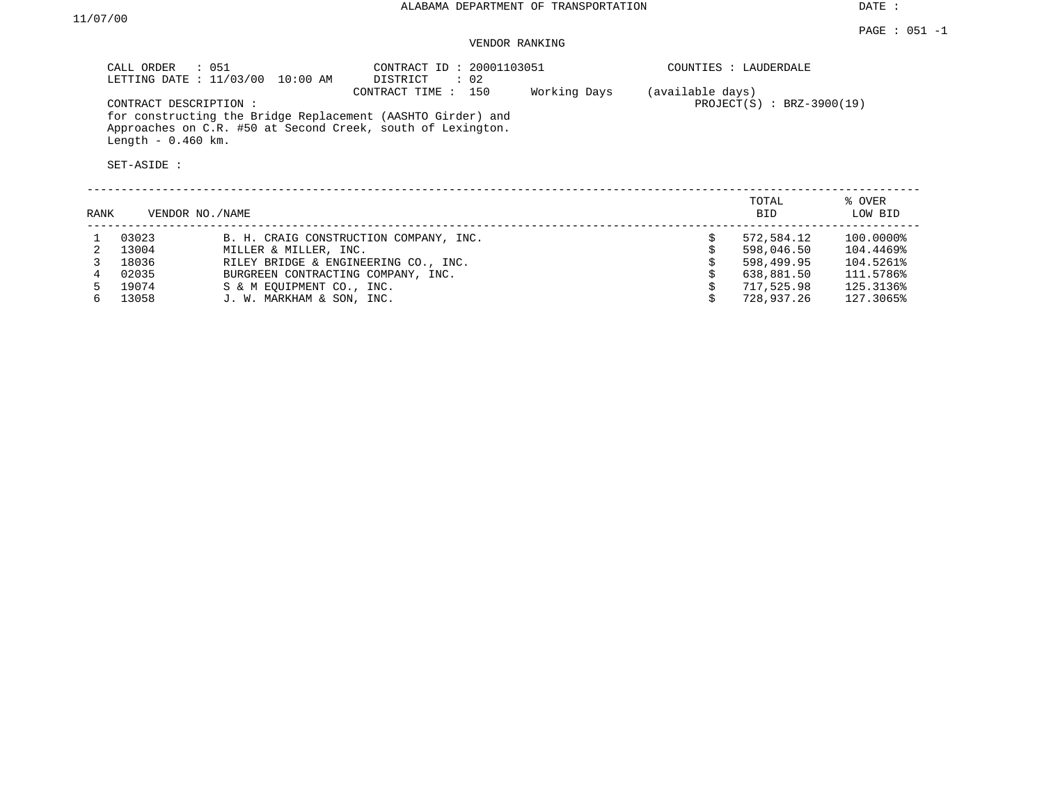# VENDOR RANKING

| CALL ORDER : 051<br>LETTING DATE : $11/03/00$                                      | 10:00 AM | CONTRACT ID: 20001103051<br>DISTRICT | $\therefore$ 02 |              | COUNTIES : LAUDERDALE                           |
|------------------------------------------------------------------------------------|----------|--------------------------------------|-----------------|--------------|-------------------------------------------------|
| CONTRACT DESCRIPTION:                                                              |          | CONTRACT TIME : 150                  |                 | Working Days | (available days)<br>$PROJECT(S)$ : BRZ-3900(19) |
| for constructing the Bridge Replacement (AASHTO Girder) and                        |          |                                      |                 |              |                                                 |
| Approaches on C.R. #50 at Second Creek, south of Lexington.<br>Length $-0.460$ km. |          |                                      |                 |              |                                                 |

| RANK |       | VENDOR NO./NAME                        | TOTAL<br><b>BID</b> | % OVER<br>LOW BID |
|------|-------|----------------------------------------|---------------------|-------------------|
|      | 03023 | B. H. CRAIG CONSTRUCTION COMPANY, INC. | 572,584.12          | 100.0000%         |
|      | 13004 | MILLER & MILLER, INC.                  | 598,046.50          | 104.4469%         |
|      | 18036 | RILEY BRIDGE & ENGINEERING CO., INC.   | 598,499.95          | 104.5261%         |
|      | 02035 | BURGREEN CONTRACTING COMPANY, INC.     | 638,881.50          | 111.5786%         |
|      | 19074 | S & M EOUIPMENT CO., INC.              | 717,525.98          | 125.3136%         |
|      | 13058 | J. W. MARKHAM & SON, INC.              | 728,937.26          | 127.3065%         |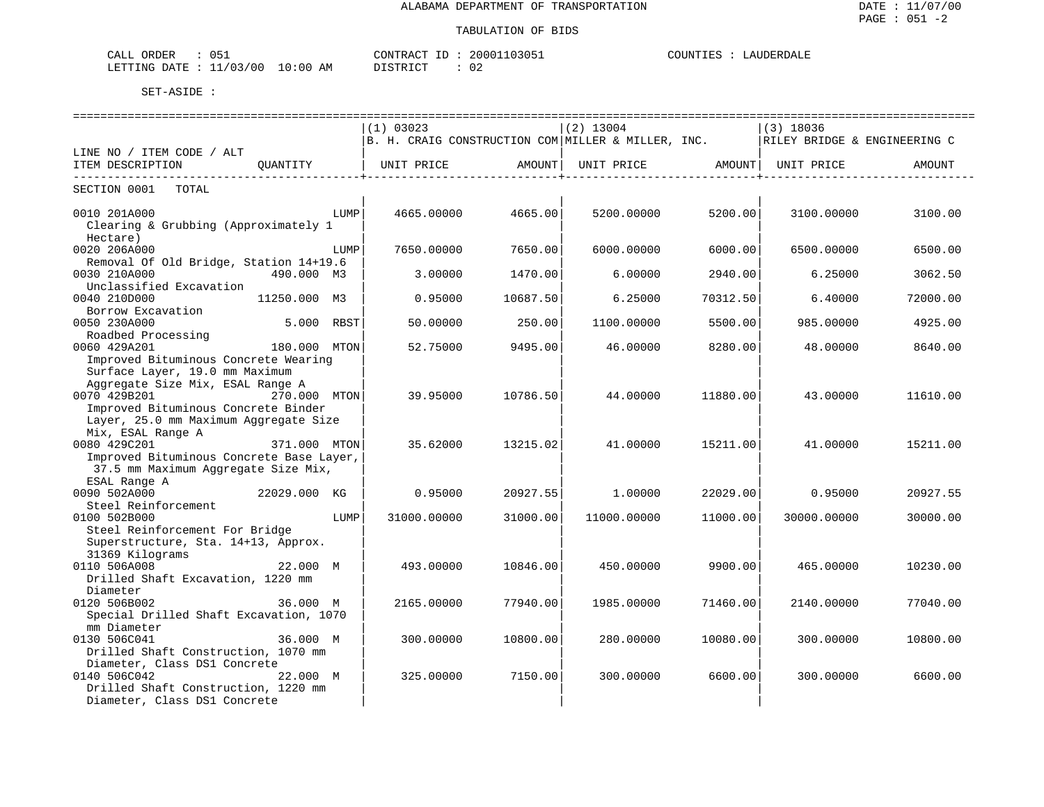| 051<br>ORDER<br>CALL       |            | CONTRACT ID      | 20001103051 | COUNTIES<br>LAUDERDALE |
|----------------------------|------------|------------------|-------------|------------------------|
| : 11/03/00<br>LETTING DATE | $10:00$ AM | DISTRICT<br>---- | ∪∠          |                        |

|                                          |              |      | (1) 03023                                                                         |                        | $(2)$ 13004       |                        | $(3)$ 18036 |          |  |  |
|------------------------------------------|--------------|------|-----------------------------------------------------------------------------------|------------------------|-------------------|------------------------|-------------|----------|--|--|
|                                          |              |      | B. H. CRAIG CONSTRUCTION COM MILLER & MILLER, INC.   RILEY BRIDGE & ENGINEERING C |                        |                   |                        |             |          |  |  |
| LINE NO / ITEM CODE / ALT                |              |      |                                                                                   |                        |                   |                        |             |          |  |  |
| ITEM DESCRIPTION QUANTITY                |              |      | UNIT PRICE AMOUNT                                                                 | -------------------+-- | UNIT PRICE AMOUNT | --------------------+- | UNIT PRICE  | AMOUNT   |  |  |
| SECTION 0001 TOTAL                       |              |      |                                                                                   |                        |                   |                        |             |          |  |  |
| 0010 201A000                             |              | LUMP | 4665.00000                                                                        | 4665.00                | 5200.00000        | 5200.00                | 3100.00000  | 3100.00  |  |  |
| Clearing & Grubbing (Approximately 1     |              |      |                                                                                   |                        |                   |                        |             |          |  |  |
| Hectare)                                 |              |      |                                                                                   |                        |                   |                        |             |          |  |  |
| 0020 206A000                             |              | LUMP | 7650.00000                                                                        | 7650.00                | 6000.00000        | 6000.00                | 6500.00000  | 6500.00  |  |  |
| Removal Of Old Bridge, Station 14+19.6   |              |      |                                                                                   |                        |                   |                        |             |          |  |  |
| 0030 210A000                             | 490.000 M3   |      | 3.00000                                                                           | 1470.00                | 6.00000           | 2940.00                | 6.25000     | 3062.50  |  |  |
| Unclassified Excavation                  |              |      |                                                                                   |                        |                   |                        |             |          |  |  |
| 0040 210D000                             | 11250.000 M3 |      | 0.95000                                                                           | 10687.50               | 6.25000           | 70312.50               | 6.40000     | 72000.00 |  |  |
| Borrow Excavation                        |              |      |                                                                                   |                        |                   |                        |             |          |  |  |
| 0050 230A000                             | 5.000 RBST   |      | 50.00000                                                                          | 250.00                 | 1100.00000        | 5500.00                | 985.00000   | 4925.00  |  |  |
| Roadbed Processing                       |              |      |                                                                                   |                        |                   |                        |             |          |  |  |
| 0060 429A201                             | 180.000 MTON |      | 52.75000                                                                          | 9495.00                | 46.00000          | 8280.00                | 48.00000    | 8640.00  |  |  |
| Improved Bituminous Concrete Wearing     |              |      |                                                                                   |                        |                   |                        |             |          |  |  |
| Surface Layer, 19.0 mm Maximum           |              |      |                                                                                   |                        |                   |                        |             |          |  |  |
| Aggregate Size Mix, ESAL Range A         |              |      |                                                                                   |                        |                   |                        |             |          |  |  |
| 0070 429B201<br>270.000 MTON             |              |      | 39.95000                                                                          | 10786.50               | 44.00000          | 11880.00               | 43.00000    | 11610.00 |  |  |
| Improved Bituminous Concrete Binder      |              |      |                                                                                   |                        |                   |                        |             |          |  |  |
| Layer, 25.0 mm Maximum Aggregate Size    |              |      |                                                                                   |                        |                   |                        |             |          |  |  |
| Mix, ESAL Range A                        |              |      |                                                                                   |                        |                   |                        |             |          |  |  |
| 0080 429C201                             | 371.000 MTON |      | 35.62000                                                                          | 13215.02               | 41.00000          | 15211.00               | 41,00000    | 15211.00 |  |  |
| Improved Bituminous Concrete Base Layer, |              |      |                                                                                   |                        |                   |                        |             |          |  |  |
| 37.5 mm Maximum Aggregate Size Mix,      |              |      |                                                                                   |                        |                   |                        |             |          |  |  |
| ESAL Range A                             |              |      |                                                                                   |                        |                   |                        |             |          |  |  |
| 0090 502A000<br>22029.000 KG             |              |      | 0.95000                                                                           | 20927.55               | 1,00000           | 22029.00               | 0.95000     | 20927.55 |  |  |
| Steel Reinforcement                      |              |      |                                                                                   |                        |                   |                        |             |          |  |  |
| 0100 502B000                             |              | LUMP | 31000.00000                                                                       | 31000.00               | 11000.00000       | 11000.00               | 30000.00000 | 30000.00 |  |  |
| Steel Reinforcement For Bridge           |              |      |                                                                                   |                        |                   |                        |             |          |  |  |
| Superstructure, Sta. 14+13, Approx.      |              |      |                                                                                   |                        |                   |                        |             |          |  |  |
| 31369 Kilograms                          |              |      |                                                                                   |                        |                   |                        |             |          |  |  |
| 0110 506A008                             | 22.000 M     |      | 493.00000                                                                         | 10846.00               | 450.00000         | 9900.00                | 465.00000   | 10230.00 |  |  |
| Drilled Shaft Excavation, 1220 mm        |              |      |                                                                                   |                        |                   |                        |             |          |  |  |
| Diameter                                 |              |      |                                                                                   |                        |                   |                        |             |          |  |  |
| 0120 506B002                             | 36.000 M     |      | 2165.00000                                                                        | 77940.00               | 1985.00000        | 71460.00               | 2140.00000  | 77040.00 |  |  |
| Special Drilled Shaft Excavation, 1070   |              |      |                                                                                   |                        |                   |                        |             |          |  |  |
| mm Diameter                              |              |      |                                                                                   |                        |                   |                        |             |          |  |  |
| 0130 506C041                             | 36.000 M     |      | 300,00000                                                                         | 10800.00               | 280.00000         | 10080.00               | 300,00000   | 10800.00 |  |  |
| Drilled Shaft Construction, 1070 mm      |              |      |                                                                                   |                        |                   |                        |             |          |  |  |
| Diameter, Class DS1 Concrete             |              |      |                                                                                   |                        |                   |                        |             |          |  |  |
| 0140 506C042                             | 22.000 M     |      | 325.00000                                                                         | 7150.00                | 300.00000         | 6600.00                | 300,00000   | 6600.00  |  |  |
| Drilled Shaft Construction, 1220 mm      |              |      |                                                                                   |                        |                   |                        |             |          |  |  |
| Diameter, Class DS1 Concrete             |              |      |                                                                                   |                        |                   |                        |             |          |  |  |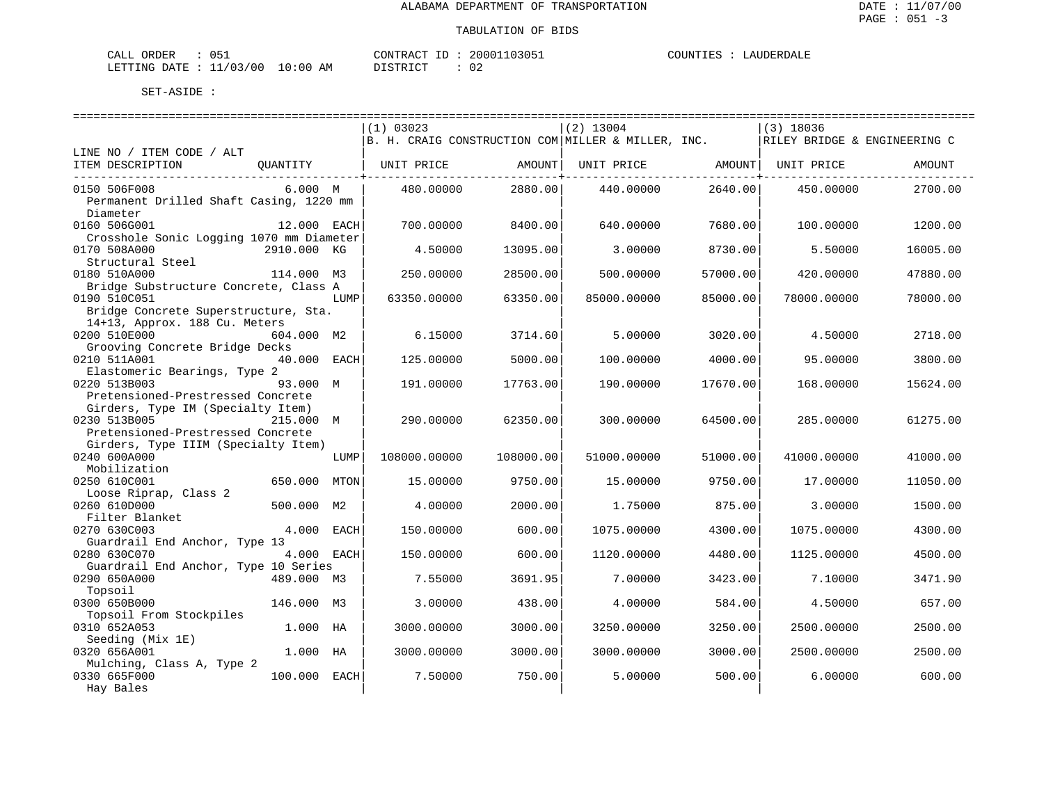| ORDER<br>CALL           |          | CONTRACT<br>ID : | 20001103051 | COUNTIES | LAUDERDALE |
|-------------------------|----------|------------------|-------------|----------|------------|
| LETTING DATE : 11/03/00 | 10:00 AM | DISTRICT         |             |          |            |

|                                          |              |      | (1) 03023                                          |           | $(2)$ 13004       |          | $(3)$ 18036                  |          |  |  |
|------------------------------------------|--------------|------|----------------------------------------------------|-----------|-------------------|----------|------------------------------|----------|--|--|
|                                          |              |      | B. H. CRAIG CONSTRUCTION COM MILLER & MILLER, INC. |           |                   |          | RILEY BRIDGE & ENGINEERING C |          |  |  |
| LINE NO / ITEM CODE / ALT                |              |      |                                                    |           |                   |          |                              |          |  |  |
| ITEM DESCRIPTION                         | OUANTITY     |      | UNIT PRICE                                         | AMOUNT    | UNIT PRICE AMOUNT |          | UNIT PRICE                   | AMOUNT   |  |  |
|                                          |              |      |                                                    |           |                   |          |                              |          |  |  |
| 0150 506F008                             | 6.000 M      |      | 480.00000                                          | 2880.00   | 440.00000         | 2640.00  | 450.00000                    | 2700.00  |  |  |
| Permanent Drilled Shaft Casing, 1220 mm  |              |      |                                                    |           |                   |          |                              |          |  |  |
| Diameter                                 |              |      |                                                    |           |                   |          |                              |          |  |  |
|                                          |              |      |                                                    |           |                   |          |                              |          |  |  |
| 0160 506G001                             | 12.000 EACH  |      | 700.00000                                          | 8400.00   | 640.00000         | 7680.00  | 100.00000                    | 1200.00  |  |  |
| Crosshole Sonic Logging 1070 mm Diameter |              |      |                                                    |           |                   |          |                              |          |  |  |
| 0170 508A000                             | 2910.000 KG  |      | 4.50000                                            | 13095.00  | 3.00000           | 8730.00  | 5.50000                      | 16005.00 |  |  |
| Structural Steel                         |              |      |                                                    |           |                   |          |                              |          |  |  |
| 0180 510A000                             | 114.000 M3   |      | 250.00000                                          | 28500.00  | 500.00000         | 57000.00 | 420.00000                    | 47880.00 |  |  |
| Bridge Substructure Concrete, Class A    |              |      |                                                    |           |                   |          |                              |          |  |  |
| 0190 510C051                             |              | LUMP | 63350.00000                                        | 63350.00  | 85000.00000       | 85000.00 | 78000.00000                  | 78000.00 |  |  |
| Bridge Concrete Superstructure, Sta.     |              |      |                                                    |           |                   |          |                              |          |  |  |
| 14+13, Approx. 188 Cu. Meters            |              |      |                                                    |           |                   |          |                              |          |  |  |
| 0200 510E000                             | 604.000 M2   |      | 6.15000                                            | 3714.60   | 5.00000           | 3020.00  | 4.50000                      | 2718.00  |  |  |
| Grooving Concrete Bridge Decks           |              |      |                                                    |           |                   |          |                              |          |  |  |
|                                          |              |      |                                                    |           |                   |          |                              |          |  |  |
| 0210 511A001                             | 40.000 EACH  |      | 125.00000                                          | 5000.00   | 100.00000         | 4000.00  | 95.00000                     | 3800.00  |  |  |
| Elastomeric Bearings, Type 2             |              |      |                                                    |           |                   |          |                              |          |  |  |
| 0220 513B003                             | 93.000 M     |      | 191.00000                                          | 17763.00  | 190.00000         | 17670.00 | 168,00000                    | 15624.00 |  |  |
| Pretensioned-Prestressed Concrete        |              |      |                                                    |           |                   |          |                              |          |  |  |
| Girders, Type IM (Specialty Item)        |              |      |                                                    |           |                   |          |                              |          |  |  |
| 0230 513B005                             | 215.000 M    |      | 290.00000                                          | 62350.00  | 300,00000         | 64500.00 | 285,00000                    | 61275.00 |  |  |
| Pretensioned-Prestressed Concrete        |              |      |                                                    |           |                   |          |                              |          |  |  |
| Girders, Type IIIM (Specialty Item)      |              |      |                                                    |           |                   |          |                              |          |  |  |
| 0240 600A000                             |              | LUMP | 108000.00000                                       | 108000.00 | 51000.00000       | 51000.00 | 41000.00000                  | 41000.00 |  |  |
| Mobilization                             |              |      |                                                    |           |                   |          |                              |          |  |  |
| 0250 610C001                             | 650.000      | MTON | 15.00000                                           | 9750.00   | 15.00000          | 9750.00  | 17.00000                     | 11050.00 |  |  |
| Loose Riprap, Class 2                    |              |      |                                                    |           |                   |          |                              |          |  |  |
| 0260 610D000                             | 500.000 M2   |      | 4.00000                                            | 2000.00   | 1.75000           | 875.00   | 3,00000                      | 1500.00  |  |  |
|                                          |              |      |                                                    |           |                   |          |                              |          |  |  |
| Filter Blanket                           |              |      |                                                    |           |                   |          |                              |          |  |  |
| 0270 630C003                             | 4.000 EACH   |      | 150.00000                                          | 600.00    | 1075.00000        | 4300.00  | 1075.00000                   | 4300.00  |  |  |
| Guardrail End Anchor, Type 13            |              |      |                                                    |           |                   |          |                              |          |  |  |
| 0280 630C070                             | 4.000 EACH   |      | 150.00000                                          | 600.00    | 1120.00000        | 4480.00  | 1125.00000                   | 4500.00  |  |  |
| Guardrail End Anchor, Type 10 Series     |              |      |                                                    |           |                   |          |                              |          |  |  |
| 0290 650A000                             | 489.000 M3   |      | 7.55000                                            | 3691.95   | 7.00000           | 3423.00  | 7.10000                      | 3471.90  |  |  |
| Topsoil                                  |              |      |                                                    |           |                   |          |                              |          |  |  |
| 0300 650B000                             | 146.000 M3   |      | 3.00000                                            | 438.00    | 4.00000           | 584.00   | 4.50000                      | 657.00   |  |  |
| Topsoil From Stockpiles                  |              |      |                                                    |           |                   |          |                              |          |  |  |
| 0310 652A053                             | 1.000 HA     |      | 3000.00000                                         | 3000.00   | 3250.00000        | 3250.00  | 2500.00000                   | 2500.00  |  |  |
| Seeding (Mix 1E)                         |              |      |                                                    |           |                   |          |                              |          |  |  |
| 0320 656A001                             | 1.000 HA     |      | 3000.00000                                         | 3000.00   | 3000.00000        | 3000.00  | 2500.00000                   | 2500.00  |  |  |
| Mulching, Class A, Type 2                |              |      |                                                    |           |                   |          |                              |          |  |  |
| 0330 665F000                             | 100.000 EACH |      | 7.50000                                            | 750.00    | 5.00000           | 500.00   | 6.00000                      | 600.00   |  |  |
|                                          |              |      |                                                    |           |                   |          |                              |          |  |  |
| Hay Bales                                |              |      |                                                    |           |                   |          |                              |          |  |  |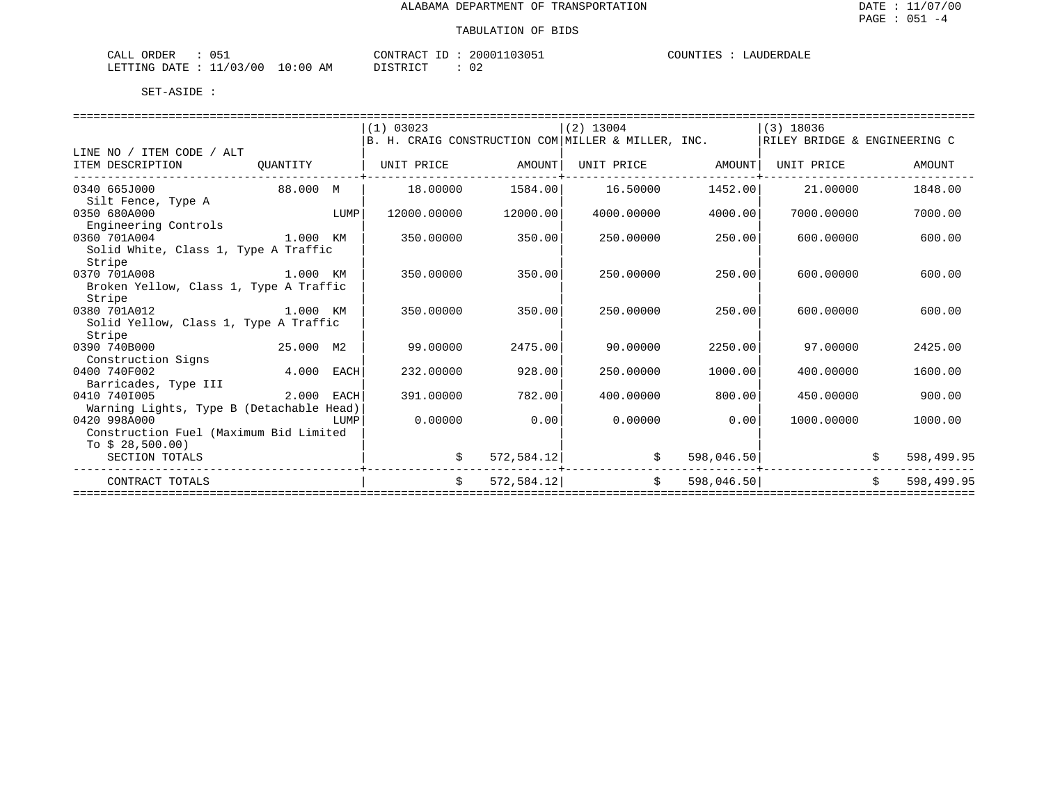| $\sim$ $ -$<br>ORDER<br>ד בי |                        | 20001<br>10305<br>CONTRACT | TIES<br>LAIIDERDALF<br>COUNT. |
|------------------------------|------------------------|----------------------------|-------------------------------|
| DATE<br>LETTING              | 10:00<br>1/03/00<br>AΜ | . .<br>∪∠                  |                               |

|                                          |           |             | (1) 03023   |             | $(2)$ 13004                                        |            | $(3)$ 18036                  |    |            |
|------------------------------------------|-----------|-------------|-------------|-------------|----------------------------------------------------|------------|------------------------------|----|------------|
|                                          |           |             |             |             | B. H. CRAIG CONSTRUCTION COM MILLER & MILLER, INC. |            | RILEY BRIDGE & ENGINEERING C |    |            |
| LINE NO / ITEM CODE / ALT                |           |             |             |             |                                                    |            |                              |    |            |
| ITEM DESCRIPTION                         | OUANTITY  |             | UNIT PRICE  | AMOUNT      | UNIT PRICE                                         | AMOUNT     | UNIT PRICE                   |    | AMOUNT     |
| 0340 665J000                             | 88.000 M  |             | 18,00000    | 1584.00     | 16.50000                                           | 1452.00    | 21,00000                     |    | 1848.00    |
| Silt Fence, Type A                       |           |             |             |             |                                                    |            |                              |    |            |
| 0350 680A000                             |           | LUMP        | 12000.00000 | 12000.00    | 4000.00000                                         | 4000.00    | 7000.00000                   |    | 7000.00    |
| Engineering Controls                     |           |             |             |             |                                                    |            |                              |    |            |
| 0360 701A004                             | 1.000 KM  |             | 350.00000   | 350.00      | 250.00000                                          | 250.00     | 600,00000                    |    | 600.00     |
| Solid White, Class 1, Type A Traffic     |           |             |             |             |                                                    |            |                              |    |            |
| Stripe                                   |           |             |             |             |                                                    |            |                              |    |            |
| 0370 701A008                             | 1.000 KM  |             | 350.00000   | 350.00      | 250.00000                                          | 250.00     | 600,00000                    |    | 600.00     |
| Broken Yellow, Class 1, Type A Traffic   |           |             |             |             |                                                    |            |                              |    |            |
| Stripe                                   |           |             |             |             |                                                    |            |                              |    |            |
| 0380 701A012                             | 1.000 KM  |             | 350.00000   | 350.00      | 250.00000                                          | 250.00     | 600,00000                    |    | 600.00     |
| Solid Yellow, Class 1, Type A Traffic    |           |             |             |             |                                                    |            |                              |    |            |
| Stripe                                   |           |             |             |             |                                                    |            |                              |    |            |
| 0390 740B000                             | 25.000 M2 |             | 99.00000    | 2475.00     | 90.00000                                           | 2250.00    | 97.00000                     |    | 2425.00    |
| Construction Signs                       |           |             |             |             |                                                    |            |                              |    |            |
| 0400 740F002                             | 4.000     | EACH        | 232.00000   | 928.00      | 250.00000                                          | 1000.00    | 400.00000                    |    | 1600.00    |
| Barricades, Type III                     |           |             |             |             |                                                    |            |                              |    |            |
| 0410 7401005                             | 2.000     | <b>EACH</b> | 391.00000   | 782.00      | 400.00000                                          | 800.00     | 450.00000                    |    | 900.00     |
| Warning Lights, Type B (Detachable Head) |           |             |             |             |                                                    |            |                              |    |            |
| 0420 998A000                             |           | LUMP        | 0.00000     | 0.00        | 0.00000                                            | 0.00       | 1000.00000                   |    | 1000.00    |
| Construction Fuel (Maximum Bid Limited   |           |             |             |             |                                                    |            |                              |    |            |
| To $$28,500.00$                          |           |             |             |             |                                                    |            |                              |    |            |
| SECTION TOTALS                           |           |             | \$          | 572, 584.12 |                                                    | 598,046.50 |                              |    | 598,499.95 |
| CONTRACT TOTALS                          |           |             | Ŝ.          | 572,584.12  | Ŝ.                                                 | 598,046.50 |                              | Ŝ. | 598,499.95 |
|                                          |           |             |             |             |                                                    |            |                              |    |            |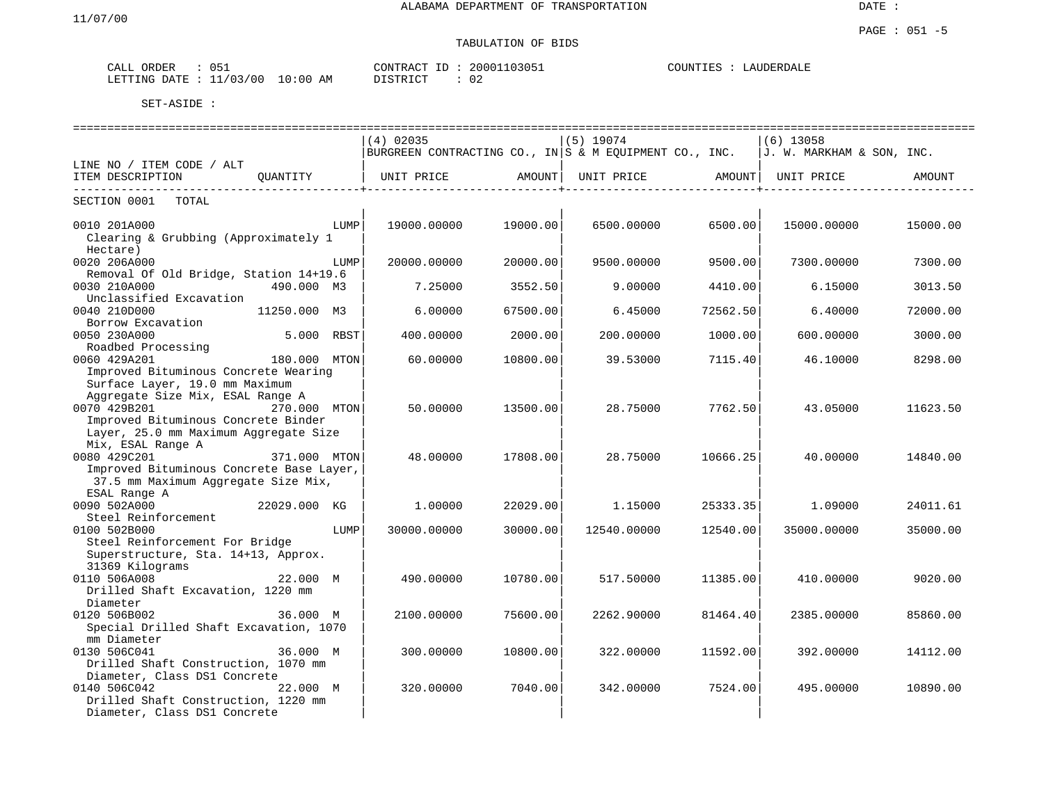# TABULATION OF BIDS

| CALL<br>ORDER | 150      |       | CONTRACT<br>T <sub>D</sub> | 20001103051 | COUNTIES<br>LAUDERDALE |
|---------------|----------|-------|----------------------------|-------------|------------------------|
| DATE          | 11/03/00 | 10:00 | ידי איד פידי פור           | $\cap$      |                        |
| LETTING       |          | AΜ    | <i>┙</i> ∸┘∸               | υz          |                        |

|                                                                                                                                                                    |              |      | $(4)$ 02035                                                              |               | $(5)$ 19074       |          | $(6)$ 13058               |          |
|--------------------------------------------------------------------------------------------------------------------------------------------------------------------|--------------|------|--------------------------------------------------------------------------|---------------|-------------------|----------|---------------------------|----------|
|                                                                                                                                                                    |              |      | $ {\tt BURGREEN}$ CONTRACTING CO., IN $ {\tt S}$ & M EQUIPMENT CO., INC. |               |                   |          | J. W. MARKHAM & SON, INC. |          |
| LINE NO / ITEM CODE / ALT                                                                                                                                          |              |      |                                                                          |               |                   |          |                           |          |
| ITEM DESCRIPTION<br>-------------------------                                                                                                                      | OUANTITY     |      | UNIT PRICE                                                               | <b>AMOUNT</b> | UNIT PRICE AMOUNT |          | UNIT PRICE                | AMOUNT   |
| SECTION 0001 TOTAL                                                                                                                                                 |              |      |                                                                          |               |                   |          |                           |          |
| 0010 201A000<br>Clearing & Grubbing (Approximately 1<br>Hectare)                                                                                                   |              | LUMP | 19000.00000                                                              | 19000.00      | 6500.00000        | 6500.00  | 15000.00000               | 15000.00 |
| 0020 206A000                                                                                                                                                       |              | LUMP | 20000.00000                                                              | 20000.00      | 9500.00000        | 9500.00  | 7300.00000                | 7300.00  |
| Removal Of Old Bridge, Station 14+19.6<br>0030 210A000<br>Unclassified Excavation                                                                                  | 490.000 M3   |      | 7.25000                                                                  | 3552.50       | 9.00000           | 4410.00  | 6.15000                   | 3013.50  |
| 0040 210D000                                                                                                                                                       | 11250.000 M3 |      | 6.00000                                                                  | 67500.00      | 6.45000           | 72562.50 | 6.40000                   | 72000.00 |
| Borrow Excavation<br>0050 230A000                                                                                                                                  | 5.000 RBST   |      | 400.00000                                                                | 2000.00       | 200,00000         | 1000.00  | 600.00000                 | 3000.00  |
| Roadbed Processing<br>0060 429A201<br>Improved Bituminous Concrete Wearing                                                                                         | 180.000 MTON |      | 60.00000                                                                 | 10800.00      | 39.53000          | 7115.40  | 46.10000                  | 8298.00  |
| Surface Layer, 19.0 mm Maximum<br>Aggregate Size Mix, ESAL Range A<br>0070 429B201<br>Improved Bituminous Concrete Binder<br>Layer, 25.0 mm Maximum Aggregate Size | 270.000 MTON |      | 50.00000                                                                 | 13500.00      | 28.75000          | 7762.50  | 43.05000                  | 11623.50 |
| Mix, ESAL Range A<br>0080 429C201<br>Improved Bituminous Concrete Base Layer,<br>37.5 mm Maximum Aggregate Size Mix,                                               | 371.000 MTON |      | 48.00000                                                                 | 17808.00      | 28.75000          | 10666.25 | 40.00000                  | 14840.00 |
| ESAL Range A<br>0090 502A000<br>Steel Reinforcement                                                                                                                | 22029.000 KG |      | 1,00000                                                                  | 22029.00      | 1.15000           | 25333.35 | 1.09000                   | 24011.61 |
| 0100 502B000<br>Steel Reinforcement For Bridge<br>Superstructure, Sta. 14+13, Approx.                                                                              |              | LUMP | 30000.00000                                                              | 30000.00      | 12540.00000       | 12540.00 | 35000.00000               | 35000.00 |
| 31369 Kilograms<br>0110 506A008<br>Drilled Shaft Excavation, 1220 mm<br>Diameter                                                                                   | 22.000 M     |      | 490.00000                                                                | 10780.00      | 517.50000         | 11385.00 | 410.00000                 | 9020.00  |
| 0120 506B002<br>Special Drilled Shaft Excavation, 1070<br>mm Diameter                                                                                              | 36.000 M     |      | 2100.00000                                                               | 75600.00      | 2262.90000        | 81464.40 | 2385.00000                | 85860.00 |
| 0130 506C041<br>Drilled Shaft Construction, 1070 mm<br>Diameter, Class DS1 Concrete                                                                                | 36.000 M     |      | 300.00000                                                                | 10800.00      | 322,00000         | 11592.00 | 392.00000                 | 14112.00 |
| 0140 506C042<br>Drilled Shaft Construction, 1220 mm<br>Diameter, Class DS1 Concrete                                                                                | 22.000 M     |      | 320.00000                                                                | 7040.00       | 342.00000         | 7524.00  | 495.00000                 | 10890.00 |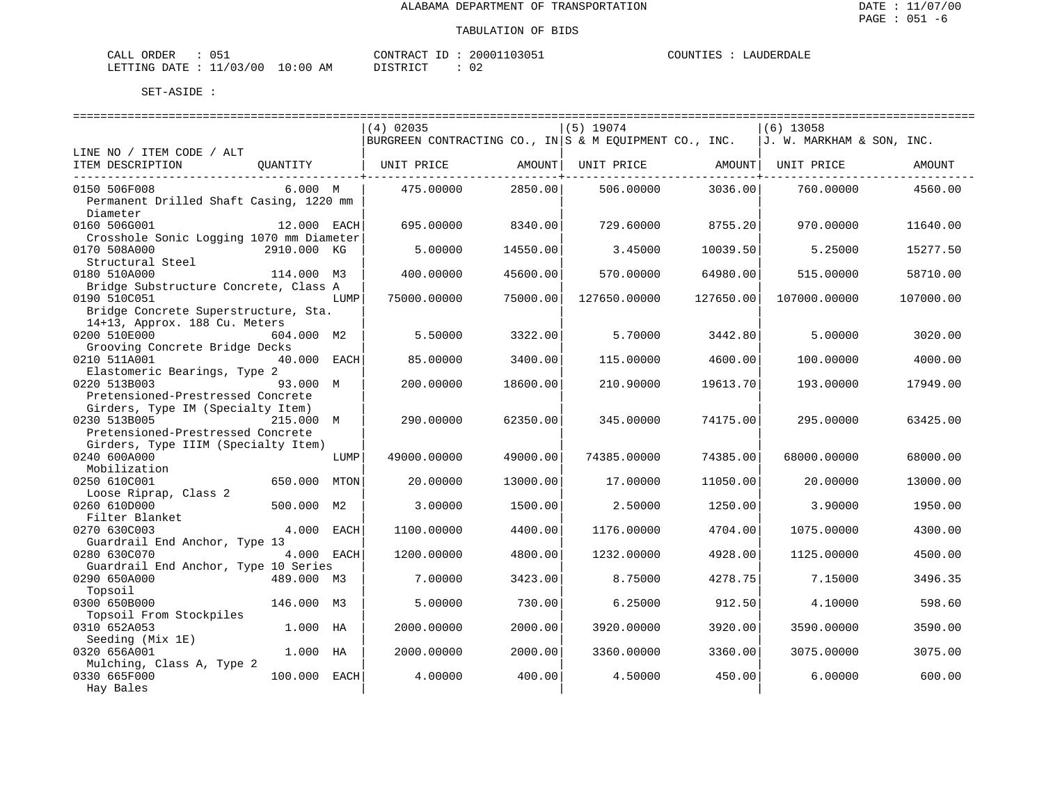| ORDER<br>CALL (                  |  | CONTRACT<br>$\lq$ ID : | 20001103051 | COUNTIES | LAUDERDALE |
|----------------------------------|--|------------------------|-------------|----------|------------|
| LETTING DATE : 11/03/00 10:00 AM |  | DISTRICT               |             |          |            |

|                                          |              |      | $(4)$ 02035                                                |          | $(5)$ 19074  |           | $(6)$ 13058               |           |
|------------------------------------------|--------------|------|------------------------------------------------------------|----------|--------------|-----------|---------------------------|-----------|
|                                          |              |      | BURGREEN CONTRACTING CO., IN $ S \& M$ EQUIPMENT CO., INC. |          |              |           | J. W. MARKHAM & SON, INC. |           |
| LINE NO / ITEM CODE / ALT                |              |      |                                                            |          |              |           |                           |           |
| ITEM DESCRIPTION                         | OUANTITY     |      | UNIT PRICE                                                 | AMOUNT   | UNIT PRICE   | AMOUNT    | UNIT PRICE                | AMOUNT    |
| 0150 506F008                             | 6.000 M      |      | 475.00000                                                  | 2850.00  | 506,00000    | 3036.00   | 760,00000                 | 4560.00   |
| Permanent Drilled Shaft Casing, 1220 mm  |              |      |                                                            |          |              |           |                           |           |
| Diameter                                 |              |      |                                                            |          |              |           |                           |           |
|                                          |              |      |                                                            |          |              |           |                           |           |
| 0160 506G001                             | 12.000 EACH  |      | 695,00000                                                  | 8340.00  | 729.60000    | 8755.20   | 970.00000                 | 11640.00  |
| Crosshole Sonic Logging 1070 mm Diameter |              |      |                                                            |          |              |           |                           |           |
| 0170 508A000                             | 2910.000 KG  |      | 5.00000                                                    | 14550.00 | 3.45000      | 10039.50  | 5.25000                   | 15277.50  |
| Structural Steel                         |              |      |                                                            |          |              |           |                           |           |
| 0180 510A000                             | 114.000 M3   |      | 400.00000                                                  | 45600.00 | 570.00000    | 64980.00  | 515,00000                 | 58710.00  |
| Bridge Substructure Concrete, Class A    |              |      |                                                            |          |              |           |                           |           |
| 0190 510C051                             |              | LUMP | 75000.00000                                                | 75000.00 | 127650.00000 | 127650.00 | 107000.00000              | 107000.00 |
| Bridge Concrete Superstructure, Sta.     |              |      |                                                            |          |              |           |                           |           |
| 14+13, Approx. 188 Cu. Meters            |              |      |                                                            |          |              |           |                           |           |
| 0200 510E000                             | 604.000 M2   |      | 5.50000                                                    | 3322.00  | 5.70000      | 3442.80   | 5.00000                   | 3020.00   |
| Grooving Concrete Bridge Decks           |              |      |                                                            |          |              |           |                           |           |
| 0210 511A001                             | 40.000 EACH  |      | 85.00000                                                   | 3400.00  | 115.00000    | 4600.00   | 100.00000                 | 4000.00   |
| Elastomeric Bearings, Type 2             |              |      |                                                            |          |              |           |                           |           |
| 0220 513B003                             | 93.000 M     |      | 200,00000                                                  | 18600.00 | 210.90000    | 19613.70  | 193.00000                 | 17949.00  |
| Pretensioned-Prestressed Concrete        |              |      |                                                            |          |              |           |                           |           |
| Girders, Type IM (Specialty Item)        |              |      |                                                            |          |              |           |                           |           |
| 0230 513B005                             | 215.000 M    |      | 290.00000                                                  | 62350.00 | 345.00000    | 74175.00  | 295.00000                 | 63425.00  |
| Pretensioned-Prestressed Concrete        |              |      |                                                            |          |              |           |                           |           |
|                                          |              |      |                                                            |          |              |           |                           |           |
| Girders, Type IIIM (Specialty Item)      |              |      |                                                            |          |              |           |                           |           |
| 0240 600A000                             |              | LUMP | 49000.00000                                                | 49000.00 | 74385.00000  | 74385.00  | 68000.00000               | 68000.00  |
| Mobilization                             |              |      |                                                            |          |              |           |                           |           |
| 0250 610C001                             | 650.000 MTON |      | 20.00000                                                   | 13000.00 | 17.00000     | 11050.00  | 20.00000                  | 13000.00  |
| Loose Riprap, Class 2                    |              |      |                                                            |          |              |           |                           |           |
| 0260 610D000                             | 500.000 M2   |      | 3.00000                                                    | 1500.00  | 2.50000      | 1250.00   | 3.90000                   | 1950.00   |
| Filter Blanket                           |              |      |                                                            |          |              |           |                           |           |
| 0270 630C003                             | 4.000 EACH   |      | 1100.00000                                                 | 4400.00  | 1176.00000   | 4704.00   | 1075.00000                | 4300.00   |
| Guardrail End Anchor, Type 13            |              |      |                                                            |          |              |           |                           |           |
| 0280 630C070                             | 4.000 EACH   |      | 1200.00000                                                 | 4800.00  | 1232.00000   | 4928.00   | 1125.00000                | 4500.00   |
| Guardrail End Anchor, Type 10 Series     |              |      |                                                            |          |              |           |                           |           |
| 0290 650A000                             | 489.000 M3   |      | 7.00000                                                    | 3423.00  | 8.75000      | 4278.75   | 7.15000                   | 3496.35   |
| Topsoil                                  |              |      |                                                            |          |              |           |                           |           |
| 0300 650B000                             | 146.000 M3   |      | 5.00000                                                    | 730.00   | 6.25000      | 912.50    | 4.10000                   | 598.60    |
| Topsoil From Stockpiles                  |              |      |                                                            |          |              |           |                           |           |
| 0310 652A053                             | 1.000 HA     |      | 2000.00000                                                 | 2000.00  | 3920.00000   | 3920.00   | 3590.00000                | 3590.00   |
| Seeding (Mix 1E)                         |              |      |                                                            |          |              |           |                           |           |
|                                          |              |      |                                                            |          |              |           |                           |           |
| 0320 656A001                             | 1.000 HA     |      | 2000.00000                                                 | 2000.00  | 3360.00000   | 3360.00   | 3075.00000                | 3075.00   |
| Mulching, Class A, Type 2                |              |      |                                                            |          |              |           |                           |           |
| 0330 665F000                             | 100.000 EACH |      | 4.00000                                                    | 400.00   | 4.50000      | 450.00    | 6.00000                   | 600.00    |
| Hay Bales                                |              |      |                                                            |          |              |           |                           |           |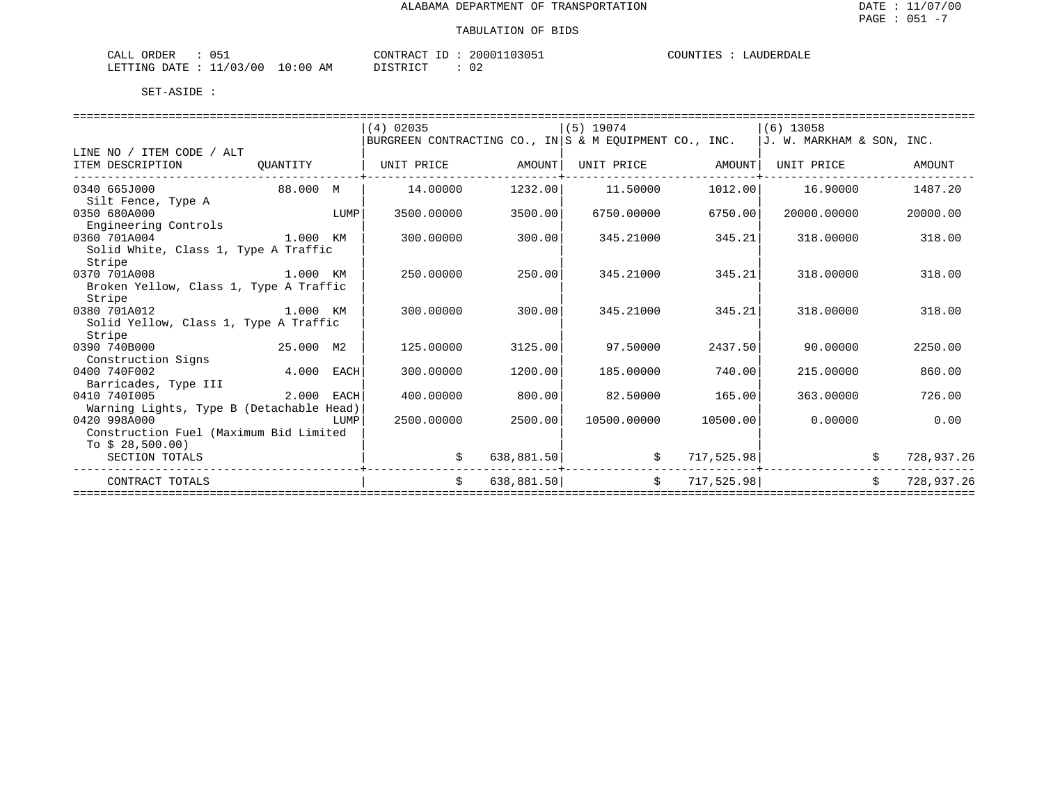| ORDER<br>CALL           |                        | CONTRACT ID<br>LD.           | 20001103051  | COUNTIES | LAUDERDALE |
|-------------------------|------------------------|------------------------------|--------------|----------|------------|
| LETTING DATE<br>. ــ ــ | 11/03/00<br>0:00<br>AΜ | <b>DISTRICT</b><br>⊔ມ⊥ບ⊥⊥∖⊥∟ | $\cap$<br>◡∠ |          |            |

|                                                |              |      | $(4)$ 02035                                                |            | $(5)$ 19074  |            | (6) 13058                 |    |            |
|------------------------------------------------|--------------|------|------------------------------------------------------------|------------|--------------|------------|---------------------------|----|------------|
|                                                |              |      | BURGREEN CONTRACTING CO., IN $ S \& M$ EQUIPMENT CO., INC. |            |              |            | J. W. MARKHAM & SON, INC. |    |            |
| LINE NO / ITEM CODE / ALT                      |              |      |                                                            |            |              |            |                           |    |            |
| ITEM DESCRIPTION                               | OUANTITY     |      | UNIT PRICE                                                 | AMOUNT     | UNIT PRICE   | AMOUNT     | UNIT PRICE                |    | AMOUNT     |
| 0340 665J000                                   | 88.000 M     |      | 14.00000                                                   | 1232.00    | 11.50000     | 1012.00    | 16.90000                  |    | 1487.20    |
| Silt Fence, Type A                             |              |      |                                                            |            |              |            |                           |    |            |
| 0350 680A000                                   |              | LUMP | 3500.00000                                                 | 3500.00    | 6750.00000   | 6750.00    | 20000.00000               |    | 20000.00   |
| Engineering Controls                           |              |      |                                                            |            |              |            |                           |    |            |
| 0360 701A004<br>1.000 KM                       |              |      | 300.00000                                                  | 300.00     | 345.21000    | 345.21     | 318,00000                 |    | 318.00     |
| Solid White, Class 1, Type A Traffic<br>Stripe |              |      |                                                            |            |              |            |                           |    |            |
| 0370 701A008                                   | 1.000 KM     |      | 250.00000                                                  | 250.00     | 345.21000    | 345.21     | 318,00000                 |    | 318.00     |
| Broken Yellow, Class 1, Type A Traffic         |              |      |                                                            |            |              |            |                           |    |            |
| Stripe                                         |              |      |                                                            |            |              |            |                           |    |            |
| 0380 701A012                                   | 1.000 KM     |      | 300.00000                                                  | 300.00     | 345.21000    | 345.21     | 318,00000                 |    | 318.00     |
| Solid Yellow, Class 1, Type A Traffic          |              |      |                                                            |            |              |            |                           |    |            |
| Stripe                                         |              |      |                                                            |            |              |            |                           |    |            |
| 0390 740B000                                   | 25.000 M2    |      | 125.00000                                                  | 3125.00    | 97.50000     | 2437.50    | 90.00000                  |    | 2250.00    |
| Construction Signs                             |              |      |                                                            |            |              |            |                           |    |            |
| 0400 740F002                                   | $4.000$ EACH |      | 300,00000                                                  | 1200.00    | 185.00000    | 740.00     | 215,00000                 |    | 860.00     |
| Barricades, Type III                           |              |      |                                                            |            |              |            |                           |    |            |
| 0410 7401005                                   | 2.000 EACH   |      | 400.00000                                                  | 800.00     | 82.50000     | 165.00     | 363.00000                 |    | 726.00     |
| Warning Lights, Type B (Detachable Head)       |              |      |                                                            |            |              |            |                           |    |            |
| 0420 998A000                                   |              | LUMP | 2500.00000                                                 | 2500.00    | 10500.00000  | 10500.00   | 0.00000                   |    | 0.00       |
| Construction Fuel (Maximum Bid Limited         |              |      |                                                            |            |              |            |                           |    |            |
| To $$28,500.00)$                               |              |      |                                                            |            |              |            |                           |    |            |
| SECTION TOTALS                                 |              |      |                                                            | 638,881.50 |              | 717,525.98 |                           |    | 728,937.26 |
|                                                |              |      |                                                            |            |              |            |                           |    |            |
| CONTRACT TOTALS                                |              |      | Ŝ.                                                         | 638,881.50 | $\mathsf{S}$ | 717,525.98 |                           | Ŝ. | 728,937.26 |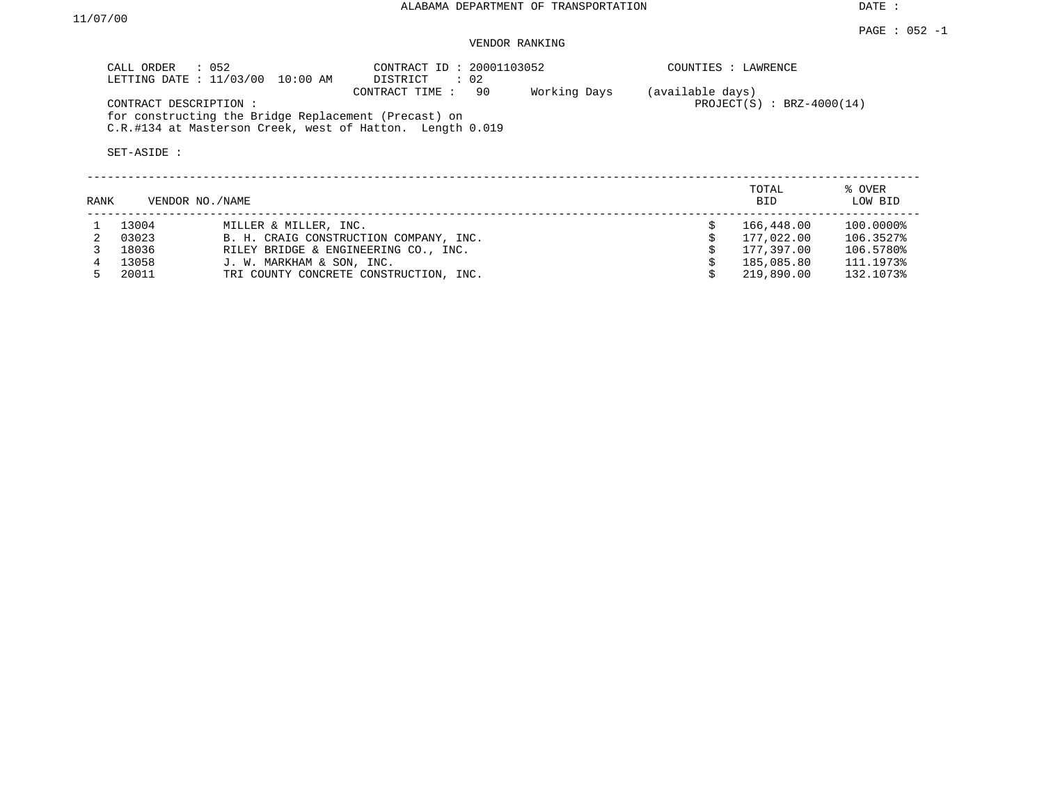# VENDOR RANKING

|      | CALL ORDER : 052      | LETTING DATE : 11/03/00 10:00 AM                     | CONTRACT ID: 20001103052<br>DISTRICT : 02                                         |              |                  | COUNTIES : LAWRENCE         |                   |  |  |  |
|------|-----------------------|------------------------------------------------------|-----------------------------------------------------------------------------------|--------------|------------------|-----------------------------|-------------------|--|--|--|
|      | CONTRACT DESCRIPTION: | for constructing the Bridge Replacement (Precast) on | 90<br>CONTRACT TIME:<br>C.R.#134 at Masterson Creek, west of Hatton. Length 0.019 | Working Days | (available days) | $PROJECT(S)$ : BRZ-4000(14) |                   |  |  |  |
|      | SET-ASIDE :           |                                                      |                                                                                   |              |                  |                             |                   |  |  |  |
| RANK | VENDOR NO./NAME       |                                                      |                                                                                   |              |                  | TOTAL<br><b>BID</b>         | % OVER<br>LOW BID |  |  |  |
|      | 13004                 | MILLER & MILLER, INC.                                |                                                                                   |              |                  | 166,448.00                  | 100.0000%         |  |  |  |
|      | 03023                 |                                                      | B. H. CRAIG CONSTRUCTION COMPANY, INC.                                            |              |                  | 177,022.00                  | 106.3527%         |  |  |  |
|      | 18036                 |                                                      | RILEY BRIDGE & ENGINEERING CO., INC.                                              |              |                  | 177,397.00                  | 106.5780%         |  |  |  |
|      | 13058                 | J. W. MARKHAM & SON, INC.                            |                                                                                   |              |                  | 185,085.80                  | 111.1973%         |  |  |  |

5 20011 TRI COUNTY CONCRETE CONSTRUCTION, INC. \$ 219,890.00 132.1073%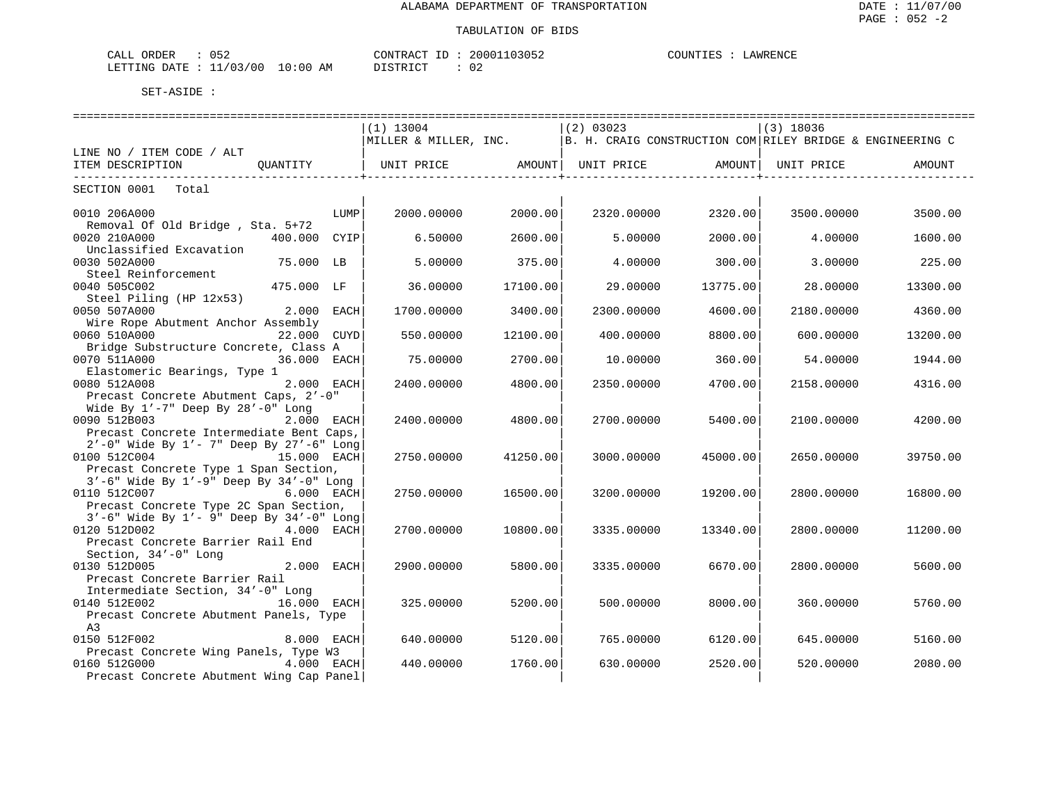| ገፎር<br>ORDER<br>$\sim$ $ -$<br>لىلطا<br>ັບປີ |         | $\bigcap \Lambda$<br>$\sim$<br>TD.<br>א שי<br>JIV | ∩∩י<br>ے 5∪ 5∟ | ™™™<br>AWRENCF |
|----------------------------------------------|---------|---------------------------------------------------|----------------|----------------|
| 00'<br>LETTING<br>DATE.                      | AM<br>ິ | $\sim$ $\sim$<br>. אידי                           | $\sim$<br>◡▵   |                |

| ==============================<br>==============================<br>==================================                          |                 |                                                                                   |          |             |          |             |                   |  |  |
|---------------------------------------------------------------------------------------------------------------------------------|-----------------|-----------------------------------------------------------------------------------|----------|-------------|----------|-------------|-------------------|--|--|
|                                                                                                                                 |                 | $(1)$ 13004                                                                       |          | $(2)$ 03023 |          | $(3)$ 18036 |                   |  |  |
|                                                                                                                                 |                 | MILLER & MILLER, INC.   B. H. CRAIG CONSTRUCTION COM RILEY BRIDGE & ENGINEERING C |          |             |          |             |                   |  |  |
| LINE NO / ITEM CODE / ALT                                                                                                       |                 |                                                                                   |          |             |          |             |                   |  |  |
| ITEM DESCRIPTION                                                                                                                | OUANTITY        | UNIT PRICE AMOUNT  UNIT PRICE AMOUNT                                              |          |             |          |             | UNIT PRICE AMOUNT |  |  |
| __________________________<br>SECTION 0001 Total                                                                                |                 |                                                                                   |          |             |          |             |                   |  |  |
| 0010 206A000<br>Removal Of Old Bridge, Sta. 5+72                                                                                | LUMP            | 2000.00000                                                                        | 2000.00  | 2320.00000  | 2320.00  | 3500.00000  | 3500.00           |  |  |
| 0020 210A000<br>Unclassified Excavation                                                                                         | 400.000<br>CYIP | 6.50000                                                                           | 2600.00  | 5.00000     | 2000.00  | 4.00000     | 1600.00           |  |  |
| 0030 502A000<br>Steel Reinforcement                                                                                             | 75.000 LB       | 5.00000                                                                           | 375.00   | 4.00000     | 300.00   | 3.00000     | 225.00            |  |  |
| 0040 505C002<br>Steel Piling (HP 12x53)                                                                                         | 475.000 LF      | 36,00000                                                                          | 17100.00 | 29,00000    | 13775.00 | 28,00000    | 13300.00          |  |  |
| 0050 507A000<br>Wire Rope Abutment Anchor Assembly                                                                              | 2.000 EACH      | 1700.00000                                                                        | 3400.00  | 2300.00000  | 4600.00  | 2180.00000  | 4360.00           |  |  |
| 0060 510A000<br>Bridge Substructure Concrete, Class A                                                                           | 22.000 CUYD     | 550.00000                                                                         | 12100.00 | 400.00000   | 8800.00  | 600.00000   | 13200.00          |  |  |
| 0070 511A000<br>Elastomeric Bearings, Type 1                                                                                    | 36.000 EACH     | 75,00000                                                                          | 2700.00  | 10.00000    | 360.00   | 54.00000    | 1944.00           |  |  |
| 0080 512A008<br>Precast Concrete Abutment Caps, 2'-0"                                                                           | 2.000 EACH      | 2400.00000                                                                        | 4800.00  | 2350.00000  | 4700.00  | 2158.00000  | 4316.00           |  |  |
| Wide By $1'$ -7" Deep By $28'$ -0" Long<br>0090 512B003<br>Precast Concrete Intermediate Bent Caps,                             | 2.000 EACH      | 2400.00000                                                                        | 4800.00  | 2700.00000  | 5400.00  | 2100.00000  | 4200.00           |  |  |
| $2'$ -0" Wide By $1'$ - 7" Deep By $27'$ -6" Long<br>0100 512C004<br>Precast Concrete Type 1 Span Section,                      | 15.000 EACH     | 2750.00000                                                                        | 41250.00 | 3000.00000  | 45000.00 | 2650.00000  | 39750.00          |  |  |
| $3'$ -6" Wide By $1'$ -9" Deep By $34'$ -0" Long<br>0110 512C007<br><b>6.000 EACH</b><br>Precast Concrete Type 2C Span Section, |                 | 2750.00000                                                                        | 16500.00 | 3200.00000  | 19200.00 | 2800,00000  | 16800.00          |  |  |
| 3'-6" Wide By 1'- 9" Deep By 34'-0" Long<br>0120 512D002<br>Precast Concrete Barrier Rail End                                   | 4.000 EACH      | 2700.00000                                                                        | 10800.00 | 3335.00000  | 13340.00 | 2800.00000  | 11200.00          |  |  |
| Section, 34'-0" Long<br>0130 512D005<br>Precast Concrete Barrier Rail                                                           | 2.000 EACH      | 2900.00000                                                                        | 5800.00  | 3335.00000  | 6670.00  | 2800.00000  | 5600.00           |  |  |
| Intermediate Section, 34'-0" Long<br>0140 512E002 16.000 EACH<br>Precast Concrete Abutment Panels, Type                         |                 | 325.00000                                                                         | 5200.00  | 500,00000   | 8000.00  | 360,00000   | 5760.00           |  |  |
| A <sub>3</sub><br>0150 512F002                                                                                                  | 8.000 EACH      | 640.00000                                                                         | 5120.00  | 765.00000   | 6120.00  | 645.00000   | 5160.00           |  |  |
| Precast Concrete Wing Panels, Type W3<br>0160 512G000<br>Precast Concrete Abutment Wing Cap Panel                               | 4.000 EACH      | 440.00000                                                                         | 1760.00  | 630.00000   | 2520.00  | 520.00000   | 2080.00           |  |  |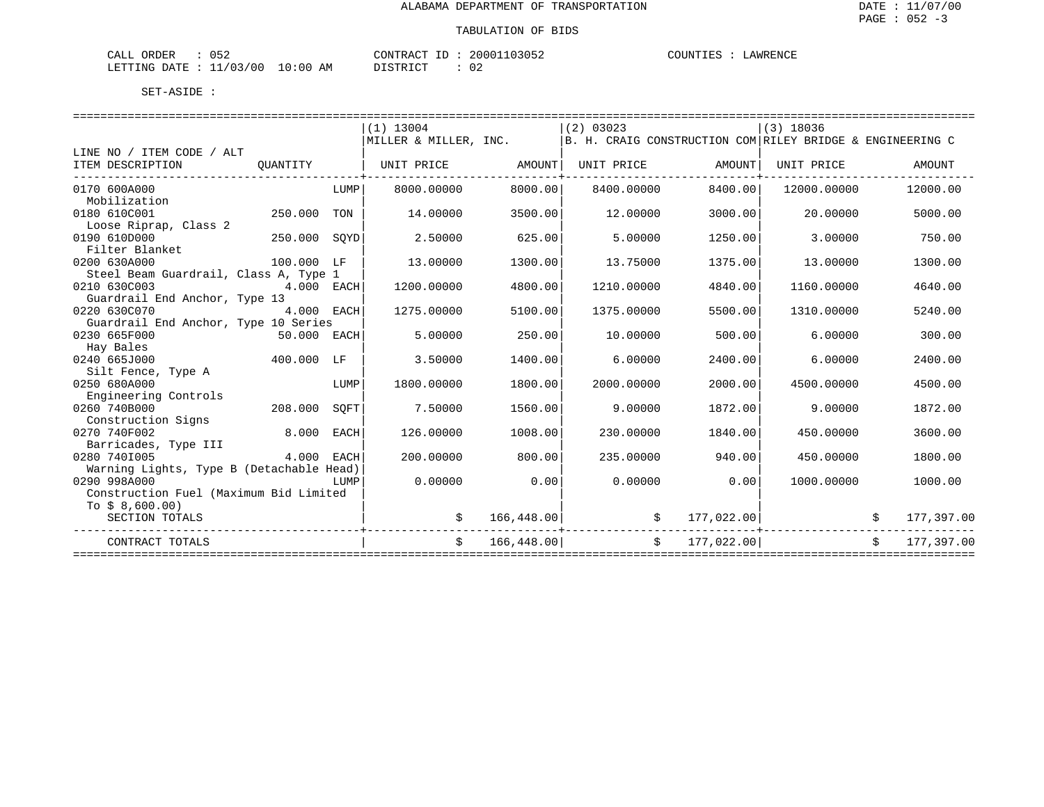| 052<br>ORDER<br>CALL       | CONTRACT ID            | 20001103052<br>COUNTIES | LAWRENCE |
|----------------------------|------------------------|-------------------------|----------|
| : 11/03/00<br>LETTING DATE | $10:00$ AM<br>DISTRICT |                         |          |

|                                                          |             |             | $(1)$ 13004           |            | (2) 03023                                                 |            | $(3)$ 18036 |    |            |
|----------------------------------------------------------|-------------|-------------|-----------------------|------------|-----------------------------------------------------------|------------|-------------|----|------------|
|                                                          |             |             | MILLER & MILLER, INC. |            | B. H. CRAIG CONSTRUCTION COM RILEY BRIDGE & ENGINEERING C |            |             |    |            |
| LINE NO / ITEM CODE / ALT                                |             |             |                       |            |                                                           |            |             |    |            |
| ITEM DESCRIPTION                                         | OUANTITY    |             | UNIT PRICE            | AMOUNT     | UNIT PRICE                                                | AMOUNT     | UNIT PRICE  |    | AMOUNT     |
| 0170 600A000                                             |             | LUMP        | 8000.00000            | 8000.001   | 8400.00000                                                | 8400.001   | 12000.00000 |    | 12000.00   |
| Mobilization                                             |             |             |                       |            |                                                           |            |             |    |            |
| 0180 610C001                                             | 250.000     | TON         | 14.00000              | 3500.00    | 12.00000                                                  | 3000.00    | 20,00000    |    | 5000.00    |
| Loose Riprap, Class 2                                    |             |             |                       |            |                                                           |            |             |    |            |
| 0190 610D000                                             | 250.000     | SQYD        | 2.50000               | 625.00     | 5,00000                                                   | 1250.00    | 3.00000     |    | 750.00     |
| Filter Blanket                                           |             |             |                       |            |                                                           |            |             |    |            |
| 0200 630A000                                             | 100.000 LF  |             | 13,00000              | 1300.00    | 13.75000                                                  | 1375.00    | 13,00000    |    | 1300.00    |
| Steel Beam Guardrail, Class A, Type 1                    |             |             |                       |            |                                                           |            |             |    |            |
| 0210 630C003                                             | 4.000 EACH  |             | 1200.00000            | 4800.00    | 1210.00000                                                | 4840.00    | 1160.00000  |    | 4640.00    |
| Guardrail End Anchor, Type 13                            |             |             |                       |            |                                                           |            |             |    |            |
| 0220 630C070                                             | 4.000 EACH  |             | 1275.00000            | 5100.00    | 1375.00000                                                | 5500.00    | 1310.00000  |    | 5240.00    |
| Guardrail End Anchor, Type 10 Series                     |             |             |                       |            |                                                           |            |             |    |            |
| 0230 665F000                                             | 50.000 EACH |             | 5.00000               | 250.00     | 10.00000                                                  | 500.00     | 6.00000     |    | 300.00     |
| Hay Bales                                                |             |             |                       |            |                                                           |            |             |    |            |
| 0240 665J000                                             | 400.000     | LF          | 3.50000               | 1400.00    | 6.00000                                                   | 2400.00    | 6.00000     |    | 2400.00    |
| Silt Fence, Type A                                       |             |             |                       |            |                                                           |            |             |    |            |
| 0250 680A000                                             |             | LUMP        | 1800.00000            | 1800.00    | 2000.00000                                                | 2000.00    | 4500.00000  |    | 4500.00    |
| Engineering Controls                                     |             |             |                       |            |                                                           |            |             |    |            |
| 0260 740B000                                             | 208,000     | SOFT        | 7.50000               | 1560.00    | 9,00000                                                   | 1872.00    | 9.00000     |    | 1872.00    |
| Construction Signs                                       |             |             |                       |            |                                                           |            |             |    |            |
| 0270 740F002                                             | 8,000       | <b>EACH</b> | 126.00000             | 1008.00    | 230.00000                                                 | 1840.00    | 450.00000   |    | 3600.00    |
| Barricades, Type III                                     |             |             |                       |            |                                                           |            |             |    |            |
| 0280 7401005<br>Warning Lights, Type B (Detachable Head) | 4.000       | EACH        | 200.00000             | 800.00     | 235.00000                                                 | 940.00     | 450.00000   |    | 1800.00    |
| 0290 998A000                                             |             | LUMP        | 0.00000               | 0.00       | 0.00000                                                   | 0.00       | 1000.00000  |    | 1000.00    |
| Construction Fuel (Maximum Bid Limited                   |             |             |                       |            |                                                           |            |             |    |            |
| To $$8,600.00)$                                          |             |             |                       |            |                                                           |            |             |    |            |
| SECTION TOTALS                                           |             |             | \$                    | 166,448.00 | \$                                                        | 177,022.00 |             |    | 177,397.00 |
| CONTRACT TOTALS                                          |             |             | \$                    | 166,448.00 | \$                                                        | 177,022.00 |             | Ŝ. | 177,397.00 |
|                                                          |             |             |                       |            |                                                           |            |             |    |            |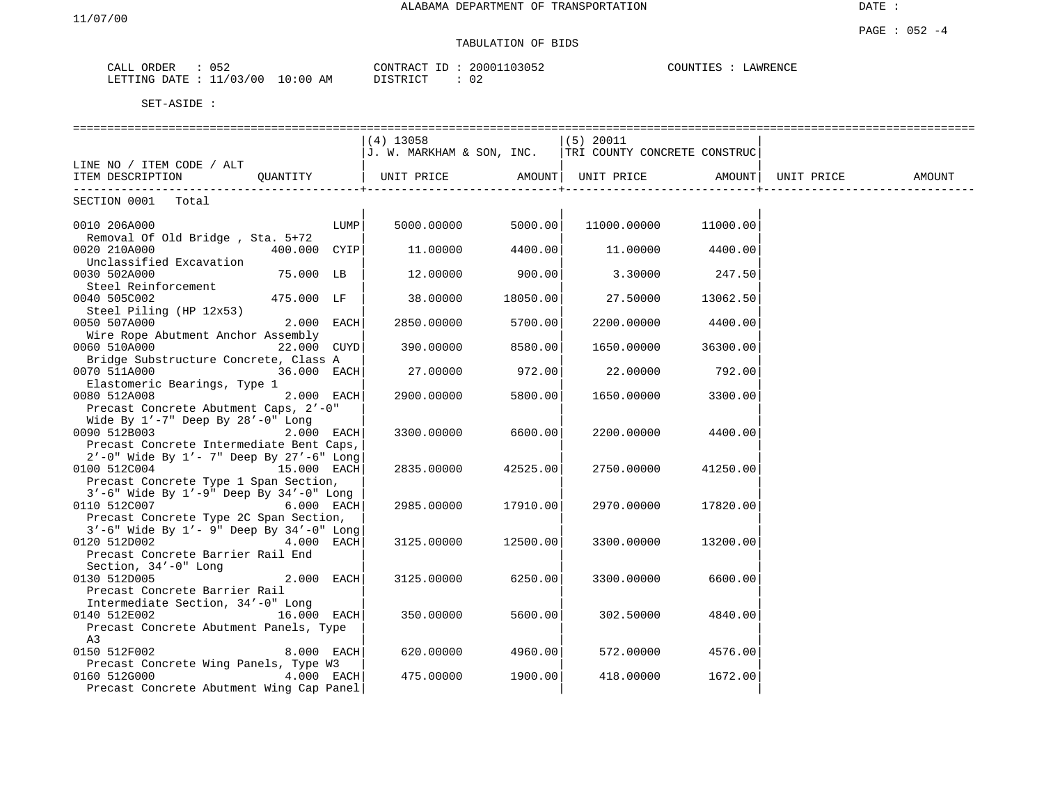#### PAGE : 052 -4 TABULATION OF BIDS

| ORDER<br>CALL | 052            |               | CONTRACT | .D | 103052<br>200011 | COUNTIES | LAWRENCE |
|---------------|----------------|---------------|----------|----|------------------|----------|----------|
| LETTING DATE  | 11/03/00<br>ັັ | 10:00 .<br>AΜ | TSTR TOT |    | 02               |          |          |

|                                                                                           |             | $(4)$ 13058                                              |                        | $(5)$ 20011          |          |                   |  |
|-------------------------------------------------------------------------------------------|-------------|----------------------------------------------------------|------------------------|----------------------|----------|-------------------|--|
|                                                                                           |             | J. W. MARKHAM & SON, INC.   TRI COUNTY CONCRETE CONSTRUC |                        |                      |          |                   |  |
| LINE NO / ITEM CODE / ALT                                                                 |             |                                                          |                        |                      |          |                   |  |
| TEM DESCRIPTION QUANTITY   UNIT PRICE AMOUNT  UNIT PRICE AMOUNT   TEM DESCRIPTION         |             |                                                          |                        |                      |          | UNIT PRICE AMOUNT |  |
| SECTION 0001 Total                                                                        |             |                                                          |                        |                      |          |                   |  |
|                                                                                           |             |                                                          |                        |                      |          |                   |  |
| 0010 206A000                                                                              | LUMP        |                                                          | $5000.00000$ $5000.00$ | 11000.00000 11000.00 |          |                   |  |
| Removal Of Old Bridge, Sta. 5+72                                                          |             |                                                          |                        |                      |          |                   |  |
| 400.000 CYIP<br>0020 210A000                                                              |             | 11.00000                                                 | 4400.00                | 11.00000             | 4400.00  |                   |  |
| Unclassified Excavation                                                                   |             |                                                          |                        |                      |          |                   |  |
| 75.000 LB<br>0030 502A000                                                                 |             | 12.00000                                                 | 900.00                 | 3.30000              | 247.50   |                   |  |
| Steel Reinforcement                                                                       |             |                                                          |                        |                      |          |                   |  |
| 0040 505C002<br>475.000 LF                                                                |             | 38.00000                                                 | 18050.00               | 27.50000             | 13062.50 |                   |  |
| Steel Piling (HP 12x53)<br>0050 507A000                                                   | 2.000 EACH  | 2850.00000                                               | 5700.00                | 2200.00000           | 4400.00  |                   |  |
| Wire Rope Abutment Anchor Assembly                                                        |             |                                                          |                        |                      |          |                   |  |
| 0060 510A000                                                                              | 22.000 CUYD | 390.00000                                                | 8580.00                | 1650.00000           | 36300.00 |                   |  |
| Bridge Substructure Concrete, Class A                                                     |             |                                                          |                        |                      |          |                   |  |
| 0070 511A000                                                                              | 36.000 EACH | 27.00000                                                 | 972.00                 | 22.00000             | 792.00   |                   |  |
| Elastomeric Bearings, Type 1                                                              |             |                                                          |                        |                      |          |                   |  |
| 0080 512A008                                                                              | 2.000 EACH  | 2900.00000                                               | 5800.00                | 1650.00000           | 3300.00  |                   |  |
| Precast Concrete Abutment Caps, 2'-0"                                                     |             |                                                          |                        |                      |          |                   |  |
| Wide By 1'-7" Deep By 28'-0" Long                                                         |             |                                                          |                        |                      |          |                   |  |
| 0090 512B003                                                                              | 2.000 EACH  | 3300.00000                                               | 6600.00                | 2200.00000           | 4400.00  |                   |  |
| Precast Concrete Intermediate Bent Caps,                                                  |             |                                                          |                        |                      |          |                   |  |
| $2'$ -0" Wide By $1'$ - 7" Deep By $27'$ -6" Long                                         |             |                                                          |                        |                      |          |                   |  |
| 0100 512C004<br>15.000 EACH                                                               |             | 2835.00000                                               | 42525.00               | 2750.00000           | 41250.00 |                   |  |
| Precast Concrete Type 1 Span Section,<br>$3'-6$ " Wide By $1'-9$ " Deep By $34'-0$ " Long |             |                                                          |                        |                      |          |                   |  |
| 0110 512C007 6.000 EACH                                                                   |             | 2985.00000                                               | 17910.00               | 2970.00000           | 17820.00 |                   |  |
| Precast Concrete Type 2C Span Section,                                                    |             |                                                          |                        |                      |          |                   |  |
| $3'-6$ " Wide By $1'-9$ " Deep By $34'-0$ " Long                                          |             |                                                          |                        |                      |          |                   |  |
| 0120 512D002                                                                              | 4.000 EACH  | 3125.00000                                               | 12500.00               | 3300.00000           | 13200.00 |                   |  |
| Precast Concrete Barrier Rail End                                                         |             |                                                          |                        |                      |          |                   |  |
| Section, 34'-0" Long                                                                      |             |                                                          |                        |                      |          |                   |  |
| 0130 512D005                                                                              | 2.000 EACH  | 3125.00000                                               | 6250.00                | 3300.00000           | 6600.00  |                   |  |
| Precast Concrete Barrier Rail                                                             |             |                                                          |                        |                      |          |                   |  |
| Intermediate Section, 34'-0" Long                                                         |             |                                                          |                        |                      |          |                   |  |
| 0140 512E002<br>16.000 EACH                                                               |             | 350.00000                                                | 5600.00                | 302.50000            | 4840.00  |                   |  |
| Precast Concrete Abutment Panels, Type                                                    |             |                                                          |                        |                      |          |                   |  |
| A3                                                                                        |             |                                                          |                        |                      |          |                   |  |
| 0150 512F002                                                                              | 8.000 EACH  | 620.00000                                                | 4960.00                | 572.00000            | 4576.00  |                   |  |
| Precast Concrete Wing Panels, Type W3<br>0160 512G000                                     | 4.000 EACH  | 475.00000                                                | 1900.00                | 418.00000            | 1672.00  |                   |  |
| Precast Concrete Abutment Wing Cap Panel                                                  |             |                                                          |                        |                      |          |                   |  |
|                                                                                           |             |                                                          |                        |                      |          |                   |  |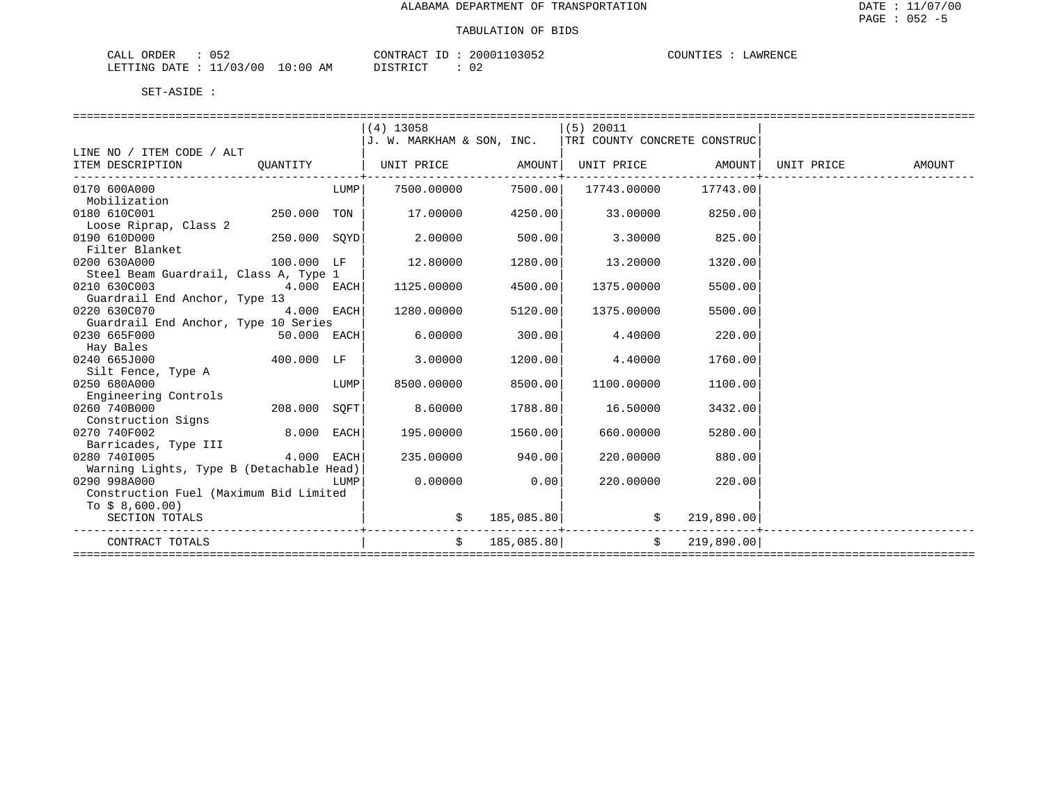| ハドつ<br>CALL<br>ORDER<br>∪⊃∠ |             | CONTRACT<br>ID           | 20001103052 | COUNTIES<br>LAWRENCE |
|-----------------------------|-------------|--------------------------|-------------|----------------------|
| 11/03/00<br>LETTING<br>DATE | 10:00<br>AΜ | ירי איד פידי פור<br>---- | $\cap$      |                      |

|                                          |              |      | $(4)$ 13058                                             |            | $(5)$ 20011       |                |            |        |
|------------------------------------------|--------------|------|---------------------------------------------------------|------------|-------------------|----------------|------------|--------|
|                                          |              |      | J. W. MARKHAM & SON, INC. ITRI COUNTY CONCRETE CONSTRUC |            |                   |                |            |        |
| LINE NO / ITEM CODE / ALT                |              |      |                                                         |            |                   |                |            |        |
| ITEM DESCRIPTION                         | OUANTITY     |      | UNIT PRICE AMOUNT                                       |            | UNIT PRICE AMOUNT |                | UNIT PRICE | AMOUNT |
| 0170 600A000                             |              | LUMP | 7500.00000                                              | 7500.00    | 17743.00000       | 17743.00       |            |        |
| Mobilization                             |              |      |                                                         |            |                   |                |            |        |
| 0180 610C001                             | 250.000 TON  |      | 17.00000                                                | 4250.00    | 33.00000          | 8250.00        |            |        |
| Loose Riprap, Class 2                    |              |      |                                                         |            |                   |                |            |        |
| 0190 610D000                             | 250.000 SOYD |      | 2.00000                                                 | 500.00     | 3.30000           | 825.00         |            |        |
| Filter Blanket                           |              |      |                                                         |            |                   |                |            |        |
| 0200 630A000                             | 100.000 LF   |      | 12,80000                                                | 1280.00    | 13.20000          | 1320.00        |            |        |
| Steel Beam Guardrail, Class A, Type 1    |              |      |                                                         |            |                   |                |            |        |
| 0210 630C003                             | 4.000 EACH   |      | 1125.00000                                              | 4500.00    | 1375.00000        | 5500.00        |            |        |
| Guardrail End Anchor, Type 13            |              |      |                                                         |            |                   |                |            |        |
| 0220 630C070                             | 4.000 EACH   |      | 1280.00000                                              | 5120.00    | 1375.00000        | 5500.00        |            |        |
| Guardrail End Anchor, Type 10 Series     |              |      |                                                         |            |                   |                |            |        |
| 0230 665F000                             | 50.000 EACH  |      | 6,00000                                                 | 300.00     | 4.40000           | 220.00         |            |        |
| Hay Bales                                |              |      |                                                         |            |                   |                |            |        |
| 0240 665J000                             | 400.000 LF   |      | 3.00000                                                 | 1200.00    | 4.40000           | 1760.00        |            |        |
| Silt Fence, Type A                       |              |      |                                                         |            |                   |                |            |        |
| 0250 680A000                             |              | LUMP | 8500.00000                                              | 8500.00    | 1100.00000        | 1100.00        |            |        |
| Engineering Controls                     |              |      |                                                         |            |                   |                |            |        |
| 0260 740B000                             | 208.000 SQFT |      | 8.60000                                                 | 1788.80    | 16.50000          | 3432.00        |            |        |
| Construction Signs                       |              |      |                                                         |            |                   |                |            |        |
| 0270 740F002                             | 8.000 EACH   |      | 195.00000                                               | 1560.00    | 660.00000         | 5280.00        |            |        |
| Barricades, Type III                     |              |      |                                                         |            |                   |                |            |        |
| 0280 7401005                             | 4.000 EACH   |      | 235.00000                                               | 940.00     | 220.00000         | 880.00         |            |        |
| Warning Lights, Type B (Detachable Head) |              |      |                                                         |            |                   |                |            |        |
| 0290 998A000                             |              | LUMP | 0.00000                                                 | 0.00       | 220.00000         | 220.00         |            |        |
| Construction Fuel (Maximum Bid Limited   |              |      |                                                         |            |                   |                |            |        |
| To $$8,600.00)$                          |              |      |                                                         |            |                   |                |            |        |
| SECTION TOTALS                           |              |      |                                                         | 185,085.80 |                   | 219,890.00     |            |        |
| CONTRACT TOTALS                          |              |      | \$                                                      | 185,085.80 |                   | \$ 219,890.00] |            |        |
|                                          |              |      |                                                         |            |                   |                |            |        |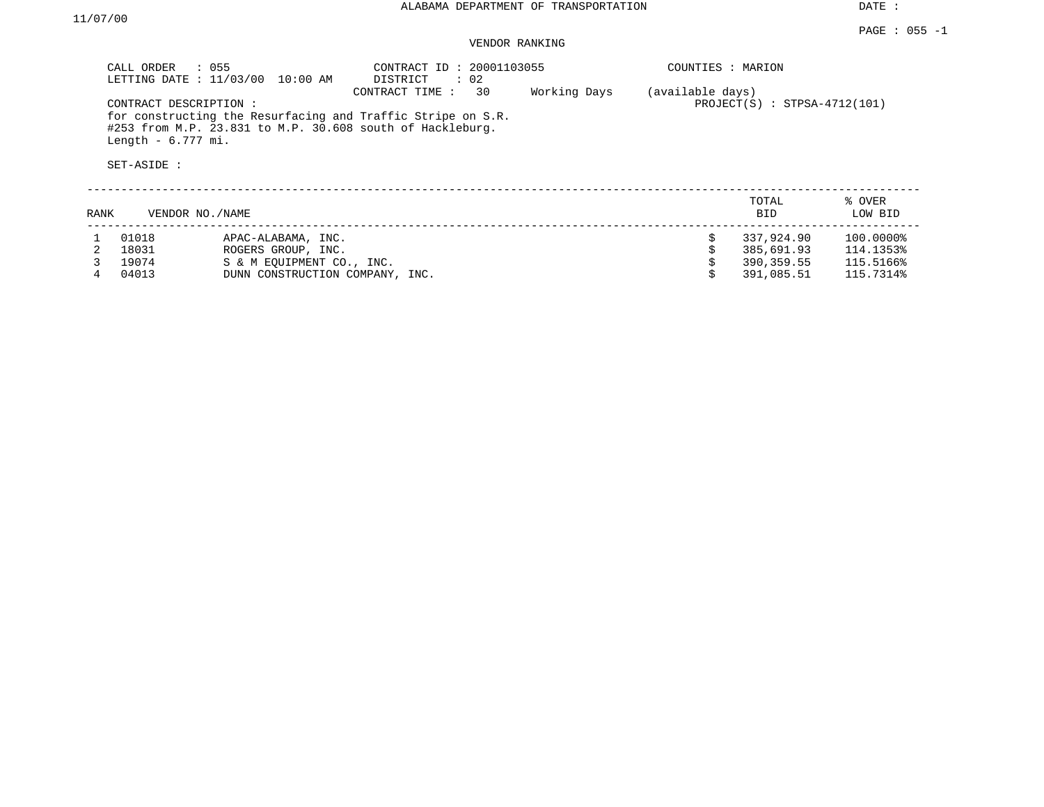## VENDOR RANKING

|      | $\therefore$ 055<br>CALL ORDER<br>LETTING DATE : 11/03/00<br>CONTRACT DESCRIPTION:<br>Length $-6.777$ mi.<br>SET-ASIDE : | 10:00 AM                        | CONTRACT ID: 20001103055<br>DISTRICT<br>$\cdot$ 02<br>30<br>CONTRACT TIME:<br>for constructing the Resurfacing and Traffic Stripe on S.R.<br>#253 from M.P. 23.831 to M.P. 30.608 south of Hackleburg. | Working Days | COUNTIES : MARION<br>(available days) | $PROJECT(S)$ : STPSA-4712(101) |                   |
|------|--------------------------------------------------------------------------------------------------------------------------|---------------------------------|--------------------------------------------------------------------------------------------------------------------------------------------------------------------------------------------------------|--------------|---------------------------------------|--------------------------------|-------------------|
| RANK | VENDOR NO. / NAME                                                                                                        |                                 |                                                                                                                                                                                                        |              |                                       | TOTAL<br>BID.                  | % OVER<br>LOW BID |
|      | 01018                                                                                                                    | APAC-ALABAMA, INC.              |                                                                                                                                                                                                        |              |                                       | 337,924.90                     | 100.0000%         |
|      | 18031                                                                                                                    | ROGERS GROUP, INC.              |                                                                                                                                                                                                        |              |                                       | 385,691.93                     | 114.1353%         |
|      | 19074                                                                                                                    | S & M EOUIPMENT CO., INC.       |                                                                                                                                                                                                        |              |                                       | 390,359.55                     | 115.5166%         |
|      | 04013                                                                                                                    | DUNN CONSTRUCTION COMPANY, INC. |                                                                                                                                                                                                        |              |                                       | 391,085.51                     | 115.7314%         |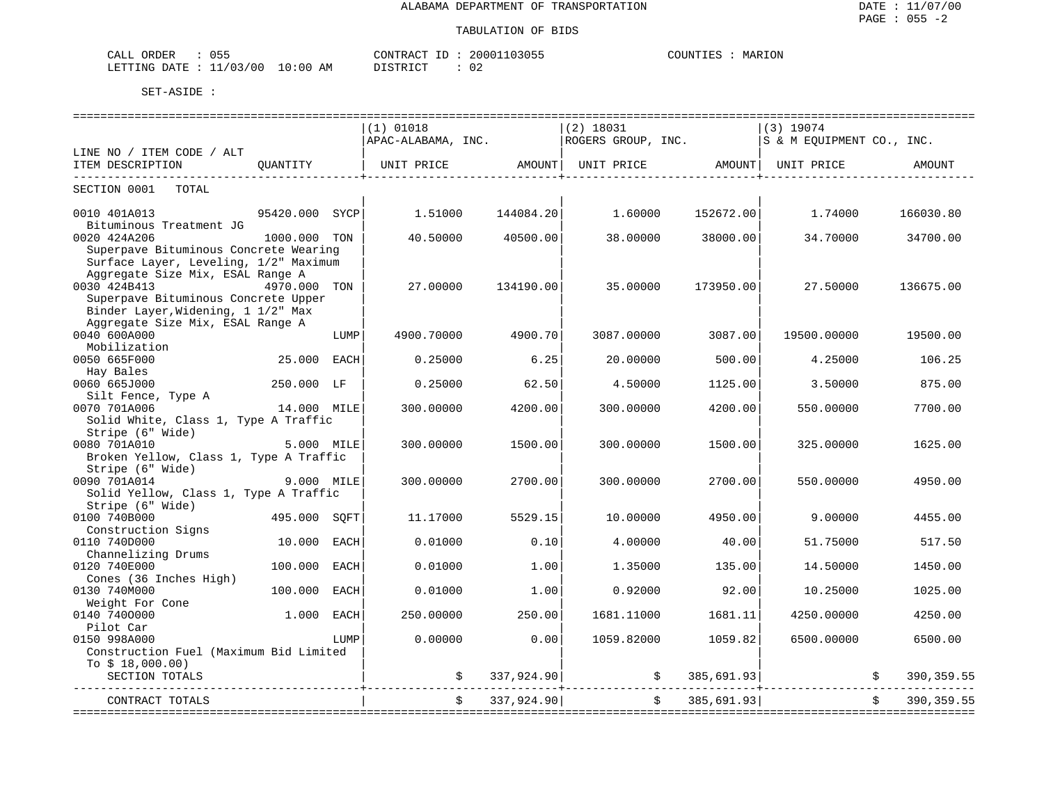| $\cap$ $\Gamma$ $\Gamma$<br>ORDER<br>CALL<br>פט |            | CONTRACT<br>ID         | 20001103055 | MARION<br>COUNTIES |
|-------------------------------------------------|------------|------------------------|-------------|--------------------|
| 11/03/00<br>LETTING DATE                        | $10:00$ AM | DI STR TOT<br>⊔ີ⊥ມ⊥ນ⊥ພ | ◡∠          |                    |

| APAC-ALABAMA, INC.<br>ROGERS GROUP, INC.<br>LINE NO / ITEM CODE / ALT<br>ITEM DESCRIPTION<br>OUANTITY<br>UNIT PRICE<br>AMOUNT  <br>UNIT PRICE<br>AMOUNT<br>SECTION 0001<br>TOTAL<br>0010 401A013<br>95420.000<br>1.51000<br>144084.20<br>1.60000<br>152672.00<br>SYCP<br>Bituminous Treatment JG<br>0020 424A206<br>40.50000<br>40500.00<br>38,00000<br>38000.00<br>1000.000 TON | S & M EOUIPMENT CO., INC.<br>UNIT PRICE<br>1.74000 | AMOUNT<br>166030.80 |
|----------------------------------------------------------------------------------------------------------------------------------------------------------------------------------------------------------------------------------------------------------------------------------------------------------------------------------------------------------------------------------|----------------------------------------------------|---------------------|
|                                                                                                                                                                                                                                                                                                                                                                                  |                                                    |                     |
|                                                                                                                                                                                                                                                                                                                                                                                  |                                                    |                     |
|                                                                                                                                                                                                                                                                                                                                                                                  |                                                    |                     |
|                                                                                                                                                                                                                                                                                                                                                                                  |                                                    |                     |
|                                                                                                                                                                                                                                                                                                                                                                                  | 34.70000                                           |                     |
| Superpave Bituminous Concrete Wearing                                                                                                                                                                                                                                                                                                                                            |                                                    | 34700.00            |
| Surface Layer, Leveling, 1/2" Maximum                                                                                                                                                                                                                                                                                                                                            |                                                    |                     |
| Aggregate Size Mix, ESAL Range A                                                                                                                                                                                                                                                                                                                                                 |                                                    |                     |
| 0030 424B413<br>4970.000 TON<br>27,00000<br>35,00000<br>134190.00<br>173950.00                                                                                                                                                                                                                                                                                                   | 27.50000                                           | 136675.00           |
| Superpave Bituminous Concrete Upper<br>Binder Layer, Widening, 1 1/2" Max                                                                                                                                                                                                                                                                                                        |                                                    |                     |
| Aggregate Size Mix, ESAL Range A                                                                                                                                                                                                                                                                                                                                                 |                                                    |                     |
| 0040 600A000<br>4900.70000<br>4900.70<br>3087.00000<br>3087.00<br>LUMP                                                                                                                                                                                                                                                                                                           | 19500.00000                                        | 19500.00            |
| Mobilization                                                                                                                                                                                                                                                                                                                                                                     |                                                    |                     |
| 25.000<br>6.25<br>0050 665F000<br>EACH<br>0.25000<br>20.00000<br>500.00                                                                                                                                                                                                                                                                                                          | 4.25000                                            | 106.25              |
| Hay Bales                                                                                                                                                                                                                                                                                                                                                                        |                                                    |                     |
| 250.000 LF<br>0060 665J000<br>0.25000<br>62.50<br>4.50000<br>1125.00                                                                                                                                                                                                                                                                                                             | 3.50000                                            | 875.00              |
| Silt Fence, Type A                                                                                                                                                                                                                                                                                                                                                               |                                                    |                     |
| 0070 701A006<br>14.000 MILE<br>300.00000<br>4200.00<br>300,00000<br>4200.00                                                                                                                                                                                                                                                                                                      | 550.00000                                          | 7700.00             |
| Solid White, Class 1, Type A Traffic                                                                                                                                                                                                                                                                                                                                             |                                                    |                     |
| Stripe (6" Wide)                                                                                                                                                                                                                                                                                                                                                                 |                                                    |                     |
| 0080 701A010<br>5.000 MILE<br>300.00000<br>1500.00<br>300.00000<br>1500.00                                                                                                                                                                                                                                                                                                       | 325.00000                                          | 1625.00             |
| Broken Yellow, Class 1, Type A Traffic                                                                                                                                                                                                                                                                                                                                           |                                                    |                     |
| Stripe (6" Wide)                                                                                                                                                                                                                                                                                                                                                                 |                                                    |                     |
| 0090 701A014<br>9.000 MILE<br>300.00000<br>2700.00<br>300.00000<br>2700.00                                                                                                                                                                                                                                                                                                       | 550.00000                                          | 4950.00             |
| Solid Yellow, Class 1, Type A Traffic                                                                                                                                                                                                                                                                                                                                            |                                                    |                     |
| Stripe (6" Wide)                                                                                                                                                                                                                                                                                                                                                                 |                                                    |                     |
| 0100 740B000<br>495.000 SQFT<br>5529.15<br>11,17000<br>10.00000<br>4950.00                                                                                                                                                                                                                                                                                                       | 9.00000                                            | 4455.00             |
| Construction Signs                                                                                                                                                                                                                                                                                                                                                               |                                                    |                     |
| 0110 740D000<br>0.10<br>10.000<br>EACH<br>0.01000<br>4.00000<br>40.00                                                                                                                                                                                                                                                                                                            | 51.75000                                           | 517.50              |
| Channelizing Drums<br>0120 740E000<br>100.000<br>EACH<br>0.01000<br>1.00<br>1.35000<br>135.00                                                                                                                                                                                                                                                                                    | 14.50000                                           | 1450.00             |
| Cones (36 Inches High)                                                                                                                                                                                                                                                                                                                                                           |                                                    |                     |
| 0130 740M000<br>100.000<br>1.00<br>92.00<br>EACH<br>0.01000<br>0.92000                                                                                                                                                                                                                                                                                                           | 10.25000                                           | 1025.00             |
| Weight For Cone                                                                                                                                                                                                                                                                                                                                                                  |                                                    |                     |
| 0140 7400000<br>1.000<br>250.00000<br>250.00<br>1681.11000<br>1681.11<br>EACH                                                                                                                                                                                                                                                                                                    | 4250.00000                                         | 4250.00             |
| Pilot Car                                                                                                                                                                                                                                                                                                                                                                        |                                                    |                     |
| 0150 998A000<br>0.00000<br>0.00<br>1059.82000<br>LUMP<br>1059.82                                                                                                                                                                                                                                                                                                                 | 6500.00000                                         | 6500.00             |
| Construction Fuel (Maximum Bid Limited                                                                                                                                                                                                                                                                                                                                           |                                                    |                     |
| To $$18,000.00)$                                                                                                                                                                                                                                                                                                                                                                 |                                                    |                     |
| 337,924.90<br>SECTION TOTALS<br>385,691.93<br>\$<br>\$                                                                                                                                                                                                                                                                                                                           |                                                    | 390,359.55          |
| 337,924.90<br>385,691.93<br>Ŝ.<br>CONTRACT TOTALS<br>=====================                                                                                                                                                                                                                                                                                                       |                                                    | 390, 359.55         |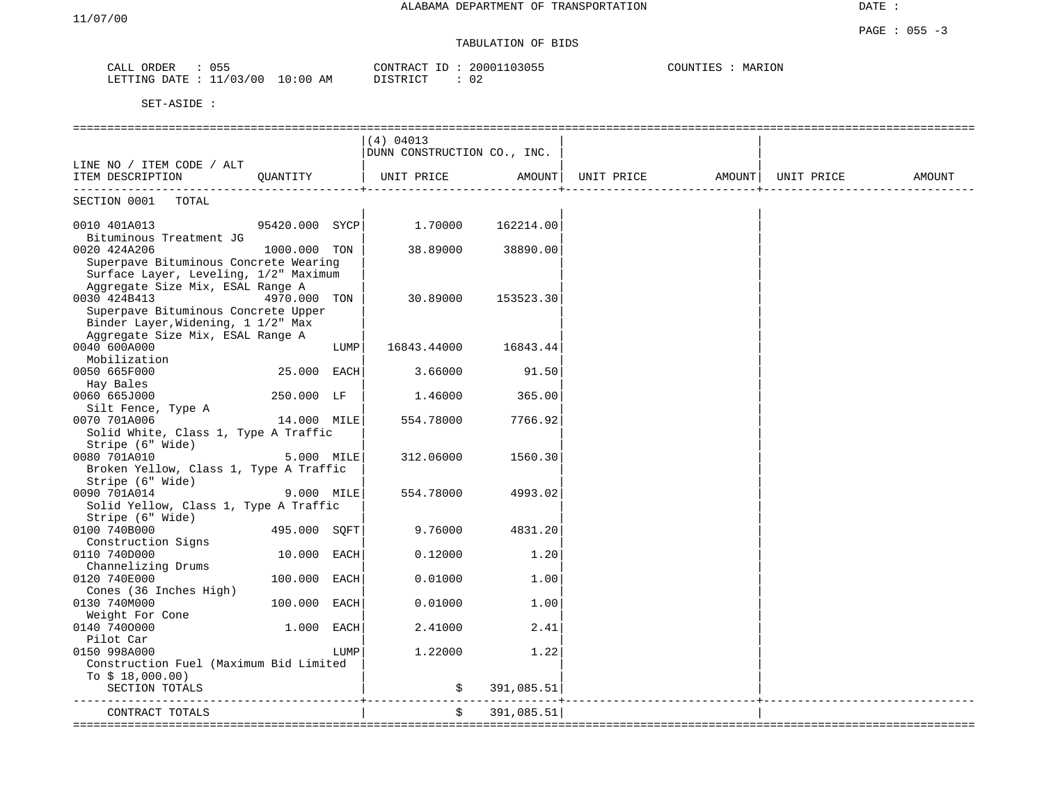# TABULATION OF BIDS

| ORDER<br>CALL             | 055 |            | CONTRACT ID: 20001103055 | COUNTIES | MARION |
|---------------------------|-----|------------|--------------------------|----------|--------|
| LETTING DATE : $11/03/00$ |     | $10:00$ AM | 02<br>DISTRICT           |          |        |

|                                        |                |      | (4) 04013                   |            |                                  |        |
|----------------------------------------|----------------|------|-----------------------------|------------|----------------------------------|--------|
|                                        |                |      | DUNN CONSTRUCTION CO., INC. |            |                                  |        |
| LINE NO / ITEM CODE / ALT              |                |      |                             |            |                                  |        |
| ITEM DESCRIPTION                       | OUANTITY       |      | UNIT PRICE                  | AMOUNT     | UNIT PRICE<br>AMOUNT  UNIT PRICE | AMOUNT |
| SECTION 0001 TOTAL                     |                |      |                             |            |                                  |        |
| 0010 401A013                           | 95420.000 SYCP |      | $1.70000$ $162214.00$       |            |                                  |        |
| Bituminous Treatment JG                |                |      |                             |            |                                  |        |
| 0020 424A206                           | 1000.000 TON   |      | 38.89000                    | 38890.00   |                                  |        |
| Superpave Bituminous Concrete Wearing  |                |      |                             |            |                                  |        |
| Surface Layer, Leveling, 1/2" Maximum  |                |      |                             |            |                                  |        |
| Aggregate Size Mix, ESAL Range A       |                |      |                             |            |                                  |        |
| 0030 424B413                           | 4970.000 TON   |      | 30.89000                    | 153523.30  |                                  |        |
| Superpave Bituminous Concrete Upper    |                |      |                             |            |                                  |        |
| Binder Layer, Widening, 1 1/2" Max     |                |      |                             |            |                                  |        |
| Aggregate Size Mix, ESAL Range A       |                |      |                             |            |                                  |        |
| 0040 600A000                           |                | LUMP | 16843.44000                 | 16843.44   |                                  |        |
| Mobilization                           |                |      |                             |            |                                  |        |
| 0050 665F000                           | 25.000 EACH    |      | 3.66000                     | 91.50      |                                  |        |
| Hay Bales                              |                |      |                             |            |                                  |        |
| 0060 665J000                           | 250.000 LF     |      | 1.46000                     | 365.00     |                                  |        |
| Silt Fence, Type A<br>0070 701A006     | $14.000$ MILE  |      | 554.78000                   | 7766.92    |                                  |        |
| Solid White, Class 1, Type A Traffic   |                |      |                             |            |                                  |        |
| Stripe (6" Wide)                       |                |      |                             |            |                                  |        |
| 0080 701A010                           | 5.000 MILE     |      | 312.06000                   | 1560.30    |                                  |        |
| Broken Yellow, Class 1, Type A Traffic |                |      |                             |            |                                  |        |
| Stripe (6" Wide)                       |                |      |                             |            |                                  |        |
| 0090 701A014                           | 9.000 MILE     |      | 554.78000                   | 4993.02    |                                  |        |
| Solid Yellow, Class 1, Type A Traffic  |                |      |                             |            |                                  |        |
| Stripe (6" Wide)                       |                |      |                             |            |                                  |        |
| 0100 740B000                           | 495.000 SOFT   |      | 9.76000                     | 4831.20    |                                  |        |
| Construction Signs                     |                |      |                             |            |                                  |        |
| 0110 740D000                           | 10.000 EACH    |      | 0.12000                     | 1.20       |                                  |        |
| Channelizing Drums                     |                |      |                             |            |                                  |        |
| 0120 740E000                           | 100.000 EACH   |      | 0.01000                     | 1.00       |                                  |        |
| Cones (36 Inches High)                 |                |      |                             |            |                                  |        |
| 0130 740M000                           | 100.000 EACH   |      | 0.01000                     | 1.00       |                                  |        |
| Weight For Cone                        |                |      |                             |            |                                  |        |
| 0140 7400000                           | $1.000$ EACH   |      | 2.41000                     | 2.41       |                                  |        |
| Pilot Car                              |                |      |                             |            |                                  |        |
| 0150 998A000                           |                | LUMP | 1,22000                     | 1.22       |                                  |        |
| Construction Fuel (Maximum Bid Limited |                |      |                             |            |                                  |        |
| To $$18,000.00)$                       |                |      |                             |            |                                  |        |
| SECTION TOTALS                         |                |      | \$                          | 391,085.51 |                                  |        |
| CONTRACT TOTALS                        |                |      | \$                          | 391,085.51 |                                  |        |
|                                        |                |      |                             |            |                                  |        |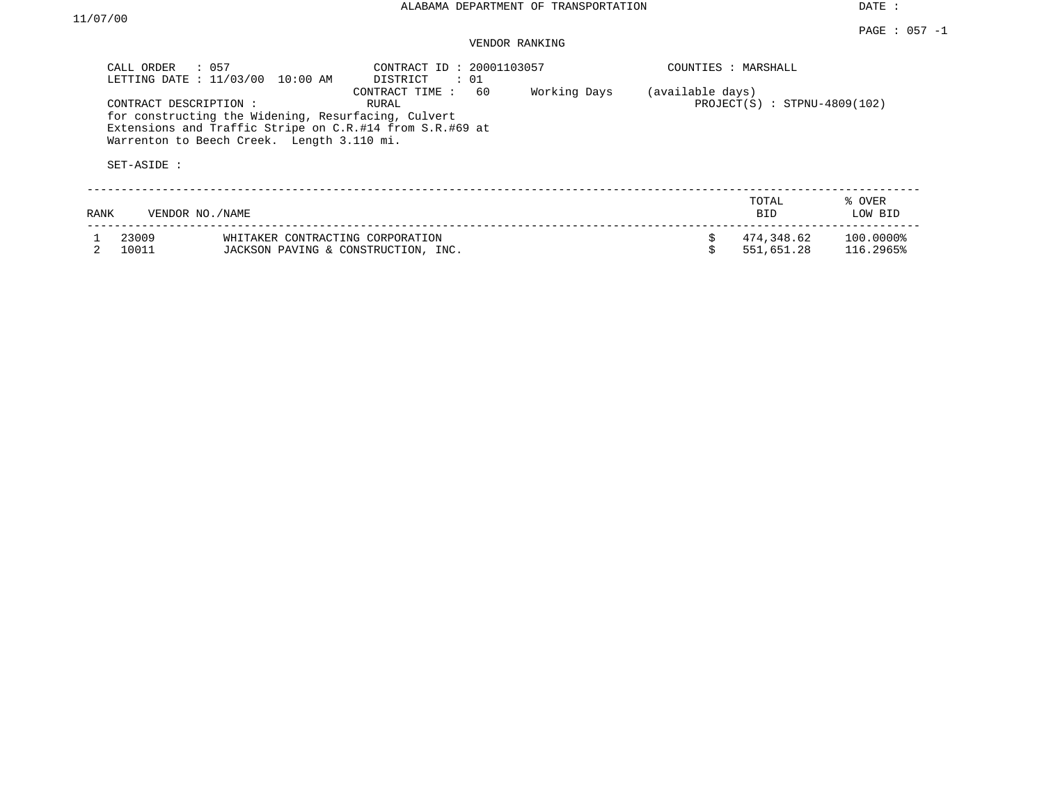#### PAGE : 057 -1 VENDOR RANKING

| CALL ORDER     | $\therefore$ 057<br>LETTING DATE : 11/03/00<br>10:00 AM                                                                                                                                 | CONTRACT ID: 20001103057<br>DISTRICT<br>: 01 |              | COUNTIES : MARSHALL |                                |                        |
|----------------|-----------------------------------------------------------------------------------------------------------------------------------------------------------------------------------------|----------------------------------------------|--------------|---------------------|--------------------------------|------------------------|
|                | CONTRACT DESCRIPTION :<br>for constructing the Widening, Resurfacing, Culvert<br>Extensions and Traffic Stripe on C.R.#14 from S.R.#69 at<br>Warrenton to Beech Creek. Length 3.110 mi. | 60<br>CONTRACT TIME:<br>RURAL                | Working Days | (available days)    | $PROJECT(S)$ : STPNU-4809(102) |                        |
| SET-ASIDE :    |                                                                                                                                                                                         |                                              |              |                     |                                |                        |
| RANK           | VENDOR NO./NAME                                                                                                                                                                         |                                              |              |                     | TOTAL<br><b>BID</b>            | % OVER<br>LOW BID      |
| 23009<br>10011 | WHITAKER CONTRACTING CORPORATION<br>JACKSON PAVING & CONSTRUCTION, INC.                                                                                                                 |                                              |              |                     | 474,348.62<br>551,651.28       | 100.0000%<br>116.2965% |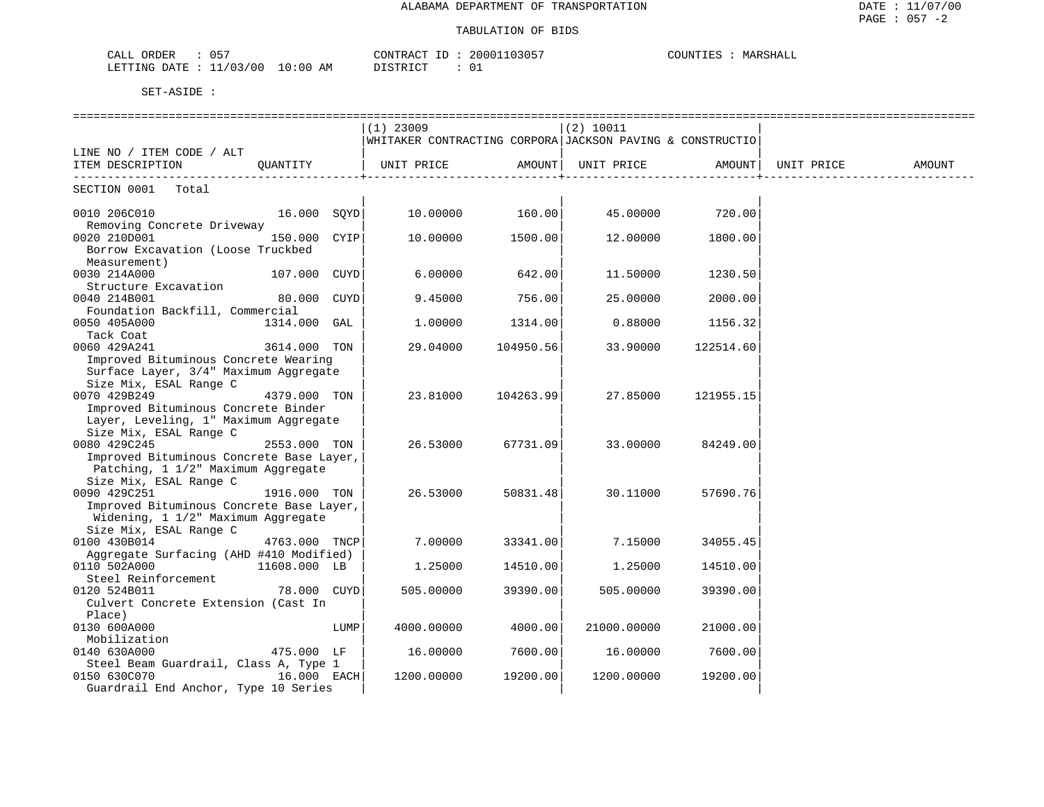| 057<br>ORDER<br>CALL                     | 20001103057<br>CONTRACT<br>$\tau$ D | COUNTIE:<br>MARSHALL |
|------------------------------------------|-------------------------------------|----------------------|
| 11/03/00<br>$10:00$ AM<br>LETTING DATE : | דת לידי את ה                        |                      |

| $(1)$ 23009<br>(2) 10011<br>WHITAKER CONTRACTING CORPORA JACKSON PAVING & CONSTRUCTIO<br>LINE NO / ITEM CODE / ALT<br>ITEM DESCRIPTION<br>OUANTITY<br>UNIT PRICE<br>AMOUNT<br>UNIT PRICE<br>AMOUNT<br>UNIT PRICE<br>AMOUNT<br>SECTION 0001<br>Total<br>10.00000<br>45.00000<br>0010 206C010<br>16.000 SQYD<br>160.00<br>720.00<br>Removing Concrete Driveway<br>0020 210D001<br>150.000 CYIP<br>10.00000<br>1500.00<br>12.00000<br>1800.00<br>Borrow Excavation (Loose Truckbed<br>Measurement)<br>0030 214A000<br>107.000 CUYD<br>6.00000<br>642.00<br>11.50000<br>1230.50<br>Structure Excavation<br>80.000<br>9.45000<br>756.00<br>0040 214B001<br>CUYD<br>25.00000<br>2000.00<br>Foundation Backfill, Commercial<br>0050 405A000<br>1314.000 GAL<br>1.00000<br>1314.00<br>0.88000<br>1156.32<br>Tack Coat<br>0060 429A241<br>3614.000 TON<br>29.04000<br>104950.56<br>33.90000<br>122514.60<br>Improved Bituminous Concrete Wearing<br>Surface Layer, 3/4" Maximum Aggregate<br>Size Mix, ESAL Range C<br>0070 429B249<br>4379.000 TON<br>23.81000<br>27.85000<br>121955.15<br>104263.99<br>Improved Bituminous Concrete Binder<br>Layer, Leveling, 1" Maximum Aggregate<br>Size Mix, ESAL Range C<br>0080 429C245<br>2553.000 TON<br>26.53000<br>67731.09<br>33.00000<br>84249.00<br>Improved Bituminous Concrete Base Layer,<br>Patching, 1 1/2" Maximum Aggregate<br>Size Mix, ESAL Range C<br>0090 429C251<br>26.53000<br>50831.48<br>30.11000<br>57690.76<br>1916.000 TON<br>Improved Bituminous Concrete Base Layer,<br>Widening, 1 1/2" Maximum Aggregate<br>Size Mix, ESAL Range C<br>0100 430B014<br>7.00000<br>4763.000 TNCP<br>33341.00<br>7.15000<br>34055.45<br>Aggregate Surfacing (AHD #410 Modified)<br>0110 502A000<br>11608.000 LB<br>1.25000<br>14510.00<br>1,25000<br>14510.00<br>Steel Reinforcement<br>0120 524B011<br>78.000 CUYD<br>505.00000<br>39390.00<br>505.00000<br>39390.00<br>Culvert Concrete Extension (Cast In<br>Place)<br>0130 600A000<br>LUMP<br>4000.00000<br>4000.00<br>21000.00000<br>21000.00<br>Mobilization<br>0140 630A000<br>475.000 LF<br>7600.00<br>16.00000<br>7600.00<br>16.00000<br>Steel Beam Guardrail, Class A, Type 1<br>0150 630C070<br>16.000 EACH<br>19200.00<br>1200.00000<br>1200.00000<br>19200.00<br>Guardrail End Anchor, Type 10 Series |  | ============================= |  |  |  |
|-------------------------------------------------------------------------------------------------------------------------------------------------------------------------------------------------------------------------------------------------------------------------------------------------------------------------------------------------------------------------------------------------------------------------------------------------------------------------------------------------------------------------------------------------------------------------------------------------------------------------------------------------------------------------------------------------------------------------------------------------------------------------------------------------------------------------------------------------------------------------------------------------------------------------------------------------------------------------------------------------------------------------------------------------------------------------------------------------------------------------------------------------------------------------------------------------------------------------------------------------------------------------------------------------------------------------------------------------------------------------------------------------------------------------------------------------------------------------------------------------------------------------------------------------------------------------------------------------------------------------------------------------------------------------------------------------------------------------------------------------------------------------------------------------------------------------------------------------------------------------------------------------------------------------------------------------------------------------------------------------------------------------------------------------------------------------------------------------------------------------------------------------------------------------------------------------------------------------------------------------------------------------------------------------------------|--|-------------------------------|--|--|--|
|                                                                                                                                                                                                                                                                                                                                                                                                                                                                                                                                                                                                                                                                                                                                                                                                                                                                                                                                                                                                                                                                                                                                                                                                                                                                                                                                                                                                                                                                                                                                                                                                                                                                                                                                                                                                                                                                                                                                                                                                                                                                                                                                                                                                                                                                                                             |  |                               |  |  |  |
|                                                                                                                                                                                                                                                                                                                                                                                                                                                                                                                                                                                                                                                                                                                                                                                                                                                                                                                                                                                                                                                                                                                                                                                                                                                                                                                                                                                                                                                                                                                                                                                                                                                                                                                                                                                                                                                                                                                                                                                                                                                                                                                                                                                                                                                                                                             |  |                               |  |  |  |
|                                                                                                                                                                                                                                                                                                                                                                                                                                                                                                                                                                                                                                                                                                                                                                                                                                                                                                                                                                                                                                                                                                                                                                                                                                                                                                                                                                                                                                                                                                                                                                                                                                                                                                                                                                                                                                                                                                                                                                                                                                                                                                                                                                                                                                                                                                             |  |                               |  |  |  |
|                                                                                                                                                                                                                                                                                                                                                                                                                                                                                                                                                                                                                                                                                                                                                                                                                                                                                                                                                                                                                                                                                                                                                                                                                                                                                                                                                                                                                                                                                                                                                                                                                                                                                                                                                                                                                                                                                                                                                                                                                                                                                                                                                                                                                                                                                                             |  |                               |  |  |  |
|                                                                                                                                                                                                                                                                                                                                                                                                                                                                                                                                                                                                                                                                                                                                                                                                                                                                                                                                                                                                                                                                                                                                                                                                                                                                                                                                                                                                                                                                                                                                                                                                                                                                                                                                                                                                                                                                                                                                                                                                                                                                                                                                                                                                                                                                                                             |  |                               |  |  |  |
|                                                                                                                                                                                                                                                                                                                                                                                                                                                                                                                                                                                                                                                                                                                                                                                                                                                                                                                                                                                                                                                                                                                                                                                                                                                                                                                                                                                                                                                                                                                                                                                                                                                                                                                                                                                                                                                                                                                                                                                                                                                                                                                                                                                                                                                                                                             |  |                               |  |  |  |
|                                                                                                                                                                                                                                                                                                                                                                                                                                                                                                                                                                                                                                                                                                                                                                                                                                                                                                                                                                                                                                                                                                                                                                                                                                                                                                                                                                                                                                                                                                                                                                                                                                                                                                                                                                                                                                                                                                                                                                                                                                                                                                                                                                                                                                                                                                             |  |                               |  |  |  |
|                                                                                                                                                                                                                                                                                                                                                                                                                                                                                                                                                                                                                                                                                                                                                                                                                                                                                                                                                                                                                                                                                                                                                                                                                                                                                                                                                                                                                                                                                                                                                                                                                                                                                                                                                                                                                                                                                                                                                                                                                                                                                                                                                                                                                                                                                                             |  |                               |  |  |  |
|                                                                                                                                                                                                                                                                                                                                                                                                                                                                                                                                                                                                                                                                                                                                                                                                                                                                                                                                                                                                                                                                                                                                                                                                                                                                                                                                                                                                                                                                                                                                                                                                                                                                                                                                                                                                                                                                                                                                                                                                                                                                                                                                                                                                                                                                                                             |  |                               |  |  |  |
|                                                                                                                                                                                                                                                                                                                                                                                                                                                                                                                                                                                                                                                                                                                                                                                                                                                                                                                                                                                                                                                                                                                                                                                                                                                                                                                                                                                                                                                                                                                                                                                                                                                                                                                                                                                                                                                                                                                                                                                                                                                                                                                                                                                                                                                                                                             |  |                               |  |  |  |
|                                                                                                                                                                                                                                                                                                                                                                                                                                                                                                                                                                                                                                                                                                                                                                                                                                                                                                                                                                                                                                                                                                                                                                                                                                                                                                                                                                                                                                                                                                                                                                                                                                                                                                                                                                                                                                                                                                                                                                                                                                                                                                                                                                                                                                                                                                             |  |                               |  |  |  |
|                                                                                                                                                                                                                                                                                                                                                                                                                                                                                                                                                                                                                                                                                                                                                                                                                                                                                                                                                                                                                                                                                                                                                                                                                                                                                                                                                                                                                                                                                                                                                                                                                                                                                                                                                                                                                                                                                                                                                                                                                                                                                                                                                                                                                                                                                                             |  |                               |  |  |  |
|                                                                                                                                                                                                                                                                                                                                                                                                                                                                                                                                                                                                                                                                                                                                                                                                                                                                                                                                                                                                                                                                                                                                                                                                                                                                                                                                                                                                                                                                                                                                                                                                                                                                                                                                                                                                                                                                                                                                                                                                                                                                                                                                                                                                                                                                                                             |  |                               |  |  |  |
|                                                                                                                                                                                                                                                                                                                                                                                                                                                                                                                                                                                                                                                                                                                                                                                                                                                                                                                                                                                                                                                                                                                                                                                                                                                                                                                                                                                                                                                                                                                                                                                                                                                                                                                                                                                                                                                                                                                                                                                                                                                                                                                                                                                                                                                                                                             |  |                               |  |  |  |
|                                                                                                                                                                                                                                                                                                                                                                                                                                                                                                                                                                                                                                                                                                                                                                                                                                                                                                                                                                                                                                                                                                                                                                                                                                                                                                                                                                                                                                                                                                                                                                                                                                                                                                                                                                                                                                                                                                                                                                                                                                                                                                                                                                                                                                                                                                             |  |                               |  |  |  |
|                                                                                                                                                                                                                                                                                                                                                                                                                                                                                                                                                                                                                                                                                                                                                                                                                                                                                                                                                                                                                                                                                                                                                                                                                                                                                                                                                                                                                                                                                                                                                                                                                                                                                                                                                                                                                                                                                                                                                                                                                                                                                                                                                                                                                                                                                                             |  |                               |  |  |  |
|                                                                                                                                                                                                                                                                                                                                                                                                                                                                                                                                                                                                                                                                                                                                                                                                                                                                                                                                                                                                                                                                                                                                                                                                                                                                                                                                                                                                                                                                                                                                                                                                                                                                                                                                                                                                                                                                                                                                                                                                                                                                                                                                                                                                                                                                                                             |  |                               |  |  |  |
|                                                                                                                                                                                                                                                                                                                                                                                                                                                                                                                                                                                                                                                                                                                                                                                                                                                                                                                                                                                                                                                                                                                                                                                                                                                                                                                                                                                                                                                                                                                                                                                                                                                                                                                                                                                                                                                                                                                                                                                                                                                                                                                                                                                                                                                                                                             |  |                               |  |  |  |
|                                                                                                                                                                                                                                                                                                                                                                                                                                                                                                                                                                                                                                                                                                                                                                                                                                                                                                                                                                                                                                                                                                                                                                                                                                                                                                                                                                                                                                                                                                                                                                                                                                                                                                                                                                                                                                                                                                                                                                                                                                                                                                                                                                                                                                                                                                             |  |                               |  |  |  |
|                                                                                                                                                                                                                                                                                                                                                                                                                                                                                                                                                                                                                                                                                                                                                                                                                                                                                                                                                                                                                                                                                                                                                                                                                                                                                                                                                                                                                                                                                                                                                                                                                                                                                                                                                                                                                                                                                                                                                                                                                                                                                                                                                                                                                                                                                                             |  |                               |  |  |  |
|                                                                                                                                                                                                                                                                                                                                                                                                                                                                                                                                                                                                                                                                                                                                                                                                                                                                                                                                                                                                                                                                                                                                                                                                                                                                                                                                                                                                                                                                                                                                                                                                                                                                                                                                                                                                                                                                                                                                                                                                                                                                                                                                                                                                                                                                                                             |  |                               |  |  |  |
|                                                                                                                                                                                                                                                                                                                                                                                                                                                                                                                                                                                                                                                                                                                                                                                                                                                                                                                                                                                                                                                                                                                                                                                                                                                                                                                                                                                                                                                                                                                                                                                                                                                                                                                                                                                                                                                                                                                                                                                                                                                                                                                                                                                                                                                                                                             |  |                               |  |  |  |
|                                                                                                                                                                                                                                                                                                                                                                                                                                                                                                                                                                                                                                                                                                                                                                                                                                                                                                                                                                                                                                                                                                                                                                                                                                                                                                                                                                                                                                                                                                                                                                                                                                                                                                                                                                                                                                                                                                                                                                                                                                                                                                                                                                                                                                                                                                             |  |                               |  |  |  |
|                                                                                                                                                                                                                                                                                                                                                                                                                                                                                                                                                                                                                                                                                                                                                                                                                                                                                                                                                                                                                                                                                                                                                                                                                                                                                                                                                                                                                                                                                                                                                                                                                                                                                                                                                                                                                                                                                                                                                                                                                                                                                                                                                                                                                                                                                                             |  |                               |  |  |  |
|                                                                                                                                                                                                                                                                                                                                                                                                                                                                                                                                                                                                                                                                                                                                                                                                                                                                                                                                                                                                                                                                                                                                                                                                                                                                                                                                                                                                                                                                                                                                                                                                                                                                                                                                                                                                                                                                                                                                                                                                                                                                                                                                                                                                                                                                                                             |  |                               |  |  |  |
|                                                                                                                                                                                                                                                                                                                                                                                                                                                                                                                                                                                                                                                                                                                                                                                                                                                                                                                                                                                                                                                                                                                                                                                                                                                                                                                                                                                                                                                                                                                                                                                                                                                                                                                                                                                                                                                                                                                                                                                                                                                                                                                                                                                                                                                                                                             |  |                               |  |  |  |
|                                                                                                                                                                                                                                                                                                                                                                                                                                                                                                                                                                                                                                                                                                                                                                                                                                                                                                                                                                                                                                                                                                                                                                                                                                                                                                                                                                                                                                                                                                                                                                                                                                                                                                                                                                                                                                                                                                                                                                                                                                                                                                                                                                                                                                                                                                             |  |                               |  |  |  |
|                                                                                                                                                                                                                                                                                                                                                                                                                                                                                                                                                                                                                                                                                                                                                                                                                                                                                                                                                                                                                                                                                                                                                                                                                                                                                                                                                                                                                                                                                                                                                                                                                                                                                                                                                                                                                                                                                                                                                                                                                                                                                                                                                                                                                                                                                                             |  |                               |  |  |  |
|                                                                                                                                                                                                                                                                                                                                                                                                                                                                                                                                                                                                                                                                                                                                                                                                                                                                                                                                                                                                                                                                                                                                                                                                                                                                                                                                                                                                                                                                                                                                                                                                                                                                                                                                                                                                                                                                                                                                                                                                                                                                                                                                                                                                                                                                                                             |  |                               |  |  |  |
|                                                                                                                                                                                                                                                                                                                                                                                                                                                                                                                                                                                                                                                                                                                                                                                                                                                                                                                                                                                                                                                                                                                                                                                                                                                                                                                                                                                                                                                                                                                                                                                                                                                                                                                                                                                                                                                                                                                                                                                                                                                                                                                                                                                                                                                                                                             |  |                               |  |  |  |
|                                                                                                                                                                                                                                                                                                                                                                                                                                                                                                                                                                                                                                                                                                                                                                                                                                                                                                                                                                                                                                                                                                                                                                                                                                                                                                                                                                                                                                                                                                                                                                                                                                                                                                                                                                                                                                                                                                                                                                                                                                                                                                                                                                                                                                                                                                             |  |                               |  |  |  |
|                                                                                                                                                                                                                                                                                                                                                                                                                                                                                                                                                                                                                                                                                                                                                                                                                                                                                                                                                                                                                                                                                                                                                                                                                                                                                                                                                                                                                                                                                                                                                                                                                                                                                                                                                                                                                                                                                                                                                                                                                                                                                                                                                                                                                                                                                                             |  |                               |  |  |  |
|                                                                                                                                                                                                                                                                                                                                                                                                                                                                                                                                                                                                                                                                                                                                                                                                                                                                                                                                                                                                                                                                                                                                                                                                                                                                                                                                                                                                                                                                                                                                                                                                                                                                                                                                                                                                                                                                                                                                                                                                                                                                                                                                                                                                                                                                                                             |  |                               |  |  |  |
|                                                                                                                                                                                                                                                                                                                                                                                                                                                                                                                                                                                                                                                                                                                                                                                                                                                                                                                                                                                                                                                                                                                                                                                                                                                                                                                                                                                                                                                                                                                                                                                                                                                                                                                                                                                                                                                                                                                                                                                                                                                                                                                                                                                                                                                                                                             |  |                               |  |  |  |
|                                                                                                                                                                                                                                                                                                                                                                                                                                                                                                                                                                                                                                                                                                                                                                                                                                                                                                                                                                                                                                                                                                                                                                                                                                                                                                                                                                                                                                                                                                                                                                                                                                                                                                                                                                                                                                                                                                                                                                                                                                                                                                                                                                                                                                                                                                             |  |                               |  |  |  |
|                                                                                                                                                                                                                                                                                                                                                                                                                                                                                                                                                                                                                                                                                                                                                                                                                                                                                                                                                                                                                                                                                                                                                                                                                                                                                                                                                                                                                                                                                                                                                                                                                                                                                                                                                                                                                                                                                                                                                                                                                                                                                                                                                                                                                                                                                                             |  |                               |  |  |  |
|                                                                                                                                                                                                                                                                                                                                                                                                                                                                                                                                                                                                                                                                                                                                                                                                                                                                                                                                                                                                                                                                                                                                                                                                                                                                                                                                                                                                                                                                                                                                                                                                                                                                                                                                                                                                                                                                                                                                                                                                                                                                                                                                                                                                                                                                                                             |  |                               |  |  |  |
|                                                                                                                                                                                                                                                                                                                                                                                                                                                                                                                                                                                                                                                                                                                                                                                                                                                                                                                                                                                                                                                                                                                                                                                                                                                                                                                                                                                                                                                                                                                                                                                                                                                                                                                                                                                                                                                                                                                                                                                                                                                                                                                                                                                                                                                                                                             |  |                               |  |  |  |
|                                                                                                                                                                                                                                                                                                                                                                                                                                                                                                                                                                                                                                                                                                                                                                                                                                                                                                                                                                                                                                                                                                                                                                                                                                                                                                                                                                                                                                                                                                                                                                                                                                                                                                                                                                                                                                                                                                                                                                                                                                                                                                                                                                                                                                                                                                             |  |                               |  |  |  |
|                                                                                                                                                                                                                                                                                                                                                                                                                                                                                                                                                                                                                                                                                                                                                                                                                                                                                                                                                                                                                                                                                                                                                                                                                                                                                                                                                                                                                                                                                                                                                                                                                                                                                                                                                                                                                                                                                                                                                                                                                                                                                                                                                                                                                                                                                                             |  |                               |  |  |  |
|                                                                                                                                                                                                                                                                                                                                                                                                                                                                                                                                                                                                                                                                                                                                                                                                                                                                                                                                                                                                                                                                                                                                                                                                                                                                                                                                                                                                                                                                                                                                                                                                                                                                                                                                                                                                                                                                                                                                                                                                                                                                                                                                                                                                                                                                                                             |  |                               |  |  |  |
|                                                                                                                                                                                                                                                                                                                                                                                                                                                                                                                                                                                                                                                                                                                                                                                                                                                                                                                                                                                                                                                                                                                                                                                                                                                                                                                                                                                                                                                                                                                                                                                                                                                                                                                                                                                                                                                                                                                                                                                                                                                                                                                                                                                                                                                                                                             |  |                               |  |  |  |
|                                                                                                                                                                                                                                                                                                                                                                                                                                                                                                                                                                                                                                                                                                                                                                                                                                                                                                                                                                                                                                                                                                                                                                                                                                                                                                                                                                                                                                                                                                                                                                                                                                                                                                                                                                                                                                                                                                                                                                                                                                                                                                                                                                                                                                                                                                             |  |                               |  |  |  |
|                                                                                                                                                                                                                                                                                                                                                                                                                                                                                                                                                                                                                                                                                                                                                                                                                                                                                                                                                                                                                                                                                                                                                                                                                                                                                                                                                                                                                                                                                                                                                                                                                                                                                                                                                                                                                                                                                                                                                                                                                                                                                                                                                                                                                                                                                                             |  |                               |  |  |  |
|                                                                                                                                                                                                                                                                                                                                                                                                                                                                                                                                                                                                                                                                                                                                                                                                                                                                                                                                                                                                                                                                                                                                                                                                                                                                                                                                                                                                                                                                                                                                                                                                                                                                                                                                                                                                                                                                                                                                                                                                                                                                                                                                                                                                                                                                                                             |  |                               |  |  |  |
|                                                                                                                                                                                                                                                                                                                                                                                                                                                                                                                                                                                                                                                                                                                                                                                                                                                                                                                                                                                                                                                                                                                                                                                                                                                                                                                                                                                                                                                                                                                                                                                                                                                                                                                                                                                                                                                                                                                                                                                                                                                                                                                                                                                                                                                                                                             |  |                               |  |  |  |
|                                                                                                                                                                                                                                                                                                                                                                                                                                                                                                                                                                                                                                                                                                                                                                                                                                                                                                                                                                                                                                                                                                                                                                                                                                                                                                                                                                                                                                                                                                                                                                                                                                                                                                                                                                                                                                                                                                                                                                                                                                                                                                                                                                                                                                                                                                             |  |                               |  |  |  |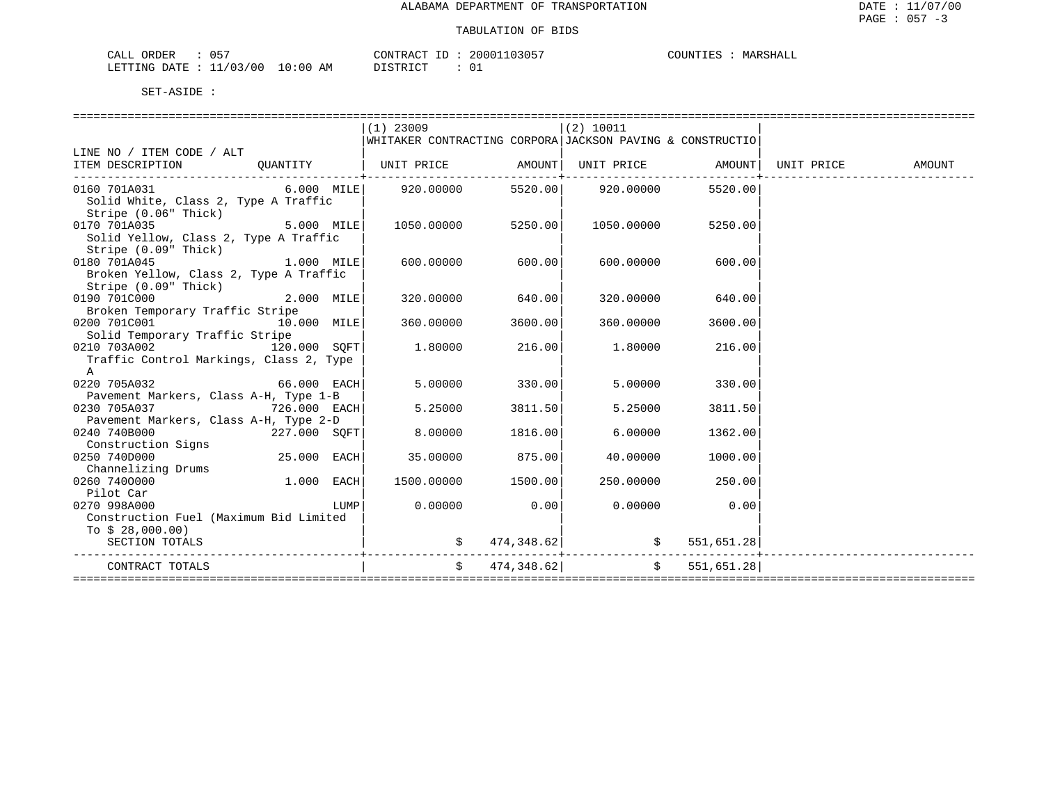| ORDER<br>$\cdot$<br>.<br>ັບບ<br>المستحدث |             | חידוור<br>$\pi$ $\sim$<br>$\overline{\phantom{a}}$ |    | ידי הד |
|------------------------------------------|-------------|----------------------------------------------------|----|--------|
| <b>RTTING</b><br>0C<br>$\Delta$          | AΜ<br>: 0 0 | $ \sim$ $\sim$<br>⋯<br>.                           | ◡⊥ |        |

|                                                            |              |             | $(1)$ 23009                                               |            | $(2)$ 10011 |                |  |
|------------------------------------------------------------|--------------|-------------|-----------------------------------------------------------|------------|-------------|----------------|--|
|                                                            |              |             | WHITAKER CONTRACTING CORPORA JACKSON PAVING & CONSTRUCTIO |            |             |                |  |
| LINE NO / ITEM CODE / ALT                                  |              |             |                                                           |            |             |                |  |
| ITEM DESCRIPTION QUANTITY                                  |              |             |                                                           |            |             |                |  |
|                                                            |              |             |                                                           |            |             |                |  |
| 0160 701A031                                               |              |             | $6.000$ MILE 920.00000 5520.00 920.00000                  |            |             | 5520.00        |  |
| Solid White, Class 2, Type A Traffic                       |              |             |                                                           |            |             |                |  |
| Stripe (0.06" Thick)                                       |              |             |                                                           |            |             |                |  |
| $5.000$ MILE<br>0170 701A035                               |              |             | 1050.00000 5250.00                                        |            | 1050.00000  | 5250.00        |  |
| Solid Yellow, Class 2, Type A Traffic                      |              |             |                                                           |            |             |                |  |
| Stripe (0.09" Thick)                                       |              |             |                                                           |            |             |                |  |
| $1.000$ MILE<br>0180 701A045                               |              |             | 600.00000                                                 | 600.00     | 600.00000   | 600.00         |  |
| Broken Yellow, Class 2, Type A Traffic                     |              |             |                                                           |            |             |                |  |
| Stripe (0.09" Thick)                                       |              |             |                                                           |            |             |                |  |
| 0190 701C000 2.000 MILE                                    |              |             | 320.00000                                                 | 640.00     | 320.00000   | 640.00         |  |
| Broken Temporary Traffic Stripe                            |              |             |                                                           |            |             |                |  |
|                                                            |              |             | 360.00000                                                 | 3600.00    | 360.00000   | 3600.00        |  |
| 0200 701C001 10.000 MILE<br>Solid Temporary Traffic Stripe |              |             |                                                           |            |             |                |  |
| 0210 703A002 120.000 SQFT                                  |              |             | 1.80000                                                   | 216.00     | 1.80000     | 216.00         |  |
| Traffic Control Markings, Class 2, Type                    |              |             |                                                           |            |             |                |  |
| $\mathbb A$                                                |              |             |                                                           |            |             |                |  |
| $66.000$ EACH<br>0220 705A032                              |              |             | 5.00000                                                   | 330.00     | 5.00000     |                |  |
|                                                            |              |             |                                                           |            |             | 330.00         |  |
| Pavement Markers, Class A-H, Type 1-B                      |              |             |                                                           |            |             |                |  |
| 0230 705A037                                               | 726.000 EACH |             | 5.25000                                                   | 3811.50    | 5.25000     | 3811.50        |  |
| Pavement Markers, Class A-H, Type 2-D                      |              |             |                                                           |            |             |                |  |
| 0240 740B000                                               | 227.000 SOFT |             | 8.00000                                                   | 1816.00    | 6.00000     | 1362.00        |  |
| Construction Signs                                         |              |             |                                                           |            |             |                |  |
| 0250 740D000                                               | 25.000 EACH  |             | 35.00000                                                  | 875.001    | 40.00000    | 1000.00        |  |
| Channelizing Drums                                         |              |             |                                                           |            |             |                |  |
| 0260 7400000                                               | $1.000$ EACH |             | 1500.00000                                                | 1500.00    | 250.00000   | 250.00         |  |
| Pilot Car                                                  |              |             |                                                           |            |             |                |  |
| 0270 998A000                                               |              | <b>LUMP</b> | 0.00000                                                   | 0.00       |             | $0.00000$ 0.00 |  |
| Construction Fuel (Maximum Bid Limited                     |              |             |                                                           |            |             |                |  |
| To $$28,000.00)$                                           |              |             |                                                           |            |             |                |  |
| SECTION TOTALS                                             |              |             |                                                           |            | 474,348.62  | 551,651.28     |  |
|                                                            |              |             |                                                           |            |             |                |  |
| CONTRACT TOTALS                                            |              |             | $\mathsf{S}$                                              | 474,348.62 | $\ddot{s}$  | 551,651.28     |  |
|                                                            |              |             |                                                           |            |             |                |  |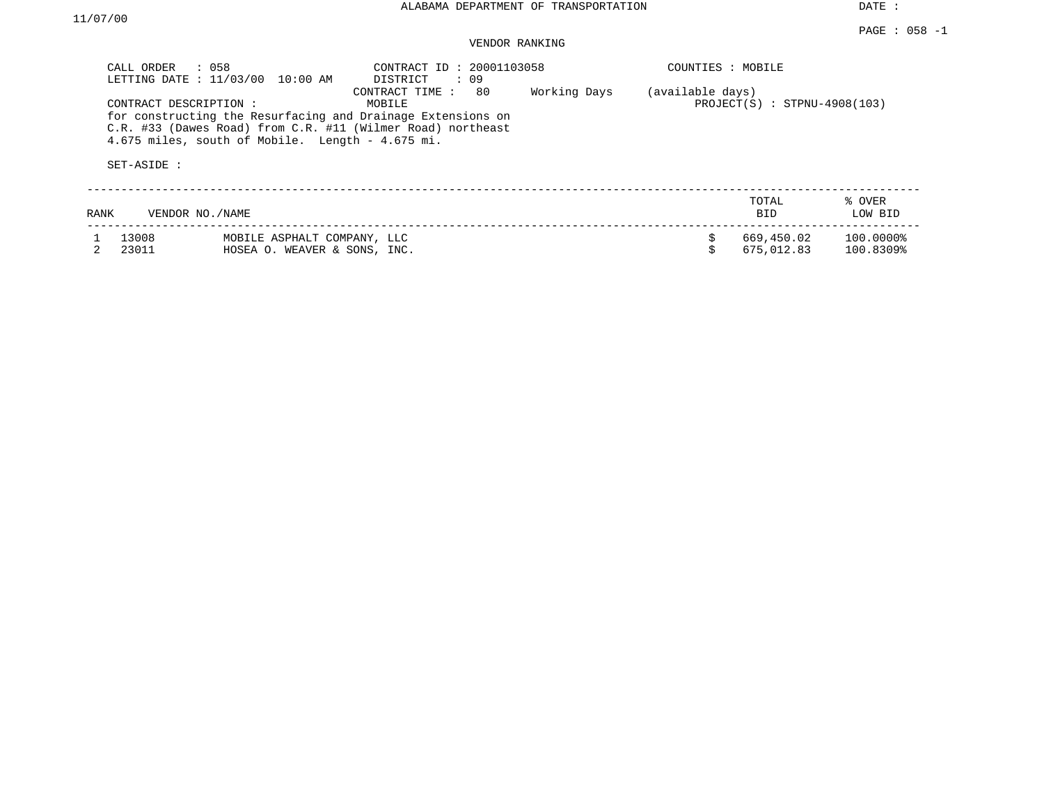## VENDOR RANKING

| CALL ORDER                            | $\therefore$ 058<br>LETTING DATE : 11/03/00 10:00 AM                                                                                                                             | CONTRACT ID: 20001103058<br>DISTRICT : 09 |              | COUNTIES : MOBILE |                                |                        |
|---------------------------------------|----------------------------------------------------------------------------------------------------------------------------------------------------------------------------------|-------------------------------------------|--------------|-------------------|--------------------------------|------------------------|
| CONTRACT DESCRIPTION :<br>SET-ASIDE : | for constructing the Resurfacing and Drainage Extensions on<br>C.R. #33 (Dawes Road) from C.R. #11 (Wilmer Road) northeast<br>4.675 miles, south of Mobile. Length $-$ 4.675 mi. | CONTRACT TIME : 80<br>MOBILE              | Working Days | (available days)  | $PROJECT(S)$ : STPNU-4908(103) |                        |
| RANK                                  | VENDOR NO. / NAME                                                                                                                                                                |                                           |              |                   | TOTAL<br><b>BID</b>            | % OVER<br>LOW BID      |
| 13008<br>23011                        | MOBILE ASPHALT COMPANY, LLC<br>HOSEA O. WEAVER & SONS, INC.                                                                                                                      |                                           |              |                   | 669,450.02<br>675,012.83       | 100.0000%<br>100.8309% |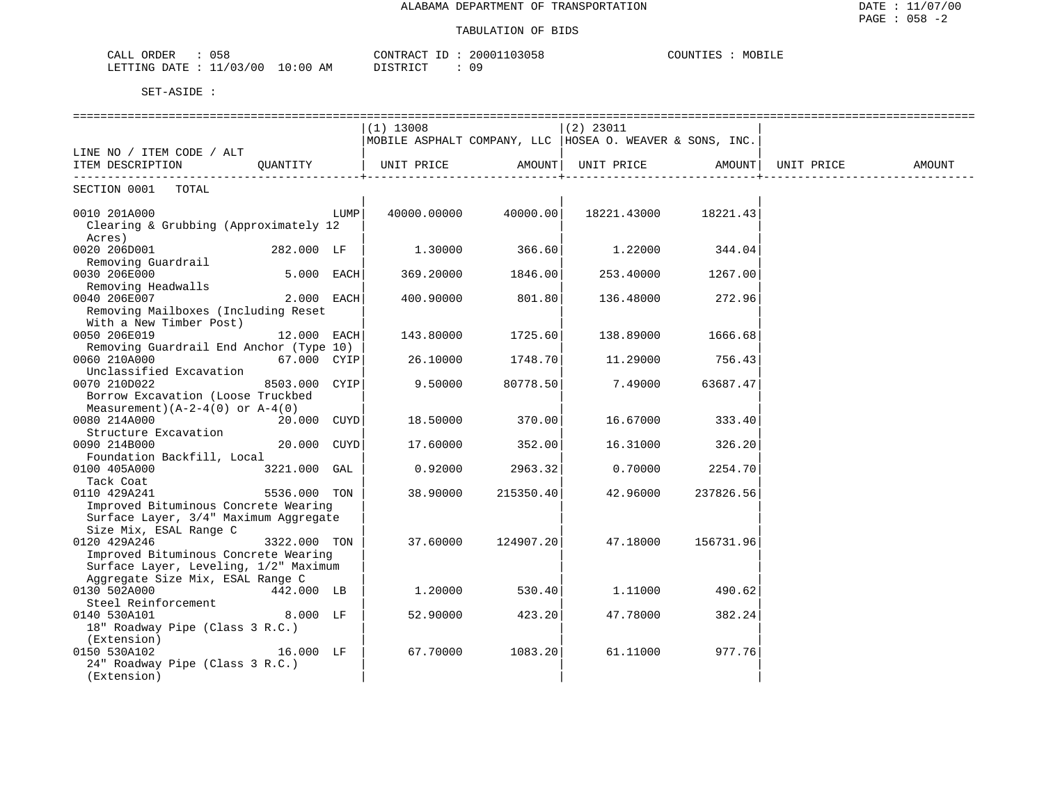## TABULATION OF BIDS

| $\sim$ $ \sim$<br>ORDEI<br>152<br>٠Δ.<br>للتما<br><b>UJU</b>                                                                                                            | 2000<br>۵۵٬          | MOBILE<br>$\cap$ $\cap$ then $\Gamma$<br>1111 |
|-------------------------------------------------------------------------------------------------------------------------------------------------------------------------|----------------------|-----------------------------------------------|
| 0٥/<br>OMTHUM T<br>AΜ<br>00<br>יידי∆רו<br>$\pm 1$ NU<br>the contract of the contract of the contract of the contract of the contract of the contract of the contract of | n n<br>- פחד<br>- 92 |                                               |

|                                                                                                                                                                  |               |      | $(1)$ 13008<br>MOBILE ASPHALT COMPANY, LLC   HOSEA O. WEAVER & SONS, INC. |            | $(2)$ 23011 |           |            |        |
|------------------------------------------------------------------------------------------------------------------------------------------------------------------|---------------|------|---------------------------------------------------------------------------|------------|-------------|-----------|------------|--------|
| LINE NO / ITEM CODE / ALT                                                                                                                                        |               |      |                                                                           |            |             |           |            |        |
| ITEM DESCRIPTION                                                                                                                                                 | OUANTITY      |      | UNIT PRICE                                                                | AMOUNT     | UNIT PRICE  | AMOUNT    | UNIT PRICE | AMOUNT |
| SECTION 0001<br>TOTAL                                                                                                                                            |               |      |                                                                           |            |             |           |            |        |
| 0010 201A000<br>Clearing & Grubbing (Approximately 12<br>Acres)                                                                                                  |               | LUMP | 40000.00000                                                               | 40000.00   | 18221.43000 | 18221.43  |            |        |
| 0020 206D001<br>Removing Guardrail                                                                                                                               | 282.000 LF    |      | 1.30000                                                                   | 366.60     | 1,22000     | 344.04    |            |        |
| 0030 206E000<br>Removing Headwalls                                                                                                                               | $5.000$ EACH  |      | 369.20000                                                                 | 1846.00    | 253.40000   | 1267.00   |            |        |
| 0040 206E007<br>Removing Mailboxes (Including Reset<br>With a New Timber Post)                                                                                   | 2.000 EACH    |      | 400.90000                                                                 | 801.80     | 136.48000   | 272.96    |            |        |
| 0050 206E019<br>Removing Guardrail End Anchor (Type 10)                                                                                                          | 12.000 EACH   |      | 143.80000                                                                 | 1725.60    | 138.89000   | 1666.68   |            |        |
| 0060 210A000<br>Unclassified Excavation                                                                                                                          | 67.000 CYIP   |      | 26.10000                                                                  | 1748.70    | 11.29000    | 756.43    |            |        |
| 0070 210D022<br>Borrow Excavation (Loose Truckbed<br>Measurement) $(A-2-4(0)$ or $A-4(0)$                                                                        | 8503.000 CYIP |      | 9.50000                                                                   | 80778.50   | 7.49000     | 63687.47  |            |        |
| 0080 214A000<br>Structure Excavation                                                                                                                             | 20.000 CUYD   |      | 18.50000                                                                  | 370.00     | 16.67000    | 333.40    |            |        |
| 0090 214B000<br>Foundation Backfill, Local                                                                                                                       | 20.000 CUYD   |      | 17.60000                                                                  | 352.00     | 16.31000    | 326.20    |            |        |
| 0100 405A000<br>Tack Coat                                                                                                                                        | 3221.000 GAL  |      | 0.92000                                                                   | 2963.32    | 0.70000     | 2254.70   |            |        |
| 0110 429A241<br>Improved Bituminous Concrete Wearing                                                                                                             | 5536.000 TON  |      | 38.90000                                                                  | 215350.40  | 42.96000    | 237826.56 |            |        |
| Surface Layer, 3/4" Maximum Aggregate<br>Size Mix, ESAL Range C<br>0120 429A246<br>Improved Bituminous Concrete Wearing<br>Surface Layer, Leveling, 1/2" Maximum | 3322.000 TON  |      | 37.60000                                                                  | 124907.201 | 47.18000    | 156731.96 |            |        |
| Aggregate Size Mix, ESAL Range C<br>0130 502A000                                                                                                                 | 442.000 LB    |      | 1.20000                                                                   | 530.40     | 1,11000     | 490.62    |            |        |
| Steel Reinforcement<br>0140 530A101<br>18" Roadway Pipe (Class 3 R.C.)<br>(Extension)                                                                            | $8.000$ LF    |      | 52.90000                                                                  | 423.20     | 47.78000    | 382.24    |            |        |
| 0150 530A102<br>24" Roadway Pipe (Class 3 R.C.)<br>(Extension)                                                                                                   | 16.000 LF     |      | 67.70000                                                                  | 1083.20    | 61.11000    | 977.76    |            |        |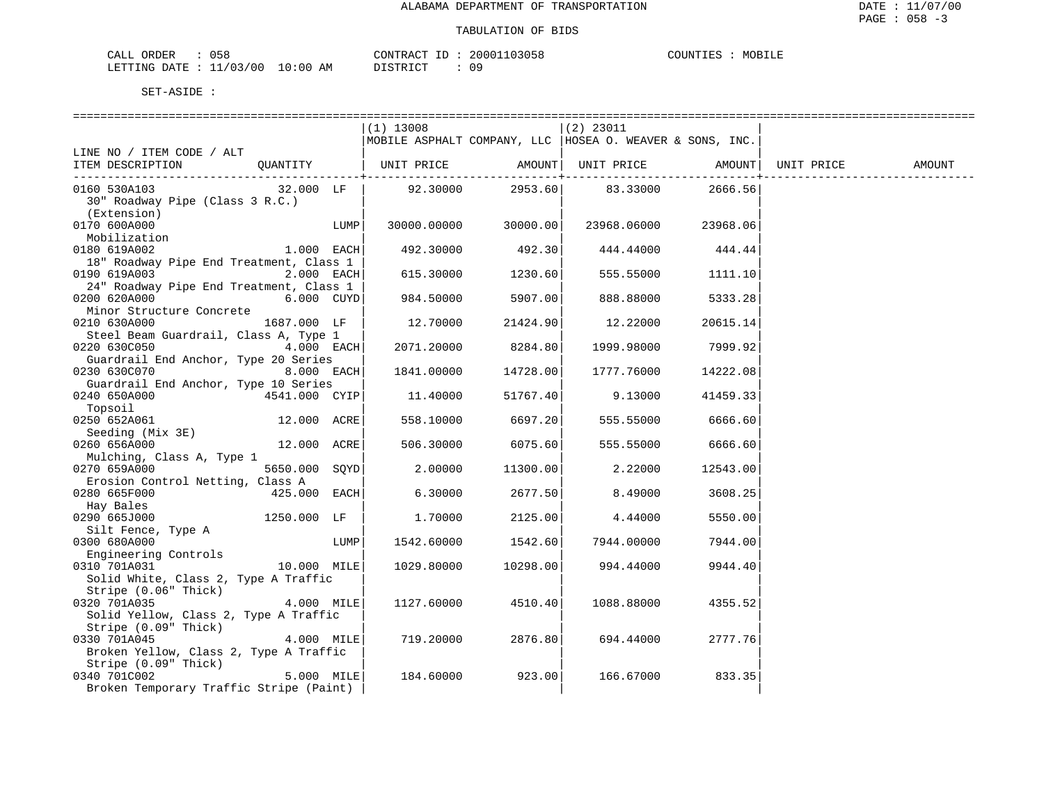| ORDER<br>CALL (               | JS8 |    | CONTRACT ID: | 20001103058 | COUNTIES | MOBILE |
|-------------------------------|-----|----|--------------|-------------|----------|--------|
| LETTING DATE : 11/03/00 10:00 |     | AΜ | DISTRICT     |             |          |        |

|                                                 |               |      | $(1)$ 13008                                                             |                   | $(2)$ 23011                   |                   |        |
|-------------------------------------------------|---------------|------|-------------------------------------------------------------------------|-------------------|-------------------------------|-------------------|--------|
|                                                 |               |      | MOBILE ASPHALT COMPANY, LLC   HOSEA O. WEAVER & SONS, INC.              |                   |                               |                   |        |
| LINE NO / ITEM CODE / ALT                       |               |      |                                                                         |                   |                               |                   |        |
| ITEM DESCRIPTION                                |               |      | QUANTITY   UNIT PRICE       AMOUNT  UNIT PRICE       AMOUNT  UNIT PRICE |                   |                               |                   | AMOUNT |
|                                                 |               |      |                                                                         |                   | _____________________________ | ------------+-    |        |
| 0160 530A103                                    | 32.000 LF     |      |                                                                         |                   | 92.30000 2953.60 83.33000     | 2666.56           |        |
| 30" Roadway Pipe (Class 3 R.C.)                 |               |      |                                                                         |                   |                               |                   |        |
| (Extension)                                     |               |      |                                                                         |                   |                               |                   |        |
| 0170 600A000                                    |               | LUMP | 30000.00000 30000.00                                                    |                   | 23968.06000 23968.06          |                   |        |
|                                                 |               |      |                                                                         |                   |                               |                   |        |
| Mobilization                                    |               |      |                                                                         |                   |                               |                   |        |
| 0180 619A002                                    | $1.000$ EACH  |      | 492.30000                                                               | 492.30            |                               | 444.44000 444.44  |        |
| 18" Roadway Pipe End Treatment, Class 1         |               |      |                                                                         |                   |                               |                   |        |
| 0190 619A003                                    | $2.000$ EACH  |      |                                                                         | 615.30000 1230.60 |                               | 555.55000 1111.10 |        |
| 24" Roadway Pipe End Treatment, Class 1         |               |      |                                                                         |                   |                               |                   |        |
| 0200 620A000                                    |               |      | 984.50000                                                               | 5907.00           | 888.88000                     | 5333.28           |        |
| Minor Structure Concrete                        |               |      |                                                                         |                   |                               |                   |        |
| 0210 630A000                                    | 1687.000 LF   |      | 12.70000                                                                | 21424.90          | 12.22000                      | 20615.14          |        |
| Steel Beam Guardrail, Class A, Type 1           |               |      |                                                                         |                   |                               |                   |        |
| 0220 630C050                                    | $4.000$ EACH  |      | 2071.20000                                                              | 8284.80           | 1999.98000                    | 7999.92           |        |
| Guardrail End Anchor, Type 20 Series            |               |      |                                                                         |                   |                               |                   |        |
| 0230 630C070 8.000 EACH                         |               |      | 1841.00000                                                              | 14728.00          | 1777.76000                    | 14222.08          |        |
| Guardrail End Anchor, Type 10 Series            |               |      |                                                                         |                   |                               |                   |        |
| 0240 650A000                                    | 4541.000 CYIP |      | 11.40000                                                                | 51767.40          | 9.13000                       | 41459.33          |        |
| Topsoil                                         |               |      |                                                                         |                   |                               |                   |        |
| 0250 652A061                                    | 12.000 ACRE   |      | 558.10000                                                               | 6697.20           | 555.55000                     | 6666.60           |        |
|                                                 |               |      |                                                                         |                   |                               |                   |        |
| Seeding (Mix 3E)<br>260 656A000<br>0260 656A000 | 12.000 ACRE   |      | 506.30000                                                               | 6075.60           | 555.55000                     | 6666.60           |        |
| Mulching, Class A, Type 1                       |               |      |                                                                         |                   |                               |                   |        |
| 0270 659A000 0270 659A000                       | 5650.000 SQYD |      | 2.00000                                                                 | 11300.00          | 2.22000                       |                   |        |
|                                                 |               |      |                                                                         |                   |                               | 12543.00          |        |
| Erosion Control Netting, Class A                |               |      |                                                                         |                   |                               |                   |        |
| 0280 665F000                                    | 425.000 EACH  |      | 6.30000                                                                 | 2677.50           | 8.49000                       | 3608.25           |        |
| Hay Bales                                       |               |      |                                                                         |                   |                               |                   |        |
| 0290 665J000 0290 665J000                       | 1250.000 LF   |      | 1.70000                                                                 | 2125.00           | 4.44000                       | 5550.00           |        |
| Silt Fence, Type A                              |               |      |                                                                         |                   |                               |                   |        |
| 0300 680A000                                    |               | LUMP | 1542.60000                                                              | 1542.60           | 7944.00000                    | 7944.00           |        |
| Engineering Controls                            |               |      |                                                                         |                   |                               |                   |        |
| 0310 701A031                                    | $10.000$ MILE |      | 1029.80000                                                              | 10298.00          | 994.44000                     | 9944.40           |        |
| Solid White, Class 2, Type A Traffic            |               |      |                                                                         |                   |                               |                   |        |
| Stripe (0.06" Thick)                            |               |      |                                                                         |                   |                               |                   |        |
| 0320 701A035                                    | 4.000 MILE    |      | 1127.60000                                                              | 4510.40           | 1088.88000                    | 4355.52           |        |
| Solid Yellow, Class 2, Type A Traffic           |               |      |                                                                         |                   |                               |                   |        |
| Stripe (0.09" Thick)                            |               |      |                                                                         |                   |                               |                   |        |
| 0330 701A045                                    | $4.000$ MILE  |      | 719.20000                                                               | 2876.80           | 694.44000                     | 2777.76           |        |
| Broken Yellow, Class 2, Type A Traffic          |               |      |                                                                         |                   |                               |                   |        |
| Stripe (0.09" Thick)                            |               |      |                                                                         |                   |                               |                   |        |
| 0340 701C002                                    | $5.000$ MILE  |      | 184.60000                                                               | 923.00            | 166.67000                     | 833.35            |        |
| Broken Temporary Traffic Stripe (Paint)         |               |      |                                                                         |                   |                               |                   |        |
|                                                 |               |      |                                                                         |                   |                               |                   |        |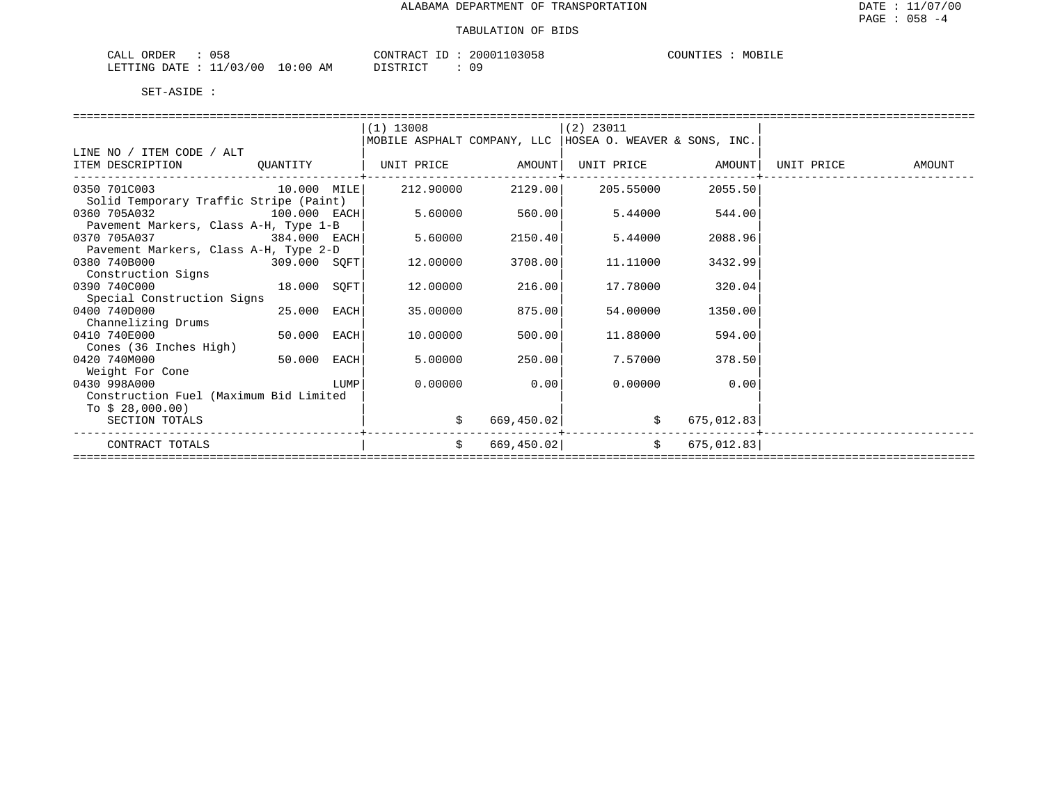| $-$<br>ORDER<br>JАL.<br>ິ                                  |            | 70N <sub>1</sub> | 3058                | MOR<br>. L F |
|------------------------------------------------------------|------------|------------------|---------------------|--------------|
| .ETTTIMG<br>00<br>ת הי<br>ᆈᄘ<br><b>1.</b><br>$\sim$ $\sim$ | (10)<br>AМ | $- - \alpha -$   | n o<br><u> v - </u> |              |

|                                                            |             |      | $(1)$ 13008                                                |            | $(2)$ 23011       |            |            |        |
|------------------------------------------------------------|-------------|------|------------------------------------------------------------|------------|-------------------|------------|------------|--------|
|                                                            |             |      | MOBILE ASPHALT COMPANY, LLC   HOSEA O. WEAVER & SONS, INC. |            |                   |            |            |        |
| LINE NO / ITEM CODE / ALT                                  |             |      |                                                            |            |                   |            |            |        |
| ITEM DESCRIPTION                                           | QUANTITY    |      | UNIT PRICE AMOUNT                                          |            | UNIT PRICE AMOUNT |            | UNIT PRICE | AMOUNT |
| 0350 701C003                                               | 10.000 MILE |      | 212.90000                                                  | 2129.00    | 205.55000         | 2055.50    |            |        |
| Solid Temporary Traffic Stripe (Paint)                     |             |      |                                                            |            |                   |            |            |        |
| 0360 705A032<br>100.000 EACH                               |             |      | 5.60000                                                    | 560.00     | 5.44000           | 544.00     |            |        |
| Pavement Markers, Class A-H, Type 1-B                      |             |      |                                                            |            |                   |            |            |        |
| 0370 705A037<br>$384.000$ EACH                             |             |      | 5.60000                                                    | 2150.40    | 5.44000           | 2088.96    |            |        |
| Pavement Markers, Class A-H, Type 2-D                      |             |      |                                                            |            |                   |            |            |        |
| 0380 740B000<br>309.000 SOFT                               |             |      | 12.00000                                                   | 3708.00    | 11,11000          | 3432.99    |            |        |
| Construction Signs                                         |             |      |                                                            |            |                   |            |            |        |
| 0390 740C000                                               | 18.000 SOFT |      | 12.00000                                                   | 216.00     | 17.78000          | 320.04     |            |        |
| Special Construction Signs                                 |             |      |                                                            |            |                   |            |            |        |
| 0400 740D000                                               | 25.000 EACH |      | 35.00000                                                   | 875.00     | 54.00000          | 1350.00    |            |        |
| Channelizing Drums                                         |             |      |                                                            |            |                   |            |            |        |
| 0410 740E000                                               | 50.000 EACH |      | 10.00000                                                   | 500.00     | 11.88000          | 594.00     |            |        |
| Cones (36 Inches High)                                     |             |      |                                                            |            |                   |            |            |        |
| 0420 740M000                                               | 50.000      | EACH | 5.00000                                                    | 250.00     | 7.57000           | 378.50     |            |        |
| Weight For Cone<br>0430 998A000                            |             |      | 0.00000                                                    |            | 0.00000           | 0.00       |            |        |
|                                                            |             | LUMP |                                                            | 0.00       |                   |            |            |        |
| Construction Fuel (Maximum Bid Limited<br>To $$28,000.00)$ |             |      |                                                            |            |                   |            |            |        |
| SECTION TOTALS                                             |             |      |                                                            |            |                   | 675,012.83 |            |        |
|                                                            |             |      |                                                            | 669,450.02 |                   |            |            |        |
| CONTRACT TOTALS                                            |             |      | Ŝ.                                                         | 669,450.02 | $\ddot{s}$        | 675,012.83 |            |        |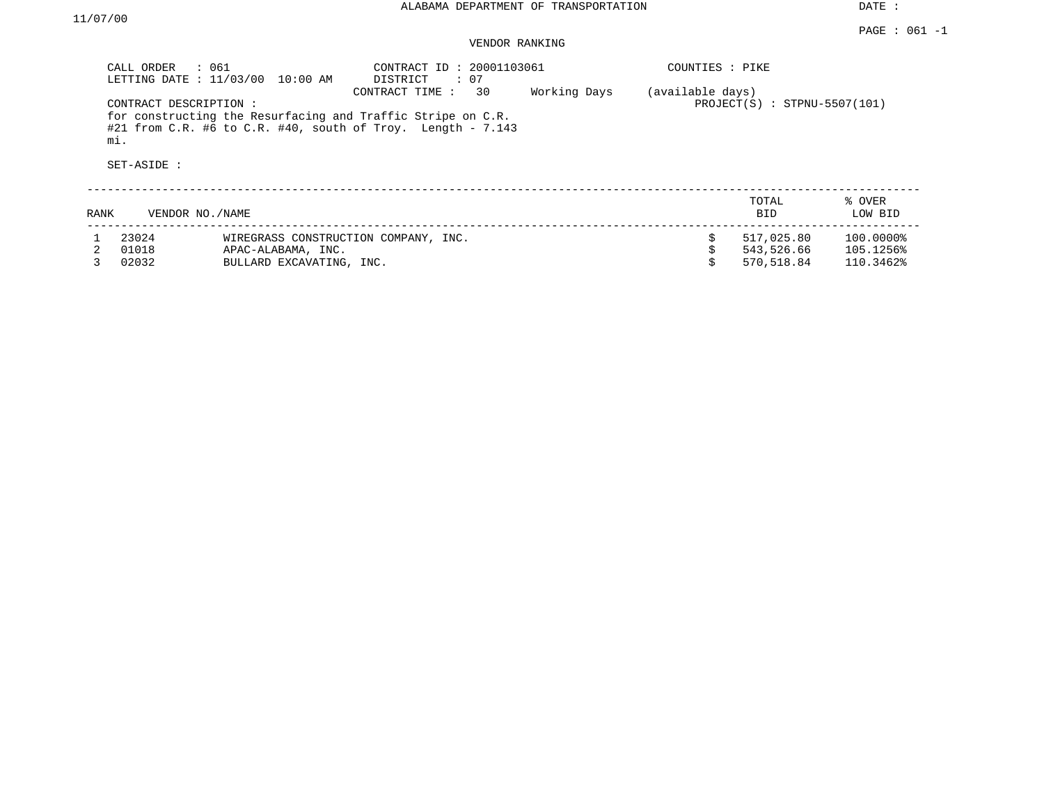# VENDOR RANKING

|      | CALL ORDER<br>: 061<br>LETTING DATE : 11/03/00 | 10:00 AM                             | CONTRACT ID: 20001103061<br>$\colon 07$<br>DISTRICT                                                                                                |              | COUNTIES : PIKE  |                                |                   |
|------|------------------------------------------------|--------------------------------------|----------------------------------------------------------------------------------------------------------------------------------------------------|--------------|------------------|--------------------------------|-------------------|
|      | CONTRACT DESCRIPTION:<br>mi.<br>SET-ASIDE :    |                                      | 30<br>CONTRACT TIME:<br>for constructing the Resurfacing and Traffic Stripe on C.R.<br>#21 from C.R. #6 to C.R. #40, south of Troy. Length - 7.143 | Working Days | (available days) | $PROJECT(S) : STPNU-5507(101)$ |                   |
| RANK | VENDOR NO./NAME                                |                                      |                                                                                                                                                    |              |                  | TOTAL<br><b>BID</b>            | % OVER<br>LOW BID |
|      | 23024                                          | WIREGRASS CONSTRUCTION COMPANY, INC. |                                                                                                                                                    |              | Ŝ.               | 517,025.80                     | 100.0000%         |
|      | 01018                                          | APAC-ALABAMA, INC.                   |                                                                                                                                                    |              |                  | 543,526.66                     | 105.1256%         |
|      | 02032                                          | BULLARD EXCAVATING, INC.             |                                                                                                                                                    |              |                  | 570,518.84                     | 110.3462%         |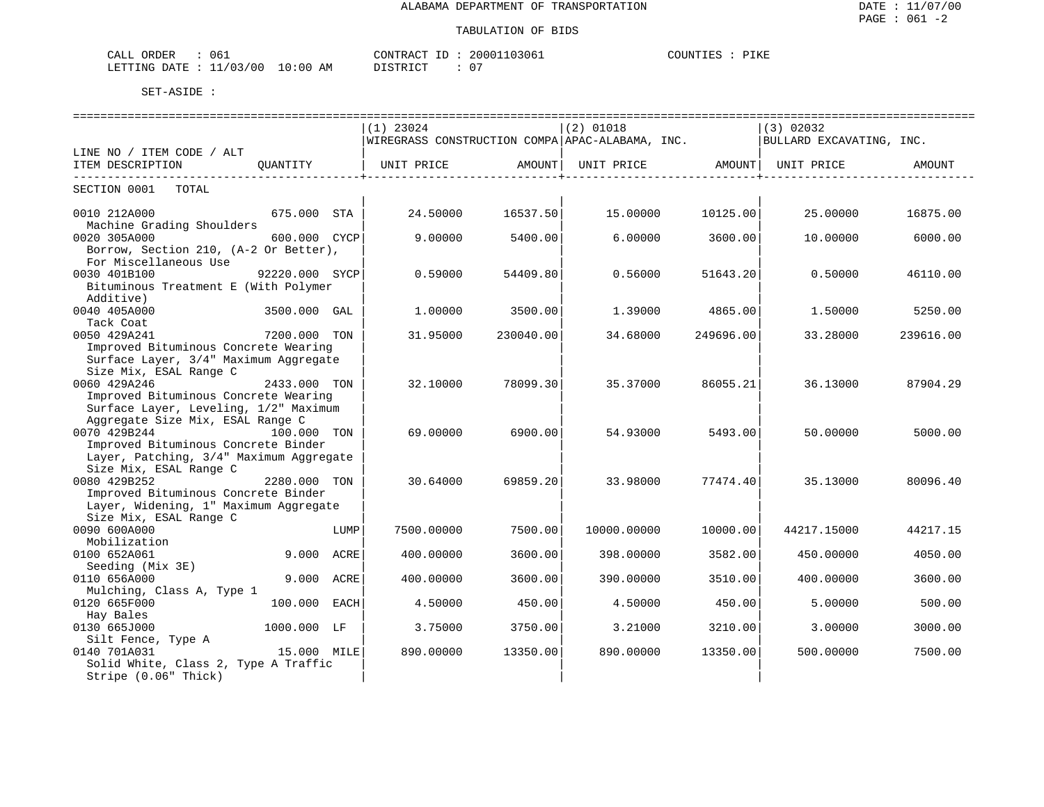| ORDER<br>CALL<br>- 06           |             | CONTRACT ID | 20001103061 | ᆩᆍᅏᅚ<br>COUNTIES<br>. .<br>- エレエ |
|---------------------------------|-------------|-------------|-------------|----------------------------------|
| 11/03/00<br>LETTING DATE<br>+ + | 10:00<br>ΆM | DISTRICT    | $\sim$ $-$  |                                  |

|                                                   |                |      |                                                 |           |             |                                                                           | .================================= |           |
|---------------------------------------------------|----------------|------|-------------------------------------------------|-----------|-------------|---------------------------------------------------------------------------|------------------------------------|-----------|
|                                                   |                |      | $(1)$ 23024                                     |           | $(2)$ 01018 |                                                                           | (3) 02032                          |           |
|                                                   |                |      | WIREGRASS CONSTRUCTION COMPA APAC-ALABAMA, INC. |           |             |                                                                           | BULLARD EXCAVATING, INC.           |           |
| LINE NO / ITEM CODE / ALT                         |                |      |                                                 |           |             |                                                                           |                                    |           |
| ITEM DESCRIPTION                                  | OUANTITY       |      | UNIT PRICE AMOUNT                               |           |             | UNIT PRICE AMOUNT   UNIT PRICE<br>. _ _ _ _ _ _ _ _ _ _ _ _ _ _ _ _ _ _ + |                                    | AMOUNT    |
| __________________________<br>SECTION 0001 TOTAL  |                |      |                                                 |           |             |                                                                           |                                    |           |
| 0010 212A000                                      | 675.000 STA    |      | 24.50000                                        | 16537.50  | 15.00000    | 10125.00                                                                  | 25.00000                           | 16875.00  |
| Machine Grading Shoulders                         |                |      |                                                 |           |             |                                                                           |                                    |           |
| 0020 305A000                                      | 600.000 CYCP   |      | 9,00000                                         | 5400.00   | 6.00000     | 3600.00                                                                   | 10.00000                           | 6000.00   |
| Borrow, Section 210, (A-2 Or Better),             |                |      |                                                 |           |             |                                                                           |                                    |           |
| For Miscellaneous Use                             |                |      |                                                 |           |             |                                                                           |                                    |           |
| 0030 401B100                                      | 92220.000 SYCP |      | 0.59000                                         | 54409.80  | 0.56000     | 51643.20                                                                  | 0.50000                            | 46110.00  |
| Bituminous Treatment E (With Polymer<br>Additive) |                |      |                                                 |           |             |                                                                           |                                    |           |
| 0040 405A000                                      | 3500.000 GAL   |      | 1,00000                                         | 3500.00   | 1.39000     | 4865.00                                                                   | 1,50000                            | 5250.00   |
| Tack Coat                                         |                |      |                                                 |           |             |                                                                           |                                    |           |
| 0050 429A241                                      | 7200.000 TON   |      | 31.95000                                        | 230040.00 | 34.68000    | 249696.00                                                                 | 33.28000                           | 239616.00 |
| Improved Bituminous Concrete Wearing              |                |      |                                                 |           |             |                                                                           |                                    |           |
| Surface Layer, 3/4" Maximum Aggregate             |                |      |                                                 |           |             |                                                                           |                                    |           |
| Size Mix, ESAL Range C                            |                |      |                                                 |           |             |                                                                           |                                    |           |
| 0060 429A246                                      | 2433.000 TON   |      | 32.10000                                        | 78099.30  | 35.37000    | 86055.21                                                                  | 36.13000                           | 87904.29  |
| Improved Bituminous Concrete Wearing              |                |      |                                                 |           |             |                                                                           |                                    |           |
| Surface Layer, Leveling, 1/2" Maximum             |                |      |                                                 |           |             |                                                                           |                                    |           |
| Aggregate Size Mix, ESAL Range C                  |                |      |                                                 |           |             |                                                                           |                                    |           |
| 0070 429B244                                      | 100.000 TON    |      | 69.00000                                        | 6900.00   | 54.93000    | 5493.00                                                                   | 50.00000                           | 5000.00   |
| Improved Bituminous Concrete Binder               |                |      |                                                 |           |             |                                                                           |                                    |           |
| Layer, Patching, 3/4" Maximum Aggregate           |                |      |                                                 |           |             |                                                                           |                                    |           |
| Size Mix, ESAL Range C                            |                |      |                                                 |           |             |                                                                           |                                    |           |
| 0080 429B252                                      | 2280.000 TON   |      | 30.64000                                        | 69859.20  | 33.98000    | 77474.40                                                                  | 35.13000                           | 80096.40  |
| Improved Bituminous Concrete Binder               |                |      |                                                 |           |             |                                                                           |                                    |           |
| Layer, Widening, 1" Maximum Aggregate             |                |      |                                                 |           |             |                                                                           |                                    |           |
| Size Mix, ESAL Range C                            |                |      |                                                 |           |             |                                                                           |                                    |           |
| 0090 600A000                                      |                | LUMP | 7500.00000                                      | 7500.00   | 10000.00000 | 10000.00                                                                  | 44217.15000                        | 44217.15  |
| Mobilization                                      |                |      |                                                 |           |             |                                                                           |                                    |           |
| 0100 652A061                                      | 9.000 ACRE     |      | 400.00000                                       | 3600.00   | 398.00000   | 3582.00                                                                   | 450.00000                          | 4050.00   |
| Seeding (Mix 3E)                                  |                |      |                                                 |           |             |                                                                           |                                    |           |
| 0110 656A000                                      | 9.000 ACRE     |      | 400.00000                                       | 3600.00   | 390.00000   | 3510.00                                                                   | 400.00000                          | 3600.00   |
| Mulching, Class A, Type 1                         |                |      |                                                 |           |             |                                                                           |                                    |           |
| 0120 665F000                                      | 100.000        | EACH | 4.50000                                         | 450.00    | 4.50000     | 450.00                                                                    | 5.00000                            | 500.00    |
| Hay Bales                                         |                |      |                                                 |           |             |                                                                           |                                    |           |
| 0130 665J000                                      | 1000.000 LF    |      | 3.75000                                         | 3750.00   | 3.21000     | 3210.00                                                                   | 3.00000                            | 3000.00   |
| Silt Fence, Type A                                |                |      |                                                 |           |             |                                                                           |                                    |           |
| 0140 701A031                                      | 15.000 MILE    |      | 890.00000                                       | 13350.00  | 890,00000   | 13350.00                                                                  | 500,00000                          | 7500.00   |
| Solid White, Class 2, Type A Traffic              |                |      |                                                 |           |             |                                                                           |                                    |           |
| Stripe (0.06" Thick)                              |                |      |                                                 |           |             |                                                                           |                                    |           |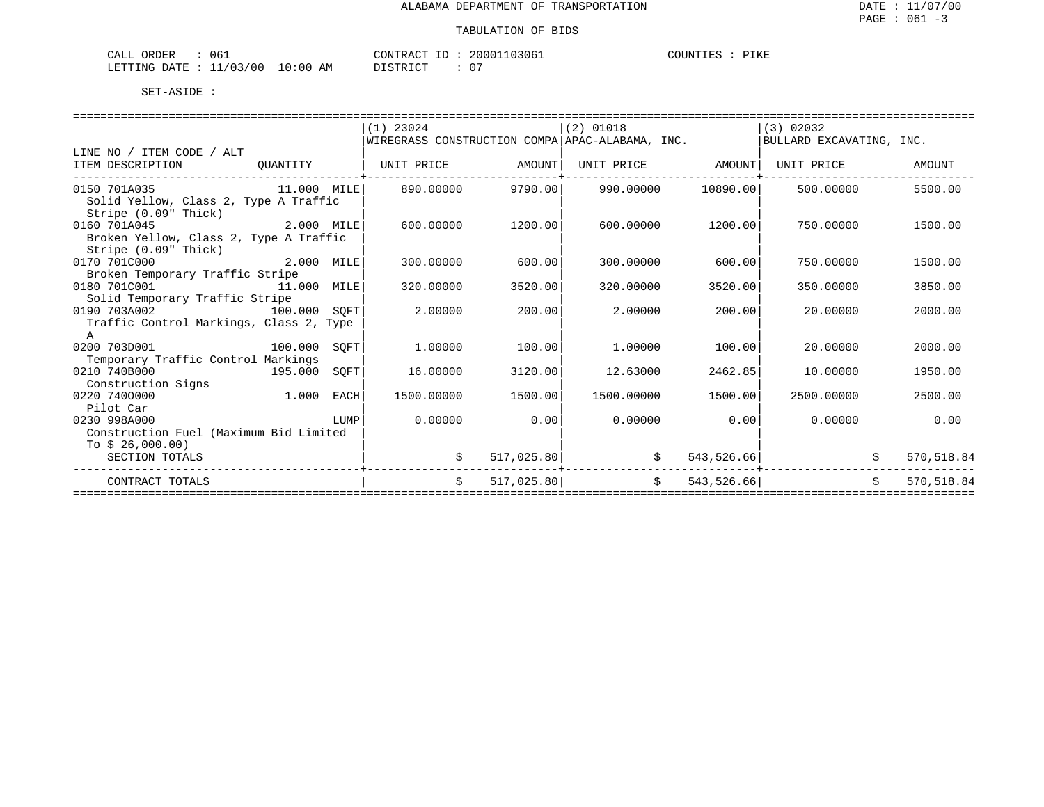| 06.<br>ORDEF<br>CALL                |             | CONTRACT<br>TD.       | 103061<br>20001        | PIKE<br><b>POUNT</b><br><b>COUNTIES</b> |
|-------------------------------------|-------------|-----------------------|------------------------|-----------------------------------------|
| ./03/00<br>LETTING<br>DATE.<br>-- - | 10:00<br>AM | חי חי די דרי דרי<br>. | $\sim$<br>$\mathbf{v}$ |                                         |

| $(1)$ 23024<br>$(2)$ 01018<br>(3) 02032<br>WIREGRASS CONSTRUCTION COMPA APAC-ALABAMA, INC.<br>BULLARD EXCAVATING, INC.<br>LINE NO / ITEM CODE / ALT<br>ITEM DESCRIPTION<br>UNIT PRICE<br>AMOUNT<br>UNIT PRICE AMOUNT<br>UNIT PRICE<br>AMOUNT<br>OUANTITY<br>9790.00<br>10890.00<br>5500.00<br>0150 701A035<br>11.000 MILE<br>890.00000<br>990.00000<br>500.00000<br>Solid Yellow, Class 2, Type A Traffic<br>Stripe (0.09" Thick)<br>2.000 MILE<br>0160 701A045<br>600,00000<br>1200.00<br>600,00000<br>1200.00<br>750.00000<br>1500.00 |  |
|-----------------------------------------------------------------------------------------------------------------------------------------------------------------------------------------------------------------------------------------------------------------------------------------------------------------------------------------------------------------------------------------------------------------------------------------------------------------------------------------------------------------------------------------|--|
|                                                                                                                                                                                                                                                                                                                                                                                                                                                                                                                                         |  |
|                                                                                                                                                                                                                                                                                                                                                                                                                                                                                                                                         |  |
|                                                                                                                                                                                                                                                                                                                                                                                                                                                                                                                                         |  |
|                                                                                                                                                                                                                                                                                                                                                                                                                                                                                                                                         |  |
|                                                                                                                                                                                                                                                                                                                                                                                                                                                                                                                                         |  |
|                                                                                                                                                                                                                                                                                                                                                                                                                                                                                                                                         |  |
|                                                                                                                                                                                                                                                                                                                                                                                                                                                                                                                                         |  |
| Broken Yellow, Class 2, Type A Traffic                                                                                                                                                                                                                                                                                                                                                                                                                                                                                                  |  |
| Stripe (0.09" Thick)                                                                                                                                                                                                                                                                                                                                                                                                                                                                                                                    |  |
| 0170 701C000<br>2.000 MILE<br>600.00<br>300,00000<br>300,00000<br>600.00<br>750.00000<br>1500.00                                                                                                                                                                                                                                                                                                                                                                                                                                        |  |
| Broken Temporary Traffic Stripe                                                                                                                                                                                                                                                                                                                                                                                                                                                                                                         |  |
| 0180 701C001<br>320.00000<br>3520.00<br>3520.00<br>3850.00<br>11.000 MILE<br>320,00000<br>350.00000                                                                                                                                                                                                                                                                                                                                                                                                                                     |  |
| Solid Temporary Traffic Stripe                                                                                                                                                                                                                                                                                                                                                                                                                                                                                                          |  |
| 0190 703A002<br>100.000 SOFT<br>2,00000<br>200.00<br>2,00000<br>200.00<br>20,00000<br>2000.00                                                                                                                                                                                                                                                                                                                                                                                                                                           |  |
| Traffic Control Markings, Class 2, Type                                                                                                                                                                                                                                                                                                                                                                                                                                                                                                 |  |
| A                                                                                                                                                                                                                                                                                                                                                                                                                                                                                                                                       |  |
| 0200 703D001<br>100.000<br>SOFT<br>1,00000<br>100.00<br>1,00000<br>100.00<br>20,00000<br>2000.00                                                                                                                                                                                                                                                                                                                                                                                                                                        |  |
| Temporary Traffic Control Markings                                                                                                                                                                                                                                                                                                                                                                                                                                                                                                      |  |
| 0210 740B000<br>195.000<br>SOFT<br>16.00000<br>3120.00<br>12.63000<br>2462.85<br>10,00000<br>1950.00                                                                                                                                                                                                                                                                                                                                                                                                                                    |  |
| Construction Signs                                                                                                                                                                                                                                                                                                                                                                                                                                                                                                                      |  |
| 1.000<br>0220 7400000<br>1500.00000<br>1500.00<br>1500.00000<br>1500.00<br>2500.00000<br>2500.00<br>EACH                                                                                                                                                                                                                                                                                                                                                                                                                                |  |
| Pilot Car                                                                                                                                                                                                                                                                                                                                                                                                                                                                                                                               |  |
| 0.00<br>0.00<br>0230 998A000<br>0.00000<br>0.00000<br>0.00<br>0.00000<br><b>EXECUTE IN THE EXECUTIVE PROPERTY OF A SET OF A SET OF A SET OF A SET OF A SET OF A SET OF A SET OF A SET OF A</b>                                                                                                                                                                                                                                                                                                                                          |  |
| Construction Fuel (Maximum Bid Limited                                                                                                                                                                                                                                                                                                                                                                                                                                                                                                  |  |
| To $$26,000.00)$                                                                                                                                                                                                                                                                                                                                                                                                                                                                                                                        |  |
| \$<br>517,025.80<br>543,526.66<br>570,518.84<br>SECTION TOTALS                                                                                                                                                                                                                                                                                                                                                                                                                                                                          |  |
| $\ddot{s}$<br>$\ddot{s}$<br>543,526.66<br>Ŝ.<br>517,025.80<br>570,518.84<br>CONTRACT TOTALS                                                                                                                                                                                                                                                                                                                                                                                                                                             |  |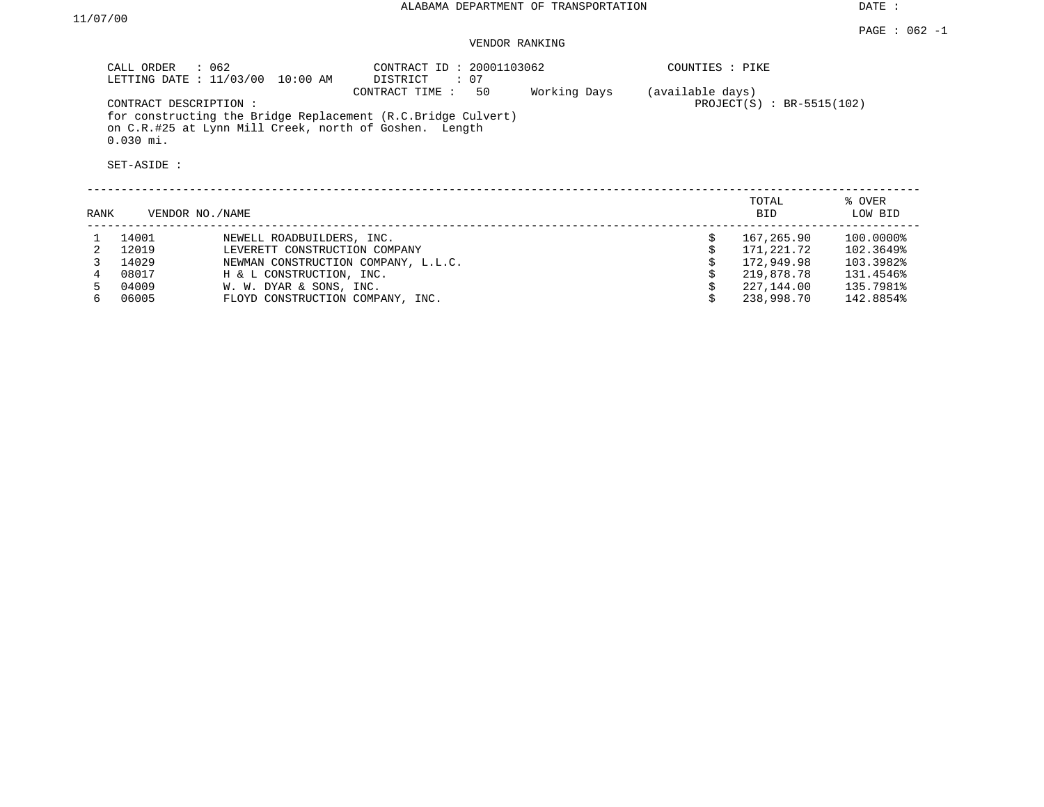# VENDOR RANKING

| CALL ORDER<br>: 062<br>LETTING DATE : $11/03/00$<br>10:00 AM                          | CONTRACT ID: 20001103062<br>: 07<br>DISTRICT |              | COUNTIES : PIKE                                  |  |
|---------------------------------------------------------------------------------------|----------------------------------------------|--------------|--------------------------------------------------|--|
| CONTRACT DESCRIPTION:<br>for constructing the Bridge Replacement (R.C.Bridge Culvert) | 50<br>CONTRACT TIME :                        | Working Days | (available days)<br>PROJECT $(S)$ : BR-5515(102) |  |
| on C.R.#25 at Lynn Mill Creek, north of Goshen. Length<br>$0.030$ mi.                 |                                              |              |                                                  |  |
| SET-ASIDE :                                                                           |                                              |              |                                                  |  |
|                                                                                       |                                              |              |                                                  |  |

| RANK | VENDOR NO./NAME |                                     | TOTAL<br><b>BID</b> | % OVER<br>LOW BID |
|------|-----------------|-------------------------------------|---------------------|-------------------|
|      | 14001           | NEWELL ROADBUILDERS, INC.           | 167,265.90          | 100.0000%         |
|      | 12019           | LEVERETT CONSTRUCTION COMPANY       | 171,221.72          | 102.3649%         |
|      | 14029           | NEWMAN CONSTRUCTION COMPANY, L.L.C. | 172,949.98          | 103.3982%         |
|      | 08017           | H & L CONSTRUCTION, INC.            | 219,878.78          | 131.4546%         |
|      | 04009           | W. W. DYAR & SONS, INC.             | 227,144.00          | 135.7981%         |
|      | 06005           | FLOYD CONSTRUCTION COMPANY, INC.    | 238,998.70          | 142.8854%         |
|      |                 |                                     |                     |                   |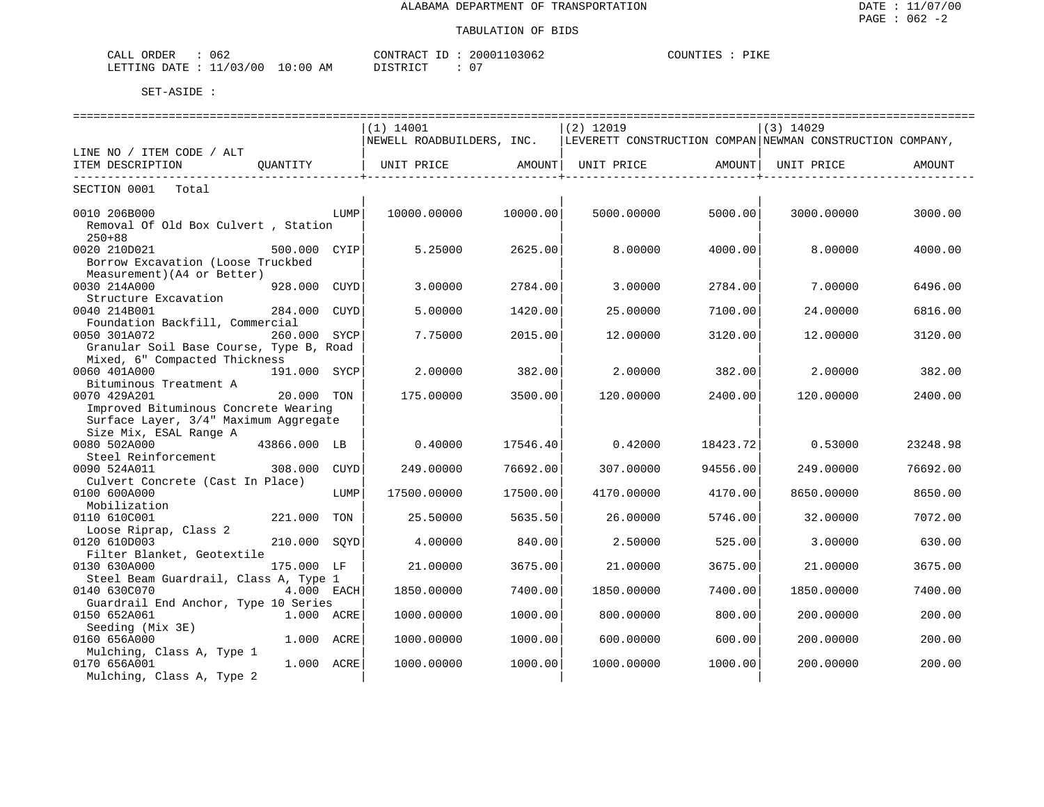| 062<br>ORDER<br>CALL                                                                                                                               | $\gamma$ The actrice          | 103062<br>20001    | COUNT"<br>′⊥r.r |
|----------------------------------------------------------------------------------------------------------------------------------------------------|-------------------------------|--------------------|-----------------|
| $100 - 100$<br>LETTING<br>DATE.<br>the contract of the contract of the contract of the contract of the contract of the contract of the contract of | 10:00<br>AΜ<br>$ \sim$ $\sim$ | $\sim$ $\sim$<br>◡ |                 |

|                                                   |              |      | $(1)$ 14001               |                     | $(2)$ 12019                                               |          | $(3)$ 14029 |          |
|---------------------------------------------------|--------------|------|---------------------------|---------------------|-----------------------------------------------------------|----------|-------------|----------|
|                                                   |              |      | NEWELL ROADBUILDERS, INC. |                     | LEVERETT CONSTRUCTION COMPAN NEWMAN CONSTRUCTION COMPANY, |          |             |          |
| LINE NO / ITEM CODE / ALT                         |              |      |                           |                     |                                                           |          |             |          |
| ITEM DESCRIPTION                                  | OUANTITY     |      | UNIT PRICE AMOUNT         |                     | UNIT PRICE AMOUNT                                         |          | UNIT PRICE  | AMOUNT   |
| ----------------------------                      |              |      |                           | ___________________ |                                                           | .        |             |          |
| SECTION 0001<br>Total                             |              |      |                           |                     |                                                           |          |             |          |
| 0010 206B000                                      |              | LUMP | 10000.00000               | 10000.00            | 5000.00000                                                | 5000.00  | 3000.00000  | 3000.00  |
| Removal Of Old Box Culvert, Station<br>$250 + 88$ |              |      |                           |                     |                                                           |          |             |          |
| 0020 210D021                                      | 500.000 CYIP |      | 5.25000                   | 2625.00             | 8,00000                                                   | 4000.00  | 8,00000     | 4000.00  |
| Borrow Excavation (Loose Truckbed                 |              |      |                           |                     |                                                           |          |             |          |
| Measurement) (A4 or Better)                       |              |      |                           |                     |                                                           |          |             |          |
| 0030 214A000<br>Structure Excavation              | 928.000 CUYD |      | 3.00000                   | 2784.00             | 3.00000                                                   | 2784.00  | 7.00000     | 6496.00  |
| 0040 214B001                                      | 284.000      | CUYD | 5.00000                   | 1420.00             | 25.00000                                                  | 7100.00  | 24.00000    | 6816.00  |
| Foundation Backfill, Commercial                   |              |      |                           |                     |                                                           |          |             |          |
| 0050 301A072                                      | 260.000 SYCP |      | 7.75000                   | 2015.00             | 12,00000                                                  | 3120.00  | 12.00000    | 3120.00  |
| Granular Soil Base Course, Type B, Road           |              |      |                           |                     |                                                           |          |             |          |
| Mixed, 6" Compacted Thickness                     |              |      |                           |                     |                                                           |          |             |          |
| 0060 401A000                                      | 191.000 SYCP |      | 2,00000                   | 382.00              | 2,00000                                                   | 382.00   | 2,00000     | 382.00   |
| Bituminous Treatment A                            |              |      |                           |                     |                                                           |          |             |          |
| 0070 429A201                                      | 20.000 TON   |      | 175.00000                 | 3500.00             | 120.00000                                                 | 2400.00  | 120.00000   | 2400.00  |
| Improved Bituminous Concrete Wearing              |              |      |                           |                     |                                                           |          |             |          |
| Surface Layer, 3/4" Maximum Aggregate             |              |      |                           |                     |                                                           |          |             |          |
| Size Mix, ESAL Range A                            |              |      |                           |                     |                                                           |          |             |          |
| 0080 502A000                                      | 43866.000 LB |      | 0.40000                   | 17546.40            | 0.42000                                                   | 18423.72 | 0.53000     | 23248.98 |
| Steel Reinforcement                               |              |      |                           |                     |                                                           |          |             |          |
| 0090 524A011                                      | 308.000      | CUYD | 249.00000                 | 76692.00            | 307.00000                                                 | 94556.00 | 249.00000   | 76692.00 |
| Culvert Concrete (Cast In Place)                  |              |      |                           |                     |                                                           |          |             |          |
| 0100 600A000                                      |              | LUMP | 17500.00000               | 17500.00            | 4170.00000                                                | 4170.00  | 8650.00000  | 8650.00  |
| Mobilization<br>0110 610C001                      | 221.000 TON  |      | 25.50000                  | 5635.50             | 26,00000                                                  | 5746.00  | 32.00000    | 7072.00  |
| Loose Riprap, Class 2                             |              |      |                           |                     |                                                           |          |             |          |
| 0120 610D003                                      | 210.000 SOYD |      | 4.00000                   | 840.00              | 2.50000                                                   | 525.00   | 3.00000     | 630.00   |
| Filter Blanket, Geotextile                        |              |      |                           |                     |                                                           |          |             |          |
| 0130 630A000                                      | 175.000 LF   |      | 21,00000                  | 3675.00             | 21,00000                                                  | 3675.00  | 21,00000    | 3675.00  |
| Steel Beam Guardrail, Class A, Type 1             |              |      |                           |                     |                                                           |          |             |          |
| 0140 630C070                                      | 4.000 EACH   |      | 1850.00000                | 7400.00             | 1850.00000                                                | 7400.00  | 1850.00000  | 7400.00  |
| Guardrail End Anchor, Type 10 Series              |              |      |                           |                     |                                                           |          |             |          |
| 0150 652A061                                      | 1.000 ACRE   |      | 1000.00000                | 1000.00             | 800.00000                                                 | 800.00   | 200.00000   | 200.00   |
| Seeding (Mix 3E)                                  |              |      |                           |                     |                                                           |          |             |          |
| 0160 656A000                                      | 1.000 ACRE   |      | 1000.00000                | 1000.00             | 600,00000                                                 | 600.00   | 200,00000   | 200.00   |
| Mulching, Class A, Type 1                         |              |      |                           |                     |                                                           |          |             |          |
| 0170 656A001                                      | 1.000 ACRE   |      | 1000.00000                | 1000.00             | 1000.00000                                                | 1000.00  | 200.00000   | 200.00   |
| Mulching, Class A, Type 2                         |              |      |                           |                     |                                                           |          |             |          |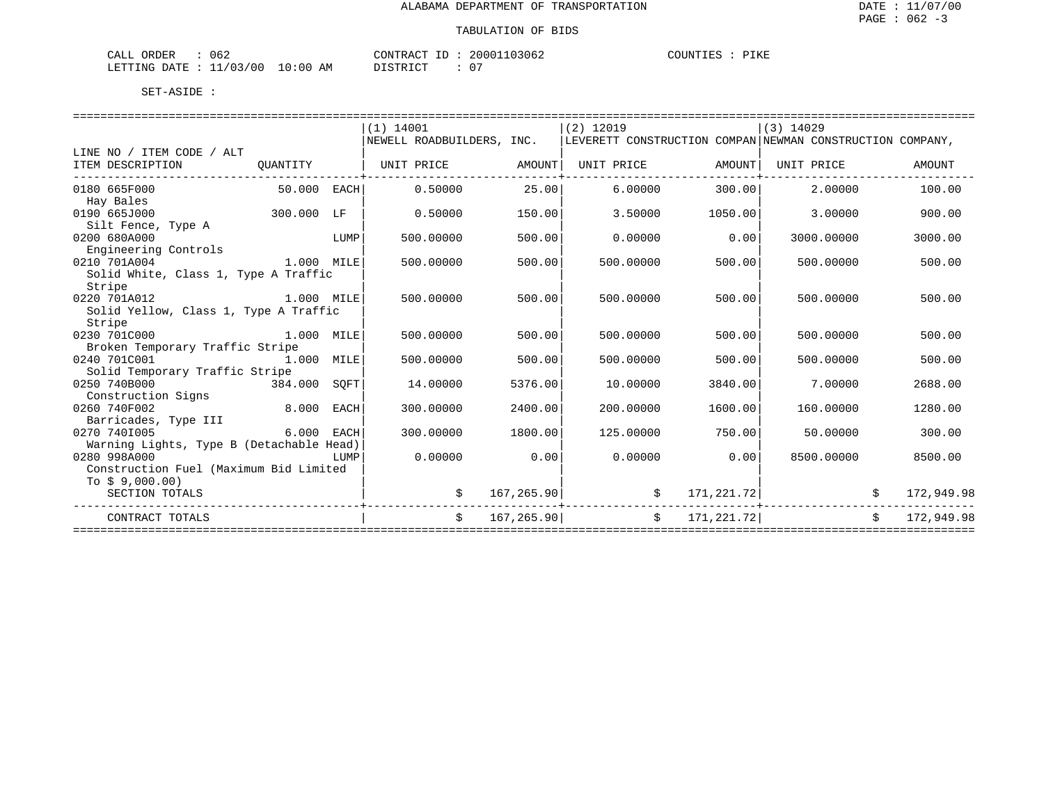| 062<br>ORDER<br>CALL       |             | ידיר ג סידיזגרי<br>KAU.<br>⊥⊔<br>. .UN : | 103062<br>200011 | COUNTIES<br>∕⊥K E |
|----------------------------|-------------|------------------------------------------|------------------|-------------------|
| /03/00<br>LETTING<br>DATE. | 10:00<br>AΜ | ידי איד אידי איר                         | 07               |                   |

|                                               |            |      | $(1)$ 14001                                                                          |            | $(2)$ 12019 |               | $(3)$ 14029         |            |            |
|-----------------------------------------------|------------|------|--------------------------------------------------------------------------------------|------------|-------------|---------------|---------------------|------------|------------|
|                                               |            |      | NEWELL ROADBUILDERS, INC.  LEVERETT CONSTRUCTION COMPAN NEWMAN CONSTRUCTION COMPANY, |            |             |               |                     |            |            |
| LINE NO / ITEM CODE / ALT                     |            |      |                                                                                      |            |             |               |                     |            |            |
| ITEM DESCRIPTION<br>------------------------- |            |      | OUANTITY   UNIT PRICE   AMOUNT  UNIT PRICE                                           |            |             |               | AMOUNT   UNIT PRICE |            | AMOUNT     |
| 0180 665F000<br>50.000 EACH                   |            |      | 0.50000                                                                              | 25.00      | 6.00000     | 300.00        | 2,00000             |            | 100.00     |
| Hay Bales                                     |            |      |                                                                                      |            |             |               |                     |            |            |
| 300.000 LF<br>0190 665J000                    |            |      | 0.50000                                                                              | 150.00     | 3.50000     | 1050.00       | 3.00000             |            | 900.00     |
| Silt Fence, Type A                            |            |      |                                                                                      |            |             |               |                     |            |            |
| 0200 680A000                                  |            | LUMP | 500.00000                                                                            | 500.00     | 0.00000     | 0.00          | 3000.00000          |            | 3000.00    |
| Engineering Controls                          |            |      |                                                                                      |            |             |               |                     |            |            |
| 1.000 MILE<br>0210 701A004                    |            |      | 500,00000                                                                            | 500.00     | 500.00000   | 500.00        | 500,00000           |            | 500.00     |
| Solid White, Class 1, Type A Traffic          |            |      |                                                                                      |            |             |               |                     |            |            |
| Stripe                                        |            |      |                                                                                      |            |             |               |                     |            |            |
| 0220 701A012<br>1.000 MILE                    |            |      | 500,00000                                                                            | 500.00     | 500,00000   | 500.00        | 500,00000           |            | 500.00     |
| Solid Yellow, Class 1, Type A Traffic         |            |      |                                                                                      |            |             |               |                     |            |            |
| Stripe                                        |            |      |                                                                                      |            |             |               |                     |            |            |
| 1.000 MILE<br>0230 701C000                    |            |      | 500,00000                                                                            | 500.00     | 500.00000   | 500.00        | 500.00000           |            | 500.00     |
| Broken Temporary Traffic Stripe               |            |      |                                                                                      |            |             |               |                     |            |            |
| 0240 701C001<br>1.000 MILE                    |            |      | 500.00000                                                                            | 500.00     | 500.00000   | 500.00        | 500.00000           |            | 500.00     |
| Solid Temporary Traffic Stripe                |            |      |                                                                                      |            |             |               |                     |            |            |
| 0250 740B000<br>384.000 SOFT                  |            |      | 14.00000                                                                             | 5376.00    | 10.00000    | 3840.00       | 7.00000             |            | 2688.00    |
| Construction Signs                            |            |      |                                                                                      |            |             |               |                     |            |            |
| 8.000 EACH<br>0260 740F002                    |            |      | 300,00000                                                                            | 2400.00    | 200,00000   | 1600.00       | 160,00000           |            | 1280.00    |
| Barricades, Type III                          |            |      |                                                                                      |            |             |               |                     |            |            |
| 0270 7401005                                  | 6.000 EACH |      | 300,00000                                                                            | 1800.00    | 125,00000   | 750.001       | 50.00000            |            | 300.00     |
| Warning Lights, Type B (Detachable Head)      |            |      |                                                                                      |            |             |               |                     |            |            |
| 0280 998A000                                  |            | LUMP | 0.00000                                                                              | 0.00       | 0.00000     | 0.00          | 8500.00000          |            | 8500.00    |
| Construction Fuel (Maximum Bid Limited        |            |      |                                                                                      |            |             |               |                     |            |            |
| TO \$ 9,000.00)                               |            |      |                                                                                      |            |             |               |                     |            |            |
| SECTION TOTALS                                |            |      |                                                                                      | 167,265.90 |             | \$171,221.72] |                     |            | 172,949.98 |
| CONTRACT TOTALS                               |            |      | $\mathsf{S}$                                                                         | 167,265.90 |             | \$171,221.72] |                     | $\ddot{s}$ | 172,949.98 |
|                                               |            |      |                                                                                      |            |             |               |                     |            |            |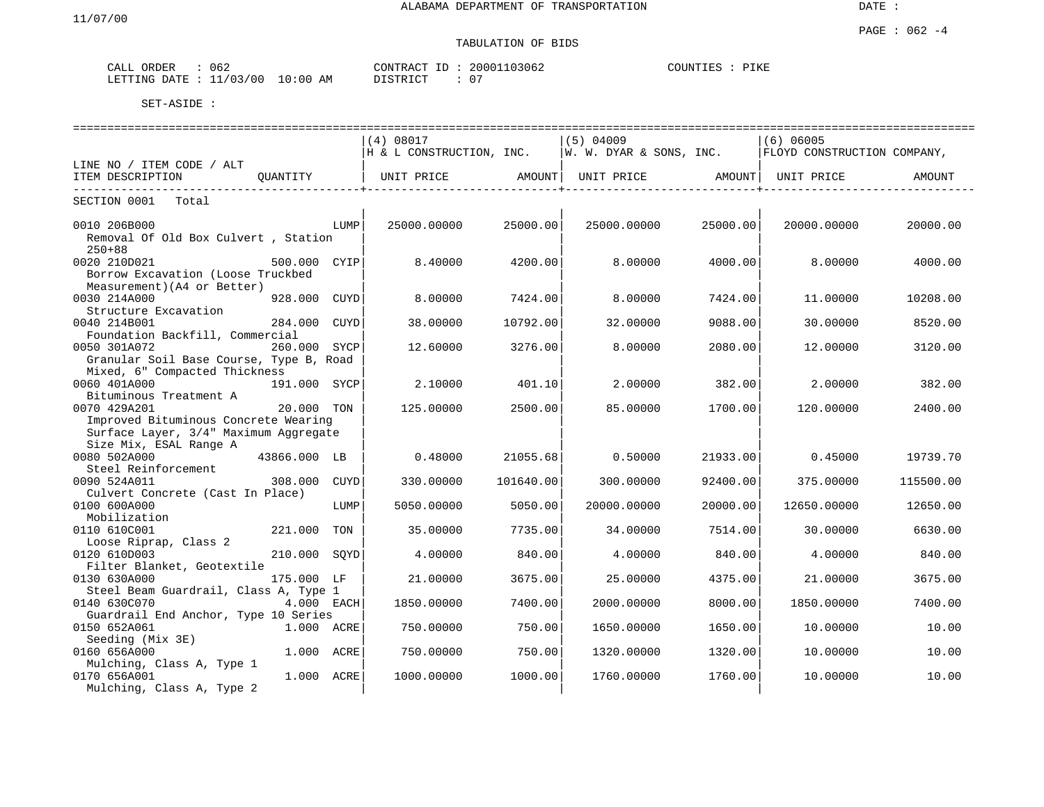#### PAGE : 062 -4 TABULATION OF BIDS

| CALL ORDER                       | 062 |          | CONTRACT ID: 20001103062 | COUNTIES<br>PIKE |
|----------------------------------|-----|----------|--------------------------|------------------|
| LETTING DATE : 11/03/00 10:00 AM |     | DISTRICT | U                        |                  |

|                                                                                                          | (4) 08017                                                                |           | $(5)$ 04009                               |          | $(6)$ 06005                 |           |
|----------------------------------------------------------------------------------------------------------|--------------------------------------------------------------------------|-----------|-------------------------------------------|----------|-----------------------------|-----------|
|                                                                                                          | $\parallel$ H & L CONSTRUCTION, INC. $\parallel$ W. W. DYAR & SONS, INC. |           |                                           |          | FLOYD CONSTRUCTION COMPANY, |           |
| LINE NO / ITEM CODE / ALT                                                                                |                                                                          |           |                                           |          |                             |           |
| ITEM DESCRIPTION<br>OUANTITY   UNIT PRICE                                                                |                                                                          |           | AMOUNT   UNIT PRICE   AMOUNT   UNIT PRICE |          |                             | AMOUNT    |
| SECTION 0001<br>Total                                                                                    |                                                                          |           |                                           |          |                             |           |
| 0010 206B000<br>LUMP<br>Removal Of Old Box Culvert, Station                                              | 25000.00000                                                              | 25000.00  | 25000.00000                               | 25000.00 | 20000.00000                 | 20000.00  |
| $250 + 88$<br>0020 210D021<br>500.000 CYIP<br>Borrow Excavation (Loose Truckbed                          | 8,40000                                                                  | 4200.00   | 8,00000                                   | 4000.00  | 8,00000                     | 4000.00   |
| Measurement) (A4 or Better)<br>0030 214A000<br>928.000 CUYD<br>Structure Excavation                      | 8.00000                                                                  | 7424.00   | 8.00000                                   | 7424.00  | 11.00000                    | 10208.00  |
| 0040 214B001<br>284.000 CUYD<br>Foundation Backfill, Commercial                                          | 38.00000                                                                 | 10792.00  | 32.00000                                  | 9088.00  | 30.00000                    | 8520.00   |
| 0050 301A072<br>260.000 SYCP<br>Granular Soil Base Course, Type B, Road<br>Mixed, 6" Compacted Thickness | 12.60000                                                                 | 3276.00   | 8,00000                                   | 2080.00  | 12,00000                    | 3120.00   |
| 0060 401A000<br>191.000 SYCP<br>Bituminous Treatment A                                                   | 2.10000                                                                  | 401.10    | 2,00000                                   | 382.00   | 2,00000                     | 382.00    |
| 0070 429A201<br>20.000 TON                                                                               | 125,00000                                                                | 2500.00   | 85,00000                                  | 1700.00  | 120.00000                   | 2400.00   |
| Improved Bituminous Concrete Wearing<br>Surface Layer, 3/4" Maximum Aggregate<br>Size Mix, ESAL Range A  |                                                                          |           |                                           |          |                             |           |
| 43866.000 LB<br>0080 502A000<br>Steel Reinforcement                                                      | 0.48000                                                                  | 21055.68  | 0.50000                                   | 21933.00 | 0.45000                     | 19739.70  |
| 0090 524A011<br>308.000 CUYD<br>Culvert Concrete (Cast In Place)                                         | 330,00000                                                                | 101640.00 | 300.00000                                 | 92400.00 | 375,00000                   | 115500.00 |
| 0100 600A000<br>LUMP<br>Mobilization                                                                     | 5050.00000                                                               | 5050.00   | 20000.00000                               | 20000.00 | 12650.00000                 | 12650.00  |
| 0110 610C001<br>221.000 TON<br>Loose Riprap, Class 2                                                     | 35.00000                                                                 | 7735.00   | 34.00000                                  | 7514.00  | 30.00000                    | 6630.00   |
| 0120 610D003<br>210.000 SOYD<br>Filter Blanket, Geotextile                                               | 4.00000                                                                  | 840.001   | 4.00000                                   | 840.00   | 4.00000                     | 840.00    |
| 0130 630A000<br>175.000 LF<br>Steel Beam Guardrail, Class A, Type 1                                      | 21.00000                                                                 | 3675.00   | 25.00000                                  | 4375.00  | 21,00000                    | 3675.00   |
| 0140 630C070<br>$4.000$ EACH                                                                             | 1850.00000                                                               | 7400.00   | 2000.00000                                | 8000.00  | 1850.00000                  | 7400.00   |
| Guardrail End Anchor, Type 10 Series<br>0150 652A061<br>1.000 ACRE                                       | 750.00000                                                                | 750.00    | 1650.00000                                | 1650.00  | 10.00000                    | 10.00     |
| Seeding (Mix 3E)<br>0160 656A000<br>1.000 ACRE                                                           | 750.00000                                                                | 750.00    | 1320.00000                                | 1320.00  | 10.00000                    | 10.00     |
| Mulching, Class A, Type 1<br>1.000 ACRE<br>0170 656A001<br>Mulching, Class A, Type 2                     | 1000.00000                                                               | 1000.00   | 1760.00000                                | 1760.00  | 10.00000                    | 10.00     |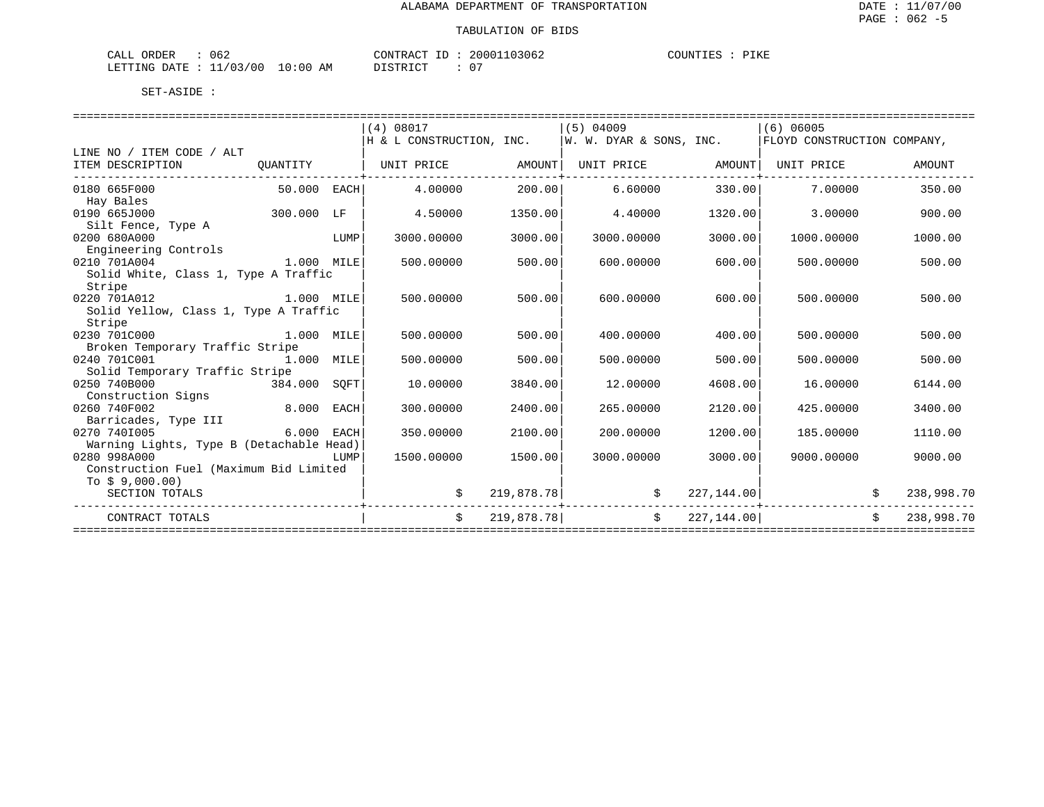| 062<br>CALL<br>ORDER      |             | CONTRACT<br>ID | 11103062<br>20001      | COUNTIES<br>PIKE<br>◡ |
|---------------------------|-------------|----------------|------------------------|-----------------------|
| LETTING DATE : $11/03/00$ | 10:00<br>AΜ | די הדי אידי את | $\sim$<br>$\mathbf{U}$ |                       |

|                                          |               |      | (4) 08017                |            | $(5)$ 04009             |             | 1(6) 06005                  |            |
|------------------------------------------|---------------|------|--------------------------|------------|-------------------------|-------------|-----------------------------|------------|
|                                          |               |      | H & L CONSTRUCTION, INC. |            | W. W. DYAR & SONS, INC. |             | FLOYD CONSTRUCTION COMPANY, |            |
| LINE NO / ITEM CODE / ALT                |               |      |                          |            |                         |             |                             |            |
| ITEM DESCRIPTION                         | OUANTITY      |      |                          |            |                         |             | UNIT PRICE                  | AMOUNT     |
| 0180 665F000                             | $50.000$ EACH |      | 4.00000                  | 200.00     | 6.60000                 | 330.00      | 7.00000                     | 350.00     |
| Hay Bales                                |               |      |                          |            |                         |             |                             |            |
| 0190 665J000                             | 300.000 LF    |      | 4.50000                  | 1350.00    | 4.40000                 | 1320.00     | 3.00000                     | 900.00     |
| Silt Fence, Type A                       |               |      |                          |            |                         |             |                             |            |
| 0200 680A000                             |               | LUMP | 3000.00000               | 3000.00    | 3000.00000              | 3000.00     | 1000.00000                  | 1000.00    |
| Engineering Controls                     |               |      |                          |            |                         |             |                             |            |
| 1.000 MILE<br>0210 701A004               |               |      | 500.00000                | 500.00     | 600,00000               | 600.00      | 500.00000                   | 500.00     |
| Solid White, Class 1, Type A Traffic     |               |      |                          |            |                         |             |                             |            |
| Stripe                                   |               |      |                          |            |                         |             |                             |            |
| 0220 701A012                             | 1.000 MILE    |      | 500.00000                | 500.00     | 600.00000               | 600.00      | 500.00000                   | 500.00     |
| Solid Yellow, Class 1, Type A Traffic    |               |      |                          |            |                         |             |                             |            |
| Stripe<br>0230 701C000                   | 1.000 MILE    |      | 500.00000                | 500.00     | 400.00000               | 400.00      | 500.00000                   | 500.00     |
| Broken Temporary Traffic Stripe          |               |      |                          |            |                         |             |                             |            |
| 0240 701C001<br>1.000 MILE               |               |      | 500.00000                | 500.00     | 500.00000               | 500.00      | 500.00000                   | 500.00     |
| Solid Temporary Traffic Stripe           |               |      |                          |            |                         |             |                             |            |
| 0250 740B000<br>384.000 SOFT             |               |      | 10.00000                 | 3840.00    | 12,00000                | 4608.00     | 16.00000                    | 6144.00    |
| Construction Signs                       |               |      |                          |            |                         |             |                             |            |
| 8.000<br>0260 740F002                    |               | EACH | 300.00000                | 2400.00    | 265.00000               | 2120.00     | 425,00000                   | 3400.00    |
| Barricades, Type III                     |               |      |                          |            |                         |             |                             |            |
| 0270 7401005                             | 6.000 EACH    |      | 350.00000                | 2100.00    | 200.00000               | 1200.00     | 185.00000                   | 1110.00    |
| Warning Lights, Type B (Detachable Head) |               |      |                          |            |                         |             |                             |            |
| 0280 998A000                             |               | LUMP | 1500.00000               | 1500.00    | 3000.00000              | 3000.00     | 9000.00000                  | 9000.00    |
| Construction Fuel (Maximum Bid Limited   |               |      |                          |            |                         |             |                             |            |
| To $$9,000.00)$                          |               |      |                          |            |                         |             |                             |            |
| SECTION TOTALS                           |               |      |                          | 219,878.78 | \$<br>------------      | 227, 144.00 |                             | 238,998.70 |
| CONTRACT TOTALS                          |               |      | $\mathsf{S}$             | 219,878.78 | $\mathsf{S}$            | 227,144.00  | $\mathsf{S}$                | 238,998.70 |
|                                          |               |      |                          |            |                         |             |                             |            |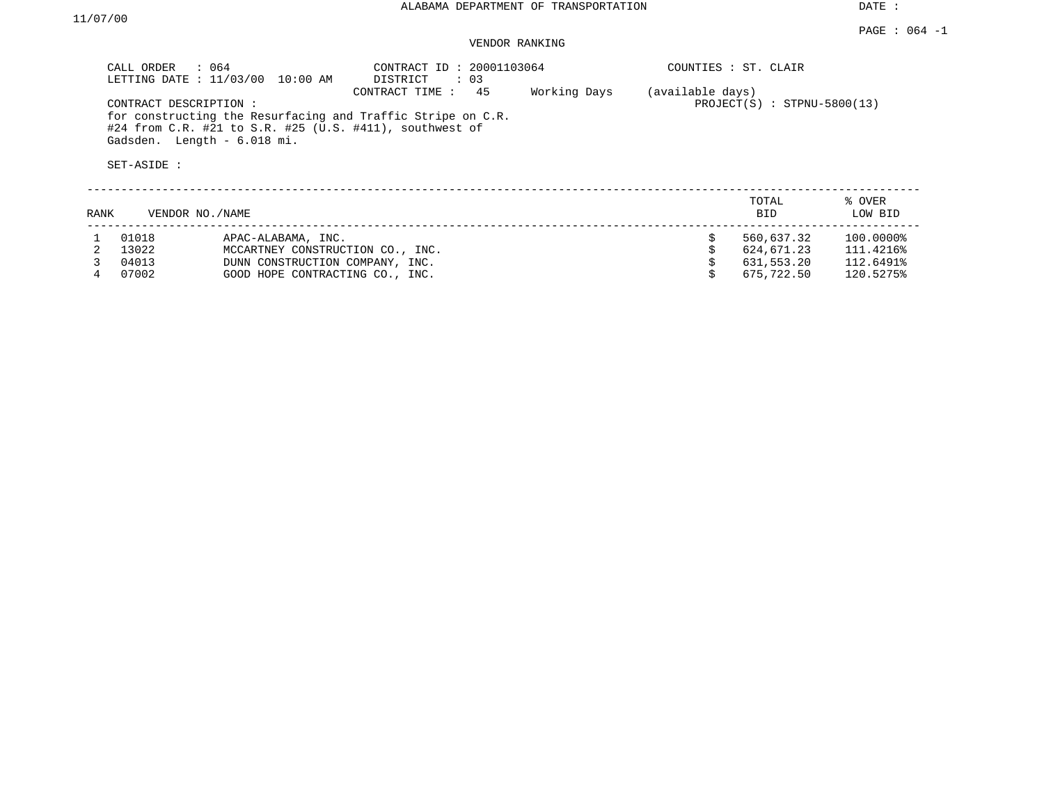DATE :

## VENDOR RANKING

|      | CALL ORDER<br>: 064<br>LETTING DATE : 11/03/00                      | 10:00 AM                                                                                                               | CONTRACT ID: 20001103064<br>DISTRICT<br>$\colon$ 03 |                               |    | COUNTIES : ST. CLAIR |                   |
|------|---------------------------------------------------------------------|------------------------------------------------------------------------------------------------------------------------|-----------------------------------------------------|-------------------------------|----|----------------------|-------------------|
|      | CONTRACT DESCRIPTION:<br>Gadsden. Length - 6.018 mi.<br>SET-ASIDE : | for constructing the Resurfacing and Traffic Stripe on C.R.<br>#24 from C.R. #21 to S.R. #25 (U.S. #411), southwest of | (available days)                                    | $PROJECT(S)$ : STPNU-5800(13) |    |                      |                   |
| RANK | VENDOR NO./NAME                                                     |                                                                                                                        |                                                     |                               |    | TOTAL<br><b>BID</b>  | % OVER<br>LOW BID |
|      | 01018                                                               | APAC-ALABAMA, INC.                                                                                                     |                                                     |                               | Ŝ. | 560,637.32           | 100.0000%         |
|      | 13022                                                               | MCCARTNEY CONSTRUCTION CO., INC.                                                                                       |                                                     |                               |    | 624,671.23           | 111.4216%         |
|      | 04013                                                               | DUNN CONSTRUCTION COMPANY, INC.                                                                                        |                                                     |                               |    | 631,553.20           | 112.6491%         |
|      | 07002                                                               | GOOD HOPE CONTRACTING CO., INC.                                                                                        |                                                     |                               |    | 675,722.50           | 120.5275%         |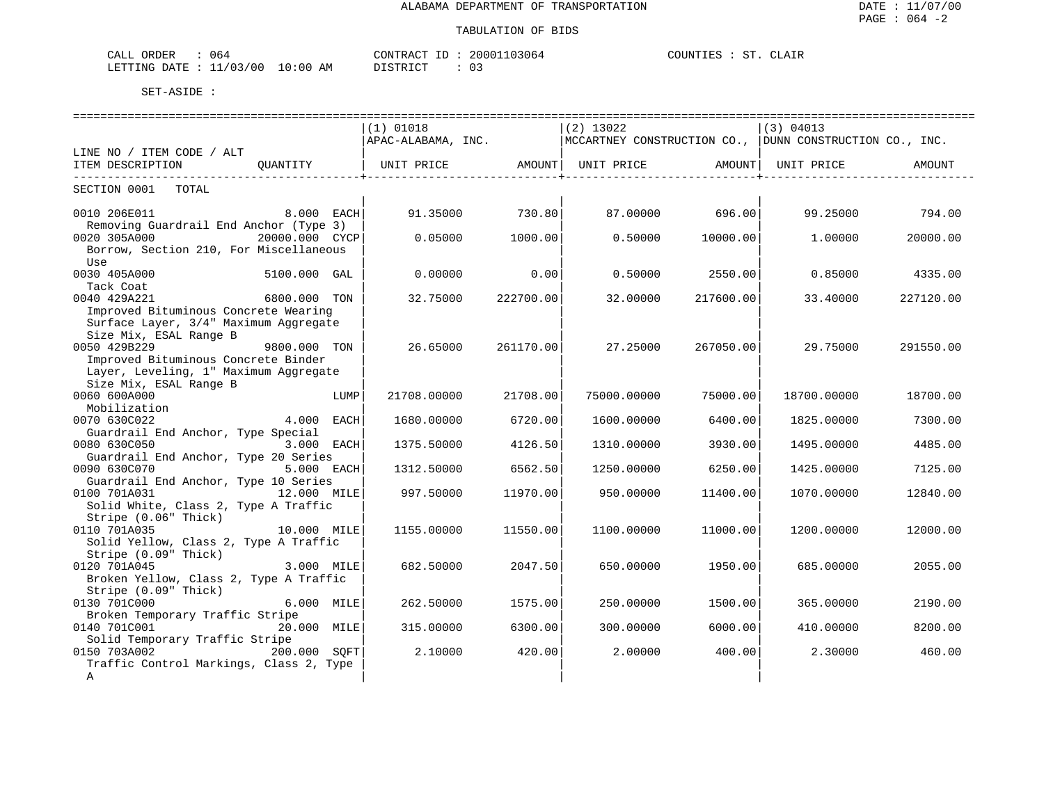| ORDER<br>CALL<br>J64                 |             | CONTRACT<br>- 11     | 20001103064 | COUNTIF <sub>C</sub> |  | CT.ATR |
|--------------------------------------|-------------|----------------------|-------------|----------------------|--|--------|
| 1/03/00<br>11<br>LETTING DATE<br>— — | 10:00<br>AM | <b>חים דמיים ד</b> מ |             |                      |  |        |

| ==================                      |                |      |                                                                                        |                     |             |                 |             |                 |
|-----------------------------------------|----------------|------|----------------------------------------------------------------------------------------|---------------------|-------------|-----------------|-------------|-----------------|
|                                         |                |      | $(1)$ 01018                                                                            |                     | $(2)$ 13022 |                 | (3) 04013   |                 |
|                                         |                |      | $ $ APAC-ALABAMA, INC. $ $ MCCARTNEY CONSTRUCTION CO., $ $ DUNN CONSTRUCTION CO., INC. |                     |             |                 |             |                 |
| LINE NO / ITEM CODE / ALT               |                |      |                                                                                        |                     |             |                 |             |                 |
| ITEM DESCRIPTION                        | QUANTITY       |      | UNIT PRICE AMOUNT UNIT PRICE AMOUNT UNIT PRICE                                         |                     |             |                 |             | AMOUNT          |
| -------------------------               |                |      |                                                                                        | ___________________ |             |                 |             |                 |
| SECTION 0001 TOTAL                      |                |      |                                                                                        |                     |             |                 |             |                 |
|                                         |                |      |                                                                                        |                     |             |                 |             |                 |
| 0010 206E011                            | 8.000 EACH     |      | 91.35000                                                                               | 730.80              |             | 87.00000 696.00 |             | 99.25000 794.00 |
| Removing Guardrail End Anchor (Type 3)  |                |      |                                                                                        |                     |             |                 |             |                 |
| 0020 305A000                            | 20000.000 CYCP |      | 0.05000                                                                                | 1000.00             | 0.50000     | 10000.00        | 1.00000     | 20000.00        |
| Borrow, Section 210, For Miscellaneous  |                |      |                                                                                        |                     |             |                 |             |                 |
| Use                                     |                |      |                                                                                        |                     |             |                 |             |                 |
| 0030 405A000                            | 5100.000 GAL   |      | 0.00000                                                                                | 0.00                | 0.50000     | 2550.00         | 0.85000     | 4335.00         |
| Tack Coat                               |                |      |                                                                                        |                     |             |                 |             |                 |
| 0040 429A221                            | 6800.000 TON   |      | 32.75000                                                                               | 222700.00           | 32.00000    | 217600.00       | 33.40000    | 227120.00       |
| Improved Bituminous Concrete Wearing    |                |      |                                                                                        |                     |             |                 |             |                 |
| Surface Layer, 3/4" Maximum Aggregate   |                |      |                                                                                        |                     |             |                 |             |                 |
| Size Mix, ESAL Range B                  |                |      |                                                                                        |                     |             |                 |             |                 |
| 0050 429B229                            | 9800.000 TON   |      | 26.65000                                                                               | 261170.00           | 27.25000    | 267050.00       | 29.75000    | 291550.00       |
| Improved Bituminous Concrete Binder     |                |      |                                                                                        |                     |             |                 |             |                 |
| Layer, Leveling, 1" Maximum Aggregate   |                |      |                                                                                        |                     |             |                 |             |                 |
| Size Mix, ESAL Range B                  |                |      |                                                                                        |                     |             |                 |             |                 |
| 0060 600A000                            |                | LUMP | 21708.00000                                                                            | 21708.00            | 75000.00000 | 75000.00        | 18700.00000 | 18700.00        |
| Mobilization                            |                |      |                                                                                        |                     |             |                 |             |                 |
| 0070 630C022                            | 4.000 EACH     |      | 1680.00000                                                                             | 6720.00             | 1600.00000  | 6400.00         | 1825,00000  | 7300.00         |
| Guardrail End Anchor, Type Special      |                |      |                                                                                        |                     |             |                 |             |                 |
| 0080 630C050                            | 3.000 EACH     |      | 1375.50000                                                                             | 4126.50             | 1310.00000  | 3930.00         | 1495.00000  | 4485.00         |
| Guardrail End Anchor, Type 20 Series    |                |      |                                                                                        |                     |             |                 |             |                 |
| 0090 630C070                            | 5.000 EACH     |      | 1312.50000                                                                             | 6562.50             | 1250.00000  | 6250.00         | 1425.00000  | 7125.00         |
| Guardrail End Anchor, Type 10 Series    |                |      |                                                                                        |                     |             |                 |             |                 |
| 0100 701A031                            | 12.000 MILE    |      | 997.50000                                                                              | 11970.00            | 950.00000   | 11400.00        | 1070.00000  | 12840.00        |
| Solid White, Class 2, Type A Traffic    |                |      |                                                                                        |                     |             |                 |             |                 |
| Stripe (0.06" Thick)                    |                |      |                                                                                        |                     |             |                 |             |                 |
| 0110 701A035                            | 10.000 MILE    |      | 1155.00000                                                                             | 11550.00            | 1100.00000  | 11000.00        | 1200.00000  | 12000.00        |
| Solid Yellow, Class 2, Type A Traffic   |                |      |                                                                                        |                     |             |                 |             |                 |
| Stripe (0.09" Thick)                    |                |      |                                                                                        |                     |             |                 |             |                 |
| 0120 701A045                            | 3.000 MILE     |      | 682.50000                                                                              | 2047.50             | 650.00000   | 1950.00         | 685.00000   | 2055.00         |
| Broken Yellow, Class 2, Type A Traffic  |                |      |                                                                                        |                     |             |                 |             |                 |
| Stripe (0.09" Thick)                    |                |      |                                                                                        |                     |             |                 |             |                 |
| 0130 701C000                            | $6.000$ MILE   |      | 262.50000                                                                              | 1575.00             | 250.00000   | 1500.00         | 365.00000   | 2190.00         |
| Broken Temporary Traffic Stripe         |                |      |                                                                                        |                     |             |                 |             |                 |
| 0140 701C001                            | 20.000 MILE    |      | 315.00000                                                                              | 6300.00             | 300.00000   | 6000.00         | 410.00000   | 8200.00         |
| Solid Temporary Traffic Stripe          |                |      |                                                                                        |                     |             |                 |             |                 |
| 0150 703A002                            | 200.000 SOFT   |      | 2.10000                                                                                | 420.00              | 2,00000     | 400.001         | 2.30000     | 460.00          |
| Traffic Control Markings, Class 2, Type |                |      |                                                                                        |                     |             |                 |             |                 |
| $\mathbb A$                             |                |      |                                                                                        |                     |             |                 |             |                 |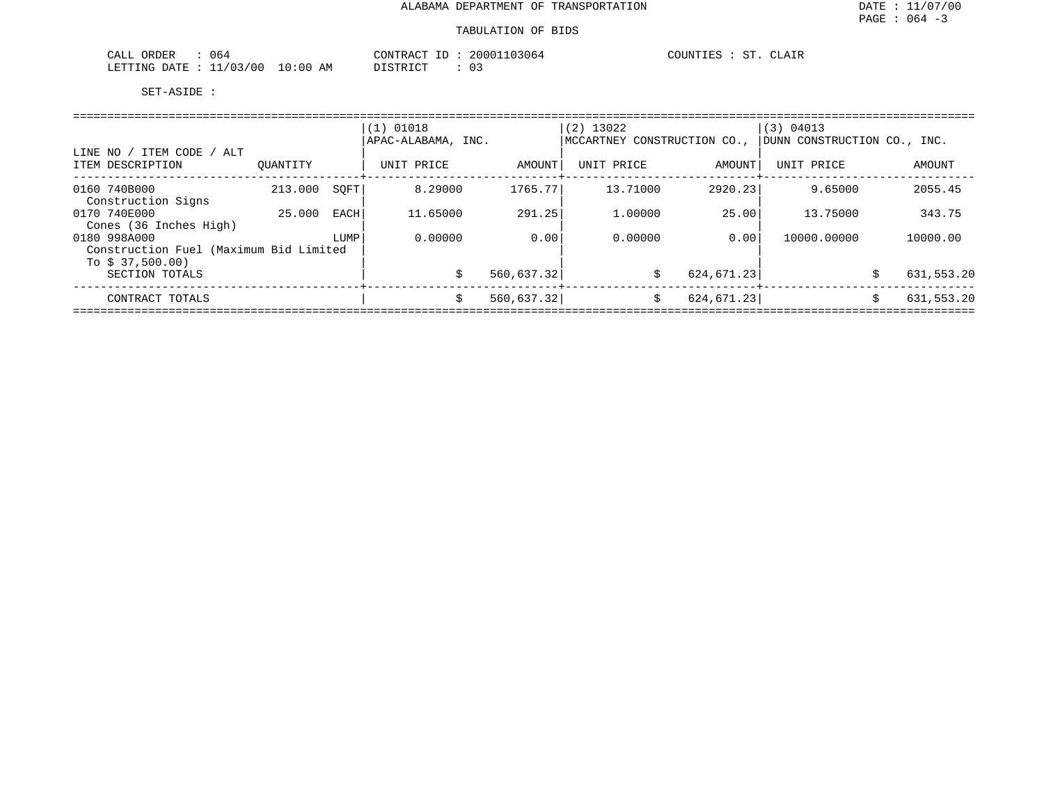| 064<br>CALL ORDER         |          | CONTRACT ID : | 20001103064 | COUNTIES<br>ST. | CLAIR |
|---------------------------|----------|---------------|-------------|-----------------|-------|
| LETTING DATE : $11/03/00$ | 10:00 AM | DISTRICT      |             |                 |       |

|                                                                           |          |      | $(1)$ 01018<br>APAC-ALABAMA, INC. |             | $(2)$ 13022<br>MCCARTNEY CONSTRUCTION CO., |             | (3) 04013<br>DUNN CONSTRUCTION CO., INC. |                  |
|---------------------------------------------------------------------------|----------|------|-----------------------------------|-------------|--------------------------------------------|-------------|------------------------------------------|------------------|
| LINE NO / ITEM CODE / ALT<br>ITEM DESCRIPTION                             | OUANTITY |      | UNIT PRICE                        | AMOUNT      | UNIT PRICE                                 | AMOUNT      | UNIT PRICE                               | AMOUNT           |
| 0160 740B000<br>Construction Signs                                        | 213.000  | SOFT | 8.29000                           | 1765.77     | 13.71000                                   | 2920.23     | 9.65000                                  | 2055.45          |
| 0170 740E000<br>Cones (36 Inches High)                                    | 25.000   | EACH | 11.65000                          | 291.25      | 1,00000                                    | 25.00       | 13.75000                                 | 343.75           |
| 0180 998A000<br>Construction Fuel (Maximum Bid Limited<br>To $$37,500.00$ |          | LUMP | 0.00000                           | 0.00        | 0.00000                                    | 0.001       | 10000.00000                              | 10000.00         |
| SECTION TOTALS                                                            |          |      |                                   | 560,637.32  | \$                                         | 624, 671.23 |                                          | 631,553.20<br>Ŝ. |
| CONTRACT TOTALS                                                           |          |      | S                                 | 560, 637.32 | Ŝ.                                         | 624, 671.23 |                                          | 631,553.20<br>Ŝ. |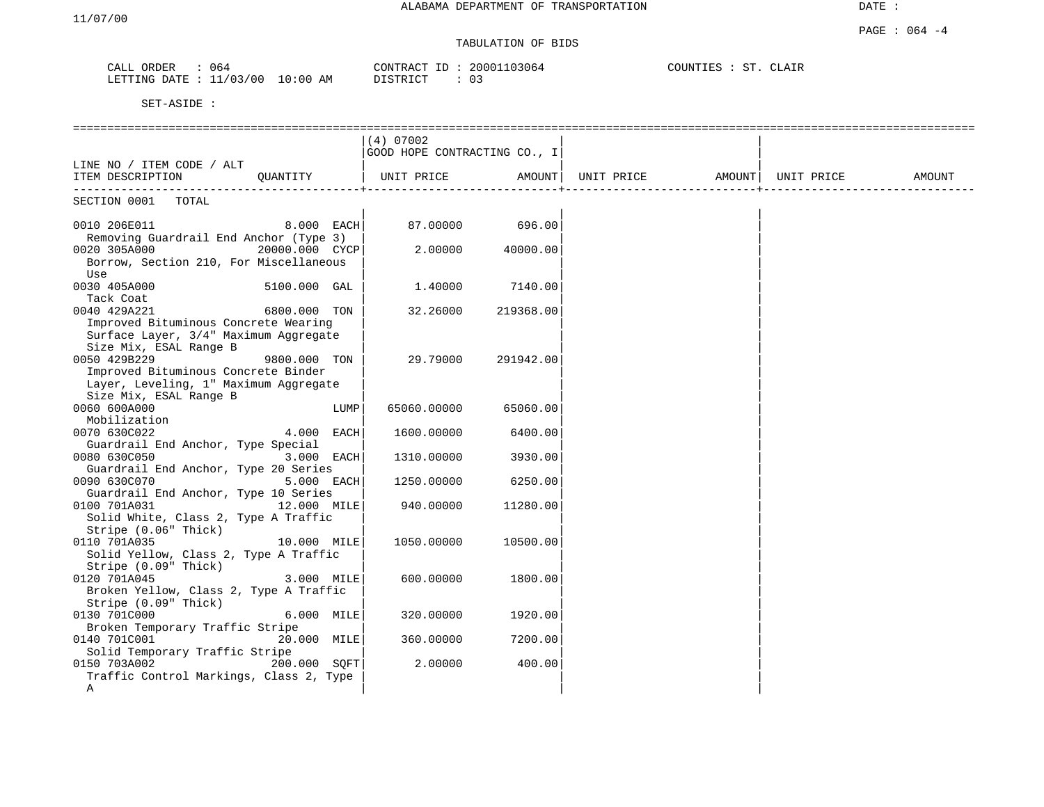| CALL<br>ORDER                    | 064 | CONTRACT ID : | 20001103064 | COUNTIES | ST | CLATR |
|----------------------------------|-----|---------------|-------------|----------|----|-------|
| LETTING DATE : 11/03/00 10:00 AM |     | DISTRICT      | 0 G         |          |    |       |

|                                                 |                |      | $(4)$ 07002                  |           |                   |            |        |
|-------------------------------------------------|----------------|------|------------------------------|-----------|-------------------|------------|--------|
|                                                 |                |      | GOOD HOPE CONTRACTING CO., I |           |                   |            |        |
| LINE NO / ITEM CODE / ALT                       |                |      |                              |           |                   |            |        |
| ITEM DESCRIPTION                                | QUANTITY       |      | UNIT PRICE                   | AMOUNT    | UNIT PRICE AMOUNT | UNIT PRICE | AMOUNT |
| SECTION 0001<br>TOTAL                           |                |      |                              |           |                   |            |        |
| 0010 206E011                                    | $8.000$ EACH   |      | 87.00000                     | 696.00    |                   |            |        |
| Removing Guardrail End Anchor (Type 3)          |                |      |                              |           |                   |            |        |
| 0020 305A000                                    | 20000.000 CYCP |      | 2.00000                      | 40000.00  |                   |            |        |
| Borrow, Section 210, For Miscellaneous          |                |      |                              |           |                   |            |        |
| Use                                             |                |      |                              |           |                   |            |        |
| 0030 405A000                                    | 5100.000 GAL   |      | 1,40000                      | 7140.00   |                   |            |        |
| Tack Coat                                       |                |      |                              |           |                   |            |        |
| 0040 429A221                                    | 6800.000 TON   |      | 32.26000                     | 219368.00 |                   |            |        |
| Improved Bituminous Concrete Wearing            |                |      |                              |           |                   |            |        |
| Surface Layer, 3/4" Maximum Aggregate           |                |      |                              |           |                   |            |        |
| Size Mix, ESAL Range B                          |                |      |                              |           |                   |            |        |
| 0050 429B229                                    | 9800.000 TON   |      | 29.79000                     | 291942.00 |                   |            |        |
| Improved Bituminous Concrete Binder             |                |      |                              |           |                   |            |        |
| Layer, Leveling, 1" Maximum Aggregate           |                |      |                              |           |                   |            |        |
| Size Mix, ESAL Range B                          |                |      |                              |           |                   |            |        |
| 0060 600A000                                    |                | LUMP | 65060.00000                  | 65060.00  |                   |            |        |
| Mobilization                                    |                |      |                              |           |                   |            |        |
| 0070 630C022                                    | 4.000 EACH     |      | 1600.00000                   | 6400.00   |                   |            |        |
| Guardrail End Anchor, Type Special              |                |      |                              |           |                   |            |        |
| 0080 630C050                                    | 3.000 EACH     |      | 1310.00000                   | 3930.00   |                   |            |        |
| Guardrail End Anchor, Type 20 Series            |                |      |                              |           |                   |            |        |
| 0090 630C070                                    | 5.000 EACH     |      | 1250.00000                   | 6250.00   |                   |            |        |
| Guardrail End Anchor, Type 10 Series            |                |      |                              |           |                   |            |        |
| 0100 701A031                                    | 12.000 MILE    |      | 940.00000                    | 11280.00  |                   |            |        |
| Solid White, Class 2, Type A Traffic            |                |      |                              |           |                   |            |        |
| Stripe (0.06" Thick)                            |                |      |                              |           |                   |            |        |
| 0110 701A035                                    | 10.000 MILE    |      | 1050.00000                   | 10500.00  |                   |            |        |
| Solid Yellow, Class 2, Type A Traffic           |                |      |                              |           |                   |            |        |
| Stripe (0.09" Thick)                            |                |      |                              |           |                   |            |        |
| 0120 701A045                                    | 3.000 MILE     |      | 600,00000                    | 1800.00   |                   |            |        |
| Broken Yellow, Class 2, Type A Traffic          |                |      |                              |           |                   |            |        |
| Stripe (0.09" Thick)                            |                |      |                              |           |                   |            |        |
| 0130 701C000<br>Broken Temporary Traffic Stripe | 6.000 MILE     |      | 320.00000                    | 1920.00   |                   |            |        |
| 0140 701C001                                    | 20.000 MILE    |      | 360.00000                    | 7200.00   |                   |            |        |
| Solid Temporary Traffic Stripe                  |                |      |                              |           |                   |            |        |
| 0150 703A002                                    | 200.000 SOFT   |      | 2.00000                      | 400.00    |                   |            |        |
| Traffic Control Markings, Class 2, Type         |                |      |                              |           |                   |            |        |
| Α                                               |                |      |                              |           |                   |            |        |
|                                                 |                |      |                              |           |                   |            |        |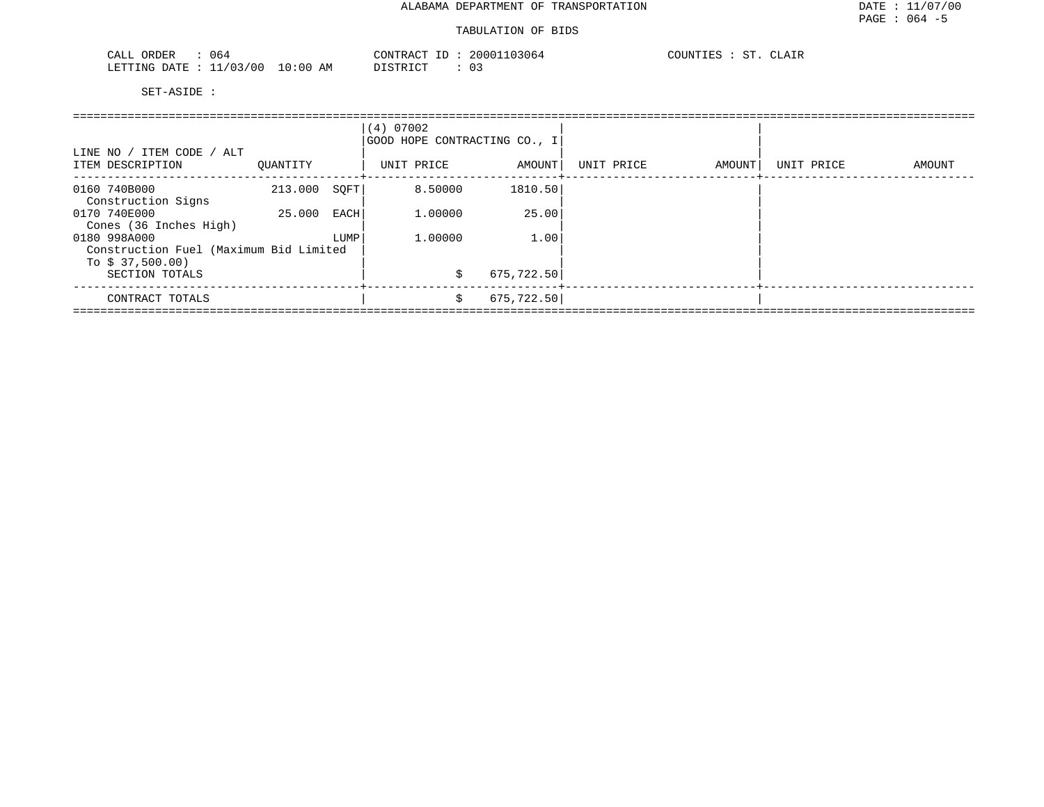| 064<br>ORDER<br>CALL             | CONTRACT ID: | 20001103064 | COUNTIES :<br><b>CT</b><br>CLAIR |
|----------------------------------|--------------|-------------|----------------------------------|
| LETTING DATE : 11/03/00 10:00 AM | DISTRICT     | 03          |                                  |

| LINE NO / ITEM CODE / ALT<br>ITEM DESCRIPTION | OUANTITY |      | (4) 07002<br>GOOD HOPE CONTRACTING CO., I<br>UNIT PRICE | AMOUNT      | UNIT PRICE | AMOUNT | UNIT PRICE | AMOUNT |
|-----------------------------------------------|----------|------|---------------------------------------------------------|-------------|------------|--------|------------|--------|
| 0160 740B000<br>Construction Signs            | 213.000  | SOFT | 8.50000                                                 | 1810.50     |            |        |            |        |
| 0170 740E000                                  | 25.000   | EACH | 1,00000                                                 | 25.00       |            |        |            |        |
| Cones (36 Inches High)<br>0180 998A000        |          | LUMP | 1,00000                                                 | 1.00        |            |        |            |        |
| Construction Fuel (Maximum Bid Limited        |          |      |                                                         |             |            |        |            |        |
| To $$37,500.00)$<br>SECTION TOTALS            |          |      | S                                                       | 675,722.50  |            |        |            |        |
| CONTRACT TOTALS                               |          |      | \$                                                      | 675, 722.50 |            |        |            |        |
|                                               |          |      |                                                         |             |            |        |            |        |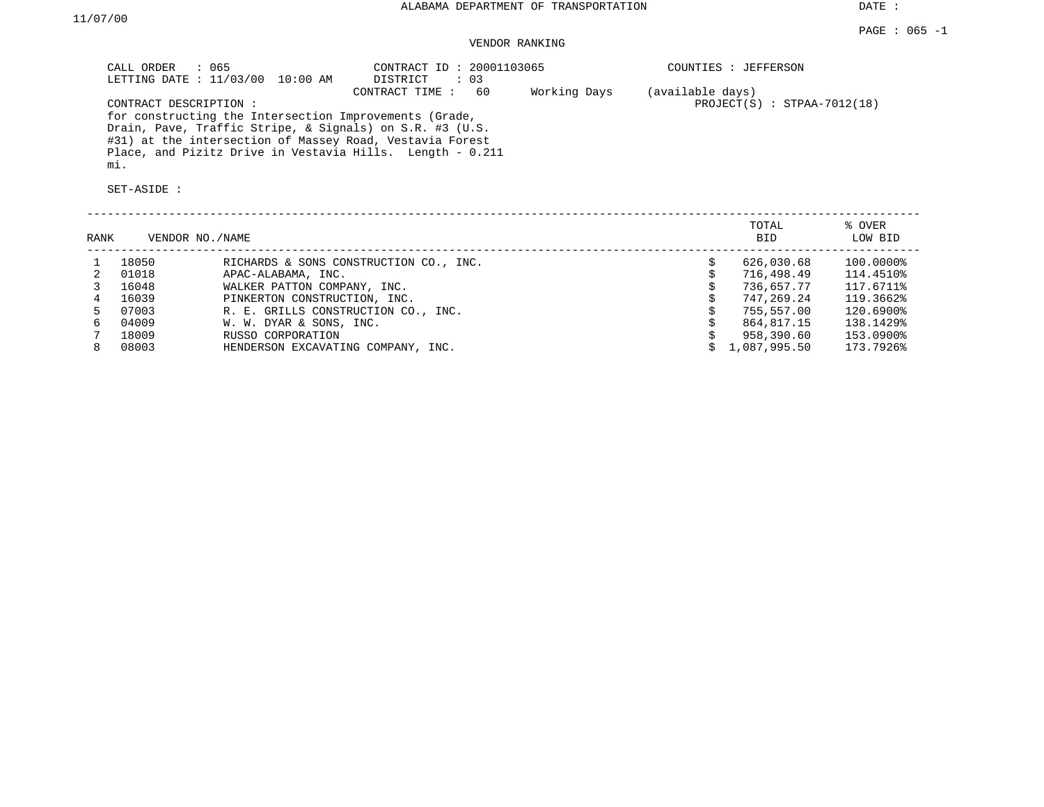DATE :

## VENDOR RANKING

|                | $\therefore$ 065<br>CALL ORDER               | LETTING DATE : 11/03/00 10:00 AM                       | CONTRACT ID: 20001103065<br>DISTRICT<br>$\therefore$ 03                                                                                                                                                 |              |                  | COUNTIES : JEFFERSON          |                   |
|----------------|----------------------------------------------|--------------------------------------------------------|---------------------------------------------------------------------------------------------------------------------------------------------------------------------------------------------------------|--------------|------------------|-------------------------------|-------------------|
|                | CONTRACT DESCRIPTION :<br>mi.<br>SET-ASIDE : | for constructing the Intersection Improvements (Grade, | CONTRACT TIME : 60<br>Drain, Pave, Traffic Stripe, & Signals) on S.R. #3 (U.S.<br>#31) at the intersection of Massey Road, Vestavia Forest<br>Place, and Pizitz Drive in Vestavia Hills. Length - 0.211 | Working Days | (available days) | $PROJECT(S)$ : STPAA-7012(18) |                   |
| RANK           | VENDOR NO./NAME                              |                                                        |                                                                                                                                                                                                         |              |                  | TOTAL<br><b>BID</b>           | % OVER<br>LOW BID |
|                |                                              |                                                        |                                                                                                                                                                                                         |              |                  |                               |                   |
|                | 18050                                        |                                                        | RICHARDS & SONS CONSTRUCTION CO., INC.                                                                                                                                                                  |              | \$               | 626,030.68                    | $100.0000$ $$$    |
| 2              | 01018                                        | APAC-ALABAMA, INC.                                     |                                                                                                                                                                                                         |              | \$               | 716,498.49                    | 114.4510%         |
| 3              | 16048                                        | WALKER PATTON COMPANY, INC.                            |                                                                                                                                                                                                         |              |                  | 736,657.77                    | 117.6711%         |
| $\overline{4}$ | 16039                                        | PINKERTON CONSTRUCTION, INC.                           |                                                                                                                                                                                                         |              |                  | 747,269.24                    | 119.3662%         |
| 5              | 07003                                        | R. E. GRILLS CONSTRUCTION CO., INC.                    |                                                                                                                                                                                                         |              |                  | 755,557.00                    | 120.6900%         |
|                | 04009                                        | W. W. DYAR & SONS, INC.                                |                                                                                                                                                                                                         |              |                  | 864,817.15                    | 138.1429%         |
|                | 18009                                        | RUSSO CORPORATION                                      |                                                                                                                                                                                                         |              |                  | 958,390.60                    | 153.0900%         |
| 8              | 08003                                        | HENDERSON EXCAVATING COMPANY, INC.                     |                                                                                                                                                                                                         |              |                  | 1,087,995.50                  | 173.7926%         |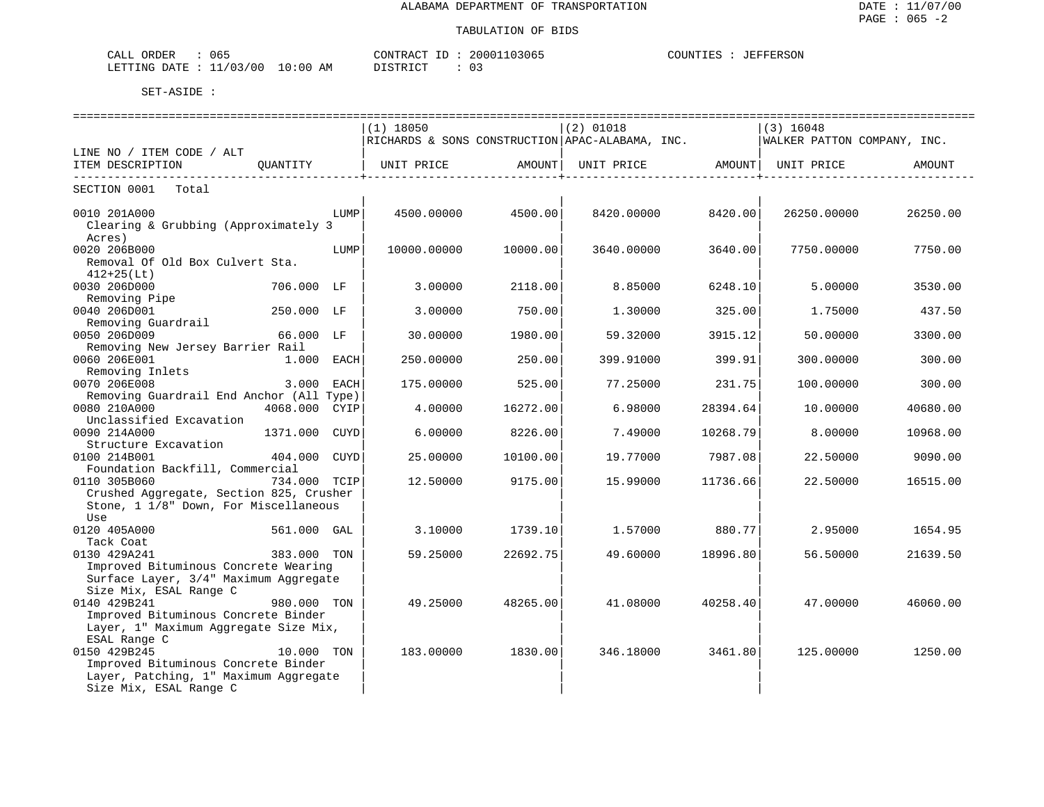| 065<br>ORDER<br>CALL         |               | CONTRACT ID | 20001103065 | <b>JEFFERSON</b><br>COUNTIES<br>. 1 E S |
|------------------------------|---------------|-------------|-------------|-----------------------------------------|
| 1/03/00<br>LETTING<br>חים מח | LO : 00<br>ΑM | በ የሞክ ፐ ጦ   |             |                                         |

|                                          |               |      | $(1)$ 18050 |          | $(2)$ 01018                                                 |          | $(3)$ 16048                 |          |
|------------------------------------------|---------------|------|-------------|----------|-------------------------------------------------------------|----------|-----------------------------|----------|
|                                          |               |      |             |          | RICHARDS & SONS CONSTRUCTION APAC-ALABAMA, INC.             |          | WALKER PATTON COMPANY, INC. |          |
| LINE NO / ITEM CODE / ALT                |               |      |             |          |                                                             |          |                             |          |
| ITEM DESCRIPTION                         |               |      |             |          | QUANTITY   UNIT PRICE AMOUNT  UNIT PRICE AMOUNT  UNIT PRICE |          |                             | AMOUNT   |
| SECTION 0001<br>Total                    |               |      |             |          |                                                             |          |                             |          |
|                                          |               |      |             |          |                                                             |          |                             |          |
| 0010 201A000                             |               | LUMP | 4500.00000  | 4500.00  | 8420,00000                                                  | 8420.00  | 26250.00000                 | 26250.00 |
| Clearing & Grubbing (Approximately 3     |               |      |             |          |                                                             |          |                             |          |
| Acres)                                   |               |      |             |          |                                                             |          |                             |          |
| 0020 206B000                             |               | LUMP | 10000.00000 | 10000.00 | 3640.00000                                                  | 3640.00  | 7750.00000                  | 7750.00  |
| Removal Of Old Box Culvert Sta.          |               |      |             |          |                                                             |          |                             |          |
| $412+25(Lt)$                             |               |      |             |          |                                                             |          |                             |          |
| 0030 206D000                             | 706.000 LF    |      | 3,00000     | 2118.00  | 8.85000                                                     | 6248.10  | 5,00000                     | 3530.00  |
| Removing Pipe                            |               |      |             |          |                                                             |          |                             |          |
| 0040 206D001                             | 250.000 LF    |      | 3.00000     | 750.00   | 1,30000                                                     | 325.00   | 1,75000                     | 437.50   |
| Removing Guardrail                       |               |      |             |          |                                                             |          |                             |          |
| 0050 206D009                             | 66.000 LF     |      | 30.00000    | 1980.00  | 59.32000                                                    | 3915.12  | 50.00000                    | 3300.00  |
| Removing New Jersey Barrier Rail         |               |      |             |          |                                                             |          |                             |          |
| 0060 206E001                             | 1.000 EACH    |      | 250.00000   | 250.00   | 399.91000                                                   | 399.91   | 300.00000                   | 300.00   |
| Removing Inlets                          |               |      |             |          |                                                             |          |                             |          |
| 0070 206E008                             | 3.000 EACH    |      | 175.00000   | 525.00   | 77.25000                                                    | 231.75   | 100.00000                   | 300.00   |
| Removing Guardrail End Anchor (All Type) |               |      |             |          |                                                             |          |                             |          |
| 0080 210A000                             | 4068.000 CYIP |      | 4.00000     | 16272.00 | 6.98000                                                     | 28394.64 | 10.00000                    | 40680.00 |
| Unclassified Excavation                  |               |      |             |          |                                                             |          |                             |          |
| 0090 214A000                             | 1371.000 CUYD |      | 6,00000     | 8226.00  | 7.49000                                                     | 10268.79 | 8,00000                     | 10968.00 |
| Structure Excavation                     |               |      |             |          |                                                             |          |                             |          |
| 0100 214B001                             | 404.000 CUYD  |      | 25.00000    | 10100.00 | 19.77000                                                    | 7987.08  | 22.50000                    | 9090.00  |
| Foundation Backfill, Commercial          |               |      |             |          |                                                             |          |                             |          |
| 0110 305B060                             | 734.000 TCIP  |      | 12.50000    | 9175.00  | 15.99000                                                    | 11736.66 | 22.50000                    | 16515.00 |
| Crushed Aggregate, Section 825, Crusher  |               |      |             |          |                                                             |          |                             |          |
| Stone, 1 1/8" Down, For Miscellaneous    |               |      |             |          |                                                             |          |                             |          |
| Use                                      |               |      |             |          |                                                             |          |                             |          |
| 0120 405A000                             | 561.000 GAL   |      | 3.10000     | 1739.10  | 1.57000                                                     | 880.77   | 2.95000                     | 1654.95  |
| Tack Coat                                |               |      |             |          |                                                             |          |                             |          |
| 0130 429A241                             | 383.000 TON   |      | 59.25000    | 22692.75 | 49.60000                                                    | 18996.80 | 56.50000                    | 21639.50 |
| Improved Bituminous Concrete Wearing     |               |      |             |          |                                                             |          |                             |          |
| Surface Layer, 3/4" Maximum Aggregate    |               |      |             |          |                                                             |          |                             |          |
| Size Mix, ESAL Range C                   |               |      |             |          |                                                             |          |                             |          |
| 0140 429B241                             | 980.000 TON   |      | 49.25000    | 48265.00 | 41.08000                                                    | 40258.40 | 47.00000                    | 46060.00 |
| Improved Bituminous Concrete Binder      |               |      |             |          |                                                             |          |                             |          |
| Layer, 1" Maximum Aggregate Size Mix,    |               |      |             |          |                                                             |          |                             |          |
| ESAL Range C                             |               |      |             |          |                                                             |          |                             |          |
| 0150 429B245                             | 10.000 TON    |      | 183.00000   | 1830.00  | 346.18000                                                   | 3461.80  | 125.00000                   | 1250.00  |
| Improved Bituminous Concrete Binder      |               |      |             |          |                                                             |          |                             |          |
| Layer, Patching, 1" Maximum Aggregate    |               |      |             |          |                                                             |          |                             |          |
| Size Mix, ESAL Range C                   |               |      |             |          |                                                             |          |                             |          |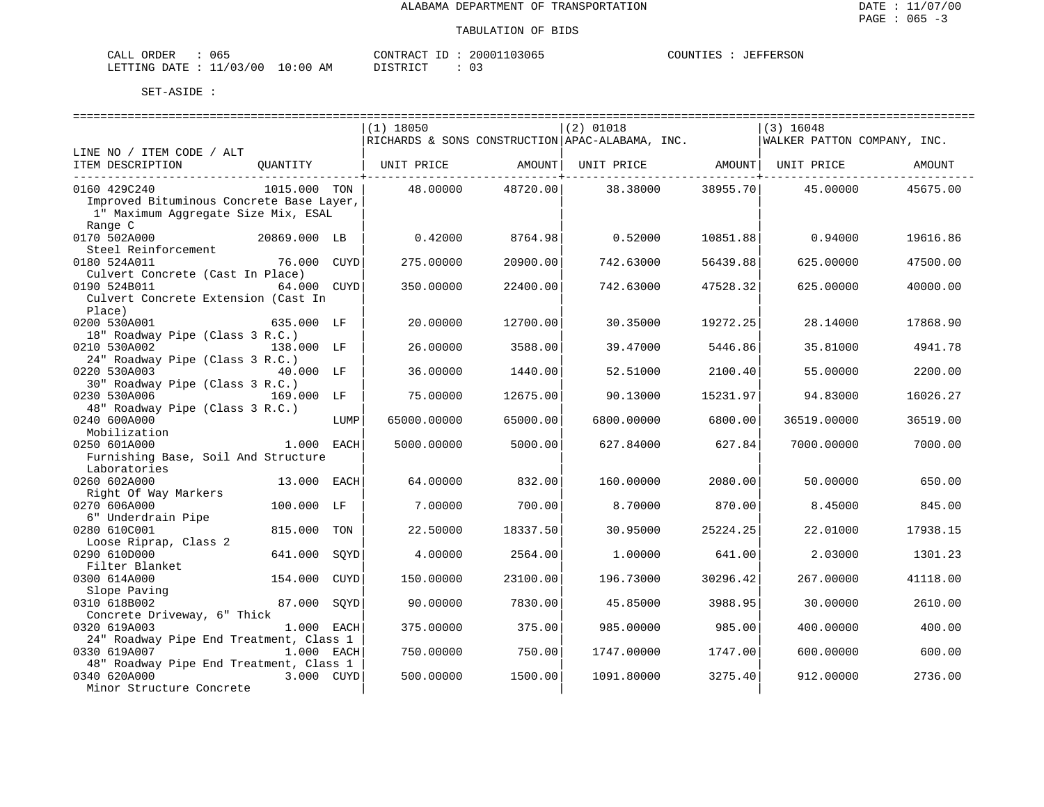| 065<br>CALL ORDER                |          | CONTRACT ID: 20001103065 | COUNTIES | JEFFERSON |
|----------------------------------|----------|--------------------------|----------|-----------|
| LETTING DATE : 11/03/00 10:00 AM | DISTRICT |                          |          |           |

| $(2)$ 01018<br>$(3)$ 16048<br>$(1)$ 18050<br>RICHARDS & SONS CONSTRUCTION APAC-ALABAMA, INC.<br>WALKER PATTON COMPANY, INC.<br>LINE NO / ITEM CODE / ALT<br>ITEM DESCRIPTION<br>OUANTITY<br>UNIT PRICE<br>AMOUNT  <br>UNIT PRICE AMOUNT   UNIT PRICE<br>AMOUNT<br>_________________________________<br>-----------+------<br>-----------+------<br>0160 429C240<br>1015.000 TON<br>48.00000<br>48720.00<br>38.38000<br>38955.70<br>45.00000<br>45675.00<br>Improved Bituminous Concrete Base Layer,<br>1" Maximum Aqqreqate Size Mix, ESAL<br>Range C<br>0170 502A000<br>20869.000 LB<br>0.42000<br>8764.98<br>0.52000<br>10851.88<br>0.94000<br>19616.86<br>Steel Reinforcement<br>275.00000<br>20900.00<br>742.63000<br>56439.88<br>625.00000<br>0180 524A011<br>76.000 CUYD<br>47500.00<br>Culvert Concrete (Cast In Place)<br>0190 524B011<br>64.000 CUYD<br>350.00000<br>22400.00<br>742.63000<br>47528.32<br>625.00000<br>40000.00<br>Culvert Concrete Extension (Cast In<br>Place)<br>0200 530A001<br>20,00000<br>12700.00<br>30.35000<br>19272.25<br>28.14000<br>17868.90<br>635.000 LF<br>18" Roadway Pipe (Class 3 R.C.)<br>0210 530A002<br>26.00000<br>3588.00<br>39.47000<br>5446.86<br>35.81000<br>4941.78<br>138.000 LF<br>24" Roadway Pipe (Class 3 R.C.)<br>0220 530A003<br>36.00000<br>1440.00<br>52.51000<br>2200.00<br>40.000 LF<br>2100.40<br>55.00000<br>30" Roadway Pipe (Class 3 R.C.)<br>0230 530A006<br>169.000 LF<br>75.00000<br>12675.00<br>90.13000<br>15231.97<br>94.83000<br>16026.27<br>48" Roadway Pipe (Class 3 R.C.)<br>0240 600A000<br>65000.00000<br>65000.00<br>6800.00000<br>6800.00<br>36519.00000<br>36519.00<br>LUMP<br>Mobilization<br>0250 601A000<br>1.000 EACH<br>5000.00000<br>5000.00<br>627.84000<br>627.84<br>7000.00000<br>7000.00<br>Furnishing Base, Soil And Structure<br>Laboratories<br>0260 602A000<br>64.00000<br>2080.00<br>650.00<br>13.000 EACH<br>832.00<br>160.00000<br>50.00000<br>Right Of Way Markers<br>0270 606A000<br>700.00<br>100.000 LF<br>7.00000<br>8.70000<br>870.00<br>8.45000<br>845.00<br>6" Underdrain Pipe<br>0280 610C001<br>815.000<br>TON<br>22.50000<br>18337.50<br>30.95000<br>25224.25<br>22.01000<br>17938.15<br>Loose Riprap, Class 2<br>0290 610D000<br>641.000<br>SOYD<br>4.00000<br>2564.00<br>1,00000<br>641.00<br>2.03000<br>1301.23<br>Filter Blanket<br>0300 614A000<br>154.000<br>CUYD<br>150.00000<br>23100.00<br>196.73000<br>30296.42<br>267.00000<br>41118.00<br>Slope Paving<br>0310 618B002<br>87.000<br>7830.00<br>3988.95<br>2610.00<br>SOYD<br>90.00000<br>45.85000<br>30.00000<br>Concrete Driveway, 6" Thick<br>0320 619A003<br>1.000 EACH<br>375.00000<br>375.00<br>985.00000<br>985.00<br>400.00000<br>400.00<br>24" Roadway Pipe End Treatment, Class 1<br>0330 619A007<br>1.000 EACH<br>750.00000<br>750.00<br>1747.00000<br>600.00000<br>600.00<br>1747.00<br>48" Roadway Pipe End Treatment, Class 1<br>0340 620A000<br>1091.80000<br>3275.40<br>2736.00<br>3.000 CUYD<br>500.00000<br>1500.00<br>912.00000<br>Minor Structure Concrete |  |  |  |  |  |
|---------------------------------------------------------------------------------------------------------------------------------------------------------------------------------------------------------------------------------------------------------------------------------------------------------------------------------------------------------------------------------------------------------------------------------------------------------------------------------------------------------------------------------------------------------------------------------------------------------------------------------------------------------------------------------------------------------------------------------------------------------------------------------------------------------------------------------------------------------------------------------------------------------------------------------------------------------------------------------------------------------------------------------------------------------------------------------------------------------------------------------------------------------------------------------------------------------------------------------------------------------------------------------------------------------------------------------------------------------------------------------------------------------------------------------------------------------------------------------------------------------------------------------------------------------------------------------------------------------------------------------------------------------------------------------------------------------------------------------------------------------------------------------------------------------------------------------------------------------------------------------------------------------------------------------------------------------------------------------------------------------------------------------------------------------------------------------------------------------------------------------------------------------------------------------------------------------------------------------------------------------------------------------------------------------------------------------------------------------------------------------------------------------------------------------------------------------------------------------------------------------------------------------------------------------------------------------------------------------------------------------------------------------------------------------------------------------------------------------------------------------------------------------------------------------------------------------------------------------------------------------------------------------------------------------------------------------------------------------------------------------------------------------------------------------|--|--|--|--|--|
|                                                                                                                                                                                                                                                                                                                                                                                                                                                                                                                                                                                                                                                                                                                                                                                                                                                                                                                                                                                                                                                                                                                                                                                                                                                                                                                                                                                                                                                                                                                                                                                                                                                                                                                                                                                                                                                                                                                                                                                                                                                                                                                                                                                                                                                                                                                                                                                                                                                                                                                                                                                                                                                                                                                                                                                                                                                                                                                                                                                                                                                         |  |  |  |  |  |
|                                                                                                                                                                                                                                                                                                                                                                                                                                                                                                                                                                                                                                                                                                                                                                                                                                                                                                                                                                                                                                                                                                                                                                                                                                                                                                                                                                                                                                                                                                                                                                                                                                                                                                                                                                                                                                                                                                                                                                                                                                                                                                                                                                                                                                                                                                                                                                                                                                                                                                                                                                                                                                                                                                                                                                                                                                                                                                                                                                                                                                                         |  |  |  |  |  |
|                                                                                                                                                                                                                                                                                                                                                                                                                                                                                                                                                                                                                                                                                                                                                                                                                                                                                                                                                                                                                                                                                                                                                                                                                                                                                                                                                                                                                                                                                                                                                                                                                                                                                                                                                                                                                                                                                                                                                                                                                                                                                                                                                                                                                                                                                                                                                                                                                                                                                                                                                                                                                                                                                                                                                                                                                                                                                                                                                                                                                                                         |  |  |  |  |  |
|                                                                                                                                                                                                                                                                                                                                                                                                                                                                                                                                                                                                                                                                                                                                                                                                                                                                                                                                                                                                                                                                                                                                                                                                                                                                                                                                                                                                                                                                                                                                                                                                                                                                                                                                                                                                                                                                                                                                                                                                                                                                                                                                                                                                                                                                                                                                                                                                                                                                                                                                                                                                                                                                                                                                                                                                                                                                                                                                                                                                                                                         |  |  |  |  |  |
|                                                                                                                                                                                                                                                                                                                                                                                                                                                                                                                                                                                                                                                                                                                                                                                                                                                                                                                                                                                                                                                                                                                                                                                                                                                                                                                                                                                                                                                                                                                                                                                                                                                                                                                                                                                                                                                                                                                                                                                                                                                                                                                                                                                                                                                                                                                                                                                                                                                                                                                                                                                                                                                                                                                                                                                                                                                                                                                                                                                                                                                         |  |  |  |  |  |
|                                                                                                                                                                                                                                                                                                                                                                                                                                                                                                                                                                                                                                                                                                                                                                                                                                                                                                                                                                                                                                                                                                                                                                                                                                                                                                                                                                                                                                                                                                                                                                                                                                                                                                                                                                                                                                                                                                                                                                                                                                                                                                                                                                                                                                                                                                                                                                                                                                                                                                                                                                                                                                                                                                                                                                                                                                                                                                                                                                                                                                                         |  |  |  |  |  |
|                                                                                                                                                                                                                                                                                                                                                                                                                                                                                                                                                                                                                                                                                                                                                                                                                                                                                                                                                                                                                                                                                                                                                                                                                                                                                                                                                                                                                                                                                                                                                                                                                                                                                                                                                                                                                                                                                                                                                                                                                                                                                                                                                                                                                                                                                                                                                                                                                                                                                                                                                                                                                                                                                                                                                                                                                                                                                                                                                                                                                                                         |  |  |  |  |  |
|                                                                                                                                                                                                                                                                                                                                                                                                                                                                                                                                                                                                                                                                                                                                                                                                                                                                                                                                                                                                                                                                                                                                                                                                                                                                                                                                                                                                                                                                                                                                                                                                                                                                                                                                                                                                                                                                                                                                                                                                                                                                                                                                                                                                                                                                                                                                                                                                                                                                                                                                                                                                                                                                                                                                                                                                                                                                                                                                                                                                                                                         |  |  |  |  |  |
|                                                                                                                                                                                                                                                                                                                                                                                                                                                                                                                                                                                                                                                                                                                                                                                                                                                                                                                                                                                                                                                                                                                                                                                                                                                                                                                                                                                                                                                                                                                                                                                                                                                                                                                                                                                                                                                                                                                                                                                                                                                                                                                                                                                                                                                                                                                                                                                                                                                                                                                                                                                                                                                                                                                                                                                                                                                                                                                                                                                                                                                         |  |  |  |  |  |
|                                                                                                                                                                                                                                                                                                                                                                                                                                                                                                                                                                                                                                                                                                                                                                                                                                                                                                                                                                                                                                                                                                                                                                                                                                                                                                                                                                                                                                                                                                                                                                                                                                                                                                                                                                                                                                                                                                                                                                                                                                                                                                                                                                                                                                                                                                                                                                                                                                                                                                                                                                                                                                                                                                                                                                                                                                                                                                                                                                                                                                                         |  |  |  |  |  |
|                                                                                                                                                                                                                                                                                                                                                                                                                                                                                                                                                                                                                                                                                                                                                                                                                                                                                                                                                                                                                                                                                                                                                                                                                                                                                                                                                                                                                                                                                                                                                                                                                                                                                                                                                                                                                                                                                                                                                                                                                                                                                                                                                                                                                                                                                                                                                                                                                                                                                                                                                                                                                                                                                                                                                                                                                                                                                                                                                                                                                                                         |  |  |  |  |  |
|                                                                                                                                                                                                                                                                                                                                                                                                                                                                                                                                                                                                                                                                                                                                                                                                                                                                                                                                                                                                                                                                                                                                                                                                                                                                                                                                                                                                                                                                                                                                                                                                                                                                                                                                                                                                                                                                                                                                                                                                                                                                                                                                                                                                                                                                                                                                                                                                                                                                                                                                                                                                                                                                                                                                                                                                                                                                                                                                                                                                                                                         |  |  |  |  |  |
|                                                                                                                                                                                                                                                                                                                                                                                                                                                                                                                                                                                                                                                                                                                                                                                                                                                                                                                                                                                                                                                                                                                                                                                                                                                                                                                                                                                                                                                                                                                                                                                                                                                                                                                                                                                                                                                                                                                                                                                                                                                                                                                                                                                                                                                                                                                                                                                                                                                                                                                                                                                                                                                                                                                                                                                                                                                                                                                                                                                                                                                         |  |  |  |  |  |
|                                                                                                                                                                                                                                                                                                                                                                                                                                                                                                                                                                                                                                                                                                                                                                                                                                                                                                                                                                                                                                                                                                                                                                                                                                                                                                                                                                                                                                                                                                                                                                                                                                                                                                                                                                                                                                                                                                                                                                                                                                                                                                                                                                                                                                                                                                                                                                                                                                                                                                                                                                                                                                                                                                                                                                                                                                                                                                                                                                                                                                                         |  |  |  |  |  |
|                                                                                                                                                                                                                                                                                                                                                                                                                                                                                                                                                                                                                                                                                                                                                                                                                                                                                                                                                                                                                                                                                                                                                                                                                                                                                                                                                                                                                                                                                                                                                                                                                                                                                                                                                                                                                                                                                                                                                                                                                                                                                                                                                                                                                                                                                                                                                                                                                                                                                                                                                                                                                                                                                                                                                                                                                                                                                                                                                                                                                                                         |  |  |  |  |  |
|                                                                                                                                                                                                                                                                                                                                                                                                                                                                                                                                                                                                                                                                                                                                                                                                                                                                                                                                                                                                                                                                                                                                                                                                                                                                                                                                                                                                                                                                                                                                                                                                                                                                                                                                                                                                                                                                                                                                                                                                                                                                                                                                                                                                                                                                                                                                                                                                                                                                                                                                                                                                                                                                                                                                                                                                                                                                                                                                                                                                                                                         |  |  |  |  |  |
|                                                                                                                                                                                                                                                                                                                                                                                                                                                                                                                                                                                                                                                                                                                                                                                                                                                                                                                                                                                                                                                                                                                                                                                                                                                                                                                                                                                                                                                                                                                                                                                                                                                                                                                                                                                                                                                                                                                                                                                                                                                                                                                                                                                                                                                                                                                                                                                                                                                                                                                                                                                                                                                                                                                                                                                                                                                                                                                                                                                                                                                         |  |  |  |  |  |
|                                                                                                                                                                                                                                                                                                                                                                                                                                                                                                                                                                                                                                                                                                                                                                                                                                                                                                                                                                                                                                                                                                                                                                                                                                                                                                                                                                                                                                                                                                                                                                                                                                                                                                                                                                                                                                                                                                                                                                                                                                                                                                                                                                                                                                                                                                                                                                                                                                                                                                                                                                                                                                                                                                                                                                                                                                                                                                                                                                                                                                                         |  |  |  |  |  |
|                                                                                                                                                                                                                                                                                                                                                                                                                                                                                                                                                                                                                                                                                                                                                                                                                                                                                                                                                                                                                                                                                                                                                                                                                                                                                                                                                                                                                                                                                                                                                                                                                                                                                                                                                                                                                                                                                                                                                                                                                                                                                                                                                                                                                                                                                                                                                                                                                                                                                                                                                                                                                                                                                                                                                                                                                                                                                                                                                                                                                                                         |  |  |  |  |  |
|                                                                                                                                                                                                                                                                                                                                                                                                                                                                                                                                                                                                                                                                                                                                                                                                                                                                                                                                                                                                                                                                                                                                                                                                                                                                                                                                                                                                                                                                                                                                                                                                                                                                                                                                                                                                                                                                                                                                                                                                                                                                                                                                                                                                                                                                                                                                                                                                                                                                                                                                                                                                                                                                                                                                                                                                                                                                                                                                                                                                                                                         |  |  |  |  |  |
|                                                                                                                                                                                                                                                                                                                                                                                                                                                                                                                                                                                                                                                                                                                                                                                                                                                                                                                                                                                                                                                                                                                                                                                                                                                                                                                                                                                                                                                                                                                                                                                                                                                                                                                                                                                                                                                                                                                                                                                                                                                                                                                                                                                                                                                                                                                                                                                                                                                                                                                                                                                                                                                                                                                                                                                                                                                                                                                                                                                                                                                         |  |  |  |  |  |
|                                                                                                                                                                                                                                                                                                                                                                                                                                                                                                                                                                                                                                                                                                                                                                                                                                                                                                                                                                                                                                                                                                                                                                                                                                                                                                                                                                                                                                                                                                                                                                                                                                                                                                                                                                                                                                                                                                                                                                                                                                                                                                                                                                                                                                                                                                                                                                                                                                                                                                                                                                                                                                                                                                                                                                                                                                                                                                                                                                                                                                                         |  |  |  |  |  |
|                                                                                                                                                                                                                                                                                                                                                                                                                                                                                                                                                                                                                                                                                                                                                                                                                                                                                                                                                                                                                                                                                                                                                                                                                                                                                                                                                                                                                                                                                                                                                                                                                                                                                                                                                                                                                                                                                                                                                                                                                                                                                                                                                                                                                                                                                                                                                                                                                                                                                                                                                                                                                                                                                                                                                                                                                                                                                                                                                                                                                                                         |  |  |  |  |  |
|                                                                                                                                                                                                                                                                                                                                                                                                                                                                                                                                                                                                                                                                                                                                                                                                                                                                                                                                                                                                                                                                                                                                                                                                                                                                                                                                                                                                                                                                                                                                                                                                                                                                                                                                                                                                                                                                                                                                                                                                                                                                                                                                                                                                                                                                                                                                                                                                                                                                                                                                                                                                                                                                                                                                                                                                                                                                                                                                                                                                                                                         |  |  |  |  |  |
|                                                                                                                                                                                                                                                                                                                                                                                                                                                                                                                                                                                                                                                                                                                                                                                                                                                                                                                                                                                                                                                                                                                                                                                                                                                                                                                                                                                                                                                                                                                                                                                                                                                                                                                                                                                                                                                                                                                                                                                                                                                                                                                                                                                                                                                                                                                                                                                                                                                                                                                                                                                                                                                                                                                                                                                                                                                                                                                                                                                                                                                         |  |  |  |  |  |
|                                                                                                                                                                                                                                                                                                                                                                                                                                                                                                                                                                                                                                                                                                                                                                                                                                                                                                                                                                                                                                                                                                                                                                                                                                                                                                                                                                                                                                                                                                                                                                                                                                                                                                                                                                                                                                                                                                                                                                                                                                                                                                                                                                                                                                                                                                                                                                                                                                                                                                                                                                                                                                                                                                                                                                                                                                                                                                                                                                                                                                                         |  |  |  |  |  |
|                                                                                                                                                                                                                                                                                                                                                                                                                                                                                                                                                                                                                                                                                                                                                                                                                                                                                                                                                                                                                                                                                                                                                                                                                                                                                                                                                                                                                                                                                                                                                                                                                                                                                                                                                                                                                                                                                                                                                                                                                                                                                                                                                                                                                                                                                                                                                                                                                                                                                                                                                                                                                                                                                                                                                                                                                                                                                                                                                                                                                                                         |  |  |  |  |  |
|                                                                                                                                                                                                                                                                                                                                                                                                                                                                                                                                                                                                                                                                                                                                                                                                                                                                                                                                                                                                                                                                                                                                                                                                                                                                                                                                                                                                                                                                                                                                                                                                                                                                                                                                                                                                                                                                                                                                                                                                                                                                                                                                                                                                                                                                                                                                                                                                                                                                                                                                                                                                                                                                                                                                                                                                                                                                                                                                                                                                                                                         |  |  |  |  |  |
|                                                                                                                                                                                                                                                                                                                                                                                                                                                                                                                                                                                                                                                                                                                                                                                                                                                                                                                                                                                                                                                                                                                                                                                                                                                                                                                                                                                                                                                                                                                                                                                                                                                                                                                                                                                                                                                                                                                                                                                                                                                                                                                                                                                                                                                                                                                                                                                                                                                                                                                                                                                                                                                                                                                                                                                                                                                                                                                                                                                                                                                         |  |  |  |  |  |
|                                                                                                                                                                                                                                                                                                                                                                                                                                                                                                                                                                                                                                                                                                                                                                                                                                                                                                                                                                                                                                                                                                                                                                                                                                                                                                                                                                                                                                                                                                                                                                                                                                                                                                                                                                                                                                                                                                                                                                                                                                                                                                                                                                                                                                                                                                                                                                                                                                                                                                                                                                                                                                                                                                                                                                                                                                                                                                                                                                                                                                                         |  |  |  |  |  |
|                                                                                                                                                                                                                                                                                                                                                                                                                                                                                                                                                                                                                                                                                                                                                                                                                                                                                                                                                                                                                                                                                                                                                                                                                                                                                                                                                                                                                                                                                                                                                                                                                                                                                                                                                                                                                                                                                                                                                                                                                                                                                                                                                                                                                                                                                                                                                                                                                                                                                                                                                                                                                                                                                                                                                                                                                                                                                                                                                                                                                                                         |  |  |  |  |  |
|                                                                                                                                                                                                                                                                                                                                                                                                                                                                                                                                                                                                                                                                                                                                                                                                                                                                                                                                                                                                                                                                                                                                                                                                                                                                                                                                                                                                                                                                                                                                                                                                                                                                                                                                                                                                                                                                                                                                                                                                                                                                                                                                                                                                                                                                                                                                                                                                                                                                                                                                                                                                                                                                                                                                                                                                                                                                                                                                                                                                                                                         |  |  |  |  |  |
|                                                                                                                                                                                                                                                                                                                                                                                                                                                                                                                                                                                                                                                                                                                                                                                                                                                                                                                                                                                                                                                                                                                                                                                                                                                                                                                                                                                                                                                                                                                                                                                                                                                                                                                                                                                                                                                                                                                                                                                                                                                                                                                                                                                                                                                                                                                                                                                                                                                                                                                                                                                                                                                                                                                                                                                                                                                                                                                                                                                                                                                         |  |  |  |  |  |
|                                                                                                                                                                                                                                                                                                                                                                                                                                                                                                                                                                                                                                                                                                                                                                                                                                                                                                                                                                                                                                                                                                                                                                                                                                                                                                                                                                                                                                                                                                                                                                                                                                                                                                                                                                                                                                                                                                                                                                                                                                                                                                                                                                                                                                                                                                                                                                                                                                                                                                                                                                                                                                                                                                                                                                                                                                                                                                                                                                                                                                                         |  |  |  |  |  |
|                                                                                                                                                                                                                                                                                                                                                                                                                                                                                                                                                                                                                                                                                                                                                                                                                                                                                                                                                                                                                                                                                                                                                                                                                                                                                                                                                                                                                                                                                                                                                                                                                                                                                                                                                                                                                                                                                                                                                                                                                                                                                                                                                                                                                                                                                                                                                                                                                                                                                                                                                                                                                                                                                                                                                                                                                                                                                                                                                                                                                                                         |  |  |  |  |  |
|                                                                                                                                                                                                                                                                                                                                                                                                                                                                                                                                                                                                                                                                                                                                                                                                                                                                                                                                                                                                                                                                                                                                                                                                                                                                                                                                                                                                                                                                                                                                                                                                                                                                                                                                                                                                                                                                                                                                                                                                                                                                                                                                                                                                                                                                                                                                                                                                                                                                                                                                                                                                                                                                                                                                                                                                                                                                                                                                                                                                                                                         |  |  |  |  |  |
|                                                                                                                                                                                                                                                                                                                                                                                                                                                                                                                                                                                                                                                                                                                                                                                                                                                                                                                                                                                                                                                                                                                                                                                                                                                                                                                                                                                                                                                                                                                                                                                                                                                                                                                                                                                                                                                                                                                                                                                                                                                                                                                                                                                                                                                                                                                                                                                                                                                                                                                                                                                                                                                                                                                                                                                                                                                                                                                                                                                                                                                         |  |  |  |  |  |
|                                                                                                                                                                                                                                                                                                                                                                                                                                                                                                                                                                                                                                                                                                                                                                                                                                                                                                                                                                                                                                                                                                                                                                                                                                                                                                                                                                                                                                                                                                                                                                                                                                                                                                                                                                                                                                                                                                                                                                                                                                                                                                                                                                                                                                                                                                                                                                                                                                                                                                                                                                                                                                                                                                                                                                                                                                                                                                                                                                                                                                                         |  |  |  |  |  |
|                                                                                                                                                                                                                                                                                                                                                                                                                                                                                                                                                                                                                                                                                                                                                                                                                                                                                                                                                                                                                                                                                                                                                                                                                                                                                                                                                                                                                                                                                                                                                                                                                                                                                                                                                                                                                                                                                                                                                                                                                                                                                                                                                                                                                                                                                                                                                                                                                                                                                                                                                                                                                                                                                                                                                                                                                                                                                                                                                                                                                                                         |  |  |  |  |  |
|                                                                                                                                                                                                                                                                                                                                                                                                                                                                                                                                                                                                                                                                                                                                                                                                                                                                                                                                                                                                                                                                                                                                                                                                                                                                                                                                                                                                                                                                                                                                                                                                                                                                                                                                                                                                                                                                                                                                                                                                                                                                                                                                                                                                                                                                                                                                                                                                                                                                                                                                                                                                                                                                                                                                                                                                                                                                                                                                                                                                                                                         |  |  |  |  |  |
|                                                                                                                                                                                                                                                                                                                                                                                                                                                                                                                                                                                                                                                                                                                                                                                                                                                                                                                                                                                                                                                                                                                                                                                                                                                                                                                                                                                                                                                                                                                                                                                                                                                                                                                                                                                                                                                                                                                                                                                                                                                                                                                                                                                                                                                                                                                                                                                                                                                                                                                                                                                                                                                                                                                                                                                                                                                                                                                                                                                                                                                         |  |  |  |  |  |
|                                                                                                                                                                                                                                                                                                                                                                                                                                                                                                                                                                                                                                                                                                                                                                                                                                                                                                                                                                                                                                                                                                                                                                                                                                                                                                                                                                                                                                                                                                                                                                                                                                                                                                                                                                                                                                                                                                                                                                                                                                                                                                                                                                                                                                                                                                                                                                                                                                                                                                                                                                                                                                                                                                                                                                                                                                                                                                                                                                                                                                                         |  |  |  |  |  |
|                                                                                                                                                                                                                                                                                                                                                                                                                                                                                                                                                                                                                                                                                                                                                                                                                                                                                                                                                                                                                                                                                                                                                                                                                                                                                                                                                                                                                                                                                                                                                                                                                                                                                                                                                                                                                                                                                                                                                                                                                                                                                                                                                                                                                                                                                                                                                                                                                                                                                                                                                                                                                                                                                                                                                                                                                                                                                                                                                                                                                                                         |  |  |  |  |  |
|                                                                                                                                                                                                                                                                                                                                                                                                                                                                                                                                                                                                                                                                                                                                                                                                                                                                                                                                                                                                                                                                                                                                                                                                                                                                                                                                                                                                                                                                                                                                                                                                                                                                                                                                                                                                                                                                                                                                                                                                                                                                                                                                                                                                                                                                                                                                                                                                                                                                                                                                                                                                                                                                                                                                                                                                                                                                                                                                                                                                                                                         |  |  |  |  |  |
|                                                                                                                                                                                                                                                                                                                                                                                                                                                                                                                                                                                                                                                                                                                                                                                                                                                                                                                                                                                                                                                                                                                                                                                                                                                                                                                                                                                                                                                                                                                                                                                                                                                                                                                                                                                                                                                                                                                                                                                                                                                                                                                                                                                                                                                                                                                                                                                                                                                                                                                                                                                                                                                                                                                                                                                                                                                                                                                                                                                                                                                         |  |  |  |  |  |
|                                                                                                                                                                                                                                                                                                                                                                                                                                                                                                                                                                                                                                                                                                                                                                                                                                                                                                                                                                                                                                                                                                                                                                                                                                                                                                                                                                                                                                                                                                                                                                                                                                                                                                                                                                                                                                                                                                                                                                                                                                                                                                                                                                                                                                                                                                                                                                                                                                                                                                                                                                                                                                                                                                                                                                                                                                                                                                                                                                                                                                                         |  |  |  |  |  |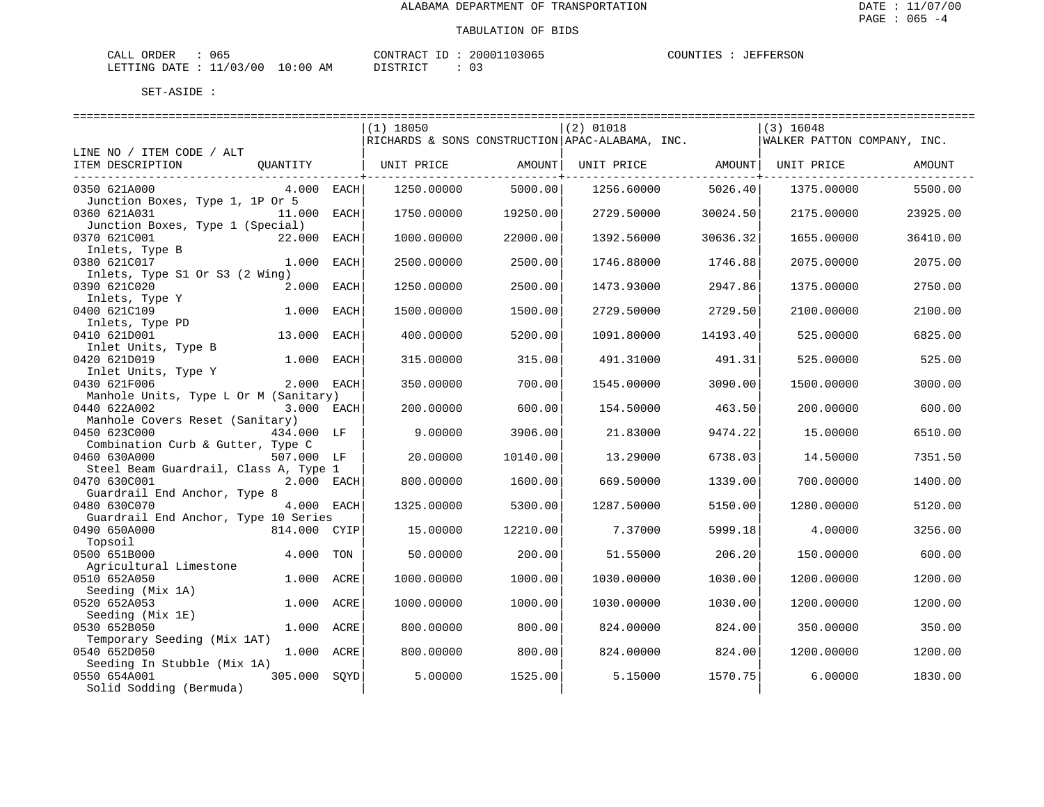| CALL ORDER                       | ან 5 | CONTRACT ID | 20001103065 | COUNTIES | JEFFERSON |
|----------------------------------|------|-------------|-------------|----------|-----------|
| LETTING DATE : 11/03/00 10:00 AM |      | DISTRICT    |             |          |           |

|                                       |              |      | $(1)$ 18050                                       |                | $(2)$ 01018 |                              | $(3)$ 16048                 |          |
|---------------------------------------|--------------|------|---------------------------------------------------|----------------|-------------|------------------------------|-----------------------------|----------|
|                                       |              |      | RICHARDS & SONS CONSTRUCTION   APAC-ALABAMA, INC. |                |             |                              | WALKER PATTON COMPANY, INC. |          |
| LINE NO / ITEM CODE / ALT             |              |      |                                                   |                |             |                              |                             |          |
| ITEM DESCRIPTION                      | OUANTITY     |      | UNIT PRICE                                        | AMOUNT         |             | UNIT PRICE AMOUNT UNIT PRICE |                             | AMOUNT   |
|                                       |              |      |                                                   | -------------+ |             | ----------------+-------     |                             |          |
| 0350 621A000                          | $4.000$ EACH |      | 1250.00000                                        | 5000.00        | 1256.60000  | 5026.40                      | 1375.00000                  | 5500.00  |
| Junction Boxes, Type 1, 1P Or 5       |              |      |                                                   |                |             |                              |                             |          |
| 0360 621A031                          | 11,000       | EACH | 1750.00000                                        | 19250.00       | 2729.50000  | 30024.50                     | 2175.00000                  | 23925.00 |
| Junction Boxes, Type 1 (Special)      |              |      |                                                   |                |             |                              |                             |          |
| 0370 621C001                          | 22.000       | EACH | 1000.00000                                        | 22000.00       | 1392.56000  | 30636.32                     | 1655.00000                  | 36410.00 |
|                                       |              |      |                                                   |                |             |                              |                             |          |
| Inlets, Type B<br>0380 621C017        | 1.000        | EACH | 2500.00000                                        | 2500.00        | 1746.88000  | 1746.88                      | 2075.00000                  | 2075.00  |
|                                       |              |      |                                                   |                |             |                              |                             |          |
| Inlets, Type S1 Or S3 (2 Wing)        |              |      |                                                   |                |             |                              |                             |          |
| 0390 621C020                          | 2.000 EACH   |      | 1250.00000                                        | 2500.00        | 1473.93000  | 2947.86                      | 1375.00000                  | 2750.00  |
| Inlets, Type Y                        |              |      |                                                   |                |             |                              |                             |          |
| 0400 621C109                          | 1.000        | EACH | 1500.00000                                        | 1500.00        | 2729.50000  | 2729.50                      | 2100.00000                  | 2100.00  |
| Inlets, Type PD                       |              |      |                                                   |                |             |                              |                             |          |
| 0410 621D001                          | 13.000       | EACH | 400.00000                                         | 5200.00        | 1091.80000  | 14193.40                     | 525.00000                   | 6825.00  |
| Inlet Units, Type B                   |              |      |                                                   |                |             |                              |                             |          |
| 0420 621D019                          | 1.000        | EACH | 315.00000                                         | 315.00         | 491.31000   | 491.31                       | 525.00000                   | 525.00   |
| Inlet Units, Type Y                   |              |      |                                                   |                |             |                              |                             |          |
| 0430 621F006                          | 2.000 EACH   |      | 350.00000                                         | 700.00         | 1545.00000  | 3090.00                      | 1500.00000                  | 3000.00  |
| Manhole Units, Type L Or M (Sanitary) |              |      |                                                   |                |             |                              |                             |          |
| 0440 622A002                          | 3.000 EACH   |      | 200.00000                                         | 600.00         | 154.50000   | 463.50                       | 200.00000                   | 600.00   |
| Manhole Covers Reset (Sanitary)       |              |      |                                                   |                |             |                              |                             |          |
| 0450 623C000                          | 434.000 LF   |      | 9.00000                                           | 3906.00        | 21.83000    | 9474.22                      | 15.00000                    | 6510.00  |
| Combination Curb & Gutter, Type C     |              |      |                                                   |                |             |                              |                             |          |
| 0460 630A000                          | 507.000 LF   |      | 20.00000                                          | 10140.00       | 13.29000    | 6738.03                      | 14.50000                    | 7351.50  |
| Steel Beam Guardrail, Class A, Type 1 |              |      |                                                   |                |             |                              |                             |          |
| 0470 630C001                          | 2.000 EACH   |      | 800.00000                                         | 1600.00        | 669.50000   | 1339.00                      | 700.00000                   | 1400.00  |
| Guardrail End Anchor, Type 8          |              |      |                                                   |                |             |                              |                             |          |
| 0480 630C070                          | 4.000 EACH   |      | 1325.00000                                        | 5300.00        | 1287.50000  | 5150.00                      | 1280.00000                  | 5120.00  |
| Guardrail End Anchor, Type 10 Series  |              |      |                                                   |                |             |                              |                             |          |
| 0490 650A000                          | 814.000 CYIP |      | 15,00000                                          | 12210.00       | 7.37000     | 5999.18                      | 4.00000                     | 3256.00  |
| Topsoil                               |              |      |                                                   |                |             |                              |                             |          |
| 0500 651B000                          | 4.000        | TON  | 50.00000                                          | 200.00         | 51.55000    | 206.20                       | 150.00000                   | 600.00   |
| Agricultural Limestone                |              |      |                                                   |                |             |                              |                             |          |
| 0510 652A050                          | 1.000        | ACRE | 1000.00000                                        | 1000.00        | 1030.00000  | 1030.00                      | 1200.00000                  | 1200.00  |
| Seeding (Mix 1A)                      |              |      |                                                   |                |             |                              |                             |          |
| 0520 652A053                          | 1.000 ACRE   |      | 1000.00000                                        | 1000.00        | 1030.00000  | 1030.00                      | 1200.00000                  | 1200.00  |
| Seeding (Mix 1E)                      |              |      |                                                   |                |             |                              |                             |          |
| 0530 652B050                          | 1.000 ACRE   |      | 800,00000                                         | 800.00         | 824.00000   | 824.00                       | 350.00000                   | 350.00   |
| Temporary Seeding (Mix 1AT)           |              |      |                                                   |                |             |                              |                             |          |
| 0540 652D050                          | 1.000 ACRE   |      | 800.00000                                         | 800.00         | 824.00000   | 824.00                       | 1200.00000                  | 1200.00  |
| Seeding In Stubble (Mix 1A)           |              |      |                                                   |                |             |                              |                             |          |
| 0550 654A001                          | 305.000 SOYD |      | 5.00000                                           | 1525.00        | 5.15000     | 1570.75                      | 6.00000                     | 1830.00  |
| Solid Sodding (Bermuda)               |              |      |                                                   |                |             |                              |                             |          |
|                                       |              |      |                                                   |                |             |                              |                             |          |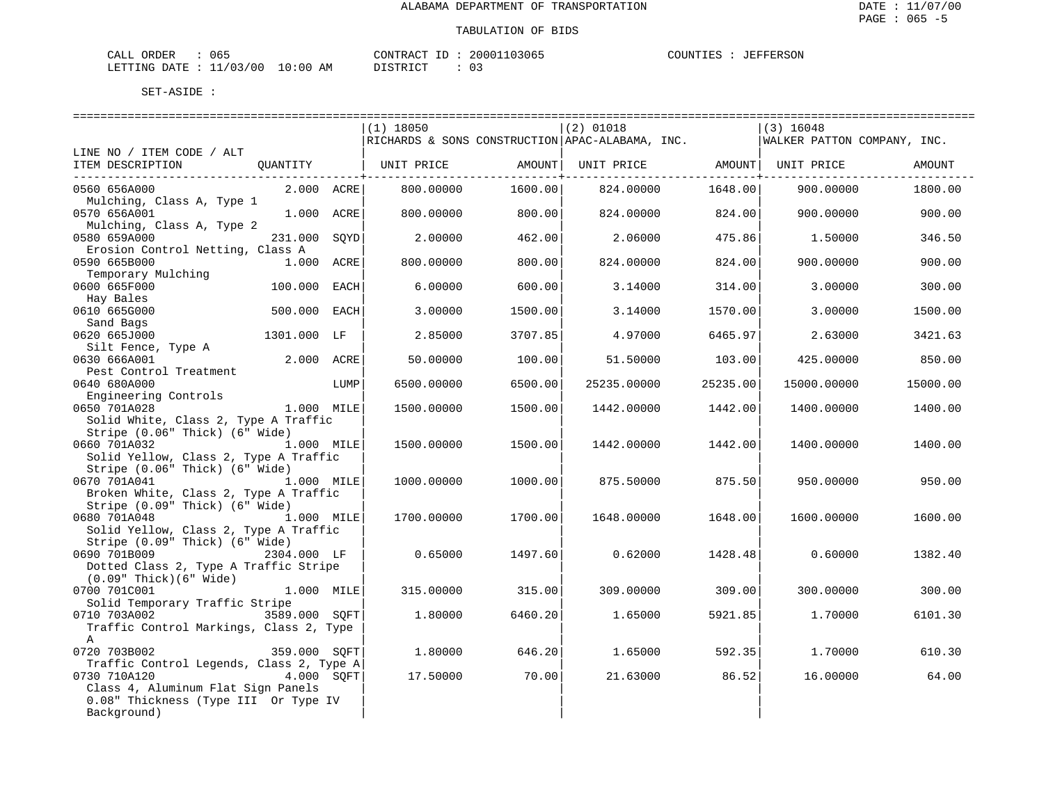| 065<br>CALL ORDER                |          | CONTRACT ID: 20001103065 | COUNTIES : JEFFERSON |  |
|----------------------------------|----------|--------------------------|----------------------|--|
| LETTING DATE : 11/03/00 10:00 AM | DISTRICT |                          |                      |  |

|                                                                              |              |      | (1) 18050  |                   | $(2)$ 01018                                     |                    | $(3)$ 16048                 |          |
|------------------------------------------------------------------------------|--------------|------|------------|-------------------|-------------------------------------------------|--------------------|-----------------------------|----------|
|                                                                              |              |      |            |                   | RICHARDS & SONS CONSTRUCTION APAC-ALABAMA, INC. |                    | WALKER PATTON COMPANY, INC. |          |
| LINE NO / ITEM CODE / ALT                                                    |              |      |            |                   |                                                 |                    |                             |          |
| ITEM DESCRIPTION QUANTITY   UNIT PRICE AMOUNT  UNIT PRICE AMOUNT  UNIT PRICE |              |      |            |                   |                                                 |                    |                             | AMOUNT   |
|                                                                              |              |      |            | --------------+-- |                                                 | ---------------+-- |                             |          |
| 0560 656A000                                                                 | $2.000$ ACRE |      | 800.00000  | 1600.00           | 824.00000                                       | 1648.00            | 900.00000                   | 1800.00  |
| Mulching, Class A, Type 1                                                    |              |      |            |                   |                                                 |                    |                             |          |
| 0570 656A001                                                                 | 1.000 ACRE   |      | 800.00000  | 800.00            | 824.00000                                       | 824.00             | 900.00000                   | 900.00   |
| Mulching, Class A, Type 2                                                    |              |      |            |                   |                                                 |                    |                             |          |
| 0580 659A000                                                                 | 231.000      | SQYD | 2.00000    | 462.00            | 2.06000                                         | 475.86             | 1.50000                     | 346.50   |
| Erosion Control Netting, Class A                                             |              |      |            |                   |                                                 |                    |                             |          |
| 0590 665B000                                                                 | 1.000 ACRE   |      | 800,00000  | 800.00            | 824.00000                                       | 824.00             | 900,00000                   | 900.00   |
| Temporary Mulching                                                           |              |      |            |                   |                                                 |                    |                             |          |
| 0600 665F000                                                                 | 100.000 EACH |      | 6.00000    | 600.00            | 3.14000                                         | 314.00             | 3.00000                     | 300.00   |
| Hay Bales                                                                    |              |      |            |                   |                                                 |                    |                             |          |
| 0610 665G000                                                                 | 500.000 EACH |      | 3.00000    | 1500.00           | 3.14000                                         | 1570.00            | 3.00000                     | 1500.00  |
| Sand Bags                                                                    |              |      |            |                   |                                                 |                    |                             |          |
| 0620 665J000                                                                 | 1301.000 LF  |      | 2.85000    | 3707.85           | 4.97000                                         | 6465.97            | 2.63000                     | 3421.63  |
| Silt Fence, Type A                                                           |              |      |            |                   |                                                 |                    |                             |          |
| 0630 666A001                                                                 | 2.000 ACRE   |      | 50.00000   | 100.00            | 51.50000                                        | 103.00             | 425.00000                   | 850.00   |
| Pest Control Treatment                                                       |              |      |            |                   |                                                 |                    |                             |          |
| 0640 680A000                                                                 |              | LUMP | 6500.00000 | 6500.00           | 25235.00000                                     | 25235.00           | 15000.00000                 | 15000.00 |
|                                                                              |              |      |            |                   |                                                 |                    |                             |          |
| AU bounds<br>Engineering Controls<br>1.000 MILE<br>0650 701A028              |              |      | 1500.00000 | 1500.00           | 1442.00000                                      | 1442.00            | 1400.00000                  | 1400.00  |
| Solid White, Class 2, Type A Traffic                                         |              |      |            |                   |                                                 |                    |                             |          |
| Stripe (0.06" Thick) (6" Wide)                                               |              |      |            |                   |                                                 |                    |                             |          |
| 0660 701A032                                                                 | 1.000 MILE   |      | 1500.00000 | 1500.00           | 1442.00000                                      | 1442.00            | 1400.00000                  | 1400.00  |
| Solid Yellow, Class 2, Type A Traffic                                        |              |      |            |                   |                                                 |                    |                             |          |
| Stripe (0.06" Thick) (6" Wide)                                               |              |      |            |                   |                                                 |                    |                             |          |
| 0670 701A041                                                                 | $1.000$ MILE |      | 1000.00000 | 1000.00           | 875.50000                                       | 875.50             | 950.00000                   | 950.00   |
|                                                                              |              |      |            |                   |                                                 |                    |                             |          |
| Broken White, Class 2, Type A Traffic<br>Stripe (0.09" Thick) (6" Wide)      |              |      |            |                   |                                                 |                    |                             |          |
|                                                                              |              |      |            |                   |                                                 |                    |                             |          |
| 0680 701A048                                                                 | 1.000 MILE   |      | 1700.00000 | 1700.00           | 1648.00000                                      | 1648.00            | 1600.00000                  | 1600.00  |
| Solid Yellow, Class 2, Type A Traffic                                        |              |      |            |                   |                                                 |                    |                             |          |
| Stripe (0.09" Thick) (6" Wide)                                               |              |      |            |                   |                                                 |                    |                             |          |
| 0690 701B009                                                                 | 2304.000 LF  |      | 0.65000    | 1497.60           | 0.62000                                         | 1428.48            | 0.60000                     | 1382.40  |
| Dotted Class 2, Type A Traffic Stripe                                        |              |      |            |                   |                                                 |                    |                             |          |
| $(0.09"$ Thick $)(6"$ Wide $)$                                               |              |      |            |                   |                                                 |                    |                             |          |
| 0700 701C001                                                                 | 1.000 MILE   |      | 315.00000  | 315.00            | 309,00000                                       | 309.00             | 300.00000                   | 300.00   |
| Solid Temporary Traffic Stripe                                               |              |      |            |                   |                                                 |                    |                             |          |
| 0710 703A002 3589.000 SOFT                                                   |              |      | 1.80000    | 6460.20           | 1.65000                                         | 5921.85            | 1.70000                     | 6101.30  |
| Traffic Control Markings, Class 2, Type                                      |              |      |            |                   |                                                 |                    |                             |          |
| Α                                                                            |              |      |            |                   |                                                 |                    |                             |          |
| 0720 703B002                                                                 | 359.000 SQFT |      | 1,80000    | 646.20            | 1.65000                                         | 592.35             | 1,70000                     | 610.30   |
| Traffic Control Legends, Class 2, Type A                                     |              |      |            |                   |                                                 |                    |                             |          |
| 0730 710A120                                                                 | 4.000 SOFT   |      | 17.50000   | 70.00             | 21.63000                                        | 86.52              | 16.00000                    | 64.00    |
| Class 4, Aluminum Flat Sign Panels                                           |              |      |            |                   |                                                 |                    |                             |          |
| 0.08" Thickness (Type III Or Type IV                                         |              |      |            |                   |                                                 |                    |                             |          |
| Background)                                                                  |              |      |            |                   |                                                 |                    |                             |          |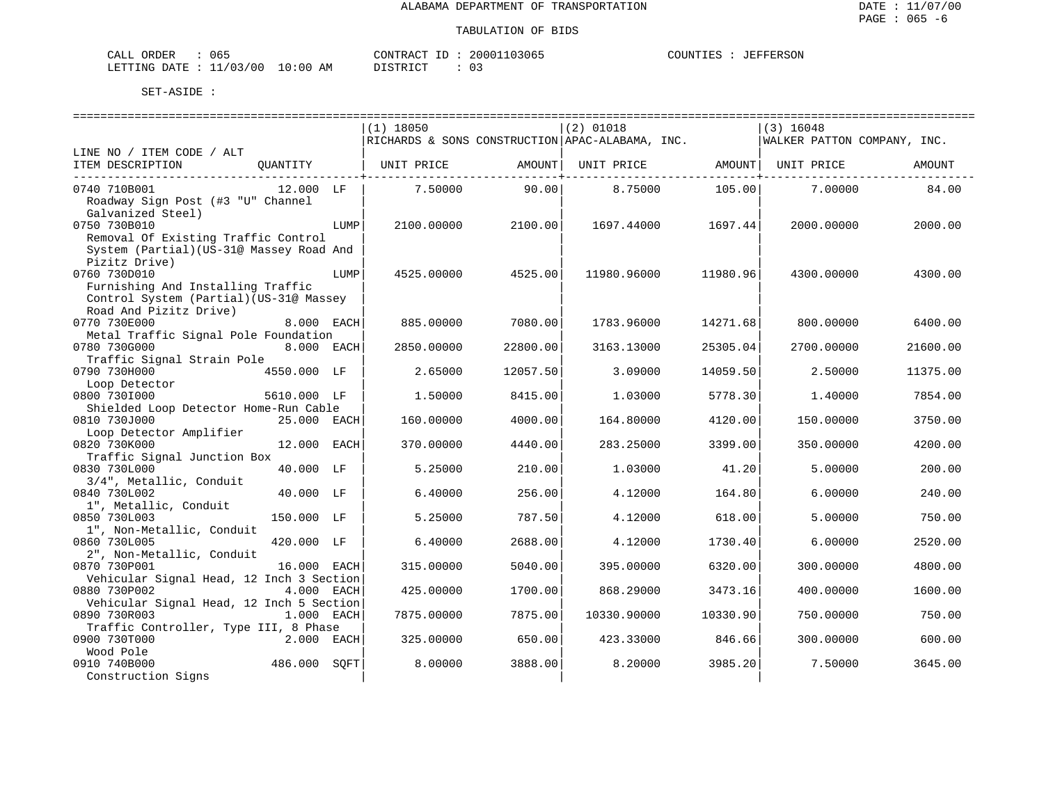**JEFFERSON** 

| ORDER<br>CALL<br>065    |             | CONTRACT<br>ID | 20001103065 | COUNTIES | JEFFERSON |
|-------------------------|-------------|----------------|-------------|----------|-----------|
| LETTING DATE : 11/03/00 | 10:00<br>AΜ | חי חים דח      |             |          |           |

|                                                                                                                      |      | $(1)$ 18050 |          | $(2)$ 01018                                     |          | $(3)$ 16048                 |          |
|----------------------------------------------------------------------------------------------------------------------|------|-------------|----------|-------------------------------------------------|----------|-----------------------------|----------|
|                                                                                                                      |      |             |          | RICHARDS & SONS CONSTRUCTION APAC-ALABAMA, INC. |          | WALKER PATTON COMPANY, INC. |          |
| LINE NO / ITEM CODE / ALT<br>ITEM DESCRIPTION<br>OUANTITY                                                            |      | UNIT PRICE  | AMOUNT   | UNIT PRICE                                      | AMOUNT   | UNIT PRICE                  | AMOUNT   |
| 0740 710B001<br>12.000 LF<br>Roadway Sign Post (#3 "U" Channel                                                       |      | 7.50000     | 90.00    | 8.75000                                         | 105.00   | 7.00000                     | 84.00    |
| Galvanized Steel)<br>0750 730B010<br>Removal Of Existing Traffic Control<br>System (Partial) (US-31@ Massey Road And | LUMP | 2100.00000  | 2100.00  | 1697.44000                                      | 1697.44  | 2000.00000                  | 2000.00  |
| Pizitz Drive)<br>0760 730D010                                                                                        | LUMP | 4525.00000  | 4525.00  | 11980.96000                                     | 11980.96 | 4300.00000                  | 4300.00  |
| Furnishing And Installing Traffic<br>Control System (Partial) (US-31@ Massey<br>Road And Pizitz Drive)               |      |             |          |                                                 |          |                             |          |
| 0770 730E000<br>8.000 EACH                                                                                           |      | 885.00000   | 7080.00  | 1783.96000                                      | 14271.68 | 800,00000                   | 6400.00  |
| Metal Traffic Signal Pole Foundation<br>0780 730G000<br>8.000 EACH<br>Traffic Signal Strain Pole                     |      | 2850.00000  | 22800.00 | 3163.13000                                      | 25305.04 | 2700.00000                  | 21600.00 |
| 0790 730H000<br>4550.000 LF                                                                                          |      | 2.65000     | 12057.50 | 3.09000                                         | 14059.50 | 2.50000                     | 11375.00 |
| Loop Detector<br>0800 7301000<br>5610.000 LF<br>Shielded Loop Detector Home-Run Cable                                |      | 1.50000     | 8415.00  | 1,03000                                         | 5778.30  | 1.40000                     | 7854.00  |
| 0810 730J000<br>25.000 EACH                                                                                          |      | 160.00000   | 4000.00  | 164.80000                                       | 4120.00  | 150.00000                   | 3750.00  |
| Loop Detector Amplifier<br>0820 730K000<br>12.000 EACH<br>Traffic Signal Junction Box                                |      | 370.00000   | 4440.00  | 283.25000                                       | 3399.00  | 350.00000                   | 4200.00  |
| 0830 730L000<br>40.000 LF<br>3/4", Metallic, Conduit                                                                 |      | 5.25000     | 210.00   | 1,03000                                         | 41.20    | 5.00000                     | 200.00   |
| 0840 730L002<br>40.000 LF<br>1", Metallic, Conduit                                                                   |      | 6.40000     | 256.00   | 4.12000                                         | 164.80   | 6.00000                     | 240.00   |
| 0850 730L003<br>150.000 LF                                                                                           |      | 5.25000     | 787.50   | 4.12000                                         | 618.00   | 5.00000                     | 750.00   |
| 1", Non-Metallic, Conduit<br>0860 730L005<br>420.000 LF<br>2", Non-Metallic, Conduit                                 |      | 6.40000     | 2688.00  | 4.12000                                         | 1730.40  | 6.00000                     | 2520.00  |
| 0870 730P001<br>16.000 EACH<br>Vehicular Signal Head, 12 Inch 3 Section                                              |      | 315.00000   | 5040.00  | 395.00000                                       | 6320.00  | 300.00000                   | 4800.00  |
| 0880 730P002<br>4.000 EACH<br>Vehicular Signal Head, 12 Inch 5 Section                                               |      | 425.00000   | 1700.00  | 868.29000                                       | 3473.16  | 400.00000                   | 1600.00  |
| 0890 730R003<br>1.000 EACH<br>Traffic Controller, Type III, 8 Phase                                                  |      | 7875.00000  | 7875.00  | 10330.90000                                     | 10330.90 | 750.00000                   | 750.00   |
| 0900 730T000<br>2.000 EACH<br>Wood Pole                                                                              |      | 325.00000   | 650.00   | 423.33000                                       | 846.66   | 300.00000                   | 600.00   |
| 486.000<br>0910 740B000<br>Construction Signs                                                                        | SOFT | 8,00000     | 3888.00  | 8,20000                                         | 3985.20  | 7.50000                     | 3645.00  |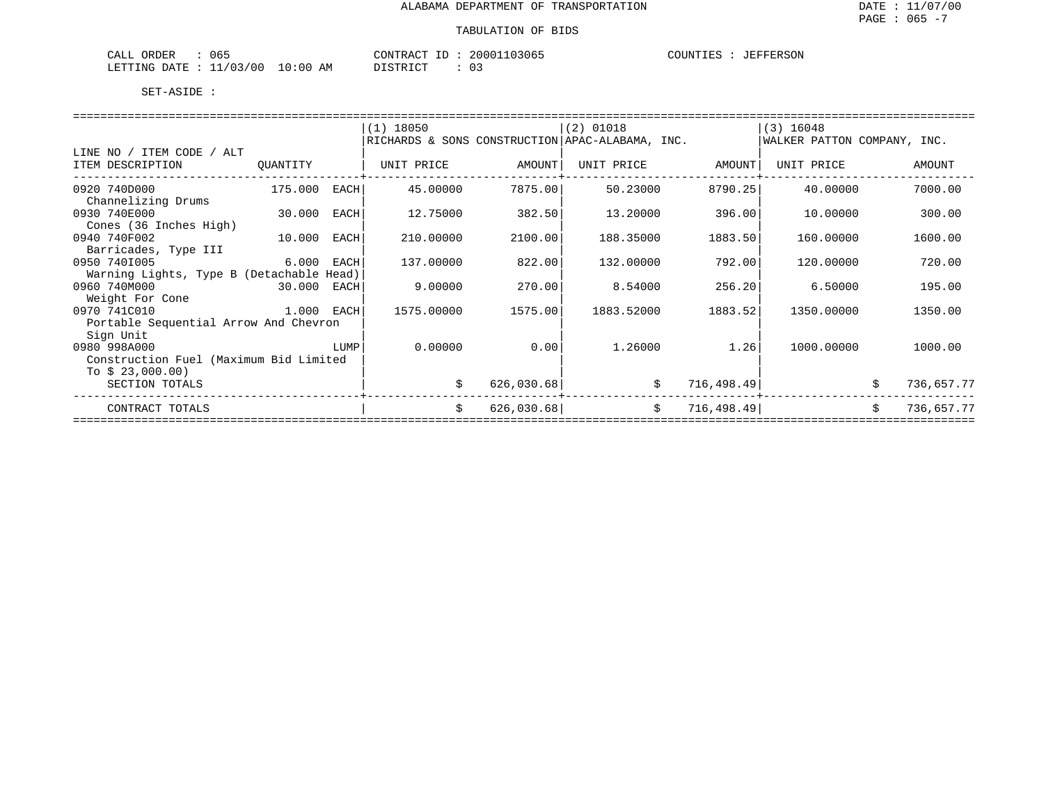| 065<br>ORDER<br>CALL          |             | 20001103065<br>CONTRACT<br>ID        | COUNTIES<br>JEFFERSON |
|-------------------------------|-------------|--------------------------------------|-----------------------|
| : 11/03/00<br>LETTING<br>DATE | 10:00<br>AM | חימת דאידי את<br>∩ −<br>. U<br>----- |                       |

|                                          |              |             | $(1)$ 18050                                     |            | $(2)$ 01018 |             | $(3)$ 16048                 |    |            |  |
|------------------------------------------|--------------|-------------|-------------------------------------------------|------------|-------------|-------------|-----------------------------|----|------------|--|
|                                          |              |             | RICHARDS & SONS CONSTRUCTION APAC-ALABAMA, INC. |            |             |             | WALKER PATTON COMPANY, INC. |    |            |  |
| LINE NO / ITEM CODE / ALT                |              |             |                                                 |            |             |             |                             |    |            |  |
| ITEM DESCRIPTION                         | QUANTITY     |             | UNIT PRICE                                      | AMOUNT     | UNIT PRICE  | AMOUNT      | UNIT PRICE                  |    | AMOUNT     |  |
|                                          |              |             |                                                 |            |             |             |                             |    |            |  |
| 0920 740D000                             | 175.000      | <b>EACH</b> | 45.00000                                        | 7875.00    | 50.23000    | 8790.25     | 40.00000                    |    | 7000.00    |  |
| Channelizing Drums                       |              |             |                                                 |            |             |             |                             |    |            |  |
| 0930 740E000                             | 30.000       | EACH        | 12.75000                                        | 382.50     | 13.20000    | 396.00      | 10.00000                    |    | 300.00     |  |
| Cones (36 Inches High)                   |              |             |                                                 |            |             |             |                             |    |            |  |
| 0940 740F002                             | 10.000       | EACH        | 210.00000                                       | 2100.00    | 188.35000   | 1883.50     | 160,00000                   |    | 1600.00    |  |
| Barricades, Type III                     |              |             |                                                 |            |             |             |                             |    |            |  |
| 0950 7401005                             | 6.000        | EACH        | 137.00000                                       | 822.00     | 132.00000   | 792.00      | 120,00000                   |    | 720.00     |  |
| Warning Lights, Type B (Detachable Head) |              |             |                                                 |            |             |             |                             |    |            |  |
| 0960 740M000                             | 30.000       | EACH        | 9.00000                                         | 270.00     | 8.54000     | 256.20      | 6.50000                     |    | 195.00     |  |
| Weight For Cone                          |              |             |                                                 |            |             |             |                             |    |            |  |
| 0970 741C010                             | $1.000$ EACH |             | 1575.00000                                      | 1575.00    | 1883.52000  | 1883.52     | 1350.00000                  |    | 1350.00    |  |
| Portable Sequential Arrow And Chevron    |              |             |                                                 |            |             |             |                             |    |            |  |
| Sign Unit                                |              |             |                                                 |            |             |             |                             |    |            |  |
| 0980 998A000                             |              | LUMP        | 0.00000                                         | 0.00       | 1,26000     | 1.26        | 1000.00000                  |    | 1000.00    |  |
| Construction Fuel (Maximum Bid Limited   |              |             |                                                 |            |             |             |                             |    |            |  |
| To $$23,000.00)$                         |              |             |                                                 |            |             |             |                             |    |            |  |
| SECTION TOTALS                           |              |             | \$                                              | 626,030.68 | \$          | 716,498.49  |                             | \$ | 736,657.77 |  |
| CONTRACT TOTALS                          |              |             | \$                                              | 626,030.68 | \$          | 716, 498.49 |                             | \$ | 736,657.77 |  |
|                                          |              |             |                                                 |            |             |             |                             |    |            |  |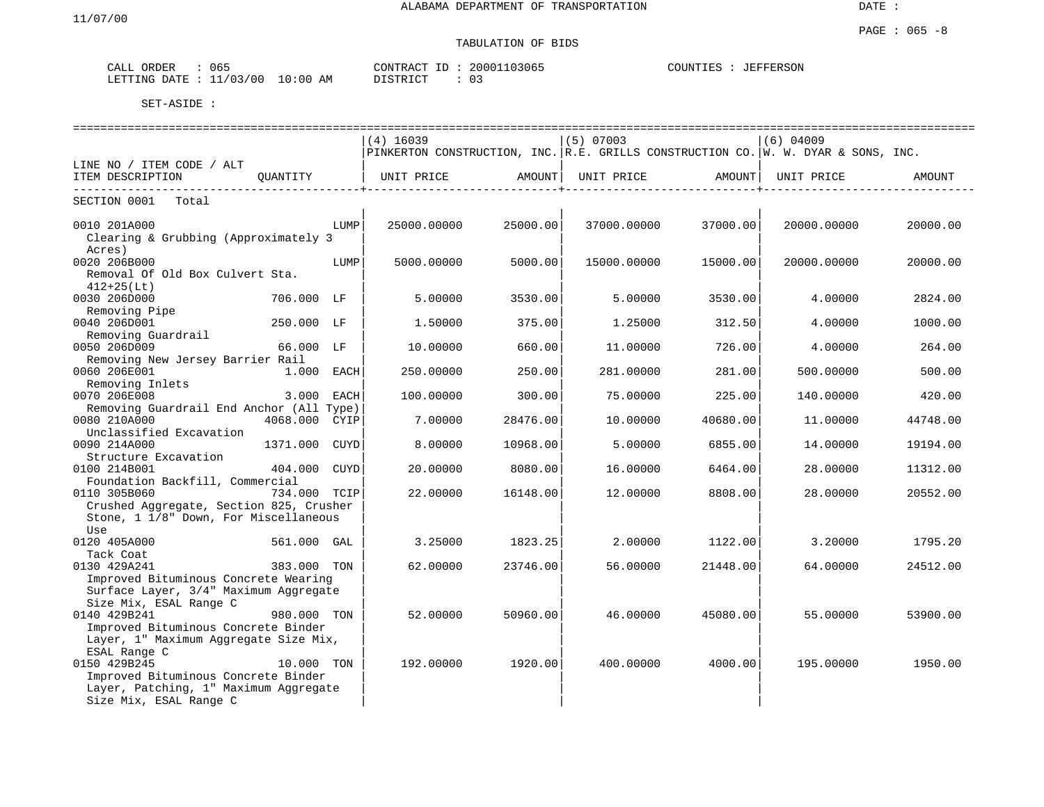| ORDER<br>CALL             | 065        | 20001103065<br>CONTRACT<br>. ID | COUNTIES<br>JEFFERSON |
|---------------------------|------------|---------------------------------|-----------------------|
| LETTING DATE : $11/03/00$ | $10:00$ AM | 03<br>DISTRICT                  |                       |

|                                                                              |               |      | ================================ |                              |             |                       |                                                                                                              |          |
|------------------------------------------------------------------------------|---------------|------|----------------------------------|------------------------------|-------------|-----------------------|--------------------------------------------------------------------------------------------------------------|----------|
|                                                                              |               |      | $(4)$ 16039                      |                              | $(5)$ 07003 |                       | $(6)$ 04009                                                                                                  |          |
|                                                                              |               |      |                                  |                              |             |                       | PINKERTON CONSTRUCTION, INC. R.E. GRILLS CONSTRUCTION CO. W. W. DYAR & SONS, INC.                            |          |
| LINE NO / ITEM CODE / ALT                                                    |               |      |                                  |                              |             |                       |                                                                                                              |          |
| ITEM DESCRIPTION                                                             | OUANTITY      |      |                                  |                              |             |                       | UNIT PRICE                AMOUNT    UNIT PRICE                AMOUNT    UNIT PRICE                    AMOUNT |          |
|                                                                              |               |      |                                  | ------------------+--------- |             | -------------------+- |                                                                                                              |          |
| SECTION 0001 Total                                                           |               |      |                                  |                              |             |                       |                                                                                                              |          |
|                                                                              |               |      |                                  |                              |             |                       |                                                                                                              |          |
| 0010 201A000                                                                 |               | LUMP | 25000.00000                      | 25000.00                     | 37000.00000 | 37000.00              | 20000.00000                                                                                                  | 20000.00 |
| Clearing & Grubbing (Approximately 3                                         |               |      |                                  |                              |             |                       |                                                                                                              |          |
| Acres)                                                                       |               |      |                                  |                              |             |                       |                                                                                                              |          |
| 0020 206B000                                                                 |               | LUMP | 5000.00000                       | 5000.00                      | 15000.00000 | 15000.00              | 20000.00000                                                                                                  | 20000.00 |
| Removal Of Old Box Culvert Sta.                                              |               |      |                                  |                              |             |                       |                                                                                                              |          |
| $412+25(Lt)$                                                                 |               |      |                                  |                              |             |                       |                                                                                                              |          |
| 0030 206D000                                                                 | 706.000 LF    |      | 5.00000                          | 3530.00                      | 5.00000     | 3530.00               | 4.00000                                                                                                      | 2824.00  |
| Removing Pipe                                                                |               |      |                                  |                              |             |                       |                                                                                                              |          |
| 0040 206D001                                                                 | 250.000 LF    |      | 1,50000                          | 375.00                       | 1,25000     | 312.50                | 4.00000                                                                                                      | 1000.00  |
| Removing Guardrail                                                           |               |      |                                  |                              |             |                       |                                                                                                              |          |
| 0050 206D009                                                                 | 66.000 LF     |      | 10.00000                         | 660.00                       | 11,00000    | 726.00                | 4.00000                                                                                                      | 264.00   |
| Removing New Jersey Barrier Rail                                             |               |      |                                  |                              |             |                       |                                                                                                              |          |
| 0060 206E001                                                                 | 1.000 EACH    |      | 250.00000                        | 250.00                       | 281,00000   | 281.00                | 500.00000                                                                                                    | 500.00   |
| Removing Inlets                                                              |               |      |                                  |                              |             |                       |                                                                                                              |          |
| 0070 206E008                                                                 | 3.000 EACH    |      | 100.00000                        | 300.00                       | 75.00000    | 225.00                | 140.00000                                                                                                    | 420.00   |
| Removing Guardrail End Anchor (All Type)                                     |               |      |                                  |                              |             |                       |                                                                                                              |          |
| 0080 210A000                                                                 | 4068.000 CYIP |      | 7.00000                          | 28476.00                     | 10.00000    | 40680.00              | 11,00000                                                                                                     | 44748.00 |
| Unclassified Excavation                                                      |               |      |                                  |                              |             |                       |                                                                                                              |          |
| 0090 214A000                                                                 | 1371.000 CUYD |      | 8,00000                          | 10968.00                     | 5.00000     | 6855.00               | 14,00000                                                                                                     | 19194.00 |
| Structure Excavation                                                         |               |      |                                  |                              |             |                       |                                                                                                              |          |
| 0100 214B001                                                                 | 404.000 CUYD  |      | 20.00000                         | 8080.00                      | 16.00000    | 6464.00               | 28.00000                                                                                                     | 11312.00 |
| Foundation Backfill, Commercial                                              |               |      |                                  |                              |             |                       |                                                                                                              |          |
| 0110 305B060                                                                 | 734.000 TCIP  |      | 22,00000                         | 16148.00                     | 12,00000    | 8808.00               | 28,00000                                                                                                     | 20552.00 |
| Crushed Aggregate, Section 825, Crusher                                      |               |      |                                  |                              |             |                       |                                                                                                              |          |
| Stone, 1 1/8" Down, For Miscellaneous                                        |               |      |                                  |                              |             |                       |                                                                                                              |          |
| Use                                                                          |               |      |                                  |                              |             |                       |                                                                                                              |          |
| 0120 405A000                                                                 | 561.000 GAL   |      | 3.25000                          | 1823.25                      | 2,00000     | 1122.00               | 3.20000                                                                                                      | 1795.20  |
| Tack Coat                                                                    |               |      |                                  |                              |             |                       |                                                                                                              |          |
| 0130 429A241                                                                 | 383.000 TON   |      | 62.00000                         | 23746.00                     | 56.00000    | 21448.00              | 64.00000                                                                                                     | 24512.00 |
| Improved Bituminous Concrete Wearing                                         |               |      |                                  |                              |             |                       |                                                                                                              |          |
| Surface Layer, 3/4" Maximum Aggregate                                        |               |      |                                  |                              |             |                       |                                                                                                              |          |
| Size Mix, ESAL Range C                                                       |               |      |                                  |                              |             |                       |                                                                                                              |          |
| 0140 429B241                                                                 | 980.000 TON   |      | 52.00000                         | 50960.00                     | 46.00000    | 45080.00              | 55.00000                                                                                                     | 53900.00 |
|                                                                              |               |      |                                  |                              |             |                       |                                                                                                              |          |
| Improved Bituminous Concrete Binder<br>Layer, 1" Maximum Aggregate Size Mix, |               |      |                                  |                              |             |                       |                                                                                                              |          |
|                                                                              |               |      |                                  |                              |             |                       |                                                                                                              |          |
| ESAL Range C<br>0150 429B245                                                 |               |      |                                  |                              |             |                       |                                                                                                              |          |
| Improved Bituminous Concrete Binder                                          | 10.000 TON    |      | 192.00000                        | 1920.00                      | 400.00000   | 4000.00               | 195.00000                                                                                                    | 1950.00  |
|                                                                              |               |      |                                  |                              |             |                       |                                                                                                              |          |
| Layer, Patching, 1" Maximum Aggregate                                        |               |      |                                  |                              |             |                       |                                                                                                              |          |
| Size Mix, ESAL Range C                                                       |               |      |                                  |                              |             |                       |                                                                                                              |          |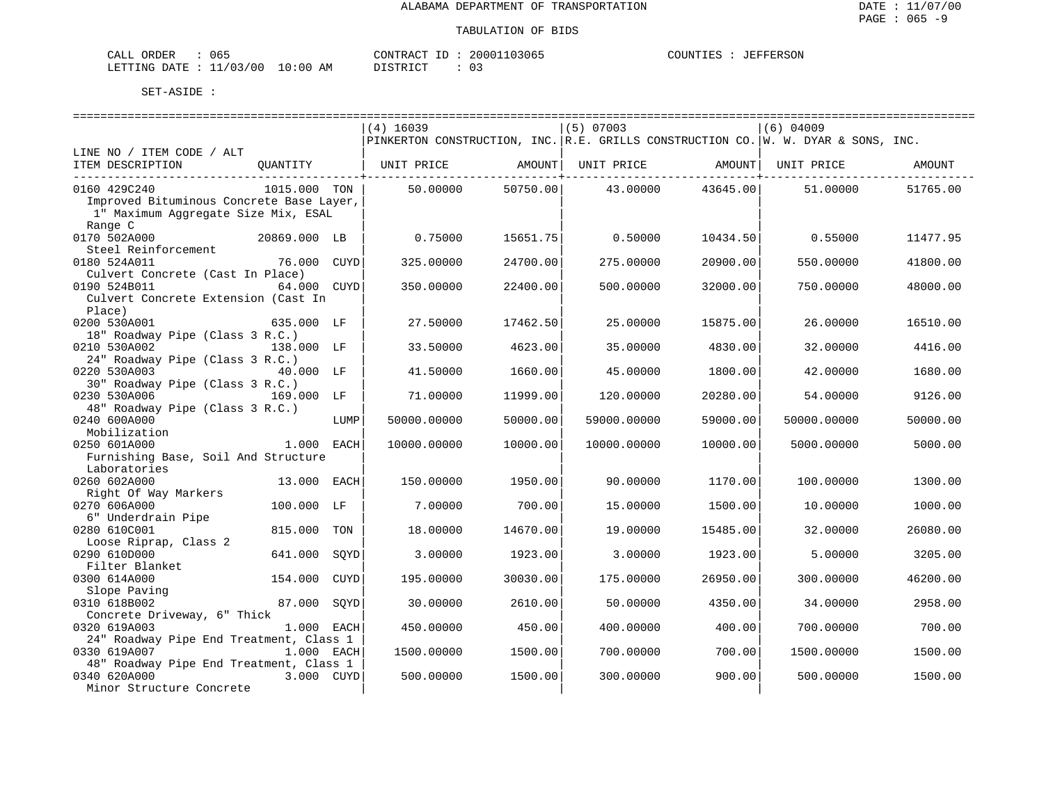**JEFFERSON** 

| CALL ORDER                       | ან 5 | CONTRACT ID | 20001103065 | COUNTIES | JEFFERSON |
|----------------------------------|------|-------------|-------------|----------|-----------|
| LETTING DATE : 11/03/00 10:00 AM |      | DISTRICT    |             |          |           |

|                                          |              |             | $(4)$ 16039 |          | $(5)$ 07003 |                     | $(6)$ 04009                                                                       |          |
|------------------------------------------|--------------|-------------|-------------|----------|-------------|---------------------|-----------------------------------------------------------------------------------|----------|
|                                          |              |             |             |          |             |                     | PINKERTON CONSTRUCTION, INC. R.E. GRILLS CONSTRUCTION CO. W. W. DYAR & SONS, INC. |          |
| LINE NO / ITEM CODE / ALT                |              |             |             |          |             |                     |                                                                                   |          |
| ITEM DESCRIPTION                         | OUANTITY     |             | UNIT PRICE  | AMOUNT   | UNIT PRICE  |                     | AMOUNT   UNIT PRICE                                                               | AMOUNT   |
| --------------------------------         |              |             |             |          |             | -------------+----- |                                                                                   |          |
| 0160 429C240                             | 1015.000 TON |             | 50.00000    | 50750.00 | 43.00000    | 43645.00            | 51.00000                                                                          | 51765.00 |
| Improved Bituminous Concrete Base Layer, |              |             |             |          |             |                     |                                                                                   |          |
| 1" Maximum Aggregate Size Mix, ESAL      |              |             |             |          |             |                     |                                                                                   |          |
| Range C                                  |              |             |             |          |             |                     |                                                                                   |          |
| 0170 502A000                             | 20869.000 LB |             | 0.75000     | 15651.75 | 0.50000     | 10434.50            | 0.55000                                                                           | 11477.95 |
| Steel Reinforcement                      |              |             |             |          |             |                     |                                                                                   |          |
| 0180 524A011                             | 76.000       | CUYD        | 325.00000   | 24700.00 | 275.00000   | 20900.00            | 550.00000                                                                         | 41800.00 |
| Culvert Concrete (Cast In Place)         |              |             |             |          |             |                     |                                                                                   |          |
| 0190 524B011                             | 64.000 CUYD  |             | 350.00000   | 22400.00 | 500.00000   | 32000.00            | 750.00000                                                                         | 48000.00 |
| Culvert Concrete Extension (Cast In      |              |             |             |          |             |                     |                                                                                   |          |
| Place)                                   |              |             |             |          |             |                     |                                                                                   |          |
| 0200 530A001                             | 635.000 LF   |             | 27.50000    | 17462.50 | 25.00000    | 15875.00            | 26.00000                                                                          | 16510.00 |
| 18" Roadway Pipe (Class 3 R.C.)          |              |             |             |          |             |                     |                                                                                   |          |
| 0210 530A002                             | 138.000 LF   |             | 33.50000    | 4623.00  | 35.00000    | 4830.00             | 32.00000                                                                          | 4416.00  |
| 24" Roadway Pipe (Class 3 R.C.)          |              |             |             |          |             |                     |                                                                                   |          |
| 0220 530A003                             | 40.000 LF    |             | 41.50000    | 1660.00  | 45.00000    | 1800.00             | 42.00000                                                                          | 1680.00  |
| 30" Roadway Pipe (Class 3 R.C.)          |              |             |             |          |             |                     |                                                                                   |          |
| 0230 530A006                             | 169.000 LF   |             | 71.00000    | 11999.00 | 120.00000   | 20280.00            | 54.00000                                                                          | 9126.00  |
| 48" Roadway Pipe (Class 3 R.C.)          |              |             |             |          |             |                     |                                                                                   |          |
| 0240 600A000                             |              | LUMP        | 50000.00000 | 50000.00 | 59000.00000 | 59000.00            | 50000.00000                                                                       | 50000.00 |
| Mobilization                             |              |             |             |          |             |                     |                                                                                   |          |
| 0250 601A000                             | 1.000 EACH   |             | 10000.00000 | 10000.00 | 10000.00000 | 10000.00            | 5000.00000                                                                        | 5000.00  |
| Furnishing Base, Soil And Structure      |              |             |             |          |             |                     |                                                                                   |          |
| Laboratories                             |              |             |             |          |             |                     |                                                                                   |          |
| 0260 602A000                             | 13.000       | EACH        | 150.00000   | 1950.00  | 90.00000    | 1170.00             | 100.00000                                                                         | 1300.00  |
| Right Of Way Markers                     |              |             |             |          |             |                     |                                                                                   |          |
| 0270 606A000                             | 100.000 LF   |             | 7.00000     | 700.00   | 15.00000    | 1500.00             | 10.00000                                                                          | 1000.00  |
| 6" Underdrain Pipe                       |              |             |             |          |             |                     |                                                                                   |          |
| 0280 610C001                             | 815.000      | TON         | 18.00000    | 14670.00 | 19.00000    | 15485.00            | 32.00000                                                                          | 26080.00 |
| Loose Riprap, Class 2                    |              |             |             |          |             |                     |                                                                                   |          |
| 0290 610D000                             | 641.000      | SOYD        | 3.00000     | 1923.00  | 3.00000     | 1923.00             | 5.00000                                                                           | 3205.00  |
| Filter Blanket                           |              |             |             |          |             |                     |                                                                                   |          |
| 0300 614A000                             | 154.000      | <b>CUYD</b> | 195.00000   | 30030.00 | 175.00000   | 26950.00            | 300.00000                                                                         | 46200.00 |
| Slope Paving                             |              |             |             |          |             |                     |                                                                                   |          |
| 0310 618B002                             | 87.000       | SOYD        | 30.00000    | 2610.00  | 50.00000    | 4350.00             | 34.00000                                                                          | 2958.00  |
| Concrete Driveway, 6" Thick              |              |             |             |          |             |                     |                                                                                   |          |
| 0320 619A003                             | 1.000 EACH   |             | 450.00000   | 450.00   | 400.00000   | 400.00              | 700.00000                                                                         | 700.00   |
| 24" Roadway Pipe End Treatment, Class 1  |              |             |             |          |             |                     |                                                                                   |          |
| 0330 619A007                             | 1.000 EACH   |             | 1500.00000  | 1500.00  | 700.00000   | 700.00              | 1500.00000                                                                        | 1500.00  |
| 48" Roadway Pipe End Treatment, Class 1  |              |             |             |          |             |                     |                                                                                   |          |
| 0340 620A000                             | 3.000 CUYD   |             | 500.00000   | 1500.00  | 300.00000   | 900.00              | 500.00000                                                                         | 1500.00  |
| Minor Structure Concrete                 |              |             |             |          |             |                     |                                                                                   |          |
|                                          |              |             |             |          |             |                     |                                                                                   |          |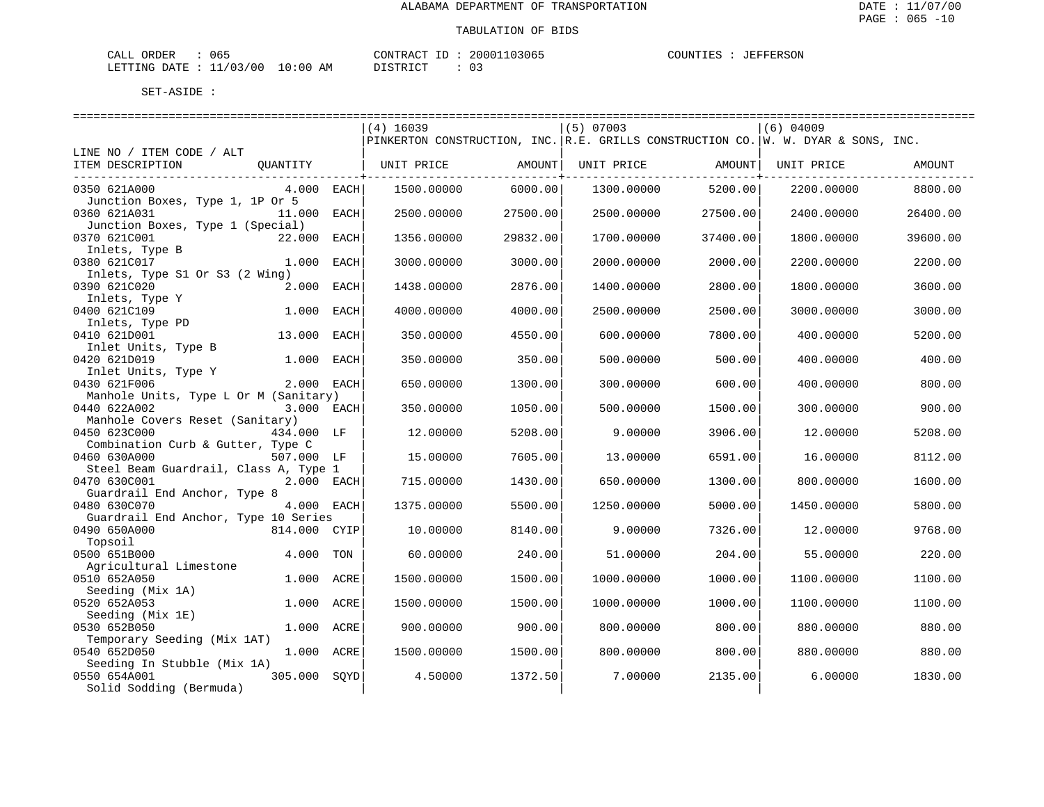| CALL ORDER                       | 065 |  | CONTRACT ID: | 20001103065 | COUNTIES | JEFFERSON |
|----------------------------------|-----|--|--------------|-------------|----------|-----------|
| LETTING DATE : 11/03/00 10:00 AM |     |  | DISTRICT     |             |          |           |

|                                       |              |      | $(4)$ 16039                                                                       |          | $(5)$ 07003       |          | $(6)$ 04009 |          |
|---------------------------------------|--------------|------|-----------------------------------------------------------------------------------|----------|-------------------|----------|-------------|----------|
|                                       |              |      | PINKERTON CONSTRUCTION, INC. R.E. GRILLS CONSTRUCTION CO. W. W. DYAR & SONS, INC. |          |                   |          |             |          |
| LINE NO / ITEM CODE / ALT             |              |      |                                                                                   |          |                   |          |             |          |
| ITEM DESCRIPTION                      | QUANTITY     |      | UNIT PRICE AMOUNT                                                                 |          | UNIT PRICE AMOUNT |          | UNIT PRICE  | AMOUNT   |
|                                       |              |      |                                                                                   |          |                   |          |             |          |
| 0350 621A000                          | 4.000 EACH   |      | 1500.00000                                                                        | 6000.00  | 1300.00000        | 5200.00  | 2200.00000  | 8800.00  |
| Junction Boxes, Type 1, 1P Or 5       |              |      |                                                                                   |          |                   |          |             |          |
| 0360 621A031                          | 11.000 EACH  |      | 2500.00000                                                                        | 27500.00 | 2500.00000        | 27500.00 | 2400.00000  | 26400.00 |
| Junction Boxes, Type 1 (Special)      |              |      |                                                                                   |          |                   |          |             |          |
| 0370 621C001<br>22.000                |              | EACH | 1356.00000                                                                        | 29832.00 | 1700.00000        | 37400.00 | 1800.00000  | 39600.00 |
| Inlets, Type B                        |              |      |                                                                                   |          |                   |          |             |          |
| 0380 621C017                          | 1.000 EACH   |      | 3000.00000                                                                        | 3000.00  | 2000.00000        | 2000.00  | 2200.00000  | 2200.00  |
| Inlets, Type S1 Or S3 (2 Wing)        |              |      |                                                                                   |          |                   |          |             |          |
| 0390 621C020                          | 2.000 EACH   |      | 1438.00000                                                                        | 2876.00  | 1400.00000        | 2800.00  | 1800.00000  | 3600.00  |
| Inlets, Type Y                        |              |      |                                                                                   |          |                   |          |             |          |
| 0400 621C109                          | 1.000        | EACH | 4000.00000                                                                        | 4000.00  | 2500.00000        | 2500.00  | 3000.00000  | 3000.00  |
| Inlets, Type PD                       |              |      |                                                                                   |          |                   |          |             |          |
| 0410 621D001                          | 13.000       | EACH | 350.00000                                                                         | 4550.00  | 600.00000         | 7800.00  | 400.00000   | 5200.00  |
| Inlet Units, Type B                   |              |      |                                                                                   |          |                   |          |             |          |
| 0420 621D019                          | 1.000        | EACH | 350.00000                                                                         | 350.00   | 500.00000         | 500.00   | 400.00000   | 400.00   |
| Inlet Units, Type Y                   |              |      |                                                                                   |          |                   |          |             |          |
| 0430 621F006                          | 2.000 EACH   |      | 650.00000                                                                         | 1300.00  | 300.00000         | 600.00   | 400.00000   | 800.00   |
| Manhole Units, Type L Or M (Sanitary) |              |      |                                                                                   |          |                   |          |             |          |
| 0440 622A002                          | 3.000 EACH   |      | 350.00000                                                                         | 1050.00  | 500.00000         | 1500.00  | 300.00000   | 900.00   |
| Manhole Covers Reset (Sanitary)       |              |      |                                                                                   |          |                   |          |             |          |
| 0450 623C000                          | 434.000 LF   |      | 12.00000                                                                          | 5208.00  | 9,00000           | 3906.00  | 12,00000    | 5208.00  |
| Combination Curb & Gutter, Type C     |              |      |                                                                                   |          |                   |          |             |          |
| 0460 630A000                          | 507.000 LF   |      | 15.00000                                                                          | 7605.00  | 13.00000          | 6591.00  | 16.00000    | 8112.00  |
| Steel Beam Guardrail, Class A, Type 1 |              |      |                                                                                   |          |                   |          |             |          |
| 0470 630C001                          | 2.000 EACH   |      | 715.00000                                                                         | 1430.00  | 650.00000         | 1300.00  | 800.00000   | 1600.00  |
| Guardrail End Anchor, Type 8          |              |      |                                                                                   |          |                   |          |             |          |
| 0480 630C070                          | 4.000 EACH   |      | 1375.00000                                                                        | 5500.00  | 1250.00000        | 5000.00  | 1450.00000  | 5800.00  |
| Guardrail End Anchor, Type 10 Series  |              |      |                                                                                   |          |                   |          |             |          |
| 0490 650A000<br>814.000 CYIP          |              |      | 10.00000                                                                          | 8140.00  | 9,00000           | 7326.00  | 12.00000    | 9768.00  |
| Topsoil                               |              |      |                                                                                   |          |                   |          |             |          |
| 0500 651B000                          | 4.000        | TON  | 60.00000                                                                          | 240.00   | 51.00000          | 204.00   | 55.00000    | 220.00   |
| Agricultural Limestone                |              |      |                                                                                   |          |                   |          |             |          |
| 0510 652A050                          | 1,000        | ACRE | 1500.00000                                                                        | 1500.00  | 1000.00000        | 1000.00  | 1100.00000  | 1100.00  |
| Seeding (Mix 1A)                      |              |      |                                                                                   |          |                   |          |             |          |
| 0520 652A053                          | 1.000 ACRE   |      | 1500.00000                                                                        | 1500.00  | 1000.00000        | 1000.00  | 1100.00000  | 1100.00  |
| Seeding (Mix 1E)                      |              |      |                                                                                   |          |                   |          |             |          |
| 0530 652B050                          | 1.000 ACRE   |      | 900.00000                                                                         | 900.00   | 800.00000         | 800.00   | 880.00000   | 880.00   |
| Temporary Seeding (Mix 1AT)           |              |      |                                                                                   |          |                   |          |             |          |
| 0540 652D050                          | 1.000 ACRE   |      | 1500.00000                                                                        | 1500.00  | 800.00000         | 800.00   | 880.00000   | 880.00   |
| Seeding In Stubble (Mix 1A)           |              |      |                                                                                   |          |                   |          |             |          |
| 0550 654A001                          | 305.000 SOYD |      | 4.50000                                                                           | 1372.50  | 7.00000           | 2135.00  | 6.00000     | 1830.00  |
| Solid Sodding (Bermuda)               |              |      |                                                                                   |          |                   |          |             |          |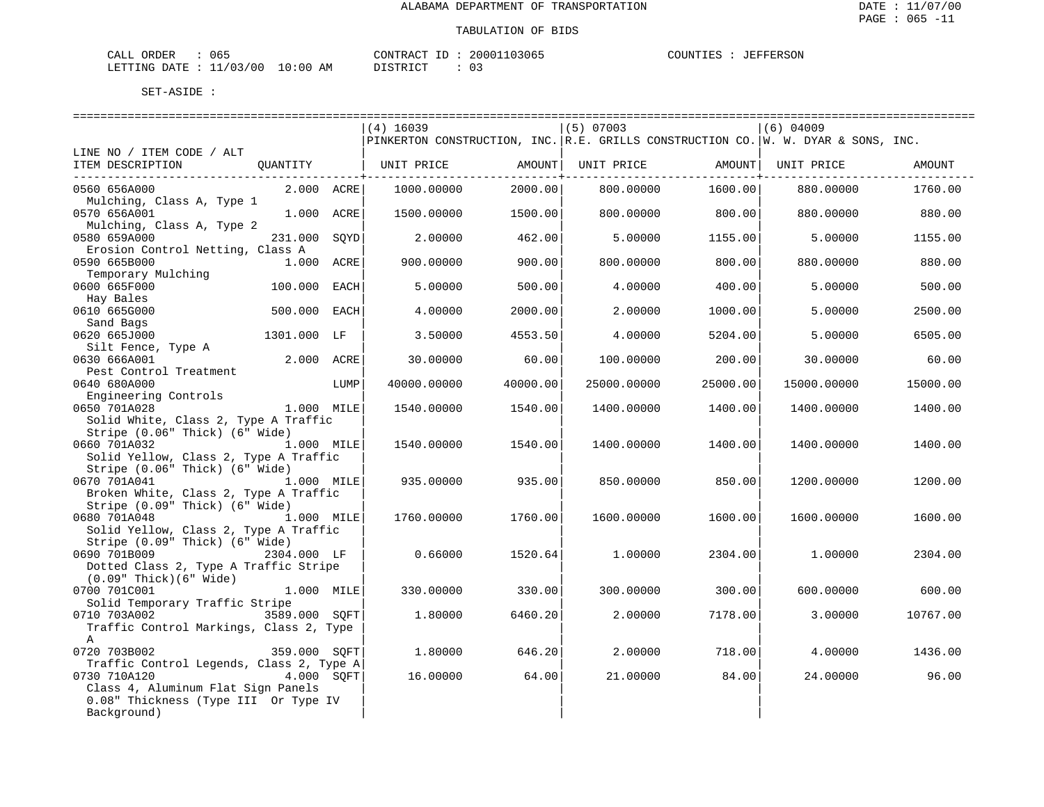| $\sim$ $ -$<br>لىلە: | <b>CRDER</b>   | --<br>ひもち |             | סידיזו∩י<br>$\sim$ $\lambda$ $\sim$ $\mu$                                                                                             | ו חי            | 1 I M |
|----------------------|----------------|-----------|-------------|---------------------------------------------------------------------------------------------------------------------------------------|-----------------|-------|
| LETT <sup>-</sup>    | TMG<br>חיד בר. | ി 0<br>ำว | . O C<br>AМ | $\sim$<br>חידים דו<br>the contract of the contract of the contract of the contract of the contract of the contract of the contract of | -<br>◡ –<br>___ |       |

|                                                                 |                |      | $(4)$ 16039 |          | $(5)$ 07003 |                      | $(6)$ 04009                                                                       |          |
|-----------------------------------------------------------------|----------------|------|-------------|----------|-------------|----------------------|-----------------------------------------------------------------------------------|----------|
|                                                                 |                |      |             |          |             |                      | PINKERTON CONSTRUCTION, INC. R.E. GRILLS CONSTRUCTION CO. W. W. DYAR & SONS, INC. |          |
| LINE NO / ITEM CODE / ALT                                       |                |      |             |          |             |                      |                                                                                   |          |
| ITEM DESCRIPTION QUANTITY                                       |                |      |             |          |             |                      |                                                                                   | AMOUNT   |
|                                                                 |                |      |             |          |             | ------------------+- |                                                                                   |          |
| 0560 656A000                                                    | $2.000$ $ACRE$ |      | 1000.00000  | 2000.00  | 800,00000   | 1600.00              | 880,00000                                                                         | 1760.00  |
| Mulching, Class A, Type 1                                       |                |      |             |          |             |                      |                                                                                   |          |
| 0570 656A001                                                    | 1.000 ACRE     |      | 1500.00000  | 1500.00  | 800.00000   | 800.00               | 880.00000                                                                         | 880.00   |
| Mulching, Class A, Type 2                                       |                |      |             |          |             |                      |                                                                                   |          |
| 0580 659A000                                                    | 231.000        | SQYD | 2,00000     | 462.00   | 5.00000     | 1155.00              | 5.00000                                                                           | 1155.00  |
| Erosion Control Netting, Class A                                |                |      |             |          |             |                      |                                                                                   |          |
| 0590 665B000                                                    | 1.000 ACRE     |      | 900.00000   | 900.00   | 800,00000   | 800.00               | 880.00000                                                                         | 880.00   |
| Temporary Mulching                                              |                |      |             |          |             |                      |                                                                                   |          |
| 0600 665F000                                                    | 100.000        | EACH | 5.00000     | 500.00   | 4.00000     | 400.00               | 5.00000                                                                           | 500.00   |
| Hay Bales                                                       |                |      |             |          |             |                      |                                                                                   |          |
| 0610 665G000                                                    | 500.000 EACH   |      | 4,00000     | 2000.00  | 2.00000     | 1000.00              | 5,00000                                                                           | 2500.00  |
| Sand Bags                                                       |                |      |             |          |             |                      |                                                                                   |          |
| 0620 665J000                                                    | 1301.000 LF    |      | 3.50000     | 4553.50  | 4.00000     | 5204.00              | 5.00000                                                                           | 6505.00  |
| Silt Fence, Type A                                              |                |      |             |          |             |                      |                                                                                   |          |
| 0630 666A001                                                    | 2.000 ACRE     |      | 30.00000    | 60.00    | 100.00000   | 200.00               | 30.00000                                                                          | 60.00    |
| Pest Control Treatment                                          |                |      |             |          |             |                      |                                                                                   |          |
| 0640 680A000                                                    |                | LUMP | 40000.00000 | 40000.00 | 25000.00000 | 25000.00             | 15000.00000                                                                       | 15000.00 |
| Engineering Controls<br>1.000 MILE<br>1.000 MILE                |                |      |             |          |             |                      |                                                                                   |          |
| 0650 701A028                                                    |                |      | 1540.00000  | 1540.00  | 1400.00000  | 1400.00              | 1400.00000                                                                        | 1400.00  |
| Solid White, Class 2, Type A Traffic                            |                |      |             |          |             |                      |                                                                                   |          |
| Stripe (0.06" Thick) (6" Wide)                                  |                |      |             |          |             |                      |                                                                                   |          |
| 0660 701A032                                                    | 1.000 MILE     |      | 1540.00000  | 1540.00  | 1400.00000  | 1400.00              | 1400.00000                                                                        | 1400.00  |
| Solid Yellow, Class 2, Type A Traffic                           |                |      |             |          |             |                      |                                                                                   |          |
| Stripe (0.06" Thick) (6" Wide)                                  |                |      |             |          |             |                      |                                                                                   |          |
| 0670 701A041                                                    | 1.000 MILE     |      | 935.00000   | 935.00   | 850.00000   | 850.00               | 1200.00000                                                                        | 1200.00  |
| Broken White, Class 2, Type A Traffic                           |                |      |             |          |             |                      |                                                                                   |          |
| Stripe (0.09" Thick) (6" Wide)                                  |                |      |             |          |             |                      |                                                                                   |          |
| 0680 701A048                                                    | 1.000 MILE     |      | 1760.00000  | 1760.00  | 1600.00000  | 1600.00              | 1600.00000                                                                        | 1600.00  |
| Solid Yellow, Class 2, Type A Traffic                           |                |      |             |          |             |                      |                                                                                   |          |
| Stripe (0.09" Thick) (6" Wide)                                  |                |      |             |          |             |                      |                                                                                   |          |
| 0690 701B009                                                    | 2304.000 LF    |      | 0.66000     | 1520.64  | 1,00000     | 2304.00              | 1,00000                                                                           | 2304.00  |
| Dotted Class 2, Type A Traffic Stripe<br>(0.09" Thick)(6" Wide) |                |      |             |          |             |                      |                                                                                   |          |
| 0700 701C001                                                    | 1.000 MILE     |      | 330.00000   | 330.00   | 300,00000   | 300.00               | 600.00000                                                                         | 600.00   |
| Solid Temporary Traffic Stripe                                  |                |      |             |          |             |                      |                                                                                   |          |
| 0710 703A002 3589.000 SOFT                                      |                |      | 1,80000     | 6460.20  | 2.00000     | 7178.00              | 3.00000                                                                           | 10767.00 |
| Traffic Control Markings, Class 2, Type                         |                |      |             |          |             |                      |                                                                                   |          |
| $\mathbf{A}$                                                    |                |      |             |          |             |                      |                                                                                   |          |
| 0720 703B002                                                    | 359.000 SQFT   |      | 1,80000     | 646.20   | 2,00000     | 718.00               | 4.00000                                                                           | 1436.00  |
| Traffic Control Legends, Class 2, Type A                        |                |      |             |          |             |                      |                                                                                   |          |
| 0730 710A120                                                    | 4.000 SOFT     |      | 16.00000    | 64.00    | 21.00000    | 84.00                | 24.00000                                                                          | 96.00    |
| Class 4, Aluminum Flat Sign Panels                              |                |      |             |          |             |                      |                                                                                   |          |
| 0.08" Thickness (Type III Or Type IV                            |                |      |             |          |             |                      |                                                                                   |          |
| Background)                                                     |                |      |             |          |             |                      |                                                                                   |          |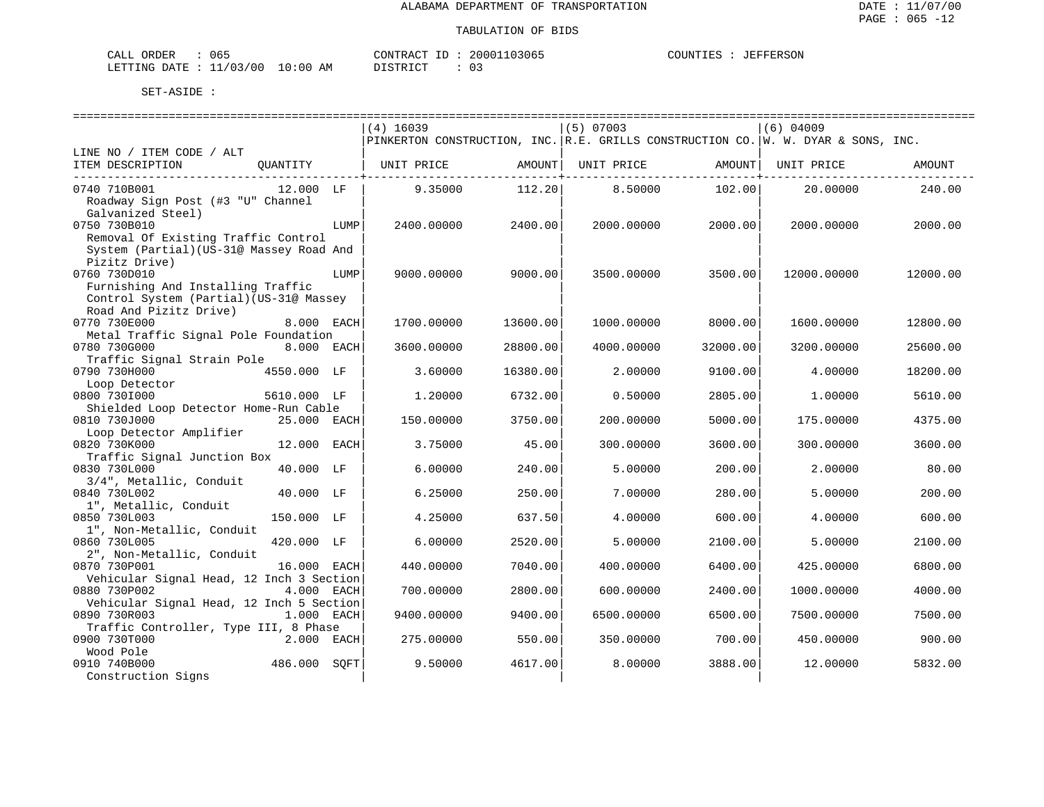| $\sim$ $\sim$ $\sim$<br>ORDER<br>CALI<br>U65 |                            | חים אחדוגוסי           | 103065<br>20001 | ANTINTI ES<br>FFERSON<br>- F.O |
|----------------------------------------------|----------------------------|------------------------|-----------------|--------------------------------|
| LETTING<br>DATE.                             | /00<br>103/<br>AM<br>10:00 | יחומים להיחים דרי<br>. | ັ               |                                |

|                                                                        | $(4)$ 16039        |          | $(5)$ 07003 |          | $(6)$ 04009                                                                       |          |
|------------------------------------------------------------------------|--------------------|----------|-------------|----------|-----------------------------------------------------------------------------------|----------|
|                                                                        |                    |          |             |          | PINKERTON CONSTRUCTION, INC. R.E. GRILLS CONSTRUCTION CO. W. W. DYAR & SONS, INC. |          |
| LINE NO / ITEM CODE / ALT                                              |                    |          |             |          |                                                                                   |          |
| ITEM DESCRIPTION<br>QUANTITY                                           | UNIT PRICE         | AMOUNT   | UNIT PRICE  | AMOUNT   | UNIT PRICE                                                                        | AMOUNT   |
| 0740 710B001<br>12.000 LF                                              | 9.35000            | 112.20   | 8.50000     | 102.00   | 20,00000                                                                          | 240.00   |
| Roadway Sign Post (#3 "U" Channel                                      |                    |          |             |          |                                                                                   |          |
| Galvanized Steel)                                                      |                    |          |             |          |                                                                                   |          |
| 0750 730B010                                                           | 2400.00000<br>LUMP | 2400.00  | 2000.00000  | 2000.00  | 2000.00000                                                                        | 2000.00  |
| Removal Of Existing Traffic Control                                    |                    |          |             |          |                                                                                   |          |
| System (Partial) (US-31@ Massey Road And                               |                    |          |             |          |                                                                                   |          |
| Pizitz Drive)                                                          |                    |          |             |          |                                                                                   |          |
| 0760 730D010                                                           | LUMP<br>9000.00000 | 9000.00  | 3500.00000  | 3500.00  | 12000.00000                                                                       | 12000.00 |
| Furnishing And Installing Traffic                                      |                    |          |             |          |                                                                                   |          |
| Control System (Partial) (US-31@ Massey                                |                    |          |             |          |                                                                                   |          |
| Road And Pizitz Drive)                                                 |                    |          |             |          |                                                                                   |          |
| 0770 730E000<br>8.000 EACH<br>Metal Traffic Signal Pole Foundation     | 1700.00000         | 13600.00 | 1000.00000  | 8000.00  | 1600.00000                                                                        | 12800.00 |
| 0780 730G000<br>8.000 EACH                                             | 3600.00000         | 28800.00 | 4000.00000  | 32000.00 | 3200.00000                                                                        | 25600.00 |
| Traffic Signal Strain Pole                                             |                    |          |             |          |                                                                                   |          |
| 0790 730H000<br>4550.000 LF                                            | 3.60000            | 16380.00 | 2.00000     | 9100.00  | 4.00000                                                                           | 18200.00 |
| Loop Detector                                                          |                    |          |             |          |                                                                                   |          |
| 0800 7301000<br>5610.000 LF                                            | 1,20000            | 6732.00  | 0.50000     | 2805.00  | 1.00000                                                                           | 5610.00  |
| Shielded Loop Detector Home-Run Cable                                  |                    |          |             |          |                                                                                   |          |
| 0810 730J000<br>25.000 EACH                                            | 150.00000          | 3750.00  | 200.00000   | 5000.00  | 175.00000                                                                         | 4375.00  |
| Loop Detector Amplifier                                                |                    |          |             |          |                                                                                   |          |
| 0820 730K000<br>12.000 EACH                                            | 3.75000            | 45.00    | 300.00000   | 3600.00  | 300.00000                                                                         | 3600.00  |
| Traffic Signal Junction Box                                            |                    |          |             |          |                                                                                   |          |
| 0830 730L000<br>40.000 LF<br>3/4", Metallic, Conduit                   | 6.00000            | 240.00   | 5.00000     | 200.00   | 2.00000                                                                           | 80.00    |
| 0840 730L002<br>40.000 LF                                              | 6.25000            | 250.00   | 7.00000     | 280.00   | 5.00000                                                                           | 200.00   |
| 1", Metallic, Conduit                                                  |                    |          |             |          |                                                                                   |          |
| 0850 730L003<br>150.000 LF                                             | 4.25000            | 637.50   | 4.00000     | 600.00   | 4.00000                                                                           | 600.00   |
| 1", Non-Metallic, Conduit                                              |                    |          |             |          |                                                                                   |          |
| 0860 730L005<br>420.000 LF                                             | 6.00000            | 2520.00  | 5.00000     | 2100.00  | 5.00000                                                                           | 2100.00  |
| 2", Non-Metallic, Conduit                                              |                    |          |             |          |                                                                                   |          |
| 16.000 EACH<br>0870 730P001                                            | 440.00000          | 7040.00  | 400.00000   | 6400.00  | 425.00000                                                                         | 6800.00  |
| Vehicular Signal Head, 12 Inch 3 Section                               |                    |          |             |          |                                                                                   |          |
| 0880 730P002<br>4.000 EACH                                             | 700.00000          | 2800.00  | 600.00000   | 2400.00  | 1000.00000                                                                        | 4000.00  |
| Vehicular Signal Head, 12 Inch 5 Section<br>0890 730R003<br>1.000 EACH |                    | 9400.00  |             | 6500.00  |                                                                                   |          |
| Traffic Controller, Type III, 8 Phase                                  | 9400.00000         |          | 6500.00000  |          | 7500.00000                                                                        | 7500.00  |
| 0900 730T000<br>2.000 EACH                                             | 275.00000          | 550.00   | 350.00000   | 700.00   | 450.00000                                                                         | 900.00   |
| Wood Pole                                                              |                    |          |             |          |                                                                                   |          |
| 0910 740B000<br>486.000                                                | SOFT<br>9.50000    | 4617.00  | 8,00000     | 3888.00  | 12,00000                                                                          | 5832.00  |
| Construction Signs                                                     |                    |          |             |          |                                                                                   |          |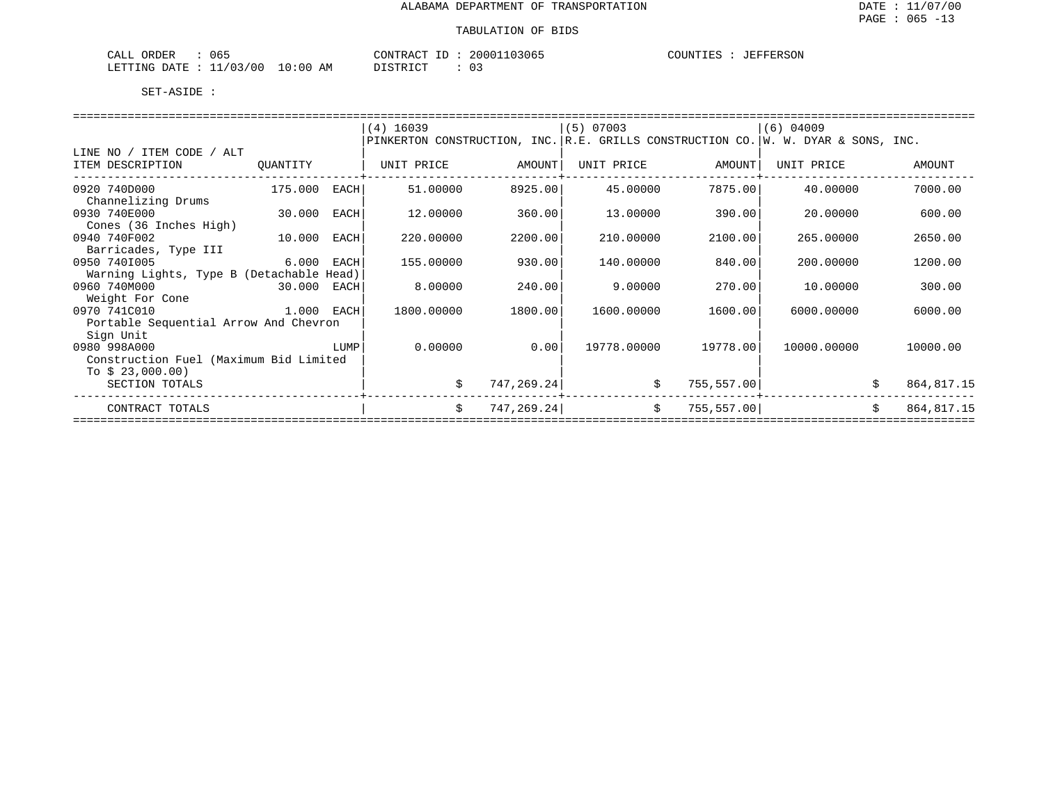| 065<br>ORDER<br>CALL                    | 20001103065<br>CONTRACT | COUNTIES<br>JEFFERSON |
|-----------------------------------------|-------------------------|-----------------------|
| 10:00<br>11/03/00<br>LETTING DATE<br>ΑM | חימים דת<br>U :<br>ີ    |                       |

|                                          |             |      | $(4)$ 16039                                                                       |             | $(5)$ 07003 |             | $(6)$ 04009 |                   |
|------------------------------------------|-------------|------|-----------------------------------------------------------------------------------|-------------|-------------|-------------|-------------|-------------------|
|                                          |             |      | PINKERTON CONSTRUCTION, INC. R.E. GRILLS CONSTRUCTION CO. W. W. DYAR & SONS, INC. |             |             |             |             |                   |
| LINE NO / ITEM CODE / ALT                |             |      |                                                                                   |             |             |             |             |                   |
| ITEM DESCRIPTION                         | QUANTITY    |      | UNIT PRICE                                                                        | AMOUNT      | UNIT PRICE  | AMOUNT      | UNIT PRICE  | AMOUNT            |
|                                          |             |      |                                                                                   |             |             |             |             |                   |
| 0920 740D000                             | 175.000     | EACH | 51,00000                                                                          | 8925.00     | 45.00000    | 7875.00     | 40.00000    | 7000.00           |
| Channelizing Drums                       |             |      |                                                                                   |             |             |             |             |                   |
| 0930 740E000                             | 30.000      | EACH | 12.00000                                                                          | 360.00      | 13.00000    | 390.00      | 20.00000    | 600.00            |
| Cones (36 Inches High)                   |             |      |                                                                                   |             |             |             |             |                   |
| 0940 740F002                             | 10.000      | EACH | 220.00000                                                                         | 2200.00     | 210.00000   | 2100.00     | 265.00000   | 2650.00           |
| Barricades, Type III                     |             |      |                                                                                   |             |             |             |             |                   |
| 0950 7401005                             | 6.000       | EACH | 155.00000                                                                         | 930.00      | 140.00000   | 840.00      | 200,00000   | 1200.00           |
| Warning Lights, Type B (Detachable Head) |             |      |                                                                                   |             |             |             |             |                   |
| 0960 740M000                             | 30.000 EACH |      | 8,00000                                                                           | 240.00      | 9.00000     | 270.00      | 10.00000    | 300.00            |
| Weight For Cone                          |             |      |                                                                                   |             |             |             |             |                   |
| 0970 741C010<br>1.000 EACH               |             |      | 1800.00000                                                                        | 1800.00     | 1600.00000  | 1600.00     | 6000,00000  | 6000.00           |
| Portable Sequential Arrow And Chevron    |             |      |                                                                                   |             |             |             |             |                   |
| Sign Unit                                |             |      |                                                                                   |             |             |             |             |                   |
| 0980 998A000                             |             | LUMP | 0.00000                                                                           | 0.00        | 19778.00000 | 19778.00    | 10000.00000 | 10000.00          |
| Construction Fuel (Maximum Bid Limited   |             |      |                                                                                   |             |             |             |             |                   |
| To $$23,000.00)$                         |             |      |                                                                                   |             |             |             |             |                   |
| SECTION TOTALS                           |             |      | \$                                                                                | 747, 269.24 | \$          | 755, 557.00 |             | 864,817.15        |
| CONTRACT TOTALS                          |             |      | \$                                                                                | 747, 269.24 | $\ddot{s}$  | 755, 557.00 |             | \$<br>864, 817.15 |
|                                          |             |      |                                                                                   |             |             |             |             |                   |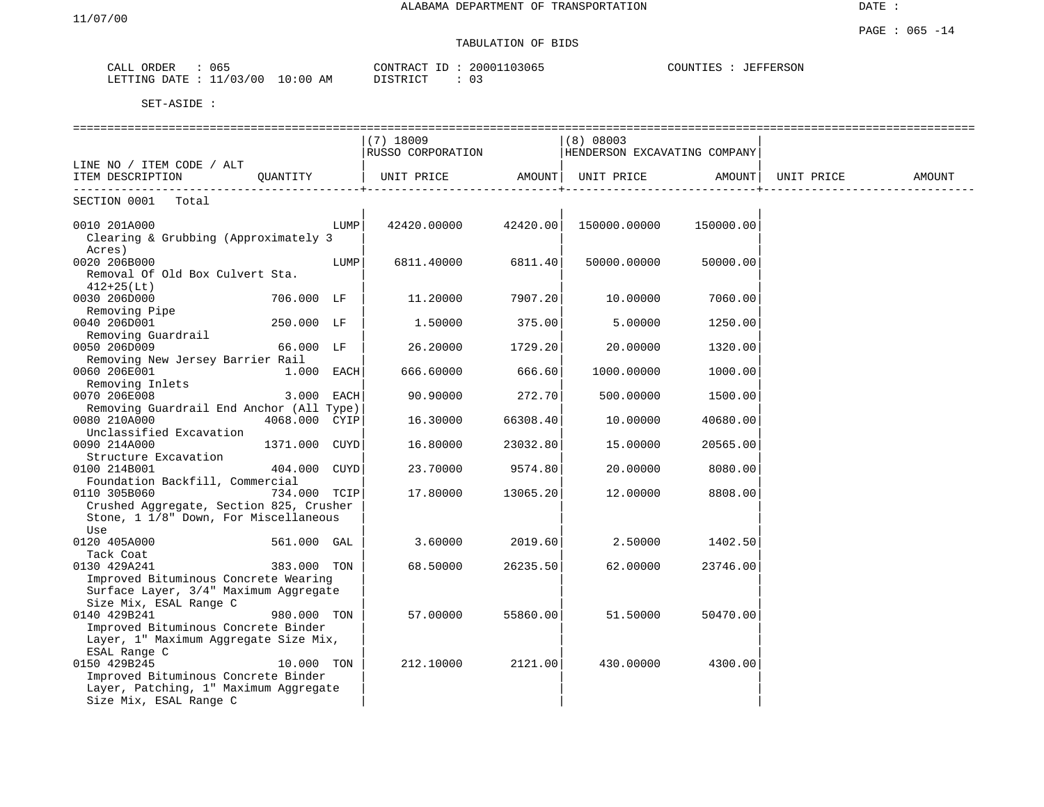| CALL    | ORDER | 065      |             | TD.<br>CONTRACT | 20001103065 | COUNTIES<br>. TRA | JEFFERSON |
|---------|-------|----------|-------------|-----------------|-------------|-------------------|-----------|
| LETTING | DATE. | 11/03/00 | 10:00<br>ΆM | DISTRICT        | د ں         |                   |           |

|                                                      |               |      | $(7)$ 18009                  |          | (8) 08003<br>HENDERSON EXCAVATING COMPANY |           |            |        |
|------------------------------------------------------|---------------|------|------------------------------|----------|-------------------------------------------|-----------|------------|--------|
| LINE NO / ITEM CODE / ALT                            |               |      | RUSSO CORPORATION            |          |                                           |           |            |        |
| ITEM DESCRIPTION                                     |               |      | QUANTITY   UNIT PRICE AMOUNT |          | UNIT PRICE AMOUNT                         |           | UNIT PRICE | AMOUNT |
| SECTION 0001 Total                                   |               |      |                              |          |                                           |           |            |        |
|                                                      |               |      |                              |          |                                           |           |            |        |
| 0010 201A000<br>Clearing & Grubbing (Approximately 3 |               | LUMP | 42420.00000 42420.00         |          | 150000.00000                              | 150000.00 |            |        |
| Acres)                                               |               |      |                              |          |                                           |           |            |        |
| 0020 206B000                                         |               | LUMP | 6811.40000                   | 6811.40  | 50000.00000                               | 50000.00  |            |        |
| Removal Of Old Box Culvert Sta.                      |               |      |                              |          |                                           |           |            |        |
| $412+25(Lt)$                                         |               |      |                              |          |                                           |           |            |        |
| 0030 206D000                                         | 706.000 LF    |      | 11,20000                     | 7907.20  | 10.00000                                  | 7060.00   |            |        |
| Removing Pipe                                        |               |      |                              |          |                                           |           |            |        |
| 0040 206D001                                         | 250.000 LF    |      | 1.50000                      | 375.00   | 5.00000                                   | 1250.00   |            |        |
| Removing Guardrail                                   |               |      |                              |          |                                           |           |            |        |
| 0050 206D009                                         | 66.000 LF     |      | 26.20000                     | 1729.20  | 20.00000                                  | 1320.00   |            |        |
| Removing New Jersey Barrier Rail                     |               |      |                              |          |                                           |           |            |        |
| 0060 206E001                                         | $1.000$ EACH  |      | 666.60000                    | 666.60   | 1000.00000                                | 1000.00   |            |        |
| Removing Inlets                                      |               |      |                              |          |                                           |           |            |        |
| 0070 206E008                                         | 3.000 EACH    |      | 90.90000                     | 272.70   | 500.00000                                 | 1500.00   |            |        |
| Removing Guardrail End Anchor (All Type)             |               |      |                              |          |                                           |           |            |        |
| 0080 210A000                                         | 4068.000 CYIP |      | 16.30000                     | 66308.40 | 10.00000                                  | 40680.00  |            |        |
| Unclassified Excavation                              |               |      |                              |          |                                           |           |            |        |
| 0090 214A000                                         | 1371.000 CUYD |      | 16.80000                     | 23032.80 | 15.00000                                  | 20565.00  |            |        |
| Structure Excavation                                 |               |      |                              |          |                                           |           |            |        |
| 0100 214B001                                         | 404.000 CUYD  |      | 23.70000                     | 9574.80  | 20.00000                                  | 8080.00   |            |        |
| Foundation Backfill, Commercial                      |               |      |                              |          |                                           |           |            |        |
| 0110 305B060                                         | 734.000 TCIP  |      | 17.80000                     | 13065.20 | 12.00000                                  | 8808.00   |            |        |
| Crushed Aggregate, Section 825, Crusher              |               |      |                              |          |                                           |           |            |        |
| Stone, 1 1/8" Down, For Miscellaneous                |               |      |                              |          |                                           |           |            |        |
| Use<br>0120 405A000                                  | 561.000 GAL   |      | 3.60000                      | 2019.60  | 2.50000                                   | 1402.50   |            |        |
| Tack Coat                                            |               |      |                              |          |                                           |           |            |        |
| 0130 429A241                                         | 383.000 TON   |      | 68.50000                     | 26235.50 | 62.00000                                  | 23746.00  |            |        |
| Improved Bituminous Concrete Wearing                 |               |      |                              |          |                                           |           |            |        |
| Surface Layer, 3/4" Maximum Aggregate                |               |      |                              |          |                                           |           |            |        |
| Size Mix, ESAL Range C                               |               |      |                              |          |                                           |           |            |        |
| 0140 429B241                                         | 980.000 TON   |      | 57.00000                     | 55860.00 | 51.50000                                  | 50470.00  |            |        |
| Improved Bituminous Concrete Binder                  |               |      |                              |          |                                           |           |            |        |
| Layer, 1" Maximum Aggregate Size Mix,                |               |      |                              |          |                                           |           |            |        |
| ESAL Range C                                         |               |      |                              |          |                                           |           |            |        |
| 0150 429B245                                         | 10.000 TON    |      | 212,10000                    | 2121.00  | 430.00000                                 | 4300.00   |            |        |
| Improved Bituminous Concrete Binder                  |               |      |                              |          |                                           |           |            |        |
| Layer, Patching, 1" Maximum Aggregate                |               |      |                              |          |                                           |           |            |        |
| Size Mix, ESAL Range C                               |               |      |                              |          |                                           |           |            |        |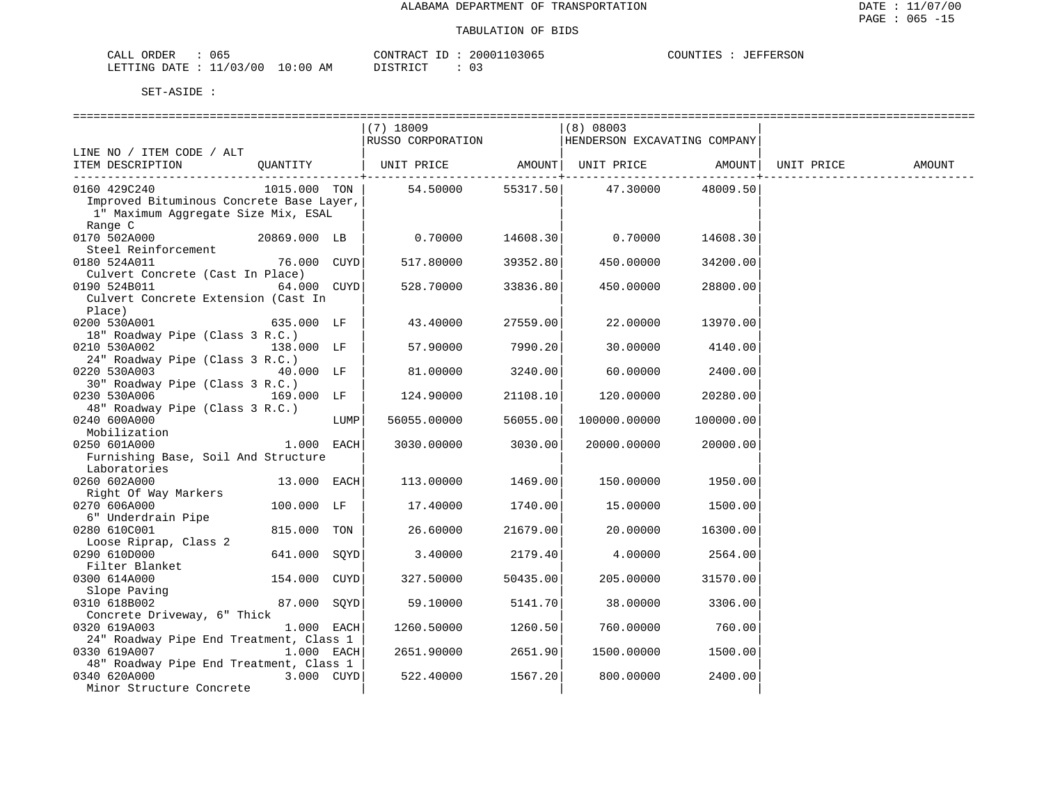| CALL ORDER                       | 065 |          | CONTRACT ID: 20001103065 | COUNTIES : JEFFERSON |  |
|----------------------------------|-----|----------|--------------------------|----------------------|--|
| LETTING DATE : 11/03/00 10:00 AM |     | DISTRICT |                          |                      |  |

|                                          |              |      | $(7)$ 18009                                      |          | (8) 08003                    |           |        |
|------------------------------------------|--------------|------|--------------------------------------------------|----------|------------------------------|-----------|--------|
|                                          |              |      | RUSSO CORPORATION                                |          | HENDERSON EXCAVATING COMPANY |           |        |
| LINE NO / ITEM CODE / ALT                |              |      |                                                  |          |                              |           |        |
| ITEM DESCRIPTION                         | QUANTITY     |      | UNIT PRICE AMOUNT  UNIT PRICE AMOUNT  UNIT PRICE |          |                              |           | AMOUNT |
|                                          |              |      |                                                  |          |                              |           |        |
| 0160 429C240                             | 1015.000 TON |      | 54.50000                                         | 55317.50 | 47.30000                     | 48009.50  |        |
| Improved Bituminous Concrete Base Layer, |              |      |                                                  |          |                              |           |        |
| 1" Maximum Aggregate Size Mix, ESAL      |              |      |                                                  |          |                              |           |        |
| Range C                                  |              |      |                                                  |          |                              |           |        |
| 0170 502A000                             | 20869.000 LB |      | 0.70000                                          | 14608.30 | 0.70000                      | 14608.30  |        |
| Steel Reinforcement                      |              |      |                                                  |          |                              |           |        |
| 0180 524A011                             | 76.000 CUYD  |      | 517.80000                                        | 39352.80 | 450.00000                    | 34200.00  |        |
| Culvert Concrete (Cast In Place)         |              |      |                                                  |          |                              |           |        |
| 0190 524B011                             | 64.000 CUYD  |      | 528.70000                                        | 33836.80 | 450.00000                    | 28800.00  |        |
| Culvert Concrete Extension (Cast In      |              |      |                                                  |          |                              |           |        |
| Place)                                   |              |      |                                                  |          |                              |           |        |
| 0200 530A001                             | 635.000 LF   |      | 43.40000                                         | 27559.00 | 22.00000                     | 13970.00  |        |
| 18" Roadway Pipe (Class 3 R.C.)          |              |      |                                                  |          |                              |           |        |
| 0210 530A002                             | 138.000 LF   |      | 57.90000                                         | 7990.20  | 30.00000                     | 4140.00   |        |
| 24" Roadway Pipe (Class 3 R.C.)          |              |      |                                                  |          |                              |           |        |
| 0220 530A003                             | 40.000 LF    |      | 81.00000                                         | 3240.00  | 60.00000                     | 2400.00   |        |
| 30" Roadway Pipe (Class 3 R.C.)          |              |      |                                                  |          |                              |           |        |
| 0230 530A006                             | 169.000 LF   |      | 124.90000                                        | 21108.10 | 120.00000                    | 20280.00  |        |
| 48" Roadway Pipe (Class 3 R.C.)          |              |      |                                                  |          |                              |           |        |
| 0240 600A000                             |              | LUMP | 56055.00000                                      | 56055.00 | 100000.00000                 | 100000.00 |        |
| Mobilization                             |              |      |                                                  |          |                              |           |        |
| 0250 601A000                             | $1.000$ EACH |      | 3030.00000                                       | 3030.00  | 20000.00000                  | 20000.00  |        |
| Furnishing Base, Soil And Structure      |              |      |                                                  |          |                              |           |        |
| Laboratories                             |              |      |                                                  |          |                              |           |        |
| 0260 602A000                             | 13.000 EACH  |      | 113.00000                                        | 1469.00  | 150.00000                    | 1950.00   |        |
| Right Of Way Markers                     |              |      |                                                  |          |                              |           |        |
| 0270 606A000                             | 100.000 LF   |      | 17.40000                                         | 1740.00  | 15.00000                     | 1500.00   |        |
| 6" Underdrain Pipe                       |              |      |                                                  |          |                              |           |        |
| 0280 610C001                             | 815.000 TON  |      | 26.60000                                         | 21679.00 | 20.00000                     | 16300.00  |        |
| Loose Riprap, Class 2                    |              |      |                                                  |          |                              |           |        |
| 0290 610D000                             | 641.000 SOYD |      | 3.40000                                          | 2179.40  | 4.00000                      | 2564.00   |        |
| Filter Blanket                           |              |      |                                                  |          |                              |           |        |
| 0300 614A000                             | 154.000 CUYD |      | 327.50000                                        | 50435.00 | 205.00000                    | 31570.00  |        |
| Slope Paving                             |              |      |                                                  |          |                              |           |        |
| 0310 618B002                             | 87.000 SOYD  |      | 59.10000                                         | 5141.70  | 38.00000                     | 3306.00   |        |
| Concrete Driveway, 6" Thick              |              |      |                                                  |          |                              |           |        |
| 0320 619A003                             | 1.000 EACH   |      | 1260.50000                                       | 1260.50  | 760.00000                    | 760.00    |        |
| 24" Roadway Pipe End Treatment, Class 1  |              |      |                                                  |          |                              |           |        |
| 0330 619A007                             | 1.000 EACH   |      | 2651.90000                                       | 2651.90  | 1500.00000                   | 1500.00   |        |
| 48" Roadway Pipe End Treatment, Class 1  |              |      |                                                  |          |                              |           |        |
| 0340 620A000                             | 3.000 CUYD   |      | 522.40000                                        | 1567.20  | 800.00000                    | 2400.00   |        |
| Minor Structure Concrete                 |              |      |                                                  |          |                              |           |        |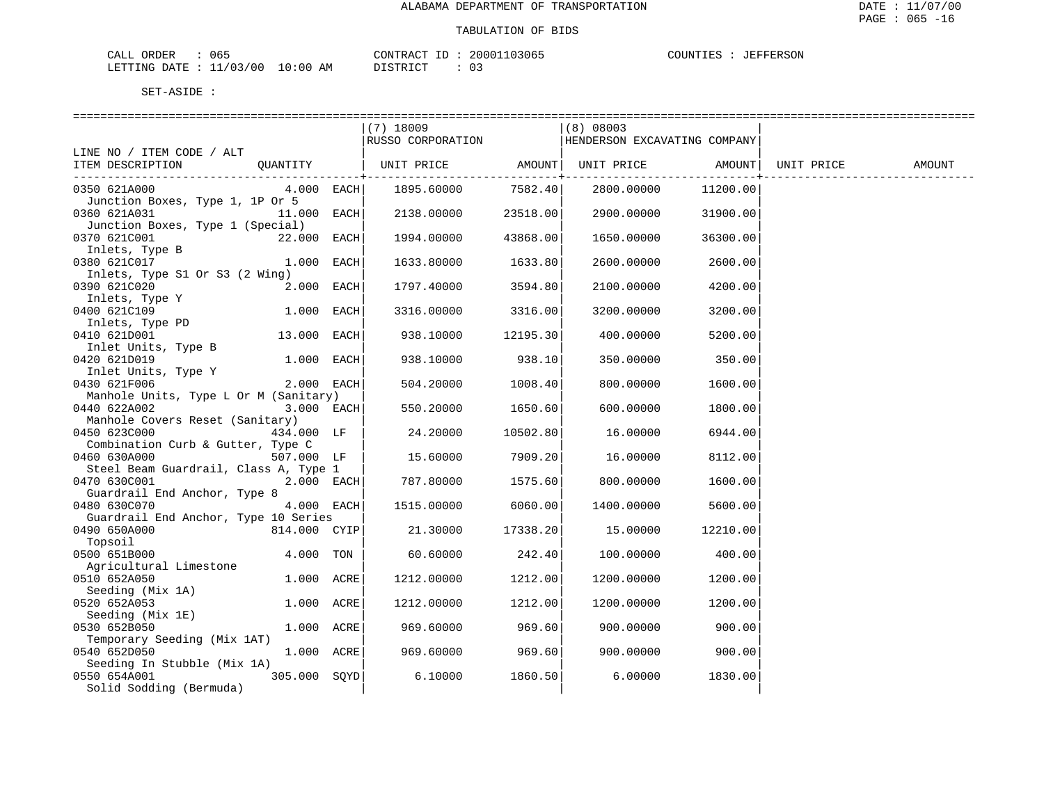| CALL<br>ORDER | 065                   |             | CONTRACT<br>$ -$ | 20001103065 | COUNTIES | JEFFERSON |
|---------------|-----------------------|-------------|------------------|-------------|----------|-----------|
| LETTING DATE  | 11/03/00<br><b>__</b> | 10:00<br>AΜ | חי חים דח        | ັບ -        |          |           |

|                                       |              |      | $(7)$ 18009                          |                 | (8) 08003                    |          |            |        |
|---------------------------------------|--------------|------|--------------------------------------|-----------------|------------------------------|----------|------------|--------|
|                                       |              |      | RUSSO CORPORATION                    |                 | HENDERSON EXCAVATING COMPANY |          |            |        |
| LINE NO / ITEM CODE / ALT             |              |      |                                      |                 |                              |          |            |        |
| ITEM DESCRIPTION OUANTITY             |              |      | UNIT PRICE AMOUNT  UNIT PRICE AMOUNT |                 |                              |          | UNIT PRICE | AMOUNT |
|                                       |              |      |                                      | --------------+ |                              |          |            |        |
| 0350 621A000                          | 4.000 EACH   |      | 1895.60000                           | 7582.40         | 2800.00000                   | 11200.00 |            |        |
| Junction Boxes, Type 1, 1P Or 5       |              |      |                                      |                 |                              |          |            |        |
| 0360 621A031                          | 11.000 EACH  |      | 2138.00000                           | 23518.00        | 2900.00000                   | 31900.00 |            |        |
| Junction Boxes, Type 1 (Special)      |              |      |                                      |                 |                              |          |            |        |
| 0370 621C001                          | 22.000 EACH  |      | 1994.00000                           | 43868.00        | 1650.00000                   | 36300.00 |            |        |
| Inlets, Type B                        |              |      |                                      |                 |                              |          |            |        |
| 0380 621C017                          | 1.000        | EACH | 1633.80000                           | 1633.80         | 2600.00000                   | 2600.00  |            |        |
| Inlets, Type S1 Or S3 (2 Wing)        |              |      |                                      |                 |                              |          |            |        |
| 0390 621C020                          | 2.000 EACH   |      | 1797.40000                           | 3594.80         | 2100.00000                   | 4200.00  |            |        |
| Inlets, Type Y                        |              |      |                                      |                 |                              |          |            |        |
| 0400 621C109                          | 1.000 EACH   |      | 3316.00000                           | 3316.00         | 3200.00000                   | 3200.00  |            |        |
| Inlets, Type PD                       |              |      |                                      |                 |                              |          |            |        |
| 0410 621D001                          | 13.000 EACH  |      | 938.10000                            | 12195.30        | 400.00000                    | 5200.00  |            |        |
| Inlet Units, Type B                   |              |      |                                      |                 |                              |          |            |        |
| 0420 621D019                          | 1.000 EACH   |      | 938.10000                            | 938.10          | 350.00000                    | 350.00   |            |        |
| Inlet Units, Type Y                   |              |      |                                      |                 |                              |          |            |        |
| 0430 621F006                          | 2.000 EACH   |      | 504.20000                            | 1008.40         | 800.00000                    | 1600.00  |            |        |
| Manhole Units, Type L Or M (Sanitary) |              |      |                                      |                 |                              |          |            |        |
| 0440 622A002                          | 3.000 EACH   |      | 550.20000                            | 1650.60         | 600.00000                    | 1800.00  |            |        |
| Manhole Covers Reset (Sanitary)       |              |      |                                      |                 |                              |          |            |        |
| 0450 623C000                          | 434.000 LF   |      | 24.20000                             | 10502.80        | 16.00000                     | 6944.00  |            |        |
| Combination Curb & Gutter, Type C     |              |      |                                      |                 |                              |          |            |        |
| 0460 630A000                          | 507.000 LF   |      | 15.60000                             | 7909.20         | 16.00000                     | 8112.00  |            |        |
| Steel Beam Guardrail, Class A, Type 1 |              |      |                                      |                 |                              |          |            |        |
| 0470 630C001                          | 2.000 EACH   |      | 787.80000                            | 1575.60         | 800.00000                    | 1600.00  |            |        |
| Guardrail End Anchor, Type 8          |              |      |                                      |                 |                              |          |            |        |
| 0480 630C070                          | 4.000 EACH   |      | 1515.00000                           | 6060.00         | 1400.00000                   | 5600.00  |            |        |
| Guardrail End Anchor, Type 10 Series  |              |      |                                      |                 |                              |          |            |        |
| 0490 650A000                          | 814.000 CYIP |      | 21.30000                             | 17338.20        | 15.00000                     | 12210.00 |            |        |
| Topsoil                               |              |      |                                      |                 |                              |          |            |        |
| 0500 651B000                          | 4.000 TON    |      | 60.60000                             | 242.40          | 100.00000                    | 400.00   |            |        |
| Agricultural Limestone                |              |      |                                      |                 |                              |          |            |        |
| 0510 652A050                          | 1.000 ACRE   |      | 1212.00000                           | 1212.00         | 1200.00000                   | 1200.00  |            |        |
| Seeding (Mix 1A)                      |              |      |                                      |                 |                              |          |            |        |
| 0520 652A053                          | 1.000 ACRE   |      | 1212.00000                           | 1212.00         | 1200.00000                   | 1200.00  |            |        |
| Seeding (Mix 1E)                      |              |      |                                      |                 |                              |          |            |        |
| 0530 652B050                          | 1.000 ACRE   |      | 969.60000                            | 969.60          | 900.00000                    | 900.00   |            |        |
| Temporary Seeding (Mix 1AT)           |              |      |                                      |                 |                              |          |            |        |
| 0540 652D050                          | 1.000 ACRE   |      | 969.60000                            | 969.60          | 900.00000                    | 900.00   |            |        |
| Seeding In Stubble (Mix 1A)           |              |      |                                      |                 |                              |          |            |        |
| 0550 654A001                          | 305.000 SOYD |      | 6.10000                              | 1860.50         | 6.00000                      | 1830.00  |            |        |
| Solid Sodding (Bermuda)               |              |      |                                      |                 |                              |          |            |        |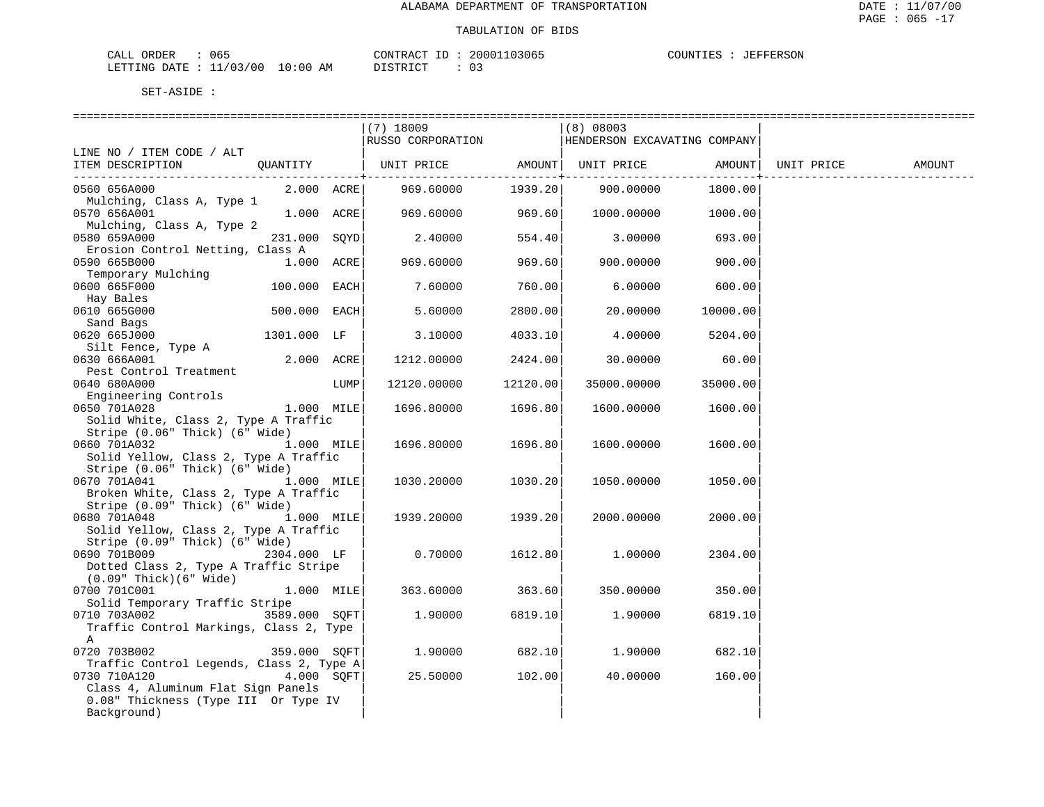| CALL ORDER                       | 065 |          | CONTRACT ID: 20001103065 | COUNTIES : JEFFERSON |  |
|----------------------------------|-----|----------|--------------------------|----------------------|--|
| LETTING DATE : 11/03/00 10:00 AM |     | DISTRICT |                          |                      |  |

|                                                                              |               |      | $(7)$ 18009                                      |          | $ (8)$ 08003 |                   |        |
|------------------------------------------------------------------------------|---------------|------|--------------------------------------------------|----------|--------------|-------------------|--------|
|                                                                              |               |      | RUSSO CORPORATION   HENDERSON EXCAVATING COMPANY |          |              |                   |        |
| LINE NO / ITEM CODE / ALT                                                    |               |      |                                                  |          |              |                   |        |
| ITEM DESCRIPTION QUANTITY   UNIT PRICE AMOUNT  UNIT PRICE AMOUNT  UNIT PRICE |               |      |                                                  |          |              |                   | AMOUNT |
|                                                                              |               |      |                                                  |          |              |                   |        |
| 0560 656A000                                                                 |               |      |                                                  |          |              | 900.00000 1800.00 |        |
| Mulching, Class A, Type 1                                                    |               |      |                                                  |          |              |                   |        |
| 0570 656A001                                                                 | $1.000$ ACRE  |      | 969.60000                                        | 969.60   | 1000.00000   | 1000.00           |        |
| Mulching, Class A, Type 2                                                    |               |      |                                                  |          |              |                   |        |
| 0580 659A000                                                                 | 231.000 SOYD  |      | 2.40000                                          | 554.40   | 3.00000      | 693.00            |        |
| Erosion Control Netting, Class A                                             |               |      |                                                  |          |              |                   |        |
| 0590 665B000                                                                 | 1.000 ACRE    |      | 969.60000                                        | 969.60   | 900.00000    | 900.00            |        |
| Temporary Mulching                                                           |               |      |                                                  |          |              |                   |        |
| 0600 665F000                                                                 | 100.000 EACH  |      | 7.60000                                          | 760.00   | 6.00000      | 600.00            |        |
| Hay Bales                                                                    |               |      |                                                  |          |              |                   |        |
| $500.000$ EACH<br>0610 665G000                                               |               |      | 5.60000                                          | 2800.00  | 20.00000     | 10000.00          |        |
|                                                                              |               |      |                                                  |          |              |                   |        |
| Sand Bags                                                                    |               |      |                                                  |          |              |                   |        |
| 0620 665J000                                                                 | 1301.000 LF   |      | 3.10000                                          | 4033.10  | 4.00000      | 5204.00           |        |
| Silt Fence, Type A                                                           |               |      |                                                  |          |              |                   |        |
| 0630 666A001                                                                 | 2.000 ACRE    |      | 1212.00000                                       | 2424.00  | 30.00000     | 60.00             |        |
| Pest Control Treatment                                                       |               |      |                                                  |          |              |                   |        |
| 0640 680A000                                                                 |               | LUMP | 12120.00000                                      | 12120.00 | 35000.00000  | 35000.00          |        |
| Engineering Controls                                                         |               |      |                                                  |          |              |                   |        |
| 1.000 MILE<br>0650 701A028                                                   |               |      | 1696.80000                                       | 1696.80  | 1600.00000   | 1600.00           |        |
| Solid White, Class 2, Type A Traffic                                         |               |      |                                                  |          |              |                   |        |
| Stripe (0.06" Thick) (6" Wide)                                               |               |      |                                                  |          |              |                   |        |
| 0660 701A032<br>1.000 MILE                                                   |               |      | 1696.80000                                       | 1696.80  | 1600.00000   | 1600.00           |        |
| Solid Yellow, Class 2, Type A Traffic                                        |               |      |                                                  |          |              |                   |        |
| Stripe (0.06" Thick) (6" Wide)                                               |               |      |                                                  |          |              |                   |        |
| 0670 701A041                                                                 | $1.000$ MILE  |      | 1030.20000                                       | 1030.20  | 1050.00000   | 1050.00           |        |
| Broken White, Class 2, Type A Traffic                                        |               |      |                                                  |          |              |                   |        |
| Stripe (0.09" Thick) (6" Wide)                                               |               |      |                                                  |          |              |                   |        |
| 0680 701A048                                                                 | $1.000$ MILE  |      | 1939.20000                                       | 1939.20  | 2000.00000   | 2000.00           |        |
| Solid Yellow, Class 2, Type A Traffic                                        |               |      |                                                  |          |              |                   |        |
| Stripe (0.09" Thick) (6" Wide)                                               |               |      |                                                  |          |              |                   |        |
| 0690 701B009                                                                 | 2304.000 LF   |      | 0.70000                                          | 1612.80  | 1.00000      | 2304.00           |        |
| Dotted Class 2, Type A Traffic Stripe                                        |               |      |                                                  |          |              |                   |        |
| $(0.09"$ Thick $)(6"$ Wide $)$                                               |               |      |                                                  |          |              |                   |        |
| 0700 701C001                                                                 | $1.000$ MILE  |      | 363.60000                                        | 363.60   | 350.00000    | 350.00            |        |
| Solid Temporary Traffic Stripe                                               |               |      |                                                  |          |              |                   |        |
| 0710 703A002                                                                 | 3589.000 SOFT |      | 1.90000                                          | 6819.10  | 1.90000      | 6819.10           |        |
|                                                                              |               |      |                                                  |          |              |                   |        |
| Traffic Control Markings, Class 2, Type                                      |               |      |                                                  |          |              |                   |        |
| A                                                                            |               |      |                                                  |          |              |                   |        |
| 0720 703B002                                                                 | 359.000 SQFT  |      | 1.90000                                          | 682.10   | 1.90000      | 682.10            |        |
| Traffic Control Legends, Class 2, Type A                                     |               |      |                                                  |          |              |                   |        |
| 0730 710A120                                                                 | 4.000 SQFT    |      | 25.50000                                         | 102.00   | 40.00000     | 160.00            |        |
| Class 4, Aluminum Flat Sign Panels                                           |               |      |                                                  |          |              |                   |        |
| 0.08" Thickness (Type III Or Type IV                                         |               |      |                                                  |          |              |                   |        |
| Background)                                                                  |               |      |                                                  |          |              |                   |        |
|                                                                              |               |      |                                                  |          |              |                   |        |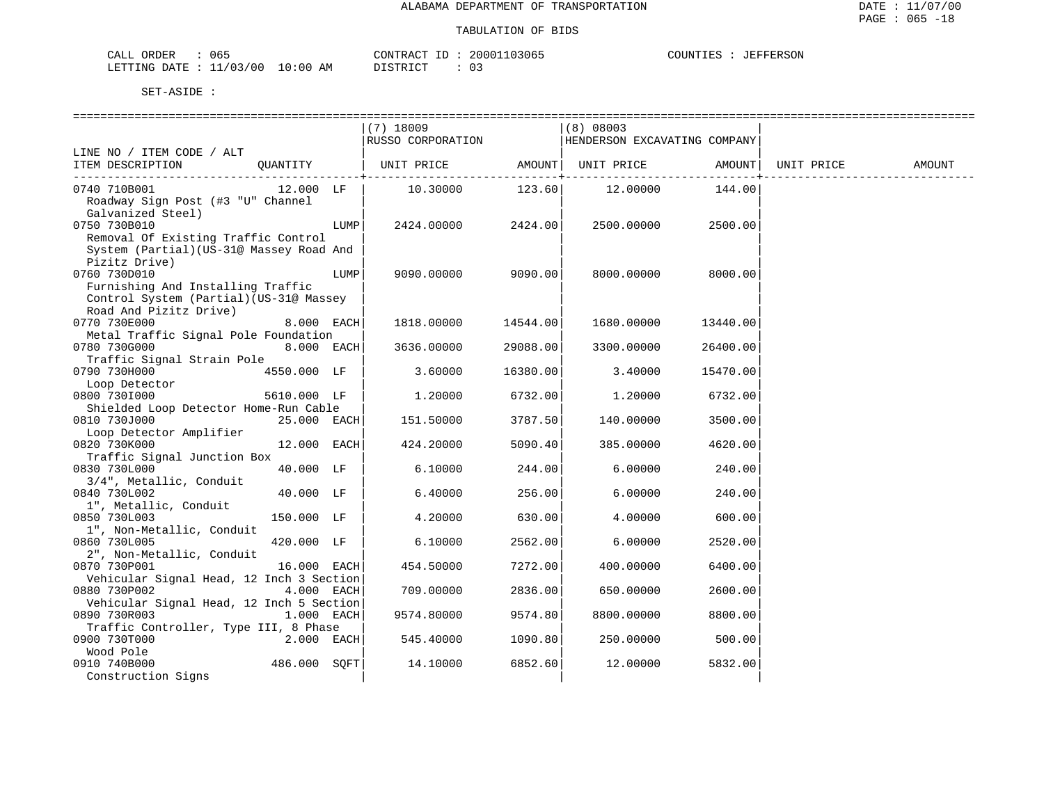| 065<br>CALL ORDER                |          | CONTRACT ID: 20001103065 | : JEFFERSON<br>COUNTIES |
|----------------------------------|----------|--------------------------|-------------------------|
| LETTING DATE : 11/03/00 10:00 AM | DISTRICT |                          |                         |

|                                                                                                        |              |      | (7) 18009<br>RUSSO CORPORATION |                     | (8) 08003<br>HENDERSON EXCAVATING COMPANY |                     |            |        |
|--------------------------------------------------------------------------------------------------------|--------------|------|--------------------------------|---------------------|-------------------------------------------|---------------------|------------|--------|
| LINE NO / ITEM CODE / ALT                                                                              |              |      |                                |                     |                                           |                     |            |        |
| ITEM DESCRIPTION                                                                                       | QUANTITY     |      | UNIT PRICE                     | AMOUNT              | UNIT PRICE                                | AMOUNT              | UNIT PRICE | AMOUNT |
| 0740 710B001<br>Roadway Sign Post (#3 "U" Channel                                                      | 12.000 LF    |      | 10.30000                       | ---------<br>123.60 | 12.00000                                  | ---------<br>144.00 |            |        |
| Galvanized Steel)<br>0750 730B010<br>Removal Of Existing Traffic Control                               |              | LUMP | 2424.00000                     | 2424.00             | 2500.00000                                | 2500.00             |            |        |
| System (Partial) (US-31@ Massey Road And<br>Pizitz Drive)<br>0760 730D010                              |              | LUMP | 9090.00000                     | 9090.00             | 8000.00000                                | 8000.00             |            |        |
| Furnishing And Installing Traffic<br>Control System (Partial) (US-31@ Massey<br>Road And Pizitz Drive) |              |      |                                |                     |                                           |                     |            |        |
| 0770 730E000<br>Metal Traffic Signal Pole Foundation                                                   | 8.000 EACH   |      | 1818.00000                     | 14544.00            | 1680.00000                                | 13440.00            |            |        |
| 0780 730G000                                                                                           | 8.000 EACH   |      | 3636.00000                     | 29088.00            | 3300.00000                                | 26400.00            |            |        |
| Traffic Signal Strain Pole<br>0790 730H000                                                             | 4550.000 LF  |      | 3.60000                        | 16380.00            | 3.40000                                   | 15470.00            |            |        |
| Loop Detector<br>0800 7301000                                                                          | 5610.000 LF  |      | 1,20000                        | 6732.00             | 1,20000                                   | 6732.00             |            |        |
| Shielded Loop Detector Home-Run Cable<br>0810 730J000                                                  | 25.000 EACH  |      | 151.50000                      | 3787.50             | 140.00000                                 | 3500.00             |            |        |
| Loop Detector Amplifier<br>0820 730K000                                                                | 12.000 EACH  |      | 424.20000                      | 5090.40             | 385.00000                                 | 4620.00             |            |        |
| Traffic Signal Junction Box<br>0830 730L000                                                            | 40.000 LF    |      | 6.10000                        | 244.00              | 6.00000                                   | 240.00              |            |        |
| 3/4", Metallic, Conduit<br>0840 730L002<br>1", Metallic, Conduit                                       | 40.000 LF    |      | 6.40000                        | 256.00              | 6.00000                                   | 240.00              |            |        |
| 0850 730L003<br>1", Non-Metallic, Conduit                                                              | 150.000 LF   |      | 4.20000                        | 630.00              | 4.00000                                   | 600.00              |            |        |
| 0860 730L005<br>2", Non-Metallic, Conduit                                                              | 420.000 LF   |      | 6.10000                        | 2562.00             | 6.00000                                   | 2520.00             |            |        |
| 0870 730P001                                                                                           | 16.000 EACH  |      | 454.50000                      | 7272.00             | 400.00000                                 | 6400.00             |            |        |
| Vehicular Signal Head, 12 Inch 3 Section<br>0880 730P002                                               | 4.000 EACH   |      | 709.00000                      | 2836.00             | 650.00000                                 | 2600.00             |            |        |
| Vehicular Signal Head, 12 Inch 5 Section<br>0890 730R003                                               | 1.000 EACH   |      | 9574.80000                     | 9574.80             | 8800.00000                                | 8800.00             |            |        |
| Traffic Controller, Type III, 8 Phase<br>0900 730T000                                                  | 2.000 EACH   |      | 545.40000                      | 1090.80             | 250.00000                                 | 500.00              |            |        |
| Wood Pole<br>0910 740B000<br>Construction Signs                                                        | 486.000 SQFT |      | 14.10000                       | 6852.60             | 12.00000                                  | 5832.00             |            |        |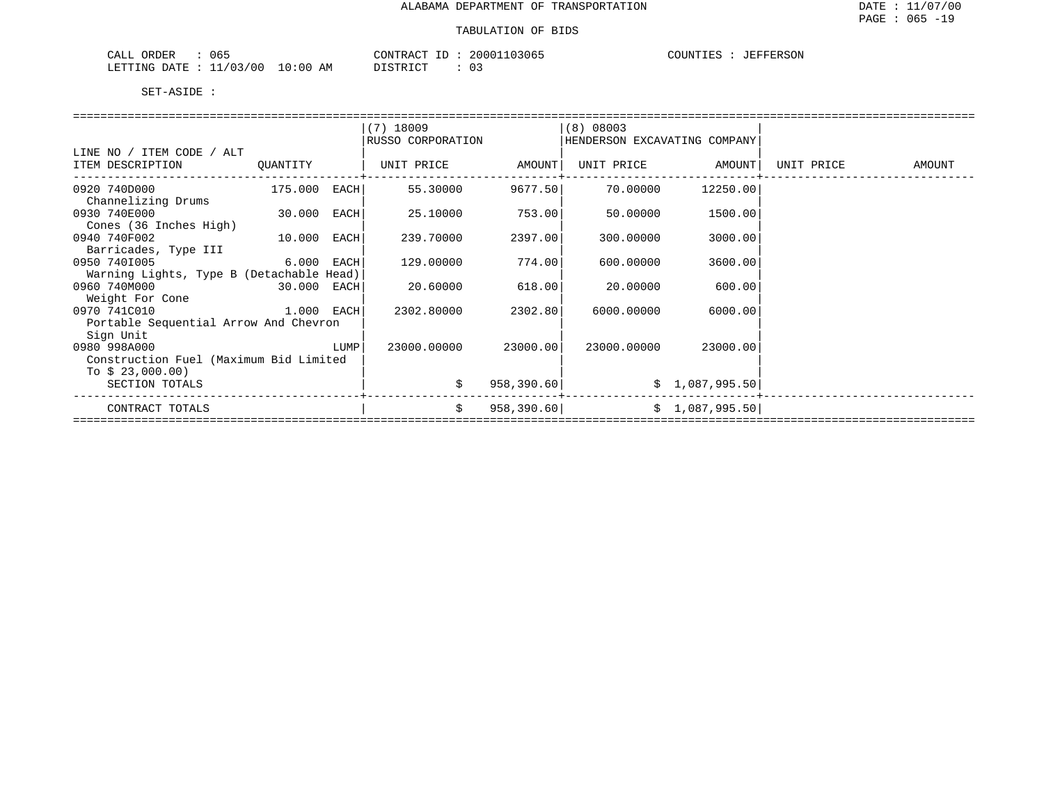| 065<br>ORDER<br>CALL             | CONTRACT ID | 20001103065   | JEFFERSON<br>COUNTIES |
|----------------------------------|-------------|---------------|-----------------------|
| LETTING DATE : 11/03/00 10:00 AM | DISTRICT    | $\sim$<br>∪ – |                       |

|                                          |          |             | $(7)$ 18009       |             | $(8)$ 08003                  |                   |                   |
|------------------------------------------|----------|-------------|-------------------|-------------|------------------------------|-------------------|-------------------|
|                                          |          |             | RUSSO CORPORATION |             | HENDERSON EXCAVATING COMPANY |                   |                   |
| LINE NO / ITEM CODE / ALT                |          |             |                   |             |                              |                   |                   |
| ITEM DESCRIPTION                         | QUANTITY |             | UNIT PRICE AMOUNT |             |                              | UNIT PRICE AMOUNT | UNIT PRICE AMOUNT |
|                                          |          |             |                   |             |                              |                   |                   |
| 0920 740D000                             | 175.000  | EACH        | 55.30000          | 9677.50     | 70.00000                     | 12250.00          |                   |
| Channelizing Drums                       |          |             |                   |             |                              |                   |                   |
| 0930 740E000<br>30.000                   |          | <b>EACH</b> | 25.10000          | 753.00      | 50.00000                     | 1500.00           |                   |
| Cones (36 Inches High)                   |          |             |                   |             |                              |                   |                   |
| 0940 740F002<br>10.000                   |          | EACH        | 239.70000         | 2397.00     | 300.00000                    | 3000.00           |                   |
| Barricades, Type III                     |          |             |                   |             |                              |                   |                   |
| <sup>6.000</sup> EACH<br>0950 7401005    |          |             | 129.00000         | 774.00      | 600.00000                    | 3600.00           |                   |
| Warning Lights, Type B (Detachable Head) |          |             |                   |             |                              |                   |                   |
| 0960 740M000<br>30.000 EACH              |          |             | 20.60000          | 618.00      | 20.00000                     | 600.00            |                   |
| Weight For Cone                          |          |             |                   |             |                              |                   |                   |
| 1.000 EACH<br>0970 741C010               |          |             | 2302.80000        | 2302.80     | 6000.00000                   | 6000.00           |                   |
| Portable Sequential Arrow And Chevron    |          |             |                   |             |                              |                   |                   |
| Sign Unit                                |          |             |                   |             |                              |                   |                   |
| 0980 998A000                             |          | LUMP        | 23000.00000       | 23000.00    | 23000.00000                  | 23000.00          |                   |
| Construction Fuel (Maximum Bid Limited   |          |             |                   |             |                              |                   |                   |
| To $$23,000.00)$                         |          |             |                   |             |                              |                   |                   |
| SECTION TOTALS                           |          |             | \$                | 958,390.60  |                              | \$1,087,995.50    |                   |
|                                          |          |             |                   |             |                              |                   |                   |
| CONTRACT TOTALS                          |          |             | \$                | 958, 390.60 |                              | \$1,087,995.50    |                   |
|                                          |          |             |                   |             |                              |                   |                   |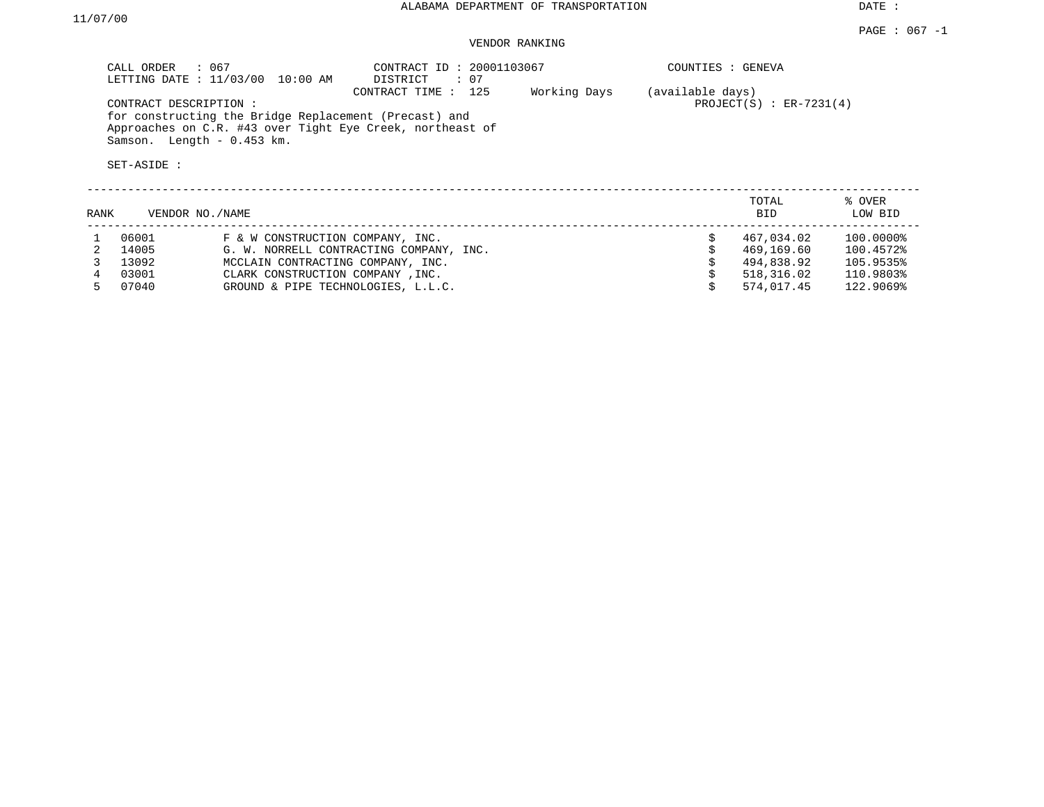DATE :

### VENDOR RANKING

|      | CALL ORDER : 067                                                   | LETTING DATE : 11/03/00 10:00 AM                      | CONTRACT ID: 20001103067<br>DISTRICT : 07                                        |              | COUNTIES : GENEVA |                            |                   |
|------|--------------------------------------------------------------------|-------------------------------------------------------|----------------------------------------------------------------------------------|--------------|-------------------|----------------------------|-------------------|
|      | CONTRACT DESCRIPTION:<br>Samson. Length - 0.453 km.<br>SET-ASIDE : | for constructing the Bridge Replacement (Precast) and | CONTRACT TIME : 125<br>Approaches on C.R. #43 over Tight Eye Creek, northeast of | Working Days | (available days)  | PROJECT $(S)$ : ER-7231(4) |                   |
| RANK | VENDOR NO. / NAME                                                  |                                                       |                                                                                  |              |                   | TOTAL<br>BID               | % OVER<br>LOW BID |
|      | 06001                                                              | F & W CONSTRUCTION COMPANY, INC.                      |                                                                                  |              |                   | 467,034.02                 | $100.0000$ $$$    |

 3 13092 MCCLAIN CONTRACTING COMPANY, INC. \$ 494,838.92 105.9535% 4 03001 CLARK CONSTRUCTION COMPANY , INC.<br>
5 07040 GROUND & PIPE TECHNOLOGIES, L.L.C. 
8 574,017.45 122.9069%

GROUND & PIPE TECHNOLOGIES, L.L.C.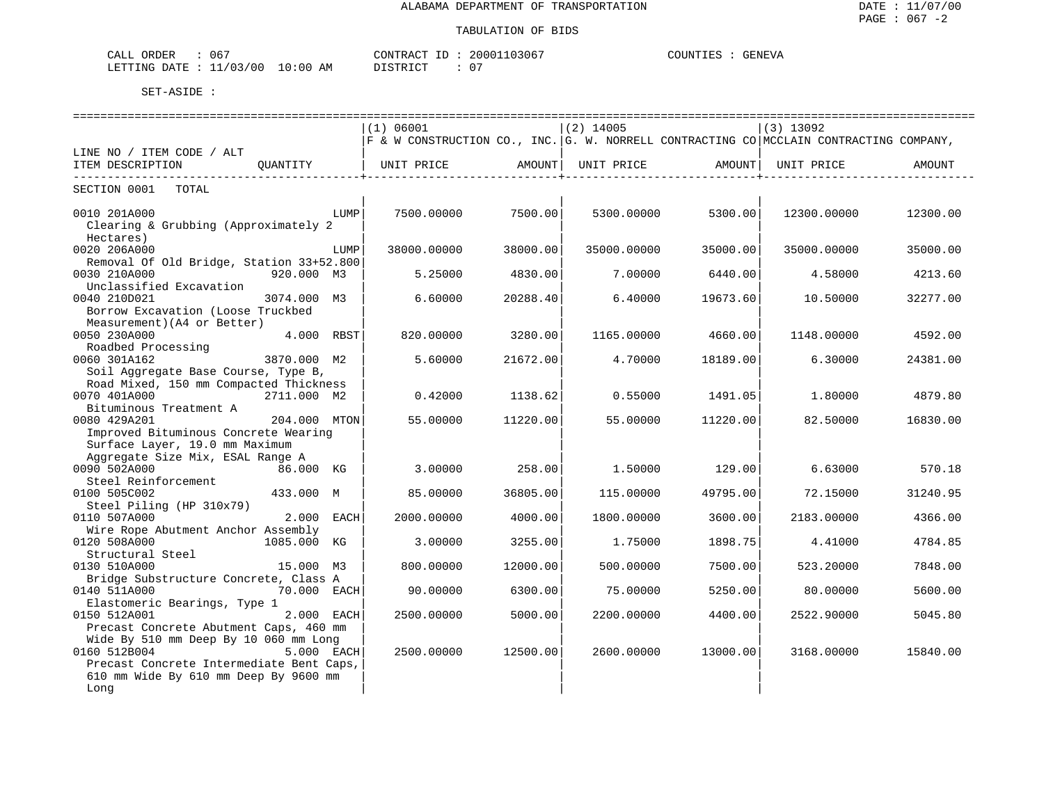| 067<br>ORDER<br>CALL                                                                                                                          | CONTRACT                    | 20001103067                   | COUNTIES<br>GENEVA |
|-----------------------------------------------------------------------------------------------------------------------------------------------|-----------------------------|-------------------------------|--------------------|
| : 11/03/00<br>LETTING DATE<br>the contract of the contract of the contract of the contract of the contract of the contract of the contract of | $10:00$ AM<br>חים קידים דרו | $\sim$ $\sim$<br>$\mathbf{u}$ |                    |

|                                          |              |            | (1) 06001                                                                                      |          | $(2)$ 14005 |                   | $(3)$ 13092 |                               |
|------------------------------------------|--------------|------------|------------------------------------------------------------------------------------------------|----------|-------------|-------------------|-------------|-------------------------------|
|                                          |              |            | $ F\;$ & W CONSTRUCTION CO., INC. $ G.$ W. NORRELL CONTRACTING CO MCCLAIN CONTRACTING COMPANY, |          |             |                   |             |                               |
| LINE NO / ITEM CODE / ALT                |              |            |                                                                                                |          |             |                   |             |                               |
| ITEM DESCRIPTION                         | OUANTITY     |            | UNIT PRICE AMOUNT                                                                              |          |             | UNIT PRICE AMOUNT | UNIT PRICE  | <b>AMOUNT</b><br>------------ |
| SECTION 0001 TOTAL                       |              |            |                                                                                                |          |             |                   |             |                               |
| 0010 201A000                             |              | LUMP       | 7500.00000                                                                                     | 7500.00  | 5300.00000  | 5300.00           | 12300.00000 | 12300.00                      |
| Clearing & Grubbing (Approximately 2     |              |            |                                                                                                |          |             |                   |             |                               |
| Hectares)                                |              |            |                                                                                                |          |             |                   |             |                               |
| 0020 206A000                             |              | LUMP       | 38000.00000                                                                                    | 38000.00 | 35000.00000 | 35000.00          | 35000.00000 | 35000.00                      |
| Removal Of Old Bridge, Station 33+52.800 |              |            |                                                                                                |          |             |                   |             |                               |
| 0030 210A000                             | 920.000 M3   |            | 5.25000                                                                                        | 4830.00  | 7.00000     | 6440.00           | 4.58000     | 4213.60                       |
| Unclassified Excavation                  |              |            |                                                                                                |          |             |                   |             |                               |
| 0040 210D021                             | 3074.000 M3  |            | 6.60000                                                                                        | 20288.40 | 6.40000     | 19673.60          | 10.50000    | 32277.00                      |
| Borrow Excavation (Loose Truckbed        |              |            |                                                                                                |          |             |                   |             |                               |
| Measurement) (A4 or Better)              |              |            |                                                                                                |          |             |                   |             |                               |
| 0050 230A000                             |              | 4.000 RBST | 820,00000                                                                                      | 3280.00  | 1165.00000  | 4660.00           | 1148.00000  | 4592.00                       |
| Roadbed Processing                       |              |            |                                                                                                |          |             |                   |             |                               |
| 0060 301A162                             | 3870.000 M2  |            | 5.60000                                                                                        | 21672.00 | 4.70000     | 18189.00          | 6.30000     | 24381.00                      |
| Soil Aggregate Base Course, Type B,      |              |            |                                                                                                |          |             |                   |             |                               |
| Road Mixed, 150 mm Compacted Thickness   |              |            |                                                                                                |          |             |                   |             |                               |
| 0070 401A000                             | 2711.000 M2  |            | 0.42000                                                                                        | 1138.62  | 0.55000     | 1491.05           | 1.80000     | 4879.80                       |
| Bituminous Treatment A                   |              |            |                                                                                                |          |             |                   |             |                               |
| 0080 429A201                             | 204.000 MTON |            | 55.00000                                                                                       | 11220.00 | 55,00000    | 11220.00          | 82.50000    | 16830.00                      |
| Improved Bituminous Concrete Wearing     |              |            |                                                                                                |          |             |                   |             |                               |
| Surface Layer, 19.0 mm Maximum           |              |            |                                                                                                |          |             |                   |             |                               |
| Aggregate Size Mix, ESAL Range A         |              |            |                                                                                                |          |             |                   |             |                               |
| 0090 502A000                             | 86.000 KG    |            | 3.00000                                                                                        | 258.00   | 1,50000     | 129.00            | 6.63000     | 570.18                        |
| Steel Reinforcement                      |              |            |                                                                                                |          |             |                   |             |                               |
| 0100 505C002                             | 433.000 M    |            | 85.00000                                                                                       | 36805.00 | 115,00000   | 49795.00          | 72.15000    | 31240.95                      |
| Steel Piling (HP 310x79)                 |              |            |                                                                                                |          |             |                   |             |                               |
|                                          |              |            |                                                                                                |          |             |                   |             |                               |
| 0110 507A000                             | 2.000 EACH   |            | 2000.00000                                                                                     | 4000.00  | 1800.00000  | 3600.00           | 2183.00000  | 4366.00                       |
| Wire Rope Abutment Anchor Assembly       |              |            |                                                                                                |          |             |                   |             |                               |
| 0120 508A000                             | 1085.000 KG  |            | 3.00000                                                                                        | 3255.00  | 1.75000     | 1898.75           | 4.41000     | 4784.85                       |
| Structural Steel                         |              |            |                                                                                                | 12000.00 |             |                   |             | 7848.00                       |
| 0130 510A000                             | 15.000 M3    |            | 800,00000                                                                                      |          | 500.00000   | 7500.00           | 523.20000   |                               |
| Bridge Substructure Concrete, Class A    |              |            |                                                                                                |          |             |                   |             |                               |
| 0140 511A000                             | 70.000 EACH  |            | 90.00000                                                                                       | 6300.00  | 75.00000    | 5250.00           | 80.00000    | 5600.00                       |
| Elastomeric Bearings, Type 1             |              |            |                                                                                                |          |             |                   |             |                               |
| 0150 512A001                             |              | 2.000 EACH | 2500.00000                                                                                     | 5000.00  | 2200.00000  | 4400.00           | 2522.90000  | 5045.80                       |
| Precast Concrete Abutment Caps, 460 mm   |              |            |                                                                                                |          |             |                   |             |                               |
| Wide By 510 mm Deep By 10 060 mm Long    |              |            |                                                                                                |          |             |                   |             |                               |
| 0160 512B004                             |              | 5.000 EACH | 2500.00000                                                                                     | 12500.00 | 2600.00000  | 13000.00          | 3168.00000  | 15840.00                      |
| Precast Concrete Intermediate Bent Caps, |              |            |                                                                                                |          |             |                   |             |                               |
| 610 mm Wide By 610 mm Deep By 9600 mm    |              |            |                                                                                                |          |             |                   |             |                               |
| Long                                     |              |            |                                                                                                |          |             |                   |             |                               |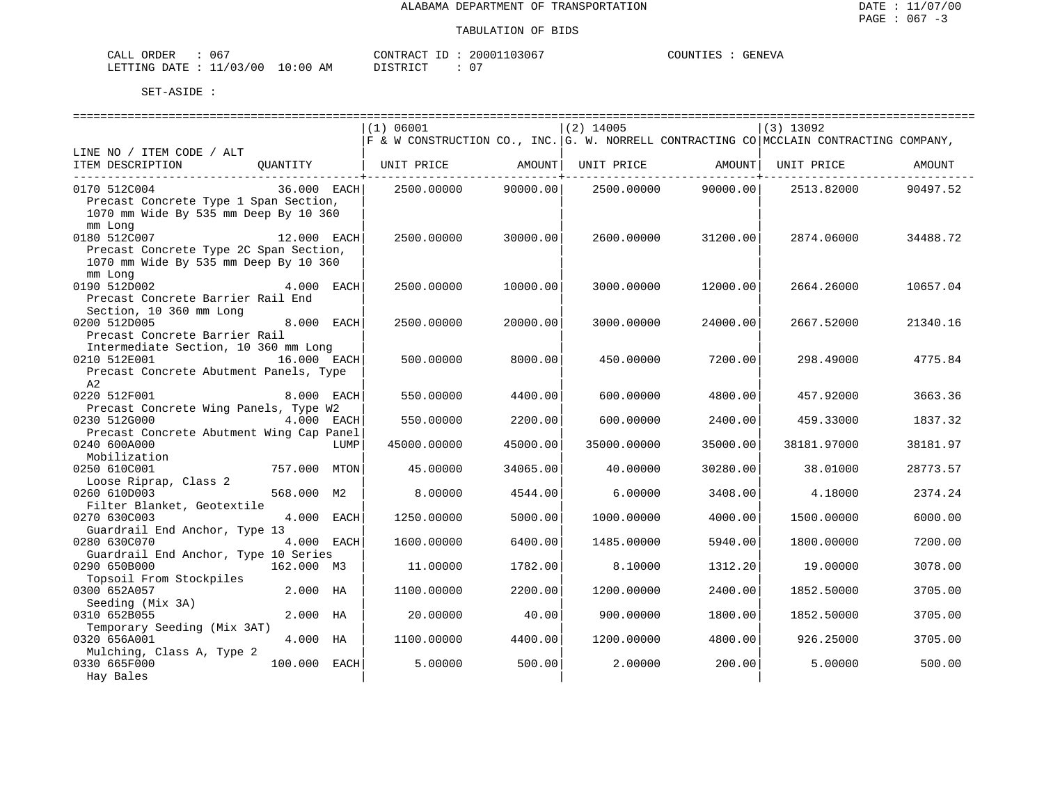| ∩RDER<br>CALI | ა67                      |                                                                                                                                | TONTR ACT<br>$ -$ | 10306<br>20001 | COUNTIES | GENEV <sup>"</sup> |
|---------------|--------------------------|--------------------------------------------------------------------------------------------------------------------------------|-------------------|----------------|----------|--------------------|
| LETTING DATE  | 1/03/<br>◡<br>. <i>.</i> | 10:00<br>ΑM<br>the contract of the contract of the contract of the contract of the contract of the contract of the contract of | TЛП               | $\cap$         |          |                    |

|                                                                                            | (1) 06001                                                                                      |          | $(2)$ 14005                 |                                                                | $(3)$ 13092 |          |
|--------------------------------------------------------------------------------------------|------------------------------------------------------------------------------------------------|----------|-----------------------------|----------------------------------------------------------------|-------------|----------|
|                                                                                            | $ F\;$ & W CONSTRUCTION CO., INC. $ G.$ W. NORRELL CONTRACTING CO MCCLAIN CONTRACTING COMPANY, |          |                             |                                                                |             |          |
| LINE NO / ITEM CODE / ALT                                                                  |                                                                                                |          |                             |                                                                |             |          |
| ITEM DESCRIPTION<br>QUANTITY   UNIT PRICE AMOUNT                                           |                                                                                                |          | ---------------+----------- | UNIT PRICE AMOUNT<br>---------------- <del>-</del> ----------- | UNIT PRICE  | AMOUNT   |
| 0170 512C004<br>36.000 EACH<br>Precast Concrete Type 1 Span Section,                       | 2500.00000 90000.00                                                                            |          | 2500.00000                  | 90000.00                                                       | 2513.82000  | 90497.52 |
| 1070 mm Wide By 535 mm Deep By 10 360<br>mm Long                                           |                                                                                                |          |                             |                                                                |             |          |
| 0180 512C007 12.000 EACH                                                                   | 2500.00000                                                                                     | 30000.00 | 2600.00000                  | 31200.00                                                       | 2874.06000  | 34488.72 |
| Precast Concrete Type 2C Span Section,<br>1070 mm Wide By 535 mm Deep By 10 360<br>mm Long |                                                                                                |          |                             |                                                                |             |          |
| 0190 512D002<br>4.000 EACH                                                                 | 2500.00000                                                                                     | 10000.00 | 3000.00000                  | 12000.00                                                       | 2664.26000  | 10657.04 |
| Precast Concrete Barrier Rail End<br>Section, 10 360 mm Long                               |                                                                                                |          |                             |                                                                |             |          |
| 0200 512D005<br>8.000 EACH                                                                 | 2500.00000                                                                                     | 20000.00 | 3000.00000                  | 24000.00                                                       | 2667.52000  | 21340.16 |
| Precast Concrete Barrier Rail                                                              |                                                                                                |          |                             |                                                                |             |          |
| Intermediate Section, 10 360 mm Long                                                       |                                                                                                |          |                             |                                                                |             |          |
| 0210 512E001<br>16.000 EACH<br>Precast Concrete Abutment Panels, Type                      | 500.00000                                                                                      | 8000.00  | 450.00000                   | 7200.00                                                        | 298.49000   | 4775.84  |
| A2                                                                                         |                                                                                                |          |                             |                                                                |             |          |
| 0220 512F001<br>8.000 EACH<br>Precast Concrete Wing Panels, Type W2                        | 550.00000                                                                                      | 4400.00  | 600.00000                   | 4800.00                                                        | 457.92000   | 3663.36  |
| 0230 512G000<br>4.000 EACH                                                                 | 550.00000                                                                                      | 2200.00  | 600,00000                   | 2400.00                                                        | 459.33000   | 1837.32  |
| Precast Concrete Abutment Wing Cap Panel                                                   |                                                                                                |          |                             |                                                                |             |          |
| 0240 600A000<br>LUMP                                                                       | 45000.00000                                                                                    | 45000.00 | 35000.00000                 | 35000.00                                                       | 38181.97000 | 38181.97 |
| Mobilization                                                                               |                                                                                                |          |                             |                                                                |             |          |
| 0250 610C001<br>757.000 MTON                                                               | 45.00000                                                                                       | 34065.00 | 40.00000                    | 30280.00                                                       | 38.01000    | 28773.57 |
| Loose Riprap, Class 2<br>0260 610D003<br>568.000 M2                                        | 8.00000                                                                                        | 4544.00  | 6.00000                     | 3408.00                                                        | 4.18000     | 2374.24  |
| Filter Blanket, Geotextile                                                                 |                                                                                                |          |                             |                                                                |             |          |
| 4.000 EACH<br>0270 630C003                                                                 | 1250.00000                                                                                     | 5000.00  | 1000.00000                  | 4000.00                                                        | 1500.00000  | 6000.00  |
| Guardrail End Anchor, Type 13                                                              |                                                                                                |          |                             |                                                                |             |          |
| 0280 630C070<br>4.000 EACH                                                                 | 1600.00000                                                                                     | 6400.00  | 1485.00000                  | 5940.00                                                        | 1800.00000  | 7200.00  |
| Guardrail End Anchor, Type 10 Series                                                       |                                                                                                |          |                             |                                                                |             |          |
| 0290 650B000<br>162.000 M3<br>Topsoil From Stockpiles                                      | 11,00000                                                                                       | 1782.00  | 8.10000                     | 1312.20                                                        | 19.00000    | 3078.00  |
| 0300 652A057<br>2.000 HA                                                                   | 1100.00000                                                                                     | 2200.00  | 1200.00000                  | 2400.00                                                        | 1852.50000  | 3705.00  |
| Seeding (Mix 3A)                                                                           |                                                                                                |          |                             |                                                                |             |          |
| 0310 652B055<br>2.000 HA                                                                   | 20,00000                                                                                       | 40.001   | 900.00000                   | 1800.00                                                        | 1852.50000  | 3705.00  |
| Temporary Seeding (Mix 3AT)                                                                |                                                                                                |          |                             |                                                                |             |          |
| 0320 656A001<br>4.000 HA                                                                   | 1100.00000                                                                                     | 4400.00  | 1200.00000                  | 4800.00                                                        | 926.25000   | 3705.00  |
| Mulching, Class A, Type 2<br>0330 665F000<br>100.000 EACH                                  | 5,00000                                                                                        | 500.00   | 2,00000                     | 200.00                                                         | 5,00000     | 500.00   |
| Hay Bales                                                                                  |                                                                                                |          |                             |                                                                |             |          |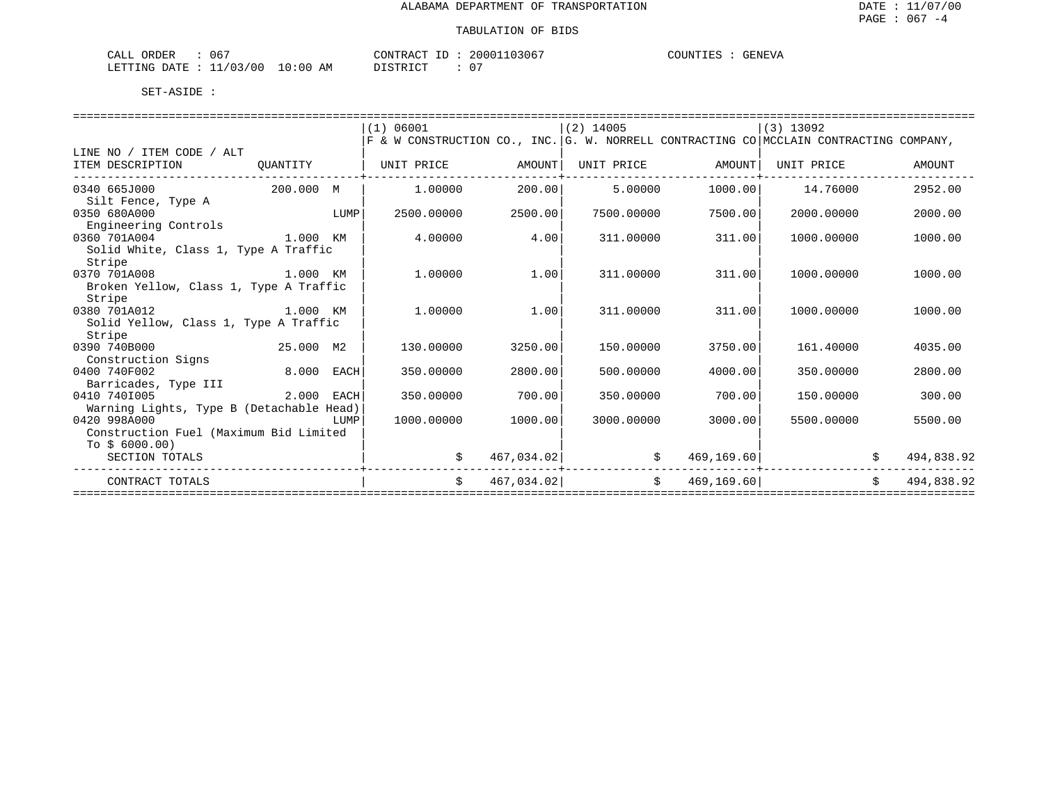| 067<br>$\sim$ $\sim$ $\sim$<br>ORDER<br>ىلىل                                                                                                   |             | TONTRAC <sub>1</sub><br>$-1$<br>ŦΒ | 103067<br>20001 | COUNTIES<br>GENEVA |
|------------------------------------------------------------------------------------------------------------------------------------------------|-------------|------------------------------------|-----------------|--------------------|
| /03/00<br>LETTING<br>חים מר<br>the contract of the contract of the contract of the contract of the contract of the contract of the contract of | 10:00<br>AΜ | CTD TOT<br>- -                     | $\cap$          |                    |

|                                          |           |             | (1) 06001                                                                              |            | $(2)$ 14005    |             | $(3)$ 13092 |    |            |
|------------------------------------------|-----------|-------------|----------------------------------------------------------------------------------------|------------|----------------|-------------|-------------|----|------------|
|                                          |           |             | F & W CONSTRUCTION CO., INC. G. W. NORRELL CONTRACTING CO MCCLAIN CONTRACTING COMPANY, |            |                |             |             |    |            |
| LINE NO / ITEM CODE / ALT                |           |             |                                                                                        |            |                |             |             |    |            |
| ITEM DESCRIPTION                         | QUANTITY  |             | UNIT PRICE                                                                             | AMOUNT     | UNIT PRICE     | AMOUNT      | UNIT PRICE  |    | AMOUNT     |
| 0340 665J000                             | 200.000 M |             | 1,00000                                                                                | 200.00     | 5.00000        | 1000.00     | 14.76000    |    | 2952.00    |
| Silt Fence, Type A                       |           |             |                                                                                        |            |                |             |             |    |            |
| 0350 680A000                             |           | LUMP        | 2500.00000                                                                             | 2500.00    | 7500.00000     | 7500.00     | 2000.00000  |    | 2000.00    |
| Engineering Controls                     |           |             |                                                                                        |            |                |             |             |    |            |
| 0360 701A004<br>1.000 KM                 |           |             | 4.00000                                                                                | 4.00       | 311,00000      | 311.00      | 1000.00000  |    | 1000.00    |
| Solid White, Class 1, Type A Traffic     |           |             |                                                                                        |            |                |             |             |    |            |
| Stripe                                   |           |             |                                                                                        |            |                |             |             |    |            |
| 0370 701A008                             | 1.000 KM  |             | 1,00000                                                                                | 1.00       | 311,00000      | 311.00      | 1000.00000  |    | 1000.00    |
| Broken Yellow, Class 1, Type A Traffic   |           |             |                                                                                        |            |                |             |             |    |            |
| Stripe                                   |           |             |                                                                                        |            |                |             |             |    |            |
| 0380 701A012                             | 1.000 KM  |             | 1,00000                                                                                | 1.00       | 311,00000      | 311.00      | 1000.00000  |    | 1000.00    |
| Solid Yellow, Class 1, Type A Traffic    |           |             |                                                                                        |            |                |             |             |    |            |
| Stripe                                   |           |             |                                                                                        |            |                |             |             |    |            |
| 0390 740B000                             | 25.000 M2 |             | 130.00000                                                                              | 3250.00    | 150.00000      | 3750.00     | 161.40000   |    | 4035.00    |
| Construction Signs                       |           |             |                                                                                        |            |                |             |             |    |            |
| 0400 740F002                             | 8.000     | EACH        | 350.00000                                                                              | 2800.00    | 500.00000      | 4000.00     | 350.00000   |    | 2800.00    |
| Barricades, Type III                     |           |             |                                                                                        |            |                |             |             |    |            |
| 0410 7401005                             | 2.000     | <b>EACH</b> | 350.00000                                                                              | 700.00     | 350.00000      | 700.00      | 150.00000   |    | 300.00     |
| Warning Lights, Type B (Detachable Head) |           |             |                                                                                        |            |                |             |             |    |            |
| 0420 998A000                             |           | LUMP        | 1000.00000                                                                             | 1000.00    | 3000.00000     | 3000.00     | 5500.00000  |    | 5500.00    |
| Construction Fuel (Maximum Bid Limited   |           |             |                                                                                        |            |                |             |             |    |            |
| To $$6000.00)$                           |           |             |                                                                                        |            |                |             |             |    |            |
| SECTION TOTALS                           |           |             |                                                                                        | 467,034.02 |                | 469, 169.60 |             |    | 494,838.92 |
| CONTRACT TOTALS                          |           |             | \$                                                                                     | 467,034.02 | $\mathsf{S}^-$ | 469,169.60  |             | Ŝ. | 494,838.92 |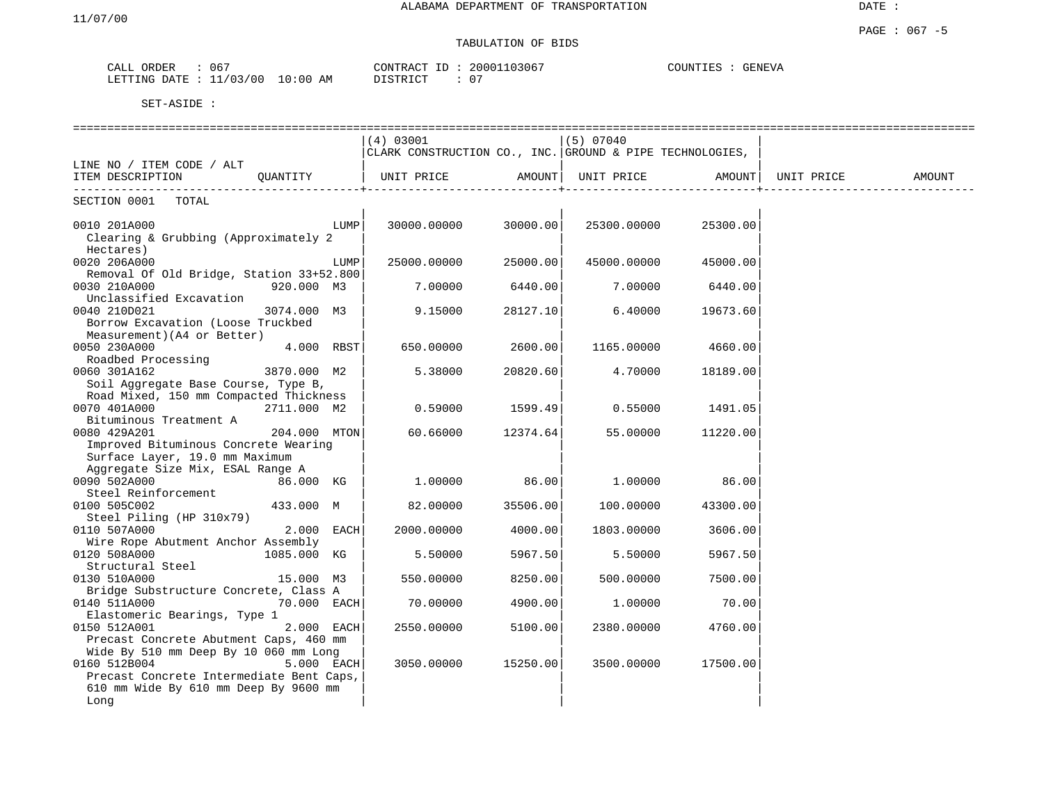|                           | 067        |             |          |
|---------------------------|------------|-------------|----------|
|                           |            | 20001103067 |          |
| ORDER                     |            | CONTRACT    | COUNTIES |
| CALL                      |            | ID          | GENEVA   |
| LETTING DATE : $11/03/00$ | $10:00$ AM | DISTRICT    |          |

|                                          |              |      | ===============================                          |          |             |          |            |        |
|------------------------------------------|--------------|------|----------------------------------------------------------|----------|-------------|----------|------------|--------|
|                                          |              |      | (4) 03001                                                |          | (5) 07040   |          |            |        |
|                                          |              |      | CLARK CONSTRUCTION CO., INC. GROUND & PIPE TECHNOLOGIES, |          |             |          |            |        |
| LINE NO / ITEM CODE / ALT                |              |      |                                                          |          |             |          |            |        |
| ITEM DESCRIPTION                         | QUANTITY     |      | UNIT PRICE                                               | AMOUNT   | UNIT PRICE  | AMOUNT   | UNIT PRICE | AMOUNT |
|                                          |              |      |                                                          |          |             |          |            |        |
| SECTION 0001<br>TOTAL                    |              |      |                                                          |          |             |          |            |        |
| 0010 201A000                             |              | LUMP | 30000.00000                                              | 30000.00 | 25300.00000 | 25300.00 |            |        |
| Clearing & Grubbing (Approximately 2     |              |      |                                                          |          |             |          |            |        |
| Hectares)                                |              |      |                                                          |          |             |          |            |        |
| 0020 206A000                             |              | LUMP | 25000.00000                                              | 25000.00 | 45000.00000 | 45000.00 |            |        |
| Removal Of Old Bridge, Station 33+52.800 |              |      |                                                          |          |             |          |            |        |
| 0030 210A000                             | 920.000 M3   |      | 7.00000                                                  | 6440.00  | 7.00000     |          |            |        |
| Unclassified Excavation                  |              |      |                                                          |          |             | 6440.00  |            |        |
|                                          |              |      |                                                          |          |             |          |            |        |
| 0040 210D021                             | 3074.000 M3  |      | 9.15000                                                  | 28127.10 | 6.40000     | 19673.60 |            |        |
| Borrow Excavation (Loose Truckbed        |              |      |                                                          |          |             |          |            |        |
| Measurement) (A4 or Better)              |              |      |                                                          |          |             |          |            |        |
| 0050 230A000                             | 4.000 RBST   |      | 650.00000                                                | 2600.00  | 1165.00000  | 4660.00  |            |        |
| Roadbed Processing                       |              |      |                                                          |          |             |          |            |        |
| 0060 301A162                             | 3870.000 M2  |      | 5.38000                                                  | 20820.60 | 4.70000     | 18189.00 |            |        |
| Soil Aggregate Base Course, Type B,      |              |      |                                                          |          |             |          |            |        |
| Road Mixed, 150 mm Compacted Thickness   |              |      |                                                          |          |             |          |            |        |
| 0070 401A000                             | 2711.000 M2  |      | 0.59000                                                  | 1599.49  | 0.55000     | 1491.05  |            |        |
| Bituminous Treatment A                   |              |      |                                                          |          |             |          |            |        |
| 0080 429A201                             | 204.000 MTON |      | 60.66000                                                 | 12374.64 | 55.00000    | 11220.00 |            |        |
| Improved Bituminous Concrete Wearing     |              |      |                                                          |          |             |          |            |        |
| Surface Layer, 19.0 mm Maximum           |              |      |                                                          |          |             |          |            |        |
| Aggregate Size Mix, ESAL Range A         |              |      |                                                          |          |             |          |            |        |
| 0090 502A000                             | 86.000 KG    |      | 1.00000                                                  | 86.00    | 1,00000     | 86.00    |            |        |
| Steel Reinforcement                      |              |      |                                                          |          |             |          |            |        |
| 0100 505C002                             | 433.000 M    |      | 82.00000                                                 | 35506.00 | 100.00000   | 43300.00 |            |        |
| Steel Piling (HP 310x79)                 |              |      |                                                          |          |             |          |            |        |
| 0110 507A000                             | 2.000 EACH   |      | 2000.00000                                               | 4000.00  | 1803.00000  | 3606.00  |            |        |
| Wire Rope Abutment Anchor Assembly       |              |      |                                                          |          |             |          |            |        |
| 0120 508A000                             | 1085.000 KG  |      | 5.50000                                                  | 5967.50  | 5.50000     | 5967.50  |            |        |
| Structural Steel                         |              |      |                                                          |          |             |          |            |        |
| 0130 510A000                             | 15.000 M3    |      | 550.00000                                                | 8250.00  | 500.00000   | 7500.00  |            |        |
| Bridge Substructure Concrete, Class A    |              |      |                                                          |          |             |          |            |        |
| 0140 511A000                             | 70.000 EACH  |      | 70.00000                                                 | 4900.00  | 1,00000     | 70.00    |            |        |
| Elastomeric Bearings, Type 1             |              |      |                                                          |          |             |          |            |        |
| 0150 512A001                             | 2.000 EACH   |      | 2550.00000                                               | 5100.00  | 2380.00000  | 4760.00  |            |        |
| Precast Concrete Abutment Caps, 460 mm   |              |      |                                                          |          |             |          |            |        |
| Wide By 510 mm Deep By 10 060 mm Long    |              |      |                                                          |          |             |          |            |        |
| 0160 512B004                             | 5.000 EACH   |      | 3050.00000                                               | 15250.00 | 3500.00000  | 17500.00 |            |        |
| Precast Concrete Intermediate Bent Caps, |              |      |                                                          |          |             |          |            |        |
| 610 mm Wide By 610 mm Deep By 9600 mm    |              |      |                                                          |          |             |          |            |        |
| Long                                     |              |      |                                                          |          |             |          |            |        |
|                                          |              |      |                                                          |          |             |          |            |        |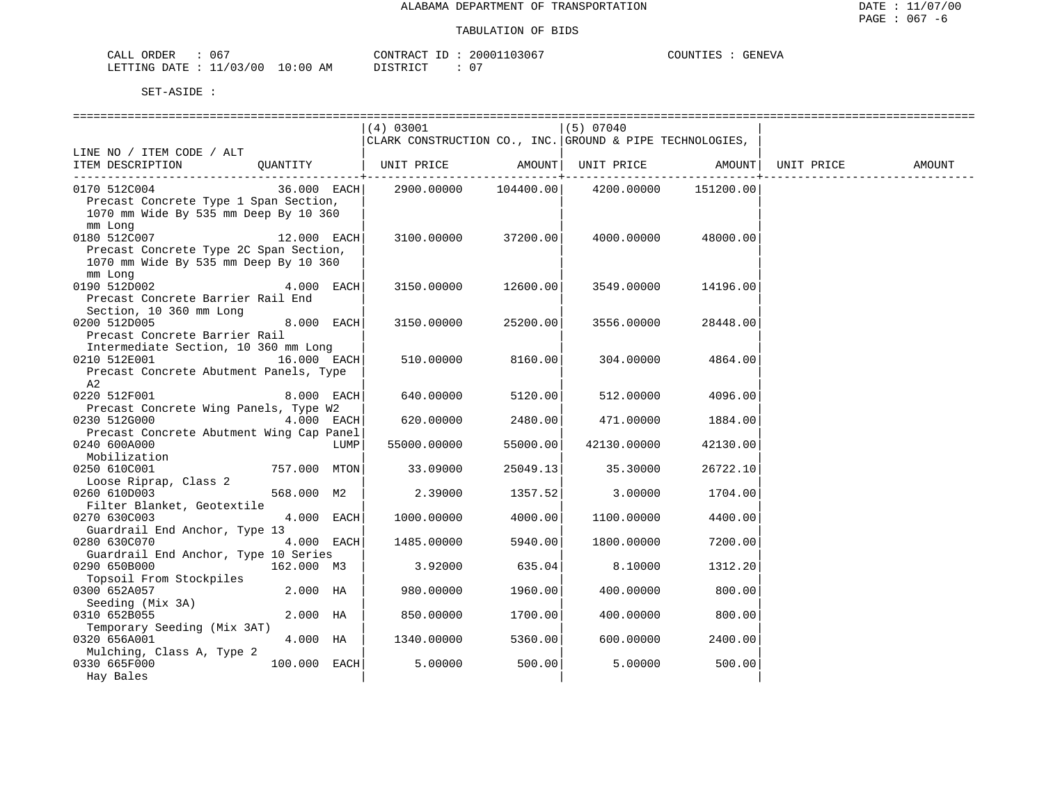| ORDER<br>CALL (           | 067 |             | CONTRACT ID: | 20001103067 | COUNTIES | <b>GENEVA</b> |
|---------------------------|-----|-------------|--------------|-------------|----------|---------------|
| LETTING DATE : $11/03/00$ |     | 10:00<br>AΜ | T STR TOT    | ∩ ⊤         |          |               |

|                                          | (4) 03001                                                |                      |                                       |           |            |        |
|------------------------------------------|----------------------------------------------------------|----------------------|---------------------------------------|-----------|------------|--------|
|                                          |                                                          |                      | (5) 07040                             |           |            |        |
|                                          | CLARK CONSTRUCTION CO., INC. GROUND & PIPE TECHNOLOGIES, |                      |                                       |           |            |        |
| LINE NO / ITEM CODE / ALT                |                                                          |                      |                                       |           |            |        |
| OUANTITY  <br>ITEM DESCRIPTION           |                                                          |                      | UNIT PRICE AMOUNT   UNIT PRICE AMOUNT |           | UNIT PRICE | AMOUNT |
|                                          |                                                          |                      |                                       |           |            |        |
| 0170 512C004<br>36.000 EACH              |                                                          | 2900.00000 104400.00 | 4200.00000                            | 151200.00 |            |        |
| Precast Concrete Type 1 Span Section,    |                                                          |                      |                                       |           |            |        |
| 1070 mm Wide By 535 mm Deep By 10 360    |                                                          |                      |                                       |           |            |        |
| mm Long                                  |                                                          |                      |                                       |           |            |        |
| 0180 512C007<br>12.000 EACH              | 3100.00000                                               | 37200.00             | 4000.00000                            | 48000.00  |            |        |
| Precast Concrete Type 2C Span Section,   |                                                          |                      |                                       |           |            |        |
| 1070 mm Wide By 535 mm Deep By 10 360    |                                                          |                      |                                       |           |            |        |
| mm Long                                  |                                                          |                      |                                       |           |            |        |
| 0190 512D002<br>4.000 EACH               | 3150.00000                                               | 12600.00             | 3549.00000                            | 14196.00  |            |        |
|                                          |                                                          |                      |                                       |           |            |        |
| Precast Concrete Barrier Rail End        |                                                          |                      |                                       |           |            |        |
| Section, 10 360 mm Long                  |                                                          |                      |                                       |           |            |        |
| 0200 512D005<br>8.000 EACH               | 3150.00000                                               | 25200.00             | 3556.00000                            | 28448.00  |            |        |
| Precast Concrete Barrier Rail            |                                                          |                      |                                       |           |            |        |
| Intermediate Section, 10 360 mm Long     |                                                          |                      |                                       |           |            |        |
| 0210 512E001<br>16.000 EACH              | 510.00000                                                | 8160.00              | 304.00000                             | 4864.00   |            |        |
| Precast Concrete Abutment Panels, Type   |                                                          |                      |                                       |           |            |        |
| A2                                       |                                                          |                      |                                       |           |            |        |
| 0220 512F001<br>8.000 EACH               | 640.00000                                                | 5120.00              | 512.00000                             | 4096.00   |            |        |
| Precast Concrete Wing Panels, Type W2    |                                                          |                      |                                       |           |            |        |
| 0230 512G000<br>$4.000$ EACH             | 620.00000                                                | 2480.00              | 471,00000                             | 1884.00   |            |        |
| Precast Concrete Abutment Wing Cap Panel |                                                          |                      |                                       |           |            |        |
| 0240 600A000<br>LUMP                     | 55000.00000                                              | 55000.00             | 42130.00000                           | 42130.00  |            |        |
| Mobilization                             |                                                          |                      |                                       |           |            |        |
| 0250 610C001<br>757.000 MTON             | 33.09000                                                 | 25049.13             | 35.30000                              | 26722.10  |            |        |
| Loose Riprap, Class 2                    |                                                          |                      |                                       |           |            |        |
| 0260 610D003<br>568.000 M2               | 2.39000                                                  | 1357.52              | 3.00000                               | 1704.00   |            |        |
| Filter Blanket, Geotextile               |                                                          |                      |                                       |           |            |        |
| 0270 630C003<br>4.000 EACH               | 1000.00000                                               | 4000.00              | 1100.00000                            | 4400.00   |            |        |
| Guardrail End Anchor, Type 13            |                                                          |                      |                                       |           |            |        |
| 4.000 EACH<br>0280 630C070               | 1485.00000                                               | 5940.00              | 1800.00000                            | 7200.00   |            |        |
| Guardrail End Anchor, Type 10 Series     |                                                          |                      |                                       |           |            |        |
| 162.000 M3<br>0290 650B000               | 3.92000                                                  | 635.04               | 8.10000                               | 1312.20   |            |        |
| Topsoil From Stockpiles                  |                                                          |                      |                                       |           |            |        |
| 0300 652A057<br>2.000 HA                 | 980.00000                                                | 1960.00              | 400.00000                             | 800.00    |            |        |
| Seeding (Mix 3A)                         |                                                          |                      |                                       |           |            |        |
| 0310 652B055<br>2.000 HA                 | 850.00000                                                | 1700.00              | 400.00000                             | 800.00    |            |        |
| Temporary Seeding (Mix 3AT)              |                                                          |                      |                                       |           |            |        |
| 4.000 HA<br>0320 656A001                 | 1340.00000                                               | 5360.00              | 600.00000                             | 2400.00   |            |        |
|                                          |                                                          |                      |                                       |           |            |        |
| Mulching, Class A, Type 2                |                                                          | 500.00               |                                       |           |            |        |
| 0330 665F000<br>100.000 EACH             | 5.00000                                                  |                      | 5.00000                               | 500.00    |            |        |
| Hay Bales                                |                                                          |                      |                                       |           |            |        |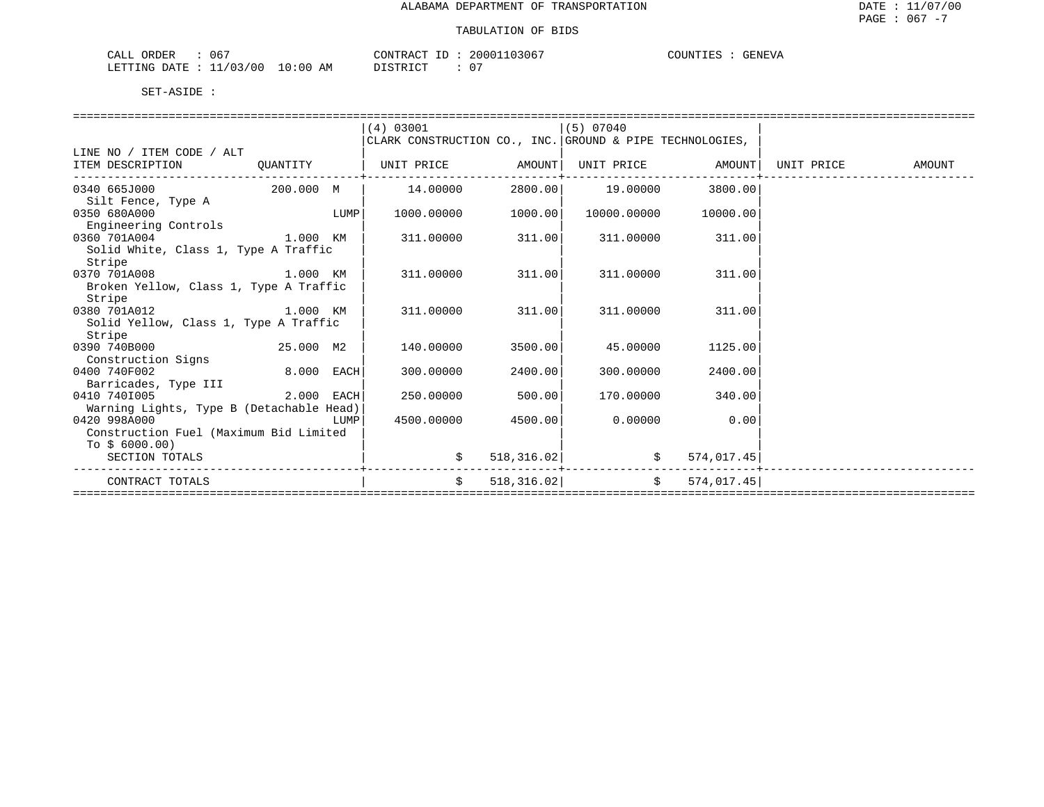| 067<br>CALL<br>ORDER          |             | CONTRACT                           | 20001103067 | COUNTIL<br>"ENEVA |
|-------------------------------|-------------|------------------------------------|-------------|-------------------|
| /03/00<br>LETTING DATE<br>— — | 10:00<br>ΆM | חי היה דגודו בת<br>, , , , , , , , |             |                   |

|                                          |              |      | (4) 03001                                                |             | (5) 07040         |               |            |        |
|------------------------------------------|--------------|------|----------------------------------------------------------|-------------|-------------------|---------------|------------|--------|
|                                          |              |      | CLARK CONSTRUCTION CO., INC. GROUND & PIPE TECHNOLOGIES, |             |                   |               |            |        |
| LINE NO / ITEM CODE / ALT                |              |      |                                                          |             |                   |               |            |        |
| ITEM DESCRIPTION                         | QUANTITY     |      |                                                          |             |                   |               | UNIT PRICE | AMOUNT |
|                                          |              |      |                                                          |             |                   |               |            |        |
| 0340 665J000                             | 200.000 M    |      | 14.00000                                                 |             | 2800.00  19.00000 | 3800.00       |            |        |
| Silt Fence, Type A                       |              |      |                                                          |             |                   |               |            |        |
| 0350 680A000                             |              | LUMP | 1000.00000                                               | 1000.00     | 10000.00000       | 10000.00      |            |        |
| Engineering Controls                     |              |      |                                                          |             |                   |               |            |        |
| 0360 701A004                             | 1.000 KM     |      | 311.00000                                                | 311.00      | 311,00000         | 311.00        |            |        |
| Solid White, Class 1, Type A Traffic     |              |      |                                                          |             |                   |               |            |        |
| Stripe                                   |              |      |                                                          |             |                   |               |            |        |
| 0370 701A008                             | 1.000 KM     |      | 311,00000                                                | 311.00      | 311,00000         | 311.00        |            |        |
| Broken Yellow, Class 1, Type A Traffic   |              |      |                                                          |             |                   |               |            |        |
| Stripe                                   |              |      |                                                          |             |                   |               |            |        |
| 0380 701A012                             | 1.000 KM     |      | 311,00000                                                | 311.00      | 311,00000         | 311.00        |            |        |
| Solid Yellow, Class 1, Type A Traffic    |              |      |                                                          |             |                   |               |            |        |
| Stripe                                   |              |      |                                                          |             |                   |               |            |        |
| 0390 740B000                             | 25.000 M2    |      | 140.00000                                                | 3500.00     | 45.00000          | 1125.00       |            |        |
| Construction Signs                       |              |      |                                                          |             |                   |               |            |        |
| 0400 740F002                             | $8.000$ EACH |      | 300.00000                                                | 2400.00     | 300.00000         | 2400.00       |            |        |
| Barricades, Type III                     |              |      |                                                          |             |                   |               |            |        |
| 0410 7401005                             | 2.000 EACH   |      | 250.00000                                                | 500.00      | 170.00000         | 340.00        |            |        |
| Warning Lights, Type B (Detachable Head) |              |      |                                                          |             |                   |               |            |        |
| 0420 998A000                             |              | LUMP | 4500.00000                                               | 4500.00     | 0.00000           | 0.00          |            |        |
| Construction Fuel (Maximum Bid Limited   |              |      |                                                          |             |                   |               |            |        |
| To $$6000.00)$                           |              |      |                                                          |             |                   |               |            |        |
| SECTION TOTALS                           |              |      | \$                                                       | 518, 316.02 | \$574,017.45]     |               |            |        |
| CONTRACT TOTALS                          |              |      | $\mathsf{S}$                                             | 518, 316.02 |                   | \$574,017.45] |            |        |
|                                          |              |      |                                                          |             |                   |               |            |        |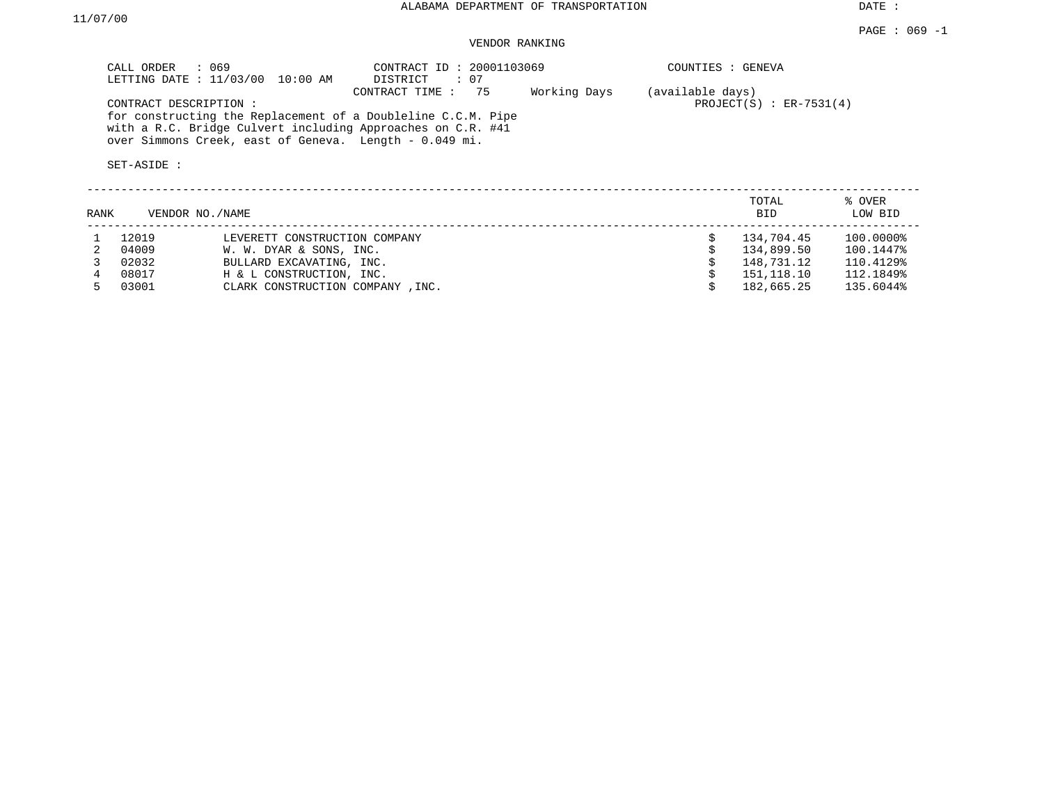DATE :

## VENDOR RANKING

| CALL ORDER : 069<br>LETTING DATE : $11/03/00$<br>10:00 AM                                                                                                                                                      | CONTRACT ID: 20001103069<br>: 07<br>DISTRICT |              | COUNTIES : GENEVA                              |  |
|----------------------------------------------------------------------------------------------------------------------------------------------------------------------------------------------------------------|----------------------------------------------|--------------|------------------------------------------------|--|
| CONTRACT DESCRIPTION:<br>for constructing the Replacement of a Doubleline C.C.M. Pipe<br>with a R.C. Bridge Culvert including Approaches on C.R. #41<br>over Simmons Creek, east of Geneva. Length - 0.049 mi. | CONTRACT TIME : 75                           | Working Days | (available days)<br>PROJECT $(S)$ : ER-7531(4) |  |
| SET-ASIDE:                                                                                                                                                                                                     |                                              |              |                                                |  |

| RANK | VENDOR NO./NAME |                                  | TOTAL<br><b>BID</b> | % OVER<br>LOW BID |
|------|-----------------|----------------------------------|---------------------|-------------------|
|      | 12019           | LEVERETT CONSTRUCTION COMPANY    | 134,704.45          | 100.0000%         |
|      | 04009           | W. W. DYAR & SONS, INC.          | 134,899.50          | 100.1447%         |
|      | 02032           | BULLARD EXCAVATING, INC.         | 148,731.12          | 110.4129%         |
|      | 08017           | H & L CONSTRUCTION, INC.         | 151,118.10          | 112.1849%         |
|      | 03001           | CLARK CONSTRUCTION COMPANY, INC. | 182,665.25          | 135.6044%         |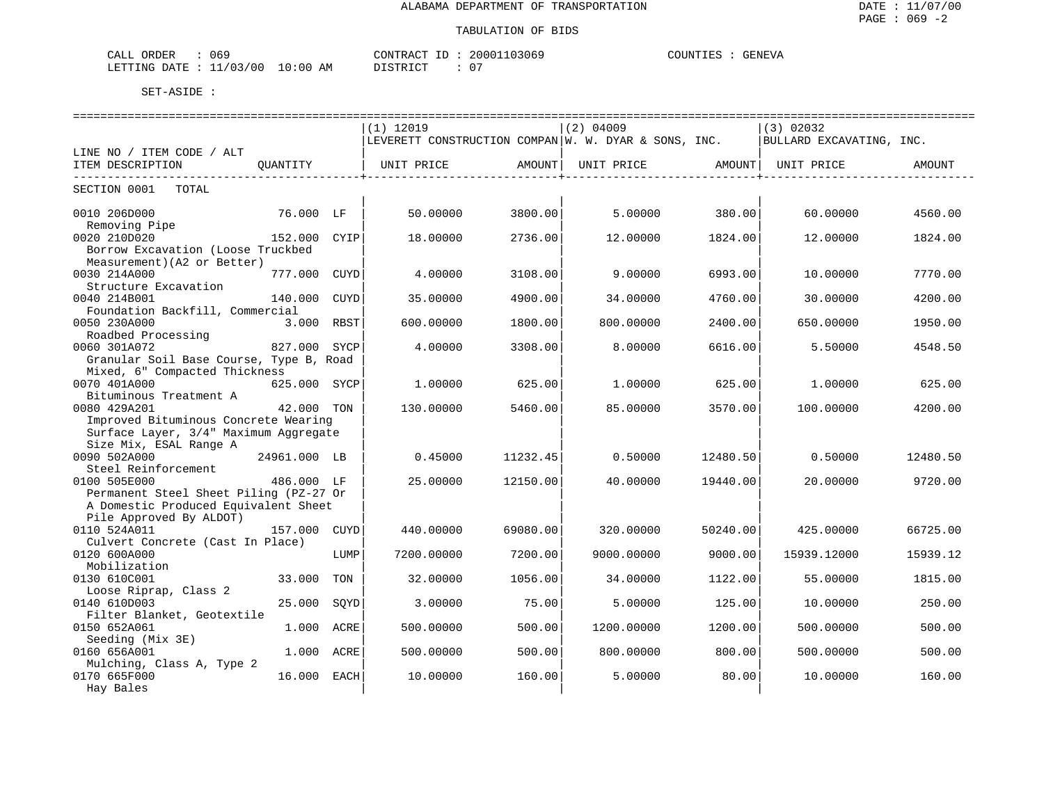| CALL ORDER                       | 069 | CONTRACT ID: | 20001103069 | COUNTIES | GENEVA |
|----------------------------------|-----|--------------|-------------|----------|--------|
| LETTING DATE : 11/03/00 10:00 AM |     | DISTRICT     | $0^7$       |          |        |

|                                         |              |             | $(1)$ 12019 |          | (2) 04009                                               |          | (3) 02032                |          |
|-----------------------------------------|--------------|-------------|-------------|----------|---------------------------------------------------------|----------|--------------------------|----------|
|                                         |              |             |             |          | LEVERETT CONSTRUCTION COMPAN $ W. W. DYAR & SONS, INC.$ |          | BULLARD EXCAVATING, INC. |          |
| LINE NO / ITEM CODE / ALT               |              |             |             |          |                                                         |          |                          |          |
| ITEM DESCRIPTION                        | OUANTITY     |             | UNIT PRICE  | AMOUNT   | UNIT PRICE                                              | AMOUNT   | UNIT PRICE               | AMOUNT   |
|                                         |              |             |             |          |                                                         |          |                          |          |
| SECTION 0001<br>TOTAL                   |              |             |             |          |                                                         |          |                          |          |
|                                         |              |             |             |          |                                                         |          |                          |          |
| 0010 206D000                            | 76.000 LF    |             | 50.00000    | 3800.00  | 5.00000                                                 | 380.00   | 60.00000                 | 4560.00  |
| Removing Pipe                           |              |             |             |          |                                                         |          |                          |          |
| 0020 210D020                            | 152.000      | CYIP        | 18,00000    | 2736.00  | 12.00000                                                | 1824.00  | 12,00000                 | 1824.00  |
| Borrow Excavation (Loose Truckbed       |              |             |             |          |                                                         |          |                          |          |
| Measurement) (A2 or Better)             |              |             |             |          |                                                         |          |                          |          |
| 0030 214A000                            | 777.000      | CUYD        | 4.00000     | 3108.00  | 9.00000                                                 | 6993.00  | 10.00000                 | 7770.00  |
| Structure Excavation                    |              |             |             |          |                                                         |          |                          |          |
| 0040 214B001                            | 140.000      | <b>CUYD</b> | 35.00000    | 4900.00  | 34.00000                                                | 4760.00  | 30.00000                 | 4200.00  |
| Foundation Backfill, Commercial         |              |             |             |          |                                                         |          |                          |          |
| 0050 230A000                            | 3.000 RBST   |             | 600.00000   | 1800.00  | 800.00000                                               | 2400.00  | 650.00000                | 1950.00  |
| Roadbed Processing                      |              |             |             |          |                                                         |          |                          |          |
| 0060 301A072                            | 827.000 SYCP |             | 4.00000     | 3308.00  | 8.00000                                                 | 6616.00  | 5.50000                  | 4548.50  |
| Granular Soil Base Course, Type B, Road |              |             |             |          |                                                         |          |                          |          |
| Mixed, 6" Compacted Thickness           |              |             |             |          |                                                         |          |                          |          |
| 0070 401A000                            | 625.000 SYCP |             | 1,00000     | 625.00   | 1,00000                                                 | 625.00   | 1,00000                  | 625.00   |
| Bituminous Treatment A                  |              |             |             |          |                                                         |          |                          |          |
| 0080 429A201                            | 42.000 TON   |             | 130.00000   | 5460.00  | 85.00000                                                | 3570.00  | 100,00000                | 4200.00  |
| Improved Bituminous Concrete Wearing    |              |             |             |          |                                                         |          |                          |          |
| Surface Layer, 3/4" Maximum Aggregate   |              |             |             |          |                                                         |          |                          |          |
|                                         |              |             |             |          |                                                         |          |                          |          |
| Size Mix, ESAL Range A                  |              |             |             |          |                                                         |          |                          |          |
| 0090 502A000                            | 24961.000 LB |             | 0.45000     | 11232.45 | 0.50000                                                 | 12480.50 | 0.50000                  | 12480.50 |
| Steel Reinforcement                     |              |             |             |          |                                                         |          |                          |          |
| 0100 505E000                            | 486.000 LF   |             | 25.00000    | 12150.00 | 40.00000                                                | 19440.00 | 20.00000                 | 9720.00  |
| Permanent Steel Sheet Piling (PZ-27 Or  |              |             |             |          |                                                         |          |                          |          |
| A Domestic Produced Equivalent Sheet    |              |             |             |          |                                                         |          |                          |          |
| Pile Approved By ALDOT)                 |              |             |             |          |                                                         |          |                          |          |
| 0110 524A011                            | 157.000      | CUYD        | 440.00000   | 69080.00 | 320.00000                                               | 50240.00 | 425.00000                | 66725.00 |
| Culvert Concrete (Cast In Place)        |              |             |             |          |                                                         |          |                          |          |
| 0120 600A000                            |              | LUMP        | 7200.00000  | 7200.00  | 9000.00000                                              | 9000.00  | 15939.12000              | 15939.12 |
| Mobilization                            |              |             |             |          |                                                         |          |                          |          |
| 0130 610C001                            | 33.000       | TON         | 32.00000    | 1056.00  | 34.00000                                                | 1122.00  | 55.00000                 | 1815.00  |
| Loose Riprap, Class 2                   |              |             |             |          |                                                         |          |                          |          |
| 0140 610D003                            | 25.000       | SOYD        | 3.00000     | 75.00    | 5.00000                                                 | 125.00   | 10.00000                 | 250.00   |
| Filter Blanket, Geotextile              |              |             |             |          |                                                         |          |                          |          |
| 0150 652A061                            | 1,000        | ACRE        | 500.00000   | 500.00   | 1200.00000                                              | 1200.00  | 500.00000                | 500.00   |
| Seeding (Mix 3E)                        |              |             |             |          |                                                         |          |                          |          |
| 0160 656A001                            | 1.000 ACRE   |             | 500.00000   | 500.00   | 800.00000                                               | 800.00   | 500.00000                | 500.00   |
| Mulching, Class A, Type 2               |              |             |             |          |                                                         |          |                          |          |
| 0170 665F000                            | 16.000 EACH  |             | 10.00000    | 160.00   | 5.00000                                                 | 80.00    | 10.00000                 | 160.00   |
| Hay Bales                               |              |             |             |          |                                                         |          |                          |          |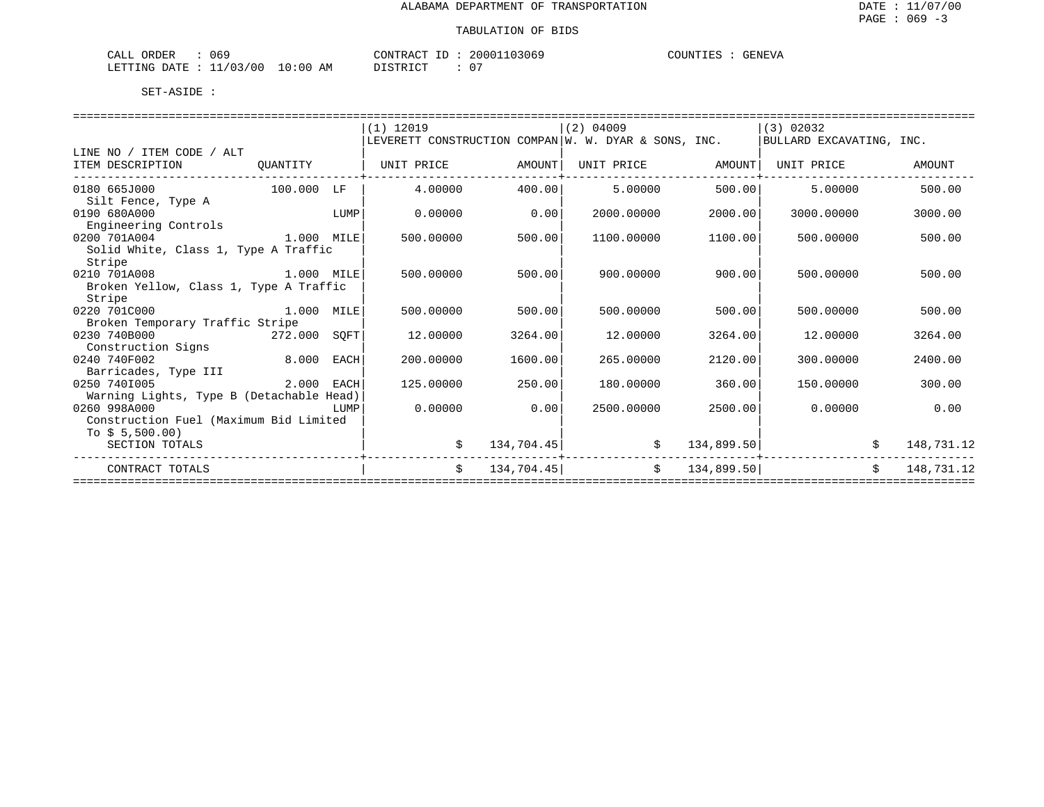| CALL ORDER<br>069               | CONTRACT ID: 20001103069 | COUNTIES :<br>GENEVA |
|---------------------------------|--------------------------|----------------------|
| LETTING DATE: 11/03/00 10:00 AM | DISTRICT                 |                      |

|                                          |            |      | $(1)$ 12019                                          |            | $(2)$ 04009 |            | $(3)$ 02032              |            |
|------------------------------------------|------------|------|------------------------------------------------------|------------|-------------|------------|--------------------------|------------|
|                                          |            |      | LEVERETT CONSTRUCTION COMPAN W. W. DYAR & SONS, INC. |            |             |            | BULLARD EXCAVATING, INC. |            |
| LINE NO / ITEM CODE / ALT                |            |      |                                                      |            |             |            |                          |            |
| ITEM DESCRIPTION                         | OUANTITY   |      | UNIT PRICE                                           | AMOUNT     | UNIT PRICE  | AMOUNT     | UNIT PRICE               | AMOUNT     |
|                                          |            |      |                                                      |            |             |            |                          |            |
| 0180 665J000                             | 100.000 LF |      | 4.00000                                              | 400.001    | 5.00000     | 500.00     | 5.00000                  | 500.00     |
| Silt Fence, Type A                       |            |      |                                                      |            |             |            |                          |            |
| 0190 680A000                             |            | LUMP | 0.00000                                              | 0.00       | 2000.00000  | 2000.00    | 3000.00000               | 3000.00    |
| Engineering Controls                     |            |      |                                                      |            |             |            |                          |            |
| 0200 701A004                             | 1.000 MILE |      | 500.00000                                            | 500.00     | 1100.00000  | 1100.00    | 500,00000                | 500.00     |
| Solid White, Class 1, Type A Traffic     |            |      |                                                      |            |             |            |                          |            |
| Stripe                                   |            |      |                                                      |            |             |            |                          |            |
| 0210 701A008                             | 1.000 MILE |      | 500.00000                                            | 500.00     | 900.00000   | 900.00     | 500.00000                | 500.00     |
| Broken Yellow, Class 1, Type A Traffic   |            |      |                                                      |            |             |            |                          |            |
| Stripe                                   |            |      |                                                      |            |             |            |                          |            |
| 0220 701C000                             | 1.000 MILE |      | 500.00000                                            | 500.00     | 500.00000   | 500.00     | 500.00000                | 500.00     |
| Broken Temporary Traffic Stripe          |            |      |                                                      |            |             |            |                          |            |
| 0230 740B000                             | 272.000    | SOFT | 12.00000                                             | 3264.00    | 12.00000    | 3264.00    | 12,00000                 | 3264.00    |
| Construction Signs                       |            |      |                                                      |            |             |            |                          |            |
| 0240 740F002                             | 8.000      | EACH | 200.00000                                            | 1600.00    | 265.00000   | 2120.00    | 300,00000                | 2400.00    |
| Barricades, Type III                     |            |      |                                                      |            |             |            |                          |            |
| 0250 7401005                             | 2.000 EACH |      | 125.00000                                            | 250.00     | 180.00000   | 360.00     | 150.00000                | 300.00     |
| Warning Lights, Type B (Detachable Head) |            |      |                                                      |            |             |            |                          |            |
| 0260 998A000                             |            | LUMP | 0.00000                                              | 0.00       | 2500.00000  | 2500.00    | 0.00000                  | 0.00       |
| Construction Fuel (Maximum Bid Limited   |            |      |                                                      |            |             |            |                          |            |
| To $$5,500.00)$                          |            |      |                                                      |            |             |            |                          |            |
| SECTION TOTALS                           |            |      | \$                                                   | 134,704.45 | \$          | 134,899.50 |                          | 148,731.12 |
|                                          |            |      |                                                      |            |             |            |                          |            |
| CONTRACT TOTALS                          |            |      | Ŝ.                                                   | 134,704.45 | S.          | 134,899.50 | Ŝ.                       | 148,731.12 |
|                                          |            |      |                                                      |            |             |            |                          |            |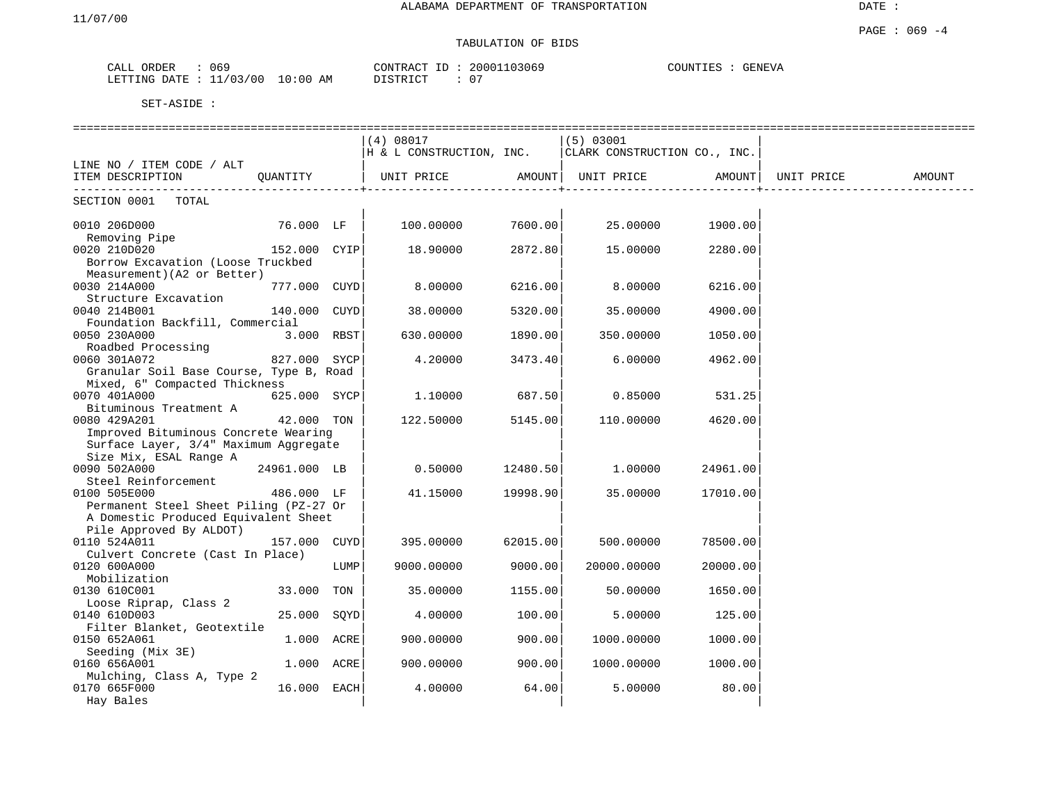# TABULATION OF BIDS

| ORDER<br>CALL | 069                           | $\sim$<br>CONTR<br>L'RAU<br>ىك. | 13069<br>20001 | COUNTIES<br>GENEVA |
|---------------|-------------------------------|---------------------------------|----------------|--------------------|
| LETTING DATE  | 10:00<br>/03<br>'00<br>AΜ<br> | $T \cap T$<br><b>DIOTE</b>      | n'<br>U        |                    |

|                                         |              |      | (4) 08017                |          | (5) 03001                    |          |            |        |
|-----------------------------------------|--------------|------|--------------------------|----------|------------------------------|----------|------------|--------|
|                                         |              |      | H & L CONSTRUCTION, INC. |          | CLARK CONSTRUCTION CO., INC. |          |            |        |
| LINE NO / ITEM CODE / ALT               |              |      |                          |          |                              |          |            |        |
| ITEM DESCRIPTION                        | OUANTITY     |      | UNIT PRICE               | AMOUNT   | UNIT PRICE                   | AMOUNT   | UNIT PRICE | AMOUNT |
| ______________________                  |              |      |                          |          |                              |          |            |        |
| SECTION 0001<br>TOTAL                   |              |      |                          |          |                              |          |            |        |
| 0010 206D000                            | 76.000 LF    |      | 100.00000                | 7600.00  | 25.00000                     | 1900.00  |            |        |
| Removing Pipe                           |              |      |                          |          |                              |          |            |        |
| 0020 210D020                            | 152.000 CYIP |      | 18.90000                 | 2872.80  | 15.00000                     | 2280.00  |            |        |
| Borrow Excavation (Loose Truckbed       |              |      |                          |          |                              |          |            |        |
| Measurement) (A2 or Better)             |              |      |                          |          |                              |          |            |        |
| 0030 214A000                            | 777.000 CUYD |      | 8.00000                  | 6216.00  | 8.00000                      | 6216.00  |            |        |
| Structure Excavation                    |              |      |                          |          |                              |          |            |        |
| 0040 214B001                            | 140.000 CUYD |      | 38.00000                 | 5320.00  | 35.00000                     | 4900.00  |            |        |
| Foundation Backfill, Commercial         |              |      |                          |          |                              |          |            |        |
| 0050 230A000                            | 3.000 RBST   |      | 630.00000                | 1890.00  | 350.00000                    | 1050.00  |            |        |
| Roadbed Processing                      |              |      |                          |          |                              |          |            |        |
| 0060 301A072                            | 827.000 SYCP |      | 4.20000                  | 3473.40  | 6.00000                      | 4962.00  |            |        |
| Granular Soil Base Course, Type B, Road |              |      |                          |          |                              |          |            |        |
| Mixed, 6" Compacted Thickness           |              |      |                          |          |                              |          |            |        |
| 0070 401A000                            | 625.000 SYCP |      | 1,10000                  | 687.50   | 0.85000                      | 531.25   |            |        |
| Bituminous Treatment A                  |              |      |                          |          |                              |          |            |        |
| 0080 429A201                            | 42.000 TON   |      | 122.50000                | 5145.00  | 110.00000                    | 4620.00  |            |        |
| Improved Bituminous Concrete Wearing    |              |      |                          |          |                              |          |            |        |
| Surface Layer, 3/4" Maximum Aggregate   |              |      |                          |          |                              |          |            |        |
| Size Mix, ESAL Range A                  |              |      |                          |          |                              |          |            |        |
| 0090 502A000                            | 24961.000 LB |      | 0.50000                  | 12480.50 | 1,00000                      | 24961.00 |            |        |
| Steel Reinforcement                     |              |      |                          |          |                              |          |            |        |
| 0100 505E000                            | 486.000 LF   |      | 41.15000                 | 19998.90 | 35.00000                     | 17010.00 |            |        |
| Permanent Steel Sheet Piling (PZ-27 Or  |              |      |                          |          |                              |          |            |        |
| A Domestic Produced Equivalent Sheet    |              |      |                          |          |                              |          |            |        |
| Pile Approved By ALDOT)                 |              |      |                          |          |                              |          |            |        |
| 0110 524A011                            | 157.000      | CUYD | 395.00000                | 62015.00 | 500.00000                    | 78500.00 |            |        |
| Culvert Concrete (Cast In Place)        |              |      |                          |          |                              |          |            |        |
| 0120 600A000                            |              | LUMP | 9000.00000               | 9000.00  | 20000.00000                  | 20000.00 |            |        |
| Mobilization                            |              |      |                          |          |                              |          |            |        |
|                                         |              |      |                          |          |                              |          |            |        |
| 0130 610C001                            | 33.000 TON   |      | 35.00000                 | 1155.00  | 50.00000                     | 1650.00  |            |        |
| Loose Riprap, Class 2                   |              |      |                          |          |                              |          |            |        |
| 0140 610D003                            | 25.000       | SQYD | 4.00000                  | 100.00   | 5.00000                      | 125.00   |            |        |
| Filter Blanket, Geotextile              |              |      |                          |          |                              |          |            |        |
| 0150 652A061                            | 1.000 ACRE   |      | 900.00000                | 900.00   | 1000.00000                   | 1000.00  |            |        |
| Seeding (Mix 3E)                        |              |      |                          |          |                              |          |            |        |
| 0160 656A001                            | 1.000 ACRE   |      | 900.00000                | 900.00   | 1000.00000                   | 1000.00  |            |        |
| Mulching, Class A, Type 2               |              |      |                          |          |                              |          |            |        |
| 0170 665F000                            | 16.000 EACH  |      | 4.00000                  | 64.00    | 5.00000                      | 80.00    |            |        |
| Hay Bales                               |              |      |                          |          |                              |          |            |        |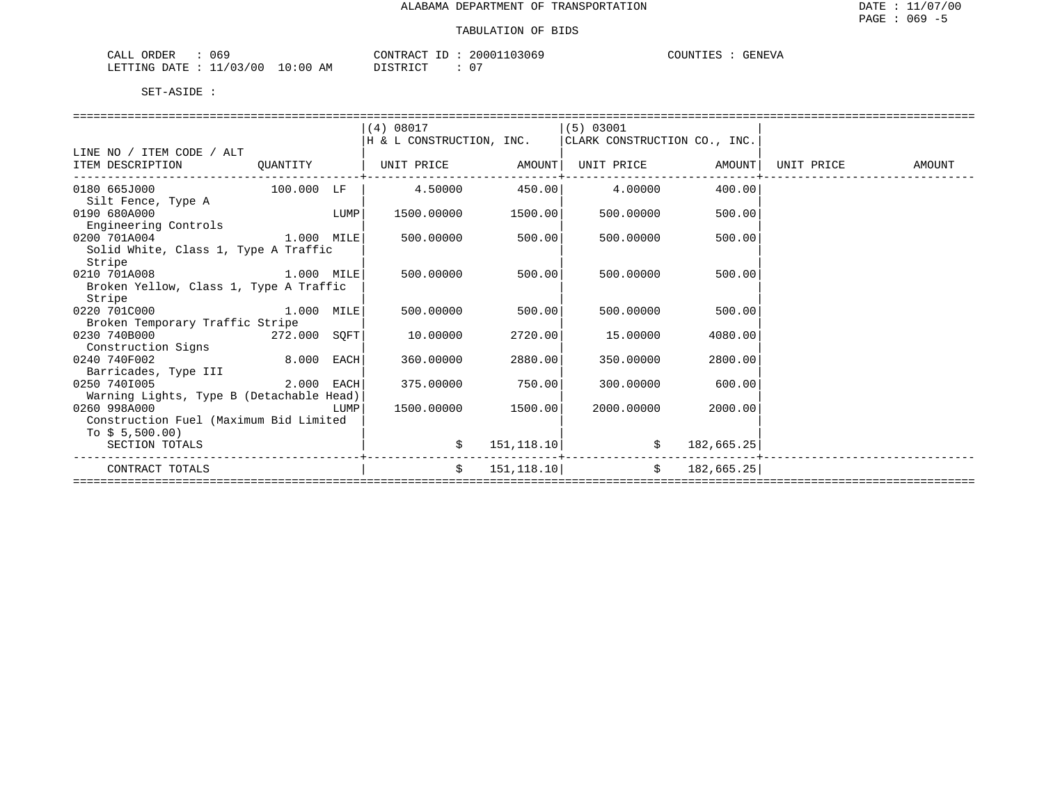| 069<br>ORDER<br>CALL     |             | CONTRACT<br>⊥ப       | 20001103069 | GENEVA<br>COUNTIES |
|--------------------------|-------------|----------------------|-------------|--------------------|
| 11/03/00<br>LETTING DATE | 10:00<br>ΆM | <b>PLATRICT</b><br>. | -07         |                    |

|                                          |              |      | (4) 08017                |             | (5) 03001                    |            |            |        |
|------------------------------------------|--------------|------|--------------------------|-------------|------------------------------|------------|------------|--------|
|                                          |              |      | H & L CONSTRUCTION, INC. |             | CLARK CONSTRUCTION CO., INC. |            |            |        |
| LINE NO / ITEM CODE / ALT                |              |      |                          |             |                              |            |            |        |
| ITEM DESCRIPTION                         | QUANTITY     |      | UNIT PRICE               | AMOUNT      | UNIT PRICE                   | AMOUNT     | UNIT PRICE | AMOUNT |
| 0180 665J000                             | $100.000$ LF |      | 4.50000                  | 450.00      | 4.00000                      | 400.00     |            |        |
| Silt Fence, Type A                       |              |      |                          |             |                              |            |            |        |
| 0190 680A000                             |              | LUMP | 1500.00000               | 1500.00     | 500,00000                    | 500.00     |            |        |
| Engineering Controls                     |              |      |                          |             |                              |            |            |        |
| 0200 701A004                             | 1.000 MILE   |      | 500.00000                | 500.00      | 500.00000                    | 500.00     |            |        |
| Solid White, Class 1, Type A Traffic     |              |      |                          |             |                              |            |            |        |
| Stripe                                   |              |      |                          |             |                              |            |            |        |
| 0210 701A008                             | $1.000$ MILE |      | 500.00000                | 500.00      | 500.00000                    | 500.00     |            |        |
| Broken Yellow, Class 1, Type A Traffic   |              |      |                          |             |                              |            |            |        |
| Stripe                                   |              |      |                          |             |                              |            |            |        |
| 0220 701C000                             | 1.000 MILE   |      | 500.00000                | 500.00      | 500.00000                    | 500.00     |            |        |
| Broken Temporary Traffic Stripe          |              |      |                          |             |                              |            |            |        |
| 0230 740B000                             | 272.000 SOFT |      | 10.00000                 | 2720.00     | 15,00000                     | 4080.00    |            |        |
| Construction Signs                       |              |      |                          |             |                              |            |            |        |
| 0240 740F002                             | 8.000 EACH   |      | 360.00000                | 2880.00     | 350.00000                    | 2800.00    |            |        |
| Barricades, Type III                     |              |      |                          |             |                              |            |            |        |
| 0250 7401005                             | 2.000 EACH   |      | 375.00000                | 750.00      | 300,00000                    | 600.00     |            |        |
| Warning Lights, Type B (Detachable Head) |              |      |                          |             |                              |            |            |        |
| 0260 998A000                             |              | LUMP | 1500.00000               | 1500.00     | 2000.00000                   | 2000.00    |            |        |
| Construction Fuel (Maximum Bid Limited   |              |      |                          |             |                              |            |            |        |
| To $$5,500.00)$                          |              |      |                          |             |                              |            |            |        |
| SECTION TOTALS                           |              |      | Ŝ.                       | 151, 118.10 | S.                           | 182,665.25 |            |        |
| CONTRACT TOTALS                          |              |      | Ŝ.                       | 151, 118.10 | $\mathsf{S}$                 | 182,665.25 |            |        |
|                                          |              |      |                          |             |                              |            |            |        |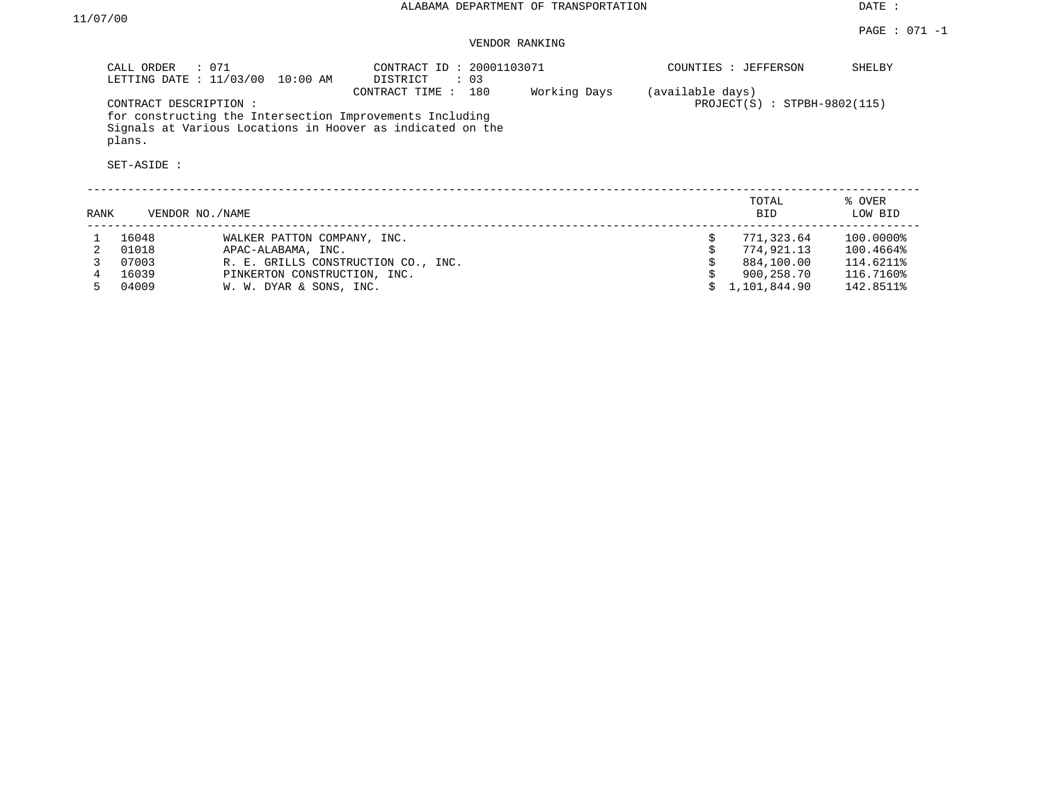### VENDOR RANKING

|      | $\therefore$ 071<br>CALL ORDER<br>LETTING DATE : 11/03/00 | 10:00 AM                            | CONTRACT ID: 20001103071<br>DISTRICT<br>: 03                                                                                                    |              |                  | COUNTIES : JEFFERSON           | SHELBY            |
|------|-----------------------------------------------------------|-------------------------------------|-------------------------------------------------------------------------------------------------------------------------------------------------|--------------|------------------|--------------------------------|-------------------|
|      | CONTRACT DESCRIPTION:<br>plans.<br>SET-ASIDE :            |                                     | 180<br>CONTRACT TIME:<br>for constructing the Intersection Improvements Including<br>Signals at Various Locations in Hoover as indicated on the | Working Days | (available days) | $PROJECT(S)$ : STPBH-9802(115) |                   |
| RANK | VENDOR NO./NAME                                           |                                     |                                                                                                                                                 |              |                  | TOTAL<br><b>BID</b>            | % OVER<br>LOW BID |
|      | 16048                                                     | WALKER PATTON COMPANY, INC.         |                                                                                                                                                 |              | \$               | 771,323.64                     | 100.0000%         |
| 2    | 01018                                                     | APAC-ALABAMA, INC.                  |                                                                                                                                                 |              |                  | 774,921.13                     | 100.4664%         |
|      | 07003                                                     | R. E. GRILLS CONSTRUCTION CO., INC. |                                                                                                                                                 |              |                  | 884,100.00                     | 114.6211%         |
|      | 16039                                                     | PINKERTON CONSTRUCTION, INC.        |                                                                                                                                                 |              |                  | 900,258.70                     | 116.7160%         |
| 5.   | 04009                                                     | W. W. DYAR & SONS, INC.             |                                                                                                                                                 |              |                  | 1,101,844.90                   | 142.8511%         |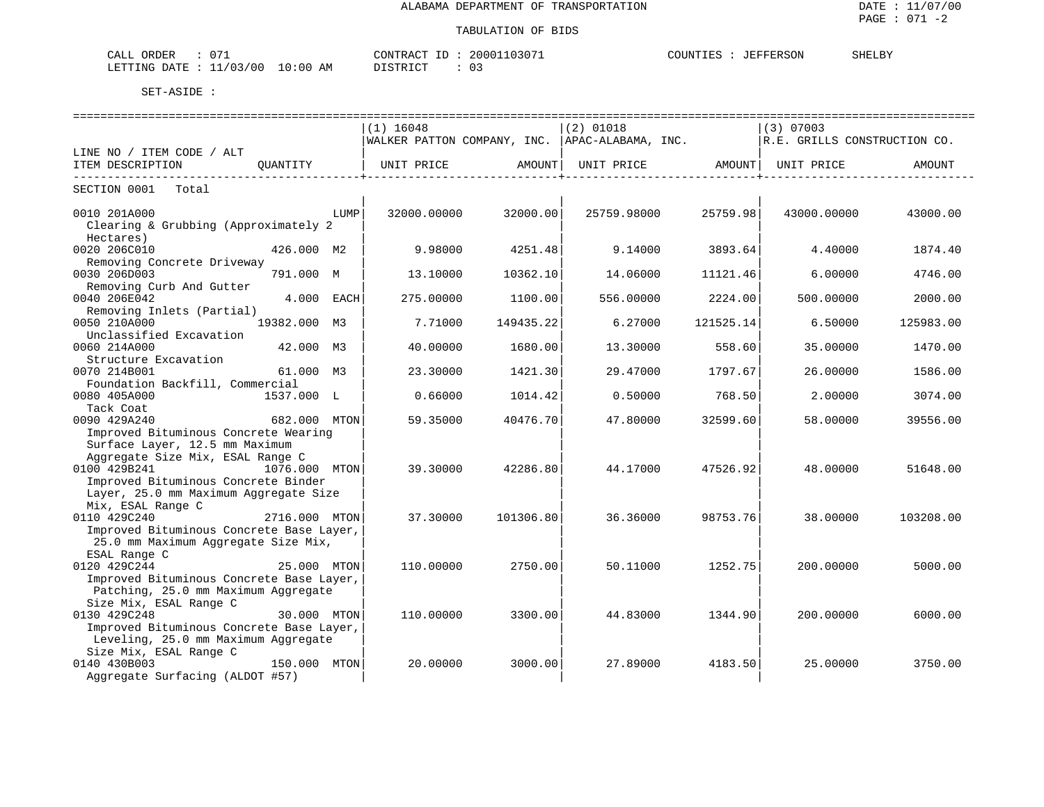| $\sim$ $\sim$<br>ORDER<br>CALL                                                   | 10307<br>2000<br>סידיזו∩ר<br>$\sim$ $\sim$<br>ז בי קיי | JEFFERSON<br>COUNTIES | SHELBY |
|----------------------------------------------------------------------------------|--------------------------------------------------------|-----------------------|--------|
| <b>ETTING</b><br>$\sim$<br>0٢)<br>7.M<br><b>DATH</b><br>0:00<br>лı.<br>$\cdot$ . | $C$ $C$ $T$ $D$ $T$ $C$ $T$<br>---                     |                       |        |

|                                                                                 | ============================                    |           | ============================= |                                | ===================          |           |
|---------------------------------------------------------------------------------|-------------------------------------------------|-----------|-------------------------------|--------------------------------|------------------------------|-----------|
|                                                                                 | $(1)$ 16048                                     |           | $(2)$ 01018                   |                                | $(3)$ 07003                  |           |
|                                                                                 | WALKER PATTON COMPANY, INC.  APAC-ALABAMA, INC. |           |                               |                                | R.E. GRILLS CONSTRUCTION CO. |           |
| LINE NO / ITEM CODE / ALT                                                       |                                                 |           |                               |                                |                              |           |
| ITEM DESCRIPTION<br>OUANTITY                                                    | UNIT PRICE                                      | AMOUNT    |                               | UNIT PRICE AMOUNT   UNIT PRICE |                              | AMOUNT    |
| -------------------------<br>SECTION 0001<br>Total                              |                                                 |           |                               | -------------------            |                              |           |
| 0010 201A000<br>LUMP                                                            | 32000.00000                                     | 32000.00  | 25759.98000                   | 25759.98                       | 43000.00000                  | 43000.00  |
| Clearing & Grubbing (Approximately 2<br>Hectares)                               |                                                 |           |                               |                                |                              |           |
| 0020 206C010<br>426.000 M2<br>Removing Concrete Driveway                        | 9.98000                                         | 4251.48   | 9.14000                       | 3893.64                        | 4.40000                      | 1874.40   |
| 0030 206D003<br>791.000 M                                                       | 13.10000                                        | 10362.10  | 14.06000                      | 11121.46                       | 6.00000                      | 4746.00   |
| Removing Curb And Gutter<br>0040 206E042<br>4.000 EACH                          | 275.00000                                       | 1100.00   | 556.00000                     | 2224.00                        | 500.00000                    | 2000.00   |
| Removing Inlets (Partial)<br>0050 210A000<br>19382.000<br>м3                    | 7.71000                                         | 149435.22 | 6.27000                       | 121525.14                      | 6.50000                      | 125983.00 |
| Unclassified Excavation                                                         |                                                 |           |                               |                                |                              |           |
| 0060 214A000<br>42.000 M3                                                       | 40.00000                                        | 1680.00   | 13.30000                      | 558.60                         | 35,00000                     | 1470.00   |
| Structure Excavation<br>0070 214B001<br>61.000 M3                               | 23.30000                                        | 1421.30   | 29.47000                      | 1797.67                        | 26.00000                     | 1586.00   |
| Foundation Backfill, Commercial                                                 |                                                 |           |                               |                                |                              |           |
| 0080 405A000<br>1537.000 L                                                      | 0.66000                                         | 1014.42   | 0.50000                       | 768.50                         | 2.00000                      | 3074.00   |
| Tack Coat<br>0090 429A240                                                       |                                                 |           |                               |                                |                              |           |
| 682.000 MTON<br>Improved Bituminous Concrete Wearing                            | 59.35000                                        | 40476.70  | 47.80000                      | 32599.60                       | 58,00000                     | 39556.00  |
| Surface Layer, 12.5 mm Maximum                                                  |                                                 |           |                               |                                |                              |           |
| Aggregate Size Mix, ESAL Range C                                                |                                                 |           |                               |                                |                              |           |
| 0100 429B241<br>1076.000 MTON                                                   | 39.30000                                        | 42286.80  | 44.17000                      | 47526.92                       | 48,00000                     | 51648.00  |
| Improved Bituminous Concrete Binder                                             |                                                 |           |                               |                                |                              |           |
| Layer, 25.0 mm Maximum Aggregate Size                                           |                                                 |           |                               |                                |                              |           |
| Mix, ESAL Range C                                                               |                                                 |           |                               |                                |                              |           |
| 0110 429C240<br>2716.000 MTON                                                   | 37.30000                                        | 101306.80 | 36.36000                      | 98753.76                       | 38,00000                     | 103208.00 |
| Improved Bituminous Concrete Base Layer,<br>25.0 mm Maximum Aggregate Size Mix, |                                                 |           |                               |                                |                              |           |
| ESAL Range C                                                                    |                                                 |           |                               |                                |                              |           |
| 0120 429C244<br>25.000 MTON                                                     | 110.00000                                       | 2750.00   | 50.11000                      | 1252.75                        | 200.00000                    | 5000.00   |
| Improved Bituminous Concrete Base Layer,                                        |                                                 |           |                               |                                |                              |           |
| Patching, 25.0 mm Maximum Aggregate                                             |                                                 |           |                               |                                |                              |           |
| Size Mix, ESAL Range C<br>0130 429C248<br>30.000 MTON                           | 110,00000                                       | 3300.00   | 44.83000                      | 1344.90                        | 200.00000                    | 6000.00   |
| Improved Bituminous Concrete Base Layer,                                        |                                                 |           |                               |                                |                              |           |
| Leveling, 25.0 mm Maximum Aggregate                                             |                                                 |           |                               |                                |                              |           |
| Size Mix, ESAL Range C                                                          |                                                 |           |                               |                                |                              |           |
| 0140 430B003<br>150.000 MTON                                                    | 20.00000                                        | 3000.00   | 27.89000                      | 4183.50                        | 25.00000                     | 3750.00   |
| Aggregate Surfacing (ALDOT #57)                                                 |                                                 |           |                               |                                |                              |           |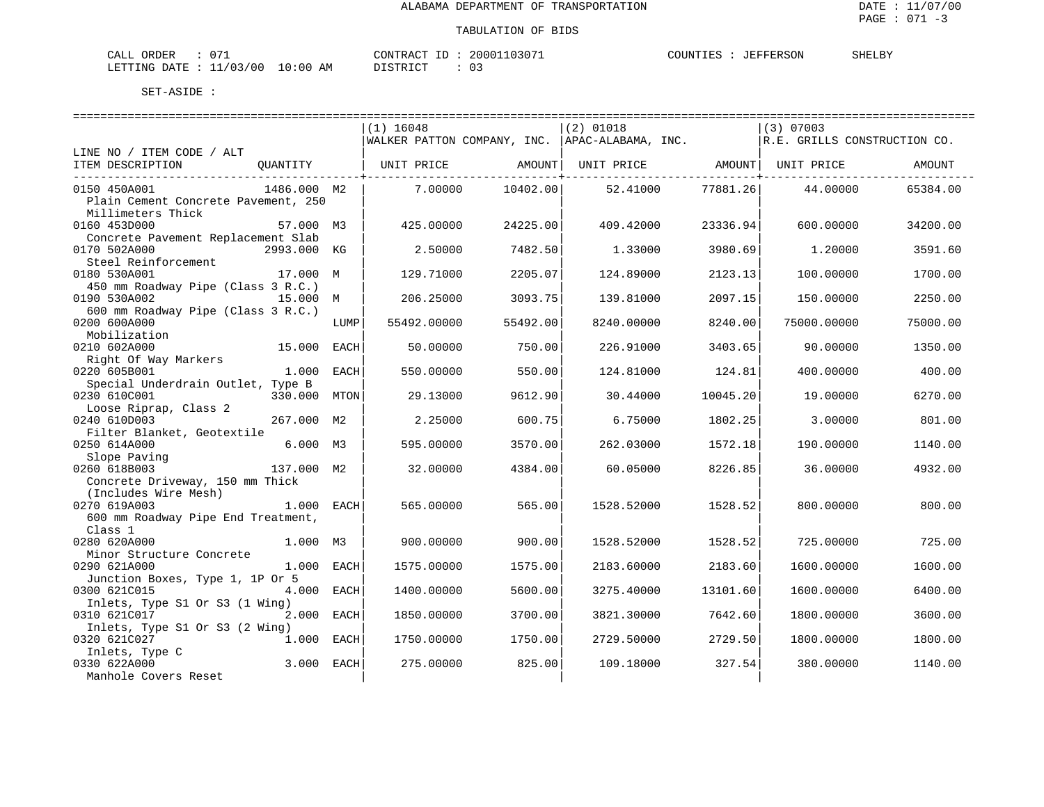| $\sim$ $\sim$<br>CALL ORDER             | 20001103071<br>CONTRACT ID: | <b>SHELBY</b><br>COUNTIES : JEFFERSON |  |
|-----------------------------------------|-----------------------------|---------------------------------------|--|
| LETTING DATE : $11/03/00$<br>$10:00$ AM | DISTRICT<br>-03             |                                       |  |

|                                                                   |      | ============================= |          | ==============================                  |                                                |                              |          |
|-------------------------------------------------------------------|------|-------------------------------|----------|-------------------------------------------------|------------------------------------------------|------------------------------|----------|
|                                                                   |      | $(1)$ 16048                   |          | $(2)$ 01018                                     |                                                | $(3)$ 07003                  |          |
|                                                                   |      |                               |          | WALKER PATTON COMPANY, INC.  APAC-ALABAMA, INC. |                                                | R.E. GRILLS CONSTRUCTION CO. |          |
| LINE NO / ITEM CODE / ALT                                         |      |                               |          |                                                 |                                                |                              |          |
| ITEM DESCRIPTION<br>QUANTITY                                      |      | UNIT PRICE                    | AMOUNT   | UNIT PRICE AMOUNT   UNIT PRICE                  | . _ _ _ _ _ _ _ _ _ _ <del>_</del> _ _ _ _ _ _ |                              | AMOUNT   |
| 1486.000 M2<br>0150 450A001                                       |      | 7.00000                       | 10402.00 | 52.41000                                        | 77881.26                                       | 44.00000                     | 65384.00 |
| Plain Cement Concrete Pavement, 250                               |      |                               |          |                                                 |                                                |                              |          |
| Millimeters Thick                                                 |      |                               |          |                                                 |                                                |                              |          |
| 0160 453D000<br>57.000 M3                                         |      | 425.00000                     | 24225.00 | 409.42000                                       | 23336.94                                       | 600,00000                    | 34200.00 |
| Concrete Pavement Replacement Slab                                |      |                               |          |                                                 |                                                |                              |          |
| 0170 502A000<br>2993.000 KG                                       |      | 2.50000                       | 7482.50  | 1.33000                                         | 3980.69                                        | 1,20000                      | 3591.60  |
| Steel Reinforcement                                               |      |                               |          |                                                 |                                                |                              |          |
| 0180 530A001<br>17.000 M                                          |      | 129.71000                     | 2205.07  | 124.89000                                       | 2123.13                                        | 100.00000                    | 1700.00  |
| 450 mm Roadway Pipe (Class 3 R.C.)                                |      |                               |          |                                                 |                                                |                              |          |
| 0190 530A002<br>15.000 M                                          |      | 206.25000                     | 3093.75  | 139.81000                                       | 2097.15                                        | 150.00000                    | 2250.00  |
| 600 mm Roadway Pipe (Class 3 R.C.)                                |      |                               |          |                                                 |                                                |                              |          |
| 0200 600A000                                                      | LUMP | 55492.00000                   | 55492.00 | 8240.00000                                      | 8240.00                                        | 75000.00000                  | 75000.00 |
| Mobilization                                                      |      |                               |          |                                                 |                                                |                              |          |
| 0210 602A000<br>15.000 EACH                                       |      | 50.00000                      | 750.00   | 226.91000                                       | 3403.65                                        | 90.00000                     | 1350.00  |
| Right Of Way Markers                                              |      |                               |          |                                                 |                                                |                              |          |
| 0220 605B001<br>$1.000$ EACH                                      |      | 550.00000                     | 550.00   | 124.81000                                       | 124.81                                         | 400.00000                    | 400.00   |
| Special Underdrain Outlet, Type B<br>0230 610C001<br>330.000 MTON |      |                               |          |                                                 |                                                |                              |          |
| Loose Riprap, Class 2                                             |      | 29.13000                      | 9612.90  | 30.44000                                        | 10045.20                                       | 19.00000                     | 6270.00  |
| 0240 610D003<br>267.000 M2                                        |      | 2.25000                       | 600.75   | 6.75000                                         | 1802.25                                        | 3.00000                      | 801.00   |
| Filter Blanket, Geotextile                                        |      |                               |          |                                                 |                                                |                              |          |
| $6.000$ M3<br>0250 614A000                                        |      | 595.00000                     | 3570.00  | 262.03000                                       | 1572.18                                        | 190.00000                    | 1140.00  |
| Slope Paving                                                      |      |                               |          |                                                 |                                                |                              |          |
| 0260 618B003<br>137.000 M2                                        |      | 32.00000                      | 4384.00  | 60.05000                                        | 8226.85                                        | 36.00000                     | 4932.00  |
| Concrete Driveway, 150 mm Thick                                   |      |                               |          |                                                 |                                                |                              |          |
| (Includes Wire Mesh)                                              |      |                               |          |                                                 |                                                |                              |          |
| 0270 619A003<br>1.000 EACH                                        |      | 565.00000                     | 565.00   | 1528.52000                                      | 1528.52                                        | 800.00000                    | 800.00   |
| 600 mm Roadway Pipe End Treatment,                                |      |                               |          |                                                 |                                                |                              |          |
| Class 1                                                           |      |                               |          |                                                 |                                                |                              |          |
| 0280 620A000<br>1.000 M3                                          |      | 900.00000                     | 900.00   | 1528.52000                                      | 1528.52                                        | 725.00000                    | 725.00   |
| Minor Structure Concrete                                          |      |                               |          |                                                 |                                                |                              |          |
| 1.000 EACH<br>0290 621A000                                        |      | 1575.00000                    | 1575.00  | 2183.60000                                      | 2183.60                                        | 1600.00000                   | 1600.00  |
| Junction Boxes, Type 1, 1P Or 5                                   |      |                               |          |                                                 |                                                |                              |          |
| 0300 621C015<br>4.000 EACH                                        |      | 1400.00000                    | 5600.00  | 3275.40000                                      | 13101.60                                       | 1600.00000                   | 6400.00  |
| Inlets, Type S1 Or S3 (1 Wing)                                    |      |                               |          |                                                 |                                                |                              |          |
| 0310 621C017<br>2.000 EACH                                        |      | 1850.00000                    | 3700.00  | 3821.30000                                      | 7642.60                                        | 1800.00000                   | 3600.00  |
| Inlets, Type S1 Or S3 (2 Wing)                                    |      |                               |          |                                                 |                                                |                              |          |
| 0320 621C027<br>1.000 EACH<br>Inlets, Type C                      |      | 1750.00000                    | 1750.00  | 2729.50000                                      | 2729.50                                        | 1800.00000                   | 1800.00  |
| 0330 622A000<br>3.000 EACH                                        |      | 275.00000                     | 825.00   | 109.18000                                       | 327.54                                         | 380.00000                    | 1140.00  |
| Manhole Covers Reset                                              |      |                               |          |                                                 |                                                |                              |          |
|                                                                   |      |                               |          |                                                 |                                                |                              |          |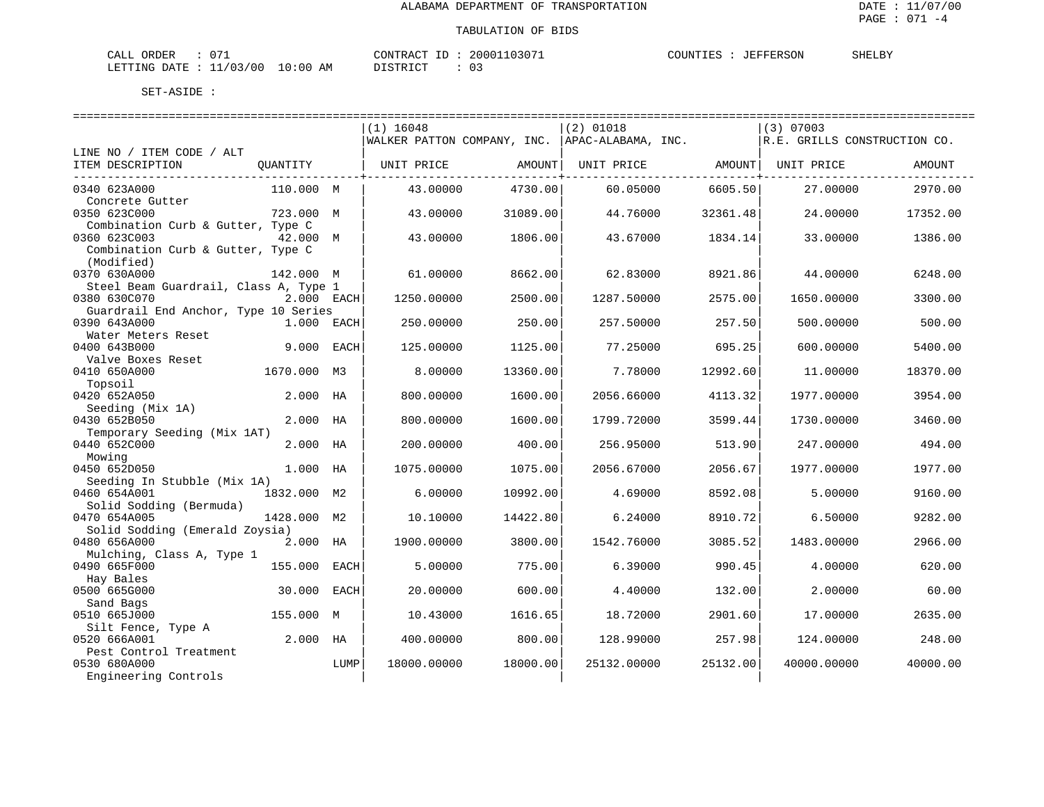| $\sim$ $\sim$<br>CALL ORDER         | CONTRACT ID: 20001103071 | COUNTIES<br>: JEFFERSON | SHELBY |
|-------------------------------------|--------------------------|-------------------------|--------|
| LETTING DATE : 11/03/00<br>10:00 AM | DISTRICT<br>U3           |                         |        |

|                                                                                        |              |      | $(1)$ 16048                 |          | $(2)$ 01018        |          | $(3)$ 07003                  |          |
|----------------------------------------------------------------------------------------|--------------|------|-----------------------------|----------|--------------------|----------|------------------------------|----------|
|                                                                                        |              |      | WALKER PATTON COMPANY, INC. |          | APAC-ALABAMA, INC. |          | R.E. GRILLS CONSTRUCTION CO. |          |
| LINE NO / ITEM CODE / ALT                                                              |              |      |                             |          |                    |          |                              |          |
| ITEM DESCRIPTION                                                                       | QUANTITY     |      | UNIT PRICE                  | AMOUNT   | UNIT PRICE         | AMOUNT   | UNIT PRICE                   | AMOUNT   |
| 0340 623A000                                                                           | 110.000 M    |      | 43.00000                    | 4730.00  | 60.05000           | 6605.50  | 27,00000                     | 2970.00  |
| Concrete Gutter<br>0350 623C000                                                        | 723.000 M    |      | 43.00000                    | 31089.00 | 44.76000           | 32361.48 | 24.00000                     | 17352.00 |
| Combination Curb & Gutter, Type C<br>0360 623C003<br>Combination Curb & Gutter, Type C | 42.000 M     |      | 43.00000                    | 1806.00  | 43.67000           | 1834.14  | 33.00000                     | 1386.00  |
| (Modified)<br>0370 630A000                                                             | 142.000 M    |      | 61.00000                    | 8662.00  | 62.83000           | 8921.86  | 44.00000                     | 6248.00  |
| Steel Beam Guardrail, Class A, Type 1<br>0380 630C070                                  | 2.000 EACH   |      | 1250.00000                  | 2500.00  | 1287.50000         | 2575.00  | 1650.00000                   | 3300.00  |
| Guardrail End Anchor, Type 10 Series<br>0390 643A000                                   | $1.000$ EACH |      | 250.00000                   | 250.00   | 257.50000          | 257.50   | 500.00000                    | 500.00   |
| Water Meters Reset<br>0400 643B000                                                     | 9.000 EACH   |      | 125.00000                   | 1125.00  | 77.25000           | 695.25   | 600.00000                    | 5400.00  |
| Valve Boxes Reset<br>0410 650A000<br>Topsoil                                           | 1670.000 M3  |      | 8,00000                     | 13360.00 | 7.78000            | 12992.60 | 11,00000                     | 18370.00 |
| 0420 652A050<br>Seeding (Mix 1A)                                                       | 2.000 HA     |      | 800.00000                   | 1600.00  | 2056.66000         | 4113.32  | 1977.00000                   | 3954.00  |
| 0430 652B050<br>Temporary Seeding (Mix 1AT)                                            | 2.000 HA     |      | 800,00000                   | 1600.00  | 1799.72000         | 3599.44  | 1730.00000                   | 3460.00  |
| 0440 652C000<br>Mowing                                                                 | 2.000        | HA   | 200.00000                   | 400.00   | 256.95000          | 513.90   | 247.00000                    | 494.00   |
| 0450 652D050<br>Seeding In Stubble (Mix 1A)                                            | 1.000 HA     |      | 1075.00000                  | 1075.00  | 2056.67000         | 2056.67  | 1977.00000                   | 1977.00  |
| 0460 654A001<br>Solid Sodding (Bermuda)                                                | 1832.000 M2  |      | 6.00000                     | 10992.00 | 4.69000            | 8592.08  | 5.00000                      | 9160.00  |
| 0470 654A005<br>Solid Sodding (Emerald Zoysia)                                         | 1428.000 M2  |      | 10.10000                    | 14422.80 | 6.24000            | 8910.72  | 6.50000                      | 9282.00  |
| 0480 656A000<br>Mulching, Class A, Type 1                                              | 2.000 HA     |      | 1900.00000                  | 3800.00  | 1542.76000         | 3085.52  | 1483.00000                   | 2966.00  |
| 0490 665F000<br>Hay Bales                                                              | 155.000      | EACH | 5.00000                     | 775.00   | 6.39000            | 990.45   | 4.00000                      | 620.00   |
| 0500 665G000<br>Sand Bags                                                              | 30.000       | EACH | 20.00000                    | 600.00   | 4.40000            | 132.00   | 2.00000                      | 60.00    |
| 0510 665J000<br>Silt Fence, Type A                                                     | 155.000 M    |      | 10.43000                    | 1616.65  | 18.72000           | 2901.60  | 17.00000                     | 2635.00  |
| 0520 666A001<br>Pest Control Treatment                                                 | 2.000 HA     |      | 400.00000                   | 800.00   | 128.99000          | 257.98   | 124.00000                    | 248.00   |
| 0530 680A000<br>Engineering Controls                                                   |              | LUMP | 18000.00000                 | 18000.00 | 25132.00000        | 25132.00 | 40000.00000                  | 40000.00 |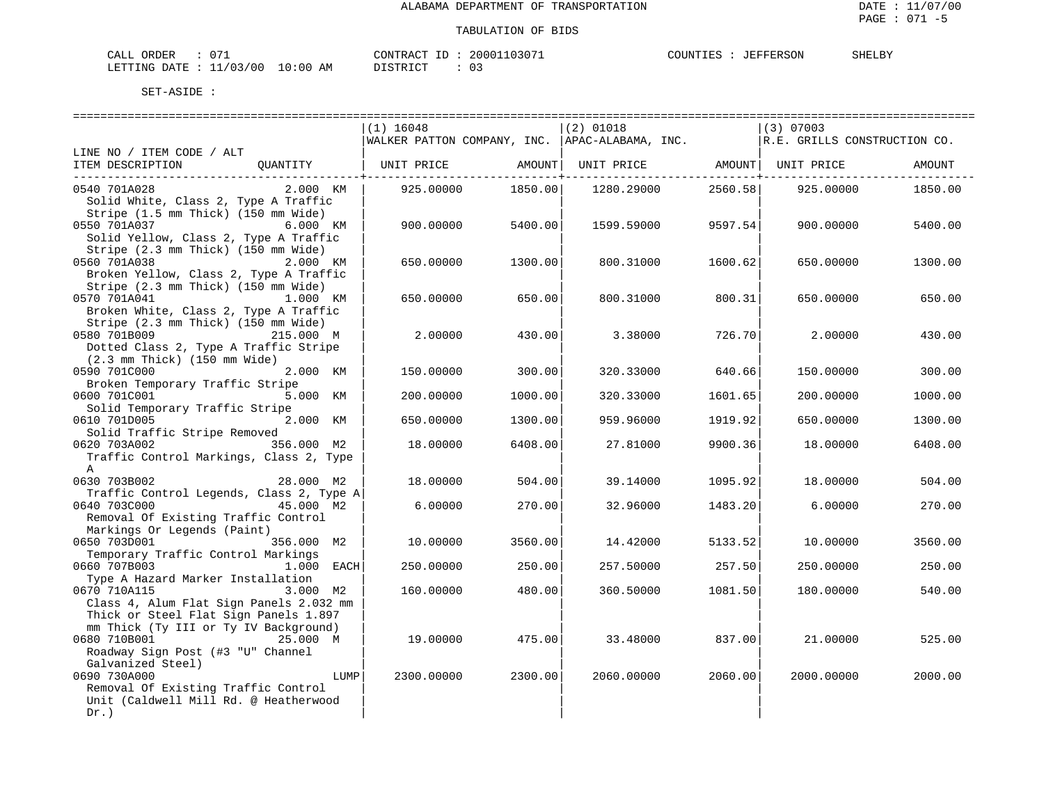| $\sim$ $-$<br>ORDER<br>$\bigcap \pi$ $\tau$<br>ىلىلەت |            | CONTRACT<br>ш.  | 20001103071 | JEFFERSON<br>COUNTIES | SHELBY |
|-------------------------------------------------------|------------|-----------------|-------------|-----------------------|--------|
| LETTING DATE : 11/03/00                               | $10:00$ AM | $1557R$ T $C^T$ |             |                       |        |

|                                                                              | $(1)$ 16048       |         | $(2)$ 01018                                                                   |         | $(3)$ 07003 |         |
|------------------------------------------------------------------------------|-------------------|---------|-------------------------------------------------------------------------------|---------|-------------|---------|
|                                                                              |                   |         | WALKER PATTON COMPANY, INC.  APAC-ALABAMA, INC.  R.E. GRILLS CONSTRUCTION CO. |         |             |         |
| LINE NO / ITEM CODE / ALT                                                    |                   |         |                                                                               |         |             |         |
| ITEM DESCRIPTION QUANTITY   UNIT PRICE AMOUNT  UNIT PRICE AMOUNT  UNIT PRICE |                   |         |                                                                               |         |             | AMOUNT  |
|                                                                              |                   |         |                                                                               |         |             |         |
| $2.000$ KM<br>0540 701A028                                                   | 925.00000 1850.00 |         | 1280.29000 2560.58                                                            |         | 925.00000   | 1850.00 |
| Solid White, Class 2, Type A Traffic                                         |                   |         |                                                                               |         |             |         |
| Stripe (1.5 mm Thick) (150 mm Wide)                                          |                   |         |                                                                               |         |             |         |
| 0550 701A037<br>6.000 KM                                                     | 900.00000         | 5400.00 | 1599.59000                                                                    | 9597.54 | 900.00000   | 5400.00 |
| Solid Yellow, Class 2, Type A Traffic                                        |                   |         |                                                                               |         |             |         |
| Stripe (2.3 mm Thick) (150 mm Wide)                                          |                   |         |                                                                               |         |             |         |
| 0560 701A038<br>2.000 KM                                                     | 650.00000         | 1300.00 | 800.31000                                                                     | 1600.62 | 650.00000   | 1300.00 |
| Broken Yellow, Class 2, Type A Traffic                                       |                   |         |                                                                               |         |             |         |
| Stripe (2.3 mm Thick) (150 mm Wide)                                          |                   |         |                                                                               |         |             |         |
| 0570 701A041<br>1.000 KM                                                     | 650.00000         | 650.00  | 800.31000                                                                     | 800.31  | 650.00000   | 650.00  |
| Broken White, Class 2, Type A Traffic                                        |                   |         |                                                                               |         |             |         |
| Stripe (2.3 mm Thick) (150 mm Wide)                                          |                   |         |                                                                               |         |             |         |
| 0580 701B009<br>215.000 M                                                    | 2,00000           | 430.00  | 3.38000                                                                       | 726.70  | 2,00000     | 430.00  |
| Dotted Class 2, Type A Traffic Stripe                                        |                   |         |                                                                               |         |             |         |
| $(2.3 \, \text{mm}$ Thick) $(150 \, \text{mm}$ Wide)                         |                   |         |                                                                               |         |             |         |
| 0590 701C000<br>2.000 KM                                                     | 150.00000         | 300.00  | 320.33000                                                                     | 640.66  | 150.00000   | 300.00  |
| Broken Temporary Traffic Stripe                                              |                   |         |                                                                               |         |             |         |
| 0600 701C001<br>5.000 KM                                                     | 200.00000         | 1000.00 | 320.33000                                                                     | 1601.65 | 200.00000   | 1000.00 |
| Solid Temporary Traffic Stripe                                               |                   |         |                                                                               |         |             |         |
| 0610 701D005<br>2.000 KM                                                     | 650.00000         | 1300.00 | 959.96000                                                                     | 1919.92 | 650.00000   | 1300.00 |
| Solid Traffic Stripe Removed                                                 |                   |         |                                                                               |         |             |         |
| 0620 703A002<br>356.000 M2                                                   | 18.00000          | 6408.00 | 27.81000                                                                      | 9900.36 | 18.00000    | 6408.00 |
| Traffic Control Markings, Class 2, Type                                      |                   |         |                                                                               |         |             |         |
| $\mathsf{A}$                                                                 |                   |         |                                                                               |         |             |         |
| 0630 703B002<br>28.000 M2                                                    | 18.00000          | 504.00  | 39.14000                                                                      | 1095.92 | 18.00000    | 504.00  |
| Traffic Control Legends, Class 2, Type A                                     |                   |         |                                                                               |         |             |         |
| 0640 703C000<br>45.000 M2                                                    | 6.00000           | 270.00  | 32.96000                                                                      | 1483.20 | 6.00000     | 270.00  |
| Removal Of Existing Traffic Control                                          |                   |         |                                                                               |         |             |         |
| Markings Or Legends (Paint)                                                  |                   |         |                                                                               |         |             |         |
| 0650 703D001<br>356.000 M2                                                   | 10.00000          | 3560.00 | 14.42000                                                                      | 5133.52 | 10.00000    | 3560.00 |
| Temporary Traffic Control Markings                                           |                   |         |                                                                               |         |             |         |
| 0660 707B003<br>1.000 EACH                                                   | 250.00000         | 250.00  | 257.50000                                                                     | 257.50  | 250.00000   | 250.00  |
| Type A Hazard Marker Installation                                            |                   |         |                                                                               |         |             |         |
| 0670 710A115<br>3.000 M2                                                     | 160.00000         | 480.00  | 360.50000                                                                     | 1081.50 | 180.00000   | 540.00  |
| Class 4, Alum Flat Sign Panels 2.032 mm                                      |                   |         |                                                                               |         |             |         |
| Thick or Steel Flat Sign Panels 1.897                                        |                   |         |                                                                               |         |             |         |
| mm Thick (Ty III or Ty IV Background)                                        |                   |         |                                                                               |         |             |         |
| 0680 710B001<br>25.000 M                                                     | 19.00000          | 475.00  | 33.48000                                                                      | 837.00  | 21.00000    | 525.00  |
| Roadway Sign Post (#3 "U" Channel                                            |                   |         |                                                                               |         |             |         |
| Galvanized Steel)                                                            |                   |         |                                                                               |         |             |         |
| 0690 730A000<br>LUMP                                                         | 2300.00000        | 2300.00 | 2060.00000                                                                    | 2060.00 | 2000.00000  | 2000.00 |
| Removal Of Existing Traffic Control                                          |                   |         |                                                                               |         |             |         |
| Unit (Caldwell Mill Rd. @ Heatherwood                                        |                   |         |                                                                               |         |             |         |
| $Dr.$ )                                                                      |                   |         |                                                                               |         |             |         |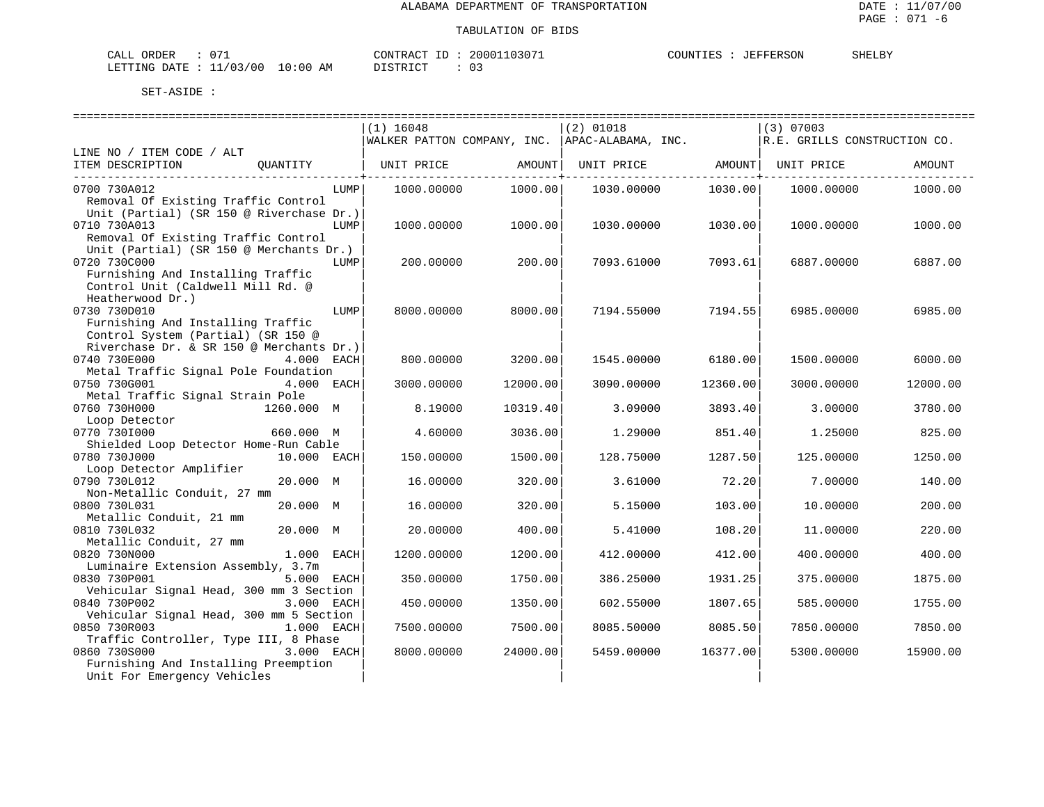| $\cap$<br>CALL ORDER           |            | CONTRACT<br>חד | 20001103071 | COUNTIES :<br>JEFFERSON | SHELBY |
|--------------------------------|------------|----------------|-------------|-------------------------|--------|
| : 11/03/00<br>LETTING DATE : ' | $10:00$ AM | DISTRICT       | $\Omega$ :  |                         |        |

|                                                                                | $(1)$ 16048        |                             | $(2)$ 01018                                     |                                     | $(3)$ 07003                  |          |
|--------------------------------------------------------------------------------|--------------------|-----------------------------|-------------------------------------------------|-------------------------------------|------------------------------|----------|
|                                                                                |                    |                             | WALKER PATTON COMPANY, INC.  APAC-ALABAMA, INC. |                                     | R.E. GRILLS CONSTRUCTION CO. |          |
| LINE NO / ITEM CODE / ALT                                                      |                    |                             |                                                 |                                     |                              |          |
| ITEM DESCRIPTION<br>OUANTITY                                                   | UNIT PRICE         | AMOUNT<br>$- - - - - - - +$ |                                                 | UNIT PRICE AMOUNT<br>------------+- | UNIT PRICE                   | AMOUNT   |
| 0700 730A012                                                                   | 1000.00000<br>LUMP | 1000.00                     | 1030.00000                                      | 1030.00                             | 1000.00000                   | 1000.00  |
| Removal Of Existing Traffic Control                                            |                    |                             |                                                 |                                     |                              |          |
| Unit (Partial) (SR 150 @ Riverchase Dr.)                                       |                    |                             |                                                 |                                     |                              |          |
| 0710 730A013                                                                   | LUMP<br>1000.00000 | 1000.00                     | 1030.00000                                      | 1030.00                             | 1000.00000                   | 1000.00  |
| Removal Of Existing Traffic Control                                            |                    |                             |                                                 |                                     |                              |          |
| Unit (Partial) (SR 150 @ Merchants Dr.)                                        |                    |                             |                                                 |                                     |                              |          |
| 0720 730C000                                                                   | 200.00000<br>LUMP  | 200.00                      | 7093.61000                                      | 7093.61                             | 6887.00000                   | 6887.00  |
| Furnishing And Installing Traffic                                              |                    |                             |                                                 |                                     |                              |          |
| Control Unit (Caldwell Mill Rd. @                                              |                    |                             |                                                 |                                     |                              |          |
| Heatherwood Dr.)                                                               |                    |                             |                                                 |                                     |                              |          |
| 0730 730D010                                                                   | LUMP<br>8000.00000 | 8000.00                     | 7194.55000                                      | 7194.55                             | 6985,00000                   | 6985.00  |
| Furnishing And Installing Traffic                                              |                    |                             |                                                 |                                     |                              |          |
| Control System (Partial) (SR 150 @<br>Riverchase Dr. & SR 150 @ Merchants Dr.) |                    |                             |                                                 |                                     |                              |          |
| 0740 730E000<br>4.000 EACH                                                     | 800.00000          | 3200.00                     | 1545.00000                                      | 6180.00                             | 1500.00000                   | 6000.00  |
| Metal Traffic Signal Pole Foundation                                           |                    |                             |                                                 |                                     |                              |          |
| 0750 730G001<br>4.000 EACH                                                     | 3000.00000         | 12000.00                    | 3090.00000                                      | 12360.00                            | 3000.00000                   | 12000.00 |
| Metal Traffic Signal Strain Pole                                               |                    |                             |                                                 |                                     |                              |          |
| 0760 730H000<br>1260.000 M                                                     | 8.19000            | 10319.40                    | 3.09000                                         | 3893.40                             | 3.00000                      | 3780.00  |
| Loop Detector                                                                  |                    |                             |                                                 |                                     |                              |          |
| 0770 7301000<br>660.000 M                                                      | 4.60000            | 3036.00                     | 1,29000                                         | 851.40                              | 1.25000                      | 825.00   |
| Shielded Loop Detector Home-Run Cable                                          |                    |                             |                                                 |                                     |                              |          |
| 0780 730J000<br>10.000 EACH                                                    | 150.00000          | 1500.00                     | 128.75000                                       | 1287.50                             | 125.00000                    | 1250.00  |
| Loop Detector Amplifier                                                        |                    |                             |                                                 |                                     |                              |          |
| 0790 730L012<br>20.000 M                                                       | 16.00000           | 320.00                      | 3.61000                                         | 72.20                               | 7.00000                      | 140.00   |
| Non-Metallic Conduit, 27 mm<br>20.000 M<br>0800 730L031                        | 16.00000           | 320.00                      | 5.15000                                         | 103.00                              | 10.00000                     | 200.00   |
| Metallic Conduit, 21 mm                                                        |                    |                             |                                                 |                                     |                              |          |
| 0810 730L032<br>20.000 M                                                       | 20.00000           | 400.00                      | 5.41000                                         | 108.20                              | 11,00000                     | 220.00   |
| Metallic Conduit, 27 mm                                                        |                    |                             |                                                 |                                     |                              |          |
| 0820 730N000<br>1.000 EACH                                                     | 1200.00000         | 1200.00                     | 412.00000                                       | 412.00                              | 400.00000                    | 400.00   |
| Luminaire Extension Assembly, 3.7m                                             |                    |                             |                                                 |                                     |                              |          |
| 0830 730P001<br>5.000 EACH                                                     | 350.00000          | 1750.00                     | 386.25000                                       | 1931.25                             | 375.00000                    | 1875.00  |
| Vehicular Signal Head, 300 mm 3 Section                                        |                    |                             |                                                 |                                     |                              |          |
| 0840 730P002<br>3.000 EACH                                                     | 450.00000          | 1350.00                     | 602.55000                                       | 1807.65                             | 585.00000                    | 1755.00  |
| Vehicular Signal Head, 300 mm 5 Section                                        |                    |                             |                                                 |                                     |                              |          |
| 1.000 EACH<br>0850 730R003                                                     | 7500.00000         | 7500.00                     | 8085.50000                                      | 8085.50                             | 7850.00000                   | 7850.00  |
| Traffic Controller, Type III, 8 Phase                                          |                    |                             |                                                 |                                     |                              |          |
| 0860 730S000<br>3.000 EACH<br>Furnishing And Installing Preemption             | 8000.00000         | 24000.00                    | 5459.00000                                      | 16377.00                            | 5300.00000                   | 15900.00 |
| Unit For Emergency Vehicles                                                    |                    |                             |                                                 |                                     |                              |          |
|                                                                                |                    |                             |                                                 |                                     |                              |          |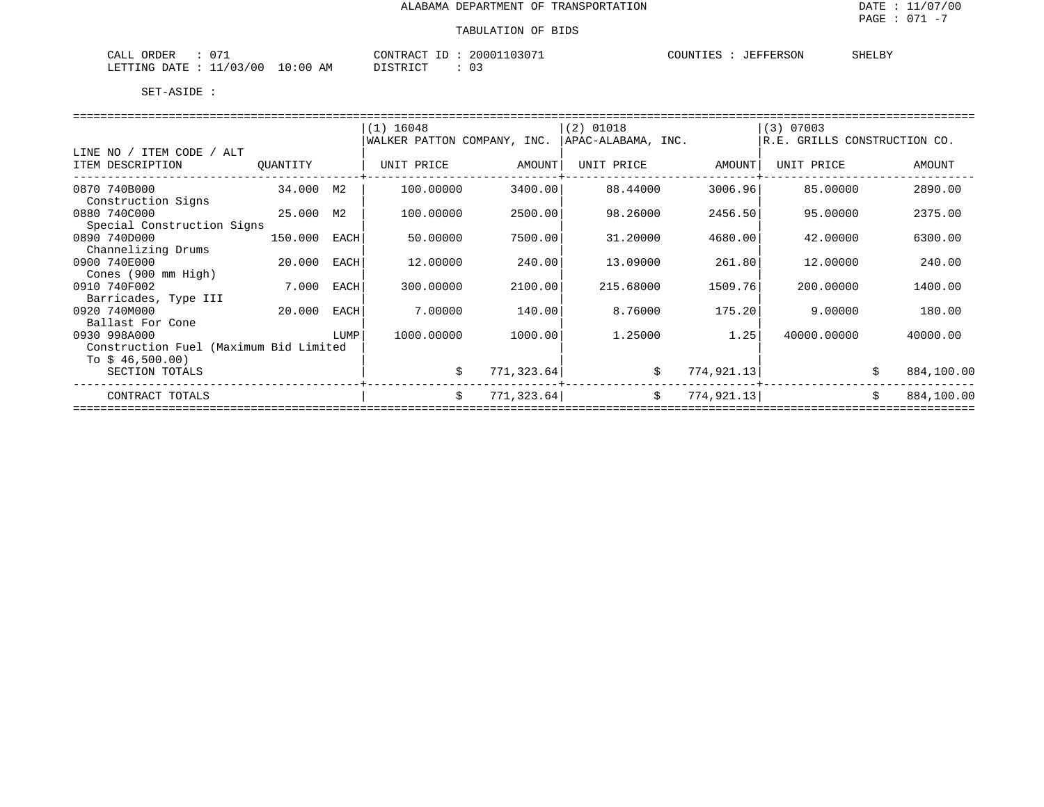| $\sim$ $\sim$<br>$\sim$ $\sim$ $\sim$<br>ORDER<br>اللطاب<br>$\mathbf{v}$ | 2000<br>CONTRACT      | COUNTIES<br>"ERSON<br>----- | SHELBY |
|--------------------------------------------------------------------------|-----------------------|-----------------------------|--------|
| 700<br>LETTING<br>AΜ<br>: 00<br>DATE<br>T O                              | דים דמידי פרות<br>. U |                             |        |

|                                        |          |      | $(1)$ 16048                 |             | $(2)$ 01018        |                  | $(3)$ 07003                  |                  |
|----------------------------------------|----------|------|-----------------------------|-------------|--------------------|------------------|------------------------------|------------------|
|                                        |          |      | WALKER PATTON COMPANY, INC. |             | APAC-ALABAMA, INC. |                  | R.E. GRILLS CONSTRUCTION CO. |                  |
| LINE NO / ITEM CODE<br>/ ALT           |          |      |                             |             |                    |                  |                              |                  |
| ITEM DESCRIPTION                       | OUANTITY |      | UNIT PRICE                  | AMOUNT      | UNIT PRICE         | AMOUNT           | UNIT PRICE                   | AMOUNT           |
| 0870 740B000                           | 34.000   | М2   | 100.00000                   | 3400.00     | 88.44000           | 3006.96          | 85,00000                     | 2890.00          |
| Construction Signs                     |          |      |                             |             |                    |                  |                              |                  |
| 0880 740C000                           | 25.000   | M2   | 100.00000                   | 2500.00     | 98.26000           | 2456.50          | 95,00000                     | 2375.00          |
| Special Construction Signs             |          |      |                             |             |                    |                  |                              |                  |
| 0890 740D000                           | 150.000  | EACH | 50.00000                    | 7500.00     | 31.20000           | 4680.00          | 42.00000                     | 6300.00          |
| Channelizing Drums                     |          |      |                             |             |                    |                  |                              |                  |
| 0900 740E000                           | 20.000   | EACH | 12.00000                    | 240.00      | 13,09000           | 261.80           | 12,00000                     | 240.00           |
| Cones (900 mm High)                    |          |      |                             |             |                    |                  |                              |                  |
| 0910 740F002                           | 7.000    | EACH | 300.00000                   | 2100.00     | 215.68000          | 1509.76          | 200,00000                    | 1400.00          |
| Barricades, Type III                   |          |      |                             |             |                    |                  |                              |                  |
| 0920 740M000                           | 20.000   | EACH | 7.00000                     | 140.00      | 8.76000            | 175.20           | 9.00000                      | 180.00           |
| Ballast For Cone                       |          |      |                             |             |                    |                  |                              |                  |
| 0930 998A000                           |          | LUMP | 1000.00000                  | 1000.00     | 1.25000            | 1.25             | 40000.00000                  | 40000.00         |
| Construction Fuel (Maximum Bid Limited |          |      |                             |             |                    |                  |                              |                  |
| To $$46,500.00)$                       |          |      |                             |             |                    |                  |                              |                  |
| SECTION TOTALS                         |          |      | Ŝ.                          | 771,323.64  |                    | \$<br>774,921.13 |                              | 884,100.00       |
|                                        |          |      |                             |             |                    |                  |                              |                  |
| CONTRACT TOTALS                        |          |      | \$                          | 771, 323.64 | \$                 | 774,921.13       |                              | \$<br>884,100.00 |
|                                        |          |      |                             |             |                    |                  |                              |                  |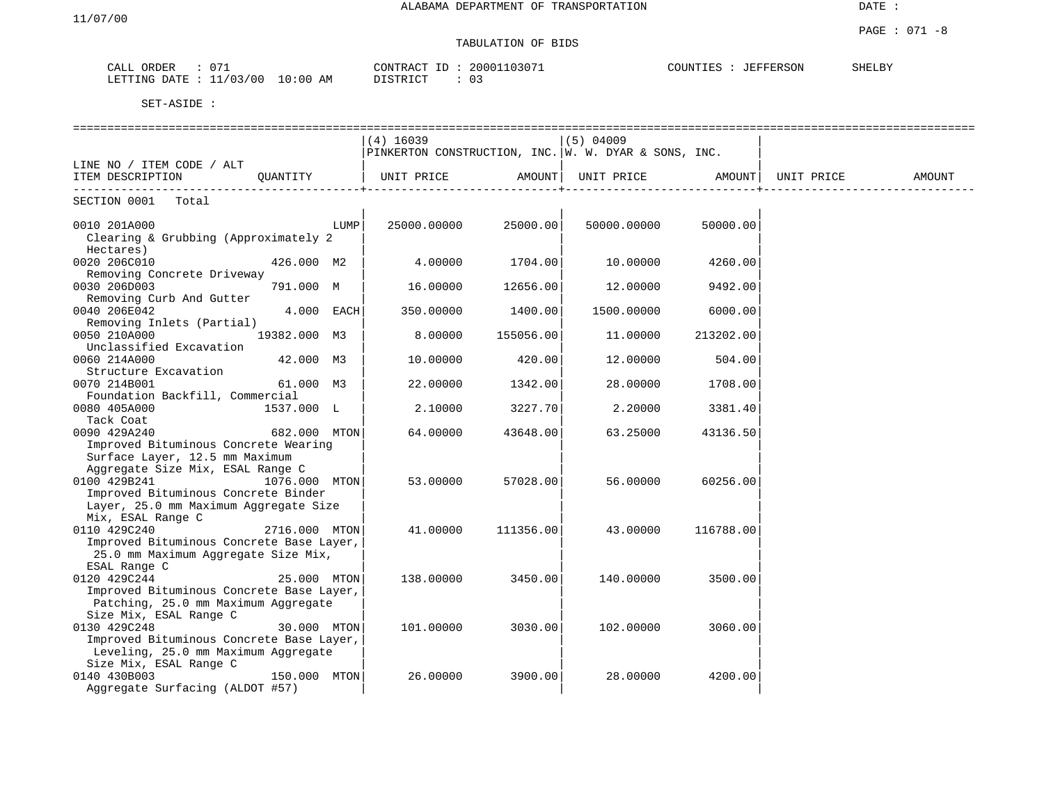# TABULATION OF BIDS

| 071<br>CALL<br>ORDER                                                       | 03071<br>20001<br>CONTRACT<br>$\Box$ | COUNTIES<br><b>JEFFERSON</b> | SHELBY |
|----------------------------------------------------------------------------|--------------------------------------|------------------------------|--------|
| 10:00<br>3/00<br>$\sim$ $\sim$ $\sim$<br>AΜ<br><b>ETTING</b><br>DATE<br>-- | ידי איד פידי<br>. U                  |                              |        |

|                                          |               |      |                                                                            |           | ------------------- |           |            |        |
|------------------------------------------|---------------|------|----------------------------------------------------------------------------|-----------|---------------------|-----------|------------|--------|
|                                          |               |      | $(4)$ 16039                                                                |           | $(5)$ 04009         |           |            |        |
|                                          |               |      | $\texttt{PINKERTON}$ CONSTRUCTION, INC. $\texttt{W. W.}$ DYAR & SONS, INC. |           |                     |           |            |        |
| LINE NO / ITEM CODE / ALT                |               |      |                                                                            |           |                     |           |            |        |
| ITEM DESCRIPTION                         | OUANTITY      |      | UNIT PRICE                                                                 | AMOUNT    | UNIT PRICE          | AMOUNT    | UNIT PRICE | AMOUNT |
|                                          |               |      |                                                                            |           |                     |           |            |        |
| SECTION 0001 Total                       |               |      |                                                                            |           |                     |           |            |        |
| 0010 201A000                             |               | LUMP | 25000.00000                                                                | 25000.00  | 50000.00000         | 50000.00  |            |        |
| Clearing & Grubbing (Approximately 2     |               |      |                                                                            |           |                     |           |            |        |
| Hectares)                                |               |      |                                                                            |           |                     |           |            |        |
| 0020 206C010                             | 426.000 M2    |      | 4.00000                                                                    | 1704.00   | 10.00000            | 4260.00   |            |        |
| Removing Concrete Driveway               |               |      |                                                                            |           |                     |           |            |        |
| 0030 206D003                             | 791.000 M     |      | 16.00000                                                                   | 12656.00  | 12.00000            | 9492.00   |            |        |
| Removing Curb And Gutter                 |               |      |                                                                            |           |                     |           |            |        |
| 0040 206E042                             | $4.000$ EACH  |      | 350.00000                                                                  | 1400.00   | 1500.00000          | 6000.00   |            |        |
| Removing Inlets (Partial)                |               |      |                                                                            |           |                     |           |            |        |
| 0050 210A000                             | 19382.000 M3  |      | 8.00000                                                                    | 155056.00 | 11,00000            | 213202.00 |            |        |
| Unclassified Excavation                  |               |      |                                                                            |           |                     |           |            |        |
| 0060 214A000                             | 42.000 M3     |      | 10.00000                                                                   | 420.00    | 12.00000            | 504.00    |            |        |
| Structure Excavation                     |               |      |                                                                            |           |                     |           |            |        |
| 0070 214B001                             | 61.000 M3     |      | 22.00000                                                                   | 1342.00   | 28,00000            | 1708.00   |            |        |
| Foundation Backfill, Commercial          |               |      |                                                                            |           |                     |           |            |        |
| 0080 405A000                             | 1537.000 L    |      | 2.10000                                                                    | 3227.70   | 2.20000             | 3381.40   |            |        |
| Tack Coat                                |               |      |                                                                            |           |                     |           |            |        |
| 0090 429A240                             | 682.000 MTON  |      | 64.00000                                                                   | 43648.00  | 63.25000            | 43136.50  |            |        |
| Improved Bituminous Concrete Wearing     |               |      |                                                                            |           |                     |           |            |        |
| Surface Layer, 12.5 mm Maximum           |               |      |                                                                            |           |                     |           |            |        |
| Aggregate Size Mix, ESAL Range C         |               |      |                                                                            |           |                     |           |            |        |
| 0100 429B241                             | 1076.000 MTON |      | 53.00000                                                                   | 57028.00  | 56.00000            | 60256.00  |            |        |
| Improved Bituminous Concrete Binder      |               |      |                                                                            |           |                     |           |            |        |
| Layer, 25.0 mm Maximum Aggregate Size    |               |      |                                                                            |           |                     |           |            |        |
| Mix, ESAL Range C<br>0110 429C240        | 2716.000 MTON |      | 41.00000                                                                   | 111356.00 | 43.00000            | 116788.00 |            |        |
| Improved Bituminous Concrete Base Layer, |               |      |                                                                            |           |                     |           |            |        |
| 25.0 mm Maximum Aggregate Size Mix,      |               |      |                                                                            |           |                     |           |            |        |
| ESAL Range C                             |               |      |                                                                            |           |                     |           |            |        |
| 0120 429C244                             | 25.000 MTON   |      | 138.00000                                                                  | 3450.00   | 140.00000           | 3500.00   |            |        |
| Improved Bituminous Concrete Base Layer, |               |      |                                                                            |           |                     |           |            |        |
| Patching, 25.0 mm Maximum Aggregate      |               |      |                                                                            |           |                     |           |            |        |
| Size Mix, ESAL Range C                   |               |      |                                                                            |           |                     |           |            |        |
| 0130 429C248                             | 30.000 MTON   |      | 101.00000                                                                  | 3030.00   | 102.00000           | 3060.00   |            |        |
| Improved Bituminous Concrete Base Layer, |               |      |                                                                            |           |                     |           |            |        |
| Leveling, 25.0 mm Maximum Aggregate      |               |      |                                                                            |           |                     |           |            |        |
| Size Mix, ESAL Range C                   |               |      |                                                                            |           |                     |           |            |        |
| 0140 430B003                             | 150.000 MTON  |      | 26.00000                                                                   | 3900.00   | 28.00000            | 4200.00   |            |        |
| Aggregate Surfacing (ALDOT #57)          |               |      |                                                                            |           |                     |           |            |        |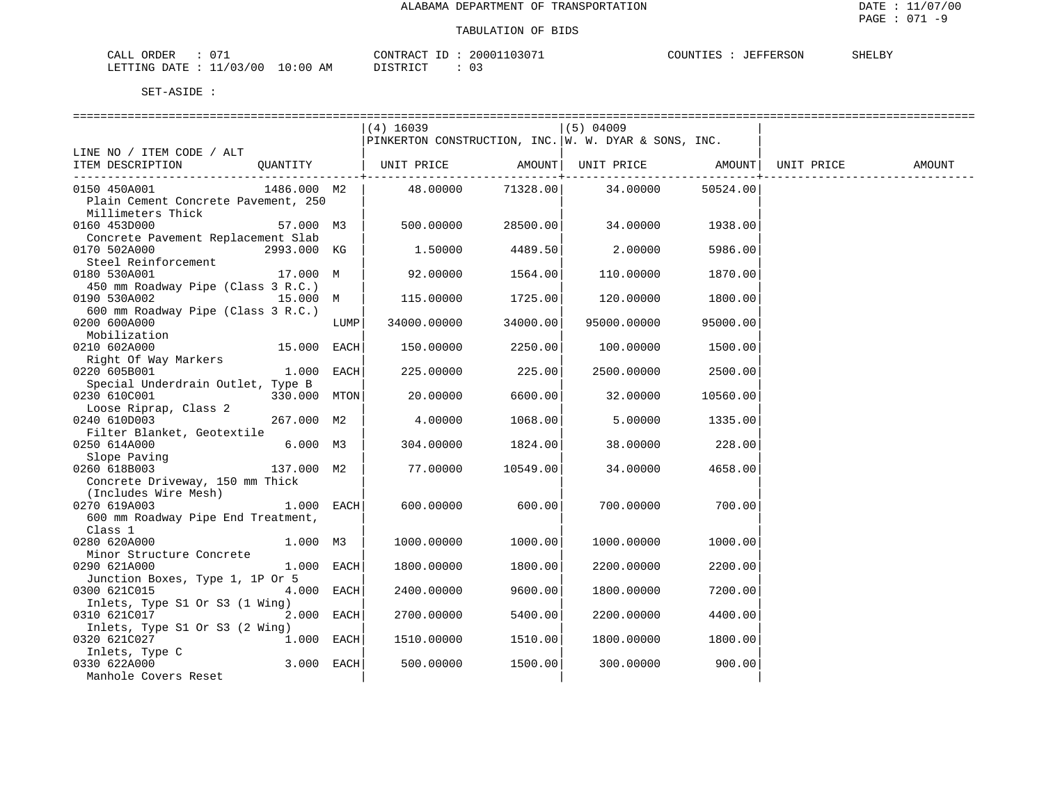| $\sim$ $\sim$<br>CALL ORDER              | 20001103071<br>CONTRACT<br>ID: | : JEFFERSON<br>COUNTIES | SHELBY |
|------------------------------------------|--------------------------------|-------------------------|--------|
| $10:00$ AM<br>: 11/03/00<br>LETTING DATE | DISTRICT                       |                         |        |

|                                     |              | $(4)$ 16039                                          |                   | $(5)$ 04009       |          |            |        |
|-------------------------------------|--------------|------------------------------------------------------|-------------------|-------------------|----------|------------|--------|
|                                     |              | PINKERTON CONSTRUCTION, INC. W. W. DYAR & SONS, INC. |                   |                   |          |            |        |
| LINE NO / ITEM CODE / ALT           |              |                                                      |                   |                   |          |            |        |
| ITEM DESCRIPTION                    |              | QUANTITY   UNIT PRICE AMOUNT  UNIT PRICE AMOUNT      |                   |                   |          | UNIT PRICE | AMOUNT |
|                                     |              |                                                      | --------------+-- |                   |          |            |        |
| 0150 450A001<br>1486.000 M2         |              | 48.00000                                             |                   | 71328.00 34.00000 | 50524.00 |            |        |
| Plain Cement Concrete Pavement, 250 |              |                                                      |                   |                   |          |            |        |
| Millimeters Thick                   |              |                                                      |                   |                   |          |            |        |
| 0160 453D000                        | 57.000 M3    | 500.00000                                            | 28500.00          | 34.00000          | 1938.00  |            |        |
| Concrete Pavement Replacement Slab  |              |                                                      |                   |                   |          |            |        |
| 0170 502A000<br>2993.000 KG         |              | 1.50000                                              | 4489.50           | 2.00000           | 5986.00  |            |        |
| Steel Reinforcement                 |              |                                                      |                   |                   |          |            |        |
|                                     |              |                                                      |                   |                   |          |            |        |
| 0180 530A001<br>17.000 M            |              | 92.00000                                             | 1564.00           | 110.00000         | 1870.00  |            |        |
| 450 mm Roadway Pipe (Class 3 R.C.)  |              |                                                      |                   |                   |          |            |        |
| 0190 530A002<br>15.000 M            |              | 115.00000                                            | 1725.00           | 120.00000         | 1800.00  |            |        |
| 600 mm Roadway Pipe (Class 3 R.C.)  |              |                                                      |                   |                   |          |            |        |
| 0200 600A000                        | LUMP         | 34000.00000                                          | 34000.00          | 95000.00000       | 95000.00 |            |        |
| Mobilization                        |              |                                                      |                   |                   |          |            |        |
| 0210 602A000<br>$15.000$ EACH       |              | 150.00000                                            | 2250.00           | 100.00000         | 1500.00  |            |        |
| Right Of Way Markers                |              |                                                      |                   |                   |          |            |        |
| 0220 605B001                        | $1.000$ EACH | 225,00000                                            | 225.00            | 2500.00000        | 2500.00  |            |        |
| Special Underdrain Outlet, Type B   |              |                                                      |                   |                   |          |            |        |
| 0230 610C001<br>330.000 MTON        |              | 20.00000                                             | 6600.00           | 32.00000          | 10560.00 |            |        |
| Loose Riprap, Class 2               |              |                                                      |                   |                   |          |            |        |
| 0240 610D003<br>267.000 M2          |              | 4.00000                                              | 1068.00           | 5.00000           | 1335.00  |            |        |
| Filter Blanket, Geotextile          |              |                                                      |                   |                   |          |            |        |
|                                     |              |                                                      |                   |                   |          |            |        |
| 0250 614A000<br>6.000 M3            |              | 304.00000                                            | 1824.00           | 38.00000          | 228.00   |            |        |
| Slope Paving                        |              |                                                      |                   |                   |          |            |        |
| 0260 618B003<br>137.000 M2          |              | 77.00000                                             | 10549.00          | 34.00000          | 4658.00  |            |        |
| Concrete Driveway, 150 mm Thick     |              |                                                      |                   |                   |          |            |        |
| (Includes Wire Mesh)                |              |                                                      |                   |                   |          |            |        |
| 0270 619A003                        | $1.000$ EACH | 600.00000                                            | 600.00            | 700.00000         | 700.00   |            |        |
| 600 mm Roadway Pipe End Treatment,  |              |                                                      |                   |                   |          |            |        |
| Class 1                             |              |                                                      |                   |                   |          |            |        |
| 0280 620A000<br>1.000 M3            |              | 1000.00000                                           | 1000.00           | 1000.00000        | 1000.00  |            |        |
| Minor Structure Concrete            |              |                                                      |                   |                   |          |            |        |
| 0290 621A000                        | $1.000$ EACH | 1800.00000                                           | 1800.00           | 2200.00000        | 2200.00  |            |        |
| Junction Boxes, Type 1, 1P Or 5     |              |                                                      |                   |                   |          |            |        |
| 0300 621C015                        | 4.000 EACH   | 2400.00000                                           | 9600.00           | 1800.00000        | 7200.00  |            |        |
| Inlets, Type S1 Or S3 (1 Wing)      |              |                                                      |                   |                   |          |            |        |
| 0310 621C017                        | 2.000 EACH   |                                                      | 5400.00           |                   |          |            |        |
|                                     |              | 2700.00000                                           |                   | 2200.00000        | 4400.00  |            |        |
| Inlets, Type S1 Or S3 (2 Wing)      |              |                                                      |                   |                   |          |            |        |
| 0320 621C027                        | $1.000$ EACH | 1510.00000                                           | 1510.00           | 1800.00000        | 1800.00  |            |        |
| Inlets, Type C                      |              |                                                      |                   |                   |          |            |        |
| 0330 622A000                        | $3.000$ EACH | 500.00000                                            | 1500.00           | 300.00000         | 900.00   |            |        |
| Manhole Covers Reset                |              |                                                      |                   |                   |          |            |        |
|                                     |              |                                                      |                   |                   |          |            |        |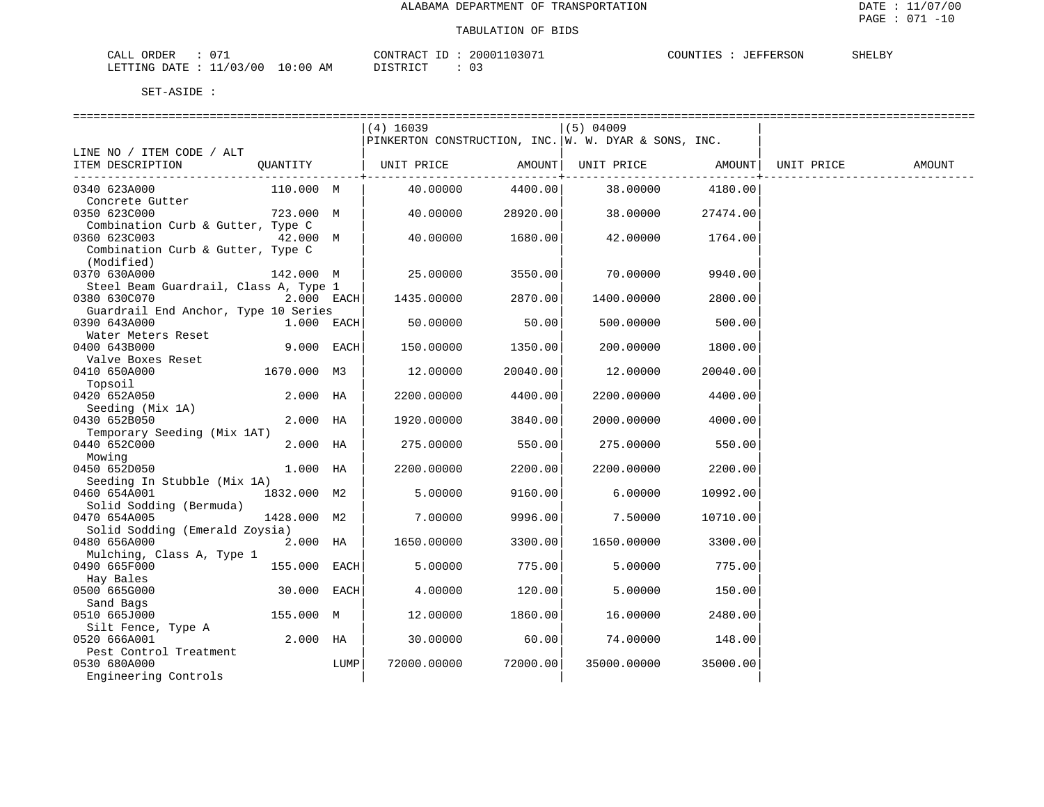| $\cap$ $\Box$<br>ORDER<br>CALL           | 20001103071<br>CONTRACT       | <b>JEFFERSON</b><br>COUNTIES | SHELBY |
|------------------------------------------|-------------------------------|------------------------------|--------|
| ./03/00<br>$10:00$ AM<br>DATE<br>LETTING | ירי איד פידי פור<br>--------- |                              |        |

|                                       |              |      | -----------------------------                        |                 |                   |          |            |        |
|---------------------------------------|--------------|------|------------------------------------------------------|-----------------|-------------------|----------|------------|--------|
|                                       |              |      | $(4)$ 16039                                          |                 | $(5)$ 04009       |          |            |        |
|                                       |              |      | PINKERTON CONSTRUCTION, INC. W. W. DYAR & SONS, INC. |                 |                   |          |            |        |
| LINE NO / ITEM CODE / ALT             |              |      |                                                      |                 |                   |          |            |        |
| ITEM DESCRIPTION                      |              |      | QUANTITY   UNIT PRICE                                | AMOUNT          | UNIT PRICE AMOUNT |          | UNIT PRICE | AMOUNT |
|                                       |              |      |                                                      | ------------+-- |                   |          |            |        |
| 0340 623A000                          | 110.000 M    |      | 40.00000                                             | 4400.00         | 38.00000          | 4180.00  |            |        |
| Concrete Gutter                       |              |      |                                                      |                 |                   |          |            |        |
| 0350 623C000                          | 723.000 M    |      | 40.00000                                             | 28920.00        | 38.00000          | 27474.00 |            |        |
| Combination Curb & Gutter, Type C     |              |      |                                                      |                 |                   |          |            |        |
| 0360 623C003                          | 42.000 M     |      | 40.00000                                             | 1680.00         | 42.00000          | 1764.00  |            |        |
| Combination Curb & Gutter, Type C     |              |      |                                                      |                 |                   |          |            |        |
| (Modified)                            |              |      |                                                      |                 |                   |          |            |        |
| 0370 630A000                          | 142.000 M    |      | 25.00000                                             | 3550.00         | 70.00000          | 9940.00  |            |        |
| Steel Beam Guardrail, Class A, Type 1 |              |      |                                                      |                 |                   |          |            |        |
| 0380 630C070                          | $2.000$ EACH |      | 1435.00000                                           | 2870.00         | 1400.00000        | 2800.00  |            |        |
| Guardrail End Anchor, Type 10 Series  |              |      |                                                      |                 |                   |          |            |        |
| 0390 643A000                          | $1.000$ EACH |      | 50.00000                                             | 50.00           | 500.00000         | 500.00   |            |        |
| Water Meters Reset                    |              |      |                                                      |                 |                   |          |            |        |
| 0400 643B000                          | 9.000 EACH   |      | 150.00000                                            | 1350.00         | 200.00000         | 1800.00  |            |        |
| Valve Boxes Reset                     |              |      |                                                      |                 |                   |          |            |        |
| 0410 650A000                          | 1670.000 M3  |      | 12.00000                                             | 20040.00        | 12.00000          | 20040.00 |            |        |
| Topsoil                               |              |      |                                                      |                 |                   |          |            |        |
| 0420 652A050                          | $2.000$ HA   |      | 2200.00000                                           | 4400.00         | 2200.00000        | 4400.00  |            |        |
| Seeding (Mix 1A)                      |              |      |                                                      |                 |                   |          |            |        |
| 0430 652B050                          | $2.000$ HA   |      | 1920.00000                                           | 3840.00         | 2000.00000        | 4000.00  |            |        |
| Temporary Seeding (Mix 1AT)           |              |      |                                                      |                 |                   |          |            |        |
| 0440 652C000                          | $2.000$ HA   |      | 275.00000                                            | 550.00          | 275.00000         | 550.00   |            |        |
| Mowing                                |              |      |                                                      |                 |                   |          |            |        |
| 0450 652D050                          | 1.000 HA     |      | 2200.00000                                           | 2200.00         | 2200.00000        | 2200.00  |            |        |
| Seeding In Stubble (Mix 1A)           |              |      |                                                      |                 |                   |          |            |        |
| 0460 654A001                          | 1832.000 M2  |      | 5.00000                                              | 9160.00         | 6.00000           | 10992.00 |            |        |
| Solid Sodding (Bermuda)               |              |      |                                                      |                 |                   |          |            |        |
| 0470 654A005                          | 1428.000 M2  |      | 7.00000                                              | 9996.00         | 7.50000           | 10710.00 |            |        |
| Solid Sodding (Emerald Zoysia)        |              |      |                                                      |                 |                   |          |            |        |
| 0480 656A000                          | 2.000 HA     |      | 1650.00000                                           | 3300.00         | 1650.00000        | 3300.00  |            |        |
| Mulching, Class A, Type 1             |              |      |                                                      |                 |                   |          |            |        |
| 0490 665F000                          | 155.000 EACH |      | 5.00000                                              | 775.00          | 5.00000           | 775.00   |            |        |
| Hay Bales                             |              |      |                                                      |                 |                   |          |            |        |
| 0500 665G000                          | 30.000 EACH  |      | 4.00000                                              | 120.00          | 5.00000           | 150.00   |            |        |
| Sand Bags                             |              |      |                                                      |                 |                   |          |            |        |
| 0510 665J000                          | 155.000 M    |      | 12.00000                                             | 1860.00         | 16.00000          | 2480.00  |            |        |
| Silt Fence, Type A                    |              |      |                                                      |                 |                   |          |            |        |
| 0520 666A001                          | 2.000 HA     |      | 30.00000                                             | 60.00           | 74.00000          | 148.00   |            |        |
| Pest Control Treatment                |              |      |                                                      |                 |                   |          |            |        |
| 0530 680A000                          |              | LUMP | 72000.00000                                          | 72000.00        | 35000.00000       | 35000.00 |            |        |
| Engineering Controls                  |              |      |                                                      |                 |                   |          |            |        |
|                                       |              |      |                                                      |                 |                   |          |            |        |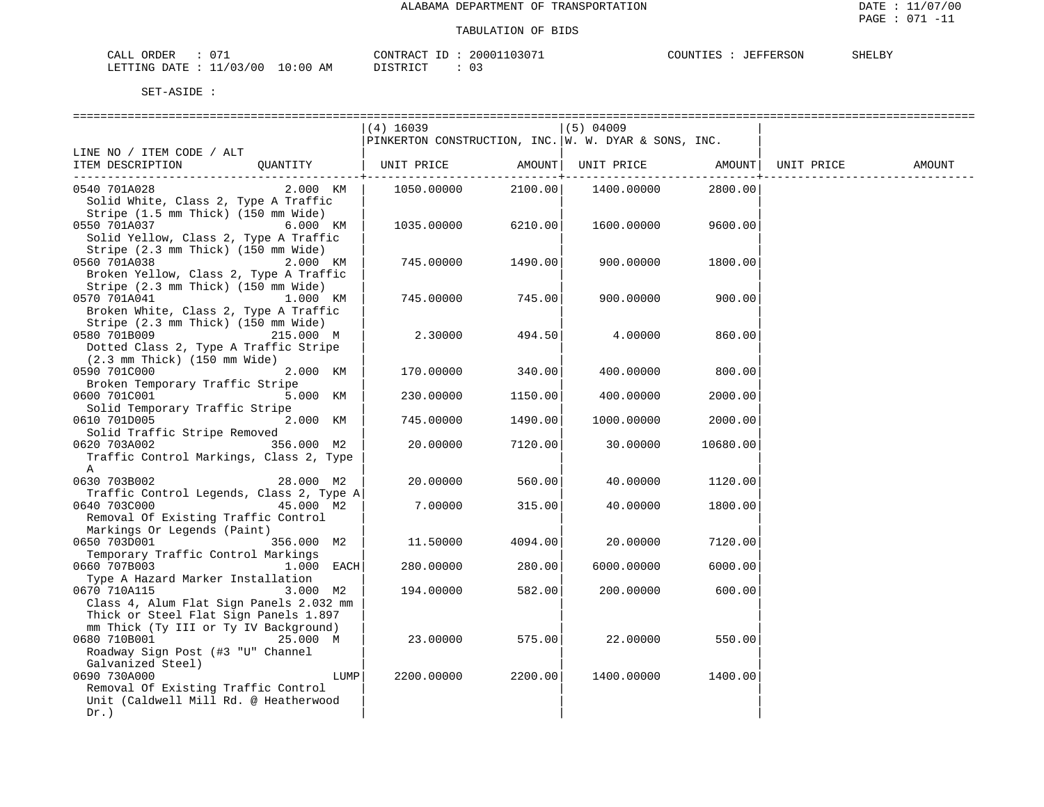| $\sim$ $ -$<br>ORDER<br>CALL              | 20001103071<br>CONTRACT ID | COUNTIES<br>JEFFERSON | SHELBY |
|-------------------------------------------|----------------------------|-----------------------|--------|
| $10:00$ AM<br>11/03/00<br>LETTING<br>DATE | DISTRICT                   |                       |        |

|                                          | $(4)$ 16039                                          |         | $(5)$ 04009 |          |            |        |
|------------------------------------------|------------------------------------------------------|---------|-------------|----------|------------|--------|
|                                          | PINKERTON CONSTRUCTION, INC. W. W. DYAR & SONS, INC. |         |             |          |            |        |
| LINE NO / ITEM CODE / ALT                |                                                      |         |             |          |            |        |
| ITEM DESCRIPTION<br>QUANTITY             | UNIT PRICE                                           | AMOUNT  | UNIT PRICE  | AMOUNT   | UNIT PRICE | AMOUNT |
|                                          |                                                      |         |             |          |            |        |
| 2.000 KM<br>0540 701A028                 | 1050.00000                                           | 2100.00 | 1400.00000  | 2800.00  |            |        |
| Solid White, Class 2, Type A Traffic     |                                                      |         |             |          |            |        |
| Stripe (1.5 mm Thick) (150 mm Wide)      |                                                      |         |             |          |            |        |
| 0550 701A037<br>6.000 KM                 | 1035.00000                                           | 6210.00 | 1600.00000  | 9600.00  |            |        |
| Solid Yellow, Class 2, Type A Traffic    |                                                      |         |             |          |            |        |
| Stripe (2.3 mm Thick) (150 mm Wide)      |                                                      |         |             |          |            |        |
| 0560 701A038<br>2.000 KM                 | 745.00000                                            | 1490.00 | 900.00000   | 1800.00  |            |        |
| Broken Yellow, Class 2, Type A Traffic   |                                                      |         |             |          |            |        |
| Stripe (2.3 mm Thick) (150 mm Wide)      |                                                      |         |             |          |            |        |
| 0570 701A041<br>1.000 KM                 | 745.00000                                            | 745.00  | 900.00000   | 900.00   |            |        |
| Broken White, Class 2, Type A Traffic    |                                                      |         |             |          |            |        |
| Stripe (2.3 mm Thick) (150 mm Wide)      |                                                      |         |             |          |            |        |
| 0580 701B009<br>215.000 M                | 2.30000                                              | 494.50  | 4.00000     | 860.00   |            |        |
|                                          |                                                      |         |             |          |            |        |
| Dotted Class 2, Type A Traffic Stripe    |                                                      |         |             |          |            |        |
| $(2.3$ mm Thick) $(150$ mm Wide)         |                                                      |         |             |          |            |        |
| 2.000 KM<br>0590 701C000                 | 170.00000                                            | 340.00  | 400.00000   | 800.00   |            |        |
| Broken Temporary Traffic Stripe          |                                                      |         |             |          |            |        |
| 0600 701C001<br>5.000 KM                 | 230.00000                                            | 1150.00 | 400.00000   | 2000.00  |            |        |
| Solid Temporary Traffic Stripe           |                                                      |         |             |          |            |        |
| 0610 701D005<br>2.000 KM                 | 745.00000                                            | 1490.00 | 1000.00000  | 2000.00  |            |        |
| Solid Traffic Stripe Removed             |                                                      |         |             |          |            |        |
| 356.000 M2<br>0620 703A002               | 20.00000                                             | 7120.00 | 30.00000    | 10680.00 |            |        |
| Traffic Control Markings, Class 2, Type  |                                                      |         |             |          |            |        |
| Α                                        |                                                      |         |             |          |            |        |
| 0630 703B002<br>28.000 M2                | 20.00000                                             | 560.00  | 40.00000    | 1120.00  |            |        |
| Traffic Control Legends, Class 2, Type A |                                                      |         |             |          |            |        |
| 0640 703C000<br>45.000 M2                | 7.00000                                              | 315.00  | 40.00000    | 1800.00  |            |        |
| Removal Of Existing Traffic Control      |                                                      |         |             |          |            |        |
| Markings Or Legends (Paint)              |                                                      |         |             |          |            |        |
| 0650 703D001<br>356.000 M2               | 11.50000                                             | 4094.00 | 20.00000    | 7120.00  |            |        |
| Temporary Traffic Control Markings       |                                                      |         |             |          |            |        |
| 1.000 EACH<br>0660 707B003               | 280.00000                                            | 280.00  | 6000.00000  | 6000.00  |            |        |
| Type A Hazard Marker Installation        |                                                      |         |             |          |            |        |
| 0670 710A115<br>3.000 M2                 | 194.00000                                            | 582.00  | 200.00000   | 600.00   |            |        |
| Class 4, Alum Flat Sign Panels 2.032 mm  |                                                      |         |             |          |            |        |
| Thick or Steel Flat Sign Panels 1.897    |                                                      |         |             |          |            |        |
| mm Thick (Ty III or Ty IV Background)    |                                                      |         |             |          |            |        |
| 0680 710B001<br>25.000 M                 | 23.00000                                             | 575.00  | 22.00000    | 550.00   |            |        |
| Roadway Sign Post (#3 "U" Channel        |                                                      |         |             |          |            |        |
| Galvanized Steel)                        |                                                      |         |             |          |            |        |
| 0690 730A000<br>LUMP                     | 2200.00000                                           | 2200.00 | 1400.00000  | 1400.00  |            |        |
| Removal Of Existing Traffic Control      |                                                      |         |             |          |            |        |
| Unit (Caldwell Mill Rd. @ Heatherwood    |                                                      |         |             |          |            |        |
| $Dr.$ )                                  |                                                      |         |             |          |            |        |
|                                          |                                                      |         |             |          |            |        |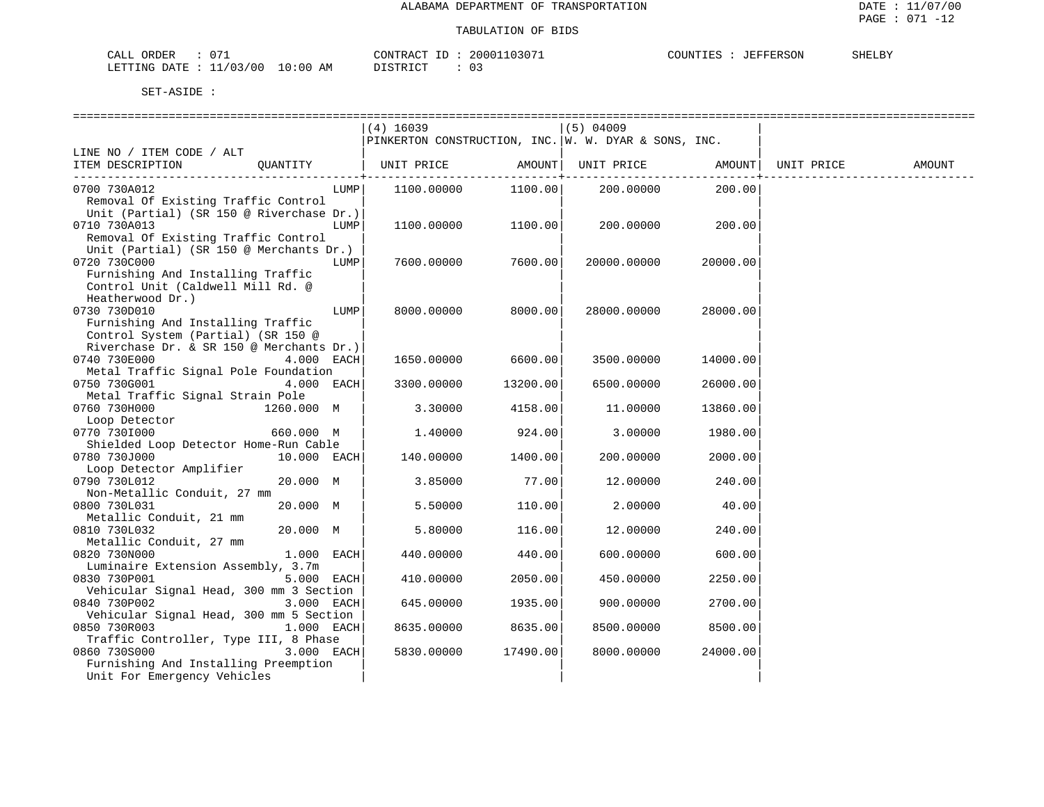| $\sim$ $\sim$<br>73 T<br><b>OPDEI</b><br>للطلاب                                                                                                                 | 2000<br>$\pi$ $\sim$<br>∩∩™⊤ | ERSON<br>L Pa | <b>SHELBY</b> |
|-----------------------------------------------------------------------------------------------------------------------------------------------------------------|------------------------------|---------------|---------------|
| AΜ<br>TTING<br>70 Q O<br>ייידי ∆ו<br>J : 00.<br>the contract of the contract of the contract of the contract of the contract of the contract of the contract of | $\Gamma$<br><u>U-</u>        |               |               |

|                                          |             |      | =============================                        |          |             |          |            |        |
|------------------------------------------|-------------|------|------------------------------------------------------|----------|-------------|----------|------------|--------|
|                                          |             |      | $(4)$ 16039                                          |          | $(5)$ 04009 |          |            |        |
|                                          |             |      | PINKERTON CONSTRUCTION, INC. W. W. DYAR & SONS, INC. |          |             |          |            |        |
| LINE NO / ITEM CODE / ALT                |             |      |                                                      |          |             |          |            |        |
| ITEM DESCRIPTION                         | QUANTITY    |      | UNIT PRICE                                           | AMOUNT   | UNIT PRICE  | AMOUNT   | UNIT PRICE | AMOUNT |
| 0700 730A012                             |             | LUMP | 1100.00000                                           | 1100.00  | 200.00000   | 200.00   |            |        |
| Removal Of Existing Traffic Control      |             |      |                                                      |          |             |          |            |        |
| Unit (Partial) (SR 150 @ Riverchase Dr.) |             |      |                                                      |          |             |          |            |        |
| 0710 730A013                             |             | LUMP | 1100.00000                                           | 1100.00  | 200.00000   | 200.00   |            |        |
| Removal Of Existing Traffic Control      |             |      |                                                      |          |             |          |            |        |
| Unit (Partial) (SR 150 @ Merchants Dr.)  |             |      |                                                      |          |             |          |            |        |
| 0720 730C000                             |             | LUMP | 7600.00000                                           | 7600.00  | 20000.00000 | 20000.00 |            |        |
| Furnishing And Installing Traffic        |             |      |                                                      |          |             |          |            |        |
| Control Unit (Caldwell Mill Rd. @        |             |      |                                                      |          |             |          |            |        |
| Heatherwood Dr.)                         |             |      |                                                      |          |             |          |            |        |
| 0730 730D010                             |             | LUMP | 8000.00000                                           | 8000.00  | 28000.00000 | 28000.00 |            |        |
| Furnishing And Installing Traffic        |             |      |                                                      |          |             |          |            |        |
| Control System (Partial) (SR 150 @       |             |      |                                                      |          |             |          |            |        |
| Riverchase Dr. & SR 150 @ Merchants Dr.) |             |      |                                                      |          |             |          |            |        |
| 0740 730E000                             | 4.000 EACH  |      | 1650.00000                                           | 6600.00  | 3500.00000  | 14000.00 |            |        |
| Metal Traffic Signal Pole Foundation     |             |      |                                                      |          |             |          |            |        |
| 0750 730G001                             | 4.000 EACH  |      | 3300.00000                                           | 13200.00 | 6500.00000  | 26000.00 |            |        |
| Metal Traffic Signal Strain Pole         |             |      |                                                      |          |             |          |            |        |
| 0760 730H000                             | 1260.000 M  |      | 3.30000                                              | 4158.00  | 11,00000    | 13860.00 |            |        |
| Loop Detector                            |             |      |                                                      |          |             |          |            |        |
| 0770 7301000                             | 660.000 M   |      | 1.40000                                              | 924.00   | 3.00000     | 1980.00  |            |        |
| Shielded Loop Detector Home-Run Cable    |             |      |                                                      |          |             |          |            |        |
| 0780 730J000                             | 10.000 EACH |      | 140.00000                                            | 1400.00  | 200.00000   | 2000.00  |            |        |
| Loop Detector Amplifier                  |             |      |                                                      |          |             |          |            |        |
| 0790 730L012                             | 20.000 M    |      | 3.85000                                              | 77.00    | 12.00000    | 240.00   |            |        |
| Non-Metallic Conduit, 27 mm              |             |      |                                                      |          |             |          |            |        |
| 0800 730L031                             | 20.000 M    |      | 5.50000                                              | 110.00   | 2.00000     | 40.00    |            |        |
| Metallic Conduit, 21 mm<br>0810 730L032  | 20.000 M    |      | 5.80000                                              | 116.00   | 12.00000    |          |            |        |
| Metallic Conduit, 27 mm                  |             |      |                                                      |          |             | 240.00   |            |        |
| 0820 730N000                             | 1.000       | EACH | 440.00000                                            | 440.00   | 600.00000   | 600.00   |            |        |
| Luminaire Extension Assembly, 3.7m       |             |      |                                                      |          |             |          |            |        |
| 0830 730P001                             | 5.000       | EACH | 410.00000                                            | 2050.00  | 450.00000   | 2250.00  |            |        |
| Vehicular Signal Head, 300 mm 3 Section  |             |      |                                                      |          |             |          |            |        |
| 0840 730P002                             | 3.000 EACH  |      | 645.00000                                            | 1935.00  | 900.00000   | 2700.00  |            |        |
| Vehicular Signal Head, 300 mm 5 Section  |             |      |                                                      |          |             |          |            |        |
| 0850 730R003                             | 1.000 EACH  |      | 8635.00000                                           | 8635.00  | 8500.00000  | 8500.00  |            |        |
| Traffic Controller, Type III, 8 Phase    |             |      |                                                      |          |             |          |            |        |
| 0860 730S000                             | 3.000 EACH  |      | 5830.00000                                           | 17490.00 | 8000.00000  | 24000.00 |            |        |
| Furnishing And Installing Preemption     |             |      |                                                      |          |             |          |            |        |
| Unit For Emergency Vehicles              |             |      |                                                      |          |             |          |            |        |
|                                          |             |      |                                                      |          |             |          |            |        |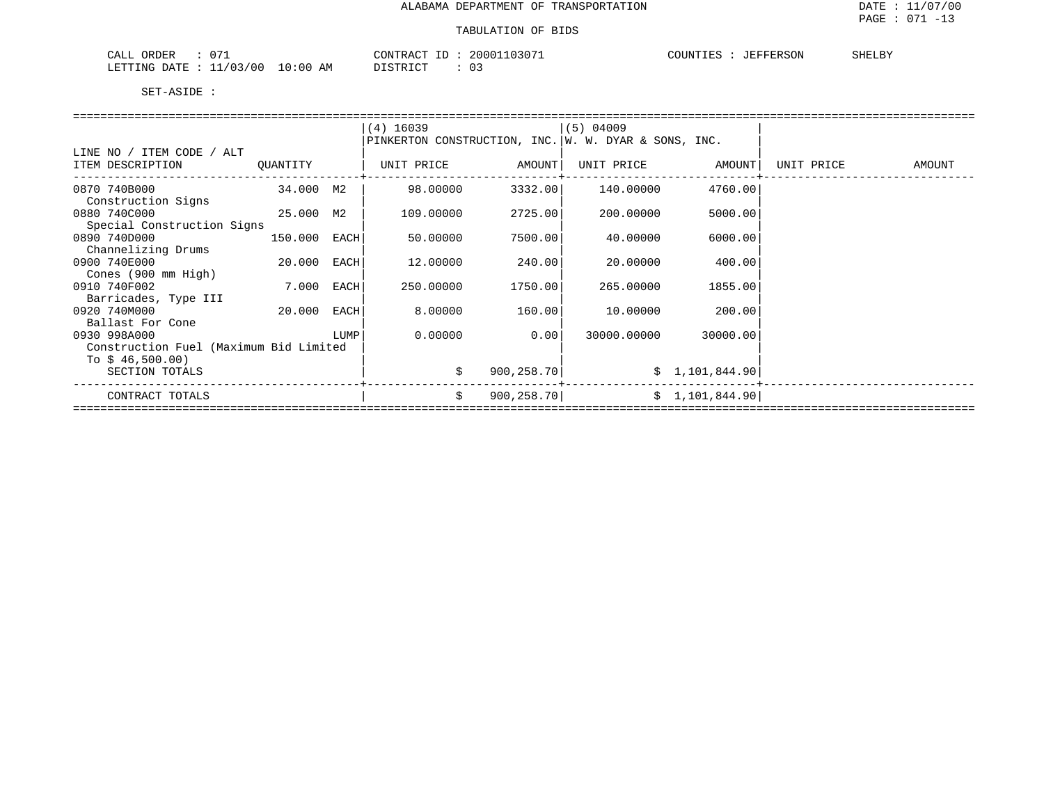| 07<br>CALL ORDER                      | 20001103071<br>CONTRACT ID: | COUNTIES<br>SHELBY<br>JEFFERSON |
|---------------------------------------|-----------------------------|---------------------------------|
| LETTING DATE : 11/03/00<br>$10:00$ AM | DISTRICT                    |                                 |

|                                        |              |      | $(4)$ 16039                                          |             | (5) 04009   |                   |            |        |  |  |  |  |
|----------------------------------------|--------------|------|------------------------------------------------------|-------------|-------------|-------------------|------------|--------|--|--|--|--|
|                                        |              |      | PINKERTON CONSTRUCTION, INC. W. W. DYAR & SONS, INC. |             |             |                   |            |        |  |  |  |  |
| LINE NO / ITEM CODE / ALT              |              |      |                                                      |             |             |                   |            |        |  |  |  |  |
| ITEM DESCRIPTION                       | QUANTITY     |      | UNIT PRICE AMOUNT                                    |             |             | UNIT PRICE AMOUNT | UNIT PRICE | AMOUNT |  |  |  |  |
| 0870 740B000                           | 34.000 M2    |      | 98.00000                                             | 3332.00     | 140.00000   | 4760.00           |            |        |  |  |  |  |
| Construction Signs                     |              |      |                                                      |             |             |                   |            |        |  |  |  |  |
| 0880 740C000                           | 25.000 M2    |      | 109.00000                                            | 2725.00     | 200.00000   | 5000.00           |            |        |  |  |  |  |
| Special Construction Signs             |              |      |                                                      |             |             |                   |            |        |  |  |  |  |
| 0890 740D000                           | 150.000 EACH |      | 50.00000                                             | 7500.00     | 40.00000    | 6000.00           |            |        |  |  |  |  |
| Channelizing Drums                     |              |      |                                                      |             |             |                   |            |        |  |  |  |  |
| 0900 740E000                           | 20.000 EACH  |      | 12.00000                                             | 240.00      | 20.00000    | 400.00            |            |        |  |  |  |  |
| Cones (900 mm High)                    |              |      |                                                      |             |             |                   |            |        |  |  |  |  |
| 0910 740F002                           | 7.000        | EACH | 250.00000                                            | 1750.00     | 265.00000   | 1855.00           |            |        |  |  |  |  |
| Barricades, Type III                   |              |      |                                                      |             |             |                   |            |        |  |  |  |  |
| 0920 740M000                           | 20.000       | EACH | 8.00000                                              | 160.00      | 10.00000    | 200.00            |            |        |  |  |  |  |
| Ballast For Cone                       |              |      |                                                      |             |             |                   |            |        |  |  |  |  |
| 0930 998A000                           |              | LUMP | 0.00000                                              | 0.00        | 30000.00000 | 30000.00          |            |        |  |  |  |  |
| Construction Fuel (Maximum Bid Limited |              |      |                                                      |             |             |                   |            |        |  |  |  |  |
| To $$46,500.00)$                       |              |      |                                                      |             |             |                   |            |        |  |  |  |  |
| SECTION TOTALS                         |              |      |                                                      | 900, 258.70 |             | \$1,101,844.90    |            |        |  |  |  |  |
|                                        |              |      |                                                      |             |             |                   |            |        |  |  |  |  |
| CONTRACT TOTALS                        |              |      | \$                                                   | 900, 258.70 |             | \$1,101,844.90    |            |        |  |  |  |  |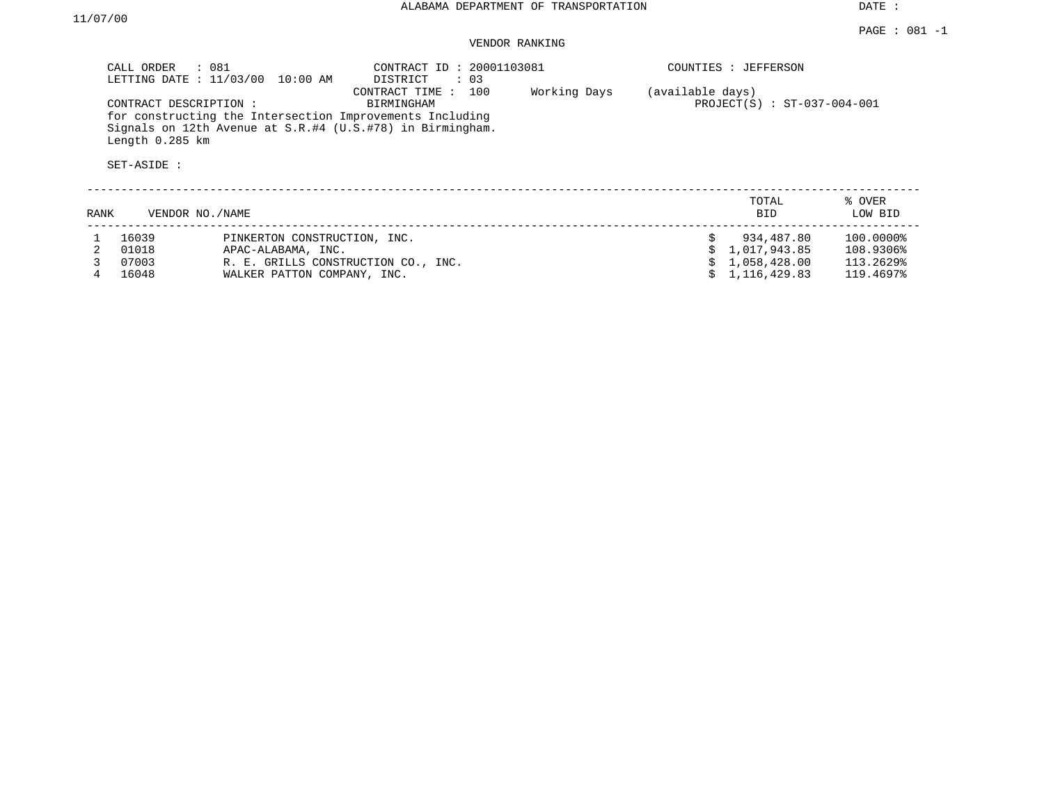DATE :

## VENDOR RANKING

|      | CALL ORDER<br>: 081                                     | LETTING DATE : 11/03/00 10:00 AM    | CONTRACT ID: 20001103081<br>DISTRICT<br>$\colon$ 03                                                                                                             |              |                  | COUNTIES : JEFFERSON          |                   |  |  |  |
|------|---------------------------------------------------------|-------------------------------------|-----------------------------------------------------------------------------------------------------------------------------------------------------------------|--------------|------------------|-------------------------------|-------------------|--|--|--|
|      | CONTRACT DESCRIPTION:<br>Length 0.285 km<br>SET-ASIDE : |                                     | 100<br>CONTRACT TIME:<br>BIRMINGHAM<br>for constructing the Intersection Improvements Including<br>Signals on 12th Avenue at $S.R. #4$ (U.S.#78) in Birmingham. | Working Days | (available days) | $PROJECT(S) : ST-037-004-001$ |                   |  |  |  |
| RANK | VENDOR NO./NAME                                         |                                     |                                                                                                                                                                 |              |                  | TOTAL<br><b>BID</b>           | % OVER<br>LOW BID |  |  |  |
|      | 16039                                                   | PINKERTON CONSTRUCTION, INC.        |                                                                                                                                                                 |              |                  | 934,487.80                    | 100.0000%         |  |  |  |
|      | 01018                                                   | APAC-ALABAMA, INC.                  |                                                                                                                                                                 |              |                  | 1,017,943.85                  | 108.9306%         |  |  |  |
|      | 07003                                                   | R. E. GRILLS CONSTRUCTION CO., INC. |                                                                                                                                                                 |              |                  | 1,058,428.00                  | 113.2629%         |  |  |  |
|      | 16048                                                   | WALKER PATTON COMPANY, INC.         |                                                                                                                                                                 |              |                  | 1,116,429.83                  | 119.4697%         |  |  |  |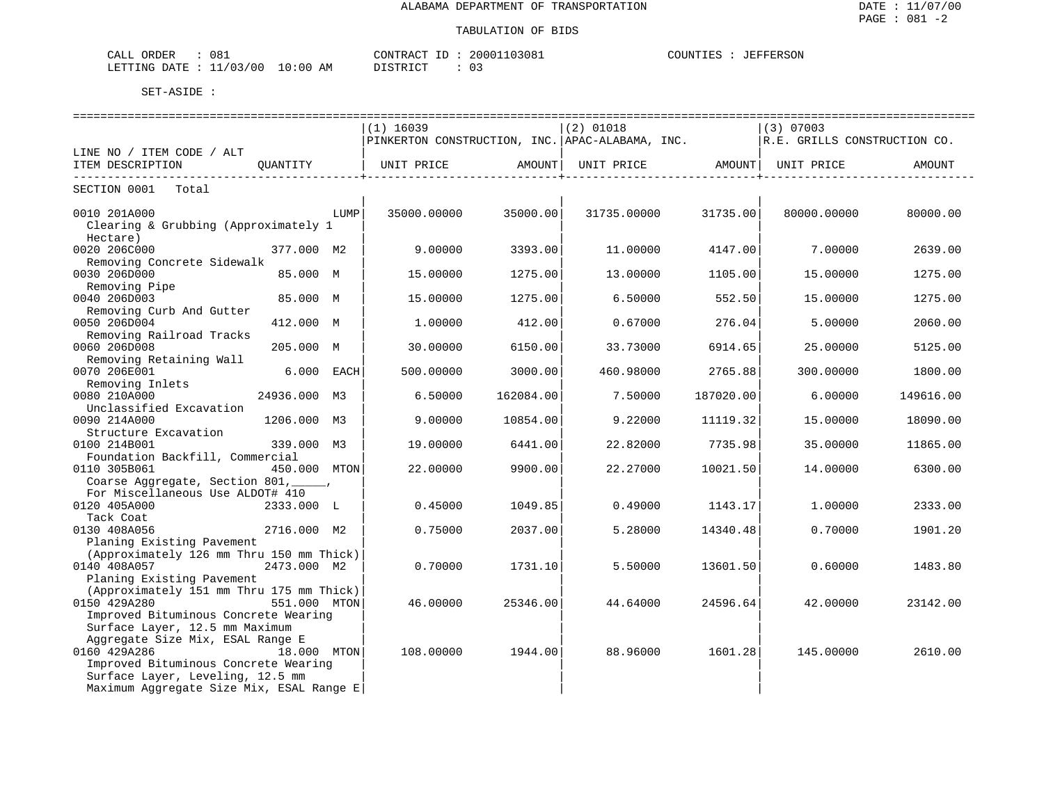| 081<br>ORDER<br>CALL           |             | CONTRACT<br>$- -$ | 03081<br>20001 | COUNTIES<br>JEFFERSON |
|--------------------------------|-------------|-------------------|----------------|-----------------------|
| 00 /<br>ノハス<br>LETTING<br>R מת | 10:00<br>ΑM | T CTR T CT        | . .            |                       |

|                                                                       |              |      | $(1)$ 16039                                     |                        | $(2)$ 01018 |           | (3) 07003                    |           |  |  |
|-----------------------------------------------------------------------|--------------|------|-------------------------------------------------|------------------------|-------------|-----------|------------------------------|-----------|--|--|
|                                                                       |              |      | PINKERTON CONSTRUCTION, INC. APAC-ALABAMA, INC. |                        |             |           | R.E. GRILLS CONSTRUCTION CO. |           |  |  |
| LINE NO / ITEM CODE / ALT                                             |              |      |                                                 |                        |             |           |                              |           |  |  |
| ITEM DESCRIPTION                                                      | OUANTITY     |      |                                                 |                        |             |           |                              | AMOUNT    |  |  |
| ------------------------                                              |              |      |                                                 | ----------------+----- |             |           |                              |           |  |  |
| SECTION 0001<br>Total                                                 |              |      |                                                 |                        |             |           |                              |           |  |  |
|                                                                       |              |      |                                                 |                        |             |           |                              |           |  |  |
| 0010 201A000                                                          |              | LUMP | 35000.00000                                     | 35000.00               | 31735.00000 | 31735.00  | 80000.00000                  | 80000.00  |  |  |
| Clearing & Grubbing (Approximately 1                                  |              |      |                                                 |                        |             |           |                              |           |  |  |
| Hectare)                                                              |              |      |                                                 |                        |             |           |                              |           |  |  |
| 0020 206C000                                                          | 377.000 M2   |      | 9.00000                                         | 3393.00                | 11,00000    | 4147.00   | 7.00000                      | 2639.00   |  |  |
| Removing Concrete Sidewalk                                            |              |      |                                                 |                        |             |           |                              |           |  |  |
| 0030 206D000                                                          | 85.000 M     |      | 15.00000                                        | 1275.00                | 13.00000    | 1105.00   | 15.00000                     | 1275.00   |  |  |
| Removing Pipe                                                         |              |      |                                                 |                        |             |           |                              |           |  |  |
| 0040 206D003                                                          | 85.000 M     |      | 15.00000                                        | 1275.00                | 6.50000     | 552.50    | 15.00000                     | 1275.00   |  |  |
| Removing Curb And Gutter                                              |              |      |                                                 |                        |             |           |                              |           |  |  |
| 0050 206D004                                                          | 412.000 M    |      | 1,00000                                         | 412.00                 | 0.67000     | 276.04    | 5.00000                      | 2060.00   |  |  |
| Removing Railroad Tracks                                              |              |      |                                                 |                        |             |           |                              |           |  |  |
| 0060 206D008                                                          | 205.000 M    |      | 30.00000                                        | 6150.00                | 33.73000    | 6914.65   | 25,00000                     | 5125.00   |  |  |
| Removing Retaining Wall                                               |              |      |                                                 |                        |             |           |                              |           |  |  |
| 0070 206E001                                                          | 6.000 EACH   |      | 500.00000                                       | 3000.00                | 460.98000   | 2765.88   | 300.00000                    | 1800.00   |  |  |
| Removing Inlets                                                       |              |      |                                                 |                        |             |           |                              |           |  |  |
| 0080 210A000                                                          | 24936.000 M3 |      | 6.50000                                         | 162084.00              | 7.50000     | 187020.00 | 6.00000                      | 149616.00 |  |  |
| Unclassified Excavation                                               |              |      |                                                 |                        |             |           |                              |           |  |  |
| 0090 214A000                                                          | 1206.000 M3  |      | 9.00000                                         | 10854.00               | 9.22000     | 11119.32  | 15.00000                     | 18090.00  |  |  |
| Structure Excavation                                                  |              |      |                                                 |                        |             |           |                              |           |  |  |
| 0100 214B001                                                          | 339.000 M3   |      | 19,00000                                        | 6441.00                | 22.82000    | 7735.98   | 35.00000                     | 11865.00  |  |  |
| Foundation Backfill, Commercial                                       |              |      |                                                 |                        |             |           |                              |           |  |  |
| 0110 305B061                                                          | 450.000 MTON |      | 22.00000                                        | 9900.00                | 22.27000    | 10021.50  | 14,00000                     | 6300.00   |  |  |
| Coarse Aggregate, Section 801,                                        |              |      |                                                 |                        |             |           |                              |           |  |  |
| For Miscellaneous Use ALDOT# 410                                      |              |      |                                                 |                        |             |           |                              |           |  |  |
| 0120 405A000                                                          | 2333.000 L   |      | 0.45000                                         | 1049.85                | 0.49000     | 1143.17   | 1.00000                      | 2333.00   |  |  |
| Tack Coat                                                             |              |      |                                                 |                        |             |           |                              |           |  |  |
| 0130 408A056                                                          | 2716.000 M2  |      | 0.75000                                         | 2037.00                | 5.28000     | 14340.48  | 0.70000                      | 1901.20   |  |  |
| Planing Existing Pavement                                             |              |      |                                                 |                        |             |           |                              |           |  |  |
| (Approximately 126 mm Thru 150 mm Thick)                              |              |      |                                                 |                        |             |           |                              |           |  |  |
| 0140 408A057                                                          | 2473.000 M2  |      | 0.70000                                         | 1731.10                | 5.50000     | 13601.50  | 0.60000                      | 1483.80   |  |  |
| Planing Existing Pavement<br>(Approximately 151 mm Thru 175 mm Thick) |              |      |                                                 |                        |             |           |                              |           |  |  |
| 0150 429A280                                                          |              |      |                                                 |                        |             |           |                              |           |  |  |
|                                                                       | 551.000 MTON |      | 46.00000                                        | 25346.00               | 44.64000    | 24596.64  | 42.00000                     | 23142.00  |  |  |
| Improved Bituminous Concrete Wearing                                  |              |      |                                                 |                        |             |           |                              |           |  |  |
| Surface Layer, 12.5 mm Maximum                                        |              |      |                                                 |                        |             |           |                              |           |  |  |
| Aggregate Size Mix, ESAL Range E                                      |              |      |                                                 |                        |             |           |                              |           |  |  |
| 0160 429A286                                                          | 18.000 MTON  |      | 108.00000                                       | 1944.00                | 88.96000    | 1601.28   | 145.00000                    | 2610.00   |  |  |
| Improved Bituminous Concrete Wearing                                  |              |      |                                                 |                        |             |           |                              |           |  |  |
| Surface Layer, Leveling, 12.5 mm                                      |              |      |                                                 |                        |             |           |                              |           |  |  |
| Maximum Aggregate Size Mix, ESAL Range E                              |              |      |                                                 |                        |             |           |                              |           |  |  |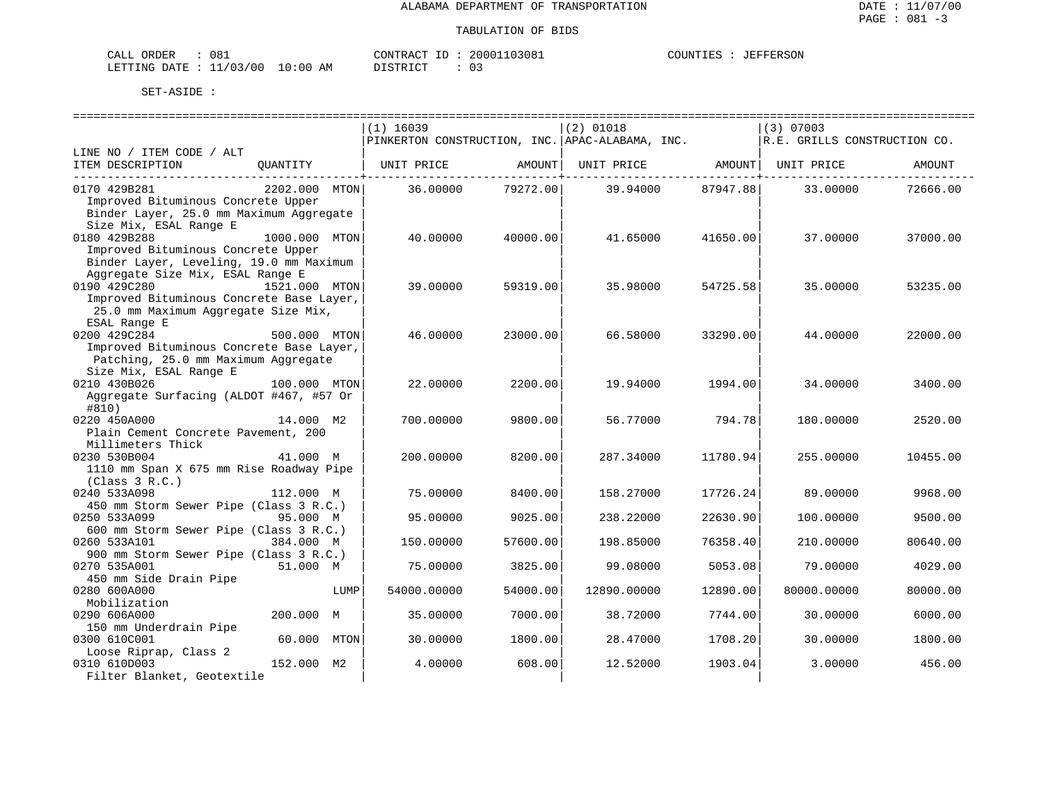| 081<br>CALL ORDER                |          | CONTRACT ID: 20001103081 | COUNTIES | : JEFFERSON |
|----------------------------------|----------|--------------------------|----------|-------------|
| LETTING DATE : 11/03/00 10:00 AM | DISTRICT |                          |          |             |

|                                                                                 |               |      | $(1)$ 16039       |          | $(2)$ 01018                  |          | (3) 07003<br>PINKERTON CONSTRUCTION, INC. $APAC-ALABAMA$ , INC. $ R.E.$ GRILLS CONSTRUCTION CO. |          |  |
|---------------------------------------------------------------------------------|---------------|------|-------------------|----------|------------------------------|----------|-------------------------------------------------------------------------------------------------|----------|--|
| LINE NO / ITEM CODE / ALT                                                       |               |      |                   |          |                              |          |                                                                                                 |          |  |
| ITEM DESCRIPTION                                                                | QUANTITY      |      | UNIT PRICE AMOUNT |          | UNIT PRICE AMOUNT UNIT PRICE |          |                                                                                                 | AMOUNT   |  |
| 0170 429B281                                                                    | 2202.000 MTON |      | 36.00000          | 79272.00 | 39.94000 87947.88            |          | 33.00000                                                                                        | 72666.00 |  |
| Improved Bituminous Concrete Upper                                              |               |      |                   |          |                              |          |                                                                                                 |          |  |
| Binder Layer, 25.0 mm Maximum Aggregate                                         |               |      |                   |          |                              |          |                                                                                                 |          |  |
| Size Mix, ESAL Range E                                                          |               |      |                   |          |                              |          |                                                                                                 |          |  |
| 0180 429B288                                                                    | 1000.000 MTON |      | 40.00000          | 40000.00 | 41.65000                     | 41650.00 | 37.00000                                                                                        | 37000.00 |  |
| Improved Bituminous Concrete Upper                                              |               |      |                   |          |                              |          |                                                                                                 |          |  |
| Binder Layer, Leveling, 19.0 mm Maximum                                         |               |      |                   |          |                              |          |                                                                                                 |          |  |
| Aggregate Size Mix, ESAL Range E                                                |               |      |                   |          |                              |          |                                                                                                 |          |  |
| 0190 429C280<br>1521.000 MTON                                                   |               |      | 39.00000          | 59319.00 | 35.98000                     | 54725.58 | 35.00000                                                                                        | 53235.00 |  |
| Improved Bituminous Concrete Base Layer,<br>25.0 mm Maximum Aggregate Size Mix, |               |      |                   |          |                              |          |                                                                                                 |          |  |
| ESAL Range E                                                                    |               |      |                   |          |                              |          |                                                                                                 |          |  |
| 0200 429C284                                                                    | 500.000 MTON  |      | 46.00000          | 23000.00 | 66.58000                     | 33290.00 | 44.00000                                                                                        | 22000.00 |  |
| Improved Bituminous Concrete Base Layer,                                        |               |      |                   |          |                              |          |                                                                                                 |          |  |
| Patching, 25.0 mm Maximum Aggregate                                             |               |      |                   |          |                              |          |                                                                                                 |          |  |
| Size Mix, ESAL Range E                                                          |               |      |                   |          |                              |          |                                                                                                 |          |  |
| 0210 430B026                                                                    | 100.000 MTON  |      | 22.00000          | 2200.00  | 19.94000                     | 1994.00  | 34.00000                                                                                        | 3400.00  |  |
| Aggregate Surfacing (ALDOT #467, #57 Or                                         |               |      |                   |          |                              |          |                                                                                                 |          |  |
| #810)                                                                           |               |      |                   |          |                              |          |                                                                                                 |          |  |
| 0220 450A000                                                                    | 14.000 M2     |      | 700.00000         | 9800.00  | 56.77000                     | 794.78   | 180.00000                                                                                       | 2520.00  |  |
| Plain Cement Concrete Pavement, 200                                             |               |      |                   |          |                              |          |                                                                                                 |          |  |
| Millimeters Thick                                                               |               |      |                   |          |                              |          |                                                                                                 |          |  |
| 0230 530B004                                                                    | 41.000 M      |      | 200.00000         | 8200.00  | 287.34000                    | 11780.94 | 255.00000                                                                                       | 10455.00 |  |
| 1110 mm Span X 675 mm Rise Roadway Pipe                                         |               |      |                   |          |                              |          |                                                                                                 |          |  |
| (Class 3 R.C.)                                                                  |               |      |                   |          |                              |          |                                                                                                 |          |  |
| 0240 533A098                                                                    | 112.000 M     |      | 75.00000          | 8400.00  | 158.27000                    | 17726.24 | 89,00000                                                                                        | 9968.00  |  |
| 450 mm Storm Sewer Pipe (Class 3 R.C.)                                          |               |      |                   |          |                              |          |                                                                                                 |          |  |
| 0250 533A099<br>600 mm Storm Sewer Pipe (Class 3 R.C.)                          | 95.000 M      |      | 95.00000          | 9025.00  | 238.22000                    | 22630.90 | 100.00000                                                                                       | 9500.00  |  |
| 0260 533A101                                                                    | 384.000 M     |      | 150.00000         | 57600.00 | 198.85000                    | 76358.40 | 210.00000                                                                                       | 80640.00 |  |
| 900 mm Storm Sewer Pipe (Class 3 R.C.)                                          |               |      |                   |          |                              |          |                                                                                                 |          |  |
| 0270 535A001                                                                    | 51.000 M      |      | 75.00000          | 3825.00  | 99.08000                     | 5053.08  | 79.00000                                                                                        | 4029.00  |  |
| 450 mm Side Drain Pipe                                                          |               |      |                   |          |                              |          |                                                                                                 |          |  |
| 0280 600A000                                                                    |               | LUMP | 54000.00000       | 54000.00 | 12890.00000                  | 12890.00 | 80000.00000                                                                                     | 80000.00 |  |
| Mobilization                                                                    |               |      |                   |          |                              |          |                                                                                                 |          |  |
| 0290 606A000                                                                    | 200.000 M     |      | 35.00000          | 7000.00  | 38.72000                     | 7744.00  | 30.00000                                                                                        | 6000.00  |  |
| 150 mm Underdrain Pipe                                                          |               |      |                   |          |                              |          |                                                                                                 |          |  |
| 0300 610C001                                                                    | 60.000 MTON   |      | 30.00000          | 1800.00  | 28.47000                     | 1708.20  | 30.00000                                                                                        | 1800.00  |  |
| Loose Riprap, Class 2                                                           |               |      |                   |          |                              |          |                                                                                                 |          |  |
| 0310 610D003                                                                    | 152.000 M2    |      | 4.00000           | 608.00   | 12.52000                     | 1903.04  | 3.00000                                                                                         | 456.00   |  |
| Filter Blanket, Geotextile                                                      |               |      |                   |          |                              |          |                                                                                                 |          |  |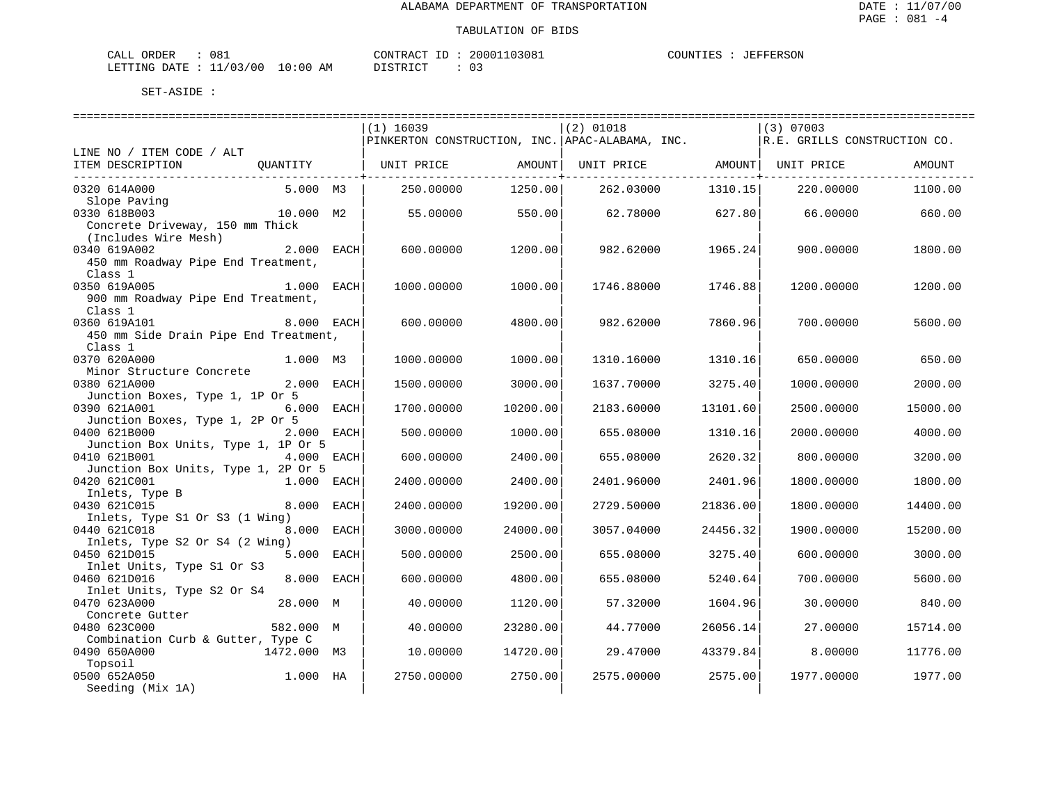| 081<br>CALL ORDER                |          | CONTRACT ID: 20001103081 | COUNTIES | : JEFFERSON |
|----------------------------------|----------|--------------------------|----------|-------------|
| LETTING DATE : 11/03/00 10:00 AM | DISTRICT |                          |          |             |

|                                       |             |      | $(1)$ 16039                                     |          | $(2)$ 01018                    |          | $(3)$ 07003                  |          |
|---------------------------------------|-------------|------|-------------------------------------------------|----------|--------------------------------|----------|------------------------------|----------|
|                                       |             |      | PINKERTON CONSTRUCTION, INC. APAC-ALABAMA, INC. |          |                                |          | R.E. GRILLS CONSTRUCTION CO. |          |
| LINE NO / ITEM CODE / ALT             |             |      |                                                 |          |                                |          |                              |          |
| ITEM DESCRIPTION                      | QUANTITY    |      | UNIT PRICE                                      | AMOUNT   | UNIT PRICE AMOUNT   UNIT PRICE |          |                              | AMOUNT   |
|                                       |             |      |                                                 |          |                                |          |                              |          |
| 0320 614A000                          | 5.000 M3    |      | 250.00000                                       | 1250.00  | 262.03000                      | 1310.15  | 220,00000                    | 1100.00  |
| Slope Paving                          |             |      |                                                 |          |                                |          |                              |          |
| 0330 618B003                          | 10.000 M2   |      | 55.00000                                        | 550.00   | 62.78000                       | 627.80   | 66.00000                     | 660.00   |
| Concrete Driveway, 150 mm Thick       |             |      |                                                 |          |                                |          |                              |          |
| (Includes Wire Mesh)                  |             |      |                                                 |          |                                |          |                              |          |
| 0340 619A002                          | 2.000 EACH  |      | 600,00000                                       | 1200.00  | 982.62000                      | 1965.24  | 900,00000                    | 1800.00  |
| 450 mm Roadway Pipe End Treatment,    |             |      |                                                 |          |                                |          |                              |          |
| Class 1                               |             |      |                                                 |          |                                |          |                              |          |
| 1.000 EACH<br>0350 619A005            |             |      | 1000.00000                                      | 1000.00  | 1746.88000                     | 1746.88  | 1200.00000                   | 1200.00  |
| 900 mm Roadway Pipe End Treatment,    |             |      |                                                 |          |                                |          |                              |          |
| Class 1                               |             |      |                                                 |          |                                |          |                              |          |
| 0360 619A101                          | 8.000 EACH  |      | 600,00000                                       | 4800.00  | 982.62000                      | 7860.96  | 700.00000                    | 5600.00  |
| 450 mm Side Drain Pipe End Treatment, |             |      |                                                 |          |                                |          |                              |          |
| Class 1                               |             |      |                                                 |          |                                |          |                              |          |
| 0370 620A000                          | 1.000 M3    |      | 1000.00000                                      | 1000.00  | 1310.16000                     | 1310.16  | 650.00000                    | 650.00   |
| Minor Structure Concrete              |             |      |                                                 |          |                                |          |                              |          |
| 0380 621A000                          | 2.000 EACH  |      | 1500.00000                                      | 3000.00  | 1637.70000                     | 3275.40  | 1000.00000                   | 2000.00  |
| Junction Boxes, Type 1, 1P Or 5       |             |      |                                                 |          |                                |          |                              |          |
| 0390 621A001                          | 6.000 EACH  |      | 1700.00000                                      | 10200.00 | 2183.60000                     | 13101.60 | 2500.00000                   | 15000.00 |
| Junction Boxes, Type 1, 2P Or 5       |             |      |                                                 |          |                                |          |                              |          |
| 0400 621B000                          | 2.000 EACH  |      | 500.00000                                       | 1000.00  | 655.08000                      | 1310.16  | 2000.00000                   | 4000.00  |
| Junction Box Units, Type 1, 1P Or 5   |             |      |                                                 |          |                                |          |                              |          |
| 0410 621B001                          | 4.000 EACH  |      | 600.00000                                       | 2400.00  | 655.08000                      | 2620.32  | 800.00000                    | 3200.00  |
| Junction Box Units, Type 1, 2P Or 5   |             |      |                                                 |          |                                |          |                              |          |
| 0420 621C001                          | 1.000 EACH  |      | 2400.00000                                      | 2400.00  | 2401.96000                     | 2401.96  | 1800.00000                   | 1800.00  |
| Inlets, Type B                        |             |      |                                                 |          |                                |          |                              |          |
| 0430 621C015                          | 8.000 EACH  |      | 2400.00000                                      | 19200.00 | 2729.50000                     | 21836.00 | 1800.00000                   | 14400.00 |
| Inlets, Type S1 Or S3 (1 Wing)        |             |      |                                                 |          |                                |          |                              |          |
| 0440 621C018                          | 8,000       | EACH | 3000.00000                                      | 24000.00 | 3057.04000                     | 24456.32 | 1900.00000                   | 15200.00 |
| Inlets, Type S2 Or S4 (2 Wing)        |             |      |                                                 |          |                                |          |                              |          |
| 0450 621D015                          | 5.000 EACH  |      | 500.00000                                       | 2500.00  | 655.08000                      | 3275.40  | 600,00000                    | 3000.00  |
| Inlet Units, Type S1 Or S3            |             |      |                                                 |          |                                |          |                              |          |
| 0460 621D016                          | 8,000       | EACH | 600.00000                                       | 4800.00  | 655.08000                      | 5240.64  | 700.00000                    | 5600.00  |
| Inlet Units, Type S2 Or S4            |             |      |                                                 |          |                                |          |                              |          |
| 0470 623A000                          | 28.000 M    |      | 40.00000                                        | 1120.00  | 57.32000                       | 1604.96  | 30.00000                     | 840.00   |
| Concrete Gutter                       |             |      |                                                 |          |                                |          |                              |          |
| 0480 623C000                          | 582.000 M   |      | 40.00000                                        | 23280.00 | 44.77000                       | 26056.14 | 27.00000                     | 15714.00 |
| Combination Curb & Gutter, Type C     |             |      |                                                 |          |                                |          |                              |          |
| 0490 650A000                          | 1472.000 M3 |      | 10.00000                                        | 14720.00 | 29.47000                       | 43379.84 | 8.00000                      | 11776.00 |
| Topsoil                               |             |      |                                                 |          |                                |          |                              |          |
| 0500 652A050                          | 1.000 HA    |      | 2750.00000                                      | 2750.00  | 2575.00000                     | 2575.00  | 1977.00000                   | 1977.00  |
| Seeding (Mix 1A)                      |             |      |                                                 |          |                                |          |                              |          |
|                                       |             |      |                                                 |          |                                |          |                              |          |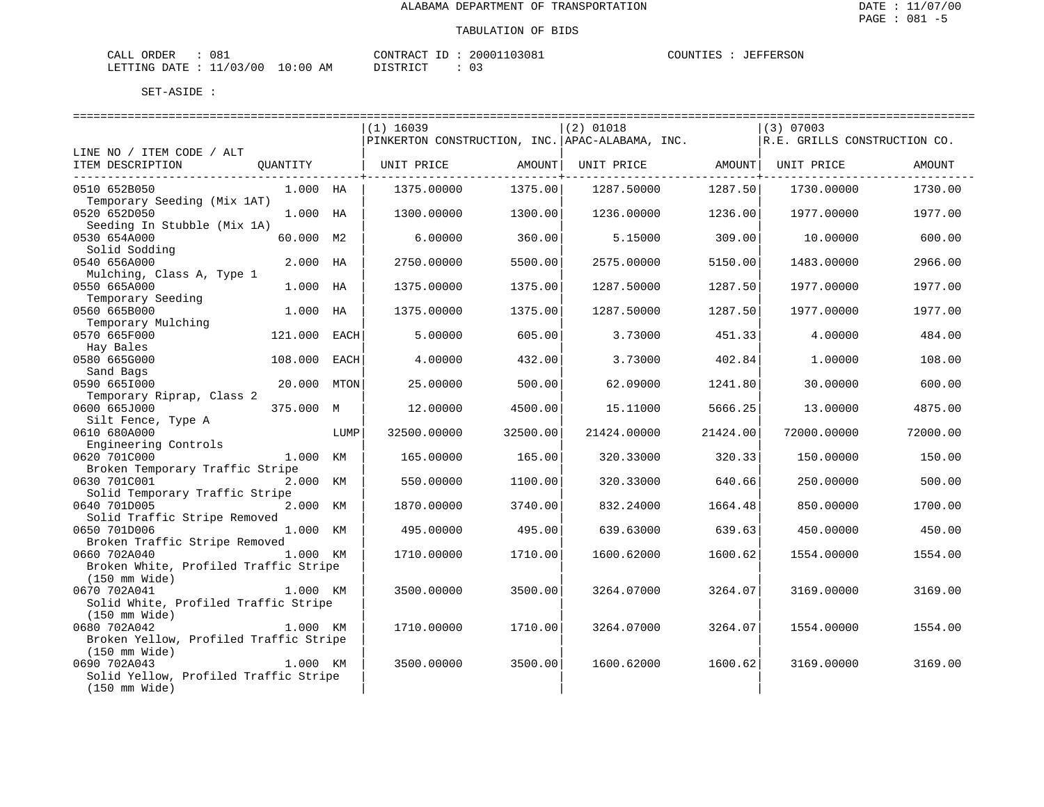| CALL ORDER                       | 081 |          | CONTRACT ID: 20001103081 |  | COUNTIES : JEFFERSON |
|----------------------------------|-----|----------|--------------------------|--|----------------------|
| LETTING DATE : 11/03/00 10:00 AM |     | DISTRICT |                          |  |                      |

|                                             |              |      | $(1)$ 16039                                     |          | $(2)$ 01018 |          | $(3)$ 07003                  |          |
|---------------------------------------------|--------------|------|-------------------------------------------------|----------|-------------|----------|------------------------------|----------|
|                                             |              |      | PINKERTON CONSTRUCTION, INC. APAC-ALABAMA, INC. |          |             |          | R.E. GRILLS CONSTRUCTION CO. |          |
| LINE NO / ITEM CODE / ALT                   |              |      |                                                 |          |             |          |                              |          |
| ITEM DESCRIPTION                            | QUANTITY     |      | UNIT PRICE                                      | AMOUNT   | UNIT PRICE  | AMOUNT   | UNIT PRICE                   | AMOUNT   |
|                                             |              |      |                                                 |          |             |          |                              |          |
| 0510 652B050<br>Temporary Seeding (Mix 1AT) | 1.000 HA     |      | 1375.00000                                      | 1375.00  | 1287.50000  | 1287.50  | 1730.00000                   | 1730.00  |
| 0520 652D050                                | 1.000 HA     |      | 1300.00000                                      | 1300.00  | 1236.00000  | 1236.00  | 1977.00000                   | 1977.00  |
| Seeding In Stubble (Mix 1A)                 |              |      |                                                 |          |             |          |                              |          |
| 0530 654A000                                | 60.000 M2    |      | 6.00000                                         | 360.00   | 5.15000     | 309.00   | 10.00000                     | 600.00   |
| Solid Sodding                               |              |      |                                                 |          |             |          |                              |          |
| 0540 656A000                                | 2.000 HA     |      | 2750.00000                                      | 5500.00  | 2575.00000  | 5150.00  | 1483.00000                   | 2966.00  |
| Mulching, Class A, Type 1                   |              |      |                                                 |          |             |          |                              |          |
| 0550 665A000<br>Temporary Seeding           | 1.000 HA     |      | 1375.00000                                      | 1375.00  | 1287.50000  | 1287.50  | 1977.00000                   | 1977.00  |
| 0560 665B000                                | 1.000 HA     |      | 1375.00000                                      | 1375.00  | 1287.50000  | 1287.50  | 1977.00000                   | 1977.00  |
| Temporary Mulching                          |              |      |                                                 |          |             |          |                              |          |
| 0570 665F000                                | 121.000 EACH |      | 5.00000                                         | 605.00   | 3.73000     | 451.33   | 4.00000                      | 484.00   |
| Hay Bales                                   |              |      |                                                 |          |             |          |                              |          |
| 0580 665G000                                | 108.000      | EACH | 4.00000                                         | 432.00   | 3.73000     | 402.84   | 1.00000                      | 108.00   |
| Sand Bags                                   |              |      |                                                 |          |             |          |                              |          |
| 0590 6651000                                | 20.000 MTON  |      | 25.00000                                        | 500.00   | 62.09000    | 1241.80  | 30.00000                     | 600.00   |
| Temporary Riprap, Class 2                   |              |      |                                                 |          |             |          |                              |          |
| 0600 665J000                                | 375.000 M    |      | 12.00000                                        | 4500.00  | 15.11000    | 5666.25  | 13,00000                     | 4875.00  |
| Silt Fence, Type A                          |              |      |                                                 | 32500.00 |             | 21424.00 |                              | 72000.00 |
| 0610 680A000<br>Engineering Controls        |              | LUMP | 32500.00000                                     |          | 21424.00000 |          | 72000.00000                  |          |
| 0620 701C000                                | 1.000 KM     |      | 165.00000                                       | 165.00   | 320.33000   | 320.33   | 150.00000                    | 150.00   |
| Broken Temporary Traffic Stripe             |              |      |                                                 |          |             |          |                              |          |
| 0630 701C001                                | 2.000 KM     |      | 550.00000                                       | 1100.00  | 320.33000   | 640.66   | 250.00000                    | 500.00   |
| Solid Temporary Traffic Stripe              |              |      |                                                 |          |             |          |                              |          |
| 0640 701D005                                | 2.000 KM     |      | 1870.00000                                      | 3740.00  | 832.24000   | 1664.48  | 850.00000                    | 1700.00  |
| Solid Traffic Stripe Removed                |              |      |                                                 |          |             |          |                              |          |
| 0650 701D006                                | 1.000 KM     |      | 495.00000                                       | 495.00   | 639.63000   | 639.63   | 450.00000                    | 450.00   |
| Broken Traffic Stripe Removed               |              |      |                                                 |          |             |          |                              |          |
| 0660 702A040                                | 1.000 KM     |      | 1710.00000                                      | 1710.00  | 1600.62000  | 1600.62  | 1554.00000                   | 1554.00  |
| Broken White, Profiled Traffic Stripe       |              |      |                                                 |          |             |          |                              |          |
| $(150 \text{ mm Wide})$<br>0670 702A041     |              |      |                                                 | 3500.00  | 3264.07000  | 3264.07  |                              | 3169.00  |
| Solid White, Profiled Traffic Stripe        | 1.000 KM     |      | 3500.00000                                      |          |             |          | 3169.00000                   |          |
| $(150 \text{ mm Wide})$                     |              |      |                                                 |          |             |          |                              |          |
| 0680 702A042                                | 1.000 KM     |      | 1710.00000                                      | 1710.00  | 3264.07000  | 3264.07  | 1554.00000                   | 1554.00  |
| Broken Yellow, Profiled Traffic Stripe      |              |      |                                                 |          |             |          |                              |          |
| $(150 \text{ mm Wide})$                     |              |      |                                                 |          |             |          |                              |          |
| 0690 702A043                                | 1.000 KM     |      | 3500.00000                                      | 3500.00  | 1600.62000  | 1600.62  | 3169.00000                   | 3169.00  |
| Solid Yellow, Profiled Traffic Stripe       |              |      |                                                 |          |             |          |                              |          |
| $(150 \, \text{mm} \, \text{Wide})$         |              |      |                                                 |          |             |          |                              |          |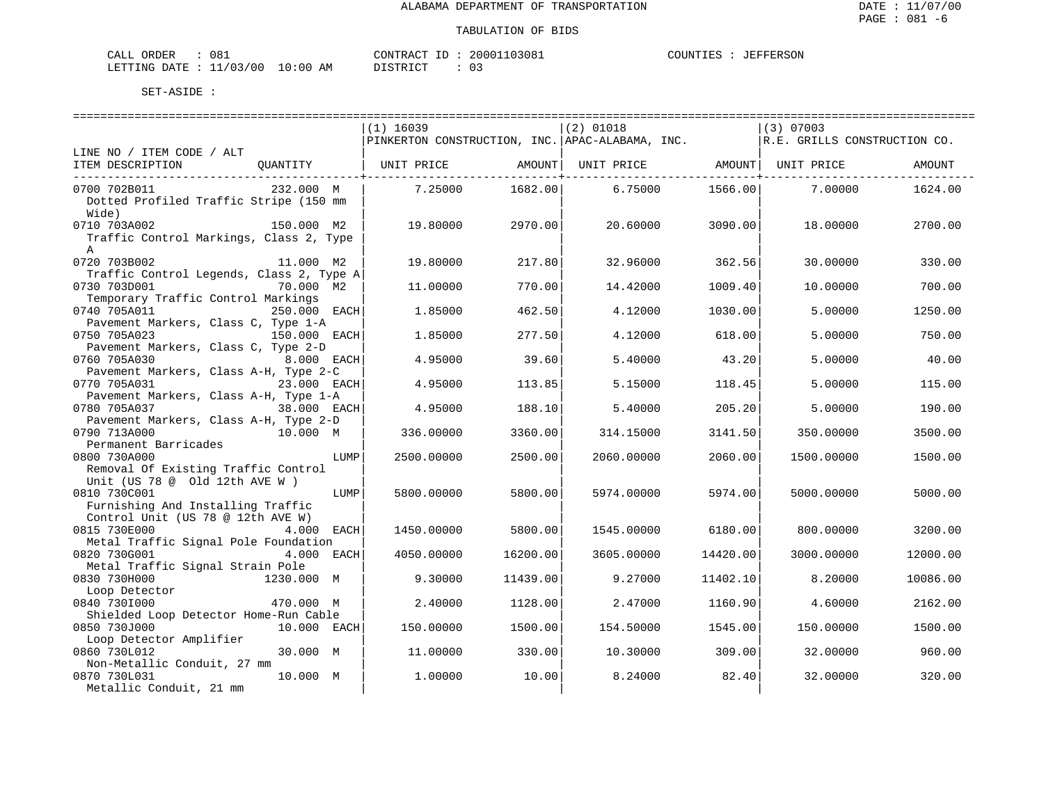| 081<br>CALL ORDER                | CONTRACT ID: 20001103081 |  | COUNTIES | JEFFERSON |
|----------------------------------|--------------------------|--|----------|-----------|
| LETTING DATE : 11/03/00 10:00 AM | DISTRICT                 |  |          |           |

|                                          |              | $(1)$ 16039                                     |            | $(2)$ 01018                    |          | $(3)$ 07003                  |          |
|------------------------------------------|--------------|-------------------------------------------------|------------|--------------------------------|----------|------------------------------|----------|
|                                          |              | PINKERTON CONSTRUCTION, INC. APAC-ALABAMA, INC. |            |                                |          | R.E. GRILLS CONSTRUCTION CO. |          |
| LINE NO / ITEM CODE / ALT                |              |                                                 |            |                                |          |                              |          |
| ITEM DESCRIPTION                         | OUANTITY     | UNIT PRICE                                      | AMOUNT     | UNIT PRICE AMOUNT   UNIT PRICE |          |                              | AMOUNT   |
|                                          |              |                                                 | ---------- |                                |          |                              |          |
| 0700 702B011                             | 232.000 M    | 7.25000                                         | 1682.00    | 6.75000                        | 1566.00  | 7.00000                      | 1624.00  |
| Dotted Profiled Traffic Stripe (150 mm   |              |                                                 |            |                                |          |                              |          |
| Wide)                                    |              |                                                 |            |                                |          |                              |          |
| 0710 703A002                             | 150.000 M2   | 19.80000                                        | 2970.00    | 20.60000                       | 3090.00  | 18.00000                     | 2700.00  |
|                                          |              |                                                 |            |                                |          |                              |          |
| Traffic Control Markings, Class 2, Type  |              |                                                 |            |                                |          |                              |          |
| $\mathbb A$<br>0720 703B002              | 11.000 M2    |                                                 |            |                                |          |                              |          |
|                                          |              | 19.80000                                        | 217.80     | 32.96000                       | 362.56   | 30.00000                     | 330.00   |
| Traffic Control Legends, Class 2, Type A |              |                                                 |            |                                |          |                              |          |
| 0730 703D001                             | 70.000 M2    | 11,00000                                        | 770.00     | 14.42000                       | 1009.40  | 10.00000                     | 700.00   |
| Temporary Traffic Control Markings       |              |                                                 |            |                                |          |                              |          |
| 0740 705A011                             | 250.000 EACH | 1.85000                                         | 462.50     | 4.12000                        | 1030.00  | 5.00000                      | 1250.00  |
| Pavement Markers, Class C, Type 1-A      |              |                                                 |            |                                |          |                              |          |
| 0750 705A023                             | 150.000 EACH | 1.85000                                         | 277.50     | 4.12000                        | 618.00   | 5.00000                      | 750.00   |
| Pavement Markers, Class C, Type 2-D      |              |                                                 |            |                                |          |                              |          |
| 0760 705A030                             | 8.000 EACH   | 4.95000                                         | 39.60      | 5.40000                        | 43.20    | 5.00000                      | 40.00    |
| Pavement Markers, Class A-H, Type 2-C    |              |                                                 |            |                                |          |                              |          |
| 0770 705A031                             | 23.000 EACH  | 4.95000                                         | 113.85     | 5.15000                        | 118.45   | 5.00000                      | 115.00   |
| Pavement Markers, Class A-H, Type 1-A    |              |                                                 |            |                                |          |                              |          |
| 0780 705A037                             | 38.000 EACH  | 4.95000                                         | 188.10     | 5.40000                        | 205.20   | 5.00000                      | 190.00   |
| Pavement Markers, Class A-H, Type 2-D    |              |                                                 |            |                                |          |                              |          |
| 0790 713A000                             | 10.000 M     | 336.00000                                       | 3360.00    | 314.15000                      | 3141.50  | 350.00000                    | 3500.00  |
| Permanent Barricades                     |              |                                                 |            |                                |          |                              |          |
| 0800 730A000                             | LUMP         | 2500.00000                                      | 2500.00    | 2060.00000                     | 2060.00  | 1500.00000                   | 1500.00  |
| Removal Of Existing Traffic Control      |              |                                                 |            |                                |          |                              |          |
| Unit (US 78 @ Old 12th AVE W )           |              |                                                 |            |                                |          |                              |          |
| 0810 730C001                             | LUMP         | 5800.00000                                      | 5800.00    | 5974.00000                     | 5974.00  | 5000.00000                   | 5000.00  |
| Furnishing And Installing Traffic        |              |                                                 |            |                                |          |                              |          |
| Control Unit (US 78 @ 12th AVE W)        |              |                                                 |            |                                |          |                              |          |
| 0815 730E000                             | 4.000 EACH   | 1450.00000                                      | 5800.00    | 1545.00000                     | 6180.00  | 800,00000                    | 3200.00  |
| Metal Traffic Signal Pole Foundation     |              |                                                 |            |                                |          |                              |          |
| 0820 730G001                             | 4.000 EACH   | 4050.00000                                      | 16200.00   | 3605.00000                     | 14420.00 | 3000.00000                   | 12000.00 |
| Metal Traffic Signal Strain Pole         |              |                                                 |            |                                |          |                              |          |
| 0830 730H000                             | 1230.000 M   | 9.30000                                         | 11439.00   | 9.27000                        | 11402.10 | 8.20000                      | 10086.00 |
| Loop Detector                            |              |                                                 |            |                                |          |                              |          |
| 0840 7301000                             | 470.000 M    | 2.40000                                         | 1128.00    | 2.47000                        | 1160.90  | 4.60000                      | 2162.00  |
| Shielded Loop Detector Home-Run Cable    |              |                                                 |            |                                |          |                              |          |
| 0850 730J000                             | 10.000 EACH  | 150.00000                                       | 1500.00    | 154.50000                      | 1545.00  | 150.00000                    | 1500.00  |
| Loop Detector Amplifier                  |              |                                                 |            |                                |          |                              |          |
| 0860 730L012                             | 30.000 M     | 11.00000                                        | 330.00     | 10.30000                       | 309.00   | 32.00000                     | 960.00   |
| Non-Metallic Conduit, 27 mm              |              |                                                 |            |                                |          |                              |          |
| 0870 730L031                             | 10.000 M     | 1,00000                                         | 10.00      | 8.24000                        | 82.40    | 32.00000                     | 320.00   |
| Metallic Conduit, 21 mm                  |              |                                                 |            |                                |          |                              |          |
|                                          |              |                                                 |            |                                |          |                              |          |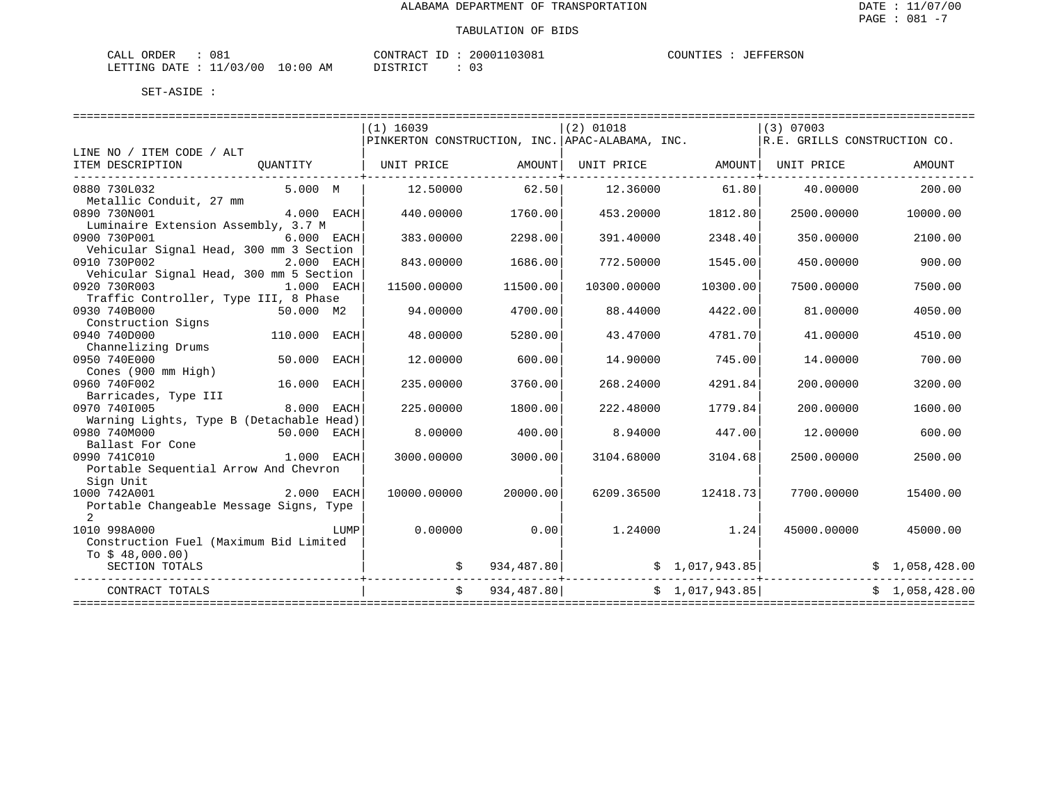| 081<br>CALL ORDER                |          | CONTRACT ID: 20001103081 | COUNTIES : JEFFERSON |  |
|----------------------------------|----------|--------------------------|----------------------|--|
| LETTING DATE : 11/03/00 10:00 AM | DISTRICT |                          |                      |  |

|                                                  |              |      | $(1)$ 16039                                                                   |          | $(2)$ 01018                               |                  | $(3)$ 07003             |                |
|--------------------------------------------------|--------------|------|-------------------------------------------------------------------------------|----------|-------------------------------------------|------------------|-------------------------|----------------|
|                                                  |              |      | PINKERTON CONSTRUCTION, INC. APAC-ALABAMA, INC. ARTE. GRILLS CONSTRUCTION CO. |          |                                           |                  |                         |                |
| LINE NO / ITEM CODE / ALT                        |              |      |                                                                               |          |                                           |                  |                         |                |
| ITEM DESCRIPTION<br>---------------------------- |              |      | QUANTITY   UNIT PRICE      AMOUNT  UNIT PRICE     AMOUNT  UNIT PRICE          |          |                                           |                  |                         | AMOUNT         |
| 0880 730L032                                     | 5.000 M      |      | 12.50000                                                                      | 62.50    |                                           | 12.36000 61.80   | 40.00000                | 200.00         |
| Metallic Conduit, 27 mm                          |              |      |                                                                               |          |                                           |                  |                         |                |
| 0890 730N001                                     | 4.000 EACH   |      | 440.00000                                                                     | 1760.00  | 453.20000                                 | 1812.80          | 2500.00000              | 10000.00       |
| Luminaire Extension Assembly, 3.7 M              |              |      |                                                                               |          |                                           |                  |                         |                |
| 0900 730P001                                     | 6.000 EACH   |      | 383.00000                                                                     | 2298.00  | 391.40000                                 | 2348.40          | 350.00000               | 2100.00        |
| Vehicular Signal Head, 300 mm 3 Section          |              |      |                                                                               |          |                                           |                  |                         |                |
| 0910 730P002                                     | 2.000 EACH   |      | 843.00000                                                                     | 1686.00  | 772.50000                                 | 1545.00          | 450.00000               | 900.00         |
| Vehicular Signal Head, 300 mm 5 Section          |              |      |                                                                               |          |                                           |                  |                         |                |
| 0920 730R003                                     | 1.000 EACH   |      | 11500.00000                                                                   | 11500.00 | 10300.00000                               | 10300.00         | 7500.00000              | 7500.00        |
| Traffic Controller, Type III, 8 Phase            |              |      |                                                                               |          |                                           |                  |                         |                |
| 0930 740B000                                     | 50.000 M2    |      | 94.00000                                                                      | 4700.00  | 88.44000                                  | 4422.00          | 81.00000                | 4050.00        |
| Construction Signs                               |              |      |                                                                               |          |                                           |                  |                         |                |
| 0940 740D000                                     | 110.000 EACH |      | 48.00000                                                                      | 5280.00  | 43.47000                                  | 4781.70          | 41.00000                | 4510.00        |
| Channelizing Drums                               |              |      |                                                                               |          |                                           |                  |                         |                |
| 0950 740E000                                     | 50.000 EACH  |      | 12,00000                                                                      | 600.00   | 14,90000                                  | 745.00           | 14,00000                | 700.00         |
| Cones (900 mm High)                              |              |      |                                                                               |          |                                           |                  |                         |                |
| 0960 740F002                                     | 16.000 EACH  |      | 235.00000                                                                     | 3760.00  | 268.24000                                 | 4291.84          | 200.00000               | 3200.00        |
| Barricades, Type III                             |              |      |                                                                               |          |                                           |                  |                         |                |
| 0970 7401005                                     | 8.000 EACH   |      | 225.00000                                                                     | 1800.00  | 222.48000                                 | 1779.84          | 200,00000               | 1600.00        |
| Warning Lights, Type B (Detachable Head)         |              |      |                                                                               |          |                                           |                  |                         |                |
| 0980 740M000                                     | 50.000 EACH  |      | 8,00000                                                                       | 400.00   | 8.94000                                   | 447.00           | 12.00000                | 600.00         |
| Ballast For Cone                                 |              |      |                                                                               |          |                                           |                  |                         |                |
| 0990 741C010                                     | 1.000 EACH   |      | 3000.00000                                                                    | 3000.00  | 3104.68000                                | 3104.68          | 2500.00000              | 2500.00        |
| Portable Sequential Arrow And Chevron            |              |      |                                                                               |          |                                           |                  |                         |                |
| Sign Unit                                        |              |      |                                                                               |          |                                           |                  |                         |                |
| 1000 742A001                                     | 2.000 EACH   |      | 10000.00000                                                                   | 20000.00 | 6209.36500                                | 12418.73         | 7700.00000              | 15400.00       |
| Portable Changeable Message Signs, Type          |              |      |                                                                               |          |                                           |                  |                         |                |
| $\overline{2}$                                   |              |      |                                                                               |          |                                           |                  |                         |                |
| 1010 998A000                                     |              | LUMP | 0.00000                                                                       | 0.001    |                                           | $1.24000$ $1.24$ | 45000.00000             | 45000.00       |
| Construction Fuel (Maximum Bid Limited           |              |      |                                                                               |          |                                           |                  |                         |                |
| To $$48,000.00)$                                 |              |      |                                                                               |          |                                           |                  |                         |                |
| SECTION TOTALS                                   |              |      |                                                                               |          | $\sharp$ 934,487.80 $\sharp$ 1,017,943.85 |                  | .<br>+----------------- | \$1,058,428.00 |
| CONTRACT TOTALS                                  |              |      |                                                                               |          | $\zeta$ 934,487.80 $\zeta$ 1,017,943.85   |                  |                         | \$1,058,428.00 |
|                                                  |              |      |                                                                               |          |                                           |                  |                         |                |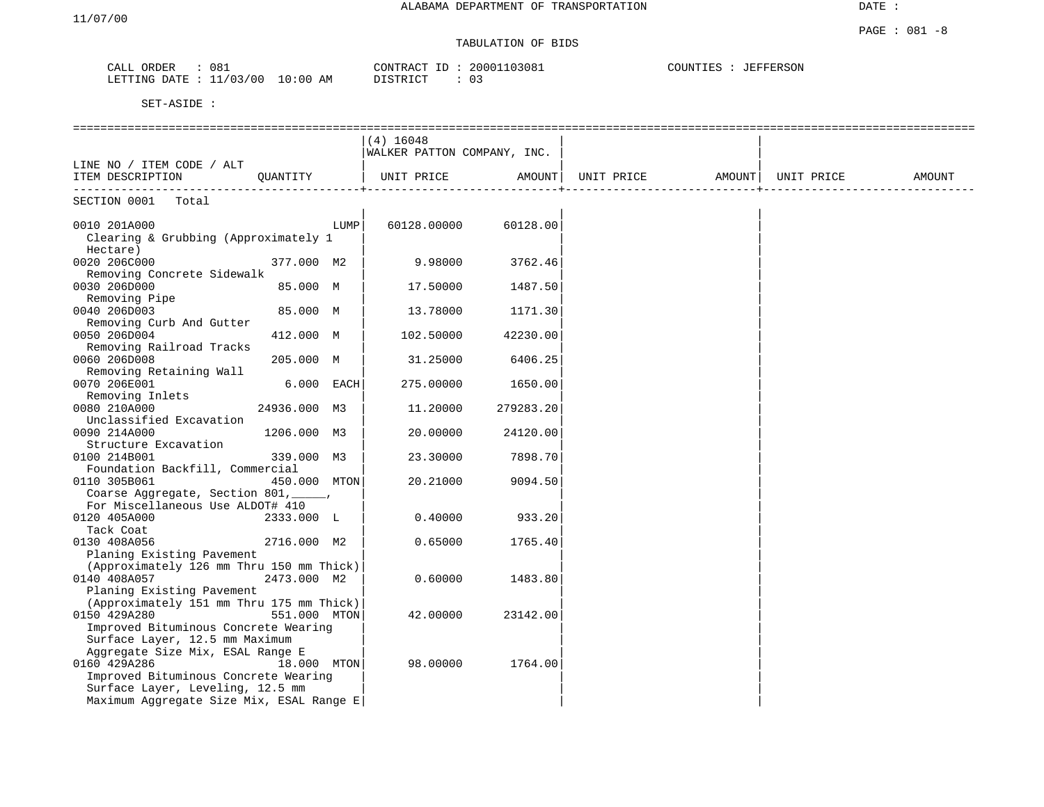DATE :

#### PAGE : 081 -8 TABULATION OF BIDS

| 081<br>CALL<br>ORDER         | CONTRACT ID             | 20001103081<br>+D. | <b>JEFFERSON</b><br>COUNTIES |
|------------------------------|-------------------------|--------------------|------------------------------|
| 11/03/00<br>LETTING<br>DATE. | 10:00<br>DISTRICT<br>AΜ |                    |                              |

|                                               |              |            | $(4)$ 16048<br>WALKER PATTON COMPANY, INC. |           |                   |            |        |
|-----------------------------------------------|--------------|------------|--------------------------------------------|-----------|-------------------|------------|--------|
| LINE NO / ITEM CODE / ALT<br>ITEM DESCRIPTION | OUANTITY     |            | UNIT PRICE                                 | AMOUNT    | UNIT PRICE AMOUNT | UNIT PRICE | AMOUNT |
| SECTION 0001<br>Total                         |              |            |                                            |           |                   |            |        |
|                                               |              |            |                                            |           |                   |            |        |
| 0010 201A000                                  |              | LUMP       | 60128.00000                                | 60128.00  |                   |            |        |
| Clearing & Grubbing (Approximately 1          |              |            |                                            |           |                   |            |        |
| Hectare)                                      |              |            |                                            |           |                   |            |        |
| 0020 206C000                                  | 377.000 M2   |            | 9.98000                                    | 3762.46   |                   |            |        |
| Removing Concrete Sidewalk                    |              |            |                                            |           |                   |            |        |
| 0030 206D000                                  | 85.000 M     |            | 17.50000                                   | 1487.50   |                   |            |        |
| Removing Pipe                                 |              |            |                                            |           |                   |            |        |
| 0040 206D003                                  | 85.000 M     |            | 13.78000                                   | 1171.30   |                   |            |        |
| Removing Curb And Gutter                      |              |            |                                            |           |                   |            |        |
| 0050 206D004                                  | 412.000 M    |            | 102.50000                                  | 42230.00  |                   |            |        |
| Removing Railroad Tracks                      |              |            |                                            |           |                   |            |        |
| 0060 206D008                                  | 205.000 M    |            | 31.25000                                   | 6406.25   |                   |            |        |
| Removing Retaining Wall                       |              |            |                                            |           |                   |            |        |
| 0070 206E001                                  |              | 6.000 EACH | 275.00000                                  | 1650.00   |                   |            |        |
| Removing Inlets                               |              |            |                                            |           |                   |            |        |
| 0080 210A000                                  | 24936.000 M3 |            | 11.20000                                   | 279283.20 |                   |            |        |
| Unclassified Excavation                       |              |            |                                            |           |                   |            |        |
| 0090 214A000                                  | 1206.000 M3  |            | 20.00000                                   | 24120.00  |                   |            |        |
|                                               |              |            |                                            |           |                   |            |        |
| Structure Excavation                          |              |            |                                            |           |                   |            |        |
| 0100 214B001                                  | 339.000 M3   |            | 23.30000                                   | 7898.70   |                   |            |        |
| Foundation Backfill, Commercial               |              |            |                                            |           |                   |            |        |
| 0110 305B061                                  | 450.000 MTON |            | 20.21000                                   | 9094.50   |                   |            |        |
| Coarse Aggregate, Section 801, _____,         |              |            |                                            |           |                   |            |        |
| For Miscellaneous Use ALDOT# 410              |              |            |                                            |           |                   |            |        |
| 0120 405A000                                  | 2333.000 L   |            | 0.40000                                    | 933.20    |                   |            |        |
| Tack Coat                                     |              |            |                                            |           |                   |            |        |
| 0130 408A056                                  | 2716.000 M2  |            | 0.65000                                    | 1765.40   |                   |            |        |
| Planing Existing Pavement                     |              |            |                                            |           |                   |            |        |
| (Approximately 126 mm Thru 150 mm Thick)      |              |            |                                            |           |                   |            |        |
| 0140 408A057                                  | 2473.000 M2  |            | 0.60000                                    | 1483.80   |                   |            |        |
| Planing Existing Pavement                     |              |            |                                            |           |                   |            |        |
| (Approximately 151 mm Thru 175 mm Thick)      |              |            |                                            |           |                   |            |        |
| 0150 429A280                                  | 551.000 MTON |            | 42.00000                                   | 23142.00  |                   |            |        |
| Improved Bituminous Concrete Wearing          |              |            |                                            |           |                   |            |        |
| Surface Layer, 12.5 mm Maximum                |              |            |                                            |           |                   |            |        |
| Aggregate Size Mix, ESAL Range E              |              |            |                                            |           |                   |            |        |
| 0160 429A286                                  | 18.000 MTON  |            | 98.00000                                   | 1764.00   |                   |            |        |
| Improved Bituminous Concrete Wearing          |              |            |                                            |           |                   |            |        |
| Surface Layer, Leveling, 12.5 mm              |              |            |                                            |           |                   |            |        |
| Maximum Aggregate Size Mix, ESAL Range E      |              |            |                                            |           |                   |            |        |
|                                               |              |            |                                            |           |                   |            |        |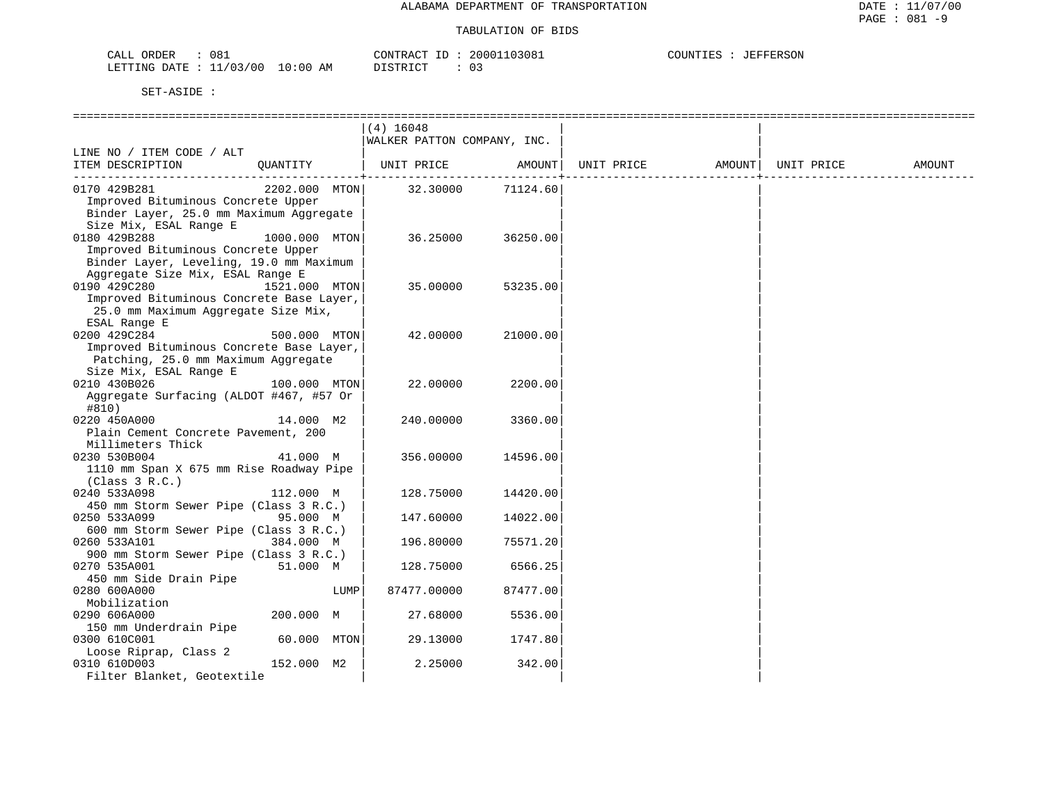| CALL | ORDER | 081                       |          | CONTRACT ID | 20001103081 | COUNTIES : | JEFFERSON |
|------|-------|---------------------------|----------|-------------|-------------|------------|-----------|
|      |       | LETTING DATE : $11/03/00$ | 10:00 AM | T STR TCT.  | 03          |            |           |

|                                                    |               |      | $(4)$ 16048                 |            |            |                    |        |
|----------------------------------------------------|---------------|------|-----------------------------|------------|------------|--------------------|--------|
|                                                    |               |      | WALKER PATTON COMPANY, INC. |            |            |                    |        |
| LINE NO / ITEM CODE / ALT                          |               |      |                             |            |            |                    |        |
| ITEM DESCRIPTION                                   | OUANTITY      |      | UNIT PRICE                  | AMOUNT     | UNIT PRICE | AMOUNT  UNIT PRICE | AMOUNT |
|                                                    |               |      |                             | ---------+ |            |                    |        |
| 0170 429B281<br>Improved Bituminous Concrete Upper | 2202.000 MTON |      | 32.30000                    | 71124.60   |            |                    |        |
|                                                    |               |      |                             |            |            |                    |        |
| Binder Layer, 25.0 mm Maximum Aggregate            |               |      |                             |            |            |                    |        |
| Size Mix, ESAL Range E                             |               |      |                             |            |            |                    |        |
| 0180 429B288                                       | 1000.000 MTON |      | 36.25000                    | 36250.00   |            |                    |        |
| Improved Bituminous Concrete Upper                 |               |      |                             |            |            |                    |        |
| Binder Layer, Leveling, 19.0 mm Maximum            |               |      |                             |            |            |                    |        |
| Aggregate Size Mix, ESAL Range E                   |               |      |                             |            |            |                    |        |
| 0190 429C280                                       | 1521.000 MTON |      | 35.00000                    | 53235.00   |            |                    |        |
| Improved Bituminous Concrete Base Layer,           |               |      |                             |            |            |                    |        |
| 25.0 mm Maximum Aggregate Size Mix,                |               |      |                             |            |            |                    |        |
| ESAL Range E                                       |               |      |                             |            |            |                    |        |
| 0200 429C284                                       | 500.000 MTON  |      | 42.00000                    | 21000.00   |            |                    |        |
| Improved Bituminous Concrete Base Layer,           |               |      |                             |            |            |                    |        |
| Patching, 25.0 mm Maximum Aggregate                |               |      |                             |            |            |                    |        |
| Size Mix, ESAL Range E                             |               |      |                             |            |            |                    |        |
| 0210 430B026                                       | 100.000 MTON  |      | 22.00000                    | 2200.00    |            |                    |        |
| Aggregate Surfacing (ALDOT #467, #57 Or<br>#810)   |               |      |                             |            |            |                    |        |
| 0220 450A000                                       | 14.000 M2     |      | 240.00000                   | 3360.00    |            |                    |        |
| Plain Cement Concrete Pavement, 200                |               |      |                             |            |            |                    |        |
| Millimeters Thick                                  |               |      |                             |            |            |                    |        |
| 0230 530B004                                       | 41.000 M      |      | 356.00000                   | 14596.00   |            |                    |        |
| 1110 mm Span X 675 mm Rise Roadway Pipe            |               |      |                             |            |            |                    |        |
| (Class 3 R.C.)                                     |               |      |                             |            |            |                    |        |
| 0240 533A098                                       | 112.000 M     |      | 128.75000                   | 14420.00   |            |                    |        |
| 450 mm Storm Sewer Pipe (Class 3 R.C.)             |               |      |                             |            |            |                    |        |
| 0250 533A099                                       | 95.000 M      |      | 147.60000                   | 14022.00   |            |                    |        |
| 600 mm Storm Sewer Pipe (Class 3 R.C.)             |               |      |                             |            |            |                    |        |
| 0260 533A101                                       | 384.000 M     |      | 196.80000                   | 75571.20   |            |                    |        |
| 900 mm Storm Sewer Pipe (Class 3 R.C.)             |               |      |                             |            |            |                    |        |
| 0270 535A001                                       | 51.000 M      |      | 128.75000                   | 6566.25    |            |                    |        |
| 450 mm Side Drain Pipe                             |               |      |                             |            |            |                    |        |
| 0280 600A000                                       |               | LUMP | 87477.00000                 | 87477.00   |            |                    |        |
| Mobilization                                       |               |      |                             |            |            |                    |        |
|                                                    |               |      |                             |            |            |                    |        |
| 0290 606A000                                       | 200.000 M     |      | 27.68000                    | 5536.00    |            |                    |        |
| 150 mm Underdrain Pipe                             |               |      |                             |            |            |                    |        |
| 0300 610C001                                       | 60.000 MTON   |      | 29.13000                    | 1747.80    |            |                    |        |
| Loose Riprap, Class 2                              |               |      |                             |            |            |                    |        |
| 0310 610D003                                       | 152.000 M2    |      | 2.25000                     | 342.00     |            |                    |        |
| Filter Blanket, Geotextile                         |               |      |                             |            |            |                    |        |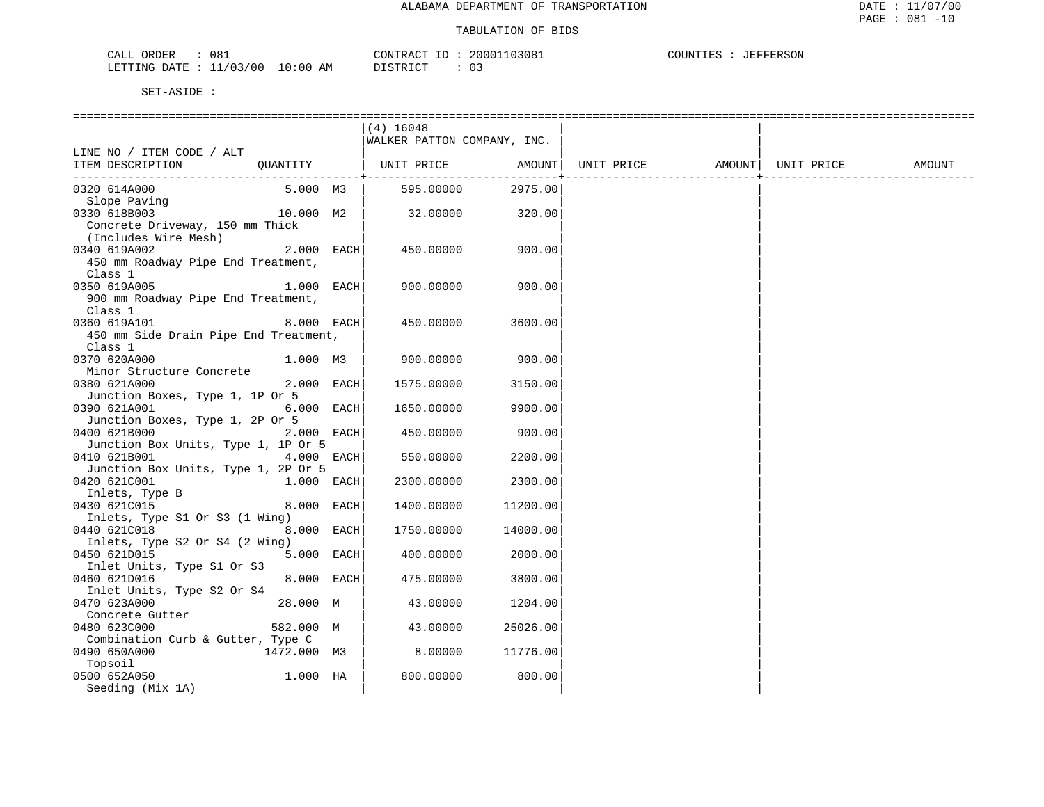| 08ì<br>ORDER<br>باللطب                                        |           | $\gamma$ ONTR<br>$\Delta($ | 13081<br>י מ מ ? | ™ ™ | FERSON<br>--- |
|---------------------------------------------------------------|-----------|----------------------------|------------------|-----|---------------|
| 0 <sup>0</sup><br>$\cdot$ $\sim$<br><b>FTTING</b><br>⊓∆ת<br>. | AΜ<br>ີດດ | $T$ $\cap$<br>חחר          |                  |     |               |

|                                       |              | $(4)$ 16048                  |                     |                              |  |        |
|---------------------------------------|--------------|------------------------------|---------------------|------------------------------|--|--------|
|                                       |              | WALKER PATTON COMPANY, INC.  |                     |                              |  |        |
| LINE NO / ITEM CODE / ALT             |              |                              |                     |                              |  |        |
| ITEM DESCRIPTION                      |              | QUANTITY   UNIT PRICE AMOUNT |                     | UNIT PRICE AMOUNT UNIT PRICE |  | AMOUNT |
|                                       |              |                              | ------------------- |                              |  |        |
| 0320 614A000                          | 5.000 M3     | 595.00000                    | 2975.00             |                              |  |        |
| Slope Paving                          |              |                              |                     |                              |  |        |
| 0330 618B003                          | 10.000 M2    | 32.00000                     | 320.00              |                              |  |        |
| Concrete Driveway, 150 mm Thick       |              |                              |                     |                              |  |        |
| (Includes Wire Mesh)                  |              |                              |                     |                              |  |        |
| 0340 619A002                          | 2.000 EACH   | 450.00000                    | 900.00              |                              |  |        |
| 450 mm Roadway Pipe End Treatment,    |              |                              |                     |                              |  |        |
| Class 1                               |              |                              |                     |                              |  |        |
| 0350 619A005                          | 1.000 EACH   | 900.00000                    | 900.00              |                              |  |        |
| 900 mm Roadway Pipe End Treatment,    |              |                              |                     |                              |  |        |
| Class 1                               |              |                              |                     |                              |  |        |
| 0360 619A101                          | $8.000$ EACH | 450.00000                    | 3600.00             |                              |  |        |
| 450 mm Side Drain Pipe End Treatment, |              |                              |                     |                              |  |        |
| Class 1                               |              |                              |                     |                              |  |        |
| 0370 620A000                          | 1.000 M3     | 900.00000                    | 900.00              |                              |  |        |
| Minor Structure Concrete              |              |                              |                     |                              |  |        |
| 0380 621A000                          | 2.000 EACH   | 1575.00000                   | 3150.00             |                              |  |        |
| Junction Boxes, Type 1, 1P Or 5       |              |                              |                     |                              |  |        |
| 0390 621A001                          | 6.000 EACH   | 1650.00000                   | 9900.00             |                              |  |        |
| Junction Boxes, Type 1, 2P Or 5       |              |                              |                     |                              |  |        |
| 0400 621B000                          | 2.000 EACH   | 450.00000                    | 900.00              |                              |  |        |
| Junction Box Units, Type 1, 1P Or 5   |              |                              |                     |                              |  |        |
| 0410 621B001                          | 4.000 EACH   | 550.00000                    | 2200.00             |                              |  |        |
| Junction Box Units, Type 1, 2P Or 5   |              |                              |                     |                              |  |        |
| 0420 621C001                          | $1.000$ EACH | 2300.00000                   | 2300.00             |                              |  |        |
| Inlets, Type B                        |              |                              |                     |                              |  |        |
| 0430 621C015                          | 8.000 EACH   | 1400.00000                   | 11200.00            |                              |  |        |
| Inlets, Type S1 Or S3 (1 Wing)        |              |                              |                     |                              |  |        |
| 0440 621C018                          | 8.000 EACH   | 1750.00000                   | 14000.00            |                              |  |        |
| Inlets, Type S2 Or S4 (2 Wing)        |              |                              |                     |                              |  |        |
| 0450 621D015                          | 5.000 EACH   | 400.00000                    | 2000.00             |                              |  |        |
| Inlet Units, Type S1 Or S3            |              |                              |                     |                              |  |        |
| 0460 621D016                          | 8.000 EACH   | 475.00000                    | 3800.00             |                              |  |        |
| Inlet Units, Type S2 Or S4            |              |                              |                     |                              |  |        |
| 0470 623A000                          | 28.000 M     | 43.00000                     | 1204.00             |                              |  |        |
| Concrete Gutter                       |              |                              |                     |                              |  |        |
| 0480 623C000                          | 582.000 M    | 43.00000                     | 25026.00            |                              |  |        |
| Combination Curb & Gutter, Type C     |              |                              |                     |                              |  |        |
| 0490 650A000                          | 1472.000 M3  | 8.00000                      | 11776.00            |                              |  |        |
| Topsoil<br>0500 652A050               | 1.000 HA     | 800,00000                    | 800.00              |                              |  |        |
| Seeding (Mix 1A)                      |              |                              |                     |                              |  |        |
|                                       |              |                              |                     |                              |  |        |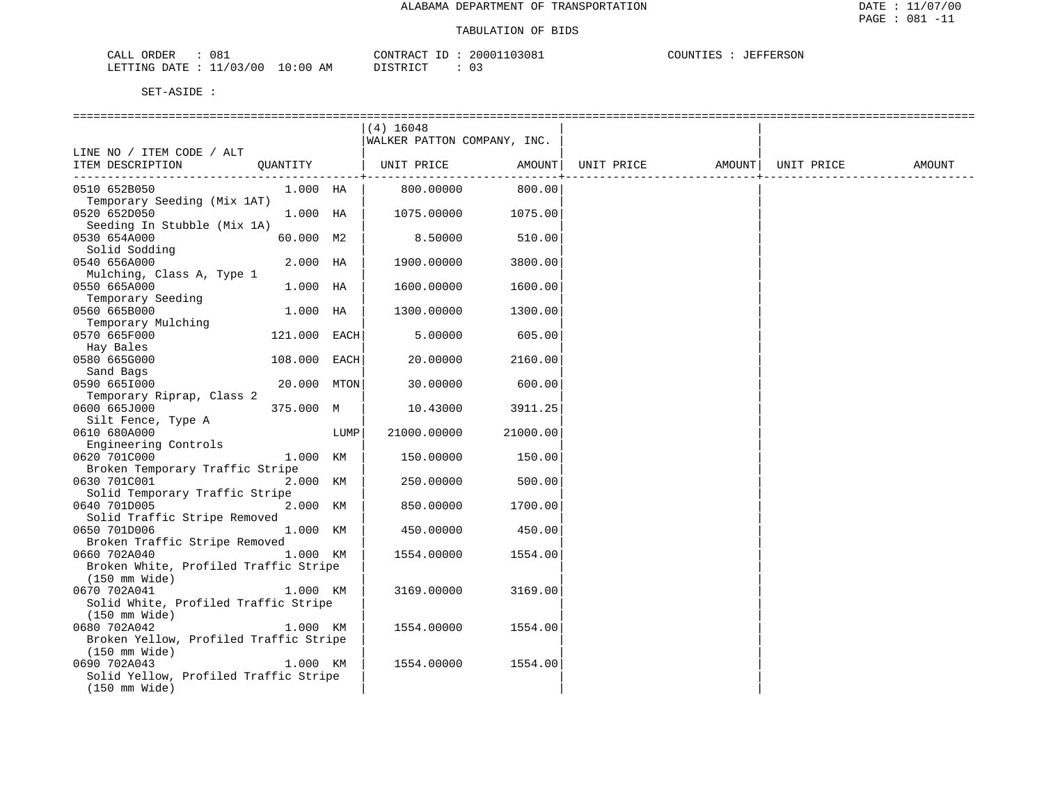| CALL<br>ORDER                    | 081 |  | CONTRACT ID | $\sim$ 1.1 | 20001103081 | COUNTIES |  | JEFFERSON |  |
|----------------------------------|-----|--|-------------|------------|-------------|----------|--|-----------|--|
| LETTING DATE : 11/03/00 10:00 AM |     |  | DISTRICT    |            | υ.          |          |  |           |  |

|                                                       |              |      | $(4)$ 16048                 |          |            |        |            |        |
|-------------------------------------------------------|--------------|------|-----------------------------|----------|------------|--------|------------|--------|
|                                                       |              |      | WALKER PATTON COMPANY, INC. |          |            |        |            |        |
| LINE NO / ITEM CODE / ALT                             |              |      |                             |          |            |        |            |        |
| ITEM DESCRIPTION                                      | QUANTITY     |      | UNIT PRICE                  | AMOUNT   | UNIT PRICE | AMOUNT | UNIT PRICE | AMOUNT |
|                                                       |              |      |                             | -------  |            |        |            |        |
| 0510 652B050                                          | 1.000 HA     |      | 800.00000                   | 800.00   |            |        |            |        |
| Temporary Seeding (Mix 1AT)                           | 1.000 HA     |      |                             |          |            |        |            |        |
| 0520 652D050<br>Seeding In Stubble (Mix 1A)           |              |      | 1075.00000                  | 1075.00  |            |        |            |        |
| 0530 654A000                                          | 60.000 M2    |      | 8.50000                     | 510.00   |            |        |            |        |
| Solid Sodding                                         |              |      |                             |          |            |        |            |        |
| 0540 656A000                                          | 2.000 HA     |      | 1900.00000                  | 3800.00  |            |        |            |        |
| Mulching, Class A, Type 1                             |              |      |                             |          |            |        |            |        |
| 0550 665A000                                          | 1.000 HA     |      | 1600.00000                  | 1600.00  |            |        |            |        |
| Temporary Seeding                                     |              |      |                             |          |            |        |            |        |
| 0560 665B000                                          | 1.000 HA     |      | 1300.00000                  | 1300.00  |            |        |            |        |
| Temporary Mulching                                    |              |      |                             |          |            |        |            |        |
| 0570 665F000                                          | 121.000 EACH |      | 5.00000                     | 605.00   |            |        |            |        |
| Hay Bales                                             |              |      |                             |          |            |        |            |        |
| 0580 665G000                                          | 108.000 EACH |      | 20.00000                    | 2160.00  |            |        |            |        |
| Sand Bags<br>0590 6651000                             | 20.000 MTON  |      | 30.00000                    | 600.00   |            |        |            |        |
| Temporary Riprap, Class 2                             |              |      |                             |          |            |        |            |        |
| 0600 665J000                                          | 375.000 M    |      | 10.43000                    | 3911.25  |            |        |            |        |
| Silt Fence, Type A                                    |              |      |                             |          |            |        |            |        |
| 0610 680A000                                          |              | LUMP | 21000.00000                 | 21000.00 |            |        |            |        |
| Engineering Controls                                  |              |      |                             |          |            |        |            |        |
| 0620 701C000                                          | 1.000 KM     |      | 150.00000                   | 150.00   |            |        |            |        |
| Broken Temporary Traffic Stripe                       |              |      |                             |          |            |        |            |        |
| 0630 701C001                                          | 2.000 KM     |      | 250.00000                   | 500.00   |            |        |            |        |
| Solid Temporary Traffic Stripe                        |              |      |                             |          |            |        |            |        |
| 0640 701D005                                          | 2.000 KM     |      | 850.00000                   | 1700.00  |            |        |            |        |
| Solid Traffic Stripe Removed<br>0650 701D006          | 1.000 KM     |      | 450.00000                   | 450.00   |            |        |            |        |
| Broken Traffic Stripe Removed                         |              |      |                             |          |            |        |            |        |
| 0660 702A040                                          | 1.000 KM     |      | 1554.00000                  | 1554.00  |            |        |            |        |
| Broken White, Profiled Traffic Stripe                 |              |      |                             |          |            |        |            |        |
| $(150 \, \text{mm} \, \text{Wide})$                   |              |      |                             |          |            |        |            |        |
| 0670 702A041                                          | 1.000 KM     |      | 3169.00000                  | 3169.00  |            |        |            |        |
| Solid White, Profiled Traffic Stripe                  |              |      |                             |          |            |        |            |        |
| $(150 \text{ mm Wide})$                               |              |      |                             |          |            |        |            |        |
| 0680 702A042                                          | 1.000 KM     |      | 1554.00000                  | 1554.00  |            |        |            |        |
| Broken Yellow, Profiled Traffic Stripe                |              |      |                             |          |            |        |            |        |
| $(150 \, \text{mm} \, \text{Wide})$                   | 1.000 KM     |      |                             |          |            |        |            |        |
| 0690 702A043<br>Solid Yellow, Profiled Traffic Stripe |              |      | 1554.00000                  | 1554.00  |            |        |            |        |
| $(150 \, \text{mm} \, \text{Wide})$                   |              |      |                             |          |            |        |            |        |
|                                                       |              |      |                             |          |            |        |            |        |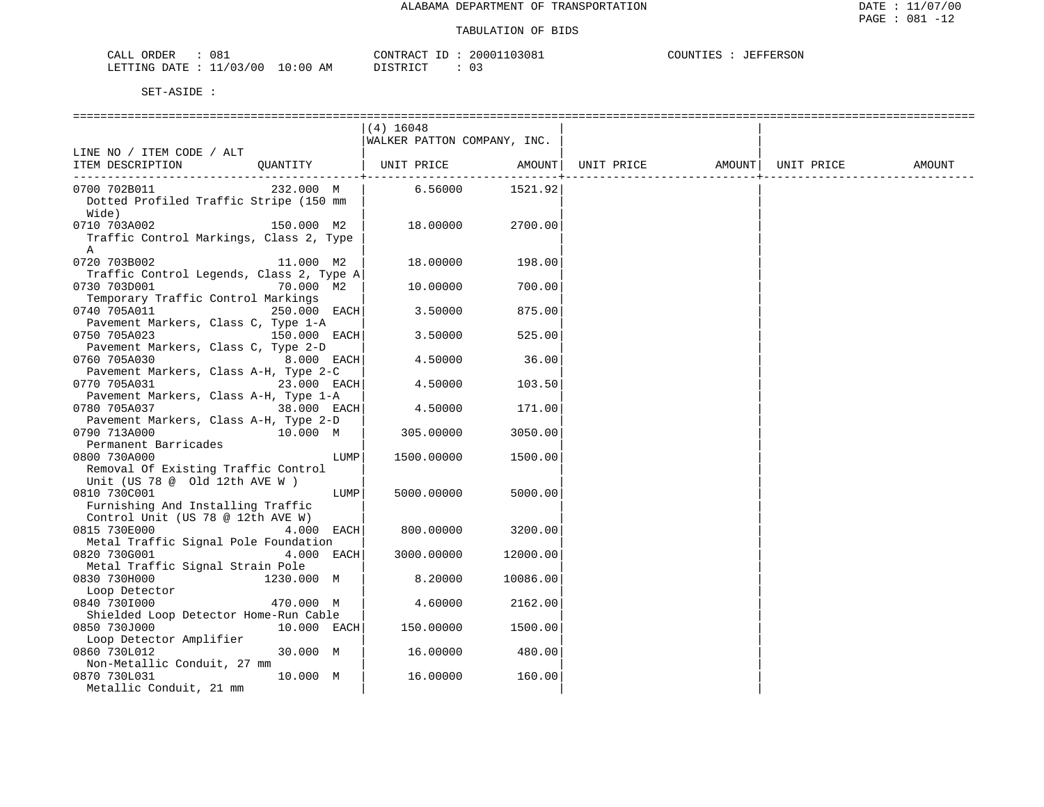**JEFFERSON** 

| 081<br>CALL ORDER                |          | CONTRACT ID: 20001103081 | COUNTIES | : JEFFERSON |
|----------------------------------|----------|--------------------------|----------|-------------|
| LETTING DATE : 11/03/00 10:00 AM | DISTRICT |                          |          |             |

|                                                  |              | $(4)$ 16048                 |          |                   |            |        |
|--------------------------------------------------|--------------|-----------------------------|----------|-------------------|------------|--------|
|                                                  |              | WALKER PATTON COMPANY, INC. |          |                   |            |        |
| LINE NO / ITEM CODE / ALT                        |              |                             |          |                   |            |        |
| ITEM DESCRIPTION                                 | OUANTITY     | UNIT PRICE                  | AMOUNT   | UNIT PRICE AMOUNT | UNIT PRICE | AMOUNT |
|                                                  |              |                             |          |                   |            |        |
| 0700 702B011                                     | 232.000 M    | 6.56000                     | 1521.92  |                   |            |        |
| Dotted Profiled Traffic Stripe (150 mm           |              |                             |          |                   |            |        |
| Wide)                                            |              |                             |          |                   |            |        |
| 0710 703A002                                     | 150.000 M2   | 18.00000                    | 2700.00  |                   |            |        |
| Traffic Control Markings, Class 2, Type          |              |                             |          |                   |            |        |
| A<br>0720 703B002                                | 11.000 M2    | 18.00000                    | 198.00   |                   |            |        |
| Traffic Control Legends, Class 2, Type A         |              |                             |          |                   |            |        |
| 0730 703D001                                     | 70.000 M2    | 10.00000                    | 700.00   |                   |            |        |
| Temporary Traffic Control Markings               |              |                             |          |                   |            |        |
| 0740 705A011                                     | 250.000 EACH | 3.50000                     | 875.00   |                   |            |        |
| Pavement Markers, Class C, Type 1-A              |              |                             |          |                   |            |        |
| 0750 705A023                                     | 150.000 EACH | 3.50000                     | 525.00   |                   |            |        |
| Pavement Markers, Class C, Type 2-D              |              |                             |          |                   |            |        |
| 0760 705A030                                     | $8.000$ EACH | 4.50000                     | 36.00    |                   |            |        |
| Pavement Markers, Class A-H, Type 2-C            |              |                             |          |                   |            |        |
| 0770 705A031                                     | 23.000 EACH  | 4.50000                     | 103.50   |                   |            |        |
| Pavement Markers, Class A-H, Type 1-A            |              |                             |          |                   |            |        |
| 0780 705A037                                     | 38.000 EACH  | 4.50000                     | 171.00   |                   |            |        |
| Pavement Markers, Class A-H, Type 2-D            |              |                             |          |                   |            |        |
| 0790 713A000                                     | 10.000 M     | 305.00000                   | 3050.00  |                   |            |        |
| Permanent Barricades                             |              |                             |          |                   |            |        |
| 0800 730A000                                     | LUMP         | 1500.00000                  | 1500.00  |                   |            |        |
| Removal Of Existing Traffic Control              |              |                             |          |                   |            |        |
| Unit (US 78 @ Old 12th AVE W )                   |              |                             |          |                   |            |        |
| 0810 730C001                                     | LUMP         | 5000.00000                  | 5000.00  |                   |            |        |
| Furnishing And Installing Traffic                |              |                             |          |                   |            |        |
| Control Unit (US 78 @ 12th AVE W)                |              |                             |          |                   |            |        |
| 0815 730E000                                     | 4.000 EACH   | 800.00000                   | 3200.00  |                   |            |        |
| Metal Traffic Signal Pole Foundation             |              |                             |          |                   |            |        |
| 0820 730G001<br>Metal Traffic Signal Strain Pole | 4.000 EACH   | 3000.00000                  | 12000.00 |                   |            |        |
| 0830 730H000                                     | 1230.000 M   | 8.20000                     | 10086.00 |                   |            |        |
|                                                  |              |                             |          |                   |            |        |
| Loop Detector<br>0840 7301000                    | 470.000 M    | 4.60000                     | 2162.00  |                   |            |        |
| Shielded Loop Detector Home-Run Cable            |              |                             |          |                   |            |        |
| 0850 730J000                                     | 10.000 EACH  | 150.00000                   | 1500.00  |                   |            |        |
| Loop Detector Amplifier                          |              |                             |          |                   |            |        |
| 0860 730L012                                     | 30.000 M     | 16.00000                    | 480.00   |                   |            |        |
| Non-Metallic Conduit, 27 mm                      |              |                             |          |                   |            |        |
| 0870 730L031                                     | 10.000 M     | 16.00000                    | 160.00   |                   |            |        |
| Metallic Conduit, 21 mm                          |              |                             |          |                   |            |        |
|                                                  |              |                             |          |                   |            |        |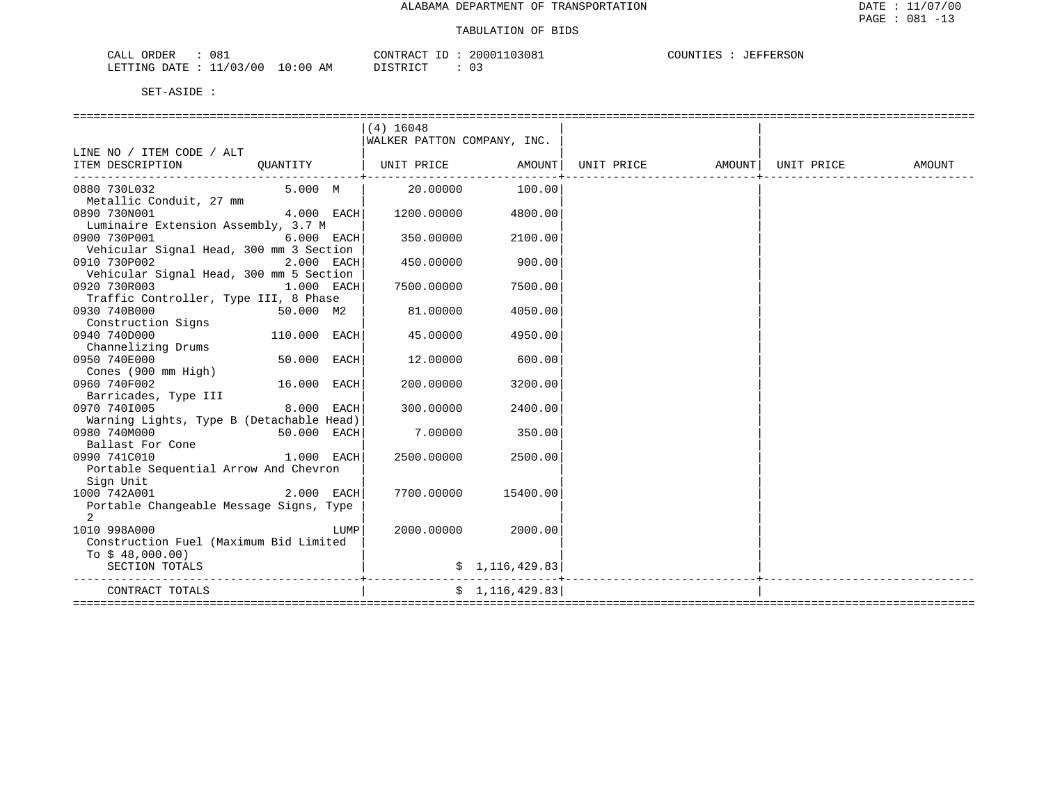| 081<br>CALL ORDER                | CONTRACT ID: 20001103081 |  | COUNTIES | JEFFERSON |
|----------------------------------|--------------------------|--|----------|-----------|
| LETTING DATE : 11/03/00 10:00 AM | DISTRICT                 |  |          |           |

| LINE NO / ITEM CODE / ALT                               |               |      | $(4)$ 16048<br>WALKER PATTON COMPANY, INC. |                 |                          |  |        |
|---------------------------------------------------------|---------------|------|--------------------------------------------|-----------------|--------------------------|--|--------|
| ITEM DESCRIPTION                                        | OUANTITY      |      |                                            |                 |                          |  | AMOUNT |
| 0880 730L032                                            | 5.000 M       |      | 20.00000                                   | 100.00          |                          |  |        |
| Metallic Conduit, 27 mm<br>0890 730N001                 | $4.000$ EACH  |      | 1200.00000                                 | 4800.00         |                          |  |        |
| Luminaire Extension Assembly, 3.7 M                     |               |      |                                            |                 |                          |  |        |
| 0900 730P001                                            | $6.000$ EACH  |      | 350.00000                                  | 2100.00         |                          |  |        |
| Vehicular Signal Head, 300 mm 3 Section<br>0910 730P002 | $2.000$ EACH  |      | 450.00000                                  | 900.00          |                          |  |        |
| Vehicular Signal Head, 300 mm 5 Section                 |               |      |                                            |                 |                          |  |        |
| 1.000 EACH<br>0920 730R003                              |               |      | 7500.00000                                 | 7500.00         |                          |  |        |
| Traffic Controller, Type III, 8 Phase                   |               |      |                                            |                 |                          |  |        |
| 0930 740B000<br>50.000 M2                               |               |      | 81.00000                                   | 4050.00         |                          |  |        |
| Construction Signs                                      |               |      |                                            |                 |                          |  |        |
| 0940 740D000                                            | 110.000 EACH  |      | 45.00000                                   | 4950.00         |                          |  |        |
| Channelizing Drums                                      |               |      |                                            |                 |                          |  |        |
| 0950 740E000                                            | $50.000$ EACH |      | 12.00000                                   | 600.00          |                          |  |        |
| Cones (900 mm High)                                     |               |      |                                            |                 |                          |  |        |
| 0960 740F002                                            | 16.000 EACH   |      | 200.00000                                  | 3200.00         |                          |  |        |
| Barricades, Type III                                    |               |      |                                            |                 |                          |  |        |
| 0970 7401005                                            | 8.000 EACH    |      | 300.00000                                  | 2400.00         |                          |  |        |
| Warning Lights, Type B (Detachable Head)                |               |      |                                            |                 |                          |  |        |
| 0980 740M000                                            | $50.000$ EACH |      | 7.00000                                    | 350.00          |                          |  |        |
| Ballast For Cone                                        |               |      |                                            |                 |                          |  |        |
| 0990 741C010<br>1.000 EACH                              |               |      | 2500.00000                                 | 2500.00         |                          |  |        |
| Portable Sequential Arrow And Chevron                   |               |      |                                            |                 |                          |  |        |
| Sign Unit                                               |               |      |                                            |                 |                          |  |        |
| 1000 742A001                                            | $2.000$ EACH  |      | 7700.00000                                 | 15400.00        |                          |  |        |
| Portable Changeable Message Signs, Type                 |               |      |                                            |                 |                          |  |        |
| 2                                                       |               |      |                                            |                 |                          |  |        |
| 1010 998A000                                            |               | LUMP | 2000.00000                                 | 2000.00         |                          |  |        |
| Construction Fuel (Maximum Bid Limited                  |               |      |                                            |                 |                          |  |        |
| To $$48,000.00)$                                        |               |      |                                            |                 |                          |  |        |
| SECTION TOTALS                                          |               |      |                                            | \$1,116,429.83] | ------------------------ |  |        |
| CONTRACT TOTALS                                         |               |      |                                            | \$1,116,429.83  |                          |  |        |
|                                                         |               |      |                                            |                 |                          |  |        |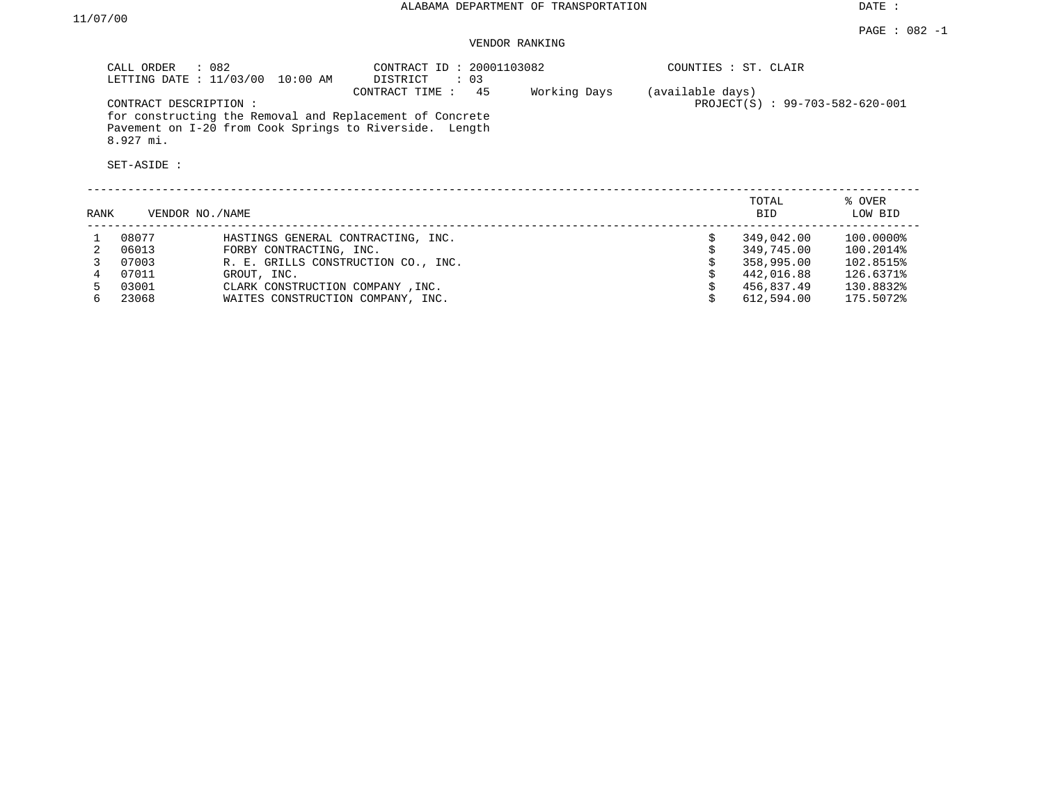DATE :

### VENDOR RANKING

|      | $\therefore$ 082<br>CALL ORDER<br>LETTING DATE : 11/03/00<br>CONTRACT DESCRIPTION:<br>$8.927$ mi.<br>SET-ASIDE : | 10:00 AM                            | CONTRACT ID: 20001103082<br>: 03<br>DISTRICT<br>45<br>CONTRACT TIME:<br>for constructing the Removal and Replacement of Concrete<br>Pavement on I-20 from Cook Springs to Riverside. Length | Working Days | (available days) | COUNTIES : ST. CLAIR<br>PROJECT(S) : 99-703-582-620-001 |                   |
|------|------------------------------------------------------------------------------------------------------------------|-------------------------------------|---------------------------------------------------------------------------------------------------------------------------------------------------------------------------------------------|--------------|------------------|---------------------------------------------------------|-------------------|
| RANK | VENDOR NO./NAME                                                                                                  |                                     |                                                                                                                                                                                             |              |                  | TOTAL<br>BID                                            | % OVER<br>LOW BID |
|      | 08077                                                                                                            | HASTINGS GENERAL CONTRACTING, INC.  |                                                                                                                                                                                             |              |                  | 349,042.00                                              | 100.0000%         |
| 2    | 06013                                                                                                            | FORBY CONTRACTING, INC.             |                                                                                                                                                                                             |              |                  | 349,745.00                                              | 100.2014%         |
|      | 07003                                                                                                            | R. E. GRILLS CONSTRUCTION CO., INC. |                                                                                                                                                                                             |              |                  | 358,995.00                                              | 102.8515%         |
|      | 07011                                                                                                            | GROUT, INC.                         |                                                                                                                                                                                             |              |                  | 442,016.88                                              | 126.6371%         |
|      | 03001                                                                                                            | CLARK CONSTRUCTION COMPANY, INC.    |                                                                                                                                                                                             |              |                  | 456,837.49                                              | 130.8832%         |
| 6    | 23068                                                                                                            | WAITES CONSTRUCTION COMPANY, INC.   |                                                                                                                                                                                             |              |                  | 612,594.00                                              | 175.5072%         |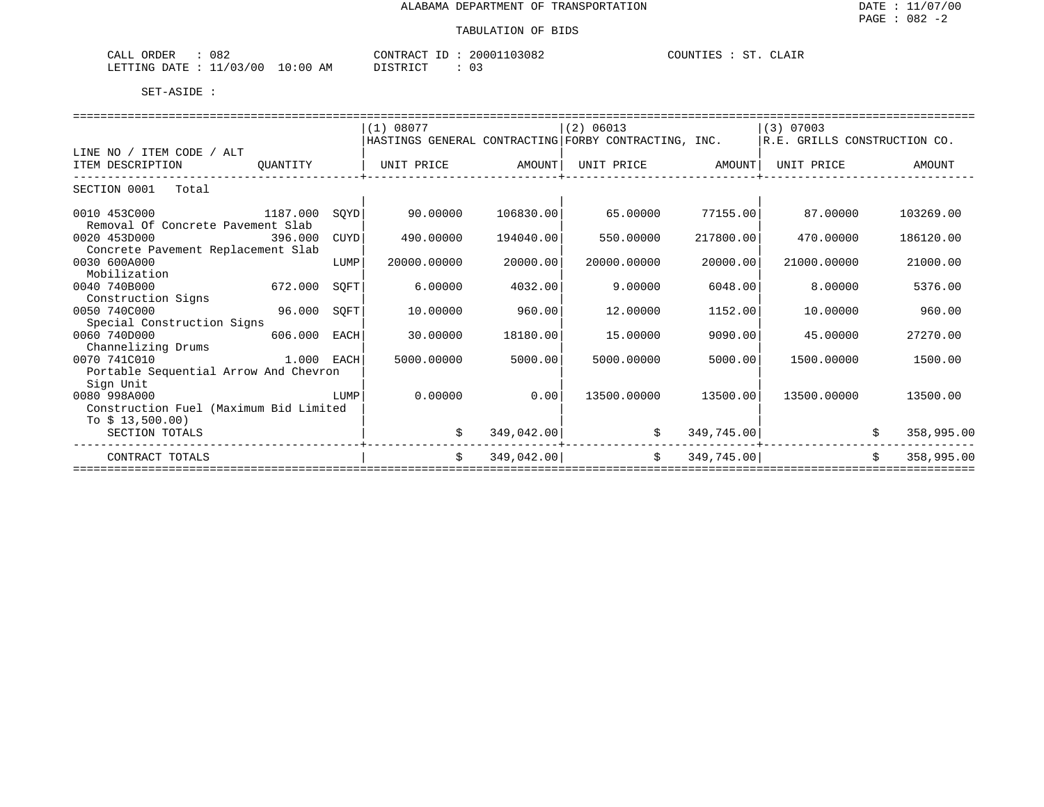| ے ہ<br><b>CRDER</b><br>∪ຽ∠<br>ىلىك                 |                 | CONTR ACT                | 03082<br>nnn | $\sim$ $\sim$ $\sim$<br>COUNTIES<br>$\cdot$ . A In .<br>----- |
|----------------------------------------------------|-----------------|--------------------------|--------------|---------------------------------------------------------------|
| - ^ ^ ^<br>LETTING<br><b>DATE</b><br>00'<br>$\sim$ | AΜ<br>. J : 0 O | $T \cap T$<br><b>STR</b> |              |                                                               |

|          |                                                                                                                  | (1) 08077                                                                                                  |          | (2) 06013   |                                                                                    |                                                      |                                                                                                            |                              |
|----------|------------------------------------------------------------------------------------------------------------------|------------------------------------------------------------------------------------------------------------|----------|-------------|------------------------------------------------------------------------------------|------------------------------------------------------|------------------------------------------------------------------------------------------------------------|------------------------------|
|          |                                                                                                                  |                                                                                                            |          |             |                                                                                    |                                                      |                                                                                                            |                              |
|          |                                                                                                                  |                                                                                                            |          |             |                                                                                    |                                                      |                                                                                                            |                              |
| OUANTITY |                                                                                                                  | UNIT PRICE                                                                                                 |          |             |                                                                                    | UNIT PRICE                                           |                                                                                                            | AMOUNT                       |
|          |                                                                                                                  |                                                                                                            |          |             |                                                                                    |                                                      |                                                                                                            |                              |
|          |                                                                                                                  |                                                                                                            |          |             |                                                                                    |                                                      |                                                                                                            |                              |
|          |                                                                                                                  |                                                                                                            |          |             |                                                                                    |                                                      |                                                                                                            |                              |
| 1187.000 | SOYD                                                                                                             | 90.00000                                                                                                   |          | 65.00000    |                                                                                    | 87.00000                                             |                                                                                                            | 103269.00                    |
|          |                                                                                                                  |                                                                                                            |          |             |                                                                                    |                                                      |                                                                                                            |                              |
|          | CUYD                                                                                                             | 490.00000                                                                                                  |          | 550.00000   | 217800.00                                                                          | 470.00000                                            |                                                                                                            | 186120.00                    |
|          |                                                                                                                  |                                                                                                            |          |             |                                                                                    |                                                      |                                                                                                            |                              |
|          | LUMP                                                                                                             | 20000.00000                                                                                                | 20000.00 | 20000.00000 | 20000.00                                                                           | 21000.00000                                          |                                                                                                            | 21000.00                     |
|          |                                                                                                                  |                                                                                                            |          |             |                                                                                    |                                                      |                                                                                                            |                              |
| 672.000  | SOFT                                                                                                             | 6.00000                                                                                                    |          | 9,00000     |                                                                                    | 8,00000                                              |                                                                                                            | 5376.00                      |
|          |                                                                                                                  |                                                                                                            |          |             |                                                                                    |                                                      |                                                                                                            |                              |
| 96.000   | SOFT                                                                                                             | 10.00000                                                                                                   | 960.00   | 12.00000    | 1152.00                                                                            | 10,00000                                             |                                                                                                            | 960.00                       |
|          |                                                                                                                  |                                                                                                            |          |             |                                                                                    |                                                      |                                                                                                            |                              |
|          | EACH                                                                                                             | 30.00000                                                                                                   | 18180.00 | 15,00000    | 9090.00                                                                            | 45.00000                                             |                                                                                                            | 27270.00                     |
|          |                                                                                                                  |                                                                                                            |          |             |                                                                                    |                                                      |                                                                                                            |                              |
|          |                                                                                                                  | 5000.00000                                                                                                 |          | 5000.00000  |                                                                                    | 1500.00000                                           |                                                                                                            | 1500.00                      |
|          |                                                                                                                  |                                                                                                            |          |             |                                                                                    |                                                      |                                                                                                            |                              |
|          |                                                                                                                  |                                                                                                            |          |             |                                                                                    |                                                      |                                                                                                            |                              |
|          | LUMP                                                                                                             | 0.00000                                                                                                    | 0.00     | 13500.00000 |                                                                                    | 13500.00000                                          |                                                                                                            | 13500.00                     |
|          |                                                                                                                  |                                                                                                            |          |             |                                                                                    |                                                      |                                                                                                            |                              |
|          |                                                                                                                  |                                                                                                            |          |             |                                                                                    |                                                      |                                                                                                            |                              |
|          |                                                                                                                  | \$                                                                                                         |          |             |                                                                                    |                                                      |                                                                                                            | 358,995.00                   |
|          |                                                                                                                  | \$                                                                                                         |          | \$          |                                                                                    |                                                      | Ŝ.                                                                                                         | 358,995.00                   |
|          | Removal Of Concrete Pavement Slab<br>396.000<br>Concrete Pavement Replacement Slab<br>Special Construction Signs | 606.000<br>$1.000$ EACH<br>Portable Sequential Arrow And Chevron<br>Construction Fuel (Maximum Bid Limited |          |             | AMOUNT<br>106830.00<br>194040.00<br>4032.00<br>5000.00<br>349,042.00<br>349,042.00 | HASTINGS GENERAL CONTRACTING FORBY CONTRACTING, INC. | $(3)$ 07003<br>UNIT PRICE AMOUNT<br>77155.00<br>6048.00<br>5000.00<br>13500.00<br>349,745.00<br>349,745.00 | R.E. GRILLS CONSTRUCTION CO. |